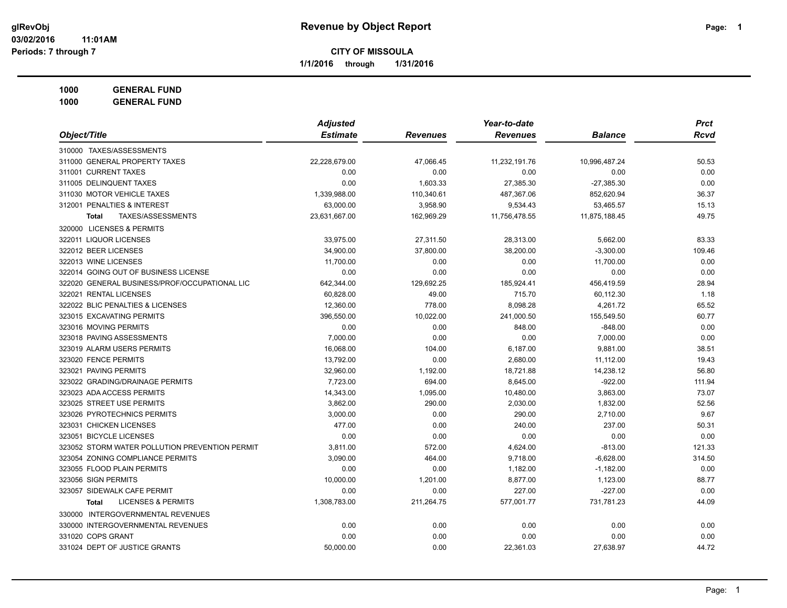**1/1/2016 through 1/31/2016**

**1000 GENERAL FUND**

|                                                | <b>Adjusted</b> |                 | Year-to-date    |                | <b>Prct</b> |
|------------------------------------------------|-----------------|-----------------|-----------------|----------------|-------------|
| Object/Title                                   | <b>Estimate</b> | <b>Revenues</b> | <b>Revenues</b> | <b>Balance</b> | <b>Rcvd</b> |
| 310000 TAXES/ASSESSMENTS                       |                 |                 |                 |                |             |
| 311000 GENERAL PROPERTY TAXES                  | 22,228,679.00   | 47,066.45       | 11,232,191.76   | 10,996,487.24  | 50.53       |
| 311001 CURRENT TAXES                           | 0.00            | 0.00            | 0.00            | 0.00           | 0.00        |
| 311005 DELINQUENT TAXES                        | 0.00            | 1,603.33        | 27,385.30       | $-27,385.30$   | 0.00        |
| 311030 MOTOR VEHICLE TAXES                     | 1,339,988.00    | 110,340.61      | 487,367.06      | 852,620.94     | 36.37       |
| 312001 PENALTIES & INTEREST                    | 63,000.00       | 3,958.90        | 9,534.43        | 53,465.57      | 15.13       |
| TAXES/ASSESSMENTS<br><b>Total</b>              | 23,631,667.00   | 162,969.29      | 11,756,478.55   | 11,875,188.45  | 49.75       |
| 320000 LICENSES & PERMITS                      |                 |                 |                 |                |             |
| 322011 LIQUOR LICENSES                         | 33,975.00       | 27,311.50       | 28,313.00       | 5,662.00       | 83.33       |
| 322012 BEER LICENSES                           | 34,900.00       | 37,800.00       | 38,200.00       | $-3,300.00$    | 109.46      |
| 322013 WINE LICENSES                           | 11,700.00       | 0.00            | 0.00            | 11,700.00      | 0.00        |
| 322014 GOING OUT OF BUSINESS LICENSE           | 0.00            | 0.00            | 0.00            | 0.00           | 0.00        |
| 322020 GENERAL BUSINESS/PROF/OCCUPATIONAL LIC  | 642,344.00      | 129,692.25      | 185,924.41      | 456,419.59     | 28.94       |
| 322021 RENTAL LICENSES                         | 60,828.00       | 49.00           | 715.70          | 60,112.30      | 1.18        |
| 322022 BLIC PENALTIES & LICENSES               | 12,360.00       | 778.00          | 8,098.28        | 4,261.72       | 65.52       |
| 323015 EXCAVATING PERMITS                      | 396,550.00      | 10,022.00       | 241,000.50      | 155,549.50     | 60.77       |
| 323016 MOVING PERMITS                          | 0.00            | 0.00            | 848.00          | $-848.00$      | 0.00        |
| 323018 PAVING ASSESSMENTS                      | 7,000.00        | 0.00            | 0.00            | 7,000.00       | 0.00        |
| 323019 ALARM USERS PERMITS                     | 16,068.00       | 104.00          | 6,187.00        | 9,881.00       | 38.51       |
| 323020 FENCE PERMITS                           | 13,792.00       | 0.00            | 2,680.00        | 11,112.00      | 19.43       |
| 323021 PAVING PERMITS                          | 32,960.00       | 1,192.00        | 18,721.88       | 14,238.12      | 56.80       |
| 323022 GRADING/DRAINAGE PERMITS                | 7,723.00        | 694.00          | 8,645.00        | $-922.00$      | 111.94      |
| 323023 ADA ACCESS PERMITS                      | 14,343.00       | 1,095.00        | 10,480.00       | 3,863.00       | 73.07       |
| 323025 STREET USE PERMITS                      | 3,862.00        | 290.00          | 2,030.00        | 1,832.00       | 52.56       |
| 323026 PYROTECHNICS PERMITS                    | 3,000.00        | 0.00            | 290.00          | 2,710.00       | 9.67        |
| 323031 CHICKEN LICENSES                        | 477.00          | 0.00            | 240.00          | 237.00         | 50.31       |
| 323051 BICYCLE LICENSES                        | 0.00            | 0.00            | 0.00            | 0.00           | 0.00        |
| 323052 STORM WATER POLLUTION PREVENTION PERMIT | 3,811.00        | 572.00          | 4,624.00        | $-813.00$      | 121.33      |
| 323054 ZONING COMPLIANCE PERMITS               | 3,090.00        | 464.00          | 9,718.00        | $-6,628.00$    | 314.50      |
| 323055 FLOOD PLAIN PERMITS                     | 0.00            | 0.00            | 1,182.00        | $-1,182.00$    | 0.00        |
| 323056 SIGN PERMITS                            | 10,000.00       | 1,201.00        | 8,877.00        | 1,123.00       | 88.77       |
| 323057 SIDEWALK CAFE PERMIT                    | 0.00            | 0.00            | 227.00          | $-227.00$      | 0.00        |
| <b>LICENSES &amp; PERMITS</b><br>Total         | 1,308,783.00    | 211,264.75      | 577,001.77      | 731,781.23     | 44.09       |
| 330000 INTERGOVERNMENTAL REVENUES              |                 |                 |                 |                |             |
| 330000 INTERGOVERNMENTAL REVENUES              | 0.00            | 0.00            | 0.00            | 0.00           | 0.00        |
| 331020 COPS GRANT                              | 0.00            | 0.00            | 0.00            | 0.00           | 0.00        |
| 331024 DEPT OF JUSTICE GRANTS                  | 50,000.00       | 0.00            | 22,361.03       | 27,638.97      | 44.72       |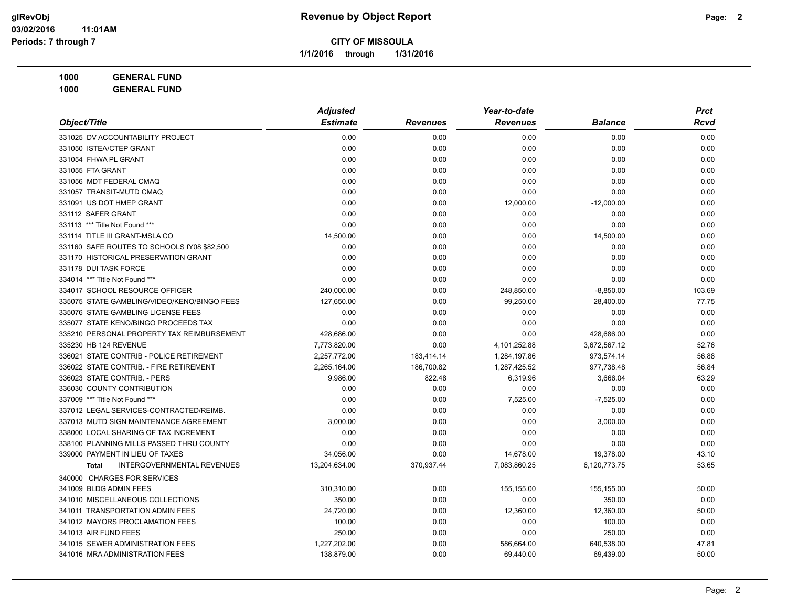**1/1/2016 through 1/31/2016**

|                                                   | <b>Adjusted</b> |                 | Year-to-date    |                | <b>Prct</b> |
|---------------------------------------------------|-----------------|-----------------|-----------------|----------------|-------------|
| Object/Title                                      | <b>Estimate</b> | <b>Revenues</b> | <b>Revenues</b> | <b>Balance</b> | <b>Rcvd</b> |
| 331025 DV ACCOUNTABILITY PROJECT                  | 0.00            | 0.00            | 0.00            | 0.00           | 0.00        |
| 331050 ISTEA/CTEP GRANT                           | 0.00            | 0.00            | 0.00            | 0.00           | 0.00        |
| 331054 FHWA PL GRANT                              | 0.00            | 0.00            | 0.00            | 0.00           | 0.00        |
| 331055 FTA GRANT                                  | 0.00            | 0.00            | 0.00            | 0.00           | 0.00        |
| 331056 MDT FEDERAL CMAQ                           | 0.00            | 0.00            | 0.00            | 0.00           | 0.00        |
| 331057 TRANSIT-MUTD CMAQ                          | 0.00            | 0.00            | 0.00            | 0.00           | 0.00        |
| 331091 US DOT HMEP GRANT                          | 0.00            | 0.00            | 12,000.00       | $-12,000.00$   | 0.00        |
| 331112 SAFER GRANT                                | 0.00            | 0.00            | 0.00            | 0.00           | 0.00        |
| 331113 *** Title Not Found ***                    | 0.00            | 0.00            | 0.00            | 0.00           | 0.00        |
| 331114 TITLE III GRANT-MSLA CO                    | 14,500.00       | 0.00            | 0.00            | 14,500.00      | 0.00        |
| 331160 SAFE ROUTES TO SCHOOLS fY08 \$82,500       | 0.00            | 0.00            | 0.00            | 0.00           | 0.00        |
| 331170 HISTORICAL PRESERVATION GRANT              | 0.00            | 0.00            | 0.00            | 0.00           | 0.00        |
| 331178 DUI TASK FORCE                             | 0.00            | 0.00            | 0.00            | 0.00           | 0.00        |
| 334014 *** Title Not Found ***                    | 0.00            | 0.00            | 0.00            | 0.00           | 0.00        |
| 334017 SCHOOL RESOURCE OFFICER                    | 240,000.00      | 0.00            | 248,850.00      | $-8,850.00$    | 103.69      |
| 335075 STATE GAMBLING/VIDEO/KENO/BINGO FEES       | 127,650.00      | 0.00            | 99,250.00       | 28,400.00      | 77.75       |
| 335076 STATE GAMBLING LICENSE FEES                | 0.00            | 0.00            | 0.00            | 0.00           | 0.00        |
| 335077 STATE KENO/BINGO PROCEEDS TAX              | 0.00            | 0.00            | 0.00            | 0.00           | 0.00        |
| 335210 PERSONAL PROPERTY TAX REIMBURSEMENT        | 428,686.00      | 0.00            | 0.00            | 428,686.00     | 0.00        |
| 335230 HB 124 REVENUE                             | 7,773,820.00    | 0.00            | 4,101,252.88    | 3,672,567.12   | 52.76       |
| 336021 STATE CONTRIB - POLICE RETIREMENT          | 2,257,772.00    | 183,414.14      | 1,284,197.86    | 973,574.14     | 56.88       |
| 336022 STATE CONTRIB. - FIRE RETIREMENT           | 2,265,164.00    | 186,700.82      | 1,287,425.52    | 977,738.48     | 56.84       |
| 336023 STATE CONTRIB. - PERS                      | 9,986.00        | 822.48          | 6,319.96        | 3,666.04       | 63.29       |
| 336030 COUNTY CONTRIBUTION                        | 0.00            | 0.00            | 0.00            | 0.00           | 0.00        |
| 337009 *** Title Not Found ***                    | 0.00            | 0.00            | 7,525.00        | $-7,525.00$    | 0.00        |
| 337012 LEGAL SERVICES-CONTRACTED/REIMB            | 0.00            | 0.00            | 0.00            | 0.00           | 0.00        |
| 337013 MUTD SIGN MAINTENANCE AGREEMENT            | 3,000.00        | 0.00            | 0.00            | 3,000.00       | 0.00        |
| 338000 LOCAL SHARING OF TAX INCREMENT             | 0.00            | 0.00            | 0.00            | 0.00           | 0.00        |
| 338100 PLANNING MILLS PASSED THRU COUNTY          | 0.00            | 0.00            | 0.00            | 0.00           | 0.00        |
| 339000 PAYMENT IN LIEU OF TAXES                   | 34,056.00       | 0.00            | 14,678.00       | 19,378.00      | 43.10       |
| <b>INTERGOVERNMENTAL REVENUES</b><br><b>Total</b> | 13,204,634.00   | 370,937.44      | 7,083,860.25    | 6,120,773.75   | 53.65       |
| 340000 CHARGES FOR SERVICES                       |                 |                 |                 |                |             |
| 341009 BLDG ADMIN FEES                            | 310,310.00      | 0.00            | 155,155.00      | 155,155.00     | 50.00       |
| 341010 MISCELLANEOUS COLLECTIONS                  | 350.00          | 0.00            | 0.00            | 350.00         | 0.00        |
| 341011 TRANSPORTATION ADMIN FEES                  | 24,720.00       | 0.00            | 12,360.00       | 12,360.00      | 50.00       |
| 341012 MAYORS PROCLAMATION FEES                   | 100.00          | 0.00            | 0.00            | 100.00         | 0.00        |
| 341013 AIR FUND FEES                              | 250.00          | 0.00            | 0.00            | 250.00         | 0.00        |
| 341015 SEWER ADMINISTRATION FEES                  | 1,227,202.00    | 0.00            | 586,664.00      | 640,538.00     | 47.81       |
| 341016 MRA ADMINISTRATION FEES                    | 138,879.00      | 0.00            | 69,440.00       | 69,439.00      | 50.00       |
|                                                   |                 |                 |                 |                |             |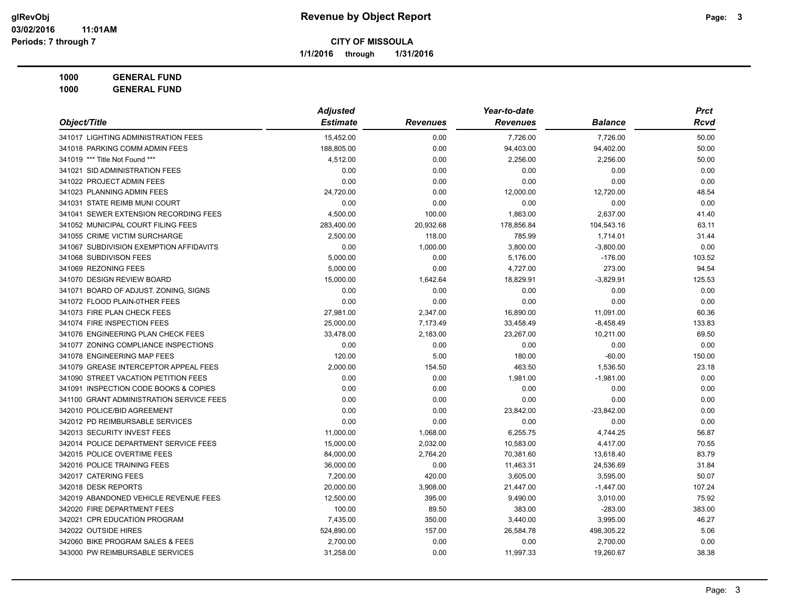**1/1/2016 through 1/31/2016**

|                                          | <b>Adjusted</b> |                 | Year-to-date    |              | <b>Prct</b> |
|------------------------------------------|-----------------|-----------------|-----------------|--------------|-------------|
| Object/Title                             | <b>Estimate</b> | <b>Revenues</b> | <b>Revenues</b> | Balance      | Rcvd        |
| 341017 LIGHTING ADMINISTRATION FEES      | 15,452.00       | 0.00            | 7,726.00        | 7,726.00     | 50.00       |
| 341018 PARKING COMM ADMIN FEES           | 188,805.00      | 0.00            | 94,403.00       | 94,402.00    | 50.00       |
| 341019 *** Title Not Found ***           | 4,512.00        | 0.00            | 2,256.00        | 2,256.00     | 50.00       |
| 341021 SID ADMINISTRATION FEES           | 0.00            | 0.00            | 0.00            | 0.00         | 0.00        |
| 341022 PROJECT ADMIN FEES                | 0.00            | 0.00            | 0.00            | 0.00         | 0.00        |
| 341023 PLANNING ADMIN FEES               | 24,720.00       | 0.00            | 12,000.00       | 12,720.00    | 48.54       |
| 341031 STATE REIMB MUNI COURT            | 0.00            | 0.00            | 0.00            | 0.00         | 0.00        |
| 341041 SEWER EXTENSION RECORDING FEES    | 4,500.00        | 100.00          | 1,863.00        | 2,637.00     | 41.40       |
| 341052 MUNICIPAL COURT FILING FEES       | 283,400.00      | 20,932.68       | 178,856.84      | 104,543.16   | 63.11       |
| 341055 CRIME VICTIM SURCHARGE            | 2,500.00        | 118.00          | 785.99          | 1,714.01     | 31.44       |
| 341067 SUBDIVISION EXEMPTION AFFIDAVITS  | 0.00            | 1,000.00        | 3,800.00        | $-3,800.00$  | 0.00        |
| 341068 SUBDIVISON FEES                   | 5,000.00        | 0.00            | 5,176.00        | $-176.00$    | 103.52      |
| 341069 REZONING FEES                     | 5,000.00        | 0.00            | 4,727.00        | 273.00       | 94.54       |
| 341070 DESIGN REVIEW BOARD               | 15,000.00       | 1,642.64        | 18,829.91       | $-3,829.91$  | 125.53      |
| 341071 BOARD OF ADJUST. ZONING, SIGNS    | 0.00            | 0.00            | 0.00            | 0.00         | 0.00        |
| 341072 FLOOD PLAIN-0THER FEES            | 0.00            | 0.00            | 0.00            | 0.00         | 0.00        |
| 341073 FIRE PLAN CHECK FEES              | 27,981.00       | 2,347.00        | 16,890.00       | 11,091.00    | 60.36       |
| 341074 FIRE INSPECTION FEES              | 25,000.00       | 7,173.49        | 33,458.49       | $-8,458.49$  | 133.83      |
| 341076 ENGINEERING PLAN CHECK FEES       | 33,478.00       | 2,183.00        | 23,267.00       | 10,211.00    | 69.50       |
| 341077 ZONING COMPLIANCE INSPECTIONS     | 0.00            | 0.00            | 0.00            | 0.00         | 0.00        |
| 341078 ENGINEERING MAP FEES              | 120.00          | 5.00            | 180.00          | $-60.00$     | 150.00      |
| 341079 GREASE INTERCEPTOR APPEAL FEES    | 2,000.00        | 154.50          | 463.50          | 1,536.50     | 23.18       |
| 341090 STREET VACATION PETITION FEES     | 0.00            | 0.00            | 1,981.00        | $-1,981.00$  | 0.00        |
| 341091 INSPECTION CODE BOOKS & COPIES    | 0.00            | 0.00            | 0.00            | 0.00         | 0.00        |
| 341100 GRANT ADMINISTRATION SERVICE FEES | 0.00            | 0.00            | 0.00            | 0.00         | 0.00        |
| 342010 POLICE/BID AGREEMENT              | 0.00            | 0.00            | 23,842.00       | $-23,842.00$ | 0.00        |
| 342012 PD REIMBURSABLE SERVICES          | 0.00            | 0.00            | 0.00            | 0.00         | 0.00        |
| 342013 SECURITY INVEST FEES              | 11,000.00       | 1,068.00        | 6,255.75        | 4,744.25     | 56.87       |
| 342014 POLICE DEPARTMENT SERVICE FEES    | 15,000.00       | 2,032.00        | 10,583.00       | 4,417.00     | 70.55       |
| 342015 POLICE OVERTIME FEES              | 84,000.00       | 2,764.20        | 70,381.60       | 13,618.40    | 83.79       |
| 342016 POLICE TRAINING FEES              | 36,000.00       | 0.00            | 11,463.31       | 24,536.69    | 31.84       |
| 342017 CATERING FEES                     | 7,200.00        | 420.00          | 3,605.00        | 3,595.00     | 50.07       |
| 342018 DESK REPORTS                      | 20,000.00       | 3,908.00        | 21,447.00       | $-1,447.00$  | 107.24      |
| 342019 ABANDONED VEHICLE REVENUE FEES    | 12,500.00       | 395.00          | 9,490.00        | 3,010.00     | 75.92       |
| 342020 FIRE DEPARTMENT FEES              | 100.00          | 89.50           | 383.00          | $-283.00$    | 383.00      |
| 342021 CPR EDUCATION PROGRAM             | 7,435.00        | 350.00          | 3,440.00        | 3,995.00     | 46.27       |
| 342022 OUTSIDE HIRES                     | 524,890.00      | 157.00          | 26,584.78       | 498,305.22   | 5.06        |
| 342060 BIKE PROGRAM SALES & FEES         | 2,700.00        | 0.00            | 0.00            | 2,700.00     | 0.00        |
| 343000 PW REIMBURSABLE SERVICES          | 31,258.00       | 0.00            | 11,997.33       | 19,260.67    | 38.38       |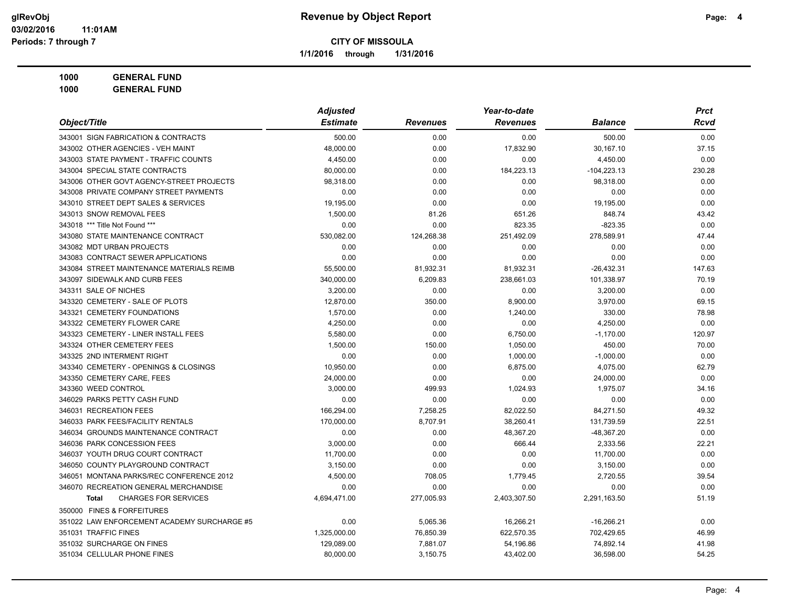**1/1/2016 through 1/31/2016**

|                                             | <b>Adjusted</b> |                 | Year-to-date    |                | Prct        |
|---------------------------------------------|-----------------|-----------------|-----------------|----------------|-------------|
| Object/Title                                | <b>Estimate</b> | <b>Revenues</b> | <b>Revenues</b> | <b>Balance</b> | <b>Rcvd</b> |
| 343001 SIGN FABRICATION & CONTRACTS         | 500.00          | 0.00            | 0.00            | 500.00         | 0.00        |
| 343002 OTHER AGENCIES - VEH MAINT           | 48,000.00       | 0.00            | 17,832.90       | 30,167.10      | 37.15       |
| 343003 STATE PAYMENT - TRAFFIC COUNTS       | 4,450.00        | 0.00            | 0.00            | 4,450.00       | 0.00        |
| 343004 SPECIAL STATE CONTRACTS              | 80,000.00       | 0.00            | 184,223.13      | $-104,223.13$  | 230.28      |
| 343006 OTHER GOVT AGENCY-STREET PROJECTS    | 98,318.00       | 0.00            | 0.00            | 98,318.00      | 0.00        |
| 343008 PRIVATE COMPANY STREET PAYMENTS      | 0.00            | 0.00            | 0.00            | 0.00           | 0.00        |
| 343010 STREET DEPT SALES & SERVICES         | 19,195.00       | 0.00            | 0.00            | 19,195.00      | 0.00        |
| 343013 SNOW REMOVAL FEES                    | 1,500.00        | 81.26           | 651.26          | 848.74         | 43.42       |
| 343018 *** Title Not Found ***              | 0.00            | 0.00            | 823.35          | $-823.35$      | 0.00        |
| 343080 STATE MAINTENANCE CONTRACT           | 530,082.00      | 124,268.38      | 251,492.09      | 278,589.91     | 47.44       |
| 343082 MDT URBAN PROJECTS                   | 0.00            | 0.00            | 0.00            | 0.00           | 0.00        |
| 343083 CONTRACT SEWER APPLICATIONS          | 0.00            | 0.00            | 0.00            | 0.00           | 0.00        |
| 343084 STREET MAINTENANCE MATERIALS REIMB   | 55,500.00       | 81,932.31       | 81,932.31       | $-26,432.31$   | 147.63      |
| 343097 SIDEWALK AND CURB FEES               | 340,000.00      | 6,209.83        | 238,661.03      | 101,338.97     | 70.19       |
| 343311 SALE OF NICHES                       | 3,200.00        | 0.00            | 0.00            | 3,200.00       | 0.00        |
| 343320 CEMETERY - SALE OF PLOTS             | 12,870.00       | 350.00          | 8,900.00        | 3,970.00       | 69.15       |
| 343321 CEMETERY FOUNDATIONS                 | 1,570.00        | 0.00            | 1,240.00        | 330.00         | 78.98       |
| 343322 CEMETERY FLOWER CARE                 | 4,250.00        | 0.00            | 0.00            | 4,250.00       | 0.00        |
| 343323 CEMETERY - LINER INSTALL FEES        | 5,580.00        | 0.00            | 6,750.00        | $-1,170.00$    | 120.97      |
| 343324 OTHER CEMETERY FEES                  | 1,500.00        | 150.00          | 1,050.00        | 450.00         | 70.00       |
| 343325 2ND INTERMENT RIGHT                  | 0.00            | 0.00            | 1,000.00        | $-1,000.00$    | 0.00        |
| 343340 CEMETERY - OPENINGS & CLOSINGS       | 10,950.00       | 0.00            | 6,875.00        | 4,075.00       | 62.79       |
| 343350 CEMETERY CARE, FEES                  | 24,000.00       | 0.00            | 0.00            | 24,000.00      | 0.00        |
| 343360 WEED CONTROL                         | 3,000.00        | 499.93          | 1,024.93        | 1,975.07       | 34.16       |
| 346029 PARKS PETTY CASH FUND                | 0.00            | 0.00            | 0.00            | 0.00           | 0.00        |
| 346031 RECREATION FEES                      | 166,294.00      | 7,258.25        | 82,022.50       | 84,271.50      | 49.32       |
| 346033 PARK FEES/FACILITY RENTALS           | 170,000.00      | 8,707.91        | 38,260.41       | 131,739.59     | 22.51       |
| 346034 GROUNDS MAINTENANCE CONTRACT         | 0.00            | 0.00            | 48,367.20       | $-48,367.20$   | 0.00        |
| 346036 PARK CONCESSION FEES                 | 3,000.00        | 0.00            | 666.44          | 2,333.56       | 22.21       |
| 346037 YOUTH DRUG COURT CONTRACT            | 11,700.00       | 0.00            | 0.00            | 11,700.00      | 0.00        |
| 346050 COUNTY PLAYGROUND CONTRACT           | 3,150.00        | 0.00            | 0.00            | 3,150.00       | 0.00        |
| 346051 MONTANA PARKS/REC CONFERENCE 2012    | 4,500.00        | 708.05          | 1,779.45        | 2,720.55       | 39.54       |
| 346070 RECREATION GENERAL MERCHANDISE       | 0.00            | 0.00            | 0.00            | 0.00           | 0.00        |
| <b>CHARGES FOR SERVICES</b><br><b>Total</b> | 4,694,471.00    | 277,005.93      | 2,403,307.50    | 2,291,163.50   | 51.19       |
| 350000 FINES & FORFEITURES                  |                 |                 |                 |                |             |
| 351022 LAW ENFORCEMENT ACADEMY SURCHARGE #5 | 0.00            | 5,065.36        | 16,266.21       | $-16,266.21$   | 0.00        |
| 351031 TRAFFIC FINES                        | 1,325,000.00    | 76,850.39       | 622,570.35      | 702,429.65     | 46.99       |
| 351032 SURCHARGE ON FINES                   | 129,089.00      | 7,881.07        | 54,196.86       | 74,892.14      | 41.98       |
| 351034 CELLULAR PHONE FINES                 | 80,000.00       | 3,150.75        | 43,402.00       | 36,598.00      | 54.25       |
|                                             |                 |                 |                 |                |             |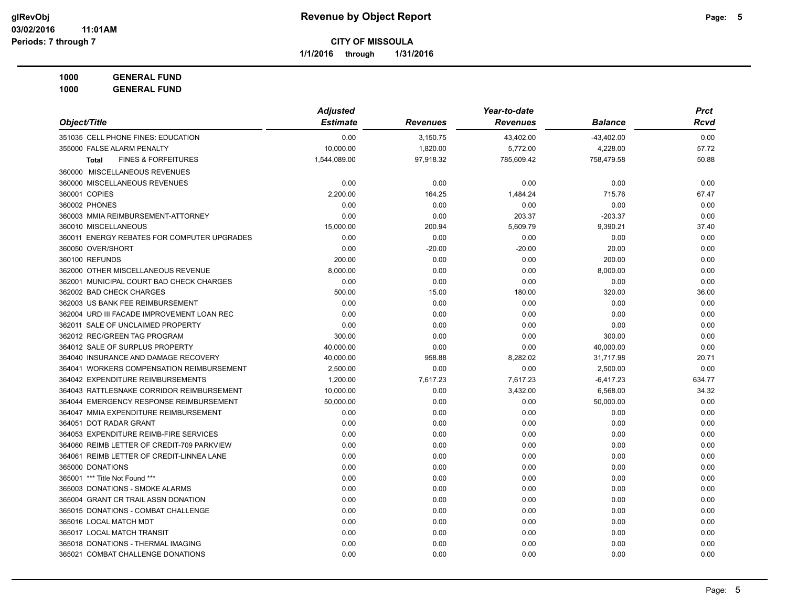**1/1/2016 through 1/31/2016**

|                                                | <b>Adjusted</b> |                 | Year-to-date    |                | <b>Prct</b> |
|------------------------------------------------|-----------------|-----------------|-----------------|----------------|-------------|
| Object/Title                                   | <b>Estimate</b> | <b>Revenues</b> | <b>Revenues</b> | <b>Balance</b> | <b>Rcvd</b> |
| 351035 CELL PHONE FINES: EDUCATION             | 0.00            | 3,150.75        | 43,402.00       | $-43,402.00$   | 0.00        |
| 355000 FALSE ALARM PENALTY                     | 10,000.00       | 1,820.00        | 5,772.00        | 4,228.00       | 57.72       |
| <b>FINES &amp; FORFEITURES</b><br><b>Total</b> | 1,544,089.00    | 97,918.32       | 785,609.42      | 758,479.58     | 50.88       |
| 360000 MISCELLANEOUS REVENUES                  |                 |                 |                 |                |             |
| 360000 MISCELLANEOUS REVENUES                  | 0.00            | 0.00            | 0.00            | 0.00           | 0.00        |
| 360001 COPIES                                  | 2,200.00        | 164.25          | 1,484.24        | 715.76         | 67.47       |
| 360002 PHONES                                  | 0.00            | 0.00            | 0.00            | 0.00           | 0.00        |
| 360003 MMIA REIMBURSEMENT-ATTORNEY             | 0.00            | 0.00            | 203.37          | $-203.37$      | 0.00        |
| 360010 MISCELLANEOUS                           | 15,000.00       | 200.94          | 5,609.79        | 9,390.21       | 37.40       |
| 360011 ENERGY REBATES FOR COMPUTER UPGRADES    | 0.00            | 0.00            | 0.00            | 0.00           | 0.00        |
| 360050 OVER/SHORT                              | 0.00            | $-20.00$        | $-20.00$        | 20.00          | 0.00        |
| 360100 REFUNDS                                 | 200.00          | 0.00            | 0.00            | 200.00         | 0.00        |
| 362000 OTHER MISCELLANEOUS REVENUE             | 8,000.00        | 0.00            | 0.00            | 8,000.00       | 0.00        |
| 362001 MUNICIPAL COURT BAD CHECK CHARGES       | 0.00            | 0.00            | 0.00            | 0.00           | 0.00        |
| 362002 BAD CHECK CHARGES                       | 500.00          | 15.00           | 180.00          | 320.00         | 36.00       |
| 362003 US BANK FEE REIMBURSEMENT               | 0.00            | 0.00            | 0.00            | 0.00           | 0.00        |
| 362004 URD III FACADE IMPROVEMENT LOAN REC     | 0.00            | 0.00            | 0.00            | 0.00           | 0.00        |
| 362011 SALE OF UNCLAIMED PROPERTY              | 0.00            | 0.00            | 0.00            | 0.00           | 0.00        |
| 362012 REC/GREEN TAG PROGRAM                   | 300.00          | 0.00            | 0.00            | 300.00         | 0.00        |
| 364012 SALE OF SURPLUS PROPERTY                | 40,000.00       | 0.00            | 0.00            | 40,000.00      | 0.00        |
| 364040 INSURANCE AND DAMAGE RECOVERY           | 40,000.00       | 958.88          | 8,282.02        | 31,717.98      | 20.71       |
| 364041 WORKERS COMPENSATION REIMBURSEMENT      | 2,500.00        | 0.00            | 0.00            | 2,500.00       | 0.00        |
| 364042 EXPENDITURE REIMBURSEMENTS              | 1,200.00        | 7,617.23        | 7,617.23        | $-6,417.23$    | 634.77      |
| 364043 RATTLESNAKE CORRIDOR REIMBURSEMENT      | 10,000.00       | 0.00            | 3,432.00        | 6,568.00       | 34.32       |
| 364044 EMERGENCY RESPONSE REIMBURSEMENT        | 50,000.00       | 0.00            | 0.00            | 50,000.00      | 0.00        |
| 364047 MMIA EXPENDITURE REIMBURSEMENT          | 0.00            | 0.00            | 0.00            | 0.00           | 0.00        |
| 364051 DOT RADAR GRANT                         | 0.00            | 0.00            | 0.00            | 0.00           | 0.00        |
| 364053 EXPENDITURE REIMB-FIRE SERVICES         | 0.00            | 0.00            | 0.00            | 0.00           | 0.00        |
| 364060 REIMB LETTER OF CREDIT-709 PARKVIEW     | 0.00            | 0.00            | 0.00            | 0.00           | 0.00        |
| 364061 REIMB LETTER OF CREDIT-LINNEA LANE      | 0.00            | 0.00            | 0.00            | 0.00           | 0.00        |
| 365000 DONATIONS                               | 0.00            | 0.00            | 0.00            | 0.00           | 0.00        |
| 365001 *** Title Not Found ***                 | 0.00            | 0.00            | 0.00            | 0.00           | 0.00        |
| 365003 DONATIONS - SMOKE ALARMS                | 0.00            | 0.00            | 0.00            | 0.00           | 0.00        |
| 365004 GRANT CR TRAIL ASSN DONATION            | 0.00            | 0.00            | 0.00            | 0.00           | 0.00        |
| 365015 DONATIONS - COMBAT CHALLENGE            | 0.00            | 0.00            | 0.00            | 0.00           | 0.00        |
| 365016 LOCAL MATCH MDT                         | 0.00            | 0.00            | 0.00            | 0.00           | 0.00        |
| 365017 LOCAL MATCH TRANSIT                     | 0.00            | 0.00            | 0.00            | 0.00           | 0.00        |
| 365018 DONATIONS - THERMAL IMAGING             | 0.00            | 0.00            | 0.00            | 0.00           | 0.00        |
| 365021 COMBAT CHALLENGE DONATIONS              | 0.00            | 0.00            | 0.00            | 0.00           | 0.00        |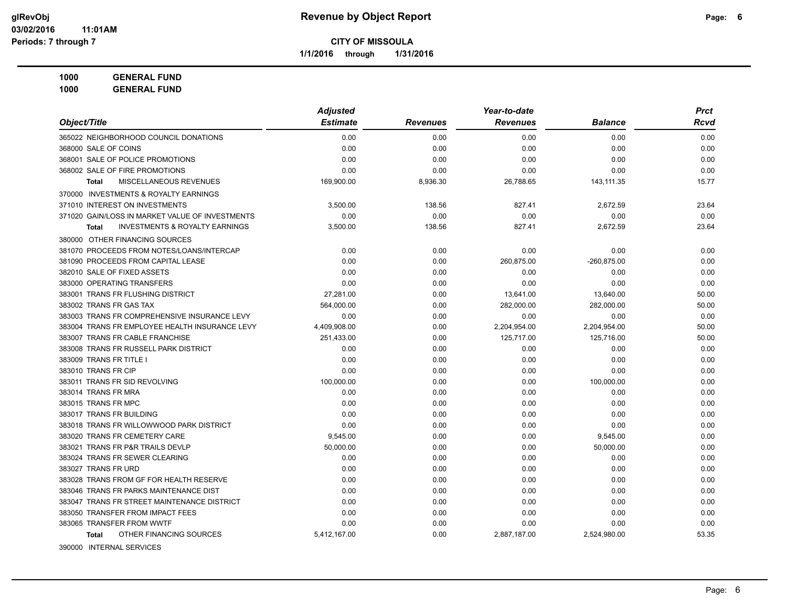**1/1/2016 through 1/31/2016**

|                                                    | <b>Adjusted</b> |                 | Year-to-date    |                | <b>Prct</b> |
|----------------------------------------------------|-----------------|-----------------|-----------------|----------------|-------------|
| Object/Title                                       | <b>Estimate</b> | <b>Revenues</b> | <b>Revenues</b> | <b>Balance</b> | <b>Rcvd</b> |
| 365022 NEIGHBORHOOD COUNCIL DONATIONS              | 0.00            | 0.00            | 0.00            | 0.00           | 0.00        |
| 368000 SALE OF COINS                               | 0.00            | 0.00            | 0.00            | 0.00           | 0.00        |
| 368001 SALE OF POLICE PROMOTIONS                   | 0.00            | 0.00            | 0.00            | 0.00           | 0.00        |
| 368002 SALE OF FIRE PROMOTIONS                     | 0.00            | 0.00            | 0.00            | 0.00           | 0.00        |
| MISCELLANEOUS REVENUES<br><b>Total</b>             | 169,900.00      | 8,936.30        | 26,788.65       | 143,111.35     | 15.77       |
| 370000 INVESTMENTS & ROYALTY EARNINGS              |                 |                 |                 |                |             |
| 371010 INTEREST ON INVESTMENTS                     | 3,500.00        | 138.56          | 827.41          | 2,672.59       | 23.64       |
| 371020 GAIN/LOSS IN MARKET VALUE OF INVESTMENTS    | 0.00            | 0.00            | 0.00            | 0.00           | 0.00        |
| <b>INVESTMENTS &amp; ROYALTY EARNINGS</b><br>Total | 3,500.00        | 138.56          | 827.41          | 2,672.59       | 23.64       |
| 380000 OTHER FINANCING SOURCES                     |                 |                 |                 |                |             |
| 381070 PROCEEDS FROM NOTES/LOANS/INTERCAP          | 0.00            | 0.00            | 0.00            | 0.00           | 0.00        |
| 381090 PROCEEDS FROM CAPITAL LEASE                 | 0.00            | 0.00            | 260,875.00      | $-260,875.00$  | 0.00        |
| 382010 SALE OF FIXED ASSETS                        | 0.00            | 0.00            | 0.00            | 0.00           | 0.00        |
| 383000 OPERATING TRANSFERS                         | 0.00            | 0.00            | 0.00            | 0.00           | 0.00        |
| 383001 TRANS FR FLUSHING DISTRICT                  | 27,281.00       | 0.00            | 13,641.00       | 13,640.00      | 50.00       |
| 383002 TRANS FR GAS TAX                            | 564,000.00      | 0.00            | 282,000.00      | 282,000.00     | 50.00       |
| 383003 TRANS FR COMPREHENSIVE INSURANCE LEVY       | 0.00            | 0.00            | 0.00            | 0.00           | 0.00        |
| 383004 TRANS FR EMPLOYEE HEALTH INSURANCE LEVY     | 4,409,908.00    | 0.00            | 2,204,954.00    | 2,204,954.00   | 50.00       |
| 383007 TRANS FR CABLE FRANCHISE                    | 251,433.00      | 0.00            | 125,717.00      | 125,716.00     | 50.00       |
| 383008 TRANS FR RUSSELL PARK DISTRICT              | 0.00            | 0.00            | 0.00            | 0.00           | 0.00        |
| 383009 TRANS FR TITLE I                            | 0.00            | 0.00            | 0.00            | 0.00           | 0.00        |
| 383010 TRANS FR CIP                                | 0.00            | 0.00            | 0.00            | 0.00           | 0.00        |
| 383011 TRANS FR SID REVOLVING                      | 100,000.00      | 0.00            | 0.00            | 100,000.00     | 0.00        |
| 383014 TRANS FR MRA                                | 0.00            | 0.00            | 0.00            | 0.00           | 0.00        |
| 383015 TRANS FR MPC                                | 0.00            | 0.00            | 0.00            | 0.00           | 0.00        |
| 383017 TRANS FR BUILDING                           | 0.00            | 0.00            | 0.00            | 0.00           | 0.00        |
| 383018 TRANS FR WILLOWWOOD PARK DISTRICT           | 0.00            | 0.00            | 0.00            | 0.00           | 0.00        |
| 383020 TRANS FR CEMETERY CARE                      | 9,545.00        | 0.00            | 0.00            | 9,545.00       | 0.00        |
| 383021 TRANS FR P&R TRAILS DEVLP                   | 50,000.00       | 0.00            | 0.00            | 50,000.00      | 0.00        |
| 383024 TRANS FR SEWER CLEARING                     | 0.00            | 0.00            | 0.00            | 0.00           | 0.00        |
| 383027 TRANS FR URD                                | 0.00            | 0.00            | 0.00            | 0.00           | 0.00        |
| 383028 TRANS FROM GF FOR HEALTH RESERVE            | 0.00            | 0.00            | 0.00            | 0.00           | 0.00        |
| 383046 TRANS FR PARKS MAINTENANCE DIST             | 0.00            | 0.00            | 0.00            | 0.00           | 0.00        |
| 383047 TRANS FR STREET MAINTENANCE DISTRICT        | 0.00            | 0.00            | 0.00            | 0.00           | 0.00        |
| 383050 TRANSFER FROM IMPACT FEES                   | 0.00            | 0.00            | 0.00            | 0.00           | 0.00        |
| 383065 TRANSFER FROM WWTF                          | 0.00            | 0.00            | 0.00            | 0.00           | 0.00        |
| OTHER FINANCING SOURCES<br><b>Total</b>            | 5,412,167.00    | 0.00            | 2,887,187.00    | 2,524,980.00   | 53.35       |
| 390000 INTERNAL SERVICES                           |                 |                 |                 |                |             |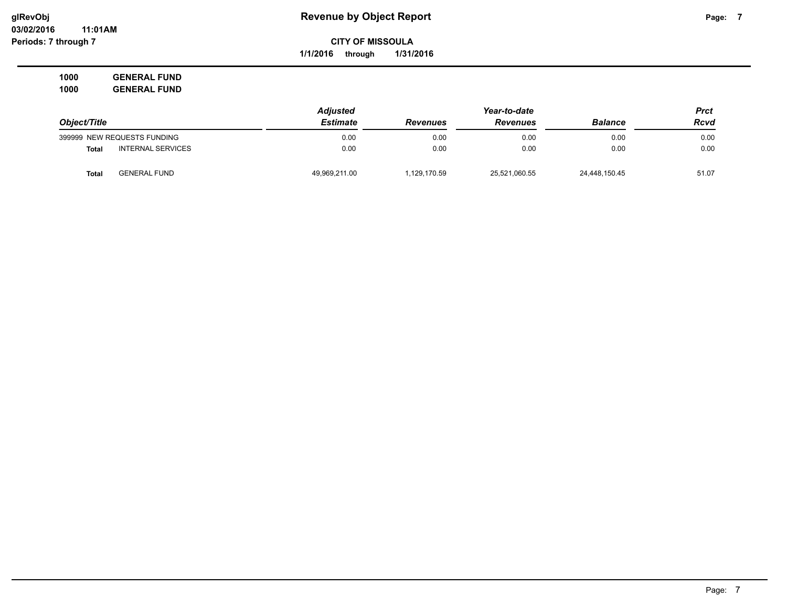**1/1/2016 through 1/31/2016**

|                                          | <b>Adjusted</b> |                 | Year-to-date    |                | Prct  |
|------------------------------------------|-----------------|-----------------|-----------------|----------------|-------|
| Object/Title                             | <b>Estimate</b> | <b>Revenues</b> | <b>Revenues</b> | <b>Balance</b> | Rcvd  |
| 399999 NEW REQUESTS FUNDING              | 0.00            | 0.00            | 0.00            | 0.00           | 0.00  |
| <b>INTERNAL SERVICES</b><br><b>Total</b> | 0.00            | 0.00            | 0.00            | 0.00           | 0.00  |
| <b>GENERAL FUND</b><br><b>Total</b>      | 49,969,211.00   | 1,129,170.59    | 25,521,060.55   | 24,448,150.45  | 51.07 |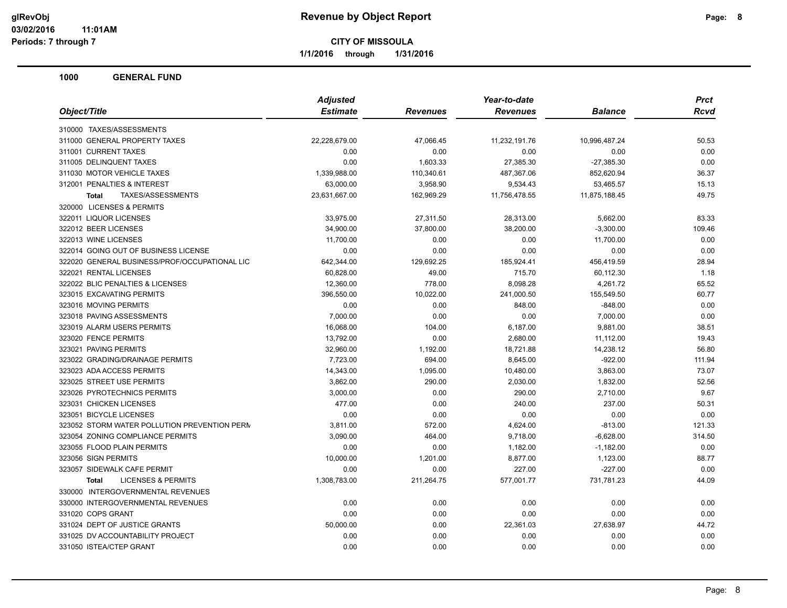**1/1/2016 through 1/31/2016**

| <b>Adjusted</b><br>Object/Title<br><b>Estimate</b><br><b>Revenues</b><br><b>Balance</b><br><b>Revenues</b><br>310000 TAXES/ASSESSMENTS<br>311000 GENERAL PROPERTY TAXES<br>22,228,679.00<br>47,066.45<br>11,232,191.76<br>10,996,487.24 | <b>Rcvd</b><br>50.53 |
|-----------------------------------------------------------------------------------------------------------------------------------------------------------------------------------------------------------------------------------------|----------------------|
|                                                                                                                                                                                                                                         |                      |
|                                                                                                                                                                                                                                         |                      |
|                                                                                                                                                                                                                                         |                      |
| 311001 CURRENT TAXES<br>0.00<br>0.00<br>0.00<br>0.00                                                                                                                                                                                    | 0.00                 |
| 311005 DELINQUENT TAXES<br>0.00<br>1,603.33<br>27,385.30<br>$-27,385.30$                                                                                                                                                                | 0.00                 |
| 311030 MOTOR VEHICLE TAXES<br>1,339,988.00<br>110,340.61<br>487,367.06<br>852,620.94                                                                                                                                                    | 36.37                |
| 312001 PENALTIES & INTEREST<br>63,000.00<br>3,958.90<br>9,534.43<br>53,465.57                                                                                                                                                           | 15.13                |
| 11,756,478.55<br>11,875,188.45<br>TAXES/ASSESSMENTS<br>23,631,667.00<br>162,969.29<br><b>Total</b>                                                                                                                                      | 49.75                |
| 320000 LICENSES & PERMITS                                                                                                                                                                                                               |                      |
| 322011 LIQUOR LICENSES<br>33,975.00<br>27,311.50<br>28,313.00<br>5,662.00                                                                                                                                                               | 83.33                |
| 322012 BEER LICENSES<br>34,900.00<br>37,800.00<br>38,200.00<br>$-3,300.00$                                                                                                                                                              | 109.46               |
| 322013 WINE LICENSES<br>11,700.00<br>0.00<br>0.00<br>11,700.00                                                                                                                                                                          | 0.00                 |
| 322014 GOING OUT OF BUSINESS LICENSE<br>0.00<br>0.00<br>0.00<br>0.00                                                                                                                                                                    | 0.00                 |
| 322020 GENERAL BUSINESS/PROF/OCCUPATIONAL LIC<br>129,692.25<br>185,924.41<br>642,344.00<br>456,419.59                                                                                                                                   | 28.94                |
| 715.70<br>322021 RENTAL LICENSES<br>60,828.00<br>49.00<br>60,112.30                                                                                                                                                                     | 1.18                 |
| 322022 BLIC PENALTIES & LICENSES<br>12,360.00<br>778.00<br>8,098.28<br>4,261.72                                                                                                                                                         | 65.52                |
| 323015 EXCAVATING PERMITS<br>396,550.00<br>10,022.00<br>241,000.50<br>155,549.50                                                                                                                                                        | 60.77                |
| 323016 MOVING PERMITS<br>0.00<br>0.00<br>848.00<br>$-848.00$                                                                                                                                                                            | 0.00                 |
| 323018 PAVING ASSESSMENTS<br>7,000.00<br>0.00<br>0.00<br>7,000.00                                                                                                                                                                       | 0.00                 |
| 323019 ALARM USERS PERMITS<br>16,068.00<br>104.00<br>6,187.00<br>9,881.00                                                                                                                                                               | 38.51                |
| 323020 FENCE PERMITS<br>13,792.00<br>0.00<br>2,680.00<br>11,112.00                                                                                                                                                                      | 19.43                |
| 323021 PAVING PERMITS<br>32,960.00<br>1,192.00<br>18,721.88<br>14,238.12                                                                                                                                                                | 56.80                |
| 323022 GRADING/DRAINAGE PERMITS<br>7,723.00<br>694.00<br>8,645.00<br>$-922.00$                                                                                                                                                          | 111.94               |
| 323023 ADA ACCESS PERMITS<br>3,863.00<br>14,343.00<br>1,095.00<br>10,480.00                                                                                                                                                             | 73.07                |
| 323025 STREET USE PERMITS<br>3,862.00<br>290.00<br>2,030.00<br>1,832.00                                                                                                                                                                 | 52.56                |
| 323026 PYROTECHNICS PERMITS<br>0.00<br>3,000.00<br>290.00<br>2,710.00                                                                                                                                                                   | 9.67                 |
| 323031 CHICKEN LICENSES<br>477.00<br>0.00<br>240.00<br>237.00                                                                                                                                                                           | 50.31                |
| 323051 BICYCLE LICENSES<br>0.00<br>0.00<br>0.00<br>0.00                                                                                                                                                                                 | 0.00                 |
| 323052 STORM WATER POLLUTION PREVENTION PERN<br>572.00<br>4,624.00<br>$-813.00$<br>3,811.00                                                                                                                                             | 121.33               |
| 323054 ZONING COMPLIANCE PERMITS<br>3,090.00<br>9,718.00<br>$-6,628.00$<br>464.00                                                                                                                                                       | 314.50               |
| 323055 FLOOD PLAIN PERMITS<br>0.00<br>0.00<br>1,182.00<br>$-1,182.00$                                                                                                                                                                   | 0.00                 |
| 323056 SIGN PERMITS<br>10,000.00<br>8,877.00<br>1,201.00<br>1,123.00                                                                                                                                                                    | 88.77                |
| 323057 SIDEWALK CAFE PERMIT<br>0.00<br>0.00<br>227.00<br>$-227.00$                                                                                                                                                                      | 0.00                 |
| <b>LICENSES &amp; PERMITS</b><br>1,308,783.00<br>211,264.75<br>577,001.77<br>731,781.23<br><b>Total</b>                                                                                                                                 | 44.09                |
| 330000 INTERGOVERNMENTAL REVENUES                                                                                                                                                                                                       |                      |
| 330000 INTERGOVERNMENTAL REVENUES<br>0.00<br>0.00<br>0.00<br>0.00                                                                                                                                                                       | 0.00                 |
| 331020 COPS GRANT<br>0.00<br>0.00<br>0.00<br>0.00                                                                                                                                                                                       | 0.00                 |
| 331024 DEPT OF JUSTICE GRANTS<br>50,000.00<br>22,361.03<br>27,638.97<br>0.00                                                                                                                                                            | 44.72                |
| 331025 DV ACCOUNTABILITY PROJECT<br>0.00<br>0.00<br>0.00<br>0.00                                                                                                                                                                        | 0.00                 |
| 331050 ISTEA/CTEP GRANT<br>0.00<br>0.00<br>0.00<br>0.00                                                                                                                                                                                 | 0.00                 |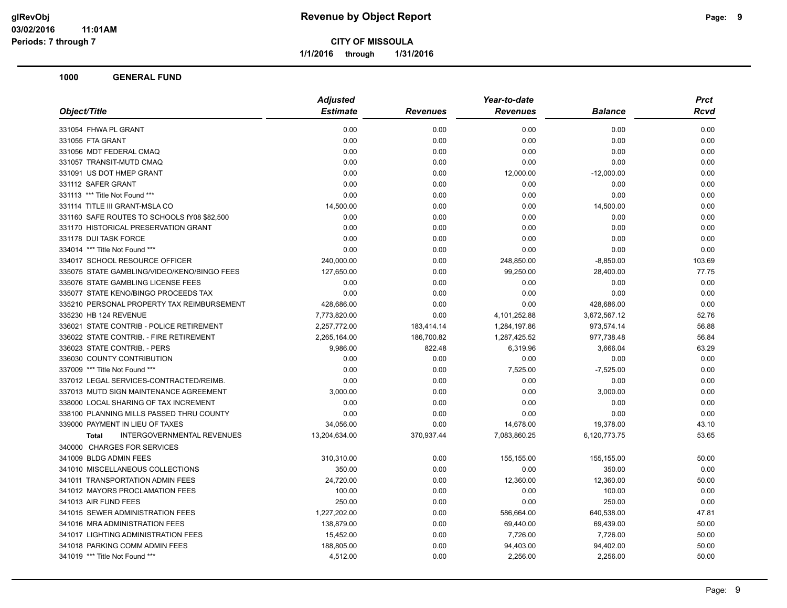**1/1/2016 through 1/31/2016**

|                                             | <b>Adjusted</b> |                 | Year-to-date    |                | <b>Prct</b> |
|---------------------------------------------|-----------------|-----------------|-----------------|----------------|-------------|
| Object/Title                                | <b>Estimate</b> | <b>Revenues</b> | <b>Revenues</b> | <b>Balance</b> | Rcvd        |
| 331054 FHWA PL GRANT                        | 0.00            | 0.00            | 0.00            | 0.00           | 0.00        |
| 331055 FTA GRANT                            | 0.00            | 0.00            | 0.00            | 0.00           | 0.00        |
| 331056 MDT FEDERAL CMAQ                     | 0.00            | 0.00            | 0.00            | 0.00           | 0.00        |
| 331057 TRANSIT-MUTD CMAQ                    | 0.00            | 0.00            | 0.00            | 0.00           | 0.00        |
| 331091 US DOT HMEP GRANT                    | 0.00            | 0.00            | 12,000.00       | $-12,000.00$   | 0.00        |
| 331112 SAFER GRANT                          | 0.00            | 0.00            | 0.00            | 0.00           | 0.00        |
| 331113 *** Title Not Found ***              | 0.00            | 0.00            | 0.00            | 0.00           | 0.00        |
| 331114 TITLE III GRANT-MSLA CO              | 14,500.00       | 0.00            | 0.00            | 14,500.00      | 0.00        |
| 331160 SAFE ROUTES TO SCHOOLS fY08 \$82,500 | 0.00            | 0.00            | 0.00            | 0.00           | 0.00        |
| 331170 HISTORICAL PRESERVATION GRANT        | 0.00            | 0.00            | 0.00            | 0.00           | 0.00        |
| 331178 DUI TASK FORCE                       | 0.00            | 0.00            | 0.00            | 0.00           | 0.00        |
| 334014 *** Title Not Found ***              | 0.00            | 0.00            | 0.00            | 0.00           | 0.00        |
| 334017 SCHOOL RESOURCE OFFICER              | 240,000.00      | 0.00            | 248,850.00      | $-8,850.00$    | 103.69      |
| 335075 STATE GAMBLING/VIDEO/KENO/BINGO FEES | 127,650.00      | 0.00            | 99,250.00       | 28,400.00      | 77.75       |
| 335076 STATE GAMBLING LICENSE FEES          | 0.00            | 0.00            | 0.00            | 0.00           | 0.00        |
| 335077 STATE KENO/BINGO PROCEEDS TAX        | 0.00            | 0.00            | 0.00            | 0.00           | 0.00        |
| 335210 PERSONAL PROPERTY TAX REIMBURSEMENT  | 428,686.00      | 0.00            | 0.00            | 428,686.00     | 0.00        |
| 335230 HB 124 REVENUE                       | 7,773,820.00    | 0.00            | 4,101,252.88    | 3,672,567.12   | 52.76       |
| 336021 STATE CONTRIB - POLICE RETIREMENT    | 2,257,772.00    | 183,414.14      | 1,284,197.86    | 973,574.14     | 56.88       |
| 336022 STATE CONTRIB. - FIRE RETIREMENT     | 2,265,164.00    | 186,700.82      | 1,287,425.52    | 977,738.48     | 56.84       |
| 336023 STATE CONTRIB. - PERS                | 9,986.00        | 822.48          | 6,319.96        | 3,666.04       | 63.29       |
| 336030 COUNTY CONTRIBUTION                  | 0.00            | 0.00            | 0.00            | 0.00           | 0.00        |
| 337009 *** Title Not Found ***              | 0.00            | 0.00            | 7,525.00        | $-7,525.00$    | 0.00        |
| 337012 LEGAL SERVICES-CONTRACTED/REIMB.     | 0.00            | 0.00            | 0.00            | 0.00           | 0.00        |
| 337013 MUTD SIGN MAINTENANCE AGREEMENT      | 3,000.00        | 0.00            | 0.00            | 3,000.00       | 0.00        |
| 338000 LOCAL SHARING OF TAX INCREMENT       | 0.00            | 0.00            | 0.00            | 0.00           | 0.00        |
| 338100 PLANNING MILLS PASSED THRU COUNTY    | 0.00            | 0.00            | 0.00            | 0.00           | 0.00        |
| 339000 PAYMENT IN LIEU OF TAXES             | 34,056.00       | 0.00            | 14,678.00       | 19,378.00      | 43.10       |
| INTERGOVERNMENTAL REVENUES<br><b>Total</b>  | 13,204,634.00   | 370,937.44      | 7,083,860.25    | 6,120,773.75   | 53.65       |
| 340000 CHARGES FOR SERVICES                 |                 |                 |                 |                |             |
| 341009 BLDG ADMIN FEES                      | 310,310.00      | 0.00            | 155,155.00      | 155,155.00     | 50.00       |
| 341010 MISCELLANEOUS COLLECTIONS            | 350.00          | 0.00            | 0.00            | 350.00         | 0.00        |
| 341011 TRANSPORTATION ADMIN FEES            | 24,720.00       | 0.00            | 12,360.00       | 12,360.00      | 50.00       |
| 341012 MAYORS PROCLAMATION FEES             | 100.00          | 0.00            | 0.00            | 100.00         | 0.00        |
| 341013 AIR FUND FEES                        | 250.00          | 0.00            | 0.00            | 250.00         | 0.00        |
| 341015 SEWER ADMINISTRATION FEES            | 1,227,202.00    | 0.00            | 586,664.00      | 640,538.00     | 47.81       |
| 341016 MRA ADMINISTRATION FEES              | 138,879.00      | 0.00            | 69,440.00       | 69,439.00      | 50.00       |
| 341017 LIGHTING ADMINISTRATION FEES         | 15,452.00       | 0.00            | 7,726.00        | 7,726.00       | 50.00       |
| 341018 PARKING COMM ADMIN FEES              | 188,805.00      | 0.00            | 94,403.00       | 94,402.00      | 50.00       |
| 341019 *** Title Not Found ***              | 4,512.00        | 0.00            | 2,256.00        | 2,256.00       | 50.00       |
|                                             |                 |                 |                 |                |             |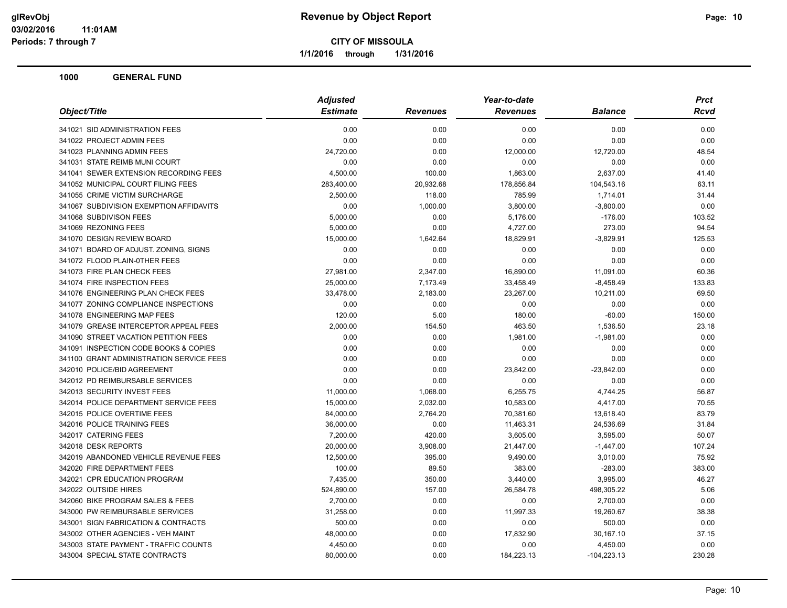**1/1/2016 through 1/31/2016**

|                                          | <b>Adjusted</b> |                 | Year-to-date    |                | <b>Prct</b> |
|------------------------------------------|-----------------|-----------------|-----------------|----------------|-------------|
| Object/Title                             | <b>Estimate</b> | <b>Revenues</b> | <b>Revenues</b> | <b>Balance</b> | <b>Rcvd</b> |
| 341021 SID ADMINISTRATION FEES           | 0.00            | 0.00            | 0.00            | 0.00           | 0.00        |
| 341022 PROJECT ADMIN FEES                | 0.00            | 0.00            | 0.00            | 0.00           | 0.00        |
| 341023 PLANNING ADMIN FEES               | 24,720.00       | 0.00            | 12,000.00       | 12,720.00      | 48.54       |
| 341031 STATE REIMB MUNI COURT            | 0.00            | 0.00            | 0.00            | 0.00           | 0.00        |
| 341041 SEWER EXTENSION RECORDING FEES    | 4,500.00        | 100.00          | 1,863.00        | 2,637.00       | 41.40       |
| 341052 MUNICIPAL COURT FILING FEES       | 283,400.00      | 20,932.68       | 178,856.84      | 104,543.16     | 63.11       |
| 341055 CRIME VICTIM SURCHARGE            | 2,500.00        | 118.00          | 785.99          | 1,714.01       | 31.44       |
| 341067 SUBDIVISION EXEMPTION AFFIDAVITS  | 0.00            | 1,000.00        | 3,800.00        | $-3,800.00$    | 0.00        |
| 341068 SUBDIVISON FEES                   | 5,000.00        | 0.00            | 5,176.00        | $-176.00$      | 103.52      |
| 341069 REZONING FEES                     | 5,000.00        | 0.00            | 4,727.00        | 273.00         | 94.54       |
| 341070 DESIGN REVIEW BOARD               | 15,000.00       | 1,642.64        | 18,829.91       | $-3,829.91$    | 125.53      |
| 341071 BOARD OF ADJUST. ZONING, SIGNS    | 0.00            | 0.00            | 0.00            | 0.00           | 0.00        |
| 341072 FLOOD PLAIN-0THER FEES            | 0.00            | 0.00            | 0.00            | 0.00           | 0.00        |
| 341073 FIRE PLAN CHECK FEES              | 27,981.00       | 2,347.00        | 16,890.00       | 11,091.00      | 60.36       |
| 341074 FIRE INSPECTION FEES              | 25,000.00       | 7,173.49        | 33,458.49       | $-8,458.49$    | 133.83      |
| 341076 ENGINEERING PLAN CHECK FEES       | 33,478.00       | 2,183.00        | 23,267.00       | 10,211.00      | 69.50       |
| 341077 ZONING COMPLIANCE INSPECTIONS     | 0.00            | 0.00            | 0.00            | 0.00           | 0.00        |
| 341078 ENGINEERING MAP FEES              | 120.00          | 5.00            | 180.00          | $-60.00$       | 150.00      |
| 341079 GREASE INTERCEPTOR APPEAL FEES    | 2,000.00        | 154.50          | 463.50          | 1,536.50       | 23.18       |
| 341090 STREET VACATION PETITION FEES     | 0.00            | 0.00            | 1,981.00        | $-1,981.00$    | 0.00        |
| 341091 INSPECTION CODE BOOKS & COPIES    | 0.00            | 0.00            | 0.00            | 0.00           | 0.00        |
| 341100 GRANT ADMINISTRATION SERVICE FEES | 0.00            | 0.00            | 0.00            | 0.00           | 0.00        |
| 342010 POLICE/BID AGREEMENT              | 0.00            | 0.00            | 23,842.00       | $-23,842.00$   | 0.00        |
| 342012 PD REIMBURSABLE SERVICES          | 0.00            | 0.00            | 0.00            | 0.00           | 0.00        |
| 342013 SECURITY INVEST FEES              | 11,000.00       | 1,068.00        | 6,255.75        | 4,744.25       | 56.87       |
| 342014 POLICE DEPARTMENT SERVICE FEES    | 15,000.00       | 2,032.00        | 10,583.00       | 4,417.00       | 70.55       |
| 342015 POLICE OVERTIME FEES              | 84,000.00       | 2,764.20        | 70,381.60       | 13,618.40      | 83.79       |
| 342016 POLICE TRAINING FEES              | 36,000.00       | 0.00            | 11,463.31       | 24,536.69      | 31.84       |
| 342017 CATERING FEES                     | 7,200.00        | 420.00          | 3,605.00        | 3,595.00       | 50.07       |
| 342018 DESK REPORTS                      | 20,000.00       | 3,908.00        | 21,447.00       | $-1,447.00$    | 107.24      |
| 342019 ABANDONED VEHICLE REVENUE FEES    | 12,500.00       | 395.00          | 9,490.00        | 3,010.00       | 75.92       |
| 342020 FIRE DEPARTMENT FEES              | 100.00          | 89.50           | 383.00          | $-283.00$      | 383.00      |
| 342021 CPR EDUCATION PROGRAM             | 7,435.00        | 350.00          | 3,440.00        | 3,995.00       | 46.27       |
| 342022 OUTSIDE HIRES                     | 524,890.00      | 157.00          | 26,584.78       | 498,305.22     | 5.06        |
| 342060 BIKE PROGRAM SALES & FEES         | 2,700.00        | 0.00            | 0.00            | 2,700.00       | 0.00        |
| 343000 PW REIMBURSABLE SERVICES          | 31,258.00       | 0.00            | 11,997.33       | 19,260.67      | 38.38       |
| 343001 SIGN FABRICATION & CONTRACTS      | 500.00          | 0.00            | 0.00            | 500.00         | 0.00        |
| 343002 OTHER AGENCIES - VEH MAINT        | 48,000.00       | 0.00            | 17,832.90       | 30,167.10      | 37.15       |
| 343003 STATE PAYMENT - TRAFFIC COUNTS    | 4,450.00        | 0.00            | 0.00            | 4,450.00       | 0.00        |
| 343004 SPECIAL STATE CONTRACTS           | 80,000.00       | 0.00            | 184,223.13      | $-104,223.13$  | 230.28      |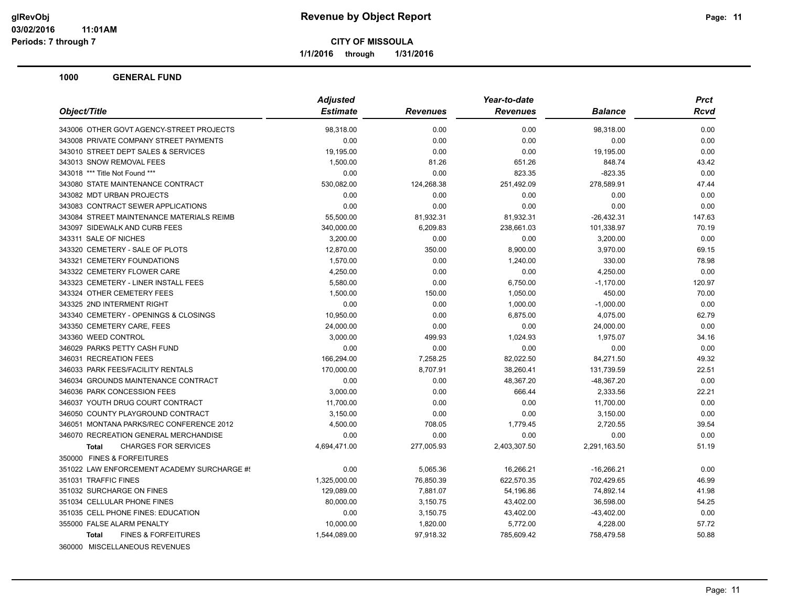**1/1/2016 through 1/31/2016**

|                                                | <b>Adjusted</b> | Year-to-date    |                 |                | <b>Prct</b> |
|------------------------------------------------|-----------------|-----------------|-----------------|----------------|-------------|
| Object/Title                                   | <b>Estimate</b> | <b>Revenues</b> | <b>Revenues</b> | <b>Balance</b> | <b>Rcvd</b> |
| 343006 OTHER GOVT AGENCY-STREET PROJECTS       | 98,318.00       | 0.00            | 0.00            | 98,318.00      | 0.00        |
| 343008 PRIVATE COMPANY STREET PAYMENTS         | 0.00            | 0.00            | 0.00            | 0.00           | 0.00        |
| 343010 STREET DEPT SALES & SERVICES            | 19,195.00       | 0.00            | 0.00            | 19,195.00      | 0.00        |
| 343013 SNOW REMOVAL FEES                       | 1,500.00        | 81.26           | 651.26          | 848.74         | 43.42       |
| 343018 *** Title Not Found ***                 | 0.00            | 0.00            | 823.35          | $-823.35$      | 0.00        |
| 343080 STATE MAINTENANCE CONTRACT              | 530,082.00      | 124,268.38      | 251,492.09      | 278,589.91     | 47.44       |
| 343082 MDT URBAN PROJECTS                      | 0.00            | 0.00            | 0.00            | 0.00           | 0.00        |
| 343083 CONTRACT SEWER APPLICATIONS             | 0.00            | 0.00            | 0.00            | 0.00           | 0.00        |
| 343084 STREET MAINTENANCE MATERIALS REIMB      | 55,500.00       | 81,932.31       | 81,932.31       | $-26,432.31$   | 147.63      |
| 343097 SIDEWALK AND CURB FEES                  | 340,000.00      | 6,209.83        | 238,661.03      | 101,338.97     | 70.19       |
| 343311 SALE OF NICHES                          | 3,200.00        | 0.00            | 0.00            | 3,200.00       | 0.00        |
| 343320 CEMETERY - SALE OF PLOTS                | 12,870.00       | 350.00          | 8,900.00        | 3,970.00       | 69.15       |
| 343321 CEMETERY FOUNDATIONS                    | 1,570.00        | 0.00            | 1,240.00        | 330.00         | 78.98       |
| 343322 CEMETERY FLOWER CARE                    | 4,250.00        | 0.00            | 0.00            | 4,250.00       | 0.00        |
| 343323 CEMETERY - LINER INSTALL FEES           | 5,580.00        | 0.00            | 6,750.00        | $-1,170.00$    | 120.97      |
| 343324 OTHER CEMETERY FEES                     | 1,500.00        | 150.00          | 1,050.00        | 450.00         | 70.00       |
| 343325 2ND INTERMENT RIGHT                     | 0.00            | 0.00            | 1,000.00        | $-1,000.00$    | 0.00        |
| 343340 CEMETERY - OPENINGS & CLOSINGS          | 10,950.00       | 0.00            | 6,875.00        | 4,075.00       | 62.79       |
| 343350 CEMETERY CARE, FEES                     | 24,000.00       | 0.00            | 0.00            | 24,000.00      | 0.00        |
| 343360 WEED CONTROL                            | 3,000.00        | 499.93          | 1,024.93        | 1,975.07       | 34.16       |
| 346029 PARKS PETTY CASH FUND                   | 0.00            | 0.00            | 0.00            | 0.00           | 0.00        |
| 346031 RECREATION FEES                         | 166,294.00      | 7,258.25        | 82,022.50       | 84,271.50      | 49.32       |
| 346033 PARK FEES/FACILITY RENTALS              | 170,000.00      | 8,707.91        | 38,260.41       | 131,739.59     | 22.51       |
| 346034 GROUNDS MAINTENANCE CONTRACT            | 0.00            | 0.00            | 48,367.20       | $-48,367.20$   | 0.00        |
| 346036 PARK CONCESSION FEES                    | 3,000.00        | 0.00            | 666.44          | 2,333.56       | 22.21       |
| 346037 YOUTH DRUG COURT CONTRACT               | 11,700.00       | 0.00            | 0.00            | 11,700.00      | 0.00        |
| 346050 COUNTY PLAYGROUND CONTRACT              | 3,150.00        | 0.00            | 0.00            | 3,150.00       | 0.00        |
| 346051 MONTANA PARKS/REC CONFERENCE 2012       | 4,500.00        | 708.05          | 1,779.45        | 2,720.55       | 39.54       |
| 346070 RECREATION GENERAL MERCHANDISE          | 0.00            | 0.00            | 0.00            | 0.00           | 0.00        |
| <b>CHARGES FOR SERVICES</b><br><b>Total</b>    | 4,694,471.00    | 277,005.93      | 2,403,307.50    | 2,291,163.50   | 51.19       |
| 350000 FINES & FORFEITURES                     |                 |                 |                 |                |             |
| 351022 LAW ENFORCEMENT ACADEMY SURCHARGE #!    | 0.00            | 5,065.36        | 16,266.21       | $-16,266.21$   | 0.00        |
| 351031 TRAFFIC FINES                           | 1,325,000.00    | 76,850.39       | 622.570.35      | 702,429.65     | 46.99       |
| 351032 SURCHARGE ON FINES                      | 129,089.00      | 7,881.07        | 54,196.86       | 74,892.14      | 41.98       |
| 351034 CELLULAR PHONE FINES                    | 80,000.00       | 3,150.75        | 43,402.00       | 36,598.00      | 54.25       |
| 351035 CELL PHONE FINES: EDUCATION             | 0.00            | 3,150.75        | 43,402.00       | $-43,402.00$   | 0.00        |
| 355000 FALSE ALARM PENALTY                     | 10,000.00       | 1,820.00        | 5,772.00        | 4,228.00       | 57.72       |
| <b>FINES &amp; FORFEITURES</b><br><b>Total</b> | 1,544,089.00    | 97,918.32       | 785,609.42      | 758,479.58     | 50.88       |
| 360000 MISCELLANEOUS REVENUES                  |                 |                 |                 |                |             |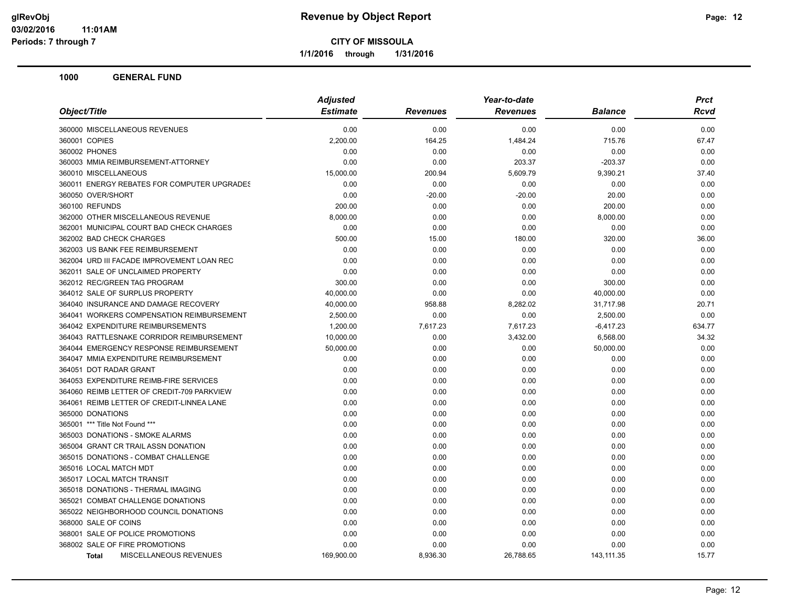**1/1/2016 through 1/31/2016**

| 0.00<br>0.00<br>0.00<br>0.00<br>360000 MISCELLANEOUS REVENUES<br>360001 COPIES<br>2,200.00<br>164.25<br>1,484.24<br>715.76<br>360002 PHONES<br>0.00<br>0.00<br>0.00<br>0.00<br>0.00<br>0.00<br>360003 MMIA REIMBURSEMENT-ATTORNEY<br>203.37<br>$-203.37$<br>360010 MISCELLANEOUS<br>200.94<br>5,609.79<br>9,390.21<br>15,000.00<br>360011 ENERGY REBATES FOR COMPUTER UPGRADES<br>0.00<br>0.00<br>0.00<br>0.00<br>360050 OVER/SHORT<br>0.00<br>$-20.00$<br>$-20.00$<br>20.00<br>360100 REFUNDS<br>0.00<br>200.00<br>0.00<br>200.00<br>0.00<br>0.00<br>8,000.00<br>362000 OTHER MISCELLANEOUS REVENUE<br>8,000.00<br>362001 MUNICIPAL COURT BAD CHECK CHARGES<br>0.00<br>0.00<br>0.00<br>0.00<br>362002 BAD CHECK CHARGES<br>500.00<br>15.00<br>180.00<br>320.00<br>362003 US BANK FEE REIMBURSEMENT<br>0.00<br>0.00<br>0.00<br>0.00<br>0.00<br>362004 URD III FACADE IMPROVEMENT LOAN REC<br>0.00<br>0.00<br>0.00<br>362011 SALE OF UNCLAIMED PROPERTY<br>0.00<br>0.00<br>0.00<br>0.00<br>362012 REC/GREEN TAG PROGRAM<br>300.00<br>0.00<br>0.00<br>300.00<br>364012 SALE OF SURPLUS PROPERTY<br>40,000.00<br>0.00<br>0.00<br>40,000.00<br>364040 INSURANCE AND DAMAGE RECOVERY<br>40,000.00<br>8,282.02<br>958.88<br>31,717.98<br>364041 WORKERS COMPENSATION REIMBURSEMENT<br>2,500.00<br>0.00<br>0.00<br>2,500.00<br>364042 EXPENDITURE REIMBURSEMENTS<br>1,200.00<br>7,617.23<br>7,617.23<br>$-6,417.23$<br>364043 RATTLESNAKE CORRIDOR REIMBURSEMENT<br>10,000.00<br>3,432.00<br>0.00<br>6,568.00<br>364044 EMERGENCY RESPONSE REIMBURSEMENT<br>50,000.00<br>0.00<br>0.00<br>50,000.00<br>364047 MMIA EXPENDITURE REIMBURSEMENT<br>0.00<br>0.00<br>0.00<br>0.00<br>364051 DOT RADAR GRANT<br>0.00<br>0.00<br>0.00<br>0.00<br>364053 EXPENDITURE REIMB-FIRE SERVICES<br>0.00<br>0.00<br>0.00<br>0.00<br>364060 REIMB LETTER OF CREDIT-709 PARKVIEW<br>0.00<br>0.00<br>0.00<br>0.00<br>364061 REIMB LETTER OF CREDIT-LINNEA LANE<br>0.00<br>0.00<br>0.00<br>0.00<br>365000 DONATIONS<br>0.00<br>0.00<br>0.00<br>0.00<br>365001 *** Title Not Found ***<br>0.00<br>0.00<br>0.00<br>0.00<br>365003 DONATIONS - SMOKE ALARMS<br>0.00<br>0.00<br>0.00<br>0.00<br>0.00<br>0.00<br>365004 GRANT CR TRAIL ASSN DONATION<br>0.00<br>0.00<br>365015 DONATIONS - COMBAT CHALLENGE<br>0.00<br>0.00<br>0.00<br>0.00<br>365016 LOCAL MATCH MDT<br>0.00<br>0.00<br>0.00<br>0.00<br>365017 LOCAL MATCH TRANSIT<br>0.00<br>0.00<br>0.00<br>0.00<br>365018 DONATIONS - THERMAL IMAGING<br>0.00<br>0.00<br>0.00<br>0.00<br>365021 COMBAT CHALLENGE DONATIONS<br>0.00<br>0.00<br>0.00<br>0.00<br>365022 NEIGHBORHOOD COUNCIL DONATIONS<br>0.00<br>0.00<br>0.00<br>0.00 | Object/Title         | <b>Adjusted</b><br><b>Estimate</b> | <b>Revenues</b> | Year-to-date<br><b>Revenues</b> | <b>Balance</b> | <b>Prct</b><br>Rcvd |
|--------------------------------------------------------------------------------------------------------------------------------------------------------------------------------------------------------------------------------------------------------------------------------------------------------------------------------------------------------------------------------------------------------------------------------------------------------------------------------------------------------------------------------------------------------------------------------------------------------------------------------------------------------------------------------------------------------------------------------------------------------------------------------------------------------------------------------------------------------------------------------------------------------------------------------------------------------------------------------------------------------------------------------------------------------------------------------------------------------------------------------------------------------------------------------------------------------------------------------------------------------------------------------------------------------------------------------------------------------------------------------------------------------------------------------------------------------------------------------------------------------------------------------------------------------------------------------------------------------------------------------------------------------------------------------------------------------------------------------------------------------------------------------------------------------------------------------------------------------------------------------------------------------------------------------------------------------------------------------------------------------------------------------------------------------------------------------------------------------------------------------------------------------------------------------------------------------------------------------------------------------------------------------------------------------------------------------------------------------------------------------------------------------------------------------------------------------------------------------------------------------------------------------------------------------------------------------------------------------------------------------------------------------|----------------------|------------------------------------|-----------------|---------------------------------|----------------|---------------------|
|                                                                                                                                                                                                                                                                                                                                                                                                                                                                                                                                                                                                                                                                                                                                                                                                                                                                                                                                                                                                                                                                                                                                                                                                                                                                                                                                                                                                                                                                                                                                                                                                                                                                                                                                                                                                                                                                                                                                                                                                                                                                                                                                                                                                                                                                                                                                                                                                                                                                                                                                                                                                                                                        |                      |                                    |                 |                                 |                | 0.00                |
|                                                                                                                                                                                                                                                                                                                                                                                                                                                                                                                                                                                                                                                                                                                                                                                                                                                                                                                                                                                                                                                                                                                                                                                                                                                                                                                                                                                                                                                                                                                                                                                                                                                                                                                                                                                                                                                                                                                                                                                                                                                                                                                                                                                                                                                                                                                                                                                                                                                                                                                                                                                                                                                        |                      |                                    |                 |                                 |                | 67.47               |
|                                                                                                                                                                                                                                                                                                                                                                                                                                                                                                                                                                                                                                                                                                                                                                                                                                                                                                                                                                                                                                                                                                                                                                                                                                                                                                                                                                                                                                                                                                                                                                                                                                                                                                                                                                                                                                                                                                                                                                                                                                                                                                                                                                                                                                                                                                                                                                                                                                                                                                                                                                                                                                                        |                      |                                    |                 |                                 |                | 0.00                |
|                                                                                                                                                                                                                                                                                                                                                                                                                                                                                                                                                                                                                                                                                                                                                                                                                                                                                                                                                                                                                                                                                                                                                                                                                                                                                                                                                                                                                                                                                                                                                                                                                                                                                                                                                                                                                                                                                                                                                                                                                                                                                                                                                                                                                                                                                                                                                                                                                                                                                                                                                                                                                                                        |                      |                                    |                 |                                 |                | 0.00                |
|                                                                                                                                                                                                                                                                                                                                                                                                                                                                                                                                                                                                                                                                                                                                                                                                                                                                                                                                                                                                                                                                                                                                                                                                                                                                                                                                                                                                                                                                                                                                                                                                                                                                                                                                                                                                                                                                                                                                                                                                                                                                                                                                                                                                                                                                                                                                                                                                                                                                                                                                                                                                                                                        |                      |                                    |                 |                                 |                | 37.40               |
|                                                                                                                                                                                                                                                                                                                                                                                                                                                                                                                                                                                                                                                                                                                                                                                                                                                                                                                                                                                                                                                                                                                                                                                                                                                                                                                                                                                                                                                                                                                                                                                                                                                                                                                                                                                                                                                                                                                                                                                                                                                                                                                                                                                                                                                                                                                                                                                                                                                                                                                                                                                                                                                        |                      |                                    |                 |                                 |                | 0.00                |
|                                                                                                                                                                                                                                                                                                                                                                                                                                                                                                                                                                                                                                                                                                                                                                                                                                                                                                                                                                                                                                                                                                                                                                                                                                                                                                                                                                                                                                                                                                                                                                                                                                                                                                                                                                                                                                                                                                                                                                                                                                                                                                                                                                                                                                                                                                                                                                                                                                                                                                                                                                                                                                                        |                      |                                    |                 |                                 |                | 0.00                |
|                                                                                                                                                                                                                                                                                                                                                                                                                                                                                                                                                                                                                                                                                                                                                                                                                                                                                                                                                                                                                                                                                                                                                                                                                                                                                                                                                                                                                                                                                                                                                                                                                                                                                                                                                                                                                                                                                                                                                                                                                                                                                                                                                                                                                                                                                                                                                                                                                                                                                                                                                                                                                                                        |                      |                                    |                 |                                 |                | 0.00                |
|                                                                                                                                                                                                                                                                                                                                                                                                                                                                                                                                                                                                                                                                                                                                                                                                                                                                                                                                                                                                                                                                                                                                                                                                                                                                                                                                                                                                                                                                                                                                                                                                                                                                                                                                                                                                                                                                                                                                                                                                                                                                                                                                                                                                                                                                                                                                                                                                                                                                                                                                                                                                                                                        |                      |                                    |                 |                                 |                | 0.00                |
|                                                                                                                                                                                                                                                                                                                                                                                                                                                                                                                                                                                                                                                                                                                                                                                                                                                                                                                                                                                                                                                                                                                                                                                                                                                                                                                                                                                                                                                                                                                                                                                                                                                                                                                                                                                                                                                                                                                                                                                                                                                                                                                                                                                                                                                                                                                                                                                                                                                                                                                                                                                                                                                        |                      |                                    |                 |                                 |                | 0.00                |
|                                                                                                                                                                                                                                                                                                                                                                                                                                                                                                                                                                                                                                                                                                                                                                                                                                                                                                                                                                                                                                                                                                                                                                                                                                                                                                                                                                                                                                                                                                                                                                                                                                                                                                                                                                                                                                                                                                                                                                                                                                                                                                                                                                                                                                                                                                                                                                                                                                                                                                                                                                                                                                                        |                      |                                    |                 |                                 |                | 36.00               |
|                                                                                                                                                                                                                                                                                                                                                                                                                                                                                                                                                                                                                                                                                                                                                                                                                                                                                                                                                                                                                                                                                                                                                                                                                                                                                                                                                                                                                                                                                                                                                                                                                                                                                                                                                                                                                                                                                                                                                                                                                                                                                                                                                                                                                                                                                                                                                                                                                                                                                                                                                                                                                                                        |                      |                                    |                 |                                 |                | 0.00                |
|                                                                                                                                                                                                                                                                                                                                                                                                                                                                                                                                                                                                                                                                                                                                                                                                                                                                                                                                                                                                                                                                                                                                                                                                                                                                                                                                                                                                                                                                                                                                                                                                                                                                                                                                                                                                                                                                                                                                                                                                                                                                                                                                                                                                                                                                                                                                                                                                                                                                                                                                                                                                                                                        |                      |                                    |                 |                                 |                | 0.00                |
|                                                                                                                                                                                                                                                                                                                                                                                                                                                                                                                                                                                                                                                                                                                                                                                                                                                                                                                                                                                                                                                                                                                                                                                                                                                                                                                                                                                                                                                                                                                                                                                                                                                                                                                                                                                                                                                                                                                                                                                                                                                                                                                                                                                                                                                                                                                                                                                                                                                                                                                                                                                                                                                        |                      |                                    |                 |                                 |                | 0.00                |
|                                                                                                                                                                                                                                                                                                                                                                                                                                                                                                                                                                                                                                                                                                                                                                                                                                                                                                                                                                                                                                                                                                                                                                                                                                                                                                                                                                                                                                                                                                                                                                                                                                                                                                                                                                                                                                                                                                                                                                                                                                                                                                                                                                                                                                                                                                                                                                                                                                                                                                                                                                                                                                                        |                      |                                    |                 |                                 |                | 0.00                |
|                                                                                                                                                                                                                                                                                                                                                                                                                                                                                                                                                                                                                                                                                                                                                                                                                                                                                                                                                                                                                                                                                                                                                                                                                                                                                                                                                                                                                                                                                                                                                                                                                                                                                                                                                                                                                                                                                                                                                                                                                                                                                                                                                                                                                                                                                                                                                                                                                                                                                                                                                                                                                                                        |                      |                                    |                 |                                 |                | 0.00                |
|                                                                                                                                                                                                                                                                                                                                                                                                                                                                                                                                                                                                                                                                                                                                                                                                                                                                                                                                                                                                                                                                                                                                                                                                                                                                                                                                                                                                                                                                                                                                                                                                                                                                                                                                                                                                                                                                                                                                                                                                                                                                                                                                                                                                                                                                                                                                                                                                                                                                                                                                                                                                                                                        |                      |                                    |                 |                                 |                | 20.71               |
|                                                                                                                                                                                                                                                                                                                                                                                                                                                                                                                                                                                                                                                                                                                                                                                                                                                                                                                                                                                                                                                                                                                                                                                                                                                                                                                                                                                                                                                                                                                                                                                                                                                                                                                                                                                                                                                                                                                                                                                                                                                                                                                                                                                                                                                                                                                                                                                                                                                                                                                                                                                                                                                        |                      |                                    |                 |                                 |                | 0.00                |
|                                                                                                                                                                                                                                                                                                                                                                                                                                                                                                                                                                                                                                                                                                                                                                                                                                                                                                                                                                                                                                                                                                                                                                                                                                                                                                                                                                                                                                                                                                                                                                                                                                                                                                                                                                                                                                                                                                                                                                                                                                                                                                                                                                                                                                                                                                                                                                                                                                                                                                                                                                                                                                                        |                      |                                    |                 |                                 |                | 634.77              |
|                                                                                                                                                                                                                                                                                                                                                                                                                                                                                                                                                                                                                                                                                                                                                                                                                                                                                                                                                                                                                                                                                                                                                                                                                                                                                                                                                                                                                                                                                                                                                                                                                                                                                                                                                                                                                                                                                                                                                                                                                                                                                                                                                                                                                                                                                                                                                                                                                                                                                                                                                                                                                                                        |                      |                                    |                 |                                 |                | 34.32               |
|                                                                                                                                                                                                                                                                                                                                                                                                                                                                                                                                                                                                                                                                                                                                                                                                                                                                                                                                                                                                                                                                                                                                                                                                                                                                                                                                                                                                                                                                                                                                                                                                                                                                                                                                                                                                                                                                                                                                                                                                                                                                                                                                                                                                                                                                                                                                                                                                                                                                                                                                                                                                                                                        |                      |                                    |                 |                                 |                | 0.00                |
|                                                                                                                                                                                                                                                                                                                                                                                                                                                                                                                                                                                                                                                                                                                                                                                                                                                                                                                                                                                                                                                                                                                                                                                                                                                                                                                                                                                                                                                                                                                                                                                                                                                                                                                                                                                                                                                                                                                                                                                                                                                                                                                                                                                                                                                                                                                                                                                                                                                                                                                                                                                                                                                        |                      |                                    |                 |                                 |                | 0.00                |
|                                                                                                                                                                                                                                                                                                                                                                                                                                                                                                                                                                                                                                                                                                                                                                                                                                                                                                                                                                                                                                                                                                                                                                                                                                                                                                                                                                                                                                                                                                                                                                                                                                                                                                                                                                                                                                                                                                                                                                                                                                                                                                                                                                                                                                                                                                                                                                                                                                                                                                                                                                                                                                                        |                      |                                    |                 |                                 |                | 0.00                |
|                                                                                                                                                                                                                                                                                                                                                                                                                                                                                                                                                                                                                                                                                                                                                                                                                                                                                                                                                                                                                                                                                                                                                                                                                                                                                                                                                                                                                                                                                                                                                                                                                                                                                                                                                                                                                                                                                                                                                                                                                                                                                                                                                                                                                                                                                                                                                                                                                                                                                                                                                                                                                                                        |                      |                                    |                 |                                 |                | 0.00                |
|                                                                                                                                                                                                                                                                                                                                                                                                                                                                                                                                                                                                                                                                                                                                                                                                                                                                                                                                                                                                                                                                                                                                                                                                                                                                                                                                                                                                                                                                                                                                                                                                                                                                                                                                                                                                                                                                                                                                                                                                                                                                                                                                                                                                                                                                                                                                                                                                                                                                                                                                                                                                                                                        |                      |                                    |                 |                                 |                | 0.00                |
|                                                                                                                                                                                                                                                                                                                                                                                                                                                                                                                                                                                                                                                                                                                                                                                                                                                                                                                                                                                                                                                                                                                                                                                                                                                                                                                                                                                                                                                                                                                                                                                                                                                                                                                                                                                                                                                                                                                                                                                                                                                                                                                                                                                                                                                                                                                                                                                                                                                                                                                                                                                                                                                        |                      |                                    |                 |                                 |                | 0.00                |
|                                                                                                                                                                                                                                                                                                                                                                                                                                                                                                                                                                                                                                                                                                                                                                                                                                                                                                                                                                                                                                                                                                                                                                                                                                                                                                                                                                                                                                                                                                                                                                                                                                                                                                                                                                                                                                                                                                                                                                                                                                                                                                                                                                                                                                                                                                                                                                                                                                                                                                                                                                                                                                                        |                      |                                    |                 |                                 |                | 0.00                |
|                                                                                                                                                                                                                                                                                                                                                                                                                                                                                                                                                                                                                                                                                                                                                                                                                                                                                                                                                                                                                                                                                                                                                                                                                                                                                                                                                                                                                                                                                                                                                                                                                                                                                                                                                                                                                                                                                                                                                                                                                                                                                                                                                                                                                                                                                                                                                                                                                                                                                                                                                                                                                                                        |                      |                                    |                 |                                 |                | 0.00                |
|                                                                                                                                                                                                                                                                                                                                                                                                                                                                                                                                                                                                                                                                                                                                                                                                                                                                                                                                                                                                                                                                                                                                                                                                                                                                                                                                                                                                                                                                                                                                                                                                                                                                                                                                                                                                                                                                                                                                                                                                                                                                                                                                                                                                                                                                                                                                                                                                                                                                                                                                                                                                                                                        |                      |                                    |                 |                                 |                | 0.00                |
|                                                                                                                                                                                                                                                                                                                                                                                                                                                                                                                                                                                                                                                                                                                                                                                                                                                                                                                                                                                                                                                                                                                                                                                                                                                                                                                                                                                                                                                                                                                                                                                                                                                                                                                                                                                                                                                                                                                                                                                                                                                                                                                                                                                                                                                                                                                                                                                                                                                                                                                                                                                                                                                        |                      |                                    |                 |                                 |                | 0.00                |
|                                                                                                                                                                                                                                                                                                                                                                                                                                                                                                                                                                                                                                                                                                                                                                                                                                                                                                                                                                                                                                                                                                                                                                                                                                                                                                                                                                                                                                                                                                                                                                                                                                                                                                                                                                                                                                                                                                                                                                                                                                                                                                                                                                                                                                                                                                                                                                                                                                                                                                                                                                                                                                                        |                      |                                    |                 |                                 |                | 0.00                |
|                                                                                                                                                                                                                                                                                                                                                                                                                                                                                                                                                                                                                                                                                                                                                                                                                                                                                                                                                                                                                                                                                                                                                                                                                                                                                                                                                                                                                                                                                                                                                                                                                                                                                                                                                                                                                                                                                                                                                                                                                                                                                                                                                                                                                                                                                                                                                                                                                                                                                                                                                                                                                                                        |                      |                                    |                 |                                 |                | 0.00                |
|                                                                                                                                                                                                                                                                                                                                                                                                                                                                                                                                                                                                                                                                                                                                                                                                                                                                                                                                                                                                                                                                                                                                                                                                                                                                                                                                                                                                                                                                                                                                                                                                                                                                                                                                                                                                                                                                                                                                                                                                                                                                                                                                                                                                                                                                                                                                                                                                                                                                                                                                                                                                                                                        |                      |                                    |                 |                                 |                | 0.00                |
|                                                                                                                                                                                                                                                                                                                                                                                                                                                                                                                                                                                                                                                                                                                                                                                                                                                                                                                                                                                                                                                                                                                                                                                                                                                                                                                                                                                                                                                                                                                                                                                                                                                                                                                                                                                                                                                                                                                                                                                                                                                                                                                                                                                                                                                                                                                                                                                                                                                                                                                                                                                                                                                        |                      |                                    |                 |                                 |                | 0.00                |
|                                                                                                                                                                                                                                                                                                                                                                                                                                                                                                                                                                                                                                                                                                                                                                                                                                                                                                                                                                                                                                                                                                                                                                                                                                                                                                                                                                                                                                                                                                                                                                                                                                                                                                                                                                                                                                                                                                                                                                                                                                                                                                                                                                                                                                                                                                                                                                                                                                                                                                                                                                                                                                                        |                      |                                    |                 |                                 |                |                     |
|                                                                                                                                                                                                                                                                                                                                                                                                                                                                                                                                                                                                                                                                                                                                                                                                                                                                                                                                                                                                                                                                                                                                                                                                                                                                                                                                                                                                                                                                                                                                                                                                                                                                                                                                                                                                                                                                                                                                                                                                                                                                                                                                                                                                                                                                                                                                                                                                                                                                                                                                                                                                                                                        |                      |                                    |                 |                                 |                | 0.00<br>0.00        |
|                                                                                                                                                                                                                                                                                                                                                                                                                                                                                                                                                                                                                                                                                                                                                                                                                                                                                                                                                                                                                                                                                                                                                                                                                                                                                                                                                                                                                                                                                                                                                                                                                                                                                                                                                                                                                                                                                                                                                                                                                                                                                                                                                                                                                                                                                                                                                                                                                                                                                                                                                                                                                                                        | 368000 SALE OF COINS | 0.00                               | 0.00            | 0.00                            | 0.00           | 0.00                |
| 368001 SALE OF POLICE PROMOTIONS<br>0.00<br>0.00<br>0.00<br>0.00                                                                                                                                                                                                                                                                                                                                                                                                                                                                                                                                                                                                                                                                                                                                                                                                                                                                                                                                                                                                                                                                                                                                                                                                                                                                                                                                                                                                                                                                                                                                                                                                                                                                                                                                                                                                                                                                                                                                                                                                                                                                                                                                                                                                                                                                                                                                                                                                                                                                                                                                                                                       |                      |                                    |                 |                                 |                | 0.00                |
| 368002 SALE OF FIRE PROMOTIONS<br>0.00<br>0.00<br>0.00<br>0.00                                                                                                                                                                                                                                                                                                                                                                                                                                                                                                                                                                                                                                                                                                                                                                                                                                                                                                                                                                                                                                                                                                                                                                                                                                                                                                                                                                                                                                                                                                                                                                                                                                                                                                                                                                                                                                                                                                                                                                                                                                                                                                                                                                                                                                                                                                                                                                                                                                                                                                                                                                                         |                      |                                    |                 |                                 |                | 0.00                |
| 26,788.65<br><b>MISCELLANEOUS REVENUES</b><br>169,900.00<br>8,936.30<br>143,111.35<br><b>Total</b>                                                                                                                                                                                                                                                                                                                                                                                                                                                                                                                                                                                                                                                                                                                                                                                                                                                                                                                                                                                                                                                                                                                                                                                                                                                                                                                                                                                                                                                                                                                                                                                                                                                                                                                                                                                                                                                                                                                                                                                                                                                                                                                                                                                                                                                                                                                                                                                                                                                                                                                                                     |                      |                                    |                 |                                 |                | 15.77               |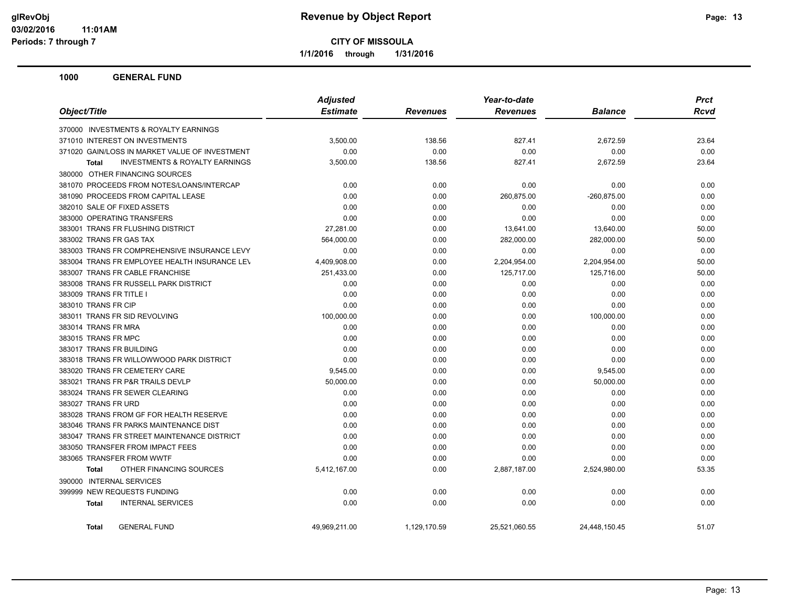**1/1/2016 through 1/31/2016**

| Object/Title                                              | <b>Adjusted</b> |              | Year-to-date    |                |             |
|-----------------------------------------------------------|-----------------|--------------|-----------------|----------------|-------------|
|                                                           | <b>Estimate</b> | Revenues     | <b>Revenues</b> | <b>Balance</b> | <b>Rcvd</b> |
| 370000 INVESTMENTS & ROYALTY EARNINGS                     |                 |              |                 |                |             |
| 371010 INTEREST ON INVESTMENTS                            | 3,500.00        | 138.56       | 827.41          | 2,672.59       | 23.64       |
| 371020 GAIN/LOSS IN MARKET VALUE OF INVESTMENT            | 0.00            | 0.00         | 0.00            | 0.00           | 0.00        |
| <b>INVESTMENTS &amp; ROYALTY EARNINGS</b><br><b>Total</b> | 3,500.00        | 138.56       | 827.41          | 2,672.59       | 23.64       |
| 380000 OTHER FINANCING SOURCES                            |                 |              |                 |                |             |
| 381070 PROCEEDS FROM NOTES/LOANS/INTERCAP                 | 0.00            | 0.00         | 0.00            | 0.00           | 0.00        |
| 381090 PROCEEDS FROM CAPITAL LEASE                        | 0.00            | 0.00         | 260,875.00      | $-260,875.00$  | 0.00        |
| 382010 SALE OF FIXED ASSETS                               | 0.00            | 0.00         | 0.00            | 0.00           | 0.00        |
| 383000 OPERATING TRANSFERS                                | 0.00            | 0.00         | 0.00            | 0.00           | 0.00        |
| 383001 TRANS FR FLUSHING DISTRICT                         | 27,281.00       | 0.00         | 13,641.00       | 13,640.00      | 50.00       |
| 383002 TRANS FR GAS TAX                                   | 564,000.00      | 0.00         | 282,000.00      | 282,000.00     | 50.00       |
| 383003 TRANS FR COMPREHENSIVE INSURANCE LEVY              | 0.00            | 0.00         | 0.00            | 0.00           | 0.00        |
| 383004 TRANS FR EMPLOYEE HEALTH INSURANCE LEV             | 4,409,908.00    | 0.00         | 2,204,954.00    | 2,204,954.00   | 50.00       |
| 383007 TRANS FR CABLE FRANCHISE                           | 251,433.00      | 0.00         | 125,717.00      | 125,716.00     | 50.00       |
| 383008 TRANS FR RUSSELL PARK DISTRICT                     | 0.00            | 0.00         | 0.00            | 0.00           | 0.00        |
| 383009 TRANS FR TITLE I                                   | 0.00            | 0.00         | 0.00            | 0.00           | 0.00        |
| 383010 TRANS FR CIP                                       | 0.00            | 0.00         | 0.00            | 0.00           | 0.00        |
| 383011 TRANS FR SID REVOLVING                             | 100,000.00      | 0.00         | 0.00            | 100,000.00     | 0.00        |
| 383014 TRANS FR MRA                                       | 0.00            | 0.00         | 0.00            | 0.00           | 0.00        |
| 383015 TRANS FR MPC                                       | 0.00            | 0.00         | 0.00            | 0.00           | 0.00        |
| 383017 TRANS FR BUILDING                                  | 0.00            | 0.00         | 0.00            | 0.00           | 0.00        |
| 383018 TRANS FR WILLOWWOOD PARK DISTRICT                  | 0.00            | 0.00         | 0.00            | 0.00           | 0.00        |
| 383020 TRANS FR CEMETERY CARE                             | 9,545.00        | 0.00         | 0.00            | 9,545.00       | 0.00        |
| 383021 TRANS FR P&R TRAILS DEVLP                          | 50,000.00       | 0.00         | 0.00            | 50,000.00      | 0.00        |
| 383024 TRANS FR SEWER CLEARING                            | 0.00            | 0.00         | 0.00            | 0.00           | 0.00        |
| 383027 TRANS FR URD                                       | 0.00            | 0.00         | 0.00            | 0.00           | 0.00        |
| 383028 TRANS FROM GF FOR HEALTH RESERVE                   | 0.00            | 0.00         | 0.00            | 0.00           | 0.00        |
| 383046 TRANS FR PARKS MAINTENANCE DIST                    | 0.00            | 0.00         | 0.00            | 0.00           | 0.00        |
| 383047 TRANS FR STREET MAINTENANCE DISTRICT               | 0.00            | 0.00         | 0.00            | 0.00           | 0.00        |
| 383050 TRANSFER FROM IMPACT FEES                          | 0.00            | 0.00         | 0.00            | 0.00           | 0.00        |
| 383065 TRANSFER FROM WWTF                                 | 0.00            | 0.00         | 0.00            | 0.00           | 0.00        |
| OTHER FINANCING SOURCES<br><b>Total</b>                   | 5,412,167.00    | 0.00         | 2,887,187.00    | 2,524,980.00   | 53.35       |
| 390000 INTERNAL SERVICES                                  |                 |              |                 |                |             |
| 399999 NEW REQUESTS FUNDING                               | 0.00            | 0.00         | 0.00            | 0.00           | 0.00        |
| <b>INTERNAL SERVICES</b><br>Total                         | 0.00            | 0.00         | 0.00            | 0.00           | 0.00        |
| <b>GENERAL FUND</b><br>Total                              | 49,969,211.00   | 1,129,170.59 | 25,521,060.55   | 24,448,150.45  | 51.07       |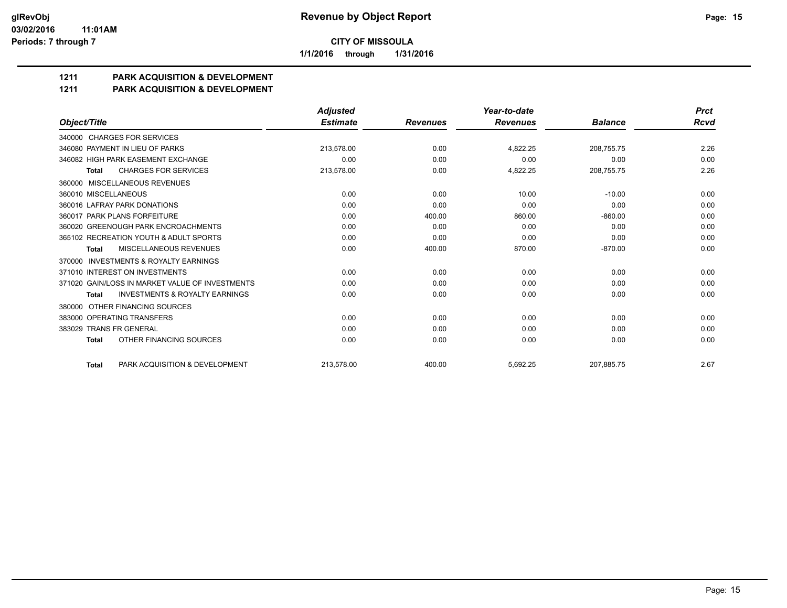**1/1/2016 through 1/31/2016**

# **1211 PARK ACQUISITION & DEVELOPMENT**

#### **1211 PARK ACQUISITION & DEVELOPMENT**

| Object/Title                                              | <b>Adjusted</b> |                 | Year-to-date    |                | <b>Prct</b> |
|-----------------------------------------------------------|-----------------|-----------------|-----------------|----------------|-------------|
|                                                           | <b>Estimate</b> | <b>Revenues</b> | <b>Revenues</b> | <b>Balance</b> | Rcvd        |
| 340000 CHARGES FOR SERVICES                               |                 |                 |                 |                |             |
| 346080 PAYMENT IN LIEU OF PARKS                           | 213.578.00      | 0.00            | 4,822.25        | 208.755.75     | 2.26        |
| 346082 HIGH PARK EASEMENT EXCHANGE                        | 0.00            | 0.00            | 0.00            | 0.00           | 0.00        |
| <b>CHARGES FOR SERVICES</b><br>Total                      | 213,578.00      | 0.00            | 4,822.25        | 208,755.75     | 2.26        |
| MISCELLANEOUS REVENUES<br>360000                          |                 |                 |                 |                |             |
| 360010 MISCELLANEOUS                                      | 0.00            | 0.00            | 10.00           | $-10.00$       | 0.00        |
| 360016 LAFRAY PARK DONATIONS                              | 0.00            | 0.00            | 0.00            | 0.00           | 0.00        |
| 360017 PARK PLANS FORFEITURE                              | 0.00            | 400.00          | 860.00          | $-860.00$      | 0.00        |
| 360020 GREENOUGH PARK ENCROACHMENTS                       | 0.00            | 0.00            | 0.00            | 0.00           | 0.00        |
| 365102 RECREATION YOUTH & ADULT SPORTS                    | 0.00            | 0.00            | 0.00            | 0.00           | 0.00        |
| MISCELLANEOUS REVENUES<br>Total                           | 0.00            | 400.00          | 870.00          | $-870.00$      | 0.00        |
| <b>INVESTMENTS &amp; ROYALTY EARNINGS</b><br>370000       |                 |                 |                 |                |             |
| 371010 INTEREST ON INVESTMENTS                            | 0.00            | 0.00            | 0.00            | 0.00           | 0.00        |
| 371020 GAIN/LOSS IN MARKET VALUE OF INVESTMENTS           | 0.00            | 0.00            | 0.00            | 0.00           | 0.00        |
| <b>INVESTMENTS &amp; ROYALTY EARNINGS</b><br><b>Total</b> | 0.00            | 0.00            | 0.00            | 0.00           | 0.00        |
| OTHER FINANCING SOURCES<br>380000                         |                 |                 |                 |                |             |
| 383000 OPERATING TRANSFERS                                | 0.00            | 0.00            | 0.00            | 0.00           | 0.00        |
| 383029 TRANS FR GENERAL                                   | 0.00            | 0.00            | 0.00            | 0.00           | 0.00        |
| OTHER FINANCING SOURCES<br><b>Total</b>                   | 0.00            | 0.00            | 0.00            | 0.00           | 0.00        |
| PARK ACQUISITION & DEVELOPMENT<br><b>Total</b>            | 213.578.00      | 400.00          | 5.692.25        | 207.885.75     | 2.67        |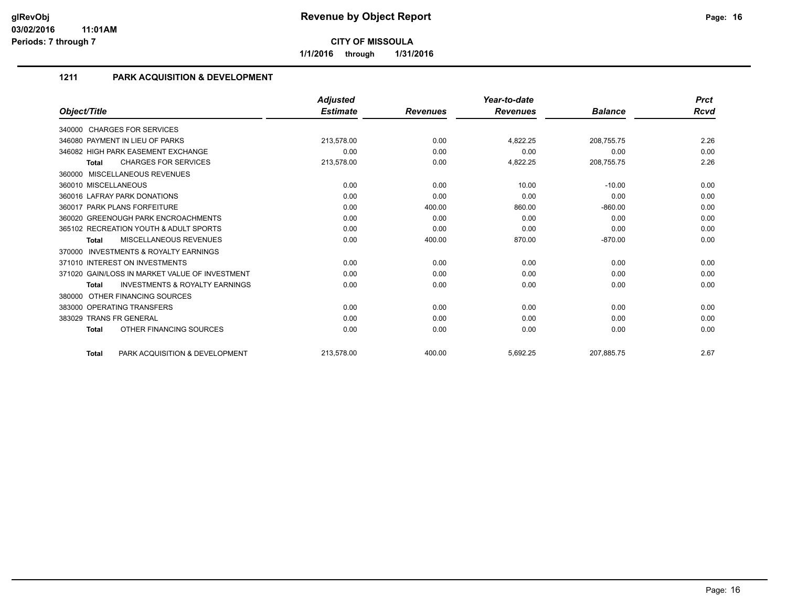**1/1/2016 through 1/31/2016**

# **1211 PARK ACQUISITION & DEVELOPMENT**

|                                                     | <b>Adjusted</b> |                 | Year-to-date    |                | <b>Prct</b> |
|-----------------------------------------------------|-----------------|-----------------|-----------------|----------------|-------------|
| Object/Title                                        | <b>Estimate</b> | <b>Revenues</b> | <b>Revenues</b> | <b>Balance</b> | Rcvd        |
| 340000 CHARGES FOR SERVICES                         |                 |                 |                 |                |             |
| 346080 PAYMENT IN LIEU OF PARKS                     | 213,578.00      | 0.00            | 4,822.25        | 208,755.75     | 2.26        |
| 346082 HIGH PARK EASEMENT EXCHANGE                  | 0.00            | 0.00            | 0.00            | 0.00           | 0.00        |
| <b>CHARGES FOR SERVICES</b><br><b>Total</b>         | 213,578.00      | 0.00            | 4,822.25        | 208,755.75     | 2.26        |
| 360000 MISCELLANEOUS REVENUES                       |                 |                 |                 |                |             |
| 360010 MISCELLANEOUS                                | 0.00            | 0.00            | 10.00           | $-10.00$       | 0.00        |
| 360016 LAFRAY PARK DONATIONS                        | 0.00            | 0.00            | 0.00            | 0.00           | 0.00        |
| 360017 PARK PLANS FORFEITURE                        | 0.00            | 400.00          | 860.00          | $-860.00$      | 0.00        |
| 360020 GREENOUGH PARK ENCROACHMENTS                 | 0.00            | 0.00            | 0.00            | 0.00           | 0.00        |
| 365102 RECREATION YOUTH & ADULT SPORTS              | 0.00            | 0.00            | 0.00            | 0.00           | 0.00        |
| MISCELLANEOUS REVENUES<br>Total                     | 0.00            | 400.00          | 870.00          | $-870.00$      | 0.00        |
| <b>INVESTMENTS &amp; ROYALTY EARNINGS</b><br>370000 |                 |                 |                 |                |             |
| 371010 INTEREST ON INVESTMENTS                      | 0.00            | 0.00            | 0.00            | 0.00           | 0.00        |
| 371020 GAIN/LOSS IN MARKET VALUE OF INVESTMENT      | 0.00            | 0.00            | 0.00            | 0.00           | 0.00        |
| <b>INVESTMENTS &amp; ROYALTY EARNINGS</b><br>Total  | 0.00            | 0.00            | 0.00            | 0.00           | 0.00        |
| 380000 OTHER FINANCING SOURCES                      |                 |                 |                 |                |             |
| 383000 OPERATING TRANSFERS                          | 0.00            | 0.00            | 0.00            | 0.00           | 0.00        |
| 383029 TRANS FR GENERAL                             | 0.00            | 0.00            | 0.00            | 0.00           | 0.00        |
| OTHER FINANCING SOURCES<br><b>Total</b>             | 0.00            | 0.00            | 0.00            | 0.00           | 0.00        |
| PARK ACQUISITION & DEVELOPMENT<br><b>Total</b>      | 213,578.00      | 400.00          | 5,692.25        | 207,885.75     | 2.67        |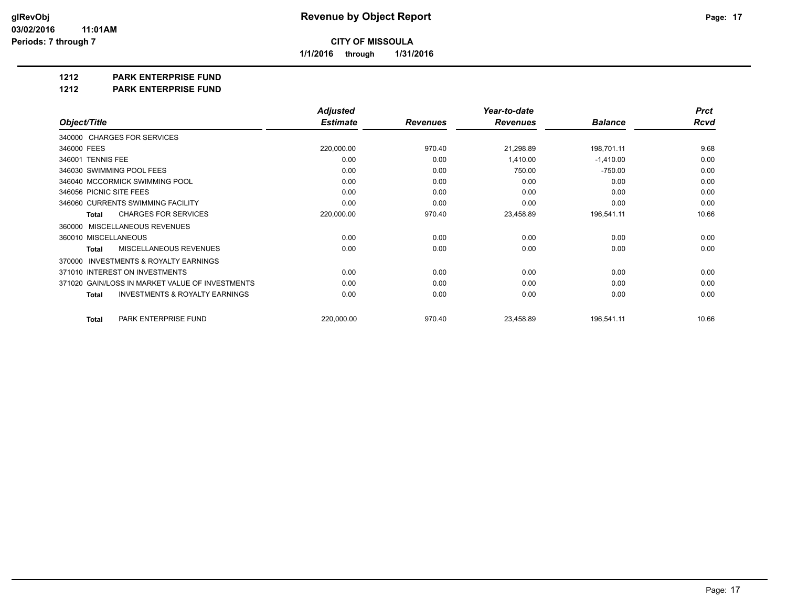**1/1/2016 through 1/31/2016**

**1212 PARK ENTERPRISE FUND**

**1212 PARK ENTERPRISE FUND**

|                                                           | <b>Adjusted</b> |                 | Year-to-date    |                | <b>Prct</b> |
|-----------------------------------------------------------|-----------------|-----------------|-----------------|----------------|-------------|
| Object/Title                                              | <b>Estimate</b> | <b>Revenues</b> | <b>Revenues</b> | <b>Balance</b> | <b>Rcvd</b> |
| 340000 CHARGES FOR SERVICES                               |                 |                 |                 |                |             |
| 346000 FEES                                               | 220,000.00      | 970.40          | 21,298.89       | 198,701.11     | 9.68        |
| 346001 TENNIS FEE                                         | 0.00            | 0.00            | 1,410.00        | $-1,410.00$    | 0.00        |
| 346030 SWIMMING POOL FEES                                 | 0.00            | 0.00            | 750.00          | $-750.00$      | 0.00        |
| 346040 MCCORMICK SWIMMING POOL                            | 0.00            | 0.00            | 0.00            | 0.00           | 0.00        |
| 346056 PICNIC SITE FEES                                   | 0.00            | 0.00            | 0.00            | 0.00           | 0.00        |
| 346060 CURRENTS SWIMMING FACILITY                         | 0.00            | 0.00            | 0.00            | 0.00           | 0.00        |
| <b>CHARGES FOR SERVICES</b><br><b>Total</b>               | 220,000.00      | 970.40          | 23,458.89       | 196,541.11     | 10.66       |
| MISCELLANEOUS REVENUES<br>360000                          |                 |                 |                 |                |             |
| 360010 MISCELLANEOUS                                      | 0.00            | 0.00            | 0.00            | 0.00           | 0.00        |
| <b>MISCELLANEOUS REVENUES</b><br><b>Total</b>             | 0.00            | 0.00            | 0.00            | 0.00           | 0.00        |
| INVESTMENTS & ROYALTY EARNINGS<br>370000                  |                 |                 |                 |                |             |
| 371010 INTEREST ON INVESTMENTS                            | 0.00            | 0.00            | 0.00            | 0.00           | 0.00        |
| 371020 GAIN/LOSS IN MARKET VALUE OF INVESTMENTS           | 0.00            | 0.00            | 0.00            | 0.00           | 0.00        |
| <b>INVESTMENTS &amp; ROYALTY EARNINGS</b><br><b>Total</b> | 0.00            | 0.00            | 0.00            | 0.00           | 0.00        |
| PARK ENTERPRISE FUND<br><b>Total</b>                      | 220,000.00      | 970.40          | 23,458.89       | 196,541.11     | 10.66       |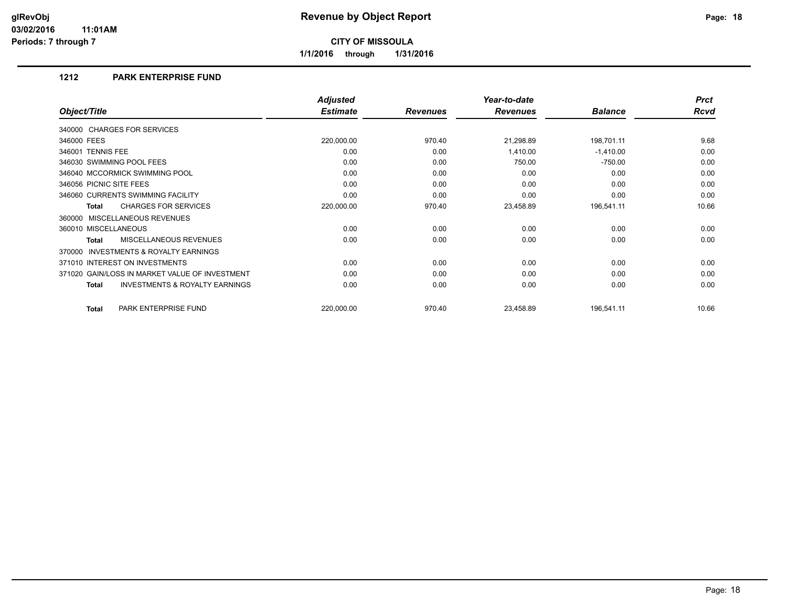**1/1/2016 through 1/31/2016**

#### **1212 PARK ENTERPRISE FUND**

|                                                           | <b>Adjusted</b> |                 | Year-to-date    |                | <b>Prct</b> |
|-----------------------------------------------------------|-----------------|-----------------|-----------------|----------------|-------------|
| Object/Title                                              | <b>Estimate</b> | <b>Revenues</b> | <b>Revenues</b> | <b>Balance</b> | <b>Rcvd</b> |
| 340000 CHARGES FOR SERVICES                               |                 |                 |                 |                |             |
| 346000 FEES                                               | 220,000.00      | 970.40          | 21,298.89       | 198,701.11     | 9.68        |
| 346001 TENNIS FEE                                         | 0.00            | 0.00            | 1,410.00        | $-1,410.00$    | 0.00        |
| 346030 SWIMMING POOL FEES                                 | 0.00            | 0.00            | 750.00          | $-750.00$      | 0.00        |
| 346040 MCCORMICK SWIMMING POOL                            | 0.00            | 0.00            | 0.00            | 0.00           | 0.00        |
| 346056 PICNIC SITE FEES                                   | 0.00            | 0.00            | 0.00            | 0.00           | 0.00        |
| 346060 CURRENTS SWIMMING FACILITY                         | 0.00            | 0.00            | 0.00            | 0.00           | 0.00        |
| <b>CHARGES FOR SERVICES</b><br><b>Total</b>               | 220,000.00      | 970.40          | 23,458.89       | 196,541.11     | 10.66       |
| 360000 MISCELLANEOUS REVENUES                             |                 |                 |                 |                |             |
| 360010 MISCELLANEOUS                                      | 0.00            | 0.00            | 0.00            | 0.00           | 0.00        |
| <b>MISCELLANEOUS REVENUES</b><br><b>Total</b>             | 0.00            | 0.00            | 0.00            | 0.00           | 0.00        |
| INVESTMENTS & ROYALTY EARNINGS<br>370000                  |                 |                 |                 |                |             |
| 371010 INTEREST ON INVESTMENTS                            | 0.00            | 0.00            | 0.00            | 0.00           | 0.00        |
| 371020 GAIN/LOSS IN MARKET VALUE OF INVESTMENT            | 0.00            | 0.00            | 0.00            | 0.00           | 0.00        |
| <b>INVESTMENTS &amp; ROYALTY EARNINGS</b><br><b>Total</b> | 0.00            | 0.00            | 0.00            | 0.00           | 0.00        |
| PARK ENTERPRISE FUND<br><b>Total</b>                      | 220,000.00      | 970.40          | 23,458.89       | 196,541.11     | 10.66       |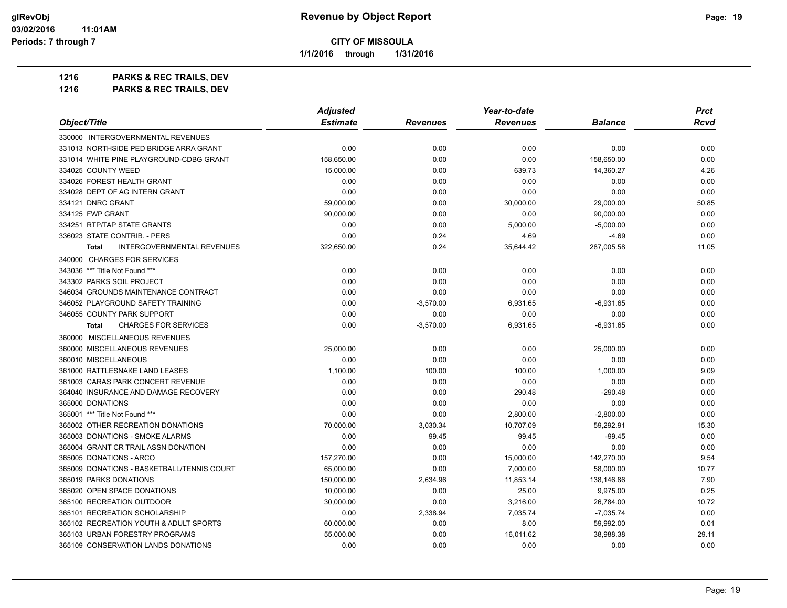**1/1/2016 through 1/31/2016**

**1216 PARKS & REC TRAILS, DEV**

|                                                   | <b>Adjusted</b> |                 | Year-to-date    |                | <b>Prct</b> |
|---------------------------------------------------|-----------------|-----------------|-----------------|----------------|-------------|
| Object/Title                                      | <b>Estimate</b> | <b>Revenues</b> | <b>Revenues</b> | <b>Balance</b> | <b>Rcvd</b> |
| 330000 INTERGOVERNMENTAL REVENUES                 |                 |                 |                 |                |             |
| 331013 NORTHSIDE PED BRIDGE ARRA GRANT            | 0.00            | 0.00            | 0.00            | 0.00           | 0.00        |
| 331014 WHITE PINE PLAYGROUND-CDBG GRANT           | 158,650.00      | 0.00            | 0.00            | 158,650.00     | 0.00        |
| 334025 COUNTY WEED                                | 15,000.00       | 0.00            | 639.73          | 14,360.27      | 4.26        |
| 334026 FOREST HEALTH GRANT                        | 0.00            | 0.00            | 0.00            | 0.00           | 0.00        |
| 334028 DEPT OF AG INTERN GRANT                    | 0.00            | 0.00            | 0.00            | 0.00           | 0.00        |
| 334121 DNRC GRANT                                 | 59,000.00       | 0.00            | 30,000.00       | 29,000.00      | 50.85       |
| 334125 FWP GRANT                                  | 90,000.00       | 0.00            | 0.00            | 90,000.00      | 0.00        |
| 334251 RTP/TAP STATE GRANTS                       | 0.00            | 0.00            | 5,000.00        | $-5,000.00$    | 0.00        |
| 336023 STATE CONTRIB. - PERS                      | 0.00            | 0.24            | 4.69            | $-4.69$        | 0.00        |
| <b>INTERGOVERNMENTAL REVENUES</b><br><b>Total</b> | 322,650.00      | 0.24            | 35,644.42       | 287,005.58     | 11.05       |
| 340000 CHARGES FOR SERVICES                       |                 |                 |                 |                |             |
| 343036 *** Title Not Found ***                    | 0.00            | 0.00            | 0.00            | 0.00           | 0.00        |
| 343302 PARKS SOIL PROJECT                         | 0.00            | 0.00            | 0.00            | 0.00           | 0.00        |
| 346034 GROUNDS MAINTENANCE CONTRACT               | 0.00            | 0.00            | 0.00            | 0.00           | 0.00        |
| 346052 PLAYGROUND SAFETY TRAINING                 | 0.00            | $-3,570.00$     | 6,931.65        | $-6,931.65$    | 0.00        |
| 346055 COUNTY PARK SUPPORT                        | 0.00            | 0.00            | 0.00            | 0.00           | 0.00        |
| <b>CHARGES FOR SERVICES</b><br><b>Total</b>       | 0.00            | $-3.570.00$     | 6,931.65        | $-6.931.65$    | 0.00        |
| 360000 MISCELLANEOUS REVENUES                     |                 |                 |                 |                |             |
| 360000 MISCELLANEOUS REVENUES                     | 25,000.00       | 0.00            | 0.00            | 25,000.00      | 0.00        |
| 360010 MISCELLANEOUS                              | 0.00            | 0.00            | 0.00            | 0.00           | 0.00        |
| 361000 RATTLESNAKE LAND LEASES                    | 1,100.00        | 100.00          | 100.00          | 1,000.00       | 9.09        |
| 361003 CARAS PARK CONCERT REVENUE                 | 0.00            | 0.00            | 0.00            | 0.00           | 0.00        |
| 364040 INSURANCE AND DAMAGE RECOVERY              | 0.00            | 0.00            | 290.48          | $-290.48$      | 0.00        |
| 365000 DONATIONS                                  | 0.00            | 0.00            | 0.00            | 0.00           | 0.00        |
| 365001 *** Title Not Found ***                    | 0.00            | 0.00            | 2,800.00        | $-2,800.00$    | 0.00        |
| 365002 OTHER RECREATION DONATIONS                 | 70,000.00       | 3,030.34        | 10,707.09       | 59,292.91      | 15.30       |
| 365003 DONATIONS - SMOKE ALARMS                   | 0.00            | 99.45           | 99.45           | $-99.45$       | 0.00        |
| 365004 GRANT CR TRAIL ASSN DONATION               | 0.00            | 0.00            | 0.00            | 0.00           | 0.00        |
| 365005 DONATIONS - ARCO                           | 157,270.00      | 0.00            | 15,000.00       | 142,270.00     | 9.54        |
| 365009 DONATIONS - BASKETBALL/TENNIS COURT        | 65,000.00       | 0.00            | 7,000.00        | 58,000.00      | 10.77       |
| 365019 PARKS DONATIONS                            | 150,000.00      | 2,634.96        | 11,853.14       | 138,146.86     | 7.90        |
| 365020 OPEN SPACE DONATIONS                       | 10,000.00       | 0.00            | 25.00           | 9,975.00       | 0.25        |
| 365100 RECREATION OUTDOOR                         | 30,000.00       | 0.00            | 3,216.00        | 26,784.00      | 10.72       |
| 365101 RECREATION SCHOLARSHIP                     | 0.00            | 2,338.94        | 7,035.74        | $-7,035.74$    | 0.00        |
| 365102 RECREATION YOUTH & ADULT SPORTS            | 60,000.00       | 0.00            | 8.00            | 59,992.00      | 0.01        |
| 365103 URBAN FORESTRY PROGRAMS                    | 55,000.00       | 0.00            | 16,011.62       | 38,988.38      | 29.11       |
| 365109 CONSERVATION LANDS DONATIONS               | 0.00            | 0.00            | 0.00            | 0.00           | 0.00        |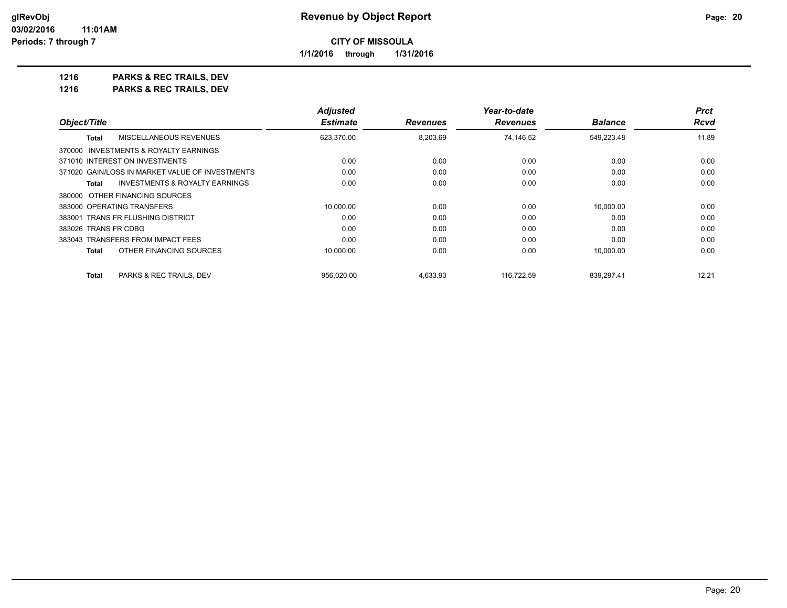**1/1/2016 through 1/31/2016**

**1216 PARKS & REC TRAILS, DEV 1216 PARKS & REC TRAILS, DEV**

|                                                 | <b>Adjusted</b> |                 | Year-to-date    |                | <b>Prct</b> |
|-------------------------------------------------|-----------------|-----------------|-----------------|----------------|-------------|
| Object/Title                                    | <b>Estimate</b> | <b>Revenues</b> | <b>Revenues</b> | <b>Balance</b> | <b>Rcvd</b> |
| MISCELLANEOUS REVENUES<br><b>Total</b>          | 623,370.00      | 8,203.69        | 74,146.52       | 549,223.48     | 11.89       |
| 370000 INVESTMENTS & ROYALTY EARNINGS           |                 |                 |                 |                |             |
| 371010 INTEREST ON INVESTMENTS                  | 0.00            | 0.00            | 0.00            | 0.00           | 0.00        |
| 371020 GAIN/LOSS IN MARKET VALUE OF INVESTMENTS | 0.00            | 0.00            | 0.00            | 0.00           | 0.00        |
| INVESTMENTS & ROYALTY EARNINGS<br><b>Total</b>  | 0.00            | 0.00            | 0.00            | 0.00           | 0.00        |
| 380000 OTHER FINANCING SOURCES                  |                 |                 |                 |                |             |
| 383000 OPERATING TRANSFERS                      | 10.000.00       | 0.00            | 0.00            | 10,000.00      | 0.00        |
| 383001 TRANS FR FLUSHING DISTRICT               | 0.00            | 0.00            | 0.00            | 0.00           | 0.00        |
| 383026 TRANS FR CDBG                            | 0.00            | 0.00            | 0.00            | 0.00           | 0.00        |
| 383043 TRANSFERS FROM IMPACT FEES               | 0.00            | 0.00            | 0.00            | 0.00           | 0.00        |
| OTHER FINANCING SOURCES<br><b>Total</b>         | 10,000.00       | 0.00            | 0.00            | 10.000.00      | 0.00        |
| <b>Total</b><br>PARKS & REC TRAILS, DEV         | 956.020.00      | 4,633.93        | 116,722.59      | 839.297.41     | 12.21       |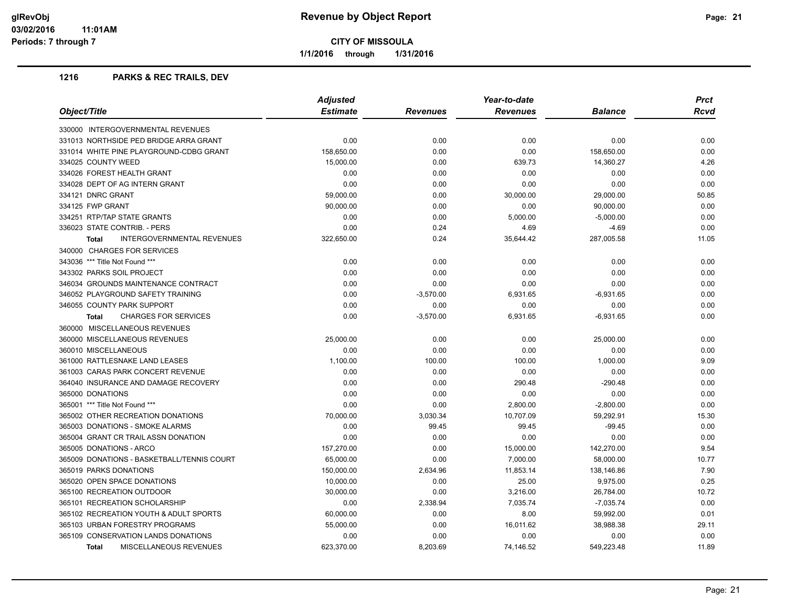**1/1/2016 through 1/31/2016**

#### **1216 PARKS & REC TRAILS, DEV**

| Object/Title                                  | <b>Adjusted</b> |             | Year-to-date    |                | <b>Prct</b> |
|-----------------------------------------------|-----------------|-------------|-----------------|----------------|-------------|
|                                               | <b>Estimate</b> | Revenues    | <b>Revenues</b> | <b>Balance</b> | Rcvd        |
| 330000 INTERGOVERNMENTAL REVENUES             |                 |             |                 |                |             |
| 331013 NORTHSIDE PED BRIDGE ARRA GRANT        | 0.00            | 0.00        | 0.00            | 0.00           | 0.00        |
| 331014 WHITE PINE PLAYGROUND-CDBG GRANT       | 158,650.00      | 0.00        | 0.00            | 158,650.00     | 0.00        |
| 334025 COUNTY WEED                            | 15,000.00       | 0.00        | 639.73          | 14,360.27      | 4.26        |
| 334026 FOREST HEALTH GRANT                    | 0.00            | 0.00        | 0.00            | 0.00           | 0.00        |
| 334028 DEPT OF AG INTERN GRANT                | 0.00            | 0.00        | 0.00            | 0.00           | 0.00        |
| 334121 DNRC GRANT                             | 59,000.00       | 0.00        | 30,000.00       | 29,000.00      | 50.85       |
| 334125 FWP GRANT                              | 90,000.00       | 0.00        | 0.00            | 90,000.00      | 0.00        |
| 334251 RTP/TAP STATE GRANTS                   | 0.00            | 0.00        | 5,000.00        | $-5,000.00$    | 0.00        |
| 336023 STATE CONTRIB. - PERS                  | 0.00            | 0.24        | 4.69            | $-4.69$        | 0.00        |
| INTERGOVERNMENTAL REVENUES<br><b>Total</b>    | 322,650.00      | 0.24        | 35,644.42       | 287,005.58     | 11.05       |
| 340000 CHARGES FOR SERVICES                   |                 |             |                 |                |             |
| 343036 *** Title Not Found ***                | 0.00            | 0.00        | 0.00            | 0.00           | 0.00        |
| 343302 PARKS SOIL PROJECT                     | 0.00            | 0.00        | 0.00            | 0.00           | 0.00        |
| 346034 GROUNDS MAINTENANCE CONTRACT           | 0.00            | 0.00        | 0.00            | 0.00           | 0.00        |
| 346052 PLAYGROUND SAFETY TRAINING             | 0.00            | $-3,570.00$ | 6,931.65        | $-6,931.65$    | 0.00        |
| 346055 COUNTY PARK SUPPORT                    | 0.00            | 0.00        | 0.00            | 0.00           | 0.00        |
| <b>CHARGES FOR SERVICES</b><br><b>Total</b>   | 0.00            | $-3,570.00$ | 6,931.65        | $-6,931.65$    | 0.00        |
| 360000 MISCELLANEOUS REVENUES                 |                 |             |                 |                |             |
| 360000 MISCELLANEOUS REVENUES                 | 25,000.00       | 0.00        | 0.00            | 25,000.00      | 0.00        |
| 360010 MISCELLANEOUS                          | 0.00            | 0.00        | 0.00            | 0.00           | 0.00        |
| 361000 RATTLESNAKE LAND LEASES                | 1,100.00        | 100.00      | 100.00          | 1,000.00       | 9.09        |
| 361003 CARAS PARK CONCERT REVENUE             | 0.00            | 0.00        | 0.00            | 0.00           | 0.00        |
| 364040 INSURANCE AND DAMAGE RECOVERY          | 0.00            | 0.00        | 290.48          | $-290.48$      | 0.00        |
| 365000 DONATIONS                              | 0.00            | 0.00        | 0.00            | 0.00           | 0.00        |
| 365001 *** Title Not Found ***                | 0.00            | 0.00        | 2,800.00        | $-2,800.00$    | 0.00        |
| 365002 OTHER RECREATION DONATIONS             | 70,000.00       | 3,030.34    | 10,707.09       | 59,292.91      | 15.30       |
| 365003 DONATIONS - SMOKE ALARMS               | 0.00            | 99.45       | 99.45           | -99.45         | 0.00        |
| 365004 GRANT CR TRAIL ASSN DONATION           | 0.00            | 0.00        | 0.00            | 0.00           | 0.00        |
| 365005 DONATIONS - ARCO                       | 157,270.00      | 0.00        | 15,000.00       | 142,270.00     | 9.54        |
| 365009 DONATIONS - BASKETBALL/TENNIS COURT    | 65,000.00       | 0.00        | 7,000.00        | 58,000.00      | 10.77       |
| 365019 PARKS DONATIONS                        | 150,000.00      | 2,634.96    | 11,853.14       | 138,146.86     | 7.90        |
| 365020 OPEN SPACE DONATIONS                   | 10,000.00       | 0.00        | 25.00           | 9,975.00       | 0.25        |
| 365100 RECREATION OUTDOOR                     | 30,000.00       | 0.00        | 3,216.00        | 26,784.00      | 10.72       |
| 365101 RECREATION SCHOLARSHIP                 | 0.00            | 2,338.94    | 7,035.74        | $-7,035.74$    | 0.00        |
| 365102 RECREATION YOUTH & ADULT SPORTS        | 60,000.00       | 0.00        | 8.00            | 59,992.00      | 0.01        |
| 365103 URBAN FORESTRY PROGRAMS                | 55,000.00       | 0.00        | 16,011.62       | 38,988.38      | 29.11       |
| 365109 CONSERVATION LANDS DONATIONS           | 0.00            | 0.00        | 0.00            | 0.00           | 0.00        |
| <b>MISCELLANEOUS REVENUES</b><br><b>Total</b> | 623.370.00      | 8.203.69    | 74.146.52       | 549.223.48     | 11.89       |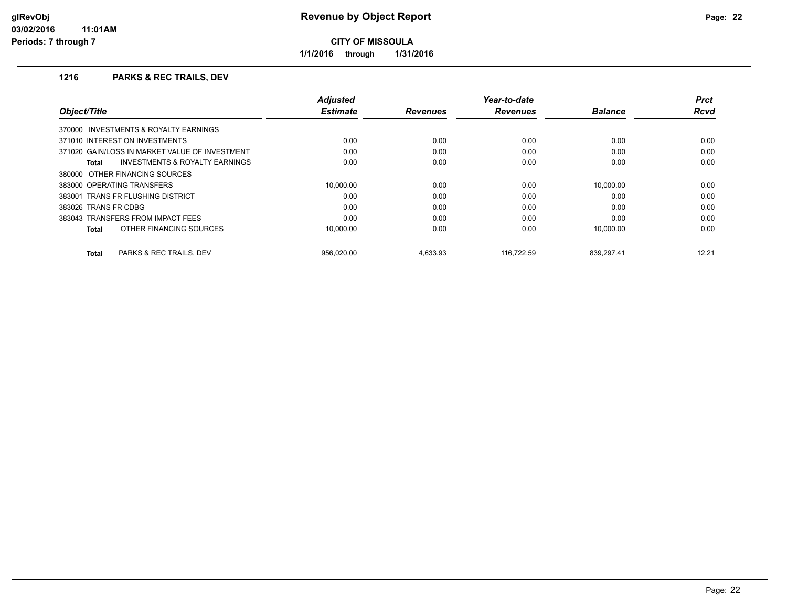**1/1/2016 through 1/31/2016**

## **1216 PARKS & REC TRAILS, DEV**

|                                                    | <b>Adjusted</b> |                 | Year-to-date    |                | <b>Prct</b> |
|----------------------------------------------------|-----------------|-----------------|-----------------|----------------|-------------|
| Object/Title                                       | <b>Estimate</b> | <b>Revenues</b> | <b>Revenues</b> | <b>Balance</b> | <b>Rcvd</b> |
| 370000 INVESTMENTS & ROYALTY EARNINGS              |                 |                 |                 |                |             |
| 371010 INTEREST ON INVESTMENTS                     | 0.00            | 0.00            | 0.00            | 0.00           | 0.00        |
| 371020 GAIN/LOSS IN MARKET VALUE OF INVESTMENT     | 0.00            | 0.00            | 0.00            | 0.00           | 0.00        |
| <b>INVESTMENTS &amp; ROYALTY EARNINGS</b><br>Total | 0.00            | 0.00            | 0.00            | 0.00           | 0.00        |
| 380000 OTHER FINANCING SOURCES                     |                 |                 |                 |                |             |
| 383000 OPERATING TRANSFERS                         | 10.000.00       | 0.00            | 0.00            | 10.000.00      | 0.00        |
| 383001 TRANS FR FLUSHING DISTRICT                  | 0.00            | 0.00            | 0.00            | 0.00           | 0.00        |
| 383026 TRANS FR CDBG                               | 0.00            | 0.00            | 0.00            | 0.00           | 0.00        |
| 383043 TRANSFERS FROM IMPACT FEES                  | 0.00            | 0.00            | 0.00            | 0.00           | 0.00        |
| OTHER FINANCING SOURCES<br>Total                   | 10.000.00       | 0.00            | 0.00            | 10.000.00      | 0.00        |
| PARKS & REC TRAILS, DEV<br>Total                   | 956.020.00      | 4.633.93        | 116.722.59      | 839.297.41     | 12.21       |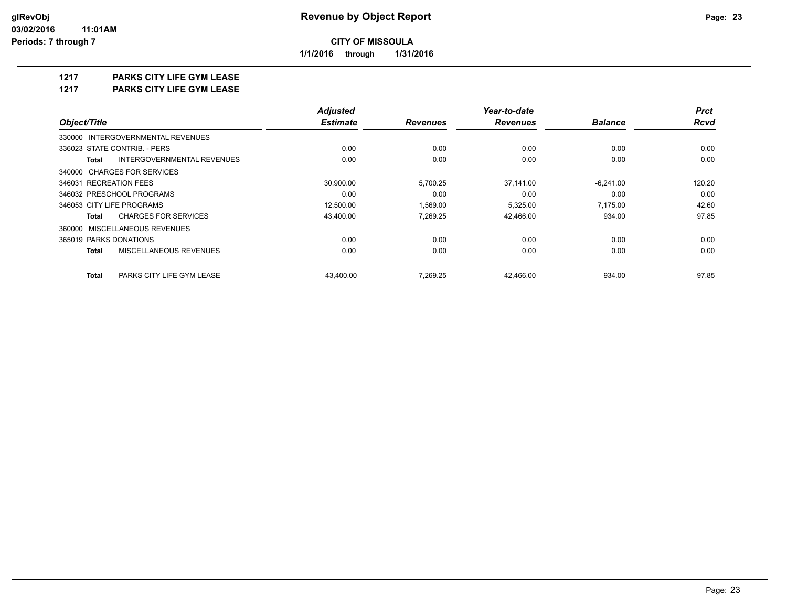**1/1/2016 through 1/31/2016**

#### **1217 PARKS CITY LIFE GYM LEASE**

**1217 PARKS CITY LIFE GYM LEASE**

|                                            | <b>Adjusted</b> |                 | Year-to-date    |                | <b>Prct</b><br><b>Rcvd</b> |
|--------------------------------------------|-----------------|-----------------|-----------------|----------------|----------------------------|
| Object/Title                               | <b>Estimate</b> | <b>Revenues</b> | <b>Revenues</b> | <b>Balance</b> |                            |
| 330000 INTERGOVERNMENTAL REVENUES          |                 |                 |                 |                |                            |
| 336023 STATE CONTRIB. - PERS               | 0.00            | 0.00            | 0.00            | 0.00           | 0.00                       |
| INTERGOVERNMENTAL REVENUES<br><b>Total</b> | 0.00            | 0.00            | 0.00            | 0.00           | 0.00                       |
| 340000 CHARGES FOR SERVICES                |                 |                 |                 |                |                            |
| 346031 RECREATION FEES                     | 30,900.00       | 5,700.25        | 37,141.00       | $-6,241.00$    | 120.20                     |
| 346032 PRESCHOOL PROGRAMS                  | 0.00            | 0.00            | 0.00            | 0.00           | 0.00                       |
| 346053 CITY LIFE PROGRAMS                  | 12,500.00       | 1,569.00        | 5,325.00        | 7,175.00       | 42.60                      |
| <b>CHARGES FOR SERVICES</b><br>Total       | 43,400.00       | 7,269.25        | 42,466.00       | 934.00         | 97.85                      |
| 360000 MISCELLANEOUS REVENUES              |                 |                 |                 |                |                            |
| 365019 PARKS DONATIONS                     | 0.00            | 0.00            | 0.00            | 0.00           | 0.00                       |
| MISCELLANEOUS REVENUES<br><b>Total</b>     | 0.00            | 0.00            | 0.00            | 0.00           | 0.00                       |
| <b>Total</b><br>PARKS CITY LIFE GYM LEASE  | 43.400.00       | 7.269.25        | 42.466.00       | 934.00         | 97.85                      |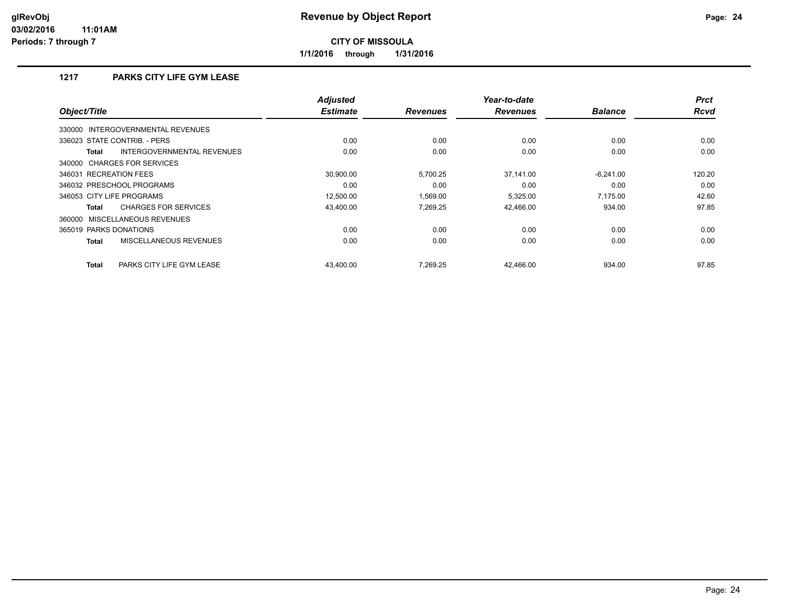**1/1/2016 through 1/31/2016**

# **1217 PARKS CITY LIFE GYM LEASE**

| Object/Title                                  | <b>Adjusted</b><br><b>Estimate</b> | <b>Revenues</b> | Year-to-date<br><b>Revenues</b> | <b>Balance</b> | <b>Prct</b><br><b>Rcvd</b> |
|-----------------------------------------------|------------------------------------|-----------------|---------------------------------|----------------|----------------------------|
| 330000 INTERGOVERNMENTAL REVENUES             |                                    |                 |                                 |                |                            |
| 336023 STATE CONTRIB. - PERS                  | 0.00                               | 0.00            | 0.00                            | 0.00           | 0.00                       |
| INTERGOVERNMENTAL REVENUES<br><b>Total</b>    | 0.00                               | 0.00            | 0.00                            | 0.00           | 0.00                       |
| 340000 CHARGES FOR SERVICES                   |                                    |                 |                                 |                |                            |
| 346031 RECREATION FEES                        | 30,900.00                          | 5,700.25        | 37.141.00                       | $-6.241.00$    | 120.20                     |
| 346032 PRESCHOOL PROGRAMS                     | 0.00                               | 0.00            | 0.00                            | 0.00           | 0.00                       |
| 346053 CITY LIFE PROGRAMS                     | 12,500.00                          | 1,569.00        | 5.325.00                        | 7.175.00       | 42.60                      |
| <b>CHARGES FOR SERVICES</b><br><b>Total</b>   | 43,400.00                          | 7,269.25        | 42,466.00                       | 934.00         | 97.85                      |
| 360000 MISCELLANEOUS REVENUES                 |                                    |                 |                                 |                |                            |
| 365019 PARKS DONATIONS                        | 0.00                               | 0.00            | 0.00                            | 0.00           | 0.00                       |
| <b>MISCELLANEOUS REVENUES</b><br><b>Total</b> | 0.00                               | 0.00            | 0.00                            | 0.00           | 0.00                       |
| PARKS CITY LIFE GYM LEASE<br><b>Total</b>     | 43,400.00                          | 7,269.25        | 42,466.00                       | 934.00         | 97.85                      |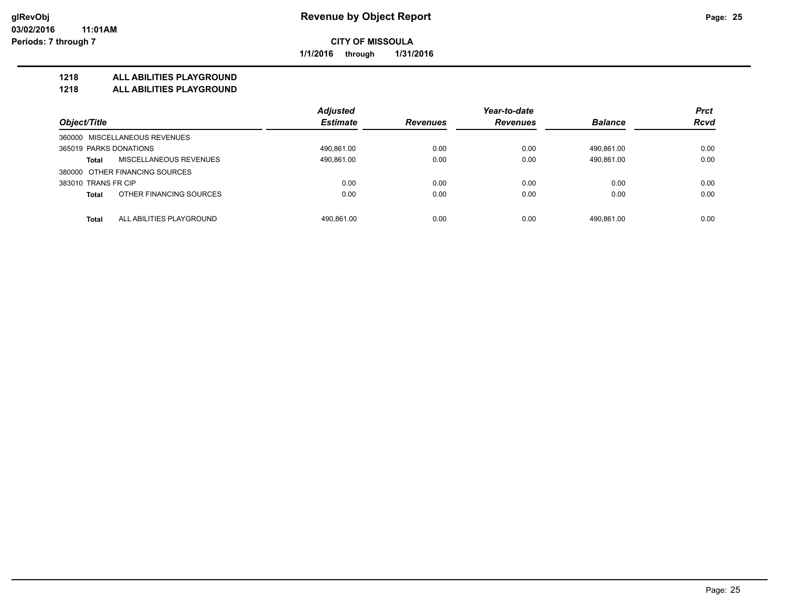**1/1/2016 through 1/31/2016**

#### **1218 ALL ABILITIES PLAYGROUND**

**1218 ALL ABILITIES PLAYGROUND**

|                                          | <b>Adjusted</b> |                 | Year-to-date    |                | <b>Prct</b> |
|------------------------------------------|-----------------|-----------------|-----------------|----------------|-------------|
| Object/Title                             | <b>Estimate</b> | <b>Revenues</b> | <b>Revenues</b> | <b>Balance</b> | <b>Rcvd</b> |
| 360000 MISCELLANEOUS REVENUES            |                 |                 |                 |                |             |
| 365019 PARKS DONATIONS                   | 490.861.00      | 0.00            | 0.00            | 490.861.00     | 0.00        |
| <b>MISCELLANEOUS REVENUES</b><br>Total   | 490,861.00      | 0.00            | 0.00            | 490.861.00     | 0.00        |
| 380000 OTHER FINANCING SOURCES           |                 |                 |                 |                |             |
| 383010 TRANS FR CIP                      | 0.00            | 0.00            | 0.00            | 0.00           | 0.00        |
| OTHER FINANCING SOURCES<br><b>Total</b>  | 0.00            | 0.00            | 0.00            | 0.00           | 0.00        |
|                                          |                 |                 |                 |                |             |
| ALL ABILITIES PLAYGROUND<br><b>Total</b> | 490.861.00      | 0.00            | 0.00            | 490.861.00     | 0.00        |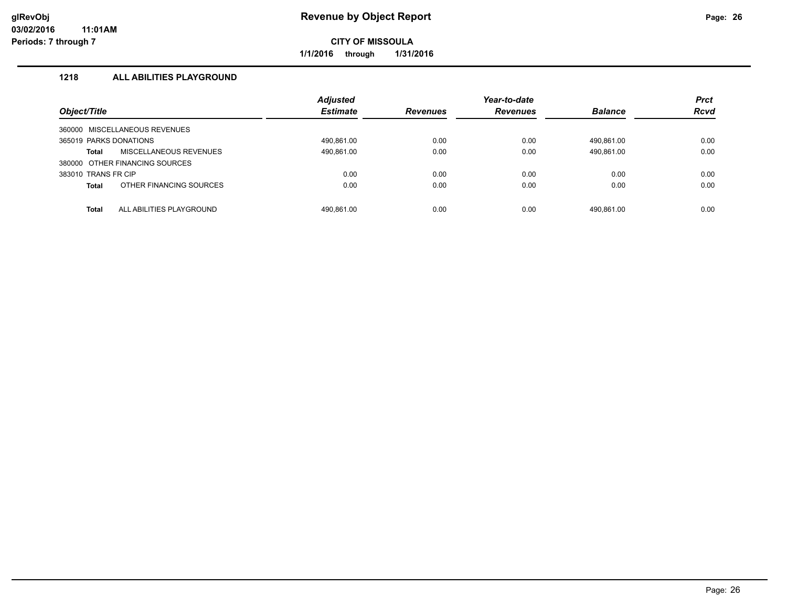**1/1/2016 through 1/31/2016**

# **1218 ALL ABILITIES PLAYGROUND**

| Object/Title                            | <b>Adjusted</b><br><b>Estimate</b> | <b>Revenues</b> | Year-to-date<br><b>Revenues</b> | <b>Balance</b> | <b>Prct</b><br><b>Rcvd</b> |
|-----------------------------------------|------------------------------------|-----------------|---------------------------------|----------------|----------------------------|
|                                         |                                    |                 |                                 |                |                            |
| MISCELLANEOUS REVENUES<br>360000        |                                    |                 |                                 |                |                            |
| 365019 PARKS DONATIONS                  | 490.861.00                         | 0.00            | 0.00                            | 490.861.00     | 0.00                       |
| MISCELLANEOUS REVENUES<br>Total         | 490,861.00                         | 0.00            | 0.00                            | 490,861.00     | 0.00                       |
| 380000 OTHER FINANCING SOURCES          |                                    |                 |                                 |                |                            |
| 383010 TRANS FR CIP                     | 0.00                               | 0.00            | 0.00                            | 0.00           | 0.00                       |
| OTHER FINANCING SOURCES<br><b>Total</b> | 0.00                               | 0.00            | 0.00                            | 0.00           | 0.00                       |
|                                         |                                    |                 |                                 |                |                            |
| ALL ABILITIES PLAYGROUND<br>Total       | 490.861.00                         | 0.00            | 0.00                            | 490.861.00     | 0.00                       |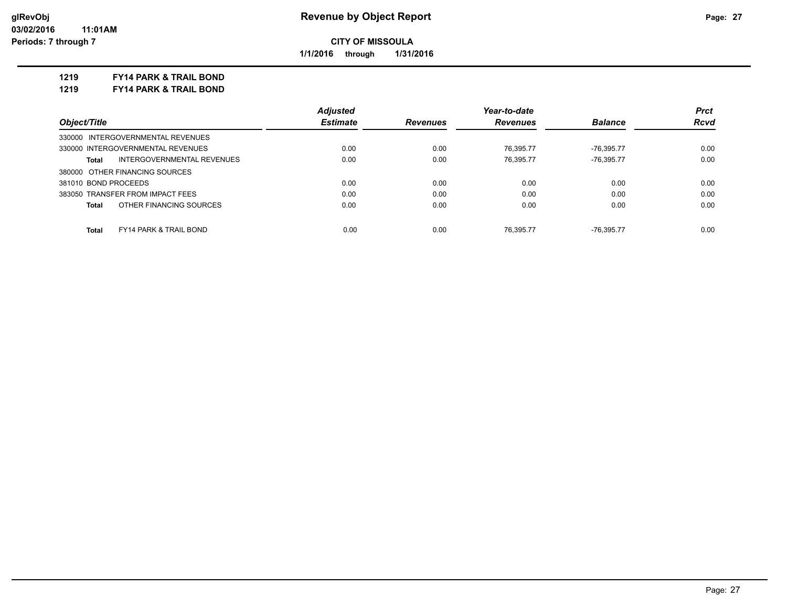**1/1/2016 through 1/31/2016**

**1219 FY14 PARK & TRAIL BOND**

**1219 FY14 PARK & TRAIL BOND**

|                                                   | <b>Adjusted</b> |                 | Year-to-date    |                | <b>Prct</b> |
|---------------------------------------------------|-----------------|-----------------|-----------------|----------------|-------------|
| Object/Title                                      | <b>Estimate</b> | <b>Revenues</b> | <b>Revenues</b> | <b>Balance</b> | Rcvd        |
| 330000 INTERGOVERNMENTAL REVENUES                 |                 |                 |                 |                |             |
| 330000 INTERGOVERNMENTAL REVENUES                 | 0.00            | 0.00            | 76.395.77       | -76.395.77     | 0.00        |
| INTERGOVERNMENTAL REVENUES<br>Total               | 0.00            | 0.00            | 76.395.77       | -76.395.77     | 0.00        |
| 380000 OTHER FINANCING SOURCES                    |                 |                 |                 |                |             |
| 381010 BOND PROCEEDS                              | 0.00            | 0.00            | 0.00            | 0.00           | 0.00        |
| 383050 TRANSFER FROM IMPACT FEES                  | 0.00            | 0.00            | 0.00            | 0.00           | 0.00        |
| OTHER FINANCING SOURCES<br>Total                  | 0.00            | 0.00            | 0.00            | 0.00           | 0.00        |
|                                                   |                 |                 |                 |                |             |
| <b>FY14 PARK &amp; TRAIL BOND</b><br><b>Total</b> | 0.00            | 0.00            | 76.395.77       | -76.395.77     | 0.00        |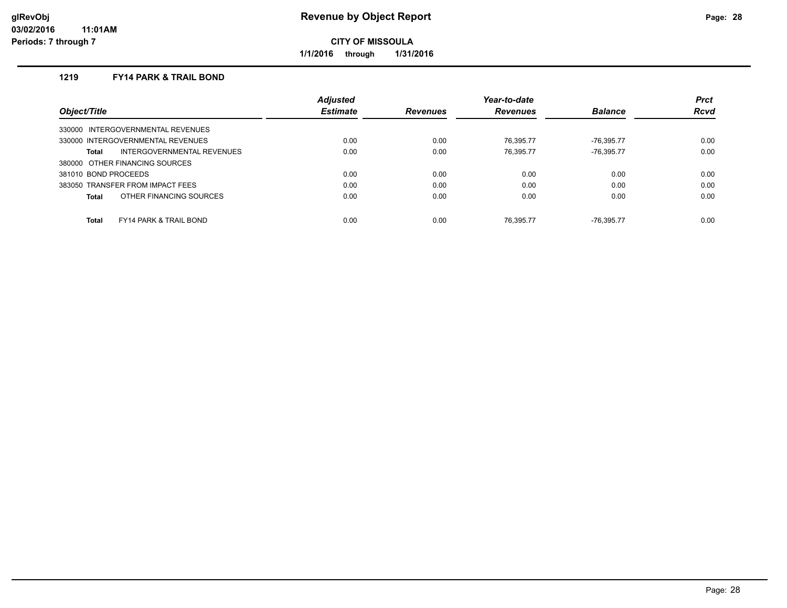**1/1/2016 through 1/31/2016**

## **1219 FY14 PARK & TRAIL BOND**

|                                            | <b>Adjusted</b> |                 | Year-to-date    |                | <b>Prct</b> |
|--------------------------------------------|-----------------|-----------------|-----------------|----------------|-------------|
| Object/Title                               | <b>Estimate</b> | <b>Revenues</b> | <b>Revenues</b> | <b>Balance</b> | <b>Rcvd</b> |
| INTERGOVERNMENTAL REVENUES<br>330000       |                 |                 |                 |                |             |
| 330000 INTERGOVERNMENTAL REVENUES          | 0.00            | 0.00            | 76.395.77       | -76.395.77     | 0.00        |
| INTERGOVERNMENTAL REVENUES<br>Total        | 0.00            | 0.00            | 76,395.77       | $-76,395.77$   | 0.00        |
| 380000 OTHER FINANCING SOURCES             |                 |                 |                 |                |             |
| 381010 BOND PROCEEDS                       | 0.00            | 0.00            | 0.00            | 0.00           | 0.00        |
| 383050 TRANSFER FROM IMPACT FEES           | 0.00            | 0.00            | 0.00            | 0.00           | 0.00        |
| OTHER FINANCING SOURCES<br>Total           | 0.00            | 0.00            | 0.00            | 0.00           | 0.00        |
|                                            |                 |                 |                 |                |             |
| Total<br><b>FY14 PARK &amp; TRAIL BOND</b> | 0.00            | 0.00            | 76.395.77       | -76.395.77     | 0.00        |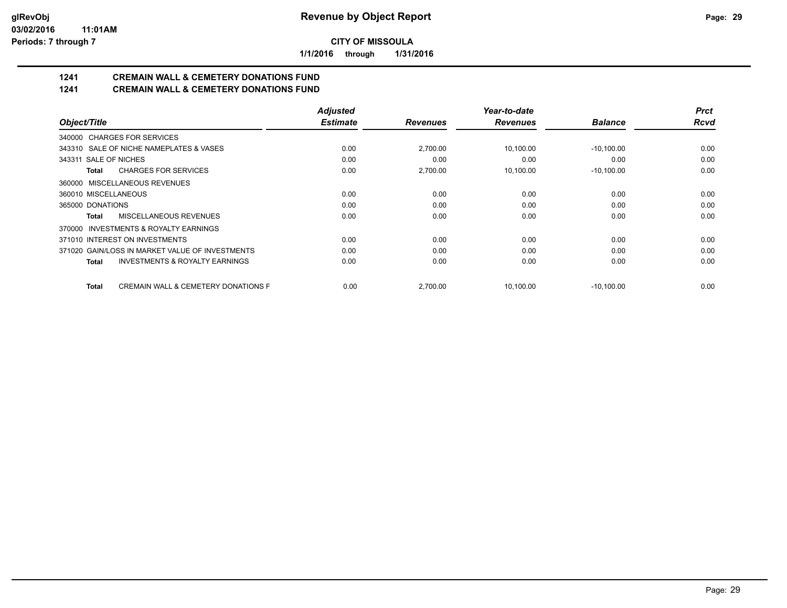**1/1/2016 through 1/31/2016**

# **1241 CREMAIN WALL & CEMETERY DONATIONS FUND**

**1241 CREMAIN WALL & CEMETERY DONATIONS FUND**

|                                                           | <b>Adjusted</b> |                 | Year-to-date    |                | <b>Prct</b> |
|-----------------------------------------------------------|-----------------|-----------------|-----------------|----------------|-------------|
| Object/Title                                              | <b>Estimate</b> | <b>Revenues</b> | <b>Revenues</b> | <b>Balance</b> | <b>Rcvd</b> |
| 340000 CHARGES FOR SERVICES                               |                 |                 |                 |                |             |
| 343310 SALE OF NICHE NAMEPLATES & VASES                   | 0.00            | 2,700.00        | 10,100.00       | $-10,100.00$   | 0.00        |
| 343311 SALE OF NICHES                                     | 0.00            | 0.00            | 0.00            | 0.00           | 0.00        |
| <b>CHARGES FOR SERVICES</b><br>Total                      | 0.00            | 2,700.00        | 10,100.00       | $-10,100.00$   | 0.00        |
| 360000 MISCELLANEOUS REVENUES                             |                 |                 |                 |                |             |
| 360010 MISCELLANEOUS                                      | 0.00            | 0.00            | 0.00            | 0.00           | 0.00        |
| 365000 DONATIONS                                          | 0.00            | 0.00            | 0.00            | 0.00           | 0.00        |
| MISCELLANEOUS REVENUES<br><b>Total</b>                    | 0.00            | 0.00            | 0.00            | 0.00           | 0.00        |
| 370000 INVESTMENTS & ROYALTY EARNINGS                     |                 |                 |                 |                |             |
| 371010 INTEREST ON INVESTMENTS                            | 0.00            | 0.00            | 0.00            | 0.00           | 0.00        |
| 371020 GAIN/LOSS IN MARKET VALUE OF INVESTMENTS           | 0.00            | 0.00            | 0.00            | 0.00           | 0.00        |
| <b>INVESTMENTS &amp; ROYALTY EARNINGS</b><br><b>Total</b> | 0.00            | 0.00            | 0.00            | 0.00           | 0.00        |
| <b>CREMAIN WALL &amp; CEMETERY DONATIONS F</b><br>Total   | 0.00            | 2.700.00        | 10,100.00       | $-10,100.00$   | 0.00        |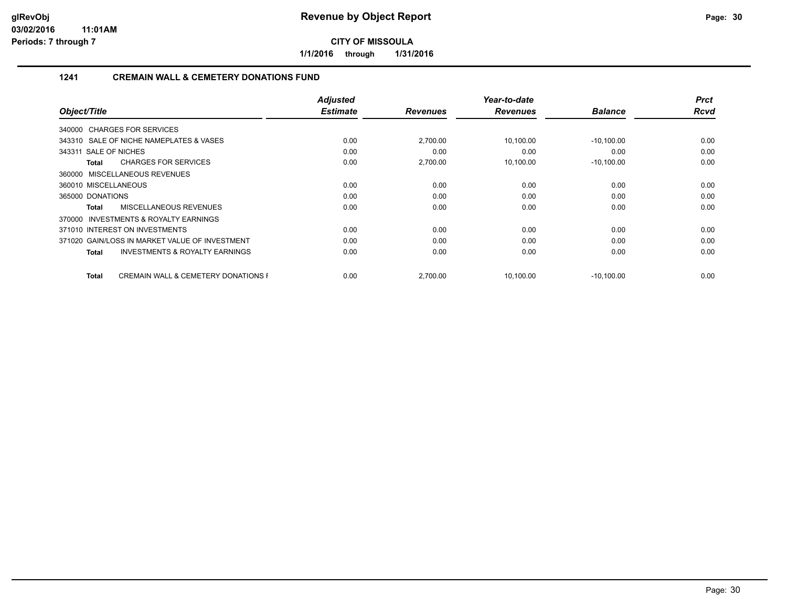**1/1/2016 through 1/31/2016**

# **1241 CREMAIN WALL & CEMETERY DONATIONS FUND**

|                                                                | <b>Adjusted</b> |                 | Year-to-date    |                | <b>Prct</b> |
|----------------------------------------------------------------|-----------------|-----------------|-----------------|----------------|-------------|
| Object/Title                                                   | <b>Estimate</b> | <b>Revenues</b> | <b>Revenues</b> | <b>Balance</b> | <b>Rcvd</b> |
| 340000 CHARGES FOR SERVICES                                    |                 |                 |                 |                |             |
| 343310 SALE OF NICHE NAMEPLATES & VASES                        | 0.00            | 2,700.00        | 10,100.00       | $-10,100.00$   | 0.00        |
| 343311 SALE OF NICHES                                          | 0.00            | 0.00            | 0.00            | 0.00           | 0.00        |
| <b>CHARGES FOR SERVICES</b><br><b>Total</b>                    | 0.00            | 2,700.00        | 10,100.00       | $-10,100.00$   | 0.00        |
| 360000 MISCELLANEOUS REVENUES                                  |                 |                 |                 |                |             |
| 360010 MISCELLANEOUS                                           | 0.00            | 0.00            | 0.00            | 0.00           | 0.00        |
| 365000 DONATIONS                                               | 0.00            | 0.00            | 0.00            | 0.00           | 0.00        |
| <b>MISCELLANEOUS REVENUES</b><br>Total                         | 0.00            | 0.00            | 0.00            | 0.00           | 0.00        |
| <b>INVESTMENTS &amp; ROYALTY EARNINGS</b><br>370000            |                 |                 |                 |                |             |
| 371010 INTEREST ON INVESTMENTS                                 | 0.00            | 0.00            | 0.00            | 0.00           | 0.00        |
| 371020 GAIN/LOSS IN MARKET VALUE OF INVESTMENT                 | 0.00            | 0.00            | 0.00            | 0.00           | 0.00        |
| <b>INVESTMENTS &amp; ROYALTY EARNINGS</b><br><b>Total</b>      | 0.00            | 0.00            | 0.00            | 0.00           | 0.00        |
| <b>CREMAIN WALL &amp; CEMETERY DONATIONS F</b><br><b>Total</b> | 0.00            | 2,700.00        | 10,100.00       | $-10,100.00$   | 0.00        |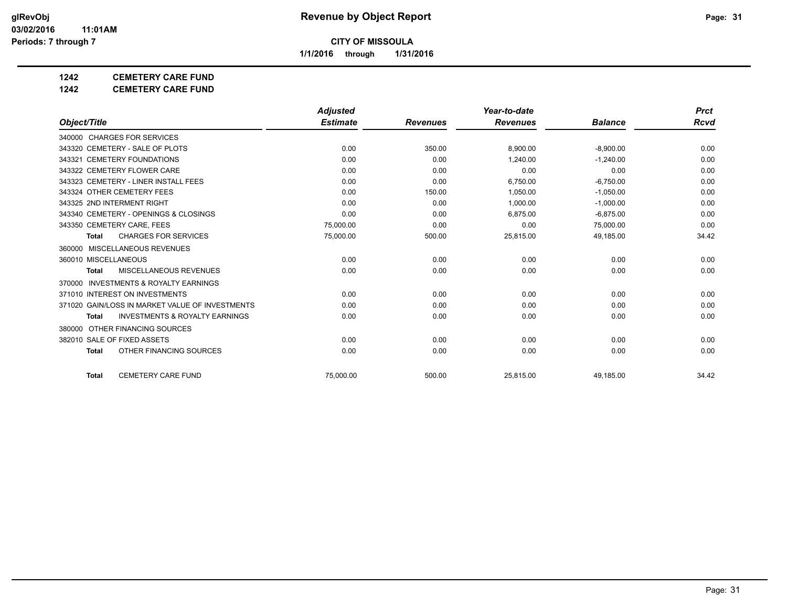**1/1/2016 through 1/31/2016**

# **1242 CEMETERY CARE FUND**

**1242 CEMETERY CARE FUND**

|                                                           | <b>Adjusted</b> |                 | Year-to-date    |                | <b>Prct</b> |
|-----------------------------------------------------------|-----------------|-----------------|-----------------|----------------|-------------|
| Object/Title                                              | <b>Estimate</b> | <b>Revenues</b> | <b>Revenues</b> | <b>Balance</b> | Rcvd        |
| 340000 CHARGES FOR SERVICES                               |                 |                 |                 |                |             |
| 343320 CEMETERY - SALE OF PLOTS                           | 0.00            | 350.00          | 8,900.00        | $-8,900.00$    | 0.00        |
| 343321 CEMETERY FOUNDATIONS                               | 0.00            | 0.00            | 1.240.00        | $-1.240.00$    | 0.00        |
| 343322 CEMETERY FLOWER CARE                               | 0.00            | 0.00            | 0.00            | 0.00           | 0.00        |
| 343323 CEMETERY - LINER INSTALL FEES                      | 0.00            | 0.00            | 6,750.00        | $-6,750.00$    | 0.00        |
| 343324 OTHER CEMETERY FEES                                | 0.00            | 150.00          | 1.050.00        | $-1,050.00$    | 0.00        |
| 343325 2ND INTERMENT RIGHT                                | 0.00            | 0.00            | 1.000.00        | $-1.000.00$    | 0.00        |
| 343340 CEMETERY - OPENINGS & CLOSINGS                     | 0.00            | 0.00            | 6,875.00        | $-6,875.00$    | 0.00        |
| 343350 CEMETERY CARE, FEES                                | 75,000.00       | 0.00            | 0.00            | 75,000.00      | 0.00        |
| <b>CHARGES FOR SERVICES</b><br><b>Total</b>               | 75,000.00       | 500.00          | 25,815.00       | 49,185.00      | 34.42       |
| MISCELLANEOUS REVENUES<br>360000                          |                 |                 |                 |                |             |
| 360010 MISCELLANEOUS                                      | 0.00            | 0.00            | 0.00            | 0.00           | 0.00        |
| MISCELLANEOUS REVENUES<br><b>Total</b>                    | 0.00            | 0.00            | 0.00            | 0.00           | 0.00        |
| <b>INVESTMENTS &amp; ROYALTY EARNINGS</b><br>370000       |                 |                 |                 |                |             |
| 371010 INTEREST ON INVESTMENTS                            | 0.00            | 0.00            | 0.00            | 0.00           | 0.00        |
| 371020 GAIN/LOSS IN MARKET VALUE OF INVESTMENTS           | 0.00            | 0.00            | 0.00            | 0.00           | 0.00        |
| <b>INVESTMENTS &amp; ROYALTY EARNINGS</b><br><b>Total</b> | 0.00            | 0.00            | 0.00            | 0.00           | 0.00        |
| OTHER FINANCING SOURCES<br>380000                         |                 |                 |                 |                |             |
| 382010 SALE OF FIXED ASSETS                               | 0.00            | 0.00            | 0.00            | 0.00           | 0.00        |
| OTHER FINANCING SOURCES<br><b>Total</b>                   | 0.00            | 0.00            | 0.00            | 0.00           | 0.00        |
| <b>CEMETERY CARE FUND</b><br><b>Total</b>                 | 75.000.00       | 500.00          | 25,815.00       | 49,185.00      | 34.42       |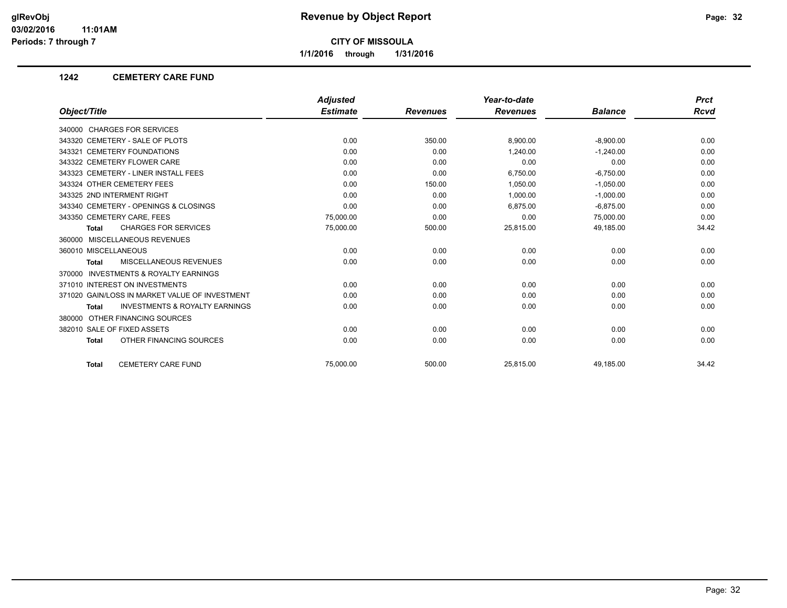**1/1/2016 through 1/31/2016**

#### **1242 CEMETERY CARE FUND**

|                                                           | <b>Adjusted</b> |                 | Year-to-date    |                | <b>Prct</b> |
|-----------------------------------------------------------|-----------------|-----------------|-----------------|----------------|-------------|
| Object/Title                                              | <b>Estimate</b> | <b>Revenues</b> | <b>Revenues</b> | <b>Balance</b> | Rcvd        |
| 340000 CHARGES FOR SERVICES                               |                 |                 |                 |                |             |
| 343320 CEMETERY - SALE OF PLOTS                           | 0.00            | 350.00          | 8.900.00        | $-8,900.00$    | 0.00        |
| 343321 CEMETERY FOUNDATIONS                               | 0.00            | 0.00            | 1.240.00        | $-1,240.00$    | 0.00        |
| 343322 CEMETERY FLOWER CARE                               | 0.00            | 0.00            | 0.00            | 0.00           | 0.00        |
| 343323 CEMETERY - LINER INSTALL FEES                      | 0.00            | 0.00            | 6,750.00        | $-6,750.00$    | 0.00        |
| 343324 OTHER CEMETERY FEES                                | 0.00            | 150.00          | 1,050.00        | $-1,050.00$    | 0.00        |
| 343325 2ND INTERMENT RIGHT                                | 0.00            | 0.00            | 1,000.00        | $-1,000.00$    | 0.00        |
| 343340 CEMETERY - OPENINGS & CLOSINGS                     | 0.00            | 0.00            | 6,875.00        | $-6,875.00$    | 0.00        |
| 343350 CEMETERY CARE, FEES                                | 75,000.00       | 0.00            | 0.00            | 75,000.00      | 0.00        |
| <b>CHARGES FOR SERVICES</b><br><b>Total</b>               | 75,000.00       | 500.00          | 25,815.00       | 49,185.00      | 34.42       |
| 360000 MISCELLANEOUS REVENUES                             |                 |                 |                 |                |             |
| 360010 MISCELLANEOUS                                      | 0.00            | 0.00            | 0.00            | 0.00           | 0.00        |
| <b>MISCELLANEOUS REVENUES</b><br><b>Total</b>             | 0.00            | 0.00            | 0.00            | 0.00           | 0.00        |
| <b>INVESTMENTS &amp; ROYALTY EARNINGS</b><br>370000       |                 |                 |                 |                |             |
| 371010 INTEREST ON INVESTMENTS                            | 0.00            | 0.00            | 0.00            | 0.00           | 0.00        |
| 371020 GAIN/LOSS IN MARKET VALUE OF INVESTMENT            | 0.00            | 0.00            | 0.00            | 0.00           | 0.00        |
| <b>INVESTMENTS &amp; ROYALTY EARNINGS</b><br><b>Total</b> | 0.00            | 0.00            | 0.00            | 0.00           | 0.00        |
| 380000 OTHER FINANCING SOURCES                            |                 |                 |                 |                |             |
| 382010 SALE OF FIXED ASSETS                               | 0.00            | 0.00            | 0.00            | 0.00           | 0.00        |
| OTHER FINANCING SOURCES<br><b>Total</b>                   | 0.00            | 0.00            | 0.00            | 0.00           | 0.00        |
| <b>CEMETERY CARE FUND</b><br><b>Total</b>                 | 75.000.00       | 500.00          | 25.815.00       | 49,185.00      | 34.42       |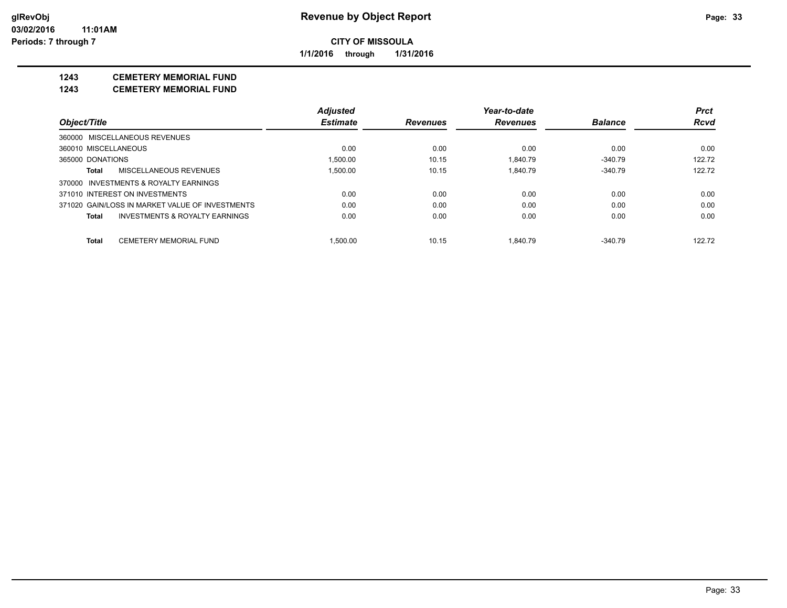**1/1/2016 through 1/31/2016**

# **1243 CEMETERY MEMORIAL FUND**

**1243 CEMETERY MEMORIAL FUND**

|                                       |                                                 | <b>Adjusted</b> |                 | Year-to-date    |                | <b>Prct</b> |
|---------------------------------------|-------------------------------------------------|-----------------|-----------------|-----------------|----------------|-------------|
| Object/Title                          |                                                 | <b>Estimate</b> | <b>Revenues</b> | <b>Revenues</b> | <b>Balance</b> | <b>Rcvd</b> |
| 360000 MISCELLANEOUS REVENUES         |                                                 |                 |                 |                 |                |             |
| 360010 MISCELLANEOUS                  |                                                 | 0.00            | 0.00            | 0.00            | 0.00           | 0.00        |
| 365000 DONATIONS                      |                                                 | 1.500.00        | 10.15           | 1.840.79        | $-340.79$      | 122.72      |
| Total                                 | MISCELLANEOUS REVENUES                          | 1,500.00        | 10.15           | 1.840.79        | $-340.79$      | 122.72      |
| 370000 INVESTMENTS & ROYALTY EARNINGS |                                                 |                 |                 |                 |                |             |
| 371010 INTEREST ON INVESTMENTS        |                                                 | 0.00            | 0.00            | 0.00            | 0.00           | 0.00        |
|                                       | 371020 GAIN/LOSS IN MARKET VALUE OF INVESTMENTS | 0.00            | 0.00            | 0.00            | 0.00           | 0.00        |
| Total                                 | INVESTMENTS & ROYALTY EARNINGS                  | 0.00            | 0.00            | 0.00            | 0.00           | 0.00        |
| <b>Total</b>                          | CEMETERY MEMORIAL FUND                          | 1.500.00        | 10.15           | 1.840.79        | $-340.79$      | 122.72      |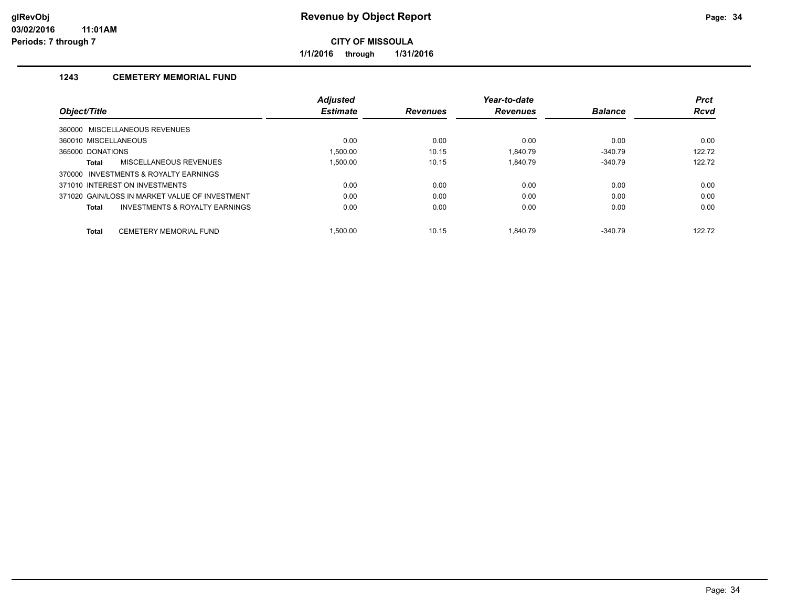**1/1/2016 through 1/31/2016**

# **1243 CEMETERY MEMORIAL FUND**

|                                                | <b>Adjusted</b> |                 | Year-to-date    |                | <b>Prct</b> |
|------------------------------------------------|-----------------|-----------------|-----------------|----------------|-------------|
| Object/Title                                   | <b>Estimate</b> | <b>Revenues</b> | <b>Revenues</b> | <b>Balance</b> | <b>Rcvd</b> |
| 360000 MISCELLANEOUS REVENUES                  |                 |                 |                 |                |             |
| 360010 MISCELLANEOUS                           | 0.00            | 0.00            | 0.00            | 0.00           | 0.00        |
| 365000 DONATIONS                               | 1.500.00        | 10.15           | 1.840.79        | $-340.79$      | 122.72      |
| MISCELLANEOUS REVENUES<br>Total                | 1.500.00        | 10.15           | 1.840.79        | $-340.79$      | 122.72      |
| 370000 INVESTMENTS & ROYALTY EARNINGS          |                 |                 |                 |                |             |
| 371010 INTEREST ON INVESTMENTS                 | 0.00            | 0.00            | 0.00            | 0.00           | 0.00        |
| 371020 GAIN/LOSS IN MARKET VALUE OF INVESTMENT | 0.00            | 0.00            | 0.00            | 0.00           | 0.00        |
| INVESTMENTS & ROYALTY EARNINGS<br>Total        | 0.00            | 0.00            | 0.00            | 0.00           | 0.00        |
| <b>CEMETERY MEMORIAL FUND</b><br><b>Total</b>  | 1.500.00        | 10.15           | 1.840.79        | $-340.79$      | 122.72      |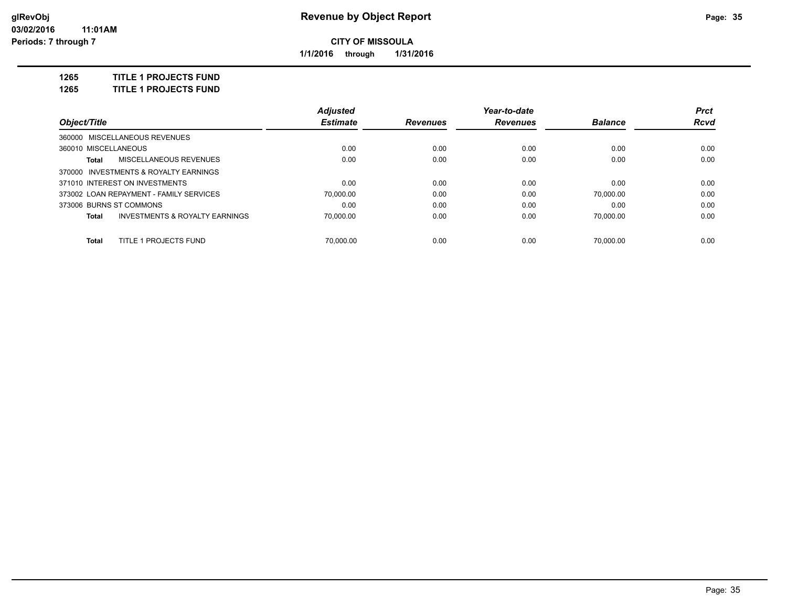**1/1/2016 through 1/31/2016**

**1265 TITLE 1 PROJECTS FUND**

**1265 TITLE 1 PROJECTS FUND**

|                                                    | <b>Adjusted</b> |                 | Year-to-date    |                | <b>Prct</b> |
|----------------------------------------------------|-----------------|-----------------|-----------------|----------------|-------------|
| Object/Title                                       | <b>Estimate</b> | <b>Revenues</b> | <b>Revenues</b> | <b>Balance</b> | Rcvd        |
| 360000 MISCELLANEOUS REVENUES                      |                 |                 |                 |                |             |
| 360010 MISCELLANEOUS                               | 0.00            | 0.00            | 0.00            | 0.00           | 0.00        |
| MISCELLANEOUS REVENUES<br>Total                    | 0.00            | 0.00            | 0.00            | 0.00           | 0.00        |
| 370000 INVESTMENTS & ROYALTY EARNINGS              |                 |                 |                 |                |             |
| 371010 INTEREST ON INVESTMENTS                     | 0.00            | 0.00            | 0.00            | 0.00           | 0.00        |
| 373002 LOAN REPAYMENT - FAMILY SERVICES            | 70.000.00       | 0.00            | 0.00            | 70.000.00      | 0.00        |
| 373006 BURNS ST COMMONS                            | 0.00            | 0.00            | 0.00            | 0.00           | 0.00        |
| <b>INVESTMENTS &amp; ROYALTY EARNINGS</b><br>Total | 70.000.00       | 0.00            | 0.00            | 70.000.00      | 0.00        |
|                                                    |                 |                 |                 |                |             |
| <b>TITLE 1 PROJECTS FUND</b><br>Total              | 70.000.00       | 0.00            | 0.00            | 70.000.00      | 0.00        |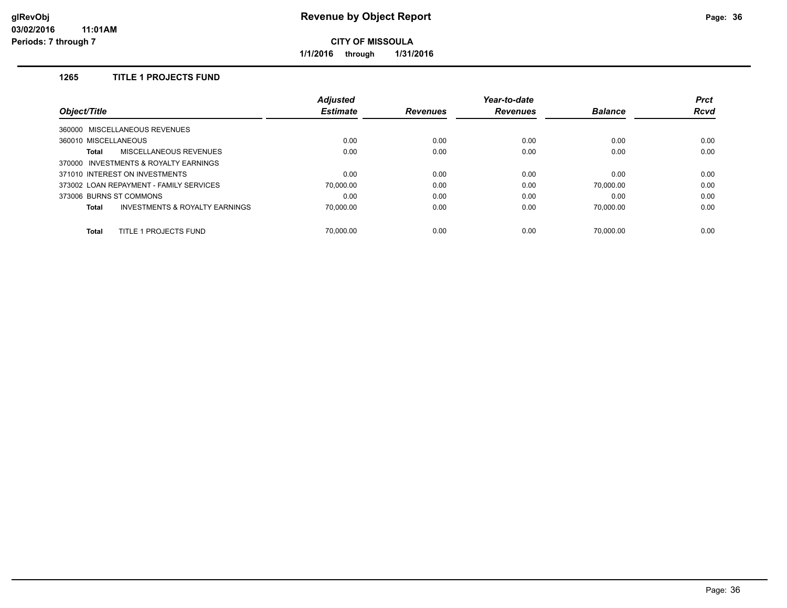**1/1/2016 through 1/31/2016**

# **1265 TITLE 1 PROJECTS FUND**

| <b>Object/Title</b>                                       | <b>Adjusted</b> |                 | Year-to-date    |                | <b>Prct</b> |
|-----------------------------------------------------------|-----------------|-----------------|-----------------|----------------|-------------|
|                                                           | <b>Estimate</b> | <b>Revenues</b> | <b>Revenues</b> | <b>Balance</b> | <b>Rcvd</b> |
| 360000 MISCELLANEOUS REVENUES                             |                 |                 |                 |                |             |
| 360010 MISCELLANEOUS                                      | 0.00            | 0.00            | 0.00            | 0.00           | 0.00        |
| MISCELLANEOUS REVENUES<br><b>Total</b>                    | 0.00            | 0.00            | 0.00            | 0.00           | 0.00        |
| 370000 INVESTMENTS & ROYALTY EARNINGS                     |                 |                 |                 |                |             |
| 371010 INTEREST ON INVESTMENTS                            | 0.00            | 0.00            | 0.00            | 0.00           | 0.00        |
| 373002 LOAN REPAYMENT - FAMILY SERVICES                   | 70.000.00       | 0.00            | 0.00            | 70.000.00      | 0.00        |
| 373006 BURNS ST COMMONS                                   | 0.00            | 0.00            | 0.00            | 0.00           | 0.00        |
| <b>INVESTMENTS &amp; ROYALTY EARNINGS</b><br><b>Total</b> | 70.000.00       | 0.00            | 0.00            | 70.000.00      | 0.00        |
| TITLE 1 PROJECTS FUND<br><b>Total</b>                     | 70.000.00       | 0.00            | 0.00            | 70.000.00      | 0.00        |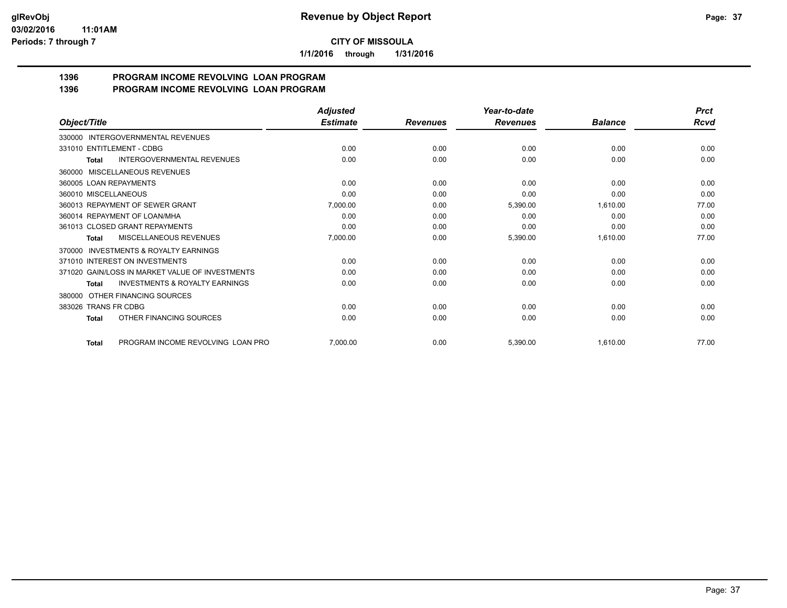**1/1/2016 through 1/31/2016**

#### **1396 PROGRAM INCOME REVOLVING LOAN PROGRAM 1396 PROGRAM INCOME REVOLVING LOAN PROGRAM**

|                                                    | <b>Adjusted</b> |                 | Year-to-date    |                | <b>Prct</b> |
|----------------------------------------------------|-----------------|-----------------|-----------------|----------------|-------------|
| Object/Title                                       | <b>Estimate</b> | <b>Revenues</b> | <b>Revenues</b> | <b>Balance</b> | Rcvd        |
| 330000 INTERGOVERNMENTAL REVENUES                  |                 |                 |                 |                |             |
| 331010 ENTITLEMENT - CDBG                          | 0.00            | 0.00            | 0.00            | 0.00           | 0.00        |
| INTERGOVERNMENTAL REVENUES<br>Total                | 0.00            | 0.00            | 0.00            | 0.00           | 0.00        |
| 360000 MISCELLANEOUS REVENUES                      |                 |                 |                 |                |             |
| 360005 LOAN REPAYMENTS                             | 0.00            | 0.00            | 0.00            | 0.00           | 0.00        |
| 360010 MISCELLANEOUS                               | 0.00            | 0.00            | 0.00            | 0.00           | 0.00        |
| 360013 REPAYMENT OF SEWER GRANT                    | 7,000.00        | 0.00            | 5,390.00        | 1,610.00       | 77.00       |
| 360014 REPAYMENT OF LOAN/MHA                       | 0.00            | 0.00            | 0.00            | 0.00           | 0.00        |
| 361013 CLOSED GRANT REPAYMENTS                     | 0.00            | 0.00            | 0.00            | 0.00           | 0.00        |
| MISCELLANEOUS REVENUES<br>Total                    | 7,000.00        | 0.00            | 5,390.00        | 1,610.00       | 77.00       |
| 370000 INVESTMENTS & ROYALTY EARNINGS              |                 |                 |                 |                |             |
| 371010 INTEREST ON INVESTMENTS                     | 0.00            | 0.00            | 0.00            | 0.00           | 0.00        |
| 371020 GAIN/LOSS IN MARKET VALUE OF INVESTMENTS    | 0.00            | 0.00            | 0.00            | 0.00           | 0.00        |
| <b>INVESTMENTS &amp; ROYALTY EARNINGS</b><br>Total | 0.00            | 0.00            | 0.00            | 0.00           | 0.00        |
| 380000 OTHER FINANCING SOURCES                     |                 |                 |                 |                |             |
| 383026 TRANS FR CDBG                               | 0.00            | 0.00            | 0.00            | 0.00           | 0.00        |
| OTHER FINANCING SOURCES<br><b>Total</b>            | 0.00            | 0.00            | 0.00            | 0.00           | 0.00        |
| PROGRAM INCOME REVOLVING LOAN PRO<br><b>Total</b>  | 7,000.00        | 0.00            | 5,390.00        | 1,610.00       | 77.00       |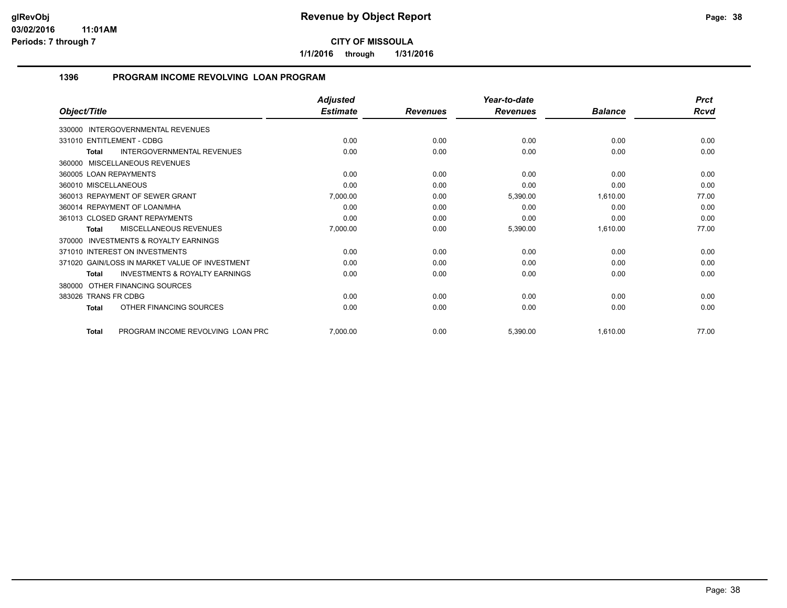**1/1/2016 through 1/31/2016**

## **1396 PROGRAM INCOME REVOLVING LOAN PROGRAM**

|                                                           | <b>Adjusted</b> |                 | Year-to-date    |                | <b>Prct</b> |
|-----------------------------------------------------------|-----------------|-----------------|-----------------|----------------|-------------|
| Object/Title                                              | <b>Estimate</b> | <b>Revenues</b> | <b>Revenues</b> | <b>Balance</b> | <b>Rcvd</b> |
| 330000 INTERGOVERNMENTAL REVENUES                         |                 |                 |                 |                |             |
| 331010 ENTITLEMENT - CDBG                                 | 0.00            | 0.00            | 0.00            | 0.00           | 0.00        |
| <b>INTERGOVERNMENTAL REVENUES</b><br>Total                | 0.00            | 0.00            | 0.00            | 0.00           | 0.00        |
| 360000 MISCELLANEOUS REVENUES                             |                 |                 |                 |                |             |
| 360005 LOAN REPAYMENTS                                    | 0.00            | 0.00            | 0.00            | 0.00           | 0.00        |
| 360010 MISCELLANEOUS                                      | 0.00            | 0.00            | 0.00            | 0.00           | 0.00        |
| 360013 REPAYMENT OF SEWER GRANT                           | 7,000.00        | 0.00            | 5,390.00        | 1,610.00       | 77.00       |
| 360014 REPAYMENT OF LOAN/MHA                              | 0.00            | 0.00            | 0.00            | 0.00           | 0.00        |
| 361013 CLOSED GRANT REPAYMENTS                            | 0.00            | 0.00            | 0.00            | 0.00           | 0.00        |
| MISCELLANEOUS REVENUES<br>Total                           | 7,000.00        | 0.00            | 5,390.00        | 1,610.00       | 77.00       |
| <b>INVESTMENTS &amp; ROYALTY EARNINGS</b><br>370000       |                 |                 |                 |                |             |
| 371010 INTEREST ON INVESTMENTS                            | 0.00            | 0.00            | 0.00            | 0.00           | 0.00        |
| 371020 GAIN/LOSS IN MARKET VALUE OF INVESTMENT            | 0.00            | 0.00            | 0.00            | 0.00           | 0.00        |
| <b>INVESTMENTS &amp; ROYALTY EARNINGS</b><br><b>Total</b> | 0.00            | 0.00            | 0.00            | 0.00           | 0.00        |
| 380000 OTHER FINANCING SOURCES                            |                 |                 |                 |                |             |
| 383026 TRANS FR CDBG                                      | 0.00            | 0.00            | 0.00            | 0.00           | 0.00        |
| OTHER FINANCING SOURCES<br>Total                          | 0.00            | 0.00            | 0.00            | 0.00           | 0.00        |
| PROGRAM INCOME REVOLVING LOAN PRC<br><b>Total</b>         | 7,000.00        | 0.00            | 5,390.00        | 1,610.00       | 77.00       |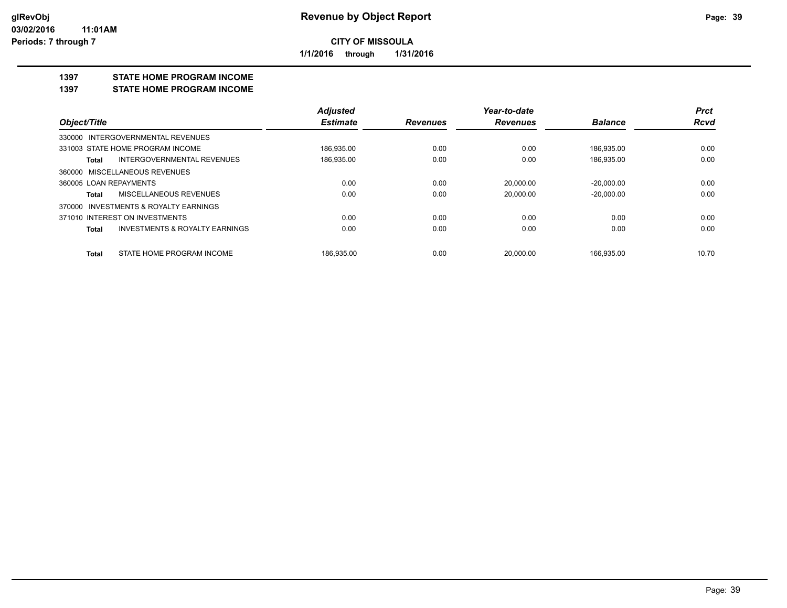**1/1/2016 through 1/31/2016**

#### **1397 STATE HOME PROGRAM INCOME**

**1397 STATE HOME PROGRAM INCOME**

|                                            | <b>Adjusted</b> |                 | Year-to-date    |                | <b>Prct</b> |
|--------------------------------------------|-----------------|-----------------|-----------------|----------------|-------------|
| Object/Title                               | <b>Estimate</b> | <b>Revenues</b> | <b>Revenues</b> | <b>Balance</b> | <b>Rcvd</b> |
| INTERGOVERNMENTAL REVENUES<br>330000       |                 |                 |                 |                |             |
| 331003 STATE HOME PROGRAM INCOME           | 186,935.00      | 0.00            | 0.00            | 186,935.00     | 0.00        |
| <b>INTERGOVERNMENTAL REVENUES</b><br>Total | 186,935.00      | 0.00            | 0.00            | 186,935.00     | 0.00        |
| 360000 MISCELLANEOUS REVENUES              |                 |                 |                 |                |             |
| 360005 LOAN REPAYMENTS                     | 0.00            | 0.00            | 20.000.00       | $-20.000.00$   | 0.00        |
| MISCELLANEOUS REVENUES<br>Total            | 0.00            | 0.00            | 20.000.00       | $-20.000.00$   | 0.00        |
| INVESTMENTS & ROYALTY EARNINGS<br>370000   |                 |                 |                 |                |             |
| 371010 INTEREST ON INVESTMENTS             | 0.00            | 0.00            | 0.00            | 0.00           | 0.00        |
| INVESTMENTS & ROYALTY EARNINGS<br>Total    | 0.00            | 0.00            | 0.00            | 0.00           | 0.00        |
| STATE HOME PROGRAM INCOME<br>Total         | 186.935.00      | 0.00            | 20.000.00       | 166.935.00     | 10.70       |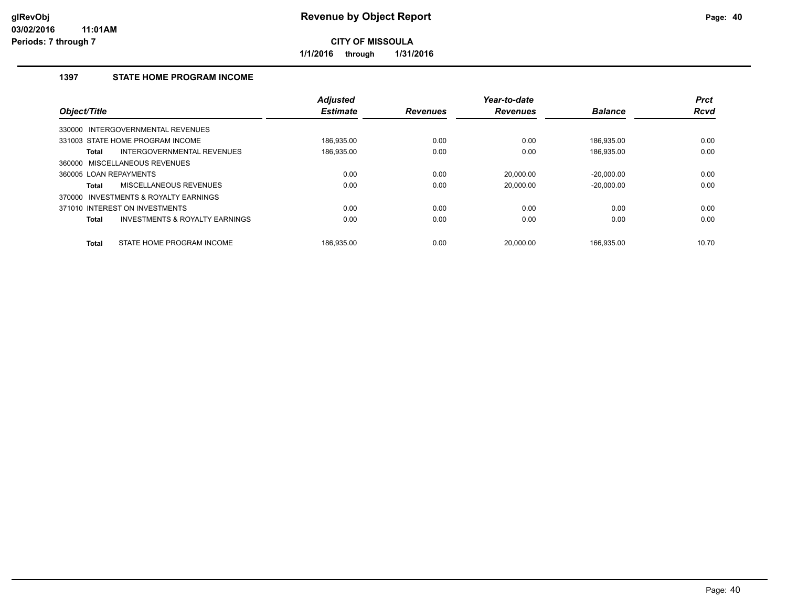**1/1/2016 through 1/31/2016**

## **1397 STATE HOME PROGRAM INCOME**

| Object/Title           |                                           | <b>Adjusted</b><br><b>Estimate</b> | <b>Revenues</b> | Year-to-date<br><b>Revenues</b> | <b>Balance</b> | <b>Prct</b><br><b>Rcvd</b> |
|------------------------|-------------------------------------------|------------------------------------|-----------------|---------------------------------|----------------|----------------------------|
|                        |                                           |                                    |                 |                                 |                |                            |
|                        | 330000 INTERGOVERNMENTAL REVENUES         |                                    |                 |                                 |                |                            |
|                        | 331003 STATE HOME PROGRAM INCOME          | 186.935.00                         | 0.00            | 0.00                            | 186.935.00     | 0.00                       |
| Total                  | INTERGOVERNMENTAL REVENUES                | 186,935.00                         | 0.00            | 0.00                            | 186,935.00     | 0.00                       |
|                        | 360000 MISCELLANEOUS REVENUES             |                                    |                 |                                 |                |                            |
| 360005 LOAN REPAYMENTS |                                           | 0.00                               | 0.00            | 20,000.00                       | $-20,000.00$   | 0.00                       |
| Total                  | MISCELLANEOUS REVENUES                    | 0.00                               | 0.00            | 20.000.00                       | $-20.000.00$   | 0.00                       |
| 370000                 | INVESTMENTS & ROYALTY EARNINGS            |                                    |                 |                                 |                |                            |
|                        | 371010 INTEREST ON INVESTMENTS            | 0.00                               | 0.00            | 0.00                            | 0.00           | 0.00                       |
| <b>Total</b>           | <b>INVESTMENTS &amp; ROYALTY EARNINGS</b> | 0.00                               | 0.00            | 0.00                            | 0.00           | 0.00                       |
| <b>Total</b>           | STATE HOME PROGRAM INCOME                 | 186.935.00                         | 0.00            | 20.000.00                       | 166.935.00     | 10.70                      |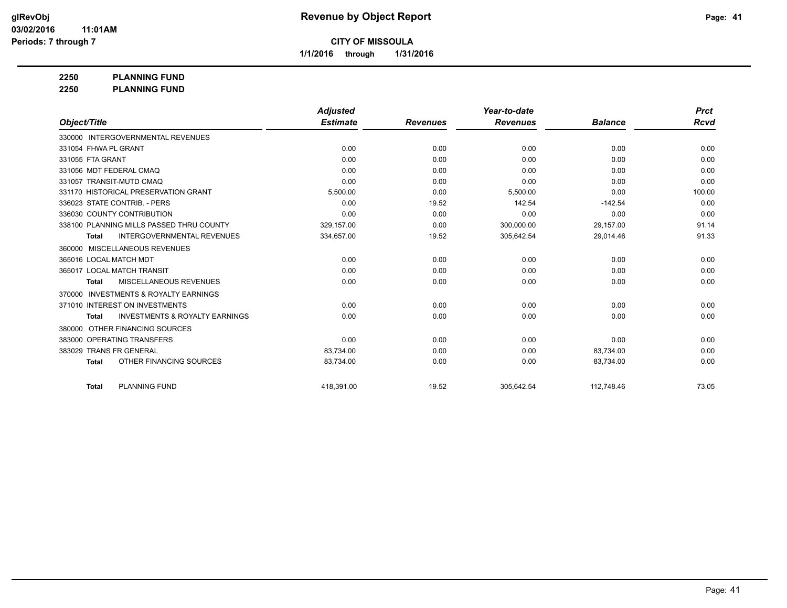**1/1/2016 through 1/31/2016**

**2250 PLANNING FUND**

**2250 PLANNING FUND**

|                                                     | <b>Adjusted</b> |                 | Year-to-date    |                | <b>Prct</b> |
|-----------------------------------------------------|-----------------|-----------------|-----------------|----------------|-------------|
| Object/Title                                        | <b>Estimate</b> | <b>Revenues</b> | <b>Revenues</b> | <b>Balance</b> | Rcvd        |
| 330000 INTERGOVERNMENTAL REVENUES                   |                 |                 |                 |                |             |
| 331054 FHWA PL GRANT                                | 0.00            | 0.00            | 0.00            | 0.00           | 0.00        |
| 331055 FTA GRANT                                    | 0.00            | 0.00            | 0.00            | 0.00           | 0.00        |
| 331056 MDT FEDERAL CMAQ                             | 0.00            | 0.00            | 0.00            | 0.00           | 0.00        |
| 331057 TRANSIT-MUTD CMAQ                            | 0.00            | 0.00            | 0.00            | 0.00           | 0.00        |
| 331170 HISTORICAL PRESERVATION GRANT                | 5,500.00        | 0.00            | 5,500.00        | 0.00           | 100.00      |
| 336023 STATE CONTRIB. - PERS                        | 0.00            | 19.52           | 142.54          | $-142.54$      | 0.00        |
| 336030 COUNTY CONTRIBUTION                          | 0.00            | 0.00            | 0.00            | 0.00           | 0.00        |
| 338100 PLANNING MILLS PASSED THRU COUNTY            | 329,157.00      | 0.00            | 300,000.00      | 29,157.00      | 91.14       |
| <b>INTERGOVERNMENTAL REVENUES</b><br><b>Total</b>   | 334,657.00      | 19.52           | 305,642.54      | 29,014.46      | 91.33       |
| <b>MISCELLANEOUS REVENUES</b><br>360000             |                 |                 |                 |                |             |
| 365016 LOCAL MATCH MDT                              | 0.00            | 0.00            | 0.00            | 0.00           | 0.00        |
| 365017 LOCAL MATCH TRANSIT                          | 0.00            | 0.00            | 0.00            | 0.00           | 0.00        |
| MISCELLANEOUS REVENUES<br><b>Total</b>              | 0.00            | 0.00            | 0.00            | 0.00           | 0.00        |
| <b>INVESTMENTS &amp; ROYALTY EARNINGS</b><br>370000 |                 |                 |                 |                |             |
| 371010 INTEREST ON INVESTMENTS                      | 0.00            | 0.00            | 0.00            | 0.00           | 0.00        |
| <b>INVESTMENTS &amp; ROYALTY EARNINGS</b><br>Total  | 0.00            | 0.00            | 0.00            | 0.00           | 0.00        |
| OTHER FINANCING SOURCES<br>380000                   |                 |                 |                 |                |             |
| 383000 OPERATING TRANSFERS                          | 0.00            | 0.00            | 0.00            | 0.00           | 0.00        |
| 383029 TRANS FR GENERAL                             | 83,734.00       | 0.00            | 0.00            | 83,734.00      | 0.00        |
| OTHER FINANCING SOURCES<br><b>Total</b>             | 83,734.00       | 0.00            | 0.00            | 83,734.00      | 0.00        |
| <b>PLANNING FUND</b><br><b>Total</b>                | 418.391.00      | 19.52           | 305.642.54      | 112.748.46     | 73.05       |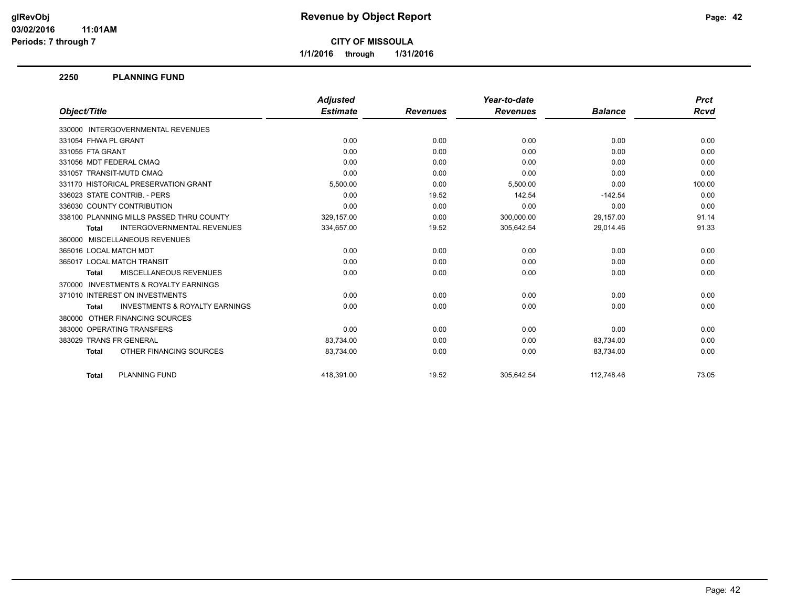**1/1/2016 through 1/31/2016**

#### **2250 PLANNING FUND**

|                                                           | <b>Adjusted</b> |                 | Year-to-date    |                | <b>Prct</b> |
|-----------------------------------------------------------|-----------------|-----------------|-----------------|----------------|-------------|
| Object/Title                                              | <b>Estimate</b> | <b>Revenues</b> | <b>Revenues</b> | <b>Balance</b> | Rcvd        |
| 330000 INTERGOVERNMENTAL REVENUES                         |                 |                 |                 |                |             |
| 331054 FHWA PL GRANT                                      | 0.00            | 0.00            | 0.00            | 0.00           | 0.00        |
| 331055 FTA GRANT                                          | 0.00            | 0.00            | 0.00            | 0.00           | 0.00        |
| 331056 MDT FEDERAL CMAQ                                   | 0.00            | 0.00            | 0.00            | 0.00           | 0.00        |
| 331057 TRANSIT-MUTD CMAO                                  | 0.00            | 0.00            | 0.00            | 0.00           | 0.00        |
| 331170 HISTORICAL PRESERVATION GRANT                      | 5,500.00        | 0.00            | 5,500.00        | 0.00           | 100.00      |
| 336023 STATE CONTRIB. - PERS                              | 0.00            | 19.52           | 142.54          | $-142.54$      | 0.00        |
| 336030 COUNTY CONTRIBUTION                                | 0.00            | 0.00            | 0.00            | 0.00           | 0.00        |
| 338100 PLANNING MILLS PASSED THRU COUNTY                  | 329,157.00      | 0.00            | 300,000.00      | 29,157.00      | 91.14       |
| <b>INTERGOVERNMENTAL REVENUES</b><br><b>Total</b>         | 334,657.00      | 19.52           | 305,642.54      | 29,014.46      | 91.33       |
| 360000 MISCELLANEOUS REVENUES                             |                 |                 |                 |                |             |
| 365016 LOCAL MATCH MDT                                    | 0.00            | 0.00            | 0.00            | 0.00           | 0.00        |
| 365017 LOCAL MATCH TRANSIT                                | 0.00            | 0.00            | 0.00            | 0.00           | 0.00        |
| MISCELLANEOUS REVENUES<br>Total                           | 0.00            | 0.00            | 0.00            | 0.00           | 0.00        |
| 370000 INVESTMENTS & ROYALTY EARNINGS                     |                 |                 |                 |                |             |
| 371010 INTEREST ON INVESTMENTS                            | 0.00            | 0.00            | 0.00            | 0.00           | 0.00        |
| <b>INVESTMENTS &amp; ROYALTY EARNINGS</b><br><b>Total</b> | 0.00            | 0.00            | 0.00            | 0.00           | 0.00        |
| 380000 OTHER FINANCING SOURCES                            |                 |                 |                 |                |             |
| 383000 OPERATING TRANSFERS                                | 0.00            | 0.00            | 0.00            | 0.00           | 0.00        |
| 383029 TRANS FR GENERAL                                   | 83,734.00       | 0.00            | 0.00            | 83,734.00      | 0.00        |
| OTHER FINANCING SOURCES<br><b>Total</b>                   | 83,734.00       | 0.00            | 0.00            | 83,734.00      | 0.00        |
| <b>PLANNING FUND</b><br><b>Total</b>                      | 418.391.00      | 19.52           | 305.642.54      | 112.748.46     | 73.05       |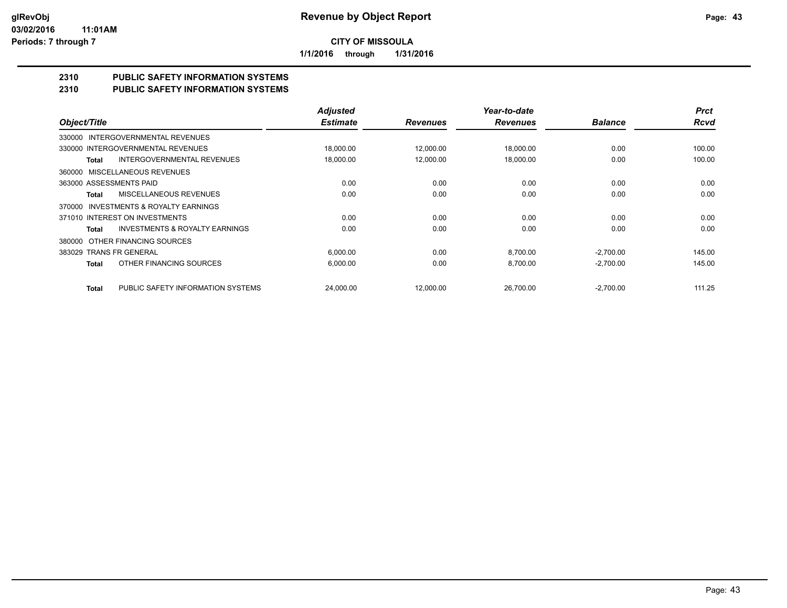**1/1/2016 through 1/31/2016**

# **2310 PUBLIC SAFETY INFORMATION SYSTEMS**

## **2310 PUBLIC SAFETY INFORMATION SYSTEMS**

|                                                     | <b>Adjusted</b> |                 | Year-to-date    |                | <b>Prct</b> |
|-----------------------------------------------------|-----------------|-----------------|-----------------|----------------|-------------|
| Object/Title                                        | <b>Estimate</b> | <b>Revenues</b> | <b>Revenues</b> | <b>Balance</b> | <b>Rcvd</b> |
| INTERGOVERNMENTAL REVENUES<br>330000                |                 |                 |                 |                |             |
| 330000 INTERGOVERNMENTAL REVENUES                   | 18,000.00       | 12,000.00       | 18,000.00       | 0.00           | 100.00      |
| <b>INTERGOVERNMENTAL REVENUES</b><br>Total          | 18,000.00       | 12,000.00       | 18,000.00       | 0.00           | 100.00      |
| MISCELLANEOUS REVENUES<br>360000                    |                 |                 |                 |                |             |
| 363000 ASSESSMENTS PAID                             | 0.00            | 0.00            | 0.00            | 0.00           | 0.00        |
| MISCELLANEOUS REVENUES<br>Total                     | 0.00            | 0.00            | 0.00            | 0.00           | 0.00        |
| <b>INVESTMENTS &amp; ROYALTY EARNINGS</b><br>370000 |                 |                 |                 |                |             |
| 371010 INTEREST ON INVESTMENTS                      | 0.00            | 0.00            | 0.00            | 0.00           | 0.00        |
| INVESTMENTS & ROYALTY EARNINGS<br>Total             | 0.00            | 0.00            | 0.00            | 0.00           | 0.00        |
| OTHER FINANCING SOURCES<br>380000                   |                 |                 |                 |                |             |
| 383029 TRANS FR GENERAL                             | 6,000.00        | 0.00            | 8,700.00        | $-2,700.00$    | 145.00      |
| OTHER FINANCING SOURCES<br><b>Total</b>             | 6,000.00        | 0.00            | 8,700.00        | $-2,700.00$    | 145.00      |
|                                                     |                 |                 |                 |                |             |
| PUBLIC SAFETY INFORMATION SYSTEMS<br><b>Total</b>   | 24,000.00       | 12,000.00       | 26,700.00       | $-2,700.00$    | 111.25      |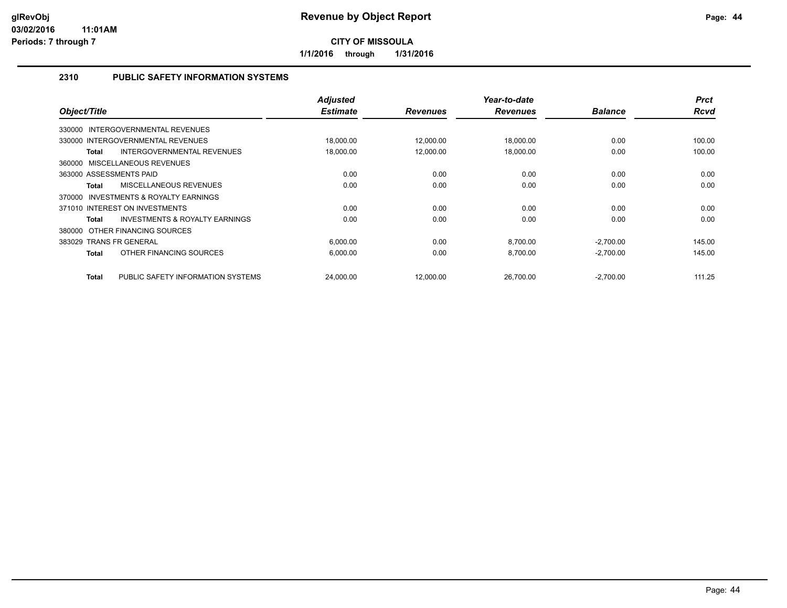**1/1/2016 through 1/31/2016**

## **2310 PUBLIC SAFETY INFORMATION SYSTEMS**

| Object/Title                                       | <b>Adjusted</b><br><b>Estimate</b> | <b>Revenues</b> | Year-to-date<br><b>Revenues</b> | <b>Balance</b> | <b>Prct</b><br><b>Rcvd</b> |
|----------------------------------------------------|------------------------------------|-----------------|---------------------------------|----------------|----------------------------|
| <b>INTERGOVERNMENTAL REVENUES</b><br>330000        |                                    |                 |                                 |                |                            |
| 330000 INTERGOVERNMENTAL REVENUES                  | 18,000.00                          | 12,000.00       | 18,000.00                       | 0.00           | 100.00                     |
| INTERGOVERNMENTAL REVENUES<br>Total                | 18,000.00                          | 12,000.00       | 18,000.00                       | 0.00           | 100.00                     |
| 360000 MISCELLANEOUS REVENUES                      |                                    |                 |                                 |                |                            |
| 363000 ASSESSMENTS PAID                            | 0.00                               | 0.00            | 0.00                            | 0.00           | 0.00                       |
| MISCELLANEOUS REVENUES<br>Total                    | 0.00                               | 0.00            | 0.00                            | 0.00           | 0.00                       |
| INVESTMENTS & ROYALTY EARNINGS<br>370000           |                                    |                 |                                 |                |                            |
| 371010 INTEREST ON INVESTMENTS                     | 0.00                               | 0.00            | 0.00                            | 0.00           | 0.00                       |
| <b>INVESTMENTS &amp; ROYALTY EARNINGS</b><br>Total | 0.00                               | 0.00            | 0.00                            | 0.00           | 0.00                       |
| 380000 OTHER FINANCING SOURCES                     |                                    |                 |                                 |                |                            |
| 383029 TRANS FR GENERAL                            | 6,000.00                           | 0.00            | 8,700.00                        | $-2,700.00$    | 145.00                     |
| OTHER FINANCING SOURCES<br>Total                   | 6,000.00                           | 0.00            | 8,700.00                        | $-2,700.00$    | 145.00                     |
|                                                    |                                    |                 |                                 |                |                            |
| PUBLIC SAFETY INFORMATION SYSTEMS<br>Total         | 24,000.00                          | 12,000.00       | 26,700.00                       | $-2,700.00$    | 111.25                     |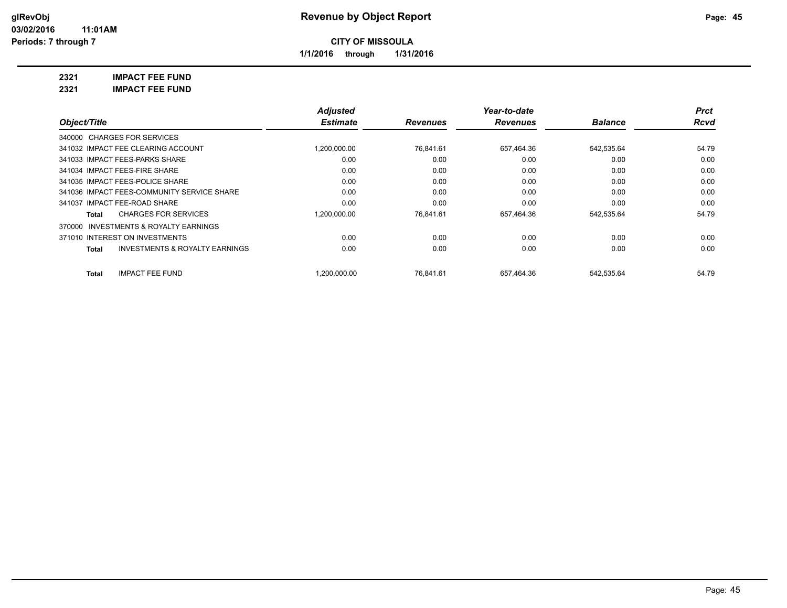**1/1/2016 through 1/31/2016**

**2321 IMPACT FEE FUND**

|  | 2321 | <b>IMPACT FEE FUND</b> |  |  |
|--|------|------------------------|--|--|
|--|------|------------------------|--|--|

|                                                    | <b>Adjusted</b> |                 | Year-to-date    |                | Prct        |
|----------------------------------------------------|-----------------|-----------------|-----------------|----------------|-------------|
| Object/Title                                       | <b>Estimate</b> | <b>Revenues</b> | <b>Revenues</b> | <b>Balance</b> | <b>Rcvd</b> |
| 340000 CHARGES FOR SERVICES                        |                 |                 |                 |                |             |
| 341032 IMPACT FEE CLEARING ACCOUNT                 | 1.200.000.00    | 76.841.61       | 657,464.36      | 542,535.64     | 54.79       |
| 341033 IMPACT FEES-PARKS SHARE                     | 0.00            | 0.00            | 0.00            | 0.00           | 0.00        |
| 341034 IMPACT FEES-FIRE SHARE                      | 0.00            | 0.00            | 0.00            | 0.00           | 0.00        |
| 341035 IMPACT FEES-POLICE SHARE                    | 0.00            | 0.00            | 0.00            | 0.00           | 0.00        |
| 341036 IMPACT FEES-COMMUNITY SERVICE SHARE         | 0.00            | 0.00            | 0.00            | 0.00           | 0.00        |
| 341037 IMPACT FEE-ROAD SHARE                       | 0.00            | 0.00            | 0.00            | 0.00           | 0.00        |
| <b>CHARGES FOR SERVICES</b><br>Total               | 1,200,000.00    | 76.841.61       | 657,464.36      | 542,535.64     | 54.79       |
| 370000 INVESTMENTS & ROYALTY EARNINGS              |                 |                 |                 |                |             |
| 371010 INTEREST ON INVESTMENTS                     | 0.00            | 0.00            | 0.00            | 0.00           | 0.00        |
| <b>INVESTMENTS &amp; ROYALTY EARNINGS</b><br>Total | 0.00            | 0.00            | 0.00            | 0.00           | 0.00        |
| <b>IMPACT FEE FUND</b><br><b>Total</b>             | 1.200.000.00    | 76.841.61       | 657.464.36      | 542.535.64     | 54.79       |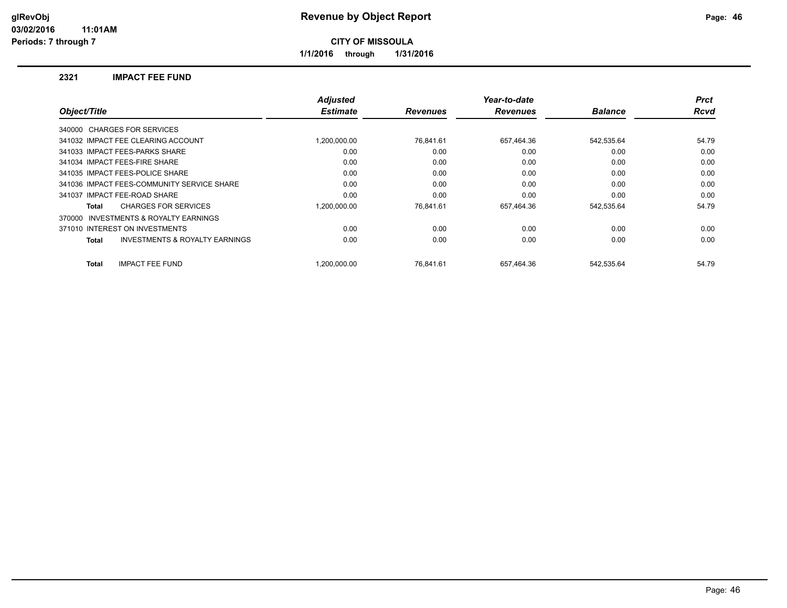**1/1/2016 through 1/31/2016**

#### **2321 IMPACT FEE FUND**

| Object/Title                                        | <b>Adjusted</b><br><b>Estimate</b> | <b>Revenues</b> | Year-to-date<br><b>Revenues</b> | <b>Balance</b> | <b>Prct</b><br><b>Rcvd</b> |
|-----------------------------------------------------|------------------------------------|-----------------|---------------------------------|----------------|----------------------------|
|                                                     |                                    |                 |                                 |                |                            |
| 340000 CHARGES FOR SERVICES                         |                                    |                 |                                 |                |                            |
| 341032 IMPACT FEE CLEARING ACCOUNT                  | 1,200,000.00                       | 76,841.61       | 657,464.36                      | 542,535.64     | 54.79                      |
| 341033 IMPACT FEES-PARKS SHARE                      | 0.00                               | 0.00            | 0.00                            | 0.00           | 0.00                       |
| 341034 IMPACT FEES-FIRE SHARE                       | 0.00                               | 0.00            | 0.00                            | 0.00           | 0.00                       |
| 341035 IMPACT FEES-POLICE SHARE                     | 0.00                               | 0.00            | 0.00                            | 0.00           | 0.00                       |
| 341036 IMPACT FEES-COMMUNITY SERVICE SHARE          | 0.00                               | 0.00            | 0.00                            | 0.00           | 0.00                       |
| 341037 IMPACT FEE-ROAD SHARE                        | 0.00                               | 0.00            | 0.00                            | 0.00           | 0.00                       |
| <b>CHARGES FOR SERVICES</b><br>Total                | 1,200,000.00                       | 76.841.61       | 657,464.36                      | 542,535.64     | 54.79                      |
| <b>INVESTMENTS &amp; ROYALTY EARNINGS</b><br>370000 |                                    |                 |                                 |                |                            |
| 371010 INTEREST ON INVESTMENTS                      | 0.00                               | 0.00            | 0.00                            | 0.00           | 0.00                       |
| <b>INVESTMENTS &amp; ROYALTY EARNINGS</b><br>Total  | 0.00                               | 0.00            | 0.00                            | 0.00           | 0.00                       |
| <b>IMPACT FEE FUND</b><br><b>Total</b>              | 1.200.000.00                       | 76.841.61       | 657.464.36                      | 542,535.64     | 54.79                      |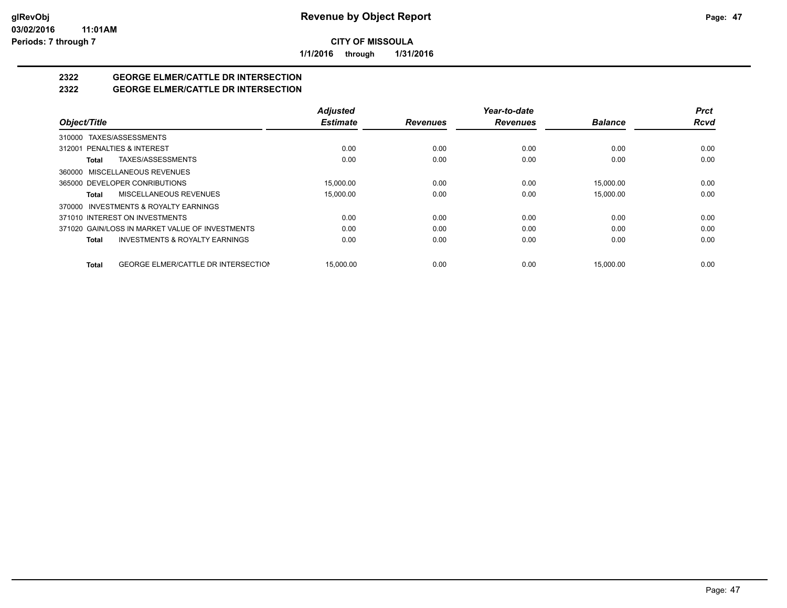**1/1/2016 through 1/31/2016**

## **2322 GEORGE ELMER/CATTLE DR INTERSECTION**

## **2322 GEORGE ELMER/CATTLE DR INTERSECTION**

|                                                            | <b>Adjusted</b> |                 | Year-to-date    |                | <b>Prct</b> |
|------------------------------------------------------------|-----------------|-----------------|-----------------|----------------|-------------|
| Object/Title                                               | <b>Estimate</b> | <b>Revenues</b> | <b>Revenues</b> | <b>Balance</b> | <b>Rcvd</b> |
| 310000 TAXES/ASSESSMENTS                                   |                 |                 |                 |                |             |
| 312001 PENALTIES & INTEREST                                | 0.00            | 0.00            | 0.00            | 0.00           | 0.00        |
| TAXES/ASSESSMENTS<br>Total                                 | 0.00            | 0.00            | 0.00            | 0.00           | 0.00        |
| 360000 MISCELLANEOUS REVENUES                              |                 |                 |                 |                |             |
| 365000 DEVELOPER CONRIBUTIONS                              | 15.000.00       | 0.00            | 0.00            | 15.000.00      | 0.00        |
| MISCELLANEOUS REVENUES<br>Total                            | 15,000.00       | 0.00            | 0.00            | 15,000.00      | 0.00        |
| 370000 INVESTMENTS & ROYALTY EARNINGS                      |                 |                 |                 |                |             |
| 371010 INTEREST ON INVESTMENTS                             | 0.00            | 0.00            | 0.00            | 0.00           | 0.00        |
| 371020 GAIN/LOSS IN MARKET VALUE OF INVESTMENTS            | 0.00            | 0.00            | 0.00            | 0.00           | 0.00        |
| <b>INVESTMENTS &amp; ROYALTY EARNINGS</b><br>Total         | 0.00            | 0.00            | 0.00            | 0.00           | 0.00        |
| <b>GEORGE ELMER/CATTLE DR INTERSECTION</b><br><b>Total</b> | 15.000.00       | 0.00            | 0.00            | 15.000.00      | 0.00        |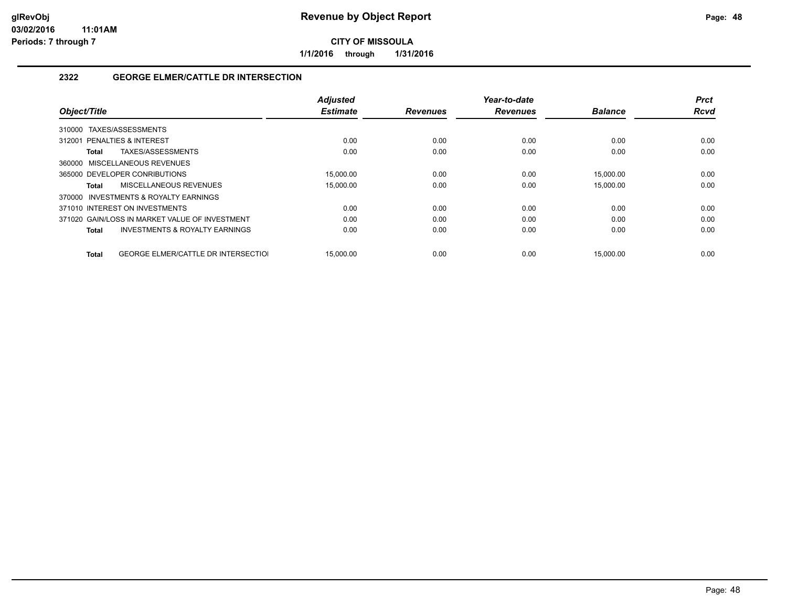**1/1/2016 through 1/31/2016**

## **2322 GEORGE ELMER/CATTLE DR INTERSECTION**

|              |                                                | <b>Adjusted</b> |                 | Year-to-date    |                | <b>Prct</b> |
|--------------|------------------------------------------------|-----------------|-----------------|-----------------|----------------|-------------|
| Object/Title |                                                | <b>Estimate</b> | <b>Revenues</b> | <b>Revenues</b> | <b>Balance</b> | <b>Rcvd</b> |
| 310000       | TAXES/ASSESSMENTS                              |                 |                 |                 |                |             |
|              | 312001 PENALTIES & INTEREST                    | 0.00            | 0.00            | 0.00            | 0.00           | 0.00        |
| Total        | TAXES/ASSESSMENTS                              | 0.00            | 0.00            | 0.00            | 0.00           | 0.00        |
|              | 360000 MISCELLANEOUS REVENUES                  |                 |                 |                 |                |             |
|              | 365000 DEVELOPER CONRIBUTIONS                  | 15.000.00       | 0.00            | 0.00            | 15.000.00      | 0.00        |
| Total        | MISCELLANEOUS REVENUES                         | 15,000.00       | 0.00            | 0.00            | 15,000.00      | 0.00        |
|              | 370000 INVESTMENTS & ROYALTY EARNINGS          |                 |                 |                 |                |             |
|              | 371010 INTEREST ON INVESTMENTS                 | 0.00            | 0.00            | 0.00            | 0.00           | 0.00        |
|              | 371020 GAIN/LOSS IN MARKET VALUE OF INVESTMENT | 0.00            | 0.00            | 0.00            | 0.00           | 0.00        |
| Total        | <b>INVESTMENTS &amp; ROYALTY EARNINGS</b>      | 0.00            | 0.00            | 0.00            | 0.00           | 0.00        |
|              |                                                |                 |                 |                 |                |             |
| Total        | <b>GEORGE ELMER/CATTLE DR INTERSECTIOL</b>     | 15.000.00       | 0.00            | 0.00            | 15.000.00      | 0.00        |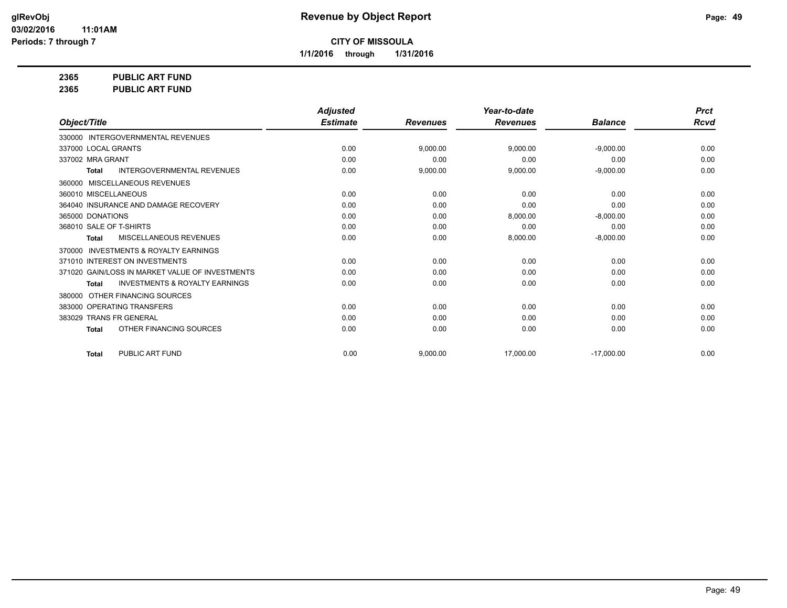**1/1/2016 through 1/31/2016**

**2365 PUBLIC ART FUND**

**2365 PUBLIC ART FUND**

|                                                           | <b>Adjusted</b> |                 | Year-to-date    |                | <b>Prct</b> |
|-----------------------------------------------------------|-----------------|-----------------|-----------------|----------------|-------------|
| Object/Title                                              | <b>Estimate</b> | <b>Revenues</b> | <b>Revenues</b> | <b>Balance</b> | <b>Rcvd</b> |
| 330000 INTERGOVERNMENTAL REVENUES                         |                 |                 |                 |                |             |
| 337000 LOCAL GRANTS                                       | 0.00            | 9,000.00        | 9.000.00        | $-9.000.00$    | 0.00        |
| 337002 MRA GRANT                                          | 0.00            | 0.00            | 0.00            | 0.00           | 0.00        |
| <b>INTERGOVERNMENTAL REVENUES</b><br><b>Total</b>         | 0.00            | 9,000.00        | 9,000.00        | $-9,000.00$    | 0.00        |
| 360000 MISCELLANEOUS REVENUES                             |                 |                 |                 |                |             |
| 360010 MISCELLANEOUS                                      | 0.00            | 0.00            | 0.00            | 0.00           | 0.00        |
| 364040 INSURANCE AND DAMAGE RECOVERY                      | 0.00            | 0.00            | 0.00            | 0.00           | 0.00        |
| 365000 DONATIONS                                          | 0.00            | 0.00            | 8,000.00        | $-8,000.00$    | 0.00        |
| 368010 SALE OF T-SHIRTS                                   | 0.00            | 0.00            | 0.00            | 0.00           | 0.00        |
| <b>MISCELLANEOUS REVENUES</b><br><b>Total</b>             | 0.00            | 0.00            | 8,000.00        | $-8,000.00$    | 0.00        |
| <b>INVESTMENTS &amp; ROYALTY EARNINGS</b><br>370000       |                 |                 |                 |                |             |
| 371010 INTEREST ON INVESTMENTS                            | 0.00            | 0.00            | 0.00            | 0.00           | 0.00        |
| 371020 GAIN/LOSS IN MARKET VALUE OF INVESTMENTS           | 0.00            | 0.00            | 0.00            | 0.00           | 0.00        |
| <b>INVESTMENTS &amp; ROYALTY EARNINGS</b><br><b>Total</b> | 0.00            | 0.00            | 0.00            | 0.00           | 0.00        |
| OTHER FINANCING SOURCES<br>380000                         |                 |                 |                 |                |             |
| 383000 OPERATING TRANSFERS                                | 0.00            | 0.00            | 0.00            | 0.00           | 0.00        |
| 383029 TRANS FR GENERAL                                   | 0.00            | 0.00            | 0.00            | 0.00           | 0.00        |
| OTHER FINANCING SOURCES<br><b>Total</b>                   | 0.00            | 0.00            | 0.00            | 0.00           | 0.00        |
| PUBLIC ART FUND<br><b>Total</b>                           | 0.00            | 9,000.00        | 17,000.00       | $-17,000.00$   | 0.00        |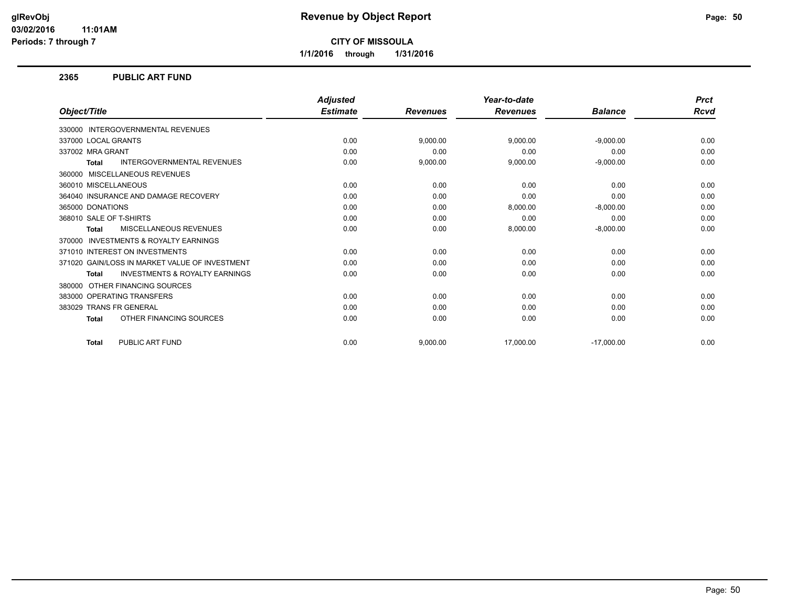**1/1/2016 through 1/31/2016**

#### **2365 PUBLIC ART FUND**

|                                                           | <b>Adjusted</b> |                 | Year-to-date    |                | <b>Prct</b> |
|-----------------------------------------------------------|-----------------|-----------------|-----------------|----------------|-------------|
| Object/Title                                              | <b>Estimate</b> | <b>Revenues</b> | <b>Revenues</b> | <b>Balance</b> | Rcvd        |
| 330000 INTERGOVERNMENTAL REVENUES                         |                 |                 |                 |                |             |
| 337000 LOCAL GRANTS                                       | 0.00            | 9,000.00        | 9,000.00        | $-9,000.00$    | 0.00        |
| 337002 MRA GRANT                                          | 0.00            | 0.00            | 0.00            | 0.00           | 0.00        |
| <b>INTERGOVERNMENTAL REVENUES</b><br><b>Total</b>         | 0.00            | 9,000.00        | 9,000.00        | $-9,000.00$    | 0.00        |
| MISCELLANEOUS REVENUES<br>360000                          |                 |                 |                 |                |             |
| 360010 MISCELLANEOUS                                      | 0.00            | 0.00            | 0.00            | 0.00           | 0.00        |
| 364040 INSURANCE AND DAMAGE RECOVERY                      | 0.00            | 0.00            | 0.00            | 0.00           | 0.00        |
| 365000 DONATIONS                                          | 0.00            | 0.00            | 8,000.00        | $-8,000.00$    | 0.00        |
| 368010 SALE OF T-SHIRTS                                   | 0.00            | 0.00            | 0.00            | 0.00           | 0.00        |
| <b>MISCELLANEOUS REVENUES</b><br><b>Total</b>             | 0.00            | 0.00            | 8,000.00        | $-8,000.00$    | 0.00        |
| INVESTMENTS & ROYALTY EARNINGS<br>370000                  |                 |                 |                 |                |             |
| 371010 INTEREST ON INVESTMENTS                            | 0.00            | 0.00            | 0.00            | 0.00           | 0.00        |
| 371020 GAIN/LOSS IN MARKET VALUE OF INVESTMENT            | 0.00            | 0.00            | 0.00            | 0.00           | 0.00        |
| <b>INVESTMENTS &amp; ROYALTY EARNINGS</b><br><b>Total</b> | 0.00            | 0.00            | 0.00            | 0.00           | 0.00        |
| OTHER FINANCING SOURCES<br>380000                         |                 |                 |                 |                |             |
| 383000 OPERATING TRANSFERS                                | 0.00            | 0.00            | 0.00            | 0.00           | 0.00        |
| 383029 TRANS FR GENERAL                                   | 0.00            | 0.00            | 0.00            | 0.00           | 0.00        |
| OTHER FINANCING SOURCES<br><b>Total</b>                   | 0.00            | 0.00            | 0.00            | 0.00           | 0.00        |
| PUBLIC ART FUND<br><b>Total</b>                           | 0.00            | 9,000.00        | 17,000.00       | $-17,000.00$   | 0.00        |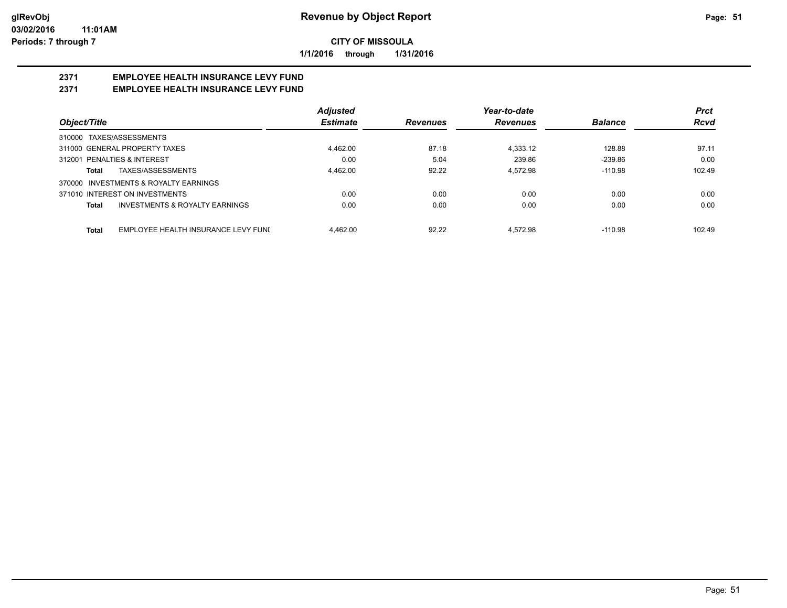**1/1/2016 through 1/31/2016**

## **2371 EMPLOYEE HEALTH INSURANCE LEVY FUND**

## **2371 EMPLOYEE HEALTH INSURANCE LEVY FUND**

|                                              | <b>Adjusted</b> |                 | Year-to-date    |                | <b>Prct</b> |
|----------------------------------------------|-----------------|-----------------|-----------------|----------------|-------------|
| Object/Title                                 | <b>Estimate</b> | <b>Revenues</b> | <b>Revenues</b> | <b>Balance</b> | <b>Rcvd</b> |
| 310000 TAXES/ASSESSMENTS                     |                 |                 |                 |                |             |
| 311000 GENERAL PROPERTY TAXES                | 4,462.00        | 87.18           | 4.333.12        | 128.88         | 97.11       |
| 312001 PENALTIES & INTEREST                  | 0.00            | 5.04            | 239.86          | $-239.86$      | 0.00        |
| TAXES/ASSESSMENTS<br>Total                   | 4,462.00        | 92.22           | 4.572.98        | $-110.98$      | 102.49      |
| INVESTMENTS & ROYALTY EARNINGS<br>370000     |                 |                 |                 |                |             |
| 371010 INTEREST ON INVESTMENTS               | 0.00            | 0.00            | 0.00            | 0.00           | 0.00        |
| INVESTMENTS & ROYALTY EARNINGS<br>Total      | 0.00            | 0.00            | 0.00            | 0.00           | 0.00        |
| EMPLOYEE HEALTH INSURANCE LEVY FUNI<br>Total | 4.462.00        | 92.22           | 4.572.98        | $-110.98$      | 102.49      |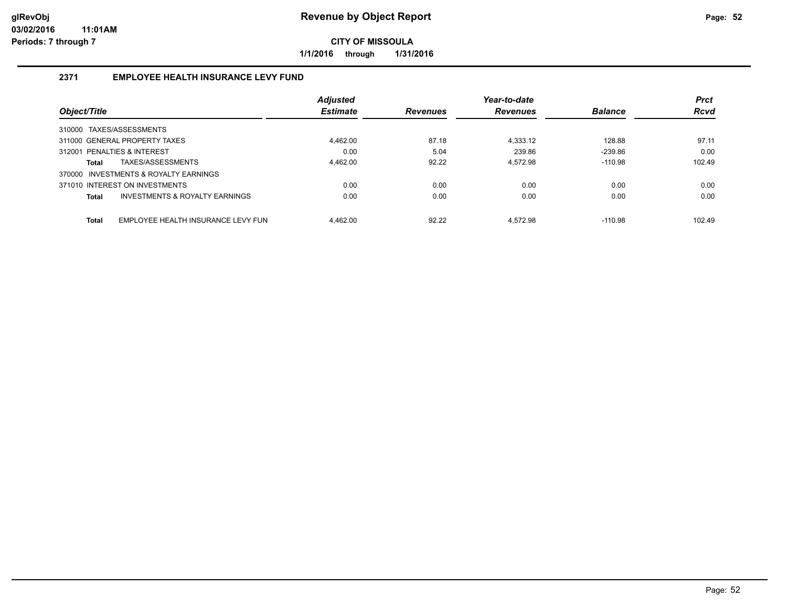**1/1/2016 through 1/31/2016**

## **2371 EMPLOYEE HEALTH INSURANCE LEVY FUND**

|                               |                                           | <b>Adjusted</b> |                 | Year-to-date    |                | <b>Prct</b> |
|-------------------------------|-------------------------------------------|-----------------|-----------------|-----------------|----------------|-------------|
| Object/Title                  |                                           | <b>Estimate</b> | <b>Revenues</b> | <b>Revenues</b> | <b>Balance</b> | <b>Rcvd</b> |
| 310000 TAXES/ASSESSMENTS      |                                           |                 |                 |                 |                |             |
| 311000 GENERAL PROPERTY TAXES |                                           | 4,462.00        | 87.18           | 4.333.12        | 128.88         | 97.11       |
| 312001 PENALTIES & INTEREST   |                                           | 0.00            | 5.04            | 239.86          | $-239.86$      | 0.00        |
| Total                         | TAXES/ASSESSMENTS                         | 4.462.00        | 92.22           | 4.572.98        | $-110.98$      | 102.49      |
|                               | 370000 INVESTMENTS & ROYALTY EARNINGS     |                 |                 |                 |                |             |
|                               | 371010 INTEREST ON INVESTMENTS            | 0.00            | 0.00            | 0.00            | 0.00           | 0.00        |
| Total                         | <b>INVESTMENTS &amp; ROYALTY EARNINGS</b> | 0.00            | 0.00            | 0.00            | 0.00           | 0.00        |
| <b>Total</b>                  | EMPLOYEE HEALTH INSURANCE LEVY FUN        | 4.462.00        | 92.22           | 4.572.98        | $-110.98$      | 102.49      |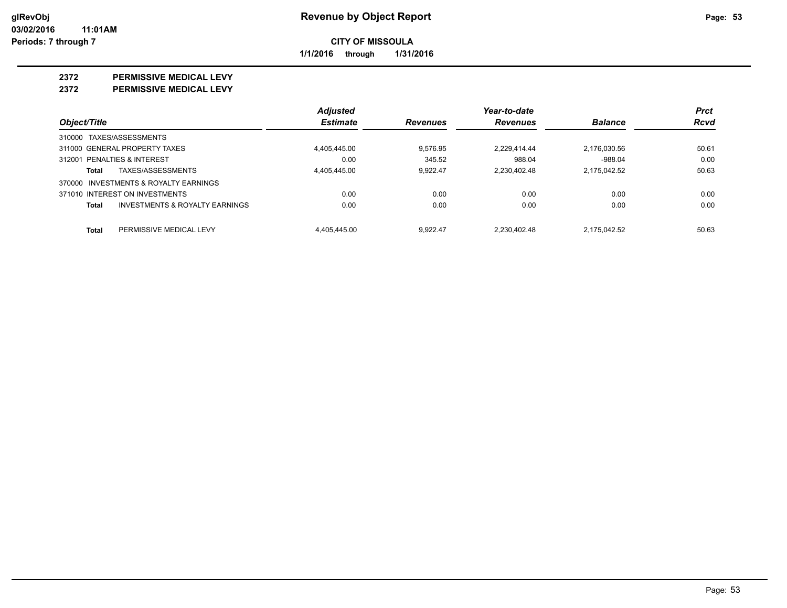**1/1/2016 through 1/31/2016**

#### **2372 PERMISSIVE MEDICAL LEVY**

**2372 PERMISSIVE MEDICAL LEVY**

|                                                    | <b>Adjusted</b> |                 | Year-to-date    |                | <b>Prct</b> |
|----------------------------------------------------|-----------------|-----------------|-----------------|----------------|-------------|
| Object/Title                                       | <b>Estimate</b> | <b>Revenues</b> | <b>Revenues</b> | <b>Balance</b> | Rcvd        |
| 310000 TAXES/ASSESSMENTS                           |                 |                 |                 |                |             |
| 311000 GENERAL PROPERTY TAXES                      | 4.405.445.00    | 9.576.95        | 2.229.414.44    | 2,176,030.56   | 50.61       |
| 312001 PENALTIES & INTEREST                        | 0.00            | 345.52          | 988.04          | $-988.04$      | 0.00        |
| TAXES/ASSESSMENTS<br>Total                         | 4.405.445.00    | 9.922.47        | 2.230.402.48    | 2.175.042.52   | 50.63       |
| 370000 INVESTMENTS & ROYALTY EARNINGS              |                 |                 |                 |                |             |
| 371010 INTEREST ON INVESTMENTS                     | 0.00            | 0.00            | 0.00            | 0.00           | 0.00        |
| <b>INVESTMENTS &amp; ROYALTY EARNINGS</b><br>Total | 0.00            | 0.00            | 0.00            | 0.00           | 0.00        |
| Total<br>PERMISSIVE MEDICAL LEVY                   | 4.405.445.00    | 9.922.47        | 2.230.402.48    | 2.175.042.52   | 50.63       |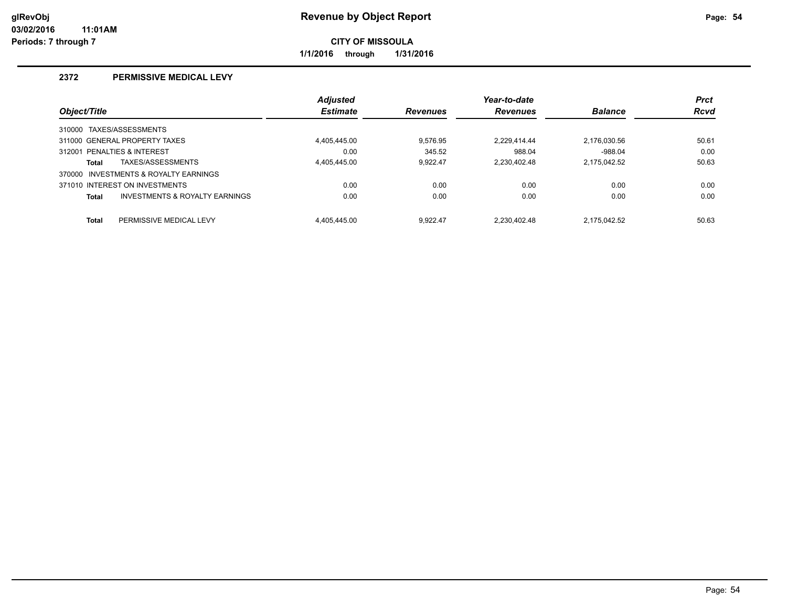**1/1/2016 through 1/31/2016**

## **2372 PERMISSIVE MEDICAL LEVY**

|                             |                                       | <b>Adjusted</b> |                 | Year-to-date    |                | <b>Prct</b> |
|-----------------------------|---------------------------------------|-----------------|-----------------|-----------------|----------------|-------------|
| Object/Title                |                                       | <b>Estimate</b> | <b>Revenues</b> | <b>Revenues</b> | <b>Balance</b> | Rcvd        |
| 310000 TAXES/ASSESSMENTS    |                                       |                 |                 |                 |                |             |
|                             | 311000 GENERAL PROPERTY TAXES         | 4.405.445.00    | 9.576.95        | 2.229.414.44    | 2.176.030.56   | 50.61       |
| 312001 PENALTIES & INTEREST |                                       | 0.00            | 345.52          | 988.04          | $-988.04$      | 0.00        |
| <b>Total</b>                | TAXES/ASSESSMENTS                     | 4.405.445.00    | 9.922.47        | 2,230,402.48    | 2.175.042.52   | 50.63       |
|                             | 370000 INVESTMENTS & ROYALTY EARNINGS |                 |                 |                 |                |             |
|                             | 371010 INTEREST ON INVESTMENTS        | 0.00            | 0.00            | 0.00            | 0.00           | 0.00        |
| <b>Total</b>                | INVESTMENTS & ROYALTY EARNINGS        | 0.00            | 0.00            | 0.00            | 0.00           | 0.00        |
|                             |                                       |                 |                 |                 |                |             |
| <b>Total</b>                | PERMISSIVE MEDICAL LEVY               | 4.405.445.00    | 9.922.47        | 2.230.402.48    | 2.175.042.52   | 50.63       |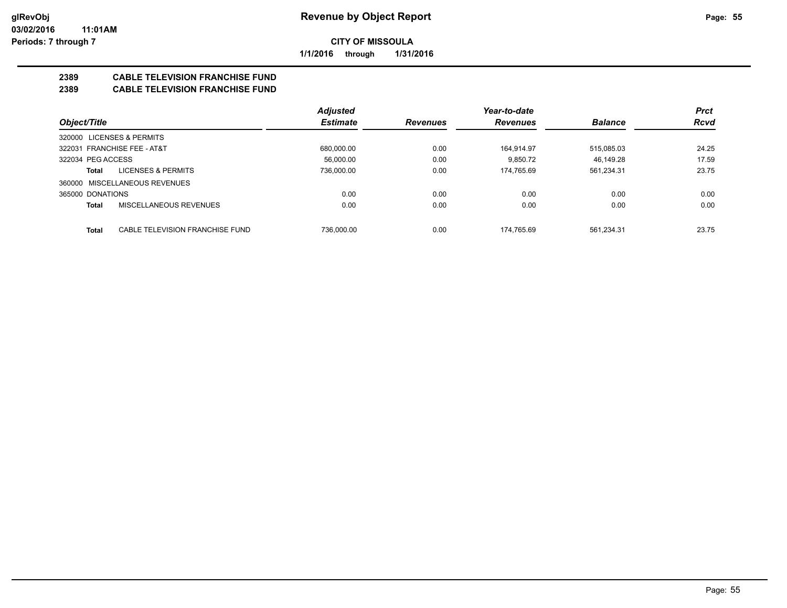**1/1/2016 through 1/31/2016**

## **2389 CABLE TELEVISION FRANCHISE FUND**

## **2389 CABLE TELEVISION FRANCHISE FUND**

|                                                 | <b>Adjusted</b> |                 | Year-to-date    |                | <b>Prct</b> |
|-------------------------------------------------|-----------------|-----------------|-----------------|----------------|-------------|
| Object/Title                                    | <b>Estimate</b> | <b>Revenues</b> | <b>Revenues</b> | <b>Balance</b> | <b>Rcvd</b> |
| <b>LICENSES &amp; PERMITS</b><br>320000         |                 |                 |                 |                |             |
| 322031 FRANCHISE FEE - AT&T                     | 680,000.00      | 0.00            | 164.914.97      | 515,085.03     | 24.25       |
| 322034 PEG ACCESS                               | 56.000.00       | 0.00            | 9.850.72        | 46.149.28      | 17.59       |
| LICENSES & PERMITS<br>Total                     | 736.000.00      | 0.00            | 174.765.69      | 561,234.31     | 23.75       |
| 360000 MISCELLANEOUS REVENUES                   |                 |                 |                 |                |             |
| 365000 DONATIONS                                | 0.00            | 0.00            | 0.00            | 0.00           | 0.00        |
| MISCELLANEOUS REVENUES<br><b>Total</b>          | 0.00            | 0.00            | 0.00            | 0.00           | 0.00        |
|                                                 |                 |                 |                 |                |             |
| CABLE TELEVISION FRANCHISE FUND<br><b>Total</b> | 736.000.00      | 0.00            | 174.765.69      | 561.234.31     | 23.75       |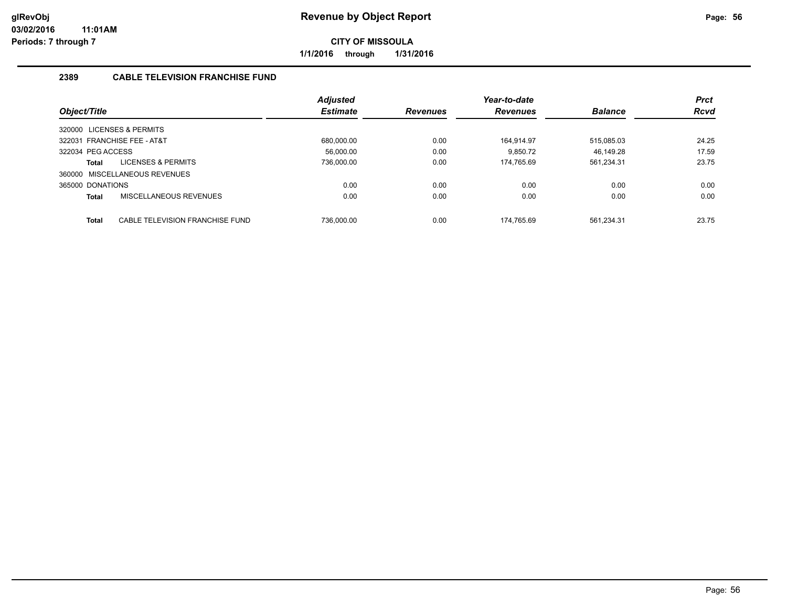**1/1/2016 through 1/31/2016**

## **2389 CABLE TELEVISION FRANCHISE FUND**

|                             |                                 | <b>Adjusted</b> |                 | Year-to-date    |                | <b>Prct</b> |
|-----------------------------|---------------------------------|-----------------|-----------------|-----------------|----------------|-------------|
| Object/Title                |                                 | <b>Estimate</b> | <b>Revenues</b> | <b>Revenues</b> | <b>Balance</b> | <b>Rcvd</b> |
| 320000 LICENSES & PERMITS   |                                 |                 |                 |                 |                |             |
| 322031 FRANCHISE FEE - AT&T |                                 | 680.000.00      | 0.00            | 164.914.97      | 515.085.03     | 24.25       |
| 322034 PEG ACCESS           |                                 | 56.000.00       | 0.00            | 9.850.72        | 46.149.28      | 17.59       |
| Total                       | <b>LICENSES &amp; PERMITS</b>   | 736.000.00      | 0.00            | 174.765.69      | 561,234.31     | 23.75       |
|                             | 360000 MISCELLANEOUS REVENUES   |                 |                 |                 |                |             |
| 365000 DONATIONS            |                                 | 0.00            | 0.00            | 0.00            | 0.00           | 0.00        |
| Total                       | MISCELLANEOUS REVENUES          | 0.00            | 0.00            | 0.00            | 0.00           | 0.00        |
|                             |                                 |                 |                 |                 |                |             |
| Total                       | CABLE TELEVISION FRANCHISE FUND | 736.000.00      | 0.00            | 174.765.69      | 561.234.31     | 23.75       |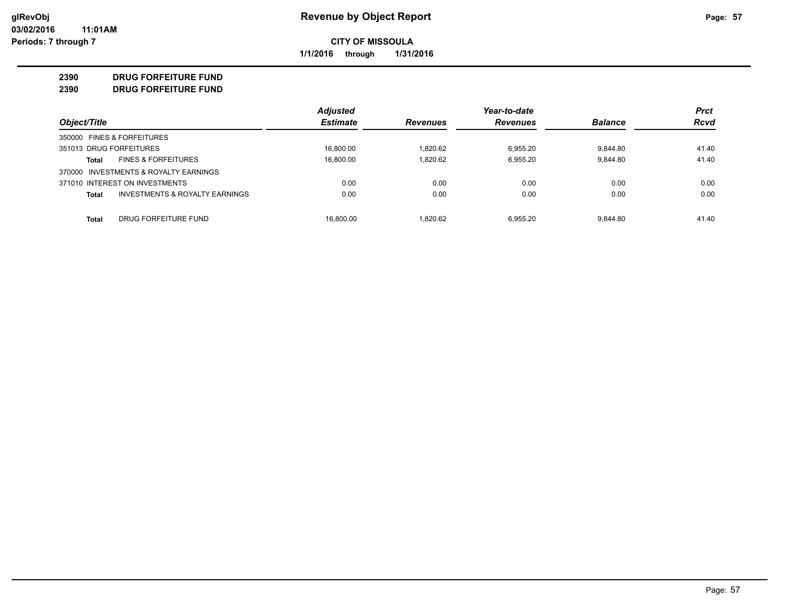**1/1/2016 through 1/31/2016**

## **2390 DRUG FORFEITURE FUND**

**2390 DRUG FORFEITURE FUND**

|                                                    | <b>Adjusted</b> |                 | Year-to-date    |                | <b>Prct</b> |
|----------------------------------------------------|-----------------|-----------------|-----------------|----------------|-------------|
| Object/Title                                       | <b>Estimate</b> | <b>Revenues</b> | <b>Revenues</b> | <b>Balance</b> | <b>Rcvd</b> |
| 350000 FINES & FORFEITURES                         |                 |                 |                 |                |             |
| 351013 DRUG FORFEITURES                            | 16.800.00       | 1.820.62        | 6.955.20        | 9.844.80       | 41.40       |
| <b>FINES &amp; FORFEITURES</b><br>Total            | 16,800.00       | 1.820.62        | 6,955.20        | 9,844.80       | 41.40       |
| 370000 INVESTMENTS & ROYALTY EARNINGS              |                 |                 |                 |                |             |
| 371010 INTEREST ON INVESTMENTS                     | 0.00            | 0.00            | 0.00            | 0.00           | 0.00        |
| <b>INVESTMENTS &amp; ROYALTY EARNINGS</b><br>Total | 0.00            | 0.00            | 0.00            | 0.00           | 0.00        |
| DRUG FORFEITURE FUND<br>Total                      | 16.800.00       | 1.820.62        | 6.955.20        | 9.844.80       | 41.40       |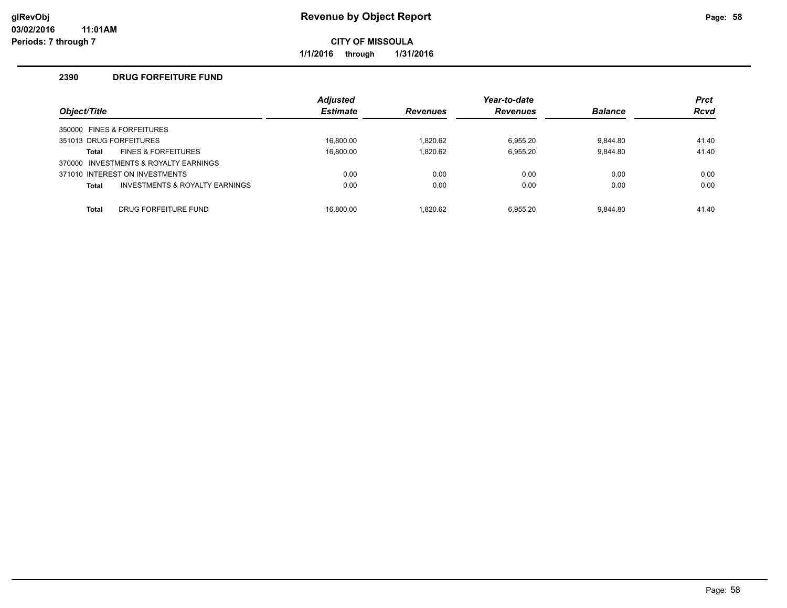**1/1/2016 through 1/31/2016**

### **2390 DRUG FORFEITURE FUND**

| Object/Title |                                           | <b>Adjusted</b><br><b>Estimate</b> | <b>Revenues</b> | Year-to-date<br><b>Revenues</b> | <b>Balance</b> | <b>Prct</b><br><b>Rcvd</b> |
|--------------|-------------------------------------------|------------------------------------|-----------------|---------------------------------|----------------|----------------------------|
|              | 350000 FINES & FORFEITURES                |                                    |                 |                                 |                |                            |
|              | 351013 DRUG FORFEITURES                   | 16.800.00                          | 1.820.62        | 6,955.20                        | 9.844.80       | 41.40                      |
| Total        | <b>FINES &amp; FORFEITURES</b>            | 16.800.00                          | 1,820.62        | 6,955.20                        | 9.844.80       | 41.40                      |
|              | 370000 INVESTMENTS & ROYALTY EARNINGS     |                                    |                 |                                 |                |                            |
|              | 371010 INTEREST ON INVESTMENTS            | 0.00                               | 0.00            | 0.00                            | 0.00           | 0.00                       |
| <b>Total</b> | <b>INVESTMENTS &amp; ROYALTY EARNINGS</b> | 0.00                               | 0.00            | 0.00                            | 0.00           | 0.00                       |
| <b>Total</b> | DRUG FORFEITURE FUND                      | 16.800.00                          | 1.820.62        | 6.955.20                        | 9.844.80       | 41.40                      |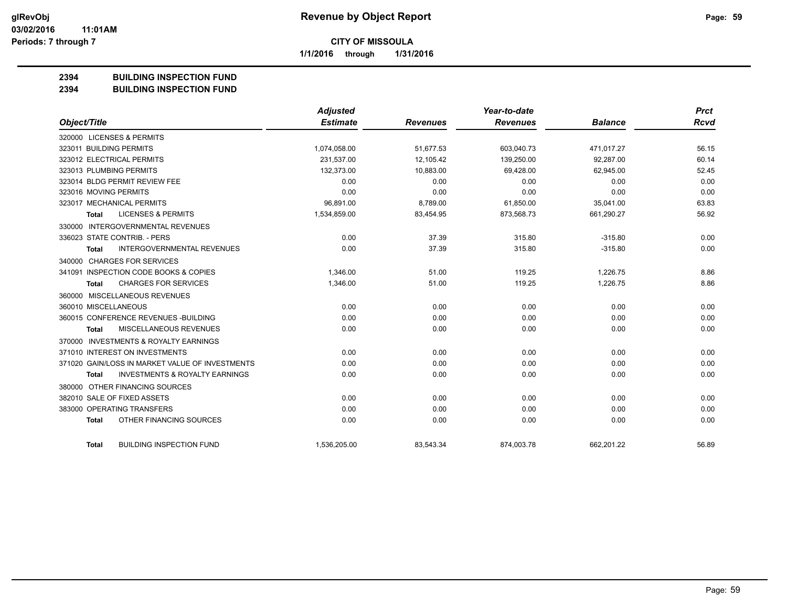**1/1/2016 through 1/31/2016**

#### **2394 BUILDING INSPECTION FUND**

#### **2394 BUILDING INSPECTION FUND**

|                                                     | <b>Adjusted</b> |                 | Year-to-date    |                | <b>Prct</b> |
|-----------------------------------------------------|-----------------|-----------------|-----------------|----------------|-------------|
| Object/Title                                        | <b>Estimate</b> | <b>Revenues</b> | <b>Revenues</b> | <b>Balance</b> | <b>Rcvd</b> |
| 320000 LICENSES & PERMITS                           |                 |                 |                 |                |             |
| 323011 BUILDING PERMITS                             | 1,074,058.00    | 51,677.53       | 603,040.73      | 471,017.27     | 56.15       |
| 323012 ELECTRICAL PERMITS                           | 231,537.00      | 12.105.42       | 139.250.00      | 92.287.00      | 60.14       |
| 323013 PLUMBING PERMITS                             | 132,373.00      | 10,883.00       | 69,428.00       | 62,945.00      | 52.45       |
| 323014 BLDG PERMIT REVIEW FEE                       | 0.00            | 0.00            | 0.00            | 0.00           | 0.00        |
| 323016 MOVING PERMITS                               | 0.00            | 0.00            | 0.00            | 0.00           | 0.00        |
| 323017 MECHANICAL PERMITS                           | 96,891.00       | 8,789.00        | 61,850.00       | 35,041.00      | 63.83       |
| <b>LICENSES &amp; PERMITS</b><br>Total              | 1,534,859.00    | 83,454.95       | 873,568.73      | 661,290.27     | 56.92       |
| 330000 INTERGOVERNMENTAL REVENUES                   |                 |                 |                 |                |             |
| 336023 STATE CONTRIB. - PERS                        | 0.00            | 37.39           | 315.80          | $-315.80$      | 0.00        |
| <b>INTERGOVERNMENTAL REVENUES</b><br><b>Total</b>   | 0.00            | 37.39           | 315.80          | $-315.80$      | 0.00        |
| 340000 CHARGES FOR SERVICES                         |                 |                 |                 |                |             |
| 341091 INSPECTION CODE BOOKS & COPIES               | 1,346.00        | 51.00           | 119.25          | 1,226.75       | 8.86        |
| <b>CHARGES FOR SERVICES</b><br>Total                | 1,346.00        | 51.00           | 119.25          | 1,226.75       | 8.86        |
| 360000 MISCELLANEOUS REVENUES                       |                 |                 |                 |                |             |
| 360010 MISCELLANEOUS                                | 0.00            | 0.00            | 0.00            | 0.00           | 0.00        |
| 360015 CONFERENCE REVENUES - BUILDING               | 0.00            | 0.00            | 0.00            | 0.00           | 0.00        |
| MISCELLANEOUS REVENUES<br>Total                     | 0.00            | 0.00            | 0.00            | 0.00           | 0.00        |
| <b>INVESTMENTS &amp; ROYALTY EARNINGS</b><br>370000 |                 |                 |                 |                |             |
| 371010 INTEREST ON INVESTMENTS                      | 0.00            | 0.00            | 0.00            | 0.00           | 0.00        |
| 371020 GAIN/LOSS IN MARKET VALUE OF INVESTMENTS     | 0.00            | 0.00            | 0.00            | 0.00           | 0.00        |
| <b>INVESTMENTS &amp; ROYALTY EARNINGS</b><br>Total  | 0.00            | 0.00            | 0.00            | 0.00           | 0.00        |
| 380000 OTHER FINANCING SOURCES                      |                 |                 |                 |                |             |
| 382010 SALE OF FIXED ASSETS                         | 0.00            | 0.00            | 0.00            | 0.00           | 0.00        |
| 383000 OPERATING TRANSFERS                          | 0.00            | 0.00            | 0.00            | 0.00           | 0.00        |
| OTHER FINANCING SOURCES<br><b>Total</b>             | 0.00            | 0.00            | 0.00            | 0.00           | 0.00        |
| <b>BUILDING INSPECTION FUND</b><br><b>Total</b>     | 1,536,205.00    | 83,543.34       | 874,003.78      | 662,201.22     | 56.89       |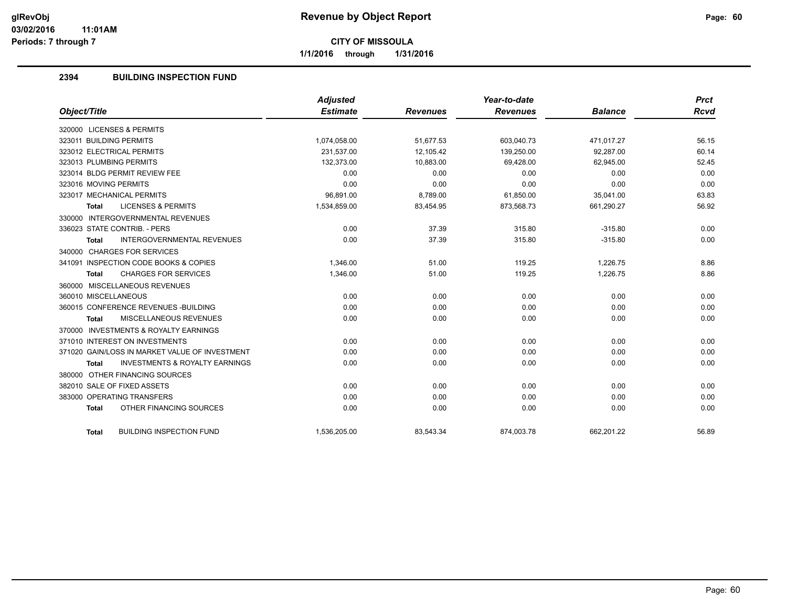**1/1/2016 through 1/31/2016**

## **2394 BUILDING INSPECTION FUND**

|                                                           | <b>Adjusted</b> |                 | Year-to-date    |                | <b>Prct</b> |
|-----------------------------------------------------------|-----------------|-----------------|-----------------|----------------|-------------|
| Object/Title                                              | <b>Estimate</b> | <b>Revenues</b> | <b>Revenues</b> | <b>Balance</b> | Rcvd        |
| 320000 LICENSES & PERMITS                                 |                 |                 |                 |                |             |
| 323011 BUILDING PERMITS                                   | 1,074,058.00    | 51,677.53       | 603,040.73      | 471,017.27     | 56.15       |
| 323012 ELECTRICAL PERMITS                                 | 231.537.00      | 12.105.42       | 139.250.00      | 92.287.00      | 60.14       |
| 323013 PLUMBING PERMITS                                   | 132,373.00      | 10,883.00       | 69,428.00       | 62,945.00      | 52.45       |
| 323014 BLDG PERMIT REVIEW FEE                             | 0.00            | 0.00            | 0.00            | 0.00           | 0.00        |
| 323016 MOVING PERMITS                                     | 0.00            | 0.00            | 0.00            | 0.00           | 0.00        |
| 323017 MECHANICAL PERMITS                                 | 96,891.00       | 8,789.00        | 61,850.00       | 35,041.00      | 63.83       |
| <b>LICENSES &amp; PERMITS</b><br><b>Total</b>             | 1,534,859.00    | 83,454.95       | 873,568.73      | 661,290.27     | 56.92       |
| 330000 INTERGOVERNMENTAL REVENUES                         |                 |                 |                 |                |             |
| 336023 STATE CONTRIB. - PERS                              | 0.00            | 37.39           | 315.80          | $-315.80$      | 0.00        |
| <b>INTERGOVERNMENTAL REVENUES</b><br><b>Total</b>         | 0.00            | 37.39           | 315.80          | $-315.80$      | 0.00        |
| 340000 CHARGES FOR SERVICES                               |                 |                 |                 |                |             |
| 341091 INSPECTION CODE BOOKS & COPIES                     | 1,346.00        | 51.00           | 119.25          | 1,226.75       | 8.86        |
| <b>CHARGES FOR SERVICES</b><br><b>Total</b>               | 1,346.00        | 51.00           | 119.25          | 1,226.75       | 8.86        |
| 360000 MISCELLANEOUS REVENUES                             |                 |                 |                 |                |             |
| 360010 MISCELLANEOUS                                      | 0.00            | 0.00            | 0.00            | 0.00           | 0.00        |
| 360015 CONFERENCE REVENUES - BUILDING                     | 0.00            | 0.00            | 0.00            | 0.00           | 0.00        |
| MISCELLANEOUS REVENUES<br><b>Total</b>                    | 0.00            | 0.00            | 0.00            | 0.00           | 0.00        |
| 370000 INVESTMENTS & ROYALTY EARNINGS                     |                 |                 |                 |                |             |
| 371010 INTEREST ON INVESTMENTS                            | 0.00            | 0.00            | 0.00            | 0.00           | 0.00        |
| 371020 GAIN/LOSS IN MARKET VALUE OF INVESTMENT            | 0.00            | 0.00            | 0.00            | 0.00           | 0.00        |
| <b>INVESTMENTS &amp; ROYALTY EARNINGS</b><br><b>Total</b> | 0.00            | 0.00            | 0.00            | 0.00           | 0.00        |
| 380000 OTHER FINANCING SOURCES                            |                 |                 |                 |                |             |
| 382010 SALE OF FIXED ASSETS                               | 0.00            | 0.00            | 0.00            | 0.00           | 0.00        |
| 383000 OPERATING TRANSFERS                                | 0.00            | 0.00            | 0.00            | 0.00           | 0.00        |
| OTHER FINANCING SOURCES<br><b>Total</b>                   | 0.00            | 0.00            | 0.00            | 0.00           | 0.00        |
|                                                           |                 |                 |                 |                |             |
| <b>BUILDING INSPECTION FUND</b><br><b>Total</b>           | 1,536,205.00    | 83,543.34       | 874,003.78      | 662,201.22     | 56.89       |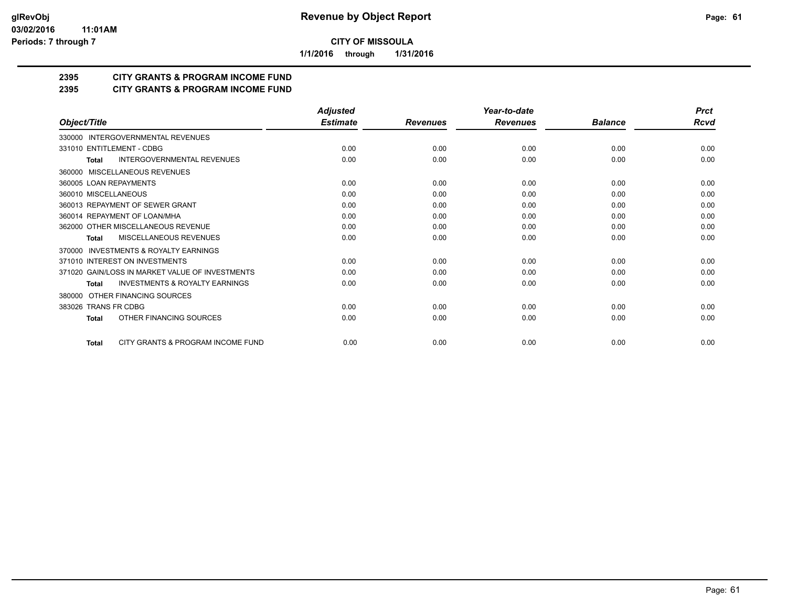**1/1/2016 through 1/31/2016**

## **2395 CITY GRANTS & PROGRAM INCOME FUND**

## **2395 CITY GRANTS & PROGRAM INCOME FUND**

|                                                           | <b>Adjusted</b> |                 | Year-to-date    |                | <b>Prct</b> |
|-----------------------------------------------------------|-----------------|-----------------|-----------------|----------------|-------------|
| Object/Title                                              | <b>Estimate</b> | <b>Revenues</b> | <b>Revenues</b> | <b>Balance</b> | Rcvd        |
| 330000 INTERGOVERNMENTAL REVENUES                         |                 |                 |                 |                |             |
| 331010 ENTITLEMENT - CDBG                                 | 0.00            | 0.00            | 0.00            | 0.00           | 0.00        |
| <b>INTERGOVERNMENTAL REVENUES</b><br><b>Total</b>         | 0.00            | 0.00            | 0.00            | 0.00           | 0.00        |
| 360000 MISCELLANEOUS REVENUES                             |                 |                 |                 |                |             |
| 360005 LOAN REPAYMENTS                                    | 0.00            | 0.00            | 0.00            | 0.00           | 0.00        |
| 360010 MISCELLANEOUS                                      | 0.00            | 0.00            | 0.00            | 0.00           | 0.00        |
| 360013 REPAYMENT OF SEWER GRANT                           | 0.00            | 0.00            | 0.00            | 0.00           | 0.00        |
| 360014 REPAYMENT OF LOAN/MHA                              | 0.00            | 0.00            | 0.00            | 0.00           | 0.00        |
| 362000 OTHER MISCELLANEOUS REVENUE                        | 0.00            | 0.00            | 0.00            | 0.00           | 0.00        |
| <b>MISCELLANEOUS REVENUES</b><br><b>Total</b>             | 0.00            | 0.00            | 0.00            | 0.00           | 0.00        |
| INVESTMENTS & ROYALTY EARNINGS<br>370000                  |                 |                 |                 |                |             |
| 371010 INTEREST ON INVESTMENTS                            | 0.00            | 0.00            | 0.00            | 0.00           | 0.00        |
| 371020 GAIN/LOSS IN MARKET VALUE OF INVESTMENTS           | 0.00            | 0.00            | 0.00            | 0.00           | 0.00        |
| <b>INVESTMENTS &amp; ROYALTY EARNINGS</b><br><b>Total</b> | 0.00            | 0.00            | 0.00            | 0.00           | 0.00        |
| OTHER FINANCING SOURCES<br>380000                         |                 |                 |                 |                |             |
| 383026 TRANS FR CDBG                                      | 0.00            | 0.00            | 0.00            | 0.00           | 0.00        |
| OTHER FINANCING SOURCES<br><b>Total</b>                   | 0.00            | 0.00            | 0.00            | 0.00           | 0.00        |
| CITY GRANTS & PROGRAM INCOME FUND<br><b>Total</b>         | 0.00            | 0.00            | 0.00            | 0.00           | 0.00        |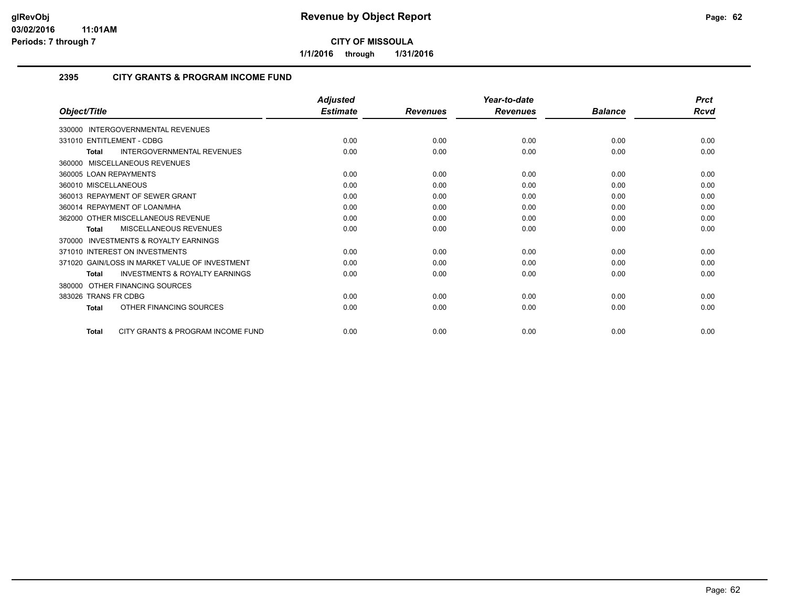**1/1/2016 through 1/31/2016**

## **2395 CITY GRANTS & PROGRAM INCOME FUND**

|                                                           | <b>Adjusted</b> |                 | Year-to-date    |                | <b>Prct</b> |
|-----------------------------------------------------------|-----------------|-----------------|-----------------|----------------|-------------|
| Object/Title                                              | <b>Estimate</b> | <b>Revenues</b> | <b>Revenues</b> | <b>Balance</b> | <b>Rcvd</b> |
| 330000 INTERGOVERNMENTAL REVENUES                         |                 |                 |                 |                |             |
| 331010 ENTITLEMENT - CDBG                                 | 0.00            | 0.00            | 0.00            | 0.00           | 0.00        |
| <b>INTERGOVERNMENTAL REVENUES</b><br><b>Total</b>         | 0.00            | 0.00            | 0.00            | 0.00           | 0.00        |
| 360000 MISCELLANEOUS REVENUES                             |                 |                 |                 |                |             |
| 360005 LOAN REPAYMENTS                                    | 0.00            | 0.00            | 0.00            | 0.00           | 0.00        |
| 360010 MISCELLANEOUS                                      | 0.00            | 0.00            | 0.00            | 0.00           | 0.00        |
| 360013 REPAYMENT OF SEWER GRANT                           | 0.00            | 0.00            | 0.00            | 0.00           | 0.00        |
| 360014 REPAYMENT OF LOAN/MHA                              | 0.00            | 0.00            | 0.00            | 0.00           | 0.00        |
| 362000 OTHER MISCELLANEOUS REVENUE                        | 0.00            | 0.00            | 0.00            | 0.00           | 0.00        |
| <b>MISCELLANEOUS REVENUES</b><br><b>Total</b>             | 0.00            | 0.00            | 0.00            | 0.00           | 0.00        |
| <b>INVESTMENTS &amp; ROYALTY EARNINGS</b><br>370000       |                 |                 |                 |                |             |
| 371010 INTEREST ON INVESTMENTS                            | 0.00            | 0.00            | 0.00            | 0.00           | 0.00        |
| 371020 GAIN/LOSS IN MARKET VALUE OF INVESTMENT            | 0.00            | 0.00            | 0.00            | 0.00           | 0.00        |
| <b>INVESTMENTS &amp; ROYALTY EARNINGS</b><br><b>Total</b> | 0.00            | 0.00            | 0.00            | 0.00           | 0.00        |
| 380000 OTHER FINANCING SOURCES                            |                 |                 |                 |                |             |
| 383026 TRANS FR CDBG                                      | 0.00            | 0.00            | 0.00            | 0.00           | 0.00        |
| OTHER FINANCING SOURCES<br><b>Total</b>                   | 0.00            | 0.00            | 0.00            | 0.00           | 0.00        |
| CITY GRANTS & PROGRAM INCOME FUND<br><b>Total</b>         | 0.00            | 0.00            | 0.00            | 0.00           | 0.00        |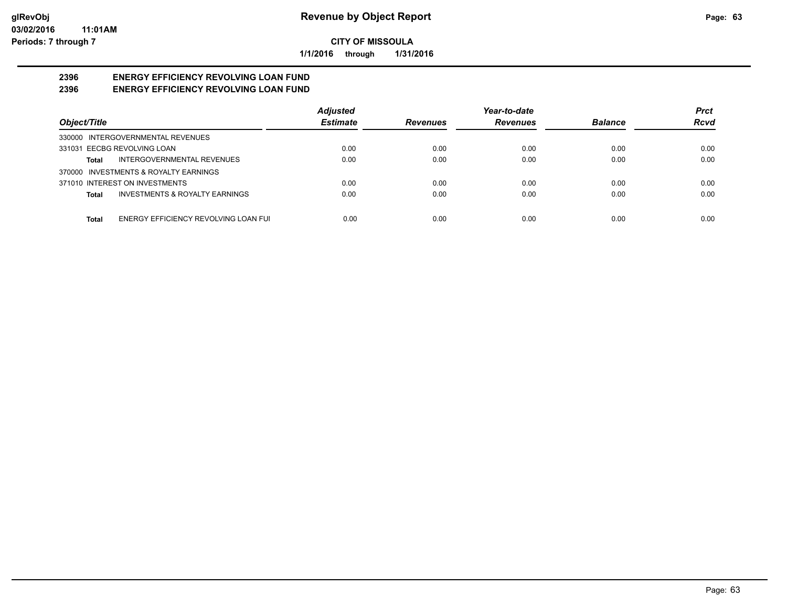**1/1/2016 through 1/31/2016**

#### **2396 ENERGY EFFICIENCY REVOLVING LOAN FUND 2396 ENERGY EFFICIENCY REVOLVING LOAN FUND**

|                                                    | <b>Adjusted</b> |                 | Year-to-date    |                | <b>Prct</b> |
|----------------------------------------------------|-----------------|-----------------|-----------------|----------------|-------------|
| Object/Title                                       | <b>Estimate</b> | <b>Revenues</b> | <b>Revenues</b> | <b>Balance</b> | Rcvd        |
| 330000 INTERGOVERNMENTAL REVENUES                  |                 |                 |                 |                |             |
| 331031 EECBG REVOLVING LOAN                        | 0.00            | 0.00            | 0.00            | 0.00           | 0.00        |
| INTERGOVERNMENTAL REVENUES<br>Total                | 0.00            | 0.00            | 0.00            | 0.00           | 0.00        |
| 370000 INVESTMENTS & ROYALTY EARNINGS              |                 |                 |                 |                |             |
| 371010 INTEREST ON INVESTMENTS                     | 0.00            | 0.00            | 0.00            | 0.00           | 0.00        |
| <b>INVESTMENTS &amp; ROYALTY EARNINGS</b><br>Total | 0.00            | 0.00            | 0.00            | 0.00           | 0.00        |
| ENERGY EFFICIENCY REVOLVING LOAN FUI<br>Total      | 0.00            | 0.00            | 0.00            | 0.00           | 0.00        |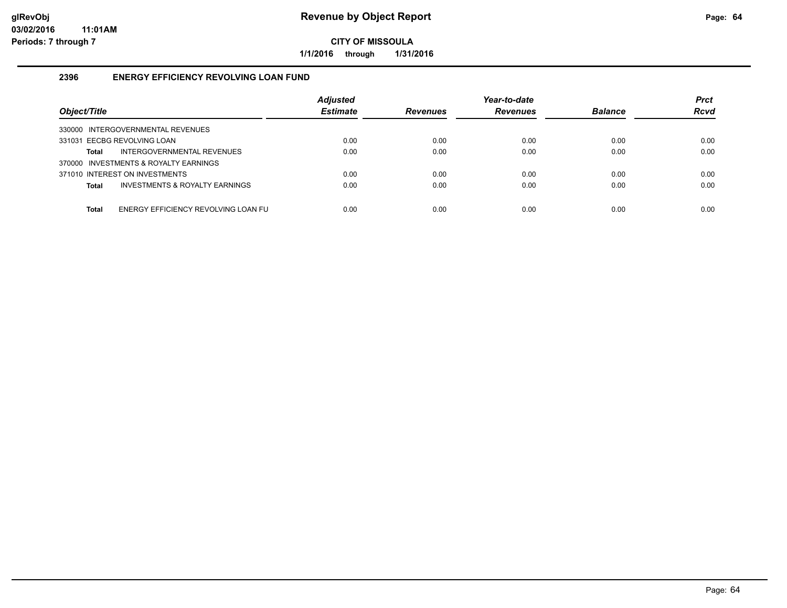**1/1/2016 through 1/31/2016**

## **2396 ENERGY EFFICIENCY REVOLVING LOAN FUND**

| Object/Title                                        | <b>Adjusted</b><br><b>Estimate</b> | <b>Revenues</b> | Year-to-date<br><b>Revenues</b> | <b>Balance</b> | <b>Prct</b><br><b>Rcvd</b> |
|-----------------------------------------------------|------------------------------------|-----------------|---------------------------------|----------------|----------------------------|
| 330000 INTERGOVERNMENTAL REVENUES                   |                                    |                 |                                 |                |                            |
| 331031 EECBG REVOLVING LOAN                         | 0.00                               | 0.00            | 0.00                            | 0.00           | 0.00                       |
| INTERGOVERNMENTAL REVENUES<br>Total                 | 0.00                               | 0.00            | 0.00                            | 0.00           | 0.00                       |
| 370000 INVESTMENTS & ROYALTY EARNINGS               |                                    |                 |                                 |                |                            |
| 371010 INTEREST ON INVESTMENTS                      | 0.00                               | 0.00            | 0.00                            | 0.00           | 0.00                       |
| INVESTMENTS & ROYALTY EARNINGS<br><b>Total</b>      | 0.00                               | 0.00            | 0.00                            | 0.00           | 0.00                       |
|                                                     |                                    |                 |                                 |                |                            |
| ENERGY EFFICIENCY REVOLVING LOAN FU<br><b>Total</b> | 0.00                               | 0.00            | 0.00                            | 0.00           | 0.00                       |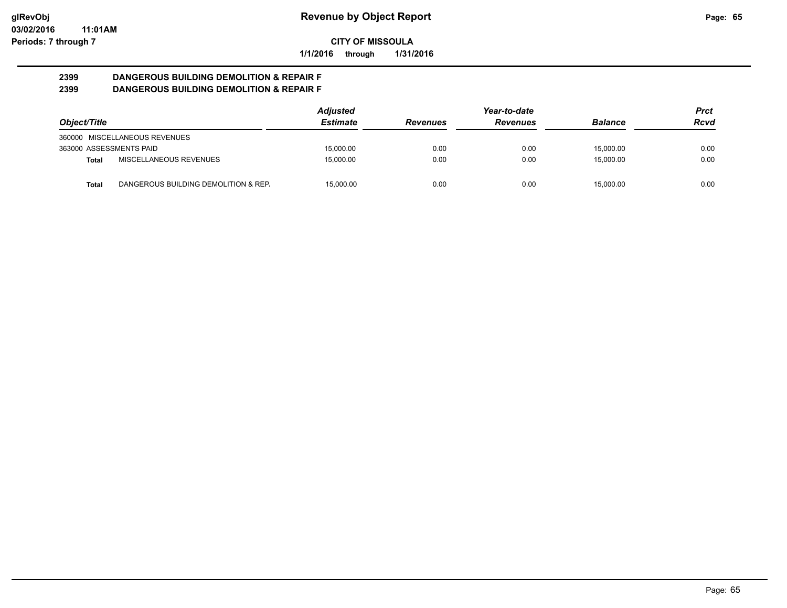**1/1/2016 through 1/31/2016**

#### **2399 DANGEROUS BUILDING DEMOLITION & REPAIR F 2399 DANGEROUS BUILDING DEMOLITION & REPAIR F**

|                         |                                      | <b>Adjusted</b> |                 | Year-to-date    |                | Prct |
|-------------------------|--------------------------------------|-----------------|-----------------|-----------------|----------------|------|
| Object/Title            |                                      | <b>Estimate</b> | <b>Revenues</b> | <b>Revenues</b> | <b>Balance</b> | Rcvd |
|                         | 360000 MISCELLANEOUS REVENUES        |                 |                 |                 |                |      |
| 363000 ASSESSMENTS PAID |                                      | 15.000.00       | 0.00            | 0.00            | 15,000.00      | 0.00 |
| <b>Total</b>            | MISCELLANEOUS REVENUES               | 15.000.00       | 0.00            | 0.00            | 15,000.00      | 0.00 |
| <b>Total</b>            | DANGEROUS BUILDING DEMOLITION & REP. | 15.000.00       | 0.00            | 0.00            | 15,000.00      | 0.00 |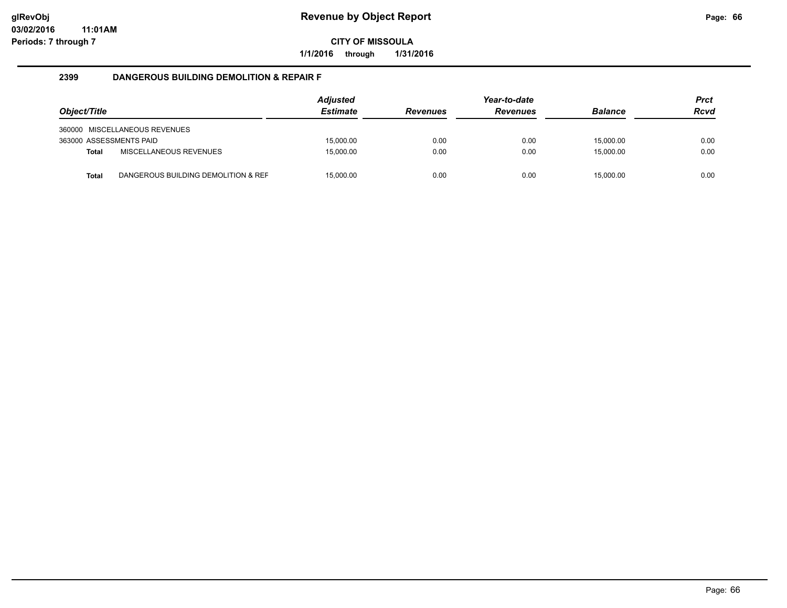**1/1/2016 through 1/31/2016**

#### **2399 DANGEROUS BUILDING DEMOLITION & REPAIR F**

| Object/Title            |                                     | Adjusted<br><b>Estimate</b> | <b>Revenues</b> | Year-to-date<br><b>Revenues</b> | <b>Balance</b> | <b>Prct</b><br><b>Rcvd</b> |
|-------------------------|-------------------------------------|-----------------------------|-----------------|---------------------------------|----------------|----------------------------|
|                         | 360000 MISCELLANEOUS REVENUES       |                             |                 |                                 |                |                            |
| 363000 ASSESSMENTS PAID |                                     | 15.000.00                   | 0.00            | 0.00                            | 15.000.00      | 0.00                       |
| <b>Total</b>            | MISCELLANEOUS REVENUES              | 15.000.00                   | 0.00            | 0.00                            | 15.000.00      | 0.00                       |
| <b>Total</b>            | DANGEROUS BUILDING DEMOLITION & REF | 15,000.00                   | 0.00            | 0.00                            | 15,000.00      | 0.00                       |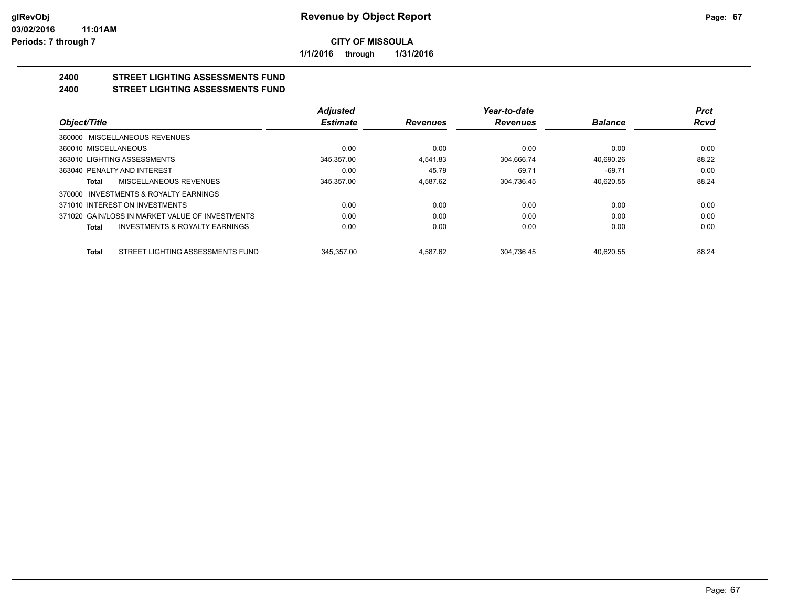**1/1/2016 through 1/31/2016**

#### **2400 STREET LIGHTING ASSESSMENTS FUND 2400 STREET LIGHTING ASSESSMENTS FUND**

|                                                    | <b>Adjusted</b> |                 | Year-to-date    |                | <b>Prct</b> |
|----------------------------------------------------|-----------------|-----------------|-----------------|----------------|-------------|
| Object/Title                                       | <b>Estimate</b> | <b>Revenues</b> | <b>Revenues</b> | <b>Balance</b> | <b>Rcvd</b> |
| 360000 MISCELLANEOUS REVENUES                      |                 |                 |                 |                |             |
| 360010 MISCELLANEOUS                               | 0.00            | 0.00            | 0.00            | 0.00           | 0.00        |
| 363010 LIGHTING ASSESSMENTS                        | 345.357.00      | 4.541.83        | 304,666.74      | 40,690.26      | 88.22       |
| 363040 PENALTY AND INTEREST                        | 0.00            | 45.79           | 69.71           | $-69.71$       | 0.00        |
| MISCELLANEOUS REVENUES<br>Total                    | 345.357.00      | 4.587.62        | 304.736.45      | 40.620.55      | 88.24       |
| 370000 INVESTMENTS & ROYALTY EARNINGS              |                 |                 |                 |                |             |
| 371010 INTEREST ON INVESTMENTS                     | 0.00            | 0.00            | 0.00            | 0.00           | 0.00        |
| 371020 GAIN/LOSS IN MARKET VALUE OF INVESTMENTS    | 0.00            | 0.00            | 0.00            | 0.00           | 0.00        |
| <b>INVESTMENTS &amp; ROYALTY EARNINGS</b><br>Total | 0.00            | 0.00            | 0.00            | 0.00           | 0.00        |
| STREET LIGHTING ASSESSMENTS FUND<br><b>Total</b>   | 345.357.00      | 4.587.62        | 304.736.45      | 40.620.55      | 88.24       |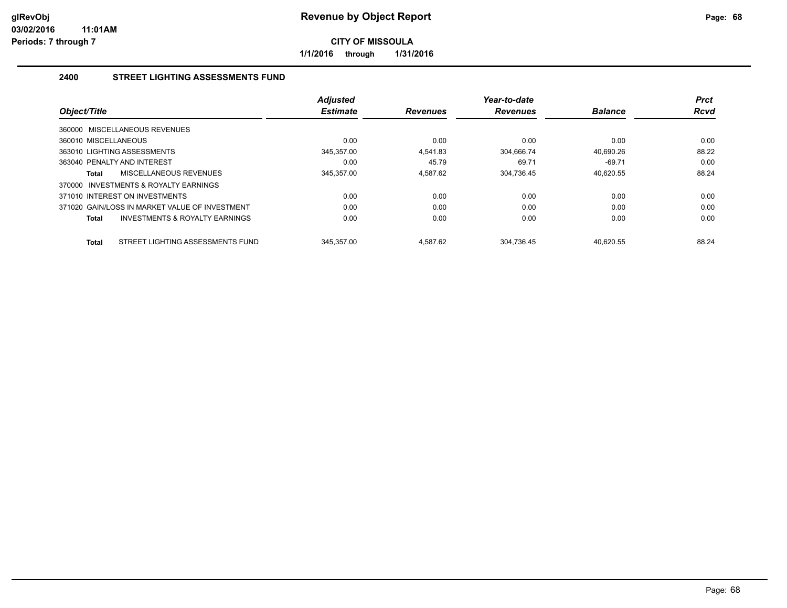**1/1/2016 through 1/31/2016**

## **2400 STREET LIGHTING ASSESSMENTS FUND**

| Object/Title                                       | <b>Adjusted</b><br><b>Estimate</b> | <b>Revenues</b> | Year-to-date<br><b>Revenues</b> | <b>Balance</b> | <b>Prct</b><br><b>Rcvd</b> |
|----------------------------------------------------|------------------------------------|-----------------|---------------------------------|----------------|----------------------------|
| 360000 MISCELLANEOUS REVENUES                      |                                    |                 |                                 |                |                            |
| 360010 MISCELLANEOUS                               | 0.00                               | 0.00            | 0.00                            | 0.00           | 0.00                       |
| 363010 LIGHTING ASSESSMENTS                        | 345.357.00                         | 4.541.83        | 304.666.74                      | 40.690.26      | 88.22                      |
| 363040 PENALTY AND INTEREST                        | 0.00                               | 45.79           | 69.71                           | $-69.71$       | 0.00                       |
| MISCELLANEOUS REVENUES<br>Total                    | 345,357.00                         | 4,587.62        | 304.736.45                      | 40.620.55      | 88.24                      |
| INVESTMENTS & ROYALTY EARNINGS<br>370000           |                                    |                 |                                 |                |                            |
| 371010 INTEREST ON INVESTMENTS                     | 0.00                               | 0.00            | 0.00                            | 0.00           | 0.00                       |
| 371020 GAIN/LOSS IN MARKET VALUE OF INVESTMENT     | 0.00                               | 0.00            | 0.00                            | 0.00           | 0.00                       |
| <b>INVESTMENTS &amp; ROYALTY EARNINGS</b><br>Total | 0.00                               | 0.00            | 0.00                            | 0.00           | 0.00                       |
| STREET LIGHTING ASSESSMENTS FUND<br><b>Total</b>   | 345.357.00                         | 4.587.62        | 304.736.45                      | 40.620.55      | 88.24                      |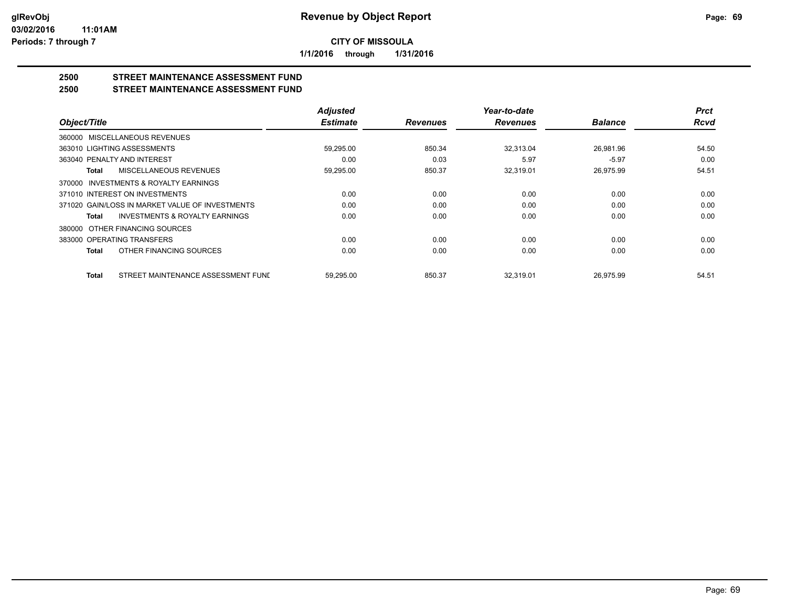**1/1/2016 through 1/31/2016**

## **2500 STREET MAINTENANCE ASSESSMENT FUND**

**2500 STREET MAINTENANCE ASSESSMENT FUND**

|                                                    | <b>Adjusted</b> |                 | Year-to-date    |                | <b>Prct</b> |
|----------------------------------------------------|-----------------|-----------------|-----------------|----------------|-------------|
| Object/Title                                       | <b>Estimate</b> | <b>Revenues</b> | <b>Revenues</b> | <b>Balance</b> | <b>Rcvd</b> |
| 360000 MISCELLANEOUS REVENUES                      |                 |                 |                 |                |             |
| 363010 LIGHTING ASSESSMENTS                        | 59,295.00       | 850.34          | 32,313.04       | 26,981.96      | 54.50       |
| 363040 PENALTY AND INTEREST                        | 0.00            | 0.03            | 5.97            | $-5.97$        | 0.00        |
| MISCELLANEOUS REVENUES<br>Total                    | 59,295.00       | 850.37          | 32,319.01       | 26,975.99      | 54.51       |
| 370000 INVESTMENTS & ROYALTY EARNINGS              |                 |                 |                 |                |             |
| 371010 INTEREST ON INVESTMENTS                     | 0.00            | 0.00            | 0.00            | 0.00           | 0.00        |
| 371020 GAIN/LOSS IN MARKET VALUE OF INVESTMENTS    | 0.00            | 0.00            | 0.00            | 0.00           | 0.00        |
| <b>INVESTMENTS &amp; ROYALTY EARNINGS</b><br>Total | 0.00            | 0.00            | 0.00            | 0.00           | 0.00        |
| 380000 OTHER FINANCING SOURCES                     |                 |                 |                 |                |             |
| 383000 OPERATING TRANSFERS                         | 0.00            | 0.00            | 0.00            | 0.00           | 0.00        |
| OTHER FINANCING SOURCES<br><b>Total</b>            | 0.00            | 0.00            | 0.00            | 0.00           | 0.00        |
| STREET MAINTENANCE ASSESSMENT FUNI<br><b>Total</b> | 59.295.00       | 850.37          | 32.319.01       | 26.975.99      | 54.51       |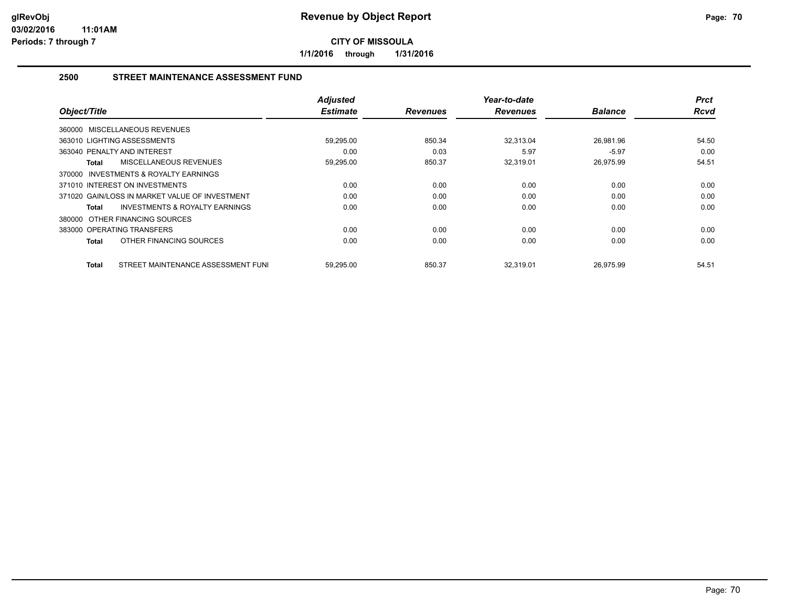**1/1/2016 through 1/31/2016**

## **2500 STREET MAINTENANCE ASSESSMENT FUND**

| Object/Title                                       | <b>Adjusted</b><br><b>Estimate</b> | <b>Revenues</b> | Year-to-date<br><b>Revenues</b> | <b>Balance</b> | <b>Prct</b><br><b>Rcvd</b> |
|----------------------------------------------------|------------------------------------|-----------------|---------------------------------|----------------|----------------------------|
| 360000 MISCELLANEOUS REVENUES                      |                                    |                 |                                 |                |                            |
| 363010 LIGHTING ASSESSMENTS                        | 59.295.00                          | 850.34          | 32.313.04                       | 26,981.96      | 54.50                      |
| 363040 PENALTY AND INTEREST                        | 0.00                               | 0.03            | 5.97                            | $-5.97$        | 0.00                       |
| MISCELLANEOUS REVENUES<br>Total                    | 59,295.00                          | 850.37          | 32,319.01                       | 26,975.99      | 54.51                      |
| 370000 INVESTMENTS & ROYALTY EARNINGS              |                                    |                 |                                 |                |                            |
| 371010 INTEREST ON INVESTMENTS                     | 0.00                               | 0.00            | 0.00                            | 0.00           | 0.00                       |
| 371020 GAIN/LOSS IN MARKET VALUE OF INVESTMENT     | 0.00                               | 0.00            | 0.00                            | 0.00           | 0.00                       |
| <b>INVESTMENTS &amp; ROYALTY EARNINGS</b><br>Total | 0.00                               | 0.00            | 0.00                            | 0.00           | 0.00                       |
| 380000 OTHER FINANCING SOURCES                     |                                    |                 |                                 |                |                            |
| 383000 OPERATING TRANSFERS                         | 0.00                               | 0.00            | 0.00                            | 0.00           | 0.00                       |
| OTHER FINANCING SOURCES<br>Total                   | 0.00                               | 0.00            | 0.00                            | 0.00           | 0.00                       |
| STREET MAINTENANCE ASSESSMENT FUNI<br>Total        | 59,295.00                          | 850.37          | 32,319.01                       | 26,975.99      | 54.51                      |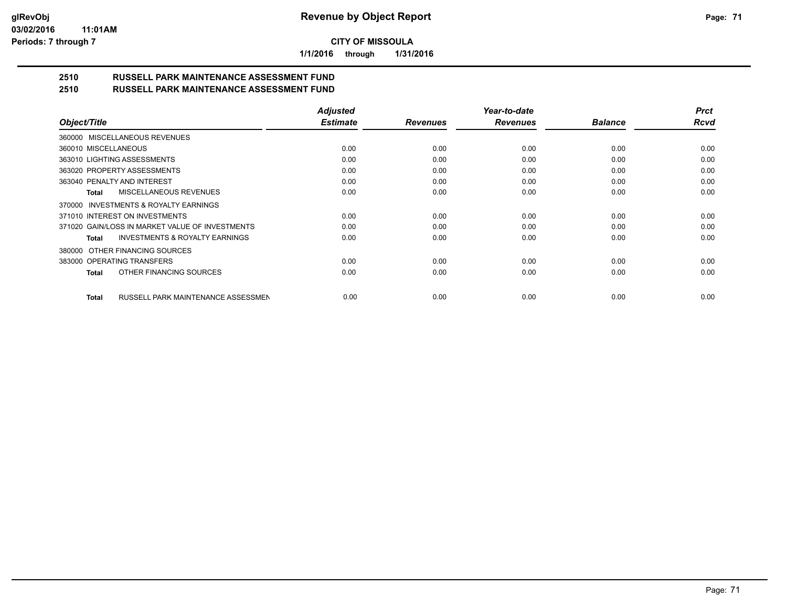**1/1/2016 through 1/31/2016**

# **2510 RUSSELL PARK MAINTENANCE ASSESSMENT FUND**

| <b>RUSSELL PARK MAINTENANCE ASSESSMENT FUND</b> |
|-------------------------------------------------|
|                                                 |

|                                                           | <b>Adjusted</b><br><b>Estimate</b> |                 | Year-to-date    |                | <b>Prct</b><br>Rcvd |
|-----------------------------------------------------------|------------------------------------|-----------------|-----------------|----------------|---------------------|
| Object/Title                                              |                                    | <b>Revenues</b> | <b>Revenues</b> | <b>Balance</b> |                     |
| 360000 MISCELLANEOUS REVENUES                             |                                    |                 |                 |                |                     |
| 360010 MISCELLANEOUS                                      | 0.00                               | 0.00            | 0.00            | 0.00           | 0.00                |
| 363010 LIGHTING ASSESSMENTS                               | 0.00                               | 0.00            | 0.00            | 0.00           | 0.00                |
| 363020 PROPERTY ASSESSMENTS                               | 0.00                               | 0.00            | 0.00            | 0.00           | 0.00                |
| 363040 PENALTY AND INTEREST                               | 0.00                               | 0.00            | 0.00            | 0.00           | 0.00                |
| MISCELLANEOUS REVENUES<br><b>Total</b>                    | 0.00                               | 0.00            | 0.00            | 0.00           | 0.00                |
| 370000 INVESTMENTS & ROYALTY EARNINGS                     |                                    |                 |                 |                |                     |
| 371010 INTEREST ON INVESTMENTS                            | 0.00                               | 0.00            | 0.00            | 0.00           | 0.00                |
| 371020 GAIN/LOSS IN MARKET VALUE OF INVESTMENTS           | 0.00                               | 0.00            | 0.00            | 0.00           | 0.00                |
| <b>INVESTMENTS &amp; ROYALTY EARNINGS</b><br><b>Total</b> | 0.00                               | 0.00            | 0.00            | 0.00           | 0.00                |
| 380000 OTHER FINANCING SOURCES                            |                                    |                 |                 |                |                     |
| 383000 OPERATING TRANSFERS                                | 0.00                               | 0.00            | 0.00            | 0.00           | 0.00                |
| OTHER FINANCING SOURCES<br><b>Total</b>                   | 0.00                               | 0.00            | 0.00            | 0.00           | 0.00                |
| RUSSELL PARK MAINTENANCE ASSESSMEN<br><b>Total</b>        | 0.00                               | 0.00            | 0.00            | 0.00           | 0.00                |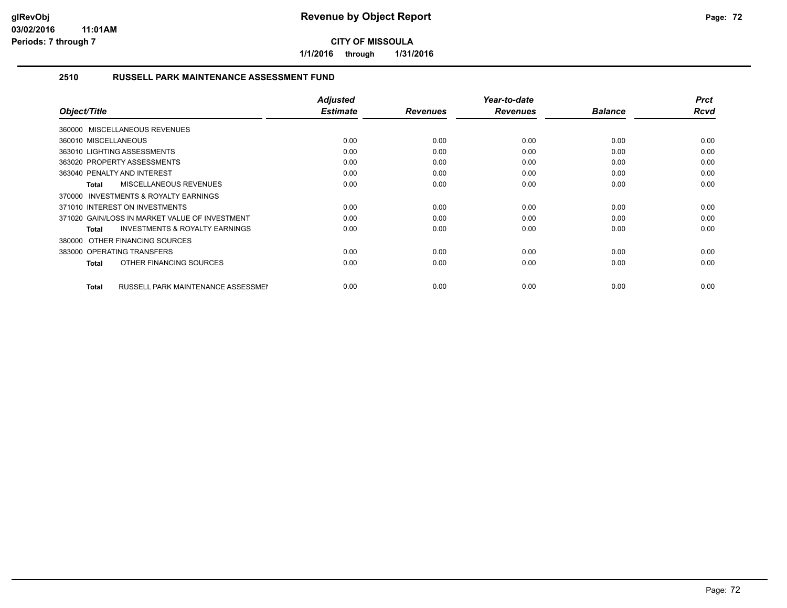**1/1/2016 through 1/31/2016**

## **2510 RUSSELL PARK MAINTENANCE ASSESSMENT FUND**

| Object/Title                                              | <b>Adjusted</b><br><b>Estimate</b> | <b>Revenues</b> | Year-to-date<br><b>Revenues</b> | <b>Balance</b> | <b>Prct</b><br>Rcvd |
|-----------------------------------------------------------|------------------------------------|-----------------|---------------------------------|----------------|---------------------|
| 360000 MISCELLANEOUS REVENUES                             |                                    |                 |                                 |                |                     |
| 360010 MISCELLANEOUS                                      | 0.00                               | 0.00            | 0.00                            | 0.00           | 0.00                |
| 363010 LIGHTING ASSESSMENTS                               | 0.00                               | 0.00            | 0.00                            | 0.00           | 0.00                |
| 363020 PROPERTY ASSESSMENTS                               | 0.00                               | 0.00            | 0.00                            | 0.00           | 0.00                |
| 363040 PENALTY AND INTEREST                               | 0.00                               | 0.00            | 0.00                            | 0.00           | 0.00                |
| <b>MISCELLANEOUS REVENUES</b><br><b>Total</b>             | 0.00                               | 0.00            | 0.00                            | 0.00           | 0.00                |
| <b>INVESTMENTS &amp; ROYALTY EARNINGS</b><br>370000       |                                    |                 |                                 |                |                     |
| 371010 INTEREST ON INVESTMENTS                            | 0.00                               | 0.00            | 0.00                            | 0.00           | 0.00                |
| 371020 GAIN/LOSS IN MARKET VALUE OF INVESTMENT            | 0.00                               | 0.00            | 0.00                            | 0.00           | 0.00                |
| <b>INVESTMENTS &amp; ROYALTY EARNINGS</b><br>Total        | 0.00                               | 0.00            | 0.00                            | 0.00           | 0.00                |
| 380000 OTHER FINANCING SOURCES                            |                                    |                 |                                 |                |                     |
| 383000 OPERATING TRANSFERS                                | 0.00                               | 0.00            | 0.00                            | 0.00           | 0.00                |
| OTHER FINANCING SOURCES<br>Total                          | 0.00                               | 0.00            | 0.00                            | 0.00           | 0.00                |
|                                                           |                                    |                 |                                 |                |                     |
| <b>RUSSELL PARK MAINTENANCE ASSESSMEN</b><br><b>Total</b> | 0.00                               | 0.00            | 0.00                            | 0.00           | 0.00                |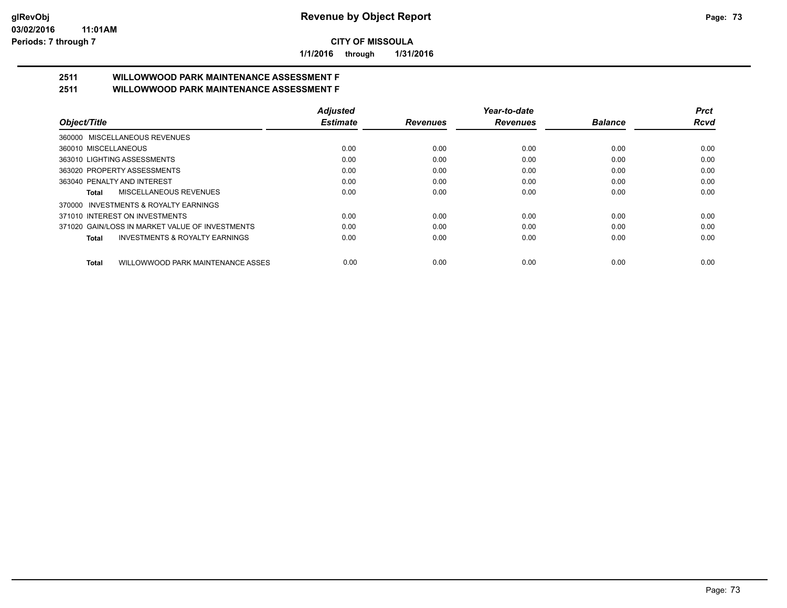**1/1/2016 through 1/31/2016**

# **2511 WILLOWWOOD PARK MAINTENANCE ASSESSMENT F**

**2511 WILLOWWOOD PARK MAINTENANCE ASSESSMENT F**

|                                                   | <b>Adjusted</b> |                 | Year-to-date    |                | Prct |
|---------------------------------------------------|-----------------|-----------------|-----------------|----------------|------|
| Object/Title                                      | <b>Estimate</b> | <b>Revenues</b> | <b>Revenues</b> | <b>Balance</b> | Rcvd |
| 360000 MISCELLANEOUS REVENUES                     |                 |                 |                 |                |      |
| 360010 MISCELLANEOUS                              | 0.00            | 0.00            | 0.00            | 0.00           | 0.00 |
| 363010 LIGHTING ASSESSMENTS                       | 0.00            | 0.00            | 0.00            | 0.00           | 0.00 |
| 363020 PROPERTY ASSESSMENTS                       | 0.00            | 0.00            | 0.00            | 0.00           | 0.00 |
| 363040 PENALTY AND INTEREST                       | 0.00            | 0.00            | 0.00            | 0.00           | 0.00 |
| MISCELLANEOUS REVENUES<br>Total                   | 0.00            | 0.00            | 0.00            | 0.00           | 0.00 |
| 370000 INVESTMENTS & ROYALTY EARNINGS             |                 |                 |                 |                |      |
| 371010 INTEREST ON INVESTMENTS                    | 0.00            | 0.00            | 0.00            | 0.00           | 0.00 |
| 371020 GAIN/LOSS IN MARKET VALUE OF INVESTMENTS   | 0.00            | 0.00            | 0.00            | 0.00           | 0.00 |
| INVESTMENTS & ROYALTY EARNINGS<br>Total           | 0.00            | 0.00            | 0.00            | 0.00           | 0.00 |
| WILLOWWOOD PARK MAINTENANCE ASSES<br><b>Total</b> | 0.00            | 0.00            | 0.00            | 0.00           | 0.00 |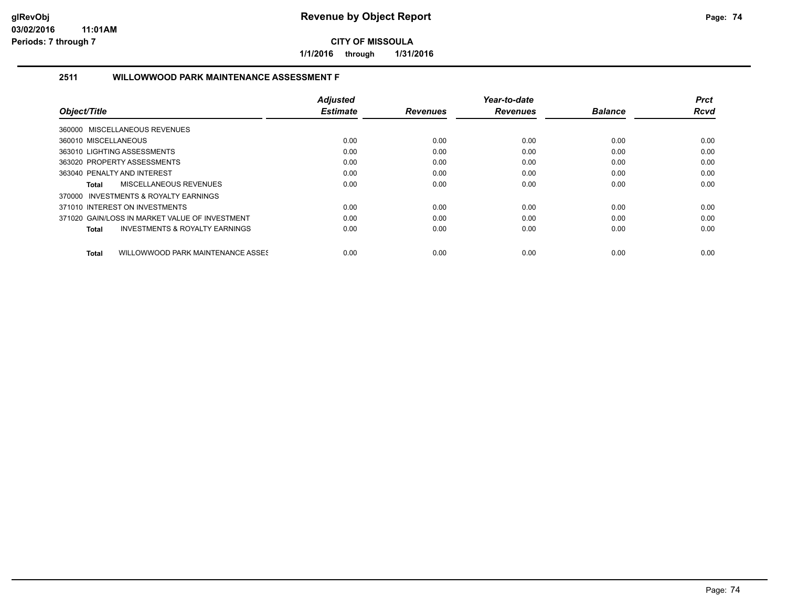**1/1/2016 through 1/31/2016**

## **2511 WILLOWWOOD PARK MAINTENANCE ASSESSMENT F**

|                                                    | <b>Adjusted</b> |                 | Year-to-date    |                | Prct        |
|----------------------------------------------------|-----------------|-----------------|-----------------|----------------|-------------|
| Object/Title                                       | <b>Estimate</b> | <b>Revenues</b> | <b>Revenues</b> | <b>Balance</b> | <b>Rcvd</b> |
| 360000 MISCELLANEOUS REVENUES                      |                 |                 |                 |                |             |
| 360010 MISCELLANEOUS                               | 0.00            | 0.00            | 0.00            | 0.00           | 0.00        |
| 363010 LIGHTING ASSESSMENTS                        | 0.00            | 0.00            | 0.00            | 0.00           | 0.00        |
| 363020 PROPERTY ASSESSMENTS                        | 0.00            | 0.00            | 0.00            | 0.00           | 0.00        |
| 363040 PENALTY AND INTEREST                        | 0.00            | 0.00            | 0.00            | 0.00           | 0.00        |
| MISCELLANEOUS REVENUES<br>Total                    | 0.00            | 0.00            | 0.00            | 0.00           | 0.00        |
| 370000 INVESTMENTS & ROYALTY EARNINGS              |                 |                 |                 |                |             |
| 371010 INTEREST ON INVESTMENTS                     | 0.00            | 0.00            | 0.00            | 0.00           | 0.00        |
| 371020 GAIN/LOSS IN MARKET VALUE OF INVESTMENT     | 0.00            | 0.00            | 0.00            | 0.00           | 0.00        |
| <b>INVESTMENTS &amp; ROYALTY EARNINGS</b><br>Total | 0.00            | 0.00            | 0.00            | 0.00           | 0.00        |
| WILLOWWOOD PARK MAINTENANCE ASSES<br><b>Total</b>  | 0.00            | 0.00            | 0.00            | 0.00           | 0.00        |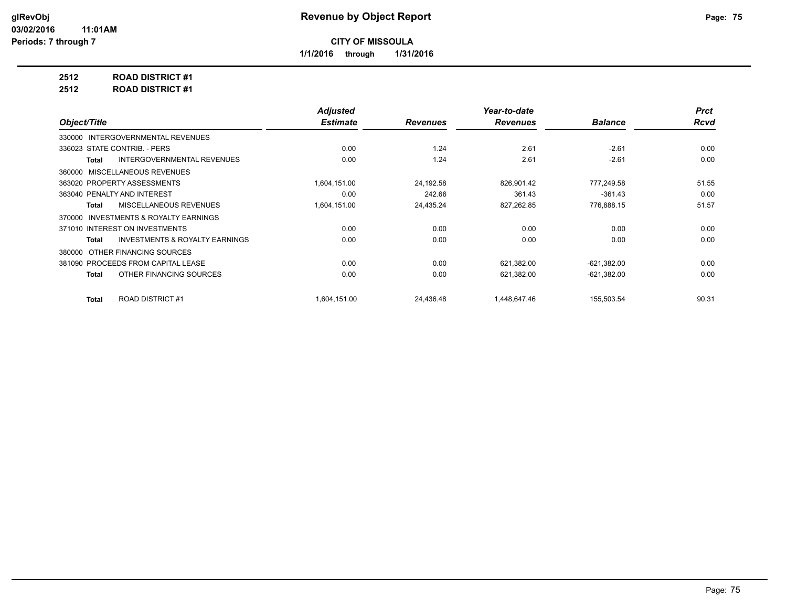**1/1/2016 through 1/31/2016**

**2512 ROAD DISTRICT #1**

**2512 ROAD DISTRICT #1**

|                                                           | <b>Adjusted</b> |                 | Year-to-date    |                | <b>Prct</b> |
|-----------------------------------------------------------|-----------------|-----------------|-----------------|----------------|-------------|
| Object/Title                                              | <b>Estimate</b> | <b>Revenues</b> | <b>Revenues</b> | <b>Balance</b> | <b>Rcvd</b> |
| INTERGOVERNMENTAL REVENUES<br>330000                      |                 |                 |                 |                |             |
| 336023 STATE CONTRIB. - PERS                              | 0.00            | 1.24            | 2.61            | $-2.61$        | 0.00        |
| <b>INTERGOVERNMENTAL REVENUES</b><br><b>Total</b>         | 0.00            | 1.24            | 2.61            | $-2.61$        | 0.00        |
| <b>MISCELLANEOUS REVENUES</b><br>360000                   |                 |                 |                 |                |             |
| 363020 PROPERTY ASSESSMENTS                               | 1,604,151.00    | 24,192.58       | 826,901.42      | 777,249.58     | 51.55       |
| 363040 PENALTY AND INTEREST                               | 0.00            | 242.66          | 361.43          | $-361.43$      | 0.00        |
| <b>MISCELLANEOUS REVENUES</b><br><b>Total</b>             | 1,604,151.00    | 24,435.24       | 827,262.85      | 776,888.15     | 51.57       |
| <b>INVESTMENTS &amp; ROYALTY EARNINGS</b><br>370000       |                 |                 |                 |                |             |
| 371010 INTEREST ON INVESTMENTS                            | 0.00            | 0.00            | 0.00            | 0.00           | 0.00        |
| <b>INVESTMENTS &amp; ROYALTY EARNINGS</b><br><b>Total</b> | 0.00            | 0.00            | 0.00            | 0.00           | 0.00        |
| OTHER FINANCING SOURCES<br>380000                         |                 |                 |                 |                |             |
| 381090 PROCEEDS FROM CAPITAL LEASE                        | 0.00            | 0.00            | 621,382.00      | $-621,382.00$  | 0.00        |
| OTHER FINANCING SOURCES<br><b>Total</b>                   | 0.00            | 0.00            | 621,382.00      | $-621,382.00$  | 0.00        |
| <b>ROAD DISTRICT #1</b><br><b>Total</b>                   | 1,604,151.00    | 24,436.48       | 1,448,647.46    | 155,503.54     | 90.31       |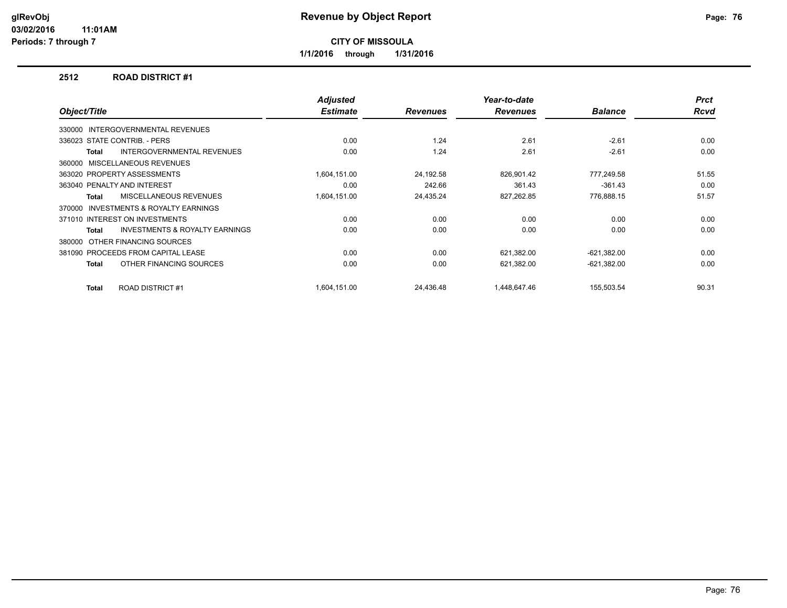**1/1/2016 through 1/31/2016**

#### **2512 ROAD DISTRICT #1**

| Object/Title |                                           | <b>Adjusted</b><br><b>Estimate</b> | <b>Revenues</b> | Year-to-date<br><b>Revenues</b> | <b>Balance</b> | <b>Prct</b><br><b>Rcvd</b> |
|--------------|-------------------------------------------|------------------------------------|-----------------|---------------------------------|----------------|----------------------------|
|              |                                           |                                    |                 |                                 |                |                            |
| 330000       | <b>INTERGOVERNMENTAL REVENUES</b>         |                                    |                 |                                 |                |                            |
|              | 336023 STATE CONTRIB. - PERS              | 0.00                               | 1.24            | 2.61                            | $-2.61$        | 0.00                       |
| Total        | <b>INTERGOVERNMENTAL REVENUES</b>         | 0.00                               | 1.24            | 2.61                            | $-2.61$        | 0.00                       |
| 360000       | MISCELLANEOUS REVENUES                    |                                    |                 |                                 |                |                            |
|              | 363020 PROPERTY ASSESSMENTS               | 1,604,151.00                       | 24,192.58       | 826,901.42                      | 777,249.58     | 51.55                      |
|              | 363040 PENALTY AND INTEREST               | 0.00                               | 242.66          | 361.43                          | $-361.43$      | 0.00                       |
| <b>Total</b> | <b>MISCELLANEOUS REVENUES</b>             | 1,604,151.00                       | 24,435.24       | 827,262.85                      | 776,888.15     | 51.57                      |
| 370000       | <b>INVESTMENTS &amp; ROYALTY EARNINGS</b> |                                    |                 |                                 |                |                            |
|              | 371010 INTEREST ON INVESTMENTS            | 0.00                               | 0.00            | 0.00                            | 0.00           | 0.00                       |
| Total        | <b>INVESTMENTS &amp; ROYALTY EARNINGS</b> | 0.00                               | 0.00            | 0.00                            | 0.00           | 0.00                       |
|              | 380000 OTHER FINANCING SOURCES            |                                    |                 |                                 |                |                            |
|              | 381090 PROCEEDS FROM CAPITAL LEASE        | 0.00                               | 0.00            | 621,382.00                      | $-621,382.00$  | 0.00                       |
| Total        | OTHER FINANCING SOURCES                   | 0.00                               | 0.00            | 621,382.00                      | $-621,382.00$  | 0.00                       |
| Total        | <b>ROAD DISTRICT #1</b>                   | 1,604,151.00                       | 24,436.48       | 1,448,647.46                    | 155,503.54     | 90.31                      |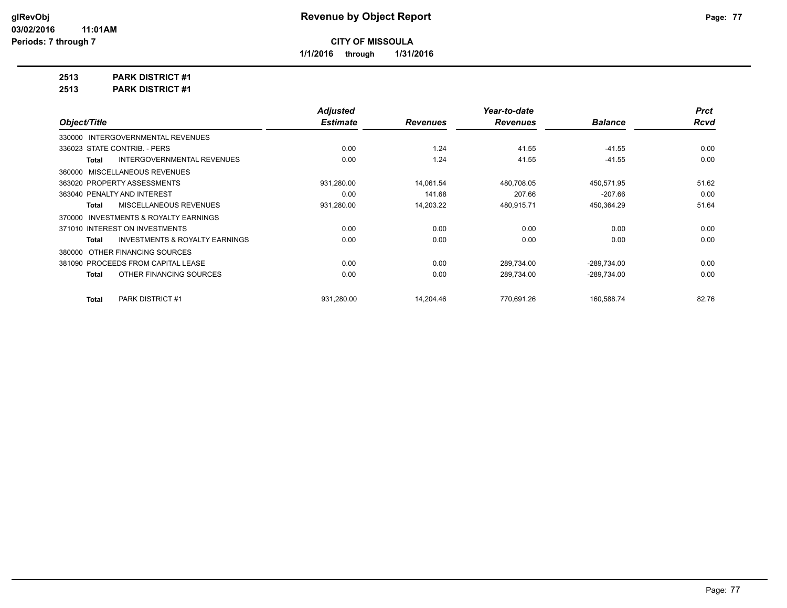**1/1/2016 through 1/31/2016**

**2513 PARK DISTRICT #1**

**2513 PARK DISTRICT #1**

|                                                    | <b>Adjusted</b> |                 | Year-to-date    |                | <b>Prct</b> |
|----------------------------------------------------|-----------------|-----------------|-----------------|----------------|-------------|
| Object/Title                                       | <b>Estimate</b> | <b>Revenues</b> | <b>Revenues</b> | <b>Balance</b> | <b>Rcvd</b> |
| 330000 INTERGOVERNMENTAL REVENUES                  |                 |                 |                 |                |             |
| 336023 STATE CONTRIB. - PERS                       | 0.00            | 1.24            | 41.55           | $-41.55$       | 0.00        |
| <b>INTERGOVERNMENTAL REVENUES</b><br>Total         | 0.00            | 1.24            | 41.55           | $-41.55$       | 0.00        |
| 360000 MISCELLANEOUS REVENUES                      |                 |                 |                 |                |             |
| 363020 PROPERTY ASSESSMENTS                        | 931,280.00      | 14,061.54       | 480,708.05      | 450,571.95     | 51.62       |
| 363040 PENALTY AND INTEREST                        | 0.00            | 141.68          | 207.66          | $-207.66$      | 0.00        |
| MISCELLANEOUS REVENUES<br>Total                    | 931,280.00      | 14,203.22       | 480,915.71      | 450,364.29     | 51.64       |
| 370000 INVESTMENTS & ROYALTY EARNINGS              |                 |                 |                 |                |             |
| 371010 INTEREST ON INVESTMENTS                     | 0.00            | 0.00            | 0.00            | 0.00           | 0.00        |
| <b>INVESTMENTS &amp; ROYALTY EARNINGS</b><br>Total | 0.00            | 0.00            | 0.00            | 0.00           | 0.00        |
| 380000 OTHER FINANCING SOURCES                     |                 |                 |                 |                |             |
| 381090 PROCEEDS FROM CAPITAL LEASE                 | 0.00            | 0.00            | 289,734.00      | $-289,734.00$  | 0.00        |
| OTHER FINANCING SOURCES<br>Total                   | 0.00            | 0.00            | 289,734.00      | -289,734.00    | 0.00        |
| <b>PARK DISTRICT #1</b><br><b>Total</b>            | 931,280.00      | 14,204.46       | 770,691.26      | 160,588.74     | 82.76       |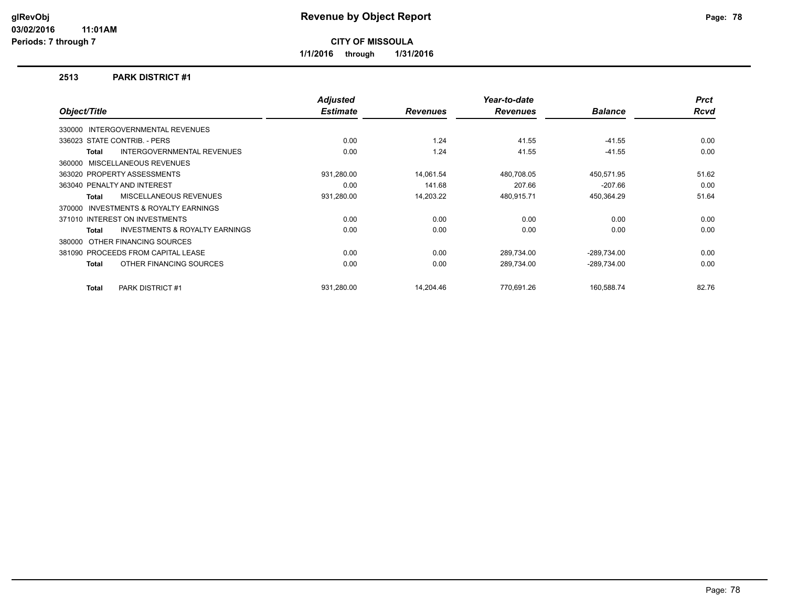**1/1/2016 through 1/31/2016**

#### **2513 PARK DISTRICT #1**

|                                |                                           | <b>Adjusted</b> |                 | Year-to-date    |                | <b>Prct</b> |
|--------------------------------|-------------------------------------------|-----------------|-----------------|-----------------|----------------|-------------|
| Object/Title                   |                                           | <b>Estimate</b> | <b>Revenues</b> | <b>Revenues</b> | <b>Balance</b> | <b>Rcvd</b> |
|                                | 330000 INTERGOVERNMENTAL REVENUES         |                 |                 |                 |                |             |
| 336023 STATE CONTRIB. - PERS   |                                           | 0.00            | 1.24            | 41.55           | $-41.55$       | 0.00        |
| <b>Total</b>                   | <b>INTERGOVERNMENTAL REVENUES</b>         | 0.00            | 1.24            | 41.55           | $-41.55$       | 0.00        |
| 360000                         | MISCELLANEOUS REVENUES                    |                 |                 |                 |                |             |
| 363020 PROPERTY ASSESSMENTS    |                                           | 931,280.00      | 14,061.54       | 480,708.05      | 450,571.95     | 51.62       |
| 363040 PENALTY AND INTEREST    |                                           | 0.00            | 141.68          | 207.66          | $-207.66$      | 0.00        |
| Total                          | MISCELLANEOUS REVENUES                    | 931,280.00      | 14,203.22       | 480,915.71      | 450,364.29     | 51.64       |
| 370000                         | <b>INVESTMENTS &amp; ROYALTY EARNINGS</b> |                 |                 |                 |                |             |
| 371010 INTEREST ON INVESTMENTS |                                           | 0.00            | 0.00            | 0.00            | 0.00           | 0.00        |
| Total                          | <b>INVESTMENTS &amp; ROYALTY EARNINGS</b> | 0.00            | 0.00            | 0.00            | 0.00           | 0.00        |
|                                | 380000 OTHER FINANCING SOURCES            |                 |                 |                 |                |             |
|                                | 381090 PROCEEDS FROM CAPITAL LEASE        | 0.00            | 0.00            | 289,734.00      | $-289,734.00$  | 0.00        |
| Total                          | OTHER FINANCING SOURCES                   | 0.00            | 0.00            | 289,734.00      | $-289,734.00$  | 0.00        |
| <b>Total</b>                   | PARK DISTRICT #1                          | 931,280.00      | 14,204.46       | 770,691.26      | 160,588.74     | 82.76       |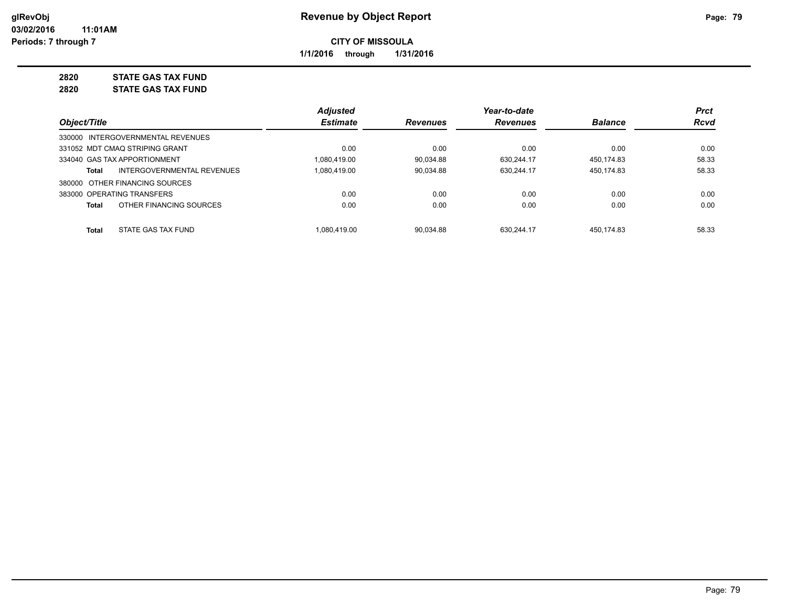**1/1/2016 through 1/31/2016**

# **2820 STATE GAS TAX FUND**

**2820 STATE GAS TAX FUND**

|                                         | <b>Adjusted</b> |                 | Year-to-date    |                | <b>Prct</b> |
|-----------------------------------------|-----------------|-----------------|-----------------|----------------|-------------|
| Object/Title                            | <b>Estimate</b> | <b>Revenues</b> | <b>Revenues</b> | <b>Balance</b> | <b>Rcvd</b> |
| 330000 INTERGOVERNMENTAL REVENUES       |                 |                 |                 |                |             |
| 331052 MDT CMAQ STRIPING GRANT          | 0.00            | 0.00            | 0.00            | 0.00           | 0.00        |
| 334040 GAS TAX APPORTIONMENT            | 1.080.419.00    | 90.034.88       | 630.244.17      | 450.174.83     | 58.33       |
| INTERGOVERNMENTAL REVENUES<br>Total     | 1.080.419.00    | 90,034.88       | 630.244.17      | 450.174.83     | 58.33       |
| 380000 OTHER FINANCING SOURCES          |                 |                 |                 |                |             |
| 383000 OPERATING TRANSFERS              | 0.00            | 0.00            | 0.00            | 0.00           | 0.00        |
| OTHER FINANCING SOURCES<br><b>Total</b> | 0.00            | 0.00            | 0.00            | 0.00           | 0.00        |
| STATE GAS TAX FUND<br><b>Total</b>      | 1.080.419.00    | 90.034.88       | 630.244.17      | 450.174.83     | 58.33       |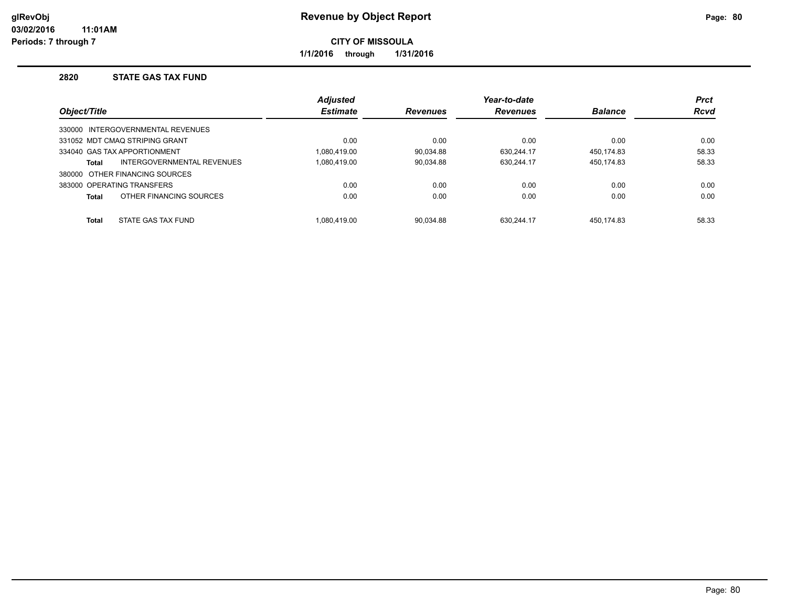**1/1/2016 through 1/31/2016**

#### **2820 STATE GAS TAX FUND**

|              |                                   | <b>Adjusted</b> |                 | Year-to-date    |                | <b>Prct</b> |
|--------------|-----------------------------------|-----------------|-----------------|-----------------|----------------|-------------|
| Object/Title |                                   | <b>Estimate</b> | <b>Revenues</b> | <b>Revenues</b> | <b>Balance</b> | <b>Rcvd</b> |
|              | 330000 INTERGOVERNMENTAL REVENUES |                 |                 |                 |                |             |
|              | 331052 MDT CMAQ STRIPING GRANT    | 0.00            | 0.00            | 0.00            | 0.00           | 0.00        |
|              | 334040 GAS TAX APPORTIONMENT      | 1.080.419.00    | 90.034.88       | 630.244.17      | 450.174.83     | 58.33       |
| Total        | INTERGOVERNMENTAL REVENUES        | 1,080,419.00    | 90,034.88       | 630,244.17      | 450,174.83     | 58.33       |
|              | 380000 OTHER FINANCING SOURCES    |                 |                 |                 |                |             |
|              | 383000 OPERATING TRANSFERS        | 0.00            | 0.00            | 0.00            | 0.00           | 0.00        |
| <b>Total</b> | OTHER FINANCING SOURCES           | 0.00            | 0.00            | 0.00            | 0.00           | 0.00        |
| <b>Total</b> | STATE GAS TAX FUND                | 1.080.419.00    | 90.034.88       | 630.244.17      | 450.174.83     | 58.33       |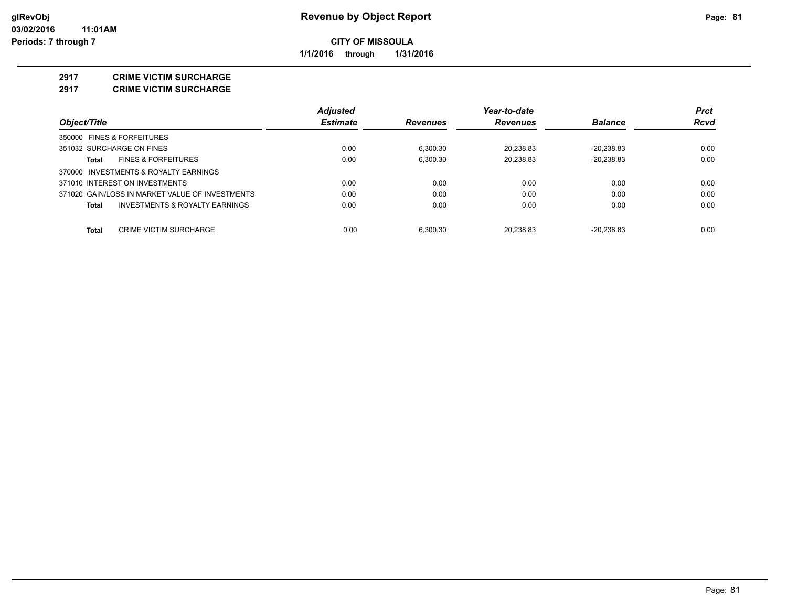**1/1/2016 through 1/31/2016**

#### **2917 CRIME VICTIM SURCHARGE**

**2917 CRIME VICTIM SURCHARGE**

|                                                 | <b>Adjusted</b> |                 | Year-to-date    |                | <b>Prct</b> |
|-------------------------------------------------|-----------------|-----------------|-----------------|----------------|-------------|
| Object/Title                                    | <b>Estimate</b> | <b>Revenues</b> | <b>Revenues</b> | <b>Balance</b> | Rcvd        |
| 350000 FINES & FORFEITURES                      |                 |                 |                 |                |             |
| 351032 SURCHARGE ON FINES                       | 0.00            | 6.300.30        | 20.238.83       | $-20.238.83$   | 0.00        |
| <b>FINES &amp; FORFEITURES</b><br>Total         | 0.00            | 6.300.30        | 20.238.83       | $-20.238.83$   | 0.00        |
| 370000 INVESTMENTS & ROYALTY EARNINGS           |                 |                 |                 |                |             |
| 371010 INTEREST ON INVESTMENTS                  | 0.00            | 0.00            | 0.00            | 0.00           | 0.00        |
| 371020 GAIN/LOSS IN MARKET VALUE OF INVESTMENTS | 0.00            | 0.00            | 0.00            | 0.00           | 0.00        |
| INVESTMENTS & ROYALTY EARNINGS<br>Total         | 0.00            | 0.00            | 0.00            | 0.00           | 0.00        |
| Total<br>CRIME VICTIM SURCHARGE                 | 0.00            | 6.300.30        | 20.238.83       | $-20.238.83$   | 0.00        |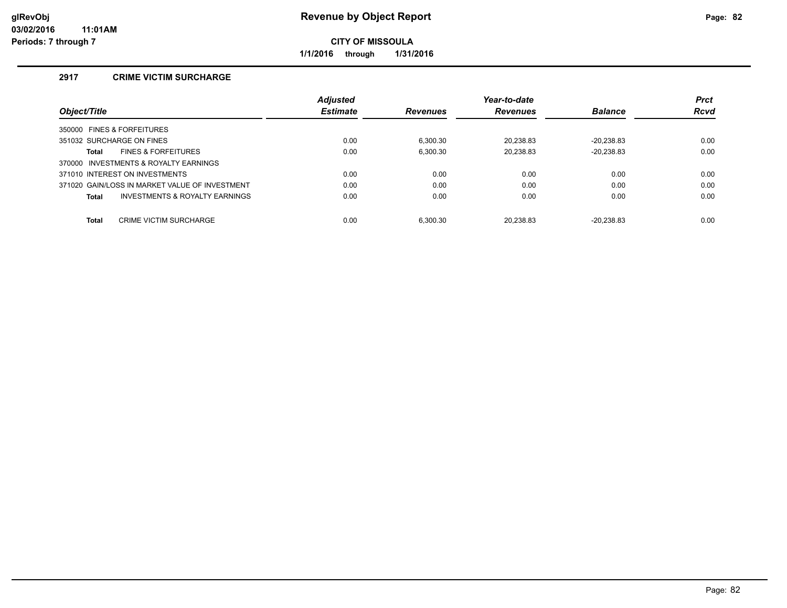**1/1/2016 through 1/31/2016**

# **2917 CRIME VICTIM SURCHARGE**

|                                                | <b>Adjusted</b> |                 | Year-to-date    |                | <b>Prct</b> |
|------------------------------------------------|-----------------|-----------------|-----------------|----------------|-------------|
| Object/Title                                   | <b>Estimate</b> | <b>Revenues</b> | <b>Revenues</b> | <b>Balance</b> | <b>Rcvd</b> |
| 350000 FINES & FORFEITURES                     |                 |                 |                 |                |             |
| 351032 SURCHARGE ON FINES                      | 0.00            | 6.300.30        | 20.238.83       | $-20.238.83$   | 0.00        |
| <b>FINES &amp; FORFEITURES</b><br>Total        | 0.00            | 6.300.30        | 20,238.83       | $-20,238.83$   | 0.00        |
| 370000 INVESTMENTS & ROYALTY EARNINGS          |                 |                 |                 |                |             |
| 371010 INTEREST ON INVESTMENTS                 | 0.00            | 0.00            | 0.00            | 0.00           | 0.00        |
| 371020 GAIN/LOSS IN MARKET VALUE OF INVESTMENT | 0.00            | 0.00            | 0.00            | 0.00           | 0.00        |
| INVESTMENTS & ROYALTY EARNINGS<br>Total        | 0.00            | 0.00            | 0.00            | 0.00           | 0.00        |
|                                                |                 |                 |                 |                |             |
| <b>Total</b><br><b>CRIME VICTIM SURCHARGE</b>  | 0.00            | 6.300.30        | 20.238.83       | $-20.238.83$   | 0.00        |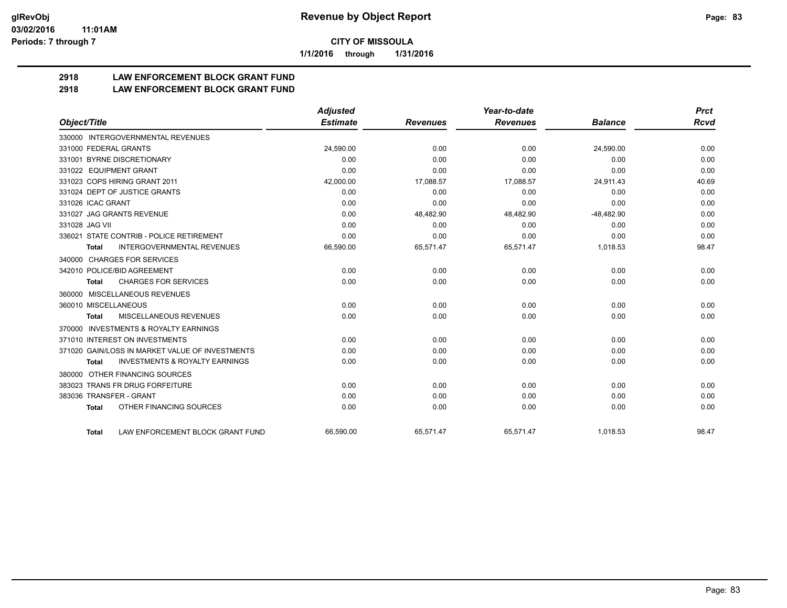**1/1/2016 through 1/31/2016**

# **2918 LAW ENFORCEMENT BLOCK GRANT FUND**

**2918 LAW ENFORCEMENT BLOCK GRANT FUND**

|                         |                                                 | <b>Adjusted</b> |                 | Year-to-date    |                | <b>Prct</b> |
|-------------------------|-------------------------------------------------|-----------------|-----------------|-----------------|----------------|-------------|
| Object/Title            |                                                 | <b>Estimate</b> | <b>Revenues</b> | <b>Revenues</b> | <b>Balance</b> | Rcvd        |
|                         | 330000 INTERGOVERNMENTAL REVENUES               |                 |                 |                 |                |             |
| 331000 FEDERAL GRANTS   |                                                 | 24,590.00       | 0.00            | 0.00            | 24,590.00      | 0.00        |
|                         | 331001 BYRNE DISCRETIONARY                      | 0.00            | 0.00            | 0.00            | 0.00           | 0.00        |
| 331022 EQUIPMENT GRANT  |                                                 | 0.00            | 0.00            | 0.00            | 0.00           | 0.00        |
|                         | 331023 COPS HIRING GRANT 2011                   | 42,000.00       | 17,088.57       | 17,088.57       | 24,911.43      | 40.69       |
|                         | 331024 DEPT OF JUSTICE GRANTS                   | 0.00            | 0.00            | 0.00            | 0.00           | 0.00        |
| 331026 ICAC GRANT       |                                                 | 0.00            | 0.00            | 0.00            | 0.00           | 0.00        |
|                         | 331027 JAG GRANTS REVENUE                       | 0.00            | 48,482.90       | 48,482.90       | $-48,482.90$   | 0.00        |
| 331028 JAG VII          |                                                 | 0.00            | 0.00            | 0.00            | 0.00           | 0.00        |
|                         | 336021 STATE CONTRIB - POLICE RETIREMENT        | 0.00            | 0.00            | 0.00            | 0.00           | 0.00        |
| <b>Total</b>            | <b>INTERGOVERNMENTAL REVENUES</b>               | 66,590.00       | 65,571.47       | 65,571.47       | 1,018.53       | 98.47       |
|                         | 340000 CHARGES FOR SERVICES                     |                 |                 |                 |                |             |
|                         | 342010 POLICE/BID AGREEMENT                     | 0.00            | 0.00            | 0.00            | 0.00           | 0.00        |
| Total                   | <b>CHARGES FOR SERVICES</b>                     | 0.00            | 0.00            | 0.00            | 0.00           | 0.00        |
| 360000                  | MISCELLANEOUS REVENUES                          |                 |                 |                 |                |             |
| 360010 MISCELLANEOUS    |                                                 | 0.00            | 0.00            | 0.00            | 0.00           | 0.00        |
| <b>Total</b>            | MISCELLANEOUS REVENUES                          | 0.00            | 0.00            | 0.00            | 0.00           | 0.00        |
| 370000                  | <b>INVESTMENTS &amp; ROYALTY EARNINGS</b>       |                 |                 |                 |                |             |
|                         | 371010 INTEREST ON INVESTMENTS                  | 0.00            | 0.00            | 0.00            | 0.00           | 0.00        |
|                         | 371020 GAIN/LOSS IN MARKET VALUE OF INVESTMENTS | 0.00            | 0.00            | 0.00            | 0.00           | 0.00        |
| <b>Total</b>            | <b>INVESTMENTS &amp; ROYALTY EARNINGS</b>       | 0.00            | 0.00            | 0.00            | 0.00           | 0.00        |
| 380000                  | OTHER FINANCING SOURCES                         |                 |                 |                 |                |             |
|                         | 383023 TRANS FR DRUG FORFEITURE                 | 0.00            | 0.00            | 0.00            | 0.00           | 0.00        |
| 383036 TRANSFER - GRANT |                                                 | 0.00            | 0.00            | 0.00            | 0.00           | 0.00        |
| <b>Total</b>            | OTHER FINANCING SOURCES                         | 0.00            | 0.00            | 0.00            | 0.00           | 0.00        |
| <b>Total</b>            | LAW ENFORCEMENT BLOCK GRANT FUND                | 66.590.00       | 65,571.47       | 65,571.47       | 1.018.53       | 98.47       |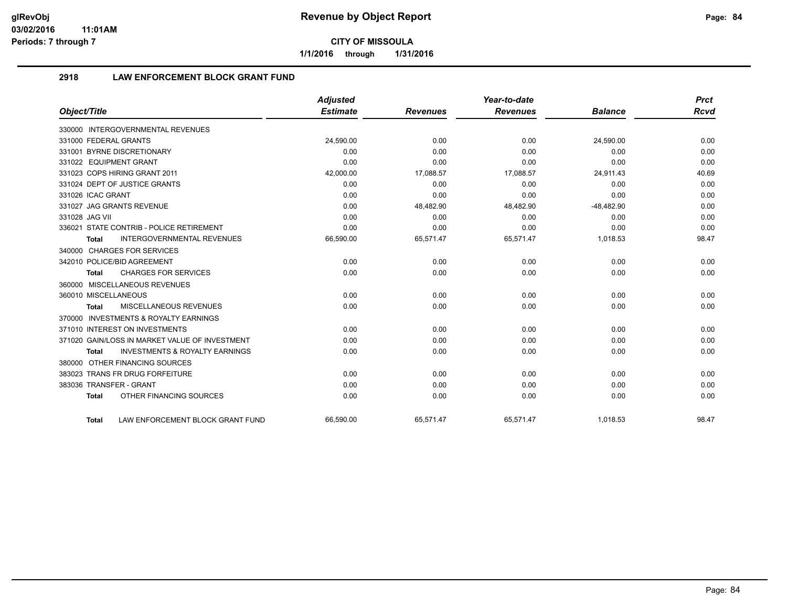**1/1/2016 through 1/31/2016**

# **2918 LAW ENFORCEMENT BLOCK GRANT FUND**

|                                                           | <b>Adjusted</b> |                 | Year-to-date    |                | <b>Prct</b> |
|-----------------------------------------------------------|-----------------|-----------------|-----------------|----------------|-------------|
| Object/Title                                              | <b>Estimate</b> | <b>Revenues</b> | <b>Revenues</b> | <b>Balance</b> | <b>Rcvd</b> |
| 330000 INTERGOVERNMENTAL REVENUES                         |                 |                 |                 |                |             |
| 331000 FEDERAL GRANTS                                     | 24,590.00       | 0.00            | 0.00            | 24,590.00      | 0.00        |
| 331001 BYRNE DISCRETIONARY                                | 0.00            | 0.00            | 0.00            | 0.00           | 0.00        |
| 331022 EQUIPMENT GRANT                                    | 0.00            | 0.00            | 0.00            | 0.00           | 0.00        |
| 331023 COPS HIRING GRANT 2011                             | 42,000.00       | 17,088.57       | 17,088.57       | 24,911.43      | 40.69       |
| 331024 DEPT OF JUSTICE GRANTS                             | 0.00            | 0.00            | 0.00            | 0.00           | 0.00        |
| 331026 ICAC GRANT                                         | 0.00            | 0.00            | 0.00            | 0.00           | 0.00        |
| 331027 JAG GRANTS REVENUE                                 | 0.00            | 48,482.90       | 48,482.90       | $-48,482.90$   | 0.00        |
| 331028 JAG VII                                            | 0.00            | 0.00            | 0.00            | 0.00           | 0.00        |
| 336021 STATE CONTRIB - POLICE RETIREMENT                  | 0.00            | 0.00            | 0.00            | 0.00           | 0.00        |
| <b>INTERGOVERNMENTAL REVENUES</b><br><b>Total</b>         | 66,590.00       | 65,571.47       | 65,571.47       | 1,018.53       | 98.47       |
| 340000 CHARGES FOR SERVICES                               |                 |                 |                 |                |             |
| 342010 POLICE/BID AGREEMENT                               | 0.00            | 0.00            | 0.00            | 0.00           | 0.00        |
| <b>CHARGES FOR SERVICES</b><br><b>Total</b>               | 0.00            | 0.00            | 0.00            | 0.00           | 0.00        |
| 360000 MISCELLANEOUS REVENUES                             |                 |                 |                 |                |             |
| 360010 MISCELLANEOUS                                      | 0.00            | 0.00            | 0.00            | 0.00           | 0.00        |
| MISCELLANEOUS REVENUES<br><b>Total</b>                    | 0.00            | 0.00            | 0.00            | 0.00           | 0.00        |
| 370000 INVESTMENTS & ROYALTY EARNINGS                     |                 |                 |                 |                |             |
| 371010 INTEREST ON INVESTMENTS                            | 0.00            | 0.00            | 0.00            | 0.00           | 0.00        |
| 371020 GAIN/LOSS IN MARKET VALUE OF INVESTMENT            | 0.00            | 0.00            | 0.00            | 0.00           | 0.00        |
| <b>INVESTMENTS &amp; ROYALTY EARNINGS</b><br><b>Total</b> | 0.00            | 0.00            | 0.00            | 0.00           | 0.00        |
| 380000 OTHER FINANCING SOURCES                            |                 |                 |                 |                |             |
| 383023 TRANS FR DRUG FORFEITURE                           | 0.00            | 0.00            | 0.00            | 0.00           | 0.00        |
| 383036 TRANSFER - GRANT                                   | 0.00            | 0.00            | 0.00            | 0.00           | 0.00        |
| OTHER FINANCING SOURCES<br><b>Total</b>                   | 0.00            | 0.00            | 0.00            | 0.00           | 0.00        |
| LAW ENFORCEMENT BLOCK GRANT FUND<br>Total                 | 66.590.00       | 65,571.47       | 65,571.47       | 1.018.53       | 98.47       |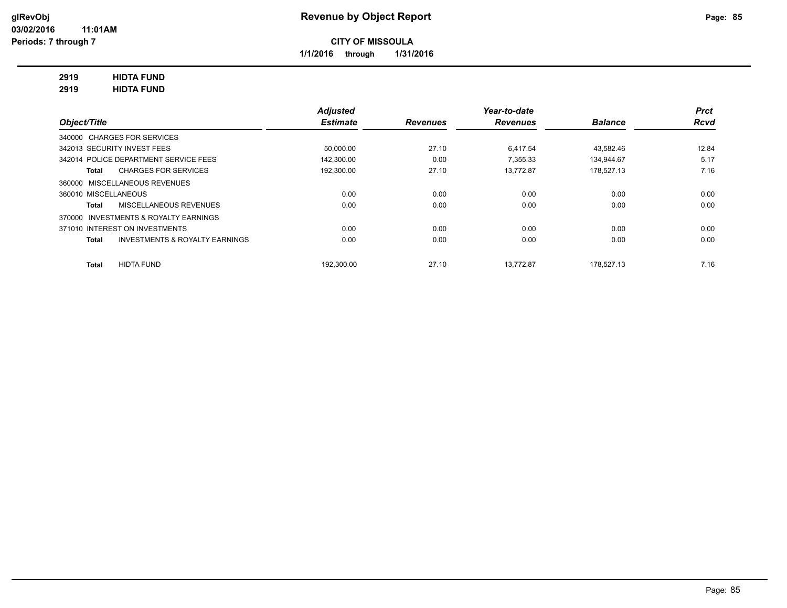**1/1/2016 through 1/31/2016**

# **2919 HIDTA FUND**

**2919 HIDTA FUND**

|                                                    | <b>Adjusted</b> |                 | Year-to-date    |                | <b>Prct</b> |
|----------------------------------------------------|-----------------|-----------------|-----------------|----------------|-------------|
| Object/Title                                       | <b>Estimate</b> | <b>Revenues</b> | <b>Revenues</b> | <b>Balance</b> | <b>Rcvd</b> |
| 340000 CHARGES FOR SERVICES                        |                 |                 |                 |                |             |
| 342013 SECURITY INVEST FEES                        | 50.000.00       | 27.10           | 6.417.54        | 43.582.46      | 12.84       |
| 342014 POLICE DEPARTMENT SERVICE FEES              | 142.300.00      | 0.00            | 7.355.33        | 134.944.67     | 5.17        |
| <b>CHARGES FOR SERVICES</b><br>Total               | 192,300.00      | 27.10           | 13.772.87       | 178,527.13     | 7.16        |
| 360000 MISCELLANEOUS REVENUES                      |                 |                 |                 |                |             |
| 360010 MISCELLANEOUS                               | 0.00            | 0.00            | 0.00            | 0.00           | 0.00        |
| MISCELLANEOUS REVENUES<br>Total                    | 0.00            | 0.00            | 0.00            | 0.00           | 0.00        |
| INVESTMENTS & ROYALTY EARNINGS<br>370000           |                 |                 |                 |                |             |
| 371010 INTEREST ON INVESTMENTS                     | 0.00            | 0.00            | 0.00            | 0.00           | 0.00        |
| <b>INVESTMENTS &amp; ROYALTY EARNINGS</b><br>Total | 0.00            | 0.00            | 0.00            | 0.00           | 0.00        |
| <b>HIDTA FUND</b><br>Total                         | 192.300.00      | 27.10           | 13.772.87       | 178.527.13     | 7.16        |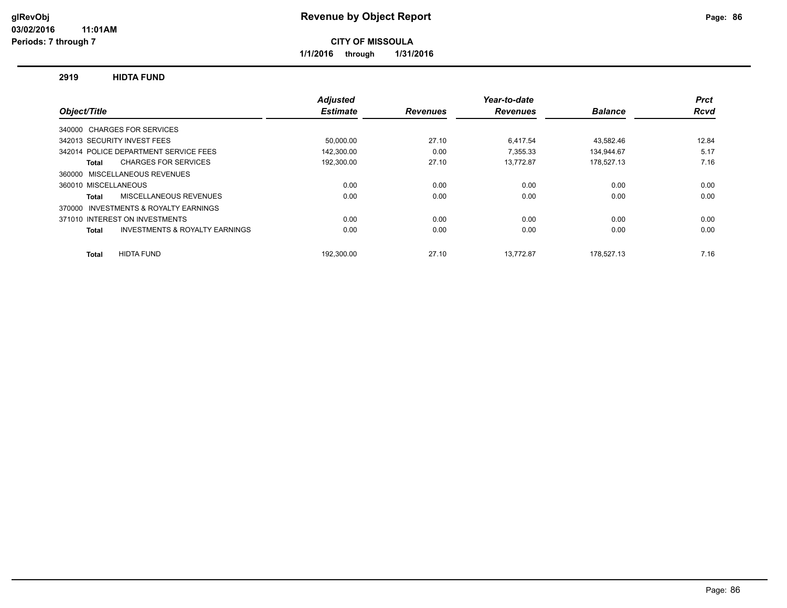**1/1/2016 through 1/31/2016**

#### **2919 HIDTA FUND**

|                                                           | <b>Adjusted</b><br><b>Estimate</b> |                 | Year-to-date<br><b>Revenues</b> | <b>Balance</b> | <b>Prct</b> |
|-----------------------------------------------------------|------------------------------------|-----------------|---------------------------------|----------------|-------------|
| Object/Title                                              |                                    | <b>Revenues</b> |                                 |                | Rcvd        |
| 340000 CHARGES FOR SERVICES                               |                                    |                 |                                 |                |             |
| 342013 SECURITY INVEST FEES                               | 50,000.00                          | 27.10           | 6,417.54                        | 43,582.46      | 12.84       |
| 342014 POLICE DEPARTMENT SERVICE FEES                     | 142,300.00                         | 0.00            | 7.355.33                        | 134.944.67     | 5.17        |
| <b>CHARGES FOR SERVICES</b><br>Total                      | 192,300.00                         | 27.10           | 13,772.87                       | 178,527.13     | 7.16        |
| 360000 MISCELLANEOUS REVENUES                             |                                    |                 |                                 |                |             |
| 360010 MISCELLANEOUS                                      | 0.00                               | 0.00            | 0.00                            | 0.00           | 0.00        |
| MISCELLANEOUS REVENUES<br>Total                           | 0.00                               | 0.00            | 0.00                            | 0.00           | 0.00        |
| INVESTMENTS & ROYALTY EARNINGS<br>370000                  |                                    |                 |                                 |                |             |
| 371010 INTEREST ON INVESTMENTS                            | 0.00                               | 0.00            | 0.00                            | 0.00           | 0.00        |
| <b>INVESTMENTS &amp; ROYALTY EARNINGS</b><br><b>Total</b> | 0.00                               | 0.00            | 0.00                            | 0.00           | 0.00        |
| <b>HIDTA FUND</b><br>Total                                | 192.300.00                         | 27.10           | 13.772.87                       | 178.527.13     | 7.16        |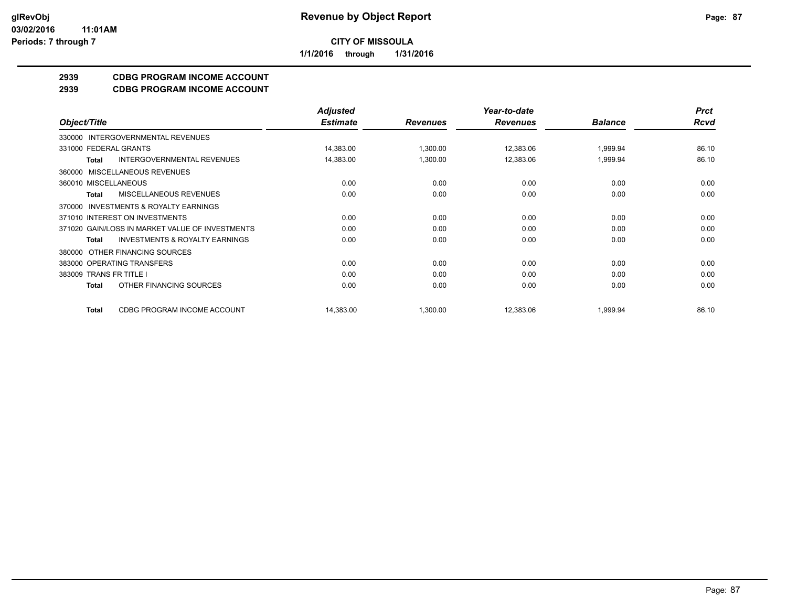**1/1/2016 through 1/31/2016**

# **2939 CDBG PROGRAM INCOME ACCOUNT**

**2939 CDBG PROGRAM INCOME ACCOUNT**

|                                                           | <b>Adjusted</b> |                 | Year-to-date    |                | <b>Prct</b> |
|-----------------------------------------------------------|-----------------|-----------------|-----------------|----------------|-------------|
| Object/Title                                              | <b>Estimate</b> | <b>Revenues</b> | <b>Revenues</b> | <b>Balance</b> | <b>Rcvd</b> |
| INTERGOVERNMENTAL REVENUES<br>330000                      |                 |                 |                 |                |             |
| 331000 FEDERAL GRANTS                                     | 14,383.00       | 1,300.00        | 12,383.06       | 1,999.94       | 86.10       |
| <b>INTERGOVERNMENTAL REVENUES</b><br><b>Total</b>         | 14,383.00       | 1,300.00        | 12,383.06       | 1,999.94       | 86.10       |
| MISCELLANEOUS REVENUES<br>360000                          |                 |                 |                 |                |             |
| 360010 MISCELLANEOUS                                      | 0.00            | 0.00            | 0.00            | 0.00           | 0.00        |
| <b>MISCELLANEOUS REVENUES</b><br>Total                    | 0.00            | 0.00            | 0.00            | 0.00           | 0.00        |
| <b>INVESTMENTS &amp; ROYALTY EARNINGS</b><br>370000       |                 |                 |                 |                |             |
| 371010 INTEREST ON INVESTMENTS                            | 0.00            | 0.00            | 0.00            | 0.00           | 0.00        |
| 371020 GAIN/LOSS IN MARKET VALUE OF INVESTMENTS           | 0.00            | 0.00            | 0.00            | 0.00           | 0.00        |
| <b>INVESTMENTS &amp; ROYALTY EARNINGS</b><br><b>Total</b> | 0.00            | 0.00            | 0.00            | 0.00           | 0.00        |
| OTHER FINANCING SOURCES<br>380000                         |                 |                 |                 |                |             |
| 383000 OPERATING TRANSFERS                                | 0.00            | 0.00            | 0.00            | 0.00           | 0.00        |
| 383009 TRANS FR TITLE I                                   | 0.00            | 0.00            | 0.00            | 0.00           | 0.00        |
| OTHER FINANCING SOURCES<br><b>Total</b>                   | 0.00            | 0.00            | 0.00            | 0.00           | 0.00        |
| <b>CDBG PROGRAM INCOME ACCOUNT</b><br><b>Total</b>        | 14,383.00       | 1,300.00        | 12,383.06       | 1,999.94       | 86.10       |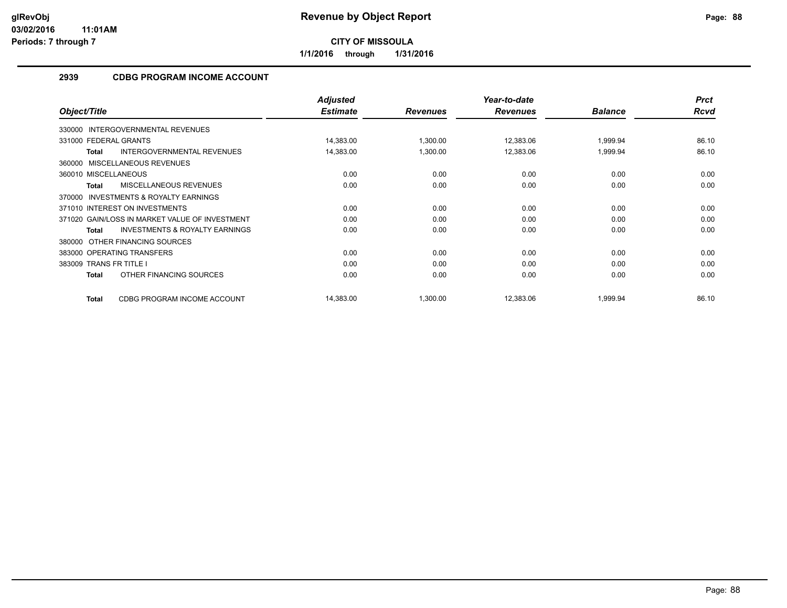**1/1/2016 through 1/31/2016**

# **2939 CDBG PROGRAM INCOME ACCOUNT**

| Object/Title                                              | <b>Adjusted</b><br><b>Estimate</b> | <b>Revenues</b> | Year-to-date<br><b>Revenues</b> | <b>Balance</b> | <b>Prct</b><br><b>Rcvd</b> |
|-----------------------------------------------------------|------------------------------------|-----------------|---------------------------------|----------------|----------------------------|
|                                                           |                                    |                 |                                 |                |                            |
| 330000 INTERGOVERNMENTAL REVENUES                         |                                    |                 |                                 |                |                            |
| 331000 FEDERAL GRANTS                                     | 14,383.00                          | 1,300.00        | 12,383.06                       | 1,999.94       | 86.10                      |
| INTERGOVERNMENTAL REVENUES<br><b>Total</b>                | 14,383.00                          | 1,300.00        | 12,383.06                       | 1,999.94       | 86.10                      |
| 360000 MISCELLANEOUS REVENUES                             |                                    |                 |                                 |                |                            |
| 360010 MISCELLANEOUS                                      | 0.00                               | 0.00            | 0.00                            | 0.00           | 0.00                       |
| MISCELLANEOUS REVENUES<br><b>Total</b>                    | 0.00                               | 0.00            | 0.00                            | 0.00           | 0.00                       |
| INVESTMENTS & ROYALTY EARNINGS<br>370000                  |                                    |                 |                                 |                |                            |
| 371010 INTEREST ON INVESTMENTS                            | 0.00                               | 0.00            | 0.00                            | 0.00           | 0.00                       |
| 371020 GAIN/LOSS IN MARKET VALUE OF INVESTMENT            | 0.00                               | 0.00            | 0.00                            | 0.00           | 0.00                       |
| <b>INVESTMENTS &amp; ROYALTY EARNINGS</b><br><b>Total</b> | 0.00                               | 0.00            | 0.00                            | 0.00           | 0.00                       |
| 380000 OTHER FINANCING SOURCES                            |                                    |                 |                                 |                |                            |
| 383000 OPERATING TRANSFERS                                | 0.00                               | 0.00            | 0.00                            | 0.00           | 0.00                       |
| 383009 TRANS FR TITLE I                                   | 0.00                               | 0.00            | 0.00                            | 0.00           | 0.00                       |
| OTHER FINANCING SOURCES<br><b>Total</b>                   | 0.00                               | 0.00            | 0.00                            | 0.00           | 0.00                       |
| CDBG PROGRAM INCOME ACCOUNT<br><b>Total</b>               | 14,383.00                          | 1,300.00        | 12,383.06                       | 1,999.94       | 86.10                      |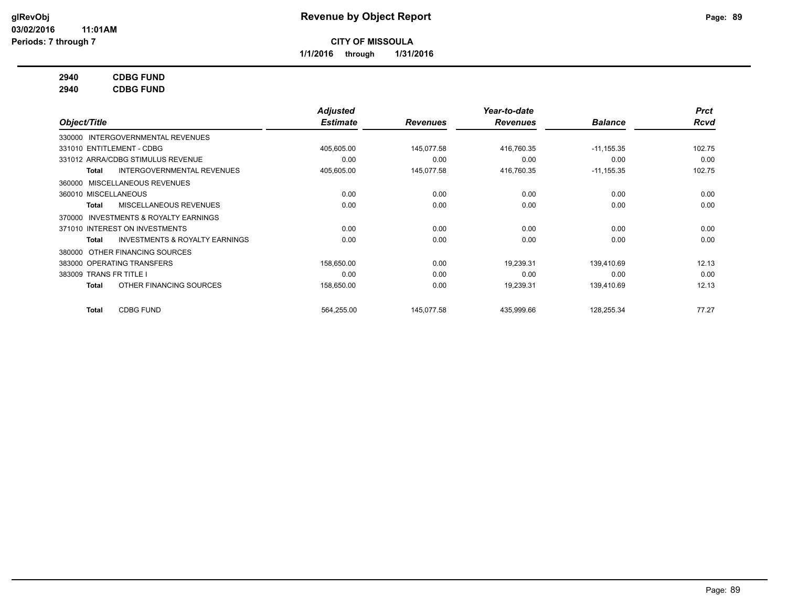**1/1/2016 through 1/31/2016**

# **2940 CDBG FUND**

**2940 CDBG FUND**

|                                                     | Adjusted        |                 | Year-to-date    |                | <b>Prct</b> |
|-----------------------------------------------------|-----------------|-----------------|-----------------|----------------|-------------|
| Object/Title                                        | <b>Estimate</b> | <b>Revenues</b> | <b>Revenues</b> | <b>Balance</b> | Rcvd        |
| 330000 INTERGOVERNMENTAL REVENUES                   |                 |                 |                 |                |             |
| 331010 ENTITLEMENT - CDBG                           | 405,605.00      | 145,077.58      | 416,760.35      | $-11, 155.35$  | 102.75      |
| 331012 ARRA/CDBG STIMULUS REVENUE                   | 0.00            | 0.00            | 0.00            | 0.00           | 0.00        |
| INTERGOVERNMENTAL REVENUES<br>Total                 | 405,605.00      | 145,077.58      | 416,760.35      | $-11, 155.35$  | 102.75      |
| MISCELLANEOUS REVENUES<br>360000                    |                 |                 |                 |                |             |
| 360010 MISCELLANEOUS                                | 0.00            | 0.00            | 0.00            | 0.00           | 0.00        |
| MISCELLANEOUS REVENUES<br>Total                     | 0.00            | 0.00            | 0.00            | 0.00           | 0.00        |
| <b>INVESTMENTS &amp; ROYALTY EARNINGS</b><br>370000 |                 |                 |                 |                |             |
| 371010 INTEREST ON INVESTMENTS                      | 0.00            | 0.00            | 0.00            | 0.00           | 0.00        |
| <b>INVESTMENTS &amp; ROYALTY EARNINGS</b><br>Total  | 0.00            | 0.00            | 0.00            | 0.00           | 0.00        |
| OTHER FINANCING SOURCES<br>380000                   |                 |                 |                 |                |             |
| 383000 OPERATING TRANSFERS                          | 158,650.00      | 0.00            | 19,239.31       | 139.410.69     | 12.13       |
| 383009 TRANS FR TITLE I                             | 0.00            | 0.00            | 0.00            | 0.00           | 0.00        |
| OTHER FINANCING SOURCES<br>Total                    | 158,650.00      | 0.00            | 19,239.31       | 139,410.69     | 12.13       |
| <b>CDBG FUND</b><br>Total                           | 564,255.00      | 145,077.58      | 435,999.66      | 128,255.34     | 77.27       |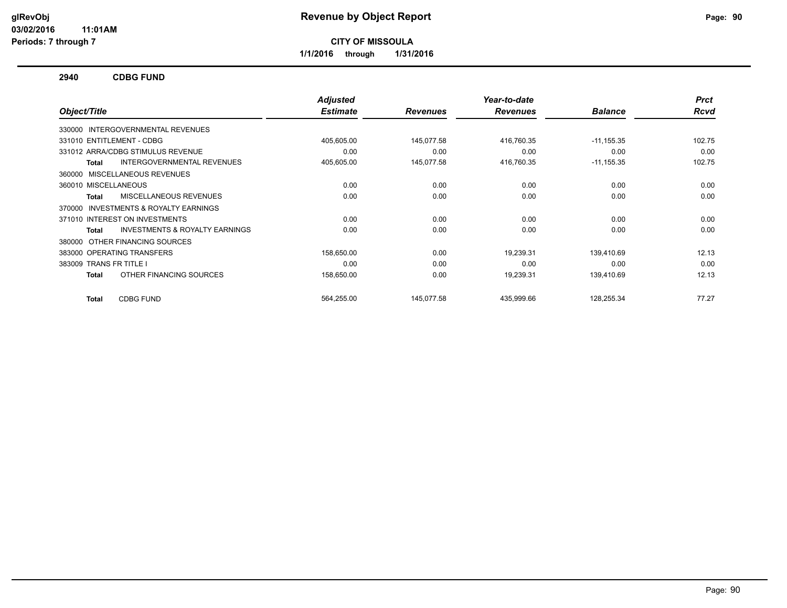**1/1/2016 through 1/31/2016**

#### **2940 CDBG FUND**

|                                                           | <b>Adjusted</b> |                 | Year-to-date    |                | <b>Prct</b> |
|-----------------------------------------------------------|-----------------|-----------------|-----------------|----------------|-------------|
| Object/Title                                              | <b>Estimate</b> | <b>Revenues</b> | <b>Revenues</b> | <b>Balance</b> | Rcvd        |
| 330000 INTERGOVERNMENTAL REVENUES                         |                 |                 |                 |                |             |
| 331010 ENTITLEMENT - CDBG                                 | 405,605.00      | 145,077.58      | 416,760.35      | $-11, 155.35$  | 102.75      |
| 331012 ARRA/CDBG STIMULUS REVENUE                         | 0.00            | 0.00            | 0.00            | 0.00           | 0.00        |
| INTERGOVERNMENTAL REVENUES<br>Total                       | 405,605.00      | 145,077.58      | 416,760.35      | $-11, 155.35$  | 102.75      |
| 360000 MISCELLANEOUS REVENUES                             |                 |                 |                 |                |             |
| 360010 MISCELLANEOUS                                      | 0.00            | 0.00            | 0.00            | 0.00           | 0.00        |
| MISCELLANEOUS REVENUES<br>Total                           | 0.00            | 0.00            | 0.00            | 0.00           | 0.00        |
| <b>INVESTMENTS &amp; ROYALTY EARNINGS</b><br>370000       |                 |                 |                 |                |             |
| 371010 INTEREST ON INVESTMENTS                            | 0.00            | 0.00            | 0.00            | 0.00           | 0.00        |
| <b>INVESTMENTS &amp; ROYALTY EARNINGS</b><br><b>Total</b> | 0.00            | 0.00            | 0.00            | 0.00           | 0.00        |
| 380000 OTHER FINANCING SOURCES                            |                 |                 |                 |                |             |
| 383000 OPERATING TRANSFERS                                | 158,650.00      | 0.00            | 19,239.31       | 139,410.69     | 12.13       |
| 383009 TRANS FR TITLE I                                   | 0.00            | 0.00            | 0.00            | 0.00           | 0.00        |
| OTHER FINANCING SOURCES<br>Total                          | 158,650.00      | 0.00            | 19,239.31       | 139,410.69     | 12.13       |
| <b>CDBG FUND</b><br><b>Total</b>                          | 564,255.00      | 145,077.58      | 435,999.66      | 128,255.34     | 77.27       |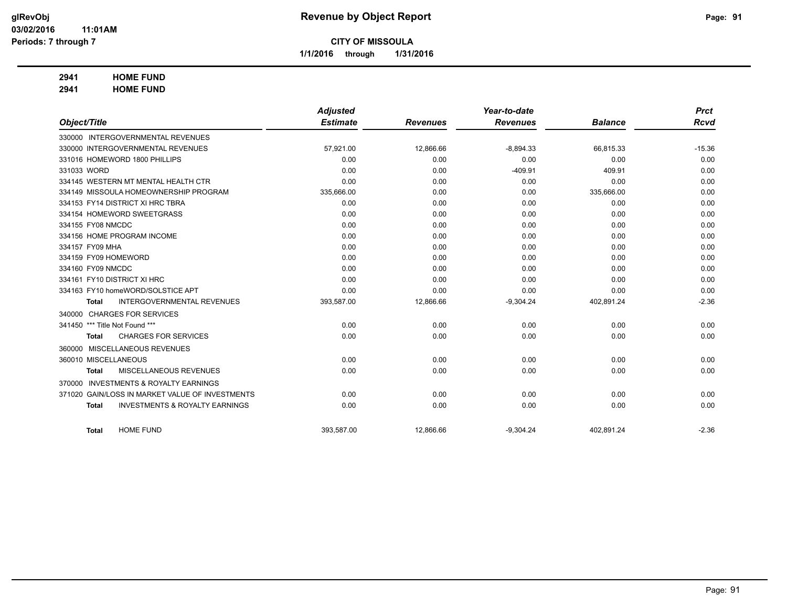**1/1/2016 through 1/31/2016**

# **2941 HOME FUND**

**2941 HOME FUND**

|                                |                                                 | <b>Adjusted</b> |                 | Year-to-date    |                | <b>Prct</b> |
|--------------------------------|-------------------------------------------------|-----------------|-----------------|-----------------|----------------|-------------|
| Object/Title                   |                                                 | <b>Estimate</b> | <b>Revenues</b> | <b>Revenues</b> | <b>Balance</b> | <b>Rcvd</b> |
|                                | 330000 INTERGOVERNMENTAL REVENUES               |                 |                 |                 |                |             |
|                                | 330000 INTERGOVERNMENTAL REVENUES               | 57,921.00       | 12,866.66       | $-8,894.33$     | 66,815.33      | $-15.36$    |
|                                | 331016 HOMEWORD 1800 PHILLIPS                   | 0.00            | 0.00            | 0.00            | 0.00           | 0.00        |
| 331033 WORD                    |                                                 | 0.00            | 0.00            | $-409.91$       | 409.91         | 0.00        |
|                                | 334145 WESTERN MT MENTAL HEALTH CTR             | 0.00            | 0.00            | 0.00            | 0.00           | 0.00        |
|                                | 334149 MISSOULA HOMEOWNERSHIP PROGRAM           | 335,666.00      | 0.00            | 0.00            | 335,666.00     | 0.00        |
|                                | 334153 FY14 DISTRICT XI HRC TBRA                | 0.00            | 0.00            | 0.00            | 0.00           | 0.00        |
|                                | 334154 HOMEWORD SWEETGRASS                      | 0.00            | 0.00            | 0.00            | 0.00           | 0.00        |
| 334155 FY08 NMCDC              |                                                 | 0.00            | 0.00            | 0.00            | 0.00           | 0.00        |
|                                | 334156 HOME PROGRAM INCOME                      | 0.00            | 0.00            | 0.00            | 0.00           | 0.00        |
| 334157 FY09 MHA                |                                                 | 0.00            | 0.00            | 0.00            | 0.00           | 0.00        |
| 334159 FY09 HOMEWORD           |                                                 | 0.00            | 0.00            | 0.00            | 0.00           | 0.00        |
| 334160 FY09 NMCDC              |                                                 | 0.00            | 0.00            | 0.00            | 0.00           | 0.00        |
|                                | 334161 FY10 DISTRICT XI HRC                     | 0.00            | 0.00            | 0.00            | 0.00           | 0.00        |
|                                | 334163 FY10 homeWORD/SOLSTICE APT               | 0.00            | 0.00            | 0.00            | 0.00           | 0.00        |
| <b>Total</b>                   | <b>INTERGOVERNMENTAL REVENUES</b>               | 393,587.00      | 12,866.66       | $-9,304.24$     | 402,891.24     | $-2.36$     |
|                                | 340000 CHARGES FOR SERVICES                     |                 |                 |                 |                |             |
| 341450 *** Title Not Found *** |                                                 | 0.00            | 0.00            | 0.00            | 0.00           | 0.00        |
| <b>Total</b>                   | <b>CHARGES FOR SERVICES</b>                     | 0.00            | 0.00            | 0.00            | 0.00           | 0.00        |
|                                | 360000 MISCELLANEOUS REVENUES                   |                 |                 |                 |                |             |
| 360010 MISCELLANEOUS           |                                                 | 0.00            | 0.00            | 0.00            | 0.00           | 0.00        |
| <b>Total</b>                   | MISCELLANEOUS REVENUES                          | 0.00            | 0.00            | 0.00            | 0.00           | 0.00        |
| 370000                         | <b>INVESTMENTS &amp; ROYALTY EARNINGS</b>       |                 |                 |                 |                |             |
|                                | 371020 GAIN/LOSS IN MARKET VALUE OF INVESTMENTS | 0.00            | 0.00            | 0.00            | 0.00           | 0.00        |
| <b>Total</b>                   | <b>INVESTMENTS &amp; ROYALTY EARNINGS</b>       | 0.00            | 0.00            | 0.00            | 0.00           | 0.00        |
|                                |                                                 |                 |                 |                 |                |             |
| <b>Total</b>                   | <b>HOME FUND</b>                                | 393,587.00      | 12,866.66       | $-9,304.24$     | 402,891.24     | $-2.36$     |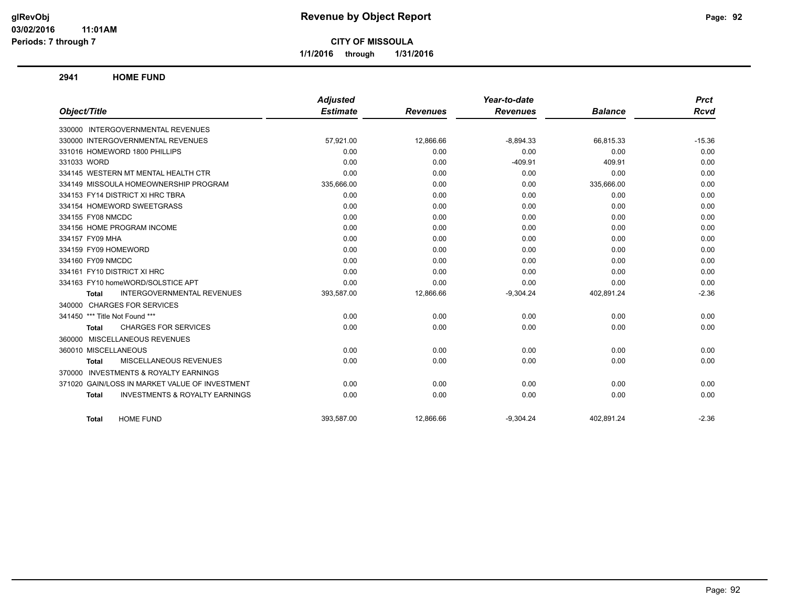**1/1/2016 through 1/31/2016**

#### **2941 HOME FUND**

|                                                           | <b>Adjusted</b> |                 | Year-to-date    |                | <b>Prct</b> |
|-----------------------------------------------------------|-----------------|-----------------|-----------------|----------------|-------------|
| Object/Title                                              | <b>Estimate</b> | <b>Revenues</b> | <b>Revenues</b> | <b>Balance</b> | <b>Rcvd</b> |
| 330000 INTERGOVERNMENTAL REVENUES                         |                 |                 |                 |                |             |
| 330000 INTERGOVERNMENTAL REVENUES                         | 57,921.00       | 12,866.66       | $-8,894.33$     | 66,815.33      | $-15.36$    |
| 331016 HOMEWORD 1800 PHILLIPS                             | 0.00            | 0.00            | 0.00            | 0.00           | 0.00        |
| 331033 WORD                                               | 0.00            | 0.00            | $-409.91$       | 409.91         | 0.00        |
| 334145 WESTERN MT MENTAL HEALTH CTR                       | 0.00            | 0.00            | 0.00            | 0.00           | 0.00        |
| 334149 MISSOULA HOMEOWNERSHIP PROGRAM                     | 335,666.00      | 0.00            | 0.00            | 335,666.00     | 0.00        |
| 334153 FY14 DISTRICT XI HRC TBRA                          | 0.00            | 0.00            | 0.00            | 0.00           | 0.00        |
| 334154 HOMEWORD SWEETGRASS                                | 0.00            | 0.00            | 0.00            | 0.00           | 0.00        |
| 334155 FY08 NMCDC                                         | 0.00            | 0.00            | 0.00            | 0.00           | 0.00        |
| 334156 HOME PROGRAM INCOME                                | 0.00            | 0.00            | 0.00            | 0.00           | 0.00        |
| 334157 FY09 MHA                                           | 0.00            | 0.00            | 0.00            | 0.00           | 0.00        |
| 334159 FY09 HOMEWORD                                      | 0.00            | 0.00            | 0.00            | 0.00           | 0.00        |
| 334160 FY09 NMCDC                                         | 0.00            | 0.00            | 0.00            | 0.00           | 0.00        |
| 334161 FY10 DISTRICT XI HRC                               | 0.00            | 0.00            | 0.00            | 0.00           | 0.00        |
| 334163 FY10 homeWORD/SOLSTICE APT                         | 0.00            | 0.00            | 0.00            | 0.00           | 0.00        |
| <b>INTERGOVERNMENTAL REVENUES</b><br>Total                | 393,587.00      | 12,866.66       | $-9,304.24$     | 402,891.24     | $-2.36$     |
| 340000 CHARGES FOR SERVICES                               |                 |                 |                 |                |             |
| 341450 *** Title Not Found ***                            | 0.00            | 0.00            | 0.00            | 0.00           | 0.00        |
| <b>CHARGES FOR SERVICES</b><br><b>Total</b>               | 0.00            | 0.00            | 0.00            | 0.00           | 0.00        |
| 360000 MISCELLANEOUS REVENUES                             |                 |                 |                 |                |             |
| 360010 MISCELLANEOUS                                      | 0.00            | 0.00            | 0.00            | 0.00           | 0.00        |
| MISCELLANEOUS REVENUES<br><b>Total</b>                    | 0.00            | 0.00            | 0.00            | 0.00           | 0.00        |
| 370000 INVESTMENTS & ROYALTY EARNINGS                     |                 |                 |                 |                |             |
| 371020 GAIN/LOSS IN MARKET VALUE OF INVESTMENT            | 0.00            | 0.00            | 0.00            | 0.00           | 0.00        |
| <b>INVESTMENTS &amp; ROYALTY EARNINGS</b><br><b>Total</b> | 0.00            | 0.00            | 0.00            | 0.00           | 0.00        |
| <b>HOME FUND</b><br><b>Total</b>                          | 393,587.00      | 12,866.66       | $-9,304.24$     | 402,891.24     | $-2.36$     |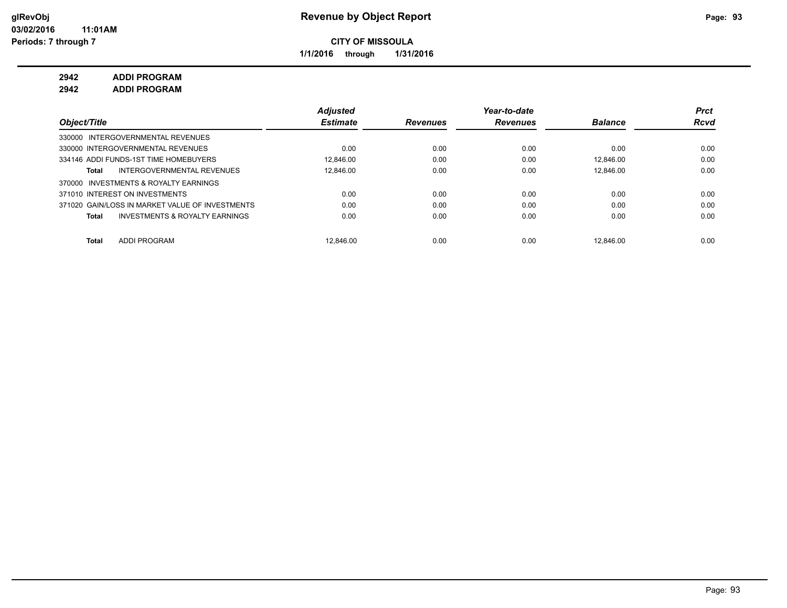**1/1/2016 through 1/31/2016**

**2942 ADDI PROGRAM**

**2942 ADDI PROGRAM**

|                                                    | <b>Adjusted</b> |                 | Year-to-date    |                | <b>Prct</b> |
|----------------------------------------------------|-----------------|-----------------|-----------------|----------------|-------------|
| Object/Title                                       | <b>Estimate</b> | <b>Revenues</b> | <b>Revenues</b> | <b>Balance</b> | <b>Rcvd</b> |
| 330000 INTERGOVERNMENTAL REVENUES                  |                 |                 |                 |                |             |
| 330000 INTERGOVERNMENTAL REVENUES                  | 0.00            | 0.00            | 0.00            | 0.00           | 0.00        |
| 334146 ADDI FUNDS-1ST TIME HOMEBUYERS              | 12.846.00       | 0.00            | 0.00            | 12.846.00      | 0.00        |
| INTERGOVERNMENTAL REVENUES<br>Total                | 12.846.00       | 0.00            | 0.00            | 12.846.00      | 0.00        |
| 370000 INVESTMENTS & ROYALTY EARNINGS              |                 |                 |                 |                |             |
| 371010 INTEREST ON INVESTMENTS                     | 0.00            | 0.00            | 0.00            | 0.00           | 0.00        |
| 371020 GAIN/LOSS IN MARKET VALUE OF INVESTMENTS    | 0.00            | 0.00            | 0.00            | 0.00           | 0.00        |
| <b>INVESTMENTS &amp; ROYALTY EARNINGS</b><br>Total | 0.00            | 0.00            | 0.00            | 0.00           | 0.00        |
|                                                    |                 |                 |                 |                |             |
| <b>ADDI PROGRAM</b><br>Total                       | 12.846.00       | 0.00            | 0.00            | 12.846.00      | 0.00        |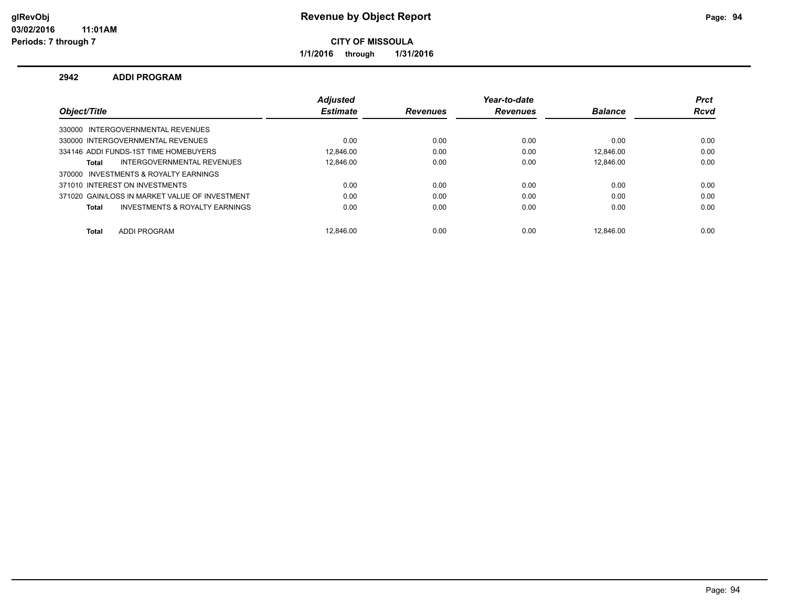# **glRevObj Revenue by Object Report Page: 94**

**CITY OF MISSOULA**

**1/1/2016 through 1/31/2016**

#### **2942 ADDI PROGRAM**

|                                                | <b>Adiusted</b> |                 | Year-to-date    |                | <b>Prct</b> |
|------------------------------------------------|-----------------|-----------------|-----------------|----------------|-------------|
| Object/Title                                   | <b>Estimate</b> | <b>Revenues</b> | <b>Revenues</b> | <b>Balance</b> | <b>Rcvd</b> |
| 330000 INTERGOVERNMENTAL REVENUES              |                 |                 |                 |                |             |
| 330000 INTERGOVERNMENTAL REVENUES              | 0.00            | 0.00            | 0.00            | 0.00           | 0.00        |
| 334146 ADDI FUNDS-1ST TIME HOMEBUYERS          | 12.846.00       | 0.00            | 0.00            | 12.846.00      | 0.00        |
| INTERGOVERNMENTAL REVENUES<br>Total            | 12.846.00       | 0.00            | 0.00            | 12.846.00      | 0.00        |
| 370000 INVESTMENTS & ROYALTY EARNINGS          |                 |                 |                 |                |             |
| 371010 INTEREST ON INVESTMENTS                 | 0.00            | 0.00            | 0.00            | 0.00           | 0.00        |
| 371020 GAIN/LOSS IN MARKET VALUE OF INVESTMENT | 0.00            | 0.00            | 0.00            | 0.00           | 0.00        |
| INVESTMENTS & ROYALTY EARNINGS<br>Total        | 0.00            | 0.00            | 0.00            | 0.00           | 0.00        |
|                                                |                 |                 |                 |                |             |
| <b>ADDI PROGRAM</b><br><b>Total</b>            | 12.846.00       | 0.00            | 0.00            | 12.846.00      | 0.00        |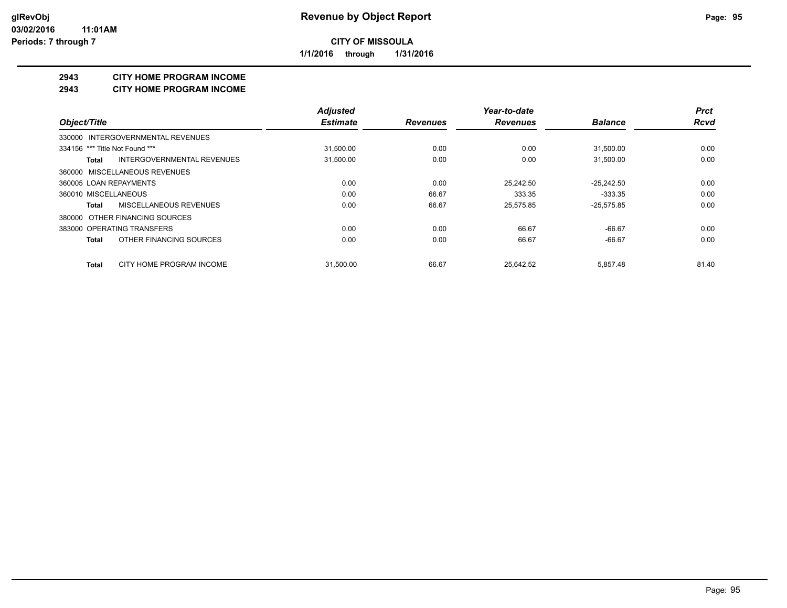**1/1/2016 through 1/31/2016**

#### **2943 CITY HOME PROGRAM INCOME**

#### **2943 CITY HOME PROGRAM INCOME**

|                                          | <b>Adjusted</b> |                 | Year-to-date    |                | <b>Prct</b> |
|------------------------------------------|-----------------|-----------------|-----------------|----------------|-------------|
| Object/Title                             | <b>Estimate</b> | <b>Revenues</b> | <b>Revenues</b> | <b>Balance</b> | <b>Rcvd</b> |
| 330000 INTERGOVERNMENTAL REVENUES        |                 |                 |                 |                |             |
| 334156 *** Title Not Found ***           | 31,500.00       | 0.00            | 0.00            | 31,500.00      | 0.00        |
| INTERGOVERNMENTAL REVENUES<br>Total      | 31,500.00       | 0.00            | 0.00            | 31,500.00      | 0.00        |
| 360000 MISCELLANEOUS REVENUES            |                 |                 |                 |                |             |
| 360005 LOAN REPAYMENTS                   | 0.00            | 0.00            | 25.242.50       | $-25.242.50$   | 0.00        |
| 360010 MISCELLANEOUS                     | 0.00            | 66.67           | 333.35          | $-333.35$      | 0.00        |
| MISCELLANEOUS REVENUES<br>Total          | 0.00            | 66.67           | 25.575.85       | $-25.575.85$   | 0.00        |
| 380000 OTHER FINANCING SOURCES           |                 |                 |                 |                |             |
| 383000 OPERATING TRANSFERS               | 0.00            | 0.00            | 66.67           | $-66.67$       | 0.00        |
| OTHER FINANCING SOURCES<br>Total         | 0.00            | 0.00            | 66.67           | $-66.67$       | 0.00        |
| CITY HOME PROGRAM INCOME<br><b>Total</b> | 31.500.00       | 66.67           | 25.642.52       | 5.857.48       | 81.40       |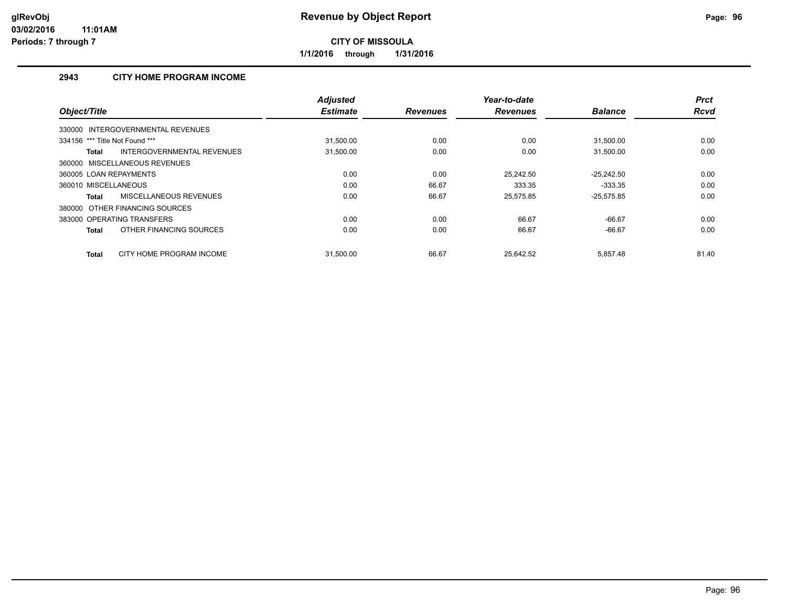**1/1/2016 through 1/31/2016**

# **2943 CITY HOME PROGRAM INCOME**

|                                                   | <b>Adjusted</b> |                 | Year-to-date    |                | <b>Prct</b> |
|---------------------------------------------------|-----------------|-----------------|-----------------|----------------|-------------|
| Object/Title                                      | <b>Estimate</b> | <b>Revenues</b> | <b>Revenues</b> | <b>Balance</b> | <b>Rcvd</b> |
| 330000 INTERGOVERNMENTAL REVENUES                 |                 |                 |                 |                |             |
| 334156 *** Title Not Found ***                    | 31,500.00       | 0.00            | 0.00            | 31,500.00      | 0.00        |
| <b>INTERGOVERNMENTAL REVENUES</b><br><b>Total</b> | 31,500.00       | 0.00            | 0.00            | 31,500.00      | 0.00        |
| 360000 MISCELLANEOUS REVENUES                     |                 |                 |                 |                |             |
| 360005 LOAN REPAYMENTS                            | 0.00            | 0.00            | 25.242.50       | $-25.242.50$   | 0.00        |
| 360010 MISCELLANEOUS                              | 0.00            | 66.67           | 333.35          | $-333.35$      | 0.00        |
| MISCELLANEOUS REVENUES<br><b>Total</b>            | 0.00            | 66.67           | 25.575.85       | $-25,575.85$   | 0.00        |
| 380000 OTHER FINANCING SOURCES                    |                 |                 |                 |                |             |
| 383000 OPERATING TRANSFERS                        | 0.00            | 0.00            | 66.67           | $-66.67$       | 0.00        |
| OTHER FINANCING SOURCES<br><b>Total</b>           | 0.00            | 0.00            | 66.67           | $-66.67$       | 0.00        |
| CITY HOME PROGRAM INCOME<br><b>Total</b>          | 31.500.00       | 66.67           | 25.642.52       | 5.857.48       | 81.40       |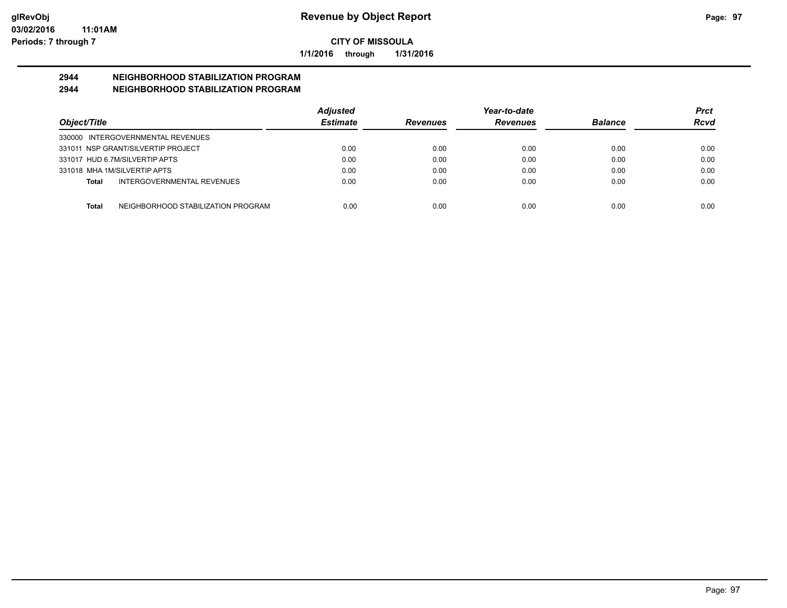**1/1/2016 through 1/31/2016**

# **2944 NEIGHBORHOOD STABILIZATION PROGRAM**

# **2944 NEIGHBORHOOD STABILIZATION PROGRAM**

|                                                    | <b>Adjusted</b> |                 | Year-to-date    |                | Prct |
|----------------------------------------------------|-----------------|-----------------|-----------------|----------------|------|
| Object/Title                                       | <b>Estimate</b> | <b>Revenues</b> | <b>Revenues</b> | <b>Balance</b> | Rcvd |
| 330000 INTERGOVERNMENTAL REVENUES                  |                 |                 |                 |                |      |
| 331011 NSP GRANT/SILVERTIP PROJECT                 | 0.00            | 0.00            | 0.00            | 0.00           | 0.00 |
| 331017 HUD 6.7M/SILVERTIP APTS                     | 0.00            | 0.00            | 0.00            | 0.00           | 0.00 |
| 331018 MHA 1M/SILVERTIP APTS                       | 0.00            | 0.00            | 0.00            | 0.00           | 0.00 |
| INTERGOVERNMENTAL REVENUES<br>Total                | 0.00            | 0.00            | 0.00            | 0.00           | 0.00 |
|                                                    |                 |                 |                 |                |      |
| NEIGHBORHOOD STABILIZATION PROGRAM<br><b>Total</b> | 0.00            | 0.00            | 0.00            | 0.00           | 0.00 |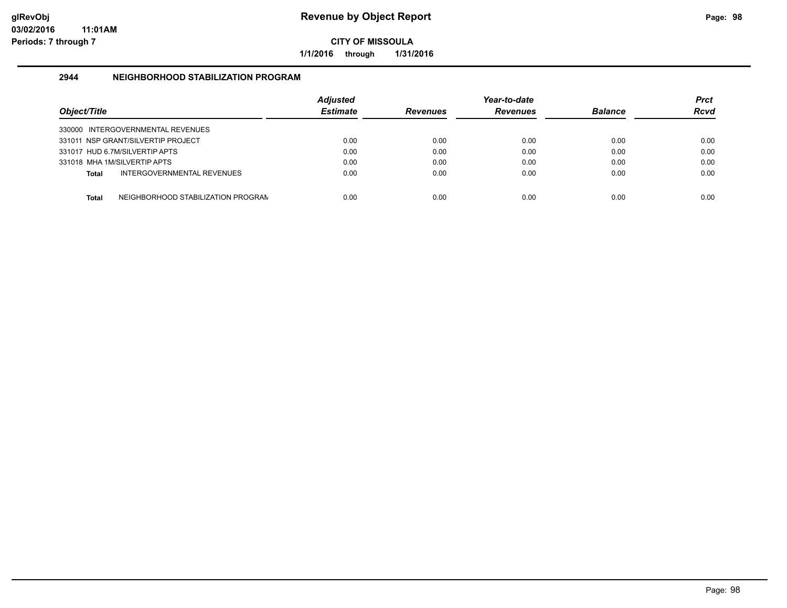**1/1/2016 through 1/31/2016**

### **2944 NEIGHBORHOOD STABILIZATION PROGRAM**

| Object/Title |                                    | Adjusted<br><b>Estimate</b> | <b>Revenues</b> | Year-to-date<br><b>Revenues</b> | <b>Balance</b> | Prct<br><b>Rcvd</b> |
|--------------|------------------------------------|-----------------------------|-----------------|---------------------------------|----------------|---------------------|
|              | 330000 INTERGOVERNMENTAL REVENUES  |                             |                 |                                 |                |                     |
|              | 331011 NSP GRANT/SILVERTIP PROJECT | 0.00                        | 0.00            | 0.00                            | 0.00           | 0.00                |
|              | 331017 HUD 6.7M/SILVERTIP APTS     | 0.00                        | 0.00            | 0.00                            | 0.00           | 0.00                |
|              | 331018 MHA 1M/SILVERTIP APTS       | 0.00                        | 0.00            | 0.00                            | 0.00           | 0.00                |
| <b>Total</b> | INTERGOVERNMENTAL REVENUES         | 0.00                        | 0.00            | 0.00                            | 0.00           | 0.00                |
| <b>Total</b> | NEIGHBORHOOD STABILIZATION PROGRAN | 0.00                        | 0.00            | 0.00                            | 0.00           | 0.00                |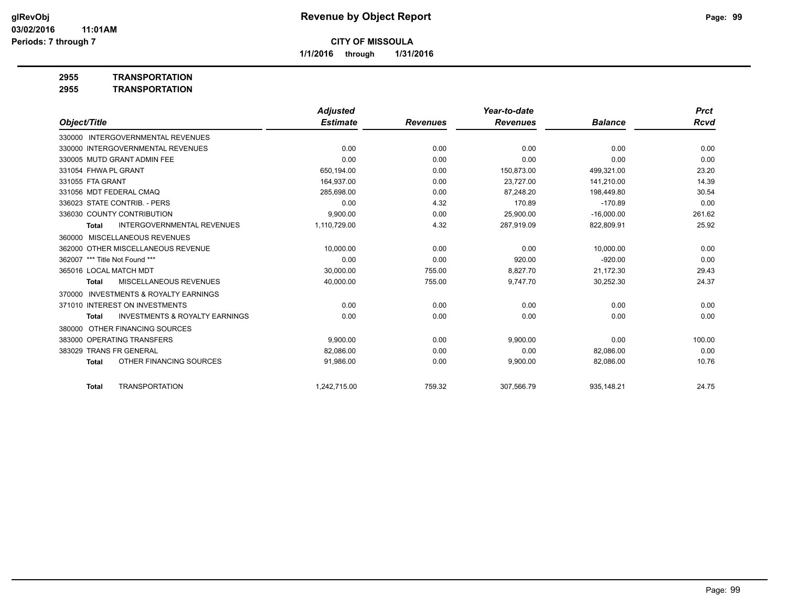**1/1/2016 through 1/31/2016**

**2955 TRANSPORTATION**

**2955 TRANSPORTATION**

|                                                     | <b>Adjusted</b> |                 | Year-to-date    |                | <b>Prct</b> |
|-----------------------------------------------------|-----------------|-----------------|-----------------|----------------|-------------|
| Object/Title                                        | <b>Estimate</b> | <b>Revenues</b> | <b>Revenues</b> | <b>Balance</b> | <b>Rcvd</b> |
| 330000 INTERGOVERNMENTAL REVENUES                   |                 |                 |                 |                |             |
| 330000 INTERGOVERNMENTAL REVENUES                   | 0.00            | 0.00            | 0.00            | 0.00           | 0.00        |
| 330005 MUTD GRANT ADMIN FEE                         | 0.00            | 0.00            | 0.00            | 0.00           | 0.00        |
| 331054 FHWA PL GRANT                                | 650,194.00      | 0.00            | 150,873.00      | 499,321.00     | 23.20       |
| 331055 FTA GRANT                                    | 164,937.00      | 0.00            | 23,727.00       | 141,210.00     | 14.39       |
| 331056 MDT FEDERAL CMAQ                             | 285.698.00      | 0.00            | 87.248.20       | 198.449.80     | 30.54       |
| 336023 STATE CONTRIB. - PERS                        | 0.00            | 4.32            | 170.89          | $-170.89$      | 0.00        |
| 336030 COUNTY CONTRIBUTION                          | 9,900.00        | 0.00            | 25,900.00       | $-16,000.00$   | 261.62      |
| <b>INTERGOVERNMENTAL REVENUES</b><br><b>Total</b>   | 1,110,729.00    | 4.32            | 287,919.09      | 822,809.91     | 25.92       |
| MISCELLANEOUS REVENUES<br>360000                    |                 |                 |                 |                |             |
| 362000 OTHER MISCELLANEOUS REVENUE                  | 10,000.00       | 0.00            | 0.00            | 10,000.00      | 0.00        |
| 362007 *** Title Not Found ***                      | 0.00            | 0.00            | 920.00          | $-920.00$      | 0.00        |
| 365016 LOCAL MATCH MDT                              | 30,000.00       | 755.00          | 8,827.70        | 21,172.30      | 29.43       |
| MISCELLANEOUS REVENUES<br><b>Total</b>              | 40,000.00       | 755.00          | 9,747.70        | 30,252.30      | 24.37       |
| <b>INVESTMENTS &amp; ROYALTY EARNINGS</b><br>370000 |                 |                 |                 |                |             |
| 371010 INTEREST ON INVESTMENTS                      | 0.00            | 0.00            | 0.00            | 0.00           | 0.00        |
| <b>INVESTMENTS &amp; ROYALTY EARNINGS</b><br>Total  | 0.00            | 0.00            | 0.00            | 0.00           | 0.00        |
| OTHER FINANCING SOURCES<br>380000                   |                 |                 |                 |                |             |
| 383000 OPERATING TRANSFERS                          | 9.900.00        | 0.00            | 9,900.00        | 0.00           | 100.00      |
| <b>TRANS FR GENERAL</b><br>383029                   | 82,086.00       | 0.00            | 0.00            | 82,086.00      | 0.00        |
| OTHER FINANCING SOURCES<br><b>Total</b>             | 91,986.00       | 0.00            | 9,900.00        | 82,086.00      | 10.76       |
|                                                     |                 |                 |                 |                |             |
| <b>TRANSPORTATION</b><br><b>Total</b>               | 1.242.715.00    | 759.32          | 307,566.79      | 935,148.21     | 24.75       |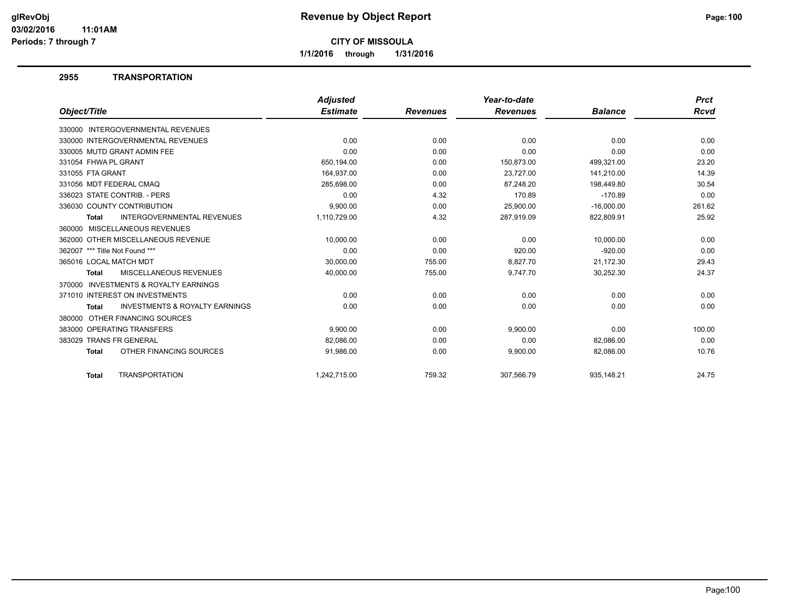**1/1/2016 through 1/31/2016**

#### **2955 TRANSPORTATION**

|                                                           | <b>Adjusted</b> |                 | Year-to-date    |                | <b>Prct</b> |
|-----------------------------------------------------------|-----------------|-----------------|-----------------|----------------|-------------|
| Object/Title                                              | <b>Estimate</b> | <b>Revenues</b> | <b>Revenues</b> | <b>Balance</b> | <b>Rcvd</b> |
| 330000 INTERGOVERNMENTAL REVENUES                         |                 |                 |                 |                |             |
| 330000 INTERGOVERNMENTAL REVENUES                         | 0.00            | 0.00            | 0.00            | 0.00           | 0.00        |
| 330005 MUTD GRANT ADMIN FEE                               | 0.00            | 0.00            | 0.00            | 0.00           | 0.00        |
| 331054 FHWA PL GRANT                                      | 650,194.00      | 0.00            | 150.873.00      | 499,321.00     | 23.20       |
| 331055 FTA GRANT                                          | 164,937.00      | 0.00            | 23,727.00       | 141,210.00     | 14.39       |
| 331056 MDT FEDERAL CMAQ                                   | 285,698.00      | 0.00            | 87,248.20       | 198,449.80     | 30.54       |
| 336023 STATE CONTRIB. - PERS                              | 0.00            | 4.32            | 170.89          | $-170.89$      | 0.00        |
| 336030 COUNTY CONTRIBUTION                                | 9,900.00        | 0.00            | 25,900.00       | $-16,000.00$   | 261.62      |
| <b>INTERGOVERNMENTAL REVENUES</b><br><b>Total</b>         | 1,110,729.00    | 4.32            | 287,919.09      | 822,809.91     | 25.92       |
| 360000 MISCELLANEOUS REVENUES                             |                 |                 |                 |                |             |
| 362000 OTHER MISCELLANEOUS REVENUE                        | 10,000.00       | 0.00            | 0.00            | 10,000.00      | 0.00        |
| 362007 *** Title Not Found ***                            | 0.00            | 0.00            | 920.00          | $-920.00$      | 0.00        |
| 365016 LOCAL MATCH MDT                                    | 30,000.00       | 755.00          | 8,827.70        | 21,172.30      | 29.43       |
| MISCELLANEOUS REVENUES<br><b>Total</b>                    | 40,000.00       | 755.00          | 9,747.70        | 30,252.30      | 24.37       |
| 370000 INVESTMENTS & ROYALTY EARNINGS                     |                 |                 |                 |                |             |
| 371010 INTEREST ON INVESTMENTS                            | 0.00            | 0.00            | 0.00            | 0.00           | 0.00        |
| <b>INVESTMENTS &amp; ROYALTY EARNINGS</b><br><b>Total</b> | 0.00            | 0.00            | 0.00            | 0.00           | 0.00        |
| 380000 OTHER FINANCING SOURCES                            |                 |                 |                 |                |             |
| 383000 OPERATING TRANSFERS                                | 9,900.00        | 0.00            | 9,900.00        | 0.00           | 100.00      |
| 383029 TRANS FR GENERAL                                   | 82,086.00       | 0.00            | 0.00            | 82,086.00      | 0.00        |
| OTHER FINANCING SOURCES<br><b>Total</b>                   | 91,986.00       | 0.00            | 9,900.00        | 82,086.00      | 10.76       |
| <b>TRANSPORTATION</b><br><b>Total</b>                     | 1.242.715.00    | 759.32          | 307.566.79      | 935.148.21     | 24.75       |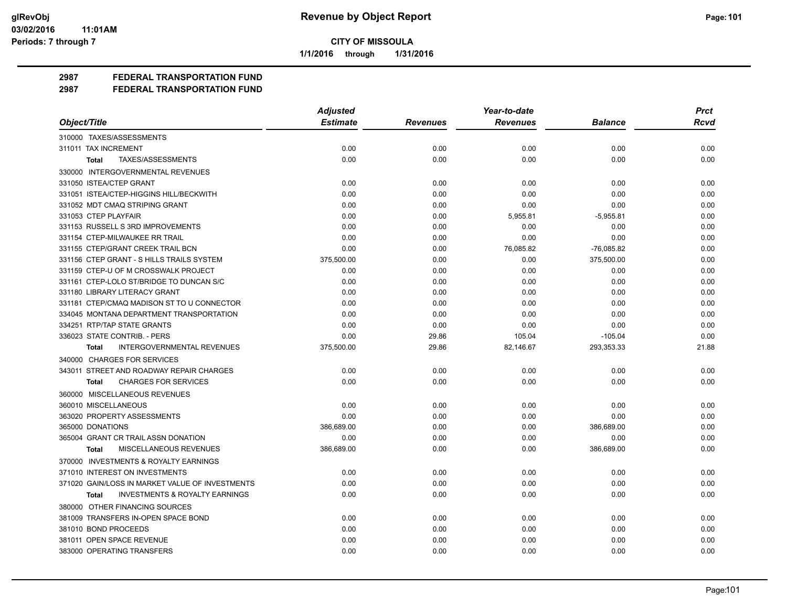**1/1/2016 through 1/31/2016**

**2987 FEDERAL TRANSPORTATION FUND**

|                                                           | <b>Adjusted</b> |                 | Year-to-date    |                | <b>Prct</b> |
|-----------------------------------------------------------|-----------------|-----------------|-----------------|----------------|-------------|
| Object/Title                                              | <b>Estimate</b> | <b>Revenues</b> | <b>Revenues</b> | <b>Balance</b> | Rcvd        |
| 310000 TAXES/ASSESSMENTS                                  |                 |                 |                 |                |             |
| 311011 TAX INCREMENT                                      | 0.00            | 0.00            | 0.00            | 0.00           | 0.00        |
| TAXES/ASSESSMENTS<br><b>Total</b>                         | 0.00            | 0.00            | 0.00            | 0.00           | 0.00        |
| 330000 INTERGOVERNMENTAL REVENUES                         |                 |                 |                 |                |             |
| 331050 ISTEA/CTEP GRANT                                   | 0.00            | 0.00            | 0.00            | 0.00           | 0.00        |
| 331051 ISTEA/CTEP-HIGGINS HILL/BECKWITH                   | 0.00            | 0.00            | 0.00            | 0.00           | 0.00        |
| 331052 MDT CMAQ STRIPING GRANT                            | 0.00            | 0.00            | 0.00            | 0.00           | 0.00        |
| 331053 CTEP PLAYFAIR                                      | 0.00            | 0.00            | 5,955.81        | $-5,955.81$    | 0.00        |
| 331153 RUSSELL S 3RD IMPROVEMENTS                         | 0.00            | 0.00            | 0.00            | 0.00           | 0.00        |
| 331154 CTEP-MILWAUKEE RR TRAIL                            | 0.00            | 0.00            | 0.00            | 0.00           | 0.00        |
| 331155 CTEP/GRANT CREEK TRAIL BCN                         | 0.00            | 0.00            | 76,085.82       | $-76,085.82$   | 0.00        |
| 331156 CTEP GRANT - S HILLS TRAILS SYSTEM                 | 375,500.00      | 0.00            | 0.00            | 375,500.00     | 0.00        |
| 331159 CTEP-U OF M CROSSWALK PROJECT                      | 0.00            | 0.00            | 0.00            | 0.00           | 0.00        |
| 331161 CTEP-LOLO ST/BRIDGE TO DUNCAN S/C                  | 0.00            | 0.00            | 0.00            | 0.00           | 0.00        |
| 331180 LIBRARY LITERACY GRANT                             | 0.00            | 0.00            | 0.00            | 0.00           | 0.00        |
| 331181 CTEP/CMAQ MADISON ST TO U CONNECTOR                | 0.00            | 0.00            | 0.00            | 0.00           | 0.00        |
| 334045 MONTANA DEPARTMENT TRANSPORTATION                  | 0.00            | 0.00            | 0.00            | 0.00           | 0.00        |
| 334251 RTP/TAP STATE GRANTS                               | 0.00            | 0.00            | 0.00            | 0.00           | 0.00        |
| 336023 STATE CONTRIB. - PERS                              | 0.00            | 29.86           | 105.04          | $-105.04$      | 0.00        |
| <b>INTERGOVERNMENTAL REVENUES</b><br><b>Total</b>         | 375,500.00      | 29.86           | 82,146.67       | 293,353.33     | 21.88       |
| 340000 CHARGES FOR SERVICES                               |                 |                 |                 |                |             |
| 343011 STREET AND ROADWAY REPAIR CHARGES                  | 0.00            | 0.00            | 0.00            | 0.00           | 0.00        |
| <b>CHARGES FOR SERVICES</b><br>Total                      | 0.00            | 0.00            | 0.00            | 0.00           | 0.00        |
| 360000 MISCELLANEOUS REVENUES                             |                 |                 |                 |                |             |
| 360010 MISCELLANEOUS                                      | 0.00            | 0.00            | 0.00            | 0.00           | 0.00        |
| 363020 PROPERTY ASSESSMENTS                               | 0.00            | 0.00            | 0.00            | 0.00           | 0.00        |
| 365000 DONATIONS                                          | 386,689.00      | 0.00            | 0.00            | 386,689.00     | 0.00        |
| 365004 GRANT CR TRAIL ASSN DONATION                       | 0.00            | 0.00            | 0.00            | 0.00           | 0.00        |
| MISCELLANEOUS REVENUES<br><b>Total</b>                    | 386,689.00      | 0.00            | 0.00            | 386,689.00     | 0.00        |
| 370000 INVESTMENTS & ROYALTY EARNINGS                     |                 |                 |                 |                |             |
| 371010 INTEREST ON INVESTMENTS                            | 0.00            | 0.00            | 0.00            | 0.00           | 0.00        |
| 371020 GAIN/LOSS IN MARKET VALUE OF INVESTMENTS           | 0.00            | 0.00            | 0.00            | 0.00           | 0.00        |
| <b>INVESTMENTS &amp; ROYALTY EARNINGS</b><br><b>Total</b> | 0.00            | 0.00            | 0.00            | 0.00           | 0.00        |
| 380000 OTHER FINANCING SOURCES                            |                 |                 |                 |                |             |
| 381009 TRANSFERS IN-OPEN SPACE BOND                       | 0.00            | 0.00            | 0.00            | 0.00           | 0.00        |
| 381010 BOND PROCEEDS                                      | 0.00            | 0.00            | 0.00            | 0.00           | 0.00        |
| 381011 OPEN SPACE REVENUE                                 | 0.00            | 0.00            | 0.00            | 0.00           | 0.00        |
| 383000 OPERATING TRANSFERS                                | 0.00            | 0.00            | 0.00            | 0.00           | 0.00        |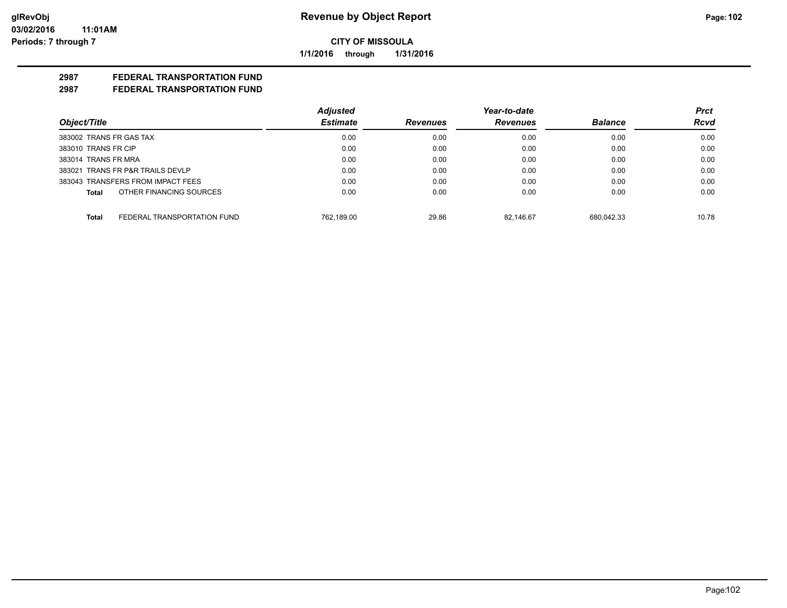**1/1/2016 through 1/31/2016**

# **2987 FEDERAL TRANSPORTATION FUND**

|                                      | <b>Adjusted</b> |                 | Year-to-date |                | <b>Prct</b> |
|--------------------------------------|-----------------|-----------------|--------------|----------------|-------------|
| Object/Title                         | <b>Estimate</b> | <b>Revenues</b> | Revenues     | <b>Balance</b> | Rcvd        |
| 383002 TRANS FR GAS TAX              | 0.00            | 0.00            | 0.00         | 0.00           | 0.00        |
| 383010 TRANS FR CIP                  | 0.00            | 0.00            | 0.00         | 0.00           | 0.00        |
| 383014 TRANS FR MRA                  | 0.00            | 0.00            | 0.00         | 0.00           | 0.00        |
| 383021 TRANS FR P&R TRAILS DEVLP     | 0.00            | 0.00            | 0.00         | 0.00           | 0.00        |
| 383043 TRANSFERS FROM IMPACT FEES    | 0.00            | 0.00            | 0.00         | 0.00           | 0.00        |
| OTHER FINANCING SOURCES<br>Total     | 0.00            | 0.00            | 0.00         | 0.00           | 0.00        |
| FEDERAL TRANSPORTATION FUND<br>Total | 762.189.00      | 29.86           | 82.146.67    | 680.042.33     | 10.78       |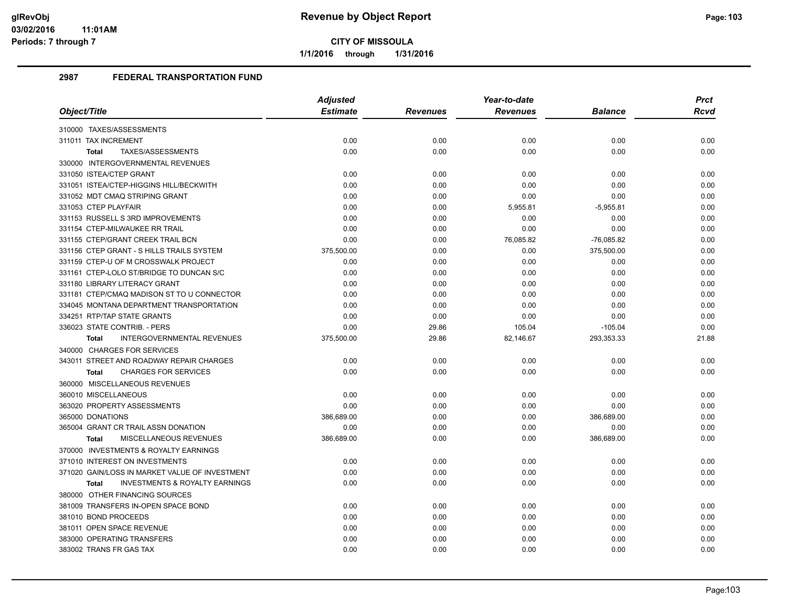**1/1/2016 through 1/31/2016**

|                                                    | <b>Adjusted</b> |                 | Year-to-date    |              | <b>Prct</b> |
|----------------------------------------------------|-----------------|-----------------|-----------------|--------------|-------------|
| Object/Title                                       | <b>Estimate</b> | <b>Revenues</b> | <b>Revenues</b> | Balance      | Rcvd        |
| 310000 TAXES/ASSESSMENTS                           |                 |                 |                 |              |             |
| 311011 TAX INCREMENT                               | 0.00            | 0.00            | 0.00            | 0.00         | 0.00        |
| TAXES/ASSESSMENTS<br><b>Total</b>                  | 0.00            | 0.00            | 0.00            | 0.00         | 0.00        |
| 330000 INTERGOVERNMENTAL REVENUES                  |                 |                 |                 |              |             |
| 331050 ISTEA/CTEP GRANT                            | 0.00            | 0.00            | 0.00            | 0.00         | 0.00        |
| 331051 ISTEA/CTEP-HIGGINS HILL/BECKWITH            | 0.00            | 0.00            | 0.00            | 0.00         | 0.00        |
| 331052 MDT CMAQ STRIPING GRANT                     | 0.00            | 0.00            | 0.00            | 0.00         | 0.00        |
| 331053 CTEP PLAYFAIR                               | 0.00            | 0.00            | 5,955.81        | $-5,955.81$  | 0.00        |
| 331153 RUSSELL S 3RD IMPROVEMENTS                  | 0.00            | 0.00            | 0.00            | 0.00         | 0.00        |
| 331154 CTEP-MILWAUKEE RR TRAIL                     | 0.00            | 0.00            | 0.00            | 0.00         | 0.00        |
| 331155 CTEP/GRANT CREEK TRAIL BCN                  | 0.00            | 0.00            | 76,085.82       | $-76,085.82$ | 0.00        |
| 331156 CTEP GRANT - S HILLS TRAILS SYSTEM          | 375,500.00      | 0.00            | 0.00            | 375,500.00   | 0.00        |
| 331159 CTEP-U OF M CROSSWALK PROJECT               | 0.00            | 0.00            | 0.00            | 0.00         | 0.00        |
| 331161 CTEP-LOLO ST/BRIDGE TO DUNCAN S/C           | 0.00            | 0.00            | 0.00            | 0.00         | 0.00        |
| 331180 LIBRARY LITERACY GRANT                      | 0.00            | 0.00            | 0.00            | 0.00         | 0.00        |
| 331181 CTEP/CMAQ MADISON ST TO U CONNECTOR         | 0.00            | 0.00            | 0.00            | 0.00         | 0.00        |
| 334045 MONTANA DEPARTMENT TRANSPORTATION           | 0.00            | 0.00            | 0.00            | 0.00         | 0.00        |
| 334251 RTP/TAP STATE GRANTS                        | 0.00            | 0.00            | 0.00            | 0.00         | 0.00        |
| 336023 STATE CONTRIB. - PERS                       | 0.00            | 29.86           | 105.04          | $-105.04$    | 0.00        |
| INTERGOVERNMENTAL REVENUES<br><b>Total</b>         | 375,500.00      | 29.86           | 82,146.67       | 293,353.33   | 21.88       |
| 340000 CHARGES FOR SERVICES                        |                 |                 |                 |              |             |
| 343011 STREET AND ROADWAY REPAIR CHARGES           | 0.00            | 0.00            | 0.00            | 0.00         | 0.00        |
| <b>CHARGES FOR SERVICES</b><br><b>Total</b>        | 0.00            | 0.00            | 0.00            | 0.00         | 0.00        |
| 360000 MISCELLANEOUS REVENUES                      |                 |                 |                 |              |             |
| 360010 MISCELLANEOUS                               | 0.00            | 0.00            | 0.00            | 0.00         | 0.00        |
| 363020 PROPERTY ASSESSMENTS                        | 0.00            | 0.00            | 0.00            | 0.00         | 0.00        |
| 365000 DONATIONS                                   | 386,689.00      | 0.00            | 0.00            | 386,689.00   | 0.00        |
| 365004 GRANT CR TRAIL ASSN DONATION                | 0.00            | 0.00            | 0.00            | 0.00         | 0.00        |
| MISCELLANEOUS REVENUES<br><b>Total</b>             | 386,689.00      | 0.00            | 0.00            | 386,689.00   | 0.00        |
| 370000 INVESTMENTS & ROYALTY EARNINGS              |                 |                 |                 |              |             |
| 371010 INTEREST ON INVESTMENTS                     | 0.00            | 0.00            | 0.00            | 0.00         | 0.00        |
| 371020 GAIN/LOSS IN MARKET VALUE OF INVESTMENT     | 0.00            | 0.00            | 0.00            | 0.00         | 0.00        |
| <b>INVESTMENTS &amp; ROYALTY EARNINGS</b><br>Total | 0.00            | 0.00            | 0.00            | 0.00         | 0.00        |
| 380000 OTHER FINANCING SOURCES                     |                 |                 |                 |              |             |
| 381009 TRANSFERS IN-OPEN SPACE BOND                | 0.00            | 0.00            | 0.00            | 0.00         | 0.00        |
| 381010 BOND PROCEEDS                               | 0.00            | 0.00            | 0.00            | 0.00         | 0.00        |
| 381011 OPEN SPACE REVENUE                          | 0.00            | 0.00            | 0.00            | 0.00         | 0.00        |
| 383000 OPERATING TRANSFERS                         | 0.00            | 0.00            | 0.00            | 0.00         | 0.00        |
| 383002 TRANS FR GAS TAX                            | 0.00            | 0.00            | 0.00            | 0.00         | 0.00        |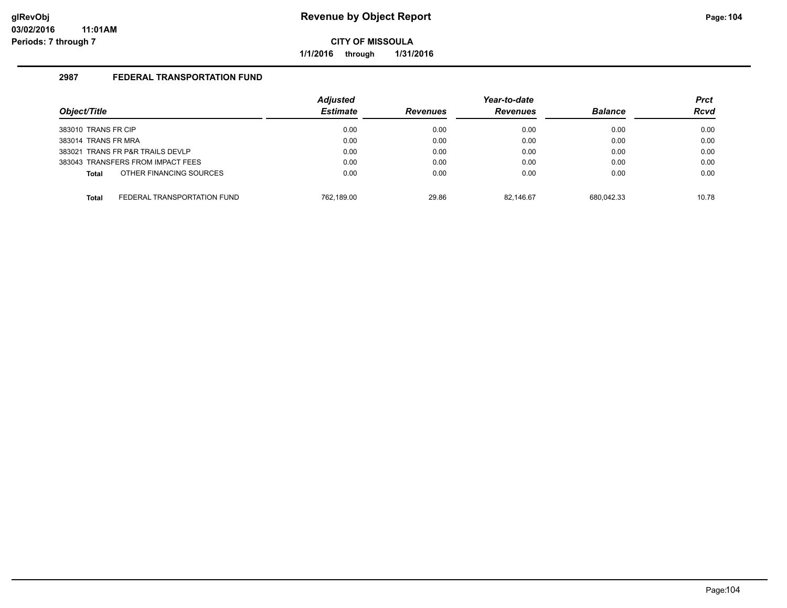**1/1/2016 through 1/31/2016**

| Object/Title                      |                             | <b>Adjusted</b><br><b>Estimate</b> | <b>Revenues</b> | Year-to-date<br><b>Revenues</b> | <b>Balance</b> | <b>Prct</b><br><b>Rcvd</b> |
|-----------------------------------|-----------------------------|------------------------------------|-----------------|---------------------------------|----------------|----------------------------|
| 383010 TRANS FR CIP               |                             | 0.00                               | 0.00            | 0.00                            | 0.00           | 0.00                       |
| 383014 TRANS FR MRA               |                             | 0.00                               | 0.00            | 0.00                            | 0.00           | 0.00                       |
| 383021 TRANS FR P&R TRAILS DEVLP  |                             | 0.00                               | 0.00            | 0.00                            | 0.00           | 0.00                       |
| 383043 TRANSFERS FROM IMPACT FEES |                             | 0.00                               | 0.00            | 0.00                            | 0.00           | 0.00                       |
| <b>Total</b>                      | OTHER FINANCING SOURCES     | 0.00                               | 0.00            | 0.00                            | 0.00           | 0.00                       |
| Total                             | FEDERAL TRANSPORTATION FUND | 762.189.00                         | 29.86           | 82.146.67                       | 680.042.33     | 10.78                      |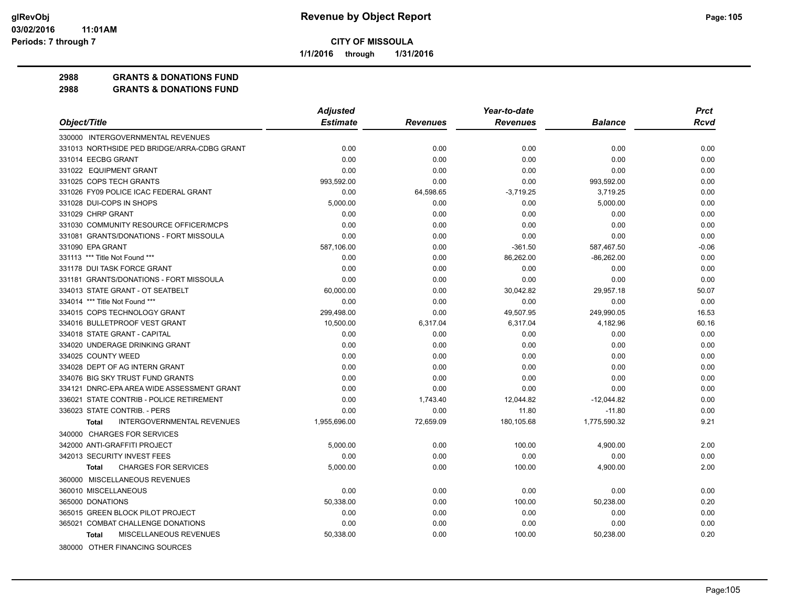**1/1/2016 through 1/31/2016**

**2988 GRANTS & DONATIONS FUND**

|                                                   | <b>Adjusted</b> |                 | Year-to-date    | <b>Prct</b>    |         |
|---------------------------------------------------|-----------------|-----------------|-----------------|----------------|---------|
| Object/Title                                      | <b>Estimate</b> | <b>Revenues</b> | <b>Revenues</b> | <b>Balance</b> | Rcvd    |
| 330000 INTERGOVERNMENTAL REVENUES                 |                 |                 |                 |                |         |
| 331013 NORTHSIDE PED BRIDGE/ARRA-CDBG GRANT       | 0.00            | 0.00            | 0.00            | 0.00           | 0.00    |
| 331014 EECBG GRANT                                | 0.00            | 0.00            | 0.00            | 0.00           | 0.00    |
| 331022 EQUIPMENT GRANT                            | 0.00            | 0.00            | 0.00            | 0.00           | 0.00    |
| 331025 COPS TECH GRANTS                           | 993,592.00      | 0.00            | 0.00            | 993,592.00     | 0.00    |
| 331026 FY09 POLICE ICAC FEDERAL GRANT             | 0.00            | 64,598.65       | $-3,719.25$     | 3,719.25       | 0.00    |
| 331028 DUI-COPS IN SHOPS                          | 5,000.00        | 0.00            | 0.00            | 5,000.00       | 0.00    |
| 331029 CHRP GRANT                                 | 0.00            | 0.00            | 0.00            | 0.00           | 0.00    |
| 331030 COMMUNITY RESOURCE OFFICER/MCPS            | 0.00            | 0.00            | 0.00            | 0.00           | 0.00    |
| 331081 GRANTS/DONATIONS - FORT MISSOULA           | 0.00            | 0.00            | 0.00            | 0.00           | 0.00    |
| 331090 EPA GRANT                                  | 587,106.00      | 0.00            | -361.50         | 587,467.50     | $-0.06$ |
| 331113 *** Title Not Found ***                    | 0.00            | 0.00            | 86,262.00       | $-86,262.00$   | 0.00    |
| 331178 DUI TASK FORCE GRANT                       | 0.00            | 0.00            | 0.00            | 0.00           | 0.00    |
| 331181 GRANTS/DONATIONS - FORT MISSOULA           | 0.00            | 0.00            | 0.00            | 0.00           | 0.00    |
| 334013 STATE GRANT - OT SEATBELT                  | 60,000.00       | 0.00            | 30,042.82       | 29,957.18      | 50.07   |
| 334014 *** Title Not Found ***                    | 0.00            | 0.00            | 0.00            | 0.00           | 0.00    |
| 334015 COPS TECHNOLOGY GRANT                      | 299,498.00      | 0.00            | 49,507.95       | 249,990.05     | 16.53   |
| 334016 BULLETPROOF VEST GRANT                     | 10,500.00       | 6,317.04        | 6,317.04        | 4,182.96       | 60.16   |
| 334018 STATE GRANT - CAPITAL                      | 0.00            | 0.00            | 0.00            | 0.00           | 0.00    |
| 334020 UNDERAGE DRINKING GRANT                    | 0.00            | 0.00            | 0.00            | 0.00           | 0.00    |
| 334025 COUNTY WEED                                | 0.00            | 0.00            | 0.00            | 0.00           | 0.00    |
| 334028 DEPT OF AG INTERN GRANT                    | 0.00            | 0.00            | 0.00            | 0.00           | 0.00    |
| 334076 BIG SKY TRUST FUND GRANTS                  | 0.00            | 0.00            | 0.00            | 0.00           | 0.00    |
| 334121 DNRC-EPA AREA WIDE ASSESSMENT GRANT        | 0.00            | 0.00            | 0.00            | 0.00           | 0.00    |
| 336021 STATE CONTRIB - POLICE RETIREMENT          | 0.00            | 1,743.40        | 12,044.82       | $-12,044.82$   | 0.00    |
| 336023 STATE CONTRIB. - PERS                      | 0.00            | 0.00            | 11.80           | $-11.80$       | 0.00    |
| <b>INTERGOVERNMENTAL REVENUES</b><br><b>Total</b> | 1,955,696.00    | 72,659.09       | 180,105.68      | 1,775,590.32   | 9.21    |
| 340000 CHARGES FOR SERVICES                       |                 |                 |                 |                |         |
| 342000 ANTI-GRAFFITI PROJECT                      | 5,000.00        | 0.00            | 100.00          | 4,900.00       | 2.00    |
| 342013 SECURITY INVEST FEES                       | 0.00            | 0.00            | 0.00            | 0.00           | 0.00    |
| <b>CHARGES FOR SERVICES</b><br><b>Total</b>       | 5,000.00        | 0.00            | 100.00          | 4,900.00       | 2.00    |
| 360000 MISCELLANEOUS REVENUES                     |                 |                 |                 |                |         |
| 360010 MISCELLANEOUS                              | 0.00            | 0.00            | 0.00            | 0.00           | 0.00    |
| 365000 DONATIONS                                  | 50,338.00       | 0.00            | 100.00          | 50,238.00      | 0.20    |
| 365015 GREEN BLOCK PILOT PROJECT                  | 0.00            | 0.00            | 0.00            | 0.00           | 0.00    |
| 365021 COMBAT CHALLENGE DONATIONS                 | 0.00            | 0.00            | 0.00            | 0.00           | 0.00    |
| MISCELLANEOUS REVENUES<br>Total                   | 50,338.00       | 0.00            | 100.00          | 50,238.00      | 0.20    |
| 380000 OTHER FINANCING SOURCES                    |                 |                 |                 |                |         |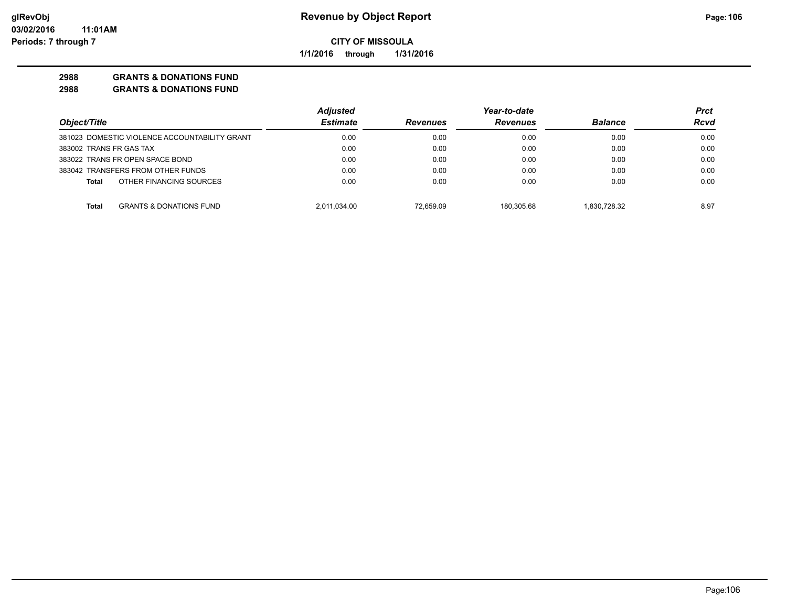**1/1/2016 through 1/31/2016**

### **2988 GRANTS & DONATIONS FUND**

|                                               | <b>Adjusted</b> |                 | Year-to-date    |                | Prct |
|-----------------------------------------------|-----------------|-----------------|-----------------|----------------|------|
| Object/Title                                  | <b>Estimate</b> | <b>Revenues</b> | <b>Revenues</b> | <b>Balance</b> | Rcvd |
| 381023 DOMESTIC VIOLENCE ACCOUNTABILITY GRANT | 0.00            | 0.00            | 0.00            | 0.00           | 0.00 |
| 383002 TRANS FR GAS TAX                       | 0.00            | 0.00            | 0.00            | 0.00           | 0.00 |
| 383022 TRANS FR OPEN SPACE BOND               | 0.00            | 0.00            | 0.00            | 0.00           | 0.00 |
| 383042 TRANSFERS FROM OTHER FUNDS             | 0.00            | 0.00            | 0.00            | 0.00           | 0.00 |
| OTHER FINANCING SOURCES<br>Total              | 0.00            | 0.00            | 0.00            | 0.00           | 0.00 |
| <b>GRANTS &amp; DONATIONS FUND</b><br>Total   | 2,011,034.00    | 72.659.09       | 180.305.68      | 1.830.728.32   | 8.97 |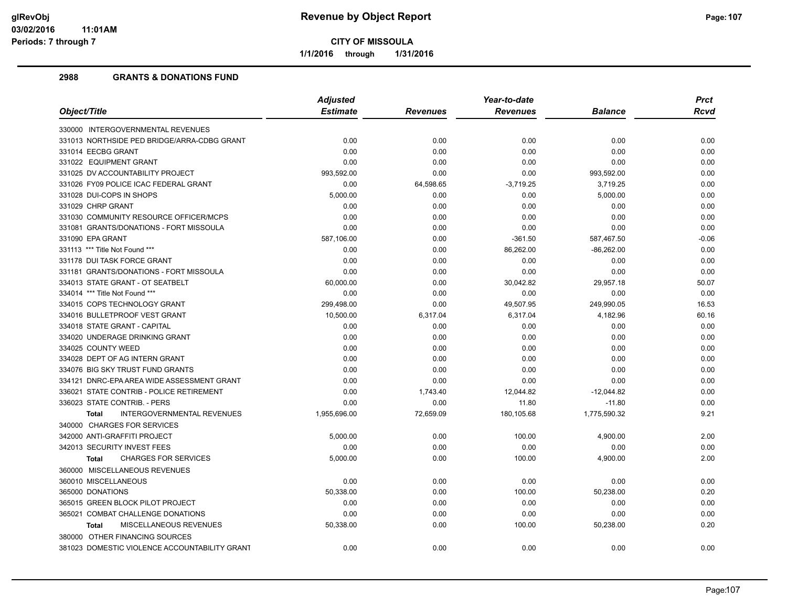**1/1/2016 through 1/31/2016**

|                                                   | <b>Adjusted</b> |           | Year-to-date    |                | <b>Prct</b> |
|---------------------------------------------------|-----------------|-----------|-----------------|----------------|-------------|
| Object/Title                                      | <b>Estimate</b> | Revenues  | <b>Revenues</b> | <b>Balance</b> | <b>Rcvd</b> |
| 330000 INTERGOVERNMENTAL REVENUES                 |                 |           |                 |                |             |
| 331013 NORTHSIDE PED BRIDGE/ARRA-CDBG GRANT       | 0.00            | 0.00      | 0.00            | 0.00           | 0.00        |
| 331014 EECBG GRANT                                | 0.00            | 0.00      | 0.00            | 0.00           | 0.00        |
| 331022 EQUIPMENT GRANT                            | 0.00            | 0.00      | 0.00            | 0.00           | 0.00        |
| 331025 DV ACCOUNTABILITY PROJECT                  | 993,592.00      | 0.00      | 0.00            | 993,592.00     | 0.00        |
| 331026 FY09 POLICE ICAC FEDERAL GRANT             | 0.00            | 64,598.65 | $-3,719.25$     | 3,719.25       | 0.00        |
| 331028 DUI-COPS IN SHOPS                          | 5,000.00        | 0.00      | 0.00            | 5,000.00       | 0.00        |
| 331029 CHRP GRANT                                 | 0.00            | 0.00      | 0.00            | 0.00           | 0.00        |
| 331030 COMMUNITY RESOURCE OFFICER/MCPS            | 0.00            | 0.00      | 0.00            | 0.00           | 0.00        |
| 331081 GRANTS/DONATIONS - FORT MISSOULA           | 0.00            | 0.00      | 0.00            | 0.00           | 0.00        |
| 331090 EPA GRANT                                  | 587,106.00      | 0.00      | $-361.50$       | 587,467.50     | $-0.06$     |
| 331113 *** Title Not Found ***                    | 0.00            | 0.00      | 86,262.00       | $-86,262.00$   | 0.00        |
| 331178 DUI TASK FORCE GRANT                       | 0.00            | 0.00      | 0.00            | 0.00           | 0.00        |
| 331181 GRANTS/DONATIONS - FORT MISSOULA           | 0.00            | 0.00      | 0.00            | 0.00           | 0.00        |
| 334013 STATE GRANT - OT SEATBELT                  | 60,000.00       | 0.00      | 30,042.82       | 29,957.18      | 50.07       |
| 334014 *** Title Not Found ***                    | 0.00            | 0.00      | 0.00            | 0.00           | 0.00        |
| 334015 COPS TECHNOLOGY GRANT                      | 299,498.00      | 0.00      | 49,507.95       | 249,990.05     | 16.53       |
| 334016 BULLETPROOF VEST GRANT                     | 10,500.00       | 6,317.04  | 6,317.04        | 4,182.96       | 60.16       |
| 334018 STATE GRANT - CAPITAL                      | 0.00            | 0.00      | 0.00            | 0.00           | 0.00        |
| 334020 UNDERAGE DRINKING GRANT                    | 0.00            | 0.00      | 0.00            | 0.00           | 0.00        |
| 334025 COUNTY WEED                                | 0.00            | 0.00      | 0.00            | 0.00           | 0.00        |
| 334028 DEPT OF AG INTERN GRANT                    | 0.00            | 0.00      | 0.00            | 0.00           | 0.00        |
| 334076 BIG SKY TRUST FUND GRANTS                  | 0.00            | 0.00      | 0.00            | 0.00           | 0.00        |
| 334121 DNRC-EPA AREA WIDE ASSESSMENT GRANT        | 0.00            | 0.00      | 0.00            | 0.00           | 0.00        |
| 336021 STATE CONTRIB - POLICE RETIREMENT          | 0.00            | 1,743.40  | 12,044.82       | $-12,044.82$   | 0.00        |
| 336023 STATE CONTRIB. - PERS                      | 0.00            | 0.00      | 11.80           | $-11.80$       | 0.00        |
| <b>INTERGOVERNMENTAL REVENUES</b><br><b>Total</b> | 1,955,696.00    | 72,659.09 | 180,105.68      | 1,775,590.32   | 9.21        |
| 340000 CHARGES FOR SERVICES                       |                 |           |                 |                |             |
| 342000 ANTI-GRAFFITI PROJECT                      | 5,000.00        | 0.00      | 100.00          | 4,900.00       | 2.00        |
| 342013 SECURITY INVEST FEES                       | 0.00            | 0.00      | 0.00            | 0.00           | 0.00        |
| <b>CHARGES FOR SERVICES</b><br><b>Total</b>       | 5,000.00        | 0.00      | 100.00          | 4,900.00       | 2.00        |
| 360000 MISCELLANEOUS REVENUES                     |                 |           |                 |                |             |
| 360010 MISCELLANEOUS                              | 0.00            | 0.00      | 0.00            | 0.00           | 0.00        |
| 365000 DONATIONS                                  | 50,338.00       | 0.00      | 100.00          | 50,238.00      | 0.20        |
| 365015 GREEN BLOCK PILOT PROJECT                  | 0.00            | 0.00      | 0.00            | 0.00           | 0.00        |
| 365021 COMBAT CHALLENGE DONATIONS                 | 0.00            | 0.00      | 0.00            | 0.00           | 0.00        |
| <b>MISCELLANEOUS REVENUES</b><br><b>Total</b>     | 50,338.00       | 0.00      | 100.00          | 50,238.00      | 0.20        |
| 380000 OTHER FINANCING SOURCES                    |                 |           |                 |                |             |
| 381023 DOMESTIC VIOLENCE ACCOUNTABILITY GRANT     | 0.00            | 0.00      | 0.00            | 0.00           | 0.00        |
|                                                   |                 |           |                 |                |             |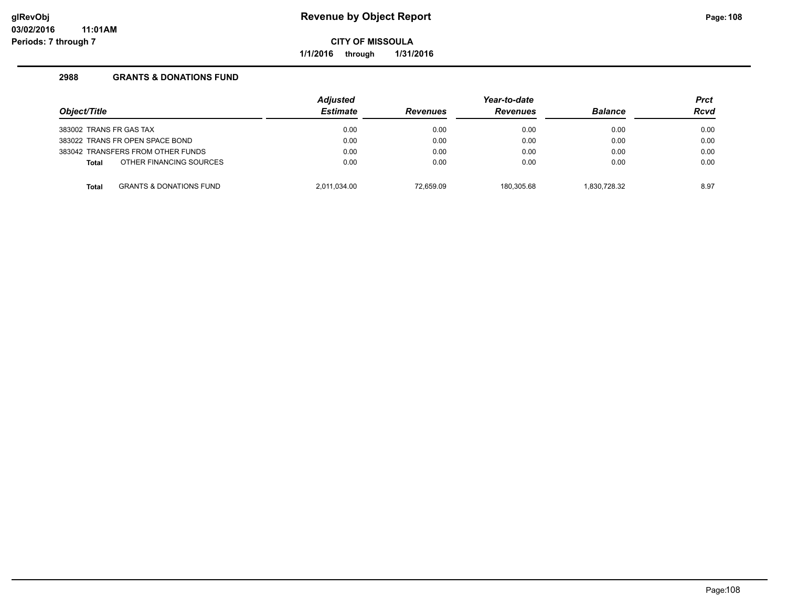**1/1/2016 through 1/31/2016**

| Object/Title            |                                    | <b>Adjusted</b><br><b>Estimate</b> | <b>Revenues</b> | Year-to-date<br><b>Revenues</b> | <b>Balance</b> | <b>Prct</b><br><b>Rcvd</b> |
|-------------------------|------------------------------------|------------------------------------|-----------------|---------------------------------|----------------|----------------------------|
|                         |                                    |                                    |                 |                                 |                |                            |
| 383002 TRANS FR GAS TAX |                                    | 0.00                               | 0.00            | 0.00                            | 0.00           | 0.00                       |
|                         | 383022 TRANS FR OPEN SPACE BOND    | 0.00                               | 0.00            | 0.00                            | 0.00           | 0.00                       |
|                         | 383042 TRANSFERS FROM OTHER FUNDS  | 0.00                               | 0.00            | 0.00                            | 0.00           | 0.00                       |
| Total                   | OTHER FINANCING SOURCES            | 0.00                               | 0.00            | 0.00                            | 0.00           | 0.00                       |
| <b>Total</b>            | <b>GRANTS &amp; DONATIONS FUND</b> | 2.011.034.00                       | 72.659.09       | 180.305.68                      | 1.830.728.32   | 8.97                       |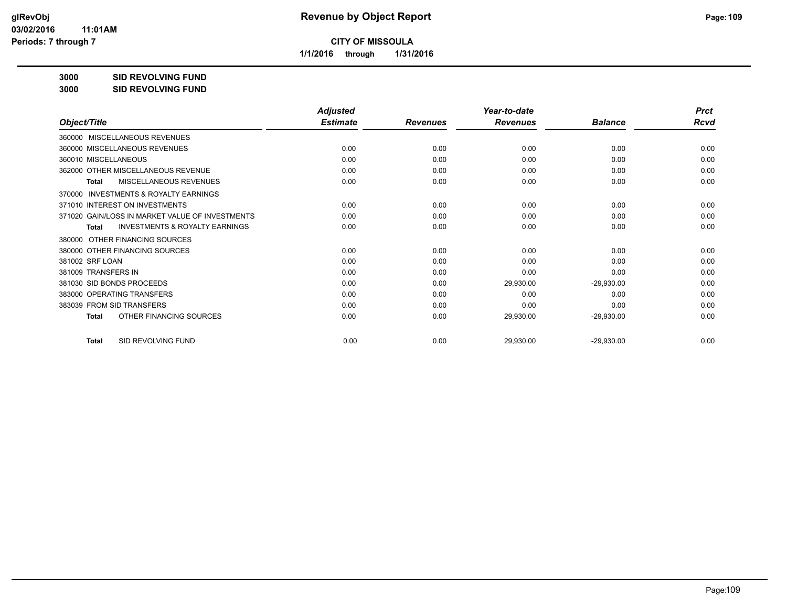**1/1/2016 through 1/31/2016**

**3000 SID REVOLVING FUND**

**3000 SID REVOLVING FUND**

|                                                           | <b>Adjusted</b> |                 | Year-to-date    |                | <b>Prct</b> |
|-----------------------------------------------------------|-----------------|-----------------|-----------------|----------------|-------------|
| Object/Title                                              | <b>Estimate</b> | <b>Revenues</b> | <b>Revenues</b> | <b>Balance</b> | Rcvd        |
| 360000 MISCELLANEOUS REVENUES                             |                 |                 |                 |                |             |
| 360000 MISCELLANEOUS REVENUES                             | 0.00            | 0.00            | 0.00            | 0.00           | 0.00        |
| 360010 MISCELLANEOUS                                      | 0.00            | 0.00            | 0.00            | 0.00           | 0.00        |
| 362000 OTHER MISCELLANEOUS REVENUE                        | 0.00            | 0.00            | 0.00            | 0.00           | 0.00        |
| MISCELLANEOUS REVENUES<br>Total                           | 0.00            | 0.00            | 0.00            | 0.00           | 0.00        |
| <b>INVESTMENTS &amp; ROYALTY EARNINGS</b><br>370000       |                 |                 |                 |                |             |
| 371010 INTEREST ON INVESTMENTS                            | 0.00            | 0.00            | 0.00            | 0.00           | 0.00        |
| 371020 GAIN/LOSS IN MARKET VALUE OF INVESTMENTS           | 0.00            | 0.00            | 0.00            | 0.00           | 0.00        |
| <b>INVESTMENTS &amp; ROYALTY EARNINGS</b><br><b>Total</b> | 0.00            | 0.00            | 0.00            | 0.00           | 0.00        |
| OTHER FINANCING SOURCES<br>380000                         |                 |                 |                 |                |             |
| 380000 OTHER FINANCING SOURCES                            | 0.00            | 0.00            | 0.00            | 0.00           | 0.00        |
| 381002 SRF LOAN                                           | 0.00            | 0.00            | 0.00            | 0.00           | 0.00        |
| 381009 TRANSFERS IN                                       | 0.00            | 0.00            | 0.00            | 0.00           | 0.00        |
| 381030 SID BONDS PROCEEDS                                 | 0.00            | 0.00            | 29,930.00       | $-29,930.00$   | 0.00        |
| 383000 OPERATING TRANSFERS                                | 0.00            | 0.00            | 0.00            | 0.00           | 0.00        |
| 383039 FROM SID TRANSFERS                                 | 0.00            | 0.00            | 0.00            | 0.00           | 0.00        |
| OTHER FINANCING SOURCES<br><b>Total</b>                   | 0.00            | 0.00            | 29,930.00       | $-29,930.00$   | 0.00        |
| SID REVOLVING FUND<br><b>Total</b>                        | 0.00            | 0.00            | 29,930.00       | $-29,930.00$   | 0.00        |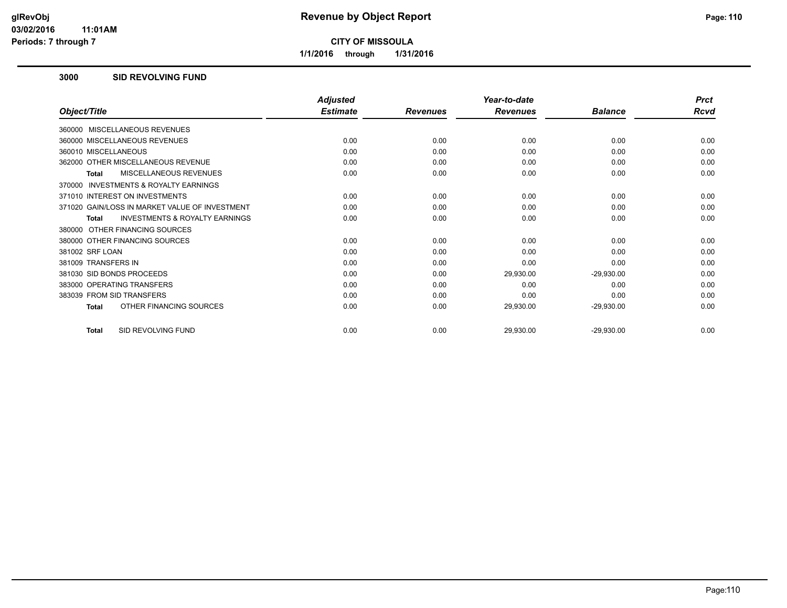**1/1/2016 through 1/31/2016**

### **3000 SID REVOLVING FUND**

|                                                           | <b>Adjusted</b> |                 | Year-to-date    |                | <b>Prct</b> |
|-----------------------------------------------------------|-----------------|-----------------|-----------------|----------------|-------------|
| Object/Title                                              | <b>Estimate</b> | <b>Revenues</b> | <b>Revenues</b> | <b>Balance</b> | Rcvd        |
| 360000 MISCELLANEOUS REVENUES                             |                 |                 |                 |                |             |
| 360000 MISCELLANEOUS REVENUES                             | 0.00            | 0.00            | 0.00            | 0.00           | 0.00        |
| 360010 MISCELLANEOUS                                      | 0.00            | 0.00            | 0.00            | 0.00           | 0.00        |
| 362000 OTHER MISCELLANEOUS REVENUE                        | 0.00            | 0.00            | 0.00            | 0.00           | 0.00        |
| <b>MISCELLANEOUS REVENUES</b><br><b>Total</b>             | 0.00            | 0.00            | 0.00            | 0.00           | 0.00        |
| <b>INVESTMENTS &amp; ROYALTY EARNINGS</b><br>370000       |                 |                 |                 |                |             |
| 371010 INTEREST ON INVESTMENTS                            | 0.00            | 0.00            | 0.00            | 0.00           | 0.00        |
| 371020 GAIN/LOSS IN MARKET VALUE OF INVESTMENT            | 0.00            | 0.00            | 0.00            | 0.00           | 0.00        |
| <b>INVESTMENTS &amp; ROYALTY EARNINGS</b><br><b>Total</b> | 0.00            | 0.00            | 0.00            | 0.00           | 0.00        |
| 380000 OTHER FINANCING SOURCES                            |                 |                 |                 |                |             |
| 380000 OTHER FINANCING SOURCES                            | 0.00            | 0.00            | 0.00            | 0.00           | 0.00        |
| 381002 SRF LOAN                                           | 0.00            | 0.00            | 0.00            | 0.00           | 0.00        |
| 381009 TRANSFERS IN                                       | 0.00            | 0.00            | 0.00            | 0.00           | 0.00        |
| 381030 SID BONDS PROCEEDS                                 | 0.00            | 0.00            | 29,930.00       | $-29,930.00$   | 0.00        |
| 383000 OPERATING TRANSFERS                                | 0.00            | 0.00            | 0.00            | 0.00           | 0.00        |
| 383039 FROM SID TRANSFERS                                 | 0.00            | 0.00            | 0.00            | 0.00           | 0.00        |
| OTHER FINANCING SOURCES<br><b>Total</b>                   | 0.00            | 0.00            | 29,930.00       | $-29,930.00$   | 0.00        |
| SID REVOLVING FUND<br><b>Total</b>                        | 0.00            | 0.00            | 29,930.00       | $-29,930.00$   | 0.00        |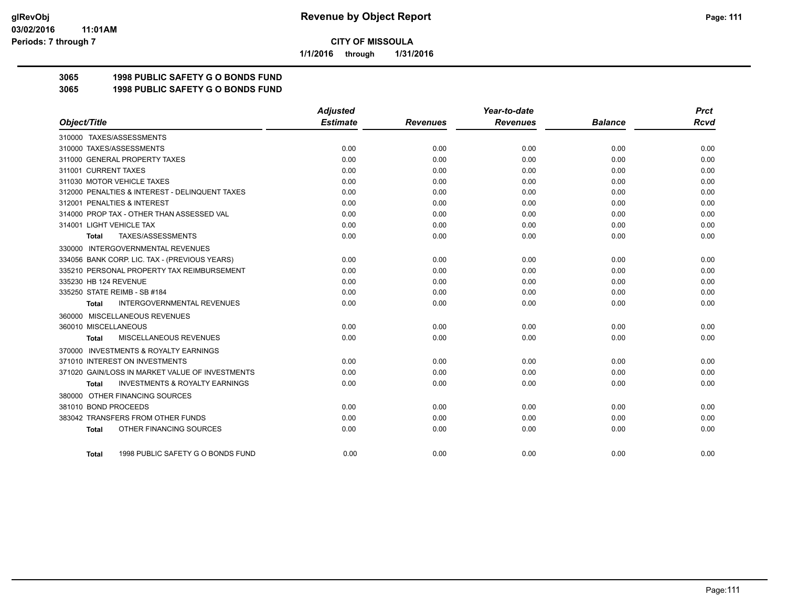**1/1/2016 through 1/31/2016**

## **3065 1998 PUBLIC SAFETY G O BONDS FUND**

**3065 1998 PUBLIC SAFETY G O BONDS FUND**

|                                                    | <b>Adjusted</b> |                 | Year-to-date    |                | <b>Prct</b> |
|----------------------------------------------------|-----------------|-----------------|-----------------|----------------|-------------|
| Object/Title                                       | <b>Estimate</b> | <b>Revenues</b> | <b>Revenues</b> | <b>Balance</b> | Rcvd        |
| 310000 TAXES/ASSESSMENTS                           |                 |                 |                 |                |             |
| 310000 TAXES/ASSESSMENTS                           | 0.00            | 0.00            | 0.00            | 0.00           | 0.00        |
| 311000 GENERAL PROPERTY TAXES                      | 0.00            | 0.00            | 0.00            | 0.00           | 0.00        |
| 311001 CURRENT TAXES                               | 0.00            | 0.00            | 0.00            | 0.00           | 0.00        |
| 311030 MOTOR VEHICLE TAXES                         | 0.00            | 0.00            | 0.00            | 0.00           | 0.00        |
| 312000 PENALTIES & INTEREST - DELINQUENT TAXES     | 0.00            | 0.00            | 0.00            | 0.00           | 0.00        |
| 312001 PENALTIES & INTEREST                        | 0.00            | 0.00            | 0.00            | 0.00           | 0.00        |
| 314000 PROP TAX - OTHER THAN ASSESSED VAL          | 0.00            | 0.00            | 0.00            | 0.00           | 0.00        |
| 314001 LIGHT VEHICLE TAX                           | 0.00            | 0.00            | 0.00            | 0.00           | 0.00        |
| TAXES/ASSESSMENTS<br>Total                         | 0.00            | 0.00            | 0.00            | 0.00           | 0.00        |
| 330000 INTERGOVERNMENTAL REVENUES                  |                 |                 |                 |                |             |
| 334056 BANK CORP. LIC. TAX - (PREVIOUS YEARS)      | 0.00            | 0.00            | 0.00            | 0.00           | 0.00        |
| 335210 PERSONAL PROPERTY TAX REIMBURSEMENT         | 0.00            | 0.00            | 0.00            | 0.00           | 0.00        |
| 335230 HB 124 REVENUE                              | 0.00            | 0.00            | 0.00            | 0.00           | 0.00        |
| 335250 STATE REIMB - SB #184                       | 0.00            | 0.00            | 0.00            | 0.00           | 0.00        |
| <b>INTERGOVERNMENTAL REVENUES</b><br><b>Total</b>  | 0.00            | 0.00            | 0.00            | 0.00           | 0.00        |
| 360000 MISCELLANEOUS REVENUES                      |                 |                 |                 |                |             |
| 360010 MISCELLANEOUS                               | 0.00            | 0.00            | 0.00            | 0.00           | 0.00        |
| <b>MISCELLANEOUS REVENUES</b><br><b>Total</b>      | 0.00            | 0.00            | 0.00            | 0.00           | 0.00        |
| 370000 INVESTMENTS & ROYALTY EARNINGS              |                 |                 |                 |                |             |
| 371010 INTEREST ON INVESTMENTS                     | 0.00            | 0.00            | 0.00            | 0.00           | 0.00        |
| 371020 GAIN/LOSS IN MARKET VALUE OF INVESTMENTS    | 0.00            | 0.00            | 0.00            | 0.00           | 0.00        |
| <b>INVESTMENTS &amp; ROYALTY EARNINGS</b><br>Total | 0.00            | 0.00            | 0.00            | 0.00           | 0.00        |
| 380000 OTHER FINANCING SOURCES                     |                 |                 |                 |                |             |
| 381010 BOND PROCEEDS                               | 0.00            | 0.00            | 0.00            | 0.00           | 0.00        |
| 383042 TRANSFERS FROM OTHER FUNDS                  | 0.00            | 0.00            | 0.00            | 0.00           | 0.00        |
| OTHER FINANCING SOURCES<br><b>Total</b>            | 0.00            | 0.00            | 0.00            | 0.00           | 0.00        |
| 1998 PUBLIC SAFETY G O BONDS FUND<br>Total         | 0.00            | 0.00            | 0.00            | 0.00           | 0.00        |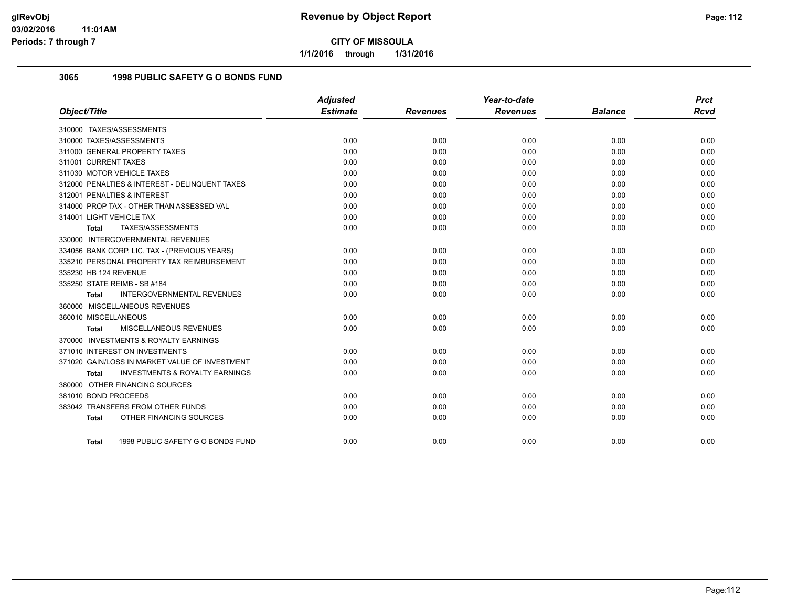**1/1/2016 through 1/31/2016**

## **3065 1998 PUBLIC SAFETY G O BONDS FUND**

|                                                    | <b>Adjusted</b> |                 | Year-to-date    |                | <b>Prct</b> |
|----------------------------------------------------|-----------------|-----------------|-----------------|----------------|-------------|
| Object/Title                                       | <b>Estimate</b> | <b>Revenues</b> | <b>Revenues</b> | <b>Balance</b> | <b>Rcvd</b> |
| 310000 TAXES/ASSESSMENTS                           |                 |                 |                 |                |             |
| 310000 TAXES/ASSESSMENTS                           | 0.00            | 0.00            | 0.00            | 0.00           | 0.00        |
| 311000 GENERAL PROPERTY TAXES                      | 0.00            | 0.00            | 0.00            | 0.00           | 0.00        |
| 311001 CURRENT TAXES                               | 0.00            | 0.00            | 0.00            | 0.00           | 0.00        |
| 311030 MOTOR VEHICLE TAXES                         | 0.00            | 0.00            | 0.00            | 0.00           | 0.00        |
| 312000 PENALTIES & INTEREST - DELINQUENT TAXES     | 0.00            | 0.00            | 0.00            | 0.00           | 0.00        |
| 312001 PENALTIES & INTEREST                        | 0.00            | 0.00            | 0.00            | 0.00           | 0.00        |
| 314000 PROP TAX - OTHER THAN ASSESSED VAL          | 0.00            | 0.00            | 0.00            | 0.00           | 0.00        |
| 314001 LIGHT VEHICLE TAX                           | 0.00            | 0.00            | 0.00            | 0.00           | 0.00        |
| TAXES/ASSESSMENTS<br>Total                         | 0.00            | 0.00            | 0.00            | 0.00           | 0.00        |
| 330000 INTERGOVERNMENTAL REVENUES                  |                 |                 |                 |                |             |
| 334056 BANK CORP. LIC. TAX - (PREVIOUS YEARS)      | 0.00            | 0.00            | 0.00            | 0.00           | 0.00        |
| 335210 PERSONAL PROPERTY TAX REIMBURSEMENT         | 0.00            | 0.00            | 0.00            | 0.00           | 0.00        |
| 335230 HB 124 REVENUE                              | 0.00            | 0.00            | 0.00            | 0.00           | 0.00        |
| 335250 STATE REIMB - SB #184                       | 0.00            | 0.00            | 0.00            | 0.00           | 0.00        |
| <b>INTERGOVERNMENTAL REVENUES</b><br><b>Total</b>  | 0.00            | 0.00            | 0.00            | 0.00           | 0.00        |
| 360000 MISCELLANEOUS REVENUES                      |                 |                 |                 |                |             |
| 360010 MISCELLANEOUS                               | 0.00            | 0.00            | 0.00            | 0.00           | 0.00        |
| MISCELLANEOUS REVENUES<br><b>Total</b>             | 0.00            | 0.00            | 0.00            | 0.00           | 0.00        |
| 370000 INVESTMENTS & ROYALTY EARNINGS              |                 |                 |                 |                |             |
| 371010 INTEREST ON INVESTMENTS                     | 0.00            | 0.00            | 0.00            | 0.00           | 0.00        |
| 371020 GAIN/LOSS IN MARKET VALUE OF INVESTMENT     | 0.00            | 0.00            | 0.00            | 0.00           | 0.00        |
| <b>INVESTMENTS &amp; ROYALTY EARNINGS</b><br>Total | 0.00            | 0.00            | 0.00            | 0.00           | 0.00        |
| 380000 OTHER FINANCING SOURCES                     |                 |                 |                 |                |             |
| 381010 BOND PROCEEDS                               | 0.00            | 0.00            | 0.00            | 0.00           | 0.00        |
| 383042 TRANSFERS FROM OTHER FUNDS                  | 0.00            | 0.00            | 0.00            | 0.00           | 0.00        |
| OTHER FINANCING SOURCES<br><b>Total</b>            | 0.00            | 0.00            | 0.00            | 0.00           | 0.00        |
|                                                    |                 |                 |                 |                |             |
| 1998 PUBLIC SAFETY G O BONDS FUND<br>Total         | 0.00            | 0.00            | 0.00            | 0.00           | 0.00        |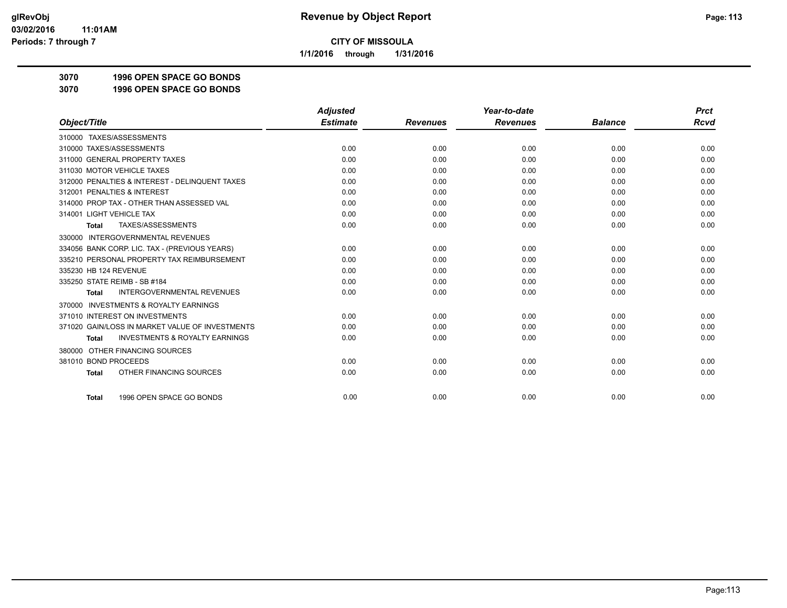**1/1/2016 through 1/31/2016**

**3070 1996 OPEN SPACE GO BONDS**

**3070 1996 OPEN SPACE GO BONDS**

|                                                           | <b>Adjusted</b> |                 | Year-to-date    |                | <b>Prct</b> |
|-----------------------------------------------------------|-----------------|-----------------|-----------------|----------------|-------------|
| Object/Title                                              | <b>Estimate</b> | <b>Revenues</b> | <b>Revenues</b> | <b>Balance</b> | <b>Rcvd</b> |
| 310000 TAXES/ASSESSMENTS                                  |                 |                 |                 |                |             |
| 310000 TAXES/ASSESSMENTS                                  | 0.00            | 0.00            | 0.00            | 0.00           | 0.00        |
| 311000 GENERAL PROPERTY TAXES                             | 0.00            | 0.00            | 0.00            | 0.00           | 0.00        |
| 311030 MOTOR VEHICLE TAXES                                | 0.00            | 0.00            | 0.00            | 0.00           | 0.00        |
| 312000 PENALTIES & INTEREST - DELINQUENT TAXES            | 0.00            | 0.00            | 0.00            | 0.00           | 0.00        |
| 312001 PENALTIES & INTEREST                               | 0.00            | 0.00            | 0.00            | 0.00           | 0.00        |
| 314000 PROP TAX - OTHER THAN ASSESSED VAL                 | 0.00            | 0.00            | 0.00            | 0.00           | 0.00        |
| 314001 LIGHT VEHICLE TAX                                  | 0.00            | 0.00            | 0.00            | 0.00           | 0.00        |
| TAXES/ASSESSMENTS<br><b>Total</b>                         | 0.00            | 0.00            | 0.00            | 0.00           | 0.00        |
| <b>INTERGOVERNMENTAL REVENUES</b><br>330000               |                 |                 |                 |                |             |
| 334056 BANK CORP. LIC. TAX - (PREVIOUS YEARS)             | 0.00            | 0.00            | 0.00            | 0.00           | 0.00        |
| 335210 PERSONAL PROPERTY TAX REIMBURSEMENT                | 0.00            | 0.00            | 0.00            | 0.00           | 0.00        |
| 335230 HB 124 REVENUE                                     | 0.00            | 0.00            | 0.00            | 0.00           | 0.00        |
| 335250 STATE REIMB - SB #184                              | 0.00            | 0.00            | 0.00            | 0.00           | 0.00        |
| <b>INTERGOVERNMENTAL REVENUES</b><br><b>Total</b>         | 0.00            | 0.00            | 0.00            | 0.00           | 0.00        |
| <b>INVESTMENTS &amp; ROYALTY EARNINGS</b><br>370000       |                 |                 |                 |                |             |
| 371010 INTEREST ON INVESTMENTS                            | 0.00            | 0.00            | 0.00            | 0.00           | 0.00        |
| 371020 GAIN/LOSS IN MARKET VALUE OF INVESTMENTS           | 0.00            | 0.00            | 0.00            | 0.00           | 0.00        |
| <b>INVESTMENTS &amp; ROYALTY EARNINGS</b><br><b>Total</b> | 0.00            | 0.00            | 0.00            | 0.00           | 0.00        |
| OTHER FINANCING SOURCES<br>380000                         |                 |                 |                 |                |             |
| 381010 BOND PROCEEDS                                      | 0.00            | 0.00            | 0.00            | 0.00           | 0.00        |
| OTHER FINANCING SOURCES<br><b>Total</b>                   | 0.00            | 0.00            | 0.00            | 0.00           | 0.00        |
| 1996 OPEN SPACE GO BONDS<br><b>Total</b>                  | 0.00            | 0.00            | 0.00            | 0.00           | 0.00        |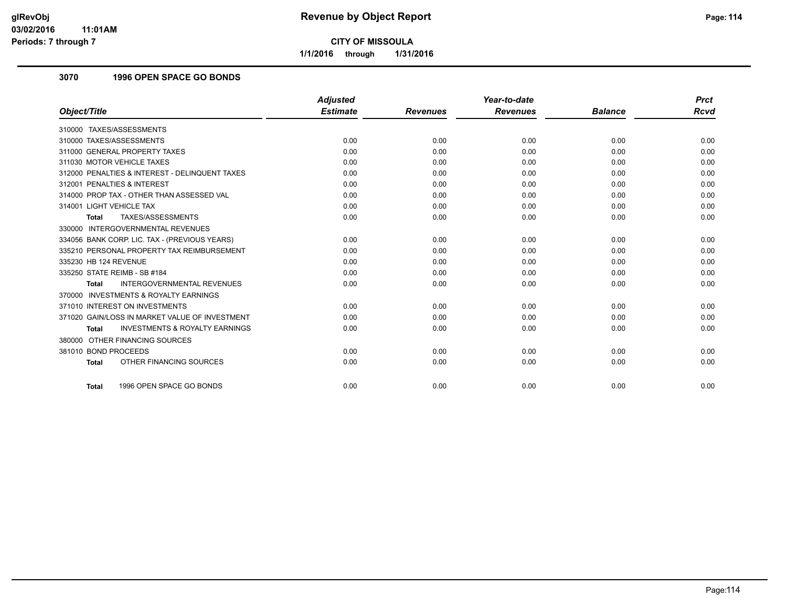**1/1/2016 through 1/31/2016**

## **3070 1996 OPEN SPACE GO BONDS**

|                                                           | <b>Adjusted</b> |                 | Year-to-date    |                | <b>Prct</b> |
|-----------------------------------------------------------|-----------------|-----------------|-----------------|----------------|-------------|
| Object/Title                                              | <b>Estimate</b> | <b>Revenues</b> | <b>Revenues</b> | <b>Balance</b> | <b>Rcvd</b> |
| 310000 TAXES/ASSESSMENTS                                  |                 |                 |                 |                |             |
| 310000 TAXES/ASSESSMENTS                                  | 0.00            | 0.00            | 0.00            | 0.00           | 0.00        |
| 311000 GENERAL PROPERTY TAXES                             | 0.00            | 0.00            | 0.00            | 0.00           | 0.00        |
| 311030 MOTOR VEHICLE TAXES                                | 0.00            | 0.00            | 0.00            | 0.00           | 0.00        |
| 312000 PENALTIES & INTEREST - DELINQUENT TAXES            | 0.00            | 0.00            | 0.00            | 0.00           | 0.00        |
| 312001 PENALTIES & INTEREST                               | 0.00            | 0.00            | 0.00            | 0.00           | 0.00        |
| 314000 PROP TAX - OTHER THAN ASSESSED VAL                 | 0.00            | 0.00            | 0.00            | 0.00           | 0.00        |
| 314001 LIGHT VEHICLE TAX                                  | 0.00            | 0.00            | 0.00            | 0.00           | 0.00        |
| TAXES/ASSESSMENTS<br><b>Total</b>                         | 0.00            | 0.00            | 0.00            | 0.00           | 0.00        |
| 330000 INTERGOVERNMENTAL REVENUES                         |                 |                 |                 |                |             |
| 334056 BANK CORP. LIC. TAX - (PREVIOUS YEARS)             | 0.00            | 0.00            | 0.00            | 0.00           | 0.00        |
| 335210 PERSONAL PROPERTY TAX REIMBURSEMENT                | 0.00            | 0.00            | 0.00            | 0.00           | 0.00        |
| 335230 HB 124 REVENUE                                     | 0.00            | 0.00            | 0.00            | 0.00           | 0.00        |
| 335250 STATE REIMB - SB #184                              | 0.00            | 0.00            | 0.00            | 0.00           | 0.00        |
| <b>INTERGOVERNMENTAL REVENUES</b><br><b>Total</b>         | 0.00            | 0.00            | 0.00            | 0.00           | 0.00        |
| <b>INVESTMENTS &amp; ROYALTY EARNINGS</b><br>370000       |                 |                 |                 |                |             |
| 371010 INTEREST ON INVESTMENTS                            | 0.00            | 0.00            | 0.00            | 0.00           | 0.00        |
| 371020 GAIN/LOSS IN MARKET VALUE OF INVESTMENT            | 0.00            | 0.00            | 0.00            | 0.00           | 0.00        |
| <b>INVESTMENTS &amp; ROYALTY EARNINGS</b><br><b>Total</b> | 0.00            | 0.00            | 0.00            | 0.00           | 0.00        |
| 380000 OTHER FINANCING SOURCES                            |                 |                 |                 |                |             |
| 381010 BOND PROCEEDS                                      | 0.00            | 0.00            | 0.00            | 0.00           | 0.00        |
| OTHER FINANCING SOURCES<br><b>Total</b>                   | 0.00            | 0.00            | 0.00            | 0.00           | 0.00        |
| 1996 OPEN SPACE GO BONDS<br><b>Total</b>                  | 0.00            | 0.00            | 0.00            | 0.00           | 0.00        |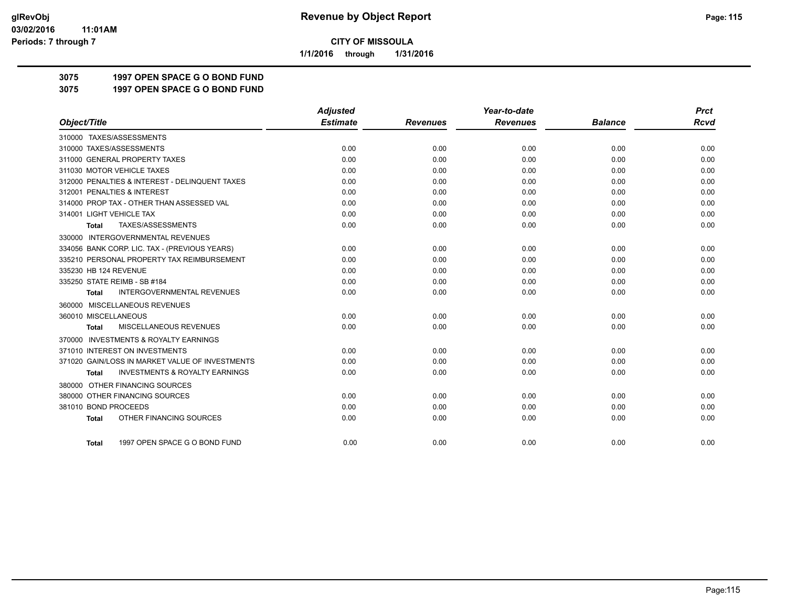**1/1/2016 through 1/31/2016**

## **3075 1997 OPEN SPACE G O BOND FUND**

**3075 1997 OPEN SPACE G O BOND FUND**

|                                                           | <b>Adjusted</b> |                 | Year-to-date    |                | <b>Prct</b> |
|-----------------------------------------------------------|-----------------|-----------------|-----------------|----------------|-------------|
| Object/Title                                              | <b>Estimate</b> | <b>Revenues</b> | <b>Revenues</b> | <b>Balance</b> | <b>Rcvd</b> |
| 310000 TAXES/ASSESSMENTS                                  |                 |                 |                 |                |             |
| 310000 TAXES/ASSESSMENTS                                  | 0.00            | 0.00            | 0.00            | 0.00           | 0.00        |
| 311000 GENERAL PROPERTY TAXES                             | 0.00            | 0.00            | 0.00            | 0.00           | 0.00        |
| 311030 MOTOR VEHICLE TAXES                                | 0.00            | 0.00            | 0.00            | 0.00           | 0.00        |
| 312000 PENALTIES & INTEREST - DELINQUENT TAXES            | 0.00            | 0.00            | 0.00            | 0.00           | 0.00        |
| 312001 PENALTIES & INTEREST                               | 0.00            | 0.00            | 0.00            | 0.00           | 0.00        |
| 314000 PROP TAX - OTHER THAN ASSESSED VAL                 | 0.00            | 0.00            | 0.00            | 0.00           | 0.00        |
| 314001 LIGHT VEHICLE TAX                                  | 0.00            | 0.00            | 0.00            | 0.00           | 0.00        |
| TAXES/ASSESSMENTS<br>Total                                | 0.00            | 0.00            | 0.00            | 0.00           | 0.00        |
| 330000 INTERGOVERNMENTAL REVENUES                         |                 |                 |                 |                |             |
| 334056 BANK CORP. LIC. TAX - (PREVIOUS YEARS)             | 0.00            | 0.00            | 0.00            | 0.00           | 0.00        |
| 335210 PERSONAL PROPERTY TAX REIMBURSEMENT                | 0.00            | 0.00            | 0.00            | 0.00           | 0.00        |
| 335230 HB 124 REVENUE                                     | 0.00            | 0.00            | 0.00            | 0.00           | 0.00        |
| 335250 STATE REIMB - SB #184                              | 0.00            | 0.00            | 0.00            | 0.00           | 0.00        |
| <b>INTERGOVERNMENTAL REVENUES</b><br><b>Total</b>         | 0.00            | 0.00            | 0.00            | 0.00           | 0.00        |
| 360000 MISCELLANEOUS REVENUES                             |                 |                 |                 |                |             |
| 360010 MISCELLANEOUS                                      | 0.00            | 0.00            | 0.00            | 0.00           | 0.00        |
| MISCELLANEOUS REVENUES<br><b>Total</b>                    | 0.00            | 0.00            | 0.00            | 0.00           | 0.00        |
| <b>INVESTMENTS &amp; ROYALTY EARNINGS</b><br>370000       |                 |                 |                 |                |             |
| 371010 INTEREST ON INVESTMENTS                            | 0.00            | 0.00            | 0.00            | 0.00           | 0.00        |
| 371020 GAIN/LOSS IN MARKET VALUE OF INVESTMENTS           | 0.00            | 0.00            | 0.00            | 0.00           | 0.00        |
| <b>INVESTMENTS &amp; ROYALTY EARNINGS</b><br><b>Total</b> | 0.00            | 0.00            | 0.00            | 0.00           | 0.00        |
| 380000 OTHER FINANCING SOURCES                            |                 |                 |                 |                |             |
| 380000 OTHER FINANCING SOURCES                            | 0.00            | 0.00            | 0.00            | 0.00           | 0.00        |
| 381010 BOND PROCEEDS                                      | 0.00            | 0.00            | 0.00            | 0.00           | 0.00        |
| OTHER FINANCING SOURCES<br><b>Total</b>                   | 0.00            | 0.00            | 0.00            | 0.00           | 0.00        |
|                                                           |                 |                 |                 |                |             |
| 1997 OPEN SPACE G O BOND FUND<br>Total                    | 0.00            | 0.00            | 0.00            | 0.00           | 0.00        |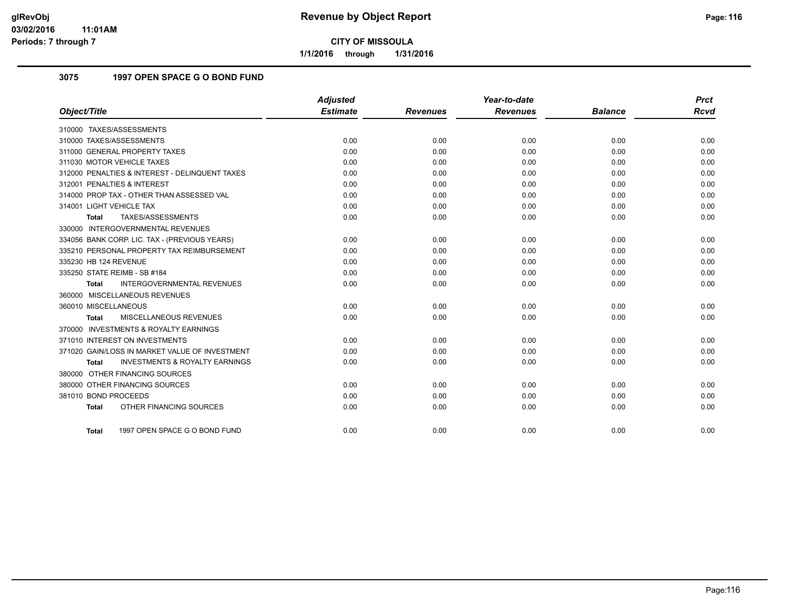**1/1/2016 through 1/31/2016**

## **3075 1997 OPEN SPACE G O BOND FUND**

|                                                           | <b>Adjusted</b> |                 | Year-to-date    |                | <b>Prct</b> |
|-----------------------------------------------------------|-----------------|-----------------|-----------------|----------------|-------------|
| Object/Title                                              | <b>Estimate</b> | <b>Revenues</b> | <b>Revenues</b> | <b>Balance</b> | <b>Rcvd</b> |
| 310000 TAXES/ASSESSMENTS                                  |                 |                 |                 |                |             |
| 310000 TAXES/ASSESSMENTS                                  | 0.00            | 0.00            | 0.00            | 0.00           | 0.00        |
| 311000 GENERAL PROPERTY TAXES                             | 0.00            | 0.00            | 0.00            | 0.00           | 0.00        |
| 311030 MOTOR VEHICLE TAXES                                | 0.00            | 0.00            | 0.00            | 0.00           | 0.00        |
| 312000 PENALTIES & INTEREST - DELINQUENT TAXES            | 0.00            | 0.00            | 0.00            | 0.00           | 0.00        |
| 312001 PENALTIES & INTEREST                               | 0.00            | 0.00            | 0.00            | 0.00           | 0.00        |
| 314000 PROP TAX - OTHER THAN ASSESSED VAL                 | 0.00            | 0.00            | 0.00            | 0.00           | 0.00        |
| 314001 LIGHT VEHICLE TAX                                  | 0.00            | 0.00            | 0.00            | 0.00           | 0.00        |
| TAXES/ASSESSMENTS<br><b>Total</b>                         | 0.00            | 0.00            | 0.00            | 0.00           | 0.00        |
| 330000 INTERGOVERNMENTAL REVENUES                         |                 |                 |                 |                |             |
| 334056 BANK CORP. LIC. TAX - (PREVIOUS YEARS)             | 0.00            | 0.00            | 0.00            | 0.00           | 0.00        |
| 335210 PERSONAL PROPERTY TAX REIMBURSEMENT                | 0.00            | 0.00            | 0.00            | 0.00           | 0.00        |
| 335230 HB 124 REVENUE                                     | 0.00            | 0.00            | 0.00            | 0.00           | 0.00        |
| 335250 STATE REIMB - SB #184                              | 0.00            | 0.00            | 0.00            | 0.00           | 0.00        |
| INTERGOVERNMENTAL REVENUES<br><b>Total</b>                | 0.00            | 0.00            | 0.00            | 0.00           | 0.00        |
| 360000 MISCELLANEOUS REVENUES                             |                 |                 |                 |                |             |
| 360010 MISCELLANEOUS                                      | 0.00            | 0.00            | 0.00            | 0.00           | 0.00        |
| MISCELLANEOUS REVENUES<br>Total                           | 0.00            | 0.00            | 0.00            | 0.00           | 0.00        |
| 370000 INVESTMENTS & ROYALTY EARNINGS                     |                 |                 |                 |                |             |
| 371010 INTEREST ON INVESTMENTS                            | 0.00            | 0.00            | 0.00            | 0.00           | 0.00        |
| 371020 GAIN/LOSS IN MARKET VALUE OF INVESTMENT            | 0.00            | 0.00            | 0.00            | 0.00           | 0.00        |
| <b>INVESTMENTS &amp; ROYALTY EARNINGS</b><br><b>Total</b> | 0.00            | 0.00            | 0.00            | 0.00           | 0.00        |
| 380000 OTHER FINANCING SOURCES                            |                 |                 |                 |                |             |
| 380000 OTHER FINANCING SOURCES                            | 0.00            | 0.00            | 0.00            | 0.00           | 0.00        |
| 381010 BOND PROCEEDS                                      | 0.00            | 0.00            | 0.00            | 0.00           | 0.00        |
| OTHER FINANCING SOURCES<br><b>Total</b>                   | 0.00            | 0.00            | 0.00            | 0.00           | 0.00        |
| 1997 OPEN SPACE G O BOND FUND<br>Total                    | 0.00            | 0.00            | 0.00            | 0.00           | 0.00        |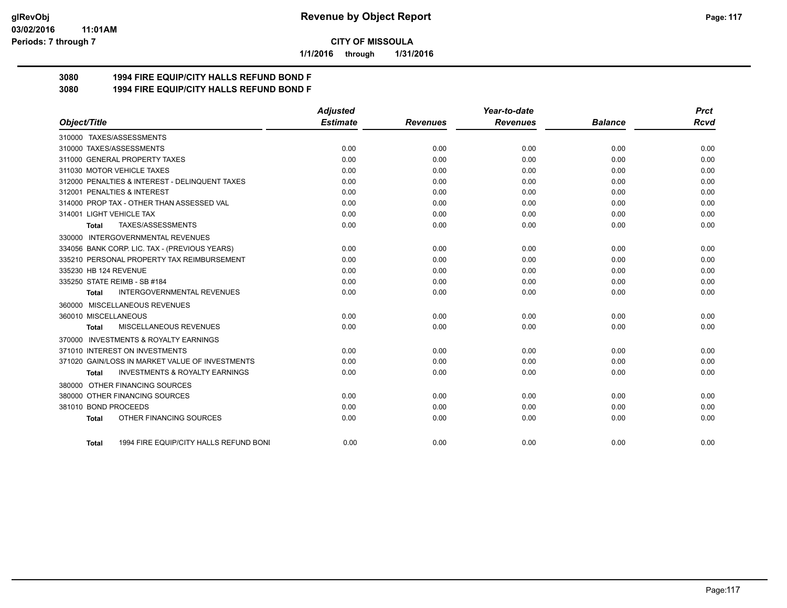#### **03/02/2016 11:01AM Periods: 7 through 7**

**CITY OF MISSOULA**

**1/1/2016 through 1/31/2016**

## **3080 1994 FIRE EQUIP/CITY HALLS REFUND BOND F**

**3080 1994 FIRE EQUIP/CITY HALLS REFUND BOND F**

|                                                           | <b>Adjusted</b> |                 | Year-to-date    |                | <b>Prct</b> |
|-----------------------------------------------------------|-----------------|-----------------|-----------------|----------------|-------------|
| Object/Title                                              | <b>Estimate</b> | <b>Revenues</b> | <b>Revenues</b> | <b>Balance</b> | Rcvd        |
| 310000 TAXES/ASSESSMENTS                                  |                 |                 |                 |                |             |
| 310000 TAXES/ASSESSMENTS                                  | 0.00            | 0.00            | 0.00            | 0.00           | 0.00        |
| 311000 GENERAL PROPERTY TAXES                             | 0.00            | 0.00            | 0.00            | 0.00           | 0.00        |
| 311030 MOTOR VEHICLE TAXES                                | 0.00            | 0.00            | 0.00            | 0.00           | 0.00        |
| 312000 PENALTIES & INTEREST - DELINQUENT TAXES            | 0.00            | 0.00            | 0.00            | 0.00           | 0.00        |
| 312001 PENALTIES & INTEREST                               | 0.00            | 0.00            | 0.00            | 0.00           | 0.00        |
| 314000 PROP TAX - OTHER THAN ASSESSED VAL                 | 0.00            | 0.00            | 0.00            | 0.00           | 0.00        |
| 314001 LIGHT VEHICLE TAX                                  | 0.00            | 0.00            | 0.00            | 0.00           | 0.00        |
| TAXES/ASSESSMENTS<br><b>Total</b>                         | 0.00            | 0.00            | 0.00            | 0.00           | 0.00        |
| 330000 INTERGOVERNMENTAL REVENUES                         |                 |                 |                 |                |             |
| 334056 BANK CORP. LIC. TAX - (PREVIOUS YEARS)             | 0.00            | 0.00            | 0.00            | 0.00           | 0.00        |
| 335210 PERSONAL PROPERTY TAX REIMBURSEMENT                | 0.00            | 0.00            | 0.00            | 0.00           | 0.00        |
| 335230 HB 124 REVENUE                                     | 0.00            | 0.00            | 0.00            | 0.00           | 0.00        |
| 335250 STATE REIMB - SB #184                              | 0.00            | 0.00            | 0.00            | 0.00           | 0.00        |
| <b>INTERGOVERNMENTAL REVENUES</b><br>Total                | 0.00            | 0.00            | 0.00            | 0.00           | 0.00        |
| 360000 MISCELLANEOUS REVENUES                             |                 |                 |                 |                |             |
| 360010 MISCELLANEOUS                                      | 0.00            | 0.00            | 0.00            | 0.00           | 0.00        |
| MISCELLANEOUS REVENUES<br><b>Total</b>                    | 0.00            | 0.00            | 0.00            | 0.00           | 0.00        |
| 370000 INVESTMENTS & ROYALTY EARNINGS                     |                 |                 |                 |                |             |
| 371010 INTEREST ON INVESTMENTS                            | 0.00            | 0.00            | 0.00            | 0.00           | 0.00        |
| 371020 GAIN/LOSS IN MARKET VALUE OF INVESTMENTS           | 0.00            | 0.00            | 0.00            | 0.00           | 0.00        |
| <b>INVESTMENTS &amp; ROYALTY EARNINGS</b><br><b>Total</b> | 0.00            | 0.00            | 0.00            | 0.00           | 0.00        |
| 380000 OTHER FINANCING SOURCES                            |                 |                 |                 |                |             |
| 380000 OTHER FINANCING SOURCES                            | 0.00            | 0.00            | 0.00            | 0.00           | 0.00        |
| 381010 BOND PROCEEDS                                      | 0.00            | 0.00            | 0.00            | 0.00           | 0.00        |
| OTHER FINANCING SOURCES<br><b>Total</b>                   | 0.00            | 0.00            | 0.00            | 0.00           | 0.00        |
| 1994 FIRE EQUIP/CITY HALLS REFUND BONI<br>Total           | 0.00            | 0.00            | 0.00            | 0.00           | 0.00        |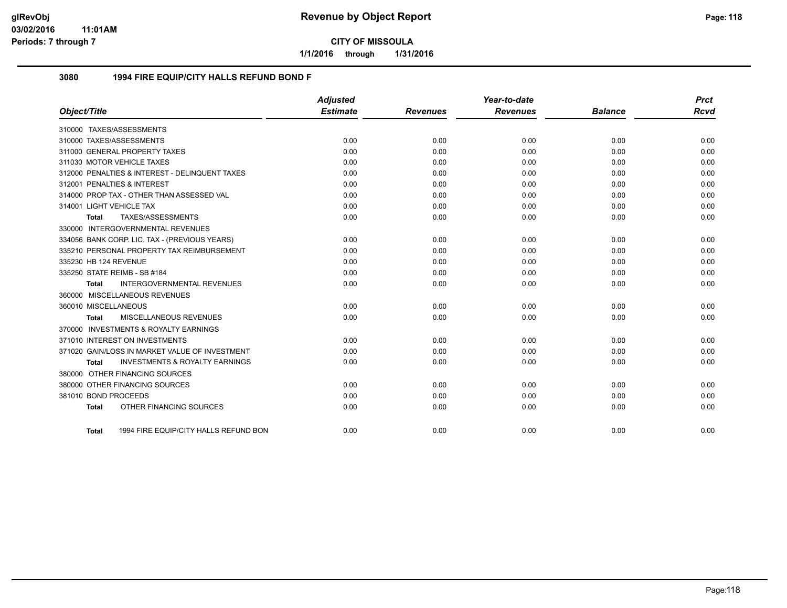**1/1/2016 through 1/31/2016**

### **3080 1994 FIRE EQUIP/CITY HALLS REFUND BOND F**

|                          |                                                | <b>Adjusted</b> |                 | Year-to-date    |                | <b>Prct</b> |
|--------------------------|------------------------------------------------|-----------------|-----------------|-----------------|----------------|-------------|
| Object/Title             |                                                | <b>Estimate</b> | <b>Revenues</b> | <b>Revenues</b> | <b>Balance</b> | <b>Rcvd</b> |
|                          | 310000 TAXES/ASSESSMENTS                       |                 |                 |                 |                |             |
|                          | 310000 TAXES/ASSESSMENTS                       | 0.00            | 0.00            | 0.00            | 0.00           | 0.00        |
|                          | 311000 GENERAL PROPERTY TAXES                  | 0.00            | 0.00            | 0.00            | 0.00           | 0.00        |
|                          | 311030 MOTOR VEHICLE TAXES                     | 0.00            | 0.00            | 0.00            | 0.00           | 0.00        |
|                          | 312000 PENALTIES & INTEREST - DELINQUENT TAXES | 0.00            | 0.00            | 0.00            | 0.00           | 0.00        |
|                          | 312001 PENALTIES & INTEREST                    | 0.00            | 0.00            | 0.00            | 0.00           | 0.00        |
|                          | 314000 PROP TAX - OTHER THAN ASSESSED VAL      | 0.00            | 0.00            | 0.00            | 0.00           | 0.00        |
| 314001 LIGHT VEHICLE TAX |                                                | 0.00            | 0.00            | 0.00            | 0.00           | 0.00        |
| <b>Total</b>             | TAXES/ASSESSMENTS                              | 0.00            | 0.00            | 0.00            | 0.00           | 0.00        |
|                          | 330000 INTERGOVERNMENTAL REVENUES              |                 |                 |                 |                |             |
|                          | 334056 BANK CORP. LIC. TAX - (PREVIOUS YEARS)  | 0.00            | 0.00            | 0.00            | 0.00           | 0.00        |
|                          | 335210 PERSONAL PROPERTY TAX REIMBURSEMENT     | 0.00            | 0.00            | 0.00            | 0.00           | 0.00        |
| 335230 HB 124 REVENUE    |                                                | 0.00            | 0.00            | 0.00            | 0.00           | 0.00        |
|                          | 335250 STATE REIMB - SB #184                   | 0.00            | 0.00            | 0.00            | 0.00           | 0.00        |
| <b>Total</b>             | <b>INTERGOVERNMENTAL REVENUES</b>              | 0.00            | 0.00            | 0.00            | 0.00           | 0.00        |
|                          | 360000 MISCELLANEOUS REVENUES                  |                 |                 |                 |                |             |
| 360010 MISCELLANEOUS     |                                                | 0.00            | 0.00            | 0.00            | 0.00           | 0.00        |
| Total                    | MISCELLANEOUS REVENUES                         | 0.00            | 0.00            | 0.00            | 0.00           | 0.00        |
|                          | 370000 INVESTMENTS & ROYALTY EARNINGS          |                 |                 |                 |                |             |
|                          | 371010 INTEREST ON INVESTMENTS                 | 0.00            | 0.00            | 0.00            | 0.00           | 0.00        |
|                          | 371020 GAIN/LOSS IN MARKET VALUE OF INVESTMENT | 0.00            | 0.00            | 0.00            | 0.00           | 0.00        |
| Total                    | <b>INVESTMENTS &amp; ROYALTY EARNINGS</b>      | 0.00            | 0.00            | 0.00            | 0.00           | 0.00        |
|                          | 380000 OTHER FINANCING SOURCES                 |                 |                 |                 |                |             |
|                          | 380000 OTHER FINANCING SOURCES                 | 0.00            | 0.00            | 0.00            | 0.00           | 0.00        |
| 381010 BOND PROCEEDS     |                                                | 0.00            | 0.00            | 0.00            | 0.00           | 0.00        |
| <b>Total</b>             | OTHER FINANCING SOURCES                        | 0.00            | 0.00            | 0.00            | 0.00           | 0.00        |
|                          |                                                |                 |                 |                 |                |             |
| Total                    | 1994 FIRE EQUIP/CITY HALLS REFUND BON          | 0.00            | 0.00            | 0.00            | 0.00           | 0.00        |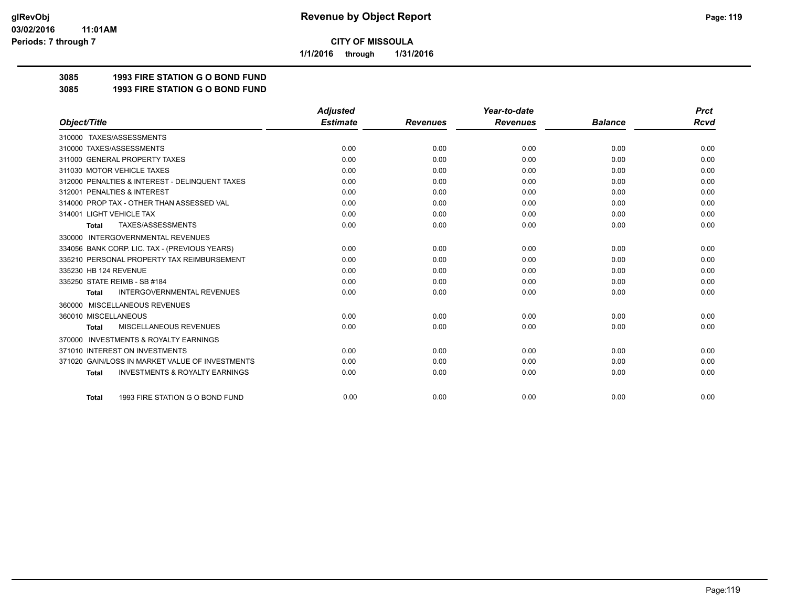**1/1/2016 through 1/31/2016**

## **3085 1993 FIRE STATION G O BOND FUND**

**3085 1993 FIRE STATION G O BOND FUND**

|                                                           | <b>Adjusted</b> |                 | Year-to-date    |                | <b>Prct</b> |
|-----------------------------------------------------------|-----------------|-----------------|-----------------|----------------|-------------|
| Object/Title                                              | <b>Estimate</b> | <b>Revenues</b> | <b>Revenues</b> | <b>Balance</b> | <b>Rcvd</b> |
| 310000 TAXES/ASSESSMENTS                                  |                 |                 |                 |                |             |
| 310000 TAXES/ASSESSMENTS                                  | 0.00            | 0.00            | 0.00            | 0.00           | 0.00        |
| 311000 GENERAL PROPERTY TAXES                             | 0.00            | 0.00            | 0.00            | 0.00           | 0.00        |
| 311030 MOTOR VEHICLE TAXES                                | 0.00            | 0.00            | 0.00            | 0.00           | 0.00        |
| 312000 PENALTIES & INTEREST - DELINQUENT TAXES            | 0.00            | 0.00            | 0.00            | 0.00           | 0.00        |
| 312001 PENALTIES & INTEREST                               | 0.00            | 0.00            | 0.00            | 0.00           | 0.00        |
| 314000 PROP TAX - OTHER THAN ASSESSED VAL                 | 0.00            | 0.00            | 0.00            | 0.00           | 0.00        |
| 314001 LIGHT VEHICLE TAX                                  | 0.00            | 0.00            | 0.00            | 0.00           | 0.00        |
| TAXES/ASSESSMENTS<br><b>Total</b>                         | 0.00            | 0.00            | 0.00            | 0.00           | 0.00        |
| <b>INTERGOVERNMENTAL REVENUES</b><br>330000               |                 |                 |                 |                |             |
| 334056 BANK CORP. LIC. TAX - (PREVIOUS YEARS)             | 0.00            | 0.00            | 0.00            | 0.00           | 0.00        |
| 335210 PERSONAL PROPERTY TAX REIMBURSEMENT                | 0.00            | 0.00            | 0.00            | 0.00           | 0.00        |
| 335230 HB 124 REVENUE                                     | 0.00            | 0.00            | 0.00            | 0.00           | 0.00        |
| 335250 STATE REIMB - SB #184                              | 0.00            | 0.00            | 0.00            | 0.00           | 0.00        |
| <b>INTERGOVERNMENTAL REVENUES</b><br><b>Total</b>         | 0.00            | 0.00            | 0.00            | 0.00           | 0.00        |
| MISCELLANEOUS REVENUES<br>360000                          |                 |                 |                 |                |             |
| 360010 MISCELLANEOUS                                      | 0.00            | 0.00            | 0.00            | 0.00           | 0.00        |
| <b>MISCELLANEOUS REVENUES</b><br><b>Total</b>             | 0.00            | 0.00            | 0.00            | 0.00           | 0.00        |
| <b>INVESTMENTS &amp; ROYALTY EARNINGS</b><br>370000       |                 |                 |                 |                |             |
| 371010 INTEREST ON INVESTMENTS                            | 0.00            | 0.00            | 0.00            | 0.00           | 0.00        |
| 371020 GAIN/LOSS IN MARKET VALUE OF INVESTMENTS           | 0.00            | 0.00            | 0.00            | 0.00           | 0.00        |
| <b>INVESTMENTS &amp; ROYALTY EARNINGS</b><br><b>Total</b> | 0.00            | 0.00            | 0.00            | 0.00           | 0.00        |
|                                                           |                 |                 |                 |                |             |
| 1993 FIRE STATION G O BOND FUND<br><b>Total</b>           | 0.00            | 0.00            | 0.00            | 0.00           | 0.00        |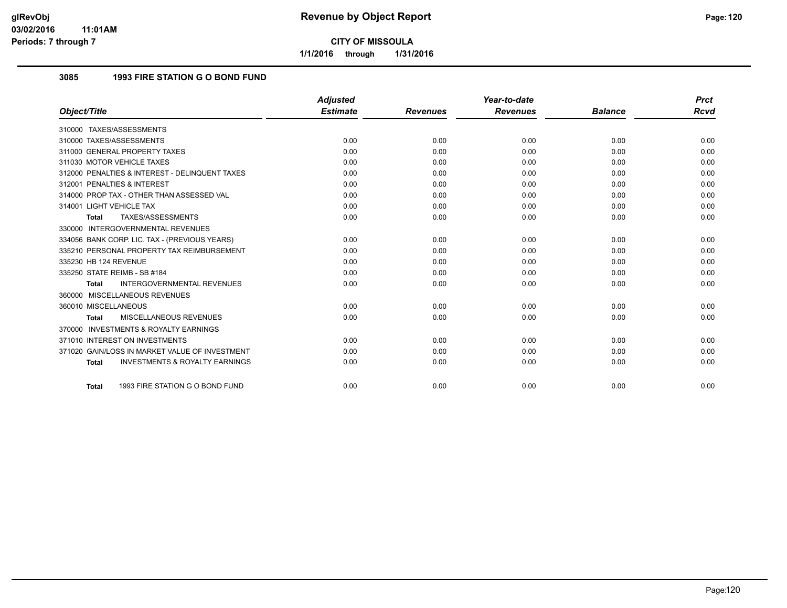**1/1/2016 through 1/31/2016**

## **3085 1993 FIRE STATION G O BOND FUND**

|                                                           | <b>Adjusted</b> |                 | Year-to-date    |                | <b>Prct</b> |
|-----------------------------------------------------------|-----------------|-----------------|-----------------|----------------|-------------|
| Object/Title                                              | <b>Estimate</b> | <b>Revenues</b> | <b>Revenues</b> | <b>Balance</b> | Rcvd        |
| 310000 TAXES/ASSESSMENTS                                  |                 |                 |                 |                |             |
| 310000 TAXES/ASSESSMENTS                                  | 0.00            | 0.00            | 0.00            | 0.00           | 0.00        |
| 311000 GENERAL PROPERTY TAXES                             | 0.00            | 0.00            | 0.00            | 0.00           | 0.00        |
| 311030 MOTOR VEHICLE TAXES                                | 0.00            | 0.00            | 0.00            | 0.00           | 0.00        |
| 312000 PENALTIES & INTEREST - DELINQUENT TAXES            | 0.00            | 0.00            | 0.00            | 0.00           | 0.00        |
| 312001 PENALTIES & INTEREST                               | 0.00            | 0.00            | 0.00            | 0.00           | 0.00        |
| 314000 PROP TAX - OTHER THAN ASSESSED VAL                 | 0.00            | 0.00            | 0.00            | 0.00           | 0.00        |
| 314001 LIGHT VEHICLE TAX                                  | 0.00            | 0.00            | 0.00            | 0.00           | 0.00        |
| TAXES/ASSESSMENTS<br><b>Total</b>                         | 0.00            | 0.00            | 0.00            | 0.00           | 0.00        |
| <b>INTERGOVERNMENTAL REVENUES</b><br>330000               |                 |                 |                 |                |             |
| 334056 BANK CORP. LIC. TAX - (PREVIOUS YEARS)             | 0.00            | 0.00            | 0.00            | 0.00           | 0.00        |
| 335210 PERSONAL PROPERTY TAX REIMBURSEMENT                | 0.00            | 0.00            | 0.00            | 0.00           | 0.00        |
| 335230 HB 124 REVENUE                                     | 0.00            | 0.00            | 0.00            | 0.00           | 0.00        |
| 335250 STATE REIMB - SB #184                              | 0.00            | 0.00            | 0.00            | 0.00           | 0.00        |
| INTERGOVERNMENTAL REVENUES<br><b>Total</b>                | 0.00            | 0.00            | 0.00            | 0.00           | 0.00        |
| 360000 MISCELLANEOUS REVENUES                             |                 |                 |                 |                |             |
| 360010 MISCELLANEOUS                                      | 0.00            | 0.00            | 0.00            | 0.00           | 0.00        |
| <b>MISCELLANEOUS REVENUES</b><br><b>Total</b>             | 0.00            | 0.00            | 0.00            | 0.00           | 0.00        |
| <b>INVESTMENTS &amp; ROYALTY EARNINGS</b><br>370000       |                 |                 |                 |                |             |
| 371010 INTEREST ON INVESTMENTS                            | 0.00            | 0.00            | 0.00            | 0.00           | 0.00        |
| 371020 GAIN/LOSS IN MARKET VALUE OF INVESTMENT            | 0.00            | 0.00            | 0.00            | 0.00           | 0.00        |
| <b>INVESTMENTS &amp; ROYALTY EARNINGS</b><br><b>Total</b> | 0.00            | 0.00            | 0.00            | 0.00           | 0.00        |
| 1993 FIRE STATION G O BOND FUND<br><b>Total</b>           | 0.00            | 0.00            | 0.00            | 0.00           | 0.00        |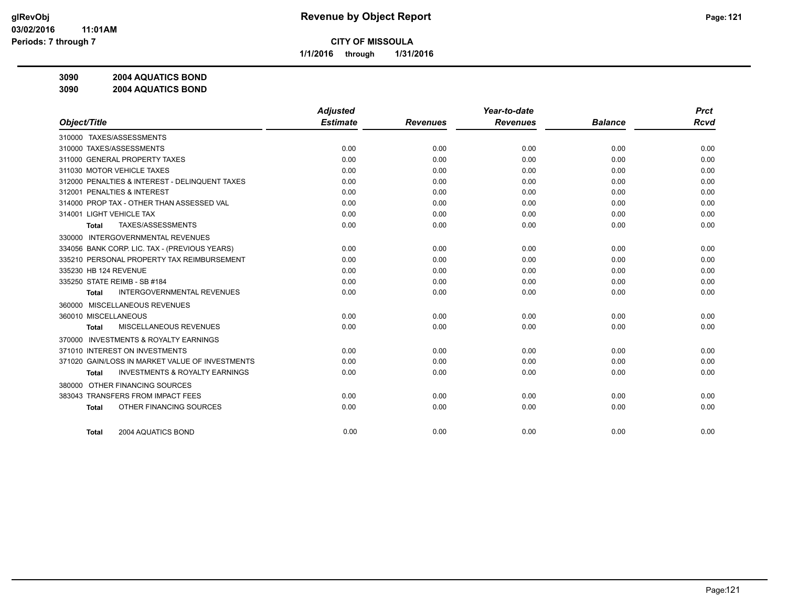**1/1/2016 through 1/31/2016**

**3090 2004 AQUATICS BOND**

**3090 2004 AQUATICS BOND**

|                                                     | <b>Adjusted</b> |                 | Year-to-date    |                | <b>Prct</b> |
|-----------------------------------------------------|-----------------|-----------------|-----------------|----------------|-------------|
| Object/Title                                        | <b>Estimate</b> | <b>Revenues</b> | <b>Revenues</b> | <b>Balance</b> | <b>Rcvd</b> |
| 310000 TAXES/ASSESSMENTS                            |                 |                 |                 |                |             |
| 310000 TAXES/ASSESSMENTS                            | 0.00            | 0.00            | 0.00            | 0.00           | 0.00        |
| 311000 GENERAL PROPERTY TAXES                       | 0.00            | 0.00            | 0.00            | 0.00           | 0.00        |
| 311030 MOTOR VEHICLE TAXES                          | 0.00            | 0.00            | 0.00            | 0.00           | 0.00        |
| 312000 PENALTIES & INTEREST - DELINQUENT TAXES      | 0.00            | 0.00            | 0.00            | 0.00           | 0.00        |
| 312001 PENALTIES & INTEREST                         | 0.00            | 0.00            | 0.00            | 0.00           | 0.00        |
| 314000 PROP TAX - OTHER THAN ASSESSED VAL           | 0.00            | 0.00            | 0.00            | 0.00           | 0.00        |
| 314001 LIGHT VEHICLE TAX                            | 0.00            | 0.00            | 0.00            | 0.00           | 0.00        |
| TAXES/ASSESSMENTS<br>Total                          | 0.00            | 0.00            | 0.00            | 0.00           | 0.00        |
| <b>INTERGOVERNMENTAL REVENUES</b><br>330000         |                 |                 |                 |                |             |
| 334056 BANK CORP. LIC. TAX - (PREVIOUS YEARS)       | 0.00            | 0.00            | 0.00            | 0.00           | 0.00        |
| 335210 PERSONAL PROPERTY TAX REIMBURSEMENT          | 0.00            | 0.00            | 0.00            | 0.00           | 0.00        |
| 335230 HB 124 REVENUE                               | 0.00            | 0.00            | 0.00            | 0.00           | 0.00        |
| 335250 STATE REIMB - SB #184                        | 0.00            | 0.00            | 0.00            | 0.00           | 0.00        |
| <b>INTERGOVERNMENTAL REVENUES</b><br><b>Total</b>   | 0.00            | 0.00            | 0.00            | 0.00           | 0.00        |
| 360000 MISCELLANEOUS REVENUES                       |                 |                 |                 |                |             |
| 360010 MISCELLANEOUS                                | 0.00            | 0.00            | 0.00            | 0.00           | 0.00        |
| MISCELLANEOUS REVENUES<br><b>Total</b>              | 0.00            | 0.00            | 0.00            | 0.00           | 0.00        |
| <b>INVESTMENTS &amp; ROYALTY EARNINGS</b><br>370000 |                 |                 |                 |                |             |
| 371010 INTEREST ON INVESTMENTS                      | 0.00            | 0.00            | 0.00            | 0.00           | 0.00        |
| 371020 GAIN/LOSS IN MARKET VALUE OF INVESTMENTS     | 0.00            | 0.00            | 0.00            | 0.00           | 0.00        |
| <b>INVESTMENTS &amp; ROYALTY EARNINGS</b><br>Total  | 0.00            | 0.00            | 0.00            | 0.00           | 0.00        |
| OTHER FINANCING SOURCES<br>380000                   |                 |                 |                 |                |             |
| 383043 TRANSFERS FROM IMPACT FEES                   | 0.00            | 0.00            | 0.00            | 0.00           | 0.00        |
| OTHER FINANCING SOURCES<br><b>Total</b>             | 0.00            | 0.00            | 0.00            | 0.00           | 0.00        |
|                                                     |                 |                 |                 |                |             |
| 2004 AQUATICS BOND<br><b>Total</b>                  | 0.00            | 0.00            | 0.00            | 0.00           | 0.00        |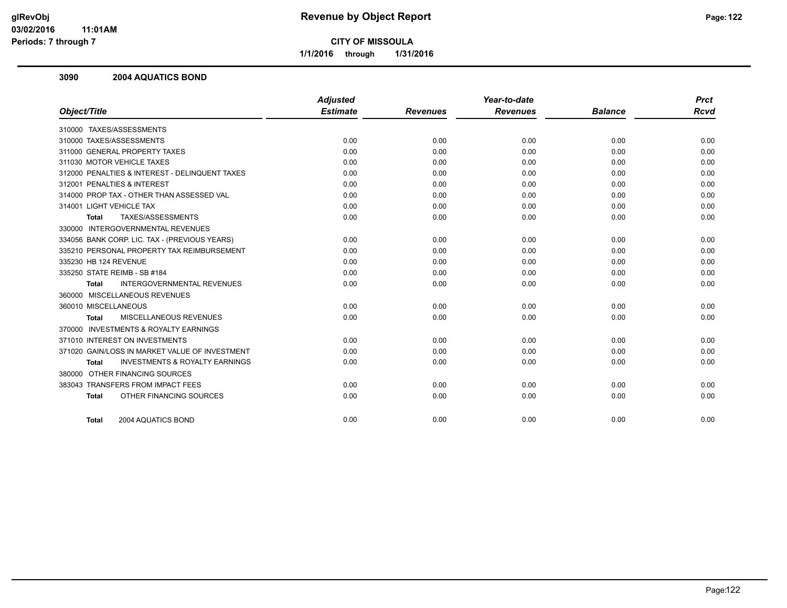**1/1/2016 through 1/31/2016**

#### **3090 2004 AQUATICS BOND**

|                                                           | <b>Adjusted</b> |                 | Year-to-date    |                | <b>Prct</b> |
|-----------------------------------------------------------|-----------------|-----------------|-----------------|----------------|-------------|
| Object/Title                                              | <b>Estimate</b> | <b>Revenues</b> | <b>Revenues</b> | <b>Balance</b> | <b>Rcvd</b> |
| 310000 TAXES/ASSESSMENTS                                  |                 |                 |                 |                |             |
| 310000 TAXES/ASSESSMENTS                                  | 0.00            | 0.00            | 0.00            | 0.00           | 0.00        |
| 311000 GENERAL PROPERTY TAXES                             | 0.00            | 0.00            | 0.00            | 0.00           | 0.00        |
| 311030 MOTOR VEHICLE TAXES                                | 0.00            | 0.00            | 0.00            | 0.00           | 0.00        |
| 312000 PENALTIES & INTEREST - DELINQUENT TAXES            | 0.00            | 0.00            | 0.00            | 0.00           | 0.00        |
| 312001 PENALTIES & INTEREST                               | 0.00            | 0.00            | 0.00            | 0.00           | 0.00        |
| 314000 PROP TAX - OTHER THAN ASSESSED VAL                 | 0.00            | 0.00            | 0.00            | 0.00           | 0.00        |
| 314001 LIGHT VEHICLE TAX                                  | 0.00            | 0.00            | 0.00            | 0.00           | 0.00        |
| TAXES/ASSESSMENTS<br><b>Total</b>                         | 0.00            | 0.00            | 0.00            | 0.00           | 0.00        |
| 330000 INTERGOVERNMENTAL REVENUES                         |                 |                 |                 |                |             |
| 334056 BANK CORP. LIC. TAX - (PREVIOUS YEARS)             | 0.00            | 0.00            | 0.00            | 0.00           | 0.00        |
| 335210 PERSONAL PROPERTY TAX REIMBURSEMENT                | 0.00            | 0.00            | 0.00            | 0.00           | 0.00        |
| 335230 HB 124 REVENUE                                     | 0.00            | 0.00            | 0.00            | 0.00           | 0.00        |
| 335250 STATE REIMB - SB #184                              | 0.00            | 0.00            | 0.00            | 0.00           | 0.00        |
| INTERGOVERNMENTAL REVENUES<br><b>Total</b>                | 0.00            | 0.00            | 0.00            | 0.00           | 0.00        |
| 360000 MISCELLANEOUS REVENUES                             |                 |                 |                 |                |             |
| 360010 MISCELLANEOUS                                      | 0.00            | 0.00            | 0.00            | 0.00           | 0.00        |
| MISCELLANEOUS REVENUES<br><b>Total</b>                    | 0.00            | 0.00            | 0.00            | 0.00           | 0.00        |
| 370000 INVESTMENTS & ROYALTY EARNINGS                     |                 |                 |                 |                |             |
| 371010 INTEREST ON INVESTMENTS                            | 0.00            | 0.00            | 0.00            | 0.00           | 0.00        |
| 371020 GAIN/LOSS IN MARKET VALUE OF INVESTMENT            | 0.00            | 0.00            | 0.00            | 0.00           | 0.00        |
| <b>INVESTMENTS &amp; ROYALTY EARNINGS</b><br><b>Total</b> | 0.00            | 0.00            | 0.00            | 0.00           | 0.00        |
| 380000 OTHER FINANCING SOURCES                            |                 |                 |                 |                |             |
| 383043 TRANSFERS FROM IMPACT FEES                         | 0.00            | 0.00            | 0.00            | 0.00           | 0.00        |
| OTHER FINANCING SOURCES<br><b>Total</b>                   | 0.00            | 0.00            | 0.00            | 0.00           | 0.00        |
| 2004 AQUATICS BOND<br><b>Total</b>                        | 0.00            | 0.00            | 0.00            | 0.00           | 0.00        |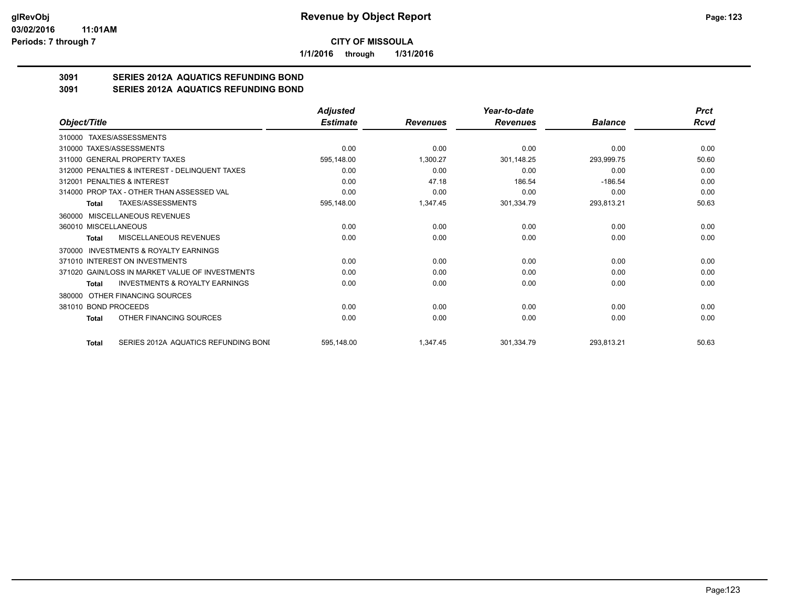**1/1/2016 through 1/31/2016**

## **3091 SERIES 2012A AQUATICS REFUNDING BOND**

**3091 SERIES 2012A AQUATICS REFUNDING BOND**

|                                                           | <b>Adjusted</b> |                 | Year-to-date    |                | <b>Prct</b> |
|-----------------------------------------------------------|-----------------|-----------------|-----------------|----------------|-------------|
| Object/Title                                              | <b>Estimate</b> | <b>Revenues</b> | <b>Revenues</b> | <b>Balance</b> | <b>Rcvd</b> |
| TAXES/ASSESSMENTS<br>310000                               |                 |                 |                 |                |             |
| 310000 TAXES/ASSESSMENTS                                  | 0.00            | 0.00            | 0.00            | 0.00           | 0.00        |
| 311000 GENERAL PROPERTY TAXES                             | 595,148.00      | 1,300.27        | 301,148.25      | 293,999.75     | 50.60       |
| 312000 PENALTIES & INTEREST - DELINQUENT TAXES            | 0.00            | 0.00            | 0.00            | 0.00           | 0.00        |
| 312001 PENALTIES & INTEREST                               | 0.00            | 47.18           | 186.54          | $-186.54$      | 0.00        |
| 314000 PROP TAX - OTHER THAN ASSESSED VAL                 | 0.00            | 0.00            | 0.00            | 0.00           | 0.00        |
| TAXES/ASSESSMENTS<br>Total                                | 595,148.00      | 1,347.45        | 301,334.79      | 293,813.21     | 50.63       |
| 360000 MISCELLANEOUS REVENUES                             |                 |                 |                 |                |             |
| 360010 MISCELLANEOUS                                      | 0.00            | 0.00            | 0.00            | 0.00           | 0.00        |
| MISCELLANEOUS REVENUES<br>Total                           | 0.00            | 0.00            | 0.00            | 0.00           | 0.00        |
| INVESTMENTS & ROYALTY EARNINGS<br>370000                  |                 |                 |                 |                |             |
| 371010 INTEREST ON INVESTMENTS                            | 0.00            | 0.00            | 0.00            | 0.00           | 0.00        |
| 371020 GAIN/LOSS IN MARKET VALUE OF INVESTMENTS           | 0.00            | 0.00            | 0.00            | 0.00           | 0.00        |
| <b>INVESTMENTS &amp; ROYALTY EARNINGS</b><br><b>Total</b> | 0.00            | 0.00            | 0.00            | 0.00           | 0.00        |
| OTHER FINANCING SOURCES<br>380000                         |                 |                 |                 |                |             |
| 381010 BOND PROCEEDS                                      | 0.00            | 0.00            | 0.00            | 0.00           | 0.00        |
| OTHER FINANCING SOURCES<br>Total                          | 0.00            | 0.00            | 0.00            | 0.00           | 0.00        |
| SERIES 2012A AQUATICS REFUNDING BONI<br><b>Total</b>      | 595,148.00      | 1,347.45        | 301,334.79      | 293,813.21     | 50.63       |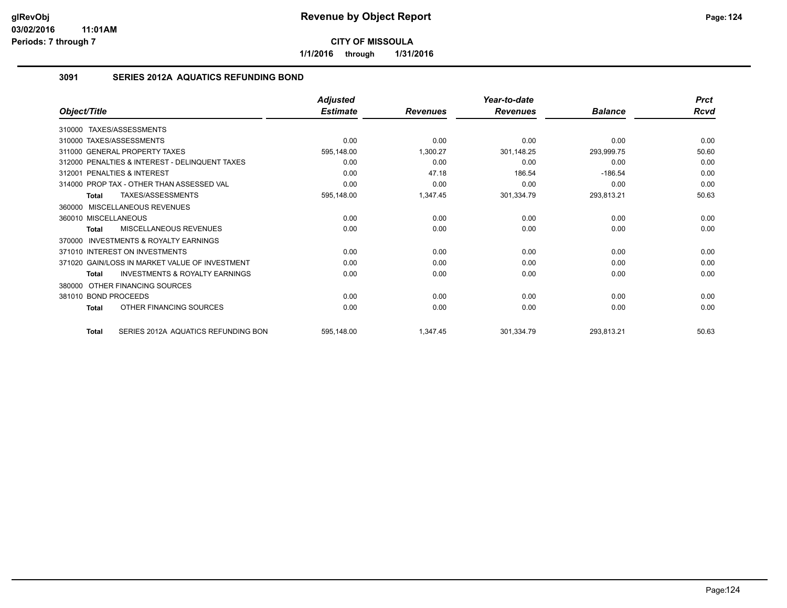**1/1/2016 through 1/31/2016**

### **3091 SERIES 2012A AQUATICS REFUNDING BOND**

|                                                           | <b>Adjusted</b> |                 | Year-to-date    |                | <b>Prct</b> |
|-----------------------------------------------------------|-----------------|-----------------|-----------------|----------------|-------------|
| Object/Title                                              | <b>Estimate</b> | <b>Revenues</b> | <b>Revenues</b> | <b>Balance</b> | Rcvd        |
| 310000 TAXES/ASSESSMENTS                                  |                 |                 |                 |                |             |
| 310000 TAXES/ASSESSMENTS                                  | 0.00            | 0.00            | 0.00            | 0.00           | 0.00        |
| 311000 GENERAL PROPERTY TAXES                             | 595,148.00      | 1,300.27        | 301,148.25      | 293,999.75     | 50.60       |
| 312000 PENALTIES & INTEREST - DELINQUENT TAXES            | 0.00            | 0.00            | 0.00            | 0.00           | 0.00        |
| PENALTIES & INTEREST<br>312001                            | 0.00            | 47.18           | 186.54          | $-186.54$      | 0.00        |
| 314000 PROP TAX - OTHER THAN ASSESSED VAL                 | 0.00            | 0.00            | 0.00            | 0.00           | 0.00        |
| TAXES/ASSESSMENTS<br>Total                                | 595,148.00      | 1,347.45        | 301,334.79      | 293,813.21     | 50.63       |
| 360000 MISCELLANEOUS REVENUES                             |                 |                 |                 |                |             |
| 360010 MISCELLANEOUS                                      | 0.00            | 0.00            | 0.00            | 0.00           | 0.00        |
| MISCELLANEOUS REVENUES<br>Total                           | 0.00            | 0.00            | 0.00            | 0.00           | 0.00        |
| INVESTMENTS & ROYALTY EARNINGS<br>370000                  |                 |                 |                 |                |             |
| 371010 INTEREST ON INVESTMENTS                            | 0.00            | 0.00            | 0.00            | 0.00           | 0.00        |
| 371020 GAIN/LOSS IN MARKET VALUE OF INVESTMENT            | 0.00            | 0.00            | 0.00            | 0.00           | 0.00        |
| <b>INVESTMENTS &amp; ROYALTY EARNINGS</b><br><b>Total</b> | 0.00            | 0.00            | 0.00            | 0.00           | 0.00        |
| OTHER FINANCING SOURCES<br>380000                         |                 |                 |                 |                |             |
| 381010 BOND PROCEEDS                                      | 0.00            | 0.00            | 0.00            | 0.00           | 0.00        |
| OTHER FINANCING SOURCES<br><b>Total</b>                   | 0.00            | 0.00            | 0.00            | 0.00           | 0.00        |
| SERIES 2012A AQUATICS REFUNDING BON<br><b>Total</b>       | 595,148.00      | 1,347.45        | 301,334.79      | 293,813.21     | 50.63       |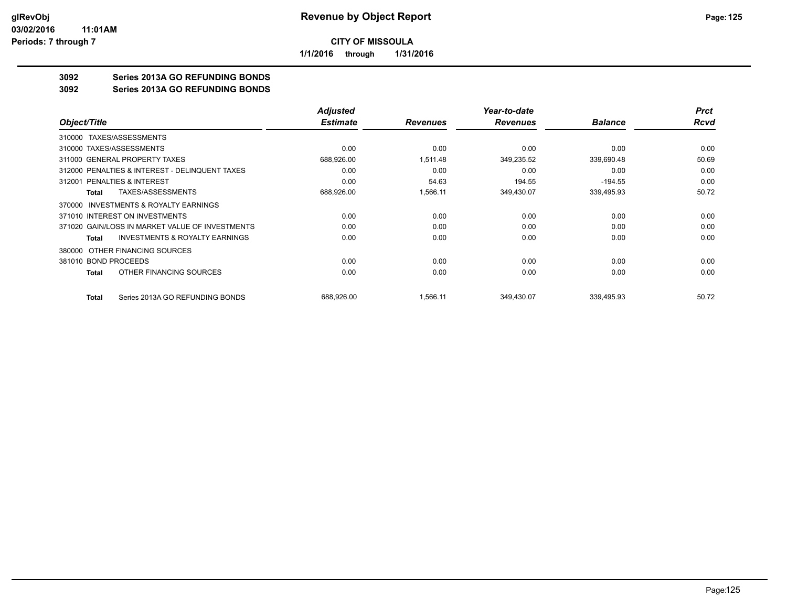**1/1/2016 through 1/31/2016**

## **3092 Series 2013A GO REFUNDING BONDS**

**3092 Series 2013A GO REFUNDING BONDS**

|                                                     | <b>Adjusted</b> |                 | Year-to-date    |                | <b>Prct</b> |
|-----------------------------------------------------|-----------------|-----------------|-----------------|----------------|-------------|
| Object/Title                                        | <b>Estimate</b> | <b>Revenues</b> | <b>Revenues</b> | <b>Balance</b> | Rcvd        |
| TAXES/ASSESSMENTS<br>310000                         |                 |                 |                 |                |             |
| 310000 TAXES/ASSESSMENTS                            | 0.00            | 0.00            | 0.00            | 0.00           | 0.00        |
| 311000 GENERAL PROPERTY TAXES                       | 688,926.00      | 1.511.48        | 349,235.52      | 339,690.48     | 50.69       |
| 312000 PENALTIES & INTEREST - DELINQUENT TAXES      | 0.00            | 0.00            | 0.00            | 0.00           | 0.00        |
| 312001 PENALTIES & INTEREST                         | 0.00            | 54.63           | 194.55          | $-194.55$      | 0.00        |
| <b>TAXES/ASSESSMENTS</b><br>Total                   | 688,926.00      | 1,566.11        | 349,430.07      | 339,495.93     | 50.72       |
| <b>INVESTMENTS &amp; ROYALTY EARNINGS</b><br>370000 |                 |                 |                 |                |             |
| 371010 INTEREST ON INVESTMENTS                      | 0.00            | 0.00            | 0.00            | 0.00           | 0.00        |
| 371020 GAIN/LOSS IN MARKET VALUE OF INVESTMENTS     | 0.00            | 0.00            | 0.00            | 0.00           | 0.00        |
| <b>INVESTMENTS &amp; ROYALTY EARNINGS</b><br>Total  | 0.00            | 0.00            | 0.00            | 0.00           | 0.00        |
| OTHER FINANCING SOURCES<br>380000                   |                 |                 |                 |                |             |
| 381010 BOND PROCEEDS                                | 0.00            | 0.00            | 0.00            | 0.00           | 0.00        |
| OTHER FINANCING SOURCES<br>Total                    | 0.00            | 0.00            | 0.00            | 0.00           | 0.00        |
| Series 2013A GO REFUNDING BONDS<br>Total            | 688,926.00      | 1,566.11        | 349,430.07      | 339,495.93     | 50.72       |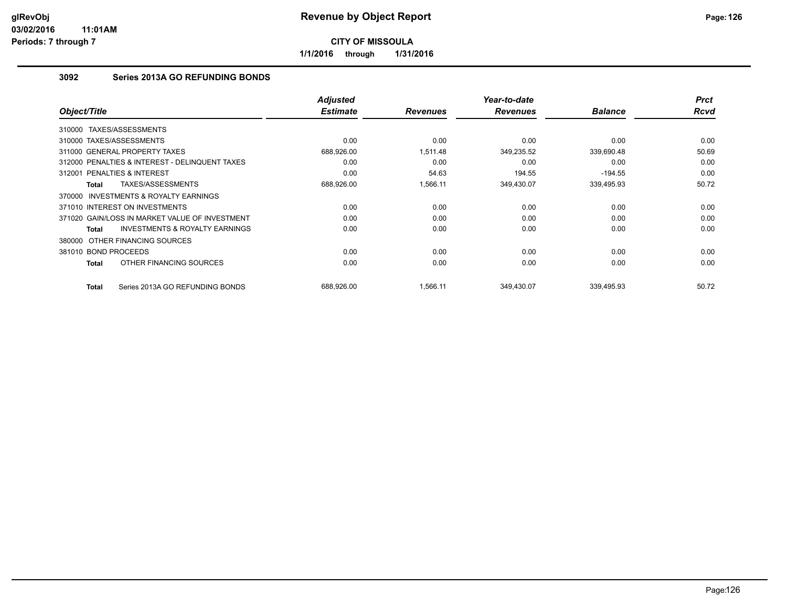**1/1/2016 through 1/31/2016**

## **3092 Series 2013A GO REFUNDING BONDS**

| Object/Title                                              | <b>Adjusted</b><br><b>Estimate</b> | <b>Revenues</b> | Year-to-date<br><b>Revenues</b> | <b>Balance</b> | <b>Prct</b><br><b>Rcvd</b> |
|-----------------------------------------------------------|------------------------------------|-----------------|---------------------------------|----------------|----------------------------|
| TAXES/ASSESSMENTS<br>310000                               |                                    |                 |                                 |                |                            |
| 310000 TAXES/ASSESSMENTS                                  | 0.00                               | 0.00            | 0.00                            | 0.00           | 0.00                       |
| 311000 GENERAL PROPERTY TAXES                             | 688,926.00                         | 1,511.48        | 349,235.52                      | 339,690.48     | 50.69                      |
| 312000 PENALTIES & INTEREST - DELINQUENT TAXES            | 0.00                               | 0.00            | 0.00                            | 0.00           | 0.00                       |
| 312001 PENALTIES & INTEREST                               | 0.00                               | 54.63           | 194.55                          | $-194.55$      | 0.00                       |
| TAXES/ASSESSMENTS<br><b>Total</b>                         | 688,926.00                         | 1,566.11        | 349,430.07                      | 339,495.93     | 50.72                      |
| <b>INVESTMENTS &amp; ROYALTY EARNINGS</b><br>370000       |                                    |                 |                                 |                |                            |
| 371010 INTEREST ON INVESTMENTS                            | 0.00                               | 0.00            | 0.00                            | 0.00           | 0.00                       |
| 371020 GAIN/LOSS IN MARKET VALUE OF INVESTMENT            | 0.00                               | 0.00            | 0.00                            | 0.00           | 0.00                       |
| <b>INVESTMENTS &amp; ROYALTY EARNINGS</b><br><b>Total</b> | 0.00                               | 0.00            | 0.00                            | 0.00           | 0.00                       |
| 380000 OTHER FINANCING SOURCES                            |                                    |                 |                                 |                |                            |
| 381010 BOND PROCEEDS                                      | 0.00                               | 0.00            | 0.00                            | 0.00           | 0.00                       |
| OTHER FINANCING SOURCES<br><b>Total</b>                   | 0.00                               | 0.00            | 0.00                            | 0.00           | 0.00                       |
| Series 2013A GO REFUNDING BONDS<br><b>Total</b>           | 688.926.00                         | 1,566.11        | 349.430.07                      | 339,495.93     | 50.72                      |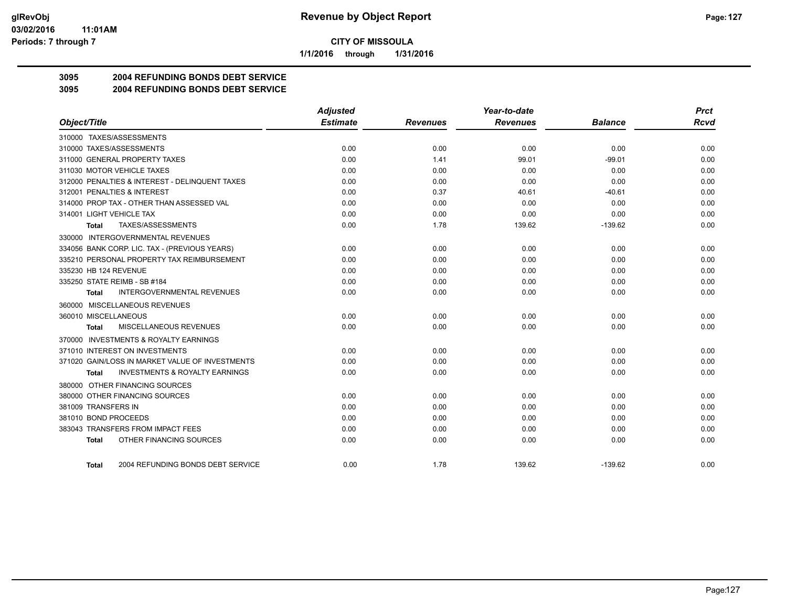**1/1/2016 through 1/31/2016**

## **3095 2004 REFUNDING BONDS DEBT SERVICE**

**3095 2004 REFUNDING BONDS DEBT SERVICE**

|                                                 |                                           | <b>Adjusted</b> |                 | Year-to-date    |                | <b>Prct</b> |
|-------------------------------------------------|-------------------------------------------|-----------------|-----------------|-----------------|----------------|-------------|
| Object/Title                                    |                                           | <b>Estimate</b> | <b>Revenues</b> | <b>Revenues</b> | <b>Balance</b> | <b>Rcvd</b> |
| 310000 TAXES/ASSESSMENTS                        |                                           |                 |                 |                 |                |             |
| 310000 TAXES/ASSESSMENTS                        |                                           | 0.00            | 0.00            | 0.00            | 0.00           | 0.00        |
| 311000 GENERAL PROPERTY TAXES                   |                                           | 0.00            | 1.41            | 99.01           | $-99.01$       | 0.00        |
| 311030 MOTOR VEHICLE TAXES                      |                                           | 0.00            | 0.00            | 0.00            | 0.00           | 0.00        |
| 312000 PENALTIES & INTEREST - DELINQUENT TAXES  |                                           | 0.00            | 0.00            | 0.00            | 0.00           | 0.00        |
| 312001 PENALTIES & INTEREST                     |                                           | 0.00            | 0.37            | 40.61           | $-40.61$       | 0.00        |
| 314000 PROP TAX - OTHER THAN ASSESSED VAL       |                                           | 0.00            | 0.00            | 0.00            | 0.00           | 0.00        |
| 314001 LIGHT VEHICLE TAX                        |                                           | 0.00            | 0.00            | 0.00            | 0.00           | 0.00        |
| TAXES/ASSESSMENTS<br>Total                      |                                           | 0.00            | 1.78            | 139.62          | $-139.62$      | 0.00        |
| 330000 INTERGOVERNMENTAL REVENUES               |                                           |                 |                 |                 |                |             |
| 334056 BANK CORP. LIC. TAX - (PREVIOUS YEARS)   |                                           | 0.00            | 0.00            | 0.00            | 0.00           | 0.00        |
| 335210 PERSONAL PROPERTY TAX REIMBURSEMENT      |                                           | 0.00            | 0.00            | 0.00            | 0.00           | 0.00        |
| 335230 HB 124 REVENUE                           |                                           | 0.00            | 0.00            | 0.00            | 0.00           | 0.00        |
| 335250 STATE REIMB - SB #184                    |                                           | 0.00            | 0.00            | 0.00            | 0.00           | 0.00        |
| Total                                           | <b>INTERGOVERNMENTAL REVENUES</b>         | 0.00            | 0.00            | 0.00            | 0.00           | 0.00        |
| 360000 MISCELLANEOUS REVENUES                   |                                           |                 |                 |                 |                |             |
| 360010 MISCELLANEOUS                            |                                           | 0.00            | 0.00            | 0.00            | 0.00           | 0.00        |
| <b>Total</b>                                    | MISCELLANEOUS REVENUES                    | 0.00            | 0.00            | 0.00            | 0.00           | 0.00        |
| 370000 INVESTMENTS & ROYALTY EARNINGS           |                                           |                 |                 |                 |                |             |
| 371010 INTEREST ON INVESTMENTS                  |                                           | 0.00            | 0.00            | 0.00            | 0.00           | 0.00        |
| 371020 GAIN/LOSS IN MARKET VALUE OF INVESTMENTS |                                           | 0.00            | 0.00            | 0.00            | 0.00           | 0.00        |
| Total                                           | <b>INVESTMENTS &amp; ROYALTY EARNINGS</b> | 0.00            | 0.00            | 0.00            | 0.00           | 0.00        |
| 380000 OTHER FINANCING SOURCES                  |                                           |                 |                 |                 |                |             |
| 380000 OTHER FINANCING SOURCES                  |                                           | 0.00            | 0.00            | 0.00            | 0.00           | 0.00        |
| 381009 TRANSFERS IN                             |                                           | 0.00            | 0.00            | 0.00            | 0.00           | 0.00        |
| 381010 BOND PROCEEDS                            |                                           | 0.00            | 0.00            | 0.00            | 0.00           | 0.00        |
| 383043 TRANSFERS FROM IMPACT FEES               |                                           | 0.00            | 0.00            | 0.00            | 0.00           | 0.00        |
| Total                                           | OTHER FINANCING SOURCES                   | 0.00            | 0.00            | 0.00            | 0.00           | 0.00        |
| Total                                           | 2004 REFUNDING BONDS DEBT SERVICE         | 0.00            | 1.78            | 139.62          | $-139.62$      | 0.00        |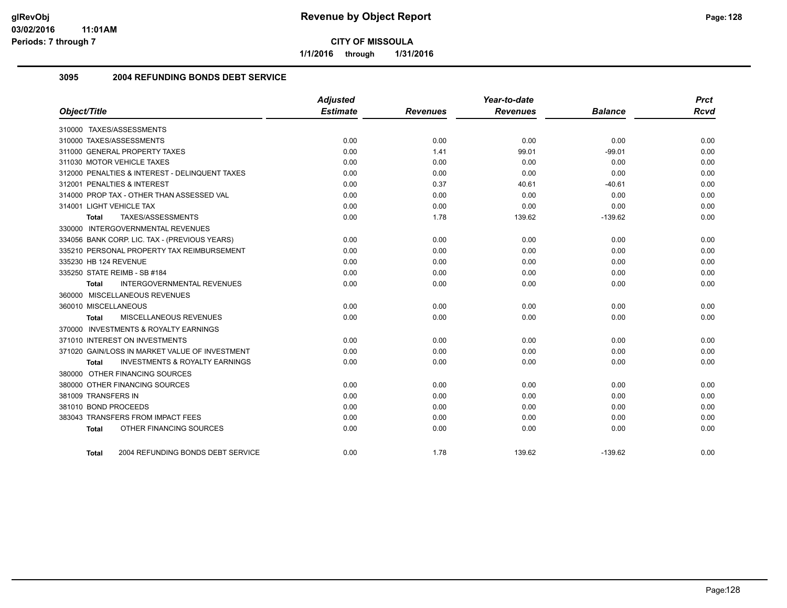**1/1/2016 through 1/31/2016**

## **3095 2004 REFUNDING BONDS DEBT SERVICE**

| Object/Title                                       | <b>Adjusted</b><br><b>Estimate</b> | <b>Revenues</b> | Year-to-date<br><b>Revenues</b> | <b>Balance</b> | <b>Prct</b><br><b>Rcvd</b> |
|----------------------------------------------------|------------------------------------|-----------------|---------------------------------|----------------|----------------------------|
|                                                    |                                    |                 |                                 |                |                            |
| 310000 TAXES/ASSESSMENTS                           |                                    |                 |                                 |                |                            |
| 310000 TAXES/ASSESSMENTS                           | 0.00                               | 0.00            | 0.00                            | 0.00           | 0.00                       |
| 311000 GENERAL PROPERTY TAXES                      | 0.00                               | 1.41            | 99.01                           | $-99.01$       | 0.00                       |
| 311030 MOTOR VEHICLE TAXES                         | 0.00                               | 0.00            | 0.00                            | 0.00           | 0.00                       |
| 312000 PENALTIES & INTEREST - DELINQUENT TAXES     | 0.00                               | 0.00            | 0.00                            | 0.00           | 0.00                       |
| 312001 PENALTIES & INTEREST                        | 0.00                               | 0.37            | 40.61                           | $-40.61$       | 0.00                       |
| 314000 PROP TAX - OTHER THAN ASSESSED VAL          | 0.00                               | 0.00            | 0.00                            | 0.00           | 0.00                       |
| 314001 LIGHT VEHICLE TAX                           | 0.00                               | 0.00            | 0.00                            | 0.00           | 0.00                       |
| TAXES/ASSESSMENTS<br>Total                         | 0.00                               | 1.78            | 139.62                          | $-139.62$      | 0.00                       |
| 330000 INTERGOVERNMENTAL REVENUES                  |                                    |                 |                                 |                |                            |
| 334056 BANK CORP. LIC. TAX - (PREVIOUS YEARS)      | 0.00                               | 0.00            | 0.00                            | 0.00           | 0.00                       |
| 335210 PERSONAL PROPERTY TAX REIMBURSEMENT         | 0.00                               | 0.00            | 0.00                            | 0.00           | 0.00                       |
| 335230 HB 124 REVENUE                              | 0.00                               | 0.00            | 0.00                            | 0.00           | 0.00                       |
| 335250 STATE REIMB - SB #184                       | 0.00                               | 0.00            | 0.00                            | 0.00           | 0.00                       |
| <b>INTERGOVERNMENTAL REVENUES</b><br>Total         | 0.00                               | 0.00            | 0.00                            | 0.00           | 0.00                       |
| 360000 MISCELLANEOUS REVENUES                      |                                    |                 |                                 |                |                            |
| 360010 MISCELLANEOUS                               | 0.00                               | 0.00            | 0.00                            | 0.00           | 0.00                       |
| MISCELLANEOUS REVENUES<br>Total                    | 0.00                               | 0.00            | 0.00                            | 0.00           | 0.00                       |
| 370000 INVESTMENTS & ROYALTY EARNINGS              |                                    |                 |                                 |                |                            |
| 371010 INTEREST ON INVESTMENTS                     | 0.00                               | 0.00            | 0.00                            | 0.00           | 0.00                       |
| 371020 GAIN/LOSS IN MARKET VALUE OF INVESTMENT     | 0.00                               | 0.00            | 0.00                            | 0.00           | 0.00                       |
| <b>INVESTMENTS &amp; ROYALTY EARNINGS</b><br>Total | 0.00                               | 0.00            | 0.00                            | 0.00           | 0.00                       |
| 380000 OTHER FINANCING SOURCES                     |                                    |                 |                                 |                |                            |
| 380000 OTHER FINANCING SOURCES                     | 0.00                               | 0.00            | 0.00                            | 0.00           | 0.00                       |
| 381009 TRANSFERS IN                                | 0.00                               | 0.00            | 0.00                            | 0.00           | 0.00                       |
| 381010 BOND PROCEEDS                               | 0.00                               | 0.00            | 0.00                            | 0.00           | 0.00                       |
| 383043 TRANSFERS FROM IMPACT FEES                  | 0.00                               | 0.00            | 0.00                            | 0.00           | 0.00                       |
| OTHER FINANCING SOURCES<br><b>Total</b>            | 0.00                               | 0.00            | 0.00                            | 0.00           | 0.00                       |
|                                                    |                                    |                 |                                 |                |                            |
| 2004 REFUNDING BONDS DEBT SERVICE<br>Total         | 0.00                               | 1.78            | 139.62                          | $-139.62$      | 0.00                       |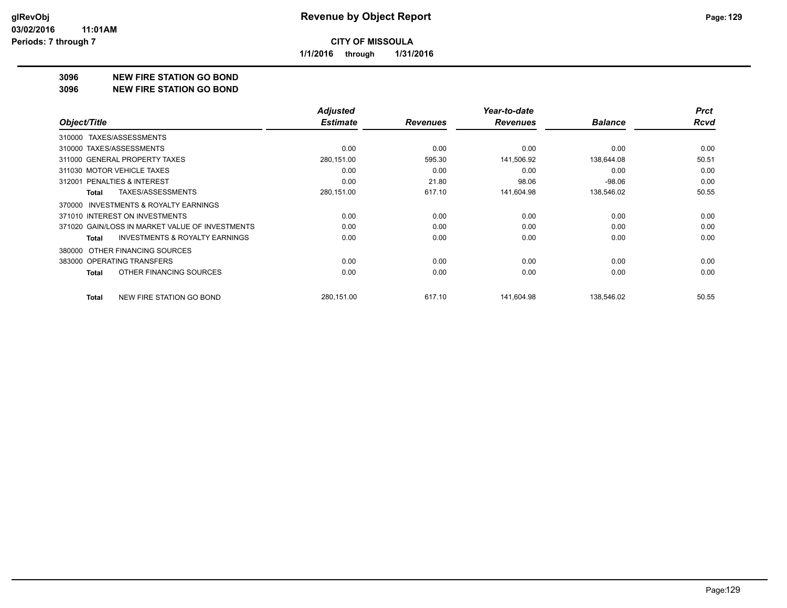**1/1/2016 through 1/31/2016**

#### **3096 NEW FIRE STATION GO BOND**

#### **3096 NEW FIRE STATION GO BOND**

|                                                     | <b>Adjusted</b> |                 | Year-to-date    |                | <b>Prct</b> |
|-----------------------------------------------------|-----------------|-----------------|-----------------|----------------|-------------|
| Object/Title                                        | <b>Estimate</b> | <b>Revenues</b> | <b>Revenues</b> | <b>Balance</b> | <b>Rcvd</b> |
| TAXES/ASSESSMENTS<br>310000                         |                 |                 |                 |                |             |
| 310000 TAXES/ASSESSMENTS                            | 0.00            | 0.00            | 0.00            | 0.00           | 0.00        |
| 311000 GENERAL PROPERTY TAXES                       | 280,151.00      | 595.30          | 141,506.92      | 138,644.08     | 50.51       |
| 311030 MOTOR VEHICLE TAXES                          | 0.00            | 0.00            | 0.00            | 0.00           | 0.00        |
| 312001 PENALTIES & INTEREST                         | 0.00            | 21.80           | 98.06           | $-98.06$       | 0.00        |
| <b>TAXES/ASSESSMENTS</b><br>Total                   | 280,151.00      | 617.10          | 141,604.98      | 138,546.02     | 50.55       |
| <b>INVESTMENTS &amp; ROYALTY EARNINGS</b><br>370000 |                 |                 |                 |                |             |
| 371010 INTEREST ON INVESTMENTS                      | 0.00            | 0.00            | 0.00            | 0.00           | 0.00        |
| 371020 GAIN/LOSS IN MARKET VALUE OF INVESTMENTS     | 0.00            | 0.00            | 0.00            | 0.00           | 0.00        |
| <b>INVESTMENTS &amp; ROYALTY EARNINGS</b><br>Total  | 0.00            | 0.00            | 0.00            | 0.00           | 0.00        |
| OTHER FINANCING SOURCES<br>380000                   |                 |                 |                 |                |             |
| 383000 OPERATING TRANSFERS                          | 0.00            | 0.00            | 0.00            | 0.00           | 0.00        |
| OTHER FINANCING SOURCES<br>Total                    | 0.00            | 0.00            | 0.00            | 0.00           | 0.00        |
| NEW FIRE STATION GO BOND<br>Total                   | 280,151.00      | 617.10          | 141,604.98      | 138,546.02     | 50.55       |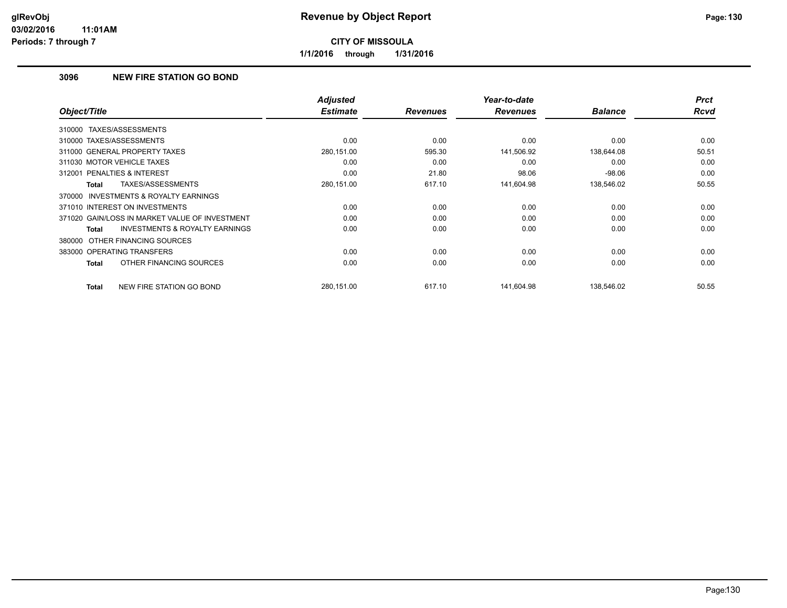**1/1/2016 through 1/31/2016**

## **3096 NEW FIRE STATION GO BOND**

| Object/Title                                        | <b>Adjusted</b><br><b>Estimate</b> | <b>Revenues</b> | Year-to-date<br><b>Revenues</b> | <b>Balance</b> | <b>Prct</b><br><b>Rcvd</b> |
|-----------------------------------------------------|------------------------------------|-----------------|---------------------------------|----------------|----------------------------|
| TAXES/ASSESSMENTS<br>310000                         |                                    |                 |                                 |                |                            |
| 310000 TAXES/ASSESSMENTS                            | 0.00                               | 0.00            | 0.00                            | 0.00           | 0.00                       |
| 311000 GENERAL PROPERTY TAXES                       | 280.151.00                         | 595.30          | 141,506.92                      | 138.644.08     | 50.51                      |
| 311030 MOTOR VEHICLE TAXES                          | 0.00                               | 0.00            | 0.00                            | 0.00           | 0.00                       |
| <b>PENALTIES &amp; INTEREST</b><br>312001           | 0.00                               | 21.80           | 98.06                           | $-98.06$       | 0.00                       |
| TAXES/ASSESSMENTS<br>Total                          | 280,151.00                         | 617.10          | 141,604.98                      | 138,546.02     | 50.55                      |
| <b>INVESTMENTS &amp; ROYALTY EARNINGS</b><br>370000 |                                    |                 |                                 |                |                            |
| 371010 INTEREST ON INVESTMENTS                      | 0.00                               | 0.00            | 0.00                            | 0.00           | 0.00                       |
| 371020 GAIN/LOSS IN MARKET VALUE OF INVESTMENT      | 0.00                               | 0.00            | 0.00                            | 0.00           | 0.00                       |
| <b>INVESTMENTS &amp; ROYALTY EARNINGS</b><br>Total  | 0.00                               | 0.00            | 0.00                            | 0.00           | 0.00                       |
| 380000 OTHER FINANCING SOURCES                      |                                    |                 |                                 |                |                            |
| 383000 OPERATING TRANSFERS                          | 0.00                               | 0.00            | 0.00                            | 0.00           | 0.00                       |
| OTHER FINANCING SOURCES<br>Total                    | 0.00                               | 0.00            | 0.00                            | 0.00           | 0.00                       |
|                                                     |                                    |                 |                                 |                |                            |
| NEW FIRE STATION GO BOND<br>Total                   | 280,151.00                         | 617.10          | 141,604.98                      | 138,546.02     | 50.55                      |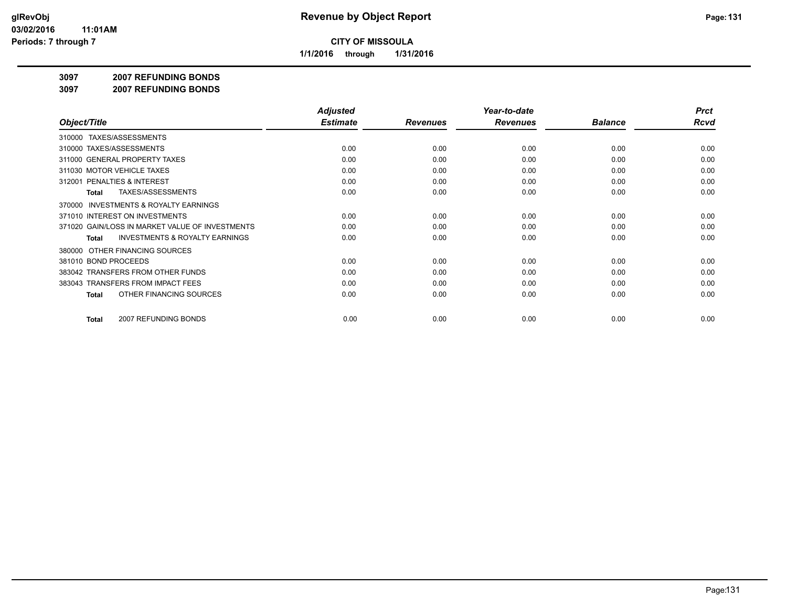**1/1/2016 through 1/31/2016**

**3097 2007 REFUNDING BONDS**

**3097 2007 REFUNDING BONDS**

|                                                     | <b>Adjusted</b> |                 | Year-to-date    |                | <b>Prct</b> |
|-----------------------------------------------------|-----------------|-----------------|-----------------|----------------|-------------|
| Object/Title                                        | <b>Estimate</b> | <b>Revenues</b> | <b>Revenues</b> | <b>Balance</b> | Rcvd        |
| TAXES/ASSESSMENTS<br>310000                         |                 |                 |                 |                |             |
| 310000 TAXES/ASSESSMENTS                            | 0.00            | 0.00            | 0.00            | 0.00           | 0.00        |
| 311000 GENERAL PROPERTY TAXES                       | 0.00            | 0.00            | 0.00            | 0.00           | 0.00        |
| 311030 MOTOR VEHICLE TAXES                          | 0.00            | 0.00            | 0.00            | 0.00           | 0.00        |
| 312001 PENALTIES & INTEREST                         | 0.00            | 0.00            | 0.00            | 0.00           | 0.00        |
| <b>TAXES/ASSESSMENTS</b><br>Total                   | 0.00            | 0.00            | 0.00            | 0.00           | 0.00        |
| <b>INVESTMENTS &amp; ROYALTY EARNINGS</b><br>370000 |                 |                 |                 |                |             |
| 371010 INTEREST ON INVESTMENTS                      | 0.00            | 0.00            | 0.00            | 0.00           | 0.00        |
| 371020 GAIN/LOSS IN MARKET VALUE OF INVESTMENTS     | 0.00            | 0.00            | 0.00            | 0.00           | 0.00        |
| <b>INVESTMENTS &amp; ROYALTY EARNINGS</b><br>Total  | 0.00            | 0.00            | 0.00            | 0.00           | 0.00        |
| OTHER FINANCING SOURCES<br>380000                   |                 |                 |                 |                |             |
| 381010 BOND PROCEEDS                                | 0.00            | 0.00            | 0.00            | 0.00           | 0.00        |
| 383042 TRANSFERS FROM OTHER FUNDS                   | 0.00            | 0.00            | 0.00            | 0.00           | 0.00        |
| 383043 TRANSFERS FROM IMPACT FEES                   | 0.00            | 0.00            | 0.00            | 0.00           | 0.00        |
| OTHER FINANCING SOURCES<br>Total                    | 0.00            | 0.00            | 0.00            | 0.00           | 0.00        |
| 2007 REFUNDING BONDS<br>Total                       | 0.00            | 0.00            | 0.00            | 0.00           | 0.00        |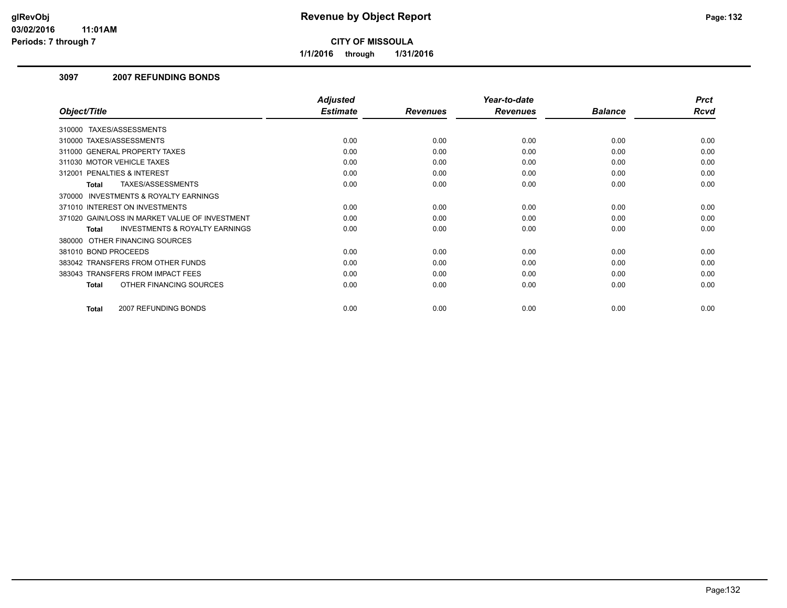**1/1/2016 through 1/31/2016**

### **3097 2007 REFUNDING BONDS**

|                                                           | <b>Adjusted</b> |                 | Year-to-date    |                | <b>Prct</b> |
|-----------------------------------------------------------|-----------------|-----------------|-----------------|----------------|-------------|
| Object/Title                                              | <b>Estimate</b> | <b>Revenues</b> | <b>Revenues</b> | <b>Balance</b> | <b>Rcvd</b> |
| TAXES/ASSESSMENTS<br>310000                               |                 |                 |                 |                |             |
| 310000 TAXES/ASSESSMENTS                                  | 0.00            | 0.00            | 0.00            | 0.00           | 0.00        |
| 311000 GENERAL PROPERTY TAXES                             | 0.00            | 0.00            | 0.00            | 0.00           | 0.00        |
| 311030 MOTOR VEHICLE TAXES                                | 0.00            | 0.00            | 0.00            | 0.00           | 0.00        |
| 312001 PENALTIES & INTEREST                               | 0.00            | 0.00            | 0.00            | 0.00           | 0.00        |
| TAXES/ASSESSMENTS<br>Total                                | 0.00            | 0.00            | 0.00            | 0.00           | 0.00        |
| <b>INVESTMENTS &amp; ROYALTY EARNINGS</b><br>370000       |                 |                 |                 |                |             |
| 371010 INTEREST ON INVESTMENTS                            | 0.00            | 0.00            | 0.00            | 0.00           | 0.00        |
| 371020 GAIN/LOSS IN MARKET VALUE OF INVESTMENT            | 0.00            | 0.00            | 0.00            | 0.00           | 0.00        |
| <b>INVESTMENTS &amp; ROYALTY EARNINGS</b><br><b>Total</b> | 0.00            | 0.00            | 0.00            | 0.00           | 0.00        |
| 380000 OTHER FINANCING SOURCES                            |                 |                 |                 |                |             |
| 381010 BOND PROCEEDS                                      | 0.00            | 0.00            | 0.00            | 0.00           | 0.00        |
| 383042 TRANSFERS FROM OTHER FUNDS                         | 0.00            | 0.00            | 0.00            | 0.00           | 0.00        |
| 383043 TRANSFERS FROM IMPACT FEES                         | 0.00            | 0.00            | 0.00            | 0.00           | 0.00        |
| OTHER FINANCING SOURCES<br><b>Total</b>                   | 0.00            | 0.00            | 0.00            | 0.00           | 0.00        |
| 2007 REFUNDING BONDS<br><b>Total</b>                      | 0.00            | 0.00            | 0.00            | 0.00           | 0.00        |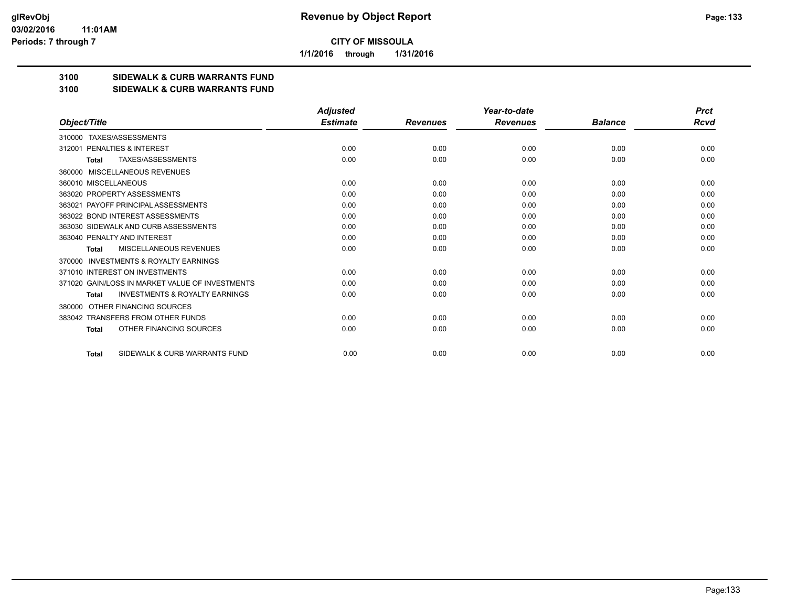**1/1/2016 through 1/31/2016**

## **3100 SIDEWALK & CURB WARRANTS FUND**

#### **3100 SIDEWALK & CURB WARRANTS FUND**

|                                                           | <b>Adjusted</b> |                 | Year-to-date    |                | <b>Prct</b> |
|-----------------------------------------------------------|-----------------|-----------------|-----------------|----------------|-------------|
| Object/Title                                              | <b>Estimate</b> | <b>Revenues</b> | <b>Revenues</b> | <b>Balance</b> | <b>Rcvd</b> |
| TAXES/ASSESSMENTS<br>310000                               |                 |                 |                 |                |             |
| PENALTIES & INTEREST<br>312001                            | 0.00            | 0.00            | 0.00            | 0.00           | 0.00        |
| TAXES/ASSESSMENTS<br><b>Total</b>                         | 0.00            | 0.00            | 0.00            | 0.00           | 0.00        |
| MISCELLANEOUS REVENUES<br>360000                          |                 |                 |                 |                |             |
| 360010 MISCELLANEOUS                                      | 0.00            | 0.00            | 0.00            | 0.00           | 0.00        |
| 363020 PROPERTY ASSESSMENTS                               | 0.00            | 0.00            | 0.00            | 0.00           | 0.00        |
| 363021 PAYOFF PRINCIPAL ASSESSMENTS                       | 0.00            | 0.00            | 0.00            | 0.00           | 0.00        |
| 363022 BOND INTEREST ASSESSMENTS                          | 0.00            | 0.00            | 0.00            | 0.00           | 0.00        |
| 363030 SIDEWALK AND CURB ASSESSMENTS                      | 0.00            | 0.00            | 0.00            | 0.00           | 0.00        |
| 363040 PENALTY AND INTEREST                               | 0.00            | 0.00            | 0.00            | 0.00           | 0.00        |
| MISCELLANEOUS REVENUES<br><b>Total</b>                    | 0.00            | 0.00            | 0.00            | 0.00           | 0.00        |
| <b>INVESTMENTS &amp; ROYALTY EARNINGS</b><br>370000       |                 |                 |                 |                |             |
| 371010 INTEREST ON INVESTMENTS                            | 0.00            | 0.00            | 0.00            | 0.00           | 0.00        |
| 371020 GAIN/LOSS IN MARKET VALUE OF INVESTMENTS           | 0.00            | 0.00            | 0.00            | 0.00           | 0.00        |
| <b>INVESTMENTS &amp; ROYALTY EARNINGS</b><br><b>Total</b> | 0.00            | 0.00            | 0.00            | 0.00           | 0.00        |
| OTHER FINANCING SOURCES<br>380000                         |                 |                 |                 |                |             |
| 383042 TRANSFERS FROM OTHER FUNDS                         | 0.00            | 0.00            | 0.00            | 0.00           | 0.00        |
| OTHER FINANCING SOURCES<br><b>Total</b>                   | 0.00            | 0.00            | 0.00            | 0.00           | 0.00        |
| SIDEWALK & CURB WARRANTS FUND<br><b>Total</b>             | 0.00            | 0.00            | 0.00            | 0.00           | 0.00        |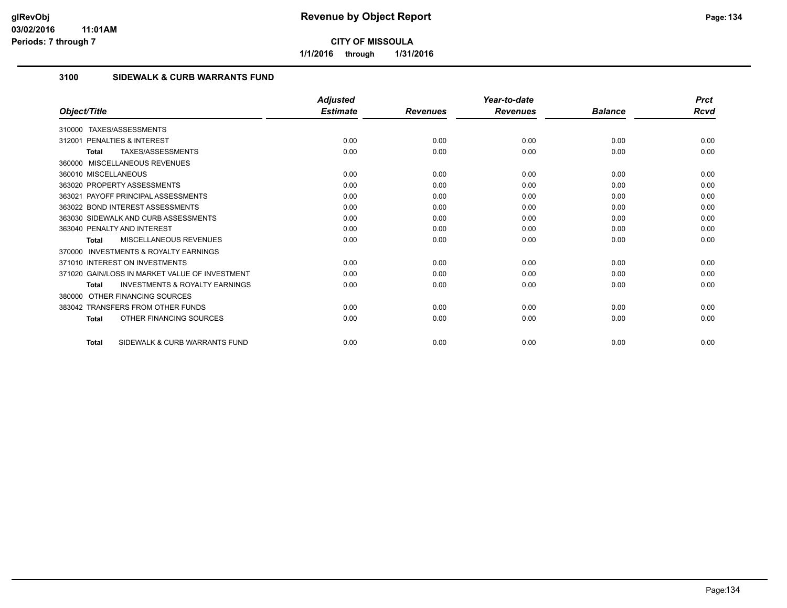**1/1/2016 through 1/31/2016**

## **3100 SIDEWALK & CURB WARRANTS FUND**

|                                                           | <b>Adjusted</b> |                 | Year-to-date    |                | <b>Prct</b> |
|-----------------------------------------------------------|-----------------|-----------------|-----------------|----------------|-------------|
| Object/Title                                              | <b>Estimate</b> | <b>Revenues</b> | <b>Revenues</b> | <b>Balance</b> | Rcvd        |
| TAXES/ASSESSMENTS<br>310000                               |                 |                 |                 |                |             |
| <b>PENALTIES &amp; INTEREST</b><br>312001                 | 0.00            | 0.00            | 0.00            | 0.00           | 0.00        |
| TAXES/ASSESSMENTS<br>Total                                | 0.00            | 0.00            | 0.00            | 0.00           | 0.00        |
| 360000 MISCELLANEOUS REVENUES                             |                 |                 |                 |                |             |
| 360010 MISCELLANEOUS                                      | 0.00            | 0.00            | 0.00            | 0.00           | 0.00        |
| 363020 PROPERTY ASSESSMENTS                               | 0.00            | 0.00            | 0.00            | 0.00           | 0.00        |
| 363021 PAYOFF PRINCIPAL ASSESSMENTS                       | 0.00            | 0.00            | 0.00            | 0.00           | 0.00        |
| 363022 BOND INTEREST ASSESSMENTS                          | 0.00            | 0.00            | 0.00            | 0.00           | 0.00        |
| 363030 SIDEWALK AND CURB ASSESSMENTS                      | 0.00            | 0.00            | 0.00            | 0.00           | 0.00        |
| 363040 PENALTY AND INTEREST                               | 0.00            | 0.00            | 0.00            | 0.00           | 0.00        |
| MISCELLANEOUS REVENUES<br>Total                           | 0.00            | 0.00            | 0.00            | 0.00           | 0.00        |
| <b>INVESTMENTS &amp; ROYALTY EARNINGS</b><br>370000       |                 |                 |                 |                |             |
| 371010 INTEREST ON INVESTMENTS                            | 0.00            | 0.00            | 0.00            | 0.00           | 0.00        |
| 371020 GAIN/LOSS IN MARKET VALUE OF INVESTMENT            | 0.00            | 0.00            | 0.00            | 0.00           | 0.00        |
| <b>INVESTMENTS &amp; ROYALTY EARNINGS</b><br><b>Total</b> | 0.00            | 0.00            | 0.00            | 0.00           | 0.00        |
| OTHER FINANCING SOURCES<br>380000                         |                 |                 |                 |                |             |
| 383042 TRANSFERS FROM OTHER FUNDS                         | 0.00            | 0.00            | 0.00            | 0.00           | 0.00        |
| OTHER FINANCING SOURCES<br><b>Total</b>                   | 0.00            | 0.00            | 0.00            | 0.00           | 0.00        |
| SIDEWALK & CURB WARRANTS FUND<br><b>Total</b>             | 0.00            | 0.00            | 0.00            | 0.00           | 0.00        |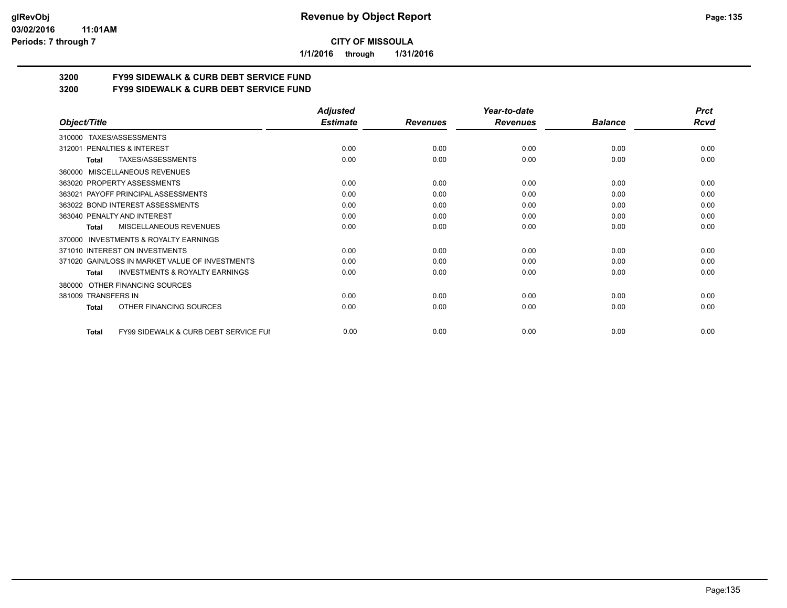#### **03/02/2016 11:01AM Periods: 7 through 7**

**CITY OF MISSOULA**

**1/1/2016 through 1/31/2016**

## **3200 FY99 SIDEWALK & CURB DEBT SERVICE FUND**

**3200 FY99 SIDEWALK & CURB DEBT SERVICE FUND**

|                                                           | <b>Adjusted</b> |                 | Year-to-date    |                | <b>Prct</b> |
|-----------------------------------------------------------|-----------------|-----------------|-----------------|----------------|-------------|
| Object/Title                                              | <b>Estimate</b> | <b>Revenues</b> | <b>Revenues</b> | <b>Balance</b> | Rcvd        |
| TAXES/ASSESSMENTS<br>310000                               |                 |                 |                 |                |             |
| PENALTIES & INTEREST<br>312001                            | 0.00            | 0.00            | 0.00            | 0.00           | 0.00        |
| TAXES/ASSESSMENTS<br>Total                                | 0.00            | 0.00            | 0.00            | 0.00           | 0.00        |
| MISCELLANEOUS REVENUES<br>360000                          |                 |                 |                 |                |             |
| 363020 PROPERTY ASSESSMENTS                               | 0.00            | 0.00            | 0.00            | 0.00           | 0.00        |
| 363021 PAYOFF PRINCIPAL ASSESSMENTS                       | 0.00            | 0.00            | 0.00            | 0.00           | 0.00        |
| 363022 BOND INTEREST ASSESSMENTS                          | 0.00            | 0.00            | 0.00            | 0.00           | 0.00        |
| 363040 PENALTY AND INTEREST                               | 0.00            | 0.00            | 0.00            | 0.00           | 0.00        |
| <b>MISCELLANEOUS REVENUES</b><br>Total                    | 0.00            | 0.00            | 0.00            | 0.00           | 0.00        |
| <b>INVESTMENTS &amp; ROYALTY EARNINGS</b><br>370000       |                 |                 |                 |                |             |
| 371010 INTEREST ON INVESTMENTS                            | 0.00            | 0.00            | 0.00            | 0.00           | 0.00        |
| 371020 GAIN/LOSS IN MARKET VALUE OF INVESTMENTS           | 0.00            | 0.00            | 0.00            | 0.00           | 0.00        |
| <b>INVESTMENTS &amp; ROYALTY EARNINGS</b><br><b>Total</b> | 0.00            | 0.00            | 0.00            | 0.00           | 0.00        |
| OTHER FINANCING SOURCES<br>380000                         |                 |                 |                 |                |             |
| 381009 TRANSFERS IN                                       | 0.00            | 0.00            | 0.00            | 0.00           | 0.00        |
| OTHER FINANCING SOURCES<br><b>Total</b>                   | 0.00            | 0.00            | 0.00            | 0.00           | 0.00        |
| FY99 SIDEWALK & CURB DEBT SERVICE FUI<br><b>Total</b>     | 0.00            | 0.00            | 0.00            | 0.00           | 0.00        |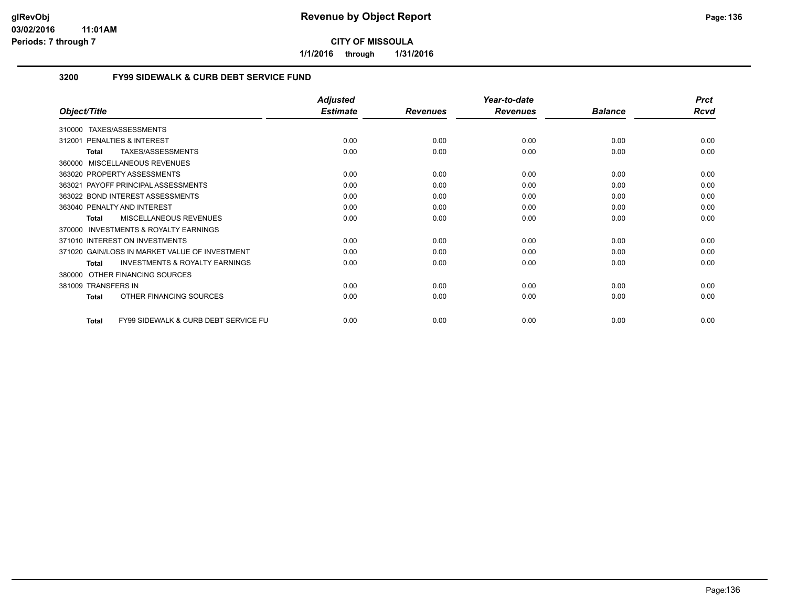**1/1/2016 through 1/31/2016**

## **3200 FY99 SIDEWALK & CURB DEBT SERVICE FUND**

|                                                                 | <b>Adjusted</b> |                 | Year-to-date    |                | <b>Prct</b> |
|-----------------------------------------------------------------|-----------------|-----------------|-----------------|----------------|-------------|
| Object/Title                                                    | <b>Estimate</b> | <b>Revenues</b> | <b>Revenues</b> | <b>Balance</b> | <b>Rcvd</b> |
| TAXES/ASSESSMENTS<br>310000                                     |                 |                 |                 |                |             |
| PENALTIES & INTEREST<br>312001                                  | 0.00            | 0.00            | 0.00            | 0.00           | 0.00        |
| TAXES/ASSESSMENTS<br>Total                                      | 0.00            | 0.00            | 0.00            | 0.00           | 0.00        |
| MISCELLANEOUS REVENUES<br>360000                                |                 |                 |                 |                |             |
| 363020 PROPERTY ASSESSMENTS                                     | 0.00            | 0.00            | 0.00            | 0.00           | 0.00        |
| PAYOFF PRINCIPAL ASSESSMENTS<br>363021                          | 0.00            | 0.00            | 0.00            | 0.00           | 0.00        |
| 363022 BOND INTEREST ASSESSMENTS                                | 0.00            | 0.00            | 0.00            | 0.00           | 0.00        |
| 363040 PENALTY AND INTEREST                                     | 0.00            | 0.00            | 0.00            | 0.00           | 0.00        |
| <b>MISCELLANEOUS REVENUES</b><br>Total                          | 0.00            | 0.00            | 0.00            | 0.00           | 0.00        |
| INVESTMENTS & ROYALTY EARNINGS<br>370000                        |                 |                 |                 |                |             |
| 371010 INTEREST ON INVESTMENTS                                  | 0.00            | 0.00            | 0.00            | 0.00           | 0.00        |
| 371020 GAIN/LOSS IN MARKET VALUE OF INVESTMENT                  | 0.00            | 0.00            | 0.00            | 0.00           | 0.00        |
| <b>INVESTMENTS &amp; ROYALTY EARNINGS</b><br>Total              | 0.00            | 0.00            | 0.00            | 0.00           | 0.00        |
| OTHER FINANCING SOURCES<br>380000                               |                 |                 |                 |                |             |
| 381009 TRANSFERS IN                                             | 0.00            | 0.00            | 0.00            | 0.00           | 0.00        |
| OTHER FINANCING SOURCES<br><b>Total</b>                         | 0.00            | 0.00            | 0.00            | 0.00           | 0.00        |
| <b>FY99 SIDEWALK &amp; CURB DEBT SERVICE FU</b><br><b>Total</b> | 0.00            | 0.00            | 0.00            | 0.00           | 0.00        |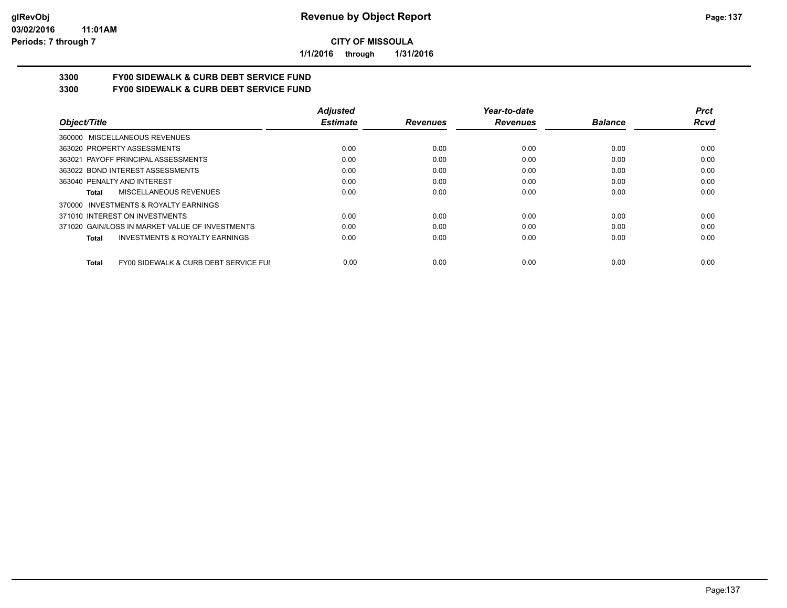**1/1/2016 through 1/31/2016**

# **3300 FY00 SIDEWALK & CURB DEBT SERVICE FUND**

**3300 FY00 SIDEWALK & CURB DEBT SERVICE FUND**

|                                                                  | <b>Adjusted</b> |                 | Year-to-date    |                | <b>Prct</b> |
|------------------------------------------------------------------|-----------------|-----------------|-----------------|----------------|-------------|
| Object/Title                                                     | <b>Estimate</b> | <b>Revenues</b> | <b>Revenues</b> | <b>Balance</b> | <b>Rcvd</b> |
| 360000 MISCELLANEOUS REVENUES                                    |                 |                 |                 |                |             |
| 363020 PROPERTY ASSESSMENTS                                      | 0.00            | 0.00            | 0.00            | 0.00           | 0.00        |
| 363021 PAYOFF PRINCIPAL ASSESSMENTS                              | 0.00            | 0.00            | 0.00            | 0.00           | 0.00        |
| 363022 BOND INTEREST ASSESSMENTS                                 | 0.00            | 0.00            | 0.00            | 0.00           | 0.00        |
| 363040 PENALTY AND INTEREST                                      | 0.00            | 0.00            | 0.00            | 0.00           | 0.00        |
| MISCELLANEOUS REVENUES<br>Total                                  | 0.00            | 0.00            | 0.00            | 0.00           | 0.00        |
| INVESTMENTS & ROYALTY EARNINGS<br>370000                         |                 |                 |                 |                |             |
| 371010 INTEREST ON INVESTMENTS                                   | 0.00            | 0.00            | 0.00            | 0.00           | 0.00        |
| 371020 GAIN/LOSS IN MARKET VALUE OF INVESTMENTS                  | 0.00            | 0.00            | 0.00            | 0.00           | 0.00        |
| <b>INVESTMENTS &amp; ROYALTY EARNINGS</b><br>Total               | 0.00            | 0.00            | 0.00            | 0.00           | 0.00        |
| <b>FY00 SIDEWALK &amp; CURB DEBT SERVICE FUI</b><br><b>Total</b> | 0.00            | 0.00            | 0.00            | 0.00           | 0.00        |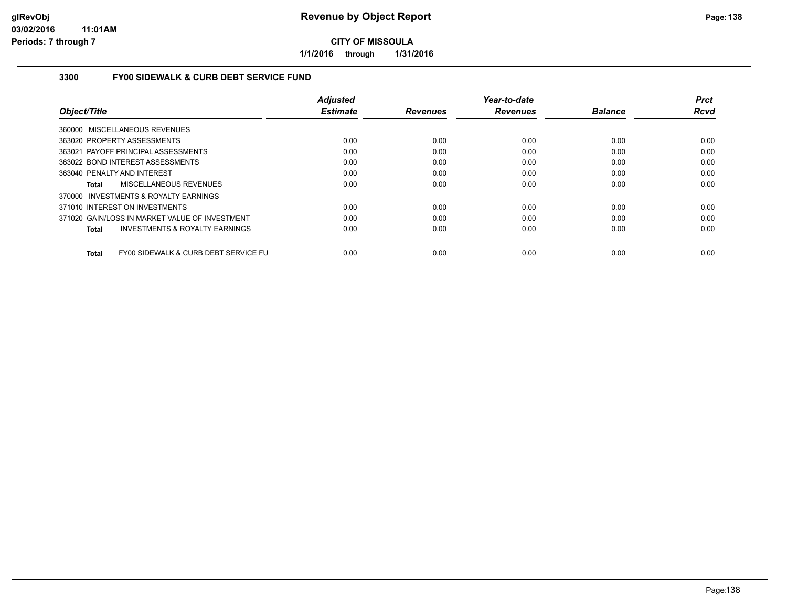**1/1/2016 through 1/31/2016**

## **3300 FY00 SIDEWALK & CURB DEBT SERVICE FUND**

|                                                      | <b>Adjusted</b> |                 | Year-to-date    |                | Prct        |
|------------------------------------------------------|-----------------|-----------------|-----------------|----------------|-------------|
| Object/Title                                         | <b>Estimate</b> | <b>Revenues</b> | <b>Revenues</b> | <b>Balance</b> | <b>Rcvd</b> |
| 360000 MISCELLANEOUS REVENUES                        |                 |                 |                 |                |             |
| 363020 PROPERTY ASSESSMENTS                          | 0.00            | 0.00            | 0.00            | 0.00           | 0.00        |
| 363021 PAYOFF PRINCIPAL ASSESSMENTS                  | 0.00            | 0.00            | 0.00            | 0.00           | 0.00        |
| 363022 BOND INTEREST ASSESSMENTS                     | 0.00            | 0.00            | 0.00            | 0.00           | 0.00        |
| 363040 PENALTY AND INTEREST                          | 0.00            | 0.00            | 0.00            | 0.00           | 0.00        |
| MISCELLANEOUS REVENUES<br>Total                      | 0.00            | 0.00            | 0.00            | 0.00           | 0.00        |
| 370000 INVESTMENTS & ROYALTY EARNINGS                |                 |                 |                 |                |             |
| 371010 INTEREST ON INVESTMENTS                       | 0.00            | 0.00            | 0.00            | 0.00           | 0.00        |
| 371020 GAIN/LOSS IN MARKET VALUE OF INVESTMENT       | 0.00            | 0.00            | 0.00            | 0.00           | 0.00        |
| <b>INVESTMENTS &amp; ROYALTY EARNINGS</b><br>Total   | 0.00            | 0.00            | 0.00            | 0.00           | 0.00        |
| FY00 SIDEWALK & CURB DEBT SERVICE FU<br><b>Total</b> | 0.00            | 0.00            | 0.00            | 0.00           | 0.00        |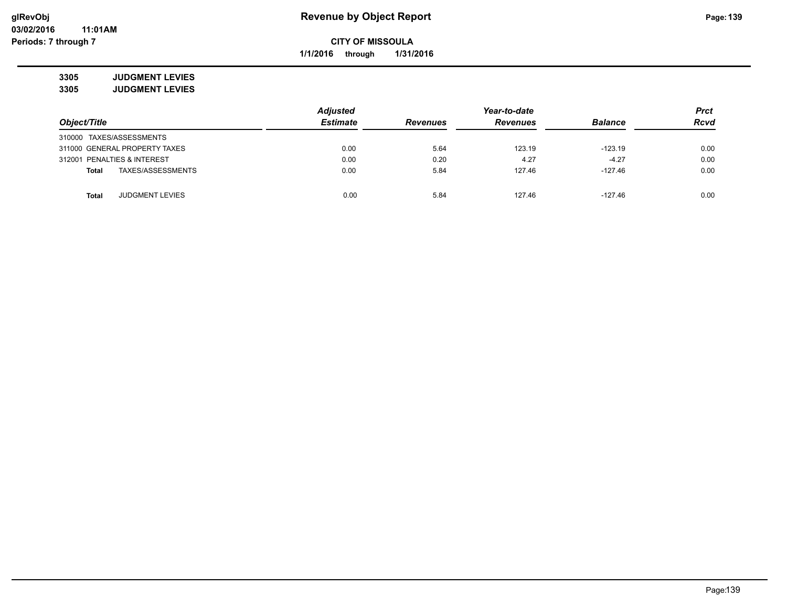**1/1/2016 through 1/31/2016**

**3305 JUDGMENT LEVIES 3305 JUDGMENT LEVIES**

|                               |                        | <b>Adjusted</b> |                 | Year-to-date    |                | <b>Prct</b> |
|-------------------------------|------------------------|-----------------|-----------------|-----------------|----------------|-------------|
| Object/Title                  |                        | <b>Estimate</b> | <b>Revenues</b> | <b>Revenues</b> | <b>Balance</b> | <b>Rcvd</b> |
| 310000 TAXES/ASSESSMENTS      |                        |                 |                 |                 |                |             |
| 311000 GENERAL PROPERTY TAXES |                        | 0.00            | 5.64            | 123.19          | $-123.19$      | 0.00        |
| 312001 PENALTIES & INTEREST   |                        | 0.00            | 0.20            | 4.27            | $-4.27$        | 0.00        |
| <b>Total</b>                  | TAXES/ASSESSMENTS      | 0.00            | 5.84            | 127.46          | $-127.46$      | 0.00        |
|                               |                        |                 |                 |                 |                |             |
| Total                         | <b>JUDGMENT LEVIES</b> | 0.00            | 5.84            | 127.46          | $-127.46$      | 0.00        |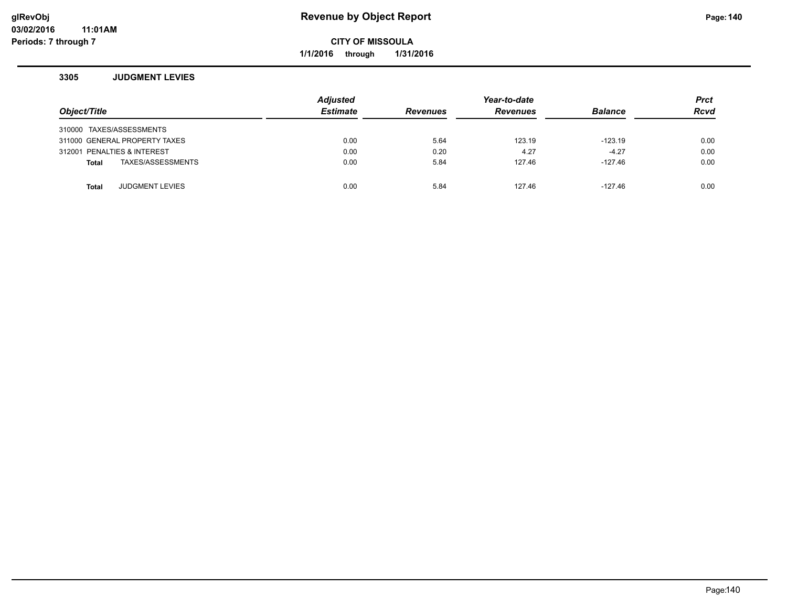## **glRevObj Revenue by Object Report Page:140**

**CITY OF MISSOULA**

**1/1/2016 through 1/31/2016**

#### **3305 JUDGMENT LEVIES**

| Object/Title                           | <b>Adjusted</b><br><b>Estimate</b> | <b>Revenues</b> | Year-to-date<br><b>Revenues</b> | <b>Balance</b> | <b>Prct</b><br><b>Rcvd</b> |
|----------------------------------------|------------------------------------|-----------------|---------------------------------|----------------|----------------------------|
| 310000 TAXES/ASSESSMENTS               |                                    |                 |                                 |                |                            |
| 311000 GENERAL PROPERTY TAXES          | 0.00                               | 5.64            | 123.19                          | $-123.19$      | 0.00                       |
| 312001 PENALTIES & INTEREST            | 0.00                               | 0.20            | 4.27                            | $-4.27$        | 0.00                       |
| TAXES/ASSESSMENTS<br><b>Total</b>      | 0.00                               | 5.84            | 127.46                          | $-127.46$      | 0.00                       |
|                                        |                                    |                 |                                 |                |                            |
| <b>JUDGMENT LEVIES</b><br><b>Total</b> | 0.00                               | 5.84            | 127.46                          | -127.46        | 0.00                       |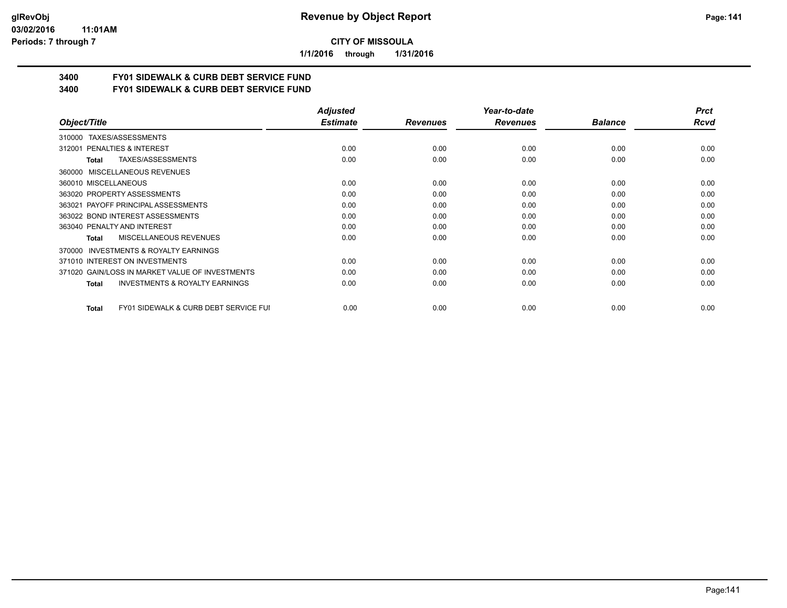#### **03/02/2016 11:01AM Periods: 7 through 7**

**CITY OF MISSOULA**

**1/1/2016 through 1/31/2016**

# **3400 FY01 SIDEWALK & CURB DEBT SERVICE FUND**

**3400 FY01 SIDEWALK & CURB DEBT SERVICE FUND**

|                                                           | <b>Adjusted</b> |                 | Year-to-date    |                | <b>Prct</b> |
|-----------------------------------------------------------|-----------------|-----------------|-----------------|----------------|-------------|
| Object/Title                                              | <b>Estimate</b> | <b>Revenues</b> | <b>Revenues</b> | <b>Balance</b> | Rcvd        |
| TAXES/ASSESSMENTS<br>310000                               |                 |                 |                 |                |             |
| 312001 PENALTIES & INTEREST                               | 0.00            | 0.00            | 0.00            | 0.00           | 0.00        |
| TAXES/ASSESSMENTS<br>Total                                | 0.00            | 0.00            | 0.00            | 0.00           | 0.00        |
| MISCELLANEOUS REVENUES<br>360000                          |                 |                 |                 |                |             |
| 360010 MISCELLANEOUS                                      | 0.00            | 0.00            | 0.00            | 0.00           | 0.00        |
| 363020 PROPERTY ASSESSMENTS                               | 0.00            | 0.00            | 0.00            | 0.00           | 0.00        |
| 363021 PAYOFF PRINCIPAL ASSESSMENTS                       | 0.00            | 0.00            | 0.00            | 0.00           | 0.00        |
| 363022 BOND INTEREST ASSESSMENTS                          | 0.00            | 0.00            | 0.00            | 0.00           | 0.00        |
| 363040 PENALTY AND INTEREST                               | 0.00            | 0.00            | 0.00            | 0.00           | 0.00        |
| MISCELLANEOUS REVENUES<br>Total                           | 0.00            | 0.00            | 0.00            | 0.00           | 0.00        |
| <b>INVESTMENTS &amp; ROYALTY EARNINGS</b><br>370000       |                 |                 |                 |                |             |
| 371010 INTEREST ON INVESTMENTS                            | 0.00            | 0.00            | 0.00            | 0.00           | 0.00        |
| 371020 GAIN/LOSS IN MARKET VALUE OF INVESTMENTS           | 0.00            | 0.00            | 0.00            | 0.00           | 0.00        |
| <b>INVESTMENTS &amp; ROYALTY EARNINGS</b><br><b>Total</b> | 0.00            | 0.00            | 0.00            | 0.00           | 0.00        |
| <b>FY01 SIDEWALK &amp; CURB DEBT SERVICE FUI</b><br>Total | 0.00            | 0.00            | 0.00            | 0.00           | 0.00        |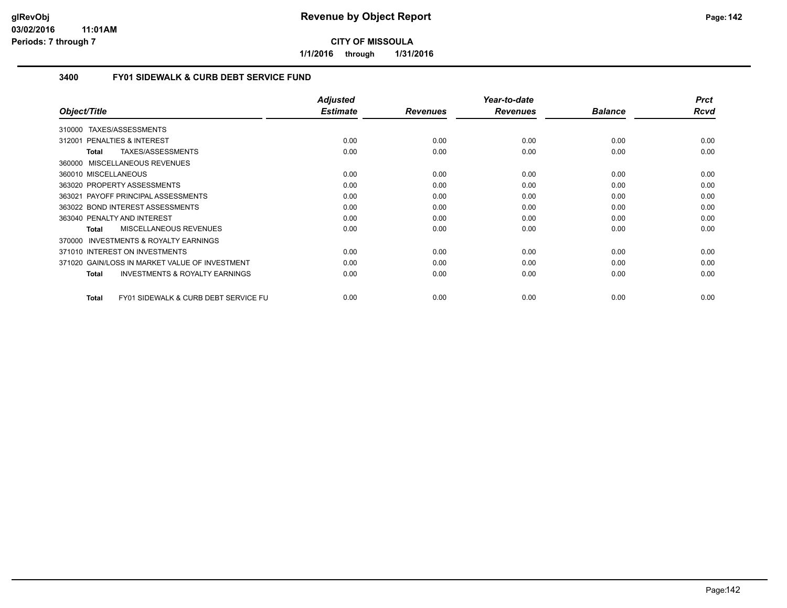**1/1/2016 through 1/31/2016**

## **3400 FY01 SIDEWALK & CURB DEBT SERVICE FUND**

|                                                                 | <b>Adjusted</b> |                 | Year-to-date    |                | <b>Prct</b> |
|-----------------------------------------------------------------|-----------------|-----------------|-----------------|----------------|-------------|
| Object/Title                                                    | <b>Estimate</b> | <b>Revenues</b> | <b>Revenues</b> | <b>Balance</b> | Rcvd        |
| TAXES/ASSESSMENTS<br>310000                                     |                 |                 |                 |                |             |
| 312001 PENALTIES & INTEREST                                     | 0.00            | 0.00            | 0.00            | 0.00           | 0.00        |
| TAXES/ASSESSMENTS<br>Total                                      | 0.00            | 0.00            | 0.00            | 0.00           | 0.00        |
| MISCELLANEOUS REVENUES<br>360000                                |                 |                 |                 |                |             |
| 360010 MISCELLANEOUS                                            | 0.00            | 0.00            | 0.00            | 0.00           | 0.00        |
| 363020 PROPERTY ASSESSMENTS                                     | 0.00            | 0.00            | 0.00            | 0.00           | 0.00        |
| 363021 PAYOFF PRINCIPAL ASSESSMENTS                             | 0.00            | 0.00            | 0.00            | 0.00           | 0.00        |
| 363022 BOND INTEREST ASSESSMENTS                                | 0.00            | 0.00            | 0.00            | 0.00           | 0.00        |
| 363040 PENALTY AND INTEREST                                     | 0.00            | 0.00            | 0.00            | 0.00           | 0.00        |
| MISCELLANEOUS REVENUES<br><b>Total</b>                          | 0.00            | 0.00            | 0.00            | 0.00           | 0.00        |
| INVESTMENTS & ROYALTY EARNINGS<br>370000                        |                 |                 |                 |                |             |
| 371010 INTEREST ON INVESTMENTS                                  | 0.00            | 0.00            | 0.00            | 0.00           | 0.00        |
| 371020 GAIN/LOSS IN MARKET VALUE OF INVESTMENT                  | 0.00            | 0.00            | 0.00            | 0.00           | 0.00        |
| <b>INVESTMENTS &amp; ROYALTY EARNINGS</b><br>Total              | 0.00            | 0.00            | 0.00            | 0.00           | 0.00        |
| <b>FY01 SIDEWALK &amp; CURB DEBT SERVICE FU</b><br><b>Total</b> | 0.00            | 0.00            | 0.00            | 0.00           | 0.00        |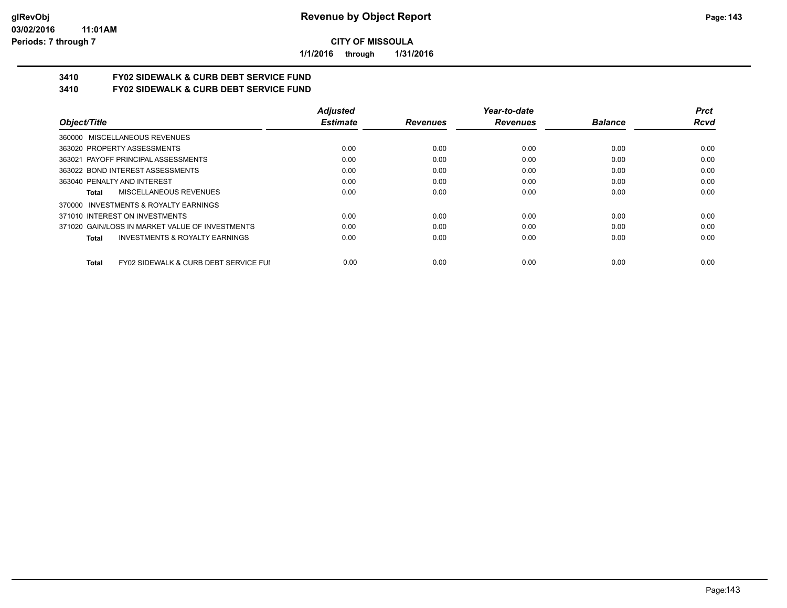**1/1/2016 through 1/31/2016**

# **3410 FY02 SIDEWALK & CURB DEBT SERVICE FUND**

**3410 FY02 SIDEWALK & CURB DEBT SERVICE FUND**

|                                                                  | <b>Adjusted</b> |                 | Year-to-date    |                | <b>Prct</b> |
|------------------------------------------------------------------|-----------------|-----------------|-----------------|----------------|-------------|
| Object/Title                                                     | <b>Estimate</b> | <b>Revenues</b> | <b>Revenues</b> | <b>Balance</b> | <b>Rcvd</b> |
| 360000 MISCELLANEOUS REVENUES                                    |                 |                 |                 |                |             |
| 363020 PROPERTY ASSESSMENTS                                      | 0.00            | 0.00            | 0.00            | 0.00           | 0.00        |
| 363021 PAYOFF PRINCIPAL ASSESSMENTS                              | 0.00            | 0.00            | 0.00            | 0.00           | 0.00        |
| 363022 BOND INTEREST ASSESSMENTS                                 | 0.00            | 0.00            | 0.00            | 0.00           | 0.00        |
| 363040 PENALTY AND INTEREST                                      | 0.00            | 0.00            | 0.00            | 0.00           | 0.00        |
| MISCELLANEOUS REVENUES<br>Total                                  | 0.00            | 0.00            | 0.00            | 0.00           | 0.00        |
| INVESTMENTS & ROYALTY EARNINGS<br>370000                         |                 |                 |                 |                |             |
| 371010 INTEREST ON INVESTMENTS                                   | 0.00            | 0.00            | 0.00            | 0.00           | 0.00        |
| 371020 GAIN/LOSS IN MARKET VALUE OF INVESTMENTS                  | 0.00            | 0.00            | 0.00            | 0.00           | 0.00        |
| <b>INVESTMENTS &amp; ROYALTY EARNINGS</b><br>Total               | 0.00            | 0.00            | 0.00            | 0.00           | 0.00        |
| <b>FY02 SIDEWALK &amp; CURB DEBT SERVICE FUI</b><br><b>Total</b> | 0.00            | 0.00            | 0.00            | 0.00           | 0.00        |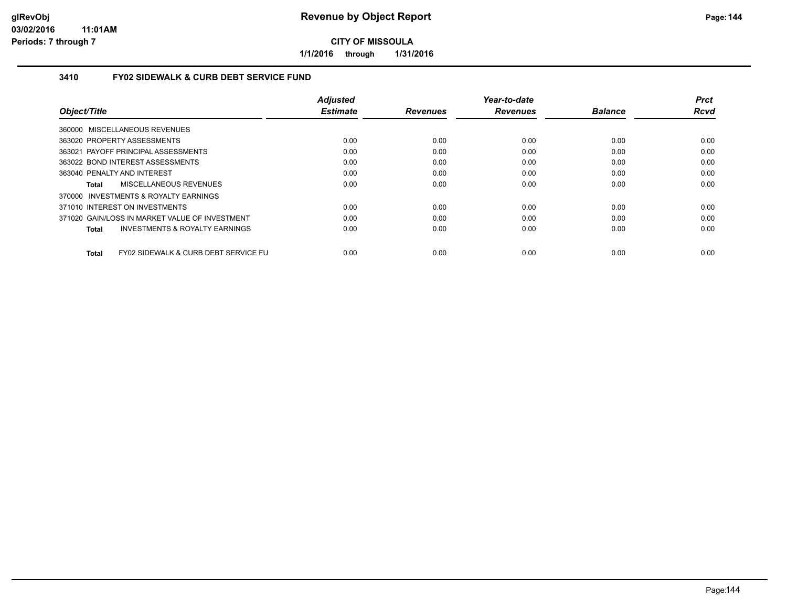**1/1/2016 through 1/31/2016**

## **3410 FY02 SIDEWALK & CURB DEBT SERVICE FUND**

|                                                      | <b>Adjusted</b> |                 | Year-to-date    |                | <b>Prct</b> |
|------------------------------------------------------|-----------------|-----------------|-----------------|----------------|-------------|
| Object/Title                                         | <b>Estimate</b> | <b>Revenues</b> | <b>Revenues</b> | <b>Balance</b> | <b>Rcvd</b> |
| 360000 MISCELLANEOUS REVENUES                        |                 |                 |                 |                |             |
| 363020 PROPERTY ASSESSMENTS                          | 0.00            | 0.00            | 0.00            | 0.00           | 0.00        |
| 363021 PAYOFF PRINCIPAL ASSESSMENTS                  | 0.00            | 0.00            | 0.00            | 0.00           | 0.00        |
| 363022 BOND INTEREST ASSESSMENTS                     | 0.00            | 0.00            | 0.00            | 0.00           | 0.00        |
| 363040 PENALTY AND INTEREST                          | 0.00            | 0.00            | 0.00            | 0.00           | 0.00        |
| MISCELLANEOUS REVENUES<br>Total                      | 0.00            | 0.00            | 0.00            | 0.00           | 0.00        |
| 370000 INVESTMENTS & ROYALTY EARNINGS                |                 |                 |                 |                |             |
| 371010 INTEREST ON INVESTMENTS                       | 0.00            | 0.00            | 0.00            | 0.00           | 0.00        |
| 371020 GAIN/LOSS IN MARKET VALUE OF INVESTMENT       | 0.00            | 0.00            | 0.00            | 0.00           | 0.00        |
| <b>INVESTMENTS &amp; ROYALTY EARNINGS</b><br>Total   | 0.00            | 0.00            | 0.00            | 0.00           | 0.00        |
| FY02 SIDEWALK & CURB DEBT SERVICE FU<br><b>Total</b> | 0.00            | 0.00            | 0.00            | 0.00           | 0.00        |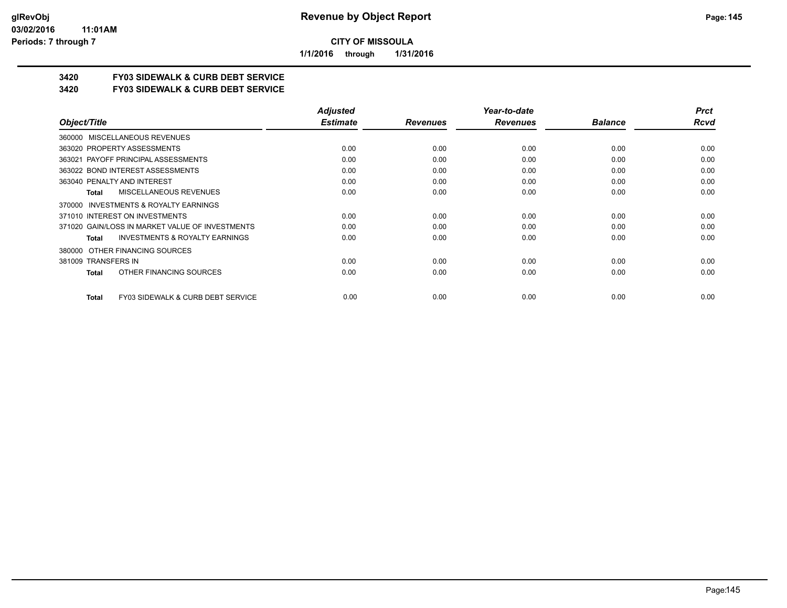**1/1/2016 through 1/31/2016**

# **3420 FY03 SIDEWALK & CURB DEBT SERVICE**

**3420 FY03 SIDEWALK & CURB DEBT SERVICE**

|                                                           | <b>Adjusted</b> |                 | Year-to-date    |                | <b>Prct</b> |
|-----------------------------------------------------------|-----------------|-----------------|-----------------|----------------|-------------|
| Object/Title                                              | <b>Estimate</b> | <b>Revenues</b> | <b>Revenues</b> | <b>Balance</b> | Rcvd        |
| 360000 MISCELLANEOUS REVENUES                             |                 |                 |                 |                |             |
| 363020 PROPERTY ASSESSMENTS                               | 0.00            | 0.00            | 0.00            | 0.00           | 0.00        |
| 363021 PAYOFF PRINCIPAL ASSESSMENTS                       | 0.00            | 0.00            | 0.00            | 0.00           | 0.00        |
| 363022 BOND INTEREST ASSESSMENTS                          | 0.00            | 0.00            | 0.00            | 0.00           | 0.00        |
| 363040 PENALTY AND INTEREST                               | 0.00            | 0.00            | 0.00            | 0.00           | 0.00        |
| MISCELLANEOUS REVENUES<br><b>Total</b>                    | 0.00            | 0.00            | 0.00            | 0.00           | 0.00        |
| 370000 INVESTMENTS & ROYALTY EARNINGS                     |                 |                 |                 |                |             |
| 371010 INTEREST ON INVESTMENTS                            | 0.00            | 0.00            | 0.00            | 0.00           | 0.00        |
| 371020 GAIN/LOSS IN MARKET VALUE OF INVESTMENTS           | 0.00            | 0.00            | 0.00            | 0.00           | 0.00        |
| <b>INVESTMENTS &amp; ROYALTY EARNINGS</b><br><b>Total</b> | 0.00            | 0.00            | 0.00            | 0.00           | 0.00        |
| OTHER FINANCING SOURCES<br>380000                         |                 |                 |                 |                |             |
| 381009 TRANSFERS IN                                       | 0.00            | 0.00            | 0.00            | 0.00           | 0.00        |
| OTHER FINANCING SOURCES<br>Total                          | 0.00            | 0.00            | 0.00            | 0.00           | 0.00        |
| FY03 SIDEWALK & CURB DEBT SERVICE<br><b>Total</b>         | 0.00            | 0.00            | 0.00            | 0.00           | 0.00        |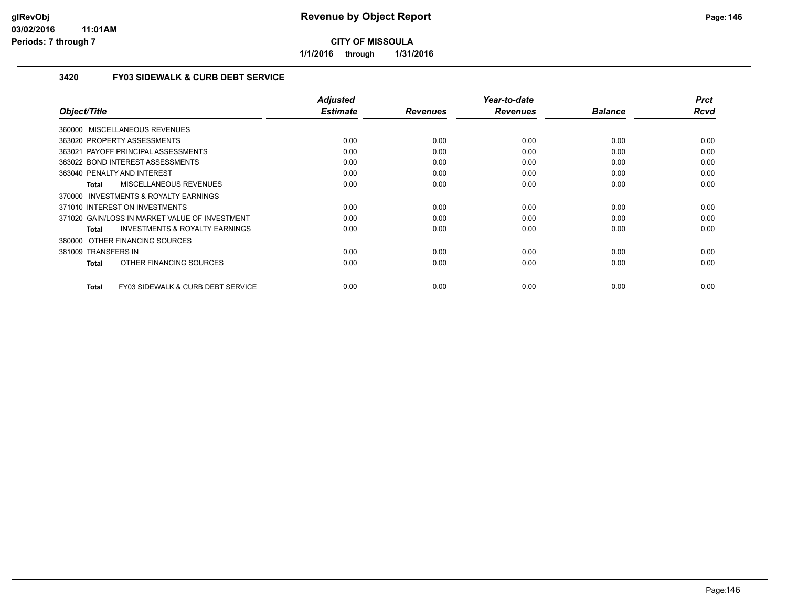**1/1/2016 through 1/31/2016**

### **3420 FY03 SIDEWALK & CURB DEBT SERVICE**

| Object/Title                                       | <b>Adjusted</b><br><b>Estimate</b> | <b>Revenues</b> | Year-to-date<br><b>Revenues</b> | <b>Balance</b> | <b>Prct</b><br><b>Rcvd</b> |
|----------------------------------------------------|------------------------------------|-----------------|---------------------------------|----------------|----------------------------|
| 360000 MISCELLANEOUS REVENUES                      |                                    |                 |                                 |                |                            |
|                                                    |                                    |                 |                                 |                |                            |
| 363020 PROPERTY ASSESSMENTS                        | 0.00                               | 0.00            | 0.00                            | 0.00           | 0.00                       |
| 363021 PAYOFF PRINCIPAL ASSESSMENTS                | 0.00                               | 0.00            | 0.00                            | 0.00           | 0.00                       |
| 363022 BOND INTEREST ASSESSMENTS                   | 0.00                               | 0.00            | 0.00                            | 0.00           | 0.00                       |
| 363040 PENALTY AND INTEREST                        | 0.00                               | 0.00            | 0.00                            | 0.00           | 0.00                       |
| MISCELLANEOUS REVENUES<br>Total                    | 0.00                               | 0.00            | 0.00                            | 0.00           | 0.00                       |
| 370000 INVESTMENTS & ROYALTY EARNINGS              |                                    |                 |                                 |                |                            |
| 371010 INTEREST ON INVESTMENTS                     | 0.00                               | 0.00            | 0.00                            | 0.00           | 0.00                       |
| 371020 GAIN/LOSS IN MARKET VALUE OF INVESTMENT     | 0.00                               | 0.00            | 0.00                            | 0.00           | 0.00                       |
| <b>INVESTMENTS &amp; ROYALTY EARNINGS</b><br>Total | 0.00                               | 0.00            | 0.00                            | 0.00           | 0.00                       |
| 380000 OTHER FINANCING SOURCES                     |                                    |                 |                                 |                |                            |
| 381009 TRANSFERS IN                                | 0.00                               | 0.00            | 0.00                            | 0.00           | 0.00                       |
| OTHER FINANCING SOURCES<br>Total                   | 0.00                               | 0.00            | 0.00                            | 0.00           | 0.00                       |
|                                                    |                                    |                 |                                 |                |                            |
| FY03 SIDEWALK & CURB DEBT SERVICE<br>Total         | 0.00                               | 0.00            | 0.00                            | 0.00           | 0.00                       |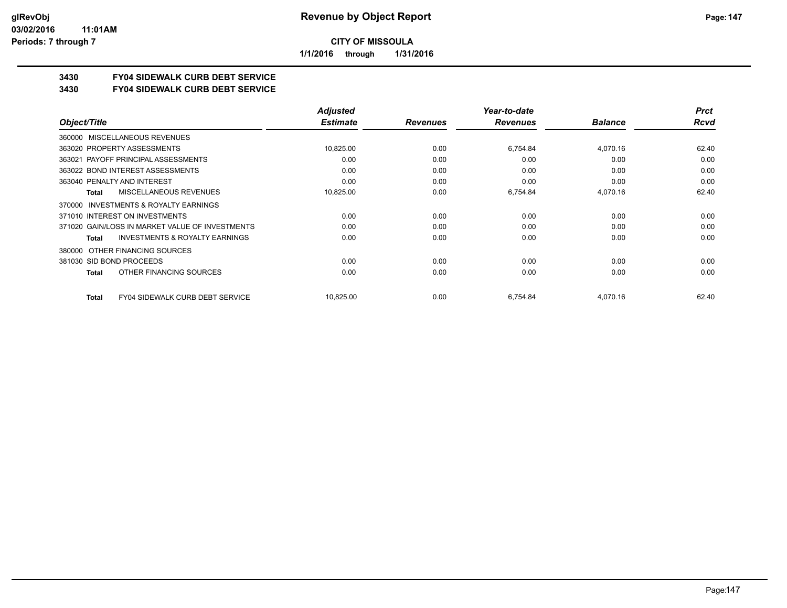**1/1/2016 through 1/31/2016**

# **3430 FY04 SIDEWALK CURB DEBT SERVICE**

### **3430 FY04 SIDEWALK CURB DEBT SERVICE**

|                                                    | <b>Adjusted</b> |                 | Year-to-date    |                | <b>Prct</b> |
|----------------------------------------------------|-----------------|-----------------|-----------------|----------------|-------------|
| Object/Title                                       | <b>Estimate</b> | <b>Revenues</b> | <b>Revenues</b> | <b>Balance</b> | <b>Rcvd</b> |
| 360000 MISCELLANEOUS REVENUES                      |                 |                 |                 |                |             |
| 363020 PROPERTY ASSESSMENTS                        | 10,825.00       | 0.00            | 6,754.84        | 4.070.16       | 62.40       |
| 363021 PAYOFF PRINCIPAL ASSESSMENTS                | 0.00            | 0.00            | 0.00            | 0.00           | 0.00        |
| 363022 BOND INTEREST ASSESSMENTS                   | 0.00            | 0.00            | 0.00            | 0.00           | 0.00        |
| 363040 PENALTY AND INTEREST                        | 0.00            | 0.00            | 0.00            | 0.00           | 0.00        |
| MISCELLANEOUS REVENUES<br>Total                    | 10,825.00       | 0.00            | 6,754.84        | 4,070.16       | 62.40       |
| INVESTMENTS & ROYALTY EARNINGS<br>370000           |                 |                 |                 |                |             |
| 371010 INTEREST ON INVESTMENTS                     | 0.00            | 0.00            | 0.00            | 0.00           | 0.00        |
| 371020 GAIN/LOSS IN MARKET VALUE OF INVESTMENTS    | 0.00            | 0.00            | 0.00            | 0.00           | 0.00        |
| <b>INVESTMENTS &amp; ROYALTY EARNINGS</b><br>Total | 0.00            | 0.00            | 0.00            | 0.00           | 0.00        |
| OTHER FINANCING SOURCES<br>380000                  |                 |                 |                 |                |             |
| 381030 SID BOND PROCEEDS                           | 0.00            | 0.00            | 0.00            | 0.00           | 0.00        |
| OTHER FINANCING SOURCES<br>Total                   | 0.00            | 0.00            | 0.00            | 0.00           | 0.00        |
|                                                    |                 |                 |                 |                |             |
| <b>FY04 SIDEWALK CURB DEBT SERVICE</b><br>Total    | 10,825.00       | 0.00            | 6,754.84        | 4,070.16       | 62.40       |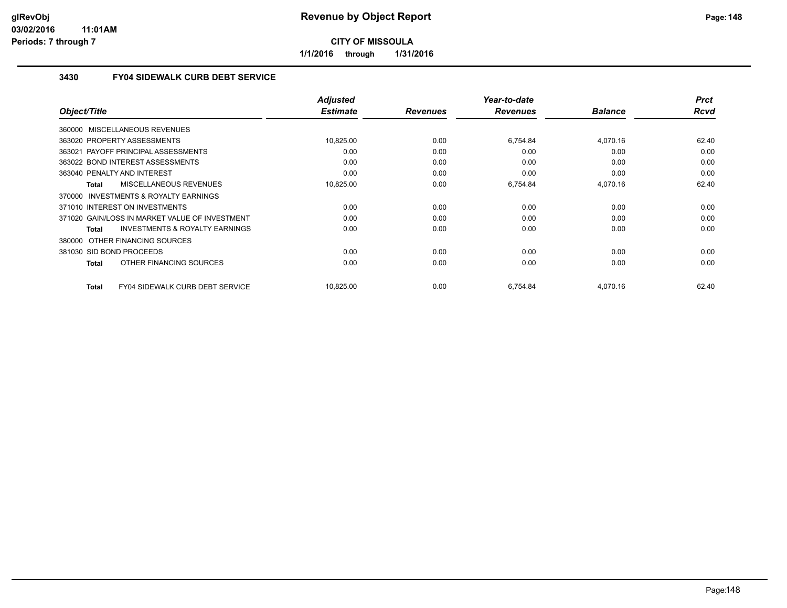**1/1/2016 through 1/31/2016**

# **3430 FY04 SIDEWALK CURB DEBT SERVICE**

| Object/Title                                       | <b>Adjusted</b><br><b>Estimate</b> | <b>Revenues</b> | Year-to-date<br><b>Revenues</b> | <b>Balance</b> | <b>Prct</b><br>Rcvd |
|----------------------------------------------------|------------------------------------|-----------------|---------------------------------|----------------|---------------------|
|                                                    |                                    |                 |                                 |                |                     |
| 360000 MISCELLANEOUS REVENUES                      |                                    |                 |                                 |                |                     |
| 363020 PROPERTY ASSESSMENTS                        | 10,825.00                          | 0.00            | 6,754.84                        | 4.070.16       | 62.40               |
| 363021 PAYOFF PRINCIPAL ASSESSMENTS                | 0.00                               | 0.00            | 0.00                            | 0.00           | 0.00                |
| 363022 BOND INTEREST ASSESSMENTS                   | 0.00                               | 0.00            | 0.00                            | 0.00           | 0.00                |
| 363040 PENALTY AND INTEREST                        | 0.00                               | 0.00            | 0.00                            | 0.00           | 0.00                |
| MISCELLANEOUS REVENUES<br>Total                    | 10,825.00                          | 0.00            | 6,754.84                        | 4,070.16       | 62.40               |
| 370000 INVESTMENTS & ROYALTY EARNINGS              |                                    |                 |                                 |                |                     |
| 371010 INTEREST ON INVESTMENTS                     | 0.00                               | 0.00            | 0.00                            | 0.00           | 0.00                |
| 371020 GAIN/LOSS IN MARKET VALUE OF INVESTMENT     | 0.00                               | 0.00            | 0.00                            | 0.00           | 0.00                |
| <b>INVESTMENTS &amp; ROYALTY EARNINGS</b><br>Total | 0.00                               | 0.00            | 0.00                            | 0.00           | 0.00                |
| 380000 OTHER FINANCING SOURCES                     |                                    |                 |                                 |                |                     |
| 381030 SID BOND PROCEEDS                           | 0.00                               | 0.00            | 0.00                            | 0.00           | 0.00                |
| OTHER FINANCING SOURCES<br>Total                   | 0.00                               | 0.00            | 0.00                            | 0.00           | 0.00                |
|                                                    |                                    |                 |                                 |                |                     |
| FY04 SIDEWALK CURB DEBT SERVICE<br>Total           | 10,825.00                          | 0.00            | 6,754.84                        | 4,070.16       | 62.40               |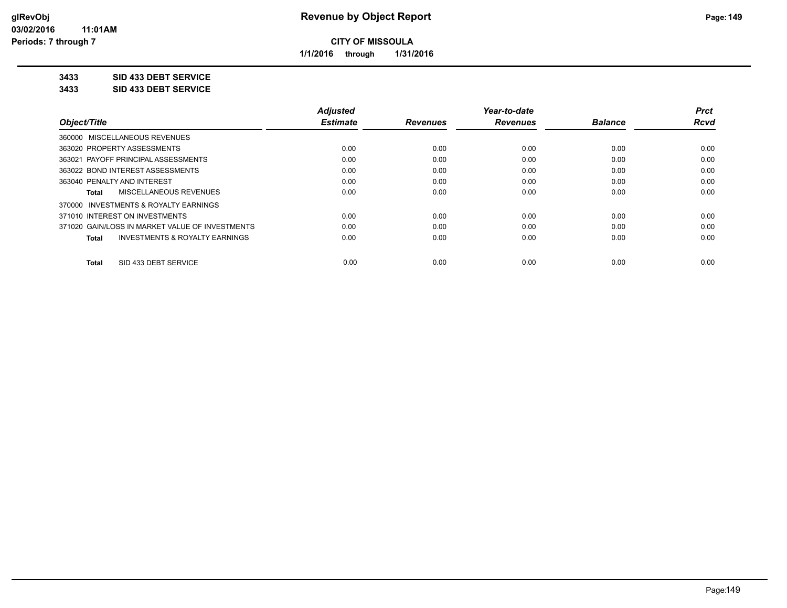**1/1/2016 through 1/31/2016**

**3433 SID 433 DEBT SERVICE**

**3433 SID 433 DEBT SERVICE**

|                                                    | <b>Adjusted</b> |                 | Year-to-date    |                | <b>Prct</b> |
|----------------------------------------------------|-----------------|-----------------|-----------------|----------------|-------------|
| Object/Title                                       | <b>Estimate</b> | <b>Revenues</b> | <b>Revenues</b> | <b>Balance</b> | Rcvd        |
| 360000 MISCELLANEOUS REVENUES                      |                 |                 |                 |                |             |
| 363020 PROPERTY ASSESSMENTS                        | 0.00            | 0.00            | 0.00            | 0.00           | 0.00        |
| 363021 PAYOFF PRINCIPAL ASSESSMENTS                | 0.00            | 0.00            | 0.00            | 0.00           | 0.00        |
| 363022 BOND INTEREST ASSESSMENTS                   | 0.00            | 0.00            | 0.00            | 0.00           | 0.00        |
| 363040 PENALTY AND INTEREST                        | 0.00            | 0.00            | 0.00            | 0.00           | 0.00        |
| MISCELLANEOUS REVENUES<br>Total                    | 0.00            | 0.00            | 0.00            | 0.00           | 0.00        |
| 370000 INVESTMENTS & ROYALTY EARNINGS              |                 |                 |                 |                |             |
| 371010 INTEREST ON INVESTMENTS                     | 0.00            | 0.00            | 0.00            | 0.00           | 0.00        |
| 371020 GAIN/LOSS IN MARKET VALUE OF INVESTMENTS    | 0.00            | 0.00            | 0.00            | 0.00           | 0.00        |
| <b>INVESTMENTS &amp; ROYALTY EARNINGS</b><br>Total | 0.00            | 0.00            | 0.00            | 0.00           | 0.00        |
| SID 433 DEBT SERVICE<br>Total                      | 0.00            | 0.00            | 0.00            | 0.00           | 0.00        |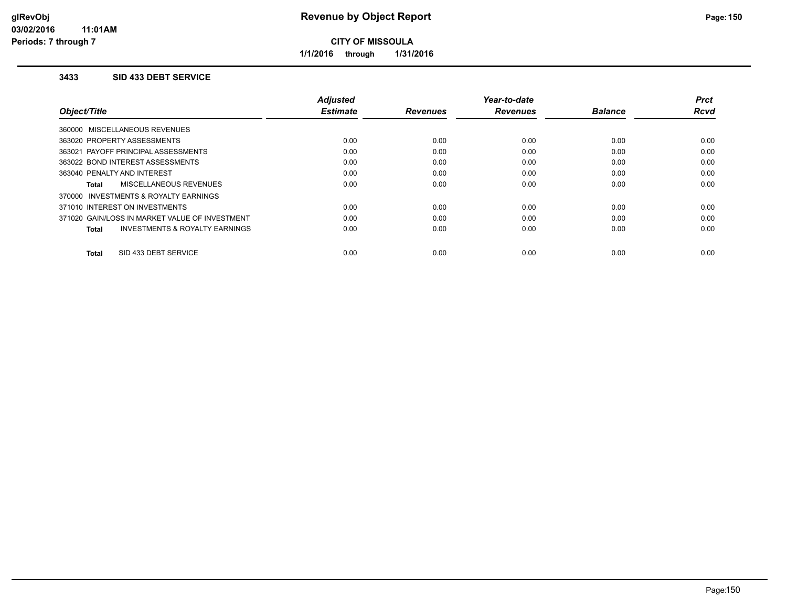**1/1/2016 through 1/31/2016**

### **3433 SID 433 DEBT SERVICE**

|                                                     | <b>Adjusted</b> |                 | Year-to-date    |                | <b>Prct</b> |
|-----------------------------------------------------|-----------------|-----------------|-----------------|----------------|-------------|
| Object/Title                                        | <b>Estimate</b> | <b>Revenues</b> | <b>Revenues</b> | <b>Balance</b> | <b>Rcvd</b> |
| 360000 MISCELLANEOUS REVENUES                       |                 |                 |                 |                |             |
| 363020 PROPERTY ASSESSMENTS                         | 0.00            | 0.00            | 0.00            | 0.00           | 0.00        |
| 363021 PAYOFF PRINCIPAL ASSESSMENTS                 | 0.00            | 0.00            | 0.00            | 0.00           | 0.00        |
| 363022 BOND INTEREST ASSESSMENTS                    | 0.00            | 0.00            | 0.00            | 0.00           | 0.00        |
| 363040 PENALTY AND INTEREST                         | 0.00            | 0.00            | 0.00            | 0.00           | 0.00        |
| <b>MISCELLANEOUS REVENUES</b><br>Total              | 0.00            | 0.00            | 0.00            | 0.00           | 0.00        |
| <b>INVESTMENTS &amp; ROYALTY EARNINGS</b><br>370000 |                 |                 |                 |                |             |
| 371010 INTEREST ON INVESTMENTS                      | 0.00            | 0.00            | 0.00            | 0.00           | 0.00        |
| 371020 GAIN/LOSS IN MARKET VALUE OF INVESTMENT      | 0.00            | 0.00            | 0.00            | 0.00           | 0.00        |
| <b>INVESTMENTS &amp; ROYALTY EARNINGS</b><br>Total  | 0.00            | 0.00            | 0.00            | 0.00           | 0.00        |
|                                                     |                 |                 |                 |                |             |
| SID 433 DEBT SERVICE<br>Total                       | 0.00            | 0.00            | 0.00            | 0.00           | 0.00        |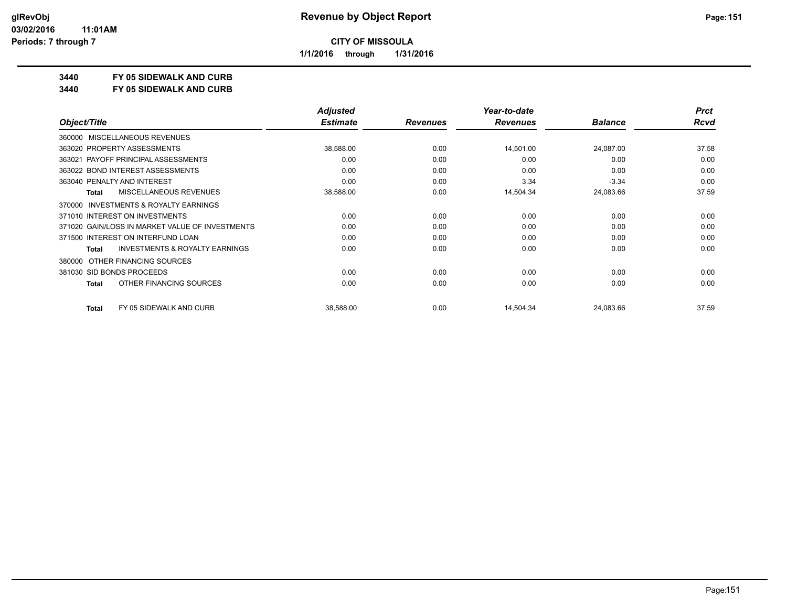**1/1/2016 through 1/31/2016**

# **3440 FY 05 SIDEWALK AND CURB**

**3440 FY 05 SIDEWALK AND CURB**

|                                                    | <b>Adjusted</b> |                 | Year-to-date    |                | <b>Prct</b> |
|----------------------------------------------------|-----------------|-----------------|-----------------|----------------|-------------|
| Object/Title                                       | <b>Estimate</b> | <b>Revenues</b> | <b>Revenues</b> | <b>Balance</b> | <b>Rcvd</b> |
| MISCELLANEOUS REVENUES<br>360000                   |                 |                 |                 |                |             |
| 363020 PROPERTY ASSESSMENTS                        | 38,588.00       | 0.00            | 14,501.00       | 24,087.00      | 37.58       |
| 363021 PAYOFF PRINCIPAL ASSESSMENTS                | 0.00            | 0.00            | 0.00            | 0.00           | 0.00        |
| 363022 BOND INTEREST ASSESSMENTS                   | 0.00            | 0.00            | 0.00            | 0.00           | 0.00        |
| 363040 PENALTY AND INTEREST                        | 0.00            | 0.00            | 3.34            | $-3.34$        | 0.00        |
| <b>MISCELLANEOUS REVENUES</b><br><b>Total</b>      | 38,588.00       | 0.00            | 14,504.34       | 24,083.66      | 37.59       |
| INVESTMENTS & ROYALTY EARNINGS<br>370000           |                 |                 |                 |                |             |
| 371010 INTEREST ON INVESTMENTS                     | 0.00            | 0.00            | 0.00            | 0.00           | 0.00        |
| 371020 GAIN/LOSS IN MARKET VALUE OF INVESTMENTS    | 0.00            | 0.00            | 0.00            | 0.00           | 0.00        |
| 371500 INTEREST ON INTERFUND LOAN                  | 0.00            | 0.00            | 0.00            | 0.00           | 0.00        |
| <b>INVESTMENTS &amp; ROYALTY EARNINGS</b><br>Total | 0.00            | 0.00            | 0.00            | 0.00           | 0.00        |
| OTHER FINANCING SOURCES<br>380000                  |                 |                 |                 |                |             |
| 381030 SID BONDS PROCEEDS                          | 0.00            | 0.00            | 0.00            | 0.00           | 0.00        |
| OTHER FINANCING SOURCES<br><b>Total</b>            | 0.00            | 0.00            | 0.00            | 0.00           | 0.00        |
| FY 05 SIDEWALK AND CURB<br><b>Total</b>            | 38,588.00       | 0.00            | 14,504.34       | 24,083.66      | 37.59       |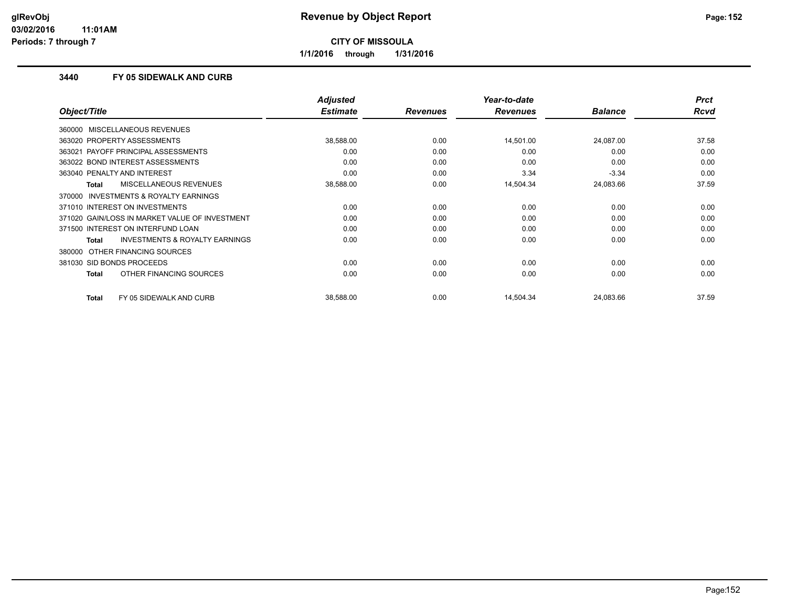**1/1/2016 through 1/31/2016**

### **3440 FY 05 SIDEWALK AND CURB**

|                                                    | <b>Adjusted</b> |                 | Year-to-date    |                | <b>Prct</b> |
|----------------------------------------------------|-----------------|-----------------|-----------------|----------------|-------------|
| Object/Title                                       | <b>Estimate</b> | <b>Revenues</b> | <b>Revenues</b> | <b>Balance</b> | Rcvd        |
| 360000 MISCELLANEOUS REVENUES                      |                 |                 |                 |                |             |
| 363020 PROPERTY ASSESSMENTS                        | 38,588.00       | 0.00            | 14,501.00       | 24,087.00      | 37.58       |
| 363021 PAYOFF PRINCIPAL ASSESSMENTS                | 0.00            | 0.00            | 0.00            | 0.00           | 0.00        |
| 363022 BOND INTEREST ASSESSMENTS                   | 0.00            | 0.00            | 0.00            | 0.00           | 0.00        |
| 363040 PENALTY AND INTEREST                        | 0.00            | 0.00            | 3.34            | $-3.34$        | 0.00        |
| <b>MISCELLANEOUS REVENUES</b><br>Total             | 38,588.00       | 0.00            | 14,504.34       | 24,083.66      | 37.59       |
| 370000 INVESTMENTS & ROYALTY EARNINGS              |                 |                 |                 |                |             |
| 371010 INTEREST ON INVESTMENTS                     | 0.00            | 0.00            | 0.00            | 0.00           | 0.00        |
| 371020 GAIN/LOSS IN MARKET VALUE OF INVESTMENT     | 0.00            | 0.00            | 0.00            | 0.00           | 0.00        |
| 371500 INTEREST ON INTERFUND LOAN                  | 0.00            | 0.00            | 0.00            | 0.00           | 0.00        |
| <b>INVESTMENTS &amp; ROYALTY EARNINGS</b><br>Total | 0.00            | 0.00            | 0.00            | 0.00           | 0.00        |
| 380000 OTHER FINANCING SOURCES                     |                 |                 |                 |                |             |
| 381030 SID BONDS PROCEEDS                          | 0.00            | 0.00            | 0.00            | 0.00           | 0.00        |
| OTHER FINANCING SOURCES<br>Total                   | 0.00            | 0.00            | 0.00            | 0.00           | 0.00        |
| FY 05 SIDEWALK AND CURB<br><b>Total</b>            | 38,588.00       | 0.00            | 14,504.34       | 24,083.66      | 37.59       |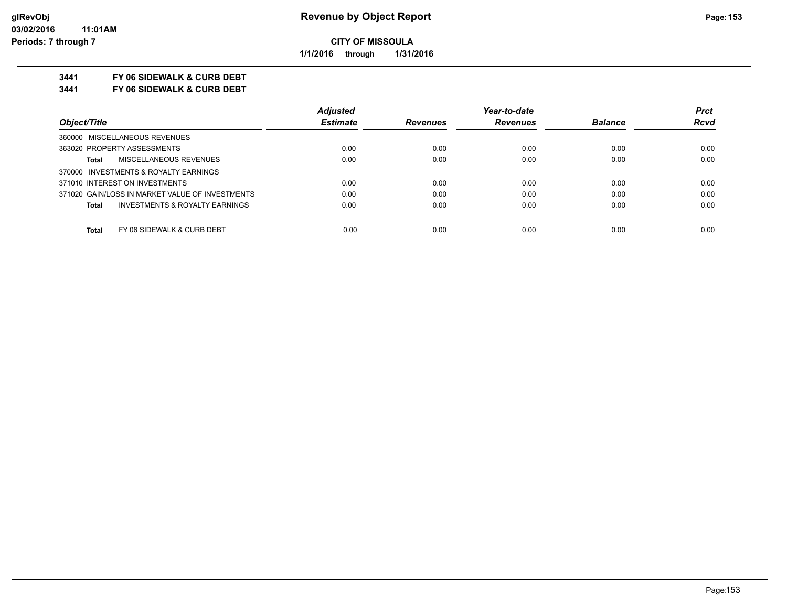**1/1/2016 through 1/31/2016**

# **3441 FY 06 SIDEWALK & CURB DEBT**

**3441 FY 06 SIDEWALK & CURB DEBT**

|                                                    | <b>Adjusted</b> |                 | Year-to-date    |                | <b>Prct</b> |
|----------------------------------------------------|-----------------|-----------------|-----------------|----------------|-------------|
| Object/Title                                       | <b>Estimate</b> | <b>Revenues</b> | <b>Revenues</b> | <b>Balance</b> | <b>Rcvd</b> |
| 360000 MISCELLANEOUS REVENUES                      |                 |                 |                 |                |             |
| 363020 PROPERTY ASSESSMENTS                        | 0.00            | 0.00            | 0.00            | 0.00           | 0.00        |
| MISCELLANEOUS REVENUES<br>Total                    | 0.00            | 0.00            | 0.00            | 0.00           | 0.00        |
| 370000 INVESTMENTS & ROYALTY EARNINGS              |                 |                 |                 |                |             |
| 371010 INTEREST ON INVESTMENTS                     | 0.00            | 0.00            | 0.00            | 0.00           | 0.00        |
| 371020 GAIN/LOSS IN MARKET VALUE OF INVESTMENTS    | 0.00            | 0.00            | 0.00            | 0.00           | 0.00        |
| <b>INVESTMENTS &amp; ROYALTY EARNINGS</b><br>Total | 0.00            | 0.00            | 0.00            | 0.00           | 0.00        |
|                                                    |                 |                 |                 |                |             |
| <b>Total</b><br>FY 06 SIDEWALK & CURB DEBT         | 0.00            | 0.00            | 0.00            | 0.00           | 0.00        |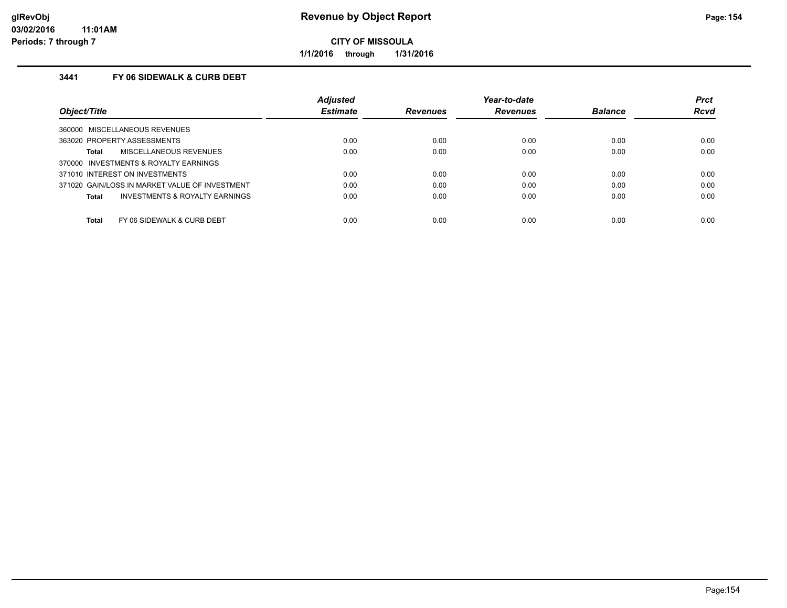**1/1/2016 through 1/31/2016**

# **3441 FY 06 SIDEWALK & CURB DEBT**

|                                                     | <b>Adjusted</b> |                 | Year-to-date    |                | <b>Prct</b> |
|-----------------------------------------------------|-----------------|-----------------|-----------------|----------------|-------------|
| Object/Title                                        | <b>Estimate</b> | <b>Revenues</b> | <b>Revenues</b> | <b>Balance</b> | <b>Rcvd</b> |
| MISCELLANEOUS REVENUES<br>360000                    |                 |                 |                 |                |             |
| 363020 PROPERTY ASSESSMENTS                         | 0.00            | 0.00            | 0.00            | 0.00           | 0.00        |
| <b>MISCELLANEOUS REVENUES</b><br>Total              | 0.00            | 0.00            | 0.00            | 0.00           | 0.00        |
| <b>INVESTMENTS &amp; ROYALTY EARNINGS</b><br>370000 |                 |                 |                 |                |             |
| 371010 INTEREST ON INVESTMENTS                      | 0.00            | 0.00            | 0.00            | 0.00           | 0.00        |
| 371020 GAIN/LOSS IN MARKET VALUE OF INVESTMENT      | 0.00            | 0.00            | 0.00            | 0.00           | 0.00        |
| <b>INVESTMENTS &amp; ROYALTY EARNINGS</b><br>Total  | 0.00            | 0.00            | 0.00            | 0.00           | 0.00        |
| Total<br>FY 06 SIDEWALK & CURB DEBT                 | 0.00            | 0.00            | 0.00            | 0.00           | 0.00        |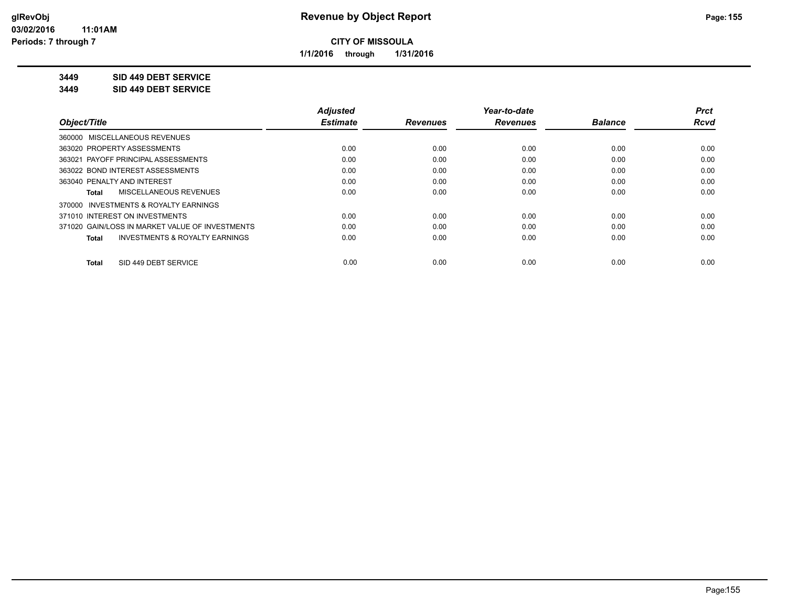**1/1/2016 through 1/31/2016**

**3449 SID 449 DEBT SERVICE**

**3449 SID 449 DEBT SERVICE**

|                                                    | <b>Adjusted</b> |                 | Year-to-date    |                | <b>Prct</b> |
|----------------------------------------------------|-----------------|-----------------|-----------------|----------------|-------------|
| Object/Title                                       | <b>Estimate</b> | <b>Revenues</b> | <b>Revenues</b> | <b>Balance</b> | Rcvd        |
| 360000 MISCELLANEOUS REVENUES                      |                 |                 |                 |                |             |
| 363020 PROPERTY ASSESSMENTS                        | 0.00            | 0.00            | 0.00            | 0.00           | 0.00        |
| 363021 PAYOFF PRINCIPAL ASSESSMENTS                | 0.00            | 0.00            | 0.00            | 0.00           | 0.00        |
| 363022 BOND INTEREST ASSESSMENTS                   | 0.00            | 0.00            | 0.00            | 0.00           | 0.00        |
| 363040 PENALTY AND INTEREST                        | 0.00            | 0.00            | 0.00            | 0.00           | 0.00        |
| MISCELLANEOUS REVENUES<br>Total                    | 0.00            | 0.00            | 0.00            | 0.00           | 0.00        |
| 370000 INVESTMENTS & ROYALTY EARNINGS              |                 |                 |                 |                |             |
| 371010 INTEREST ON INVESTMENTS                     | 0.00            | 0.00            | 0.00            | 0.00           | 0.00        |
| 371020 GAIN/LOSS IN MARKET VALUE OF INVESTMENTS    | 0.00            | 0.00            | 0.00            | 0.00           | 0.00        |
| <b>INVESTMENTS &amp; ROYALTY EARNINGS</b><br>Total | 0.00            | 0.00            | 0.00            | 0.00           | 0.00        |
| SID 449 DEBT SERVICE<br>Total                      | 0.00            | 0.00            | 0.00            | 0.00           | 0.00        |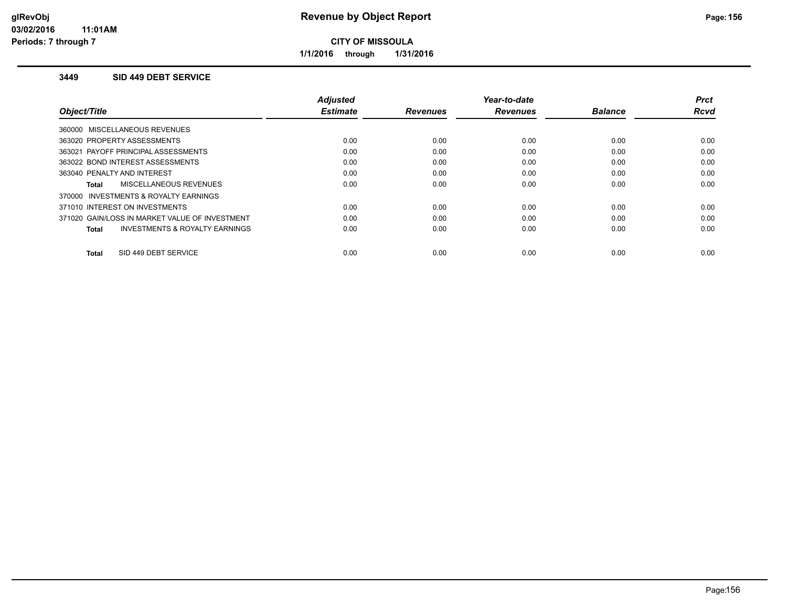**1/1/2016 through 1/31/2016**

### **3449 SID 449 DEBT SERVICE**

|                                                | <b>Adjusted</b> |                 | Year-to-date    |                | <b>Prct</b> |
|------------------------------------------------|-----------------|-----------------|-----------------|----------------|-------------|
| Object/Title                                   | <b>Estimate</b> | <b>Revenues</b> | <b>Revenues</b> | <b>Balance</b> | Rcvd        |
| 360000 MISCELLANEOUS REVENUES                  |                 |                 |                 |                |             |
| 363020 PROPERTY ASSESSMENTS                    | 0.00            | 0.00            | 0.00            | 0.00           | 0.00        |
| 363021 PAYOFF PRINCIPAL ASSESSMENTS            | 0.00            | 0.00            | 0.00            | 0.00           | 0.00        |
| 363022 BOND INTEREST ASSESSMENTS               | 0.00            | 0.00            | 0.00            | 0.00           | 0.00        |
| 363040 PENALTY AND INTEREST                    | 0.00            | 0.00            | 0.00            | 0.00           | 0.00        |
| MISCELLANEOUS REVENUES<br><b>Total</b>         | 0.00            | 0.00            | 0.00            | 0.00           | 0.00        |
| INVESTMENTS & ROYALTY EARNINGS<br>370000       |                 |                 |                 |                |             |
| 371010 INTEREST ON INVESTMENTS                 | 0.00            | 0.00            | 0.00            | 0.00           | 0.00        |
| 371020 GAIN/LOSS IN MARKET VALUE OF INVESTMENT | 0.00            | 0.00            | 0.00            | 0.00           | 0.00        |
| INVESTMENTS & ROYALTY EARNINGS<br><b>Total</b> | 0.00            | 0.00            | 0.00            | 0.00           | 0.00        |
|                                                |                 |                 |                 |                |             |
| SID 449 DEBT SERVICE<br><b>Total</b>           | 0.00            | 0.00            | 0.00            | 0.00           | 0.00        |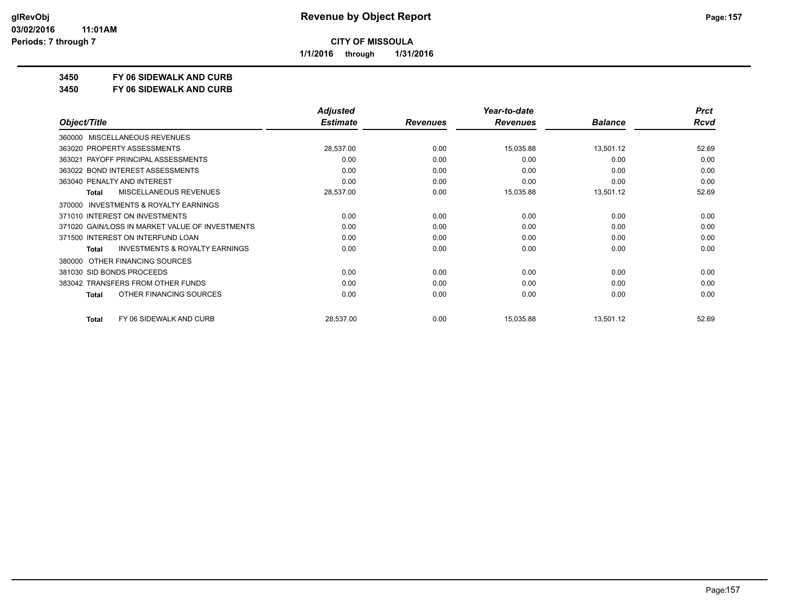**1/1/2016 through 1/31/2016**

**3450 FY 06 SIDEWALK AND CURB**

**3450 FY 06 SIDEWALK AND CURB**

|                                                     | <b>Adjusted</b> |                 | Year-to-date    |                | <b>Prct</b> |
|-----------------------------------------------------|-----------------|-----------------|-----------------|----------------|-------------|
| Object/Title                                        | <b>Estimate</b> | <b>Revenues</b> | <b>Revenues</b> | <b>Balance</b> | <b>Rcvd</b> |
| MISCELLANEOUS REVENUES<br>360000                    |                 |                 |                 |                |             |
| 363020 PROPERTY ASSESSMENTS                         | 28,537.00       | 0.00            | 15,035.88       | 13,501.12      | 52.69       |
| 363021 PAYOFF PRINCIPAL ASSESSMENTS                 | 0.00            | 0.00            | 0.00            | 0.00           | 0.00        |
| 363022 BOND INTEREST ASSESSMENTS                    | 0.00            | 0.00            | 0.00            | 0.00           | 0.00        |
| 363040 PENALTY AND INTEREST                         | 0.00            | 0.00            | 0.00            | 0.00           | 0.00        |
| MISCELLANEOUS REVENUES<br>Total                     | 28,537.00       | 0.00            | 15,035.88       | 13,501.12      | 52.69       |
| <b>INVESTMENTS &amp; ROYALTY EARNINGS</b><br>370000 |                 |                 |                 |                |             |
| 371010 INTEREST ON INVESTMENTS                      | 0.00            | 0.00            | 0.00            | 0.00           | 0.00        |
| 371020 GAIN/LOSS IN MARKET VALUE OF INVESTMENTS     | 0.00            | 0.00            | 0.00            | 0.00           | 0.00        |
| 371500 INTEREST ON INTERFUND LOAN                   | 0.00            | 0.00            | 0.00            | 0.00           | 0.00        |
| <b>INVESTMENTS &amp; ROYALTY EARNINGS</b><br>Total  | 0.00            | 0.00            | 0.00            | 0.00           | 0.00        |
| OTHER FINANCING SOURCES<br>380000                   |                 |                 |                 |                |             |
| 381030 SID BONDS PROCEEDS                           | 0.00            | 0.00            | 0.00            | 0.00           | 0.00        |
| 383042 TRANSFERS FROM OTHER FUNDS                   | 0.00            | 0.00            | 0.00            | 0.00           | 0.00        |
| OTHER FINANCING SOURCES<br><b>Total</b>             | 0.00            | 0.00            | 0.00            | 0.00           | 0.00        |
| FY 06 SIDEWALK AND CURB<br>Total                    | 28,537.00       | 0.00            | 15,035.88       | 13,501.12      | 52.69       |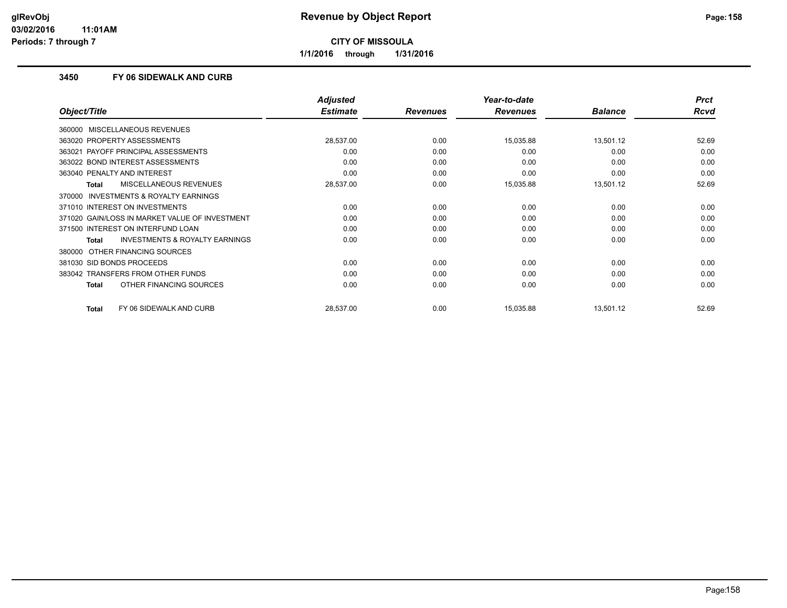**1/1/2016 through 1/31/2016**

### **3450 FY 06 SIDEWALK AND CURB**

|                                                    | <b>Adjusted</b> |                 | Year-to-date    |                | <b>Prct</b> |
|----------------------------------------------------|-----------------|-----------------|-----------------|----------------|-------------|
| Object/Title                                       | <b>Estimate</b> | <b>Revenues</b> | <b>Revenues</b> | <b>Balance</b> | <b>Rcvd</b> |
| 360000 MISCELLANEOUS REVENUES                      |                 |                 |                 |                |             |
| 363020 PROPERTY ASSESSMENTS                        | 28,537.00       | 0.00            | 15,035.88       | 13,501.12      | 52.69       |
| PAYOFF PRINCIPAL ASSESSMENTS<br>363021             | 0.00            | 0.00            | 0.00            | 0.00           | 0.00        |
| 363022 BOND INTEREST ASSESSMENTS                   | 0.00            | 0.00            | 0.00            | 0.00           | 0.00        |
| 363040 PENALTY AND INTEREST                        | 0.00            | 0.00            | 0.00            | 0.00           | 0.00        |
| MISCELLANEOUS REVENUES<br>Total                    | 28,537.00       | 0.00            | 15,035.88       | 13,501.12      | 52.69       |
| 370000 INVESTMENTS & ROYALTY EARNINGS              |                 |                 |                 |                |             |
| 371010 INTEREST ON INVESTMENTS                     | 0.00            | 0.00            | 0.00            | 0.00           | 0.00        |
| 371020 GAIN/LOSS IN MARKET VALUE OF INVESTMENT     | 0.00            | 0.00            | 0.00            | 0.00           | 0.00        |
| 371500 INTEREST ON INTERFUND LOAN                  | 0.00            | 0.00            | 0.00            | 0.00           | 0.00        |
| <b>INVESTMENTS &amp; ROYALTY EARNINGS</b><br>Total | 0.00            | 0.00            | 0.00            | 0.00           | 0.00        |
| OTHER FINANCING SOURCES<br>380000                  |                 |                 |                 |                |             |
| 381030 SID BONDS PROCEEDS                          | 0.00            | 0.00            | 0.00            | 0.00           | 0.00        |
| 383042 TRANSFERS FROM OTHER FUNDS                  | 0.00            | 0.00            | 0.00            | 0.00           | 0.00        |
| OTHER FINANCING SOURCES<br><b>Total</b>            | 0.00            | 0.00            | 0.00            | 0.00           | 0.00        |
| FY 06 SIDEWALK AND CURB<br><b>Total</b>            | 28,537.00       | 0.00            | 15,035.88       | 13,501.12      | 52.69       |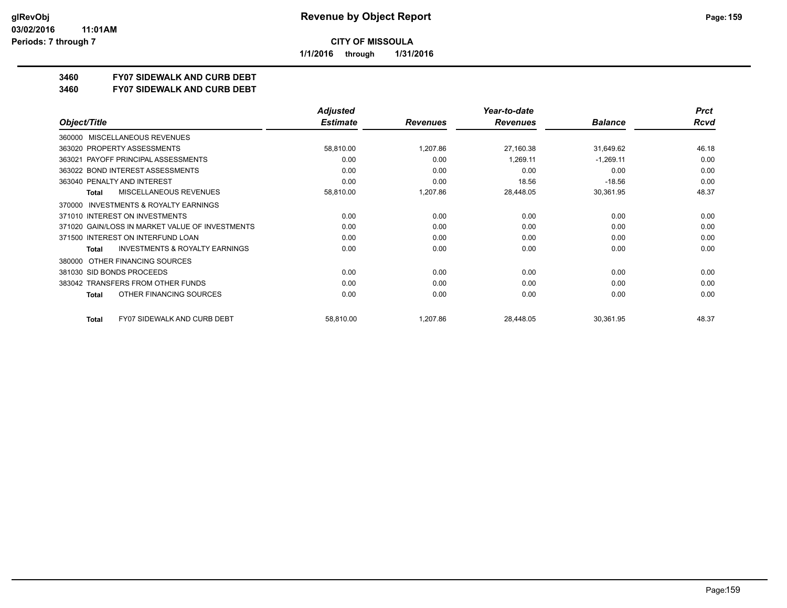**1/1/2016 through 1/31/2016**

# **3460 FY07 SIDEWALK AND CURB DEBT**

#### **3460 FY07 SIDEWALK AND CURB DEBT**

|                                                           | <b>Adjusted</b> |                 | Year-to-date    |                | <b>Prct</b> |
|-----------------------------------------------------------|-----------------|-----------------|-----------------|----------------|-------------|
| Object/Title                                              | <b>Estimate</b> | <b>Revenues</b> | <b>Revenues</b> | <b>Balance</b> | <b>Rcvd</b> |
| <b>MISCELLANEOUS REVENUES</b><br>360000                   |                 |                 |                 |                |             |
| 363020 PROPERTY ASSESSMENTS                               | 58,810.00       | 1,207.86        | 27,160.38       | 31,649.62      | 46.18       |
| 363021 PAYOFF PRINCIPAL ASSESSMENTS                       | 0.00            | 0.00            | 1,269.11        | $-1,269.11$    | 0.00        |
| 363022 BOND INTEREST ASSESSMENTS                          | 0.00            | 0.00            | 0.00            | 0.00           | 0.00        |
| 363040 PENALTY AND INTEREST                               | 0.00            | 0.00            | 18.56           | $-18.56$       | 0.00        |
| MISCELLANEOUS REVENUES<br>Total                           | 58,810.00       | 1,207.86        | 28,448.05       | 30,361.95      | 48.37       |
| <b>INVESTMENTS &amp; ROYALTY EARNINGS</b><br>370000       |                 |                 |                 |                |             |
| 371010 INTEREST ON INVESTMENTS                            | 0.00            | 0.00            | 0.00            | 0.00           | 0.00        |
| 371020 GAIN/LOSS IN MARKET VALUE OF INVESTMENTS           | 0.00            | 0.00            | 0.00            | 0.00           | 0.00        |
| 371500 INTEREST ON INTERFUND LOAN                         | 0.00            | 0.00            | 0.00            | 0.00           | 0.00        |
| <b>INVESTMENTS &amp; ROYALTY EARNINGS</b><br><b>Total</b> | 0.00            | 0.00            | 0.00            | 0.00           | 0.00        |
| OTHER FINANCING SOURCES<br>380000                         |                 |                 |                 |                |             |
| 381030 SID BONDS PROCEEDS                                 | 0.00            | 0.00            | 0.00            | 0.00           | 0.00        |
| 383042 TRANSFERS FROM OTHER FUNDS                         | 0.00            | 0.00            | 0.00            | 0.00           | 0.00        |
| OTHER FINANCING SOURCES<br><b>Total</b>                   | 0.00            | 0.00            | 0.00            | 0.00           | 0.00        |
| FY07 SIDEWALK AND CURB DEBT<br>Total                      | 58,810.00       | 1,207.86        | 28,448.05       | 30,361.95      | 48.37       |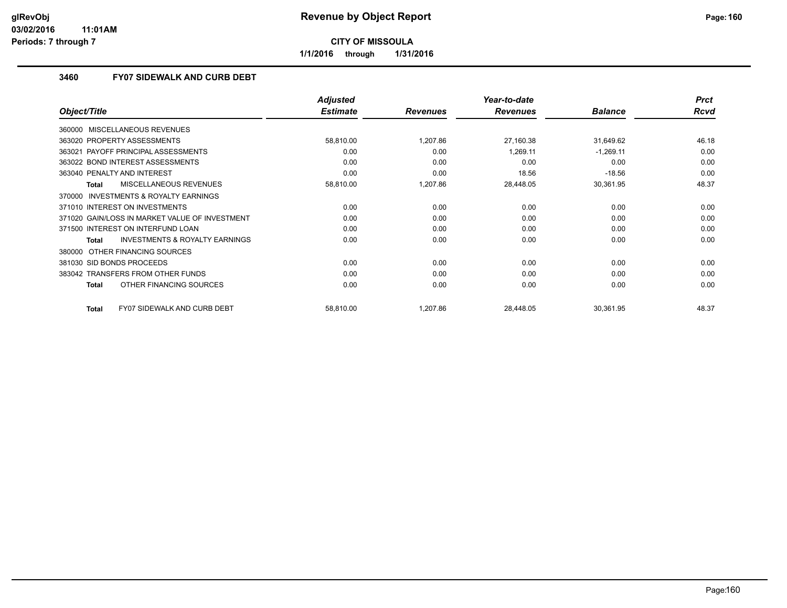**1/1/2016 through 1/31/2016**

## **3460 FY07 SIDEWALK AND CURB DEBT**

|                                                    | <b>Adjusted</b> |                 | Year-to-date    |                | <b>Prct</b> |
|----------------------------------------------------|-----------------|-----------------|-----------------|----------------|-------------|
| Object/Title                                       | <b>Estimate</b> | <b>Revenues</b> | <b>Revenues</b> | <b>Balance</b> | Rcvd        |
| 360000 MISCELLANEOUS REVENUES                      |                 |                 |                 |                |             |
| 363020 PROPERTY ASSESSMENTS                        | 58,810.00       | 1,207.86        | 27,160.38       | 31,649.62      | 46.18       |
| PAYOFF PRINCIPAL ASSESSMENTS<br>363021             | 0.00            | 0.00            | 1,269.11        | $-1,269.11$    | 0.00        |
| 363022 BOND INTEREST ASSESSMENTS                   | 0.00            | 0.00            | 0.00            | 0.00           | 0.00        |
| 363040 PENALTY AND INTEREST                        | 0.00            | 0.00            | 18.56           | $-18.56$       | 0.00        |
| MISCELLANEOUS REVENUES<br>Total                    | 58,810.00       | 1,207.86        | 28,448.05       | 30,361.95      | 48.37       |
| INVESTMENTS & ROYALTY EARNINGS<br>370000           |                 |                 |                 |                |             |
| 371010 INTEREST ON INVESTMENTS                     | 0.00            | 0.00            | 0.00            | 0.00           | 0.00        |
| 371020 GAIN/LOSS IN MARKET VALUE OF INVESTMENT     | 0.00            | 0.00            | 0.00            | 0.00           | 0.00        |
| 371500 INTEREST ON INTERFUND LOAN                  | 0.00            | 0.00            | 0.00            | 0.00           | 0.00        |
| <b>INVESTMENTS &amp; ROYALTY EARNINGS</b><br>Total | 0.00            | 0.00            | 0.00            | 0.00           | 0.00        |
| OTHER FINANCING SOURCES<br>380000                  |                 |                 |                 |                |             |
| 381030 SID BONDS PROCEEDS                          | 0.00            | 0.00            | 0.00            | 0.00           | 0.00        |
| 383042 TRANSFERS FROM OTHER FUNDS                  | 0.00            | 0.00            | 0.00            | 0.00           | 0.00        |
| OTHER FINANCING SOURCES<br><b>Total</b>            | 0.00            | 0.00            | 0.00            | 0.00           | 0.00        |
| <b>FY07 SIDEWALK AND CURB DEBT</b><br><b>Total</b> | 58,810.00       | 1,207.86        | 28,448.05       | 30,361.95      | 48.37       |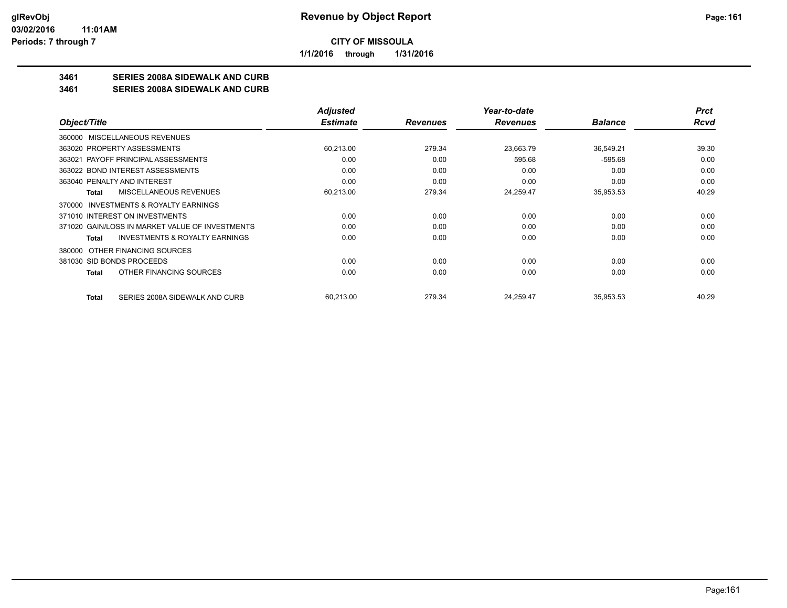**1/1/2016 through 1/31/2016**

# **3461 SERIES 2008A SIDEWALK AND CURB**

#### **3461 SERIES 2008A SIDEWALK AND CURB**

|                                                    | <b>Adjusted</b> |                 | Year-to-date    |                | <b>Prct</b> |
|----------------------------------------------------|-----------------|-----------------|-----------------|----------------|-------------|
| Object/Title                                       | <b>Estimate</b> | <b>Revenues</b> | <b>Revenues</b> | <b>Balance</b> | Rcvd        |
| 360000 MISCELLANEOUS REVENUES                      |                 |                 |                 |                |             |
| 363020 PROPERTY ASSESSMENTS                        | 60,213.00       | 279.34          | 23,663.79       | 36,549.21      | 39.30       |
| 363021 PAYOFF PRINCIPAL ASSESSMENTS                | 0.00            | 0.00            | 595.68          | $-595.68$      | 0.00        |
| 363022 BOND INTEREST ASSESSMENTS                   | 0.00            | 0.00            | 0.00            | 0.00           | 0.00        |
| 363040 PENALTY AND INTEREST                        | 0.00            | 0.00            | 0.00            | 0.00           | 0.00        |
| MISCELLANEOUS REVENUES<br>Total                    | 60,213.00       | 279.34          | 24,259.47       | 35,953.53      | 40.29       |
| INVESTMENTS & ROYALTY EARNINGS<br>370000           |                 |                 |                 |                |             |
| 371010 INTEREST ON INVESTMENTS                     | 0.00            | 0.00            | 0.00            | 0.00           | 0.00        |
| 371020 GAIN/LOSS IN MARKET VALUE OF INVESTMENTS    | 0.00            | 0.00            | 0.00            | 0.00           | 0.00        |
| <b>INVESTMENTS &amp; ROYALTY EARNINGS</b><br>Total | 0.00            | 0.00            | 0.00            | 0.00           | 0.00        |
| OTHER FINANCING SOURCES<br>380000                  |                 |                 |                 |                |             |
| 381030 SID BONDS PROCEEDS                          | 0.00            | 0.00            | 0.00            | 0.00           | 0.00        |
| OTHER FINANCING SOURCES<br>Total                   | 0.00            | 0.00            | 0.00            | 0.00           | 0.00        |
| SERIES 2008A SIDEWALK AND CURB<br><b>Total</b>     | 60,213.00       | 279.34          | 24,259.47       | 35,953.53      | 40.29       |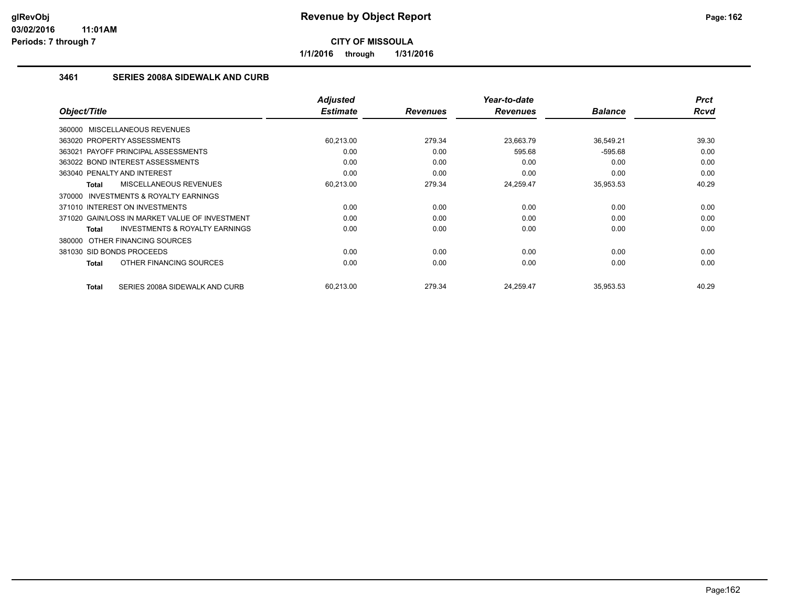**1/1/2016 through 1/31/2016**

# **3461 SERIES 2008A SIDEWALK AND CURB**

| Object/Title                                              | <b>Adjusted</b><br><b>Estimate</b> | <b>Revenues</b> | Year-to-date<br><b>Revenues</b> | <b>Balance</b> | <b>Prct</b><br><b>Rcvd</b> |
|-----------------------------------------------------------|------------------------------------|-----------------|---------------------------------|----------------|----------------------------|
| 360000 MISCELLANEOUS REVENUES                             |                                    |                 |                                 |                |                            |
|                                                           |                                    |                 |                                 |                |                            |
| 363020 PROPERTY ASSESSMENTS                               | 60,213.00                          | 279.34          | 23,663.79                       | 36,549.21      | 39.30                      |
| 363021 PAYOFF PRINCIPAL ASSESSMENTS                       | 0.00                               | 0.00            | 595.68                          | $-595.68$      | 0.00                       |
| 363022 BOND INTEREST ASSESSMENTS                          | 0.00                               | 0.00            | 0.00                            | 0.00           | 0.00                       |
| 363040 PENALTY AND INTEREST                               | 0.00                               | 0.00            | 0.00                            | 0.00           | 0.00                       |
| <b>MISCELLANEOUS REVENUES</b><br><b>Total</b>             | 60,213.00                          | 279.34          | 24,259.47                       | 35,953.53      | 40.29                      |
| <b>INVESTMENTS &amp; ROYALTY EARNINGS</b><br>370000       |                                    |                 |                                 |                |                            |
| 371010 INTEREST ON INVESTMENTS                            | 0.00                               | 0.00            | 0.00                            | 0.00           | 0.00                       |
| 371020 GAIN/LOSS IN MARKET VALUE OF INVESTMENT            | 0.00                               | 0.00            | 0.00                            | 0.00           | 0.00                       |
| <b>INVESTMENTS &amp; ROYALTY EARNINGS</b><br><b>Total</b> | 0.00                               | 0.00            | 0.00                            | 0.00           | 0.00                       |
| 380000 OTHER FINANCING SOURCES                            |                                    |                 |                                 |                |                            |
| 381030 SID BONDS PROCEEDS                                 | 0.00                               | 0.00            | 0.00                            | 0.00           | 0.00                       |
| OTHER FINANCING SOURCES<br><b>Total</b>                   | 0.00                               | 0.00            | 0.00                            | 0.00           | 0.00                       |
| SERIES 2008A SIDEWALK AND CURB<br><b>Total</b>            | 60,213.00                          | 279.34          | 24.259.47                       | 35,953.53      | 40.29                      |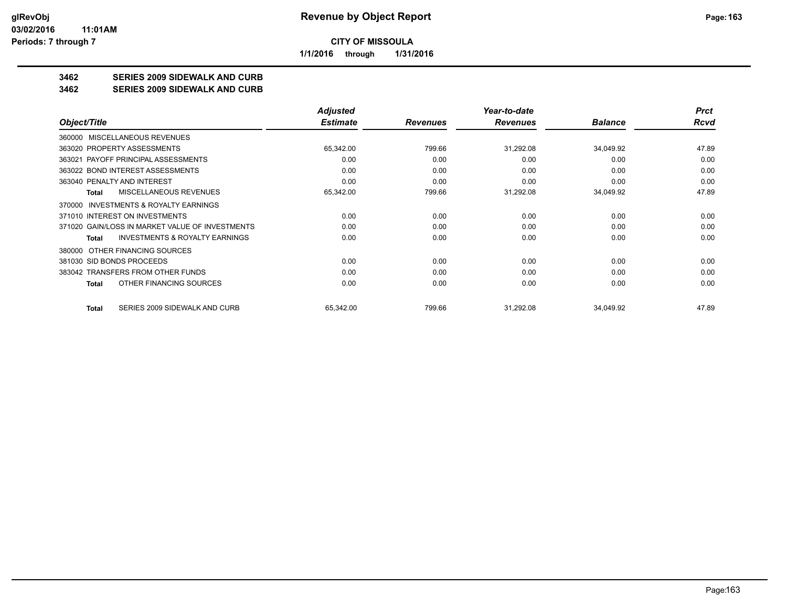**1/1/2016 through 1/31/2016**

# **3462 SERIES 2009 SIDEWALK AND CURB**

### **3462 SERIES 2009 SIDEWALK AND CURB**

|                                                    | <b>Adjusted</b> |                 | Year-to-date    |                | <b>Prct</b> |
|----------------------------------------------------|-----------------|-----------------|-----------------|----------------|-------------|
| Object/Title                                       | <b>Estimate</b> | <b>Revenues</b> | <b>Revenues</b> | <b>Balance</b> | Rcvd        |
| MISCELLANEOUS REVENUES<br>360000                   |                 |                 |                 |                |             |
| 363020 PROPERTY ASSESSMENTS                        | 65,342.00       | 799.66          | 31,292.08       | 34,049.92      | 47.89       |
| 363021 PAYOFF PRINCIPAL ASSESSMENTS                | 0.00            | 0.00            | 0.00            | 0.00           | 0.00        |
| 363022 BOND INTEREST ASSESSMENTS                   | 0.00            | 0.00            | 0.00            | 0.00           | 0.00        |
| 363040 PENALTY AND INTEREST                        | 0.00            | 0.00            | 0.00            | 0.00           | 0.00        |
| MISCELLANEOUS REVENUES<br><b>Total</b>             | 65,342.00       | 799.66          | 31,292.08       | 34,049.92      | 47.89       |
| INVESTMENTS & ROYALTY EARNINGS<br>370000           |                 |                 |                 |                |             |
| 371010 INTEREST ON INVESTMENTS                     | 0.00            | 0.00            | 0.00            | 0.00           | 0.00        |
| 371020 GAIN/LOSS IN MARKET VALUE OF INVESTMENTS    | 0.00            | 0.00            | 0.00            | 0.00           | 0.00        |
| <b>INVESTMENTS &amp; ROYALTY EARNINGS</b><br>Total | 0.00            | 0.00            | 0.00            | 0.00           | 0.00        |
| OTHER FINANCING SOURCES<br>380000                  |                 |                 |                 |                |             |
| 381030 SID BONDS PROCEEDS                          | 0.00            | 0.00            | 0.00            | 0.00           | 0.00        |
| 383042 TRANSFERS FROM OTHER FUNDS                  | 0.00            | 0.00            | 0.00            | 0.00           | 0.00        |
| OTHER FINANCING SOURCES<br>Total                   | 0.00            | 0.00            | 0.00            | 0.00           | 0.00        |
| SERIES 2009 SIDEWALK AND CURB<br>Total             | 65,342.00       | 799.66          | 31,292.08       | 34,049.92      | 47.89       |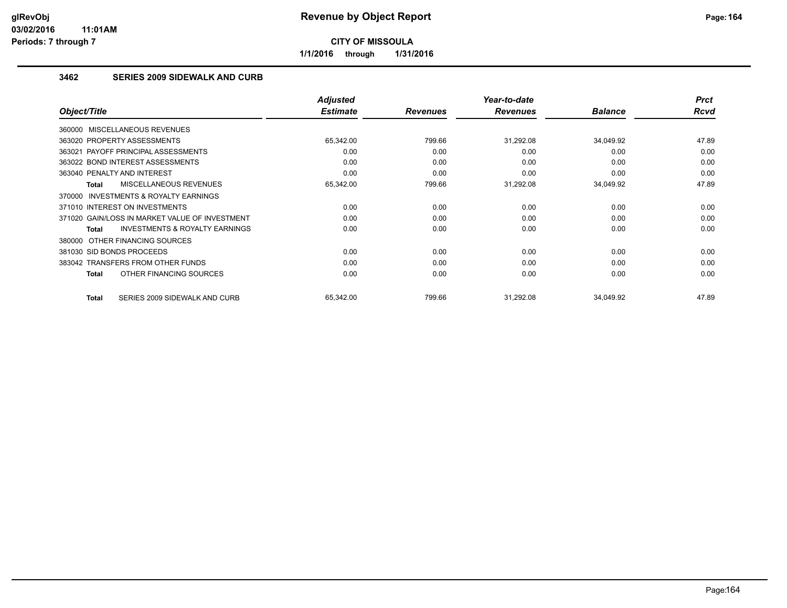**1/1/2016 through 1/31/2016**

## **3462 SERIES 2009 SIDEWALK AND CURB**

|                                                           | <b>Adjusted</b> |                 | Year-to-date    |                | <b>Prct</b> |
|-----------------------------------------------------------|-----------------|-----------------|-----------------|----------------|-------------|
| Object/Title                                              | <b>Estimate</b> | <b>Revenues</b> | <b>Revenues</b> | <b>Balance</b> | <b>Rcvd</b> |
| 360000 MISCELLANEOUS REVENUES                             |                 |                 |                 |                |             |
| 363020 PROPERTY ASSESSMENTS                               | 65,342.00       | 799.66          | 31,292.08       | 34,049.92      | 47.89       |
| 363021 PAYOFF PRINCIPAL ASSESSMENTS                       | 0.00            | 0.00            | 0.00            | 0.00           | 0.00        |
| 363022 BOND INTEREST ASSESSMENTS                          | 0.00            | 0.00            | 0.00            | 0.00           | 0.00        |
| 363040 PENALTY AND INTEREST                               | 0.00            | 0.00            | 0.00            | 0.00           | 0.00        |
| <b>MISCELLANEOUS REVENUES</b><br><b>Total</b>             | 65,342.00       | 799.66          | 31,292.08       | 34,049.92      | 47.89       |
| <b>INVESTMENTS &amp; ROYALTY EARNINGS</b><br>370000       |                 |                 |                 |                |             |
| 371010 INTEREST ON INVESTMENTS                            | 0.00            | 0.00            | 0.00            | 0.00           | 0.00        |
| 371020 GAIN/LOSS IN MARKET VALUE OF INVESTMENT            | 0.00            | 0.00            | 0.00            | 0.00           | 0.00        |
| <b>INVESTMENTS &amp; ROYALTY EARNINGS</b><br><b>Total</b> | 0.00            | 0.00            | 0.00            | 0.00           | 0.00        |
| OTHER FINANCING SOURCES<br>380000                         |                 |                 |                 |                |             |
| 381030 SID BONDS PROCEEDS                                 | 0.00            | 0.00            | 0.00            | 0.00           | 0.00        |
| 383042 TRANSFERS FROM OTHER FUNDS                         | 0.00            | 0.00            | 0.00            | 0.00           | 0.00        |
| OTHER FINANCING SOURCES<br>Total                          | 0.00            | 0.00            | 0.00            | 0.00           | 0.00        |
| SERIES 2009 SIDEWALK AND CURB<br><b>Total</b>             | 65,342.00       | 799.66          | 31,292.08       | 34,049.92      | 47.89       |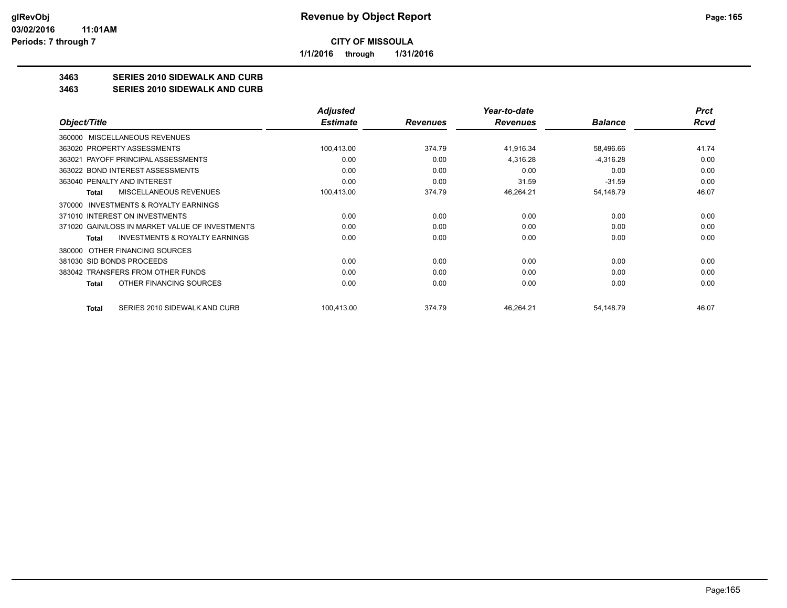**1/1/2016 through 1/31/2016**

# **3463 SERIES 2010 SIDEWALK AND CURB**

### **3463 SERIES 2010 SIDEWALK AND CURB**

|                                                    | <b>Adjusted</b> |                 | Year-to-date    |                | <b>Prct</b> |
|----------------------------------------------------|-----------------|-----------------|-----------------|----------------|-------------|
| Object/Title                                       | <b>Estimate</b> | <b>Revenues</b> | <b>Revenues</b> | <b>Balance</b> | Rcvd        |
| MISCELLANEOUS REVENUES<br>360000                   |                 |                 |                 |                |             |
| 363020 PROPERTY ASSESSMENTS                        | 100,413.00      | 374.79          | 41,916.34       | 58,496.66      | 41.74       |
| 363021 PAYOFF PRINCIPAL ASSESSMENTS                | 0.00            | 0.00            | 4.316.28        | $-4,316.28$    | 0.00        |
| 363022 BOND INTEREST ASSESSMENTS                   | 0.00            | 0.00            | 0.00            | 0.00           | 0.00        |
| 363040 PENALTY AND INTEREST                        | 0.00            | 0.00            | 31.59           | $-31.59$       | 0.00        |
| MISCELLANEOUS REVENUES<br>Total                    | 100,413.00      | 374.79          | 46,264.21       | 54,148.79      | 46.07       |
| INVESTMENTS & ROYALTY EARNINGS<br>370000           |                 |                 |                 |                |             |
| 371010 INTEREST ON INVESTMENTS                     | 0.00            | 0.00            | 0.00            | 0.00           | 0.00        |
| 371020 GAIN/LOSS IN MARKET VALUE OF INVESTMENTS    | 0.00            | 0.00            | 0.00            | 0.00           | 0.00        |
| <b>INVESTMENTS &amp; ROYALTY EARNINGS</b><br>Total | 0.00            | 0.00            | 0.00            | 0.00           | 0.00        |
| 380000 OTHER FINANCING SOURCES                     |                 |                 |                 |                |             |
| 381030 SID BONDS PROCEEDS                          | 0.00            | 0.00            | 0.00            | 0.00           | 0.00        |
| 383042 TRANSFERS FROM OTHER FUNDS                  | 0.00            | 0.00            | 0.00            | 0.00           | 0.00        |
| OTHER FINANCING SOURCES<br>Total                   | 0.00            | 0.00            | 0.00            | 0.00           | 0.00        |
| SERIES 2010 SIDEWALK AND CURB<br>Total             | 100,413.00      | 374.79          | 46,264.21       | 54,148.79      | 46.07       |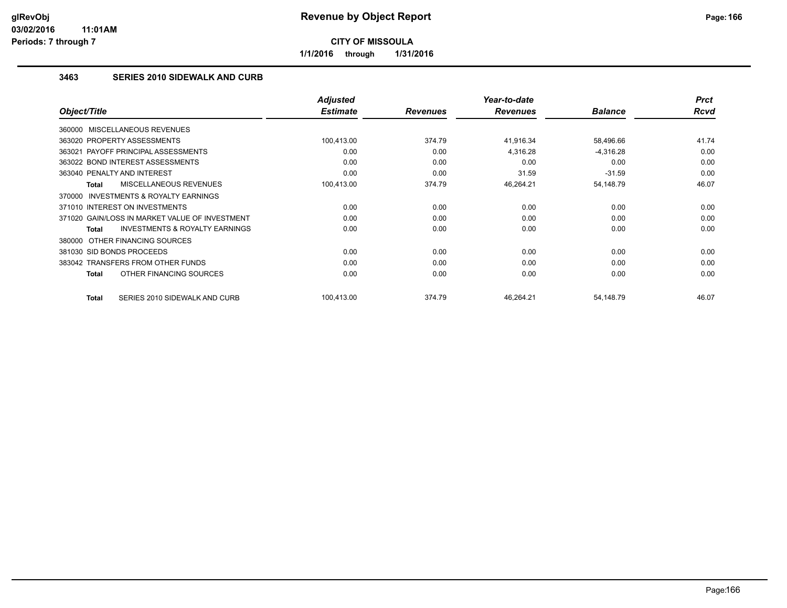**1/1/2016 through 1/31/2016**

# **3463 SERIES 2010 SIDEWALK AND CURB**

|                                                     | <b>Adjusted</b> |                 | Year-to-date    |                | <b>Prct</b> |
|-----------------------------------------------------|-----------------|-----------------|-----------------|----------------|-------------|
| Object/Title                                        | <b>Estimate</b> | <b>Revenues</b> | <b>Revenues</b> | <b>Balance</b> | <b>Rcvd</b> |
| 360000 MISCELLANEOUS REVENUES                       |                 |                 |                 |                |             |
| 363020 PROPERTY ASSESSMENTS                         | 100,413.00      | 374.79          | 41,916.34       | 58,496.66      | 41.74       |
| 363021 PAYOFF PRINCIPAL ASSESSMENTS                 | 0.00            | 0.00            | 4,316.28        | $-4,316.28$    | 0.00        |
| 363022 BOND INTEREST ASSESSMENTS                    | 0.00            | 0.00            | 0.00            | 0.00           | 0.00        |
| 363040 PENALTY AND INTEREST                         | 0.00            | 0.00            | 31.59           | $-31.59$       | 0.00        |
| MISCELLANEOUS REVENUES<br>Total                     | 100,413.00      | 374.79          | 46,264.21       | 54,148.79      | 46.07       |
| <b>INVESTMENTS &amp; ROYALTY EARNINGS</b><br>370000 |                 |                 |                 |                |             |
| 371010 INTEREST ON INVESTMENTS                      | 0.00            | 0.00            | 0.00            | 0.00           | 0.00        |
| 371020 GAIN/LOSS IN MARKET VALUE OF INVESTMENT      | 0.00            | 0.00            | 0.00            | 0.00           | 0.00        |
| <b>INVESTMENTS &amp; ROYALTY EARNINGS</b><br>Total  | 0.00            | 0.00            | 0.00            | 0.00           | 0.00        |
| 380000 OTHER FINANCING SOURCES                      |                 |                 |                 |                |             |
| 381030 SID BONDS PROCEEDS                           | 0.00            | 0.00            | 0.00            | 0.00           | 0.00        |
| 383042 TRANSFERS FROM OTHER FUNDS                   | 0.00            | 0.00            | 0.00            | 0.00           | 0.00        |
| OTHER FINANCING SOURCES<br>Total                    | 0.00            | 0.00            | 0.00            | 0.00           | 0.00        |
| SERIES 2010 SIDEWALK AND CURB<br><b>Total</b>       | 100,413.00      | 374.79          | 46,264.21       | 54,148.79      | 46.07       |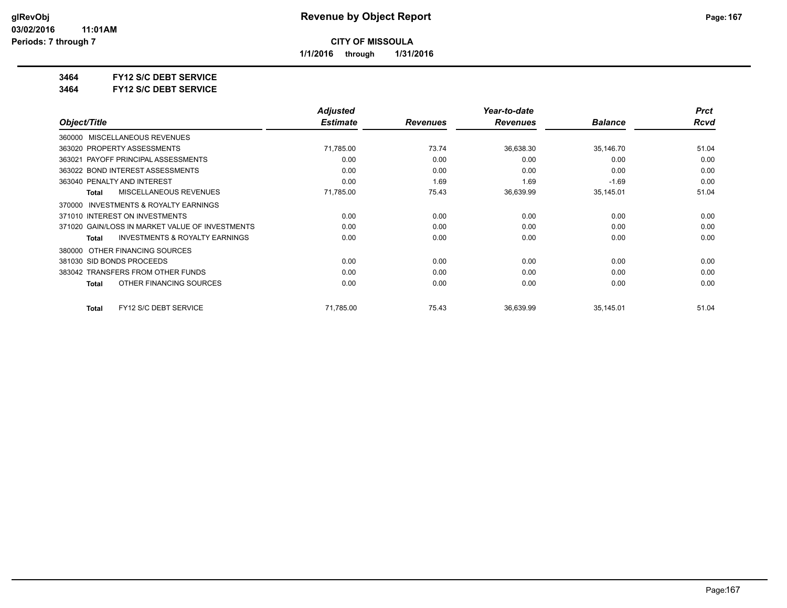**1/1/2016 through 1/31/2016**

**3464 FY12 S/C DEBT SERVICE**

**3464 FY12 S/C DEBT SERVICE**

|                                                           | <b>Adjusted</b> |                 | Year-to-date    |                | <b>Prct</b> |
|-----------------------------------------------------------|-----------------|-----------------|-----------------|----------------|-------------|
| Object/Title                                              | <b>Estimate</b> | <b>Revenues</b> | <b>Revenues</b> | <b>Balance</b> | Rcvd        |
| MISCELLANEOUS REVENUES<br>360000                          |                 |                 |                 |                |             |
| 363020 PROPERTY ASSESSMENTS                               | 71,785.00       | 73.74           | 36,638.30       | 35,146.70      | 51.04       |
| 363021 PAYOFF PRINCIPAL ASSESSMENTS                       | 0.00            | 0.00            | 0.00            | 0.00           | 0.00        |
| 363022 BOND INTEREST ASSESSMENTS                          | 0.00            | 0.00            | 0.00            | 0.00           | 0.00        |
| 363040 PENALTY AND INTEREST                               | 0.00            | 1.69            | 1.69            | $-1.69$        | 0.00        |
| MISCELLANEOUS REVENUES<br><b>Total</b>                    | 71,785.00       | 75.43           | 36,639.99       | 35,145.01      | 51.04       |
| <b>INVESTMENTS &amp; ROYALTY EARNINGS</b><br>370000       |                 |                 |                 |                |             |
| 371010 INTEREST ON INVESTMENTS                            | 0.00            | 0.00            | 0.00            | 0.00           | 0.00        |
| 371020 GAIN/LOSS IN MARKET VALUE OF INVESTMENTS           | 0.00            | 0.00            | 0.00            | 0.00           | 0.00        |
| <b>INVESTMENTS &amp; ROYALTY EARNINGS</b><br><b>Total</b> | 0.00            | 0.00            | 0.00            | 0.00           | 0.00        |
| OTHER FINANCING SOURCES<br>380000                         |                 |                 |                 |                |             |
| 381030 SID BONDS PROCEEDS                                 | 0.00            | 0.00            | 0.00            | 0.00           | 0.00        |
| 383042 TRANSFERS FROM OTHER FUNDS                         | 0.00            | 0.00            | 0.00            | 0.00           | 0.00        |
| OTHER FINANCING SOURCES<br><b>Total</b>                   | 0.00            | 0.00            | 0.00            | 0.00           | 0.00        |
| FY12 S/C DEBT SERVICE<br><b>Total</b>                     | 71,785.00       | 75.43           | 36,639.99       | 35,145.01      | 51.04       |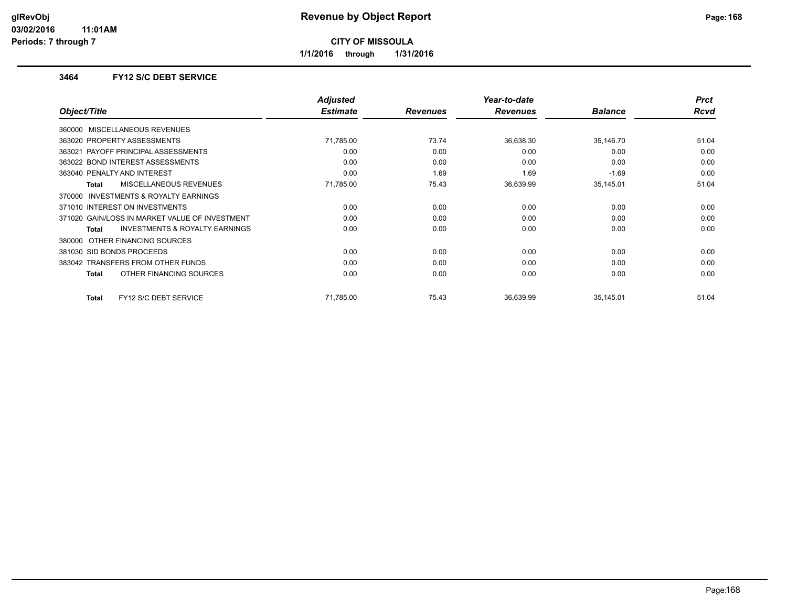**1/1/2016 through 1/31/2016**

### **3464 FY12 S/C DEBT SERVICE**

|                                                     | <b>Adjusted</b> |                 | Year-to-date    |                | <b>Prct</b> |
|-----------------------------------------------------|-----------------|-----------------|-----------------|----------------|-------------|
| Object/Title                                        | <b>Estimate</b> | <b>Revenues</b> | <b>Revenues</b> | <b>Balance</b> | <b>Rcvd</b> |
| 360000 MISCELLANEOUS REVENUES                       |                 |                 |                 |                |             |
| 363020 PROPERTY ASSESSMENTS                         | 71,785.00       | 73.74           | 36,638.30       | 35,146.70      | 51.04       |
| 363021 PAYOFF PRINCIPAL ASSESSMENTS                 | 0.00            | 0.00            | 0.00            | 0.00           | 0.00        |
| 363022 BOND INTEREST ASSESSMENTS                    | 0.00            | 0.00            | 0.00            | 0.00           | 0.00        |
| 363040 PENALTY AND INTEREST                         | 0.00            | 1.69            | 1.69            | $-1.69$        | 0.00        |
| <b>MISCELLANEOUS REVENUES</b><br>Total              | 71,785.00       | 75.43           | 36,639.99       | 35,145.01      | 51.04       |
| <b>INVESTMENTS &amp; ROYALTY EARNINGS</b><br>370000 |                 |                 |                 |                |             |
| 371010 INTEREST ON INVESTMENTS                      | 0.00            | 0.00            | 0.00            | 0.00           | 0.00        |
| 371020 GAIN/LOSS IN MARKET VALUE OF INVESTMENT      | 0.00            | 0.00            | 0.00            | 0.00           | 0.00        |
| <b>INVESTMENTS &amp; ROYALTY EARNINGS</b><br>Total  | 0.00            | 0.00            | 0.00            | 0.00           | 0.00        |
| 380000 OTHER FINANCING SOURCES                      |                 |                 |                 |                |             |
| 381030 SID BONDS PROCEEDS                           | 0.00            | 0.00            | 0.00            | 0.00           | 0.00        |
| 383042 TRANSFERS FROM OTHER FUNDS                   | 0.00            | 0.00            | 0.00            | 0.00           | 0.00        |
| OTHER FINANCING SOURCES<br>Total                    | 0.00            | 0.00            | 0.00            | 0.00           | 0.00        |
| FY12 S/C DEBT SERVICE<br><b>Total</b>               | 71,785.00       | 75.43           | 36,639.99       | 35,145.01      | 51.04       |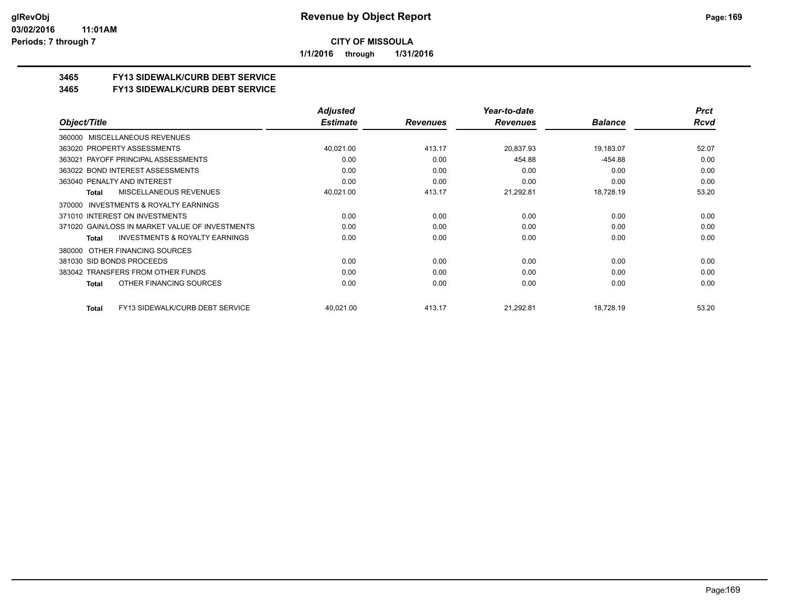**1/1/2016 through 1/31/2016**

# **3465 FY13 SIDEWALK/CURB DEBT SERVICE**

### **3465 FY13 SIDEWALK/CURB DEBT SERVICE**

|                                                     | <b>Adjusted</b> |                 | Year-to-date    |                | <b>Prct</b> |
|-----------------------------------------------------|-----------------|-----------------|-----------------|----------------|-------------|
| Object/Title                                        | <b>Estimate</b> | <b>Revenues</b> | <b>Revenues</b> | <b>Balance</b> | Rcvd        |
| 360000 MISCELLANEOUS REVENUES                       |                 |                 |                 |                |             |
| 363020 PROPERTY ASSESSMENTS                         | 40,021.00       | 413.17          | 20,837.93       | 19,183.07      | 52.07       |
| PAYOFF PRINCIPAL ASSESSMENTS<br>363021              | 0.00            | 0.00            | 454.88          | $-454.88$      | 0.00        |
| 363022 BOND INTEREST ASSESSMENTS                    | 0.00            | 0.00            | 0.00            | 0.00           | 0.00        |
| 363040 PENALTY AND INTEREST                         | 0.00            | 0.00            | 0.00            | 0.00           | 0.00        |
| <b>MISCELLANEOUS REVENUES</b><br>Total              | 40,021.00       | 413.17          | 21,292.81       | 18,728.19      | 53.20       |
| <b>INVESTMENTS &amp; ROYALTY EARNINGS</b><br>370000 |                 |                 |                 |                |             |
| 371010 INTEREST ON INVESTMENTS                      | 0.00            | 0.00            | 0.00            | 0.00           | 0.00        |
| 371020 GAIN/LOSS IN MARKET VALUE OF INVESTMENTS     | 0.00            | 0.00            | 0.00            | 0.00           | 0.00        |
| <b>INVESTMENTS &amp; ROYALTY EARNINGS</b><br>Total  | 0.00            | 0.00            | 0.00            | 0.00           | 0.00        |
| 380000 OTHER FINANCING SOURCES                      |                 |                 |                 |                |             |
| 381030 SID BONDS PROCEEDS                           | 0.00            | 0.00            | 0.00            | 0.00           | 0.00        |
| 383042 TRANSFERS FROM OTHER FUNDS                   | 0.00            | 0.00            | 0.00            | 0.00           | 0.00        |
| OTHER FINANCING SOURCES<br>Total                    | 0.00            | 0.00            | 0.00            | 0.00           | 0.00        |
| FY13 SIDEWALK/CURB DEBT SERVICE<br>Total            | 40,021.00       | 413.17          | 21,292.81       | 18,728.19      | 53.20       |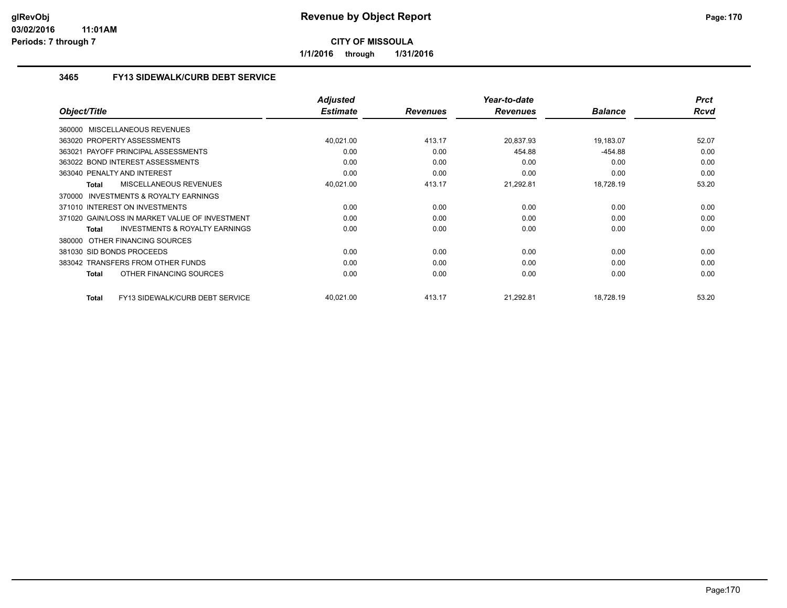**1/1/2016 through 1/31/2016**

# **3465 FY13 SIDEWALK/CURB DEBT SERVICE**

|                                                           | <b>Adjusted</b> |                 | Year-to-date    |                | <b>Prct</b> |
|-----------------------------------------------------------|-----------------|-----------------|-----------------|----------------|-------------|
| Object/Title                                              | <b>Estimate</b> | <b>Revenues</b> | <b>Revenues</b> | <b>Balance</b> | <b>Rcvd</b> |
| 360000 MISCELLANEOUS REVENUES                             |                 |                 |                 |                |             |
| 363020 PROPERTY ASSESSMENTS                               | 40,021.00       | 413.17          | 20,837.93       | 19,183.07      | 52.07       |
| 363021 PAYOFF PRINCIPAL ASSESSMENTS                       | 0.00            | 0.00            | 454.88          | $-454.88$      | 0.00        |
| 363022 BOND INTEREST ASSESSMENTS                          | 0.00            | 0.00            | 0.00            | 0.00           | 0.00        |
| 363040 PENALTY AND INTEREST                               | 0.00            | 0.00            | 0.00            | 0.00           | 0.00        |
| MISCELLANEOUS REVENUES<br><b>Total</b>                    | 40,021.00       | 413.17          | 21,292.81       | 18,728.19      | 53.20       |
| <b>INVESTMENTS &amp; ROYALTY EARNINGS</b><br>370000       |                 |                 |                 |                |             |
| 371010 INTEREST ON INVESTMENTS                            | 0.00            | 0.00            | 0.00            | 0.00           | 0.00        |
| 371020 GAIN/LOSS IN MARKET VALUE OF INVESTMENT            | 0.00            | 0.00            | 0.00            | 0.00           | 0.00        |
| <b>INVESTMENTS &amp; ROYALTY EARNINGS</b><br><b>Total</b> | 0.00            | 0.00            | 0.00            | 0.00           | 0.00        |
| OTHER FINANCING SOURCES<br>380000                         |                 |                 |                 |                |             |
| 381030 SID BONDS PROCEEDS                                 | 0.00            | 0.00            | 0.00            | 0.00           | 0.00        |
| 383042 TRANSFERS FROM OTHER FUNDS                         | 0.00            | 0.00            | 0.00            | 0.00           | 0.00        |
| OTHER FINANCING SOURCES<br><b>Total</b>                   | 0.00            | 0.00            | 0.00            | 0.00           | 0.00        |
| FY13 SIDEWALK/CURB DEBT SERVICE<br>Total                  | 40,021.00       | 413.17          | 21,292.81       | 18,728.19      | 53.20       |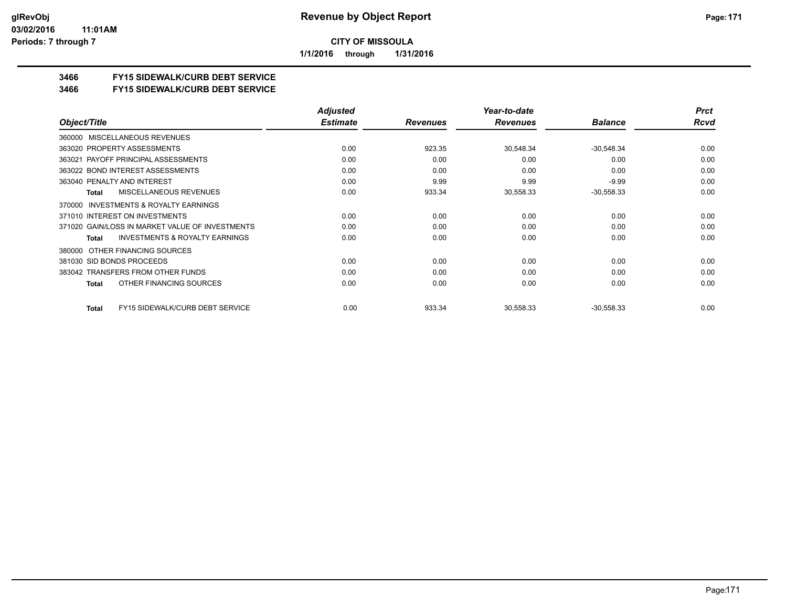**1/1/2016 through 1/31/2016**

# **3466 FY15 SIDEWALK/CURB DEBT SERVICE**

### **3466 FY15 SIDEWALK/CURB DEBT SERVICE**

|                                                    | <b>Adjusted</b> |                 | Year-to-date    |                | <b>Prct</b> |
|----------------------------------------------------|-----------------|-----------------|-----------------|----------------|-------------|
| Object/Title                                       | <b>Estimate</b> | <b>Revenues</b> | <b>Revenues</b> | <b>Balance</b> | Rcvd        |
| <b>MISCELLANEOUS REVENUES</b><br>360000            |                 |                 |                 |                |             |
| 363020 PROPERTY ASSESSMENTS                        | 0.00            | 923.35          | 30,548.34       | $-30,548.34$   | 0.00        |
| 363021 PAYOFF PRINCIPAL ASSESSMENTS                | 0.00            | 0.00            | 0.00            | 0.00           | 0.00        |
| 363022 BOND INTEREST ASSESSMENTS                   | 0.00            | 0.00            | 0.00            | 0.00           | 0.00        |
| 363040 PENALTY AND INTEREST                        | 0.00            | 9.99            | 9.99            | $-9.99$        | 0.00        |
| MISCELLANEOUS REVENUES<br>Total                    | 0.00            | 933.34          | 30,558.33       | $-30,558.33$   | 0.00        |
| INVESTMENTS & ROYALTY EARNINGS<br>370000           |                 |                 |                 |                |             |
| 371010 INTEREST ON INVESTMENTS                     | 0.00            | 0.00            | 0.00            | 0.00           | 0.00        |
| 371020 GAIN/LOSS IN MARKET VALUE OF INVESTMENTS    | 0.00            | 0.00            | 0.00            | 0.00           | 0.00        |
| <b>INVESTMENTS &amp; ROYALTY EARNINGS</b><br>Total | 0.00            | 0.00            | 0.00            | 0.00           | 0.00        |
| OTHER FINANCING SOURCES<br>380000                  |                 |                 |                 |                |             |
| 381030 SID BONDS PROCEEDS                          | 0.00            | 0.00            | 0.00            | 0.00           | 0.00        |
| 383042 TRANSFERS FROM OTHER FUNDS                  | 0.00            | 0.00            | 0.00            | 0.00           | 0.00        |
| OTHER FINANCING SOURCES<br>Total                   | 0.00            | 0.00            | 0.00            | 0.00           | 0.00        |
| FY15 SIDEWALK/CURB DEBT SERVICE<br>Total           | 0.00            | 933.34          | 30,558.33       | $-30,558.33$   | 0.00        |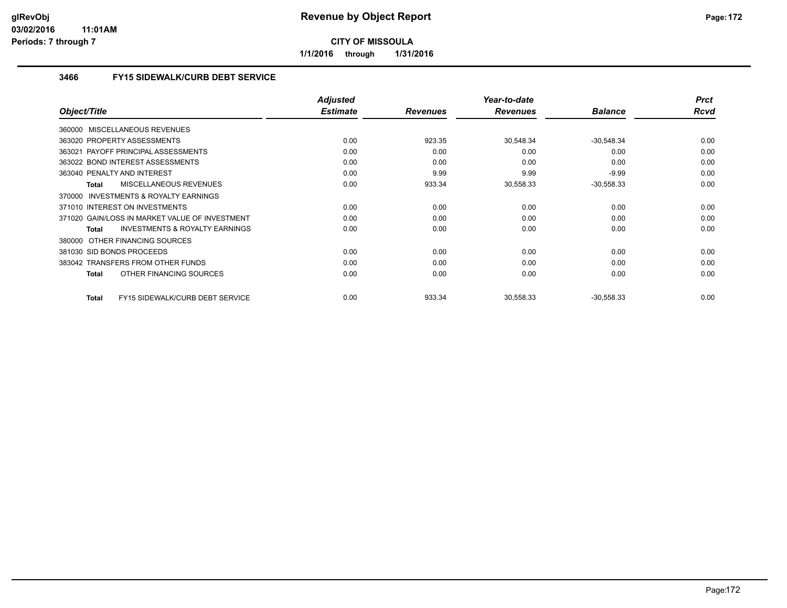**1/1/2016 through 1/31/2016**

# **3466 FY15 SIDEWALK/CURB DEBT SERVICE**

|                                                           | <b>Adjusted</b> |                 | Year-to-date    |                | <b>Prct</b> |
|-----------------------------------------------------------|-----------------|-----------------|-----------------|----------------|-------------|
| Object/Title                                              | <b>Estimate</b> | <b>Revenues</b> | <b>Revenues</b> | <b>Balance</b> | Rcvd        |
| 360000 MISCELLANEOUS REVENUES                             |                 |                 |                 |                |             |
| 363020 PROPERTY ASSESSMENTS                               | 0.00            | 923.35          | 30,548.34       | $-30,548.34$   | 0.00        |
| 363021 PAYOFF PRINCIPAL ASSESSMENTS                       | 0.00            | 0.00            | 0.00            | 0.00           | 0.00        |
| 363022 BOND INTEREST ASSESSMENTS                          | 0.00            | 0.00            | 0.00            | 0.00           | 0.00        |
| 363040 PENALTY AND INTEREST                               | 0.00            | 9.99            | 9.99            | $-9.99$        | 0.00        |
| MISCELLANEOUS REVENUES<br>Total                           | 0.00            | 933.34          | 30,558.33       | $-30,558.33$   | 0.00        |
| 370000 INVESTMENTS & ROYALTY EARNINGS                     |                 |                 |                 |                |             |
| 371010 INTEREST ON INVESTMENTS                            | 0.00            | 0.00            | 0.00            | 0.00           | 0.00        |
| 371020 GAIN/LOSS IN MARKET VALUE OF INVESTMENT            | 0.00            | 0.00            | 0.00            | 0.00           | 0.00        |
| <b>INVESTMENTS &amp; ROYALTY EARNINGS</b><br><b>Total</b> | 0.00            | 0.00            | 0.00            | 0.00           | 0.00        |
| 380000 OTHER FINANCING SOURCES                            |                 |                 |                 |                |             |
| 381030 SID BONDS PROCEEDS                                 | 0.00            | 0.00            | 0.00            | 0.00           | 0.00        |
| 383042 TRANSFERS FROM OTHER FUNDS                         | 0.00            | 0.00            | 0.00            | 0.00           | 0.00        |
| OTHER FINANCING SOURCES<br>Total                          | 0.00            | 0.00            | 0.00            | 0.00           | 0.00        |
| FY15 SIDEWALK/CURB DEBT SERVICE<br><b>Total</b>           | 0.00            | 933.34          | 30,558.33       | $-30,558.33$   | 0.00        |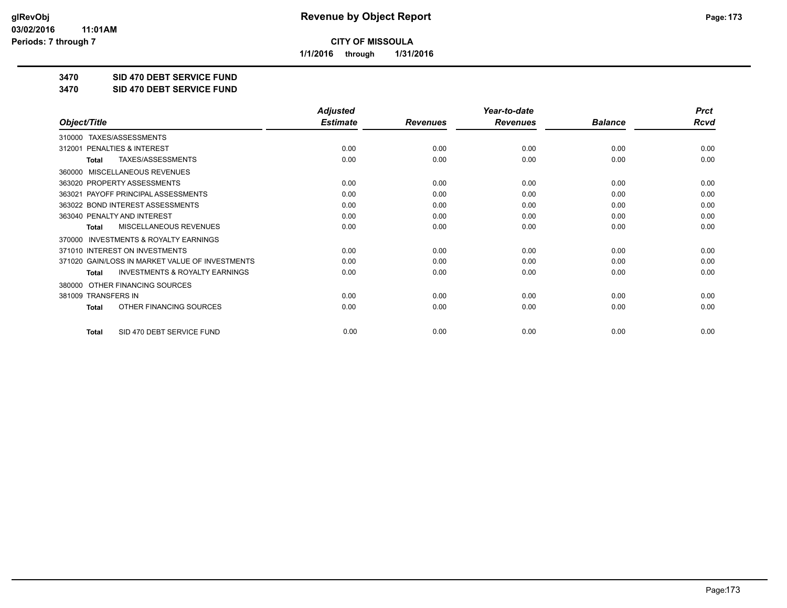**1/1/2016 through 1/31/2016**

**3470 SID 470 DEBT SERVICE FUND**

**3470 SID 470 DEBT SERVICE FUND**

|                                                           | <b>Adjusted</b> |                 | Year-to-date    |                | <b>Prct</b> |
|-----------------------------------------------------------|-----------------|-----------------|-----------------|----------------|-------------|
| Object/Title                                              | <b>Estimate</b> | <b>Revenues</b> | <b>Revenues</b> | <b>Balance</b> | <b>Rcvd</b> |
| TAXES/ASSESSMENTS<br>310000                               |                 |                 |                 |                |             |
| PENALTIES & INTEREST<br>312001                            | 0.00            | 0.00            | 0.00            | 0.00           | 0.00        |
| TAXES/ASSESSMENTS<br><b>Total</b>                         | 0.00            | 0.00            | 0.00            | 0.00           | 0.00        |
| MISCELLANEOUS REVENUES<br>360000                          |                 |                 |                 |                |             |
| 363020 PROPERTY ASSESSMENTS                               | 0.00            | 0.00            | 0.00            | 0.00           | 0.00        |
| PAYOFF PRINCIPAL ASSESSMENTS<br>363021                    | 0.00            | 0.00            | 0.00            | 0.00           | 0.00        |
| 363022 BOND INTEREST ASSESSMENTS                          | 0.00            | 0.00            | 0.00            | 0.00           | 0.00        |
| 363040 PENALTY AND INTEREST                               | 0.00            | 0.00            | 0.00            | 0.00           | 0.00        |
| MISCELLANEOUS REVENUES<br><b>Total</b>                    | 0.00            | 0.00            | 0.00            | 0.00           | 0.00        |
| <b>INVESTMENTS &amp; ROYALTY EARNINGS</b><br>370000       |                 |                 |                 |                |             |
| 371010 INTEREST ON INVESTMENTS                            | 0.00            | 0.00            | 0.00            | 0.00           | 0.00        |
| 371020 GAIN/LOSS IN MARKET VALUE OF INVESTMENTS           | 0.00            | 0.00            | 0.00            | 0.00           | 0.00        |
| <b>INVESTMENTS &amp; ROYALTY EARNINGS</b><br><b>Total</b> | 0.00            | 0.00            | 0.00            | 0.00           | 0.00        |
| OTHER FINANCING SOURCES<br>380000                         |                 |                 |                 |                |             |
| 381009 TRANSFERS IN                                       | 0.00            | 0.00            | 0.00            | 0.00           | 0.00        |
| OTHER FINANCING SOURCES<br><b>Total</b>                   | 0.00            | 0.00            | 0.00            | 0.00           | 0.00        |
|                                                           |                 |                 |                 |                |             |
| SID 470 DEBT SERVICE FUND<br><b>Total</b>                 | 0.00            | 0.00            | 0.00            | 0.00           | 0.00        |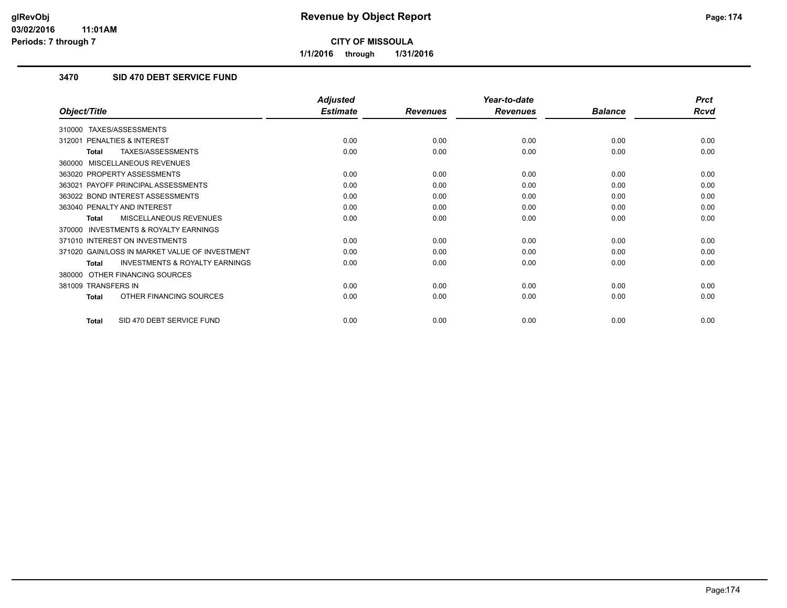**1/1/2016 through 1/31/2016**

# **3470 SID 470 DEBT SERVICE FUND**

|                                                           | <b>Adjusted</b> |                 | Year-to-date    |                | <b>Prct</b> |
|-----------------------------------------------------------|-----------------|-----------------|-----------------|----------------|-------------|
| Object/Title                                              | <b>Estimate</b> | <b>Revenues</b> | <b>Revenues</b> | <b>Balance</b> | <b>Rcvd</b> |
| TAXES/ASSESSMENTS<br>310000                               |                 |                 |                 |                |             |
| 312001 PENALTIES & INTEREST                               | 0.00            | 0.00            | 0.00            | 0.00           | 0.00        |
| TAXES/ASSESSMENTS<br><b>Total</b>                         | 0.00            | 0.00            | 0.00            | 0.00           | 0.00        |
| MISCELLANEOUS REVENUES<br>360000                          |                 |                 |                 |                |             |
| 363020 PROPERTY ASSESSMENTS                               | 0.00            | 0.00            | 0.00            | 0.00           | 0.00        |
| 363021 PAYOFF PRINCIPAL ASSESSMENTS                       | 0.00            | 0.00            | 0.00            | 0.00           | 0.00        |
| 363022 BOND INTEREST ASSESSMENTS                          | 0.00            | 0.00            | 0.00            | 0.00           | 0.00        |
| 363040 PENALTY AND INTEREST                               | 0.00            | 0.00            | 0.00            | 0.00           | 0.00        |
| MISCELLANEOUS REVENUES<br><b>Total</b>                    | 0.00            | 0.00            | 0.00            | 0.00           | 0.00        |
| <b>INVESTMENTS &amp; ROYALTY EARNINGS</b><br>370000       |                 |                 |                 |                |             |
| 371010 INTEREST ON INVESTMENTS                            | 0.00            | 0.00            | 0.00            | 0.00           | 0.00        |
| 371020 GAIN/LOSS IN MARKET VALUE OF INVESTMENT            | 0.00            | 0.00            | 0.00            | 0.00           | 0.00        |
| <b>INVESTMENTS &amp; ROYALTY EARNINGS</b><br><b>Total</b> | 0.00            | 0.00            | 0.00            | 0.00           | 0.00        |
| OTHER FINANCING SOURCES<br>380000                         |                 |                 |                 |                |             |
| 381009 TRANSFERS IN                                       | 0.00            | 0.00            | 0.00            | 0.00           | 0.00        |
| OTHER FINANCING SOURCES<br><b>Total</b>                   | 0.00            | 0.00            | 0.00            | 0.00           | 0.00        |
| SID 470 DEBT SERVICE FUND<br>Total                        | 0.00            | 0.00            | 0.00            | 0.00           | 0.00        |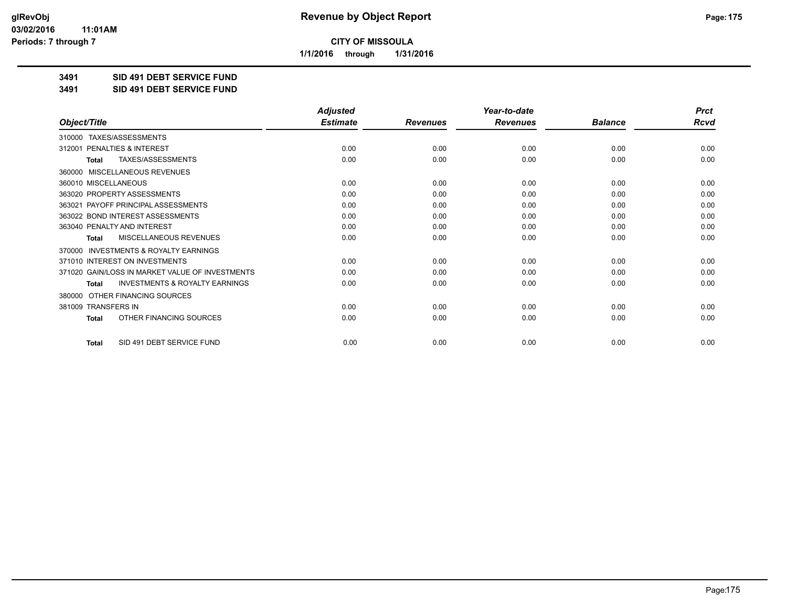**1/1/2016 through 1/31/2016**

**3491 SID 491 DEBT SERVICE FUND**

**3491 SID 491 DEBT SERVICE FUND**

|                                                           | <b>Adjusted</b> |                 | Year-to-date    |                | <b>Prct</b> |
|-----------------------------------------------------------|-----------------|-----------------|-----------------|----------------|-------------|
| Object/Title                                              | <b>Estimate</b> | <b>Revenues</b> | <b>Revenues</b> | <b>Balance</b> | <b>Rcvd</b> |
| 310000 TAXES/ASSESSMENTS                                  |                 |                 |                 |                |             |
| PENALTIES & INTEREST<br>312001                            | 0.00            | 0.00            | 0.00            | 0.00           | 0.00        |
| TAXES/ASSESSMENTS<br><b>Total</b>                         | 0.00            | 0.00            | 0.00            | 0.00           | 0.00        |
| <b>MISCELLANEOUS REVENUES</b><br>360000                   |                 |                 |                 |                |             |
| 360010 MISCELLANEOUS                                      | 0.00            | 0.00            | 0.00            | 0.00           | 0.00        |
| 363020 PROPERTY ASSESSMENTS                               | 0.00            | 0.00            | 0.00            | 0.00           | 0.00        |
| 363021 PAYOFF PRINCIPAL ASSESSMENTS                       | 0.00            | 0.00            | 0.00            | 0.00           | 0.00        |
| 363022 BOND INTEREST ASSESSMENTS                          | 0.00            | 0.00            | 0.00            | 0.00           | 0.00        |
| 363040 PENALTY AND INTEREST                               | 0.00            | 0.00            | 0.00            | 0.00           | 0.00        |
| MISCELLANEOUS REVENUES<br>Total                           | 0.00            | 0.00            | 0.00            | 0.00           | 0.00        |
| <b>INVESTMENTS &amp; ROYALTY EARNINGS</b><br>370000       |                 |                 |                 |                |             |
| 371010 INTEREST ON INVESTMENTS                            | 0.00            | 0.00            | 0.00            | 0.00           | 0.00        |
| 371020 GAIN/LOSS IN MARKET VALUE OF INVESTMENTS           | 0.00            | 0.00            | 0.00            | 0.00           | 0.00        |
| <b>INVESTMENTS &amp; ROYALTY EARNINGS</b><br><b>Total</b> | 0.00            | 0.00            | 0.00            | 0.00           | 0.00        |
| OTHER FINANCING SOURCES<br>380000                         |                 |                 |                 |                |             |
| 381009 TRANSFERS IN                                       | 0.00            | 0.00            | 0.00            | 0.00           | 0.00        |
| OTHER FINANCING SOURCES<br><b>Total</b>                   | 0.00            | 0.00            | 0.00            | 0.00           | 0.00        |
| SID 491 DEBT SERVICE FUND<br><b>Total</b>                 | 0.00            | 0.00            | 0.00            | 0.00           | 0.00        |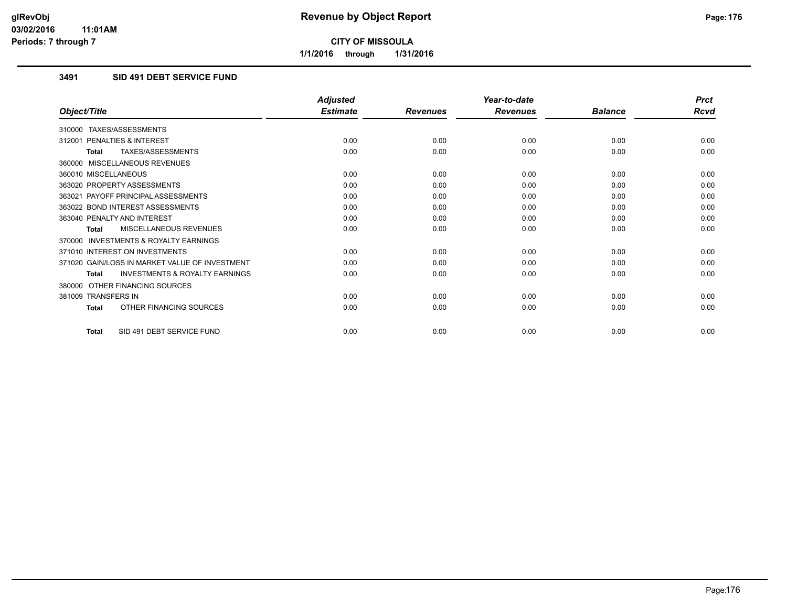**1/1/2016 through 1/31/2016**

# **3491 SID 491 DEBT SERVICE FUND**

|                                                           | <b>Adjusted</b> |                 | Year-to-date    |                | <b>Prct</b> |
|-----------------------------------------------------------|-----------------|-----------------|-----------------|----------------|-------------|
| Object/Title                                              | <b>Estimate</b> | <b>Revenues</b> | <b>Revenues</b> | <b>Balance</b> | <b>Rcvd</b> |
| 310000 TAXES/ASSESSMENTS                                  |                 |                 |                 |                |             |
| PENALTIES & INTEREST<br>312001                            | 0.00            | 0.00            | 0.00            | 0.00           | 0.00        |
| TAXES/ASSESSMENTS<br><b>Total</b>                         | 0.00            | 0.00            | 0.00            | 0.00           | 0.00        |
| 360000 MISCELLANEOUS REVENUES                             |                 |                 |                 |                |             |
| 360010 MISCELLANEOUS                                      | 0.00            | 0.00            | 0.00            | 0.00           | 0.00        |
| 363020 PROPERTY ASSESSMENTS                               | 0.00            | 0.00            | 0.00            | 0.00           | 0.00        |
| 363021 PAYOFF PRINCIPAL ASSESSMENTS                       | 0.00            | 0.00            | 0.00            | 0.00           | 0.00        |
| 363022 BOND INTEREST ASSESSMENTS                          | 0.00            | 0.00            | 0.00            | 0.00           | 0.00        |
| 363040 PENALTY AND INTEREST                               | 0.00            | 0.00            | 0.00            | 0.00           | 0.00        |
| MISCELLANEOUS REVENUES<br><b>Total</b>                    | 0.00            | 0.00            | 0.00            | 0.00           | 0.00        |
| <b>INVESTMENTS &amp; ROYALTY EARNINGS</b><br>370000       |                 |                 |                 |                |             |
| 371010 INTEREST ON INVESTMENTS                            | 0.00            | 0.00            | 0.00            | 0.00           | 0.00        |
| 371020 GAIN/LOSS IN MARKET VALUE OF INVESTMENT            | 0.00            | 0.00            | 0.00            | 0.00           | 0.00        |
| <b>INVESTMENTS &amp; ROYALTY EARNINGS</b><br><b>Total</b> | 0.00            | 0.00            | 0.00            | 0.00           | 0.00        |
| 380000 OTHER FINANCING SOURCES                            |                 |                 |                 |                |             |
| 381009 TRANSFERS IN                                       | 0.00            | 0.00            | 0.00            | 0.00           | 0.00        |
| OTHER FINANCING SOURCES<br><b>Total</b>                   | 0.00            | 0.00            | 0.00            | 0.00           | 0.00        |
| SID 491 DEBT SERVICE FUND<br><b>Total</b>                 | 0.00            | 0.00            | 0.00            | 0.00           | 0.00        |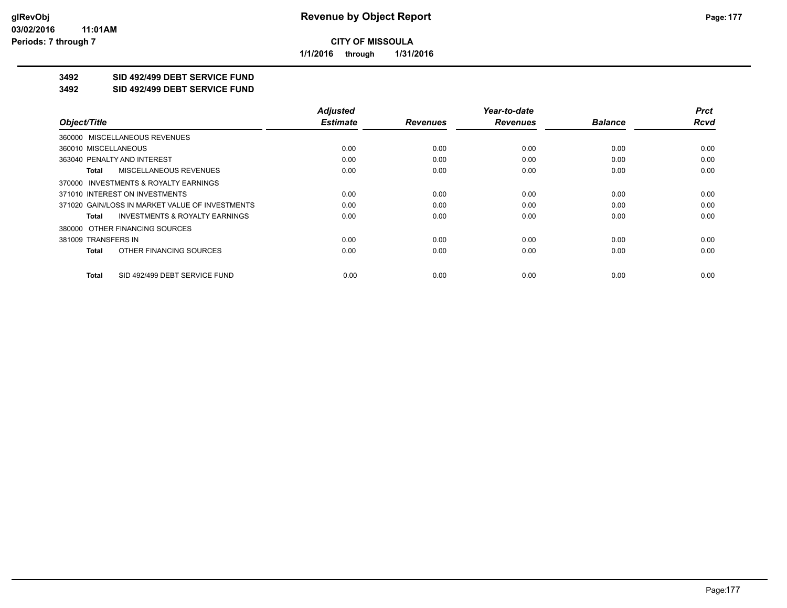**1/1/2016 through 1/31/2016**

# **3492 SID 492/499 DEBT SERVICE FUND**

**3492 SID 492/499 DEBT SERVICE FUND**

|                                                    | <b>Adjusted</b> |                 | Year-to-date    |                | <b>Prct</b> |
|----------------------------------------------------|-----------------|-----------------|-----------------|----------------|-------------|
| Object/Title                                       | <b>Estimate</b> | <b>Revenues</b> | <b>Revenues</b> | <b>Balance</b> | <b>Rcvd</b> |
| 360000 MISCELLANEOUS REVENUES                      |                 |                 |                 |                |             |
| 360010 MISCELLANEOUS                               | 0.00            | 0.00            | 0.00            | 0.00           | 0.00        |
| 363040 PENALTY AND INTEREST                        | 0.00            | 0.00            | 0.00            | 0.00           | 0.00        |
| MISCELLANEOUS REVENUES<br>Total                    | 0.00            | 0.00            | 0.00            | 0.00           | 0.00        |
| 370000 INVESTMENTS & ROYALTY EARNINGS              |                 |                 |                 |                |             |
| 371010 INTEREST ON INVESTMENTS                     | 0.00            | 0.00            | 0.00            | 0.00           | 0.00        |
| 371020 GAIN/LOSS IN MARKET VALUE OF INVESTMENTS    | 0.00            | 0.00            | 0.00            | 0.00           | 0.00        |
| <b>INVESTMENTS &amp; ROYALTY EARNINGS</b><br>Total | 0.00            | 0.00            | 0.00            | 0.00           | 0.00        |
| 380000 OTHER FINANCING SOURCES                     |                 |                 |                 |                |             |
| 381009 TRANSFERS IN                                | 0.00            | 0.00            | 0.00            | 0.00           | 0.00        |
| OTHER FINANCING SOURCES<br>Total                   | 0.00            | 0.00            | 0.00            | 0.00           | 0.00        |
| SID 492/499 DEBT SERVICE FUND<br>Total             | 0.00            | 0.00            | 0.00            | 0.00           | 0.00        |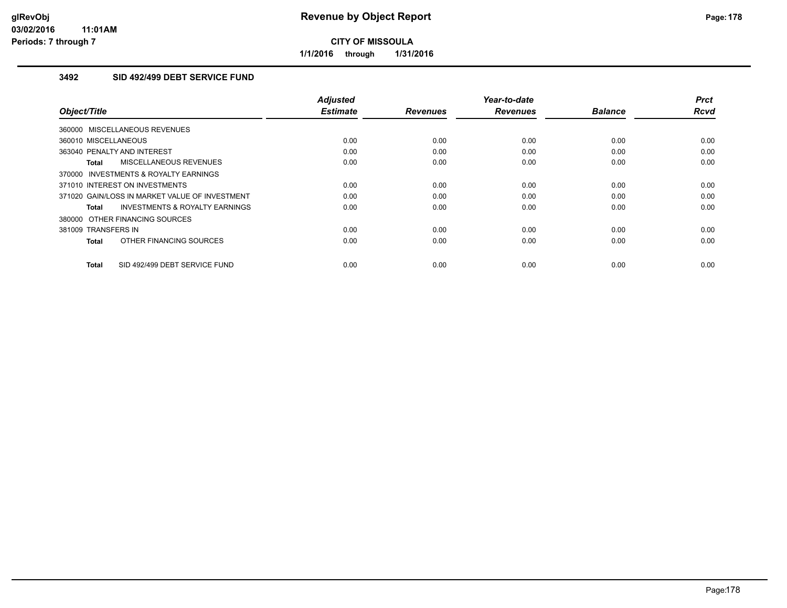**1/1/2016 through 1/31/2016**

# **3492 SID 492/499 DEBT SERVICE FUND**

| Object/Title                                              | Adjusted<br><b>Estimate</b> | <b>Revenues</b> | Year-to-date<br><b>Revenues</b> | <b>Balance</b> | <b>Prct</b><br>Rcvd |
|-----------------------------------------------------------|-----------------------------|-----------------|---------------------------------|----------------|---------------------|
| 360000 MISCELLANEOUS REVENUES                             |                             |                 |                                 |                |                     |
| 360010 MISCELLANEOUS                                      | 0.00                        | 0.00            | 0.00                            | 0.00           | 0.00                |
| 363040 PENALTY AND INTEREST                               | 0.00                        | 0.00            | 0.00                            | 0.00           | 0.00                |
| MISCELLANEOUS REVENUES<br><b>Total</b>                    | 0.00                        | 0.00            | 0.00                            | 0.00           | 0.00                |
| INVESTMENTS & ROYALTY EARNINGS<br>370000                  |                             |                 |                                 |                |                     |
| 371010 INTEREST ON INVESTMENTS                            | 0.00                        | 0.00            | 0.00                            | 0.00           | 0.00                |
| 371020 GAIN/LOSS IN MARKET VALUE OF INVESTMENT            | 0.00                        | 0.00            | 0.00                            | 0.00           | 0.00                |
| <b>INVESTMENTS &amp; ROYALTY EARNINGS</b><br><b>Total</b> | 0.00                        | 0.00            | 0.00                            | 0.00           | 0.00                |
| 380000 OTHER FINANCING SOURCES                            |                             |                 |                                 |                |                     |
| 381009 TRANSFERS IN                                       | 0.00                        | 0.00            | 0.00                            | 0.00           | 0.00                |
| OTHER FINANCING SOURCES<br><b>Total</b>                   | 0.00                        | 0.00            | 0.00                            | 0.00           | 0.00                |
| SID 492/499 DEBT SERVICE FUND<br><b>Total</b>             | 0.00                        | 0.00            | 0.00                            | 0.00           | 0.00                |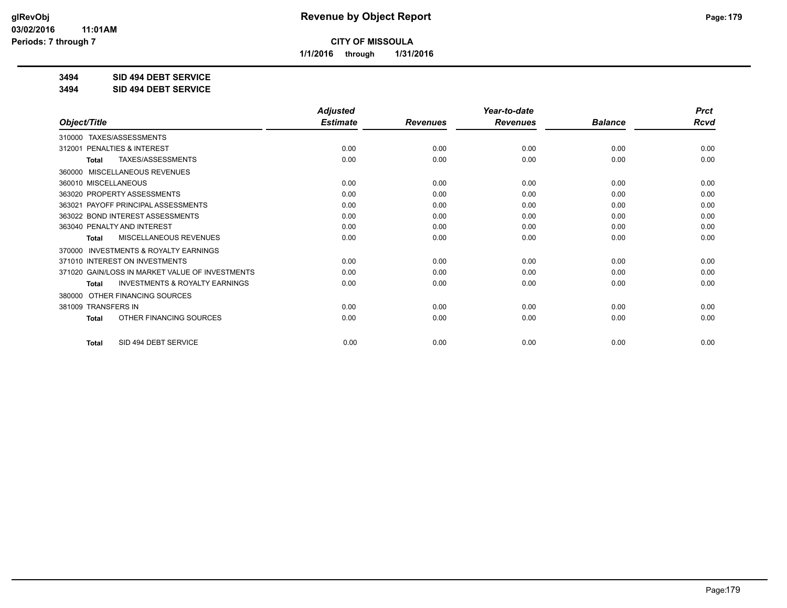**1/1/2016 through 1/31/2016**

**3494 SID 494 DEBT SERVICE**

**3494 SID 494 DEBT SERVICE**

|                                                           | <b>Adjusted</b> |                 | Year-to-date    |                |             |
|-----------------------------------------------------------|-----------------|-----------------|-----------------|----------------|-------------|
| Object/Title                                              | <b>Estimate</b> | <b>Revenues</b> | <b>Revenues</b> | <b>Balance</b> | <b>Rcvd</b> |
| 310000 TAXES/ASSESSMENTS                                  |                 |                 |                 |                |             |
| PENALTIES & INTEREST<br>312001                            | 0.00            | 0.00            | 0.00            | 0.00           | 0.00        |
| TAXES/ASSESSMENTS<br><b>Total</b>                         | 0.00            | 0.00            | 0.00            | 0.00           | 0.00        |
| MISCELLANEOUS REVENUES<br>360000                          |                 |                 |                 |                |             |
| 360010 MISCELLANEOUS                                      | 0.00            | 0.00            | 0.00            | 0.00           | 0.00        |
| 363020 PROPERTY ASSESSMENTS                               | 0.00            | 0.00            | 0.00            | 0.00           | 0.00        |
| 363021 PAYOFF PRINCIPAL ASSESSMENTS                       | 0.00            | 0.00            | 0.00            | 0.00           | 0.00        |
| 363022 BOND INTEREST ASSESSMENTS                          | 0.00            | 0.00            | 0.00            | 0.00           | 0.00        |
| 363040 PENALTY AND INTEREST                               | 0.00            | 0.00            | 0.00            | 0.00           | 0.00        |
| MISCELLANEOUS REVENUES<br>Total                           | 0.00            | 0.00            | 0.00            | 0.00           | 0.00        |
| <b>INVESTMENTS &amp; ROYALTY EARNINGS</b><br>370000       |                 |                 |                 |                |             |
| 371010 INTEREST ON INVESTMENTS                            | 0.00            | 0.00            | 0.00            | 0.00           | 0.00        |
| 371020 GAIN/LOSS IN MARKET VALUE OF INVESTMENTS           | 0.00            | 0.00            | 0.00            | 0.00           | 0.00        |
| <b>INVESTMENTS &amp; ROYALTY EARNINGS</b><br><b>Total</b> | 0.00            | 0.00            | 0.00            | 0.00           | 0.00        |
| OTHER FINANCING SOURCES<br>380000                         |                 |                 |                 |                |             |
| 381009 TRANSFERS IN                                       | 0.00            | 0.00            | 0.00            | 0.00           | 0.00        |
| OTHER FINANCING SOURCES<br><b>Total</b>                   | 0.00            | 0.00            | 0.00            | 0.00           | 0.00        |
| SID 494 DEBT SERVICE<br><b>Total</b>                      | 0.00            | 0.00            | 0.00            | 0.00           | 0.00        |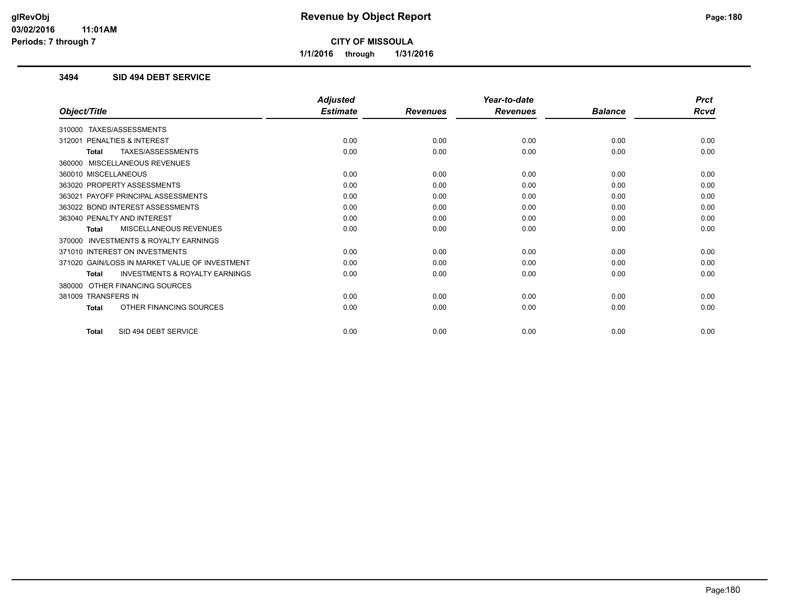**1/1/2016 through 1/31/2016**

### **3494 SID 494 DEBT SERVICE**

|                                                    | <b>Adjusted</b> |                 | Year-to-date    |                | <b>Prct</b> |
|----------------------------------------------------|-----------------|-----------------|-----------------|----------------|-------------|
| Object/Title                                       | <b>Estimate</b> | <b>Revenues</b> | <b>Revenues</b> | <b>Balance</b> | <b>Rcvd</b> |
| 310000 TAXES/ASSESSMENTS                           |                 |                 |                 |                |             |
| PENALTIES & INTEREST<br>312001                     | 0.00            | 0.00            | 0.00            | 0.00           | 0.00        |
| TAXES/ASSESSMENTS<br>Total                         | 0.00            | 0.00            | 0.00            | 0.00           | 0.00        |
| 360000 MISCELLANEOUS REVENUES                      |                 |                 |                 |                |             |
| 360010 MISCELLANEOUS                               | 0.00            | 0.00            | 0.00            | 0.00           | 0.00        |
| 363020 PROPERTY ASSESSMENTS                        | 0.00            | 0.00            | 0.00            | 0.00           | 0.00        |
| 363021 PAYOFF PRINCIPAL ASSESSMENTS                | 0.00            | 0.00            | 0.00            | 0.00           | 0.00        |
| 363022 BOND INTEREST ASSESSMENTS                   | 0.00            | 0.00            | 0.00            | 0.00           | 0.00        |
| 363040 PENALTY AND INTEREST                        | 0.00            | 0.00            | 0.00            | 0.00           | 0.00        |
| MISCELLANEOUS REVENUES<br>Total                    | 0.00            | 0.00            | 0.00            | 0.00           | 0.00        |
| 370000 INVESTMENTS & ROYALTY EARNINGS              |                 |                 |                 |                |             |
| 371010 INTEREST ON INVESTMENTS                     | 0.00            | 0.00            | 0.00            | 0.00           | 0.00        |
| 371020 GAIN/LOSS IN MARKET VALUE OF INVESTMENT     | 0.00            | 0.00            | 0.00            | 0.00           | 0.00        |
| <b>INVESTMENTS &amp; ROYALTY EARNINGS</b><br>Total | 0.00            | 0.00            | 0.00            | 0.00           | 0.00        |
| 380000 OTHER FINANCING SOURCES                     |                 |                 |                 |                |             |
| 381009 TRANSFERS IN                                | 0.00            | 0.00            | 0.00            | 0.00           | 0.00        |
| OTHER FINANCING SOURCES<br>Total                   | 0.00            | 0.00            | 0.00            | 0.00           | 0.00        |
| SID 494 DEBT SERVICE<br><b>Total</b>               | 0.00            | 0.00            | 0.00            | 0.00           | 0.00        |
|                                                    |                 |                 |                 |                |             |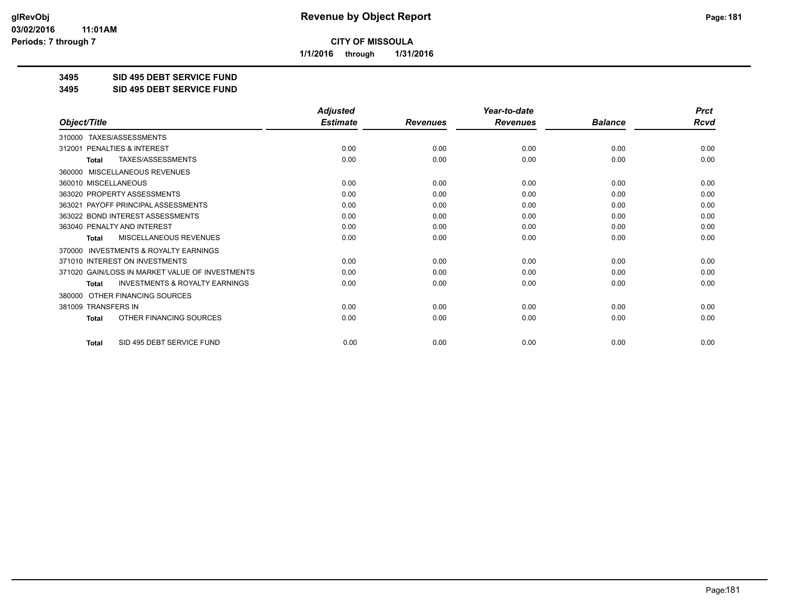**1/1/2016 through 1/31/2016**

**3495 SID 495 DEBT SERVICE FUND**

**3495 SID 495 DEBT SERVICE FUND**

|                                                           | <b>Adjusted</b> |                 | Year-to-date    |                | <b>Prct</b> |
|-----------------------------------------------------------|-----------------|-----------------|-----------------|----------------|-------------|
| Object/Title                                              | <b>Estimate</b> | <b>Revenues</b> | <b>Revenues</b> | <b>Balance</b> | Rcvd        |
| TAXES/ASSESSMENTS<br>310000                               |                 |                 |                 |                |             |
| PENALTIES & INTEREST<br>312001                            | 0.00            | 0.00            | 0.00            | 0.00           | 0.00        |
| <b>TAXES/ASSESSMENTS</b><br>Total                         | 0.00            | 0.00            | 0.00            | 0.00           | 0.00        |
| MISCELLANEOUS REVENUES<br>360000                          |                 |                 |                 |                |             |
| 360010 MISCELLANEOUS                                      | 0.00            | 0.00            | 0.00            | 0.00           | 0.00        |
| 363020 PROPERTY ASSESSMENTS                               | 0.00            | 0.00            | 0.00            | 0.00           | 0.00        |
| 363021 PAYOFF PRINCIPAL ASSESSMENTS                       | 0.00            | 0.00            | 0.00            | 0.00           | 0.00        |
| 363022 BOND INTEREST ASSESSMENTS                          | 0.00            | 0.00            | 0.00            | 0.00           | 0.00        |
| 363040 PENALTY AND INTEREST                               | 0.00            | 0.00            | 0.00            | 0.00           | 0.00        |
| MISCELLANEOUS REVENUES<br>Total                           | 0.00            | 0.00            | 0.00            | 0.00           | 0.00        |
| <b>INVESTMENTS &amp; ROYALTY EARNINGS</b><br>370000       |                 |                 |                 |                |             |
| 371010 INTEREST ON INVESTMENTS                            | 0.00            | 0.00            | 0.00            | 0.00           | 0.00        |
| 371020 GAIN/LOSS IN MARKET VALUE OF INVESTMENTS           | 0.00            | 0.00            | 0.00            | 0.00           | 0.00        |
| <b>INVESTMENTS &amp; ROYALTY EARNINGS</b><br><b>Total</b> | 0.00            | 0.00            | 0.00            | 0.00           | 0.00        |
| OTHER FINANCING SOURCES<br>380000                         |                 |                 |                 |                |             |
| 381009 TRANSFERS IN                                       | 0.00            | 0.00            | 0.00            | 0.00           | 0.00        |
| OTHER FINANCING SOURCES<br><b>Total</b>                   | 0.00            | 0.00            | 0.00            | 0.00           | 0.00        |
| SID 495 DEBT SERVICE FUND<br><b>Total</b>                 | 0.00            | 0.00            | 0.00            | 0.00           | 0.00        |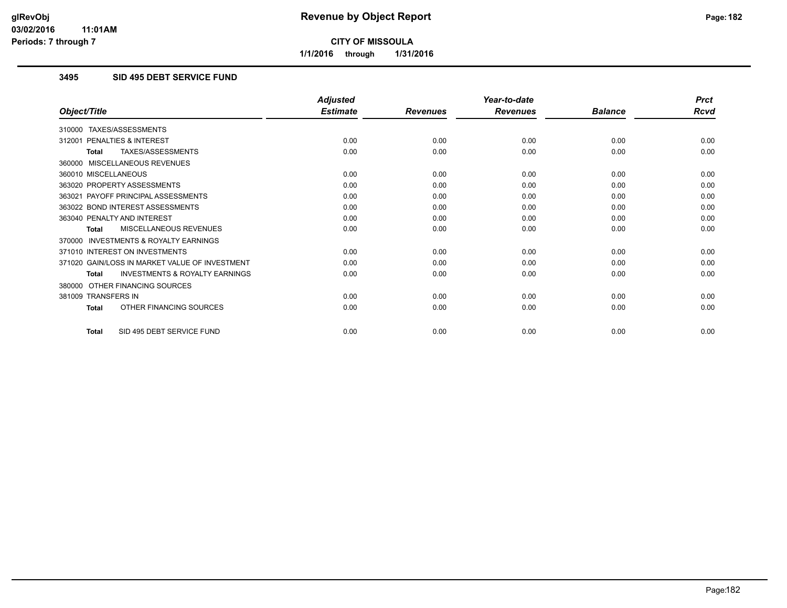**1/1/2016 through 1/31/2016**

#### **3495 SID 495 DEBT SERVICE FUND**

|                                                           | <b>Adjusted</b> |                 | Year-to-date    |                | <b>Prct</b> |
|-----------------------------------------------------------|-----------------|-----------------|-----------------|----------------|-------------|
| Object/Title                                              | <b>Estimate</b> | <b>Revenues</b> | <b>Revenues</b> | <b>Balance</b> | <b>Rcvd</b> |
| 310000 TAXES/ASSESSMENTS                                  |                 |                 |                 |                |             |
| 312001 PENALTIES & INTEREST                               | 0.00            | 0.00            | 0.00            | 0.00           | 0.00        |
| TAXES/ASSESSMENTS<br><b>Total</b>                         | 0.00            | 0.00            | 0.00            | 0.00           | 0.00        |
| 360000 MISCELLANEOUS REVENUES                             |                 |                 |                 |                |             |
| 360010 MISCELLANEOUS                                      | 0.00            | 0.00            | 0.00            | 0.00           | 0.00        |
| 363020 PROPERTY ASSESSMENTS                               | 0.00            | 0.00            | 0.00            | 0.00           | 0.00        |
| 363021 PAYOFF PRINCIPAL ASSESSMENTS                       | 0.00            | 0.00            | 0.00            | 0.00           | 0.00        |
| 363022 BOND INTEREST ASSESSMENTS                          | 0.00            | 0.00            | 0.00            | 0.00           | 0.00        |
| 363040 PENALTY AND INTEREST                               | 0.00            | 0.00            | 0.00            | 0.00           | 0.00        |
| MISCELLANEOUS REVENUES<br><b>Total</b>                    | 0.00            | 0.00            | 0.00            | 0.00           | 0.00        |
| <b>INVESTMENTS &amp; ROYALTY EARNINGS</b><br>370000       |                 |                 |                 |                |             |
| 371010 INTEREST ON INVESTMENTS                            | 0.00            | 0.00            | 0.00            | 0.00           | 0.00        |
| 371020 GAIN/LOSS IN MARKET VALUE OF INVESTMENT            | 0.00            | 0.00            | 0.00            | 0.00           | 0.00        |
| <b>INVESTMENTS &amp; ROYALTY EARNINGS</b><br><b>Total</b> | 0.00            | 0.00            | 0.00            | 0.00           | 0.00        |
| 380000 OTHER FINANCING SOURCES                            |                 |                 |                 |                |             |
| 381009 TRANSFERS IN                                       | 0.00            | 0.00            | 0.00            | 0.00           | 0.00        |
| OTHER FINANCING SOURCES<br><b>Total</b>                   | 0.00            | 0.00            | 0.00            | 0.00           | 0.00        |
| SID 495 DEBT SERVICE FUND<br><b>Total</b>                 | 0.00            | 0.00            | 0.00            | 0.00           | 0.00        |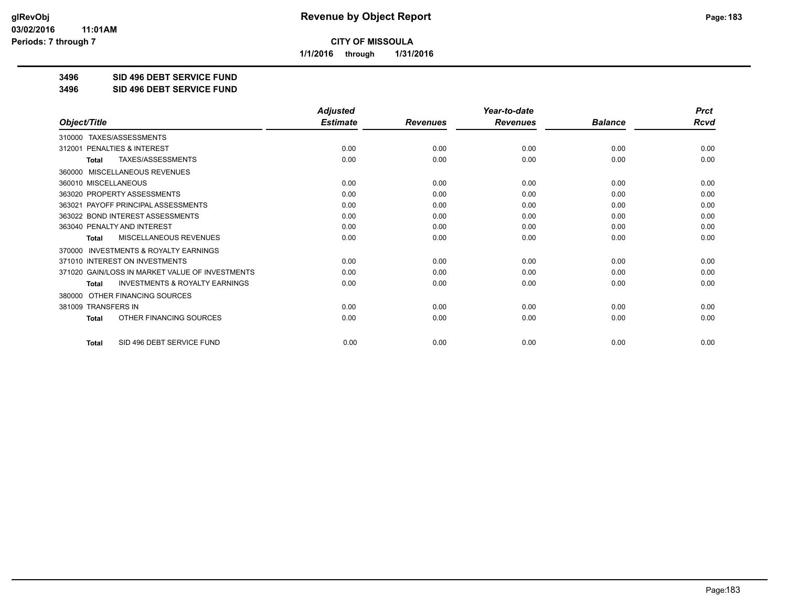**1/1/2016 through 1/31/2016**

**3496 SID 496 DEBT SERVICE FUND**

**3496 SID 496 DEBT SERVICE FUND**

|                                                           | <b>Adjusted</b> |                 | Year-to-date    |                | <b>Prct</b> |
|-----------------------------------------------------------|-----------------|-----------------|-----------------|----------------|-------------|
| Object/Title                                              | <b>Estimate</b> | <b>Revenues</b> | <b>Revenues</b> | <b>Balance</b> | <b>Rcvd</b> |
| 310000 TAXES/ASSESSMENTS                                  |                 |                 |                 |                |             |
| PENALTIES & INTEREST<br>312001                            | 0.00            | 0.00            | 0.00            | 0.00           | 0.00        |
| TAXES/ASSESSMENTS<br><b>Total</b>                         | 0.00            | 0.00            | 0.00            | 0.00           | 0.00        |
| MISCELLANEOUS REVENUES<br>360000                          |                 |                 |                 |                |             |
| 360010 MISCELLANEOUS                                      | 0.00            | 0.00            | 0.00            | 0.00           | 0.00        |
| 363020 PROPERTY ASSESSMENTS                               | 0.00            | 0.00            | 0.00            | 0.00           | 0.00        |
| 363021 PAYOFF PRINCIPAL ASSESSMENTS                       | 0.00            | 0.00            | 0.00            | 0.00           | 0.00        |
| 363022 BOND INTEREST ASSESSMENTS                          | 0.00            | 0.00            | 0.00            | 0.00           | 0.00        |
| 363040 PENALTY AND INTEREST                               | 0.00            | 0.00            | 0.00            | 0.00           | 0.00        |
| MISCELLANEOUS REVENUES<br>Total                           | 0.00            | 0.00            | 0.00            | 0.00           | 0.00        |
| <b>INVESTMENTS &amp; ROYALTY EARNINGS</b><br>370000       |                 |                 |                 |                |             |
| 371010 INTEREST ON INVESTMENTS                            | 0.00            | 0.00            | 0.00            | 0.00           | 0.00        |
| 371020 GAIN/LOSS IN MARKET VALUE OF INVESTMENTS           | 0.00            | 0.00            | 0.00            | 0.00           | 0.00        |
| <b>INVESTMENTS &amp; ROYALTY EARNINGS</b><br><b>Total</b> | 0.00            | 0.00            | 0.00            | 0.00           | 0.00        |
| OTHER FINANCING SOURCES<br>380000                         |                 |                 |                 |                |             |
| 381009 TRANSFERS IN                                       | 0.00            | 0.00            | 0.00            | 0.00           | 0.00        |
| OTHER FINANCING SOURCES<br><b>Total</b>                   | 0.00            | 0.00            | 0.00            | 0.00           | 0.00        |
| SID 496 DEBT SERVICE FUND<br><b>Total</b>                 | 0.00            | 0.00            | 0.00            | 0.00           | 0.00        |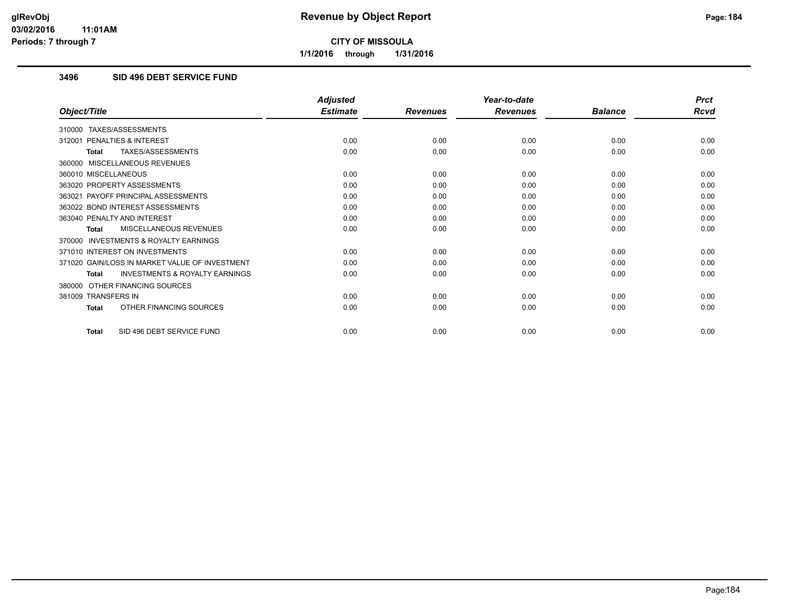**1/1/2016 through 1/31/2016**

# **3496 SID 496 DEBT SERVICE FUND**

|                                                           | <b>Adjusted</b> |                 | Year-to-date    |                | <b>Prct</b> |
|-----------------------------------------------------------|-----------------|-----------------|-----------------|----------------|-------------|
| Object/Title                                              | <b>Estimate</b> | <b>Revenues</b> | <b>Revenues</b> | <b>Balance</b> | <b>Rcvd</b> |
| 310000 TAXES/ASSESSMENTS                                  |                 |                 |                 |                |             |
| PENALTIES & INTEREST<br>312001                            | 0.00            | 0.00            | 0.00            | 0.00           | 0.00        |
| TAXES/ASSESSMENTS<br><b>Total</b>                         | 0.00            | 0.00            | 0.00            | 0.00           | 0.00        |
| 360000 MISCELLANEOUS REVENUES                             |                 |                 |                 |                |             |
| 360010 MISCELLANEOUS                                      | 0.00            | 0.00            | 0.00            | 0.00           | 0.00        |
| 363020 PROPERTY ASSESSMENTS                               | 0.00            | 0.00            | 0.00            | 0.00           | 0.00        |
| 363021 PAYOFF PRINCIPAL ASSESSMENTS                       | 0.00            | 0.00            | 0.00            | 0.00           | 0.00        |
| 363022 BOND INTEREST ASSESSMENTS                          | 0.00            | 0.00            | 0.00            | 0.00           | 0.00        |
| 363040 PENALTY AND INTEREST                               | 0.00            | 0.00            | 0.00            | 0.00           | 0.00        |
| MISCELLANEOUS REVENUES<br><b>Total</b>                    | 0.00            | 0.00            | 0.00            | 0.00           | 0.00        |
| <b>INVESTMENTS &amp; ROYALTY EARNINGS</b><br>370000       |                 |                 |                 |                |             |
| 371010 INTEREST ON INVESTMENTS                            | 0.00            | 0.00            | 0.00            | 0.00           | 0.00        |
| 371020 GAIN/LOSS IN MARKET VALUE OF INVESTMENT            | 0.00            | 0.00            | 0.00            | 0.00           | 0.00        |
| <b>INVESTMENTS &amp; ROYALTY EARNINGS</b><br><b>Total</b> | 0.00            | 0.00            | 0.00            | 0.00           | 0.00        |
| OTHER FINANCING SOURCES<br>380000                         |                 |                 |                 |                |             |
| 381009 TRANSFERS IN                                       | 0.00            | 0.00            | 0.00            | 0.00           | 0.00        |
| OTHER FINANCING SOURCES<br><b>Total</b>                   | 0.00            | 0.00            | 0.00            | 0.00           | 0.00        |
| SID 496 DEBT SERVICE FUND<br><b>Total</b>                 | 0.00            | 0.00            | 0.00            | 0.00           | 0.00        |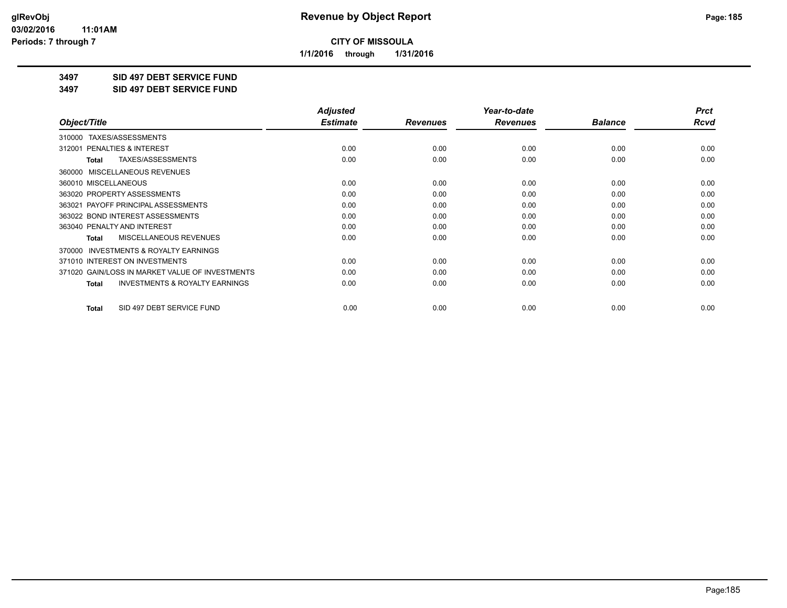**1/1/2016 through 1/31/2016**

**3497 SID 497 DEBT SERVICE FUND**

**3497 SID 497 DEBT SERVICE FUND**

|                                                           | <b>Adjusted</b> |                 | Year-to-date    |                | <b>Prct</b> |
|-----------------------------------------------------------|-----------------|-----------------|-----------------|----------------|-------------|
| Object/Title                                              | <b>Estimate</b> | <b>Revenues</b> | <b>Revenues</b> | <b>Balance</b> | Rcvd        |
| TAXES/ASSESSMENTS<br>310000                               |                 |                 |                 |                |             |
| 312001 PENALTIES & INTEREST                               | 0.00            | 0.00            | 0.00            | 0.00           | 0.00        |
| TAXES/ASSESSMENTS<br><b>Total</b>                         | 0.00            | 0.00            | 0.00            | 0.00           | 0.00        |
| MISCELLANEOUS REVENUES<br>360000                          |                 |                 |                 |                |             |
| 360010 MISCELLANEOUS                                      | 0.00            | 0.00            | 0.00            | 0.00           | 0.00        |
| 363020 PROPERTY ASSESSMENTS                               | 0.00            | 0.00            | 0.00            | 0.00           | 0.00        |
| 363021 PAYOFF PRINCIPAL ASSESSMENTS                       | 0.00            | 0.00            | 0.00            | 0.00           | 0.00        |
| 363022 BOND INTEREST ASSESSMENTS                          | 0.00            | 0.00            | 0.00            | 0.00           | 0.00        |
| 363040 PENALTY AND INTEREST                               | 0.00            | 0.00            | 0.00            | 0.00           | 0.00        |
| <b>MISCELLANEOUS REVENUES</b><br><b>Total</b>             | 0.00            | 0.00            | 0.00            | 0.00           | 0.00        |
| 370000 INVESTMENTS & ROYALTY EARNINGS                     |                 |                 |                 |                |             |
| 371010 INTEREST ON INVESTMENTS                            | 0.00            | 0.00            | 0.00            | 0.00           | 0.00        |
| 371020 GAIN/LOSS IN MARKET VALUE OF INVESTMENTS           | 0.00            | 0.00            | 0.00            | 0.00           | 0.00        |
| <b>INVESTMENTS &amp; ROYALTY EARNINGS</b><br><b>Total</b> | 0.00            | 0.00            | 0.00            | 0.00           | 0.00        |
| SID 497 DEBT SERVICE FUND<br><b>Total</b>                 | 0.00            | 0.00            | 0.00            | 0.00           | 0.00        |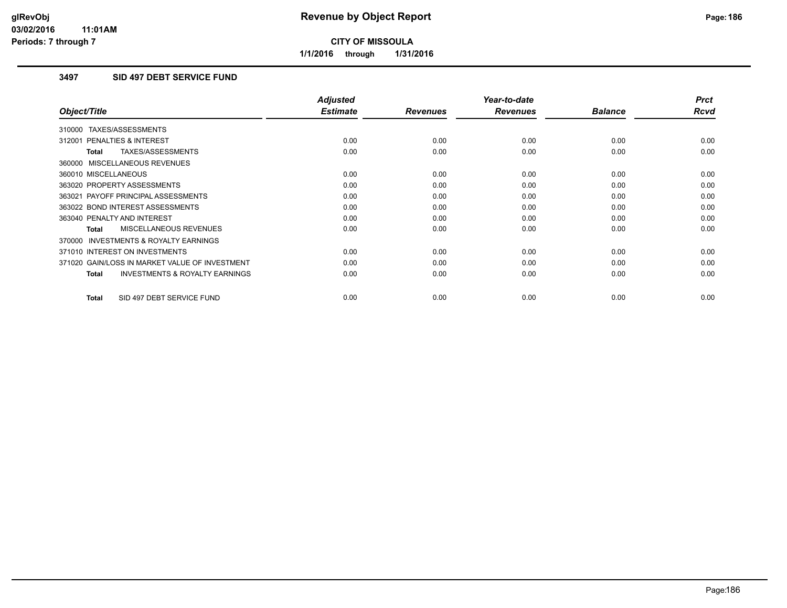**1/1/2016 through 1/31/2016**

# **3497 SID 497 DEBT SERVICE FUND**

|                                                     | <b>Adjusted</b> |                 | Year-to-date    |                | <b>Prct</b> |
|-----------------------------------------------------|-----------------|-----------------|-----------------|----------------|-------------|
| Object/Title                                        | <b>Estimate</b> | <b>Revenues</b> | <b>Revenues</b> | <b>Balance</b> | <b>Rcvd</b> |
| 310000 TAXES/ASSESSMENTS                            |                 |                 |                 |                |             |
| 312001 PENALTIES & INTEREST                         | 0.00            | 0.00            | 0.00            | 0.00           | 0.00        |
| TAXES/ASSESSMENTS<br><b>Total</b>                   | 0.00            | 0.00            | 0.00            | 0.00           | 0.00        |
| 360000 MISCELLANEOUS REVENUES                       |                 |                 |                 |                |             |
| 360010 MISCELLANEOUS                                | 0.00            | 0.00            | 0.00            | 0.00           | 0.00        |
| 363020 PROPERTY ASSESSMENTS                         | 0.00            | 0.00            | 0.00            | 0.00           | 0.00        |
| 363021 PAYOFF PRINCIPAL ASSESSMENTS                 | 0.00            | 0.00            | 0.00            | 0.00           | 0.00        |
| 363022 BOND INTEREST ASSESSMENTS                    | 0.00            | 0.00            | 0.00            | 0.00           | 0.00        |
| 363040 PENALTY AND INTEREST                         | 0.00            | 0.00            | 0.00            | 0.00           | 0.00        |
| <b>MISCELLANEOUS REVENUES</b><br>Total              | 0.00            | 0.00            | 0.00            | 0.00           | 0.00        |
| <b>INVESTMENTS &amp; ROYALTY EARNINGS</b><br>370000 |                 |                 |                 |                |             |
| 371010 INTEREST ON INVESTMENTS                      | 0.00            | 0.00            | 0.00            | 0.00           | 0.00        |
| 371020 GAIN/LOSS IN MARKET VALUE OF INVESTMENT      | 0.00            | 0.00            | 0.00            | 0.00           | 0.00        |
| <b>INVESTMENTS &amp; ROYALTY EARNINGS</b><br>Total  | 0.00            | 0.00            | 0.00            | 0.00           | 0.00        |
| SID 497 DEBT SERVICE FUND<br><b>Total</b>           | 0.00            | 0.00            | 0.00            | 0.00           | 0.00        |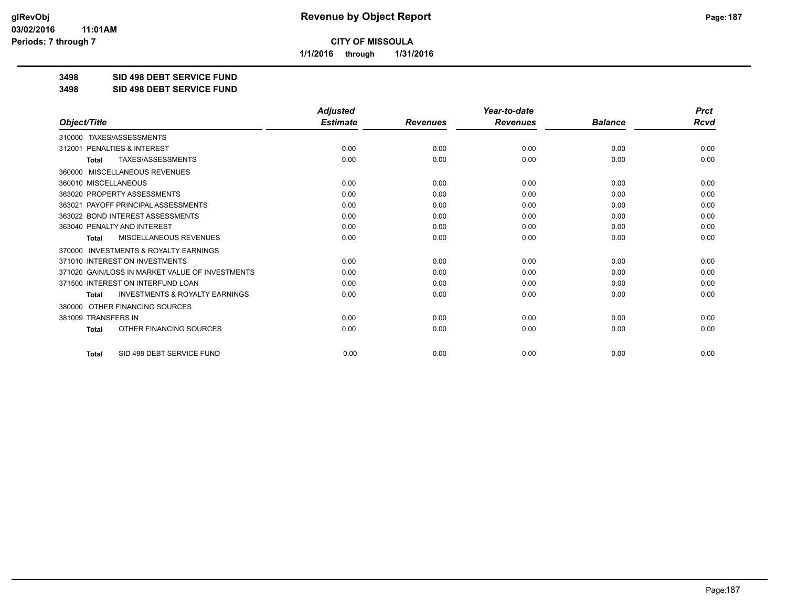**1/1/2016 through 1/31/2016**

**3498 SID 498 DEBT SERVICE FUND**

**3498 SID 498 DEBT SERVICE FUND**

|                                                           | <b>Adjusted</b> |                 | Year-to-date    |                | <b>Prct</b> |
|-----------------------------------------------------------|-----------------|-----------------|-----------------|----------------|-------------|
| Object/Title                                              | <b>Estimate</b> | <b>Revenues</b> | <b>Revenues</b> | <b>Balance</b> | <b>Rcvd</b> |
| TAXES/ASSESSMENTS<br>310000                               |                 |                 |                 |                |             |
| PENALTIES & INTEREST<br>312001                            | 0.00            | 0.00            | 0.00            | 0.00           | 0.00        |
| TAXES/ASSESSMENTS<br><b>Total</b>                         | 0.00            | 0.00            | 0.00            | 0.00           | 0.00        |
| 360000 MISCELLANEOUS REVENUES                             |                 |                 |                 |                |             |
| 360010 MISCELLANEOUS                                      | 0.00            | 0.00            | 0.00            | 0.00           | 0.00        |
| 363020 PROPERTY ASSESSMENTS                               | 0.00            | 0.00            | 0.00            | 0.00           | 0.00        |
| PAYOFF PRINCIPAL ASSESSMENTS<br>363021                    | 0.00            | 0.00            | 0.00            | 0.00           | 0.00        |
| 363022 BOND INTEREST ASSESSMENTS                          | 0.00            | 0.00            | 0.00            | 0.00           | 0.00        |
| 363040 PENALTY AND INTEREST                               | 0.00            | 0.00            | 0.00            | 0.00           | 0.00        |
| MISCELLANEOUS REVENUES<br><b>Total</b>                    | 0.00            | 0.00            | 0.00            | 0.00           | 0.00        |
| 370000 INVESTMENTS & ROYALTY EARNINGS                     |                 |                 |                 |                |             |
| 371010 INTEREST ON INVESTMENTS                            | 0.00            | 0.00            | 0.00            | 0.00           | 0.00        |
| 371020 GAIN/LOSS IN MARKET VALUE OF INVESTMENTS           | 0.00            | 0.00            | 0.00            | 0.00           | 0.00        |
| 371500 INTEREST ON INTERFUND LOAN                         | 0.00            | 0.00            | 0.00            | 0.00           | 0.00        |
| <b>INVESTMENTS &amp; ROYALTY EARNINGS</b><br><b>Total</b> | 0.00            | 0.00            | 0.00            | 0.00           | 0.00        |
| OTHER FINANCING SOURCES<br>380000                         |                 |                 |                 |                |             |
| 381009 TRANSFERS IN                                       | 0.00            | 0.00            | 0.00            | 0.00           | 0.00        |
| OTHER FINANCING SOURCES<br><b>Total</b>                   | 0.00            | 0.00            | 0.00            | 0.00           | 0.00        |
| SID 498 DEBT SERVICE FUND<br>Total                        | 0.00            | 0.00            | 0.00            | 0.00           | 0.00        |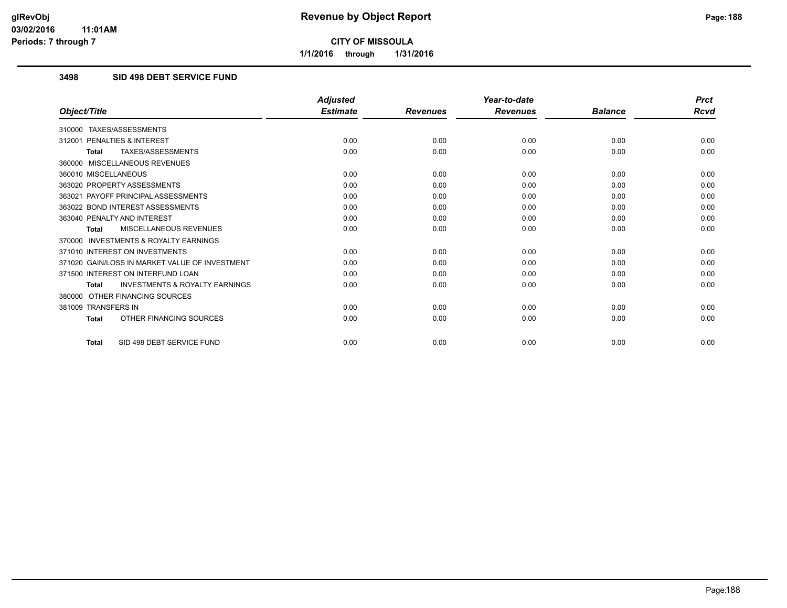**1/1/2016 through 1/31/2016**

# **3498 SID 498 DEBT SERVICE FUND**

|                                                           | <b>Adjusted</b> |                 | Year-to-date    |                | <b>Prct</b> |
|-----------------------------------------------------------|-----------------|-----------------|-----------------|----------------|-------------|
| Object/Title                                              | <b>Estimate</b> | <b>Revenues</b> | <b>Revenues</b> | <b>Balance</b> | Rcvd        |
| TAXES/ASSESSMENTS<br>310000                               |                 |                 |                 |                |             |
| PENALTIES & INTEREST<br>312001                            | 0.00            | 0.00            | 0.00            | 0.00           | 0.00        |
| <b>TAXES/ASSESSMENTS</b><br><b>Total</b>                  | 0.00            | 0.00            | 0.00            | 0.00           | 0.00        |
| 360000 MISCELLANEOUS REVENUES                             |                 |                 |                 |                |             |
| 360010 MISCELLANEOUS                                      | 0.00            | 0.00            | 0.00            | 0.00           | 0.00        |
| 363020 PROPERTY ASSESSMENTS                               | 0.00            | 0.00            | 0.00            | 0.00           | 0.00        |
| 363021 PAYOFF PRINCIPAL ASSESSMENTS                       | 0.00            | 0.00            | 0.00            | 0.00           | 0.00        |
| 363022 BOND INTEREST ASSESSMENTS                          | 0.00            | 0.00            | 0.00            | 0.00           | 0.00        |
| 363040 PENALTY AND INTEREST                               | 0.00            | 0.00            | 0.00            | 0.00           | 0.00        |
| MISCELLANEOUS REVENUES<br><b>Total</b>                    | 0.00            | 0.00            | 0.00            | 0.00           | 0.00        |
| <b>INVESTMENTS &amp; ROYALTY EARNINGS</b><br>370000       |                 |                 |                 |                |             |
| 371010 INTEREST ON INVESTMENTS                            | 0.00            | 0.00            | 0.00            | 0.00           | 0.00        |
| 371020 GAIN/LOSS IN MARKET VALUE OF INVESTMENT            | 0.00            | 0.00            | 0.00            | 0.00           | 0.00        |
| 371500 INTEREST ON INTERFUND LOAN                         | 0.00            | 0.00            | 0.00            | 0.00           | 0.00        |
| <b>INVESTMENTS &amp; ROYALTY EARNINGS</b><br><b>Total</b> | 0.00            | 0.00            | 0.00            | 0.00           | 0.00        |
| OTHER FINANCING SOURCES<br>380000                         |                 |                 |                 |                |             |
| 381009 TRANSFERS IN                                       | 0.00            | 0.00            | 0.00            | 0.00           | 0.00        |
| OTHER FINANCING SOURCES<br><b>Total</b>                   | 0.00            | 0.00            | 0.00            | 0.00           | 0.00        |
| SID 498 DEBT SERVICE FUND<br><b>Total</b>                 | 0.00            | 0.00            | 0.00            | 0.00           | 0.00        |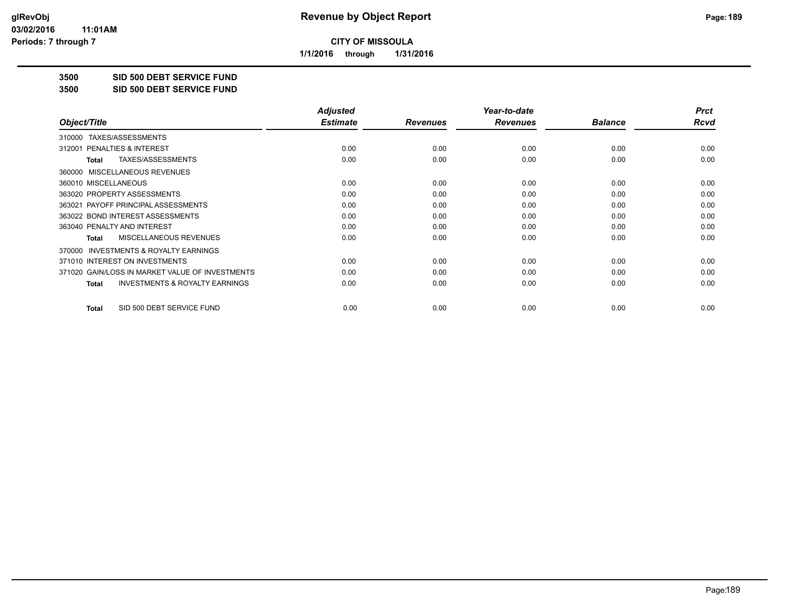**1/1/2016 through 1/31/2016**

**3500 SID 500 DEBT SERVICE FUND**

**3500 SID 500 DEBT SERVICE FUND**

|                                                           | <b>Adjusted</b> |                 | Year-to-date    |                | <b>Prct</b> |
|-----------------------------------------------------------|-----------------|-----------------|-----------------|----------------|-------------|
| Object/Title                                              | <b>Estimate</b> | <b>Revenues</b> | <b>Revenues</b> | <b>Balance</b> | Rcvd        |
| TAXES/ASSESSMENTS<br>310000                               |                 |                 |                 |                |             |
| 312001 PENALTIES & INTEREST                               | 0.00            | 0.00            | 0.00            | 0.00           | 0.00        |
| TAXES/ASSESSMENTS<br>Total                                | 0.00            | 0.00            | 0.00            | 0.00           | 0.00        |
| MISCELLANEOUS REVENUES<br>360000                          |                 |                 |                 |                |             |
| 360010 MISCELLANEOUS                                      | 0.00            | 0.00            | 0.00            | 0.00           | 0.00        |
| 363020 PROPERTY ASSESSMENTS                               | 0.00            | 0.00            | 0.00            | 0.00           | 0.00        |
| 363021 PAYOFF PRINCIPAL ASSESSMENTS                       | 0.00            | 0.00            | 0.00            | 0.00           | 0.00        |
| 363022 BOND INTEREST ASSESSMENTS                          | 0.00            | 0.00            | 0.00            | 0.00           | 0.00        |
| 363040 PENALTY AND INTEREST                               | 0.00            | 0.00            | 0.00            | 0.00           | 0.00        |
| MISCELLANEOUS REVENUES<br><b>Total</b>                    | 0.00            | 0.00            | 0.00            | 0.00           | 0.00        |
| <b>INVESTMENTS &amp; ROYALTY EARNINGS</b><br>370000       |                 |                 |                 |                |             |
| 371010 INTEREST ON INVESTMENTS                            | 0.00            | 0.00            | 0.00            | 0.00           | 0.00        |
| 371020 GAIN/LOSS IN MARKET VALUE OF INVESTMENTS           | 0.00            | 0.00            | 0.00            | 0.00           | 0.00        |
| <b>INVESTMENTS &amp; ROYALTY EARNINGS</b><br><b>Total</b> | 0.00            | 0.00            | 0.00            | 0.00           | 0.00        |
| SID 500 DEBT SERVICE FUND<br><b>Total</b>                 | 0.00            | 0.00            | 0.00            | 0.00           | 0.00        |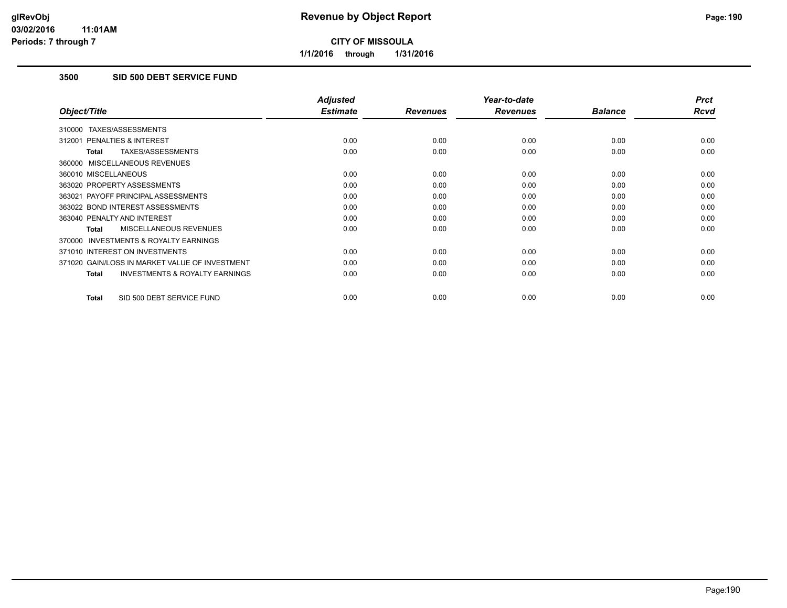**1/1/2016 through 1/31/2016**

# **3500 SID 500 DEBT SERVICE FUND**

|                                                           | <b>Adjusted</b> |                 | Year-to-date    |                | <b>Prct</b> |
|-----------------------------------------------------------|-----------------|-----------------|-----------------|----------------|-------------|
| Object/Title                                              | <b>Estimate</b> | <b>Revenues</b> | <b>Revenues</b> | <b>Balance</b> | <b>Rcvd</b> |
| 310000 TAXES/ASSESSMENTS                                  |                 |                 |                 |                |             |
| 312001 PENALTIES & INTEREST                               | 0.00            | 0.00            | 0.00            | 0.00           | 0.00        |
| TAXES/ASSESSMENTS<br><b>Total</b>                         | 0.00            | 0.00            | 0.00            | 0.00           | 0.00        |
| 360000 MISCELLANEOUS REVENUES                             |                 |                 |                 |                |             |
| 360010 MISCELLANEOUS                                      | 0.00            | 0.00            | 0.00            | 0.00           | 0.00        |
| 363020 PROPERTY ASSESSMENTS                               | 0.00            | 0.00            | 0.00            | 0.00           | 0.00        |
| 363021 PAYOFF PRINCIPAL ASSESSMENTS                       | 0.00            | 0.00            | 0.00            | 0.00           | 0.00        |
| 363022 BOND INTEREST ASSESSMENTS                          | 0.00            | 0.00            | 0.00            | 0.00           | 0.00        |
| 363040 PENALTY AND INTEREST                               | 0.00            | 0.00            | 0.00            | 0.00           | 0.00        |
| MISCELLANEOUS REVENUES<br>Total                           | 0.00            | 0.00            | 0.00            | 0.00           | 0.00        |
| <b>INVESTMENTS &amp; ROYALTY EARNINGS</b><br>370000       |                 |                 |                 |                |             |
| 371010 INTEREST ON INVESTMENTS                            | 0.00            | 0.00            | 0.00            | 0.00           | 0.00        |
| 371020 GAIN/LOSS IN MARKET VALUE OF INVESTMENT            | 0.00            | 0.00            | 0.00            | 0.00           | 0.00        |
| <b>INVESTMENTS &amp; ROYALTY EARNINGS</b><br><b>Total</b> | 0.00            | 0.00            | 0.00            | 0.00           | 0.00        |
| SID 500 DEBT SERVICE FUND<br><b>Total</b>                 | 0.00            | 0.00            | 0.00            | 0.00           | 0.00        |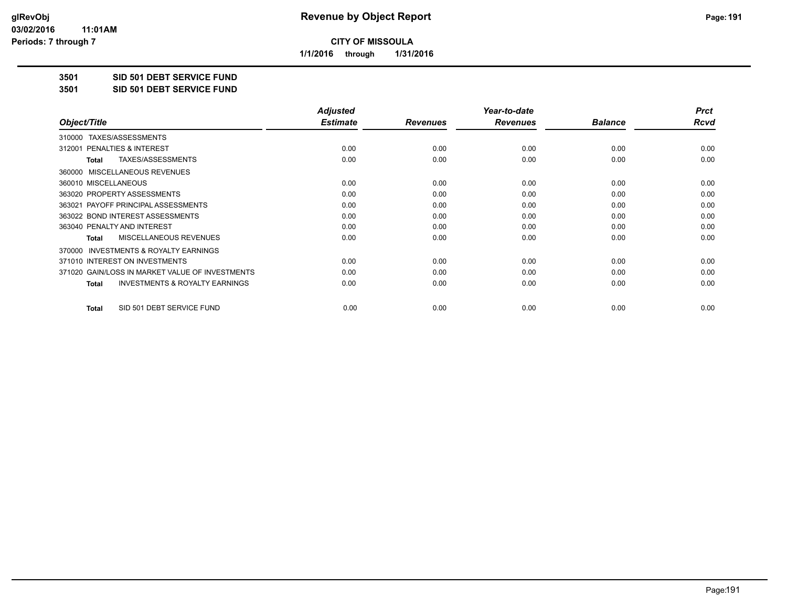**1/1/2016 through 1/31/2016**

**3501 SID 501 DEBT SERVICE FUND**

**3501 SID 501 DEBT SERVICE FUND**

|                                                           | <b>Adjusted</b> |                 | Year-to-date    |                | <b>Prct</b> |
|-----------------------------------------------------------|-----------------|-----------------|-----------------|----------------|-------------|
| Object/Title                                              | <b>Estimate</b> | <b>Revenues</b> | <b>Revenues</b> | <b>Balance</b> | Rcvd        |
| TAXES/ASSESSMENTS<br>310000                               |                 |                 |                 |                |             |
| 312001 PENALTIES & INTEREST                               | 0.00            | 0.00            | 0.00            | 0.00           | 0.00        |
| TAXES/ASSESSMENTS<br>Total                                | 0.00            | 0.00            | 0.00            | 0.00           | 0.00        |
| MISCELLANEOUS REVENUES<br>360000                          |                 |                 |                 |                |             |
| 360010 MISCELLANEOUS                                      | 0.00            | 0.00            | 0.00            | 0.00           | 0.00        |
| 363020 PROPERTY ASSESSMENTS                               | 0.00            | 0.00            | 0.00            | 0.00           | 0.00        |
| 363021 PAYOFF PRINCIPAL ASSESSMENTS                       | 0.00            | 0.00            | 0.00            | 0.00           | 0.00        |
| 363022 BOND INTEREST ASSESSMENTS                          | 0.00            | 0.00            | 0.00            | 0.00           | 0.00        |
| 363040 PENALTY AND INTEREST                               | 0.00            | 0.00            | 0.00            | 0.00           | 0.00        |
| MISCELLANEOUS REVENUES<br><b>Total</b>                    | 0.00            | 0.00            | 0.00            | 0.00           | 0.00        |
| <b>INVESTMENTS &amp; ROYALTY EARNINGS</b><br>370000       |                 |                 |                 |                |             |
| 371010 INTEREST ON INVESTMENTS                            | 0.00            | 0.00            | 0.00            | 0.00           | 0.00        |
| 371020 GAIN/LOSS IN MARKET VALUE OF INVESTMENTS           | 0.00            | 0.00            | 0.00            | 0.00           | 0.00        |
| <b>INVESTMENTS &amp; ROYALTY EARNINGS</b><br><b>Total</b> | 0.00            | 0.00            | 0.00            | 0.00           | 0.00        |
| SID 501 DEBT SERVICE FUND<br><b>Total</b>                 | 0.00            | 0.00            | 0.00            | 0.00           | 0.00        |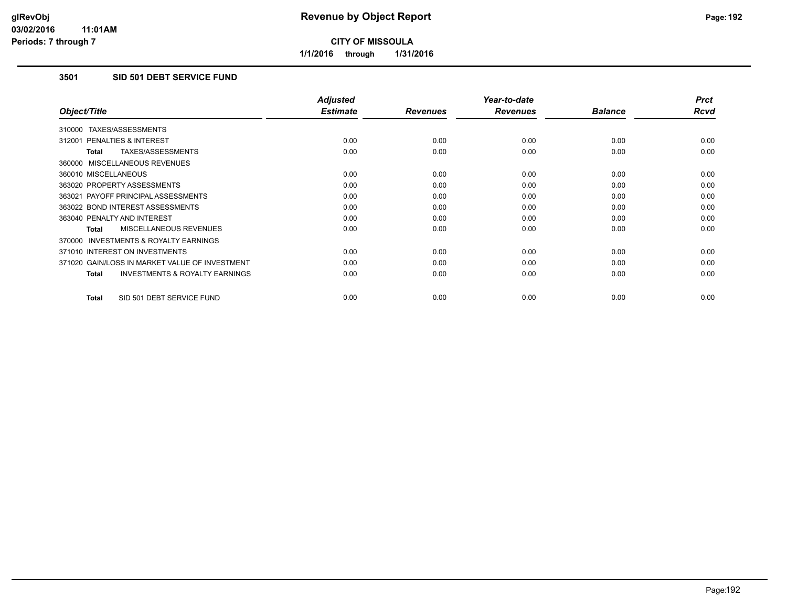**1/1/2016 through 1/31/2016**

# **3501 SID 501 DEBT SERVICE FUND**

|                                                           | <b>Adjusted</b> |                 | Year-to-date    |                | <b>Prct</b> |
|-----------------------------------------------------------|-----------------|-----------------|-----------------|----------------|-------------|
| Object/Title                                              | <b>Estimate</b> | <b>Revenues</b> | <b>Revenues</b> | <b>Balance</b> | <b>Rcvd</b> |
| 310000 TAXES/ASSESSMENTS                                  |                 |                 |                 |                |             |
| 312001 PENALTIES & INTEREST                               | 0.00            | 0.00            | 0.00            | 0.00           | 0.00        |
| TAXES/ASSESSMENTS<br><b>Total</b>                         | 0.00            | 0.00            | 0.00            | 0.00           | 0.00        |
| 360000 MISCELLANEOUS REVENUES                             |                 |                 |                 |                |             |
| 360010 MISCELLANEOUS                                      | 0.00            | 0.00            | 0.00            | 0.00           | 0.00        |
| 363020 PROPERTY ASSESSMENTS                               | 0.00            | 0.00            | 0.00            | 0.00           | 0.00        |
| 363021 PAYOFF PRINCIPAL ASSESSMENTS                       | 0.00            | 0.00            | 0.00            | 0.00           | 0.00        |
| 363022 BOND INTEREST ASSESSMENTS                          | 0.00            | 0.00            | 0.00            | 0.00           | 0.00        |
| 363040 PENALTY AND INTEREST                               | 0.00            | 0.00            | 0.00            | 0.00           | 0.00        |
| MISCELLANEOUS REVENUES<br>Total                           | 0.00            | 0.00            | 0.00            | 0.00           | 0.00        |
| <b>INVESTMENTS &amp; ROYALTY EARNINGS</b><br>370000       |                 |                 |                 |                |             |
| 371010 INTEREST ON INVESTMENTS                            | 0.00            | 0.00            | 0.00            | 0.00           | 0.00        |
| 371020 GAIN/LOSS IN MARKET VALUE OF INVESTMENT            | 0.00            | 0.00            | 0.00            | 0.00           | 0.00        |
| <b>INVESTMENTS &amp; ROYALTY EARNINGS</b><br><b>Total</b> | 0.00            | 0.00            | 0.00            | 0.00           | 0.00        |
|                                                           |                 |                 |                 |                |             |
| SID 501 DEBT SERVICE FUND<br><b>Total</b>                 | 0.00            | 0.00            | 0.00            | 0.00           | 0.00        |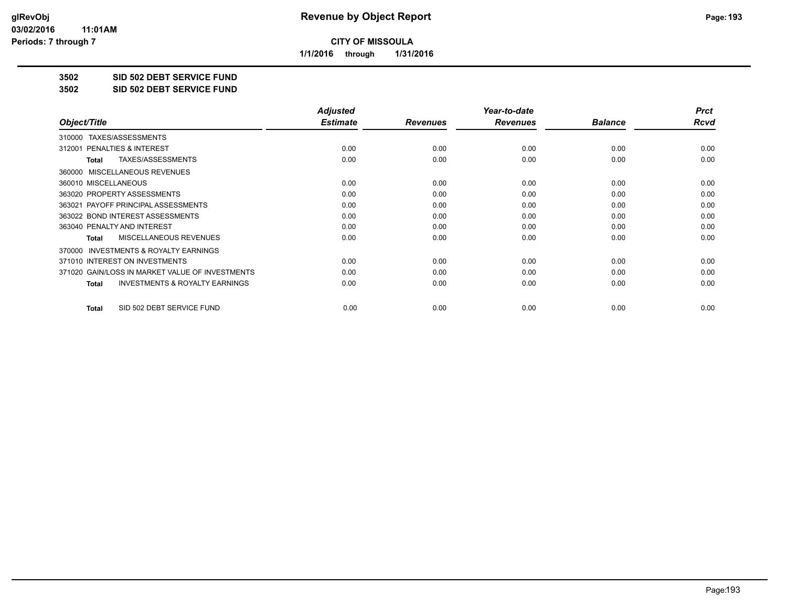**1/1/2016 through 1/31/2016**

**3502 SID 502 DEBT SERVICE FUND**

**3502 SID 502 DEBT SERVICE FUND**

|                                                           | <b>Adjusted</b> |                 | Year-to-date    |                | <b>Prct</b> |
|-----------------------------------------------------------|-----------------|-----------------|-----------------|----------------|-------------|
| Object/Title                                              | <b>Estimate</b> | <b>Revenues</b> | <b>Revenues</b> | <b>Balance</b> | Rcvd        |
| TAXES/ASSESSMENTS<br>310000                               |                 |                 |                 |                |             |
| 312001 PENALTIES & INTEREST                               | 0.00            | 0.00            | 0.00            | 0.00           | 0.00        |
| TAXES/ASSESSMENTS<br>Total                                | 0.00            | 0.00            | 0.00            | 0.00           | 0.00        |
| MISCELLANEOUS REVENUES<br>360000                          |                 |                 |                 |                |             |
| 360010 MISCELLANEOUS                                      | 0.00            | 0.00            | 0.00            | 0.00           | 0.00        |
| 363020 PROPERTY ASSESSMENTS                               | 0.00            | 0.00            | 0.00            | 0.00           | 0.00        |
| 363021 PAYOFF PRINCIPAL ASSESSMENTS                       | 0.00            | 0.00            | 0.00            | 0.00           | 0.00        |
| 363022 BOND INTEREST ASSESSMENTS                          | 0.00            | 0.00            | 0.00            | 0.00           | 0.00        |
| 363040 PENALTY AND INTEREST                               | 0.00            | 0.00            | 0.00            | 0.00           | 0.00        |
| <b>MISCELLANEOUS REVENUES</b><br><b>Total</b>             | 0.00            | 0.00            | 0.00            | 0.00           | 0.00        |
| 370000 INVESTMENTS & ROYALTY EARNINGS                     |                 |                 |                 |                |             |
| 371010 INTEREST ON INVESTMENTS                            | 0.00            | 0.00            | 0.00            | 0.00           | 0.00        |
| 371020 GAIN/LOSS IN MARKET VALUE OF INVESTMENTS           | 0.00            | 0.00            | 0.00            | 0.00           | 0.00        |
| <b>INVESTMENTS &amp; ROYALTY EARNINGS</b><br><b>Total</b> | 0.00            | 0.00            | 0.00            | 0.00           | 0.00        |
| SID 502 DEBT SERVICE FUND<br><b>Total</b>                 | 0.00            | 0.00            | 0.00            | 0.00           | 0.00        |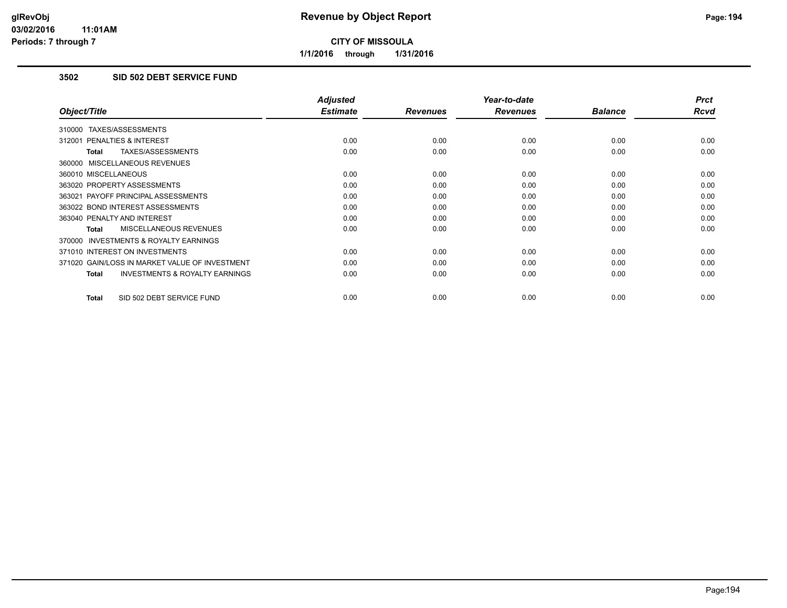**1/1/2016 through 1/31/2016**

# **3502 SID 502 DEBT SERVICE FUND**

|                                                           | <b>Adjusted</b> |                 | Year-to-date    |                | <b>Prct</b> |
|-----------------------------------------------------------|-----------------|-----------------|-----------------|----------------|-------------|
| Object/Title                                              | <b>Estimate</b> | <b>Revenues</b> | <b>Revenues</b> | <b>Balance</b> | <b>Rcvd</b> |
| 310000 TAXES/ASSESSMENTS                                  |                 |                 |                 |                |             |
| 312001 PENALTIES & INTEREST                               | 0.00            | 0.00            | 0.00            | 0.00           | 0.00        |
| TAXES/ASSESSMENTS<br><b>Total</b>                         | 0.00            | 0.00            | 0.00            | 0.00           | 0.00        |
| 360000 MISCELLANEOUS REVENUES                             |                 |                 |                 |                |             |
| 360010 MISCELLANEOUS                                      | 0.00            | 0.00            | 0.00            | 0.00           | 0.00        |
| 363020 PROPERTY ASSESSMENTS                               | 0.00            | 0.00            | 0.00            | 0.00           | 0.00        |
| 363021 PAYOFF PRINCIPAL ASSESSMENTS                       | 0.00            | 0.00            | 0.00            | 0.00           | 0.00        |
| 363022 BOND INTEREST ASSESSMENTS                          | 0.00            | 0.00            | 0.00            | 0.00           | 0.00        |
| 363040 PENALTY AND INTEREST                               | 0.00            | 0.00            | 0.00            | 0.00           | 0.00        |
| MISCELLANEOUS REVENUES<br>Total                           | 0.00            | 0.00            | 0.00            | 0.00           | 0.00        |
| <b>INVESTMENTS &amp; ROYALTY EARNINGS</b><br>370000       |                 |                 |                 |                |             |
| 371010 INTEREST ON INVESTMENTS                            | 0.00            | 0.00            | 0.00            | 0.00           | 0.00        |
| 371020 GAIN/LOSS IN MARKET VALUE OF INVESTMENT            | 0.00            | 0.00            | 0.00            | 0.00           | 0.00        |
| <b>INVESTMENTS &amp; ROYALTY EARNINGS</b><br><b>Total</b> | 0.00            | 0.00            | 0.00            | 0.00           | 0.00        |
| SID 502 DEBT SERVICE FUND<br><b>Total</b>                 | 0.00            | 0.00            | 0.00            | 0.00           | 0.00        |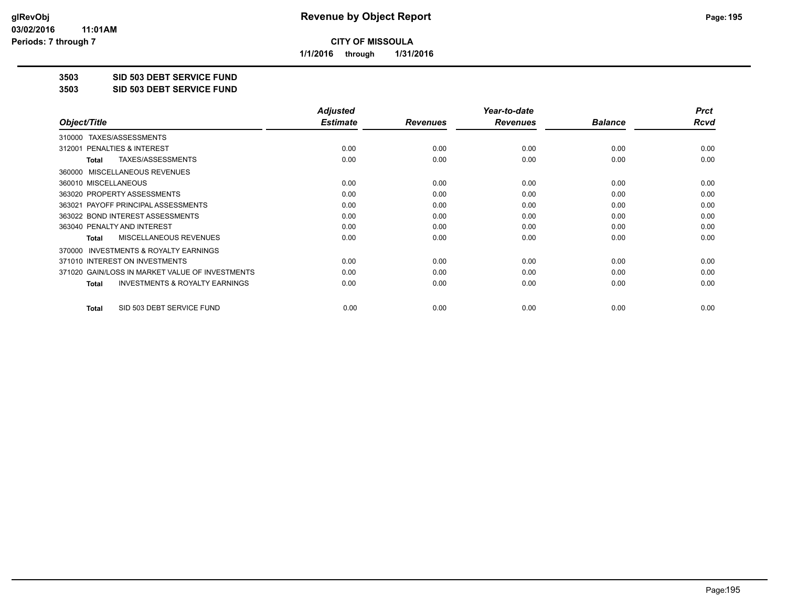**1/1/2016 through 1/31/2016**

**3503 SID 503 DEBT SERVICE FUND**

**3503 SID 503 DEBT SERVICE FUND**

|                                                           | <b>Adjusted</b> |                 | Year-to-date    |                | <b>Prct</b> |
|-----------------------------------------------------------|-----------------|-----------------|-----------------|----------------|-------------|
| Object/Title                                              | <b>Estimate</b> | <b>Revenues</b> | <b>Revenues</b> | <b>Balance</b> | Rcvd        |
| TAXES/ASSESSMENTS<br>310000                               |                 |                 |                 |                |             |
| 312001 PENALTIES & INTEREST                               | 0.00            | 0.00            | 0.00            | 0.00           | 0.00        |
| TAXES/ASSESSMENTS<br>Total                                | 0.00            | 0.00            | 0.00            | 0.00           | 0.00        |
| MISCELLANEOUS REVENUES<br>360000                          |                 |                 |                 |                |             |
| 360010 MISCELLANEOUS                                      | 0.00            | 0.00            | 0.00            | 0.00           | 0.00        |
| 363020 PROPERTY ASSESSMENTS                               | 0.00            | 0.00            | 0.00            | 0.00           | 0.00        |
| 363021 PAYOFF PRINCIPAL ASSESSMENTS                       | 0.00            | 0.00            | 0.00            | 0.00           | 0.00        |
| 363022 BOND INTEREST ASSESSMENTS                          | 0.00            | 0.00            | 0.00            | 0.00           | 0.00        |
| 363040 PENALTY AND INTEREST                               | 0.00            | 0.00            | 0.00            | 0.00           | 0.00        |
| MISCELLANEOUS REVENUES<br><b>Total</b>                    | 0.00            | 0.00            | 0.00            | 0.00           | 0.00        |
| <b>INVESTMENTS &amp; ROYALTY EARNINGS</b><br>370000       |                 |                 |                 |                |             |
| 371010 INTEREST ON INVESTMENTS                            | 0.00            | 0.00            | 0.00            | 0.00           | 0.00        |
| 371020 GAIN/LOSS IN MARKET VALUE OF INVESTMENTS           | 0.00            | 0.00            | 0.00            | 0.00           | 0.00        |
| <b>INVESTMENTS &amp; ROYALTY EARNINGS</b><br><b>Total</b> | 0.00            | 0.00            | 0.00            | 0.00           | 0.00        |
| SID 503 DEBT SERVICE FUND<br>Total                        | 0.00            | 0.00            | 0.00            | 0.00           | 0.00        |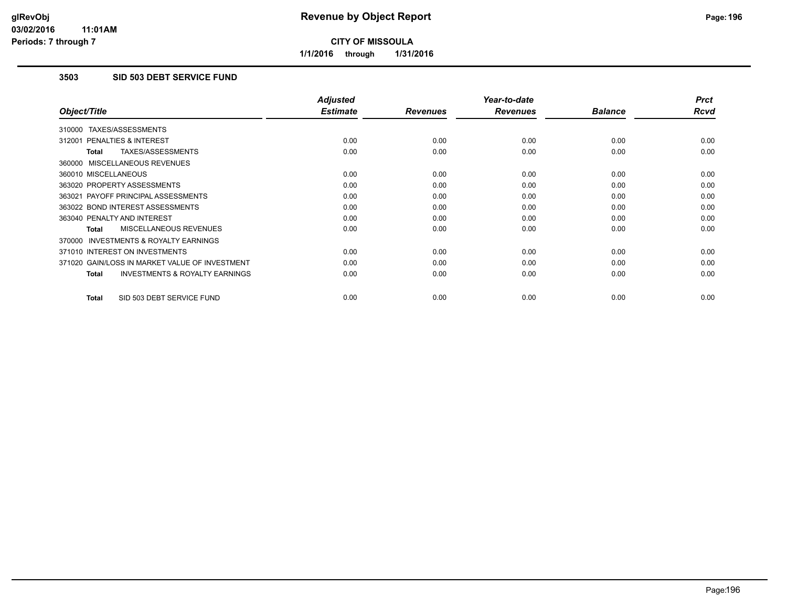**1/1/2016 through 1/31/2016**

# **3503 SID 503 DEBT SERVICE FUND**

|                                                           | <b>Adjusted</b> |                 | Year-to-date    |                | <b>Prct</b> |
|-----------------------------------------------------------|-----------------|-----------------|-----------------|----------------|-------------|
| Object/Title                                              | <b>Estimate</b> | <b>Revenues</b> | <b>Revenues</b> | <b>Balance</b> | <b>Rcvd</b> |
| 310000 TAXES/ASSESSMENTS                                  |                 |                 |                 |                |             |
| 312001 PENALTIES & INTEREST                               | 0.00            | 0.00            | 0.00            | 0.00           | 0.00        |
| <b>TAXES/ASSESSMENTS</b><br><b>Total</b>                  | 0.00            | 0.00            | 0.00            | 0.00           | 0.00        |
| 360000 MISCELLANEOUS REVENUES                             |                 |                 |                 |                |             |
| 360010 MISCELLANEOUS                                      | 0.00            | 0.00            | 0.00            | 0.00           | 0.00        |
| 363020 PROPERTY ASSESSMENTS                               | 0.00            | 0.00            | 0.00            | 0.00           | 0.00        |
| 363021 PAYOFF PRINCIPAL ASSESSMENTS                       | 0.00            | 0.00            | 0.00            | 0.00           | 0.00        |
| 363022 BOND INTEREST ASSESSMENTS                          | 0.00            | 0.00            | 0.00            | 0.00           | 0.00        |
| 363040 PENALTY AND INTEREST                               | 0.00            | 0.00            | 0.00            | 0.00           | 0.00        |
| MISCELLANEOUS REVENUES<br><b>Total</b>                    | 0.00            | 0.00            | 0.00            | 0.00           | 0.00        |
| <b>INVESTMENTS &amp; ROYALTY EARNINGS</b><br>370000       |                 |                 |                 |                |             |
| 371010 INTEREST ON INVESTMENTS                            | 0.00            | 0.00            | 0.00            | 0.00           | 0.00        |
| 371020 GAIN/LOSS IN MARKET VALUE OF INVESTMENT            | 0.00            | 0.00            | 0.00            | 0.00           | 0.00        |
| <b>INVESTMENTS &amp; ROYALTY EARNINGS</b><br><b>Total</b> | 0.00            | 0.00            | 0.00            | 0.00           | 0.00        |
| SID 503 DEBT SERVICE FUND<br><b>Total</b>                 | 0.00            | 0.00            | 0.00            | 0.00           | 0.00        |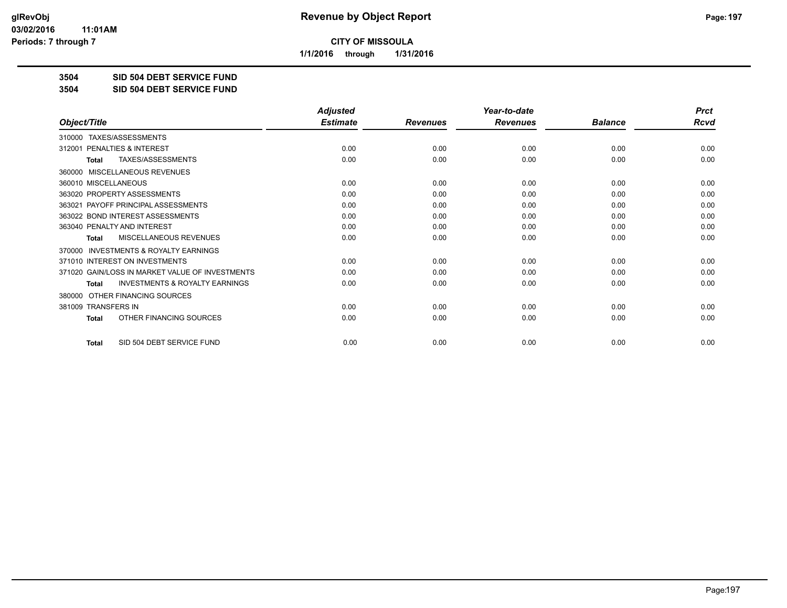**1/1/2016 through 1/31/2016**

**3504 SID 504 DEBT SERVICE FUND**

**3504 SID 504 DEBT SERVICE FUND**

|                                                     | <b>Adjusted</b> |                 | Year-to-date    |                | <b>Prct</b> |
|-----------------------------------------------------|-----------------|-----------------|-----------------|----------------|-------------|
| Object/Title                                        | <b>Estimate</b> | <b>Revenues</b> | <b>Revenues</b> | <b>Balance</b> | <b>Rcvd</b> |
| 310000 TAXES/ASSESSMENTS                            |                 |                 |                 |                |             |
| PENALTIES & INTEREST<br>312001                      | 0.00            | 0.00            | 0.00            | 0.00           | 0.00        |
| TAXES/ASSESSMENTS<br><b>Total</b>                   | 0.00            | 0.00            | 0.00            | 0.00           | 0.00        |
| MISCELLANEOUS REVENUES<br>360000                    |                 |                 |                 |                |             |
| 360010 MISCELLANEOUS                                | 0.00            | 0.00            | 0.00            | 0.00           | 0.00        |
| 363020 PROPERTY ASSESSMENTS                         | 0.00            | 0.00            | 0.00            | 0.00           | 0.00        |
| 363021 PAYOFF PRINCIPAL ASSESSMENTS                 | 0.00            | 0.00            | 0.00            | 0.00           | 0.00        |
| 363022 BOND INTEREST ASSESSMENTS                    | 0.00            | 0.00            | 0.00            | 0.00           | 0.00        |
| 363040 PENALTY AND INTEREST                         | 0.00            | 0.00            | 0.00            | 0.00           | 0.00        |
| MISCELLANEOUS REVENUES<br><b>Total</b>              | 0.00            | 0.00            | 0.00            | 0.00           | 0.00        |
| <b>INVESTMENTS &amp; ROYALTY EARNINGS</b><br>370000 |                 |                 |                 |                |             |
| 371010 INTEREST ON INVESTMENTS                      | 0.00            | 0.00            | 0.00            | 0.00           | 0.00        |
| 371020 GAIN/LOSS IN MARKET VALUE OF INVESTMENTS     | 0.00            | 0.00            | 0.00            | 0.00           | 0.00        |
| <b>INVESTMENTS &amp; ROYALTY EARNINGS</b><br>Total  | 0.00            | 0.00            | 0.00            | 0.00           | 0.00        |
| OTHER FINANCING SOURCES<br>380000                   |                 |                 |                 |                |             |
| 381009 TRANSFERS IN                                 | 0.00            | 0.00            | 0.00            | 0.00           | 0.00        |
| OTHER FINANCING SOURCES<br>Total                    | 0.00            | 0.00            | 0.00            | 0.00           | 0.00        |
| SID 504 DEBT SERVICE FUND<br><b>Total</b>           | 0.00            | 0.00            | 0.00            | 0.00           | 0.00        |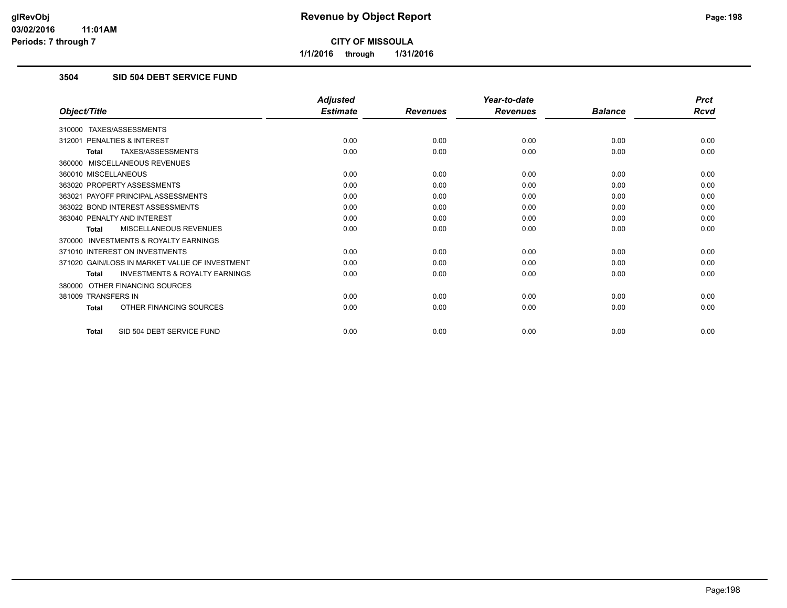**1/1/2016 through 1/31/2016**

# **3504 SID 504 DEBT SERVICE FUND**

|                                                           | <b>Adjusted</b> |                 | Year-to-date    |                | <b>Prct</b> |
|-----------------------------------------------------------|-----------------|-----------------|-----------------|----------------|-------------|
| Object/Title                                              | <b>Estimate</b> | <b>Revenues</b> | <b>Revenues</b> | <b>Balance</b> | <b>Rcvd</b> |
| 310000 TAXES/ASSESSMENTS                                  |                 |                 |                 |                |             |
| PENALTIES & INTEREST<br>312001                            | 0.00            | 0.00            | 0.00            | 0.00           | 0.00        |
| TAXES/ASSESSMENTS<br><b>Total</b>                         | 0.00            | 0.00            | 0.00            | 0.00           | 0.00        |
| 360000 MISCELLANEOUS REVENUES                             |                 |                 |                 |                |             |
| 360010 MISCELLANEOUS                                      | 0.00            | 0.00            | 0.00            | 0.00           | 0.00        |
| 363020 PROPERTY ASSESSMENTS                               | 0.00            | 0.00            | 0.00            | 0.00           | 0.00        |
| 363021 PAYOFF PRINCIPAL ASSESSMENTS                       | 0.00            | 0.00            | 0.00            | 0.00           | 0.00        |
| 363022 BOND INTEREST ASSESSMENTS                          | 0.00            | 0.00            | 0.00            | 0.00           | 0.00        |
| 363040 PENALTY AND INTEREST                               | 0.00            | 0.00            | 0.00            | 0.00           | 0.00        |
| MISCELLANEOUS REVENUES<br><b>Total</b>                    | 0.00            | 0.00            | 0.00            | 0.00           | 0.00        |
| <b>INVESTMENTS &amp; ROYALTY EARNINGS</b><br>370000       |                 |                 |                 |                |             |
| 371010 INTEREST ON INVESTMENTS                            | 0.00            | 0.00            | 0.00            | 0.00           | 0.00        |
| 371020 GAIN/LOSS IN MARKET VALUE OF INVESTMENT            | 0.00            | 0.00            | 0.00            | 0.00           | 0.00        |
| <b>INVESTMENTS &amp; ROYALTY EARNINGS</b><br><b>Total</b> | 0.00            | 0.00            | 0.00            | 0.00           | 0.00        |
| OTHER FINANCING SOURCES<br>380000                         |                 |                 |                 |                |             |
| 381009 TRANSFERS IN                                       | 0.00            | 0.00            | 0.00            | 0.00           | 0.00        |
| OTHER FINANCING SOURCES<br><b>Total</b>                   | 0.00            | 0.00            | 0.00            | 0.00           | 0.00        |
| SID 504 DEBT SERVICE FUND<br><b>Total</b>                 | 0.00            | 0.00            | 0.00            | 0.00           | 0.00        |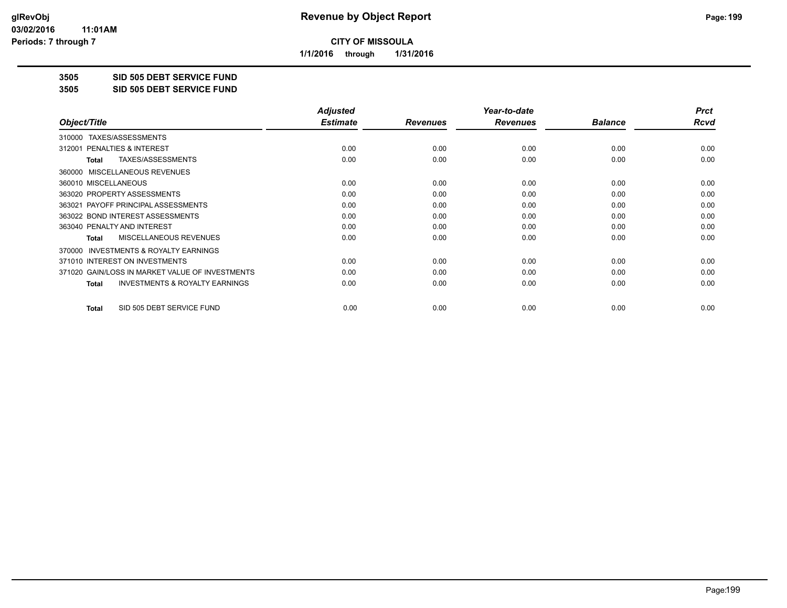**1/1/2016 through 1/31/2016**

**3505 SID 505 DEBT SERVICE FUND**

**3505 SID 505 DEBT SERVICE FUND**

|                                                           | <b>Adjusted</b> |                 | Year-to-date    |                | <b>Prct</b> |
|-----------------------------------------------------------|-----------------|-----------------|-----------------|----------------|-------------|
| Object/Title                                              | <b>Estimate</b> | <b>Revenues</b> | <b>Revenues</b> | <b>Balance</b> | Rcvd        |
| TAXES/ASSESSMENTS<br>310000                               |                 |                 |                 |                |             |
| 312001 PENALTIES & INTEREST                               | 0.00            | 0.00            | 0.00            | 0.00           | 0.00        |
| TAXES/ASSESSMENTS<br>Total                                | 0.00            | 0.00            | 0.00            | 0.00           | 0.00        |
| MISCELLANEOUS REVENUES<br>360000                          |                 |                 |                 |                |             |
| 360010 MISCELLANEOUS                                      | 0.00            | 0.00            | 0.00            | 0.00           | 0.00        |
| 363020 PROPERTY ASSESSMENTS                               | 0.00            | 0.00            | 0.00            | 0.00           | 0.00        |
| 363021 PAYOFF PRINCIPAL ASSESSMENTS                       | 0.00            | 0.00            | 0.00            | 0.00           | 0.00        |
| 363022 BOND INTEREST ASSESSMENTS                          | 0.00            | 0.00            | 0.00            | 0.00           | 0.00        |
| 363040 PENALTY AND INTEREST                               | 0.00            | 0.00            | 0.00            | 0.00           | 0.00        |
| MISCELLANEOUS REVENUES<br><b>Total</b>                    | 0.00            | 0.00            | 0.00            | 0.00           | 0.00        |
| <b>INVESTMENTS &amp; ROYALTY EARNINGS</b><br>370000       |                 |                 |                 |                |             |
| 371010 INTEREST ON INVESTMENTS                            | 0.00            | 0.00            | 0.00            | 0.00           | 0.00        |
| 371020 GAIN/LOSS IN MARKET VALUE OF INVESTMENTS           | 0.00            | 0.00            | 0.00            | 0.00           | 0.00        |
| <b>INVESTMENTS &amp; ROYALTY EARNINGS</b><br><b>Total</b> | 0.00            | 0.00            | 0.00            | 0.00           | 0.00        |
| SID 505 DEBT SERVICE FUND<br><b>Total</b>                 | 0.00            | 0.00            | 0.00            | 0.00           | 0.00        |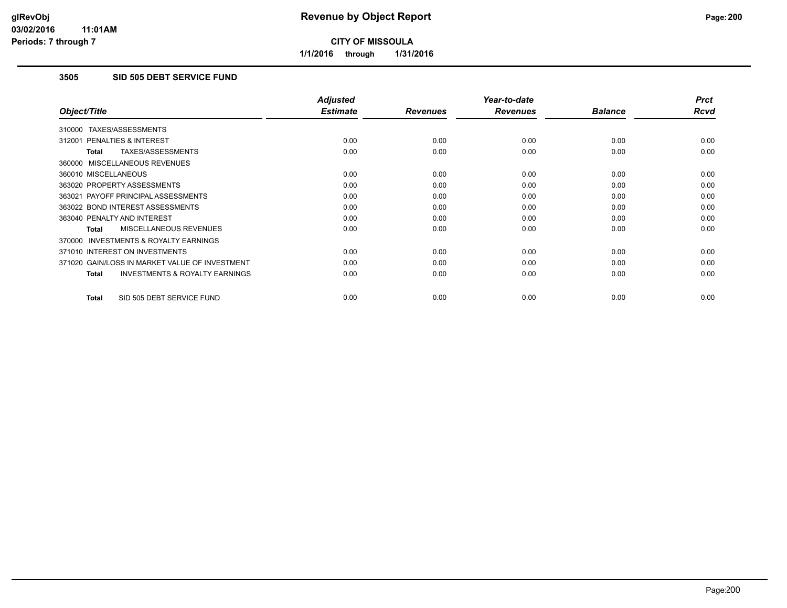**1/1/2016 through 1/31/2016**

# **3505 SID 505 DEBT SERVICE FUND**

|                                                           | <b>Adjusted</b> |                 | Year-to-date    |                | <b>Prct</b> |
|-----------------------------------------------------------|-----------------|-----------------|-----------------|----------------|-------------|
| Object/Title                                              | <b>Estimate</b> | <b>Revenues</b> | <b>Revenues</b> | <b>Balance</b> | <b>Rcvd</b> |
| 310000 TAXES/ASSESSMENTS                                  |                 |                 |                 |                |             |
| 312001 PENALTIES & INTEREST                               | 0.00            | 0.00            | 0.00            | 0.00           | 0.00        |
| TAXES/ASSESSMENTS<br><b>Total</b>                         | 0.00            | 0.00            | 0.00            | 0.00           | 0.00        |
| 360000 MISCELLANEOUS REVENUES                             |                 |                 |                 |                |             |
| 360010 MISCELLANEOUS                                      | 0.00            | 0.00            | 0.00            | 0.00           | 0.00        |
| 363020 PROPERTY ASSESSMENTS                               | 0.00            | 0.00            | 0.00            | 0.00           | 0.00        |
| 363021 PAYOFF PRINCIPAL ASSESSMENTS                       | 0.00            | 0.00            | 0.00            | 0.00           | 0.00        |
| 363022 BOND INTEREST ASSESSMENTS                          | 0.00            | 0.00            | 0.00            | 0.00           | 0.00        |
| 363040 PENALTY AND INTEREST                               | 0.00            | 0.00            | 0.00            | 0.00           | 0.00        |
| <b>MISCELLANEOUS REVENUES</b><br><b>Total</b>             | 0.00            | 0.00            | 0.00            | 0.00           | 0.00        |
| <b>INVESTMENTS &amp; ROYALTY EARNINGS</b><br>370000       |                 |                 |                 |                |             |
| 371010 INTEREST ON INVESTMENTS                            | 0.00            | 0.00            | 0.00            | 0.00           | 0.00        |
| 371020 GAIN/LOSS IN MARKET VALUE OF INVESTMENT            | 0.00            | 0.00            | 0.00            | 0.00           | 0.00        |
| <b>INVESTMENTS &amp; ROYALTY EARNINGS</b><br><b>Total</b> | 0.00            | 0.00            | 0.00            | 0.00           | 0.00        |
| SID 505 DEBT SERVICE FUND<br><b>Total</b>                 | 0.00            | 0.00            | 0.00            | 0.00           | 0.00        |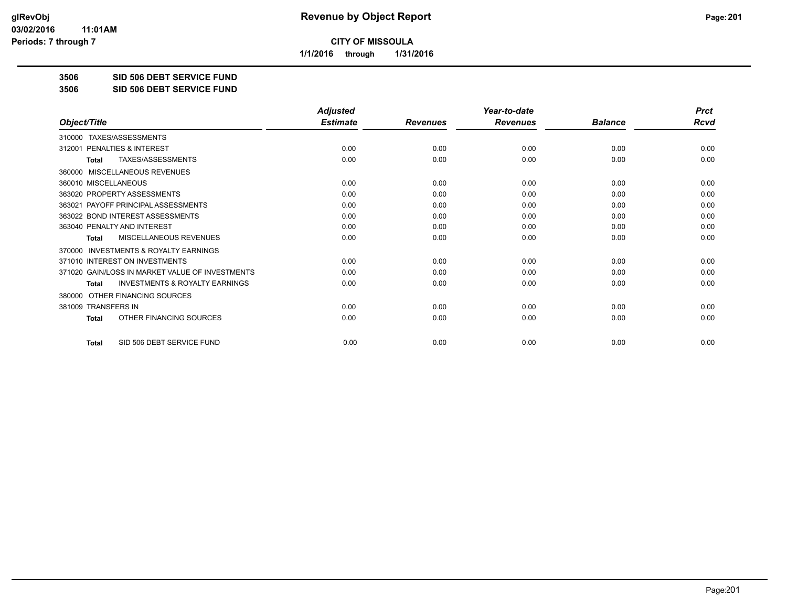**1/1/2016 through 1/31/2016**

**3506 SID 506 DEBT SERVICE FUND**

**3506 SID 506 DEBT SERVICE FUND**

|                                                           | <b>Adjusted</b> |                 | Year-to-date    |                | <b>Prct</b> |
|-----------------------------------------------------------|-----------------|-----------------|-----------------|----------------|-------------|
| Object/Title                                              | <b>Estimate</b> | <b>Revenues</b> | <b>Revenues</b> | <b>Balance</b> | <b>Rcvd</b> |
| TAXES/ASSESSMENTS<br>310000                               |                 |                 |                 |                |             |
| 312001 PENALTIES & INTEREST                               | 0.00            | 0.00            | 0.00            | 0.00           | 0.00        |
| TAXES/ASSESSMENTS<br><b>Total</b>                         | 0.00            | 0.00            | 0.00            | 0.00           | 0.00        |
| MISCELLANEOUS REVENUES<br>360000                          |                 |                 |                 |                |             |
| 360010 MISCELLANEOUS                                      | 0.00            | 0.00            | 0.00            | 0.00           | 0.00        |
| 363020 PROPERTY ASSESSMENTS                               | 0.00            | 0.00            | 0.00            | 0.00           | 0.00        |
| 363021 PAYOFF PRINCIPAL ASSESSMENTS                       | 0.00            | 0.00            | 0.00            | 0.00           | 0.00        |
| 363022 BOND INTEREST ASSESSMENTS                          | 0.00            | 0.00            | 0.00            | 0.00           | 0.00        |
| 363040 PENALTY AND INTEREST                               | 0.00            | 0.00            | 0.00            | 0.00           | 0.00        |
| <b>MISCELLANEOUS REVENUES</b><br><b>Total</b>             | 0.00            | 0.00            | 0.00            | 0.00           | 0.00        |
| <b>INVESTMENTS &amp; ROYALTY EARNINGS</b><br>370000       |                 |                 |                 |                |             |
| 371010 INTEREST ON INVESTMENTS                            | 0.00            | 0.00            | 0.00            | 0.00           | 0.00        |
| 371020 GAIN/LOSS IN MARKET VALUE OF INVESTMENTS           | 0.00            | 0.00            | 0.00            | 0.00           | 0.00        |
| <b>INVESTMENTS &amp; ROYALTY EARNINGS</b><br><b>Total</b> | 0.00            | 0.00            | 0.00            | 0.00           | 0.00        |
| OTHER FINANCING SOURCES<br>380000                         |                 |                 |                 |                |             |
| 381009 TRANSFERS IN                                       | 0.00            | 0.00            | 0.00            | 0.00           | 0.00        |
| OTHER FINANCING SOURCES<br><b>Total</b>                   | 0.00            | 0.00            | 0.00            | 0.00           | 0.00        |
| SID 506 DEBT SERVICE FUND<br><b>Total</b>                 | 0.00            | 0.00            | 0.00            | 0.00           | 0.00        |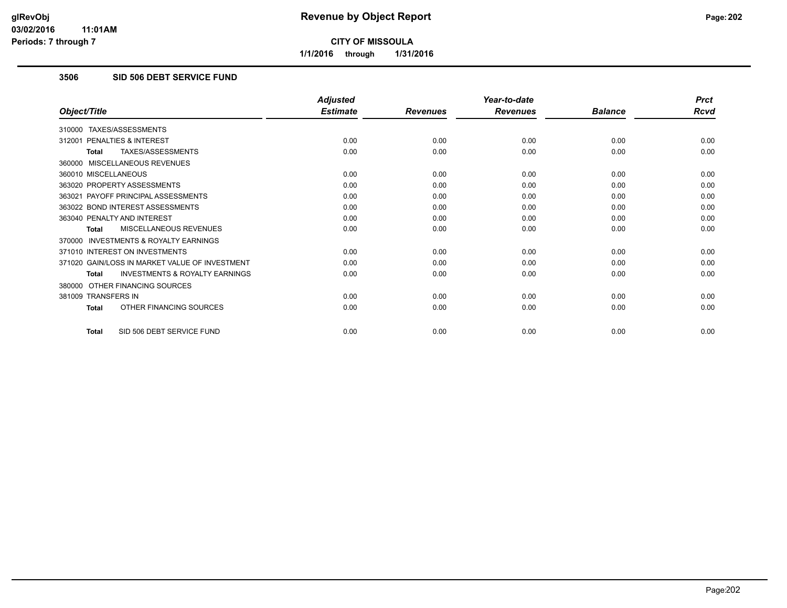**1/1/2016 through 1/31/2016**

#### **3506 SID 506 DEBT SERVICE FUND**

|                                                           | <b>Adjusted</b> |                 | Year-to-date    |                | <b>Prct</b> |
|-----------------------------------------------------------|-----------------|-----------------|-----------------|----------------|-------------|
| Object/Title                                              | <b>Estimate</b> | <b>Revenues</b> | <b>Revenues</b> | <b>Balance</b> | <b>Rcvd</b> |
| 310000 TAXES/ASSESSMENTS                                  |                 |                 |                 |                |             |
| PENALTIES & INTEREST<br>312001                            | 0.00            | 0.00            | 0.00            | 0.00           | 0.00        |
| TAXES/ASSESSMENTS<br><b>Total</b>                         | 0.00            | 0.00            | 0.00            | 0.00           | 0.00        |
| 360000 MISCELLANEOUS REVENUES                             |                 |                 |                 |                |             |
| 360010 MISCELLANEOUS                                      | 0.00            | 0.00            | 0.00            | 0.00           | 0.00        |
| 363020 PROPERTY ASSESSMENTS                               | 0.00            | 0.00            | 0.00            | 0.00           | 0.00        |
| 363021 PAYOFF PRINCIPAL ASSESSMENTS                       | 0.00            | 0.00            | 0.00            | 0.00           | 0.00        |
| 363022 BOND INTEREST ASSESSMENTS                          | 0.00            | 0.00            | 0.00            | 0.00           | 0.00        |
| 363040 PENALTY AND INTEREST                               | 0.00            | 0.00            | 0.00            | 0.00           | 0.00        |
| MISCELLANEOUS REVENUES<br><b>Total</b>                    | 0.00            | 0.00            | 0.00            | 0.00           | 0.00        |
| <b>INVESTMENTS &amp; ROYALTY EARNINGS</b><br>370000       |                 |                 |                 |                |             |
| 371010 INTEREST ON INVESTMENTS                            | 0.00            | 0.00            | 0.00            | 0.00           | 0.00        |
| 371020 GAIN/LOSS IN MARKET VALUE OF INVESTMENT            | 0.00            | 0.00            | 0.00            | 0.00           | 0.00        |
| <b>INVESTMENTS &amp; ROYALTY EARNINGS</b><br><b>Total</b> | 0.00            | 0.00            | 0.00            | 0.00           | 0.00        |
| OTHER FINANCING SOURCES<br>380000                         |                 |                 |                 |                |             |
| 381009 TRANSFERS IN                                       | 0.00            | 0.00            | 0.00            | 0.00           | 0.00        |
| OTHER FINANCING SOURCES<br><b>Total</b>                   | 0.00            | 0.00            | 0.00            | 0.00           | 0.00        |
| SID 506 DEBT SERVICE FUND<br><b>Total</b>                 | 0.00            | 0.00            | 0.00            | 0.00           | 0.00        |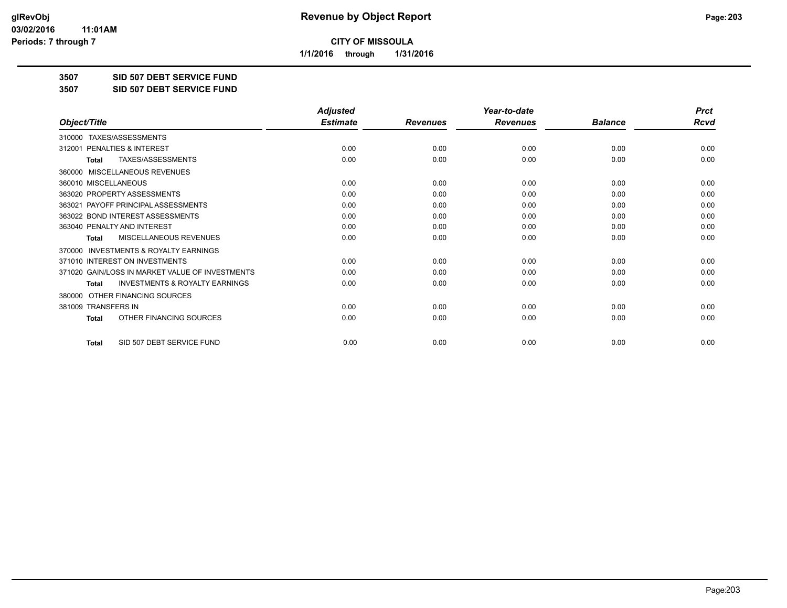**1/1/2016 through 1/31/2016**

**3507 SID 507 DEBT SERVICE FUND**

**3507 SID 507 DEBT SERVICE FUND**

|                                                           | <b>Adjusted</b> |                 | Year-to-date    |                | <b>Prct</b> |
|-----------------------------------------------------------|-----------------|-----------------|-----------------|----------------|-------------|
| Object/Title                                              | <b>Estimate</b> | <b>Revenues</b> | <b>Revenues</b> | <b>Balance</b> | <b>Rcvd</b> |
| TAXES/ASSESSMENTS<br>310000                               |                 |                 |                 |                |             |
| 312001 PENALTIES & INTEREST                               | 0.00            | 0.00            | 0.00            | 0.00           | 0.00        |
| TAXES/ASSESSMENTS<br><b>Total</b>                         | 0.00            | 0.00            | 0.00            | 0.00           | 0.00        |
| MISCELLANEOUS REVENUES<br>360000                          |                 |                 |                 |                |             |
| 360010 MISCELLANEOUS                                      | 0.00            | 0.00            | 0.00            | 0.00           | 0.00        |
| 363020 PROPERTY ASSESSMENTS                               | 0.00            | 0.00            | 0.00            | 0.00           | 0.00        |
| 363021 PAYOFF PRINCIPAL ASSESSMENTS                       | 0.00            | 0.00            | 0.00            | 0.00           | 0.00        |
| 363022 BOND INTEREST ASSESSMENTS                          | 0.00            | 0.00            | 0.00            | 0.00           | 0.00        |
| 363040 PENALTY AND INTEREST                               | 0.00            | 0.00            | 0.00            | 0.00           | 0.00        |
| MISCELLANEOUS REVENUES<br><b>Total</b>                    | 0.00            | 0.00            | 0.00            | 0.00           | 0.00        |
| <b>INVESTMENTS &amp; ROYALTY EARNINGS</b><br>370000       |                 |                 |                 |                |             |
| 371010 INTEREST ON INVESTMENTS                            | 0.00            | 0.00            | 0.00            | 0.00           | 0.00        |
| 371020 GAIN/LOSS IN MARKET VALUE OF INVESTMENTS           | 0.00            | 0.00            | 0.00            | 0.00           | 0.00        |
| <b>INVESTMENTS &amp; ROYALTY EARNINGS</b><br><b>Total</b> | 0.00            | 0.00            | 0.00            | 0.00           | 0.00        |
| OTHER FINANCING SOURCES<br>380000                         |                 |                 |                 |                |             |
| 381009 TRANSFERS IN                                       | 0.00            | 0.00            | 0.00            | 0.00           | 0.00        |
| OTHER FINANCING SOURCES<br><b>Total</b>                   | 0.00            | 0.00            | 0.00            | 0.00           | 0.00        |
| SID 507 DEBT SERVICE FUND<br><b>Total</b>                 | 0.00            | 0.00            | 0.00            | 0.00           | 0.00        |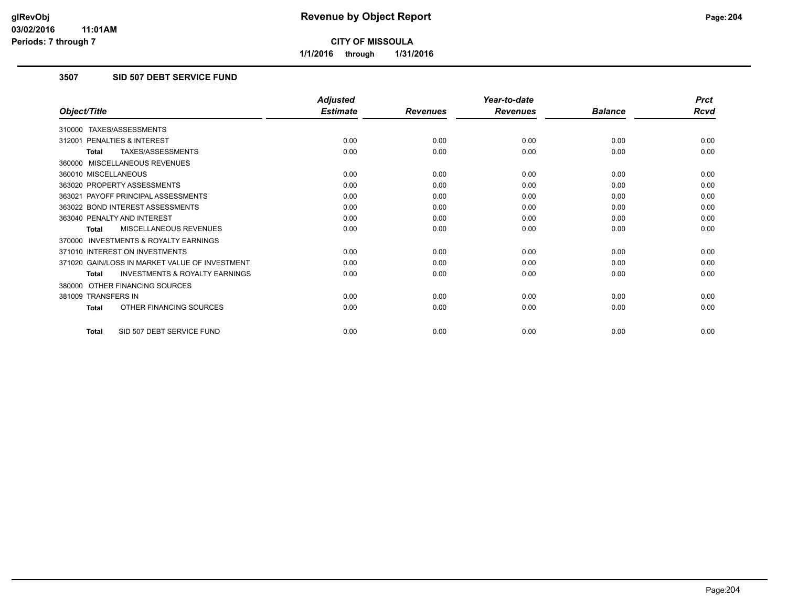**1/1/2016 through 1/31/2016**

# **3507 SID 507 DEBT SERVICE FUND**

|                                                           | <b>Adjusted</b> |                 | Year-to-date    |                | <b>Prct</b> |
|-----------------------------------------------------------|-----------------|-----------------|-----------------|----------------|-------------|
| Object/Title                                              | <b>Estimate</b> | <b>Revenues</b> | <b>Revenues</b> | <b>Balance</b> | <b>Rcvd</b> |
| 310000 TAXES/ASSESSMENTS                                  |                 |                 |                 |                |             |
| 312001 PENALTIES & INTEREST                               | 0.00            | 0.00            | 0.00            | 0.00           | 0.00        |
| TAXES/ASSESSMENTS<br><b>Total</b>                         | 0.00            | 0.00            | 0.00            | 0.00           | 0.00        |
| 360000 MISCELLANEOUS REVENUES                             |                 |                 |                 |                |             |
| 360010 MISCELLANEOUS                                      | 0.00            | 0.00            | 0.00            | 0.00           | 0.00        |
| 363020 PROPERTY ASSESSMENTS                               | 0.00            | 0.00            | 0.00            | 0.00           | 0.00        |
| 363021 PAYOFF PRINCIPAL ASSESSMENTS                       | 0.00            | 0.00            | 0.00            | 0.00           | 0.00        |
| 363022 BOND INTEREST ASSESSMENTS                          | 0.00            | 0.00            | 0.00            | 0.00           | 0.00        |
| 363040 PENALTY AND INTEREST                               | 0.00            | 0.00            | 0.00            | 0.00           | 0.00        |
| MISCELLANEOUS REVENUES<br><b>Total</b>                    | 0.00            | 0.00            | 0.00            | 0.00           | 0.00        |
| <b>INVESTMENTS &amp; ROYALTY EARNINGS</b><br>370000       |                 |                 |                 |                |             |
| 371010 INTEREST ON INVESTMENTS                            | 0.00            | 0.00            | 0.00            | 0.00           | 0.00        |
| 371020 GAIN/LOSS IN MARKET VALUE OF INVESTMENT            | 0.00            | 0.00            | 0.00            | 0.00           | 0.00        |
| <b>INVESTMENTS &amp; ROYALTY EARNINGS</b><br><b>Total</b> | 0.00            | 0.00            | 0.00            | 0.00           | 0.00        |
| 380000 OTHER FINANCING SOURCES                            |                 |                 |                 |                |             |
| 381009 TRANSFERS IN                                       | 0.00            | 0.00            | 0.00            | 0.00           | 0.00        |
| OTHER FINANCING SOURCES<br>Total                          | 0.00            | 0.00            | 0.00            | 0.00           | 0.00        |
| SID 507 DEBT SERVICE FUND<br><b>Total</b>                 | 0.00            | 0.00            | 0.00            | 0.00           | 0.00        |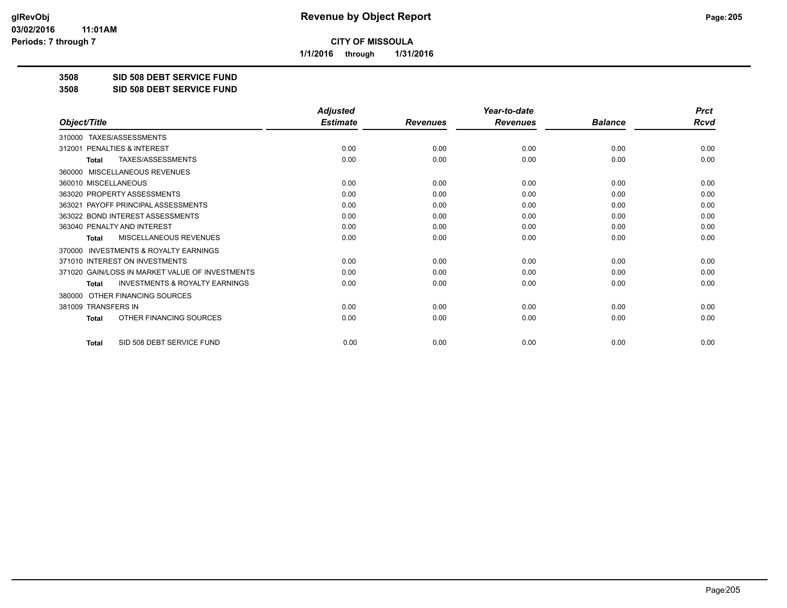**1/1/2016 through 1/31/2016**

**3508 SID 508 DEBT SERVICE FUND**

**3508 SID 508 DEBT SERVICE FUND**

|                                                           | <b>Adjusted</b> |                 | Year-to-date    |                | <b>Prct</b> |
|-----------------------------------------------------------|-----------------|-----------------|-----------------|----------------|-------------|
| Object/Title                                              | <b>Estimate</b> | <b>Revenues</b> | <b>Revenues</b> | <b>Balance</b> | <b>Rcvd</b> |
| TAXES/ASSESSMENTS<br>310000                               |                 |                 |                 |                |             |
| 312001 PENALTIES & INTEREST                               | 0.00            | 0.00            | 0.00            | 0.00           | 0.00        |
| TAXES/ASSESSMENTS<br><b>Total</b>                         | 0.00            | 0.00            | 0.00            | 0.00           | 0.00        |
| MISCELLANEOUS REVENUES<br>360000                          |                 |                 |                 |                |             |
| 360010 MISCELLANEOUS                                      | 0.00            | 0.00            | 0.00            | 0.00           | 0.00        |
| 363020 PROPERTY ASSESSMENTS                               | 0.00            | 0.00            | 0.00            | 0.00           | 0.00        |
| 363021 PAYOFF PRINCIPAL ASSESSMENTS                       | 0.00            | 0.00            | 0.00            | 0.00           | 0.00        |
| 363022 BOND INTEREST ASSESSMENTS                          | 0.00            | 0.00            | 0.00            | 0.00           | 0.00        |
| 363040 PENALTY AND INTEREST                               | 0.00            | 0.00            | 0.00            | 0.00           | 0.00        |
| MISCELLANEOUS REVENUES<br><b>Total</b>                    | 0.00            | 0.00            | 0.00            | 0.00           | 0.00        |
| <b>INVESTMENTS &amp; ROYALTY EARNINGS</b><br>370000       |                 |                 |                 |                |             |
| 371010 INTEREST ON INVESTMENTS                            | 0.00            | 0.00            | 0.00            | 0.00           | 0.00        |
| 371020 GAIN/LOSS IN MARKET VALUE OF INVESTMENTS           | 0.00            | 0.00            | 0.00            | 0.00           | 0.00        |
| <b>INVESTMENTS &amp; ROYALTY EARNINGS</b><br><b>Total</b> | 0.00            | 0.00            | 0.00            | 0.00           | 0.00        |
| OTHER FINANCING SOURCES<br>380000                         |                 |                 |                 |                |             |
| 381009 TRANSFERS IN                                       | 0.00            | 0.00            | 0.00            | 0.00           | 0.00        |
| OTHER FINANCING SOURCES<br><b>Total</b>                   | 0.00            | 0.00            | 0.00            | 0.00           | 0.00        |
| SID 508 DEBT SERVICE FUND<br><b>Total</b>                 | 0.00            | 0.00            | 0.00            | 0.00           | 0.00        |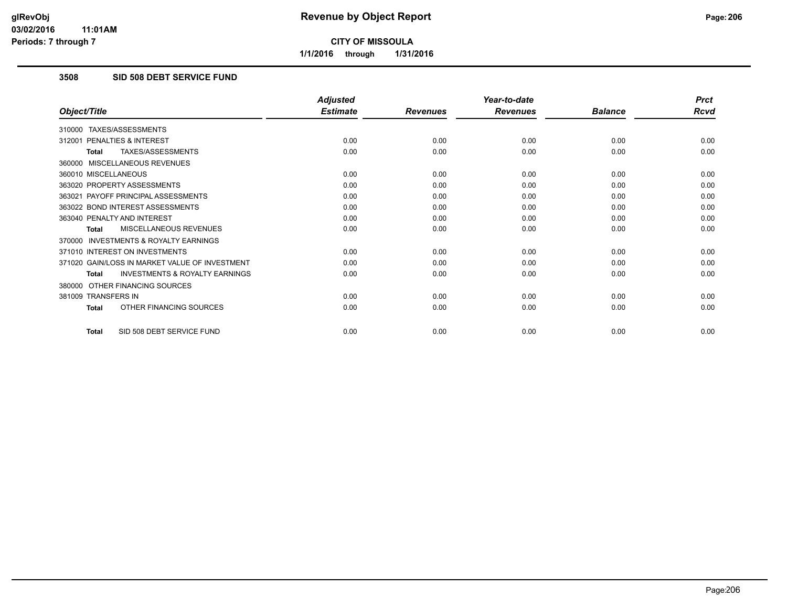**1/1/2016 through 1/31/2016**

# **3508 SID 508 DEBT SERVICE FUND**

|                                                           | <b>Adjusted</b> |                 | Year-to-date    |                | <b>Prct</b> |
|-----------------------------------------------------------|-----------------|-----------------|-----------------|----------------|-------------|
| Object/Title                                              | <b>Estimate</b> | <b>Revenues</b> | <b>Revenues</b> | <b>Balance</b> | <b>Rcvd</b> |
| 310000 TAXES/ASSESSMENTS                                  |                 |                 |                 |                |             |
| PENALTIES & INTEREST<br>312001                            | 0.00            | 0.00            | 0.00            | 0.00           | 0.00        |
| TAXES/ASSESSMENTS<br><b>Total</b>                         | 0.00            | 0.00            | 0.00            | 0.00           | 0.00        |
| 360000 MISCELLANEOUS REVENUES                             |                 |                 |                 |                |             |
| 360010 MISCELLANEOUS                                      | 0.00            | 0.00            | 0.00            | 0.00           | 0.00        |
| 363020 PROPERTY ASSESSMENTS                               | 0.00            | 0.00            | 0.00            | 0.00           | 0.00        |
| 363021 PAYOFF PRINCIPAL ASSESSMENTS                       | 0.00            | 0.00            | 0.00            | 0.00           | 0.00        |
| 363022 BOND INTEREST ASSESSMENTS                          | 0.00            | 0.00            | 0.00            | 0.00           | 0.00        |
| 363040 PENALTY AND INTEREST                               | 0.00            | 0.00            | 0.00            | 0.00           | 0.00        |
| MISCELLANEOUS REVENUES<br><b>Total</b>                    | 0.00            | 0.00            | 0.00            | 0.00           | 0.00        |
| <b>INVESTMENTS &amp; ROYALTY EARNINGS</b><br>370000       |                 |                 |                 |                |             |
| 371010 INTEREST ON INVESTMENTS                            | 0.00            | 0.00            | 0.00            | 0.00           | 0.00        |
| 371020 GAIN/LOSS IN MARKET VALUE OF INVESTMENT            | 0.00            | 0.00            | 0.00            | 0.00           | 0.00        |
| <b>INVESTMENTS &amp; ROYALTY EARNINGS</b><br><b>Total</b> | 0.00            | 0.00            | 0.00            | 0.00           | 0.00        |
| 380000 OTHER FINANCING SOURCES                            |                 |                 |                 |                |             |
| 381009 TRANSFERS IN                                       | 0.00            | 0.00            | 0.00            | 0.00           | 0.00        |
| OTHER FINANCING SOURCES<br><b>Total</b>                   | 0.00            | 0.00            | 0.00            | 0.00           | 0.00        |
| SID 508 DEBT SERVICE FUND<br><b>Total</b>                 | 0.00            | 0.00            | 0.00            | 0.00           | 0.00        |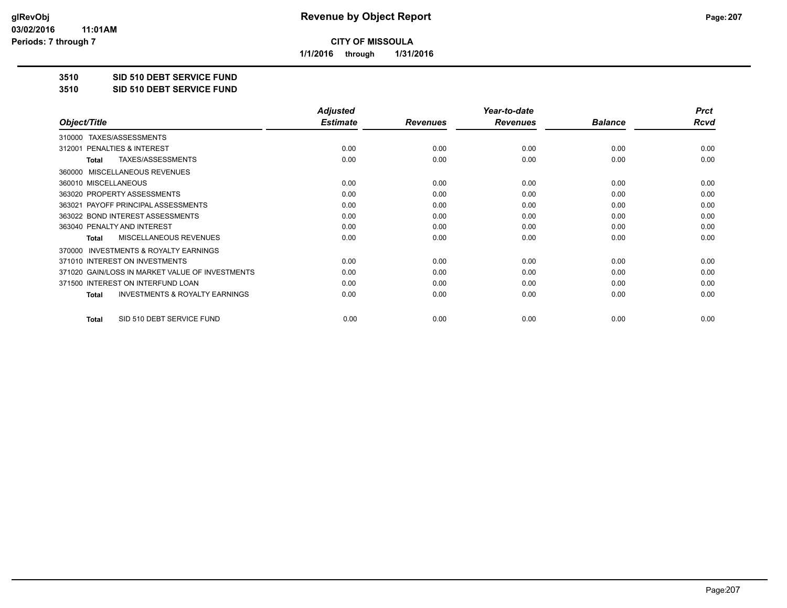**1/1/2016 through 1/31/2016**

**3510 SID 510 DEBT SERVICE FUND**

**3510 SID 510 DEBT SERVICE FUND**

|                                                           | <b>Adjusted</b> |                 | Year-to-date    |                | <b>Prct</b> |
|-----------------------------------------------------------|-----------------|-----------------|-----------------|----------------|-------------|
| Object/Title                                              | <b>Estimate</b> | <b>Revenues</b> | <b>Revenues</b> | <b>Balance</b> | <b>Rcvd</b> |
| 310000 TAXES/ASSESSMENTS                                  |                 |                 |                 |                |             |
| PENALTIES & INTEREST<br>312001                            | 0.00            | 0.00            | 0.00            | 0.00           | 0.00        |
| TAXES/ASSESSMENTS<br><b>Total</b>                         | 0.00            | 0.00            | 0.00            | 0.00           | 0.00        |
| MISCELLANEOUS REVENUES<br>360000                          |                 |                 |                 |                |             |
| 360010 MISCELLANEOUS                                      | 0.00            | 0.00            | 0.00            | 0.00           | 0.00        |
| 363020 PROPERTY ASSESSMENTS                               | 0.00            | 0.00            | 0.00            | 0.00           | 0.00        |
| 363021 PAYOFF PRINCIPAL ASSESSMENTS                       | 0.00            | 0.00            | 0.00            | 0.00           | 0.00        |
| 363022 BOND INTEREST ASSESSMENTS                          | 0.00            | 0.00            | 0.00            | 0.00           | 0.00        |
| 363040 PENALTY AND INTEREST                               | 0.00            | 0.00            | 0.00            | 0.00           | 0.00        |
| <b>MISCELLANEOUS REVENUES</b><br><b>Total</b>             | 0.00            | 0.00            | 0.00            | 0.00           | 0.00        |
| <b>INVESTMENTS &amp; ROYALTY EARNINGS</b><br>370000       |                 |                 |                 |                |             |
| 371010 INTEREST ON INVESTMENTS                            | 0.00            | 0.00            | 0.00            | 0.00           | 0.00        |
| 371020 GAIN/LOSS IN MARKET VALUE OF INVESTMENTS           | 0.00            | 0.00            | 0.00            | 0.00           | 0.00        |
| 371500 INTEREST ON INTERFUND LOAN                         | 0.00            | 0.00            | 0.00            | 0.00           | 0.00        |
| <b>INVESTMENTS &amp; ROYALTY EARNINGS</b><br><b>Total</b> | 0.00            | 0.00            | 0.00            | 0.00           | 0.00        |
| SID 510 DEBT SERVICE FUND<br><b>Total</b>                 | 0.00            | 0.00            | 0.00            | 0.00           | 0.00        |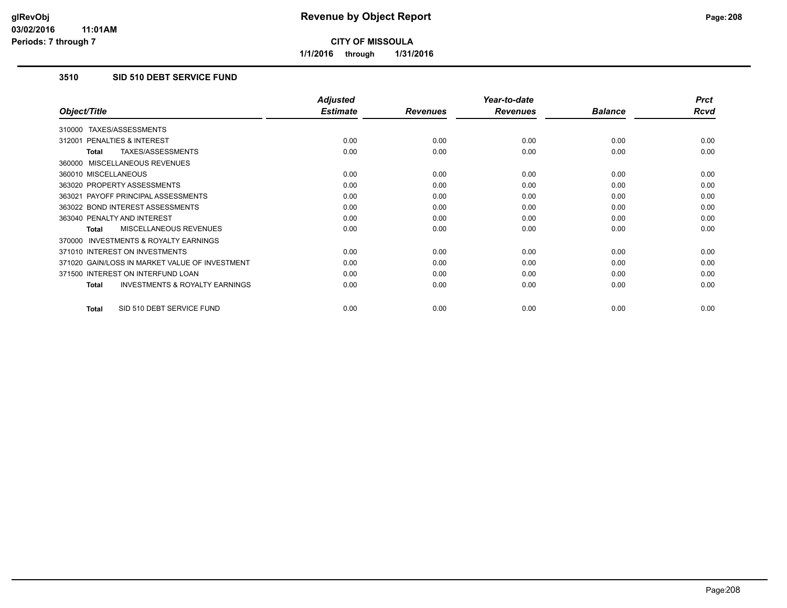**1/1/2016 through 1/31/2016**

# **3510 SID 510 DEBT SERVICE FUND**

|                                                           | <b>Adjusted</b> |                 | Year-to-date    |                | <b>Prct</b> |
|-----------------------------------------------------------|-----------------|-----------------|-----------------|----------------|-------------|
| Object/Title                                              | <b>Estimate</b> | <b>Revenues</b> | <b>Revenues</b> | <b>Balance</b> | <b>Rcvd</b> |
| TAXES/ASSESSMENTS<br>310000                               |                 |                 |                 |                |             |
| PENALTIES & INTEREST<br>312001                            | 0.00            | 0.00            | 0.00            | 0.00           | 0.00        |
| TAXES/ASSESSMENTS<br>Total                                | 0.00            | 0.00            | 0.00            | 0.00           | 0.00        |
| 360000 MISCELLANEOUS REVENUES                             |                 |                 |                 |                |             |
| 360010 MISCELLANEOUS                                      | 0.00            | 0.00            | 0.00            | 0.00           | 0.00        |
| 363020 PROPERTY ASSESSMENTS                               | 0.00            | 0.00            | 0.00            | 0.00           | 0.00        |
| 363021 PAYOFF PRINCIPAL ASSESSMENTS                       | 0.00            | 0.00            | 0.00            | 0.00           | 0.00        |
| 363022 BOND INTEREST ASSESSMENTS                          | 0.00            | 0.00            | 0.00            | 0.00           | 0.00        |
| 363040 PENALTY AND INTEREST                               | 0.00            | 0.00            | 0.00            | 0.00           | 0.00        |
| <b>MISCELLANEOUS REVENUES</b><br><b>Total</b>             | 0.00            | 0.00            | 0.00            | 0.00           | 0.00        |
| <b>INVESTMENTS &amp; ROYALTY EARNINGS</b><br>370000       |                 |                 |                 |                |             |
| 371010 INTEREST ON INVESTMENTS                            | 0.00            | 0.00            | 0.00            | 0.00           | 0.00        |
| 371020 GAIN/LOSS IN MARKET VALUE OF INVESTMENT            | 0.00            | 0.00            | 0.00            | 0.00           | 0.00        |
| 371500 INTEREST ON INTERFUND LOAN                         | 0.00            | 0.00            | 0.00            | 0.00           | 0.00        |
| <b>INVESTMENTS &amp; ROYALTY EARNINGS</b><br><b>Total</b> | 0.00            | 0.00            | 0.00            | 0.00           | 0.00        |
| SID 510 DEBT SERVICE FUND<br><b>Total</b>                 | 0.00            | 0.00            | 0.00            | 0.00           | 0.00        |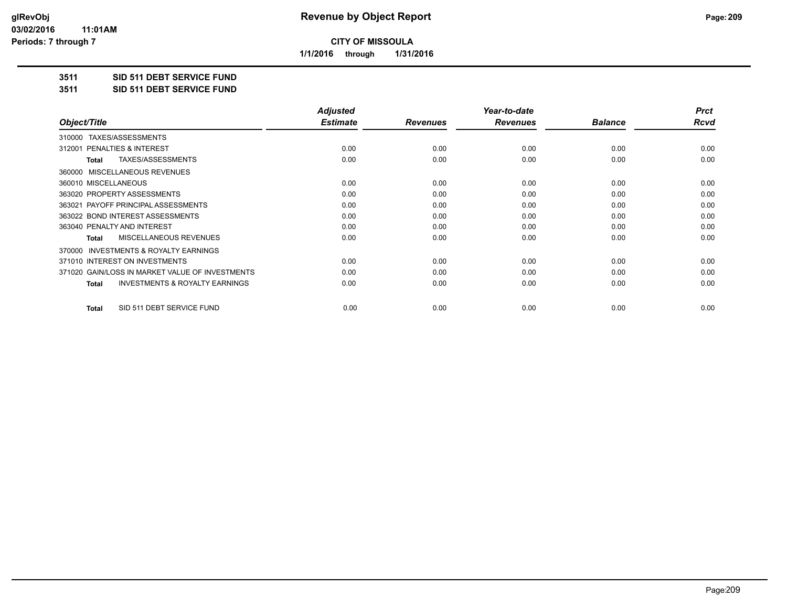**1/1/2016 through 1/31/2016**

**3511 SID 511 DEBT SERVICE FUND**

**3511 SID 511 DEBT SERVICE FUND**

|                                                           | <b>Adjusted</b> |                 | Year-to-date    |                | <b>Prct</b> |
|-----------------------------------------------------------|-----------------|-----------------|-----------------|----------------|-------------|
| Object/Title                                              | <b>Estimate</b> | <b>Revenues</b> | <b>Revenues</b> | <b>Balance</b> | Rcvd        |
| TAXES/ASSESSMENTS<br>310000                               |                 |                 |                 |                |             |
| 312001 PENALTIES & INTEREST                               | 0.00            | 0.00            | 0.00            | 0.00           | 0.00        |
| TAXES/ASSESSMENTS<br><b>Total</b>                         | 0.00            | 0.00            | 0.00            | 0.00           | 0.00        |
| MISCELLANEOUS REVENUES<br>360000                          |                 |                 |                 |                |             |
| 360010 MISCELLANEOUS                                      | 0.00            | 0.00            | 0.00            | 0.00           | 0.00        |
| 363020 PROPERTY ASSESSMENTS                               | 0.00            | 0.00            | 0.00            | 0.00           | 0.00        |
| 363021 PAYOFF PRINCIPAL ASSESSMENTS                       | 0.00            | 0.00            | 0.00            | 0.00           | 0.00        |
| 363022 BOND INTEREST ASSESSMENTS                          | 0.00            | 0.00            | 0.00            | 0.00           | 0.00        |
| 363040 PENALTY AND INTEREST                               | 0.00            | 0.00            | 0.00            | 0.00           | 0.00        |
| <b>MISCELLANEOUS REVENUES</b><br><b>Total</b>             | 0.00            | 0.00            | 0.00            | 0.00           | 0.00        |
| 370000 INVESTMENTS & ROYALTY EARNINGS                     |                 |                 |                 |                |             |
| 371010 INTEREST ON INVESTMENTS                            | 0.00            | 0.00            | 0.00            | 0.00           | 0.00        |
| 371020 GAIN/LOSS IN MARKET VALUE OF INVESTMENTS           | 0.00            | 0.00            | 0.00            | 0.00           | 0.00        |
| <b>INVESTMENTS &amp; ROYALTY EARNINGS</b><br><b>Total</b> | 0.00            | 0.00            | 0.00            | 0.00           | 0.00        |
|                                                           |                 |                 |                 |                |             |
| SID 511 DEBT SERVICE FUND<br><b>Total</b>                 | 0.00            | 0.00            | 0.00            | 0.00           | 0.00        |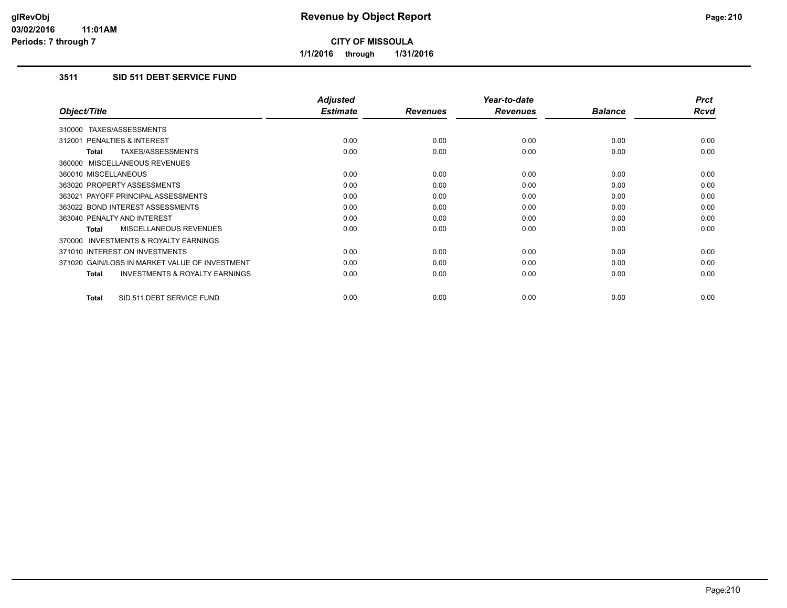**1/1/2016 through 1/31/2016**

# **3511 SID 511 DEBT SERVICE FUND**

|                                                           | <b>Adjusted</b> |                 | Year-to-date    |                | <b>Prct</b> |
|-----------------------------------------------------------|-----------------|-----------------|-----------------|----------------|-------------|
| Object/Title                                              | <b>Estimate</b> | <b>Revenues</b> | <b>Revenues</b> | <b>Balance</b> | <b>Rcvd</b> |
| 310000 TAXES/ASSESSMENTS                                  |                 |                 |                 |                |             |
| 312001 PENALTIES & INTEREST                               | 0.00            | 0.00            | 0.00            | 0.00           | 0.00        |
| TAXES/ASSESSMENTS<br><b>Total</b>                         | 0.00            | 0.00            | 0.00            | 0.00           | 0.00        |
| 360000 MISCELLANEOUS REVENUES                             |                 |                 |                 |                |             |
| 360010 MISCELLANEOUS                                      | 0.00            | 0.00            | 0.00            | 0.00           | 0.00        |
| 363020 PROPERTY ASSESSMENTS                               | 0.00            | 0.00            | 0.00            | 0.00           | 0.00        |
| 363021 PAYOFF PRINCIPAL ASSESSMENTS                       | 0.00            | 0.00            | 0.00            | 0.00           | 0.00        |
| 363022 BOND INTEREST ASSESSMENTS                          | 0.00            | 0.00            | 0.00            | 0.00           | 0.00        |
| 363040 PENALTY AND INTEREST                               | 0.00            | 0.00            | 0.00            | 0.00           | 0.00        |
| MISCELLANEOUS REVENUES<br><b>Total</b>                    | 0.00            | 0.00            | 0.00            | 0.00           | 0.00        |
| <b>INVESTMENTS &amp; ROYALTY EARNINGS</b><br>370000       |                 |                 |                 |                |             |
| 371010 INTEREST ON INVESTMENTS                            | 0.00            | 0.00            | 0.00            | 0.00           | 0.00        |
| 371020 GAIN/LOSS IN MARKET VALUE OF INVESTMENT            | 0.00            | 0.00            | 0.00            | 0.00           | 0.00        |
| <b>INVESTMENTS &amp; ROYALTY EARNINGS</b><br><b>Total</b> | 0.00            | 0.00            | 0.00            | 0.00           | 0.00        |
|                                                           |                 |                 |                 |                |             |
| SID 511 DEBT SERVICE FUND<br><b>Total</b>                 | 0.00            | 0.00            | 0.00            | 0.00           | 0.00        |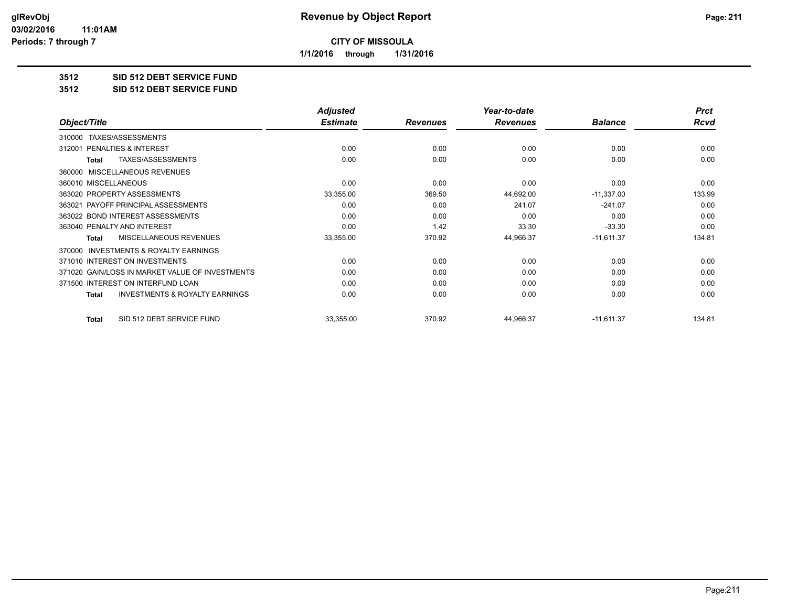**1/1/2016 through 1/31/2016**

**3512 SID 512 DEBT SERVICE FUND**

**3512 SID 512 DEBT SERVICE FUND**

|                                                           | <b>Adjusted</b> |                 | Year-to-date    |                | <b>Prct</b> |
|-----------------------------------------------------------|-----------------|-----------------|-----------------|----------------|-------------|
| Object/Title                                              | <b>Estimate</b> | <b>Revenues</b> | <b>Revenues</b> | <b>Balance</b> | <b>Rcvd</b> |
| TAXES/ASSESSMENTS<br>310000                               |                 |                 |                 |                |             |
| <b>PENALTIES &amp; INTEREST</b><br>312001                 | 0.00            | 0.00            | 0.00            | 0.00           | 0.00        |
| TAXES/ASSESSMENTS<br><b>Total</b>                         | 0.00            | 0.00            | 0.00            | 0.00           | 0.00        |
| MISCELLANEOUS REVENUES<br>360000                          |                 |                 |                 |                |             |
| 360010 MISCELLANEOUS                                      | 0.00            | 0.00            | 0.00            | 0.00           | 0.00        |
| 363020 PROPERTY ASSESSMENTS                               | 33,355.00       | 369.50          | 44,692.00       | $-11,337.00$   | 133.99      |
| 363021 PAYOFF PRINCIPAL ASSESSMENTS                       | 0.00            | 0.00            | 241.07          | $-241.07$      | 0.00        |
| 363022 BOND INTEREST ASSESSMENTS                          | 0.00            | 0.00            | 0.00            | 0.00           | 0.00        |
| 363040 PENALTY AND INTEREST                               | 0.00            | 1.42            | 33.30           | $-33.30$       | 0.00        |
| <b>MISCELLANEOUS REVENUES</b><br><b>Total</b>             | 33,355.00       | 370.92          | 44,966.37       | $-11,611.37$   | 134.81      |
| <b>INVESTMENTS &amp; ROYALTY EARNINGS</b><br>370000       |                 |                 |                 |                |             |
| 371010 INTEREST ON INVESTMENTS                            | 0.00            | 0.00            | 0.00            | 0.00           | 0.00        |
| 371020 GAIN/LOSS IN MARKET VALUE OF INVESTMENTS           | 0.00            | 0.00            | 0.00            | 0.00           | 0.00        |
| 371500 INTEREST ON INTERFUND LOAN                         | 0.00            | 0.00            | 0.00            | 0.00           | 0.00        |
| <b>INVESTMENTS &amp; ROYALTY EARNINGS</b><br><b>Total</b> | 0.00            | 0.00            | 0.00            | 0.00           | 0.00        |
| SID 512 DEBT SERVICE FUND<br><b>Total</b>                 | 33,355.00       | 370.92          | 44,966.37       | $-11,611.37$   | 134.81      |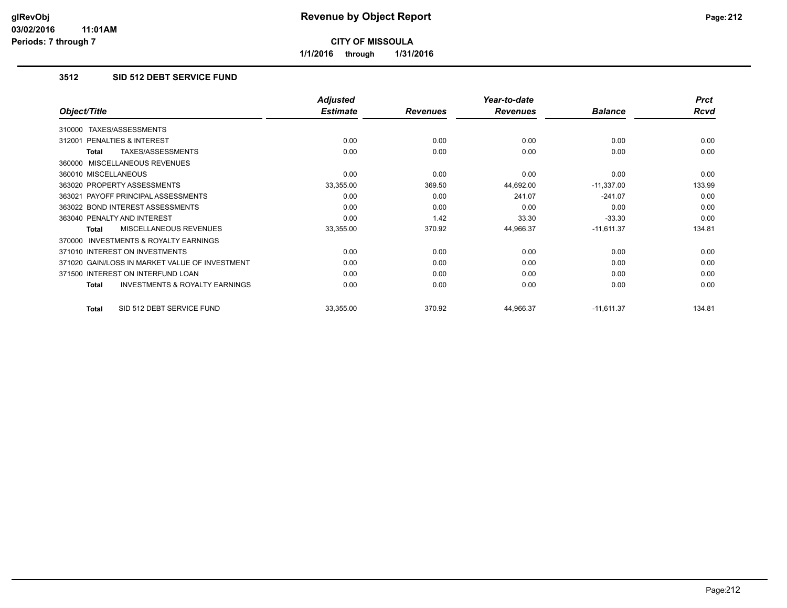**1/1/2016 through 1/31/2016**

# **3512 SID 512 DEBT SERVICE FUND**

|                                                    | <b>Adjusted</b> |                 | Year-to-date    |                | <b>Prct</b> |
|----------------------------------------------------|-----------------|-----------------|-----------------|----------------|-------------|
| Object/Title                                       | <b>Estimate</b> | <b>Revenues</b> | <b>Revenues</b> | <b>Balance</b> | Rcvd        |
| TAXES/ASSESSMENTS<br>310000                        |                 |                 |                 |                |             |
| 312001 PENALTIES & INTEREST                        | 0.00            | 0.00            | 0.00            | 0.00           | 0.00        |
| TAXES/ASSESSMENTS<br>Total                         | 0.00            | 0.00            | 0.00            | 0.00           | 0.00        |
| 360000 MISCELLANEOUS REVENUES                      |                 |                 |                 |                |             |
| 360010 MISCELLANEOUS                               | 0.00            | 0.00            | 0.00            | 0.00           | 0.00        |
| 363020 PROPERTY ASSESSMENTS                        | 33,355.00       | 369.50          | 44,692.00       | $-11,337.00$   | 133.99      |
| 363021 PAYOFF PRINCIPAL ASSESSMENTS                | 0.00            | 0.00            | 241.07          | $-241.07$      | 0.00        |
| 363022 BOND INTEREST ASSESSMENTS                   | 0.00            | 0.00            | 0.00            | 0.00           | 0.00        |
| 363040 PENALTY AND INTEREST                        | 0.00            | 1.42            | 33.30           | $-33.30$       | 0.00        |
| MISCELLANEOUS REVENUES<br>Total                    | 33,355.00       | 370.92          | 44,966.37       | $-11,611.37$   | 134.81      |
| 370000 INVESTMENTS & ROYALTY EARNINGS              |                 |                 |                 |                |             |
| 371010 INTEREST ON INVESTMENTS                     | 0.00            | 0.00            | 0.00            | 0.00           | 0.00        |
| 371020 GAIN/LOSS IN MARKET VALUE OF INVESTMENT     | 0.00            | 0.00            | 0.00            | 0.00           | 0.00        |
| 371500 INTEREST ON INTERFUND LOAN                  | 0.00            | 0.00            | 0.00            | 0.00           | 0.00        |
| <b>INVESTMENTS &amp; ROYALTY EARNINGS</b><br>Total | 0.00            | 0.00            | 0.00            | 0.00           | 0.00        |
| SID 512 DEBT SERVICE FUND<br>Total                 | 33,355.00       | 370.92          | 44,966.37       | $-11,611.37$   | 134.81      |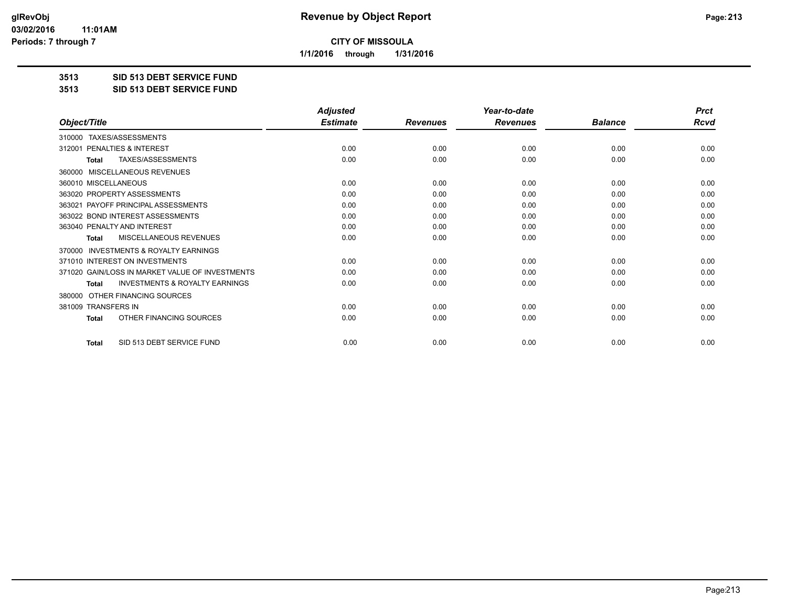**1/1/2016 through 1/31/2016**

**3513 SID 513 DEBT SERVICE FUND**

**3513 SID 513 DEBT SERVICE FUND**

|                                                           | <b>Adjusted</b> |                 | Year-to-date    |                | <b>Prct</b> |
|-----------------------------------------------------------|-----------------|-----------------|-----------------|----------------|-------------|
| Object/Title                                              | <b>Estimate</b> | <b>Revenues</b> | <b>Revenues</b> | <b>Balance</b> | <b>Rcvd</b> |
| TAXES/ASSESSMENTS<br>310000                               |                 |                 |                 |                |             |
| 312001 PENALTIES & INTEREST                               | 0.00            | 0.00            | 0.00            | 0.00           | 0.00        |
| TAXES/ASSESSMENTS<br><b>Total</b>                         | 0.00            | 0.00            | 0.00            | 0.00           | 0.00        |
| MISCELLANEOUS REVENUES<br>360000                          |                 |                 |                 |                |             |
| 360010 MISCELLANEOUS                                      | 0.00            | 0.00            | 0.00            | 0.00           | 0.00        |
| 363020 PROPERTY ASSESSMENTS                               | 0.00            | 0.00            | 0.00            | 0.00           | 0.00        |
| 363021 PAYOFF PRINCIPAL ASSESSMENTS                       | 0.00            | 0.00            | 0.00            | 0.00           | 0.00        |
| 363022 BOND INTEREST ASSESSMENTS                          | 0.00            | 0.00            | 0.00            | 0.00           | 0.00        |
| 363040 PENALTY AND INTEREST                               | 0.00            | 0.00            | 0.00            | 0.00           | 0.00        |
| <b>MISCELLANEOUS REVENUES</b><br><b>Total</b>             | 0.00            | 0.00            | 0.00            | 0.00           | 0.00        |
| <b>INVESTMENTS &amp; ROYALTY EARNINGS</b><br>370000       |                 |                 |                 |                |             |
| 371010 INTEREST ON INVESTMENTS                            | 0.00            | 0.00            | 0.00            | 0.00           | 0.00        |
| 371020 GAIN/LOSS IN MARKET VALUE OF INVESTMENTS           | 0.00            | 0.00            | 0.00            | 0.00           | 0.00        |
| <b>INVESTMENTS &amp; ROYALTY EARNINGS</b><br><b>Total</b> | 0.00            | 0.00            | 0.00            | 0.00           | 0.00        |
| OTHER FINANCING SOURCES<br>380000                         |                 |                 |                 |                |             |
| 381009 TRANSFERS IN                                       | 0.00            | 0.00            | 0.00            | 0.00           | 0.00        |
| OTHER FINANCING SOURCES<br>Total                          | 0.00            | 0.00            | 0.00            | 0.00           | 0.00        |
| SID 513 DEBT SERVICE FUND<br><b>Total</b>                 | 0.00            | 0.00            | 0.00            | 0.00           | 0.00        |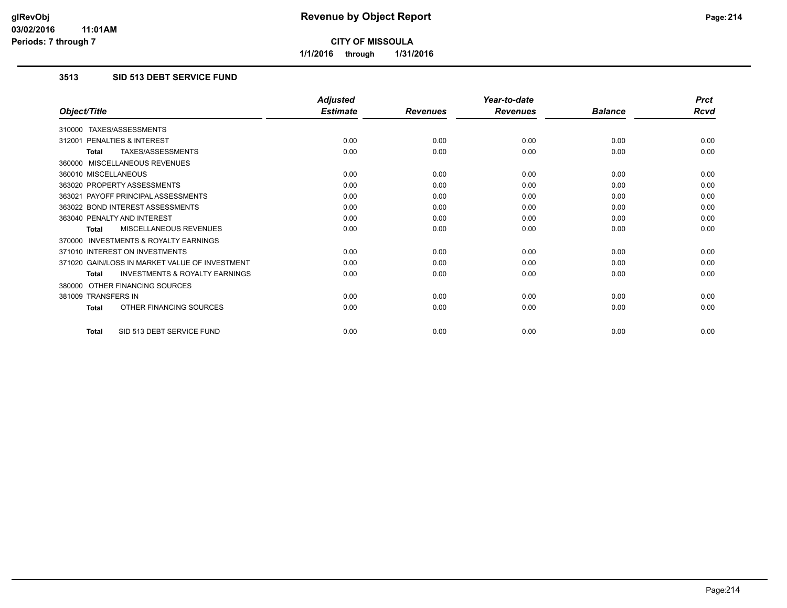**1/1/2016 through 1/31/2016**

# **3513 SID 513 DEBT SERVICE FUND**

|                                                           | <b>Adjusted</b> |                 | Year-to-date    |                | <b>Prct</b> |
|-----------------------------------------------------------|-----------------|-----------------|-----------------|----------------|-------------|
| Object/Title                                              | <b>Estimate</b> | <b>Revenues</b> | <b>Revenues</b> | <b>Balance</b> | <b>Rcvd</b> |
| 310000 TAXES/ASSESSMENTS                                  |                 |                 |                 |                |             |
| 312001 PENALTIES & INTEREST                               | 0.00            | 0.00            | 0.00            | 0.00           | 0.00        |
| TAXES/ASSESSMENTS<br><b>Total</b>                         | 0.00            | 0.00            | 0.00            | 0.00           | 0.00        |
| 360000 MISCELLANEOUS REVENUES                             |                 |                 |                 |                |             |
| 360010 MISCELLANEOUS                                      | 0.00            | 0.00            | 0.00            | 0.00           | 0.00        |
| 363020 PROPERTY ASSESSMENTS                               | 0.00            | 0.00            | 0.00            | 0.00           | 0.00        |
| 363021 PAYOFF PRINCIPAL ASSESSMENTS                       | 0.00            | 0.00            | 0.00            | 0.00           | 0.00        |
| 363022 BOND INTEREST ASSESSMENTS                          | 0.00            | 0.00            | 0.00            | 0.00           | 0.00        |
| 363040 PENALTY AND INTEREST                               | 0.00            | 0.00            | 0.00            | 0.00           | 0.00        |
| MISCELLANEOUS REVENUES<br><b>Total</b>                    | 0.00            | 0.00            | 0.00            | 0.00           | 0.00        |
| <b>INVESTMENTS &amp; ROYALTY EARNINGS</b><br>370000       |                 |                 |                 |                |             |
| 371010 INTEREST ON INVESTMENTS                            | 0.00            | 0.00            | 0.00            | 0.00           | 0.00        |
| 371020 GAIN/LOSS IN MARKET VALUE OF INVESTMENT            | 0.00            | 0.00            | 0.00            | 0.00           | 0.00        |
| <b>INVESTMENTS &amp; ROYALTY EARNINGS</b><br><b>Total</b> | 0.00            | 0.00            | 0.00            | 0.00           | 0.00        |
| 380000 OTHER FINANCING SOURCES                            |                 |                 |                 |                |             |
| 381009 TRANSFERS IN                                       | 0.00            | 0.00            | 0.00            | 0.00           | 0.00        |
| OTHER FINANCING SOURCES<br><b>Total</b>                   | 0.00            | 0.00            | 0.00            | 0.00           | 0.00        |
| SID 513 DEBT SERVICE FUND<br><b>Total</b>                 | 0.00            | 0.00            | 0.00            | 0.00           | 0.00        |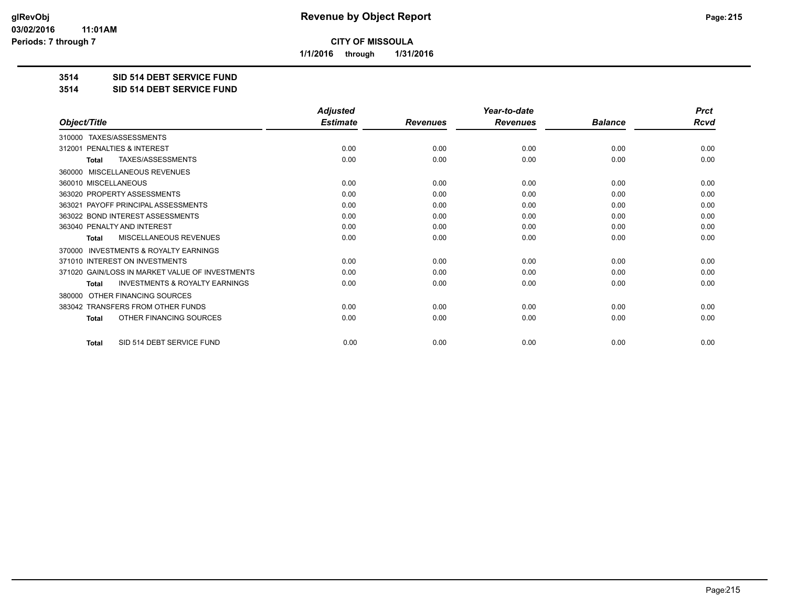**1/1/2016 through 1/31/2016**

**3514 SID 514 DEBT SERVICE FUND**

**3514 SID 514 DEBT SERVICE FUND**

|                                                     | <b>Adjusted</b> |                 | Year-to-date    |                | <b>Prct</b> |
|-----------------------------------------------------|-----------------|-----------------|-----------------|----------------|-------------|
| Object/Title                                        | <b>Estimate</b> | <b>Revenues</b> | <b>Revenues</b> | <b>Balance</b> | Rcvd        |
| TAXES/ASSESSMENTS<br>310000                         |                 |                 |                 |                |             |
| PENALTIES & INTEREST<br>312001                      | 0.00            | 0.00            | 0.00            | 0.00           | 0.00        |
| TAXES/ASSESSMENTS<br><b>Total</b>                   | 0.00            | 0.00            | 0.00            | 0.00           | 0.00        |
| MISCELLANEOUS REVENUES<br>360000                    |                 |                 |                 |                |             |
| 360010 MISCELLANEOUS                                | 0.00            | 0.00            | 0.00            | 0.00           | 0.00        |
| 363020 PROPERTY ASSESSMENTS                         | 0.00            | 0.00            | 0.00            | 0.00           | 0.00        |
| 363021 PAYOFF PRINCIPAL ASSESSMENTS                 | 0.00            | 0.00            | 0.00            | 0.00           | 0.00        |
| 363022 BOND INTEREST ASSESSMENTS                    | 0.00            | 0.00            | 0.00            | 0.00           | 0.00        |
| 363040 PENALTY AND INTEREST                         | 0.00            | 0.00            | 0.00            | 0.00           | 0.00        |
| MISCELLANEOUS REVENUES<br>Total                     | 0.00            | 0.00            | 0.00            | 0.00           | 0.00        |
| <b>INVESTMENTS &amp; ROYALTY EARNINGS</b><br>370000 |                 |                 |                 |                |             |
| 371010 INTEREST ON INVESTMENTS                      | 0.00            | 0.00            | 0.00            | 0.00           | 0.00        |
| 371020 GAIN/LOSS IN MARKET VALUE OF INVESTMENTS     | 0.00            | 0.00            | 0.00            | 0.00           | 0.00        |
| <b>INVESTMENTS &amp; ROYALTY EARNINGS</b><br>Total  | 0.00            | 0.00            | 0.00            | 0.00           | 0.00        |
| OTHER FINANCING SOURCES<br>380000                   |                 |                 |                 |                |             |
| 383042 TRANSFERS FROM OTHER FUNDS                   | 0.00            | 0.00            | 0.00            | 0.00           | 0.00        |
| OTHER FINANCING SOURCES<br><b>Total</b>             | 0.00            | 0.00            | 0.00            | 0.00           | 0.00        |
| SID 514 DEBT SERVICE FUND<br><b>Total</b>           | 0.00            | 0.00            | 0.00            | 0.00           | 0.00        |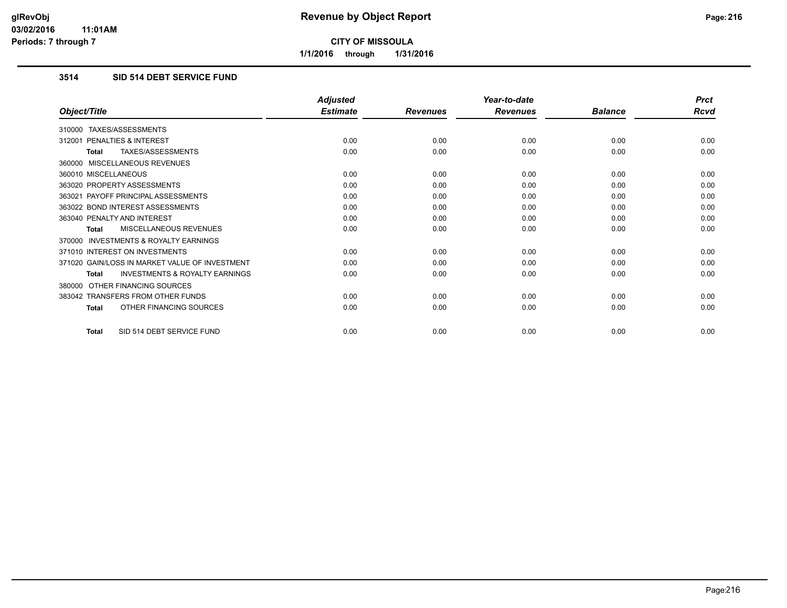**1/1/2016 through 1/31/2016**

# **3514 SID 514 DEBT SERVICE FUND**

|                                                           | <b>Adjusted</b> |                 | Year-to-date    |                | <b>Prct</b> |
|-----------------------------------------------------------|-----------------|-----------------|-----------------|----------------|-------------|
| Object/Title                                              | <b>Estimate</b> | <b>Revenues</b> | <b>Revenues</b> | <b>Balance</b> | Rcvd        |
| 310000 TAXES/ASSESSMENTS                                  |                 |                 |                 |                |             |
| 312001 PENALTIES & INTEREST                               | 0.00            | 0.00            | 0.00            | 0.00           | 0.00        |
| TAXES/ASSESSMENTS<br><b>Total</b>                         | 0.00            | 0.00            | 0.00            | 0.00           | 0.00        |
| 360000 MISCELLANEOUS REVENUES                             |                 |                 |                 |                |             |
| 360010 MISCELLANEOUS                                      | 0.00            | 0.00            | 0.00            | 0.00           | 0.00        |
| 363020 PROPERTY ASSESSMENTS                               | 0.00            | 0.00            | 0.00            | 0.00           | 0.00        |
| 363021 PAYOFF PRINCIPAL ASSESSMENTS                       | 0.00            | 0.00            | 0.00            | 0.00           | 0.00        |
| 363022 BOND INTEREST ASSESSMENTS                          | 0.00            | 0.00            | 0.00            | 0.00           | 0.00        |
| 363040 PENALTY AND INTEREST                               | 0.00            | 0.00            | 0.00            | 0.00           | 0.00        |
| MISCELLANEOUS REVENUES<br><b>Total</b>                    | 0.00            | 0.00            | 0.00            | 0.00           | 0.00        |
| <b>INVESTMENTS &amp; ROYALTY EARNINGS</b><br>370000       |                 |                 |                 |                |             |
| 371010 INTEREST ON INVESTMENTS                            | 0.00            | 0.00            | 0.00            | 0.00           | 0.00        |
| 371020 GAIN/LOSS IN MARKET VALUE OF INVESTMENT            | 0.00            | 0.00            | 0.00            | 0.00           | 0.00        |
| <b>INVESTMENTS &amp; ROYALTY EARNINGS</b><br><b>Total</b> | 0.00            | 0.00            | 0.00            | 0.00           | 0.00        |
| OTHER FINANCING SOURCES<br>380000                         |                 |                 |                 |                |             |
| 383042 TRANSFERS FROM OTHER FUNDS                         | 0.00            | 0.00            | 0.00            | 0.00           | 0.00        |
| OTHER FINANCING SOURCES<br><b>Total</b>                   | 0.00            | 0.00            | 0.00            | 0.00           | 0.00        |
| SID 514 DEBT SERVICE FUND<br><b>Total</b>                 | 0.00            | 0.00            | 0.00            | 0.00           | 0.00        |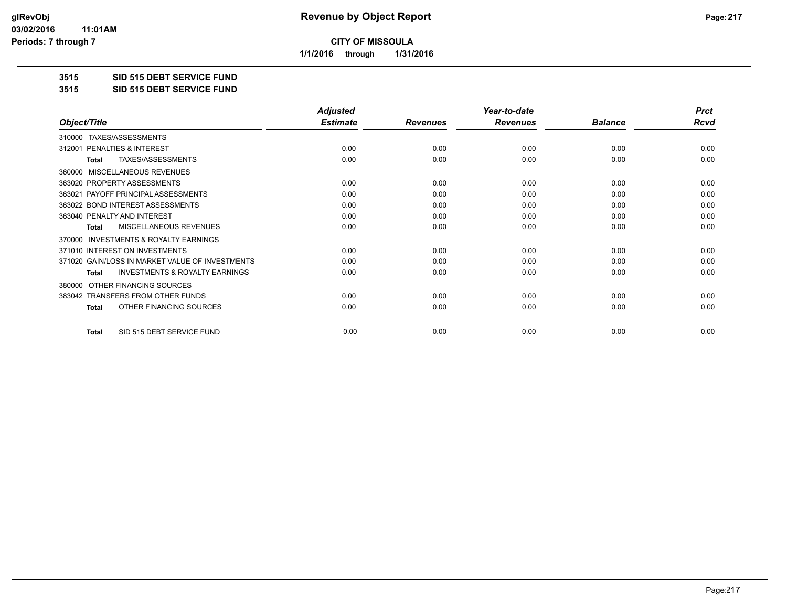**1/1/2016 through 1/31/2016**

**3515 SID 515 DEBT SERVICE FUND**

**3515 SID 515 DEBT SERVICE FUND**

|                                                     | <b>Adjusted</b> |                 | Year-to-date    |                | <b>Prct</b> |
|-----------------------------------------------------|-----------------|-----------------|-----------------|----------------|-------------|
| Object/Title                                        | <b>Estimate</b> | <b>Revenues</b> | <b>Revenues</b> | <b>Balance</b> | <b>Rcvd</b> |
| TAXES/ASSESSMENTS<br>310000                         |                 |                 |                 |                |             |
| PENALTIES & INTEREST<br>312001                      | 0.00            | 0.00            | 0.00            | 0.00           | 0.00        |
| TAXES/ASSESSMENTS<br>Total                          | 0.00            | 0.00            | 0.00            | 0.00           | 0.00        |
| MISCELLANEOUS REVENUES<br>360000                    |                 |                 |                 |                |             |
| 363020 PROPERTY ASSESSMENTS                         | 0.00            | 0.00            | 0.00            | 0.00           | 0.00        |
| 363021 PAYOFF PRINCIPAL ASSESSMENTS                 | 0.00            | 0.00            | 0.00            | 0.00           | 0.00        |
| 363022 BOND INTEREST ASSESSMENTS                    | 0.00            | 0.00            | 0.00            | 0.00           | 0.00        |
| 363040 PENALTY AND INTEREST                         | 0.00            | 0.00            | 0.00            | 0.00           | 0.00        |
| MISCELLANEOUS REVENUES<br><b>Total</b>              | 0.00            | 0.00            | 0.00            | 0.00           | 0.00        |
| <b>INVESTMENTS &amp; ROYALTY EARNINGS</b><br>370000 |                 |                 |                 |                |             |
| 371010 INTEREST ON INVESTMENTS                      | 0.00            | 0.00            | 0.00            | 0.00           | 0.00        |
| 371020 GAIN/LOSS IN MARKET VALUE OF INVESTMENTS     | 0.00            | 0.00            | 0.00            | 0.00           | 0.00        |
| <b>INVESTMENTS &amp; ROYALTY EARNINGS</b><br>Total  | 0.00            | 0.00            | 0.00            | 0.00           | 0.00        |
| OTHER FINANCING SOURCES<br>380000                   |                 |                 |                 |                |             |
| 383042 TRANSFERS FROM OTHER FUNDS                   | 0.00            | 0.00            | 0.00            | 0.00           | 0.00        |
| OTHER FINANCING SOURCES<br><b>Total</b>             | 0.00            | 0.00            | 0.00            | 0.00           | 0.00        |
|                                                     |                 |                 |                 |                |             |
| SID 515 DEBT SERVICE FUND<br><b>Total</b>           | 0.00            | 0.00            | 0.00            | 0.00           | 0.00        |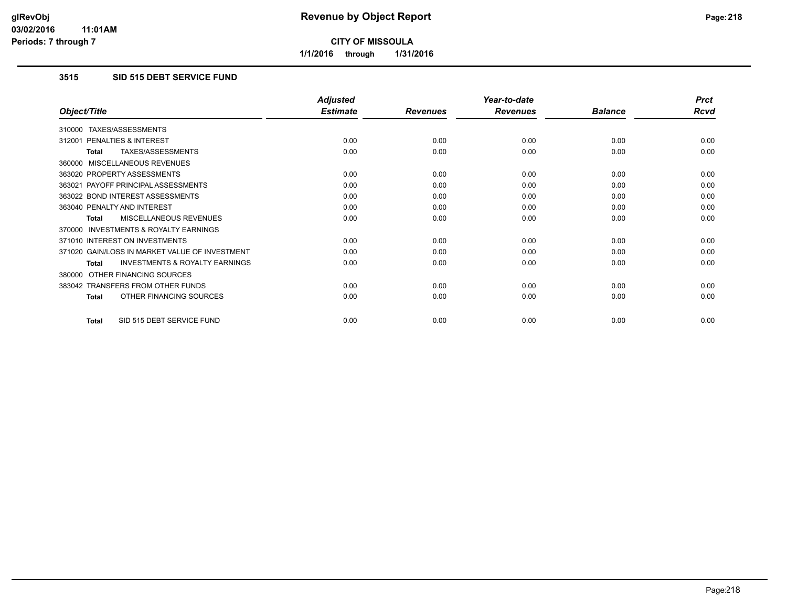**1/1/2016 through 1/31/2016**

# **3515 SID 515 DEBT SERVICE FUND**

|                                                     | <b>Adjusted</b> |                 | Year-to-date    |                | <b>Prct</b> |
|-----------------------------------------------------|-----------------|-----------------|-----------------|----------------|-------------|
| Object/Title                                        | <b>Estimate</b> | <b>Revenues</b> | <b>Revenues</b> | <b>Balance</b> | <b>Rcvd</b> |
| TAXES/ASSESSMENTS<br>310000                         |                 |                 |                 |                |             |
| <b>PENALTIES &amp; INTEREST</b><br>312001           | 0.00            | 0.00            | 0.00            | 0.00           | 0.00        |
| TAXES/ASSESSMENTS<br>Total                          | 0.00            | 0.00            | 0.00            | 0.00           | 0.00        |
| MISCELLANEOUS REVENUES<br>360000                    |                 |                 |                 |                |             |
| 363020 PROPERTY ASSESSMENTS                         | 0.00            | 0.00            | 0.00            | 0.00           | 0.00        |
| 363021 PAYOFF PRINCIPAL ASSESSMENTS                 | 0.00            | 0.00            | 0.00            | 0.00           | 0.00        |
| 363022 BOND INTEREST ASSESSMENTS                    | 0.00            | 0.00            | 0.00            | 0.00           | 0.00        |
| 363040 PENALTY AND INTEREST                         | 0.00            | 0.00            | 0.00            | 0.00           | 0.00        |
| <b>MISCELLANEOUS REVENUES</b><br><b>Total</b>       | 0.00            | 0.00            | 0.00            | 0.00           | 0.00        |
| <b>INVESTMENTS &amp; ROYALTY EARNINGS</b><br>370000 |                 |                 |                 |                |             |
| 371010 INTEREST ON INVESTMENTS                      | 0.00            | 0.00            | 0.00            | 0.00           | 0.00        |
| 371020 GAIN/LOSS IN MARKET VALUE OF INVESTMENT      | 0.00            | 0.00            | 0.00            | 0.00           | 0.00        |
| <b>INVESTMENTS &amp; ROYALTY EARNINGS</b><br>Total  | 0.00            | 0.00            | 0.00            | 0.00           | 0.00        |
| OTHER FINANCING SOURCES<br>380000                   |                 |                 |                 |                |             |
| 383042 TRANSFERS FROM OTHER FUNDS                   | 0.00            | 0.00            | 0.00            | 0.00           | 0.00        |
| OTHER FINANCING SOURCES<br><b>Total</b>             | 0.00            | 0.00            | 0.00            | 0.00           | 0.00        |
| SID 515 DEBT SERVICE FUND<br>Total                  | 0.00            | 0.00            | 0.00            | 0.00           | 0.00        |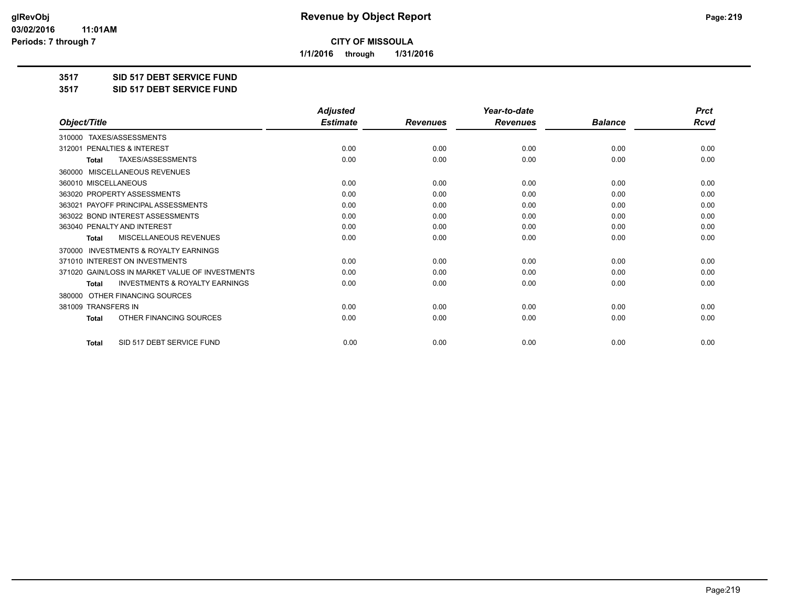**1/1/2016 through 1/31/2016**

**3517 SID 517 DEBT SERVICE FUND**

**3517 SID 517 DEBT SERVICE FUND**

|                                                           | <b>Adjusted</b> |                 | Year-to-date    |                | <b>Prct</b> |
|-----------------------------------------------------------|-----------------|-----------------|-----------------|----------------|-------------|
| Object/Title                                              | <b>Estimate</b> | <b>Revenues</b> | <b>Revenues</b> | <b>Balance</b> | <b>Rcvd</b> |
| TAXES/ASSESSMENTS<br>310000                               |                 |                 |                 |                |             |
| 312001 PENALTIES & INTEREST                               | 0.00            | 0.00            | 0.00            | 0.00           | 0.00        |
| TAXES/ASSESSMENTS<br><b>Total</b>                         | 0.00            | 0.00            | 0.00            | 0.00           | 0.00        |
| MISCELLANEOUS REVENUES<br>360000                          |                 |                 |                 |                |             |
| 360010 MISCELLANEOUS                                      | 0.00            | 0.00            | 0.00            | 0.00           | 0.00        |
| 363020 PROPERTY ASSESSMENTS                               | 0.00            | 0.00            | 0.00            | 0.00           | 0.00        |
| 363021 PAYOFF PRINCIPAL ASSESSMENTS                       | 0.00            | 0.00            | 0.00            | 0.00           | 0.00        |
| 363022 BOND INTEREST ASSESSMENTS                          | 0.00            | 0.00            | 0.00            | 0.00           | 0.00        |
| 363040 PENALTY AND INTEREST                               | 0.00            | 0.00            | 0.00            | 0.00           | 0.00        |
| <b>MISCELLANEOUS REVENUES</b><br><b>Total</b>             | 0.00            | 0.00            | 0.00            | 0.00           | 0.00        |
| <b>INVESTMENTS &amp; ROYALTY EARNINGS</b><br>370000       |                 |                 |                 |                |             |
| 371010 INTEREST ON INVESTMENTS                            | 0.00            | 0.00            | 0.00            | 0.00           | 0.00        |
| 371020 GAIN/LOSS IN MARKET VALUE OF INVESTMENTS           | 0.00            | 0.00            | 0.00            | 0.00           | 0.00        |
| <b>INVESTMENTS &amp; ROYALTY EARNINGS</b><br><b>Total</b> | 0.00            | 0.00            | 0.00            | 0.00           | 0.00        |
| OTHER FINANCING SOURCES<br>380000                         |                 |                 |                 |                |             |
| 381009 TRANSFERS IN                                       | 0.00            | 0.00            | 0.00            | 0.00           | 0.00        |
| OTHER FINANCING SOURCES<br>Total                          | 0.00            | 0.00            | 0.00            | 0.00           | 0.00        |
| SID 517 DEBT SERVICE FUND<br><b>Total</b>                 | 0.00            | 0.00            | 0.00            | 0.00           | 0.00        |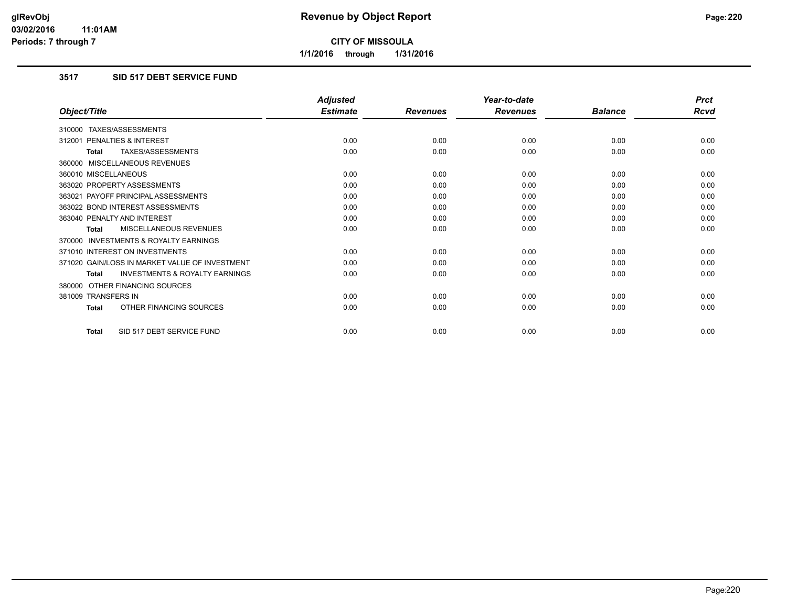**1/1/2016 through 1/31/2016**

# **3517 SID 517 DEBT SERVICE FUND**

|                                                           | <b>Adjusted</b> |                 | Year-to-date    |                | <b>Prct</b> |
|-----------------------------------------------------------|-----------------|-----------------|-----------------|----------------|-------------|
| Object/Title                                              | <b>Estimate</b> | <b>Revenues</b> | <b>Revenues</b> | <b>Balance</b> | <b>Rcvd</b> |
| 310000 TAXES/ASSESSMENTS                                  |                 |                 |                 |                |             |
| PENALTIES & INTEREST<br>312001                            | 0.00            | 0.00            | 0.00            | 0.00           | 0.00        |
| TAXES/ASSESSMENTS<br><b>Total</b>                         | 0.00            | 0.00            | 0.00            | 0.00           | 0.00        |
| 360000 MISCELLANEOUS REVENUES                             |                 |                 |                 |                |             |
| 360010 MISCELLANEOUS                                      | 0.00            | 0.00            | 0.00            | 0.00           | 0.00        |
| 363020 PROPERTY ASSESSMENTS                               | 0.00            | 0.00            | 0.00            | 0.00           | 0.00        |
| 363021 PAYOFF PRINCIPAL ASSESSMENTS                       | 0.00            | 0.00            | 0.00            | 0.00           | 0.00        |
| 363022 BOND INTEREST ASSESSMENTS                          | 0.00            | 0.00            | 0.00            | 0.00           | 0.00        |
| 363040 PENALTY AND INTEREST                               | 0.00            | 0.00            | 0.00            | 0.00           | 0.00        |
| MISCELLANEOUS REVENUES<br><b>Total</b>                    | 0.00            | 0.00            | 0.00            | 0.00           | 0.00        |
| <b>INVESTMENTS &amp; ROYALTY EARNINGS</b><br>370000       |                 |                 |                 |                |             |
| 371010 INTEREST ON INVESTMENTS                            | 0.00            | 0.00            | 0.00            | 0.00           | 0.00        |
| 371020 GAIN/LOSS IN MARKET VALUE OF INVESTMENT            | 0.00            | 0.00            | 0.00            | 0.00           | 0.00        |
| <b>INVESTMENTS &amp; ROYALTY EARNINGS</b><br><b>Total</b> | 0.00            | 0.00            | 0.00            | 0.00           | 0.00        |
| 380000 OTHER FINANCING SOURCES                            |                 |                 |                 |                |             |
| 381009 TRANSFERS IN                                       | 0.00            | 0.00            | 0.00            | 0.00           | 0.00        |
| OTHER FINANCING SOURCES<br><b>Total</b>                   | 0.00            | 0.00            | 0.00            | 0.00           | 0.00        |
| SID 517 DEBT SERVICE FUND<br><b>Total</b>                 | 0.00            | 0.00            | 0.00            | 0.00           | 0.00        |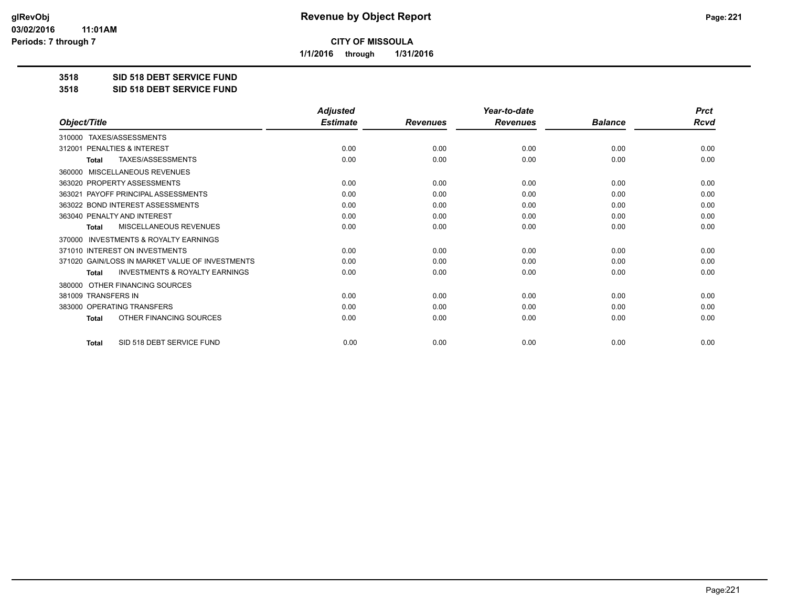**1/1/2016 through 1/31/2016**

**3518 SID 518 DEBT SERVICE FUND**

**3518 SID 518 DEBT SERVICE FUND**

|                                                           | <b>Adjusted</b> |                 | Year-to-date    |                | <b>Prct</b> |
|-----------------------------------------------------------|-----------------|-----------------|-----------------|----------------|-------------|
| Object/Title                                              | <b>Estimate</b> | <b>Revenues</b> | <b>Revenues</b> | <b>Balance</b> | <b>Rcvd</b> |
| 310000 TAXES/ASSESSMENTS                                  |                 |                 |                 |                |             |
| PENALTIES & INTEREST<br>312001                            | 0.00            | 0.00            | 0.00            | 0.00           | 0.00        |
| TAXES/ASSESSMENTS<br><b>Total</b>                         | 0.00            | 0.00            | 0.00            | 0.00           | 0.00        |
| <b>MISCELLANEOUS REVENUES</b><br>360000                   |                 |                 |                 |                |             |
| 363020 PROPERTY ASSESSMENTS                               | 0.00            | 0.00            | 0.00            | 0.00           | 0.00        |
| 363021 PAYOFF PRINCIPAL ASSESSMENTS                       | 0.00            | 0.00            | 0.00            | 0.00           | 0.00        |
| 363022 BOND INTEREST ASSESSMENTS                          | 0.00            | 0.00            | 0.00            | 0.00           | 0.00        |
| 363040 PENALTY AND INTEREST                               | 0.00            | 0.00            | 0.00            | 0.00           | 0.00        |
| <b>MISCELLANEOUS REVENUES</b><br><b>Total</b>             | 0.00            | 0.00            | 0.00            | 0.00           | 0.00        |
| <b>INVESTMENTS &amp; ROYALTY EARNINGS</b><br>370000       |                 |                 |                 |                |             |
| 371010 INTEREST ON INVESTMENTS                            | 0.00            | 0.00            | 0.00            | 0.00           | 0.00        |
| 371020 GAIN/LOSS IN MARKET VALUE OF INVESTMENTS           | 0.00            | 0.00            | 0.00            | 0.00           | 0.00        |
| <b>INVESTMENTS &amp; ROYALTY EARNINGS</b><br><b>Total</b> | 0.00            | 0.00            | 0.00            | 0.00           | 0.00        |
| OTHER FINANCING SOURCES<br>380000                         |                 |                 |                 |                |             |
| 381009 TRANSFERS IN                                       | 0.00            | 0.00            | 0.00            | 0.00           | 0.00        |
| 383000 OPERATING TRANSFERS                                | 0.00            | 0.00            | 0.00            | 0.00           | 0.00        |
| OTHER FINANCING SOURCES<br><b>Total</b>                   | 0.00            | 0.00            | 0.00            | 0.00           | 0.00        |
| SID 518 DEBT SERVICE FUND<br><b>Total</b>                 | 0.00            | 0.00            | 0.00            | 0.00           | 0.00        |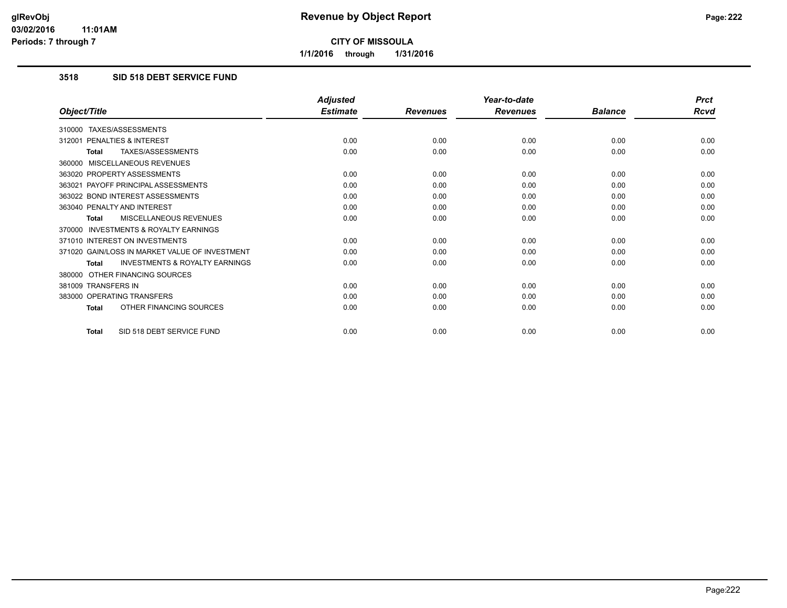**1/1/2016 through 1/31/2016**

# **3518 SID 518 DEBT SERVICE FUND**

|                                                           | <b>Adjusted</b> |                 | Year-to-date    |                | <b>Prct</b> |
|-----------------------------------------------------------|-----------------|-----------------|-----------------|----------------|-------------|
| Object/Title                                              | <b>Estimate</b> | <b>Revenues</b> | <b>Revenues</b> | <b>Balance</b> | <b>Rcvd</b> |
| 310000 TAXES/ASSESSMENTS                                  |                 |                 |                 |                |             |
| PENALTIES & INTEREST<br>312001                            | 0.00            | 0.00            | 0.00            | 0.00           | 0.00        |
| TAXES/ASSESSMENTS<br><b>Total</b>                         | 0.00            | 0.00            | 0.00            | 0.00           | 0.00        |
| 360000 MISCELLANEOUS REVENUES                             |                 |                 |                 |                |             |
| 363020 PROPERTY ASSESSMENTS                               | 0.00            | 0.00            | 0.00            | 0.00           | 0.00        |
| 363021 PAYOFF PRINCIPAL ASSESSMENTS                       | 0.00            | 0.00            | 0.00            | 0.00           | 0.00        |
| 363022 BOND INTEREST ASSESSMENTS                          | 0.00            | 0.00            | 0.00            | 0.00           | 0.00        |
| 363040 PENALTY AND INTEREST                               | 0.00            | 0.00            | 0.00            | 0.00           | 0.00        |
| MISCELLANEOUS REVENUES<br><b>Total</b>                    | 0.00            | 0.00            | 0.00            | 0.00           | 0.00        |
| <b>INVESTMENTS &amp; ROYALTY EARNINGS</b><br>370000       |                 |                 |                 |                |             |
| 371010 INTEREST ON INVESTMENTS                            | 0.00            | 0.00            | 0.00            | 0.00           | 0.00        |
| 371020 GAIN/LOSS IN MARKET VALUE OF INVESTMENT            | 0.00            | 0.00            | 0.00            | 0.00           | 0.00        |
| <b>INVESTMENTS &amp; ROYALTY EARNINGS</b><br><b>Total</b> | 0.00            | 0.00            | 0.00            | 0.00           | 0.00        |
| 380000 OTHER FINANCING SOURCES                            |                 |                 |                 |                |             |
| 381009 TRANSFERS IN                                       | 0.00            | 0.00            | 0.00            | 0.00           | 0.00        |
| 383000 OPERATING TRANSFERS                                | 0.00            | 0.00            | 0.00            | 0.00           | 0.00        |
| OTHER FINANCING SOURCES<br><b>Total</b>                   | 0.00            | 0.00            | 0.00            | 0.00           | 0.00        |
| SID 518 DEBT SERVICE FUND<br><b>Total</b>                 | 0.00            | 0.00            | 0.00            | 0.00           | 0.00        |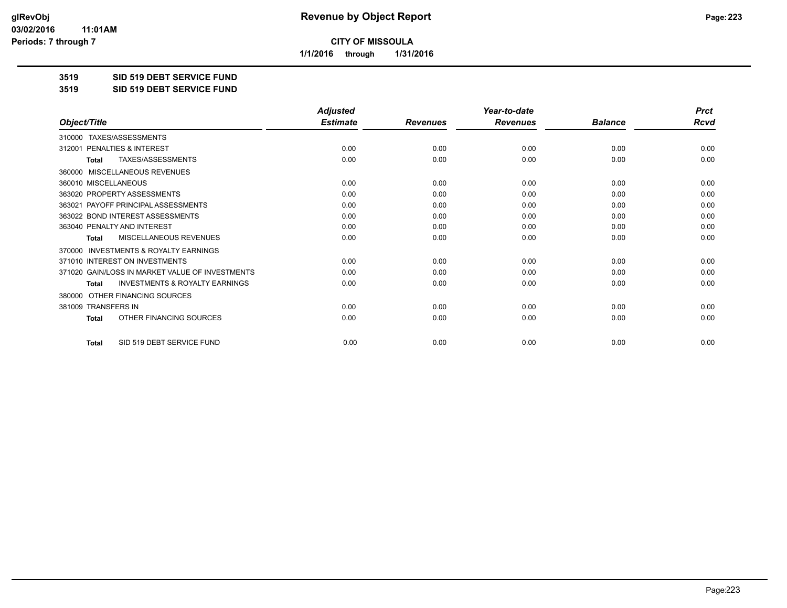**1/1/2016 through 1/31/2016**

**3519 SID 519 DEBT SERVICE FUND**

**3519 SID 519 DEBT SERVICE FUND**

|                                                           | <b>Adjusted</b> |                 | Year-to-date    |                | <b>Prct</b> |
|-----------------------------------------------------------|-----------------|-----------------|-----------------|----------------|-------------|
| Object/Title                                              | <b>Estimate</b> | <b>Revenues</b> | <b>Revenues</b> | <b>Balance</b> | <b>Rcvd</b> |
| TAXES/ASSESSMENTS<br>310000                               |                 |                 |                 |                |             |
| PENALTIES & INTEREST<br>312001                            | 0.00            | 0.00            | 0.00            | 0.00           | 0.00        |
| TAXES/ASSESSMENTS<br><b>Total</b>                         | 0.00            | 0.00            | 0.00            | 0.00           | 0.00        |
| <b>MISCELLANEOUS REVENUES</b><br>360000                   |                 |                 |                 |                |             |
| 360010 MISCELLANEOUS                                      | 0.00            | 0.00            | 0.00            | 0.00           | 0.00        |
| 363020 PROPERTY ASSESSMENTS                               | 0.00            | 0.00            | 0.00            | 0.00           | 0.00        |
| 363021 PAYOFF PRINCIPAL ASSESSMENTS                       | 0.00            | 0.00            | 0.00            | 0.00           | 0.00        |
| 363022 BOND INTEREST ASSESSMENTS                          | 0.00            | 0.00            | 0.00            | 0.00           | 0.00        |
| 363040 PENALTY AND INTEREST                               | 0.00            | 0.00            | 0.00            | 0.00           | 0.00        |
| MISCELLANEOUS REVENUES<br><b>Total</b>                    | 0.00            | 0.00            | 0.00            | 0.00           | 0.00        |
| <b>INVESTMENTS &amp; ROYALTY EARNINGS</b><br>370000       |                 |                 |                 |                |             |
| 371010 INTEREST ON INVESTMENTS                            | 0.00            | 0.00            | 0.00            | 0.00           | 0.00        |
| 371020 GAIN/LOSS IN MARKET VALUE OF INVESTMENTS           | 0.00            | 0.00            | 0.00            | 0.00           | 0.00        |
| <b>INVESTMENTS &amp; ROYALTY EARNINGS</b><br><b>Total</b> | 0.00            | 0.00            | 0.00            | 0.00           | 0.00        |
| OTHER FINANCING SOURCES<br>380000                         |                 |                 |                 |                |             |
| 381009 TRANSFERS IN                                       | 0.00            | 0.00            | 0.00            | 0.00           | 0.00        |
| OTHER FINANCING SOURCES<br><b>Total</b>                   | 0.00            | 0.00            | 0.00            | 0.00           | 0.00        |
| SID 519 DEBT SERVICE FUND<br><b>Total</b>                 | 0.00            | 0.00            | 0.00            | 0.00           | 0.00        |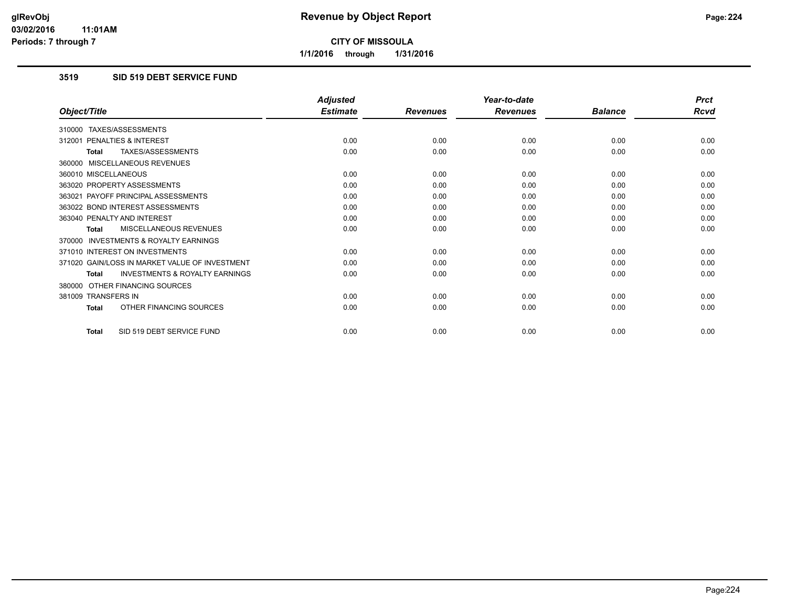**1/1/2016 through 1/31/2016**

# **3519 SID 519 DEBT SERVICE FUND**

|                                                           | <b>Adjusted</b> |                 | Year-to-date    |                | <b>Prct</b> |
|-----------------------------------------------------------|-----------------|-----------------|-----------------|----------------|-------------|
| Object/Title                                              | <b>Estimate</b> | <b>Revenues</b> | <b>Revenues</b> | <b>Balance</b> | <b>Rcvd</b> |
| 310000 TAXES/ASSESSMENTS                                  |                 |                 |                 |                |             |
| 312001 PENALTIES & INTEREST                               | 0.00            | 0.00            | 0.00            | 0.00           | 0.00        |
| TAXES/ASSESSMENTS<br><b>Total</b>                         | 0.00            | 0.00            | 0.00            | 0.00           | 0.00        |
| 360000 MISCELLANEOUS REVENUES                             |                 |                 |                 |                |             |
| 360010 MISCELLANEOUS                                      | 0.00            | 0.00            | 0.00            | 0.00           | 0.00        |
| 363020 PROPERTY ASSESSMENTS                               | 0.00            | 0.00            | 0.00            | 0.00           | 0.00        |
| 363021 PAYOFF PRINCIPAL ASSESSMENTS                       | 0.00            | 0.00            | 0.00            | 0.00           | 0.00        |
| 363022 BOND INTEREST ASSESSMENTS                          | 0.00            | 0.00            | 0.00            | 0.00           | 0.00        |
| 363040 PENALTY AND INTEREST                               | 0.00            | 0.00            | 0.00            | 0.00           | 0.00        |
| MISCELLANEOUS REVENUES<br><b>Total</b>                    | 0.00            | 0.00            | 0.00            | 0.00           | 0.00        |
| <b>INVESTMENTS &amp; ROYALTY EARNINGS</b><br>370000       |                 |                 |                 |                |             |
| 371010 INTEREST ON INVESTMENTS                            | 0.00            | 0.00            | 0.00            | 0.00           | 0.00        |
| 371020 GAIN/LOSS IN MARKET VALUE OF INVESTMENT            | 0.00            | 0.00            | 0.00            | 0.00           | 0.00        |
| <b>INVESTMENTS &amp; ROYALTY EARNINGS</b><br><b>Total</b> | 0.00            | 0.00            | 0.00            | 0.00           | 0.00        |
| 380000 OTHER FINANCING SOURCES                            |                 |                 |                 |                |             |
| 381009 TRANSFERS IN                                       | 0.00            | 0.00            | 0.00            | 0.00           | 0.00        |
| OTHER FINANCING SOURCES<br><b>Total</b>                   | 0.00            | 0.00            | 0.00            | 0.00           | 0.00        |
| SID 519 DEBT SERVICE FUND<br><b>Total</b>                 | 0.00            | 0.00            | 0.00            | 0.00           | 0.00        |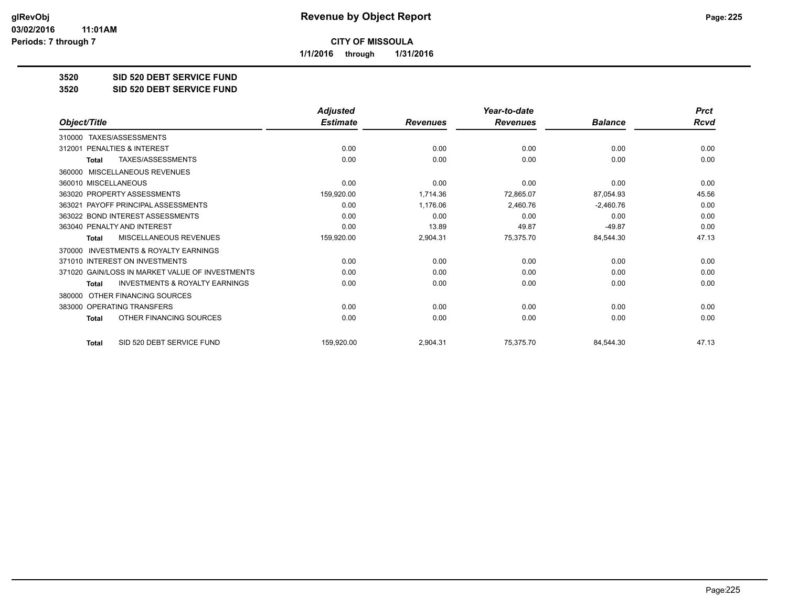**1/1/2016 through 1/31/2016**

**3520 SID 520 DEBT SERVICE FUND**

**3520 SID 520 DEBT SERVICE FUND**

|                                                           | <b>Adjusted</b> |                 | Year-to-date    |                | <b>Prct</b> |
|-----------------------------------------------------------|-----------------|-----------------|-----------------|----------------|-------------|
| Object/Title                                              | <b>Estimate</b> | <b>Revenues</b> | <b>Revenues</b> | <b>Balance</b> | <b>Rcvd</b> |
| TAXES/ASSESSMENTS<br>310000                               |                 |                 |                 |                |             |
| 312001 PENALTIES & INTEREST                               | 0.00            | 0.00            | 0.00            | 0.00           | 0.00        |
| TAXES/ASSESSMENTS<br><b>Total</b>                         | 0.00            | 0.00            | 0.00            | 0.00           | 0.00        |
| MISCELLANEOUS REVENUES<br>360000                          |                 |                 |                 |                |             |
| 360010 MISCELLANEOUS                                      | 0.00            | 0.00            | 0.00            | 0.00           | 0.00        |
| 363020 PROPERTY ASSESSMENTS                               | 159,920.00      | 1,714.36        | 72,865.07       | 87,054.93      | 45.56       |
| 363021 PAYOFF PRINCIPAL ASSESSMENTS                       | 0.00            | 1,176.06        | 2,460.76        | $-2,460.76$    | 0.00        |
| 363022 BOND INTEREST ASSESSMENTS                          | 0.00            | 0.00            | 0.00            | 0.00           | 0.00        |
| 363040 PENALTY AND INTEREST                               | 0.00            | 13.89           | 49.87           | $-49.87$       | 0.00        |
| <b>MISCELLANEOUS REVENUES</b><br><b>Total</b>             | 159,920.00      | 2,904.31        | 75,375.70       | 84,544.30      | 47.13       |
| <b>INVESTMENTS &amp; ROYALTY EARNINGS</b><br>370000       |                 |                 |                 |                |             |
| 371010 INTEREST ON INVESTMENTS                            | 0.00            | 0.00            | 0.00            | 0.00           | 0.00        |
| 371020 GAIN/LOSS IN MARKET VALUE OF INVESTMENTS           | 0.00            | 0.00            | 0.00            | 0.00           | 0.00        |
| <b>INVESTMENTS &amp; ROYALTY EARNINGS</b><br><b>Total</b> | 0.00            | 0.00            | 0.00            | 0.00           | 0.00        |
| OTHER FINANCING SOURCES<br>380000                         |                 |                 |                 |                |             |
| 383000 OPERATING TRANSFERS                                | 0.00            | 0.00            | 0.00            | 0.00           | 0.00        |
| OTHER FINANCING SOURCES<br><b>Total</b>                   | 0.00            | 0.00            | 0.00            | 0.00           | 0.00        |
| SID 520 DEBT SERVICE FUND<br><b>Total</b>                 | 159,920.00      | 2,904.31        | 75,375.70       | 84,544.30      | 47.13       |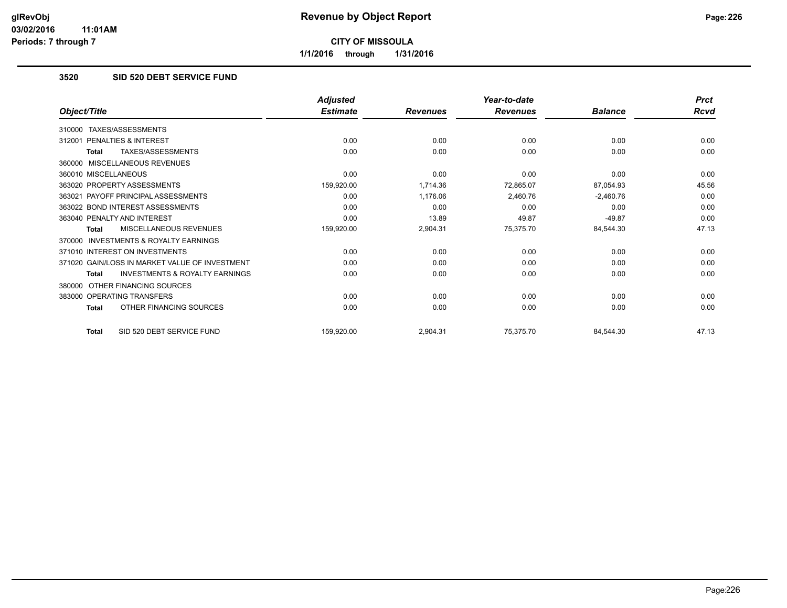**1/1/2016 through 1/31/2016**

# **3520 SID 520 DEBT SERVICE FUND**

|                                                           | <b>Adjusted</b> |                 | Year-to-date    |                | <b>Prct</b> |
|-----------------------------------------------------------|-----------------|-----------------|-----------------|----------------|-------------|
| Object/Title                                              | <b>Estimate</b> | <b>Revenues</b> | <b>Revenues</b> | <b>Balance</b> | <b>Rcvd</b> |
| TAXES/ASSESSMENTS<br>310000                               |                 |                 |                 |                |             |
| PENALTIES & INTEREST<br>312001                            | 0.00            | 0.00            | 0.00            | 0.00           | 0.00        |
| TAXES/ASSESSMENTS<br><b>Total</b>                         | 0.00            | 0.00            | 0.00            | 0.00           | 0.00        |
| MISCELLANEOUS REVENUES<br>360000                          |                 |                 |                 |                |             |
| 360010 MISCELLANEOUS                                      | 0.00            | 0.00            | 0.00            | 0.00           | 0.00        |
| 363020 PROPERTY ASSESSMENTS                               | 159,920.00      | 1,714.36        | 72,865.07       | 87,054.93      | 45.56       |
| PAYOFF PRINCIPAL ASSESSMENTS<br>363021                    | 0.00            | 1,176.06        | 2,460.76        | $-2,460.76$    | 0.00        |
| 363022 BOND INTEREST ASSESSMENTS                          | 0.00            | 0.00            | 0.00            | 0.00           | 0.00        |
| 363040 PENALTY AND INTEREST                               | 0.00            | 13.89           | 49.87           | $-49.87$       | 0.00        |
| MISCELLANEOUS REVENUES<br><b>Total</b>                    | 159,920.00      | 2,904.31        | 75,375.70       | 84,544.30      | 47.13       |
| <b>INVESTMENTS &amp; ROYALTY EARNINGS</b><br>370000       |                 |                 |                 |                |             |
| 371010 INTEREST ON INVESTMENTS                            | 0.00            | 0.00            | 0.00            | 0.00           | 0.00        |
| 371020 GAIN/LOSS IN MARKET VALUE OF INVESTMENT            | 0.00            | 0.00            | 0.00            | 0.00           | 0.00        |
| <b>INVESTMENTS &amp; ROYALTY EARNINGS</b><br><b>Total</b> | 0.00            | 0.00            | 0.00            | 0.00           | 0.00        |
| OTHER FINANCING SOURCES<br>380000                         |                 |                 |                 |                |             |
| 383000 OPERATING TRANSFERS                                | 0.00            | 0.00            | 0.00            | 0.00           | 0.00        |
| OTHER FINANCING SOURCES<br><b>Total</b>                   | 0.00            | 0.00            | 0.00            | 0.00           | 0.00        |
| SID 520 DEBT SERVICE FUND<br><b>Total</b>                 | 159,920.00      | 2,904.31        | 75,375.70       | 84,544.30      | 47.13       |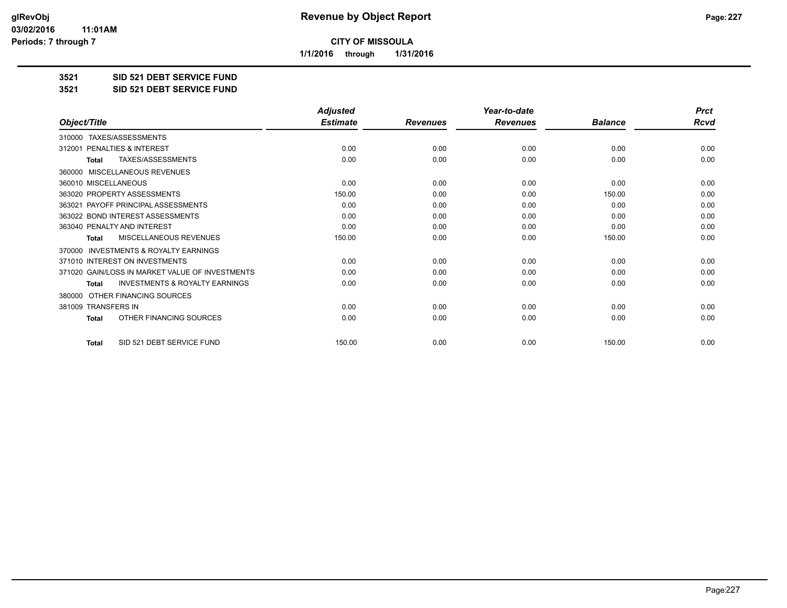**1/1/2016 through 1/31/2016**

**3521 SID 521 DEBT SERVICE FUND**

**3521 SID 521 DEBT SERVICE FUND**

|                                                           | <b>Adjusted</b> |                 | Year-to-date    |                | <b>Prct</b> |
|-----------------------------------------------------------|-----------------|-----------------|-----------------|----------------|-------------|
| Object/Title                                              | <b>Estimate</b> | <b>Revenues</b> | <b>Revenues</b> | <b>Balance</b> | <b>Rcvd</b> |
| TAXES/ASSESSMENTS<br>310000                               |                 |                 |                 |                |             |
| 312001 PENALTIES & INTEREST                               | 0.00            | 0.00            | 0.00            | 0.00           | 0.00        |
| TAXES/ASSESSMENTS<br><b>Total</b>                         | 0.00            | 0.00            | 0.00            | 0.00           | 0.00        |
| MISCELLANEOUS REVENUES<br>360000                          |                 |                 |                 |                |             |
| 360010 MISCELLANEOUS                                      | 0.00            | 0.00            | 0.00            | 0.00           | 0.00        |
| 363020 PROPERTY ASSESSMENTS                               | 150.00          | 0.00            | 0.00            | 150.00         | 0.00        |
| 363021 PAYOFF PRINCIPAL ASSESSMENTS                       | 0.00            | 0.00            | 0.00            | 0.00           | 0.00        |
| 363022 BOND INTEREST ASSESSMENTS                          | 0.00            | 0.00            | 0.00            | 0.00           | 0.00        |
| 363040 PENALTY AND INTEREST                               | 0.00            | 0.00            | 0.00            | 0.00           | 0.00        |
| <b>MISCELLANEOUS REVENUES</b><br><b>Total</b>             | 150.00          | 0.00            | 0.00            | 150.00         | 0.00        |
| <b>INVESTMENTS &amp; ROYALTY EARNINGS</b><br>370000       |                 |                 |                 |                |             |
| 371010 INTEREST ON INVESTMENTS                            | 0.00            | 0.00            | 0.00            | 0.00           | 0.00        |
| 371020 GAIN/LOSS IN MARKET VALUE OF INVESTMENTS           | 0.00            | 0.00            | 0.00            | 0.00           | 0.00        |
| <b>INVESTMENTS &amp; ROYALTY EARNINGS</b><br><b>Total</b> | 0.00            | 0.00            | 0.00            | 0.00           | 0.00        |
| OTHER FINANCING SOURCES<br>380000                         |                 |                 |                 |                |             |
| 381009 TRANSFERS IN                                       | 0.00            | 0.00            | 0.00            | 0.00           | 0.00        |
| OTHER FINANCING SOURCES<br>Total                          | 0.00            | 0.00            | 0.00            | 0.00           | 0.00        |
| SID 521 DEBT SERVICE FUND<br><b>Total</b>                 | 150.00          | 0.00            | 0.00            | 150.00         | 0.00        |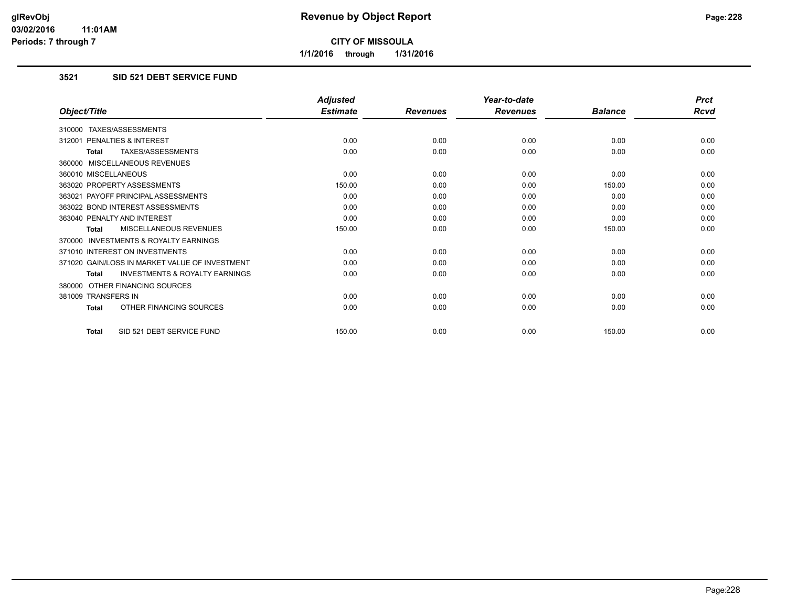**1/1/2016 through 1/31/2016**

# **3521 SID 521 DEBT SERVICE FUND**

|                                                           | <b>Adjusted</b> |                 | Year-to-date    |                | <b>Prct</b> |
|-----------------------------------------------------------|-----------------|-----------------|-----------------|----------------|-------------|
| Object/Title                                              | <b>Estimate</b> | <b>Revenues</b> | <b>Revenues</b> | <b>Balance</b> | Rcvd        |
| 310000 TAXES/ASSESSMENTS                                  |                 |                 |                 |                |             |
| 312001 PENALTIES & INTEREST                               | 0.00            | 0.00            | 0.00            | 0.00           | 0.00        |
| <b>TAXES/ASSESSMENTS</b><br><b>Total</b>                  | 0.00            | 0.00            | 0.00            | 0.00           | 0.00        |
| 360000 MISCELLANEOUS REVENUES                             |                 |                 |                 |                |             |
| 360010 MISCELLANEOUS                                      | 0.00            | 0.00            | 0.00            | 0.00           | 0.00        |
| 363020 PROPERTY ASSESSMENTS                               | 150.00          | 0.00            | 0.00            | 150.00         | 0.00        |
| 363021 PAYOFF PRINCIPAL ASSESSMENTS                       | 0.00            | 0.00            | 0.00            | 0.00           | 0.00        |
| 363022 BOND INTEREST ASSESSMENTS                          | 0.00            | 0.00            | 0.00            | 0.00           | 0.00        |
| 363040 PENALTY AND INTEREST                               | 0.00            | 0.00            | 0.00            | 0.00           | 0.00        |
| <b>MISCELLANEOUS REVENUES</b><br><b>Total</b>             | 150.00          | 0.00            | 0.00            | 150.00         | 0.00        |
| <b>INVESTMENTS &amp; ROYALTY EARNINGS</b><br>370000       |                 |                 |                 |                |             |
| 371010 INTEREST ON INVESTMENTS                            | 0.00            | 0.00            | 0.00            | 0.00           | 0.00        |
| 371020 GAIN/LOSS IN MARKET VALUE OF INVESTMENT            | 0.00            | 0.00            | 0.00            | 0.00           | 0.00        |
| <b>INVESTMENTS &amp; ROYALTY EARNINGS</b><br><b>Total</b> | 0.00            | 0.00            | 0.00            | 0.00           | 0.00        |
| 380000 OTHER FINANCING SOURCES                            |                 |                 |                 |                |             |
| 381009 TRANSFERS IN                                       | 0.00            | 0.00            | 0.00            | 0.00           | 0.00        |
| OTHER FINANCING SOURCES<br><b>Total</b>                   | 0.00            | 0.00            | 0.00            | 0.00           | 0.00        |
| SID 521 DEBT SERVICE FUND<br>Total                        | 150.00          | 0.00            | 0.00            | 150.00         | 0.00        |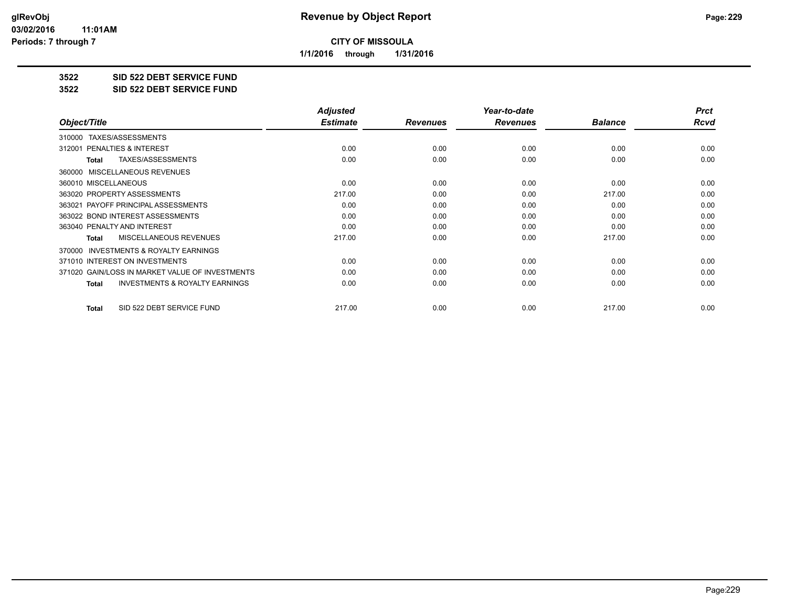**1/1/2016 through 1/31/2016**

**3522 SID 522 DEBT SERVICE FUND**

**3522 SID 522 DEBT SERVICE FUND**

|                                                           | <b>Adjusted</b> |                 | Year-to-date    |                | <b>Prct</b> |
|-----------------------------------------------------------|-----------------|-----------------|-----------------|----------------|-------------|
| Object/Title                                              | <b>Estimate</b> | <b>Revenues</b> | <b>Revenues</b> | <b>Balance</b> | Rcvd        |
| TAXES/ASSESSMENTS<br>310000                               |                 |                 |                 |                |             |
| 312001 PENALTIES & INTEREST                               | 0.00            | 0.00            | 0.00            | 0.00           | 0.00        |
| TAXES/ASSESSMENTS<br>Total                                | 0.00            | 0.00            | 0.00            | 0.00           | 0.00        |
| MISCELLANEOUS REVENUES<br>360000                          |                 |                 |                 |                |             |
| 360010 MISCELLANEOUS                                      | 0.00            | 0.00            | 0.00            | 0.00           | 0.00        |
| 363020 PROPERTY ASSESSMENTS                               | 217.00          | 0.00            | 0.00            | 217.00         | 0.00        |
| 363021 PAYOFF PRINCIPAL ASSESSMENTS                       | 0.00            | 0.00            | 0.00            | 0.00           | 0.00        |
| 363022 BOND INTEREST ASSESSMENTS                          | 0.00            | 0.00            | 0.00            | 0.00           | 0.00        |
| 363040 PENALTY AND INTEREST                               | 0.00            | 0.00            | 0.00            | 0.00           | 0.00        |
| <b>MISCELLANEOUS REVENUES</b><br><b>Total</b>             | 217.00          | 0.00            | 0.00            | 217.00         | 0.00        |
| 370000 INVESTMENTS & ROYALTY EARNINGS                     |                 |                 |                 |                |             |
| 371010 INTEREST ON INVESTMENTS                            | 0.00            | 0.00            | 0.00            | 0.00           | 0.00        |
| 371020 GAIN/LOSS IN MARKET VALUE OF INVESTMENTS           | 0.00            | 0.00            | 0.00            | 0.00           | 0.00        |
| <b>INVESTMENTS &amp; ROYALTY EARNINGS</b><br><b>Total</b> | 0.00            | 0.00            | 0.00            | 0.00           | 0.00        |
| SID 522 DEBT SERVICE FUND<br><b>Total</b>                 | 217.00          | 0.00            | 0.00            | 217.00         | 0.00        |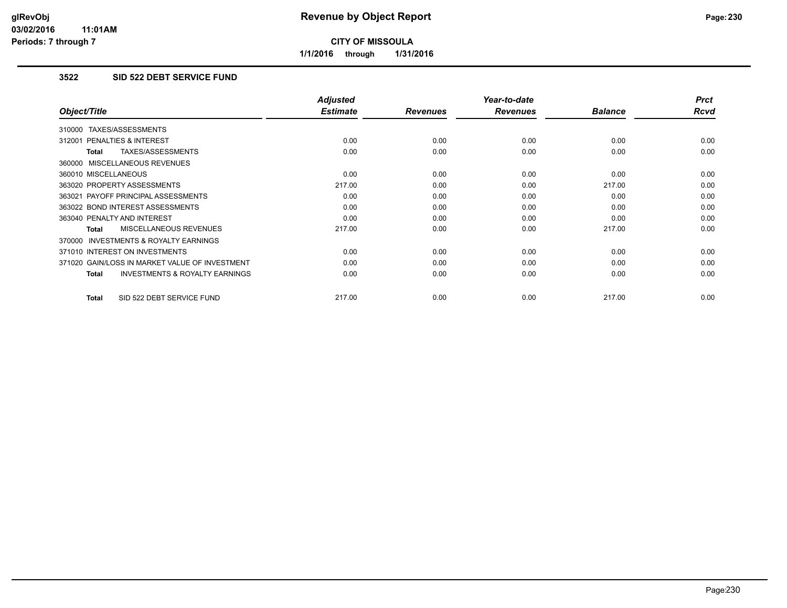**1/1/2016 through 1/31/2016**

# **3522 SID 522 DEBT SERVICE FUND**

|                                                           | <b>Adjusted</b> |                 | Year-to-date    |                | <b>Prct</b> |
|-----------------------------------------------------------|-----------------|-----------------|-----------------|----------------|-------------|
| Object/Title                                              | <b>Estimate</b> | <b>Revenues</b> | <b>Revenues</b> | <b>Balance</b> | <b>Rcvd</b> |
| 310000 TAXES/ASSESSMENTS                                  |                 |                 |                 |                |             |
| 312001 PENALTIES & INTEREST                               | 0.00            | 0.00            | 0.00            | 0.00           | 0.00        |
| <b>TAXES/ASSESSMENTS</b><br><b>Total</b>                  | 0.00            | 0.00            | 0.00            | 0.00           | 0.00        |
| 360000 MISCELLANEOUS REVENUES                             |                 |                 |                 |                |             |
| 360010 MISCELLANEOUS                                      | 0.00            | 0.00            | 0.00            | 0.00           | 0.00        |
| 363020 PROPERTY ASSESSMENTS                               | 217.00          | 0.00            | 0.00            | 217.00         | 0.00        |
| 363021 PAYOFF PRINCIPAL ASSESSMENTS                       | 0.00            | 0.00            | 0.00            | 0.00           | 0.00        |
| 363022 BOND INTEREST ASSESSMENTS                          | 0.00            | 0.00            | 0.00            | 0.00           | 0.00        |
| 363040 PENALTY AND INTEREST                               | 0.00            | 0.00            | 0.00            | 0.00           | 0.00        |
| MISCELLANEOUS REVENUES<br><b>Total</b>                    | 217.00          | 0.00            | 0.00            | 217.00         | 0.00        |
| <b>INVESTMENTS &amp; ROYALTY EARNINGS</b><br>370000       |                 |                 |                 |                |             |
| 371010 INTEREST ON INVESTMENTS                            | 0.00            | 0.00            | 0.00            | 0.00           | 0.00        |
| 371020 GAIN/LOSS IN MARKET VALUE OF INVESTMENT            | 0.00            | 0.00            | 0.00            | 0.00           | 0.00        |
| <b>INVESTMENTS &amp; ROYALTY EARNINGS</b><br><b>Total</b> | 0.00            | 0.00            | 0.00            | 0.00           | 0.00        |
| SID 522 DEBT SERVICE FUND<br><b>Total</b>                 | 217.00          | 0.00            | 0.00            | 217.00         | 0.00        |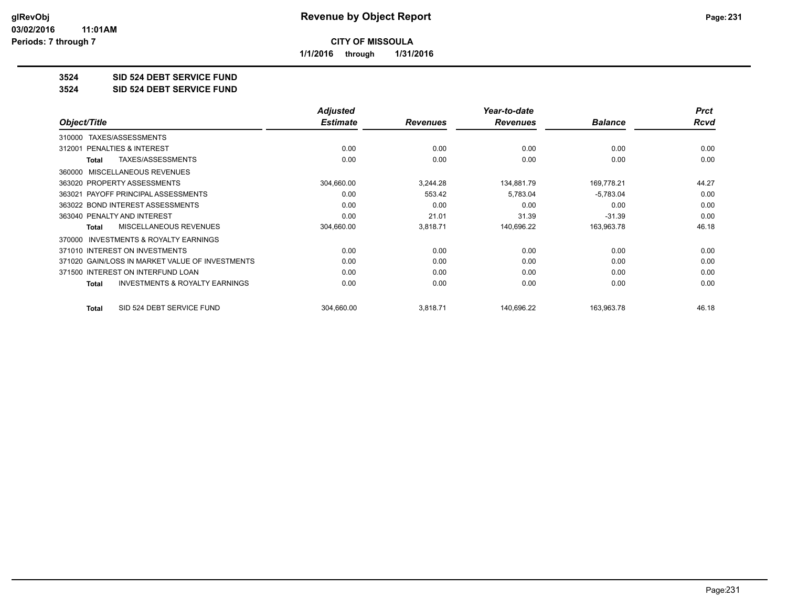**1/1/2016 through 1/31/2016**

**3524 SID 524 DEBT SERVICE FUND**

**3524 SID 524 DEBT SERVICE FUND**

|                                                           | <b>Adjusted</b> |                 | Year-to-date    |                | <b>Prct</b> |
|-----------------------------------------------------------|-----------------|-----------------|-----------------|----------------|-------------|
| Object/Title                                              | <b>Estimate</b> | <b>Revenues</b> | <b>Revenues</b> | <b>Balance</b> | Rcvd        |
| TAXES/ASSESSMENTS<br>310000                               |                 |                 |                 |                |             |
| 312001 PENALTIES & INTEREST                               | 0.00            | 0.00            | 0.00            | 0.00           | 0.00        |
| TAXES/ASSESSMENTS<br>Total                                | 0.00            | 0.00            | 0.00            | 0.00           | 0.00        |
| MISCELLANEOUS REVENUES<br>360000                          |                 |                 |                 |                |             |
| 363020 PROPERTY ASSESSMENTS                               | 304,660.00      | 3,244.28        | 134,881.79      | 169,778.21     | 44.27       |
| 363021 PAYOFF PRINCIPAL ASSESSMENTS                       | 0.00            | 553.42          | 5,783.04        | $-5,783.04$    | 0.00        |
| 363022 BOND INTEREST ASSESSMENTS                          | 0.00            | 0.00            | 0.00            | 0.00           | 0.00        |
| 363040 PENALTY AND INTEREST                               | 0.00            | 21.01           | 31.39           | $-31.39$       | 0.00        |
| MISCELLANEOUS REVENUES<br>Total                           | 304,660.00      | 3,818.71        | 140,696.22      | 163,963.78     | 46.18       |
| <b>INVESTMENTS &amp; ROYALTY EARNINGS</b><br>370000       |                 |                 |                 |                |             |
| 371010 INTEREST ON INVESTMENTS                            | 0.00            | 0.00            | 0.00            | 0.00           | 0.00        |
| 371020 GAIN/LOSS IN MARKET VALUE OF INVESTMENTS           | 0.00            | 0.00            | 0.00            | 0.00           | 0.00        |
| 371500 INTEREST ON INTERFUND LOAN                         | 0.00            | 0.00            | 0.00            | 0.00           | 0.00        |
| <b>INVESTMENTS &amp; ROYALTY EARNINGS</b><br><b>Total</b> | 0.00            | 0.00            | 0.00            | 0.00           | 0.00        |
| SID 524 DEBT SERVICE FUND<br><b>Total</b>                 | 304,660.00      | 3,818.71        | 140,696.22      | 163,963.78     | 46.18       |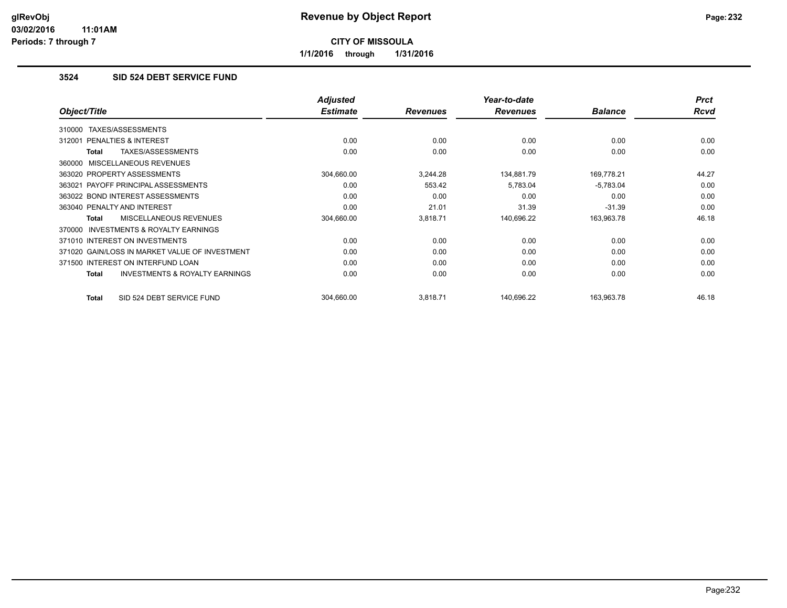**1/1/2016 through 1/31/2016**

# **3524 SID 524 DEBT SERVICE FUND**

|                                                     | <b>Adjusted</b> |                 | Year-to-date    |                | <b>Prct</b> |
|-----------------------------------------------------|-----------------|-----------------|-----------------|----------------|-------------|
| Object/Title                                        | <b>Estimate</b> | <b>Revenues</b> | <b>Revenues</b> | <b>Balance</b> | Rcvd        |
| 310000 TAXES/ASSESSMENTS                            |                 |                 |                 |                |             |
| 312001 PENALTIES & INTEREST                         | 0.00            | 0.00            | 0.00            | 0.00           | 0.00        |
| TAXES/ASSESSMENTS<br>Total                          | 0.00            | 0.00            | 0.00            | 0.00           | 0.00        |
| 360000 MISCELLANEOUS REVENUES                       |                 |                 |                 |                |             |
| 363020 PROPERTY ASSESSMENTS                         | 304,660.00      | 3,244.28        | 134,881.79      | 169,778.21     | 44.27       |
| 363021 PAYOFF PRINCIPAL ASSESSMENTS                 | 0.00            | 553.42          | 5,783.04        | $-5,783.04$    | 0.00        |
| 363022 BOND INTEREST ASSESSMENTS                    | 0.00            | 0.00            | 0.00            | 0.00           | 0.00        |
| 363040 PENALTY AND INTEREST                         | 0.00            | 21.01           | 31.39           | $-31.39$       | 0.00        |
| <b>MISCELLANEOUS REVENUES</b><br><b>Total</b>       | 304,660.00      | 3,818.71        | 140,696.22      | 163,963.78     | 46.18       |
| <b>INVESTMENTS &amp; ROYALTY EARNINGS</b><br>370000 |                 |                 |                 |                |             |
| 371010 INTEREST ON INVESTMENTS                      | 0.00            | 0.00            | 0.00            | 0.00           | 0.00        |
| 371020 GAIN/LOSS IN MARKET VALUE OF INVESTMENT      | 0.00            | 0.00            | 0.00            | 0.00           | 0.00        |
| 371500 INTEREST ON INTERFUND LOAN                   | 0.00            | 0.00            | 0.00            | 0.00           | 0.00        |
| <b>INVESTMENTS &amp; ROYALTY EARNINGS</b><br>Total  | 0.00            | 0.00            | 0.00            | 0.00           | 0.00        |
| SID 524 DEBT SERVICE FUND<br>Total                  | 304.660.00      | 3.818.71        | 140,696.22      | 163.963.78     | 46.18       |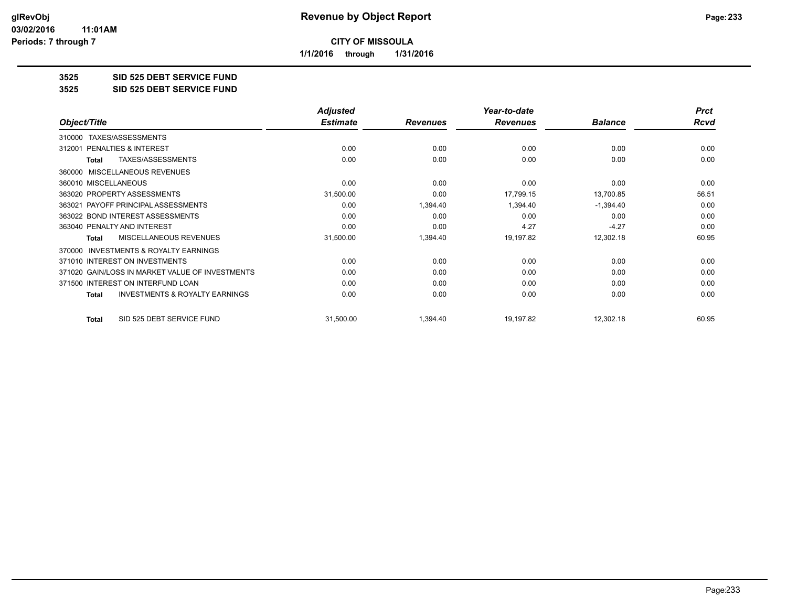**1/1/2016 through 1/31/2016**

**3525 SID 525 DEBT SERVICE FUND**

**3525 SID 525 DEBT SERVICE FUND**

|                                                     | <b>Adjusted</b> |                 | Year-to-date    |                | <b>Prct</b> |
|-----------------------------------------------------|-----------------|-----------------|-----------------|----------------|-------------|
| Object/Title                                        | <b>Estimate</b> | <b>Revenues</b> | <b>Revenues</b> | <b>Balance</b> | <b>Rcvd</b> |
| TAXES/ASSESSMENTS<br>310000                         |                 |                 |                 |                |             |
| PENALTIES & INTEREST<br>312001                      | 0.00            | 0.00            | 0.00            | 0.00           | 0.00        |
| TAXES/ASSESSMENTS<br><b>Total</b>                   | 0.00            | 0.00            | 0.00            | 0.00           | 0.00        |
| <b>MISCELLANEOUS REVENUES</b><br>360000             |                 |                 |                 |                |             |
| 360010 MISCELLANEOUS                                | 0.00            | 0.00            | 0.00            | 0.00           | 0.00        |
| 363020 PROPERTY ASSESSMENTS                         | 31,500.00       | 0.00            | 17,799.15       | 13,700.85      | 56.51       |
| 363021 PAYOFF PRINCIPAL ASSESSMENTS                 | 0.00            | 1,394.40        | 1,394.40        | $-1,394.40$    | 0.00        |
| 363022 BOND INTEREST ASSESSMENTS                    | 0.00            | 0.00            | 0.00            | 0.00           | 0.00        |
| 363040 PENALTY AND INTEREST                         | 0.00            | 0.00            | 4.27            | $-4.27$        | 0.00        |
| MISCELLANEOUS REVENUES<br><b>Total</b>              | 31,500.00       | 1,394.40        | 19,197.82       | 12,302.18      | 60.95       |
| <b>INVESTMENTS &amp; ROYALTY EARNINGS</b><br>370000 |                 |                 |                 |                |             |
| 371010 INTEREST ON INVESTMENTS                      | 0.00            | 0.00            | 0.00            | 0.00           | 0.00        |
| 371020 GAIN/LOSS IN MARKET VALUE OF INVESTMENTS     | 0.00            | 0.00            | 0.00            | 0.00           | 0.00        |
| 371500 INTEREST ON INTERFUND LOAN                   | 0.00            | 0.00            | 0.00            | 0.00           | 0.00        |
| <b>INVESTMENTS &amp; ROYALTY EARNINGS</b><br>Total  | 0.00            | 0.00            | 0.00            | 0.00           | 0.00        |
| SID 525 DEBT SERVICE FUND<br><b>Total</b>           | 31,500.00       | 1,394.40        | 19,197.82       | 12,302.18      | 60.95       |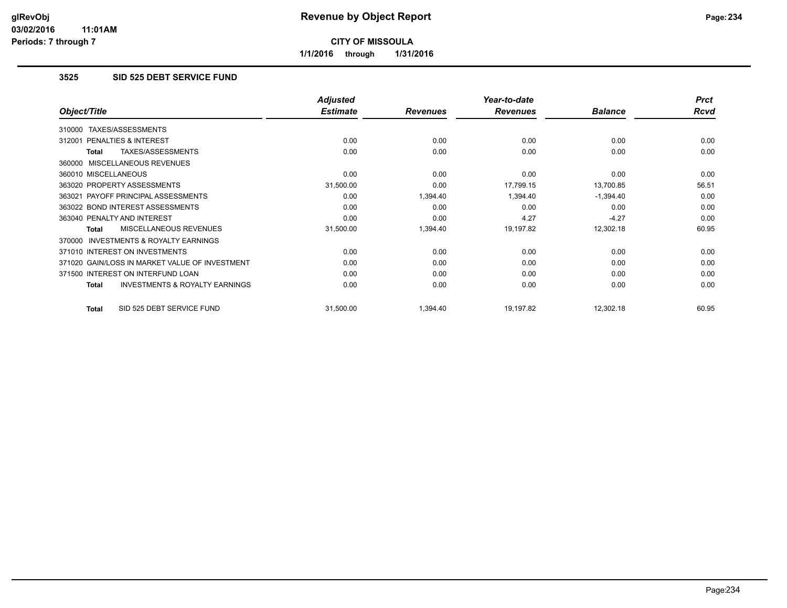**1/1/2016 through 1/31/2016**

# **3525 SID 525 DEBT SERVICE FUND**

|                                                    | <b>Adjusted</b> |                 | Year-to-date    |                | <b>Prct</b> |
|----------------------------------------------------|-----------------|-----------------|-----------------|----------------|-------------|
| Object/Title                                       | <b>Estimate</b> | <b>Revenues</b> | <b>Revenues</b> | <b>Balance</b> | Rcvd        |
| TAXES/ASSESSMENTS<br>310000                        |                 |                 |                 |                |             |
| 312001 PENALTIES & INTEREST                        | 0.00            | 0.00            | 0.00            | 0.00           | 0.00        |
| TAXES/ASSESSMENTS<br>Total                         | 0.00            | 0.00            | 0.00            | 0.00           | 0.00        |
| 360000 MISCELLANEOUS REVENUES                      |                 |                 |                 |                |             |
| 360010 MISCELLANEOUS                               | 0.00            | 0.00            | 0.00            | 0.00           | 0.00        |
| 363020 PROPERTY ASSESSMENTS                        | 31,500.00       | 0.00            | 17,799.15       | 13,700.85      | 56.51       |
| 363021 PAYOFF PRINCIPAL ASSESSMENTS                | 0.00            | 1,394.40        | 1,394.40        | $-1,394.40$    | 0.00        |
| 363022 BOND INTEREST ASSESSMENTS                   | 0.00            | 0.00            | 0.00            | 0.00           | 0.00        |
| 363040 PENALTY AND INTEREST                        | 0.00            | 0.00            | 4.27            | $-4.27$        | 0.00        |
| MISCELLANEOUS REVENUES<br>Total                    | 31,500.00       | 1,394.40        | 19,197.82       | 12,302.18      | 60.95       |
| 370000 INVESTMENTS & ROYALTY EARNINGS              |                 |                 |                 |                |             |
| 371010 INTEREST ON INVESTMENTS                     | 0.00            | 0.00            | 0.00            | 0.00           | 0.00        |
| 371020 GAIN/LOSS IN MARKET VALUE OF INVESTMENT     | 0.00            | 0.00            | 0.00            | 0.00           | 0.00        |
| 371500 INTEREST ON INTERFUND LOAN                  | 0.00            | 0.00            | 0.00            | 0.00           | 0.00        |
| <b>INVESTMENTS &amp; ROYALTY EARNINGS</b><br>Total | 0.00            | 0.00            | 0.00            | 0.00           | 0.00        |
| SID 525 DEBT SERVICE FUND<br>Total                 | 31,500.00       | 1,394.40        | 19,197.82       | 12,302.18      | 60.95       |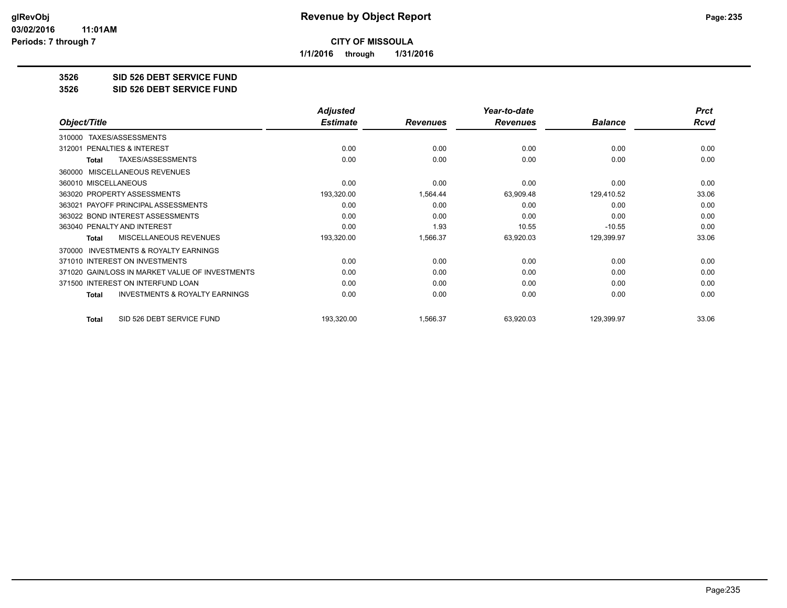**1/1/2016 through 1/31/2016**

### **3526 SID 526 DEBT SERVICE FUND**

**3526 SID 526 DEBT SERVICE FUND**

|                                                           | <b>Adjusted</b> |                 | Year-to-date    |                | <b>Prct</b> |
|-----------------------------------------------------------|-----------------|-----------------|-----------------|----------------|-------------|
| Object/Title                                              | <b>Estimate</b> | <b>Revenues</b> | <b>Revenues</b> | <b>Balance</b> | Rcvd        |
| TAXES/ASSESSMENTS<br>310000                               |                 |                 |                 |                |             |
| PENALTIES & INTEREST<br>312001                            | 0.00            | 0.00            | 0.00            | 0.00           | 0.00        |
| TAXES/ASSESSMENTS<br>Total                                | 0.00            | 0.00            | 0.00            | 0.00           | 0.00        |
| <b>MISCELLANEOUS REVENUES</b><br>360000                   |                 |                 |                 |                |             |
| 360010 MISCELLANEOUS                                      | 0.00            | 0.00            | 0.00            | 0.00           | 0.00        |
| 363020 PROPERTY ASSESSMENTS                               | 193,320.00      | 1,564.44        | 63,909.48       | 129,410.52     | 33.06       |
| 363021 PAYOFF PRINCIPAL ASSESSMENTS                       | 0.00            | 0.00            | 0.00            | 0.00           | 0.00        |
| 363022 BOND INTEREST ASSESSMENTS                          | 0.00            | 0.00            | 0.00            | 0.00           | 0.00        |
| 363040 PENALTY AND INTEREST                               | 0.00            | 1.93            | 10.55           | $-10.55$       | 0.00        |
| <b>MISCELLANEOUS REVENUES</b><br><b>Total</b>             | 193,320.00      | 1,566.37        | 63,920.03       | 129,399.97     | 33.06       |
| <b>INVESTMENTS &amp; ROYALTY EARNINGS</b><br>370000       |                 |                 |                 |                |             |
| 371010 INTEREST ON INVESTMENTS                            | 0.00            | 0.00            | 0.00            | 0.00           | 0.00        |
| 371020 GAIN/LOSS IN MARKET VALUE OF INVESTMENTS           | 0.00            | 0.00            | 0.00            | 0.00           | 0.00        |
| 371500 INTEREST ON INTERFUND LOAN                         | 0.00            | 0.00            | 0.00            | 0.00           | 0.00        |
| <b>INVESTMENTS &amp; ROYALTY EARNINGS</b><br><b>Total</b> | 0.00            | 0.00            | 0.00            | 0.00           | 0.00        |
| SID 526 DEBT SERVICE FUND<br>Total                        | 193,320.00      | 1,566.37        | 63,920.03       | 129,399.97     | 33.06       |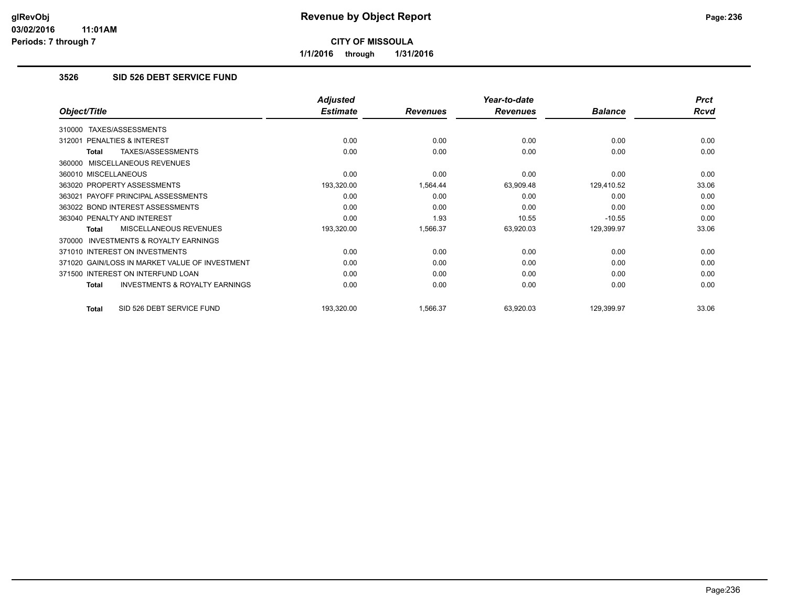**1/1/2016 through 1/31/2016**

# **3526 SID 526 DEBT SERVICE FUND**

|                                                    | <b>Adjusted</b> |                 | Year-to-date    |                | <b>Prct</b> |
|----------------------------------------------------|-----------------|-----------------|-----------------|----------------|-------------|
| Object/Title                                       | <b>Estimate</b> | <b>Revenues</b> | <b>Revenues</b> | <b>Balance</b> | Rcvd        |
| TAXES/ASSESSMENTS<br>310000                        |                 |                 |                 |                |             |
| 312001 PENALTIES & INTEREST                        | 0.00            | 0.00            | 0.00            | 0.00           | 0.00        |
| TAXES/ASSESSMENTS<br>Total                         | 0.00            | 0.00            | 0.00            | 0.00           | 0.00        |
| 360000 MISCELLANEOUS REVENUES                      |                 |                 |                 |                |             |
| 360010 MISCELLANEOUS                               | 0.00            | 0.00            | 0.00            | 0.00           | 0.00        |
| 363020 PROPERTY ASSESSMENTS                        | 193,320.00      | 1,564.44        | 63,909.48       | 129,410.52     | 33.06       |
| 363021 PAYOFF PRINCIPAL ASSESSMENTS                | 0.00            | 0.00            | 0.00            | 0.00           | 0.00        |
| 363022 BOND INTEREST ASSESSMENTS                   | 0.00            | 0.00            | 0.00            | 0.00           | 0.00        |
| 363040 PENALTY AND INTEREST                        | 0.00            | 1.93            | 10.55           | $-10.55$       | 0.00        |
| <b>MISCELLANEOUS REVENUES</b><br>Total             | 193,320.00      | 1,566.37        | 63,920.03       | 129,399.97     | 33.06       |
| 370000 INVESTMENTS & ROYALTY EARNINGS              |                 |                 |                 |                |             |
| 371010 INTEREST ON INVESTMENTS                     | 0.00            | 0.00            | 0.00            | 0.00           | 0.00        |
| 371020 GAIN/LOSS IN MARKET VALUE OF INVESTMENT     | 0.00            | 0.00            | 0.00            | 0.00           | 0.00        |
| 371500 INTEREST ON INTERFUND LOAN                  | 0.00            | 0.00            | 0.00            | 0.00           | 0.00        |
| <b>INVESTMENTS &amp; ROYALTY EARNINGS</b><br>Total | 0.00            | 0.00            | 0.00            | 0.00           | 0.00        |
| SID 526 DEBT SERVICE FUND<br>Total                 | 193,320.00      | 1,566.37        | 63,920.03       | 129,399.97     | 33.06       |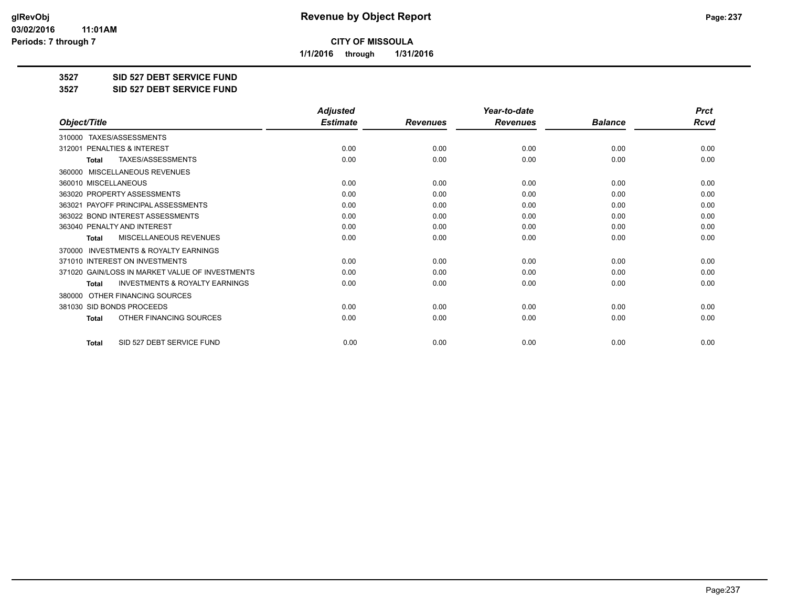**1/1/2016 through 1/31/2016**

**3527 SID 527 DEBT SERVICE FUND**

**3527 SID 527 DEBT SERVICE FUND**

|                                                           | <b>Adjusted</b> |                 | Year-to-date    |                | <b>Prct</b> |
|-----------------------------------------------------------|-----------------|-----------------|-----------------|----------------|-------------|
| Object/Title                                              | <b>Estimate</b> | <b>Revenues</b> | <b>Revenues</b> | <b>Balance</b> | <b>Rcvd</b> |
| 310000 TAXES/ASSESSMENTS                                  |                 |                 |                 |                |             |
| 312001 PENALTIES & INTEREST                               | 0.00            | 0.00            | 0.00            | 0.00           | 0.00        |
| TAXES/ASSESSMENTS<br><b>Total</b>                         | 0.00            | 0.00            | 0.00            | 0.00           | 0.00        |
| MISCELLANEOUS REVENUES<br>360000                          |                 |                 |                 |                |             |
| 360010 MISCELLANEOUS                                      | 0.00            | 0.00            | 0.00            | 0.00           | 0.00        |
| 363020 PROPERTY ASSESSMENTS                               | 0.00            | 0.00            | 0.00            | 0.00           | 0.00        |
| 363021 PAYOFF PRINCIPAL ASSESSMENTS                       | 0.00            | 0.00            | 0.00            | 0.00           | 0.00        |
| 363022 BOND INTEREST ASSESSMENTS                          | 0.00            | 0.00            | 0.00            | 0.00           | 0.00        |
| 363040 PENALTY AND INTEREST                               | 0.00            | 0.00            | 0.00            | 0.00           | 0.00        |
| MISCELLANEOUS REVENUES<br><b>Total</b>                    | 0.00            | 0.00            | 0.00            | 0.00           | 0.00        |
| <b>INVESTMENTS &amp; ROYALTY EARNINGS</b><br>370000       |                 |                 |                 |                |             |
| 371010 INTEREST ON INVESTMENTS                            | 0.00            | 0.00            | 0.00            | 0.00           | 0.00        |
| 371020 GAIN/LOSS IN MARKET VALUE OF INVESTMENTS           | 0.00            | 0.00            | 0.00            | 0.00           | 0.00        |
| <b>INVESTMENTS &amp; ROYALTY EARNINGS</b><br><b>Total</b> | 0.00            | 0.00            | 0.00            | 0.00           | 0.00        |
| OTHER FINANCING SOURCES<br>380000                         |                 |                 |                 |                |             |
| 381030 SID BONDS PROCEEDS                                 | 0.00            | 0.00            | 0.00            | 0.00           | 0.00        |
| OTHER FINANCING SOURCES<br><b>Total</b>                   | 0.00            | 0.00            | 0.00            | 0.00           | 0.00        |
| SID 527 DEBT SERVICE FUND<br><b>Total</b>                 | 0.00            | 0.00            | 0.00            | 0.00           | 0.00        |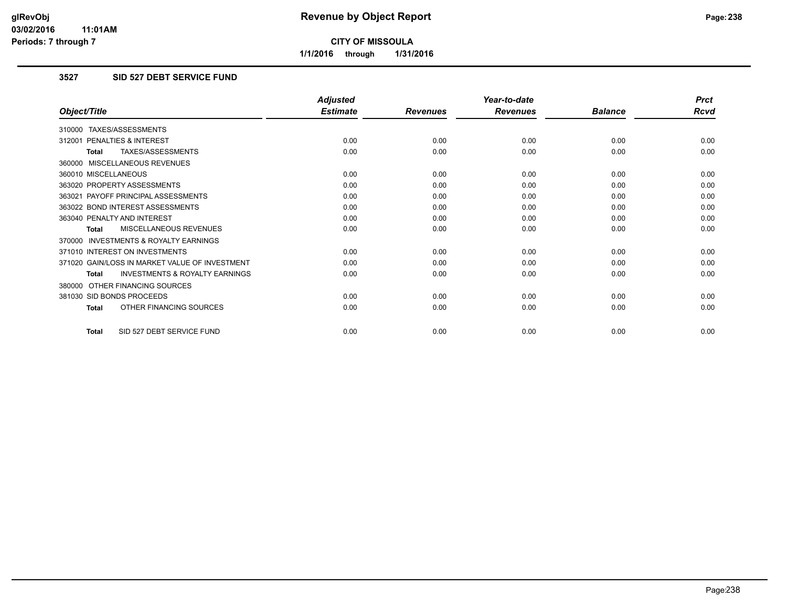**1/1/2016 through 1/31/2016**

# **3527 SID 527 DEBT SERVICE FUND**

|                                                           | <b>Adjusted</b> |                 | Year-to-date    |                | <b>Prct</b> |
|-----------------------------------------------------------|-----------------|-----------------|-----------------|----------------|-------------|
| Object/Title                                              | <b>Estimate</b> | <b>Revenues</b> | <b>Revenues</b> | <b>Balance</b> | <b>Rcvd</b> |
| 310000 TAXES/ASSESSMENTS                                  |                 |                 |                 |                |             |
| 312001 PENALTIES & INTEREST                               | 0.00            | 0.00            | 0.00            | 0.00           | 0.00        |
| TAXES/ASSESSMENTS<br><b>Total</b>                         | 0.00            | 0.00            | 0.00            | 0.00           | 0.00        |
| 360000 MISCELLANEOUS REVENUES                             |                 |                 |                 |                |             |
| 360010 MISCELLANEOUS                                      | 0.00            | 0.00            | 0.00            | 0.00           | 0.00        |
| 363020 PROPERTY ASSESSMENTS                               | 0.00            | 0.00            | 0.00            | 0.00           | 0.00        |
| 363021 PAYOFF PRINCIPAL ASSESSMENTS                       | 0.00            | 0.00            | 0.00            | 0.00           | 0.00        |
| 363022 BOND INTEREST ASSESSMENTS                          | 0.00            | 0.00            | 0.00            | 0.00           | 0.00        |
| 363040 PENALTY AND INTEREST                               | 0.00            | 0.00            | 0.00            | 0.00           | 0.00        |
| MISCELLANEOUS REVENUES<br><b>Total</b>                    | 0.00            | 0.00            | 0.00            | 0.00           | 0.00        |
| <b>INVESTMENTS &amp; ROYALTY EARNINGS</b><br>370000       |                 |                 |                 |                |             |
| 371010 INTEREST ON INVESTMENTS                            | 0.00            | 0.00            | 0.00            | 0.00           | 0.00        |
| 371020 GAIN/LOSS IN MARKET VALUE OF INVESTMENT            | 0.00            | 0.00            | 0.00            | 0.00           | 0.00        |
| <b>INVESTMENTS &amp; ROYALTY EARNINGS</b><br><b>Total</b> | 0.00            | 0.00            | 0.00            | 0.00           | 0.00        |
| OTHER FINANCING SOURCES<br>380000                         |                 |                 |                 |                |             |
| 381030 SID BONDS PROCEEDS                                 | 0.00            | 0.00            | 0.00            | 0.00           | 0.00        |
| OTHER FINANCING SOURCES<br>Total                          | 0.00            | 0.00            | 0.00            | 0.00           | 0.00        |
| SID 527 DEBT SERVICE FUND<br>Total                        | 0.00            | 0.00            | 0.00            | 0.00           | 0.00        |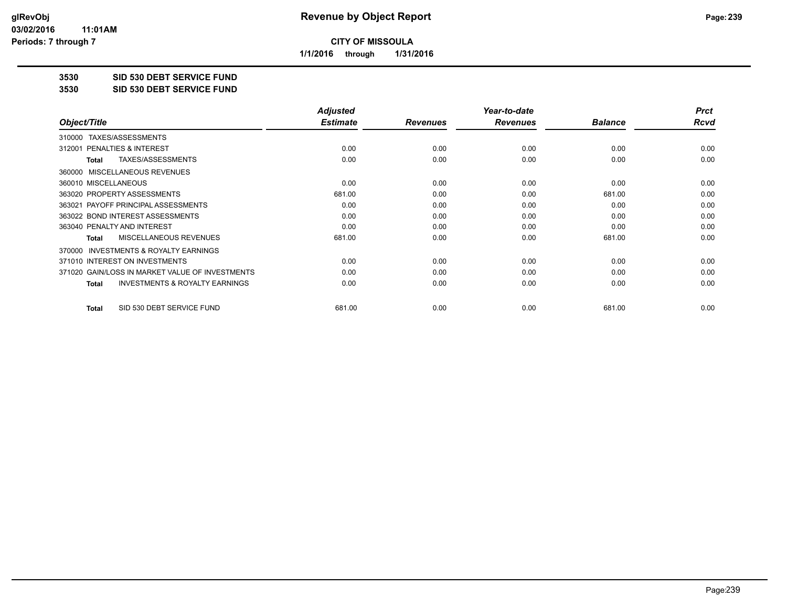**1/1/2016 through 1/31/2016**

**3530 SID 530 DEBT SERVICE FUND**

**3530 SID 530 DEBT SERVICE FUND**

|                                                           | <b>Adjusted</b> |                 | Year-to-date    |                | <b>Prct</b> |
|-----------------------------------------------------------|-----------------|-----------------|-----------------|----------------|-------------|
| Object/Title                                              | <b>Estimate</b> | <b>Revenues</b> | <b>Revenues</b> | <b>Balance</b> | Rcvd        |
| TAXES/ASSESSMENTS<br>310000                               |                 |                 |                 |                |             |
| 312001 PENALTIES & INTEREST                               | 0.00            | 0.00            | 0.00            | 0.00           | 0.00        |
| TAXES/ASSESSMENTS<br>Total                                | 0.00            | 0.00            | 0.00            | 0.00           | 0.00        |
| MISCELLANEOUS REVENUES<br>360000                          |                 |                 |                 |                |             |
| 360010 MISCELLANEOUS                                      | 0.00            | 0.00            | 0.00            | 0.00           | 0.00        |
| 363020 PROPERTY ASSESSMENTS                               | 681.00          | 0.00            | 0.00            | 681.00         | 0.00        |
| 363021 PAYOFF PRINCIPAL ASSESSMENTS                       | 0.00            | 0.00            | 0.00            | 0.00           | 0.00        |
| 363022 BOND INTEREST ASSESSMENTS                          | 0.00            | 0.00            | 0.00            | 0.00           | 0.00        |
| 363040 PENALTY AND INTEREST                               | 0.00            | 0.00            | 0.00            | 0.00           | 0.00        |
| <b>MISCELLANEOUS REVENUES</b><br>Total                    | 681.00          | 0.00            | 0.00            | 681.00         | 0.00        |
| <b>INVESTMENTS &amp; ROYALTY EARNINGS</b><br>370000       |                 |                 |                 |                |             |
| 371010 INTEREST ON INVESTMENTS                            | 0.00            | 0.00            | 0.00            | 0.00           | 0.00        |
| 371020 GAIN/LOSS IN MARKET VALUE OF INVESTMENTS           | 0.00            | 0.00            | 0.00            | 0.00           | 0.00        |
| <b>INVESTMENTS &amp; ROYALTY EARNINGS</b><br><b>Total</b> | 0.00            | 0.00            | 0.00            | 0.00           | 0.00        |
| SID 530 DEBT SERVICE FUND<br>Total                        | 681.00          | 0.00            | 0.00            | 681.00         | 0.00        |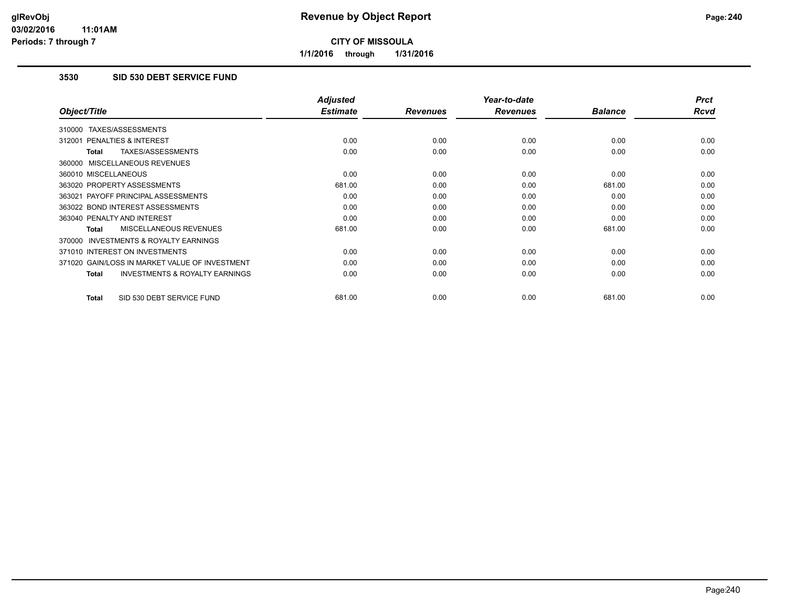**1/1/2016 through 1/31/2016**

# **3530 SID 530 DEBT SERVICE FUND**

|                                                     | <b>Adjusted</b> |                 | Year-to-date    |                | <b>Prct</b> |
|-----------------------------------------------------|-----------------|-----------------|-----------------|----------------|-------------|
| Object/Title                                        | <b>Estimate</b> | <b>Revenues</b> | <b>Revenues</b> | <b>Balance</b> | <b>Rcvd</b> |
| 310000 TAXES/ASSESSMENTS                            |                 |                 |                 |                |             |
| PENALTIES & INTEREST<br>312001                      | 0.00            | 0.00            | 0.00            | 0.00           | 0.00        |
| TAXES/ASSESSMENTS<br>Total                          | 0.00            | 0.00            | 0.00            | 0.00           | 0.00        |
| 360000 MISCELLANEOUS REVENUES                       |                 |                 |                 |                |             |
| 360010 MISCELLANEOUS                                | 0.00            | 0.00            | 0.00            | 0.00           | 0.00        |
| 363020 PROPERTY ASSESSMENTS                         | 681.00          | 0.00            | 0.00            | 681.00         | 0.00        |
| 363021 PAYOFF PRINCIPAL ASSESSMENTS                 | 0.00            | 0.00            | 0.00            | 0.00           | 0.00        |
| 363022 BOND INTEREST ASSESSMENTS                    | 0.00            | 0.00            | 0.00            | 0.00           | 0.00        |
| 363040 PENALTY AND INTEREST                         | 0.00            | 0.00            | 0.00            | 0.00           | 0.00        |
| <b>MISCELLANEOUS REVENUES</b><br><b>Total</b>       | 681.00          | 0.00            | 0.00            | 681.00         | 0.00        |
| <b>INVESTMENTS &amp; ROYALTY EARNINGS</b><br>370000 |                 |                 |                 |                |             |
| 371010 INTEREST ON INVESTMENTS                      | 0.00            | 0.00            | 0.00            | 0.00           | 0.00        |
| 371020 GAIN/LOSS IN MARKET VALUE OF INVESTMENT      | 0.00            | 0.00            | 0.00            | 0.00           | 0.00        |
| <b>INVESTMENTS &amp; ROYALTY EARNINGS</b><br>Total  | 0.00            | 0.00            | 0.00            | 0.00           | 0.00        |
| SID 530 DEBT SERVICE FUND<br><b>Total</b>           | 681.00          | 0.00            | 0.00            | 681.00         | 0.00        |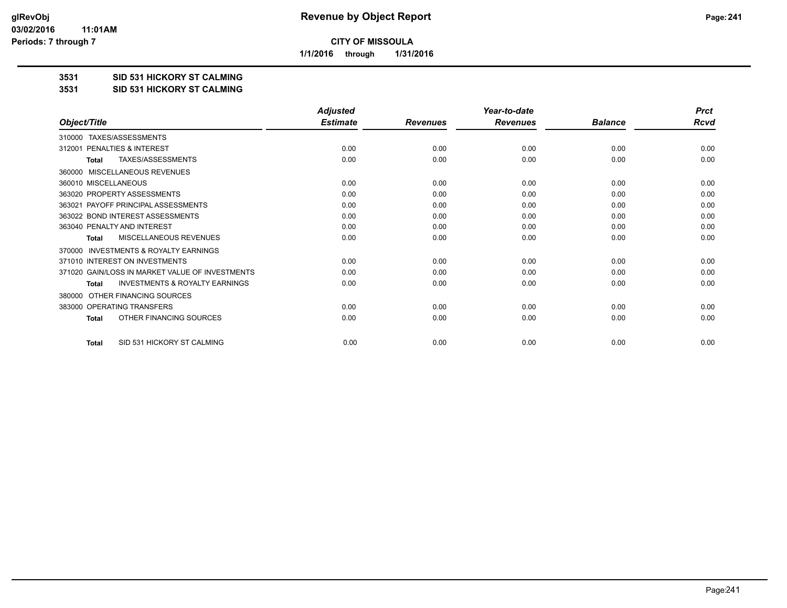**1/1/2016 through 1/31/2016**

### **3531 SID 531 HICKORY ST CALMING**

#### **3531 SID 531 HICKORY ST CALMING**

|                                                           | <b>Adjusted</b> |                 | Year-to-date    |                | <b>Prct</b> |
|-----------------------------------------------------------|-----------------|-----------------|-----------------|----------------|-------------|
| Object/Title                                              | <b>Estimate</b> | <b>Revenues</b> | <b>Revenues</b> | <b>Balance</b> | Rcvd        |
| TAXES/ASSESSMENTS<br>310000                               |                 |                 |                 |                |             |
| PENALTIES & INTEREST<br>312001                            | 0.00            | 0.00            | 0.00            | 0.00           | 0.00        |
| <b>TAXES/ASSESSMENTS</b><br>Total                         | 0.00            | 0.00            | 0.00            | 0.00           | 0.00        |
| MISCELLANEOUS REVENUES<br>360000                          |                 |                 |                 |                |             |
| 360010 MISCELLANEOUS                                      | 0.00            | 0.00            | 0.00            | 0.00           | 0.00        |
| 363020 PROPERTY ASSESSMENTS                               | 0.00            | 0.00            | 0.00            | 0.00           | 0.00        |
| 363021 PAYOFF PRINCIPAL ASSESSMENTS                       | 0.00            | 0.00            | 0.00            | 0.00           | 0.00        |
| 363022 BOND INTEREST ASSESSMENTS                          | 0.00            | 0.00            | 0.00            | 0.00           | 0.00        |
| 363040 PENALTY AND INTEREST                               | 0.00            | 0.00            | 0.00            | 0.00           | 0.00        |
| MISCELLANEOUS REVENUES<br>Total                           | 0.00            | 0.00            | 0.00            | 0.00           | 0.00        |
| <b>INVESTMENTS &amp; ROYALTY EARNINGS</b><br>370000       |                 |                 |                 |                |             |
| 371010 INTEREST ON INVESTMENTS                            | 0.00            | 0.00            | 0.00            | 0.00           | 0.00        |
| 371020 GAIN/LOSS IN MARKET VALUE OF INVESTMENTS           | 0.00            | 0.00            | 0.00            | 0.00           | 0.00        |
| <b>INVESTMENTS &amp; ROYALTY EARNINGS</b><br><b>Total</b> | 0.00            | 0.00            | 0.00            | 0.00           | 0.00        |
| OTHER FINANCING SOURCES<br>380000                         |                 |                 |                 |                |             |
| 383000 OPERATING TRANSFERS                                | 0.00            | 0.00            | 0.00            | 0.00           | 0.00        |
| OTHER FINANCING SOURCES<br><b>Total</b>                   | 0.00            | 0.00            | 0.00            | 0.00           | 0.00        |
| SID 531 HICKORY ST CALMING<br><b>Total</b>                | 0.00            | 0.00            | 0.00            | 0.00           | 0.00        |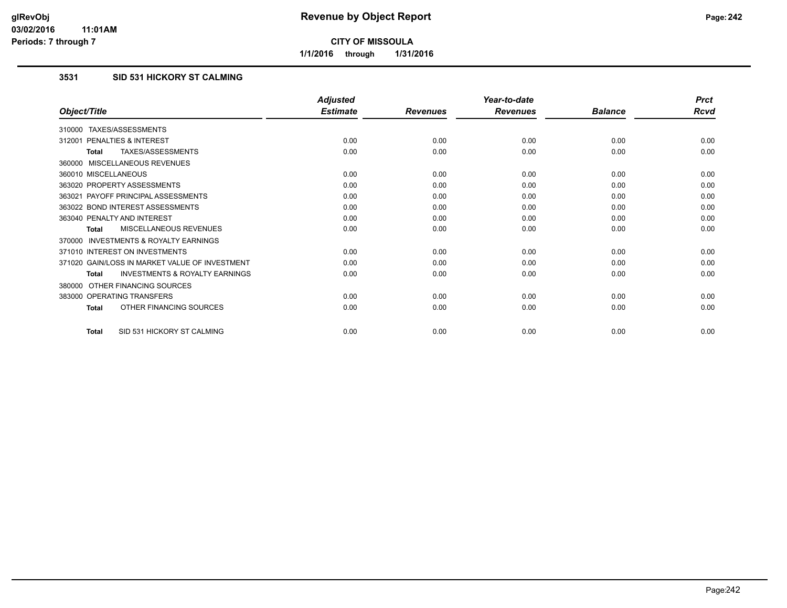**1/1/2016 through 1/31/2016**

# **3531 SID 531 HICKORY ST CALMING**

|                                                           | <b>Adjusted</b> |                 | Year-to-date    |                | <b>Prct</b> |
|-----------------------------------------------------------|-----------------|-----------------|-----------------|----------------|-------------|
| Object/Title                                              | <b>Estimate</b> | <b>Revenues</b> | <b>Revenues</b> | <b>Balance</b> | <b>Rcvd</b> |
| 310000 TAXES/ASSESSMENTS                                  |                 |                 |                 |                |             |
| 312001 PENALTIES & INTEREST                               | 0.00            | 0.00            | 0.00            | 0.00           | 0.00        |
| <b>TAXES/ASSESSMENTS</b><br><b>Total</b>                  | 0.00            | 0.00            | 0.00            | 0.00           | 0.00        |
| 360000 MISCELLANEOUS REVENUES                             |                 |                 |                 |                |             |
| 360010 MISCELLANEOUS                                      | 0.00            | 0.00            | 0.00            | 0.00           | 0.00        |
| 363020 PROPERTY ASSESSMENTS                               | 0.00            | 0.00            | 0.00            | 0.00           | 0.00        |
| 363021 PAYOFF PRINCIPAL ASSESSMENTS                       | 0.00            | 0.00            | 0.00            | 0.00           | 0.00        |
| 363022 BOND INTEREST ASSESSMENTS                          | 0.00            | 0.00            | 0.00            | 0.00           | 0.00        |
| 363040 PENALTY AND INTEREST                               | 0.00            | 0.00            | 0.00            | 0.00           | 0.00        |
| <b>MISCELLANEOUS REVENUES</b><br><b>Total</b>             | 0.00            | 0.00            | 0.00            | 0.00           | 0.00        |
| <b>INVESTMENTS &amp; ROYALTY EARNINGS</b><br>370000       |                 |                 |                 |                |             |
| 371010 INTEREST ON INVESTMENTS                            | 0.00            | 0.00            | 0.00            | 0.00           | 0.00        |
| 371020 GAIN/LOSS IN MARKET VALUE OF INVESTMENT            | 0.00            | 0.00            | 0.00            | 0.00           | 0.00        |
| <b>INVESTMENTS &amp; ROYALTY EARNINGS</b><br><b>Total</b> | 0.00            | 0.00            | 0.00            | 0.00           | 0.00        |
| OTHER FINANCING SOURCES<br>380000                         |                 |                 |                 |                |             |
| 383000 OPERATING TRANSFERS                                | 0.00            | 0.00            | 0.00            | 0.00           | 0.00        |
| OTHER FINANCING SOURCES<br><b>Total</b>                   | 0.00            | 0.00            | 0.00            | 0.00           | 0.00        |
| SID 531 HICKORY ST CALMING<br><b>Total</b>                | 0.00            | 0.00            | 0.00            | 0.00           | 0.00        |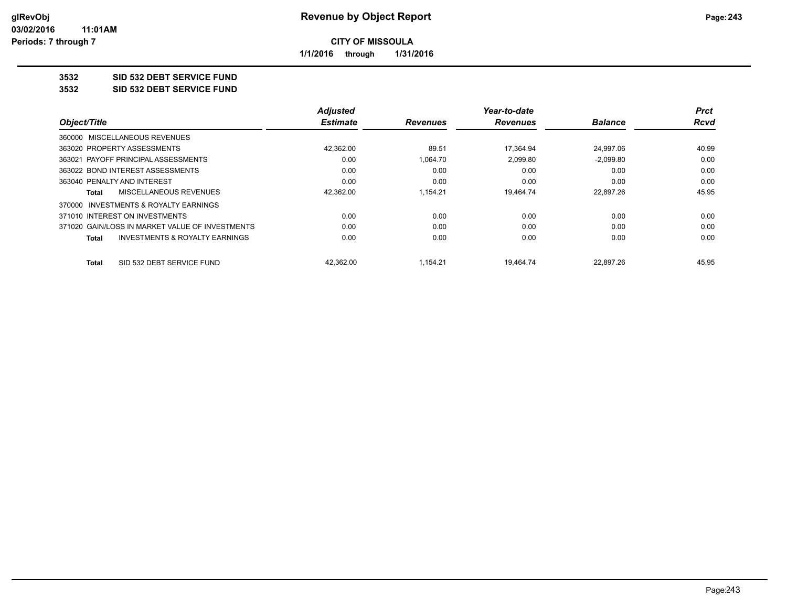**1/1/2016 through 1/31/2016**

### **3532 SID 532 DEBT SERVICE FUND**

**3532 SID 532 DEBT SERVICE FUND**

|                                                           | <b>Adjusted</b> |                 | Year-to-date    |                | Prct  |
|-----------------------------------------------------------|-----------------|-----------------|-----------------|----------------|-------|
| Object/Title                                              | <b>Estimate</b> | <b>Revenues</b> | <b>Revenues</b> | <b>Balance</b> | Rcvd  |
| 360000 MISCELLANEOUS REVENUES                             |                 |                 |                 |                |       |
| 363020 PROPERTY ASSESSMENTS                               | 42,362.00       | 89.51           | 17.364.94       | 24.997.06      | 40.99 |
| 363021 PAYOFF PRINCIPAL ASSESSMENTS                       | 0.00            | 1.064.70        | 2.099.80        | $-2.099.80$    | 0.00  |
| 363022 BOND INTEREST ASSESSMENTS                          | 0.00            | 0.00            | 0.00            | 0.00           | 0.00  |
| 363040 PENALTY AND INTEREST                               | 0.00            | 0.00            | 0.00            | 0.00           | 0.00  |
| MISCELLANEOUS REVENUES<br>Total                           | 42,362.00       | 1.154.21        | 19.464.74       | 22.897.26      | 45.95 |
| 370000 INVESTMENTS & ROYALTY EARNINGS                     |                 |                 |                 |                |       |
| 371010 INTEREST ON INVESTMENTS                            | 0.00            | 0.00            | 0.00            | 0.00           | 0.00  |
| 371020 GAIN/LOSS IN MARKET VALUE OF INVESTMENTS           | 0.00            | 0.00            | 0.00            | 0.00           | 0.00  |
| <b>INVESTMENTS &amp; ROYALTY EARNINGS</b><br><b>Total</b> | 0.00            | 0.00            | 0.00            | 0.00           | 0.00  |
| SID 532 DEBT SERVICE FUND<br>Total                        | 42,362.00       | 1.154.21        | 19,464.74       | 22,897.26      | 45.95 |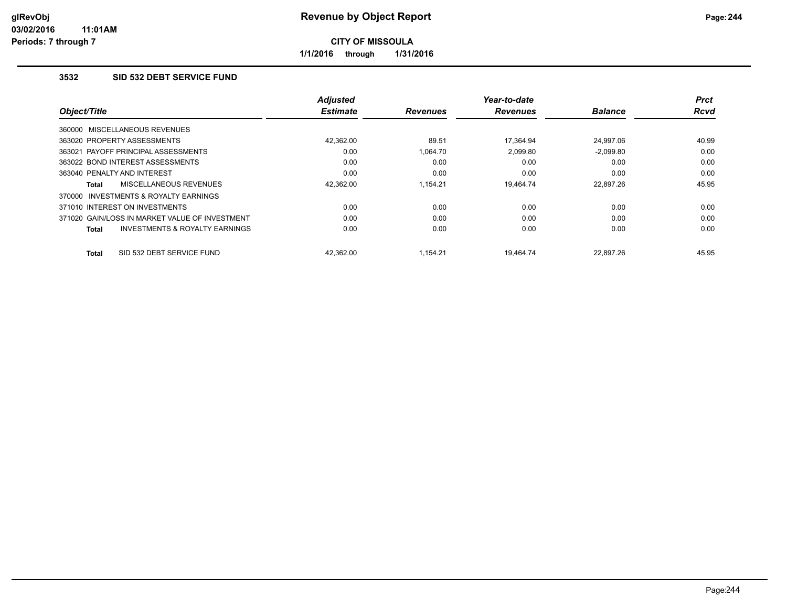**1/1/2016 through 1/31/2016**

# **3532 SID 532 DEBT SERVICE FUND**

|                                                     | <b>Adjusted</b> |                 | Year-to-date    |                | Prct        |
|-----------------------------------------------------|-----------------|-----------------|-----------------|----------------|-------------|
| Object/Title                                        | <b>Estimate</b> | <b>Revenues</b> | <b>Revenues</b> | <b>Balance</b> | <b>Rcvd</b> |
| 360000 MISCELLANEOUS REVENUES                       |                 |                 |                 |                |             |
| 363020 PROPERTY ASSESSMENTS                         | 42.362.00       | 89.51           | 17.364.94       | 24.997.06      | 40.99       |
| 363021 PAYOFF PRINCIPAL ASSESSMENTS                 | 0.00            | 1.064.70        | 2,099.80        | $-2,099.80$    | 0.00        |
| 363022 BOND INTEREST ASSESSMENTS                    | 0.00            | 0.00            | 0.00            | 0.00           | 0.00        |
| 363040 PENALTY AND INTEREST                         | 0.00            | 0.00            | 0.00            | 0.00           | 0.00        |
| MISCELLANEOUS REVENUES<br>Total                     | 42,362.00       | 1,154.21        | 19.464.74       | 22,897.26      | 45.95       |
| <b>INVESTMENTS &amp; ROYALTY EARNINGS</b><br>370000 |                 |                 |                 |                |             |
| 371010 INTEREST ON INVESTMENTS                      | 0.00            | 0.00            | 0.00            | 0.00           | 0.00        |
| 371020 GAIN/LOSS IN MARKET VALUE OF INVESTMENT      | 0.00            | 0.00            | 0.00            | 0.00           | 0.00        |
| <b>INVESTMENTS &amp; ROYALTY EARNINGS</b><br>Total  | 0.00            | 0.00            | 0.00            | 0.00           | 0.00        |
| SID 532 DEBT SERVICE FUND<br><b>Total</b>           | 42.362.00       | 1.154.21        | 19.464.74       | 22.897.26      | 45.95       |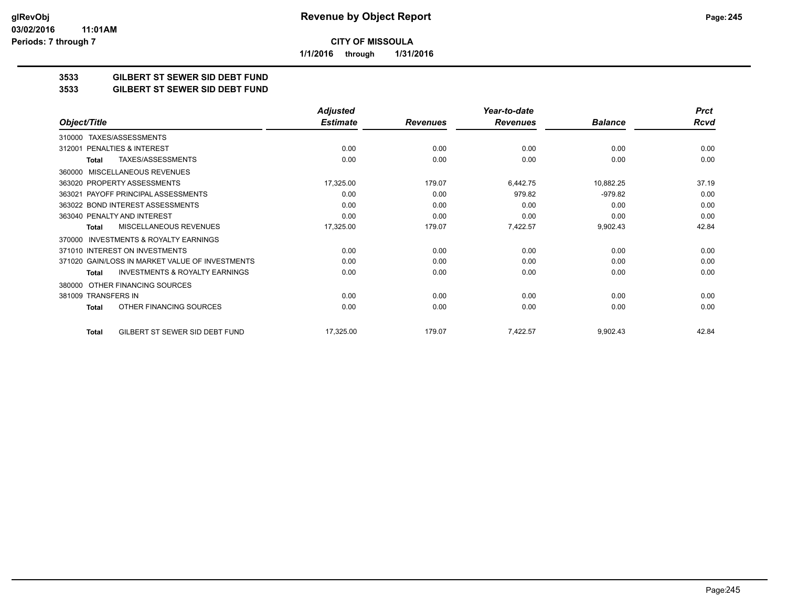**1/1/2016 through 1/31/2016**

# **3533 GILBERT ST SEWER SID DEBT FUND**

### **3533 GILBERT ST SEWER SID DEBT FUND**

|                                                           | <b>Adjusted</b> |                 | Year-to-date    |                | <b>Prct</b> |
|-----------------------------------------------------------|-----------------|-----------------|-----------------|----------------|-------------|
| Object/Title                                              | <b>Estimate</b> | <b>Revenues</b> | <b>Revenues</b> | <b>Balance</b> | <b>Rcvd</b> |
| TAXES/ASSESSMENTS<br>310000                               |                 |                 |                 |                |             |
| PENALTIES & INTEREST<br>312001                            | 0.00            | 0.00            | 0.00            | 0.00           | 0.00        |
| TAXES/ASSESSMENTS<br><b>Total</b>                         | 0.00            | 0.00            | 0.00            | 0.00           | 0.00        |
| MISCELLANEOUS REVENUES<br>360000                          |                 |                 |                 |                |             |
| 363020 PROPERTY ASSESSMENTS                               | 17,325.00       | 179.07          | 6,442.75        | 10,882.25      | 37.19       |
| PAYOFF PRINCIPAL ASSESSMENTS<br>363021                    | 0.00            | 0.00            | 979.82          | $-979.82$      | 0.00        |
| 363022 BOND INTEREST ASSESSMENTS                          | 0.00            | 0.00            | 0.00            | 0.00           | 0.00        |
| 363040 PENALTY AND INTEREST                               | 0.00            | 0.00            | 0.00            | 0.00           | 0.00        |
| MISCELLANEOUS REVENUES<br><b>Total</b>                    | 17,325.00       | 179.07          | 7,422.57        | 9,902.43       | 42.84       |
| <b>INVESTMENTS &amp; ROYALTY EARNINGS</b><br>370000       |                 |                 |                 |                |             |
| 371010 INTEREST ON INVESTMENTS                            | 0.00            | 0.00            | 0.00            | 0.00           | 0.00        |
| 371020 GAIN/LOSS IN MARKET VALUE OF INVESTMENTS           | 0.00            | 0.00            | 0.00            | 0.00           | 0.00        |
| <b>INVESTMENTS &amp; ROYALTY EARNINGS</b><br><b>Total</b> | 0.00            | 0.00            | 0.00            | 0.00           | 0.00        |
| OTHER FINANCING SOURCES<br>380000                         |                 |                 |                 |                |             |
| 381009 TRANSFERS IN                                       | 0.00            | 0.00            | 0.00            | 0.00           | 0.00        |
| OTHER FINANCING SOURCES<br><b>Total</b>                   | 0.00            | 0.00            | 0.00            | 0.00           | 0.00        |
| GILBERT ST SEWER SID DEBT FUND<br><b>Total</b>            | 17,325.00       | 179.07          | 7,422.57        | 9,902.43       | 42.84       |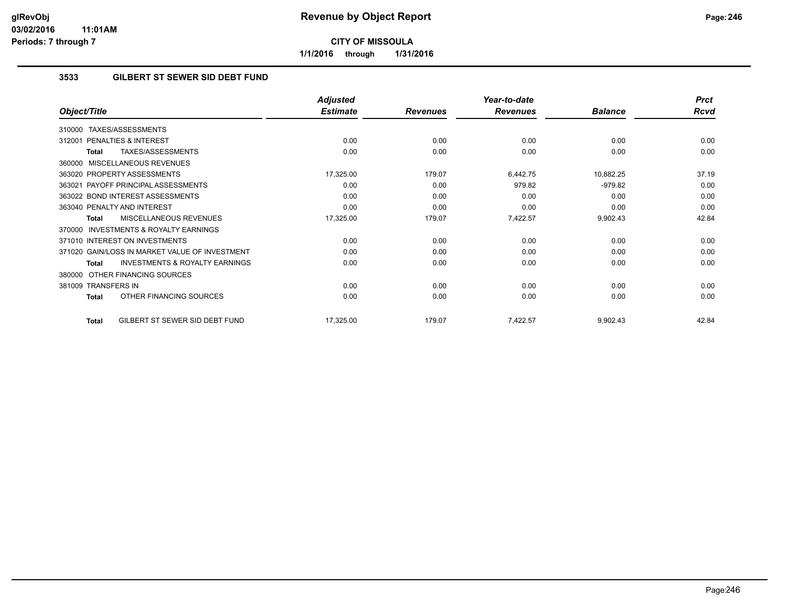**1/1/2016 through 1/31/2016**

# **3533 GILBERT ST SEWER SID DEBT FUND**

|                                                           | <b>Adjusted</b> |                 | Year-to-date    |                | <b>Prct</b> |
|-----------------------------------------------------------|-----------------|-----------------|-----------------|----------------|-------------|
| Object/Title                                              | <b>Estimate</b> | <b>Revenues</b> | <b>Revenues</b> | <b>Balance</b> | <b>Rcvd</b> |
| TAXES/ASSESSMENTS<br>310000                               |                 |                 |                 |                |             |
| 312001 PENALTIES & INTEREST                               | 0.00            | 0.00            | 0.00            | 0.00           | 0.00        |
| TAXES/ASSESSMENTS<br><b>Total</b>                         | 0.00            | 0.00            | 0.00            | 0.00           | 0.00        |
| MISCELLANEOUS REVENUES<br>360000                          |                 |                 |                 |                |             |
| 363020 PROPERTY ASSESSMENTS                               | 17,325.00       | 179.07          | 6,442.75        | 10,882.25      | 37.19       |
| 363021 PAYOFF PRINCIPAL ASSESSMENTS                       | 0.00            | 0.00            | 979.82          | $-979.82$      | 0.00        |
| 363022 BOND INTEREST ASSESSMENTS                          | 0.00            | 0.00            | 0.00            | 0.00           | 0.00        |
| 363040 PENALTY AND INTEREST                               | 0.00            | 0.00            | 0.00            | 0.00           | 0.00        |
| MISCELLANEOUS REVENUES<br>Total                           | 17,325.00       | 179.07          | 7,422.57        | 9,902.43       | 42.84       |
| 370000 INVESTMENTS & ROYALTY EARNINGS                     |                 |                 |                 |                |             |
| 371010 INTEREST ON INVESTMENTS                            | 0.00            | 0.00            | 0.00            | 0.00           | 0.00        |
| 371020 GAIN/LOSS IN MARKET VALUE OF INVESTMENT            | 0.00            | 0.00            | 0.00            | 0.00           | 0.00        |
| <b>INVESTMENTS &amp; ROYALTY EARNINGS</b><br><b>Total</b> | 0.00            | 0.00            | 0.00            | 0.00           | 0.00        |
| 380000 OTHER FINANCING SOURCES                            |                 |                 |                 |                |             |
| 381009 TRANSFERS IN                                       | 0.00            | 0.00            | 0.00            | 0.00           | 0.00        |
| OTHER FINANCING SOURCES<br><b>Total</b>                   | 0.00            | 0.00            | 0.00            | 0.00           | 0.00        |
| GILBERT ST SEWER SID DEBT FUND<br>Total                   | 17,325.00       | 179.07          | 7,422.57        | 9,902.43       | 42.84       |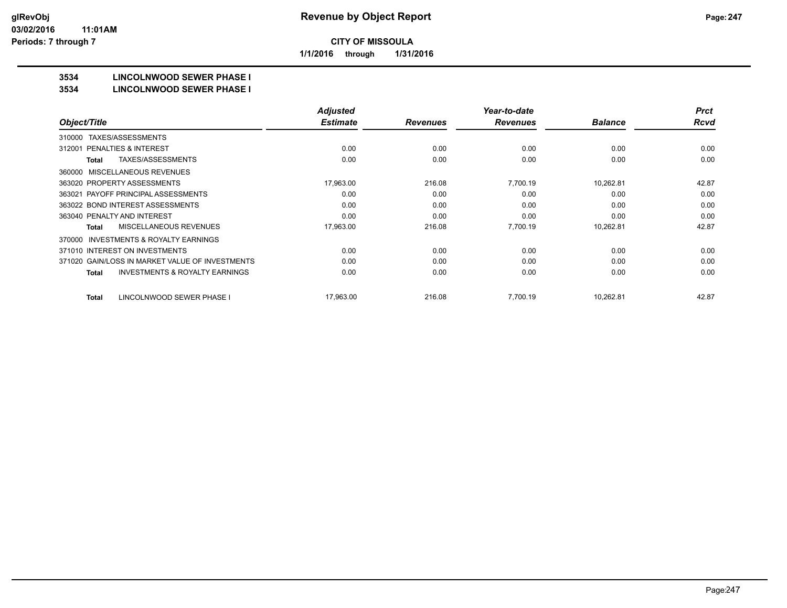**1/1/2016 through 1/31/2016**

# **3534 LINCOLNWOOD SEWER PHASE I**

### **3534 LINCOLNWOOD SEWER PHASE I**

|                                                     | <b>Adjusted</b> |                 | Year-to-date    |                | <b>Prct</b> |
|-----------------------------------------------------|-----------------|-----------------|-----------------|----------------|-------------|
| Object/Title                                        | <b>Estimate</b> | <b>Revenues</b> | <b>Revenues</b> | <b>Balance</b> | <b>Rcvd</b> |
| TAXES/ASSESSMENTS<br>310000                         |                 |                 |                 |                |             |
| <b>PENALTIES &amp; INTEREST</b><br>312001           | 0.00            | 0.00            | 0.00            | 0.00           | 0.00        |
| TAXES/ASSESSMENTS<br>Total                          | 0.00            | 0.00            | 0.00            | 0.00           | 0.00        |
| MISCELLANEOUS REVENUES<br>360000                    |                 |                 |                 |                |             |
| 363020 PROPERTY ASSESSMENTS                         | 17,963.00       | 216.08          | 7,700.19        | 10,262.81      | 42.87       |
| 363021 PAYOFF PRINCIPAL ASSESSMENTS                 | 0.00            | 0.00            | 0.00            | 0.00           | 0.00        |
| 363022 BOND INTEREST ASSESSMENTS                    | 0.00            | 0.00            | 0.00            | 0.00           | 0.00        |
| 363040 PENALTY AND INTEREST                         | 0.00            | 0.00            | 0.00            | 0.00           | 0.00        |
| <b>MISCELLANEOUS REVENUES</b><br>Total              | 17,963.00       | 216.08          | 7,700.19        | 10,262.81      | 42.87       |
| <b>INVESTMENTS &amp; ROYALTY EARNINGS</b><br>370000 |                 |                 |                 |                |             |
| 371010 INTEREST ON INVESTMENTS                      | 0.00            | 0.00            | 0.00            | 0.00           | 0.00        |
| 371020 GAIN/LOSS IN MARKET VALUE OF INVESTMENTS     | 0.00            | 0.00            | 0.00            | 0.00           | 0.00        |
| <b>INVESTMENTS &amp; ROYALTY EARNINGS</b><br>Total  | 0.00            | 0.00            | 0.00            | 0.00           | 0.00        |
| LINCOLNWOOD SEWER PHASE I<br><b>Total</b>           | 17,963.00       | 216.08          | 7,700.19        | 10,262.81      | 42.87       |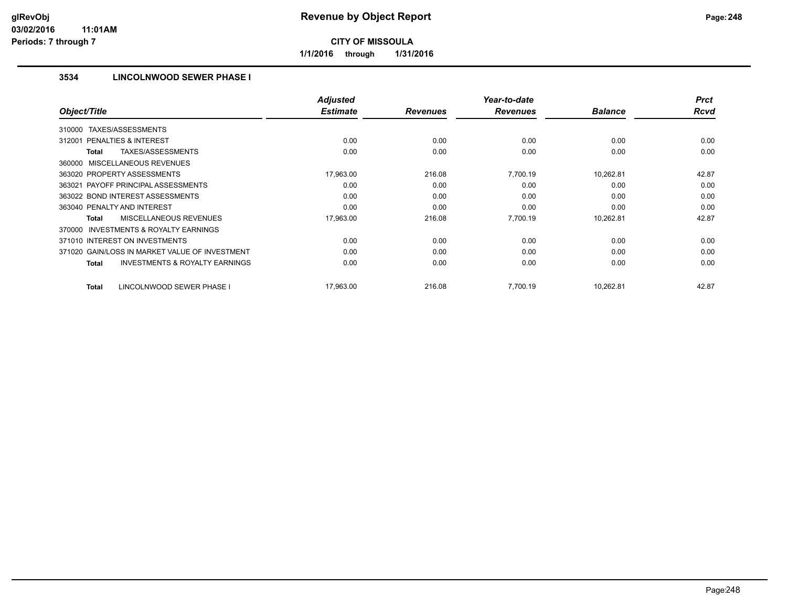**1/1/2016 through 1/31/2016**

# **3534 LINCOLNWOOD SEWER PHASE I**

|                                                           | <b>Adjusted</b> |                 | Year-to-date    |                | <b>Prct</b> |
|-----------------------------------------------------------|-----------------|-----------------|-----------------|----------------|-------------|
| Object/Title                                              | <b>Estimate</b> | <b>Revenues</b> | <b>Revenues</b> | <b>Balance</b> | <b>Rcvd</b> |
| TAXES/ASSESSMENTS<br>310000                               |                 |                 |                 |                |             |
| 312001 PENALTIES & INTEREST                               | 0.00            | 0.00            | 0.00            | 0.00           | 0.00        |
| <b>TAXES/ASSESSMENTS</b><br><b>Total</b>                  | 0.00            | 0.00            | 0.00            | 0.00           | 0.00        |
| 360000 MISCELLANEOUS REVENUES                             |                 |                 |                 |                |             |
| 363020 PROPERTY ASSESSMENTS                               | 17,963.00       | 216.08          | 7,700.19        | 10,262.81      | 42.87       |
| 363021 PAYOFF PRINCIPAL ASSESSMENTS                       | 0.00            | 0.00            | 0.00            | 0.00           | 0.00        |
| 363022 BOND INTEREST ASSESSMENTS                          | 0.00            | 0.00            | 0.00            | 0.00           | 0.00        |
| 363040 PENALTY AND INTEREST                               | 0.00            | 0.00            | 0.00            | 0.00           | 0.00        |
| MISCELLANEOUS REVENUES<br><b>Total</b>                    | 17,963.00       | 216.08          | 7,700.19        | 10,262.81      | 42.87       |
| <b>INVESTMENTS &amp; ROYALTY EARNINGS</b><br>370000       |                 |                 |                 |                |             |
| 371010 INTEREST ON INVESTMENTS                            | 0.00            | 0.00            | 0.00            | 0.00           | 0.00        |
| 371020 GAIN/LOSS IN MARKET VALUE OF INVESTMENT            | 0.00            | 0.00            | 0.00            | 0.00           | 0.00        |
| <b>INVESTMENTS &amp; ROYALTY EARNINGS</b><br><b>Total</b> | 0.00            | 0.00            | 0.00            | 0.00           | 0.00        |
| LINCOLNWOOD SEWER PHASE I<br><b>Total</b>                 | 17.963.00       | 216.08          | 7,700.19        | 10,262.81      | 42.87       |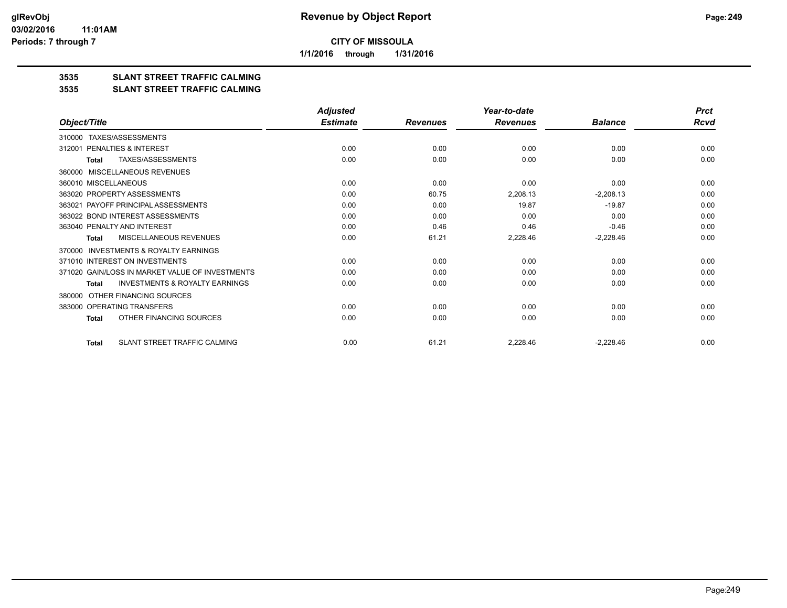**1/1/2016 through 1/31/2016**

# **3535 SLANT STREET TRAFFIC CALMING**

### **3535 SLANT STREET TRAFFIC CALMING**

|                                                           | <b>Adjusted</b> |                 | Year-to-date    |                | <b>Prct</b> |
|-----------------------------------------------------------|-----------------|-----------------|-----------------|----------------|-------------|
| Object/Title                                              | <b>Estimate</b> | <b>Revenues</b> | <b>Revenues</b> | <b>Balance</b> | Rcvd        |
| TAXES/ASSESSMENTS<br>310000                               |                 |                 |                 |                |             |
| PENALTIES & INTEREST<br>312001                            | 0.00            | 0.00            | 0.00            | 0.00           | 0.00        |
| <b>TAXES/ASSESSMENTS</b><br><b>Total</b>                  | 0.00            | 0.00            | 0.00            | 0.00           | 0.00        |
| <b>MISCELLANEOUS REVENUES</b><br>360000                   |                 |                 |                 |                |             |
| 360010 MISCELLANEOUS                                      | 0.00            | 0.00            | 0.00            | 0.00           | 0.00        |
| 363020 PROPERTY ASSESSMENTS                               | 0.00            | 60.75           | 2,208.13        | $-2,208.13$    | 0.00        |
| PAYOFF PRINCIPAL ASSESSMENTS<br>363021                    | 0.00            | 0.00            | 19.87           | $-19.87$       | 0.00        |
| 363022 BOND INTEREST ASSESSMENTS                          | 0.00            | 0.00            | 0.00            | 0.00           | 0.00        |
| 363040 PENALTY AND INTEREST                               | 0.00            | 0.46            | 0.46            | $-0.46$        | 0.00        |
| MISCELLANEOUS REVENUES<br><b>Total</b>                    | 0.00            | 61.21           | 2,228.46        | $-2,228.46$    | 0.00        |
| INVESTMENTS & ROYALTY EARNINGS<br>370000                  |                 |                 |                 |                |             |
| 371010 INTEREST ON INVESTMENTS                            | 0.00            | 0.00            | 0.00            | 0.00           | 0.00        |
| 371020 GAIN/LOSS IN MARKET VALUE OF INVESTMENTS           | 0.00            | 0.00            | 0.00            | 0.00           | 0.00        |
| <b>INVESTMENTS &amp; ROYALTY EARNINGS</b><br><b>Total</b> | 0.00            | 0.00            | 0.00            | 0.00           | 0.00        |
| OTHER FINANCING SOURCES<br>380000                         |                 |                 |                 |                |             |
| 383000 OPERATING TRANSFERS                                | 0.00            | 0.00            | 0.00            | 0.00           | 0.00        |
| OTHER FINANCING SOURCES<br><b>Total</b>                   | 0.00            | 0.00            | 0.00            | 0.00           | 0.00        |
| SLANT STREET TRAFFIC CALMING<br><b>Total</b>              | 0.00            | 61.21           | 2,228.46        | $-2,228.46$    | 0.00        |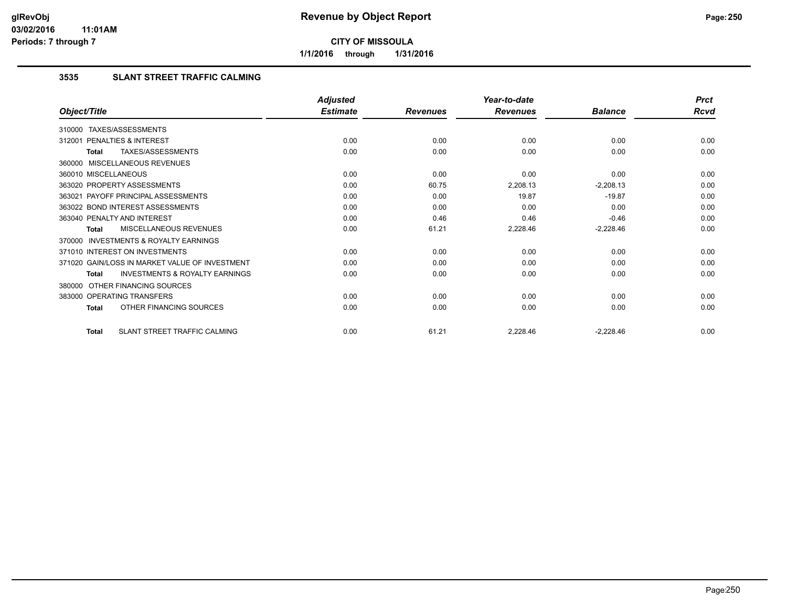**1/1/2016 through 1/31/2016**

# **3535 SLANT STREET TRAFFIC CALMING**

|                                                           | <b>Adjusted</b> |                 | Year-to-date    |                | <b>Prct</b> |
|-----------------------------------------------------------|-----------------|-----------------|-----------------|----------------|-------------|
| Object/Title                                              | <b>Estimate</b> | <b>Revenues</b> | <b>Revenues</b> | <b>Balance</b> | <b>Rcvd</b> |
| 310000 TAXES/ASSESSMENTS                                  |                 |                 |                 |                |             |
| PENALTIES & INTEREST<br>312001                            | 0.00            | 0.00            | 0.00            | 0.00           | 0.00        |
| TAXES/ASSESSMENTS<br><b>Total</b>                         | 0.00            | 0.00            | 0.00            | 0.00           | 0.00        |
| MISCELLANEOUS REVENUES<br>360000                          |                 |                 |                 |                |             |
| 360010 MISCELLANEOUS                                      | 0.00            | 0.00            | 0.00            | 0.00           | 0.00        |
| 363020 PROPERTY ASSESSMENTS                               | 0.00            | 60.75           | 2,208.13        | $-2,208.13$    | 0.00        |
| 363021 PAYOFF PRINCIPAL ASSESSMENTS                       | 0.00            | 0.00            | 19.87           | $-19.87$       | 0.00        |
| 363022 BOND INTEREST ASSESSMENTS                          | 0.00            | 0.00            | 0.00            | 0.00           | 0.00        |
| 363040 PENALTY AND INTEREST                               | 0.00            | 0.46            | 0.46            | $-0.46$        | 0.00        |
| MISCELLANEOUS REVENUES<br><b>Total</b>                    | 0.00            | 61.21           | 2,228.46        | $-2,228.46$    | 0.00        |
| INVESTMENTS & ROYALTY EARNINGS<br>370000                  |                 |                 |                 |                |             |
| 371010 INTEREST ON INVESTMENTS                            | 0.00            | 0.00            | 0.00            | 0.00           | 0.00        |
| 371020 GAIN/LOSS IN MARKET VALUE OF INVESTMENT            | 0.00            | 0.00            | 0.00            | 0.00           | 0.00        |
| <b>INVESTMENTS &amp; ROYALTY EARNINGS</b><br><b>Total</b> | 0.00            | 0.00            | 0.00            | 0.00           | 0.00        |
| OTHER FINANCING SOURCES<br>380000                         |                 |                 |                 |                |             |
| 383000 OPERATING TRANSFERS                                | 0.00            | 0.00            | 0.00            | 0.00           | 0.00        |
| OTHER FINANCING SOURCES<br><b>Total</b>                   | 0.00            | 0.00            | 0.00            | 0.00           | 0.00        |
| SLANT STREET TRAFFIC CALMING<br><b>Total</b>              | 0.00            | 61.21           | 2,228.46        | $-2,228.46$    | 0.00        |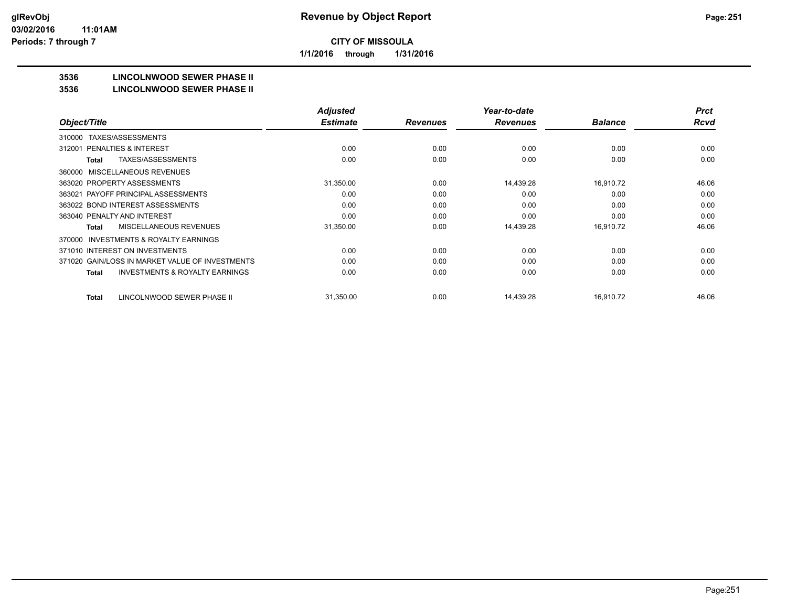**1/1/2016 through 1/31/2016**

# **3536 LINCOLNWOOD SEWER PHASE II**

### **3536 LINCOLNWOOD SEWER PHASE II**

|                                                    | <b>Adjusted</b> |                 | Year-to-date    |                | <b>Prct</b> |
|----------------------------------------------------|-----------------|-----------------|-----------------|----------------|-------------|
| Object/Title                                       | <b>Estimate</b> | <b>Revenues</b> | <b>Revenues</b> | <b>Balance</b> | <b>Rcvd</b> |
| TAXES/ASSESSMENTS<br>310000                        |                 |                 |                 |                |             |
| PENALTIES & INTEREST<br>312001                     | 0.00            | 0.00            | 0.00            | 0.00           | 0.00        |
| TAXES/ASSESSMENTS<br><b>Total</b>                  | 0.00            | 0.00            | 0.00            | 0.00           | 0.00        |
| MISCELLANEOUS REVENUES<br>360000                   |                 |                 |                 |                |             |
| 363020 PROPERTY ASSESSMENTS                        | 31,350.00       | 0.00            | 14,439.28       | 16,910.72      | 46.06       |
| 363021 PAYOFF PRINCIPAL ASSESSMENTS                | 0.00            | 0.00            | 0.00            | 0.00           | 0.00        |
| 363022 BOND INTEREST ASSESSMENTS                   | 0.00            | 0.00            | 0.00            | 0.00           | 0.00        |
| 363040 PENALTY AND INTEREST                        | 0.00            | 0.00            | 0.00            | 0.00           | 0.00        |
| MISCELLANEOUS REVENUES<br>Total                    | 31,350.00       | 0.00            | 14,439.28       | 16,910.72      | 46.06       |
| INVESTMENTS & ROYALTY EARNINGS<br>370000           |                 |                 |                 |                |             |
| 371010 INTEREST ON INVESTMENTS                     | 0.00            | 0.00            | 0.00            | 0.00           | 0.00        |
| 371020 GAIN/LOSS IN MARKET VALUE OF INVESTMENTS    | 0.00            | 0.00            | 0.00            | 0.00           | 0.00        |
| <b>INVESTMENTS &amp; ROYALTY EARNINGS</b><br>Total | 0.00            | 0.00            | 0.00            | 0.00           | 0.00        |
| LINCOLNWOOD SEWER PHASE II<br><b>Total</b>         | 31,350.00       | 0.00            | 14,439.28       | 16,910.72      | 46.06       |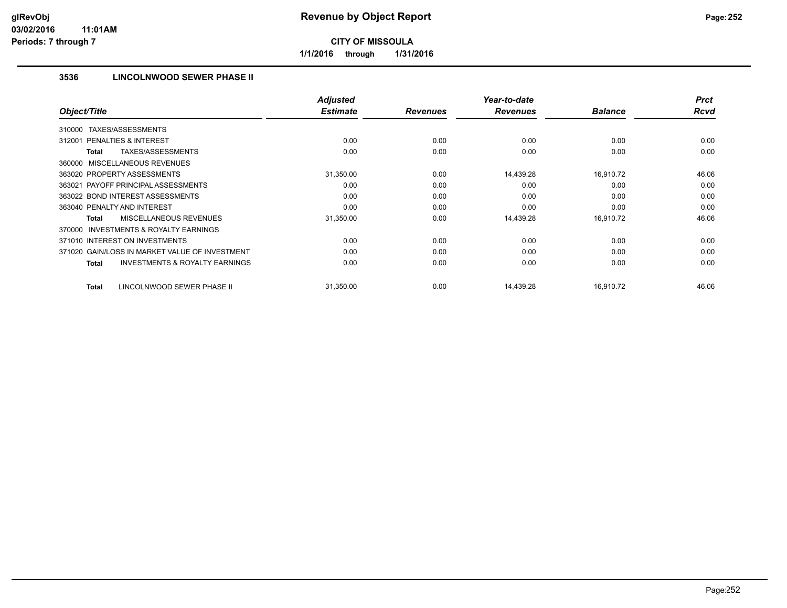**1/1/2016 through 1/31/2016**

# **3536 LINCOLNWOOD SEWER PHASE II**

|                                                           | <b>Adjusted</b> |                 | Year-to-date    |                | <b>Prct</b> |
|-----------------------------------------------------------|-----------------|-----------------|-----------------|----------------|-------------|
| Object/Title                                              | <b>Estimate</b> | <b>Revenues</b> | <b>Revenues</b> | <b>Balance</b> | <b>Rcvd</b> |
| TAXES/ASSESSMENTS<br>310000                               |                 |                 |                 |                |             |
| <b>PENALTIES &amp; INTEREST</b><br>312001                 | 0.00            | 0.00            | 0.00            | 0.00           | 0.00        |
| TAXES/ASSESSMENTS<br>Total                                | 0.00            | 0.00            | 0.00            | 0.00           | 0.00        |
| 360000 MISCELLANEOUS REVENUES                             |                 |                 |                 |                |             |
| 363020 PROPERTY ASSESSMENTS                               | 31,350.00       | 0.00            | 14,439.28       | 16,910.72      | 46.06       |
| 363021 PAYOFF PRINCIPAL ASSESSMENTS                       | 0.00            | 0.00            | 0.00            | 0.00           | 0.00        |
| 363022 BOND INTEREST ASSESSMENTS                          | 0.00            | 0.00            | 0.00            | 0.00           | 0.00        |
| 363040 PENALTY AND INTEREST                               | 0.00            | 0.00            | 0.00            | 0.00           | 0.00        |
| <b>MISCELLANEOUS REVENUES</b><br>Total                    | 31,350.00       | 0.00            | 14,439.28       | 16,910.72      | 46.06       |
| <b>INVESTMENTS &amp; ROYALTY EARNINGS</b><br>370000       |                 |                 |                 |                |             |
| 371010 INTEREST ON INVESTMENTS                            | 0.00            | 0.00            | 0.00            | 0.00           | 0.00        |
| 371020 GAIN/LOSS IN MARKET VALUE OF INVESTMENT            | 0.00            | 0.00            | 0.00            | 0.00           | 0.00        |
| <b>INVESTMENTS &amp; ROYALTY EARNINGS</b><br><b>Total</b> | 0.00            | 0.00            | 0.00            | 0.00           | 0.00        |
| LINCOLNWOOD SEWER PHASE II<br><b>Total</b>                | 31,350.00       | 0.00            | 14,439.28       | 16,910.72      | 46.06       |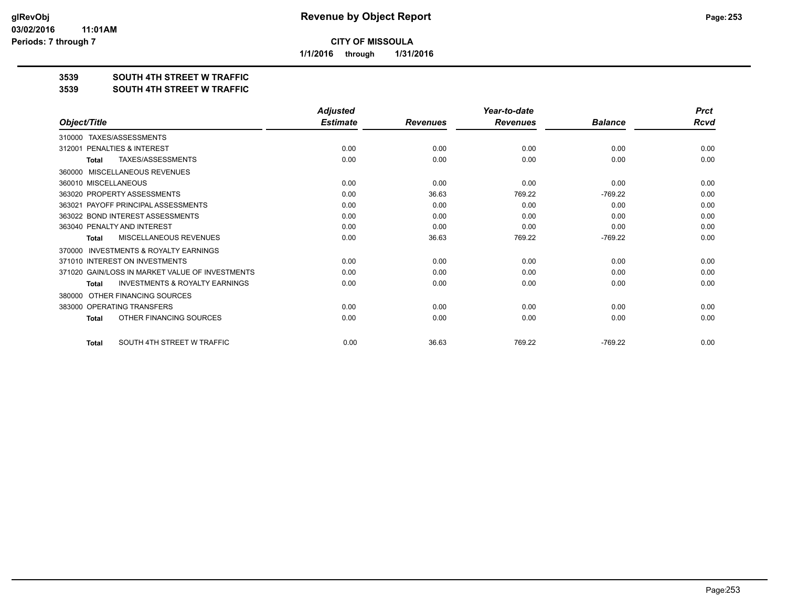**1/1/2016 through 1/31/2016**

### **3539 SOUTH 4TH STREET W TRAFFIC**

#### **3539 SOUTH 4TH STREET W TRAFFIC**

|                                                           | <b>Adjusted</b> |                 | Year-to-date    |                | <b>Prct</b> |
|-----------------------------------------------------------|-----------------|-----------------|-----------------|----------------|-------------|
| Object/Title                                              | <b>Estimate</b> | <b>Revenues</b> | <b>Revenues</b> | <b>Balance</b> | <b>Rcvd</b> |
| TAXES/ASSESSMENTS<br>310000                               |                 |                 |                 |                |             |
| PENALTIES & INTEREST<br>312001                            | 0.00            | 0.00            | 0.00            | 0.00           | 0.00        |
| TAXES/ASSESSMENTS<br><b>Total</b>                         | 0.00            | 0.00            | 0.00            | 0.00           | 0.00        |
| MISCELLANEOUS REVENUES<br>360000                          |                 |                 |                 |                |             |
| 360010 MISCELLANEOUS                                      | 0.00            | 0.00            | 0.00            | 0.00           | 0.00        |
| 363020 PROPERTY ASSESSMENTS                               | 0.00            | 36.63           | 769.22          | $-769.22$      | 0.00        |
| 363021 PAYOFF PRINCIPAL ASSESSMENTS                       | 0.00            | 0.00            | 0.00            | 0.00           | 0.00        |
| 363022 BOND INTEREST ASSESSMENTS                          | 0.00            | 0.00            | 0.00            | 0.00           | 0.00        |
| 363040 PENALTY AND INTEREST                               | 0.00            | 0.00            | 0.00            | 0.00           | 0.00        |
| MISCELLANEOUS REVENUES<br><b>Total</b>                    | 0.00            | 36.63           | 769.22          | $-769.22$      | 0.00        |
| <b>INVESTMENTS &amp; ROYALTY EARNINGS</b><br>370000       |                 |                 |                 |                |             |
| 371010 INTEREST ON INVESTMENTS                            | 0.00            | 0.00            | 0.00            | 0.00           | 0.00        |
| 371020 GAIN/LOSS IN MARKET VALUE OF INVESTMENTS           | 0.00            | 0.00            | 0.00            | 0.00           | 0.00        |
| <b>INVESTMENTS &amp; ROYALTY EARNINGS</b><br><b>Total</b> | 0.00            | 0.00            | 0.00            | 0.00           | 0.00        |
| OTHER FINANCING SOURCES<br>380000                         |                 |                 |                 |                |             |
| 383000 OPERATING TRANSFERS                                | 0.00            | 0.00            | 0.00            | 0.00           | 0.00        |
| OTHER FINANCING SOURCES<br><b>Total</b>                   | 0.00            | 0.00            | 0.00            | 0.00           | 0.00        |
| SOUTH 4TH STREET W TRAFFIC<br><b>Total</b>                | 0.00            | 36.63           | 769.22          | $-769.22$      | 0.00        |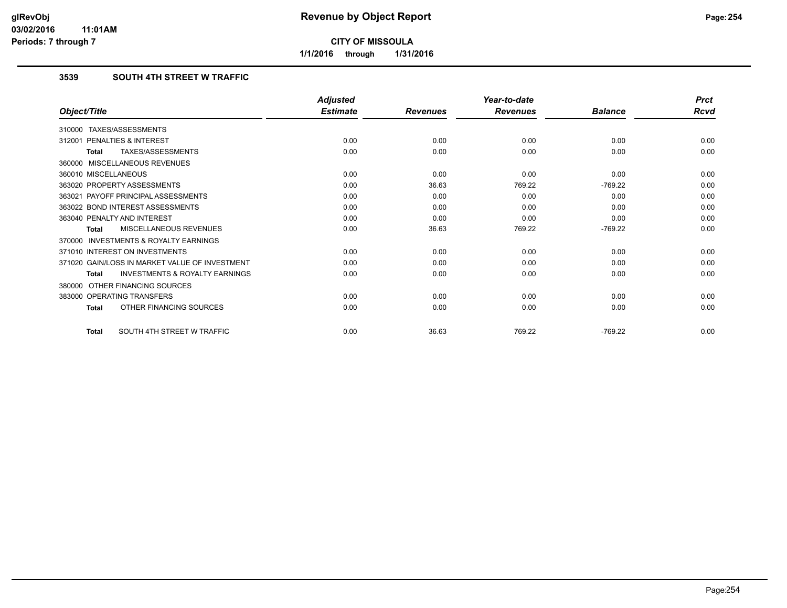**1/1/2016 through 1/31/2016**

# **3539 SOUTH 4TH STREET W TRAFFIC**

|                                                           | <b>Adjusted</b> |                 | Year-to-date    |                | <b>Prct</b> |
|-----------------------------------------------------------|-----------------|-----------------|-----------------|----------------|-------------|
| Object/Title                                              | <b>Estimate</b> | <b>Revenues</b> | <b>Revenues</b> | <b>Balance</b> | Rcvd        |
| 310000 TAXES/ASSESSMENTS                                  |                 |                 |                 |                |             |
| PENALTIES & INTEREST<br>312001                            | 0.00            | 0.00            | 0.00            | 0.00           | 0.00        |
| TAXES/ASSESSMENTS<br><b>Total</b>                         | 0.00            | 0.00            | 0.00            | 0.00           | 0.00        |
| 360000 MISCELLANEOUS REVENUES                             |                 |                 |                 |                |             |
| 360010 MISCELLANEOUS                                      | 0.00            | 0.00            | 0.00            | 0.00           | 0.00        |
| 363020 PROPERTY ASSESSMENTS                               | 0.00            | 36.63           | 769.22          | $-769.22$      | 0.00        |
| 363021 PAYOFF PRINCIPAL ASSESSMENTS                       | 0.00            | 0.00            | 0.00            | 0.00           | 0.00        |
| 363022 BOND INTEREST ASSESSMENTS                          | 0.00            | 0.00            | 0.00            | 0.00           | 0.00        |
| 363040 PENALTY AND INTEREST                               | 0.00            | 0.00            | 0.00            | 0.00           | 0.00        |
| MISCELLANEOUS REVENUES<br><b>Total</b>                    | 0.00            | 36.63           | 769.22          | $-769.22$      | 0.00        |
| <b>INVESTMENTS &amp; ROYALTY EARNINGS</b><br>370000       |                 |                 |                 |                |             |
| 371010 INTEREST ON INVESTMENTS                            | 0.00            | 0.00            | 0.00            | 0.00           | 0.00        |
| 371020 GAIN/LOSS IN MARKET VALUE OF INVESTMENT            | 0.00            | 0.00            | 0.00            | 0.00           | 0.00        |
| <b>INVESTMENTS &amp; ROYALTY EARNINGS</b><br><b>Total</b> | 0.00            | 0.00            | 0.00            | 0.00           | 0.00        |
| OTHER FINANCING SOURCES<br>380000                         |                 |                 |                 |                |             |
| 383000 OPERATING TRANSFERS                                | 0.00            | 0.00            | 0.00            | 0.00           | 0.00        |
| OTHER FINANCING SOURCES<br><b>Total</b>                   | 0.00            | 0.00            | 0.00            | 0.00           | 0.00        |
| SOUTH 4TH STREET W TRAFFIC<br><b>Total</b>                | 0.00            | 36.63           | 769.22          | $-769.22$      | 0.00        |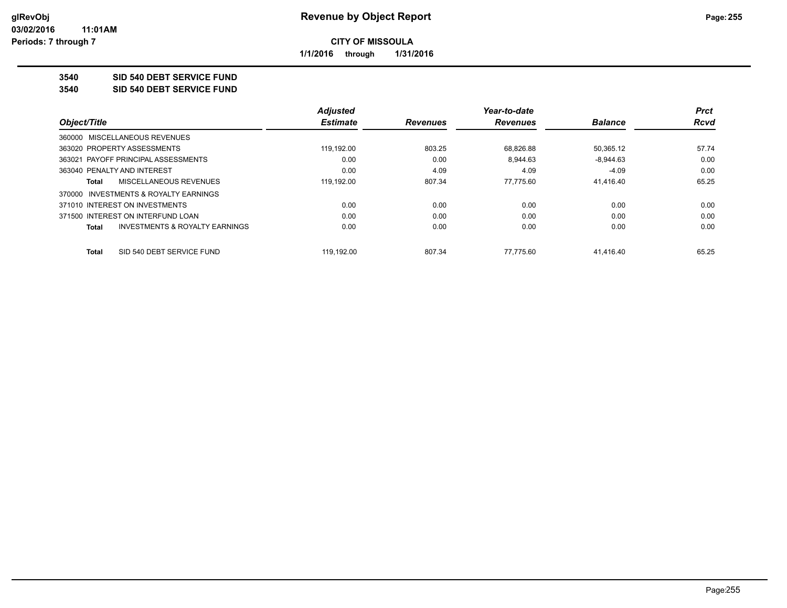**1/1/2016 through 1/31/2016**

**3540 SID 540 DEBT SERVICE FUND**

**3540 SID 540 DEBT SERVICE FUND**

|                                                    | <b>Adjusted</b> |                 | Year-to-date    |                | <b>Prct</b> |
|----------------------------------------------------|-----------------|-----------------|-----------------|----------------|-------------|
| Object/Title                                       | <b>Estimate</b> | <b>Revenues</b> | <b>Revenues</b> | <b>Balance</b> | Rcvd        |
| 360000 MISCELLANEOUS REVENUES                      |                 |                 |                 |                |             |
| 363020 PROPERTY ASSESSMENTS                        | 119.192.00      | 803.25          | 68.826.88       | 50.365.12      | 57.74       |
| 363021 PAYOFF PRINCIPAL ASSESSMENTS                | 0.00            | 0.00            | 8.944.63        | $-8.944.63$    | 0.00        |
| 363040 PENALTY AND INTEREST                        | 0.00            | 4.09            | 4.09            | $-4.09$        | 0.00        |
| MISCELLANEOUS REVENUES<br>Total                    | 119.192.00      | 807.34          | 77.775.60       | 41.416.40      | 65.25       |
| 370000 INVESTMENTS & ROYALTY EARNINGS              |                 |                 |                 |                |             |
| 371010 INTEREST ON INVESTMENTS                     | 0.00            | 0.00            | 0.00            | 0.00           | 0.00        |
| 371500 INTEREST ON INTERFUND LOAN                  | 0.00            | 0.00            | 0.00            | 0.00           | 0.00        |
| <b>INVESTMENTS &amp; ROYALTY EARNINGS</b><br>Total | 0.00            | 0.00            | 0.00            | 0.00           | 0.00        |
| SID 540 DEBT SERVICE FUND<br>Total                 | 119.192.00      | 807.34          | 77.775.60       | 41.416.40      | 65.25       |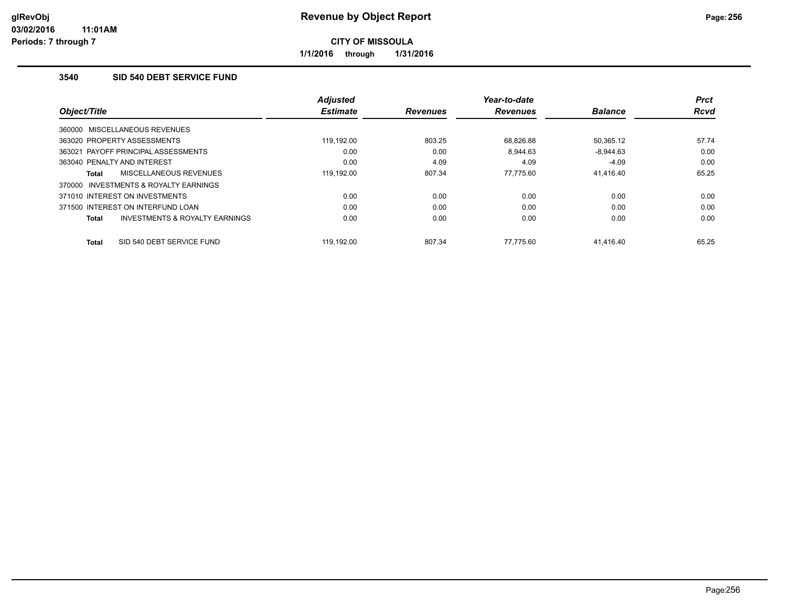**1/1/2016 through 1/31/2016**

# **3540 SID 540 DEBT SERVICE FUND**

| Object/Title                                              | <b>Adiusted</b><br><b>Estimate</b> | <b>Revenues</b> | Year-to-date<br><b>Revenues</b> | <b>Balance</b> | <b>Prct</b><br><b>Rcvd</b> |
|-----------------------------------------------------------|------------------------------------|-----------------|---------------------------------|----------------|----------------------------|
| 360000 MISCELLANEOUS REVENUES                             |                                    |                 |                                 |                |                            |
| 363020 PROPERTY ASSESSMENTS                               | 119.192.00                         | 803.25          | 68.826.88                       | 50,365.12      | 57.74                      |
| 363021 PAYOFF PRINCIPAL ASSESSMENTS                       | 0.00                               | 0.00            | 8.944.63                        | $-8.944.63$    | 0.00                       |
| 363040 PENALTY AND INTEREST                               | 0.00                               | 4.09            | 4.09                            | $-4.09$        | 0.00                       |
| MISCELLANEOUS REVENUES<br><b>Total</b>                    | 119,192.00                         | 807.34          | 77.775.60                       | 41,416.40      | 65.25                      |
| INVESTMENTS & ROYALTY EARNINGS<br>370000                  |                                    |                 |                                 |                |                            |
| 371010 INTEREST ON INVESTMENTS                            | 0.00                               | 0.00            | 0.00                            | 0.00           | 0.00                       |
| 371500 INTEREST ON INTERFUND LOAN                         | 0.00                               | 0.00            | 0.00                            | 0.00           | 0.00                       |
| <b>INVESTMENTS &amp; ROYALTY EARNINGS</b><br><b>Total</b> | 0.00                               | 0.00            | 0.00                            | 0.00           | 0.00                       |
| SID 540 DEBT SERVICE FUND<br><b>Total</b>                 | 119.192.00                         | 807.34          | 77.775.60                       | 41.416.40      | 65.25                      |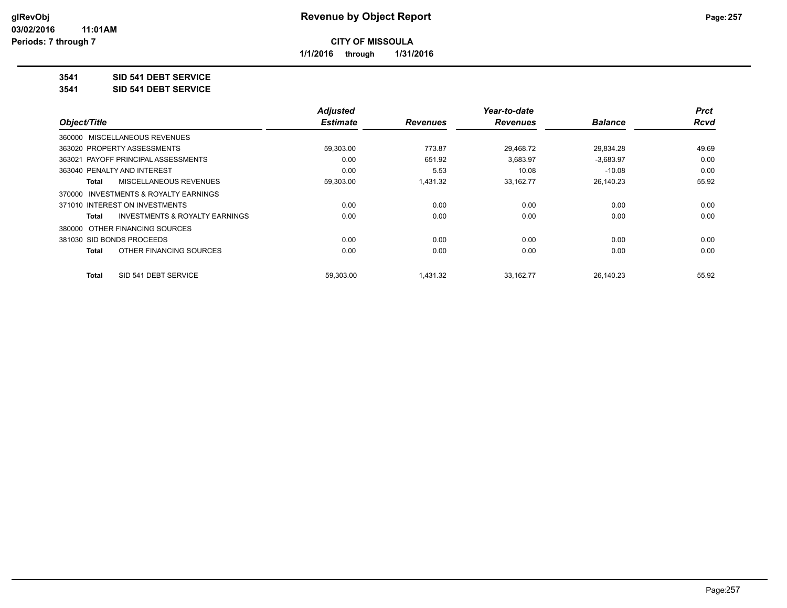**1/1/2016 through 1/31/2016**

# **3541 SID 541 DEBT SERVICE**

**3541 SID 541 DEBT SERVICE**

|                                         | <b>Adjusted</b> |                 | Year-to-date    |                | <b>Prct</b> |
|-----------------------------------------|-----------------|-----------------|-----------------|----------------|-------------|
| Object/Title                            | <b>Estimate</b> | <b>Revenues</b> | <b>Revenues</b> | <b>Balance</b> | <b>Rcvd</b> |
| 360000 MISCELLANEOUS REVENUES           |                 |                 |                 |                |             |
| 363020 PROPERTY ASSESSMENTS             | 59,303.00       | 773.87          | 29,468.72       | 29,834.28      | 49.69       |
| 363021 PAYOFF PRINCIPAL ASSESSMENTS     | 0.00            | 651.92          | 3,683.97        | $-3,683.97$    | 0.00        |
| 363040 PENALTY AND INTEREST             | 0.00            | 5.53            | 10.08           | $-10.08$       | 0.00        |
| MISCELLANEOUS REVENUES<br>Total         | 59,303.00       | 1,431.32        | 33,162.77       | 26,140.23      | 55.92       |
| 370000 INVESTMENTS & ROYALTY EARNINGS   |                 |                 |                 |                |             |
| 371010 INTEREST ON INVESTMENTS          | 0.00            | 0.00            | 0.00            | 0.00           | 0.00        |
| INVESTMENTS & ROYALTY EARNINGS<br>Total | 0.00            | 0.00            | 0.00            | 0.00           | 0.00        |
| 380000 OTHER FINANCING SOURCES          |                 |                 |                 |                |             |
| 381030 SID BONDS PROCEEDS               | 0.00            | 0.00            | 0.00            | 0.00           | 0.00        |
| OTHER FINANCING SOURCES<br>Total        | 0.00            | 0.00            | 0.00            | 0.00           | 0.00        |
| SID 541 DEBT SERVICE<br>Total           | 59.303.00       | 1.431.32        | 33.162.77       | 26.140.23      | 55.92       |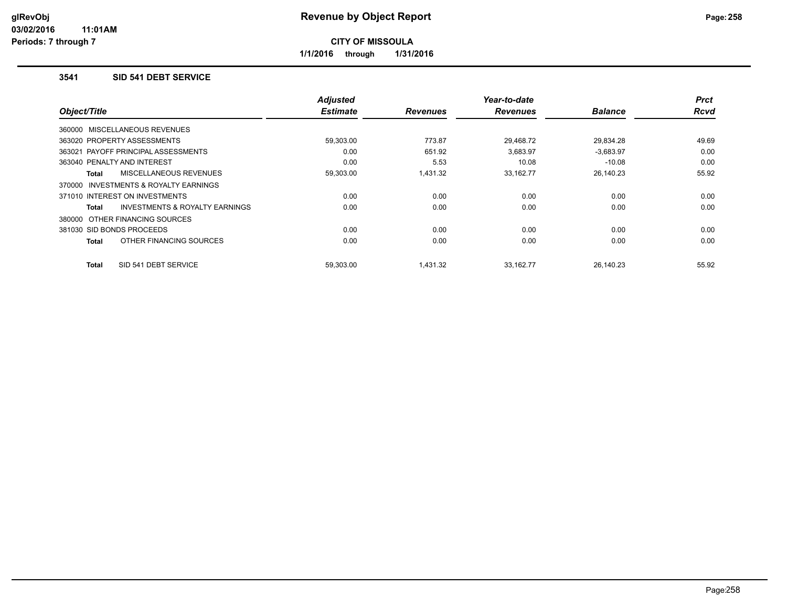**1/1/2016 through 1/31/2016**

#### **3541 SID 541 DEBT SERVICE**

| Object/Title                                       | <b>Adjusted</b><br><b>Estimate</b> | <b>Revenues</b> | Year-to-date<br><b>Revenues</b> | <b>Balance</b> | <b>Prct</b><br><b>Rcvd</b> |
|----------------------------------------------------|------------------------------------|-----------------|---------------------------------|----------------|----------------------------|
|                                                    |                                    |                 |                                 |                |                            |
| 360000 MISCELLANEOUS REVENUES                      |                                    |                 |                                 |                |                            |
| 363020 PROPERTY ASSESSMENTS                        | 59,303.00                          | 773.87          | 29,468.72                       | 29,834.28      | 49.69                      |
| 363021 PAYOFF PRINCIPAL ASSESSMENTS                | 0.00                               | 651.92          | 3,683.97                        | $-3,683.97$    | 0.00                       |
| 363040 PENALTY AND INTEREST                        | 0.00                               | 5.53            | 10.08                           | $-10.08$       | 0.00                       |
| MISCELLANEOUS REVENUES<br>Total                    | 59,303.00                          | 1.431.32        | 33,162.77                       | 26,140.23      | 55.92                      |
| INVESTMENTS & ROYALTY EARNINGS<br>370000           |                                    |                 |                                 |                |                            |
| 371010 INTEREST ON INVESTMENTS                     | 0.00                               | 0.00            | 0.00                            | 0.00           | 0.00                       |
| <b>INVESTMENTS &amp; ROYALTY EARNINGS</b><br>Total | 0.00                               | 0.00            | 0.00                            | 0.00           | 0.00                       |
| 380000 OTHER FINANCING SOURCES                     |                                    |                 |                                 |                |                            |
| 381030 SID BONDS PROCEEDS                          | 0.00                               | 0.00            | 0.00                            | 0.00           | 0.00                       |
| OTHER FINANCING SOURCES<br><b>Total</b>            | 0.00                               | 0.00            | 0.00                            | 0.00           | 0.00                       |
| SID 541 DEBT SERVICE<br><b>Total</b>               | 59,303.00                          | 1,431.32        | 33,162.77                       | 26,140.23      | 55.92                      |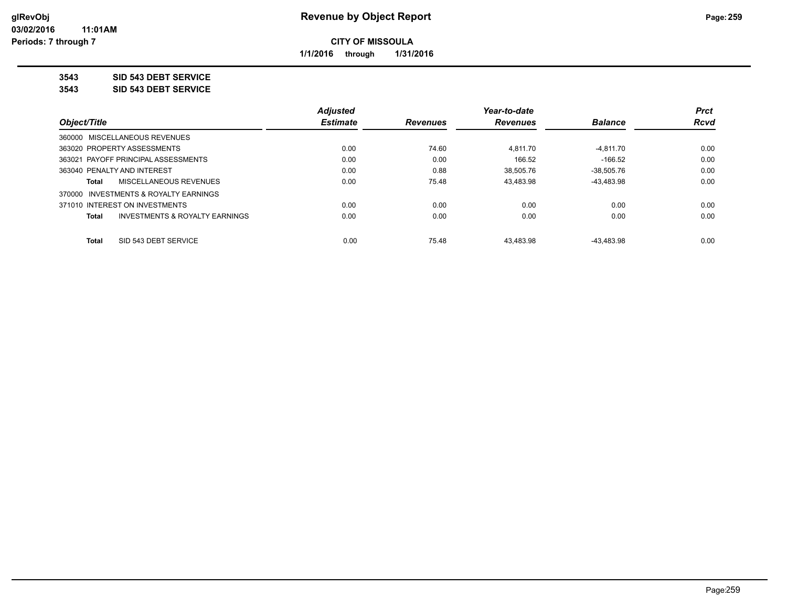**1/1/2016 through 1/31/2016**

**3543 SID 543 DEBT SERVICE**

**3543 SID 543 DEBT SERVICE**

|                                                | <b>Adjusted</b> |                 | Year-to-date    |                | <b>Prct</b> |
|------------------------------------------------|-----------------|-----------------|-----------------|----------------|-------------|
| Object/Title                                   | <b>Estimate</b> | <b>Revenues</b> | <b>Revenues</b> | <b>Balance</b> | Rcvd        |
| 360000 MISCELLANEOUS REVENUES                  |                 |                 |                 |                |             |
| 363020 PROPERTY ASSESSMENTS                    | 0.00            | 74.60           | 4,811.70        | -4.811.70      | 0.00        |
| 363021 PAYOFF PRINCIPAL ASSESSMENTS            | 0.00            | 0.00            | 166.52          | $-166.52$      | 0.00        |
| 363040 PENALTY AND INTEREST                    | 0.00            | 0.88            | 38.505.76       | $-38.505.76$   | 0.00        |
| MISCELLANEOUS REVENUES<br>Total                | 0.00            | 75.48           | 43.483.98       | -43.483.98     | 0.00        |
| 370000 INVESTMENTS & ROYALTY EARNINGS          |                 |                 |                 |                |             |
| 371010 INTEREST ON INVESTMENTS                 | 0.00            | 0.00            | 0.00            | 0.00           | 0.00        |
| INVESTMENTS & ROYALTY EARNINGS<br><b>Total</b> | 0.00            | 0.00            | 0.00            | 0.00           | 0.00        |
| SID 543 DEBT SERVICE<br><b>Total</b>           | 0.00            | 75.48           | 43.483.98       | -43.483.98     | 0.00        |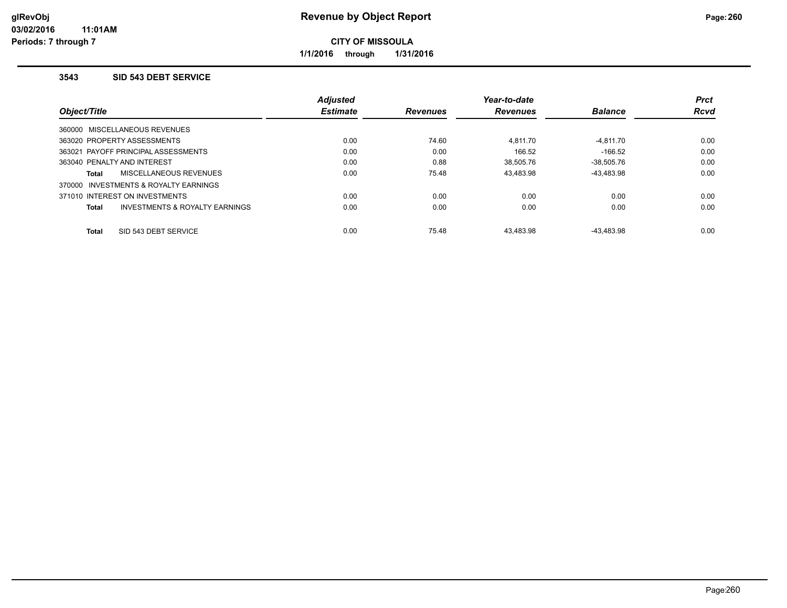**1/1/2016 through 1/31/2016**

#### **3543 SID 543 DEBT SERVICE**

|                                                           | <b>Adjusted</b> |                 | Year-to-date    |                | <b>Prct</b> |
|-----------------------------------------------------------|-----------------|-----------------|-----------------|----------------|-------------|
| Object/Title                                              | <b>Estimate</b> | <b>Revenues</b> | <b>Revenues</b> | <b>Balance</b> | <b>Rcvd</b> |
| 360000 MISCELLANEOUS REVENUES                             |                 |                 |                 |                |             |
| 363020 PROPERTY ASSESSMENTS                               | 0.00            | 74.60           | 4,811.70        | $-4,811.70$    | 0.00        |
| 363021 PAYOFF PRINCIPAL ASSESSMENTS                       | 0.00            | 0.00            | 166.52          | $-166.52$      | 0.00        |
| 363040 PENALTY AND INTEREST                               | 0.00            | 0.88            | 38.505.76       | $-38.505.76$   | 0.00        |
| <b>MISCELLANEOUS REVENUES</b><br>Total                    | 0.00            | 75.48           | 43.483.98       | -43.483.98     | 0.00        |
| 370000 INVESTMENTS & ROYALTY EARNINGS                     |                 |                 |                 |                |             |
| 371010 INTEREST ON INVESTMENTS                            | 0.00            | 0.00            | 0.00            | 0.00           | 0.00        |
| <b>INVESTMENTS &amp; ROYALTY EARNINGS</b><br><b>Total</b> | 0.00            | 0.00            | 0.00            | 0.00           | 0.00        |
| SID 543 DEBT SERVICE<br><b>Total</b>                      | 0.00            | 75.48           | 43.483.98       | -43.483.98     | 0.00        |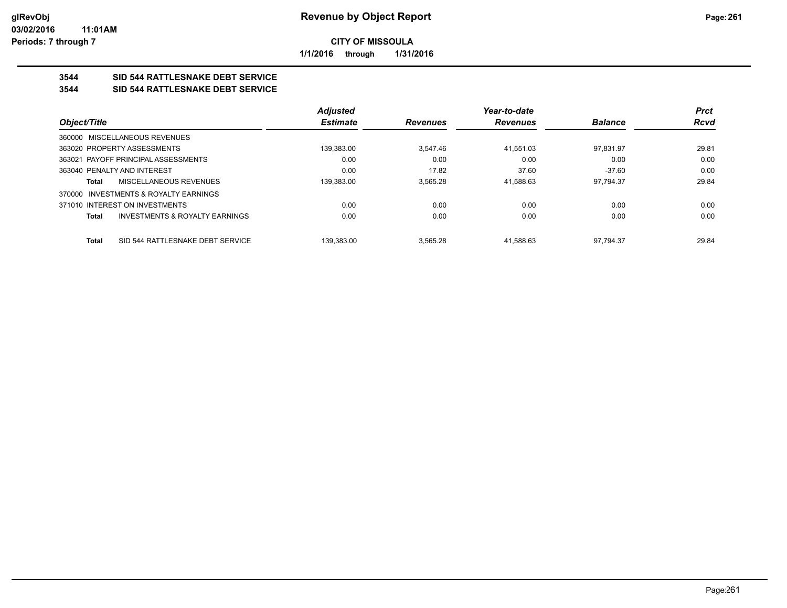**1/1/2016 through 1/31/2016**

# **3544 SID 544 RATTLESNAKE DEBT SERVICE**

### **3544 SID 544 RATTLESNAKE DEBT SERVICE**

|                                       |                                           | <b>Adjusted</b> |                 | Year-to-date    |                | <b>Prct</b> |
|---------------------------------------|-------------------------------------------|-----------------|-----------------|-----------------|----------------|-------------|
| Object/Title                          |                                           | <b>Estimate</b> | <b>Revenues</b> | <b>Revenues</b> | <b>Balance</b> | Rcvd        |
| 360000 MISCELLANEOUS REVENUES         |                                           |                 |                 |                 |                |             |
| 363020 PROPERTY ASSESSMENTS           |                                           | 139,383.00      | 3,547.46        | 41,551.03       | 97.831.97      | 29.81       |
| 363021 PAYOFF PRINCIPAL ASSESSMENTS   |                                           | 0.00            | 0.00            | 0.00            | 0.00           | 0.00        |
| 363040 PENALTY AND INTEREST           |                                           | 0.00            | 17.82           | 37.60           | $-37.60$       | 0.00        |
| <b>Total</b>                          | MISCELLANEOUS REVENUES                    | 139.383.00      | 3.565.28        | 41.588.63       | 97.794.37      | 29.84       |
| 370000 INVESTMENTS & ROYALTY EARNINGS |                                           |                 |                 |                 |                |             |
| 371010 INTEREST ON INVESTMENTS        |                                           | 0.00            | 0.00            | 0.00            | 0.00           | 0.00        |
| <b>Total</b>                          | <b>INVESTMENTS &amp; ROYALTY EARNINGS</b> | 0.00            | 0.00            | 0.00            | 0.00           | 0.00        |
| <b>Total</b>                          | SID 544 RATTLESNAKE DEBT SERVICE          | 139.383.00      | 3.565.28        | 41.588.63       | 97.794.37      | 29.84       |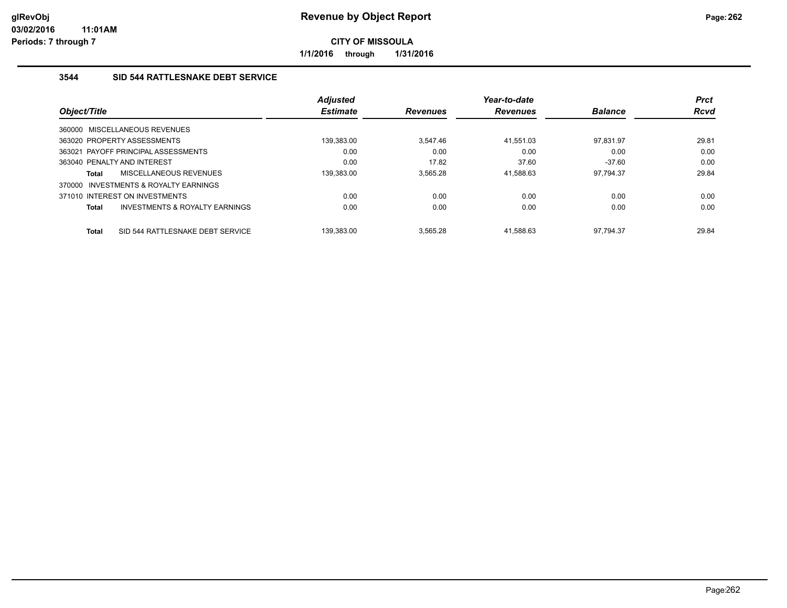**1/1/2016 through 1/31/2016**

# **3544 SID 544 RATTLESNAKE DEBT SERVICE**

|              |                                     | <b>Adjusted</b> |                 | Year-to-date    |                | <b>Prct</b> |
|--------------|-------------------------------------|-----------------|-----------------|-----------------|----------------|-------------|
| Object/Title |                                     | <b>Estimate</b> | <b>Revenues</b> | <b>Revenues</b> | <b>Balance</b> | <b>Rcvd</b> |
|              | 360000 MISCELLANEOUS REVENUES       |                 |                 |                 |                |             |
|              | 363020 PROPERTY ASSESSMENTS         | 139,383.00      | 3.547.46        | 41,551.03       | 97,831.97      | 29.81       |
|              | 363021 PAYOFF PRINCIPAL ASSESSMENTS | 0.00            | 0.00            | 0.00            | 0.00           | 0.00        |
|              | 363040 PENALTY AND INTEREST         | 0.00            | 17.82           | 37.60           | $-37.60$       | 0.00        |
| <b>Total</b> | <b>MISCELLANEOUS REVENUES</b>       | 139.383.00      | 3.565.28        | 41.588.63       | 97.794.37      | 29.84       |
| 370000       | INVESTMENTS & ROYALTY EARNINGS      |                 |                 |                 |                |             |
|              | 371010 INTEREST ON INVESTMENTS      | 0.00            | 0.00            | 0.00            | 0.00           | 0.00        |
| <b>Total</b> | INVESTMENTS & ROYALTY EARNINGS      | 0.00            | 0.00            | 0.00            | 0.00           | 0.00        |
| <b>Total</b> | SID 544 RATTLESNAKE DEBT SERVICE    | 139.383.00      | 3.565.28        | 41.588.63       | 97.794.37      | 29.84       |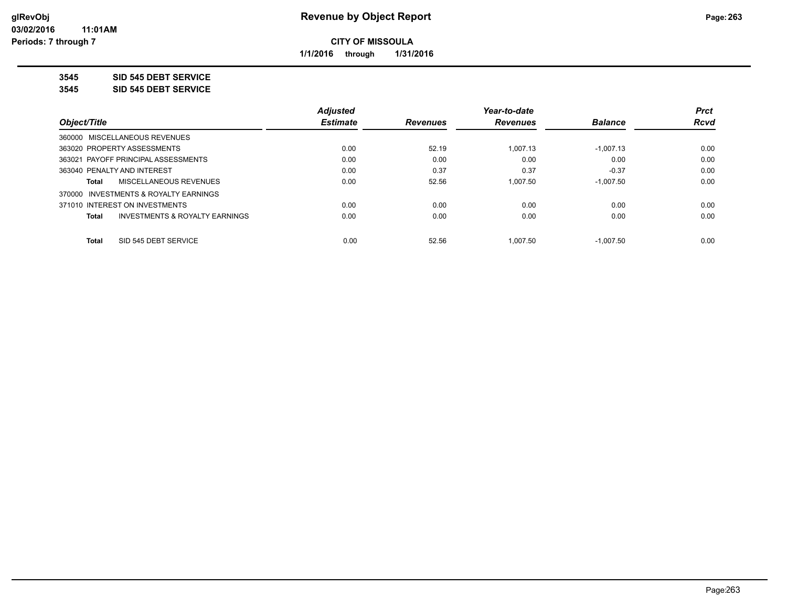**1/1/2016 through 1/31/2016**

**3545 SID 545 DEBT SERVICE**

**3545 SID 545 DEBT SERVICE**

|                                                    | <b>Adjusted</b> |                 | Year-to-date    |                | <b>Prct</b> |
|----------------------------------------------------|-----------------|-----------------|-----------------|----------------|-------------|
| Object/Title                                       | <b>Estimate</b> | <b>Revenues</b> | <b>Revenues</b> | <b>Balance</b> | <b>Rcvd</b> |
| 360000 MISCELLANEOUS REVENUES                      |                 |                 |                 |                |             |
| 363020 PROPERTY ASSESSMENTS                        | 0.00            | 52.19           | 1.007.13        | $-1.007.13$    | 0.00        |
| 363021 PAYOFF PRINCIPAL ASSESSMENTS                | 0.00            | 0.00            | 0.00            | 0.00           | 0.00        |
| 363040 PENALTY AND INTEREST                        | 0.00            | 0.37            | 0.37            | $-0.37$        | 0.00        |
| MISCELLANEOUS REVENUES<br>Total                    | 0.00            | 52.56           | 1.007.50        | $-1.007.50$    | 0.00        |
| 370000 INVESTMENTS & ROYALTY EARNINGS              |                 |                 |                 |                |             |
| 371010 INTEREST ON INVESTMENTS                     | 0.00            | 0.00            | 0.00            | 0.00           | 0.00        |
| <b>INVESTMENTS &amp; ROYALTY EARNINGS</b><br>Total | 0.00            | 0.00            | 0.00            | 0.00           | 0.00        |
| SID 545 DEBT SERVICE<br><b>Total</b>               | 0.00            | 52.56           | 1.007.50        | $-1.007.50$    | 0.00        |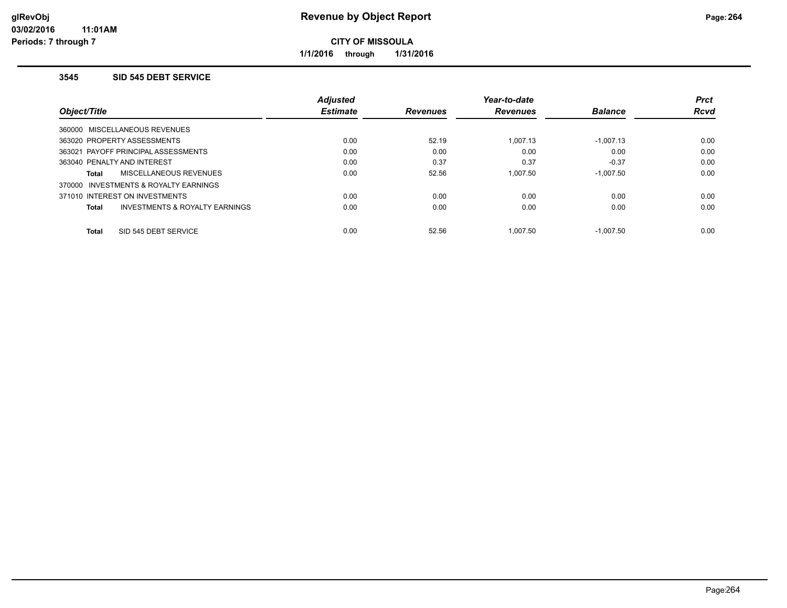**1/1/2016 through 1/31/2016**

#### **3545 SID 545 DEBT SERVICE**

|                                         | <b>Adjusted</b> |                 | Year-to-date    |                | <b>Prct</b> |
|-----------------------------------------|-----------------|-----------------|-----------------|----------------|-------------|
| Object/Title                            | <b>Estimate</b> | <b>Revenues</b> | <b>Revenues</b> | <b>Balance</b> | <b>Rcvd</b> |
| 360000 MISCELLANEOUS REVENUES           |                 |                 |                 |                |             |
| 363020 PROPERTY ASSESSMENTS             | 0.00            | 52.19           | 1.007.13        | $-1,007.13$    | 0.00        |
| 363021 PAYOFF PRINCIPAL ASSESSMENTS     | 0.00            | 0.00            | 0.00            | 0.00           | 0.00        |
| 363040 PENALTY AND INTEREST             | 0.00            | 0.37            | 0.37            | $-0.37$        | 0.00        |
| MISCELLANEOUS REVENUES<br>Total         | 0.00            | 52.56           | 1.007.50        | $-1.007.50$    | 0.00        |
| 370000 INVESTMENTS & ROYALTY EARNINGS   |                 |                 |                 |                |             |
| 371010 INTEREST ON INVESTMENTS          | 0.00            | 0.00            | 0.00            | 0.00           | 0.00        |
| INVESTMENTS & ROYALTY EARNINGS<br>Total | 0.00            | 0.00            | 0.00            | 0.00           | 0.00        |
| SID 545 DEBT SERVICE<br><b>Total</b>    | 0.00            | 52.56           | 1.007.50        | $-1.007.50$    | 0.00        |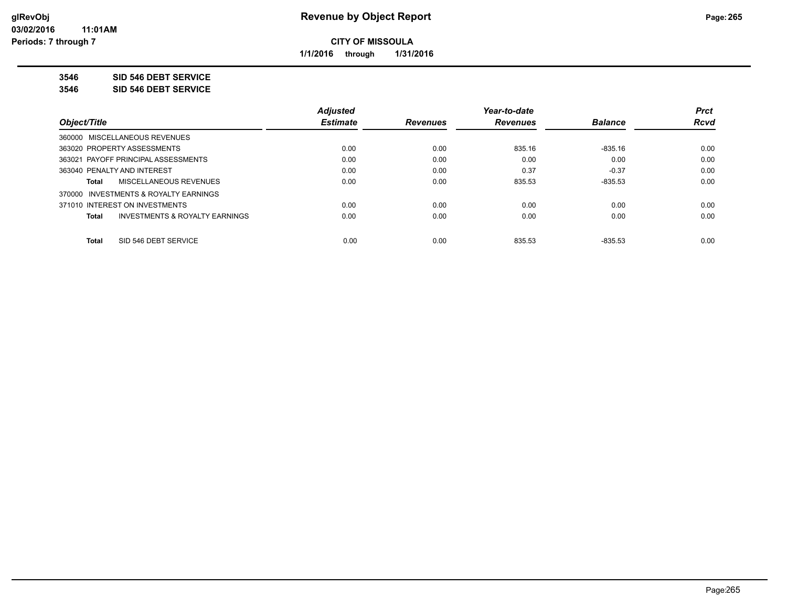**1/1/2016 through 1/31/2016**

**3546 SID 546 DEBT SERVICE**

**3546 SID 546 DEBT SERVICE**

|                                                | <b>Adjusted</b> |                 | Year-to-date    |                | <b>Prct</b> |
|------------------------------------------------|-----------------|-----------------|-----------------|----------------|-------------|
| Obiect/Title                                   | <b>Estimate</b> | <b>Revenues</b> | <b>Revenues</b> | <b>Balance</b> | Rcvd        |
| 360000 MISCELLANEOUS REVENUES                  |                 |                 |                 |                |             |
| 363020 PROPERTY ASSESSMENTS                    | 0.00            | 0.00            | 835.16          | $-835.16$      | 0.00        |
| 363021 PAYOFF PRINCIPAL ASSESSMENTS            | 0.00            | 0.00            | 0.00            | 0.00           | 0.00        |
| 363040 PENALTY AND INTEREST                    | 0.00            | 0.00            | 0.37            | $-0.37$        | 0.00        |
| MISCELLANEOUS REVENUES<br>Total                | 0.00            | 0.00            | 835.53          | $-835.53$      | 0.00        |
| 370000 INVESTMENTS & ROYALTY EARNINGS          |                 |                 |                 |                |             |
| 371010 INTEREST ON INVESTMENTS                 | 0.00            | 0.00            | 0.00            | 0.00           | 0.00        |
| INVESTMENTS & ROYALTY EARNINGS<br><b>Total</b> | 0.00            | 0.00            | 0.00            | 0.00           | 0.00        |
| SID 546 DEBT SERVICE<br><b>Total</b>           | 0.00            | 0.00            | 835.53          | $-835.53$      | 0.00        |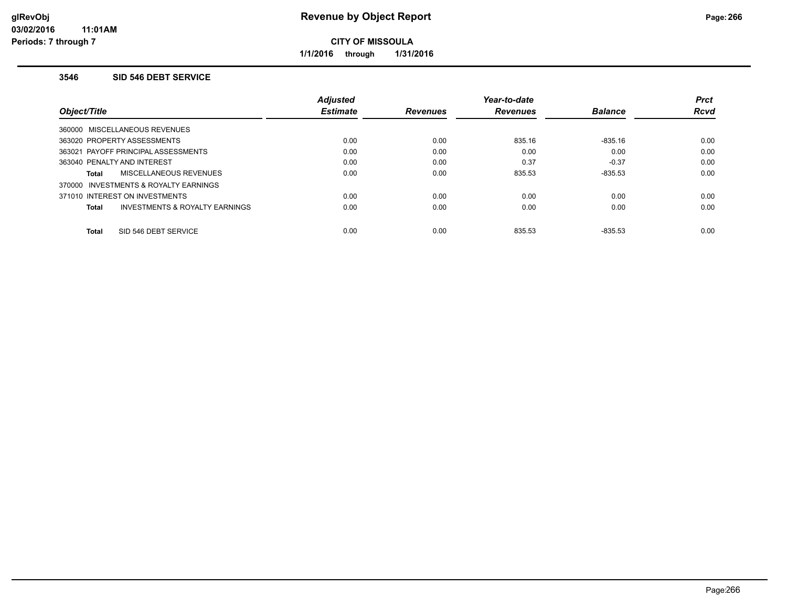**1/1/2016 through 1/31/2016**

#### **3546 SID 546 DEBT SERVICE**

|                                                | <b>Adjusted</b> |                 | Year-to-date    |                | <b>Prct</b> |
|------------------------------------------------|-----------------|-----------------|-----------------|----------------|-------------|
| Object/Title                                   | <b>Estimate</b> | <b>Revenues</b> | <b>Revenues</b> | <b>Balance</b> | <b>Rcvd</b> |
| 360000 MISCELLANEOUS REVENUES                  |                 |                 |                 |                |             |
| 363020 PROPERTY ASSESSMENTS                    | 0.00            | 0.00            | 835.16          | $-835.16$      | 0.00        |
| 363021 PAYOFF PRINCIPAL ASSESSMENTS            | 0.00            | 0.00            | 0.00            | 0.00           | 0.00        |
| 363040 PENALTY AND INTEREST                    | 0.00            | 0.00            | 0.37            | $-0.37$        | 0.00        |
| MISCELLANEOUS REVENUES<br><b>Total</b>         | 0.00            | 0.00            | 835.53          | $-835.53$      | 0.00        |
| 370000 INVESTMENTS & ROYALTY EARNINGS          |                 |                 |                 |                |             |
| 371010 INTEREST ON INVESTMENTS                 | 0.00            | 0.00            | 0.00            | 0.00           | 0.00        |
| INVESTMENTS & ROYALTY EARNINGS<br><b>Total</b> | 0.00            | 0.00            | 0.00            | 0.00           | 0.00        |
| SID 546 DEBT SERVICE<br><b>Total</b>           | 0.00            | 0.00            | 835.53          | $-835.53$      | 0.00        |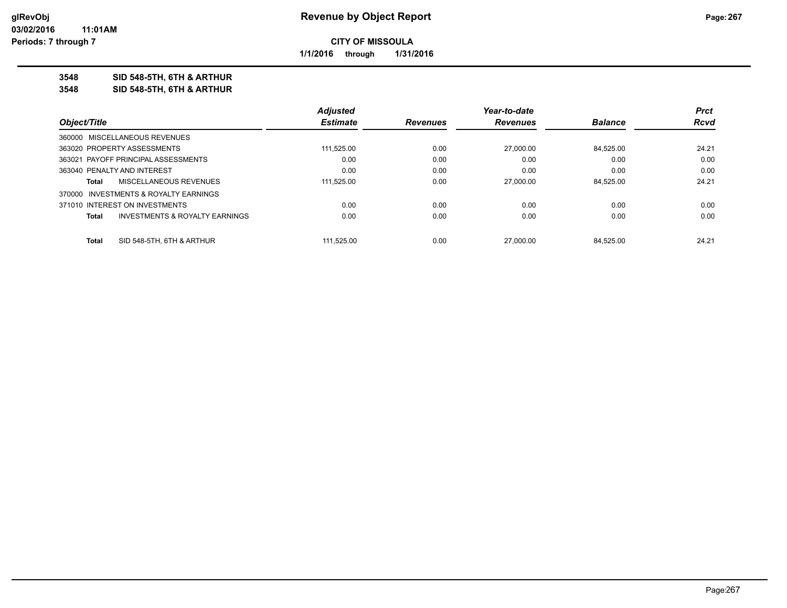**1/1/2016 through 1/31/2016**

**3548 SID 548-5TH, 6TH & ARTHUR**

**3548 SID 548-5TH, 6TH & ARTHUR**

|                                                           | <b>Adjusted</b> |                 | Year-to-date    |                | <b>Prct</b> |
|-----------------------------------------------------------|-----------------|-----------------|-----------------|----------------|-------------|
| Object/Title                                              | <b>Estimate</b> | <b>Revenues</b> | <b>Revenues</b> | <b>Balance</b> | Rcvd        |
| 360000 MISCELLANEOUS REVENUES                             |                 |                 |                 |                |             |
| 363020 PROPERTY ASSESSMENTS                               | 111,525.00      | 0.00            | 27,000.00       | 84.525.00      | 24.21       |
| 363021 PAYOFF PRINCIPAL ASSESSMENTS                       | 0.00            | 0.00            | 0.00            | 0.00           | 0.00        |
| 363040 PENALTY AND INTEREST                               | 0.00            | 0.00            | 0.00            | 0.00           | 0.00        |
| MISCELLANEOUS REVENUES<br>Total                           | 111.525.00      | 0.00            | 27,000.00       | 84.525.00      | 24.21       |
| 370000 INVESTMENTS & ROYALTY EARNINGS                     |                 |                 |                 |                |             |
| 371010 INTEREST ON INVESTMENTS                            | 0.00            | 0.00            | 0.00            | 0.00           | 0.00        |
| <b>INVESTMENTS &amp; ROYALTY EARNINGS</b><br><b>Total</b> | 0.00            | 0.00            | 0.00            | 0.00           | 0.00        |
| SID 548-5TH, 6TH & ARTHUR<br>Total                        | 111.525.00      | 0.00            | 27,000.00       | 84.525.00      | 24.21       |
|                                                           |                 |                 |                 |                |             |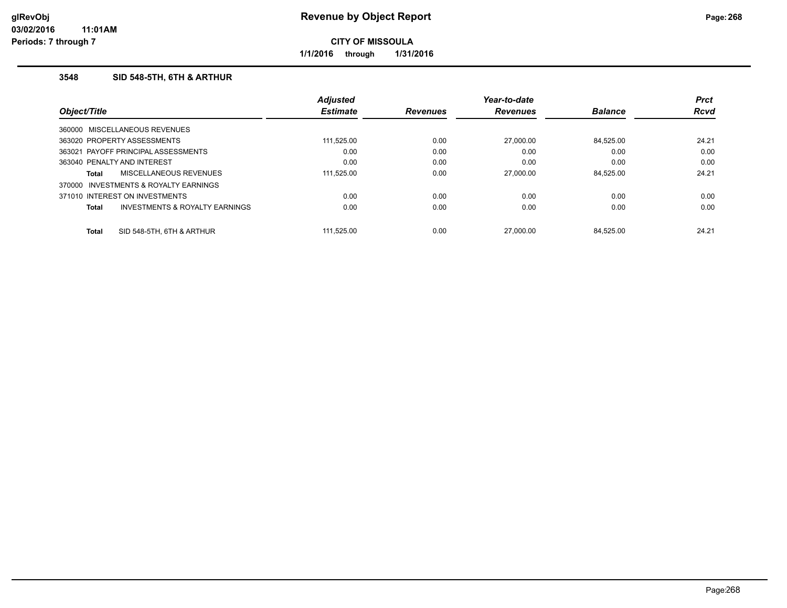**1/1/2016 through 1/31/2016**

# **3548 SID 548-5TH, 6TH & ARTHUR**

|              |                                           | <b>Adjusted</b> |                 | Year-to-date    |                | <b>Prct</b> |
|--------------|-------------------------------------------|-----------------|-----------------|-----------------|----------------|-------------|
| Object/Title |                                           | <b>Estimate</b> | <b>Revenues</b> | <b>Revenues</b> | <b>Balance</b> | <b>Rcvd</b> |
|              | 360000 MISCELLANEOUS REVENUES             |                 |                 |                 |                |             |
|              | 363020 PROPERTY ASSESSMENTS               | 111.525.00      | 0.00            | 27.000.00       | 84.525.00      | 24.21       |
|              | 363021 PAYOFF PRINCIPAL ASSESSMENTS       | 0.00            | 0.00            | 0.00            | 0.00           | 0.00        |
|              | 363040 PENALTY AND INTEREST               | 0.00            | 0.00            | 0.00            | 0.00           | 0.00        |
| Total        | MISCELLANEOUS REVENUES                    | 111.525.00      | 0.00            | 27.000.00       | 84.525.00      | 24.21       |
| 370000       | INVESTMENTS & ROYALTY EARNINGS            |                 |                 |                 |                |             |
|              | 371010 INTEREST ON INVESTMENTS            | 0.00            | 0.00            | 0.00            | 0.00           | 0.00        |
| Total        | <b>INVESTMENTS &amp; ROYALTY EARNINGS</b> | 0.00            | 0.00            | 0.00            | 0.00           | 0.00        |
| <b>Total</b> | SID 548-5TH, 6TH & ARTHUR                 | 111.525.00      | 0.00            | 27.000.00       | 84.525.00      | 24.21       |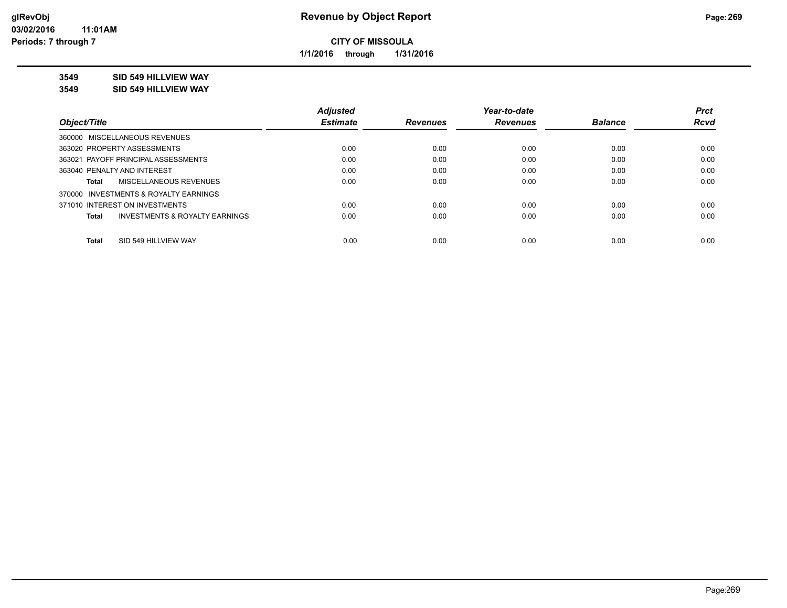**1/1/2016 through 1/31/2016**

**3549 SID 549 HILLVIEW WAY**

**3549 SID 549 HILLVIEW WAY**

|                                |                                           | <b>Adjusted</b> |                 | Year-to-date    |                | <b>Prct</b> |
|--------------------------------|-------------------------------------------|-----------------|-----------------|-----------------|----------------|-------------|
| Object/Title                   |                                           | <b>Estimate</b> | <b>Revenues</b> | <b>Revenues</b> | <b>Balance</b> | <b>Rcvd</b> |
| 360000 MISCELLANEOUS REVENUES  |                                           |                 |                 |                 |                |             |
| 363020 PROPERTY ASSESSMENTS    |                                           | 0.00            | 0.00            | 0.00            | 0.00           | 0.00        |
|                                | 363021 PAYOFF PRINCIPAL ASSESSMENTS       | 0.00            | 0.00            | 0.00            | 0.00           | 0.00        |
| 363040 PENALTY AND INTEREST    |                                           | 0.00            | 0.00            | 0.00            | 0.00           | 0.00        |
| Total                          | MISCELLANEOUS REVENUES                    | 0.00            | 0.00            | 0.00            | 0.00           | 0.00        |
|                                | 370000 INVESTMENTS & ROYALTY EARNINGS     |                 |                 |                 |                |             |
| 371010 INTEREST ON INVESTMENTS |                                           | 0.00            | 0.00            | 0.00            | 0.00           | 0.00        |
| Total                          | <b>INVESTMENTS &amp; ROYALTY EARNINGS</b> | 0.00            | 0.00            | 0.00            | 0.00           | 0.00        |
| <b>Total</b>                   | SID 549 HILLVIEW WAY                      | 0.00            | 0.00            | 0.00            | 0.00           | 0.00        |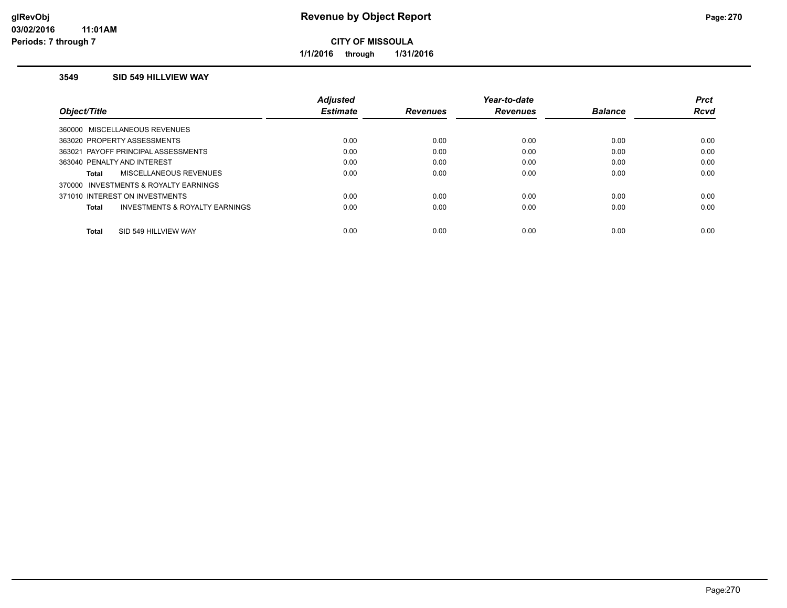**1/1/2016 through 1/31/2016**

#### **3549 SID 549 HILLVIEW WAY**

|                                                | <b>Adjusted</b> |                 | Year-to-date    |                | <b>Prct</b> |
|------------------------------------------------|-----------------|-----------------|-----------------|----------------|-------------|
| Object/Title                                   | <b>Estimate</b> | <b>Revenues</b> | <b>Revenues</b> | <b>Balance</b> | <b>Rcvd</b> |
| 360000 MISCELLANEOUS REVENUES                  |                 |                 |                 |                |             |
| 363020 PROPERTY ASSESSMENTS                    | 0.00            | 0.00            | 0.00            | 0.00           | 0.00        |
| 363021 PAYOFF PRINCIPAL ASSESSMENTS            | 0.00            | 0.00            | 0.00            | 0.00           | 0.00        |
| 363040 PENALTY AND INTEREST                    | 0.00            | 0.00            | 0.00            | 0.00           | 0.00        |
| MISCELLANEOUS REVENUES<br>Total                | 0.00            | 0.00            | 0.00            | 0.00           | 0.00        |
| 370000 INVESTMENTS & ROYALTY EARNINGS          |                 |                 |                 |                |             |
| 371010 INTEREST ON INVESTMENTS                 | 0.00            | 0.00            | 0.00            | 0.00           | 0.00        |
| INVESTMENTS & ROYALTY EARNINGS<br><b>Total</b> | 0.00            | 0.00            | 0.00            | 0.00           | 0.00        |
|                                                |                 |                 |                 |                |             |
| SID 549 HILLVIEW WAY<br><b>Total</b>           | 0.00            | 0.00            | 0.00            | 0.00           | 0.00        |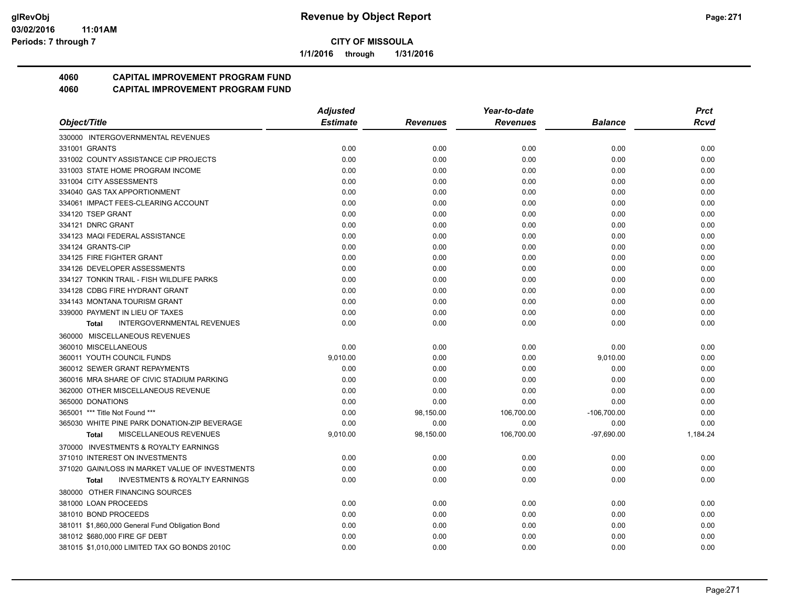**1/1/2016 through 1/31/2016**

# **4060 CAPITAL IMPROVEMENT PROGRAM FUND**

|                                                           | <b>Adjusted</b> |                 | Year-to-date    |               | <b>Prct</b> |
|-----------------------------------------------------------|-----------------|-----------------|-----------------|---------------|-------------|
| Object/Title                                              | <b>Estimate</b> | <b>Revenues</b> | <b>Revenues</b> | Balance       | Rcvd        |
| 330000 INTERGOVERNMENTAL REVENUES                         |                 |                 |                 |               |             |
| 331001 GRANTS                                             | 0.00            | 0.00            | 0.00            | 0.00          | 0.00        |
| 331002 COUNTY ASSISTANCE CIP PROJECTS                     | 0.00            | 0.00            | 0.00            | 0.00          | 0.00        |
| 331003 STATE HOME PROGRAM INCOME                          | 0.00            | 0.00            | 0.00            | 0.00          | 0.00        |
| 331004 CITY ASSESSMENTS                                   | 0.00            | 0.00            | 0.00            | 0.00          | 0.00        |
| 334040 GAS TAX APPORTIONMENT                              | 0.00            | 0.00            | 0.00            | 0.00          | 0.00        |
| 334061 IMPACT FEES-CLEARING ACCOUNT                       | 0.00            | 0.00            | 0.00            | 0.00          | 0.00        |
| 334120 TSEP GRANT                                         | 0.00            | 0.00            | 0.00            | 0.00          | 0.00        |
| 334121 DNRC GRANT                                         | 0.00            | 0.00            | 0.00            | 0.00          | 0.00        |
| 334123 MAQI FEDERAL ASSISTANCE                            | 0.00            | 0.00            | 0.00            | 0.00          | 0.00        |
| 334124 GRANTS-CIP                                         | 0.00            | 0.00            | 0.00            | 0.00          | 0.00        |
| 334125 FIRE FIGHTER GRANT                                 | 0.00            | 0.00            | 0.00            | 0.00          | 0.00        |
| 334126 DEVELOPER ASSESSMENTS                              | 0.00            | 0.00            | 0.00            | 0.00          | 0.00        |
| 334127 TONKIN TRAIL - FISH WILDLIFE PARKS                 | 0.00            | 0.00            | 0.00            | 0.00          | 0.00        |
| 334128 CDBG FIRE HYDRANT GRANT                            | 0.00            | 0.00            | 0.00            | 0.00          | 0.00        |
| 334143 MONTANA TOURISM GRANT                              | 0.00            | 0.00            | 0.00            | 0.00          | 0.00        |
| 339000 PAYMENT IN LIEU OF TAXES                           | 0.00            | 0.00            | 0.00            | 0.00          | 0.00        |
| <b>INTERGOVERNMENTAL REVENUES</b><br><b>Total</b>         | 0.00            | 0.00            | 0.00            | 0.00          | 0.00        |
| 360000 MISCELLANEOUS REVENUES                             |                 |                 |                 |               |             |
| 360010 MISCELLANEOUS                                      | 0.00            | 0.00            | 0.00            | 0.00          | 0.00        |
| 360011 YOUTH COUNCIL FUNDS                                | 9,010.00        | 0.00            | 0.00            | 9,010.00      | 0.00        |
| 360012 SEWER GRANT REPAYMENTS                             | 0.00            | 0.00            | 0.00            | 0.00          | 0.00        |
| 360016 MRA SHARE OF CIVIC STADIUM PARKING                 | 0.00            | 0.00            | 0.00            | 0.00          | 0.00        |
| 362000 OTHER MISCELLANEOUS REVENUE                        | 0.00            | 0.00            | 0.00            | 0.00          | 0.00        |
| 365000 DONATIONS                                          | 0.00            | 0.00            | 0.00            | 0.00          | 0.00        |
| 365001 *** Title Not Found ***                            | 0.00            | 98,150.00       | 106,700.00      | $-106,700.00$ | 0.00        |
| 365030 WHITE PINE PARK DONATION-ZIP BEVERAGE              | 0.00            | 0.00            | 0.00            | 0.00          | 0.00        |
| MISCELLANEOUS REVENUES<br><b>Total</b>                    | 9,010.00        | 98,150.00       | 106,700.00      | $-97,690.00$  | 1,184.24    |
| 370000 INVESTMENTS & ROYALTY EARNINGS                     |                 |                 |                 |               |             |
| 371010 INTEREST ON INVESTMENTS                            | 0.00            | 0.00            | 0.00            | 0.00          | 0.00        |
| 371020 GAIN/LOSS IN MARKET VALUE OF INVESTMENTS           | 0.00            | 0.00            | 0.00            | 0.00          | 0.00        |
| <b>INVESTMENTS &amp; ROYALTY EARNINGS</b><br><b>Total</b> | 0.00            | 0.00            | 0.00            | 0.00          | 0.00        |
| 380000 OTHER FINANCING SOURCES                            |                 |                 |                 |               |             |
| 381000 LOAN PROCEEDS                                      | 0.00            | 0.00            | 0.00            | 0.00          | 0.00        |
| 381010 BOND PROCEEDS                                      | 0.00            | 0.00            | 0.00            | 0.00          | 0.00        |
| 381011 \$1,860,000 General Fund Obligation Bond           | 0.00            | 0.00            | 0.00            | 0.00          | 0.00        |
| 381012 \$680,000 FIRE GF DEBT                             | 0.00            | 0.00            | 0.00            | 0.00          | 0.00        |
| 381015 \$1,010,000 LIMITED TAX GO BONDS 2010C             | 0.00            | 0.00            | 0.00            | 0.00          | 0.00        |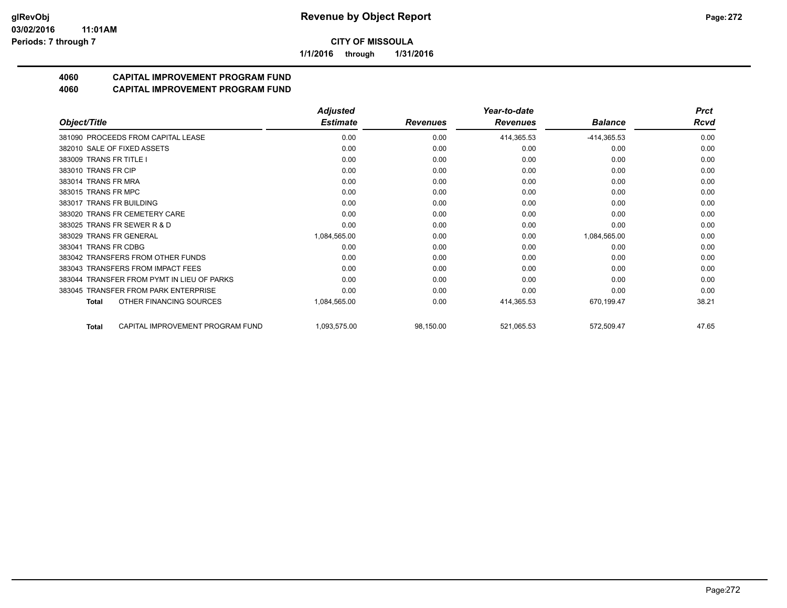**1/1/2016 through 1/31/2016**

# **4060 CAPITAL IMPROVEMENT PROGRAM FUND**

|                                            | <b>Adjusted</b> |                 | Year-to-date    |                | <b>Prct</b> |
|--------------------------------------------|-----------------|-----------------|-----------------|----------------|-------------|
| Object/Title                               | <b>Estimate</b> | <b>Revenues</b> | <b>Revenues</b> | <b>Balance</b> | <b>Rcvd</b> |
| 381090 PROCEEDS FROM CAPITAL LEASE         | 0.00            | 0.00            | 414,365.53      | $-414,365.53$  | 0.00        |
| 382010 SALE OF FIXED ASSETS                | 0.00            | 0.00            | 0.00            | 0.00           | 0.00        |
| 383009 TRANS FR TITLE I                    | 0.00            | 0.00            | 0.00            | 0.00           | 0.00        |
| 383010 TRANS FR CIP                        | 0.00            | 0.00            | 0.00            | 0.00           | 0.00        |
| 383014 TRANS FR MRA                        | 0.00            | 0.00            | 0.00            | 0.00           | 0.00        |
| 383015 TRANS FR MPC                        | 0.00            | 0.00            | 0.00            | 0.00           | 0.00        |
| 383017 TRANS FR BUILDING                   | 0.00            | 0.00            | 0.00            | 0.00           | 0.00        |
| 383020 TRANS FR CEMETERY CARE              | 0.00            | 0.00            | 0.00            | 0.00           | 0.00        |
| 383025 TRANS FR SEWER R & D                | 0.00            | 0.00            | 0.00            | 0.00           | 0.00        |
| 383029 TRANS FR GENERAL                    | 1,084,565.00    | 0.00            | 0.00            | 1,084,565.00   | 0.00        |
| 383041 TRANS FR CDBG                       | 0.00            | 0.00            | 0.00            | 0.00           | 0.00        |
| 383042 TRANSFERS FROM OTHER FUNDS          | 0.00            | 0.00            | 0.00            | 0.00           | 0.00        |
| 383043 TRANSFERS FROM IMPACT FEES          | 0.00            | 0.00            | 0.00            | 0.00           | 0.00        |
| 383044 TRANSFER FROM PYMT IN LIEU OF PARKS | 0.00            | 0.00            | 0.00            | 0.00           | 0.00        |
| 383045 TRANSFER FROM PARK ENTERPRISE       | 0.00            | 0.00            | 0.00            | 0.00           | 0.00        |
| OTHER FINANCING SOURCES<br>Total           | 1,084,565.00    | 0.00            | 414,365.53      | 670,199.47     | 38.21       |
| CAPITAL IMPROVEMENT PROGRAM FUND<br>Total  | 1,093,575.00    | 98,150.00       | 521,065.53      | 572,509.47     | 47.65       |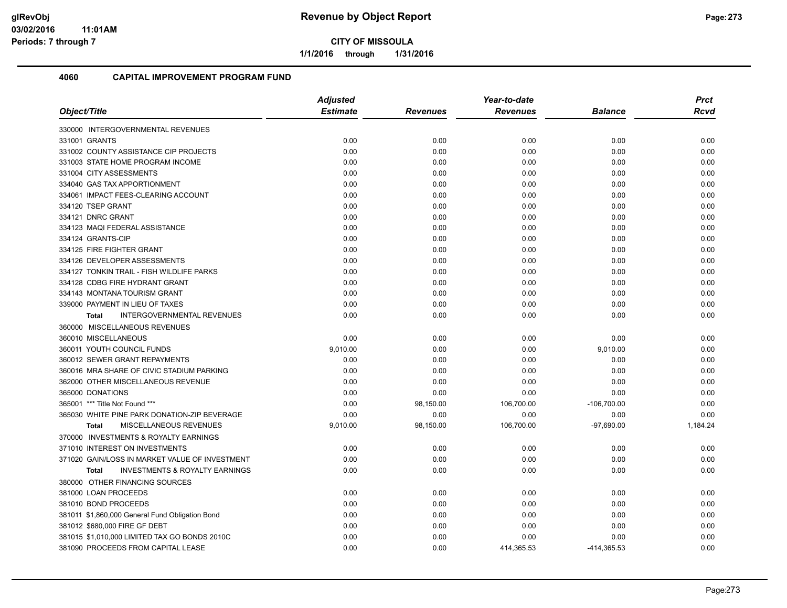**1/1/2016 through 1/31/2016**

|                                                    | <b>Adjusted</b> |                 | Year-to-date    |                | <b>Prct</b> |
|----------------------------------------------------|-----------------|-----------------|-----------------|----------------|-------------|
| Object/Title                                       | <b>Estimate</b> | <b>Revenues</b> | <b>Revenues</b> | <b>Balance</b> | <b>Rcvd</b> |
| 330000 INTERGOVERNMENTAL REVENUES                  |                 |                 |                 |                |             |
| 331001 GRANTS                                      | 0.00            | 0.00            | 0.00            | 0.00           | 0.00        |
| 331002 COUNTY ASSISTANCE CIP PROJECTS              | 0.00            | 0.00            | 0.00            | 0.00           | 0.00        |
| 331003 STATE HOME PROGRAM INCOME                   | 0.00            | 0.00            | 0.00            | 0.00           | 0.00        |
| 331004 CITY ASSESSMENTS                            | 0.00            | 0.00            | 0.00            | 0.00           | 0.00        |
| 334040 GAS TAX APPORTIONMENT                       | 0.00            | 0.00            | 0.00            | 0.00           | 0.00        |
| 334061 IMPACT FEES-CLEARING ACCOUNT                | 0.00            | 0.00            | 0.00            | 0.00           | 0.00        |
| 334120 TSEP GRANT                                  | 0.00            | 0.00            | 0.00            | 0.00           | 0.00        |
| 334121 DNRC GRANT                                  | 0.00            | 0.00            | 0.00            | 0.00           | 0.00        |
| 334123 MAQI FEDERAL ASSISTANCE                     | 0.00            | 0.00            | 0.00            | 0.00           | 0.00        |
| 334124 GRANTS-CIP                                  | 0.00            | 0.00            | 0.00            | 0.00           | 0.00        |
| 334125 FIRE FIGHTER GRANT                          | 0.00            | 0.00            | 0.00            | 0.00           | 0.00        |
| 334126 DEVELOPER ASSESSMENTS                       | 0.00            | 0.00            | 0.00            | 0.00           | 0.00        |
| 334127 TONKIN TRAIL - FISH WILDLIFE PARKS          | 0.00            | 0.00            | 0.00            | 0.00           | 0.00        |
| 334128 CDBG FIRE HYDRANT GRANT                     | 0.00            | 0.00            | 0.00            | 0.00           | 0.00        |
| 334143 MONTANA TOURISM GRANT                       | 0.00            | 0.00            | 0.00            | 0.00           | 0.00        |
| 339000 PAYMENT IN LIEU OF TAXES                    | 0.00            | 0.00            | 0.00            | 0.00           | 0.00        |
| <b>INTERGOVERNMENTAL REVENUES</b><br><b>Total</b>  | 0.00            | 0.00            | 0.00            | 0.00           | 0.00        |
| 360000 MISCELLANEOUS REVENUES                      |                 |                 |                 |                |             |
| 360010 MISCELLANEOUS                               | 0.00            | 0.00            | 0.00            | 0.00           | 0.00        |
| 360011 YOUTH COUNCIL FUNDS                         | 9,010.00        | 0.00            | 0.00            | 9,010.00       | 0.00        |
| 360012 SEWER GRANT REPAYMENTS                      | 0.00            | 0.00            | 0.00            | 0.00           | 0.00        |
| 360016 MRA SHARE OF CIVIC STADIUM PARKING          | 0.00            | 0.00            | 0.00            | 0.00           | 0.00        |
| 362000 OTHER MISCELLANEOUS REVENUE                 | 0.00            | 0.00            | 0.00            | 0.00           | 0.00        |
| 365000 DONATIONS                                   | 0.00            | 0.00            | 0.00            | 0.00           | 0.00        |
| 365001 *** Title Not Found ***                     | 0.00            | 98,150.00       | 106,700.00      | $-106,700.00$  | 0.00        |
| 365030 WHITE PINE PARK DONATION-ZIP BEVERAGE       | 0.00            | 0.00            | 0.00            | 0.00           | 0.00        |
| MISCELLANEOUS REVENUES<br><b>Total</b>             | 9,010.00        | 98,150.00       | 106,700.00      | $-97,690.00$   | 1,184.24    |
| 370000 INVESTMENTS & ROYALTY EARNINGS              |                 |                 |                 |                |             |
| 371010 INTEREST ON INVESTMENTS                     | 0.00            | 0.00            | 0.00            | 0.00           | 0.00        |
| 371020 GAIN/LOSS IN MARKET VALUE OF INVESTMENT     | 0.00            | 0.00            | 0.00            | 0.00           | 0.00        |
| <b>INVESTMENTS &amp; ROYALTY EARNINGS</b><br>Total | 0.00            | 0.00            | 0.00            | 0.00           | 0.00        |
| 380000 OTHER FINANCING SOURCES                     |                 |                 |                 |                |             |
| 381000 LOAN PROCEEDS                               | 0.00            | 0.00            | 0.00            | 0.00           | 0.00        |
| 381010 BOND PROCEEDS                               | 0.00            | 0.00            | 0.00            | 0.00           | 0.00        |
| 381011 \$1,860,000 General Fund Obligation Bond    | 0.00            | 0.00            | 0.00            | 0.00           | 0.00        |
| 381012 \$680,000 FIRE GF DEBT                      | 0.00            | 0.00            | 0.00            | 0.00           | 0.00        |
| 381015 \$1,010,000 LIMITED TAX GO BONDS 2010C      | 0.00            | 0.00            | 0.00            | 0.00           | 0.00        |
| 381090 PROCEEDS FROM CAPITAL LEASE                 | 0.00            | 0.00            | 414,365.53      | $-414,365.53$  | 0.00        |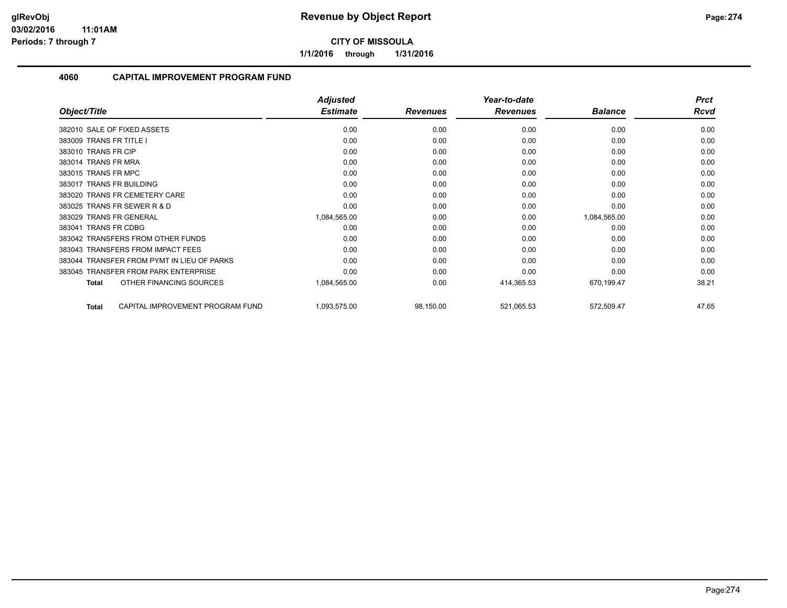**1/1/2016 through 1/31/2016**

|                                                  | <b>Adjusted</b> |                 | Year-to-date    |                | <b>Prct</b> |
|--------------------------------------------------|-----------------|-----------------|-----------------|----------------|-------------|
| Object/Title                                     | <b>Estimate</b> | <b>Revenues</b> | <b>Revenues</b> | <b>Balance</b> | Rcvd        |
| 382010 SALE OF FIXED ASSETS                      | 0.00            | 0.00            | 0.00            | 0.00           | 0.00        |
| 383009 TRANS FR TITLE I                          | 0.00            | 0.00            | 0.00            | 0.00           | 0.00        |
| 383010 TRANS FR CIP                              | 0.00            | 0.00            | 0.00            | 0.00           | 0.00        |
| 383014 TRANS FR MRA                              | 0.00            | 0.00            | 0.00            | 0.00           | 0.00        |
| 383015 TRANS FR MPC                              | 0.00            | 0.00            | 0.00            | 0.00           | 0.00        |
| 383017 TRANS FR BUILDING                         | 0.00            | 0.00            | 0.00            | 0.00           | 0.00        |
| 383020 TRANS FR CEMETERY CARE                    | 0.00            | 0.00            | 0.00            | 0.00           | 0.00        |
| 383025 TRANS FR SEWER R & D                      | 0.00            | 0.00            | 0.00            | 0.00           | 0.00        |
| 383029 TRANS FR GENERAL                          | 1,084,565.00    | 0.00            | 0.00            | 1,084,565.00   | 0.00        |
| 383041 TRANS FR CDBG                             | 0.00            | 0.00            | 0.00            | 0.00           | 0.00        |
| 383042 TRANSFERS FROM OTHER FUNDS                | 0.00            | 0.00            | 0.00            | 0.00           | 0.00        |
| 383043 TRANSFERS FROM IMPACT FEES                | 0.00            | 0.00            | 0.00            | 0.00           | 0.00        |
| 383044 TRANSFER FROM PYMT IN LIEU OF PARKS       | 0.00            | 0.00            | 0.00            | 0.00           | 0.00        |
| 383045 TRANSFER FROM PARK ENTERPRISE             | 0.00            | 0.00            | 0.00            | 0.00           | 0.00        |
| OTHER FINANCING SOURCES<br><b>Total</b>          | 1,084,565.00    | 0.00            | 414,365.53      | 670,199.47     | 38.21       |
| CAPITAL IMPROVEMENT PROGRAM FUND<br><b>Total</b> | 1,093,575.00    | 98,150.00       | 521,065.53      | 572,509.47     | 47.65       |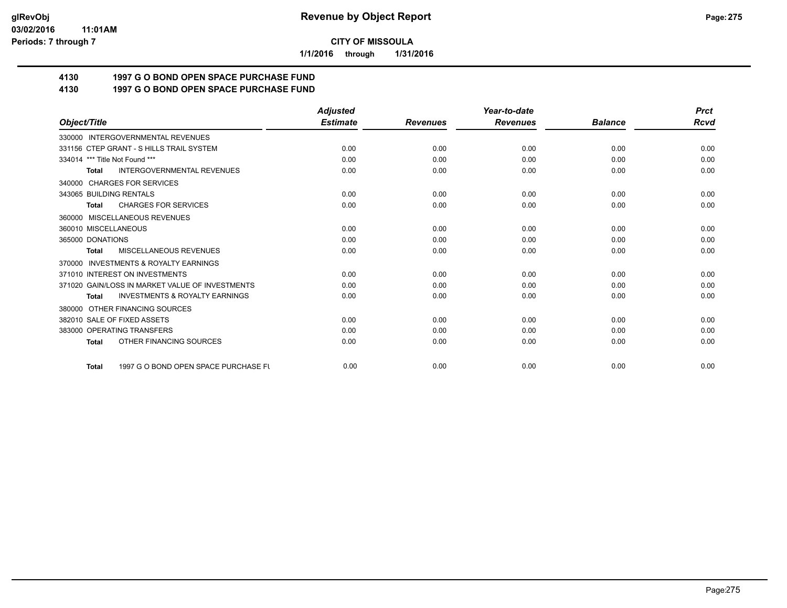**1/1/2016 through 1/31/2016**

# **4130 1997 G O BOND OPEN SPACE PURCHASE FUND**

# **4130 1997 G O BOND OPEN SPACE PURCHASE FUND**

|                                                           | <b>Adjusted</b> |                 | Year-to-date    |                | <b>Prct</b> |
|-----------------------------------------------------------|-----------------|-----------------|-----------------|----------------|-------------|
| Object/Title                                              | <b>Estimate</b> | <b>Revenues</b> | <b>Revenues</b> | <b>Balance</b> | <b>Rcvd</b> |
| 330000 INTERGOVERNMENTAL REVENUES                         |                 |                 |                 |                |             |
| 331156 CTEP GRANT - S HILLS TRAIL SYSTEM                  | 0.00            | 0.00            | 0.00            | 0.00           | 0.00        |
| 334014 *** Title Not Found ***                            | 0.00            | 0.00            | 0.00            | 0.00           | 0.00        |
| <b>INTERGOVERNMENTAL REVENUES</b><br><b>Total</b>         | 0.00            | 0.00            | 0.00            | 0.00           | 0.00        |
| 340000 CHARGES FOR SERVICES                               |                 |                 |                 |                |             |
| 343065 BUILDING RENTALS                                   | 0.00            | 0.00            | 0.00            | 0.00           | 0.00        |
| <b>CHARGES FOR SERVICES</b><br>Total                      | 0.00            | 0.00            | 0.00            | 0.00           | 0.00        |
| 360000 MISCELLANEOUS REVENUES                             |                 |                 |                 |                |             |
| 360010 MISCELLANEOUS                                      | 0.00            | 0.00            | 0.00            | 0.00           | 0.00        |
| 365000 DONATIONS                                          | 0.00            | 0.00            | 0.00            | 0.00           | 0.00        |
| MISCELLANEOUS REVENUES<br><b>Total</b>                    | 0.00            | 0.00            | 0.00            | 0.00           | 0.00        |
| 370000 INVESTMENTS & ROYALTY EARNINGS                     |                 |                 |                 |                |             |
| 371010 INTEREST ON INVESTMENTS                            | 0.00            | 0.00            | 0.00            | 0.00           | 0.00        |
| 371020 GAIN/LOSS IN MARKET VALUE OF INVESTMENTS           | 0.00            | 0.00            | 0.00            | 0.00           | 0.00        |
| <b>INVESTMENTS &amp; ROYALTY EARNINGS</b><br><b>Total</b> | 0.00            | 0.00            | 0.00            | 0.00           | 0.00        |
| 380000 OTHER FINANCING SOURCES                            |                 |                 |                 |                |             |
| 382010 SALE OF FIXED ASSETS                               | 0.00            | 0.00            | 0.00            | 0.00           | 0.00        |
| 383000 OPERATING TRANSFERS                                | 0.00            | 0.00            | 0.00            | 0.00           | 0.00        |
| OTHER FINANCING SOURCES<br><b>Total</b>                   | 0.00            | 0.00            | 0.00            | 0.00           | 0.00        |
| 1997 G O BOND OPEN SPACE PURCHASE FU<br>Total             | 0.00            | 0.00            | 0.00            | 0.00           | 0.00        |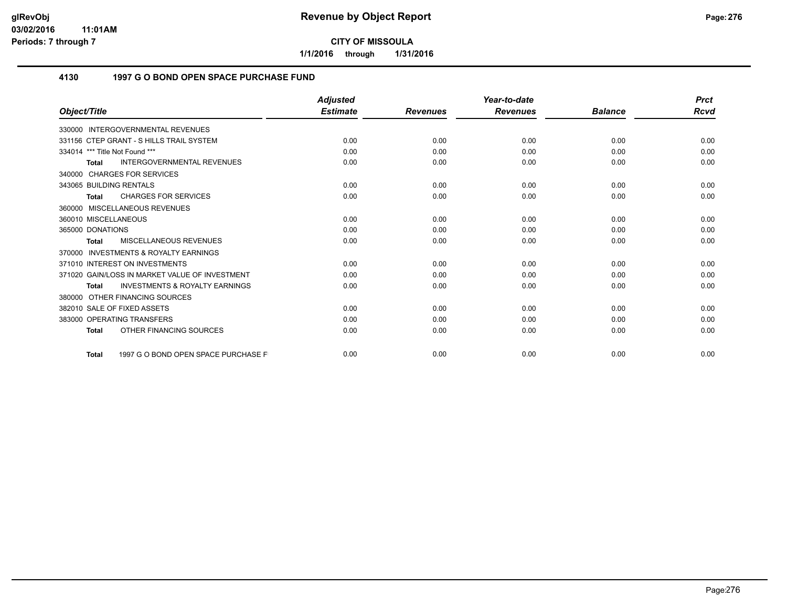**1/1/2016 through 1/31/2016**

### **4130 1997 G O BOND OPEN SPACE PURCHASE FUND**

|                                                           | <b>Adjusted</b> |                 | Year-to-date    |                | <b>Prct</b> |
|-----------------------------------------------------------|-----------------|-----------------|-----------------|----------------|-------------|
| Object/Title                                              | <b>Estimate</b> | <b>Revenues</b> | <b>Revenues</b> | <b>Balance</b> | <b>Rcvd</b> |
| 330000 INTERGOVERNMENTAL REVENUES                         |                 |                 |                 |                |             |
| 331156 CTEP GRANT - S HILLS TRAIL SYSTEM                  | 0.00            | 0.00            | 0.00            | 0.00           | 0.00        |
| 334014 *** Title Not Found ***                            | 0.00            | 0.00            | 0.00            | 0.00           | 0.00        |
| <b>INTERGOVERNMENTAL REVENUES</b><br><b>Total</b>         | 0.00            | 0.00            | 0.00            | 0.00           | 0.00        |
| 340000 CHARGES FOR SERVICES                               |                 |                 |                 |                |             |
| 343065 BUILDING RENTALS                                   | 0.00            | 0.00            | 0.00            | 0.00           | 0.00        |
| <b>CHARGES FOR SERVICES</b><br><b>Total</b>               | 0.00            | 0.00            | 0.00            | 0.00           | 0.00        |
| 360000 MISCELLANEOUS REVENUES                             |                 |                 |                 |                |             |
| 360010 MISCELLANEOUS                                      | 0.00            | 0.00            | 0.00            | 0.00           | 0.00        |
| 365000 DONATIONS                                          | 0.00            | 0.00            | 0.00            | 0.00           | 0.00        |
| MISCELLANEOUS REVENUES<br><b>Total</b>                    | 0.00            | 0.00            | 0.00            | 0.00           | 0.00        |
| <b>INVESTMENTS &amp; ROYALTY EARNINGS</b><br>370000       |                 |                 |                 |                |             |
| 371010 INTEREST ON INVESTMENTS                            | 0.00            | 0.00            | 0.00            | 0.00           | 0.00        |
| 371020 GAIN/LOSS IN MARKET VALUE OF INVESTMENT            | 0.00            | 0.00            | 0.00            | 0.00           | 0.00        |
| <b>INVESTMENTS &amp; ROYALTY EARNINGS</b><br><b>Total</b> | 0.00            | 0.00            | 0.00            | 0.00           | 0.00        |
| OTHER FINANCING SOURCES<br>380000                         |                 |                 |                 |                |             |
| 382010 SALE OF FIXED ASSETS                               | 0.00            | 0.00            | 0.00            | 0.00           | 0.00        |
| 383000 OPERATING TRANSFERS                                | 0.00            | 0.00            | 0.00            | 0.00           | 0.00        |
| OTHER FINANCING SOURCES<br><b>Total</b>                   | 0.00            | 0.00            | 0.00            | 0.00           | 0.00        |
| 1997 G O BOND OPEN SPACE PURCHASE F<br><b>Total</b>       | 0.00            | 0.00            | 0.00            | 0.00           | 0.00        |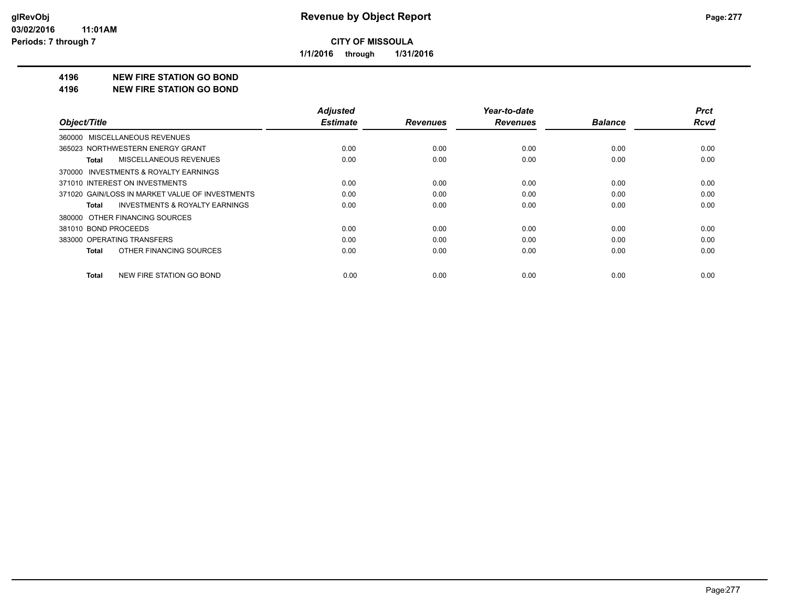**1/1/2016 through 1/31/2016**

#### **4196 NEW FIRE STATION GO BOND**

#### **4196 NEW FIRE STATION GO BOND**

| Object/Title                                       | <b>Adjusted</b><br><b>Estimate</b> | <b>Revenues</b> | Year-to-date<br><b>Revenues</b> | <b>Balance</b> | <b>Prct</b><br><b>Rcvd</b> |
|----------------------------------------------------|------------------------------------|-----------------|---------------------------------|----------------|----------------------------|
|                                                    |                                    |                 |                                 |                |                            |
| 360000 MISCELLANEOUS REVENUES                      |                                    |                 |                                 |                |                            |
| 365023 NORTHWESTERN ENERGY GRANT                   | 0.00                               | 0.00            | 0.00                            | 0.00           | 0.00                       |
| MISCELLANEOUS REVENUES<br>Total                    | 0.00                               | 0.00            | 0.00                            | 0.00           | 0.00                       |
| 370000 INVESTMENTS & ROYALTY EARNINGS              |                                    |                 |                                 |                |                            |
| 371010 INTEREST ON INVESTMENTS                     | 0.00                               | 0.00            | 0.00                            | 0.00           | 0.00                       |
| 371020 GAIN/LOSS IN MARKET VALUE OF INVESTMENTS    | 0.00                               | 0.00            | 0.00                            | 0.00           | 0.00                       |
| <b>INVESTMENTS &amp; ROYALTY EARNINGS</b><br>Total | 0.00                               | 0.00            | 0.00                            | 0.00           | 0.00                       |
| 380000 OTHER FINANCING SOURCES                     |                                    |                 |                                 |                |                            |
| 381010 BOND PROCEEDS                               | 0.00                               | 0.00            | 0.00                            | 0.00           | 0.00                       |
| 383000 OPERATING TRANSFERS                         | 0.00                               | 0.00            | 0.00                            | 0.00           | 0.00                       |
| OTHER FINANCING SOURCES<br>Total                   | 0.00                               | 0.00            | 0.00                            | 0.00           | 0.00                       |
| NEW FIRE STATION GO BOND<br><b>Total</b>           | 0.00                               | 0.00            | 0.00                            | 0.00           | 0.00                       |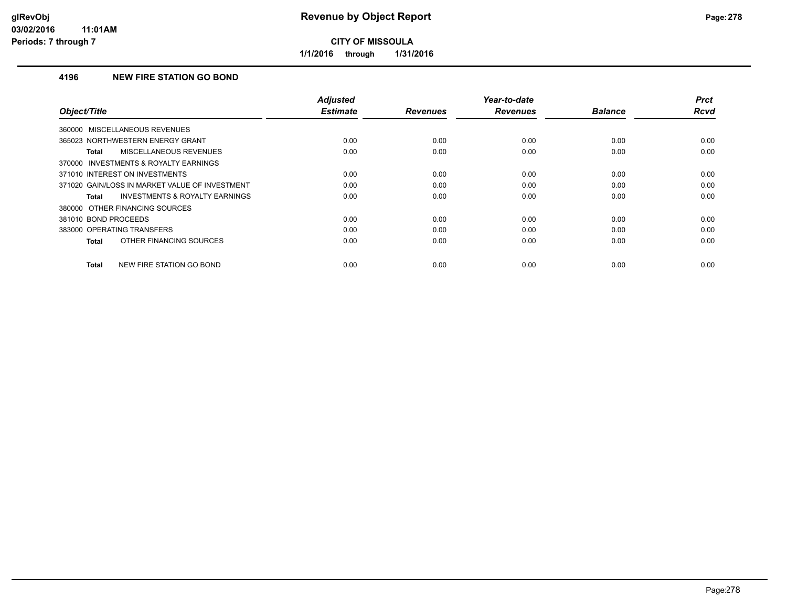**1/1/2016 through 1/31/2016**

### **4196 NEW FIRE STATION GO BOND**

| Object/Title                                       | <b>Adjusted</b><br><b>Estimate</b> | <b>Revenues</b> | Year-to-date<br><b>Revenues</b> | <b>Balance</b> | <b>Prct</b><br>Rcvd |
|----------------------------------------------------|------------------------------------|-----------------|---------------------------------|----------------|---------------------|
| 360000 MISCELLANEOUS REVENUES                      |                                    |                 |                                 |                |                     |
| 365023 NORTHWESTERN ENERGY GRANT                   | 0.00                               | 0.00            | 0.00                            | 0.00           | 0.00                |
| MISCELLANEOUS REVENUES<br><b>Total</b>             | 0.00                               | 0.00            | 0.00                            | 0.00           | 0.00                |
| 370000 INVESTMENTS & ROYALTY EARNINGS              |                                    |                 |                                 |                |                     |
| 371010 INTEREST ON INVESTMENTS                     | 0.00                               | 0.00            | 0.00                            | 0.00           | 0.00                |
| 371020 GAIN/LOSS IN MARKET VALUE OF INVESTMENT     | 0.00                               | 0.00            | 0.00                            | 0.00           | 0.00                |
| <b>INVESTMENTS &amp; ROYALTY EARNINGS</b><br>Total | 0.00                               | 0.00            | 0.00                            | 0.00           | 0.00                |
| 380000 OTHER FINANCING SOURCES                     |                                    |                 |                                 |                |                     |
| 381010 BOND PROCEEDS                               | 0.00                               | 0.00            | 0.00                            | 0.00           | 0.00                |
| 383000 OPERATING TRANSFERS                         | 0.00                               | 0.00            | 0.00                            | 0.00           | 0.00                |
| OTHER FINANCING SOURCES<br><b>Total</b>            | 0.00                               | 0.00            | 0.00                            | 0.00           | 0.00                |
| <b>NEW FIRE STATION GO BOND</b><br><b>Total</b>    | 0.00                               | 0.00            | 0.00                            | 0.00           | 0.00                |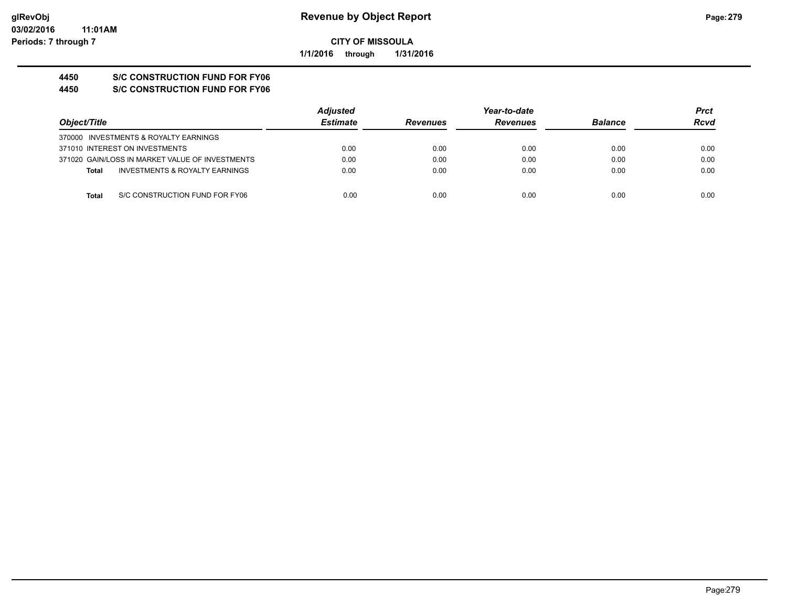**1/1/2016 through 1/31/2016**

# **4450 S/C CONSTRUCTION FUND FOR FY06**

**4450 S/C CONSTRUCTION FUND FOR FY06**

|                                                 | <b>Adjusted</b> |                 | Year-to-date    |                | Prct |
|-------------------------------------------------|-----------------|-----------------|-----------------|----------------|------|
| Object/Title                                    | <b>Estimate</b> | <b>Revenues</b> | <b>Revenues</b> | <b>Balance</b> | Rcvd |
| 370000 INVESTMENTS & ROYALTY EARNINGS           |                 |                 |                 |                |      |
| 371010 INTEREST ON INVESTMENTS                  | 0.00            | 0.00            | 0.00            | 0.00           | 0.00 |
| 371020 GAIN/LOSS IN MARKET VALUE OF INVESTMENTS | 0.00            | 0.00            | 0.00            | 0.00           | 0.00 |
| INVESTMENTS & ROYALTY EARNINGS<br><b>Total</b>  | 0.00            | 0.00            | 0.00            | 0.00           | 0.00 |
| S/C CONSTRUCTION FUND FOR FY06<br><b>Total</b>  | 0.00            | 0.00            | 0.00            | 0.00           | 0.00 |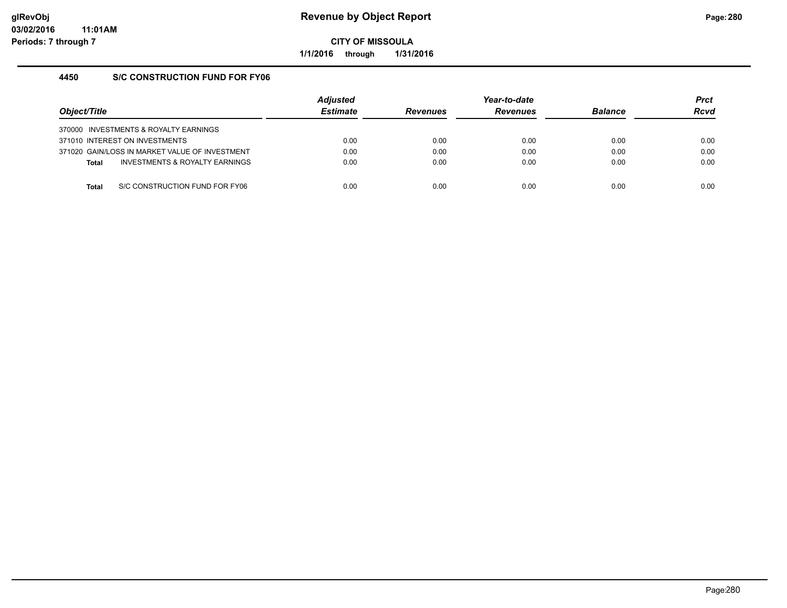**1/1/2016 through 1/31/2016**

# **4450 S/C CONSTRUCTION FUND FOR FY06**

| Object/Title |                                                | <b>Adjusted</b><br><b>Estimate</b> | <b>Revenues</b> | Year-to-date<br><b>Revenues</b> | <b>Balance</b> | <b>Prct</b><br>Rcvd |
|--------------|------------------------------------------------|------------------------------------|-----------------|---------------------------------|----------------|---------------------|
|              | 370000 INVESTMENTS & ROYALTY EARNINGS          |                                    |                 |                                 |                |                     |
|              | 371010 INTEREST ON INVESTMENTS                 | 0.00                               | 0.00            | 0.00                            | 0.00           | 0.00                |
|              | 371020 GAIN/LOSS IN MARKET VALUE OF INVESTMENT | 0.00                               | 0.00            | 0.00                            | 0.00           | 0.00                |
| <b>Total</b> | INVESTMENTS & ROYALTY EARNINGS                 | 0.00                               | 0.00            | 0.00                            | 0.00           | 0.00                |
|              |                                                |                                    |                 |                                 |                |                     |
| Total        | S/C CONSTRUCTION FUND FOR FY06                 | 0.00                               | 0.00            | 0.00                            | 0.00           | 0.00                |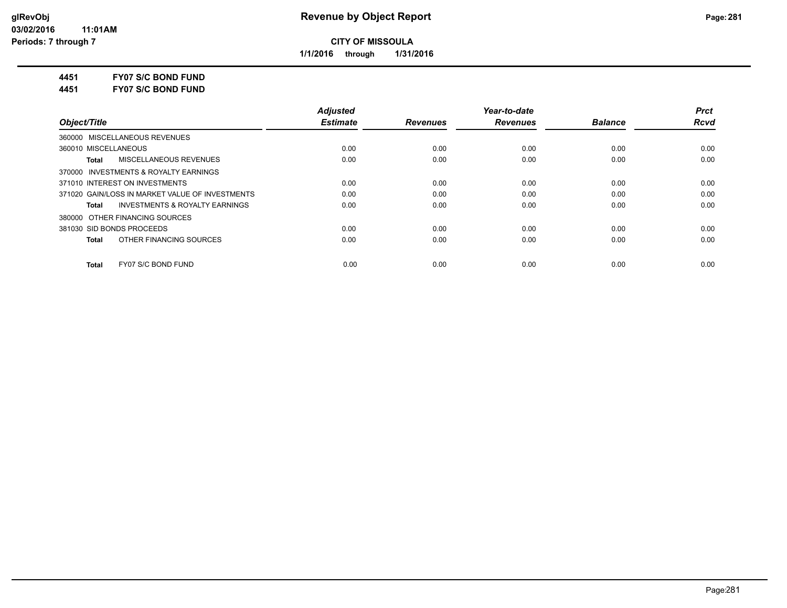**1/1/2016 through 1/31/2016**

**4451 FY07 S/C BOND FUND**

**4451 FY07 S/C BOND FUND**

|                                                    | <b>Adjusted</b> |                 | Year-to-date    |                | <b>Prct</b> |
|----------------------------------------------------|-----------------|-----------------|-----------------|----------------|-------------|
| Object/Title                                       | <b>Estimate</b> | <b>Revenues</b> | <b>Revenues</b> | <b>Balance</b> | <b>Rcvd</b> |
| 360000 MISCELLANEOUS REVENUES                      |                 |                 |                 |                |             |
| 360010 MISCELLANEOUS                               | 0.00            | 0.00            | 0.00            | 0.00           | 0.00        |
| MISCELLANEOUS REVENUES<br><b>Total</b>             | 0.00            | 0.00            | 0.00            | 0.00           | 0.00        |
| 370000 INVESTMENTS & ROYALTY EARNINGS              |                 |                 |                 |                |             |
| 371010 INTEREST ON INVESTMENTS                     | 0.00            | 0.00            | 0.00            | 0.00           | 0.00        |
| 371020 GAIN/LOSS IN MARKET VALUE OF INVESTMENTS    | 0.00            | 0.00            | 0.00            | 0.00           | 0.00        |
| <b>INVESTMENTS &amp; ROYALTY EARNINGS</b><br>Total | 0.00            | 0.00            | 0.00            | 0.00           | 0.00        |
| 380000 OTHER FINANCING SOURCES                     |                 |                 |                 |                |             |
| 381030 SID BONDS PROCEEDS                          | 0.00            | 0.00            | 0.00            | 0.00           | 0.00        |
| OTHER FINANCING SOURCES<br><b>Total</b>            | 0.00            | 0.00            | 0.00            | 0.00           | 0.00        |
| FY07 S/C BOND FUND<br><b>Total</b>                 | 0.00            | 0.00            | 0.00            | 0.00           | 0.00        |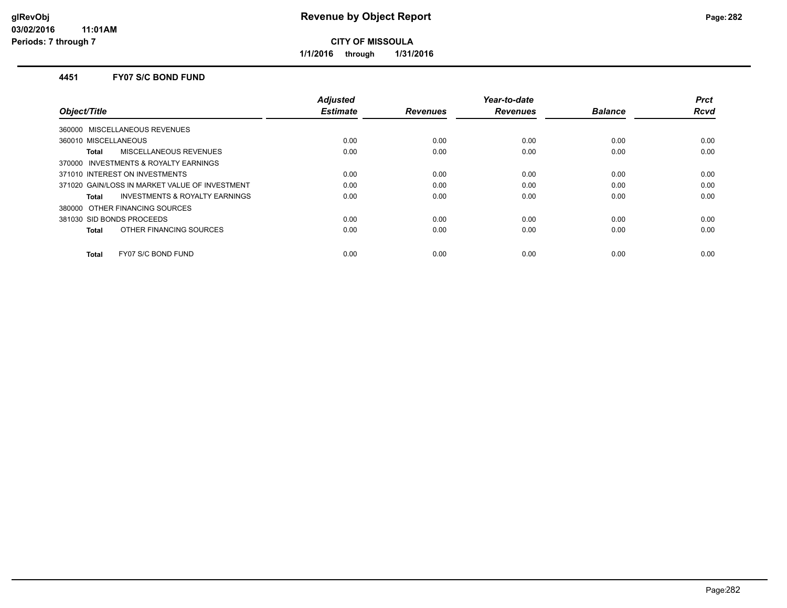**1/1/2016 through 1/31/2016**

#### **4451 FY07 S/C BOND FUND**

| Object/Title                                       | <b>Adjusted</b><br><b>Estimate</b> | <b>Revenues</b> | Year-to-date<br><b>Revenues</b> | <b>Balance</b> | <b>Prct</b><br>Rcvd |
|----------------------------------------------------|------------------------------------|-----------------|---------------------------------|----------------|---------------------|
| 360000 MISCELLANEOUS REVENUES                      |                                    |                 |                                 |                |                     |
| 360010 MISCELLANEOUS                               | 0.00                               | 0.00            | 0.00                            | 0.00           | 0.00                |
| <b>MISCELLANEOUS REVENUES</b><br><b>Total</b>      | 0.00                               | 0.00            | 0.00                            | 0.00           | 0.00                |
| 370000 INVESTMENTS & ROYALTY EARNINGS              |                                    |                 |                                 |                |                     |
| 371010 INTEREST ON INVESTMENTS                     | 0.00                               | 0.00            | 0.00                            | 0.00           | 0.00                |
| 371020 GAIN/LOSS IN MARKET VALUE OF INVESTMENT     | 0.00                               | 0.00            | 0.00                            | 0.00           | 0.00                |
| <b>INVESTMENTS &amp; ROYALTY EARNINGS</b><br>Total | 0.00                               | 0.00            | 0.00                            | 0.00           | 0.00                |
| 380000 OTHER FINANCING SOURCES                     |                                    |                 |                                 |                |                     |
| 381030 SID BONDS PROCEEDS                          | 0.00                               | 0.00            | 0.00                            | 0.00           | 0.00                |
| OTHER FINANCING SOURCES<br><b>Total</b>            | 0.00                               | 0.00            | 0.00                            | 0.00           | 0.00                |
| FY07 S/C BOND FUND<br><b>Total</b>                 | 0.00                               | 0.00            | 0.00                            | 0.00           | 0.00                |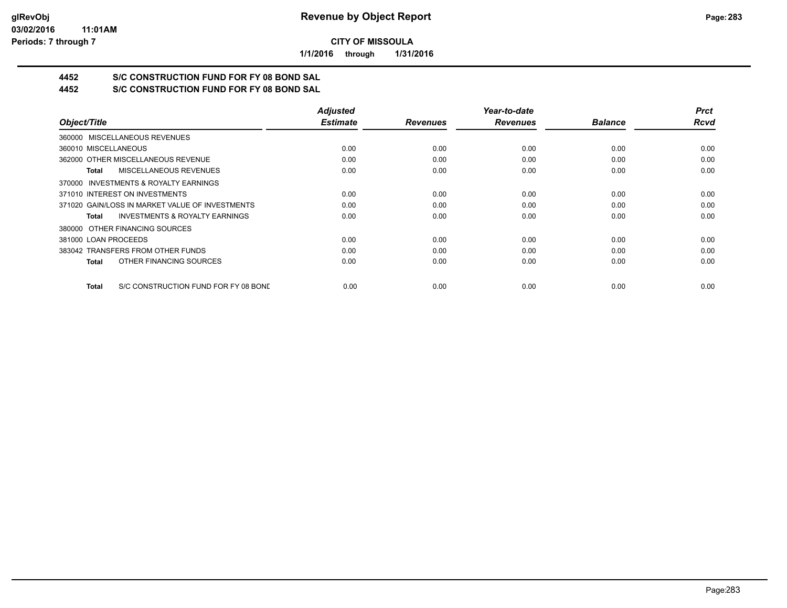**1/1/2016 through 1/31/2016**

# **4452 S/C CONSTRUCTION FUND FOR FY 08 BOND SAL**

**4452 S/C CONSTRUCTION FUND FOR FY 08 BOND SAL**

|                                                      | <b>Adjusted</b> |                 | Year-to-date    |                | <b>Prct</b> |
|------------------------------------------------------|-----------------|-----------------|-----------------|----------------|-------------|
| Object/Title                                         | <b>Estimate</b> | <b>Revenues</b> | <b>Revenues</b> | <b>Balance</b> | <b>Rcvd</b> |
| 360000 MISCELLANEOUS REVENUES                        |                 |                 |                 |                |             |
| 360010 MISCELLANEOUS                                 | 0.00            | 0.00            | 0.00            | 0.00           | 0.00        |
| 362000 OTHER MISCELLANEOUS REVENUE                   | 0.00            | 0.00            | 0.00            | 0.00           | 0.00        |
| <b>MISCELLANEOUS REVENUES</b><br>Total               | 0.00            | 0.00            | 0.00            | 0.00           | 0.00        |
| 370000 INVESTMENTS & ROYALTY EARNINGS                |                 |                 |                 |                |             |
| 371010 INTEREST ON INVESTMENTS                       | 0.00            | 0.00            | 0.00            | 0.00           | 0.00        |
| 371020 GAIN/LOSS IN MARKET VALUE OF INVESTMENTS      | 0.00            | 0.00            | 0.00            | 0.00           | 0.00        |
| <b>INVESTMENTS &amp; ROYALTY EARNINGS</b><br>Total   | 0.00            | 0.00            | 0.00            | 0.00           | 0.00        |
| 380000 OTHER FINANCING SOURCES                       |                 |                 |                 |                |             |
| 381000 LOAN PROCEEDS                                 | 0.00            | 0.00            | 0.00            | 0.00           | 0.00        |
| 383042 TRANSFERS FROM OTHER FUNDS                    | 0.00            | 0.00            | 0.00            | 0.00           | 0.00        |
| OTHER FINANCING SOURCES<br><b>Total</b>              | 0.00            | 0.00            | 0.00            | 0.00           | 0.00        |
| S/C CONSTRUCTION FUND FOR FY 08 BOND<br><b>Total</b> | 0.00            | 0.00            | 0.00            | 0.00           | 0.00        |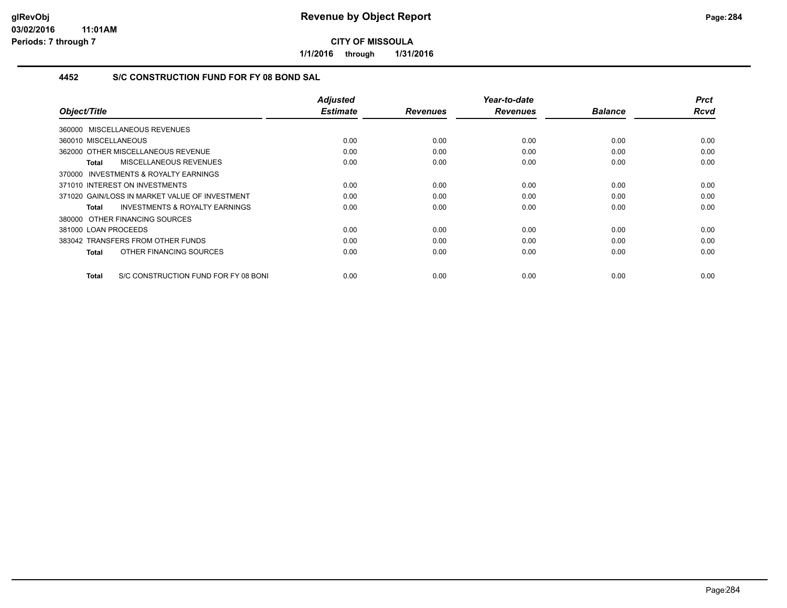**1/1/2016 through 1/31/2016**

# **4452 S/C CONSTRUCTION FUND FOR FY 08 BOND SAL**

| Object/Title                                         | <b>Adjusted</b><br><b>Estimate</b> | <b>Revenues</b> | Year-to-date<br><b>Revenues</b> | <b>Balance</b> | <b>Prct</b><br><b>Rcvd</b> |
|------------------------------------------------------|------------------------------------|-----------------|---------------------------------|----------------|----------------------------|
|                                                      |                                    |                 |                                 |                |                            |
| 360000 MISCELLANEOUS REVENUES                        |                                    |                 |                                 |                |                            |
| 360010 MISCELLANEOUS                                 | 0.00                               | 0.00            | 0.00                            | 0.00           | 0.00                       |
| 362000 OTHER MISCELLANEOUS REVENUE                   | 0.00                               | 0.00            | 0.00                            | 0.00           | 0.00                       |
| MISCELLANEOUS REVENUES<br>Total                      | 0.00                               | 0.00            | 0.00                            | 0.00           | 0.00                       |
| 370000 INVESTMENTS & ROYALTY EARNINGS                |                                    |                 |                                 |                |                            |
| 371010 INTEREST ON INVESTMENTS                       | 0.00                               | 0.00            | 0.00                            | 0.00           | 0.00                       |
| 371020 GAIN/LOSS IN MARKET VALUE OF INVESTMENT       | 0.00                               | 0.00            | 0.00                            | 0.00           | 0.00                       |
| <b>INVESTMENTS &amp; ROYALTY EARNINGS</b><br>Total   | 0.00                               | 0.00            | 0.00                            | 0.00           | 0.00                       |
| 380000 OTHER FINANCING SOURCES                       |                                    |                 |                                 |                |                            |
| 381000 LOAN PROCEEDS                                 | 0.00                               | 0.00            | 0.00                            | 0.00           | 0.00                       |
| 383042 TRANSFERS FROM OTHER FUNDS                    | 0.00                               | 0.00            | 0.00                            | 0.00           | 0.00                       |
| OTHER FINANCING SOURCES<br>Total                     | 0.00                               | 0.00            | 0.00                            | 0.00           | 0.00                       |
|                                                      |                                    |                 |                                 |                |                            |
| S/C CONSTRUCTION FUND FOR FY 08 BONI<br><b>Total</b> | 0.00                               | 0.00            | 0.00                            | 0.00           | 0.00                       |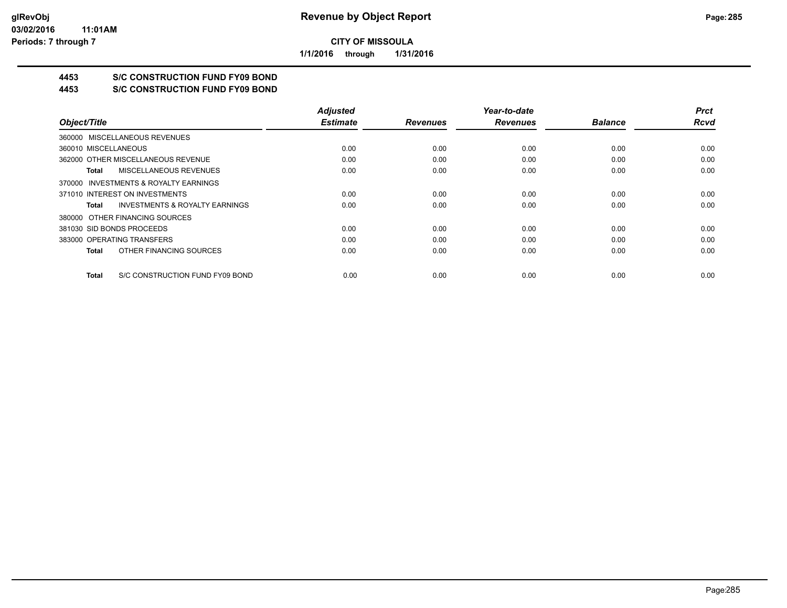**1/1/2016 through 1/31/2016**

# **4453 S/C CONSTRUCTION FUND FY09 BOND**

**4453 S/C CONSTRUCTION FUND FY09 BOND**

|                                                    | <b>Adjusted</b> |                 | Year-to-date    |                | <b>Prct</b> |
|----------------------------------------------------|-----------------|-----------------|-----------------|----------------|-------------|
| Object/Title                                       | <b>Estimate</b> | <b>Revenues</b> | <b>Revenues</b> | <b>Balance</b> | <b>Rcvd</b> |
| 360000 MISCELLANEOUS REVENUES                      |                 |                 |                 |                |             |
| 360010 MISCELLANEOUS                               | 0.00            | 0.00            | 0.00            | 0.00           | 0.00        |
| 362000 OTHER MISCELLANEOUS REVENUE                 | 0.00            | 0.00            | 0.00            | 0.00           | 0.00        |
| MISCELLANEOUS REVENUES<br>Total                    | 0.00            | 0.00            | 0.00            | 0.00           | 0.00        |
| 370000 INVESTMENTS & ROYALTY EARNINGS              |                 |                 |                 |                |             |
| 371010 INTEREST ON INVESTMENTS                     | 0.00            | 0.00            | 0.00            | 0.00           | 0.00        |
| <b>INVESTMENTS &amp; ROYALTY EARNINGS</b><br>Total | 0.00            | 0.00            | 0.00            | 0.00           | 0.00        |
| 380000 OTHER FINANCING SOURCES                     |                 |                 |                 |                |             |
| 381030 SID BONDS PROCEEDS                          | 0.00            | 0.00            | 0.00            | 0.00           | 0.00        |
| 383000 OPERATING TRANSFERS                         | 0.00            | 0.00            | 0.00            | 0.00           | 0.00        |
| OTHER FINANCING SOURCES<br>Total                   | 0.00            | 0.00            | 0.00            | 0.00           | 0.00        |
| S/C CONSTRUCTION FUND FY09 BOND<br>Total           | 0.00            | 0.00            | 0.00            | 0.00           | 0.00        |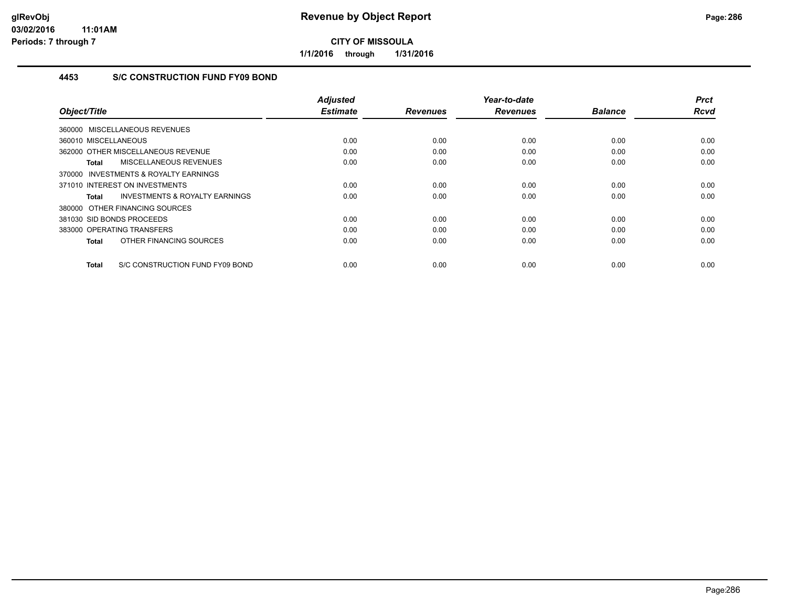**1/1/2016 through 1/31/2016**

# **4453 S/C CONSTRUCTION FUND FY09 BOND**

| Object/Title                                       | <b>Adjusted</b><br><b>Estimate</b> | <b>Revenues</b> | Year-to-date<br><b>Revenues</b> | <b>Balance</b> | <b>Prct</b><br>Rcvd |
|----------------------------------------------------|------------------------------------|-----------------|---------------------------------|----------------|---------------------|
|                                                    |                                    |                 |                                 |                |                     |
| 360000 MISCELLANEOUS REVENUES                      |                                    |                 |                                 |                |                     |
| 360010 MISCELLANEOUS                               | 0.00                               | 0.00            | 0.00                            | 0.00           | 0.00                |
| 362000 OTHER MISCELLANEOUS REVENUE                 | 0.00                               | 0.00            | 0.00                            | 0.00           | 0.00                |
| MISCELLANEOUS REVENUES<br>Total                    | 0.00                               | 0.00            | 0.00                            | 0.00           | 0.00                |
| 370000 INVESTMENTS & ROYALTY EARNINGS              |                                    |                 |                                 |                |                     |
| 371010 INTEREST ON INVESTMENTS                     | 0.00                               | 0.00            | 0.00                            | 0.00           | 0.00                |
| <b>INVESTMENTS &amp; ROYALTY EARNINGS</b><br>Total | 0.00                               | 0.00            | 0.00                            | 0.00           | 0.00                |
| 380000 OTHER FINANCING SOURCES                     |                                    |                 |                                 |                |                     |
| 381030 SID BONDS PROCEEDS                          | 0.00                               | 0.00            | 0.00                            | 0.00           | 0.00                |
| 383000 OPERATING TRANSFERS                         | 0.00                               | 0.00            | 0.00                            | 0.00           | 0.00                |
| OTHER FINANCING SOURCES<br>Total                   | 0.00                               | 0.00            | 0.00                            | 0.00           | 0.00                |
| S/C CONSTRUCTION FUND FY09 BOND<br>Total           | 0.00                               | 0.00            | 0.00                            | 0.00           | 0.00                |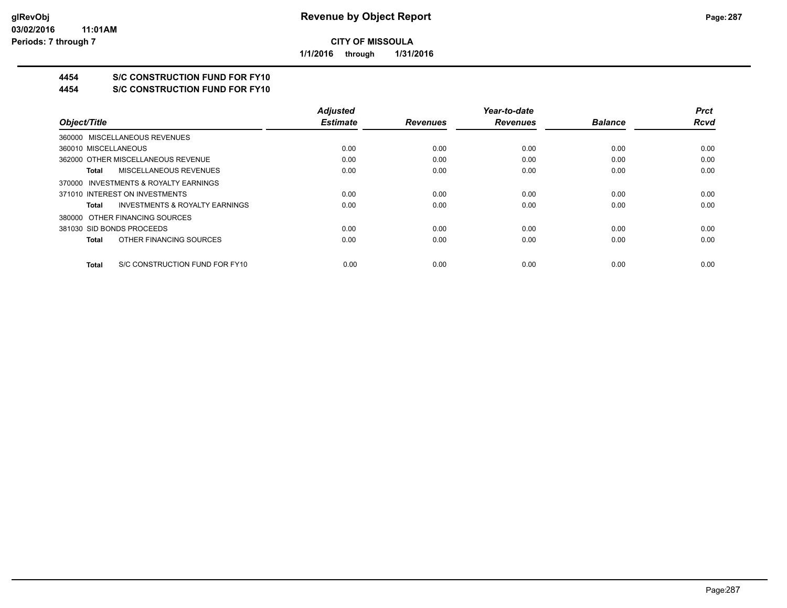**1/1/2016 through 1/31/2016**

# **4454 S/C CONSTRUCTION FUND FOR FY10**

**4454 S/C CONSTRUCTION FUND FOR FY10**

|                                                    | <b>Adjusted</b> |                 | Year-to-date    |                | <b>Prct</b> |
|----------------------------------------------------|-----------------|-----------------|-----------------|----------------|-------------|
| Object/Title                                       | <b>Estimate</b> | <b>Revenues</b> | <b>Revenues</b> | <b>Balance</b> | <b>Rcvd</b> |
| 360000 MISCELLANEOUS REVENUES                      |                 |                 |                 |                |             |
| 360010 MISCELLANEOUS                               | 0.00            | 0.00            | 0.00            | 0.00           | 0.00        |
| 362000 OTHER MISCELLANEOUS REVENUE                 | 0.00            | 0.00            | 0.00            | 0.00           | 0.00        |
| MISCELLANEOUS REVENUES<br>Total                    | 0.00            | 0.00            | 0.00            | 0.00           | 0.00        |
| 370000 INVESTMENTS & ROYALTY EARNINGS              |                 |                 |                 |                |             |
| 371010 INTEREST ON INVESTMENTS                     | 0.00            | 0.00            | 0.00            | 0.00           | 0.00        |
| <b>INVESTMENTS &amp; ROYALTY EARNINGS</b><br>Total | 0.00            | 0.00            | 0.00            | 0.00           | 0.00        |
| 380000 OTHER FINANCING SOURCES                     |                 |                 |                 |                |             |
| 381030 SID BONDS PROCEEDS                          | 0.00            | 0.00            | 0.00            | 0.00           | 0.00        |
| OTHER FINANCING SOURCES<br>Total                   | 0.00            | 0.00            | 0.00            | 0.00           | 0.00        |
| S/C CONSTRUCTION FUND FOR FY10<br>Total            | 0.00            | 0.00            | 0.00            | 0.00           | 0.00        |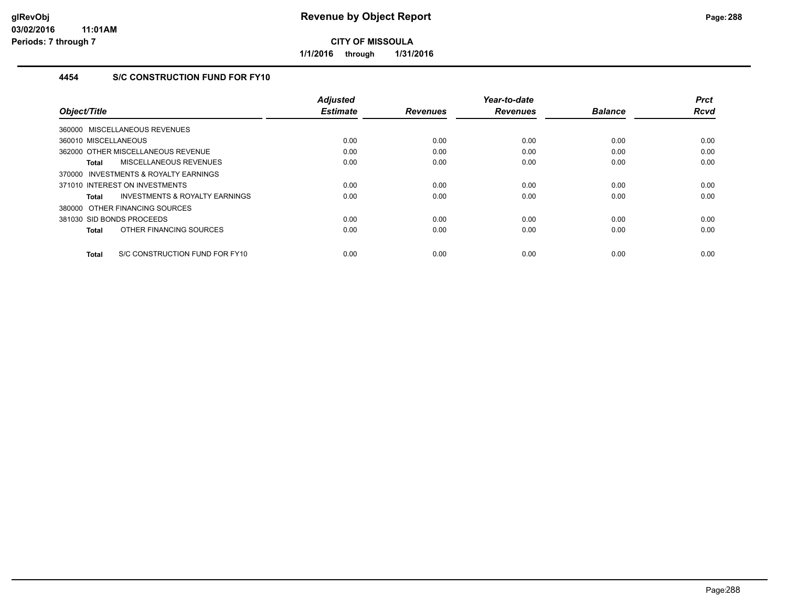**1/1/2016 through 1/31/2016**

# **4454 S/C CONSTRUCTION FUND FOR FY10**

|                                                | <b>Adjusted</b> |                 | Year-to-date    |                | <b>Prct</b> |
|------------------------------------------------|-----------------|-----------------|-----------------|----------------|-------------|
| Object/Title                                   | <b>Estimate</b> | <b>Revenues</b> | <b>Revenues</b> | <b>Balance</b> | <b>Rcvd</b> |
| 360000 MISCELLANEOUS REVENUES                  |                 |                 |                 |                |             |
| 360010 MISCELLANEOUS                           | 0.00            | 0.00            | 0.00            | 0.00           | 0.00        |
| 362000 OTHER MISCELLANEOUS REVENUE             | 0.00            | 0.00            | 0.00            | 0.00           | 0.00        |
| <b>MISCELLANEOUS REVENUES</b><br>Total         | 0.00            | 0.00            | 0.00            | 0.00           | 0.00        |
| INVESTMENTS & ROYALTY EARNINGS<br>370000       |                 |                 |                 |                |             |
| 371010 INTEREST ON INVESTMENTS                 | 0.00            | 0.00            | 0.00            | 0.00           | 0.00        |
| INVESTMENTS & ROYALTY EARNINGS<br>Total        | 0.00            | 0.00            | 0.00            | 0.00           | 0.00        |
| 380000 OTHER FINANCING SOURCES                 |                 |                 |                 |                |             |
| 381030 SID BONDS PROCEEDS                      | 0.00            | 0.00            | 0.00            | 0.00           | 0.00        |
| OTHER FINANCING SOURCES<br><b>Total</b>        | 0.00            | 0.00            | 0.00            | 0.00           | 0.00        |
| S/C CONSTRUCTION FUND FOR FY10<br><b>Total</b> | 0.00            | 0.00            | 0.00            | 0.00           | 0.00        |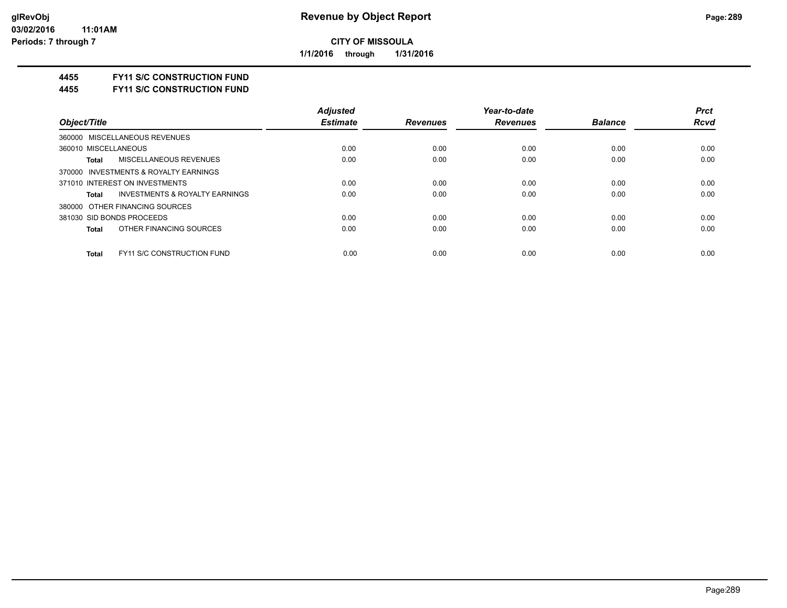**1/1/2016 through 1/31/2016**

### **4455 FY11 S/C CONSTRUCTION FUND**

**4455 FY11 S/C CONSTRUCTION FUND**

|                                                    | <b>Adjusted</b> |                 | Year-to-date    |                | <b>Prct</b> |
|----------------------------------------------------|-----------------|-----------------|-----------------|----------------|-------------|
| Object/Title                                       | <b>Estimate</b> | <b>Revenues</b> | <b>Revenues</b> | <b>Balance</b> | Rcvd        |
| 360000 MISCELLANEOUS REVENUES                      |                 |                 |                 |                |             |
| 360010 MISCELLANEOUS                               | 0.00            | 0.00            | 0.00            | 0.00           | 0.00        |
| MISCELLANEOUS REVENUES<br><b>Total</b>             | 0.00            | 0.00            | 0.00            | 0.00           | 0.00        |
| 370000 INVESTMENTS & ROYALTY EARNINGS              |                 |                 |                 |                |             |
| 371010 INTEREST ON INVESTMENTS                     | 0.00            | 0.00            | 0.00            | 0.00           | 0.00        |
| <b>INVESTMENTS &amp; ROYALTY EARNINGS</b><br>Total | 0.00            | 0.00            | 0.00            | 0.00           | 0.00        |
| 380000 OTHER FINANCING SOURCES                     |                 |                 |                 |                |             |
| 381030 SID BONDS PROCEEDS                          | 0.00            | 0.00            | 0.00            | 0.00           | 0.00        |
| OTHER FINANCING SOURCES<br><b>Total</b>            | 0.00            | 0.00            | 0.00            | 0.00           | 0.00        |
| <b>FY11 S/C CONSTRUCTION FUND</b><br><b>Total</b>  | 0.00            | 0.00            | 0.00            | 0.00           | 0.00        |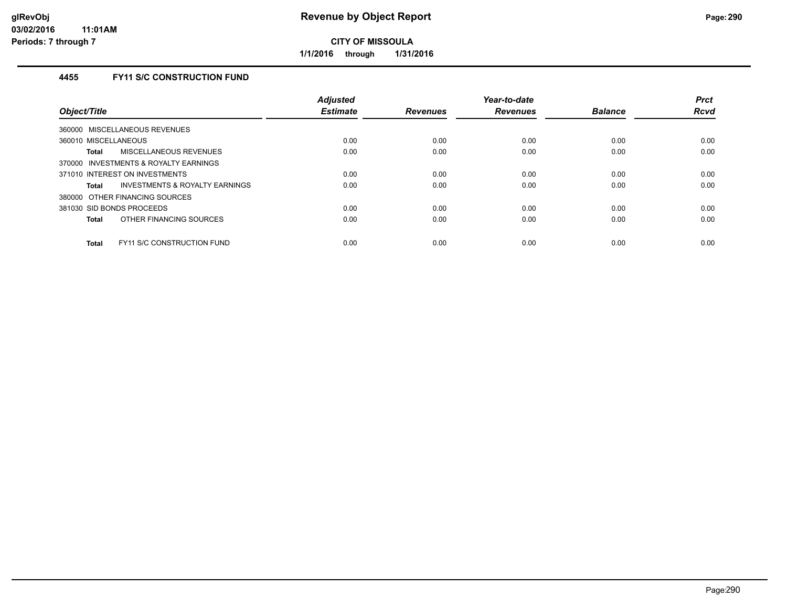**1/1/2016 through 1/31/2016**

# **4455 FY11 S/C CONSTRUCTION FUND**

| Object/Title                                       | <b>Adjusted</b><br><b>Estimate</b> | <b>Revenues</b> | Year-to-date<br><b>Revenues</b> | <b>Balance</b> | <b>Prct</b><br><b>Rcvd</b> |
|----------------------------------------------------|------------------------------------|-----------------|---------------------------------|----------------|----------------------------|
| 360000 MISCELLANEOUS REVENUES                      |                                    |                 |                                 |                |                            |
| 360010 MISCELLANEOUS                               | 0.00                               | 0.00            | 0.00                            | 0.00           | 0.00                       |
| MISCELLANEOUS REVENUES<br>Total                    | 0.00                               | 0.00            | 0.00                            | 0.00           | 0.00                       |
| 370000 INVESTMENTS & ROYALTY EARNINGS              |                                    |                 |                                 |                |                            |
| 371010 INTEREST ON INVESTMENTS                     | 0.00                               | 0.00            | 0.00                            | 0.00           | 0.00                       |
| <b>INVESTMENTS &amp; ROYALTY EARNINGS</b><br>Total | 0.00                               | 0.00            | 0.00                            | 0.00           | 0.00                       |
| 380000 OTHER FINANCING SOURCES                     |                                    |                 |                                 |                |                            |
| 381030 SID BONDS PROCEEDS                          | 0.00                               | 0.00            | 0.00                            | 0.00           | 0.00                       |
| OTHER FINANCING SOURCES<br>Total                   | 0.00                               | 0.00            | 0.00                            | 0.00           | 0.00                       |
| <b>FY11 S/C CONSTRUCTION FUND</b><br>Total         | 0.00                               | 0.00            | 0.00                            | 0.00           | 0.00                       |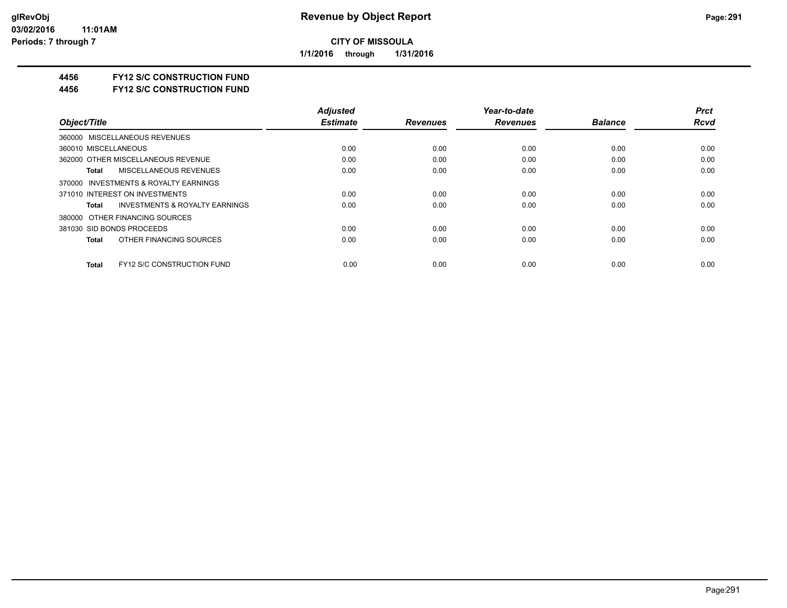**1/1/2016 through 1/31/2016**

### **4456 FY12 S/C CONSTRUCTION FUND**

**4456 FY12 S/C CONSTRUCTION FUND**

|                                                   | <b>Adjusted</b> |                 | Year-to-date    |                | <b>Prct</b> |
|---------------------------------------------------|-----------------|-----------------|-----------------|----------------|-------------|
| Object/Title                                      | <b>Estimate</b> | <b>Revenues</b> | <b>Revenues</b> | <b>Balance</b> | <b>Rcvd</b> |
| 360000 MISCELLANEOUS REVENUES                     |                 |                 |                 |                |             |
| 360010 MISCELLANEOUS                              | 0.00            | 0.00            | 0.00            | 0.00           | 0.00        |
| 362000 OTHER MISCELLANEOUS REVENUE                | 0.00            | 0.00            | 0.00            | 0.00           | 0.00        |
| <b>MISCELLANEOUS REVENUES</b><br>Total            | 0.00            | 0.00            | 0.00            | 0.00           | 0.00        |
| 370000 INVESTMENTS & ROYALTY EARNINGS             |                 |                 |                 |                |             |
| 371010 INTEREST ON INVESTMENTS                    | 0.00            | 0.00            | 0.00            | 0.00           | 0.00        |
| INVESTMENTS & ROYALTY EARNINGS<br>Total           | 0.00            | 0.00            | 0.00            | 0.00           | 0.00        |
| 380000 OTHER FINANCING SOURCES                    |                 |                 |                 |                |             |
| 381030 SID BONDS PROCEEDS                         | 0.00            | 0.00            | 0.00            | 0.00           | 0.00        |
| OTHER FINANCING SOURCES<br>Total                  | 0.00            | 0.00            | 0.00            | 0.00           | 0.00        |
| <b>FY12 S/C CONSTRUCTION FUND</b><br><b>Total</b> | 0.00            | 0.00            | 0.00            | 0.00           | 0.00        |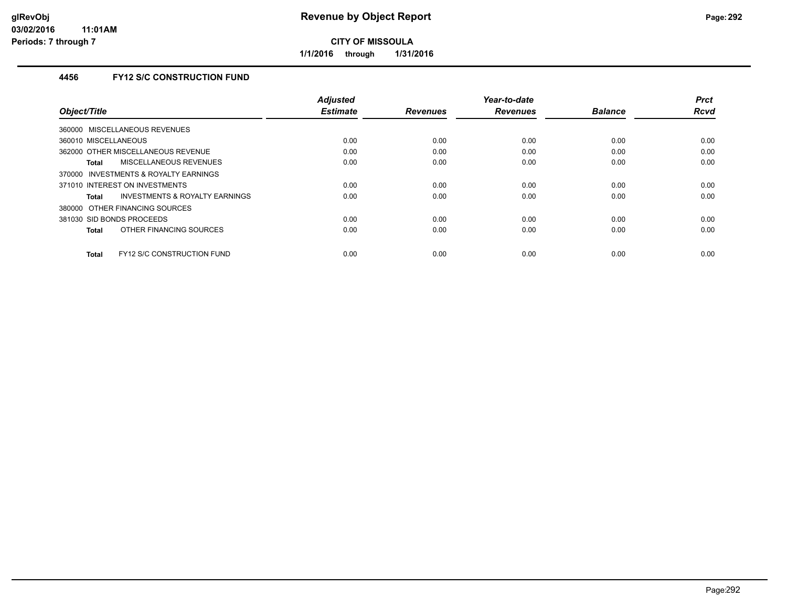**1/1/2016 through 1/31/2016**

# **4456 FY12 S/C CONSTRUCTION FUND**

|                                                    | <b>Adjusted</b> |                 | Year-to-date    |                | <b>Prct</b> |
|----------------------------------------------------|-----------------|-----------------|-----------------|----------------|-------------|
| Object/Title                                       | <b>Estimate</b> | <b>Revenues</b> | <b>Revenues</b> | <b>Balance</b> | <b>Rcvd</b> |
| 360000 MISCELLANEOUS REVENUES                      |                 |                 |                 |                |             |
| 360010 MISCELLANEOUS                               | 0.00            | 0.00            | 0.00            | 0.00           | 0.00        |
| 362000 OTHER MISCELLANEOUS REVENUE                 | 0.00            | 0.00            | 0.00            | 0.00           | 0.00        |
| MISCELLANEOUS REVENUES<br>Total                    | 0.00            | 0.00            | 0.00            | 0.00           | 0.00        |
| INVESTMENTS & ROYALTY EARNINGS<br>370000           |                 |                 |                 |                |             |
| 371010 INTEREST ON INVESTMENTS                     | 0.00            | 0.00            | 0.00            | 0.00           | 0.00        |
| <b>INVESTMENTS &amp; ROYALTY EARNINGS</b><br>Total | 0.00            | 0.00            | 0.00            | 0.00           | 0.00        |
| 380000 OTHER FINANCING SOURCES                     |                 |                 |                 |                |             |
| 381030 SID BONDS PROCEEDS                          | 0.00            | 0.00            | 0.00            | 0.00           | 0.00        |
| OTHER FINANCING SOURCES<br>Total                   | 0.00            | 0.00            | 0.00            | 0.00           | 0.00        |
| <b>FY12 S/C CONSTRUCTION FUND</b><br>Total         | 0.00            | 0.00            | 0.00            | 0.00           | 0.00        |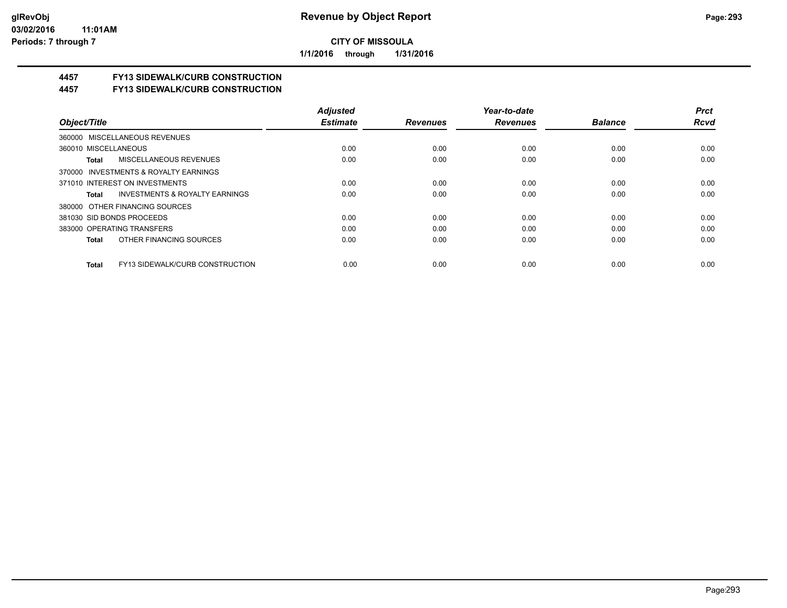**1/1/2016 through 1/31/2016**

# **4457 FY13 SIDEWALK/CURB CONSTRUCTION**

**4457 FY13 SIDEWALK/CURB CONSTRUCTION**

|                                                    | <b>Adjusted</b> |                 | Year-to-date    |                | <b>Prct</b> |
|----------------------------------------------------|-----------------|-----------------|-----------------|----------------|-------------|
| Object/Title                                       | <b>Estimate</b> | <b>Revenues</b> | <b>Revenues</b> | <b>Balance</b> | <b>Rcvd</b> |
| 360000 MISCELLANEOUS REVENUES                      |                 |                 |                 |                |             |
| 360010 MISCELLANEOUS                               | 0.00            | 0.00            | 0.00            | 0.00           | 0.00        |
| MISCELLANEOUS REVENUES<br>Total                    | 0.00            | 0.00            | 0.00            | 0.00           | 0.00        |
| 370000 INVESTMENTS & ROYALTY EARNINGS              |                 |                 |                 |                |             |
| 371010 INTEREST ON INVESTMENTS                     | 0.00            | 0.00            | 0.00            | 0.00           | 0.00        |
| <b>INVESTMENTS &amp; ROYALTY EARNINGS</b><br>Total | 0.00            | 0.00            | 0.00            | 0.00           | 0.00        |
| 380000 OTHER FINANCING SOURCES                     |                 |                 |                 |                |             |
| 381030 SID BONDS PROCEEDS                          | 0.00            | 0.00            | 0.00            | 0.00           | 0.00        |
| 383000 OPERATING TRANSFERS                         | 0.00            | 0.00            | 0.00            | 0.00           | 0.00        |
| OTHER FINANCING SOURCES<br>Total                   | 0.00            | 0.00            | 0.00            | 0.00           | 0.00        |
| FY13 SIDEWALK/CURB CONSTRUCTION<br><b>Total</b>    | 0.00            | 0.00            | 0.00            | 0.00           | 0.00        |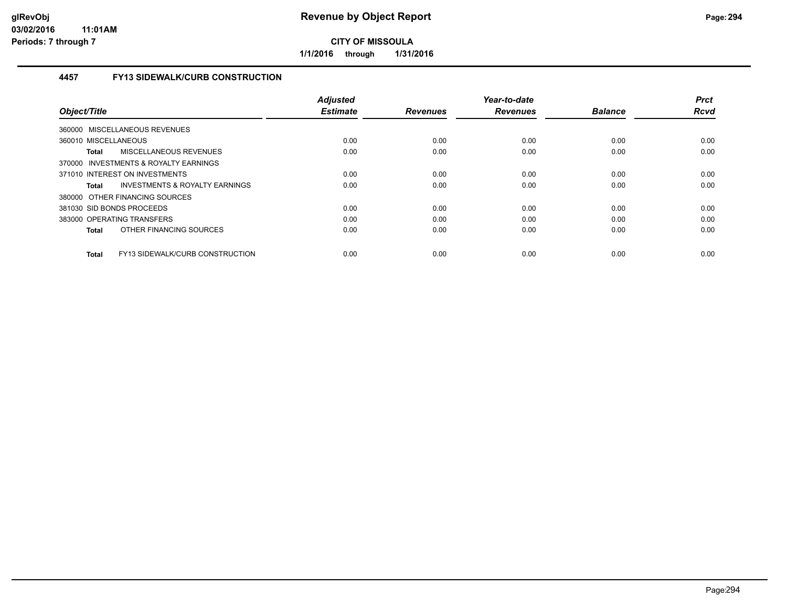**1/1/2016 through 1/31/2016**

# **4457 FY13 SIDEWALK/CURB CONSTRUCTION**

| Object/Title                                           | <b>Adjusted</b><br><b>Estimate</b> | <b>Revenues</b> | Year-to-date<br><b>Revenues</b> | <b>Balance</b> | <b>Prct</b><br><b>Rcvd</b> |
|--------------------------------------------------------|------------------------------------|-----------------|---------------------------------|----------------|----------------------------|
| 360000 MISCELLANEOUS REVENUES                          |                                    |                 |                                 |                |                            |
| 360010 MISCELLANEOUS                                   | 0.00                               | 0.00            | 0.00                            | 0.00           | 0.00                       |
| MISCELLANEOUS REVENUES<br><b>Total</b>                 | 0.00                               | 0.00            | 0.00                            | 0.00           | 0.00                       |
| 370000 INVESTMENTS & ROYALTY EARNINGS                  |                                    |                 |                                 |                |                            |
| 371010 INTEREST ON INVESTMENTS                         | 0.00                               | 0.00            | 0.00                            | 0.00           | 0.00                       |
| INVESTMENTS & ROYALTY EARNINGS<br><b>Total</b>         | 0.00                               | 0.00            | 0.00                            | 0.00           | 0.00                       |
| 380000 OTHER FINANCING SOURCES                         |                                    |                 |                                 |                |                            |
| 381030 SID BONDS PROCEEDS                              | 0.00                               | 0.00            | 0.00                            | 0.00           | 0.00                       |
| 383000 OPERATING TRANSFERS                             | 0.00                               | 0.00            | 0.00                            | 0.00           | 0.00                       |
| OTHER FINANCING SOURCES<br><b>Total</b>                | 0.00                               | 0.00            | 0.00                            | 0.00           | 0.00                       |
| <b>FY13 SIDEWALK/CURB CONSTRUCTION</b><br><b>Total</b> | 0.00                               | 0.00            | 0.00                            | 0.00           | 0.00                       |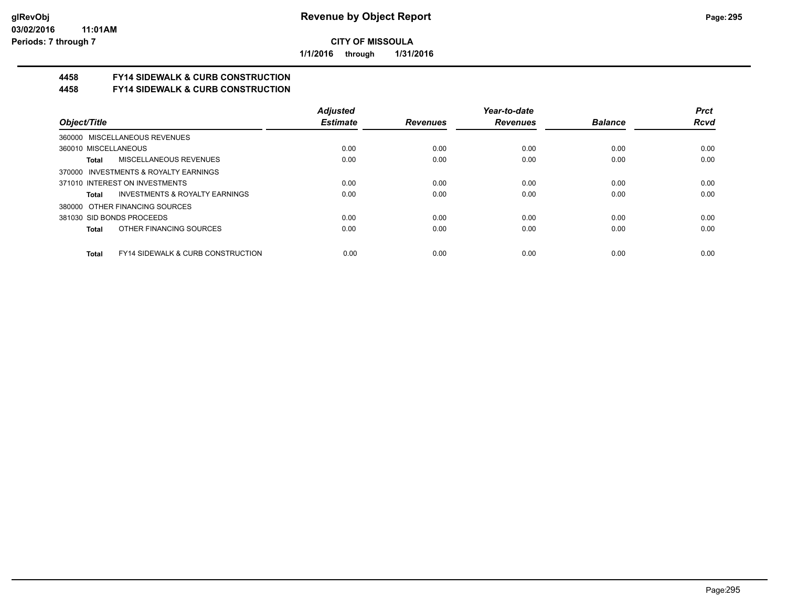**1/1/2016 through 1/31/2016**

# **4458 FY14 SIDEWALK & CURB CONSTRUCTION**

**4458 FY14 SIDEWALK & CURB CONSTRUCTION**

|                                                              | <b>Adiusted</b> |                 | Year-to-date    |                | <b>Prct</b> |
|--------------------------------------------------------------|-----------------|-----------------|-----------------|----------------|-------------|
| Object/Title                                                 | <b>Estimate</b> | <b>Revenues</b> | <b>Revenues</b> | <b>Balance</b> | <b>Rcvd</b> |
| 360000 MISCELLANEOUS REVENUES                                |                 |                 |                 |                |             |
| 360010 MISCELLANEOUS                                         | 0.00            | 0.00            | 0.00            | 0.00           | 0.00        |
| <b>MISCELLANEOUS REVENUES</b><br>Total                       | 0.00            | 0.00            | 0.00            | 0.00           | 0.00        |
| 370000 INVESTMENTS & ROYALTY EARNINGS                        |                 |                 |                 |                |             |
| 371010 INTEREST ON INVESTMENTS                               | 0.00            | 0.00            | 0.00            | 0.00           | 0.00        |
| <b>INVESTMENTS &amp; ROYALTY EARNINGS</b><br>Total           | 0.00            | 0.00            | 0.00            | 0.00           | 0.00        |
| 380000 OTHER FINANCING SOURCES                               |                 |                 |                 |                |             |
| 381030 SID BONDS PROCEEDS                                    | 0.00            | 0.00            | 0.00            | 0.00           | 0.00        |
| OTHER FINANCING SOURCES<br>Total                             | 0.00            | 0.00            | 0.00            | 0.00           | 0.00        |
| <b>FY14 SIDEWALK &amp; CURB CONSTRUCTION</b><br><b>Total</b> | 0.00            | 0.00            | 0.00            | 0.00           | 0.00        |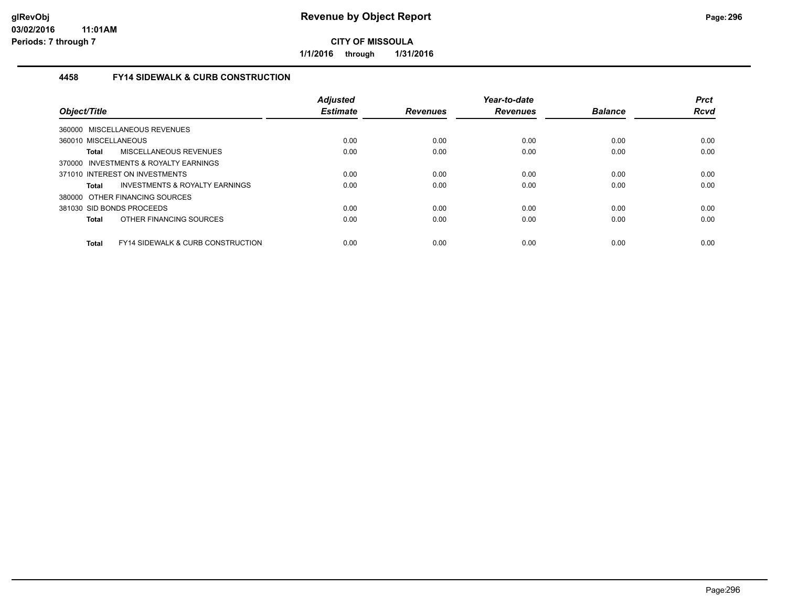**1/1/2016 through 1/31/2016**

## **4458 FY14 SIDEWALK & CURB CONSTRUCTION**

| Object/Title         |                                              | <b>Adjusted</b><br><b>Estimate</b> | <b>Revenues</b> | Year-to-date<br><b>Revenues</b> | <b>Balance</b> | <b>Prct</b><br><b>Rcvd</b> |
|----------------------|----------------------------------------------|------------------------------------|-----------------|---------------------------------|----------------|----------------------------|
|                      | 360000 MISCELLANEOUS REVENUES                |                                    |                 |                                 |                |                            |
| 360010 MISCELLANEOUS |                                              | 0.00                               | 0.00            | 0.00                            | 0.00           | 0.00                       |
| <b>Total</b>         | MISCELLANEOUS REVENUES                       | 0.00                               | 0.00            | 0.00                            | 0.00           | 0.00                       |
|                      | 370000 INVESTMENTS & ROYALTY EARNINGS        |                                    |                 |                                 |                |                            |
|                      | 371010 INTEREST ON INVESTMENTS               | 0.00                               | 0.00            | 0.00                            | 0.00           | 0.00                       |
| <b>Total</b>         | INVESTMENTS & ROYALTY EARNINGS               | 0.00                               | 0.00            | 0.00                            | 0.00           | 0.00                       |
|                      | 380000 OTHER FINANCING SOURCES               |                                    |                 |                                 |                |                            |
|                      | 381030 SID BONDS PROCEEDS                    | 0.00                               | 0.00            | 0.00                            | 0.00           | 0.00                       |
| <b>Total</b>         | OTHER FINANCING SOURCES                      | 0.00                               | 0.00            | 0.00                            | 0.00           | 0.00                       |
| <b>Total</b>         | <b>FY14 SIDEWALK &amp; CURB CONSTRUCTION</b> | 0.00                               | 0.00            | 0.00                            | 0.00           | 0.00                       |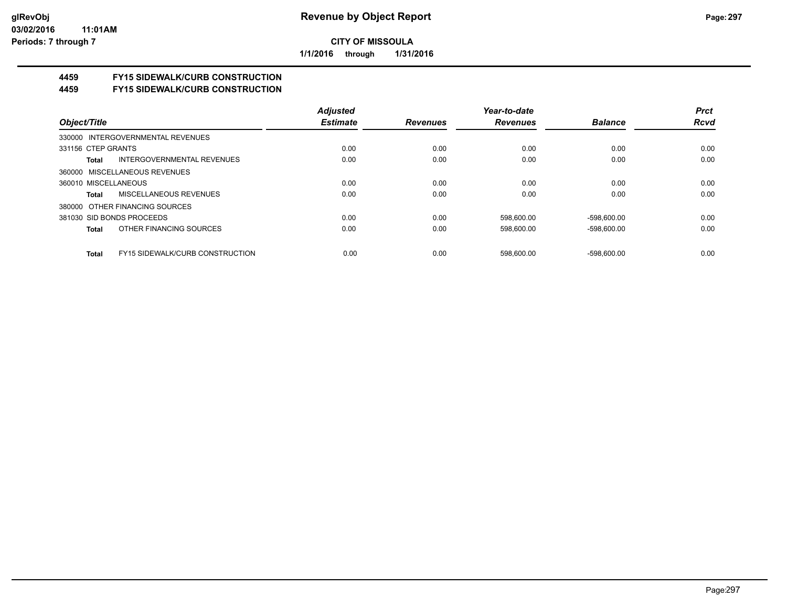**1/1/2016 through 1/31/2016**

# **4459 FY15 SIDEWALK/CURB CONSTRUCTION**

**4459 FY15 SIDEWALK/CURB CONSTRUCTION**

|                                                 | <b>Adjusted</b> |                 | Year-to-date    |                | <b>Prct</b> |
|-------------------------------------------------|-----------------|-----------------|-----------------|----------------|-------------|
| Object/Title                                    | <b>Estimate</b> | <b>Revenues</b> | <b>Revenues</b> | <b>Balance</b> | <b>Rcvd</b> |
| 330000 INTERGOVERNMENTAL REVENUES               |                 |                 |                 |                |             |
| 331156 CTEP GRANTS                              | 0.00            | 0.00            | 0.00            | 0.00           | 0.00        |
| INTERGOVERNMENTAL REVENUES<br>Total             | 0.00            | 0.00            | 0.00            | 0.00           | 0.00        |
| 360000 MISCELLANEOUS REVENUES                   |                 |                 |                 |                |             |
| 360010 MISCELLANEOUS                            | 0.00            | 0.00            | 0.00            | 0.00           | 0.00        |
| MISCELLANEOUS REVENUES<br>Total                 | 0.00            | 0.00            | 0.00            | 0.00           | 0.00        |
| 380000 OTHER FINANCING SOURCES                  |                 |                 |                 |                |             |
| 381030 SID BONDS PROCEEDS                       | 0.00            | 0.00            | 598.600.00      | $-598,600.00$  | 0.00        |
| OTHER FINANCING SOURCES<br>Total                | 0.00            | 0.00            | 598.600.00      | $-598.600.00$  | 0.00        |
|                                                 |                 |                 |                 |                |             |
| <b>FY15 SIDEWALK/CURB CONSTRUCTION</b><br>Total | 0.00            | 0.00            | 598.600.00      | -598.600.00    | 0.00        |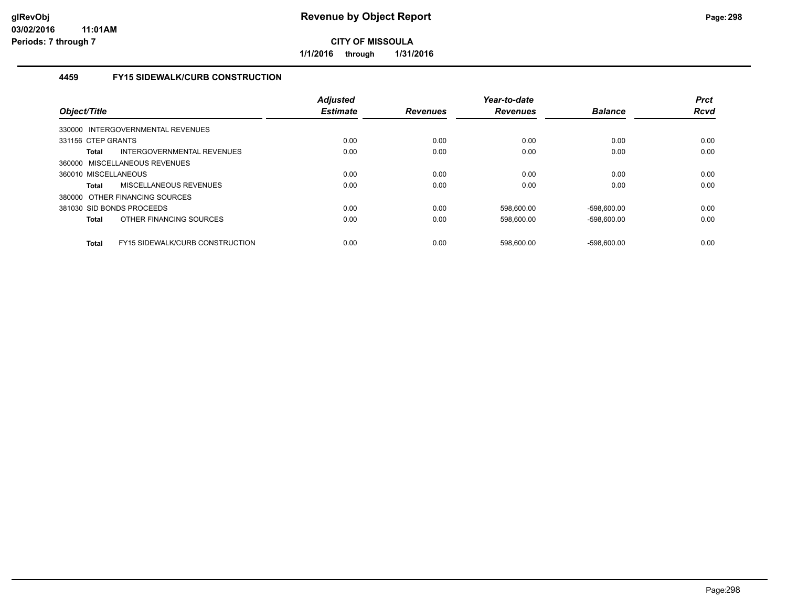**1/1/2016 through 1/31/2016**

### **4459 FY15 SIDEWALK/CURB CONSTRUCTION**

| Object/Title         |                                        | <b>Adjusted</b><br><b>Estimate</b> | <b>Revenues</b> | Year-to-date<br><b>Revenues</b> | <b>Balance</b> | <b>Prct</b><br><b>Rcvd</b> |
|----------------------|----------------------------------------|------------------------------------|-----------------|---------------------------------|----------------|----------------------------|
|                      | 330000 INTERGOVERNMENTAL REVENUES      |                                    |                 |                                 |                |                            |
| 331156 CTEP GRANTS   |                                        | 0.00                               | 0.00            | 0.00                            | 0.00           | 0.00                       |
| <b>Total</b>         | INTERGOVERNMENTAL REVENUES             | 0.00                               | 0.00            | 0.00                            | 0.00           | 0.00                       |
|                      | 360000 MISCELLANEOUS REVENUES          |                                    |                 |                                 |                |                            |
| 360010 MISCELLANEOUS |                                        | 0.00                               | 0.00            | 0.00                            | 0.00           | 0.00                       |
| <b>Total</b>         | MISCELLANEOUS REVENUES                 | 0.00                               | 0.00            | 0.00                            | 0.00           | 0.00                       |
|                      | 380000 OTHER FINANCING SOURCES         |                                    |                 |                                 |                |                            |
|                      | 381030 SID BONDS PROCEEDS              | 0.00                               | 0.00            | 598.600.00                      | -598.600.00    | 0.00                       |
| <b>Total</b>         | OTHER FINANCING SOURCES                | 0.00                               | 0.00            | 598,600.00                      | $-598,600.00$  | 0.00                       |
| <b>Total</b>         | <b>FY15 SIDEWALK/CURB CONSTRUCTION</b> | 0.00                               | 0.00            | 598.600.00                      | $-598.600.00$  | 0.00                       |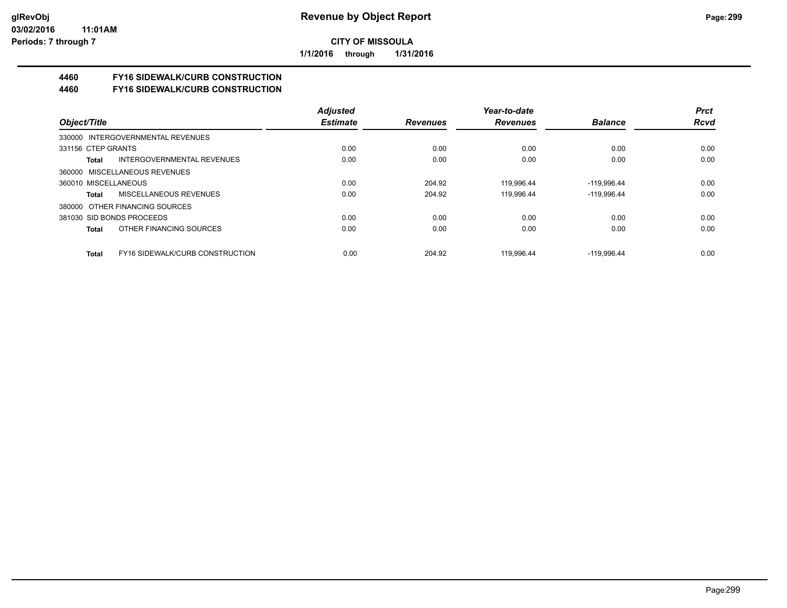**1/1/2016 through 1/31/2016**

# **4460 FY16 SIDEWALK/CURB CONSTRUCTION**

**4460 FY16 SIDEWALK/CURB CONSTRUCTION**

|                                                 | <b>Adjusted</b> |                 | Year-to-date    |                | <b>Prct</b> |
|-------------------------------------------------|-----------------|-----------------|-----------------|----------------|-------------|
| Object/Title                                    | <b>Estimate</b> | <b>Revenues</b> | <b>Revenues</b> | <b>Balance</b> | <b>Rcvd</b> |
| 330000 INTERGOVERNMENTAL REVENUES               |                 |                 |                 |                |             |
| 331156 CTEP GRANTS                              | 0.00            | 0.00            | 0.00            | 0.00           | 0.00        |
| INTERGOVERNMENTAL REVENUES<br>Total             | 0.00            | 0.00            | 0.00            | 0.00           | 0.00        |
| 360000 MISCELLANEOUS REVENUES                   |                 |                 |                 |                |             |
| 360010 MISCELLANEOUS                            | 0.00            | 204.92          | 119.996.44      | $-119,996.44$  | 0.00        |
| MISCELLANEOUS REVENUES<br>Total                 | 0.00            | 204.92          | 119.996.44      | $-119,996.44$  | 0.00        |
| 380000 OTHER FINANCING SOURCES                  |                 |                 |                 |                |             |
| 381030 SID BONDS PROCEEDS                       | 0.00            | 0.00            | 0.00            | 0.00           | 0.00        |
| OTHER FINANCING SOURCES<br>Total                | 0.00            | 0.00            | 0.00            | 0.00           | 0.00        |
| FY16 SIDEWALK/CURB CONSTRUCTION<br><b>Total</b> | 0.00            | 204.92          | 119.996.44      | $-119.996.44$  | 0.00        |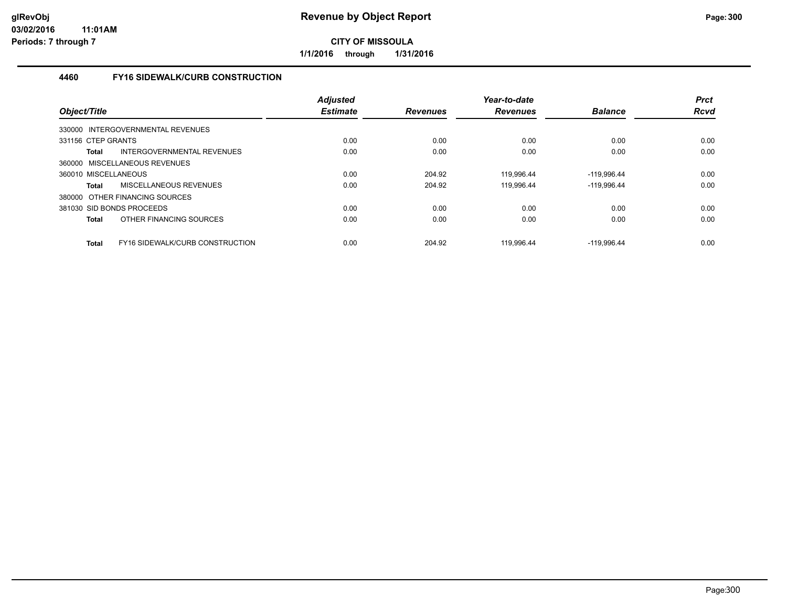**1/1/2016 through 1/31/2016**

## **4460 FY16 SIDEWALK/CURB CONSTRUCTION**

| Object/Title         |                                   | <b>Adjusted</b><br><b>Estimate</b> | <b>Revenues</b> | Year-to-date<br><b>Revenues</b> | <b>Balance</b> | <b>Prct</b><br><b>Rcvd</b> |
|----------------------|-----------------------------------|------------------------------------|-----------------|---------------------------------|----------------|----------------------------|
|                      | 330000 INTERGOVERNMENTAL REVENUES |                                    |                 |                                 |                |                            |
| 331156 CTEP GRANTS   |                                   | 0.00                               | 0.00            | 0.00                            | 0.00           | 0.00                       |
| <b>Total</b>         | INTERGOVERNMENTAL REVENUES        | 0.00                               | 0.00            | 0.00                            | 0.00           | 0.00                       |
|                      | 360000 MISCELLANEOUS REVENUES     |                                    |                 |                                 |                |                            |
| 360010 MISCELLANEOUS |                                   | 0.00                               | 204.92          | 119.996.44                      | $-119.996.44$  | 0.00                       |
| <b>Total</b>         | MISCELLANEOUS REVENUES            | 0.00                               | 204.92          | 119,996.44                      | $-119,996.44$  | 0.00                       |
|                      | 380000 OTHER FINANCING SOURCES    |                                    |                 |                                 |                |                            |
|                      | 381030 SID BONDS PROCEEDS         | 0.00                               | 0.00            | 0.00                            | 0.00           | 0.00                       |
| <b>Total</b>         | OTHER FINANCING SOURCES           | 0.00                               | 0.00            | 0.00                            | 0.00           | 0.00                       |
| <b>Total</b>         | FY16 SIDEWALK/CURB CONSTRUCTION   | 0.00                               | 204.92          | 119.996.44                      | $-119.996.44$  | 0.00                       |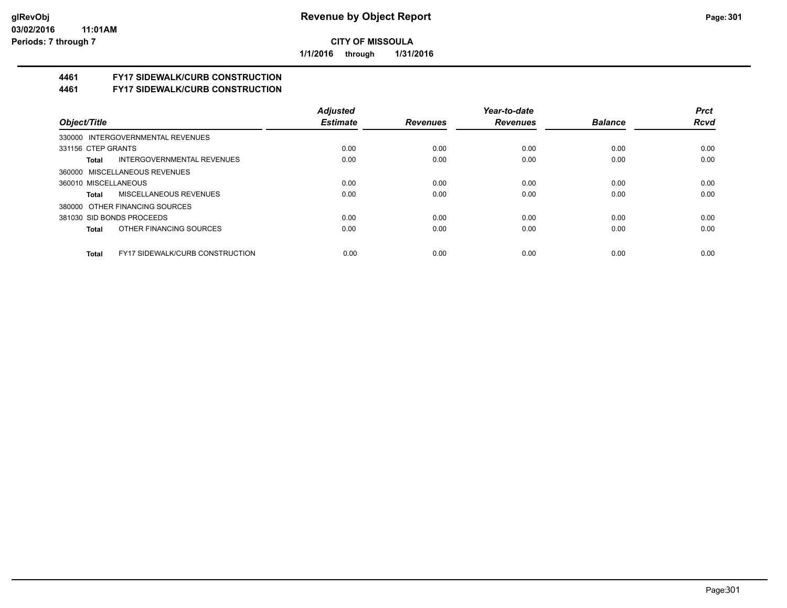**1/1/2016 through 1/31/2016**

# **4461 FY17 SIDEWALK/CURB CONSTRUCTION**

**4461 FY17 SIDEWALK/CURB CONSTRUCTION**

|                                                        | <b>Adjusted</b> |                 | Year-to-date    |                | <b>Prct</b> |
|--------------------------------------------------------|-----------------|-----------------|-----------------|----------------|-------------|
| Object/Title                                           | <b>Estimate</b> | <b>Revenues</b> | <b>Revenues</b> | <b>Balance</b> | <b>Rcvd</b> |
| 330000 INTERGOVERNMENTAL REVENUES                      |                 |                 |                 |                |             |
| 331156 CTEP GRANTS                                     | 0.00            | 0.00            | 0.00            | 0.00           | 0.00        |
| INTERGOVERNMENTAL REVENUES<br>Total                    | 0.00            | 0.00            | 0.00            | 0.00           | 0.00        |
| 360000 MISCELLANEOUS REVENUES                          |                 |                 |                 |                |             |
| 360010 MISCELLANEOUS                                   | 0.00            | 0.00            | 0.00            | 0.00           | 0.00        |
| <b>MISCELLANEOUS REVENUES</b><br>Total                 | 0.00            | 0.00            | 0.00            | 0.00           | 0.00        |
| 380000 OTHER FINANCING SOURCES                         |                 |                 |                 |                |             |
| 381030 SID BONDS PROCEEDS                              | 0.00            | 0.00            | 0.00            | 0.00           | 0.00        |
| OTHER FINANCING SOURCES<br>Total                       | 0.00            | 0.00            | 0.00            | 0.00           | 0.00        |
| <b>FY17 SIDEWALK/CURB CONSTRUCTION</b><br><b>Total</b> | 0.00            | 0.00            | 0.00            | 0.00           | 0.00        |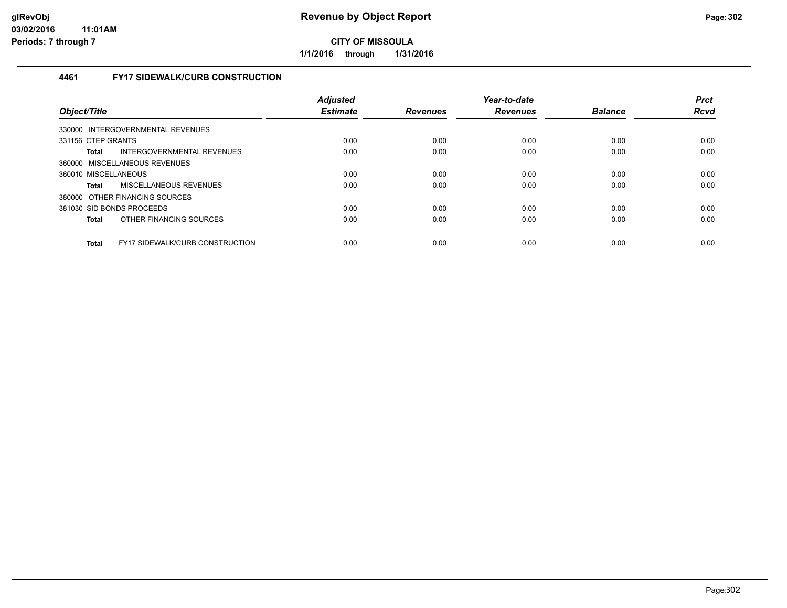**1/1/2016 through 1/31/2016**

## **4461 FY17 SIDEWALK/CURB CONSTRUCTION**

| Object/Title         |                                        | <b>Adjusted</b><br><b>Estimate</b> | <b>Revenues</b> | Year-to-date<br><b>Revenues</b> | <b>Balance</b> | <b>Prct</b><br><b>Rcvd</b> |
|----------------------|----------------------------------------|------------------------------------|-----------------|---------------------------------|----------------|----------------------------|
|                      | 330000 INTERGOVERNMENTAL REVENUES      |                                    |                 |                                 |                |                            |
| 331156 CTEP GRANTS   |                                        | 0.00                               | 0.00            | 0.00                            | 0.00           | 0.00                       |
| <b>Total</b>         | INTERGOVERNMENTAL REVENUES             | 0.00                               | 0.00            | 0.00                            | 0.00           | 0.00                       |
|                      | 360000 MISCELLANEOUS REVENUES          |                                    |                 |                                 |                |                            |
| 360010 MISCELLANEOUS |                                        | 0.00                               | 0.00            | 0.00                            | 0.00           | 0.00                       |
| <b>Total</b>         | MISCELLANEOUS REVENUES                 | 0.00                               | 0.00            | 0.00                            | 0.00           | 0.00                       |
|                      | 380000 OTHER FINANCING SOURCES         |                                    |                 |                                 |                |                            |
|                      | 381030 SID BONDS PROCEEDS              | 0.00                               | 0.00            | 0.00                            | 0.00           | 0.00                       |
| <b>Total</b>         | OTHER FINANCING SOURCES                | 0.00                               | 0.00            | 0.00                            | 0.00           | 0.00                       |
| <b>Total</b>         | <b>FY17 SIDEWALK/CURB CONSTRUCTION</b> | 0.00                               | 0.00            | 0.00                            | 0.00           | 0.00                       |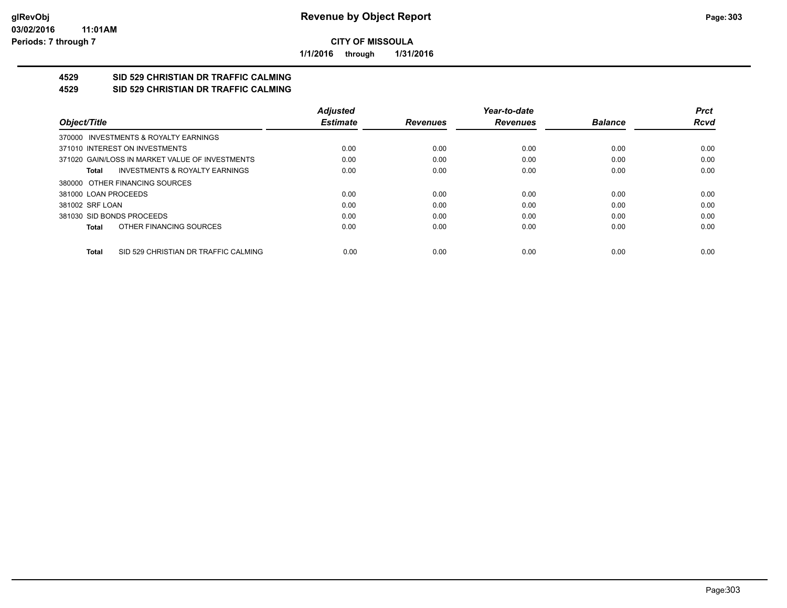**1/1/2016 through 1/31/2016**

#### **4529 SID 529 CHRISTIAN DR TRAFFIC CALMING 4529 SID 529 CHRISTIAN DR TRAFFIC CALMING**

|                                                      | <b>Adjusted</b> |                 | Year-to-date    |                | <b>Prct</b> |
|------------------------------------------------------|-----------------|-----------------|-----------------|----------------|-------------|
| Object/Title                                         | <b>Estimate</b> | <b>Revenues</b> | <b>Revenues</b> | <b>Balance</b> | <b>Rcvd</b> |
| 370000 INVESTMENTS & ROYALTY EARNINGS                |                 |                 |                 |                |             |
| 371010 INTEREST ON INVESTMENTS                       | 0.00            | 0.00            | 0.00            | 0.00           | 0.00        |
| 371020 GAIN/LOSS IN MARKET VALUE OF INVESTMENTS      | 0.00            | 0.00            | 0.00            | 0.00           | 0.00        |
| <b>INVESTMENTS &amp; ROYALTY EARNINGS</b><br>Total   | 0.00            | 0.00            | 0.00            | 0.00           | 0.00        |
| 380000 OTHER FINANCING SOURCES                       |                 |                 |                 |                |             |
| 381000 LOAN PROCEEDS                                 | 0.00            | 0.00            | 0.00            | 0.00           | 0.00        |
| 381002 SRF LOAN                                      | 0.00            | 0.00            | 0.00            | 0.00           | 0.00        |
| 381030 SID BONDS PROCEEDS                            | 0.00            | 0.00            | 0.00            | 0.00           | 0.00        |
| OTHER FINANCING SOURCES<br>Total                     | 0.00            | 0.00            | 0.00            | 0.00           | 0.00        |
|                                                      |                 |                 |                 |                |             |
| SID 529 CHRISTIAN DR TRAFFIC CALMING<br><b>Total</b> | 0.00            | 0.00            | 0.00            | 0.00           | 0.00        |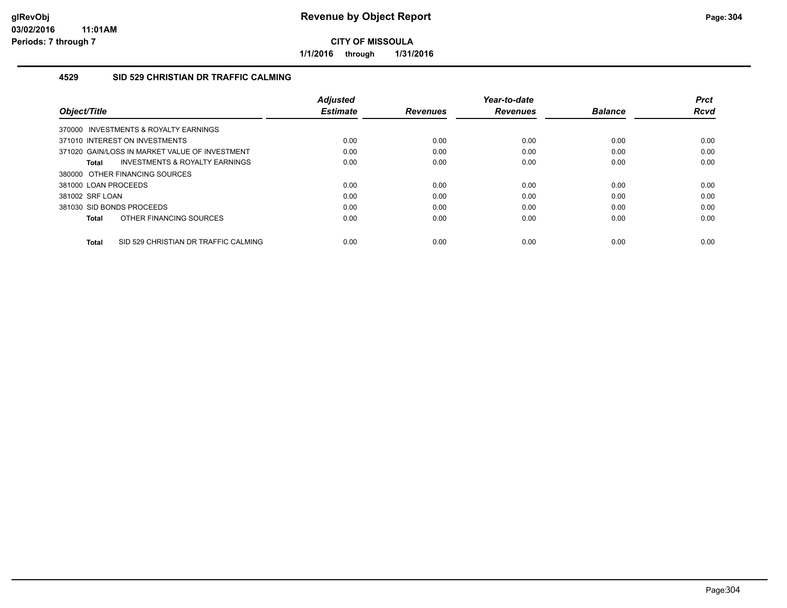**1/1/2016 through 1/31/2016**

### **4529 SID 529 CHRISTIAN DR TRAFFIC CALMING**

| Object/Title                                         | <b>Adjusted</b><br><b>Estimate</b> | <b>Revenues</b> | Year-to-date<br><b>Revenues</b> | <b>Balance</b> | <b>Prct</b><br><b>Rcvd</b> |
|------------------------------------------------------|------------------------------------|-----------------|---------------------------------|----------------|----------------------------|
| 370000 INVESTMENTS & ROYALTY EARNINGS                |                                    |                 |                                 |                |                            |
| 371010 INTEREST ON INVESTMENTS                       | 0.00                               | 0.00            | 0.00                            | 0.00           | 0.00                       |
| 371020 GAIN/LOSS IN MARKET VALUE OF INVESTMENT       | 0.00                               | 0.00            | 0.00                            | 0.00           | 0.00                       |
| <b>INVESTMENTS &amp; ROYALTY EARNINGS</b><br>Total   | 0.00                               | 0.00            | 0.00                            | 0.00           | 0.00                       |
| 380000 OTHER FINANCING SOURCES                       |                                    |                 |                                 |                |                            |
| 381000 LOAN PROCEEDS                                 | 0.00                               | 0.00            | 0.00                            | 0.00           | 0.00                       |
| 381002 SRF LOAN                                      | 0.00                               | 0.00            | 0.00                            | 0.00           | 0.00                       |
| 381030 SID BONDS PROCEEDS                            | 0.00                               | 0.00            | 0.00                            | 0.00           | 0.00                       |
| OTHER FINANCING SOURCES<br>Total                     | 0.00                               | 0.00            | 0.00                            | 0.00           | 0.00                       |
| SID 529 CHRISTIAN DR TRAFFIC CALMING<br><b>Total</b> | 0.00                               | 0.00            | 0.00                            | 0.00           | 0.00                       |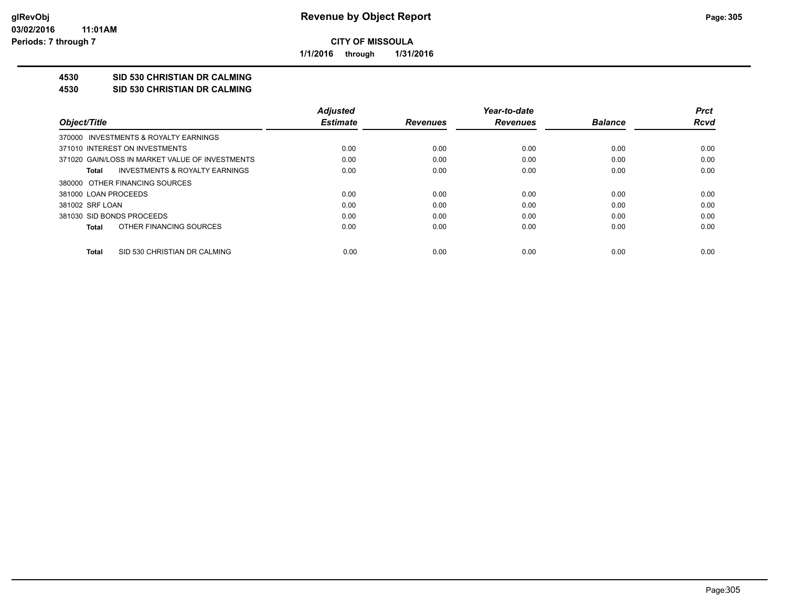**1/1/2016 through 1/31/2016**

# **4530 SID 530 CHRISTIAN DR CALMING**

#### **4530 SID 530 CHRISTIAN DR CALMING**

|                           |                                                 | <b>Adjusted</b> |                 | Year-to-date    |                | <b>Prct</b> |
|---------------------------|-------------------------------------------------|-----------------|-----------------|-----------------|----------------|-------------|
| Object/Title              |                                                 | <b>Estimate</b> | <b>Revenues</b> | <b>Revenues</b> | <b>Balance</b> | <b>Rcvd</b> |
|                           | 370000 INVESTMENTS & ROYALTY EARNINGS           |                 |                 |                 |                |             |
|                           | 371010 INTEREST ON INVESTMENTS                  | 0.00            | 0.00            | 0.00            | 0.00           | 0.00        |
|                           | 371020 GAIN/LOSS IN MARKET VALUE OF INVESTMENTS | 0.00            | 0.00            | 0.00            | 0.00           | 0.00        |
| Total                     | INVESTMENTS & ROYALTY EARNINGS                  | 0.00            | 0.00            | 0.00            | 0.00           | 0.00        |
|                           | 380000 OTHER FINANCING SOURCES                  |                 |                 |                 |                |             |
| 381000 LOAN PROCEEDS      |                                                 | 0.00            | 0.00            | 0.00            | 0.00           | 0.00        |
| 381002 SRF LOAN           |                                                 | 0.00            | 0.00            | 0.00            | 0.00           | 0.00        |
| 381030 SID BONDS PROCEEDS |                                                 | 0.00            | 0.00            | 0.00            | 0.00           | 0.00        |
| Total                     | OTHER FINANCING SOURCES                         | 0.00            | 0.00            | 0.00            | 0.00           | 0.00        |
| Total                     | SID 530 CHRISTIAN DR CALMING                    | 0.00            | 0.00            | 0.00            | 0.00           | 0.00        |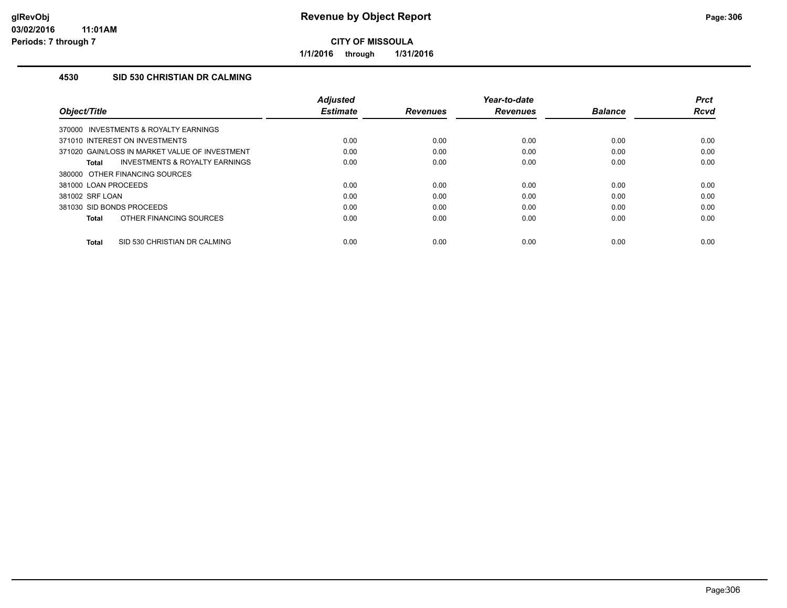**1/1/2016 through 1/31/2016**

## **4530 SID 530 CHRISTIAN DR CALMING**

| Object/Title                                       | <b>Adjusted</b><br><b>Estimate</b> | <b>Revenues</b> | Year-to-date<br><b>Revenues</b> | <b>Balance</b> | <b>Prct</b><br><b>Rcvd</b> |
|----------------------------------------------------|------------------------------------|-----------------|---------------------------------|----------------|----------------------------|
| 370000 INVESTMENTS & ROYALTY EARNINGS              |                                    |                 |                                 |                |                            |
| 371010 INTEREST ON INVESTMENTS                     | 0.00                               | 0.00            | 0.00                            | 0.00           | 0.00                       |
| 371020 GAIN/LOSS IN MARKET VALUE OF INVESTMENT     | 0.00                               | 0.00            | 0.00                            | 0.00           | 0.00                       |
| <b>INVESTMENTS &amp; ROYALTY EARNINGS</b><br>Total | 0.00                               | 0.00            | 0.00                            | 0.00           | 0.00                       |
| 380000 OTHER FINANCING SOURCES                     |                                    |                 |                                 |                |                            |
| 381000 LOAN PROCEEDS                               | 0.00                               | 0.00            | 0.00                            | 0.00           | 0.00                       |
| 381002 SRF LOAN                                    | 0.00                               | 0.00            | 0.00                            | 0.00           | 0.00                       |
| 381030 SID BONDS PROCEEDS                          | 0.00                               | 0.00            | 0.00                            | 0.00           | 0.00                       |
| OTHER FINANCING SOURCES<br><b>Total</b>            | 0.00                               | 0.00            | 0.00                            | 0.00           | 0.00                       |
| SID 530 CHRISTIAN DR CALMING<br><b>Total</b>       | 0.00                               | 0.00            | 0.00                            | 0.00           | 0.00                       |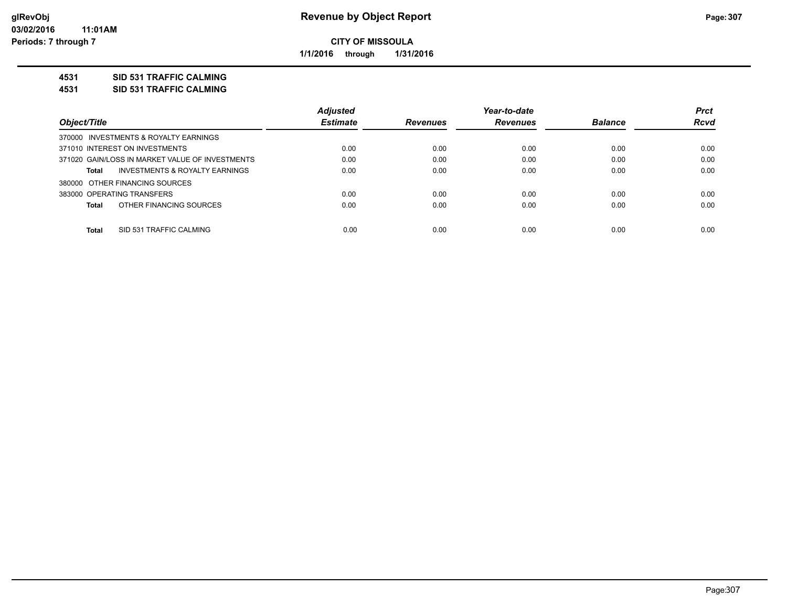**1/1/2016 through 1/31/2016**

### **4531 SID 531 TRAFFIC CALMING**

**4531 SID 531 TRAFFIC CALMING**

|                                                    | <b>Adjusted</b> |                 | Year-to-date    |                | <b>Prct</b> |
|----------------------------------------------------|-----------------|-----------------|-----------------|----------------|-------------|
| Object/Title                                       | <b>Estimate</b> | <b>Revenues</b> | <b>Revenues</b> | <b>Balance</b> | <b>Rcvd</b> |
| 370000 INVESTMENTS & ROYALTY EARNINGS              |                 |                 |                 |                |             |
| 371010 INTEREST ON INVESTMENTS                     | 0.00            | 0.00            | 0.00            | 0.00           | 0.00        |
| 371020 GAIN/LOSS IN MARKET VALUE OF INVESTMENTS    | 0.00            | 0.00            | 0.00            | 0.00           | 0.00        |
| <b>INVESTMENTS &amp; ROYALTY EARNINGS</b><br>Total | 0.00            | 0.00            | 0.00            | 0.00           | 0.00        |
| 380000 OTHER FINANCING SOURCES                     |                 |                 |                 |                |             |
| 383000 OPERATING TRANSFERS                         | 0.00            | 0.00            | 0.00            | 0.00           | 0.00        |
| OTHER FINANCING SOURCES<br>Total                   | 0.00            | 0.00            | 0.00            | 0.00           | 0.00        |
|                                                    |                 |                 |                 |                |             |
| SID 531 TRAFFIC CALMING<br><b>Total</b>            | 0.00            | 0.00            | 0.00            | 0.00           | 0.00        |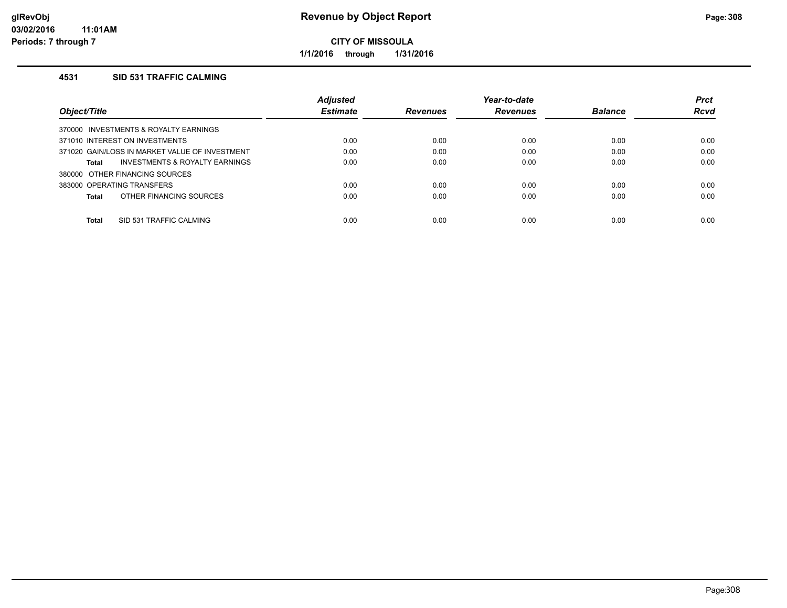**1/1/2016 through 1/31/2016**

### **4531 SID 531 TRAFFIC CALMING**

|                                                | <b>Adjusted</b> |                 | Year-to-date    |                | <b>Prct</b> |
|------------------------------------------------|-----------------|-----------------|-----------------|----------------|-------------|
| Object/Title                                   | <b>Estimate</b> | <b>Revenues</b> | <b>Revenues</b> | <b>Balance</b> | <b>Rcvd</b> |
| 370000 INVESTMENTS & ROYALTY EARNINGS          |                 |                 |                 |                |             |
| 371010 INTEREST ON INVESTMENTS                 | 0.00            | 0.00            | 0.00            | 0.00           | 0.00        |
| 371020 GAIN/LOSS IN MARKET VALUE OF INVESTMENT | 0.00            | 0.00            | 0.00            | 0.00           | 0.00        |
| INVESTMENTS & ROYALTY EARNINGS<br>Total        | 0.00            | 0.00            | 0.00            | 0.00           | 0.00        |
| 380000 OTHER FINANCING SOURCES                 |                 |                 |                 |                |             |
| 383000 OPERATING TRANSFERS                     | 0.00            | 0.00            | 0.00            | 0.00           | 0.00        |
| OTHER FINANCING SOURCES<br>Total               | 0.00            | 0.00            | 0.00            | 0.00           | 0.00        |
| Total<br>SID 531 TRAFFIC CALMING               | 0.00            | 0.00            | 0.00            | 0.00           | 0.00        |
|                                                |                 |                 |                 |                |             |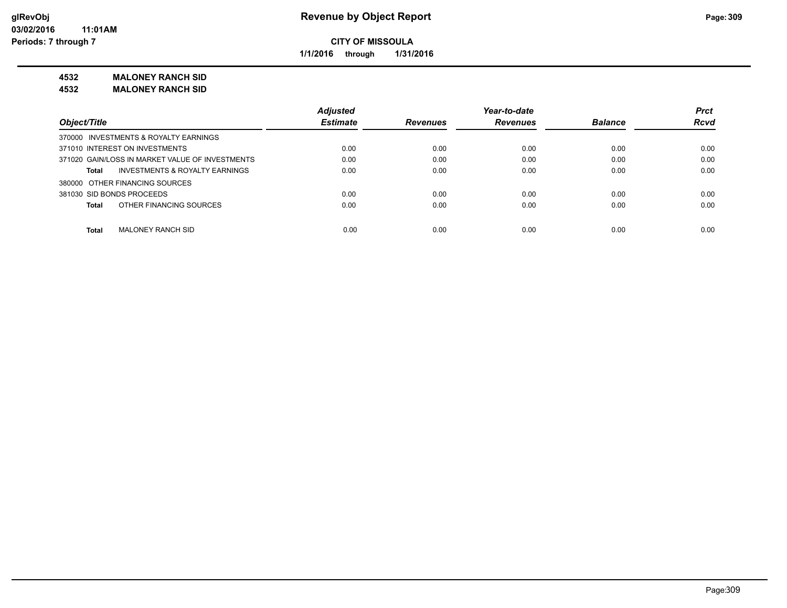**1/1/2016 through 1/31/2016**

# **4532 MALONEY RANCH SID**

**4532 MALONEY RANCH SID**

|                                                 | <b>Adjusted</b> |                 | Year-to-date    |                | <b>Prct</b> |
|-------------------------------------------------|-----------------|-----------------|-----------------|----------------|-------------|
| Object/Title                                    | <b>Estimate</b> | <b>Revenues</b> | <b>Revenues</b> | <b>Balance</b> | <b>Rcvd</b> |
| 370000 INVESTMENTS & ROYALTY EARNINGS           |                 |                 |                 |                |             |
| 371010 INTEREST ON INVESTMENTS                  | 0.00            | 0.00            | 0.00            | 0.00           | 0.00        |
| 371020 GAIN/LOSS IN MARKET VALUE OF INVESTMENTS | 0.00            | 0.00            | 0.00            | 0.00           | 0.00        |
| INVESTMENTS & ROYALTY EARNINGS<br>Total         | 0.00            | 0.00            | 0.00            | 0.00           | 0.00        |
| 380000 OTHER FINANCING SOURCES                  |                 |                 |                 |                |             |
| 381030 SID BONDS PROCEEDS                       | 0.00            | 0.00            | 0.00            | 0.00           | 0.00        |
| OTHER FINANCING SOURCES<br><b>Total</b>         | 0.00            | 0.00            | 0.00            | 0.00           | 0.00        |
| <b>Total</b><br>MALONEY RANCH SID               | 0.00            | 0.00            | 0.00            | 0.00           | 0.00        |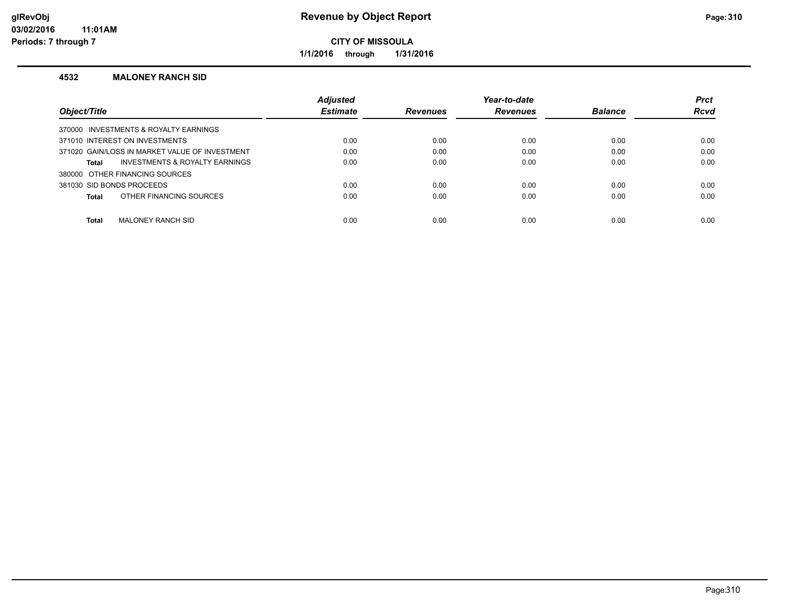**1/1/2016 through 1/31/2016**

#### **4532 MALONEY RANCH SID**

|                                                | <b>Adjusted</b> |                 | Year-to-date    |                | <b>Prct</b> |
|------------------------------------------------|-----------------|-----------------|-----------------|----------------|-------------|
| Object/Title                                   | <b>Estimate</b> | <b>Revenues</b> | <b>Revenues</b> | <b>Balance</b> | <b>Rcvd</b> |
| 370000 INVESTMENTS & ROYALTY EARNINGS          |                 |                 |                 |                |             |
| 371010 INTEREST ON INVESTMENTS                 | 0.00            | 0.00            | 0.00            | 0.00           | 0.00        |
| 371020 GAIN/LOSS IN MARKET VALUE OF INVESTMENT | 0.00            | 0.00            | 0.00            | 0.00           | 0.00        |
| INVESTMENTS & ROYALTY EARNINGS<br>Total        | 0.00            | 0.00            | 0.00            | 0.00           | 0.00        |
| 380000 OTHER FINANCING SOURCES                 |                 |                 |                 |                |             |
| 381030 SID BONDS PROCEEDS                      | 0.00            | 0.00            | 0.00            | 0.00           | 0.00        |
| OTHER FINANCING SOURCES<br>Total               | 0.00            | 0.00            | 0.00            | 0.00           | 0.00        |
|                                                |                 |                 |                 |                |             |
| <b>Total</b><br>MALONEY RANCH SID              | 0.00            | 0.00            | 0.00            | 0.00           | 0.00        |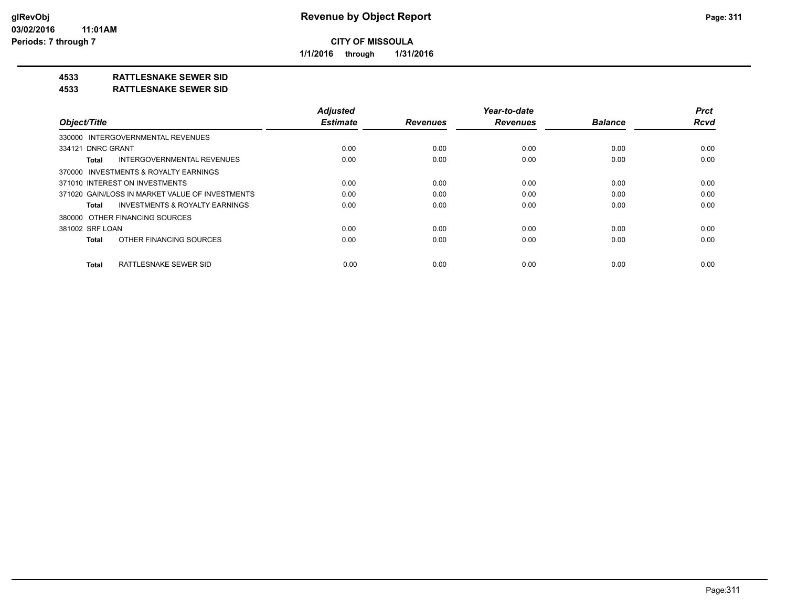**1/1/2016 through 1/31/2016**

# **4533 RATTLESNAKE SEWER SID**

#### **4533 RATTLESNAKE SEWER SID**

|                                                    | <b>Adjusted</b> |                 | Year-to-date    |                | <b>Prct</b> |
|----------------------------------------------------|-----------------|-----------------|-----------------|----------------|-------------|
| Object/Title                                       | <b>Estimate</b> | <b>Revenues</b> | <b>Revenues</b> | <b>Balance</b> | <b>Rcvd</b> |
| 330000 INTERGOVERNMENTAL REVENUES                  |                 |                 |                 |                |             |
| 334121 DNRC GRANT                                  | 0.00            | 0.00            | 0.00            | 0.00           | 0.00        |
| INTERGOVERNMENTAL REVENUES<br>Total                | 0.00            | 0.00            | 0.00            | 0.00           | 0.00        |
| 370000 INVESTMENTS & ROYALTY EARNINGS              |                 |                 |                 |                |             |
| 371010 INTEREST ON INVESTMENTS                     | 0.00            | 0.00            | 0.00            | 0.00           | 0.00        |
| 371020 GAIN/LOSS IN MARKET VALUE OF INVESTMENTS    | 0.00            | 0.00            | 0.00            | 0.00           | 0.00        |
| <b>INVESTMENTS &amp; ROYALTY EARNINGS</b><br>Total | 0.00            | 0.00            | 0.00            | 0.00           | 0.00        |
| 380000 OTHER FINANCING SOURCES                     |                 |                 |                 |                |             |
| 381002 SRF LOAN                                    | 0.00            | 0.00            | 0.00            | 0.00           | 0.00        |
| OTHER FINANCING SOURCES<br><b>Total</b>            | 0.00            | 0.00            | 0.00            | 0.00           | 0.00        |
| RATTLESNAKE SEWER SID<br><b>Total</b>              | 0.00            | 0.00            | 0.00            | 0.00           | 0.00        |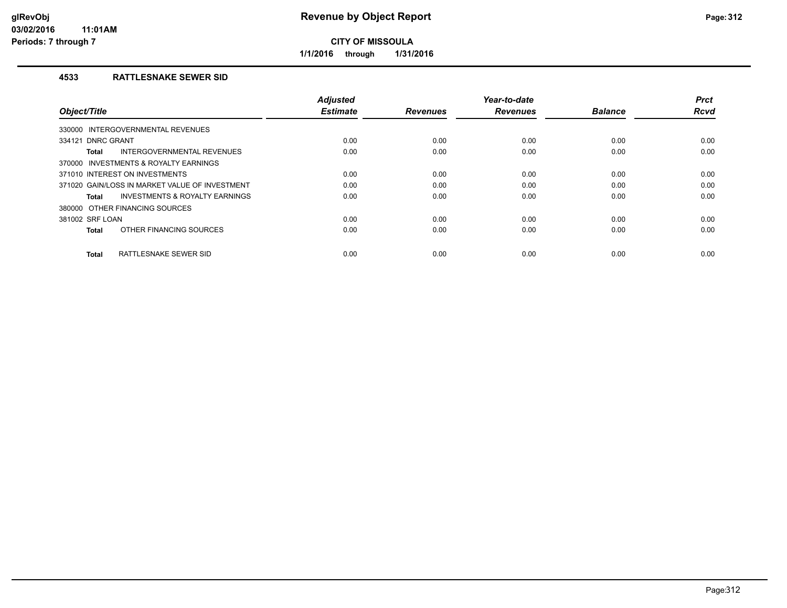**1/1/2016 through 1/31/2016**

## **4533 RATTLESNAKE SEWER SID**

| Object/Title                                   | <b>Adjusted</b><br><b>Estimate</b> | <b>Revenues</b> | Year-to-date<br><b>Revenues</b> | <b>Balance</b> | <b>Prct</b><br><b>Rcvd</b> |
|------------------------------------------------|------------------------------------|-----------------|---------------------------------|----------------|----------------------------|
|                                                |                                    |                 |                                 |                |                            |
| 330000 INTERGOVERNMENTAL REVENUES              |                                    |                 |                                 |                |                            |
| 334121 DNRC GRANT                              | 0.00                               | 0.00            | 0.00                            | 0.00           | 0.00                       |
| INTERGOVERNMENTAL REVENUES<br><b>Total</b>     | 0.00                               | 0.00            | 0.00                            | 0.00           | 0.00                       |
| 370000 INVESTMENTS & ROYALTY EARNINGS          |                                    |                 |                                 |                |                            |
| 371010 INTEREST ON INVESTMENTS                 | 0.00                               | 0.00            | 0.00                            | 0.00           | 0.00                       |
| 371020 GAIN/LOSS IN MARKET VALUE OF INVESTMENT | 0.00                               | 0.00            | 0.00                            | 0.00           | 0.00                       |
| INVESTMENTS & ROYALTY EARNINGS<br><b>Total</b> | 0.00                               | 0.00            | 0.00                            | 0.00           | 0.00                       |
| 380000 OTHER FINANCING SOURCES                 |                                    |                 |                                 |                |                            |
| 381002 SRF LOAN                                | 0.00                               | 0.00            | 0.00                            | 0.00           | 0.00                       |
| OTHER FINANCING SOURCES<br><b>Total</b>        | 0.00                               | 0.00            | 0.00                            | 0.00           | 0.00                       |
| RATTLESNAKE SEWER SID<br><b>Total</b>          | 0.00                               | 0.00            | 0.00                            | 0.00           | 0.00                       |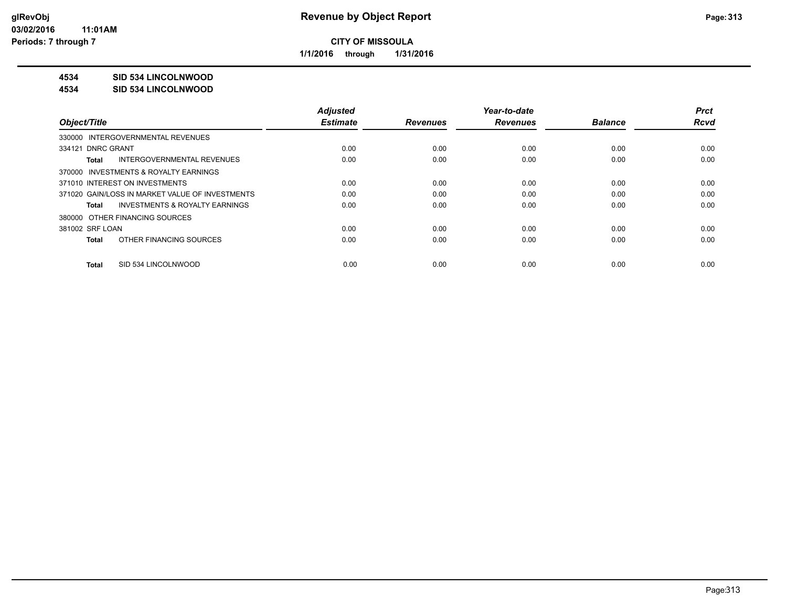**1/1/2016 through 1/31/2016**

# **4534 SID 534 LINCOLNWOOD**

#### **4534 SID 534 LINCOLNWOOD**

|                                                 | <b>Adjusted</b> |                 | Year-to-date    |                | <b>Prct</b> |
|-------------------------------------------------|-----------------|-----------------|-----------------|----------------|-------------|
| Object/Title                                    | <b>Estimate</b> | <b>Revenues</b> | <b>Revenues</b> | <b>Balance</b> | Rcvd        |
| 330000 INTERGOVERNMENTAL REVENUES               |                 |                 |                 |                |             |
| 334121 DNRC GRANT                               | 0.00            | 0.00            | 0.00            | 0.00           | 0.00        |
| <b>INTERGOVERNMENTAL REVENUES</b><br>Total      | 0.00            | 0.00            | 0.00            | 0.00           | 0.00        |
| 370000 INVESTMENTS & ROYALTY EARNINGS           |                 |                 |                 |                |             |
| 371010 INTEREST ON INVESTMENTS                  | 0.00            | 0.00            | 0.00            | 0.00           | 0.00        |
| 371020 GAIN/LOSS IN MARKET VALUE OF INVESTMENTS | 0.00            | 0.00            | 0.00            | 0.00           | 0.00        |
| INVESTMENTS & ROYALTY EARNINGS<br>Total         | 0.00            | 0.00            | 0.00            | 0.00           | 0.00        |
| 380000 OTHER FINANCING SOURCES                  |                 |                 |                 |                |             |
| 381002 SRF LOAN                                 | 0.00            | 0.00            | 0.00            | 0.00           | 0.00        |
| OTHER FINANCING SOURCES<br>Total                | 0.00            | 0.00            | 0.00            | 0.00           | 0.00        |
|                                                 |                 |                 |                 |                |             |
| SID 534 LINCOLNWOOD<br>Total                    | 0.00            | 0.00            | 0.00            | 0.00           | 0.00        |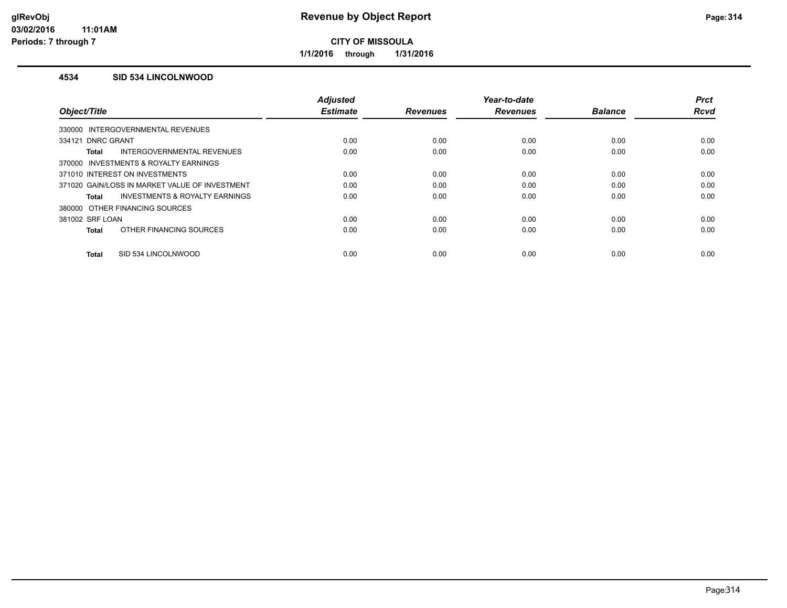**1/1/2016 through 1/31/2016**

### **4534 SID 534 LINCOLNWOOD**

|                                                | <b>Adjusted</b> |                 | Year-to-date    |                | <b>Prct</b> |
|------------------------------------------------|-----------------|-----------------|-----------------|----------------|-------------|
| Object/Title                                   | <b>Estimate</b> | <b>Revenues</b> | <b>Revenues</b> | <b>Balance</b> | <b>Rcvd</b> |
| 330000 INTERGOVERNMENTAL REVENUES              |                 |                 |                 |                |             |
| 334121 DNRC GRANT                              | 0.00            | 0.00            | 0.00            | 0.00           | 0.00        |
| INTERGOVERNMENTAL REVENUES<br><b>Total</b>     | 0.00            | 0.00            | 0.00            | 0.00           | 0.00        |
| 370000 INVESTMENTS & ROYALTY EARNINGS          |                 |                 |                 |                |             |
| 371010 INTEREST ON INVESTMENTS                 | 0.00            | 0.00            | 0.00            | 0.00           | 0.00        |
| 371020 GAIN/LOSS IN MARKET VALUE OF INVESTMENT | 0.00            | 0.00            | 0.00            | 0.00           | 0.00        |
| INVESTMENTS & ROYALTY EARNINGS<br>Total        | 0.00            | 0.00            | 0.00            | 0.00           | 0.00        |
| 380000 OTHER FINANCING SOURCES                 |                 |                 |                 |                |             |
| 381002 SRF LOAN                                | 0.00            | 0.00            | 0.00            | 0.00           | 0.00        |
| OTHER FINANCING SOURCES<br><b>Total</b>        | 0.00            | 0.00            | 0.00            | 0.00           | 0.00        |
|                                                |                 |                 |                 |                |             |
| SID 534 LINCOLNWOOD<br><b>Total</b>            | 0.00            | 0.00            | 0.00            | 0.00           | 0.00        |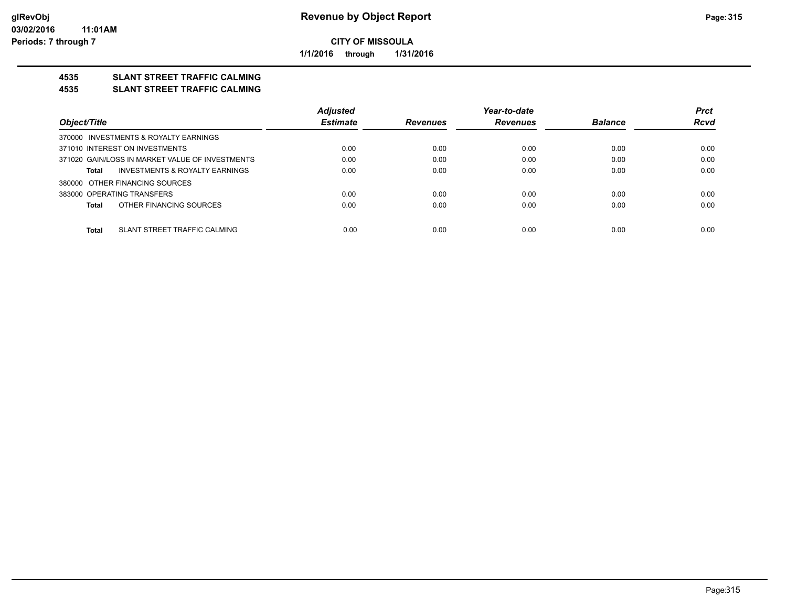**1/1/2016 through 1/31/2016**

# **4535 SLANT STREET TRAFFIC CALMING**

#### **4535 SLANT STREET TRAFFIC CALMING**

|                                                 | <b>Adjusted</b> |                 | Year-to-date    |                | <b>Prct</b> |
|-------------------------------------------------|-----------------|-----------------|-----------------|----------------|-------------|
| Object/Title                                    | <b>Estimate</b> | <b>Revenues</b> | <b>Revenues</b> | <b>Balance</b> | <b>Rcvd</b> |
| 370000 INVESTMENTS & ROYALTY EARNINGS           |                 |                 |                 |                |             |
| 371010 INTEREST ON INVESTMENTS                  | 0.00            | 0.00            | 0.00            | 0.00           | 0.00        |
| 371020 GAIN/LOSS IN MARKET VALUE OF INVESTMENTS | 0.00            | 0.00            | 0.00            | 0.00           | 0.00        |
| INVESTMENTS & ROYALTY EARNINGS<br>Total         | 0.00            | 0.00            | 0.00            | 0.00           | 0.00        |
| 380000 OTHER FINANCING SOURCES                  |                 |                 |                 |                |             |
| 383000 OPERATING TRANSFERS                      | 0.00            | 0.00            | 0.00            | 0.00           | 0.00        |
| OTHER FINANCING SOURCES<br>Total                | 0.00            | 0.00            | 0.00            | 0.00           | 0.00        |
|                                                 |                 |                 |                 |                |             |
| SLANT STREET TRAFFIC CALMING<br>Total           | 0.00            | 0.00            | 0.00            | 0.00           | 0.00        |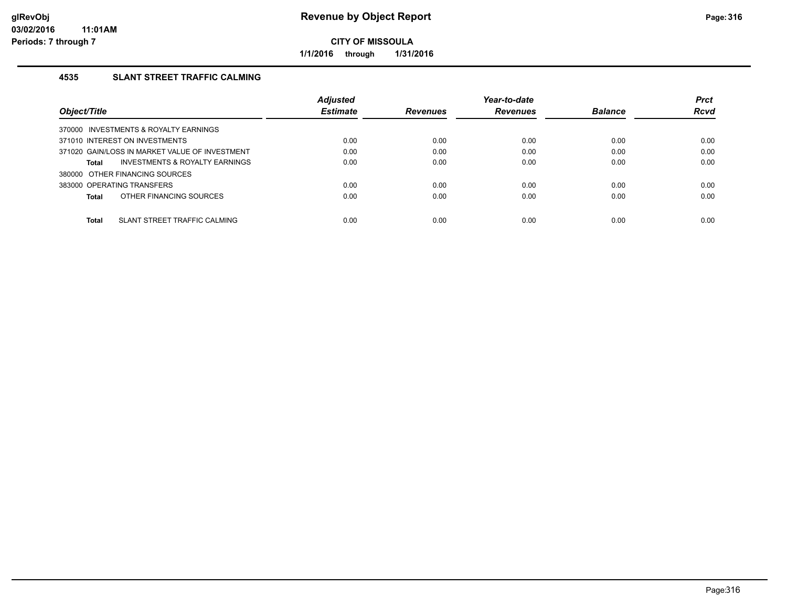**1/1/2016 through 1/31/2016**

## **4535 SLANT STREET TRAFFIC CALMING**

|                                                    | <b>Adjusted</b> |                 | Year-to-date    |                | <b>Prct</b> |
|----------------------------------------------------|-----------------|-----------------|-----------------|----------------|-------------|
| Object/Title                                       | <b>Estimate</b> | <b>Revenues</b> | <b>Revenues</b> | <b>Balance</b> | <b>Rcvd</b> |
| 370000 INVESTMENTS & ROYALTY EARNINGS              |                 |                 |                 |                |             |
| 371010 INTEREST ON INVESTMENTS                     | 0.00            | 0.00            | 0.00            | 0.00           | 0.00        |
| 371020 GAIN/LOSS IN MARKET VALUE OF INVESTMENT     | 0.00            | 0.00            | 0.00            | 0.00           | 0.00        |
| <b>INVESTMENTS &amp; ROYALTY EARNINGS</b><br>Total | 0.00            | 0.00            | 0.00            | 0.00           | 0.00        |
| 380000 OTHER FINANCING SOURCES                     |                 |                 |                 |                |             |
| 383000 OPERATING TRANSFERS                         | 0.00            | 0.00            | 0.00            | 0.00           | 0.00        |
| OTHER FINANCING SOURCES<br>Total                   | 0.00            | 0.00            | 0.00            | 0.00           | 0.00        |
|                                                    |                 |                 |                 |                |             |
| SLANT STREET TRAFFIC CALMING<br>Total              | 0.00            | 0.00            | 0.00            | 0.00           | 0.00        |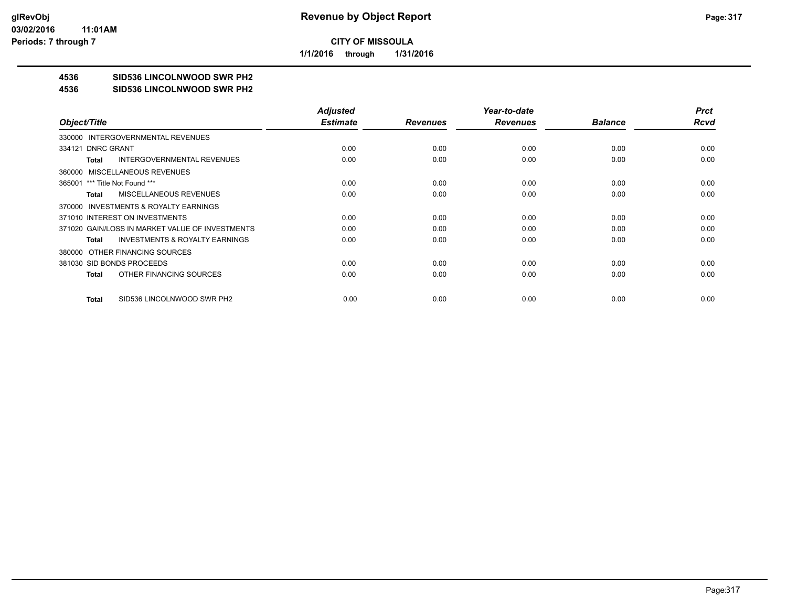**1/1/2016 through 1/31/2016**

# **4536 SID536 LINCOLNWOOD SWR PH2**

#### **4536 SID536 LINCOLNWOOD SWR PH2**

|                                                    | <b>Adjusted</b> |                 | Year-to-date    |                | <b>Prct</b> |
|----------------------------------------------------|-----------------|-----------------|-----------------|----------------|-------------|
| Object/Title                                       | <b>Estimate</b> | <b>Revenues</b> | <b>Revenues</b> | <b>Balance</b> | Rcvd        |
| 330000 INTERGOVERNMENTAL REVENUES                  |                 |                 |                 |                |             |
| 334121 DNRC GRANT                                  | 0.00            | 0.00            | 0.00            | 0.00           | 0.00        |
| <b>INTERGOVERNMENTAL REVENUES</b><br>Total         | 0.00            | 0.00            | 0.00            | 0.00           | 0.00        |
| 360000 MISCELLANEOUS REVENUES                      |                 |                 |                 |                |             |
| 365001 *** Title Not Found ***                     | 0.00            | 0.00            | 0.00            | 0.00           | 0.00        |
| <b>MISCELLANEOUS REVENUES</b><br>Total             | 0.00            | 0.00            | 0.00            | 0.00           | 0.00        |
| 370000 INVESTMENTS & ROYALTY EARNINGS              |                 |                 |                 |                |             |
| 371010 INTEREST ON INVESTMENTS                     | 0.00            | 0.00            | 0.00            | 0.00           | 0.00        |
| 371020 GAIN/LOSS IN MARKET VALUE OF INVESTMENTS    | 0.00            | 0.00            | 0.00            | 0.00           | 0.00        |
| <b>INVESTMENTS &amp; ROYALTY EARNINGS</b><br>Total | 0.00            | 0.00            | 0.00            | 0.00           | 0.00        |
| 380000 OTHER FINANCING SOURCES                     |                 |                 |                 |                |             |
| 381030 SID BONDS PROCEEDS                          | 0.00            | 0.00            | 0.00            | 0.00           | 0.00        |
| OTHER FINANCING SOURCES<br>Total                   | 0.00            | 0.00            | 0.00            | 0.00           | 0.00        |
|                                                    |                 |                 |                 |                |             |
| SID536 LINCOLNWOOD SWR PH2<br>Total                | 0.00            | 0.00            | 0.00            | 0.00           | 0.00        |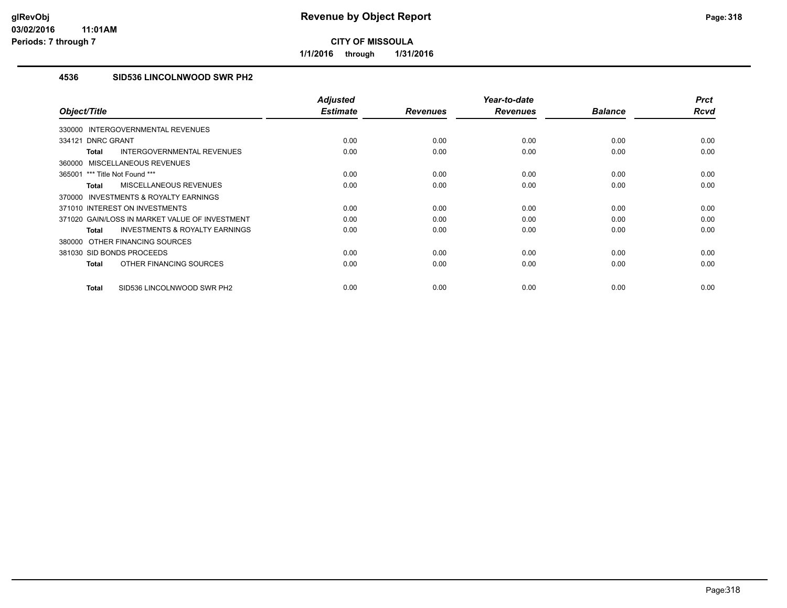**1/1/2016 through 1/31/2016**

# **4536 SID536 LINCOLNWOOD SWR PH2**

| Object/Title                                              | <b>Adjusted</b><br><b>Estimate</b> | <b>Revenues</b> | Year-to-date<br><b>Revenues</b> | <b>Balance</b> | <b>Prct</b><br><b>Rcvd</b> |
|-----------------------------------------------------------|------------------------------------|-----------------|---------------------------------|----------------|----------------------------|
| 330000 INTERGOVERNMENTAL REVENUES                         |                                    |                 |                                 |                |                            |
| <b>DNRC GRANT</b><br>334121                               | 0.00                               | 0.00            | 0.00                            | 0.00           | 0.00                       |
| <b>INTERGOVERNMENTAL REVENUES</b><br><b>Total</b>         | 0.00                               | 0.00            | 0.00                            | 0.00           | 0.00                       |
| 360000 MISCELLANEOUS REVENUES                             |                                    |                 |                                 |                |                            |
| 365001 *** Title Not Found ***                            | 0.00                               | 0.00            | 0.00                            | 0.00           | 0.00                       |
| <b>MISCELLANEOUS REVENUES</b><br><b>Total</b>             | 0.00                               | 0.00            | 0.00                            | 0.00           | 0.00                       |
| 370000 INVESTMENTS & ROYALTY EARNINGS                     |                                    |                 |                                 |                |                            |
| 371010 INTEREST ON INVESTMENTS                            | 0.00                               | 0.00            | 0.00                            | 0.00           | 0.00                       |
| 371020 GAIN/LOSS IN MARKET VALUE OF INVESTMENT            | 0.00                               | 0.00            | 0.00                            | 0.00           | 0.00                       |
| <b>INVESTMENTS &amp; ROYALTY EARNINGS</b><br><b>Total</b> | 0.00                               | 0.00            | 0.00                            | 0.00           | 0.00                       |
| 380000 OTHER FINANCING SOURCES                            |                                    |                 |                                 |                |                            |
| 381030 SID BONDS PROCEEDS                                 | 0.00                               | 0.00            | 0.00                            | 0.00           | 0.00                       |
| OTHER FINANCING SOURCES<br><b>Total</b>                   | 0.00                               | 0.00            | 0.00                            | 0.00           | 0.00                       |
| SID536 LINCOLNWOOD SWR PH2<br><b>Total</b>                | 0.00                               | 0.00            | 0.00                            | 0.00           | 0.00                       |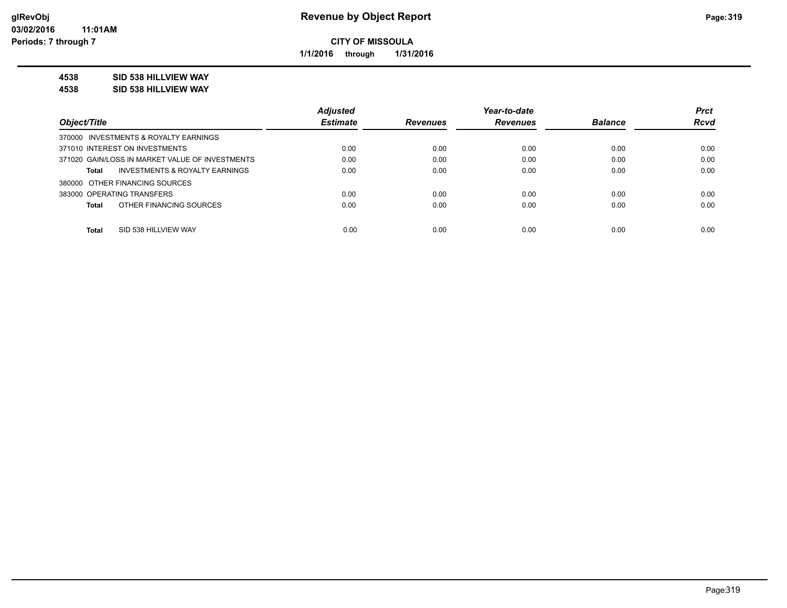**1/1/2016 through 1/31/2016**

## **4538 SID 538 HILLVIEW WAY**

#### **4538 SID 538 HILLVIEW WAY**

|                                                    | <b>Adjusted</b> |                 | Year-to-date    |                | <b>Prct</b> |
|----------------------------------------------------|-----------------|-----------------|-----------------|----------------|-------------|
| Object/Title                                       | <b>Estimate</b> | <b>Revenues</b> | <b>Revenues</b> | <b>Balance</b> | <b>Rcvd</b> |
| 370000 INVESTMENTS & ROYALTY EARNINGS              |                 |                 |                 |                |             |
| 371010 INTEREST ON INVESTMENTS                     | 0.00            | 0.00            | 0.00            | 0.00           | 0.00        |
| 371020 GAIN/LOSS IN MARKET VALUE OF INVESTMENTS    | 0.00            | 0.00            | 0.00            | 0.00           | 0.00        |
| <b>INVESTMENTS &amp; ROYALTY EARNINGS</b><br>Total | 0.00            | 0.00            | 0.00            | 0.00           | 0.00        |
| 380000 OTHER FINANCING SOURCES                     |                 |                 |                 |                |             |
| 383000 OPERATING TRANSFERS                         | 0.00            | 0.00            | 0.00            | 0.00           | 0.00        |
| OTHER FINANCING SOURCES<br>Total                   | 0.00            | 0.00            | 0.00            | 0.00           | 0.00        |
|                                                    |                 |                 |                 |                |             |
| Total<br>SID 538 HILLVIEW WAY                      | 0.00            | 0.00            | 0.00            | 0.00           | 0.00        |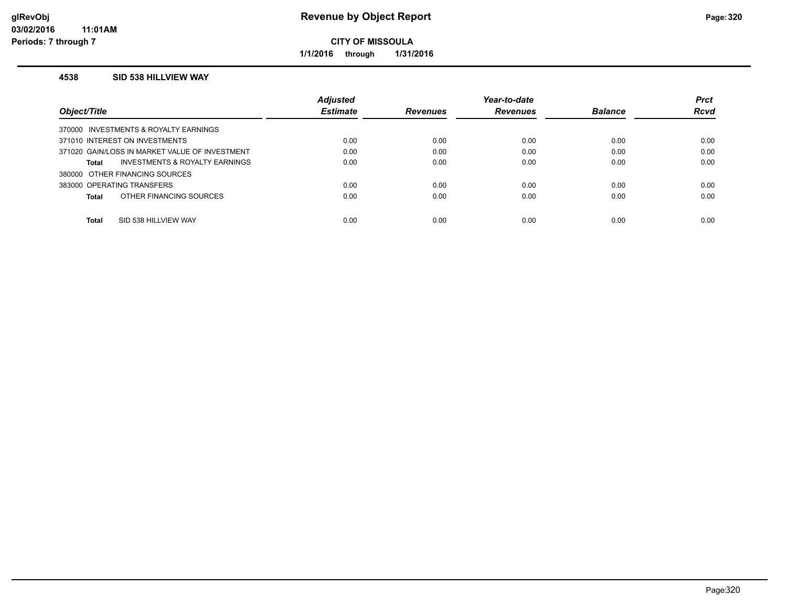**1/1/2016 through 1/31/2016**

#### **4538 SID 538 HILLVIEW WAY**

|                                                | <b>Adjusted</b> |                 | Year-to-date    |                | <b>Prct</b> |
|------------------------------------------------|-----------------|-----------------|-----------------|----------------|-------------|
| Object/Title                                   | <b>Estimate</b> | <b>Revenues</b> | <b>Revenues</b> | <b>Balance</b> | <b>Rcvd</b> |
| 370000 INVESTMENTS & ROYALTY EARNINGS          |                 |                 |                 |                |             |
| 371010 INTEREST ON INVESTMENTS                 | 0.00            | 0.00            | 0.00            | 0.00           | 0.00        |
| 371020 GAIN/LOSS IN MARKET VALUE OF INVESTMENT | 0.00            | 0.00            | 0.00            | 0.00           | 0.00        |
| INVESTMENTS & ROYALTY EARNINGS<br>Total        | 0.00            | 0.00            | 0.00            | 0.00           | 0.00        |
| 380000 OTHER FINANCING SOURCES                 |                 |                 |                 |                |             |
| 383000 OPERATING TRANSFERS                     | 0.00            | 0.00            | 0.00            | 0.00           | 0.00        |
| OTHER FINANCING SOURCES<br>Total               | 0.00            | 0.00            | 0.00            | 0.00           | 0.00        |
|                                                |                 |                 |                 |                |             |
| Total<br>SID 538 HILLVIEW WAY                  | 0.00            | 0.00            | 0.00            | 0.00           | 0.00        |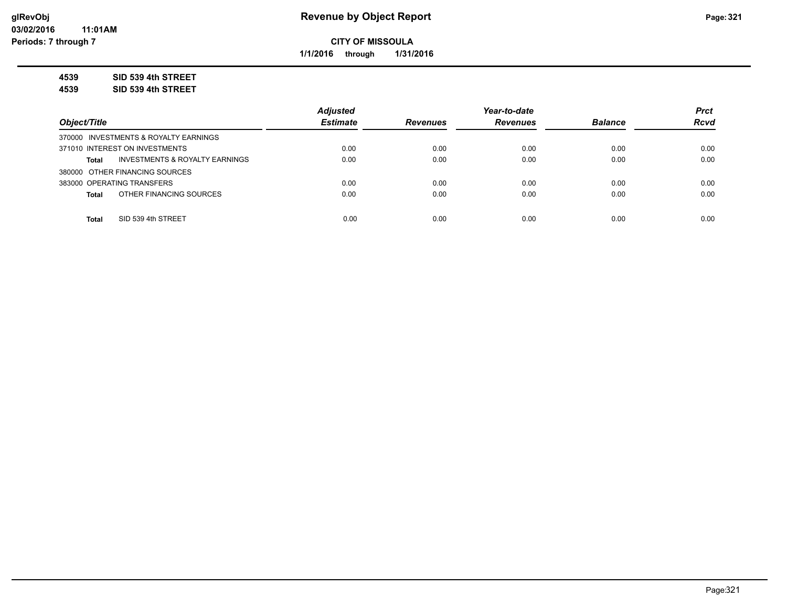**1/1/2016 through 1/31/2016**

**4539 SID 539 4th STREET**

**4539 SID 539 4th STREET**

|                                                | <b>Adiusted</b> |                 | Year-to-date    |                | <b>Prct</b> |
|------------------------------------------------|-----------------|-----------------|-----------------|----------------|-------------|
| Object/Title                                   | <b>Estimate</b> | <b>Revenues</b> | <b>Revenues</b> | <b>Balance</b> | <b>Rcvd</b> |
| 370000 INVESTMENTS & ROYALTY EARNINGS          |                 |                 |                 |                |             |
| 371010 INTEREST ON INVESTMENTS                 | 0.00            | 0.00            | 0.00            | 0.00           | 0.00        |
| INVESTMENTS & ROYALTY EARNINGS<br><b>Total</b> | 0.00            | 0.00            | 0.00            | 0.00           | 0.00        |
| 380000 OTHER FINANCING SOURCES                 |                 |                 |                 |                |             |
| 383000 OPERATING TRANSFERS                     | 0.00            | 0.00            | 0.00            | 0.00           | 0.00        |
| OTHER FINANCING SOURCES<br><b>Total</b>        | 0.00            | 0.00            | 0.00            | 0.00           | 0.00        |
|                                                |                 |                 |                 |                |             |
| SID 539 4th STREET<br><b>Total</b>             | 0.00            | 0.00            | 0.00            | 0.00           | 0.00        |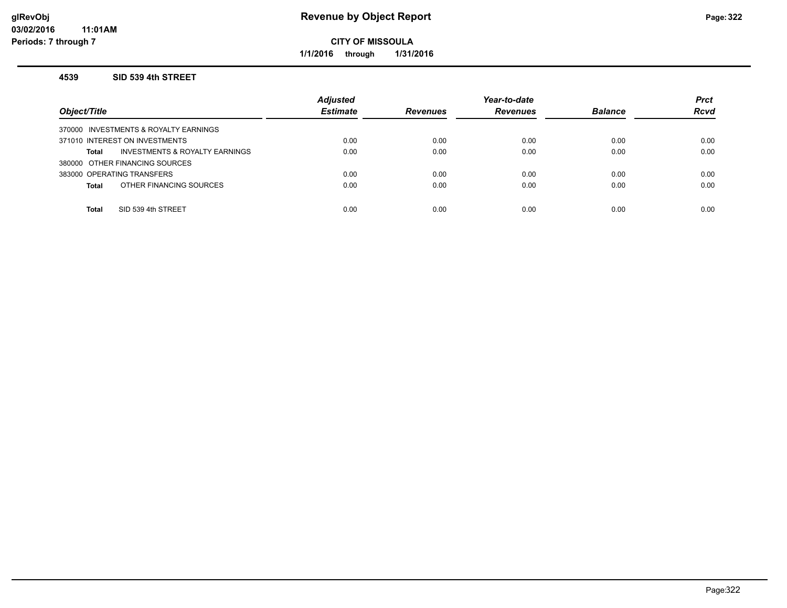# **glRevObj Revenue by Object Report Page:322**

**CITY OF MISSOULA**

**1/1/2016 through 1/31/2016**

#### **4539 SID 539 4th STREET**

| Object/Title                            | <b>Adjusted</b><br><b>Estimate</b> | <b>Revenues</b> | Year-to-date<br><b>Revenues</b> | <b>Balance</b> | <b>Prct</b><br><b>Rcvd</b> |
|-----------------------------------------|------------------------------------|-----------------|---------------------------------|----------------|----------------------------|
| 370000 INVESTMENTS & ROYALTY EARNINGS   |                                    |                 |                                 |                |                            |
| 371010 INTEREST ON INVESTMENTS          | 0.00                               | 0.00            | 0.00                            | 0.00           | 0.00                       |
| INVESTMENTS & ROYALTY EARNINGS<br>Total | 0.00                               | 0.00            | 0.00                            | 0.00           | 0.00                       |
| 380000 OTHER FINANCING SOURCES          |                                    |                 |                                 |                |                            |
| 383000 OPERATING TRANSFERS              | 0.00                               | 0.00            | 0.00                            | 0.00           | 0.00                       |
| OTHER FINANCING SOURCES<br><b>Total</b> | 0.00                               | 0.00            | 0.00                            | 0.00           | 0.00                       |
|                                         |                                    |                 |                                 |                |                            |
| SID 539 4th STREET<br><b>Total</b>      | 0.00                               | 0.00            | 0.00                            | 0.00           | 0.00                       |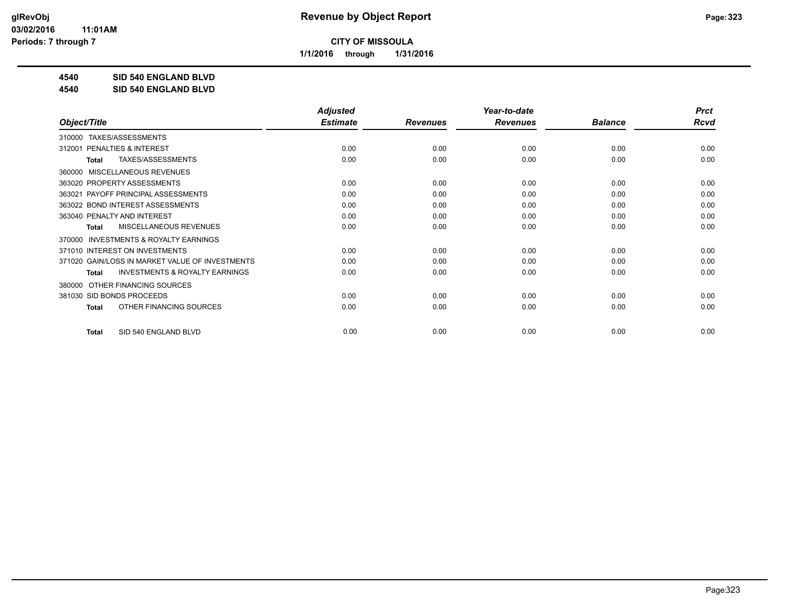**1/1/2016 through 1/31/2016**

**4540 SID 540 ENGLAND BLVD**

**4540 SID 540 ENGLAND BLVD**

|                                                           | <b>Adjusted</b> |                 | Year-to-date    |                | <b>Prct</b> |
|-----------------------------------------------------------|-----------------|-----------------|-----------------|----------------|-------------|
| Object/Title                                              | <b>Estimate</b> | <b>Revenues</b> | <b>Revenues</b> | <b>Balance</b> | <b>Rcvd</b> |
| TAXES/ASSESSMENTS<br>310000                               |                 |                 |                 |                |             |
| PENALTIES & INTEREST<br>312001                            | 0.00            | 0.00            | 0.00            | 0.00           | 0.00        |
| TAXES/ASSESSMENTS<br><b>Total</b>                         | 0.00            | 0.00            | 0.00            | 0.00           | 0.00        |
| MISCELLANEOUS REVENUES<br>360000                          |                 |                 |                 |                |             |
| 363020 PROPERTY ASSESSMENTS                               | 0.00            | 0.00            | 0.00            | 0.00           | 0.00        |
| PAYOFF PRINCIPAL ASSESSMENTS<br>363021                    | 0.00            | 0.00            | 0.00            | 0.00           | 0.00        |
| 363022 BOND INTEREST ASSESSMENTS                          | 0.00            | 0.00            | 0.00            | 0.00           | 0.00        |
| 363040 PENALTY AND INTEREST                               | 0.00            | 0.00            | 0.00            | 0.00           | 0.00        |
| MISCELLANEOUS REVENUES<br>Total                           | 0.00            | 0.00            | 0.00            | 0.00           | 0.00        |
| <b>INVESTMENTS &amp; ROYALTY EARNINGS</b><br>370000       |                 |                 |                 |                |             |
| 371010 INTEREST ON INVESTMENTS                            | 0.00            | 0.00            | 0.00            | 0.00           | 0.00        |
| 371020 GAIN/LOSS IN MARKET VALUE OF INVESTMENTS           | 0.00            | 0.00            | 0.00            | 0.00           | 0.00        |
| <b>INVESTMENTS &amp; ROYALTY EARNINGS</b><br><b>Total</b> | 0.00            | 0.00            | 0.00            | 0.00           | 0.00        |
| OTHER FINANCING SOURCES<br>380000                         |                 |                 |                 |                |             |
| 381030 SID BONDS PROCEEDS                                 | 0.00            | 0.00            | 0.00            | 0.00           | 0.00        |
| OTHER FINANCING SOURCES<br><b>Total</b>                   | 0.00            | 0.00            | 0.00            | 0.00           | 0.00        |
| SID 540 ENGLAND BLVD<br><b>Total</b>                      | 0.00            | 0.00            | 0.00            | 0.00           | 0.00        |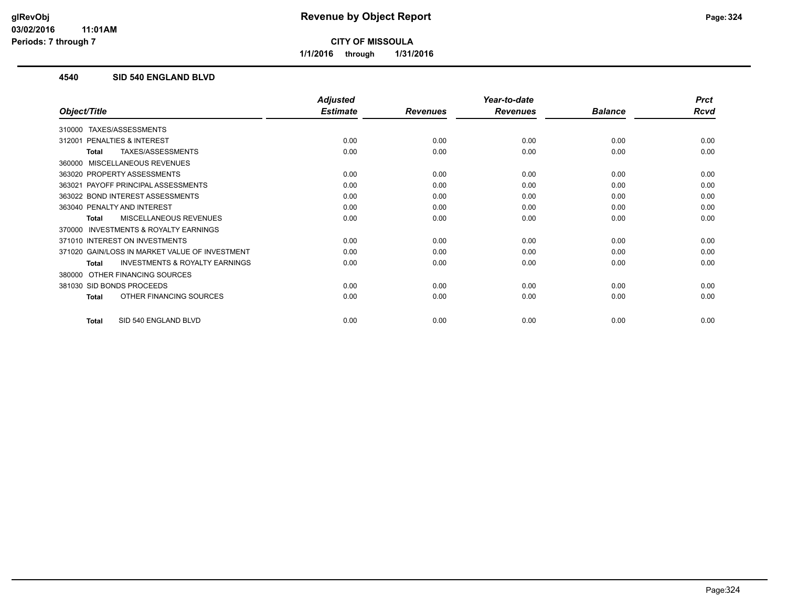**1/1/2016 through 1/31/2016**

## **4540 SID 540 ENGLAND BLVD**

|                                                    | <b>Adjusted</b> |                 | Year-to-date    |                | <b>Prct</b> |
|----------------------------------------------------|-----------------|-----------------|-----------------|----------------|-------------|
| Object/Title                                       | <b>Estimate</b> | <b>Revenues</b> | <b>Revenues</b> | <b>Balance</b> | <b>Rcvd</b> |
| TAXES/ASSESSMENTS<br>310000                        |                 |                 |                 |                |             |
| <b>PENALTIES &amp; INTEREST</b><br>312001          | 0.00            | 0.00            | 0.00            | 0.00           | 0.00        |
| TAXES/ASSESSMENTS<br>Total                         | 0.00            | 0.00            | 0.00            | 0.00           | 0.00        |
| MISCELLANEOUS REVENUES<br>360000                   |                 |                 |                 |                |             |
| 363020 PROPERTY ASSESSMENTS                        | 0.00            | 0.00            | 0.00            | 0.00           | 0.00        |
| PAYOFF PRINCIPAL ASSESSMENTS<br>363021             | 0.00            | 0.00            | 0.00            | 0.00           | 0.00        |
| 363022 BOND INTEREST ASSESSMENTS                   | 0.00            | 0.00            | 0.00            | 0.00           | 0.00        |
| 363040 PENALTY AND INTEREST                        | 0.00            | 0.00            | 0.00            | 0.00           | 0.00        |
| MISCELLANEOUS REVENUES<br>Total                    | 0.00            | 0.00            | 0.00            | 0.00           | 0.00        |
| INVESTMENTS & ROYALTY EARNINGS<br>370000           |                 |                 |                 |                |             |
| 371010 INTEREST ON INVESTMENTS                     | 0.00            | 0.00            | 0.00            | 0.00           | 0.00        |
| 371020 GAIN/LOSS IN MARKET VALUE OF INVESTMENT     | 0.00            | 0.00            | 0.00            | 0.00           | 0.00        |
| <b>INVESTMENTS &amp; ROYALTY EARNINGS</b><br>Total | 0.00            | 0.00            | 0.00            | 0.00           | 0.00        |
| OTHER FINANCING SOURCES<br>380000                  |                 |                 |                 |                |             |
| 381030 SID BONDS PROCEEDS                          | 0.00            | 0.00            | 0.00            | 0.00           | 0.00        |
| OTHER FINANCING SOURCES<br><b>Total</b>            | 0.00            | 0.00            | 0.00            | 0.00           | 0.00        |
| SID 540 ENGLAND BLVD<br><b>Total</b>               | 0.00            | 0.00            | 0.00            | 0.00           | 0.00        |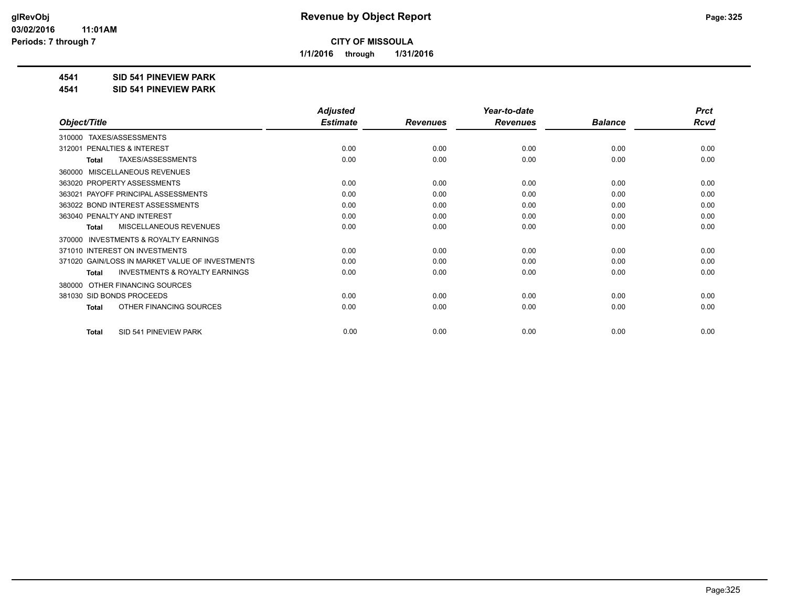**1/1/2016 through 1/31/2016**

#### **4541 SID 541 PINEVIEW PARK**

**4541 SID 541 PINEVIEW PARK**

|                                                           | <b>Adjusted</b> |                 | Year-to-date    |                | <b>Prct</b> |
|-----------------------------------------------------------|-----------------|-----------------|-----------------|----------------|-------------|
| Object/Title                                              | <b>Estimate</b> | <b>Revenues</b> | <b>Revenues</b> | <b>Balance</b> | <b>Rcvd</b> |
| TAXES/ASSESSMENTS<br>310000                               |                 |                 |                 |                |             |
| <b>PENALTIES &amp; INTEREST</b><br>312001                 | 0.00            | 0.00            | 0.00            | 0.00           | 0.00        |
| TAXES/ASSESSMENTS<br><b>Total</b>                         | 0.00            | 0.00            | 0.00            | 0.00           | 0.00        |
| MISCELLANEOUS REVENUES<br>360000                          |                 |                 |                 |                |             |
| 363020 PROPERTY ASSESSMENTS                               | 0.00            | 0.00            | 0.00            | 0.00           | 0.00        |
| PAYOFF PRINCIPAL ASSESSMENTS<br>363021                    | 0.00            | 0.00            | 0.00            | 0.00           | 0.00        |
| 363022 BOND INTEREST ASSESSMENTS                          | 0.00            | 0.00            | 0.00            | 0.00           | 0.00        |
| 363040 PENALTY AND INTEREST                               | 0.00            | 0.00            | 0.00            | 0.00           | 0.00        |
| <b>MISCELLANEOUS REVENUES</b><br><b>Total</b>             | 0.00            | 0.00            | 0.00            | 0.00           | 0.00        |
| <b>INVESTMENTS &amp; ROYALTY EARNINGS</b><br>370000       |                 |                 |                 |                |             |
| 371010 INTEREST ON INVESTMENTS                            | 0.00            | 0.00            | 0.00            | 0.00           | 0.00        |
| 371020 GAIN/LOSS IN MARKET VALUE OF INVESTMENTS           | 0.00            | 0.00            | 0.00            | 0.00           | 0.00        |
| <b>INVESTMENTS &amp; ROYALTY EARNINGS</b><br><b>Total</b> | 0.00            | 0.00            | 0.00            | 0.00           | 0.00        |
| OTHER FINANCING SOURCES<br>380000                         |                 |                 |                 |                |             |
| 381030 SID BONDS PROCEEDS                                 | 0.00            | 0.00            | 0.00            | 0.00           | 0.00        |
| OTHER FINANCING SOURCES<br><b>Total</b>                   | 0.00            | 0.00            | 0.00            | 0.00           | 0.00        |
| SID 541 PINEVIEW PARK<br><b>Total</b>                     | 0.00            | 0.00            | 0.00            | 0.00           | 0.00        |
|                                                           |                 |                 |                 |                |             |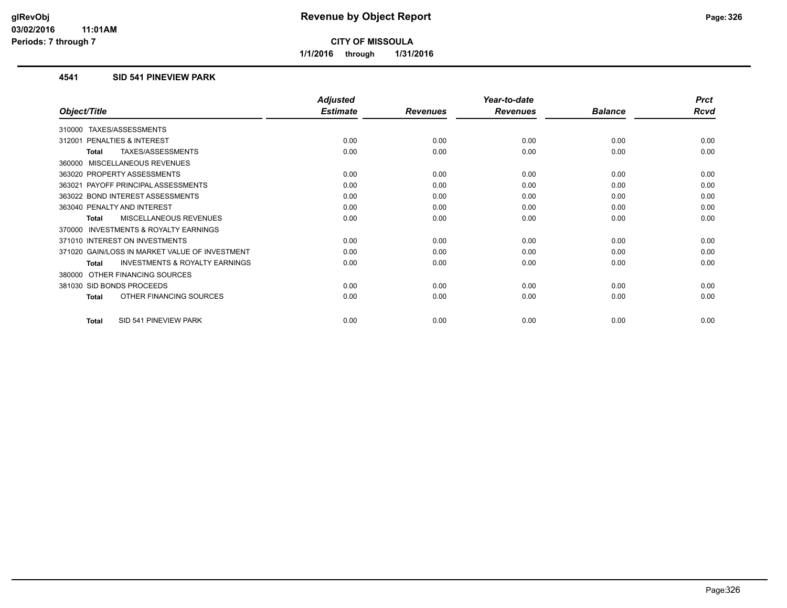**1/1/2016 through 1/31/2016**

#### **4541 SID 541 PINEVIEW PARK**

|                                                    | <b>Adjusted</b> |                 | Year-to-date    |                | <b>Prct</b> |
|----------------------------------------------------|-----------------|-----------------|-----------------|----------------|-------------|
| Object/Title                                       | <b>Estimate</b> | <b>Revenues</b> | <b>Revenues</b> | <b>Balance</b> | <b>Rcvd</b> |
| TAXES/ASSESSMENTS<br>310000                        |                 |                 |                 |                |             |
| <b>PENALTIES &amp; INTEREST</b><br>312001          | 0.00            | 0.00            | 0.00            | 0.00           | 0.00        |
| TAXES/ASSESSMENTS<br>Total                         | 0.00            | 0.00            | 0.00            | 0.00           | 0.00        |
| MISCELLANEOUS REVENUES<br>360000                   |                 |                 |                 |                |             |
| 363020 PROPERTY ASSESSMENTS                        | 0.00            | 0.00            | 0.00            | 0.00           | 0.00        |
| PAYOFF PRINCIPAL ASSESSMENTS<br>363021             | 0.00            | 0.00            | 0.00            | 0.00           | 0.00        |
| 363022 BOND INTEREST ASSESSMENTS                   | 0.00            | 0.00            | 0.00            | 0.00           | 0.00        |
| 363040 PENALTY AND INTEREST                        | 0.00            | 0.00            | 0.00            | 0.00           | 0.00        |
| MISCELLANEOUS REVENUES<br>Total                    | 0.00            | 0.00            | 0.00            | 0.00           | 0.00        |
| INVESTMENTS & ROYALTY EARNINGS<br>370000           |                 |                 |                 |                |             |
| 371010 INTEREST ON INVESTMENTS                     | 0.00            | 0.00            | 0.00            | 0.00           | 0.00        |
| 371020 GAIN/LOSS IN MARKET VALUE OF INVESTMENT     | 0.00            | 0.00            | 0.00            | 0.00           | 0.00        |
| <b>INVESTMENTS &amp; ROYALTY EARNINGS</b><br>Total | 0.00            | 0.00            | 0.00            | 0.00           | 0.00        |
| OTHER FINANCING SOURCES<br>380000                  |                 |                 |                 |                |             |
| 381030 SID BONDS PROCEEDS                          | 0.00            | 0.00            | 0.00            | 0.00           | 0.00        |
| OTHER FINANCING SOURCES<br><b>Total</b>            | 0.00            | 0.00            | 0.00            | 0.00           | 0.00        |
| SID 541 PINEVIEW PARK<br><b>Total</b>              | 0.00            | 0.00            | 0.00            | 0.00           | 0.00        |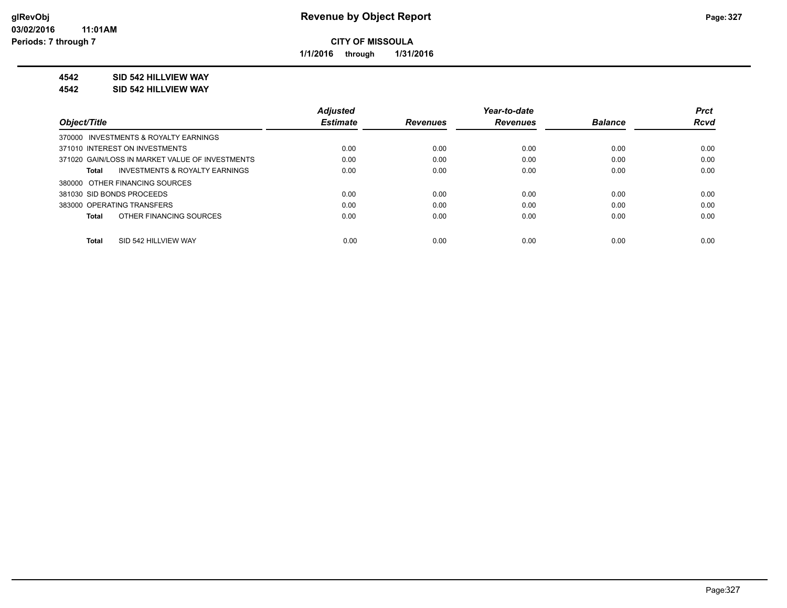**1/1/2016 through 1/31/2016**

#### **4542 SID 542 HILLVIEW WAY**

#### **4542 SID 542 HILLVIEW WAY**

|                                                    | <b>Adjusted</b> |                 | Year-to-date    |                | <b>Prct</b> |
|----------------------------------------------------|-----------------|-----------------|-----------------|----------------|-------------|
| Object/Title                                       | <b>Estimate</b> | <b>Revenues</b> | <b>Revenues</b> | <b>Balance</b> | <b>Rcvd</b> |
| 370000 INVESTMENTS & ROYALTY EARNINGS              |                 |                 |                 |                |             |
| 371010 INTEREST ON INVESTMENTS                     | 0.00            | 0.00            | 0.00            | 0.00           | 0.00        |
| 371020 GAIN/LOSS IN MARKET VALUE OF INVESTMENTS    | 0.00            | 0.00            | 0.00            | 0.00           | 0.00        |
| <b>INVESTMENTS &amp; ROYALTY EARNINGS</b><br>Total | 0.00            | 0.00            | 0.00            | 0.00           | 0.00        |
| 380000 OTHER FINANCING SOURCES                     |                 |                 |                 |                |             |
| 381030 SID BONDS PROCEEDS                          | 0.00            | 0.00            | 0.00            | 0.00           | 0.00        |
| 383000 OPERATING TRANSFERS                         | 0.00            | 0.00            | 0.00            | 0.00           | 0.00        |
| OTHER FINANCING SOURCES<br>Total                   | 0.00            | 0.00            | 0.00            | 0.00           | 0.00        |
|                                                    |                 |                 |                 |                |             |
| SID 542 HILLVIEW WAY<br><b>Total</b>               | 0.00            | 0.00            | 0.00            | 0.00           | 0.00        |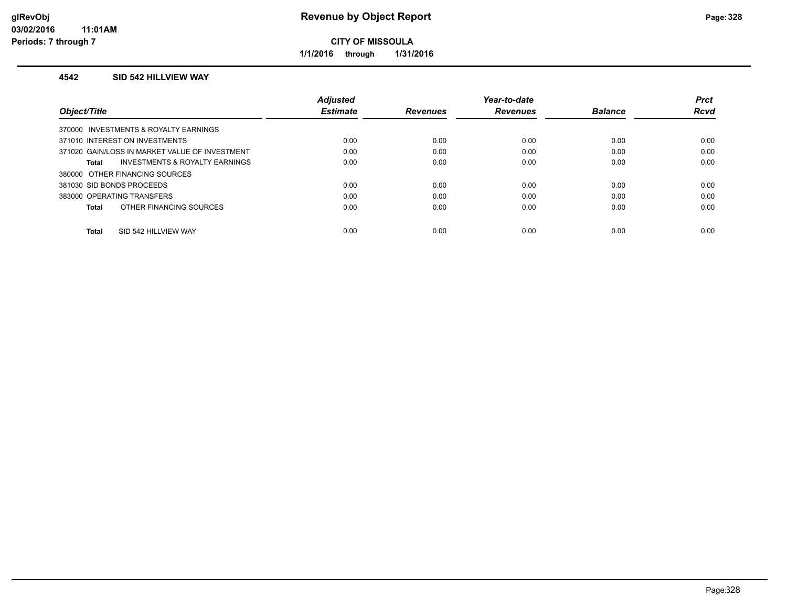**1/1/2016 through 1/31/2016**

#### **4542 SID 542 HILLVIEW WAY**

|                                                    | <b>Adjusted</b> |                 | Year-to-date    |                | <b>Prct</b> |
|----------------------------------------------------|-----------------|-----------------|-----------------|----------------|-------------|
| Object/Title                                       | <b>Estimate</b> | <b>Revenues</b> | <b>Revenues</b> | <b>Balance</b> | <b>Rcvd</b> |
| 370000 INVESTMENTS & ROYALTY EARNINGS              |                 |                 |                 |                |             |
| 371010 INTEREST ON INVESTMENTS                     | 0.00            | 0.00            | 0.00            | 0.00           | 0.00        |
| 371020 GAIN/LOSS IN MARKET VALUE OF INVESTMENT     | 0.00            | 0.00            | 0.00            | 0.00           | 0.00        |
| <b>INVESTMENTS &amp; ROYALTY EARNINGS</b><br>Total | 0.00            | 0.00            | 0.00            | 0.00           | 0.00        |
| 380000 OTHER FINANCING SOURCES                     |                 |                 |                 |                |             |
| 381030 SID BONDS PROCEEDS                          | 0.00            | 0.00            | 0.00            | 0.00           | 0.00        |
| 383000 OPERATING TRANSFERS                         | 0.00            | 0.00            | 0.00            | 0.00           | 0.00        |
| OTHER FINANCING SOURCES<br>Total                   | 0.00            | 0.00            | 0.00            | 0.00           | 0.00        |
|                                                    |                 |                 |                 |                |             |
| SID 542 HILLVIEW WAY<br><b>Total</b>               | 0.00            | 0.00            | 0.00            | 0.00           | 0.00        |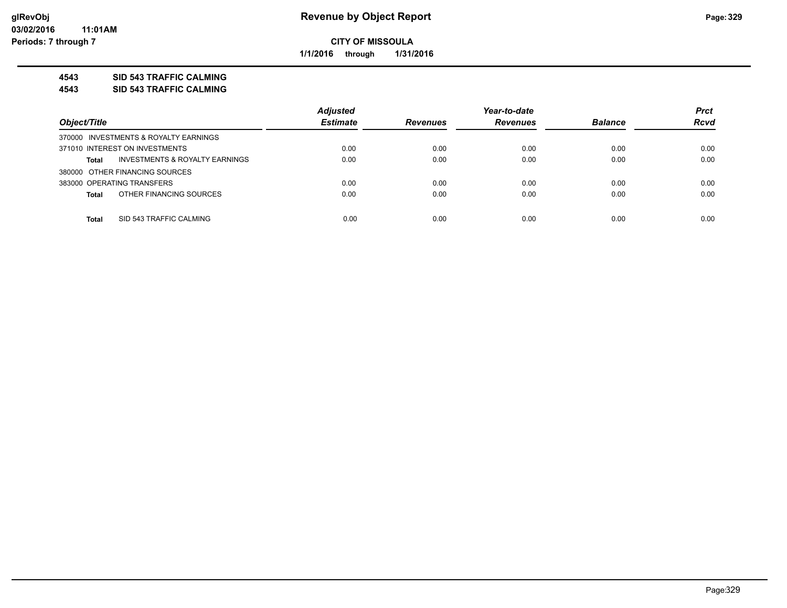**1/1/2016 through 1/31/2016**

#### **4543 SID 543 TRAFFIC CALMING**

**4543 SID 543 TRAFFIC CALMING**

|                                                    | <b>Adjusted</b> |                 | Year-to-date    |                | <b>Prct</b> |
|----------------------------------------------------|-----------------|-----------------|-----------------|----------------|-------------|
| Object/Title                                       | <b>Estimate</b> | <b>Revenues</b> | <b>Revenues</b> | <b>Balance</b> | <b>Rcvd</b> |
| 370000 INVESTMENTS & ROYALTY EARNINGS              |                 |                 |                 |                |             |
| 371010 INTEREST ON INVESTMENTS                     | 0.00            | 0.00            | 0.00            | 0.00           | 0.00        |
| <b>INVESTMENTS &amp; ROYALTY EARNINGS</b><br>Total | 0.00            | 0.00            | 0.00            | 0.00           | 0.00        |
| 380000 OTHER FINANCING SOURCES                     |                 |                 |                 |                |             |
| 383000 OPERATING TRANSFERS                         | 0.00            | 0.00            | 0.00            | 0.00           | 0.00        |
| OTHER FINANCING SOURCES<br><b>Total</b>            | 0.00            | 0.00            | 0.00            | 0.00           | 0.00        |
|                                                    |                 |                 |                 |                |             |
| SID 543 TRAFFIC CALMING<br><b>Total</b>            | 0.00            | 0.00            | 0.00            | 0.00           | 0.00        |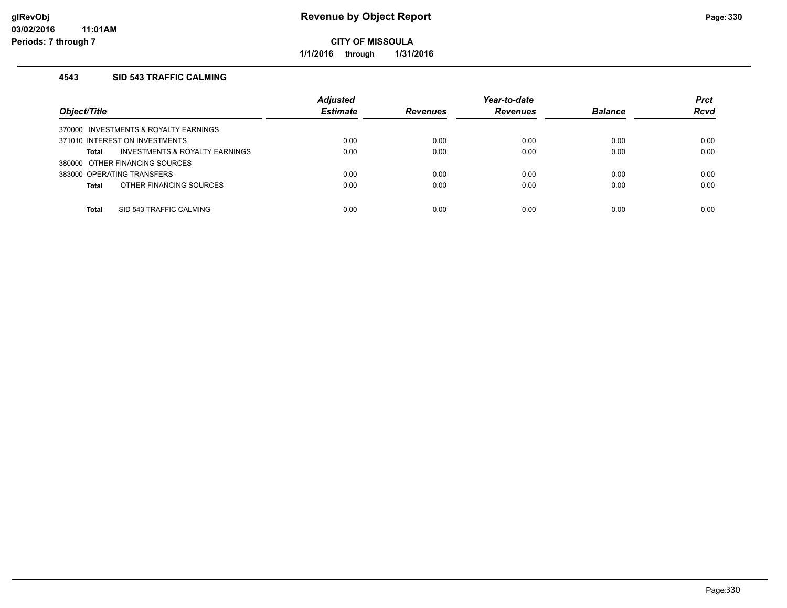**1/1/2016 through 1/31/2016**

#### **4543 SID 543 TRAFFIC CALMING**

| Object/Title                            | <b>Adjusted</b><br><b>Estimate</b> | <b>Revenues</b> | Year-to-date<br><b>Revenues</b> | <b>Balance</b> | <b>Prct</b><br><b>Rcvd</b> |
|-----------------------------------------|------------------------------------|-----------------|---------------------------------|----------------|----------------------------|
| 370000 INVESTMENTS & ROYALTY EARNINGS   |                                    |                 |                                 |                |                            |
| 371010 INTEREST ON INVESTMENTS          | 0.00                               | 0.00            | 0.00                            | 0.00           | 0.00                       |
| INVESTMENTS & ROYALTY EARNINGS<br>Total | 0.00                               | 0.00            | 0.00                            | 0.00           | 0.00                       |
| 380000 OTHER FINANCING SOURCES          |                                    |                 |                                 |                |                            |
| 383000 OPERATING TRANSFERS              | 0.00                               | 0.00            | 0.00                            | 0.00           | 0.00                       |
| OTHER FINANCING SOURCES<br><b>Total</b> | 0.00                               | 0.00            | 0.00                            | 0.00           | 0.00                       |
|                                         |                                    |                 |                                 |                |                            |
| SID 543 TRAFFIC CALMING<br>Total        | 0.00                               | 0.00            | 0.00                            | 0.00           | 0.00                       |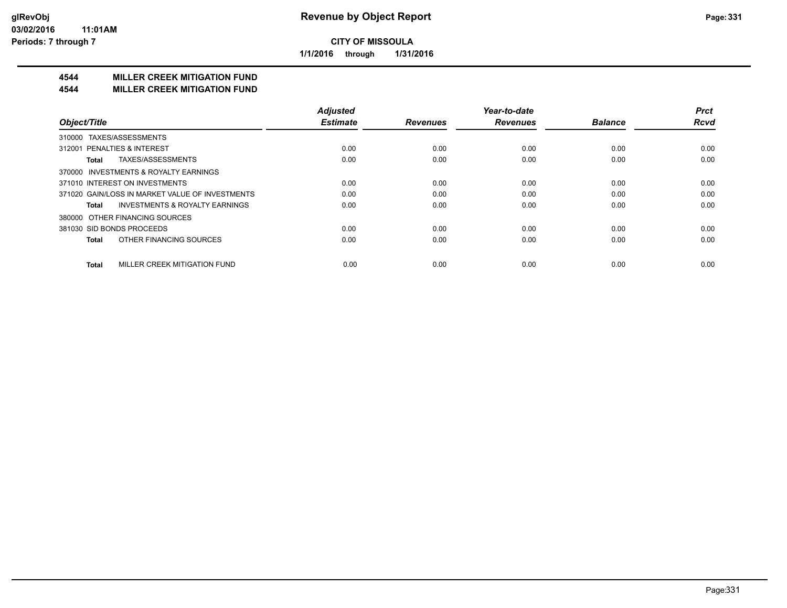**1/1/2016 through 1/31/2016**

# **4544 MILLER CREEK MITIGATION FUND**

#### **4544 MILLER CREEK MITIGATION FUND**

|                                                    | <b>Adjusted</b> |                 | Year-to-date    |                | <b>Prct</b> |
|----------------------------------------------------|-----------------|-----------------|-----------------|----------------|-------------|
| Object/Title                                       | <b>Estimate</b> | <b>Revenues</b> | <b>Revenues</b> | <b>Balance</b> | <b>Rcvd</b> |
| TAXES/ASSESSMENTS<br>310000                        |                 |                 |                 |                |             |
| 312001 PENALTIES & INTEREST                        | 0.00            | 0.00            | 0.00            | 0.00           | 0.00        |
| TAXES/ASSESSMENTS<br>Total                         | 0.00            | 0.00            | 0.00            | 0.00           | 0.00        |
| 370000 INVESTMENTS & ROYALTY EARNINGS              |                 |                 |                 |                |             |
| 371010 INTEREST ON INVESTMENTS                     | 0.00            | 0.00            | 0.00            | 0.00           | 0.00        |
| 371020 GAIN/LOSS IN MARKET VALUE OF INVESTMENTS    | 0.00            | 0.00            | 0.00            | 0.00           | 0.00        |
| <b>INVESTMENTS &amp; ROYALTY EARNINGS</b><br>Total | 0.00            | 0.00            | 0.00            | 0.00           | 0.00        |
| OTHER FINANCING SOURCES<br>380000                  |                 |                 |                 |                |             |
| 381030 SID BONDS PROCEEDS                          | 0.00            | 0.00            | 0.00            | 0.00           | 0.00        |
| OTHER FINANCING SOURCES<br><b>Total</b>            | 0.00            | 0.00            | 0.00            | 0.00           | 0.00        |
| MILLER CREEK MITIGATION FUND<br><b>Total</b>       | 0.00            | 0.00            | 0.00            | 0.00           | 0.00        |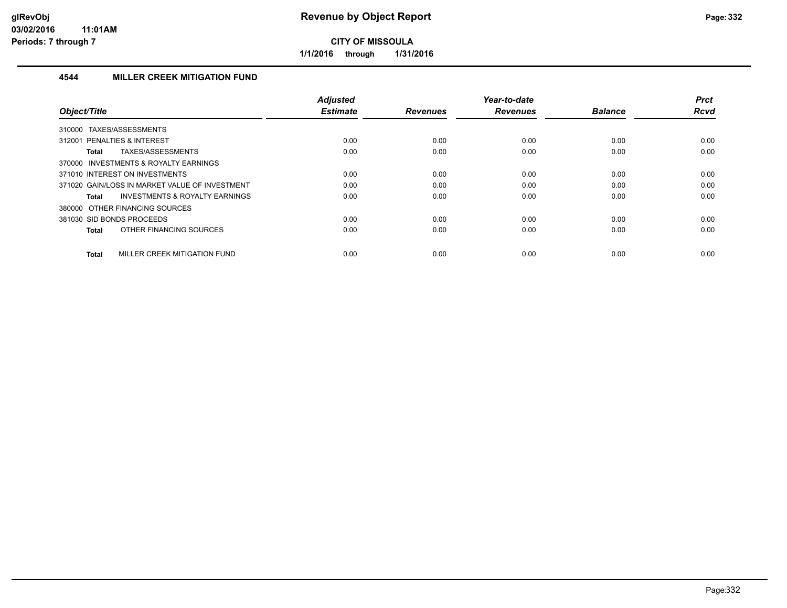**1/1/2016 through 1/31/2016**

#### **4544 MILLER CREEK MITIGATION FUND**

| Object/Title                                       | Adjusted<br><b>Estimate</b> | <b>Revenues</b> | Year-to-date<br><b>Revenues</b> | <b>Balance</b> | <b>Prct</b><br><b>Rcvd</b> |
|----------------------------------------------------|-----------------------------|-----------------|---------------------------------|----------------|----------------------------|
| TAXES/ASSESSMENTS<br>310000                        |                             |                 |                                 |                |                            |
| 312001 PENALTIES & INTEREST                        | 0.00                        | 0.00            | 0.00                            | 0.00           | 0.00                       |
| TAXES/ASSESSMENTS<br>Total                         | 0.00                        | 0.00            | 0.00                            | 0.00           | 0.00                       |
| 370000 INVESTMENTS & ROYALTY EARNINGS              |                             |                 |                                 |                |                            |
| 371010 INTEREST ON INVESTMENTS                     | 0.00                        | 0.00            | 0.00                            | 0.00           | 0.00                       |
| 371020 GAIN/LOSS IN MARKET VALUE OF INVESTMENT     | 0.00                        | 0.00            | 0.00                            | 0.00           | 0.00                       |
| <b>INVESTMENTS &amp; ROYALTY EARNINGS</b><br>Total | 0.00                        | 0.00            | 0.00                            | 0.00           | 0.00                       |
| 380000 OTHER FINANCING SOURCES                     |                             |                 |                                 |                |                            |
| 381030 SID BONDS PROCEEDS                          | 0.00                        | 0.00            | 0.00                            | 0.00           | 0.00                       |
| OTHER FINANCING SOURCES<br>Total                   | 0.00                        | 0.00            | 0.00                            | 0.00           | 0.00                       |
| MILLER CREEK MITIGATION FUND<br><b>Total</b>       | 0.00                        | 0.00            | 0.00                            | 0.00           | 0.00                       |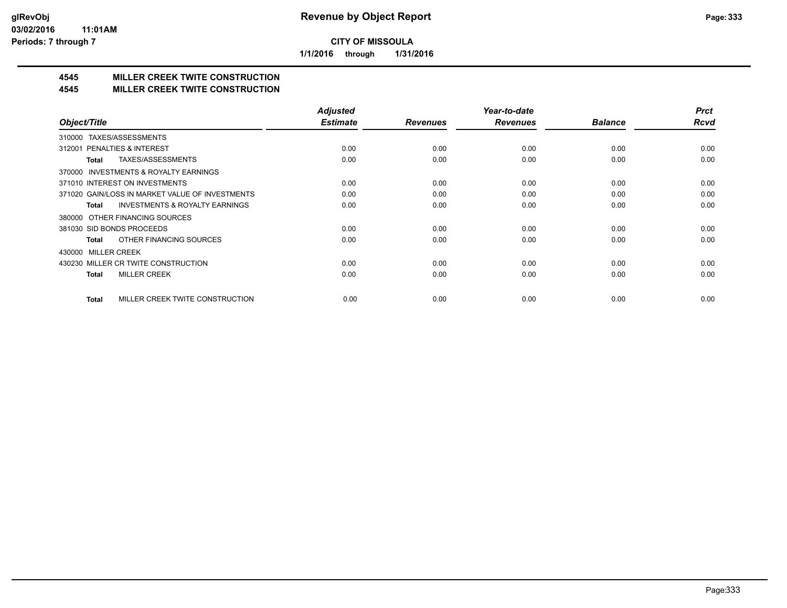**1/1/2016 through 1/31/2016**

# **4545 MILLER CREEK TWITE CONSTRUCTION**

#### **4545 MILLER CREEK TWITE CONSTRUCTION**

|                                                     | <b>Adjusted</b> |                 | Year-to-date    |                | <b>Prct</b> |
|-----------------------------------------------------|-----------------|-----------------|-----------------|----------------|-------------|
| Object/Title                                        | <b>Estimate</b> | <b>Revenues</b> | <b>Revenues</b> | <b>Balance</b> | <b>Rcvd</b> |
| TAXES/ASSESSMENTS<br>310000                         |                 |                 |                 |                |             |
| 312001 PENALTIES & INTEREST                         | 0.00            | 0.00            | 0.00            | 0.00           | 0.00        |
| TAXES/ASSESSMENTS<br>Total                          | 0.00            | 0.00            | 0.00            | 0.00           | 0.00        |
| <b>INVESTMENTS &amp; ROYALTY EARNINGS</b><br>370000 |                 |                 |                 |                |             |
| 371010 INTEREST ON INVESTMENTS                      | 0.00            | 0.00            | 0.00            | 0.00           | 0.00        |
| 371020 GAIN/LOSS IN MARKET VALUE OF INVESTMENTS     | 0.00            | 0.00            | 0.00            | 0.00           | 0.00        |
| <b>INVESTMENTS &amp; ROYALTY EARNINGS</b><br>Total  | 0.00            | 0.00            | 0.00            | 0.00           | 0.00        |
| 380000 OTHER FINANCING SOURCES                      |                 |                 |                 |                |             |
| 381030 SID BONDS PROCEEDS                           | 0.00            | 0.00            | 0.00            | 0.00           | 0.00        |
| OTHER FINANCING SOURCES<br>Total                    | 0.00            | 0.00            | 0.00            | 0.00           | 0.00        |
| <b>MILLER CREEK</b><br>430000                       |                 |                 |                 |                |             |
| 430230 MILLER CR TWITE CONSTRUCTION                 | 0.00            | 0.00            | 0.00            | 0.00           | 0.00        |
| <b>MILLER CREEK</b><br>Total                        | 0.00            | 0.00            | 0.00            | 0.00           | 0.00        |
|                                                     |                 |                 |                 |                |             |
| MILLER CREEK TWITE CONSTRUCTION<br><b>Total</b>     | 0.00            | 0.00            | 0.00            | 0.00           | 0.00        |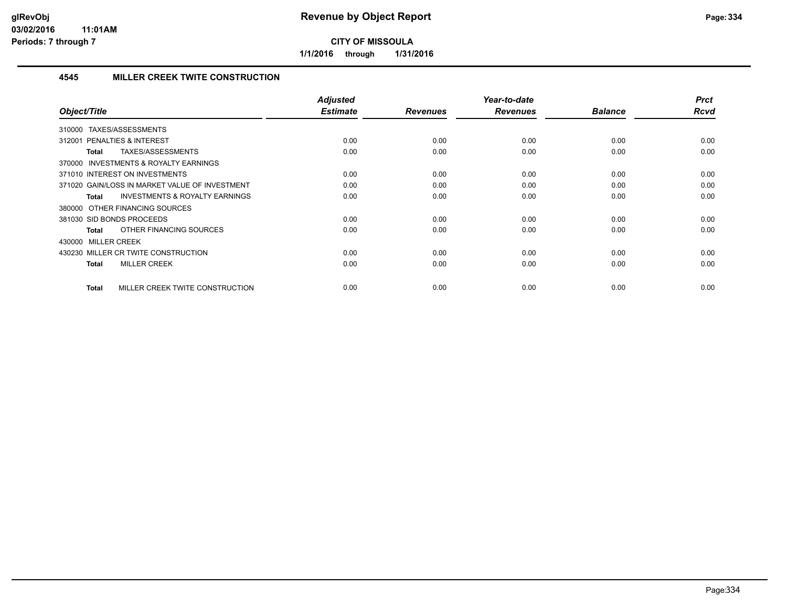**1/1/2016 through 1/31/2016**

#### **4545 MILLER CREEK TWITE CONSTRUCTION**

| Object/Title                                              | <b>Adjusted</b><br><b>Estimate</b> | <b>Revenues</b> | Year-to-date<br><b>Revenues</b> | <b>Balance</b> | <b>Prct</b><br><b>Rcvd</b> |
|-----------------------------------------------------------|------------------------------------|-----------------|---------------------------------|----------------|----------------------------|
| TAXES/ASSESSMENTS<br>310000                               |                                    |                 |                                 |                |                            |
| 312001 PENALTIES & INTEREST                               | 0.00                               | 0.00            | 0.00                            | 0.00           | 0.00                       |
| TAXES/ASSESSMENTS<br><b>Total</b>                         | 0.00                               | 0.00            | 0.00                            | 0.00           | 0.00                       |
| 370000 INVESTMENTS & ROYALTY EARNINGS                     |                                    |                 |                                 |                |                            |
| 371010 INTEREST ON INVESTMENTS                            | 0.00                               | 0.00            | 0.00                            | 0.00           | 0.00                       |
| 371020 GAIN/LOSS IN MARKET VALUE OF INVESTMENT            | 0.00                               | 0.00            | 0.00                            | 0.00           | 0.00                       |
| <b>INVESTMENTS &amp; ROYALTY EARNINGS</b><br><b>Total</b> | 0.00                               | 0.00            | 0.00                            | 0.00           | 0.00                       |
| 380000 OTHER FINANCING SOURCES                            |                                    |                 |                                 |                |                            |
| 381030 SID BONDS PROCEEDS                                 | 0.00                               | 0.00            | 0.00                            | 0.00           | 0.00                       |
| OTHER FINANCING SOURCES<br><b>Total</b>                   | 0.00                               | 0.00            | 0.00                            | 0.00           | 0.00                       |
| 430000 MILLER CREEK                                       |                                    |                 |                                 |                |                            |
| 430230 MILLER CR TWITE CONSTRUCTION                       | 0.00                               | 0.00            | 0.00                            | 0.00           | 0.00                       |
| <b>MILLER CREEK</b><br><b>Total</b>                       | 0.00                               | 0.00            | 0.00                            | 0.00           | 0.00                       |
| MILLER CREEK TWITE CONSTRUCTION<br><b>Total</b>           | 0.00                               | 0.00            | 0.00                            | 0.00           | 0.00                       |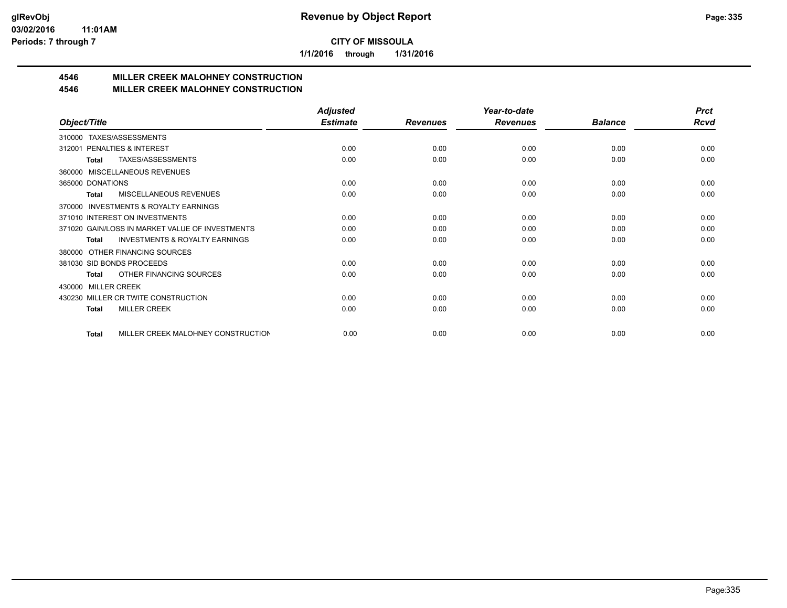**1/1/2016 through 1/31/2016**

# **4546 MILLER CREEK MALOHNEY CONSTRUCTION**

#### **4546 MILLER CREEK MALOHNEY CONSTRUCTION**

|                                                           | <b>Adjusted</b> |                 | Year-to-date    |                | <b>Prct</b> |
|-----------------------------------------------------------|-----------------|-----------------|-----------------|----------------|-------------|
| Object/Title                                              | <b>Estimate</b> | <b>Revenues</b> | <b>Revenues</b> | <b>Balance</b> | <b>Rcvd</b> |
| TAXES/ASSESSMENTS<br>310000                               |                 |                 |                 |                |             |
| PENALTIES & INTEREST<br>312001                            | 0.00            | 0.00            | 0.00            | 0.00           | 0.00        |
| TAXES/ASSESSMENTS<br><b>Total</b>                         | 0.00            | 0.00            | 0.00            | 0.00           | 0.00        |
| MISCELLANEOUS REVENUES<br>360000                          |                 |                 |                 |                |             |
| 365000 DONATIONS                                          | 0.00            | 0.00            | 0.00            | 0.00           | 0.00        |
| MISCELLANEOUS REVENUES<br><b>Total</b>                    | 0.00            | 0.00            | 0.00            | 0.00           | 0.00        |
| <b>INVESTMENTS &amp; ROYALTY EARNINGS</b><br>370000       |                 |                 |                 |                |             |
| 371010 INTEREST ON INVESTMENTS                            | 0.00            | 0.00            | 0.00            | 0.00           | 0.00        |
| 371020 GAIN/LOSS IN MARKET VALUE OF INVESTMENTS           | 0.00            | 0.00            | 0.00            | 0.00           | 0.00        |
| <b>INVESTMENTS &amp; ROYALTY EARNINGS</b><br><b>Total</b> | 0.00            | 0.00            | 0.00            | 0.00           | 0.00        |
| OTHER FINANCING SOURCES<br>380000                         |                 |                 |                 |                |             |
| 381030 SID BONDS PROCEEDS                                 | 0.00            | 0.00            | 0.00            | 0.00           | 0.00        |
| OTHER FINANCING SOURCES<br><b>Total</b>                   | 0.00            | 0.00            | 0.00            | 0.00           | 0.00        |
| <b>MILLER CREEK</b><br>430000                             |                 |                 |                 |                |             |
| 430230 MILLER CR TWITE CONSTRUCTION                       | 0.00            | 0.00            | 0.00            | 0.00           | 0.00        |
| <b>MILLER CREEK</b><br><b>Total</b>                       | 0.00            | 0.00            | 0.00            | 0.00           | 0.00        |
|                                                           |                 |                 |                 |                |             |
| MILLER CREEK MALOHNEY CONSTRUCTION<br><b>Total</b>        | 0.00            | 0.00            | 0.00            | 0.00           | 0.00        |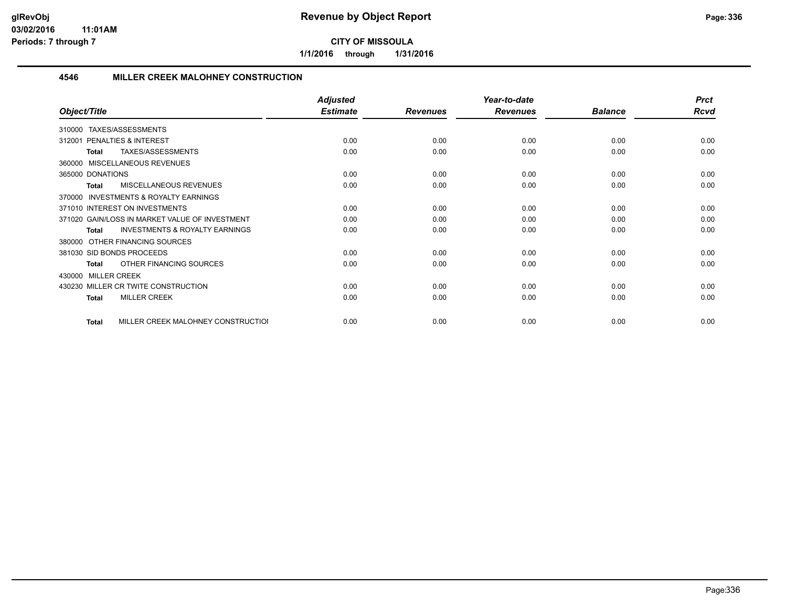**1/1/2016 through 1/31/2016**

#### **4546 MILLER CREEK MALOHNEY CONSTRUCTION**

|                                                    | <b>Adjusted</b> |                 | Year-to-date    |                | <b>Prct</b> |
|----------------------------------------------------|-----------------|-----------------|-----------------|----------------|-------------|
| Object/Title                                       | <b>Estimate</b> | <b>Revenues</b> | <b>Revenues</b> | <b>Balance</b> | <b>Rcvd</b> |
| TAXES/ASSESSMENTS<br>310000                        |                 |                 |                 |                |             |
| <b>PENALTIES &amp; INTEREST</b><br>312001          | 0.00            | 0.00            | 0.00            | 0.00           | 0.00        |
| TAXES/ASSESSMENTS<br><b>Total</b>                  | 0.00            | 0.00            | 0.00            | 0.00           | 0.00        |
| 360000 MISCELLANEOUS REVENUES                      |                 |                 |                 |                |             |
| 365000 DONATIONS                                   | 0.00            | 0.00            | 0.00            | 0.00           | 0.00        |
| <b>MISCELLANEOUS REVENUES</b><br>Total             | 0.00            | 0.00            | 0.00            | 0.00           | 0.00        |
| INVESTMENTS & ROYALTY EARNINGS<br>370000           |                 |                 |                 |                |             |
| 371010 INTEREST ON INVESTMENTS                     | 0.00            | 0.00            | 0.00            | 0.00           | 0.00        |
| 371020 GAIN/LOSS IN MARKET VALUE OF INVESTMENT     | 0.00            | 0.00            | 0.00            | 0.00           | 0.00        |
| <b>INVESTMENTS &amp; ROYALTY EARNINGS</b><br>Total | 0.00            | 0.00            | 0.00            | 0.00           | 0.00        |
| OTHER FINANCING SOURCES<br>380000                  |                 |                 |                 |                |             |
| 381030 SID BONDS PROCEEDS                          | 0.00            | 0.00            | 0.00            | 0.00           | 0.00        |
| OTHER FINANCING SOURCES<br><b>Total</b>            | 0.00            | 0.00            | 0.00            | 0.00           | 0.00        |
| 430000 MILLER CREEK                                |                 |                 |                 |                |             |
| 430230 MILLER CR TWITE CONSTRUCTION                | 0.00            | 0.00            | 0.00            | 0.00           | 0.00        |
| <b>MILLER CREEK</b><br><b>Total</b>                | 0.00            | 0.00            | 0.00            | 0.00           | 0.00        |
| MILLER CREEK MALOHNEY CONSTRUCTIOI<br>Total        | 0.00            | 0.00            | 0.00            | 0.00           | 0.00        |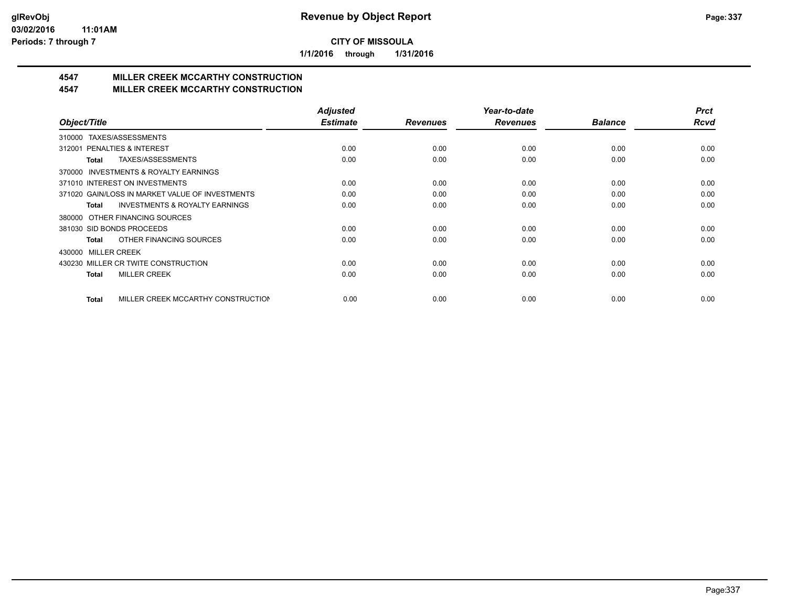**1/1/2016 through 1/31/2016**

# **4547 MILLER CREEK MCCARTHY CONSTRUCTION**

#### **4547 MILLER CREEK MCCARTHY CONSTRUCTION**

|                                                    | <b>Adjusted</b> |                 | Year-to-date    |                | <b>Prct</b> |
|----------------------------------------------------|-----------------|-----------------|-----------------|----------------|-------------|
| Object/Title                                       | <b>Estimate</b> | <b>Revenues</b> | <b>Revenues</b> | <b>Balance</b> | <b>Rcvd</b> |
| TAXES/ASSESSMENTS<br>310000                        |                 |                 |                 |                |             |
| PENALTIES & INTEREST<br>312001                     | 0.00            | 0.00            | 0.00            | 0.00           | 0.00        |
| TAXES/ASSESSMENTS<br>Total                         | 0.00            | 0.00            | 0.00            | 0.00           | 0.00        |
| INVESTMENTS & ROYALTY EARNINGS<br>370000           |                 |                 |                 |                |             |
| 371010 INTEREST ON INVESTMENTS                     | 0.00            | 0.00            | 0.00            | 0.00           | 0.00        |
| 371020 GAIN/LOSS IN MARKET VALUE OF INVESTMENTS    | 0.00            | 0.00            | 0.00            | 0.00           | 0.00        |
| <b>INVESTMENTS &amp; ROYALTY EARNINGS</b><br>Total | 0.00            | 0.00            | 0.00            | 0.00           | 0.00        |
| OTHER FINANCING SOURCES<br>380000                  |                 |                 |                 |                |             |
| 381030 SID BONDS PROCEEDS                          | 0.00            | 0.00            | 0.00            | 0.00           | 0.00        |
| OTHER FINANCING SOURCES<br>Total                   | 0.00            | 0.00            | 0.00            | 0.00           | 0.00        |
| <b>MILLER CREEK</b><br>430000                      |                 |                 |                 |                |             |
| 430230 MILLER CR TWITE CONSTRUCTION                | 0.00            | 0.00            | 0.00            | 0.00           | 0.00        |
| <b>MILLER CREEK</b><br><b>Total</b>                | 0.00            | 0.00            | 0.00            | 0.00           | 0.00        |
|                                                    |                 |                 |                 |                |             |
| MILLER CREEK MCCARTHY CONSTRUCTION<br><b>Total</b> | 0.00            | 0.00            | 0.00            | 0.00           | 0.00        |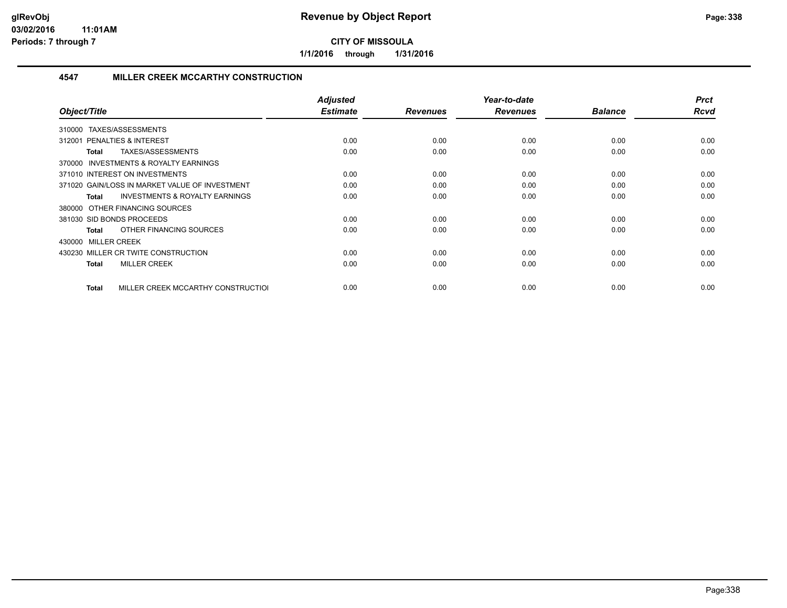**1/1/2016 through 1/31/2016**

#### **4547 MILLER CREEK MCCARTHY CONSTRUCTION**

| Object/Title                                              | <b>Adjusted</b><br><b>Estimate</b> | <b>Revenues</b> | Year-to-date<br><b>Revenues</b> | <b>Balance</b> | <b>Prct</b><br><b>Rcvd</b> |
|-----------------------------------------------------------|------------------------------------|-----------------|---------------------------------|----------------|----------------------------|
| TAXES/ASSESSMENTS<br>310000                               |                                    |                 |                                 |                |                            |
| 312001 PENALTIES & INTEREST                               | 0.00                               | 0.00            | 0.00                            | 0.00           | 0.00                       |
| TAXES/ASSESSMENTS<br><b>Total</b>                         | 0.00                               | 0.00            | 0.00                            | 0.00           | 0.00                       |
| <b>INVESTMENTS &amp; ROYALTY EARNINGS</b><br>370000       |                                    |                 |                                 |                |                            |
| 371010 INTEREST ON INVESTMENTS                            | 0.00                               | 0.00            | 0.00                            | 0.00           | 0.00                       |
| 371020 GAIN/LOSS IN MARKET VALUE OF INVESTMENT            | 0.00                               | 0.00            | 0.00                            | 0.00           | 0.00                       |
| <b>INVESTMENTS &amp; ROYALTY EARNINGS</b><br><b>Total</b> | 0.00                               | 0.00            | 0.00                            | 0.00           | 0.00                       |
| 380000 OTHER FINANCING SOURCES                            |                                    |                 |                                 |                |                            |
| 381030 SID BONDS PROCEEDS                                 | 0.00                               | 0.00            | 0.00                            | 0.00           | 0.00                       |
| OTHER FINANCING SOURCES<br><b>Total</b>                   | 0.00                               | 0.00            | 0.00                            | 0.00           | 0.00                       |
| 430000 MILLER CREEK                                       |                                    |                 |                                 |                |                            |
| 430230 MILLER CR TWITE CONSTRUCTION                       | 0.00                               | 0.00            | 0.00                            | 0.00           | 0.00                       |
| <b>MILLER CREEK</b><br><b>Total</b>                       | 0.00                               | 0.00            | 0.00                            | 0.00           | 0.00                       |
|                                                           |                                    |                 |                                 |                |                            |
| MILLER CREEK MCCARTHY CONSTRUCTIOI<br><b>Total</b>        | 0.00                               | 0.00            | 0.00                            | 0.00           | 0.00                       |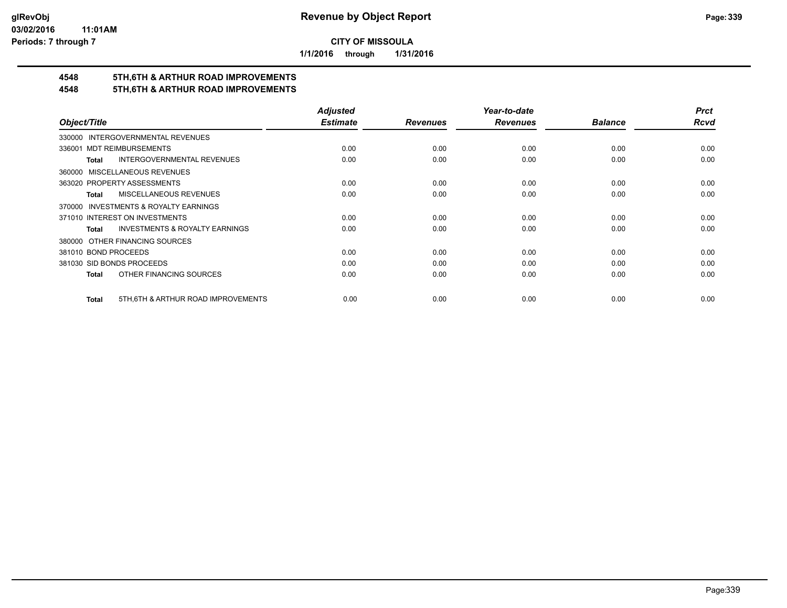**1/1/2016 through 1/31/2016**

# **4548 5TH,6TH & ARTHUR ROAD IMPROVEMENTS**

## **4548 5TH,6TH & ARTHUR ROAD IMPROVEMENTS**

|                                                           | <b>Adjusted</b> |                 | Year-to-date    |                | <b>Prct</b> |
|-----------------------------------------------------------|-----------------|-----------------|-----------------|----------------|-------------|
| Object/Title                                              | <b>Estimate</b> | <b>Revenues</b> | <b>Revenues</b> | <b>Balance</b> | <b>Rcvd</b> |
| 330000 INTERGOVERNMENTAL REVENUES                         |                 |                 |                 |                |             |
| <b>MDT REIMBURSEMENTS</b><br>336001                       | 0.00            | 0.00            | 0.00            | 0.00           | 0.00        |
| <b>INTERGOVERNMENTAL REVENUES</b><br><b>Total</b>         | 0.00            | 0.00            | 0.00            | 0.00           | 0.00        |
| 360000 MISCELLANEOUS REVENUES                             |                 |                 |                 |                |             |
| 363020 PROPERTY ASSESSMENTS                               | 0.00            | 0.00            | 0.00            | 0.00           | 0.00        |
| MISCELLANEOUS REVENUES<br>Total                           | 0.00            | 0.00            | 0.00            | 0.00           | 0.00        |
| 370000 INVESTMENTS & ROYALTY EARNINGS                     |                 |                 |                 |                |             |
| 371010 INTEREST ON INVESTMENTS                            | 0.00            | 0.00            | 0.00            | 0.00           | 0.00        |
| <b>INVESTMENTS &amp; ROYALTY EARNINGS</b><br><b>Total</b> | 0.00            | 0.00            | 0.00            | 0.00           | 0.00        |
| 380000 OTHER FINANCING SOURCES                            |                 |                 |                 |                |             |
| 381010 BOND PROCEEDS                                      | 0.00            | 0.00            | 0.00            | 0.00           | 0.00        |
| 381030 SID BONDS PROCEEDS                                 | 0.00            | 0.00            | 0.00            | 0.00           | 0.00        |
| OTHER FINANCING SOURCES<br>Total                          | 0.00            | 0.00            | 0.00            | 0.00           | 0.00        |
|                                                           |                 |                 |                 |                |             |
| 5TH, 6TH & ARTHUR ROAD IMPROVEMENTS<br><b>Total</b>       | 0.00            | 0.00            | 0.00            | 0.00           | 0.00        |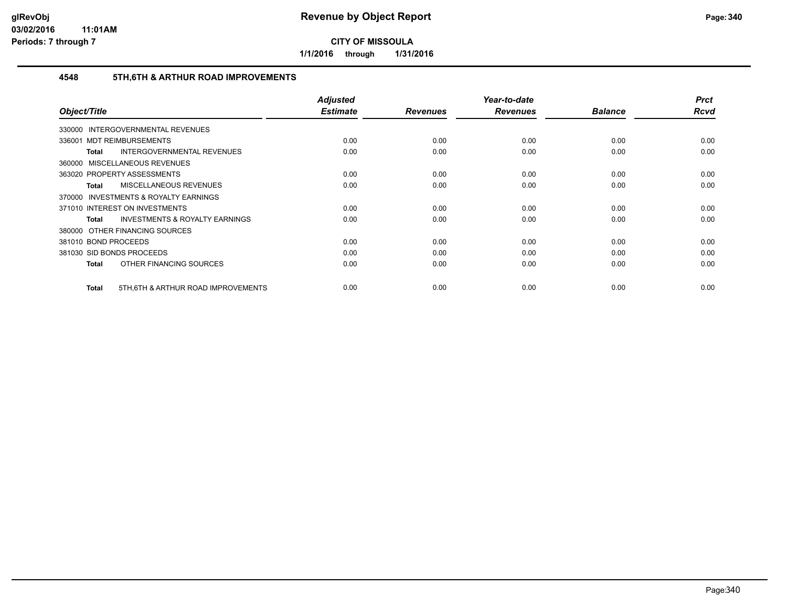**1/1/2016 through 1/31/2016**

#### **4548 5TH,6TH & ARTHUR ROAD IMPROVEMENTS**

| Object/Title                                       | <b>Adjusted</b><br><b>Estimate</b> | <b>Revenues</b> | Year-to-date<br><b>Revenues</b> | <b>Balance</b> | <b>Prct</b><br><b>Rcvd</b> |
|----------------------------------------------------|------------------------------------|-----------------|---------------------------------|----------------|----------------------------|
| <b>INTERGOVERNMENTAL REVENUES</b><br>330000        |                                    |                 |                                 |                |                            |
| 336001 MDT REIMBURSEMENTS                          | 0.00                               | 0.00            | 0.00                            | 0.00           | 0.00                       |
| <b>INTERGOVERNMENTAL REVENUES</b><br>Total         | 0.00                               | 0.00            | 0.00                            | 0.00           | 0.00                       |
| 360000 MISCELLANEOUS REVENUES                      |                                    |                 |                                 |                |                            |
| 363020 PROPERTY ASSESSMENTS                        | 0.00                               | 0.00            | 0.00                            | 0.00           | 0.00                       |
| <b>MISCELLANEOUS REVENUES</b><br>Total             | 0.00                               | 0.00            | 0.00                            | 0.00           | 0.00                       |
| 370000 INVESTMENTS & ROYALTY EARNINGS              |                                    |                 |                                 |                |                            |
| 371010 INTEREST ON INVESTMENTS                     | 0.00                               | 0.00            | 0.00                            | 0.00           | 0.00                       |
| <b>INVESTMENTS &amp; ROYALTY EARNINGS</b><br>Total | 0.00                               | 0.00            | 0.00                            | 0.00           | 0.00                       |
| 380000 OTHER FINANCING SOURCES                     |                                    |                 |                                 |                |                            |
| 381010 BOND PROCEEDS                               | 0.00                               | 0.00            | 0.00                            | 0.00           | 0.00                       |
| 381030 SID BONDS PROCEEDS                          | 0.00                               | 0.00            | 0.00                            | 0.00           | 0.00                       |
| OTHER FINANCING SOURCES<br>Total                   | 0.00                               | 0.00            | 0.00                            | 0.00           | 0.00                       |
| 5TH, 6TH & ARTHUR ROAD IMPROVEMENTS<br>Total       | 0.00                               | 0.00            | 0.00                            | 0.00           | 0.00                       |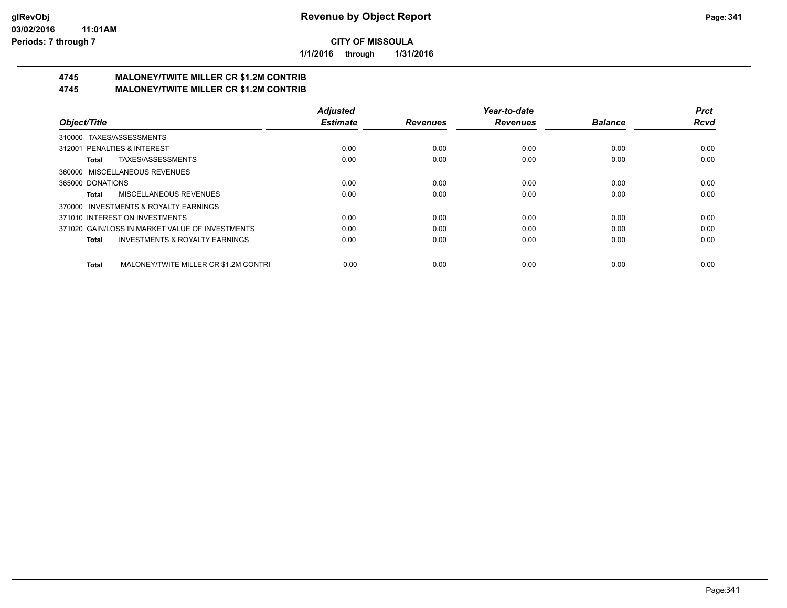**1/1/2016 through 1/31/2016**

# **4745 MALONEY/TWITE MILLER CR \$1.2M CONTRIB**

**4745 MALONEY/TWITE MILLER CR \$1.2M CONTRIB**

|                                                       | <b>Adjusted</b> |                 | Year-to-date    |                | <b>Prct</b> |
|-------------------------------------------------------|-----------------|-----------------|-----------------|----------------|-------------|
| Object/Title                                          | <b>Estimate</b> | <b>Revenues</b> | <b>Revenues</b> | <b>Balance</b> | <b>Rcvd</b> |
| 310000 TAXES/ASSESSMENTS                              |                 |                 |                 |                |             |
| 312001 PENALTIES & INTEREST                           | 0.00            | 0.00            | 0.00            | 0.00           | 0.00        |
| TAXES/ASSESSMENTS<br>Total                            | 0.00            | 0.00            | 0.00            | 0.00           | 0.00        |
| 360000 MISCELLANEOUS REVENUES                         |                 |                 |                 |                |             |
| 365000 DONATIONS                                      | 0.00            | 0.00            | 0.00            | 0.00           | 0.00        |
| MISCELLANEOUS REVENUES<br>Total                       | 0.00            | 0.00            | 0.00            | 0.00           | 0.00        |
| 370000 INVESTMENTS & ROYALTY EARNINGS                 |                 |                 |                 |                |             |
| 371010 INTEREST ON INVESTMENTS                        | 0.00            | 0.00            | 0.00            | 0.00           | 0.00        |
| 371020 GAIN/LOSS IN MARKET VALUE OF INVESTMENTS       | 0.00            | 0.00            | 0.00            | 0.00           | 0.00        |
| <b>INVESTMENTS &amp; ROYALTY EARNINGS</b><br>Total    | 0.00            | 0.00            | 0.00            | 0.00           | 0.00        |
| MALONEY/TWITE MILLER CR \$1.2M CONTRI<br><b>Total</b> | 0.00            | 0.00            | 0.00            | 0.00           | 0.00        |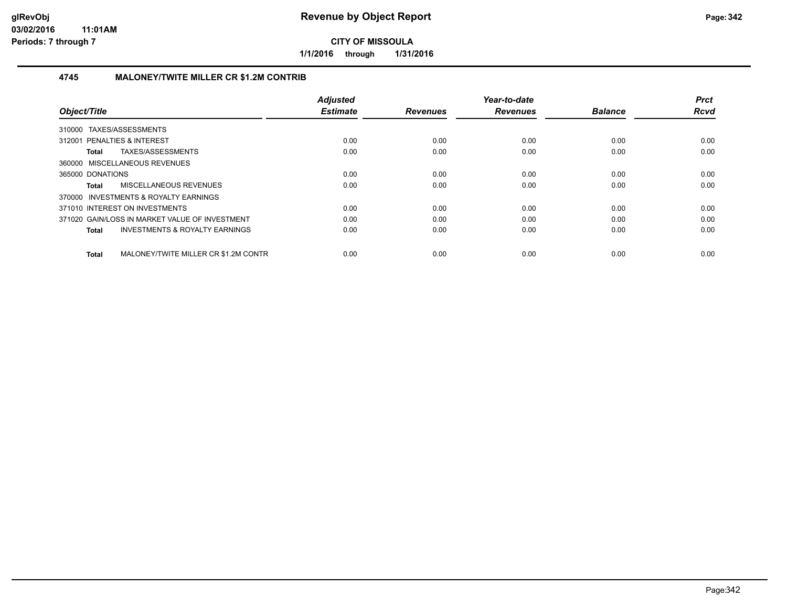**1/1/2016 through 1/31/2016**

#### **4745 MALONEY/TWITE MILLER CR \$1.2M CONTRIB**

| Object/Title                                              | <b>Adjusted</b><br><b>Estimate</b> | <b>Revenues</b> | Year-to-date<br><b>Revenues</b> | <b>Balance</b> | <b>Prct</b><br><b>Rcvd</b> |
|-----------------------------------------------------------|------------------------------------|-----------------|---------------------------------|----------------|----------------------------|
| 310000 TAXES/ASSESSMENTS                                  |                                    |                 |                                 |                |                            |
| 312001 PENALTIES & INTEREST                               | 0.00                               | 0.00            | 0.00                            | 0.00           | 0.00                       |
| TAXES/ASSESSMENTS<br>Total                                | 0.00                               | 0.00            | 0.00                            | 0.00           | 0.00                       |
| 360000 MISCELLANEOUS REVENUES                             |                                    |                 |                                 |                |                            |
| 365000 DONATIONS                                          | 0.00                               | 0.00            | 0.00                            | 0.00           | 0.00                       |
| MISCELLANEOUS REVENUES<br>Total                           | 0.00                               | 0.00            | 0.00                            | 0.00           | 0.00                       |
| 370000 INVESTMENTS & ROYALTY EARNINGS                     |                                    |                 |                                 |                |                            |
| 371010 INTEREST ON INVESTMENTS                            | 0.00                               | 0.00            | 0.00                            | 0.00           | 0.00                       |
| 371020 GAIN/LOSS IN MARKET VALUE OF INVESTMENT            | 0.00                               | 0.00            | 0.00                            | 0.00           | 0.00                       |
| <b>INVESTMENTS &amp; ROYALTY EARNINGS</b><br><b>Total</b> | 0.00                               | 0.00            | 0.00                            | 0.00           | 0.00                       |
| MALONEY/TWITE MILLER CR \$1.2M CONTR<br>Total             | 0.00                               | 0.00            | 0.00                            | 0.00           | 0.00                       |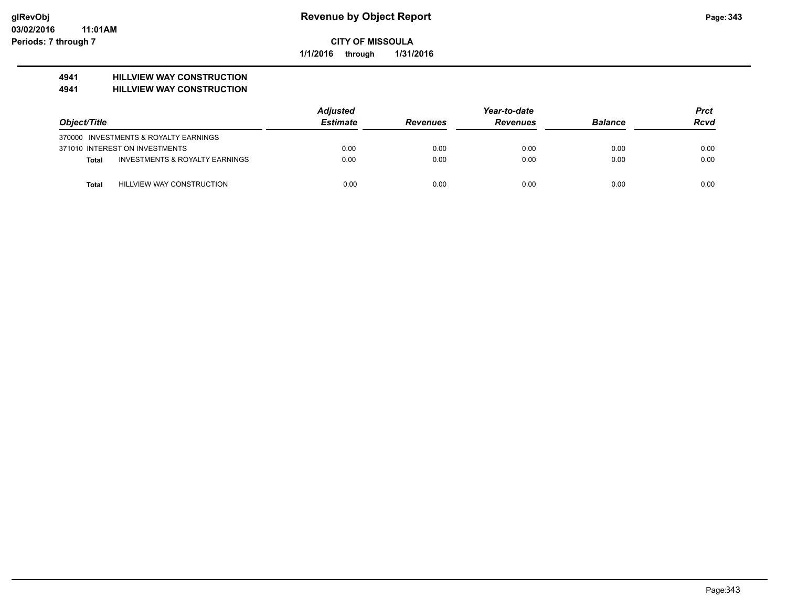**1/1/2016 through 1/31/2016**

# **4941 HILLVIEW WAY CONSTRUCTION**

#### **4941 HILLVIEW WAY CONSTRUCTION**

|              |                                       | <b>Adjusted</b> |                 |                 | <b>Prct</b>    |             |
|--------------|---------------------------------------|-----------------|-----------------|-----------------|----------------|-------------|
| Object/Title |                                       | <b>Estimate</b> | <b>Revenues</b> | <b>Revenues</b> | <b>Balance</b> | <b>Rcvd</b> |
|              | 370000 INVESTMENTS & ROYALTY EARNINGS |                 |                 |                 |                |             |
|              | 371010 INTEREST ON INVESTMENTS        | 0.00            | 0.00            | 0.00            | 0.00           | 0.00        |
| <b>Total</b> | INVESTMENTS & ROYALTY EARNINGS        | 0.00            | 0.00            | 0.00            | 0.00           | 0.00        |
| <b>Total</b> | HILLVIEW WAY CONSTRUCTION             | 0.00            | 0.00            | 0.00            | 0.00           | 0.00        |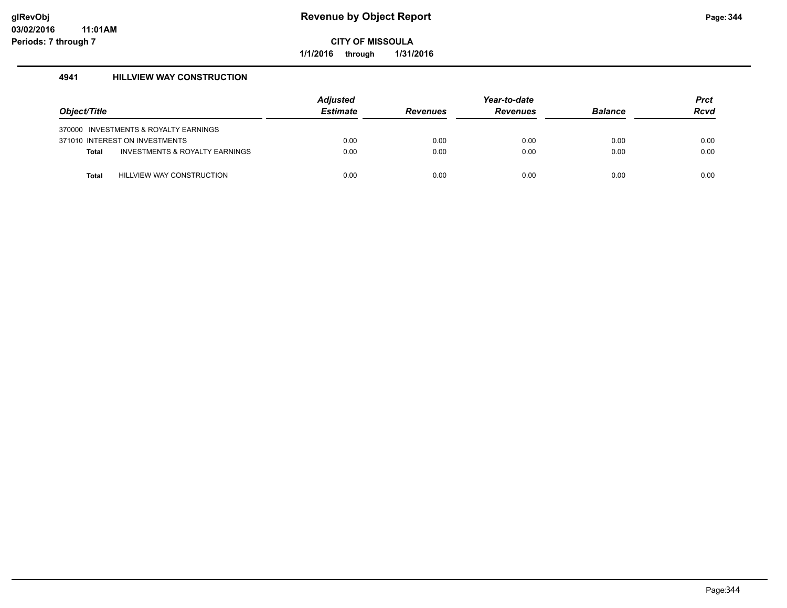#### **glRevObj Revenue by Object Report Page:344**

**CITY OF MISSOULA**

**1/1/2016 through 1/31/2016**

#### **4941 HILLVIEW WAY CONSTRUCTION**

|              |                                       | <b>Adjusted</b> |                 | Year-to-date    |                | <b>Prct</b> |
|--------------|---------------------------------------|-----------------|-----------------|-----------------|----------------|-------------|
| Object/Title |                                       | <b>Estimate</b> | <b>Revenues</b> | <b>Revenues</b> | <b>Balance</b> | Rcvd        |
|              | 370000 INVESTMENTS & ROYALTY EARNINGS |                 |                 |                 |                |             |
|              | 371010 INTEREST ON INVESTMENTS        | 0.00            | 0.00            | 0.00            | 0.00           | 0.00        |
| <b>Total</b> | INVESTMENTS & ROYALTY EARNINGS        | 0.00            | 0.00            | 0.00            | 0.00           | 0.00        |
|              |                                       |                 |                 |                 |                |             |
| Total        | HILLVIEW WAY CONSTRUCTION             | 0.00            | 0.00            | 0.00            | 0.00           | 0.00        |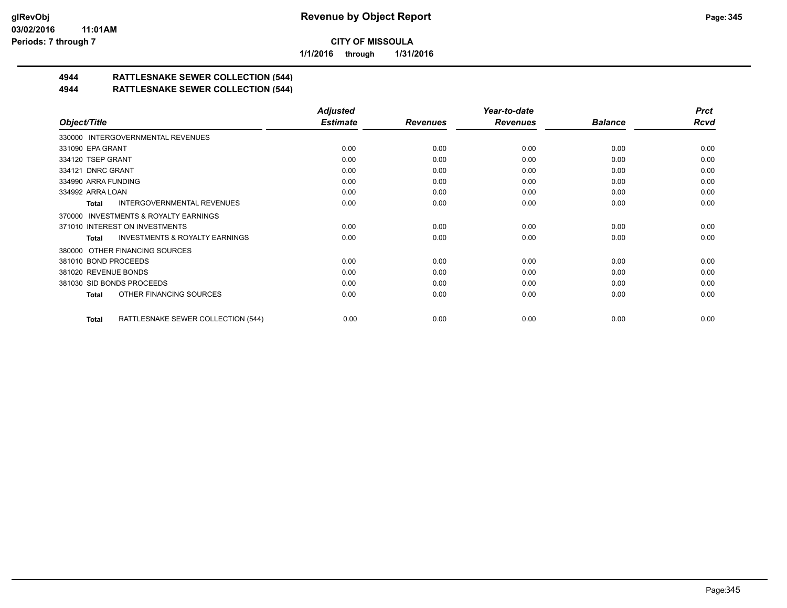**1/1/2016 through 1/31/2016**

# **4944 RATTLESNAKE SEWER COLLECTION (544)**

#### **4944 RATTLESNAKE SEWER COLLECTION (544)**

|                                                           | <b>Adjusted</b> |                 | Year-to-date    |                | <b>Prct</b> |
|-----------------------------------------------------------|-----------------|-----------------|-----------------|----------------|-------------|
| Object/Title                                              | <b>Estimate</b> | <b>Revenues</b> | <b>Revenues</b> | <b>Balance</b> | <b>Rcvd</b> |
| 330000 INTERGOVERNMENTAL REVENUES                         |                 |                 |                 |                |             |
| 331090 EPA GRANT                                          | 0.00            | 0.00            | 0.00            | 0.00           | 0.00        |
| 334120 TSEP GRANT                                         | 0.00            | 0.00            | 0.00            | 0.00           | 0.00        |
| 334121 DNRC GRANT                                         | 0.00            | 0.00            | 0.00            | 0.00           | 0.00        |
| 334990 ARRA FUNDING                                       | 0.00            | 0.00            | 0.00            | 0.00           | 0.00        |
| 334992 ARRA LOAN                                          | 0.00            | 0.00            | 0.00            | 0.00           | 0.00        |
| <b>INTERGOVERNMENTAL REVENUES</b><br><b>Total</b>         | 0.00            | 0.00            | 0.00            | 0.00           | 0.00        |
| <b>INVESTMENTS &amp; ROYALTY EARNINGS</b><br>370000       |                 |                 |                 |                |             |
| 371010 INTEREST ON INVESTMENTS                            | 0.00            | 0.00            | 0.00            | 0.00           | 0.00        |
| <b>INVESTMENTS &amp; ROYALTY EARNINGS</b><br><b>Total</b> | 0.00            | 0.00            | 0.00            | 0.00           | 0.00        |
| OTHER FINANCING SOURCES<br>380000                         |                 |                 |                 |                |             |
| 381010 BOND PROCEEDS                                      | 0.00            | 0.00            | 0.00            | 0.00           | 0.00        |
| 381020 REVENUE BONDS                                      | 0.00            | 0.00            | 0.00            | 0.00           | 0.00        |
| 381030 SID BONDS PROCEEDS                                 | 0.00            | 0.00            | 0.00            | 0.00           | 0.00        |
| OTHER FINANCING SOURCES<br><b>Total</b>                   | 0.00            | 0.00            | 0.00            | 0.00           | 0.00        |
| RATTLESNAKE SEWER COLLECTION (544)<br>Total               | 0.00            | 0.00            | 0.00            | 0.00           | 0.00        |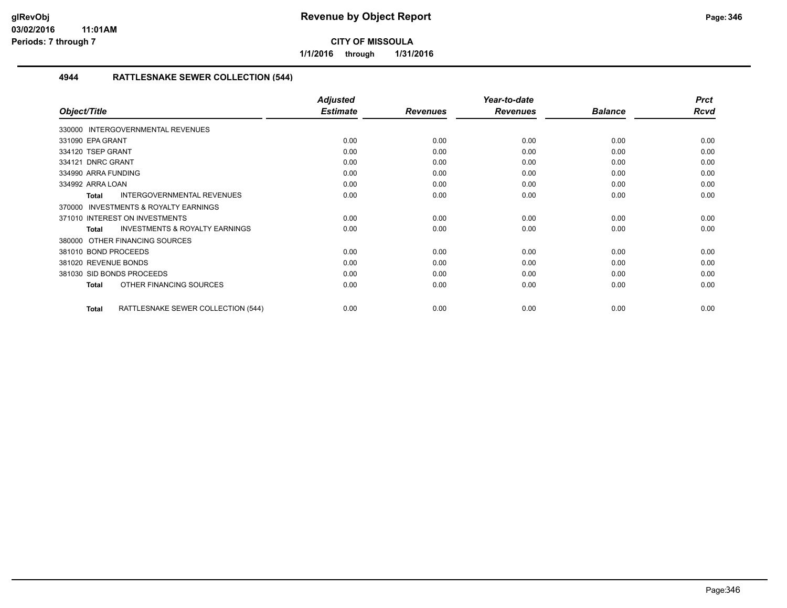**1/1/2016 through 1/31/2016**

#### **4944 RATTLESNAKE SEWER COLLECTION (544)**

|                                                     | <b>Adjusted</b> |                 | Year-to-date    |                | <b>Prct</b> |
|-----------------------------------------------------|-----------------|-----------------|-----------------|----------------|-------------|
| Object/Title                                        | <b>Estimate</b> | <b>Revenues</b> | <b>Revenues</b> | <b>Balance</b> | <b>Rcvd</b> |
| 330000 INTERGOVERNMENTAL REVENUES                   |                 |                 |                 |                |             |
| 331090 EPA GRANT                                    | 0.00            | 0.00            | 0.00            | 0.00           | 0.00        |
| 334120 TSEP GRANT                                   | 0.00            | 0.00            | 0.00            | 0.00           | 0.00        |
| 334121 DNRC GRANT                                   | 0.00            | 0.00            | 0.00            | 0.00           | 0.00        |
| 334990 ARRA FUNDING                                 | 0.00            | 0.00            | 0.00            | 0.00           | 0.00        |
| 334992 ARRA LOAN                                    | 0.00            | 0.00            | 0.00            | 0.00           | 0.00        |
| <b>INTERGOVERNMENTAL REVENUES</b><br><b>Total</b>   | 0.00            | 0.00            | 0.00            | 0.00           | 0.00        |
| <b>INVESTMENTS &amp; ROYALTY EARNINGS</b><br>370000 |                 |                 |                 |                |             |
| 371010 INTEREST ON INVESTMENTS                      | 0.00            | 0.00            | 0.00            | 0.00           | 0.00        |
| <b>INVESTMENTS &amp; ROYALTY EARNINGS</b><br>Total  | 0.00            | 0.00            | 0.00            | 0.00           | 0.00        |
| 380000 OTHER FINANCING SOURCES                      |                 |                 |                 |                |             |
| 381010 BOND PROCEEDS                                | 0.00            | 0.00            | 0.00            | 0.00           | 0.00        |
| 381020 REVENUE BONDS                                | 0.00            | 0.00            | 0.00            | 0.00           | 0.00        |
| 381030 SID BONDS PROCEEDS                           | 0.00            | 0.00            | 0.00            | 0.00           | 0.00        |
| OTHER FINANCING SOURCES<br><b>Total</b>             | 0.00            | 0.00            | 0.00            | 0.00           | 0.00        |
| RATTLESNAKE SEWER COLLECTION (544)<br><b>Total</b>  | 0.00            | 0.00            | 0.00            | 0.00           | 0.00        |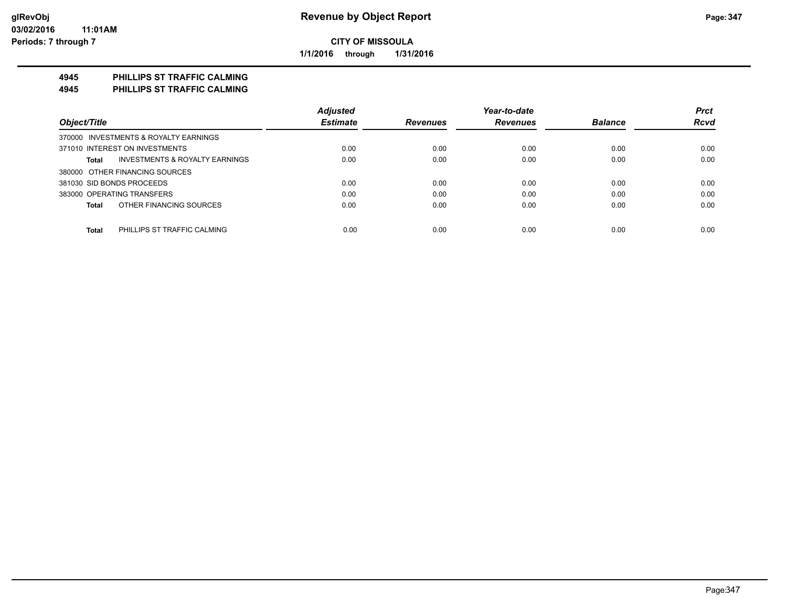**1/1/2016 through 1/31/2016**

#### **4945 PHILLIPS ST TRAFFIC CALMING**

**4945 PHILLIPS ST TRAFFIC CALMING**

|                                                    | <b>Adjusted</b> |                 | Year-to-date    |                | <b>Prct</b> |
|----------------------------------------------------|-----------------|-----------------|-----------------|----------------|-------------|
| Object/Title                                       | <b>Estimate</b> | <b>Revenues</b> | <b>Revenues</b> | <b>Balance</b> | <b>Rcvd</b> |
| 370000 INVESTMENTS & ROYALTY EARNINGS              |                 |                 |                 |                |             |
| 371010 INTEREST ON INVESTMENTS                     | 0.00            | 0.00            | 0.00            | 0.00           | 0.00        |
| <b>INVESTMENTS &amp; ROYALTY EARNINGS</b><br>Total | 0.00            | 0.00            | 0.00            | 0.00           | 0.00        |
| 380000 OTHER FINANCING SOURCES                     |                 |                 |                 |                |             |
| 381030 SID BONDS PROCEEDS                          | 0.00            | 0.00            | 0.00            | 0.00           | 0.00        |
| 383000 OPERATING TRANSFERS                         | 0.00            | 0.00            | 0.00            | 0.00           | 0.00        |
| OTHER FINANCING SOURCES<br><b>Total</b>            | 0.00            | 0.00            | 0.00            | 0.00           | 0.00        |
|                                                    |                 |                 |                 |                |             |
| <b>Total</b><br>PHILLIPS ST TRAFFIC CALMING        | 0.00            | 0.00            | 0.00            | 0.00           | 0.00        |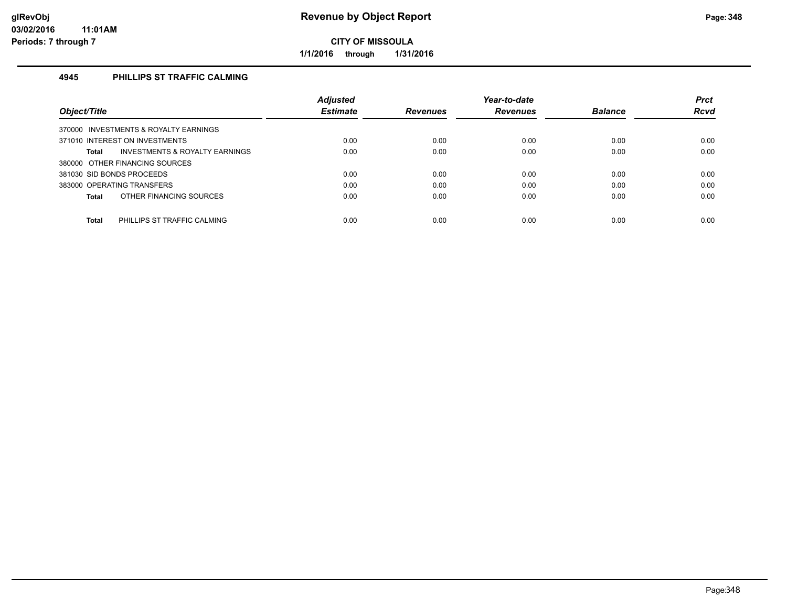**1/1/2016 through 1/31/2016**

#### **4945 PHILLIPS ST TRAFFIC CALMING**

|                                             | <b>Adjusted</b> |                 | Year-to-date    |                | <b>Prct</b> |
|---------------------------------------------|-----------------|-----------------|-----------------|----------------|-------------|
| Object/Title                                | <b>Estimate</b> | <b>Revenues</b> | <b>Revenues</b> | <b>Balance</b> | <b>Rcvd</b> |
| 370000 INVESTMENTS & ROYALTY EARNINGS       |                 |                 |                 |                |             |
| 371010 INTEREST ON INVESTMENTS              | 0.00            | 0.00            | 0.00            | 0.00           | 0.00        |
| INVESTMENTS & ROYALTY EARNINGS<br>Total     | 0.00            | 0.00            | 0.00            | 0.00           | 0.00        |
| 380000 OTHER FINANCING SOURCES              |                 |                 |                 |                |             |
| 381030 SID BONDS PROCEEDS                   | 0.00            | 0.00            | 0.00            | 0.00           | 0.00        |
| 383000 OPERATING TRANSFERS                  | 0.00            | 0.00            | 0.00            | 0.00           | 0.00        |
| OTHER FINANCING SOURCES<br>Total            | 0.00            | 0.00            | 0.00            | 0.00           | 0.00        |
|                                             |                 |                 |                 |                |             |
| <b>Total</b><br>PHILLIPS ST TRAFFIC CALMING | 0.00            | 0.00            | 0.00            | 0.00           | 0.00        |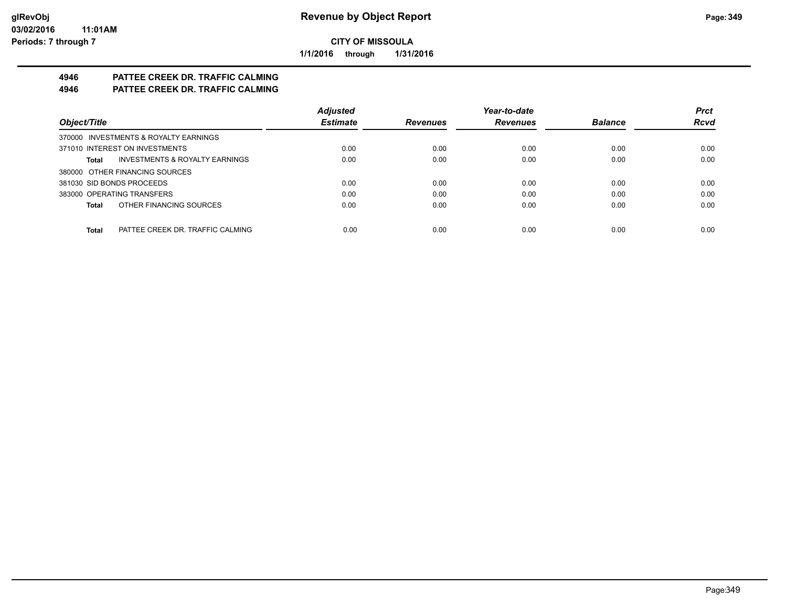**1/1/2016 through 1/31/2016**

# **4946 PATTEE CREEK DR. TRAFFIC CALMING**

**4946 PATTEE CREEK DR. TRAFFIC CALMING**

|                                                  | <b>Adjusted</b> |                 | Year-to-date    |                | <b>Prct</b> |
|--------------------------------------------------|-----------------|-----------------|-----------------|----------------|-------------|
| Object/Title                                     | <b>Estimate</b> | <b>Revenues</b> | <b>Revenues</b> | <b>Balance</b> | <b>Rcvd</b> |
| 370000 INVESTMENTS & ROYALTY EARNINGS            |                 |                 |                 |                |             |
| 371010 INTEREST ON INVESTMENTS                   | 0.00            | 0.00            | 0.00            | 0.00           | 0.00        |
| INVESTMENTS & ROYALTY EARNINGS<br>Total          | 0.00            | 0.00            | 0.00            | 0.00           | 0.00        |
| 380000 OTHER FINANCING SOURCES                   |                 |                 |                 |                |             |
| 381030 SID BONDS PROCEEDS                        | 0.00            | 0.00            | 0.00            | 0.00           | 0.00        |
| 383000 OPERATING TRANSFERS                       | 0.00            | 0.00            | 0.00            | 0.00           | 0.00        |
| OTHER FINANCING SOURCES<br>Total                 | 0.00            | 0.00            | 0.00            | 0.00           | 0.00        |
|                                                  |                 |                 |                 |                |             |
| PATTEE CREEK DR. TRAFFIC CALMING<br><b>Total</b> | 0.00            | 0.00            | 0.00            | 0.00           | 0.00        |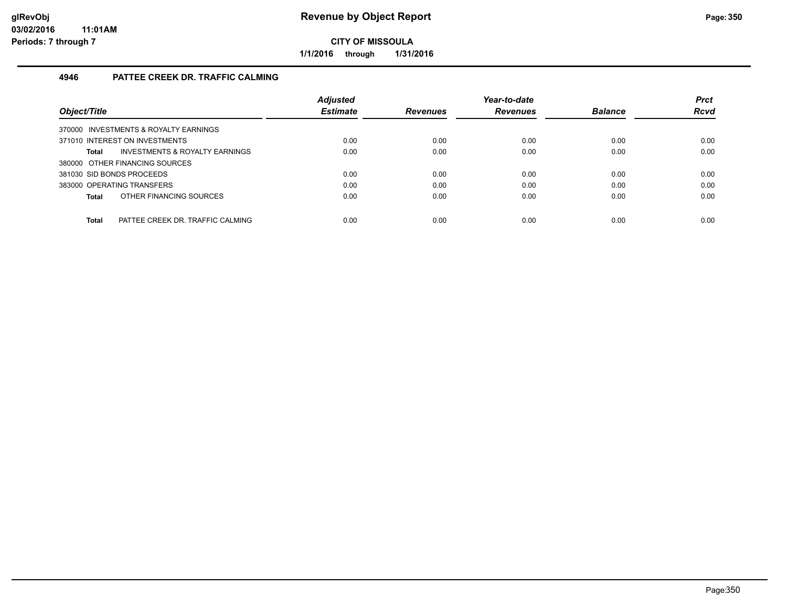**1/1/2016 through 1/31/2016**

#### **4946 PATTEE CREEK DR. TRAFFIC CALMING**

| Object/Title                                     | <b>Adjusted</b><br><b>Estimate</b> | <b>Revenues</b> | Year-to-date<br><b>Revenues</b> | <b>Balance</b> | <b>Prct</b><br><b>Rcvd</b> |
|--------------------------------------------------|------------------------------------|-----------------|---------------------------------|----------------|----------------------------|
|                                                  |                                    |                 |                                 |                |                            |
| 370000 INVESTMENTS & ROYALTY EARNINGS            |                                    |                 |                                 |                |                            |
| 371010 INTEREST ON INVESTMENTS                   | 0.00                               | 0.00            | 0.00                            | 0.00           | 0.00                       |
| INVESTMENTS & ROYALTY EARNINGS<br>Total          | 0.00                               | 0.00            | 0.00                            | 0.00           | 0.00                       |
| 380000 OTHER FINANCING SOURCES                   |                                    |                 |                                 |                |                            |
| 381030 SID BONDS PROCEEDS                        | 0.00                               | 0.00            | 0.00                            | 0.00           | 0.00                       |
| 383000 OPERATING TRANSFERS                       | 0.00                               | 0.00            | 0.00                            | 0.00           | 0.00                       |
| OTHER FINANCING SOURCES<br>Total                 | 0.00                               | 0.00            | 0.00                            | 0.00           | 0.00                       |
|                                                  |                                    |                 |                                 |                |                            |
| <b>Total</b><br>PATTEE CREEK DR. TRAFFIC CALMING | 0.00                               | 0.00            | 0.00                            | 0.00           | 0.00                       |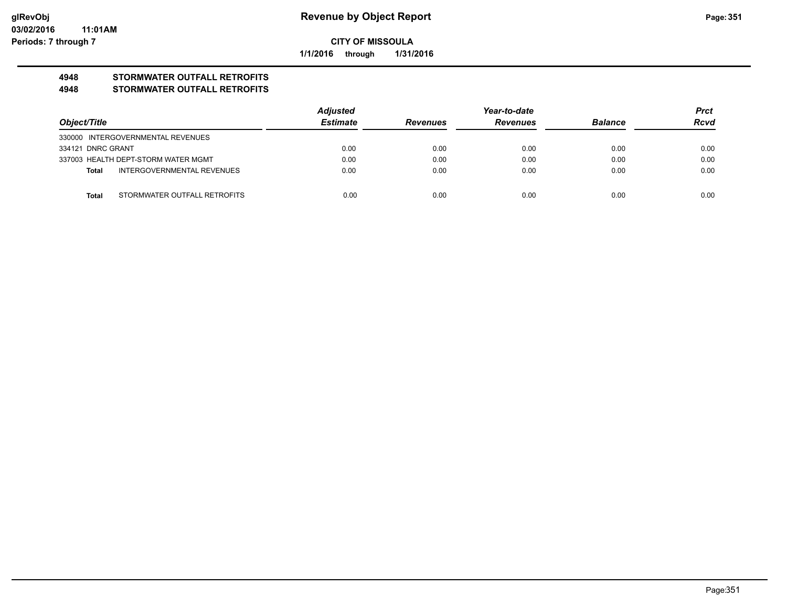**1/1/2016 through 1/31/2016**

# **4948 STORMWATER OUTFALL RETROFITS**

#### **4948 STORMWATER OUTFALL RETROFITS**

|                   |                                     | Adjusted        | Year-to-date    |                |             | <b>Prct</b> |
|-------------------|-------------------------------------|-----------------|-----------------|----------------|-------------|-------------|
| Object/Title      | <b>Estimate</b>                     | <b>Revenues</b> | <b>Revenues</b> | <b>Balance</b> | <b>Rcvd</b> |             |
|                   | 330000 INTERGOVERNMENTAL REVENUES   |                 |                 |                |             |             |
| 334121 DNRC GRANT |                                     | 0.00            | 0.00            | 0.00           | 0.00        | 0.00        |
|                   | 337003 HEALTH DEPT-STORM WATER MGMT | 0.00            | 0.00            | 0.00           | 0.00        | 0.00        |
| Total             | INTERGOVERNMENTAL REVENUES          | 0.00            | 0.00            | 0.00           | 0.00        | 0.00        |
|                   |                                     |                 |                 |                |             |             |
| Total             | STORMWATER OUTFALL RETROFITS        | 0.00            | 0.00            | 0.00           | 0.00        | 0.00        |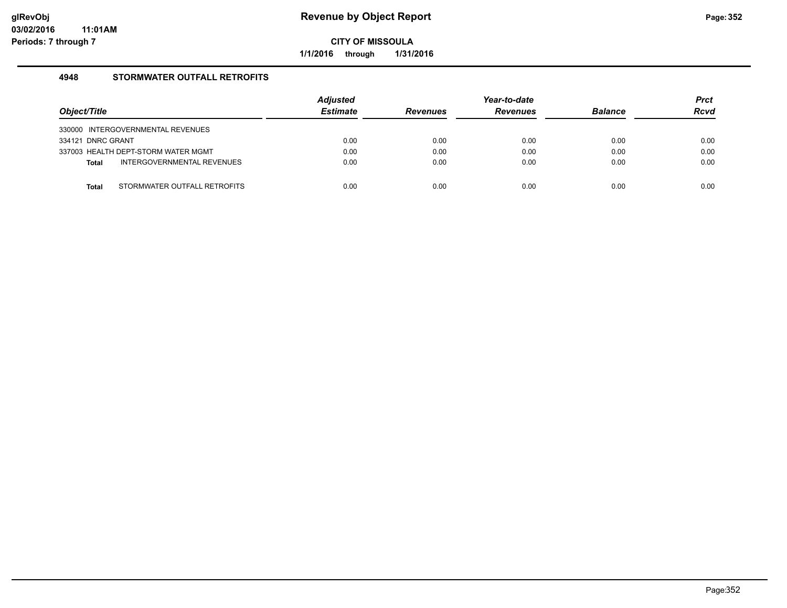**1/1/2016 through 1/31/2016**

#### **4948 STORMWATER OUTFALL RETROFITS**

| Object/Title                               | <b>Adjusted</b><br><b>Estimate</b> | <b>Revenues</b> | Year-to-date<br><b>Revenues</b> | <b>Balance</b> | <b>Prct</b><br><b>Rcvd</b> |
|--------------------------------------------|------------------------------------|-----------------|---------------------------------|----------------|----------------------------|
| 330000 INTERGOVERNMENTAL REVENUES          |                                    |                 |                                 |                |                            |
| 334121 DNRC GRANT                          | 0.00                               | 0.00            | 0.00                            | 0.00           | 0.00                       |
| 337003 HEALTH DEPT-STORM WATER MGMT        | 0.00                               | 0.00            | 0.00                            | 0.00           | 0.00                       |
| INTERGOVERNMENTAL REVENUES<br><b>Total</b> | 0.00                               | 0.00            | 0.00                            | 0.00           | 0.00                       |
|                                            |                                    |                 |                                 |                |                            |
| STORMWATER OUTFALL RETROFITS<br>Total      | 0.00                               | 0.00            | 0.00                            | 0.00           | 0.00                       |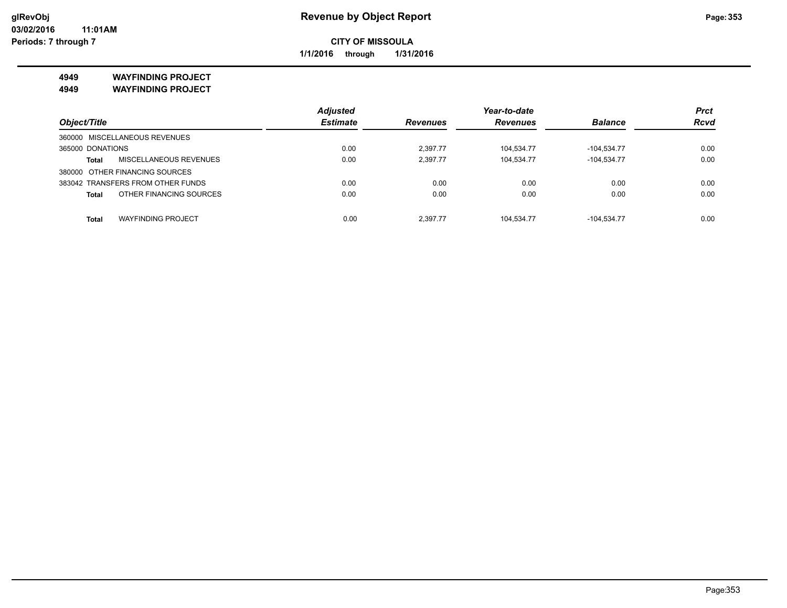**1/1/2016 through 1/31/2016**

**4949 WAYFINDING PROJECT**

**4949 WAYFINDING PROJECT**

|                                               | <b>Adjusted</b> |                 | Year-to-date    |                | <b>Prct</b> |
|-----------------------------------------------|-----------------|-----------------|-----------------|----------------|-------------|
| Object/Title                                  | <b>Estimate</b> | <b>Revenues</b> | <b>Revenues</b> | <b>Balance</b> | <b>Rcvd</b> |
| 360000 MISCELLANEOUS REVENUES                 |                 |                 |                 |                |             |
| 365000 DONATIONS                              | 0.00            | 2.397.77        | 104,534.77      | $-104.534.77$  | 0.00        |
| <b>MISCELLANEOUS REVENUES</b><br><b>Total</b> | 0.00            | 2.397.77        | 104.534.77      | $-104.534.77$  | 0.00        |
| 380000 OTHER FINANCING SOURCES                |                 |                 |                 |                |             |
| 383042 TRANSFERS FROM OTHER FUNDS             | 0.00            | 0.00            | 0.00            | 0.00           | 0.00        |
| OTHER FINANCING SOURCES<br><b>Total</b>       | 0.00            | 0.00            | 0.00            | 0.00           | 0.00        |
|                                               |                 |                 |                 |                |             |
| <b>WAYFINDING PROJECT</b><br><b>Total</b>     | 0.00            | 2.397.77        | 104.534.77      | $-104.534.77$  | 0.00        |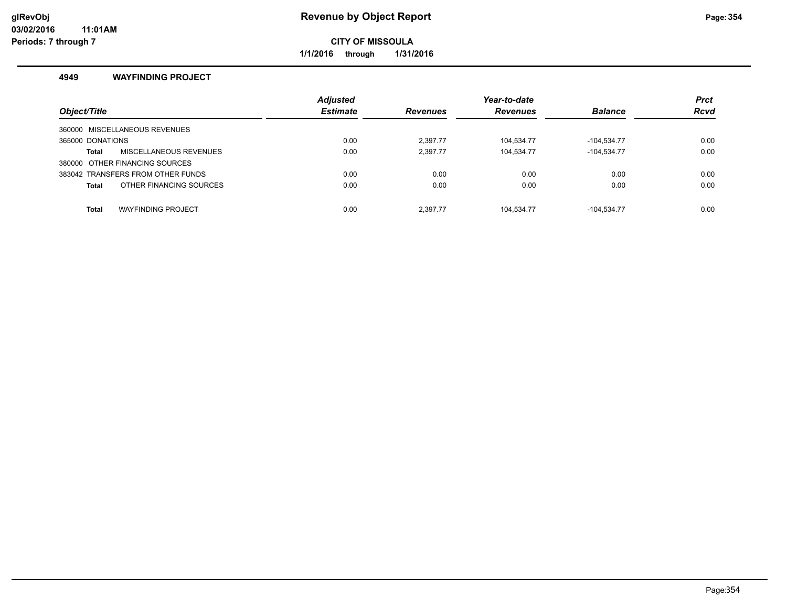#### **glRevObj Revenue by Object Report Page:354**

**CITY OF MISSOULA**

**1/1/2016 through 1/31/2016**

#### **4949 WAYFINDING PROJECT**

| Object/Title                              | <b>Adjusted</b><br><b>Estimate</b> | <b>Revenues</b> | Year-to-date<br><b>Revenues</b> | <b>Balance</b> | <b>Prct</b><br><b>Rcvd</b> |
|-------------------------------------------|------------------------------------|-----------------|---------------------------------|----------------|----------------------------|
| 360000 MISCELLANEOUS REVENUES             |                                    |                 |                                 |                |                            |
| 365000 DONATIONS                          | 0.00                               | 2.397.77        | 104.534.77                      | $-104.534.77$  | 0.00                       |
| <b>MISCELLANEOUS REVENUES</b><br>Total    | 0.00                               | 2,397.77        | 104,534.77                      | $-104,534.77$  | 0.00                       |
| 380000 OTHER FINANCING SOURCES            |                                    |                 |                                 |                |                            |
| 383042 TRANSFERS FROM OTHER FUNDS         | 0.00                               | 0.00            | 0.00                            | 0.00           | 0.00                       |
| OTHER FINANCING SOURCES<br>Total          | 0.00                               | 0.00            | 0.00                            | 0.00           | 0.00                       |
| <b>WAYFINDING PROJECT</b><br><b>Total</b> | 0.00                               | 2.397.77        | 104.534.77                      | $-104.534.77$  | 0.00                       |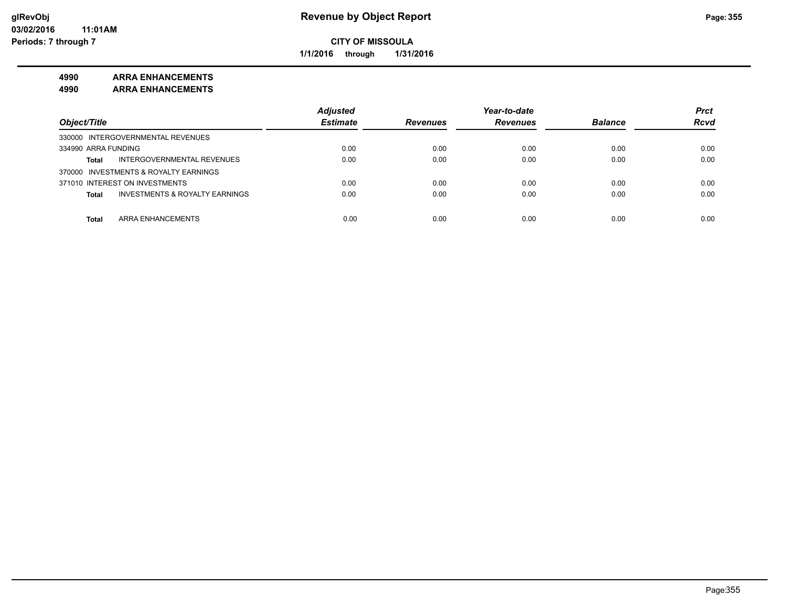**1/1/2016 through 1/31/2016**

#### **4990 ARRA ENHANCEMENTS**

**4990 ARRA ENHANCEMENTS**

|                                                | <b>Adjusted</b> |                 | Year-to-date    |                | <b>Prct</b> |
|------------------------------------------------|-----------------|-----------------|-----------------|----------------|-------------|
| Object/Title                                   | <b>Estimate</b> | <b>Revenues</b> | <b>Revenues</b> | <b>Balance</b> | <b>Rcvd</b> |
| 330000 INTERGOVERNMENTAL REVENUES              |                 |                 |                 |                |             |
| 334990 ARRA FUNDING                            | 0.00            | 0.00            | 0.00            | 0.00           | 0.00        |
| INTERGOVERNMENTAL REVENUES<br><b>Total</b>     | 0.00            | 0.00            | 0.00            | 0.00           | 0.00        |
| 370000 INVESTMENTS & ROYALTY EARNINGS          |                 |                 |                 |                |             |
| 371010 INTEREST ON INVESTMENTS                 | 0.00            | 0.00            | 0.00            | 0.00           | 0.00        |
| INVESTMENTS & ROYALTY EARNINGS<br><b>Total</b> | 0.00            | 0.00            | 0.00            | 0.00           | 0.00        |
|                                                |                 |                 |                 |                |             |
| ARRA ENHANCEMENTS<br><b>Total</b>              | 0.00            | 0.00            | 0.00            | 0.00           | 0.00        |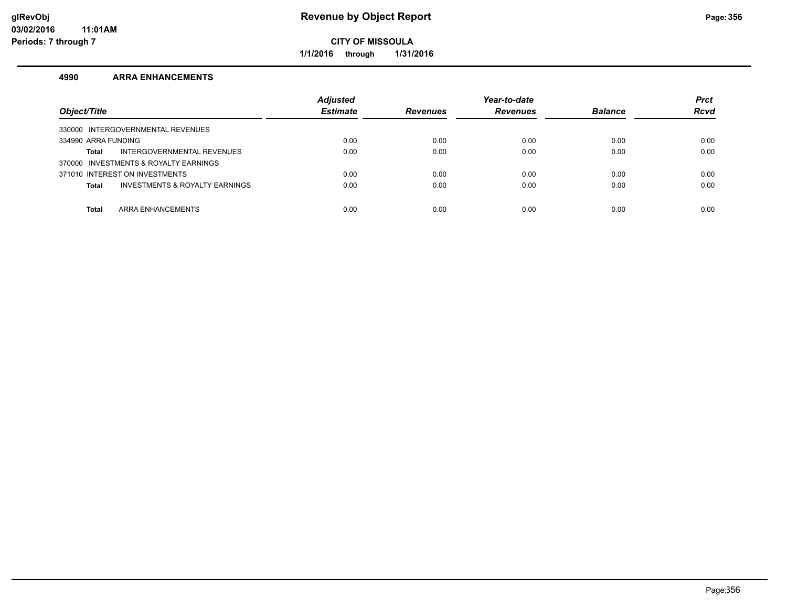**1/1/2016 through 1/31/2016**

#### **4990 ARRA ENHANCEMENTS**

| Object/Title                                   | <b>Adjusted</b><br><b>Estimate</b> | <b>Revenues</b> | Year-to-date<br><b>Revenues</b> | <b>Balance</b> | <b>Prct</b><br><b>Rcvd</b> |
|------------------------------------------------|------------------------------------|-----------------|---------------------------------|----------------|----------------------------|
| 330000 INTERGOVERNMENTAL REVENUES              |                                    |                 |                                 |                |                            |
| 334990 ARRA FUNDING                            | 0.00                               | 0.00            | 0.00                            | 0.00           | 0.00                       |
| INTERGOVERNMENTAL REVENUES<br>Total            | 0.00                               | 0.00            | 0.00                            | 0.00           | 0.00                       |
| 370000 INVESTMENTS & ROYALTY EARNINGS          |                                    |                 |                                 |                |                            |
| 371010 INTEREST ON INVESTMENTS                 | 0.00                               | 0.00            | 0.00                            | 0.00           | 0.00                       |
| INVESTMENTS & ROYALTY EARNINGS<br><b>Total</b> | 0.00                               | 0.00            | 0.00                            | 0.00           | 0.00                       |
|                                                |                                    |                 |                                 |                |                            |
| ARRA ENHANCEMENTS<br><b>Total</b>              | 0.00                               | 0.00            | 0.00                            | 0.00           | 0.00                       |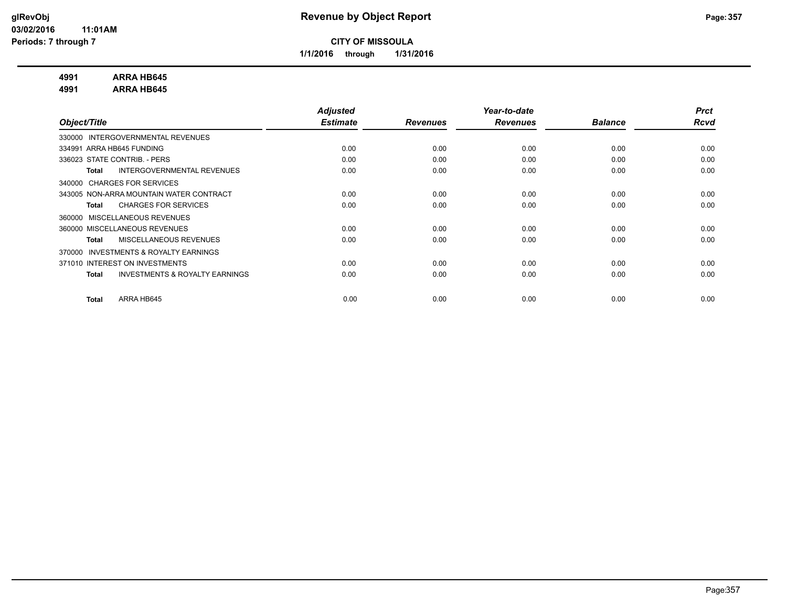**1/1/2016 through 1/31/2016**

#### **4991 ARRA HB645**

**4991 ARRA HB645**

|                                                           | <b>Adjusted</b> |                 | Year-to-date    |                | <b>Prct</b> |
|-----------------------------------------------------------|-----------------|-----------------|-----------------|----------------|-------------|
| Object/Title                                              | <b>Estimate</b> | <b>Revenues</b> | <b>Revenues</b> | <b>Balance</b> | <b>Rcvd</b> |
| INTERGOVERNMENTAL REVENUES<br>330000                      |                 |                 |                 |                |             |
| 334991 ARRA HB645 FUNDING                                 | 0.00            | 0.00            | 0.00            | 0.00           | 0.00        |
| 336023 STATE CONTRIB. - PERS                              | 0.00            | 0.00            | 0.00            | 0.00           | 0.00        |
| <b>INTERGOVERNMENTAL REVENUES</b><br><b>Total</b>         | 0.00            | 0.00            | 0.00            | 0.00           | 0.00        |
| <b>CHARGES FOR SERVICES</b><br>340000                     |                 |                 |                 |                |             |
| 343005 NON-ARRA MOUNTAIN WATER CONTRACT                   | 0.00            | 0.00            | 0.00            | 0.00           | 0.00        |
| <b>CHARGES FOR SERVICES</b><br><b>Total</b>               | 0.00            | 0.00            | 0.00            | 0.00           | 0.00        |
| MISCELLANEOUS REVENUES<br>360000                          |                 |                 |                 |                |             |
| 360000 MISCELLANEOUS REVENUES                             | 0.00            | 0.00            | 0.00            | 0.00           | 0.00        |
| MISCELLANEOUS REVENUES<br><b>Total</b>                    | 0.00            | 0.00            | 0.00            | 0.00           | 0.00        |
| <b>INVESTMENTS &amp; ROYALTY EARNINGS</b><br>370000       |                 |                 |                 |                |             |
| 371010 INTEREST ON INVESTMENTS                            | 0.00            | 0.00            | 0.00            | 0.00           | 0.00        |
| <b>INVESTMENTS &amp; ROYALTY EARNINGS</b><br><b>Total</b> | 0.00            | 0.00            | 0.00            | 0.00           | 0.00        |
|                                                           |                 |                 |                 |                |             |
| ARRA HB645<br><b>Total</b>                                | 0.00            | 0.00            | 0.00            | 0.00           | 0.00        |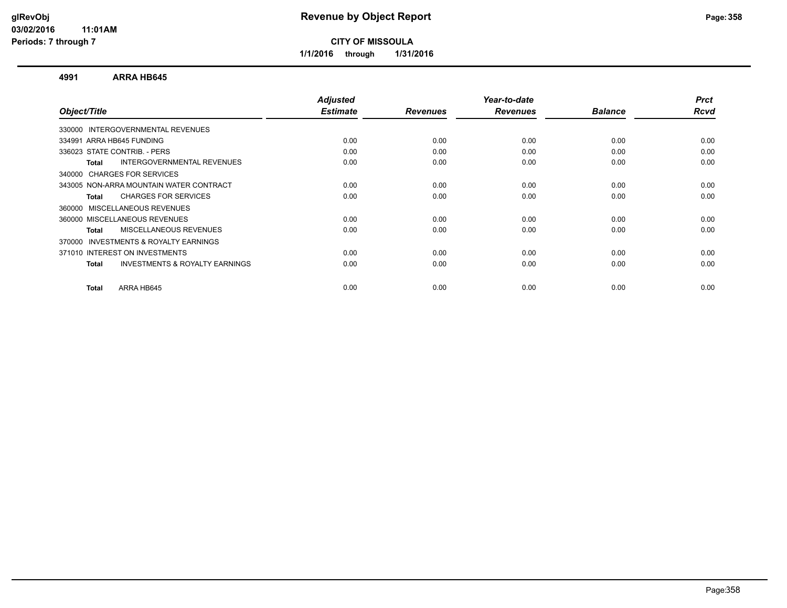**1/1/2016 through 1/31/2016**

#### **4991 ARRA HB645**

| Object/Title                                              | <b>Adjusted</b><br><b>Estimate</b> | <b>Revenues</b> | Year-to-date<br><b>Revenues</b> | <b>Balance</b> | <b>Prct</b><br>Rcvd |
|-----------------------------------------------------------|------------------------------------|-----------------|---------------------------------|----------------|---------------------|
|                                                           |                                    |                 |                                 |                |                     |
| 330000 INTERGOVERNMENTAL REVENUES                         |                                    |                 |                                 |                |                     |
| 334991 ARRA HB645 FUNDING                                 | 0.00                               | 0.00            | 0.00                            | 0.00           | 0.00                |
| 336023 STATE CONTRIB. - PERS                              | 0.00                               | 0.00            | 0.00                            | 0.00           | 0.00                |
| INTERGOVERNMENTAL REVENUES<br><b>Total</b>                | 0.00                               | 0.00            | 0.00                            | 0.00           | 0.00                |
| 340000 CHARGES FOR SERVICES                               |                                    |                 |                                 |                |                     |
| 343005 NON-ARRA MOUNTAIN WATER CONTRACT                   | 0.00                               | 0.00            | 0.00                            | 0.00           | 0.00                |
| <b>CHARGES FOR SERVICES</b><br><b>Total</b>               | 0.00                               | 0.00            | 0.00                            | 0.00           | 0.00                |
| 360000 MISCELLANEOUS REVENUES                             |                                    |                 |                                 |                |                     |
| 360000 MISCELLANEOUS REVENUES                             | 0.00                               | 0.00            | 0.00                            | 0.00           | 0.00                |
| <b>MISCELLANEOUS REVENUES</b><br><b>Total</b>             | 0.00                               | 0.00            | 0.00                            | 0.00           | 0.00                |
| <b>INVESTMENTS &amp; ROYALTY EARNINGS</b><br>370000       |                                    |                 |                                 |                |                     |
| 371010 INTEREST ON INVESTMENTS                            | 0.00                               | 0.00            | 0.00                            | 0.00           | 0.00                |
| <b>INVESTMENTS &amp; ROYALTY EARNINGS</b><br><b>Total</b> | 0.00                               | 0.00            | 0.00                            | 0.00           | 0.00                |
| ARRA HB645<br>Total                                       | 0.00                               | 0.00            | 0.00                            | 0.00           | 0.00                |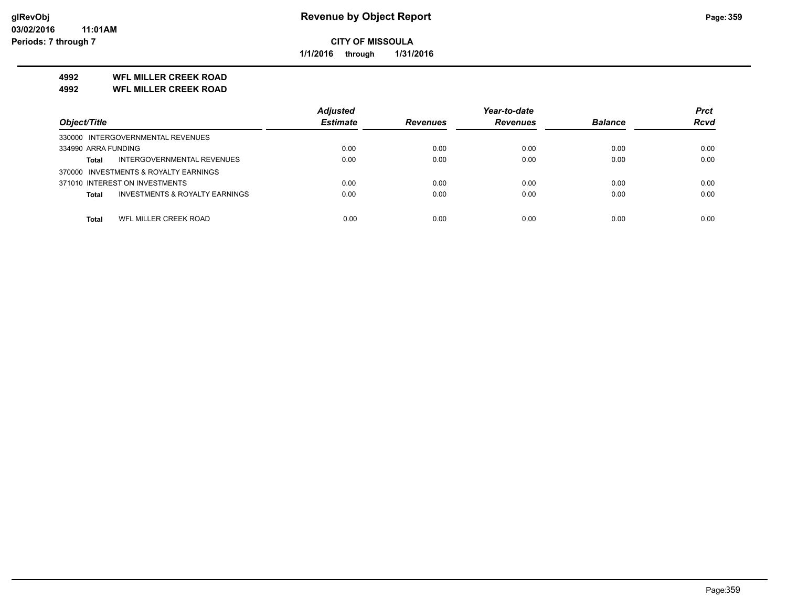**1/1/2016 through 1/31/2016**

### **4992 WFL MILLER CREEK ROAD**

**4992 WFL MILLER CREEK ROAD**

|                                                           | <b>Adjusted</b> |                 | Year-to-date    |                | <b>Prct</b> |
|-----------------------------------------------------------|-----------------|-----------------|-----------------|----------------|-------------|
| Object/Title                                              | <b>Estimate</b> | <b>Revenues</b> | <b>Revenues</b> | <b>Balance</b> | <b>Rcvd</b> |
| 330000 INTERGOVERNMENTAL REVENUES                         |                 |                 |                 |                |             |
| 334990 ARRA FUNDING                                       | 0.00            | 0.00            | 0.00            | 0.00           | 0.00        |
| INTERGOVERNMENTAL REVENUES<br><b>Total</b>                | 0.00            | 0.00            | 0.00            | 0.00           | 0.00        |
| 370000 INVESTMENTS & ROYALTY EARNINGS                     |                 |                 |                 |                |             |
| 371010 INTEREST ON INVESTMENTS                            | 0.00            | 0.00            | 0.00            | 0.00           | 0.00        |
| <b>INVESTMENTS &amp; ROYALTY EARNINGS</b><br><b>Total</b> | 0.00            | 0.00            | 0.00            | 0.00           | 0.00        |
|                                                           |                 |                 |                 |                |             |
| WFL MILLER CREEK ROAD<br><b>Total</b>                     | 0.00            | 0.00            | 0.00            | 0.00           | 0.00        |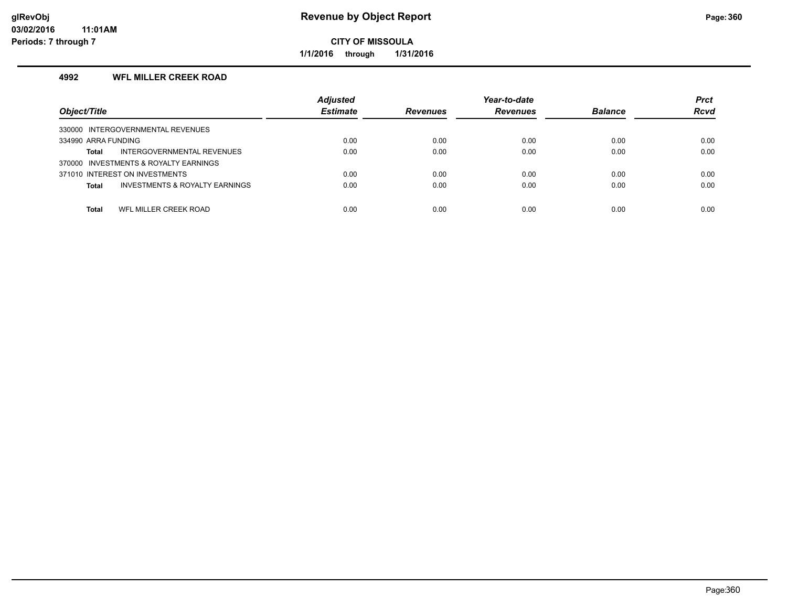**1/1/2016 through 1/31/2016**

#### **4992 WFL MILLER CREEK ROAD**

| Object/Title                                              | <b>Adjusted</b><br><b>Estimate</b> | <b>Revenues</b> | Year-to-date<br><b>Revenues</b> | <b>Balance</b> | <b>Prct</b><br><b>Rcvd</b> |
|-----------------------------------------------------------|------------------------------------|-----------------|---------------------------------|----------------|----------------------------|
|                                                           |                                    |                 |                                 |                |                            |
| 330000 INTERGOVERNMENTAL REVENUES                         |                                    |                 |                                 |                |                            |
| 334990 ARRA FUNDING                                       | 0.00                               | 0.00            | 0.00                            | 0.00           | 0.00                       |
| INTERGOVERNMENTAL REVENUES<br>Total                       | 0.00                               | 0.00            | 0.00                            | 0.00           | 0.00                       |
| 370000 INVESTMENTS & ROYALTY EARNINGS                     |                                    |                 |                                 |                |                            |
| 371010 INTEREST ON INVESTMENTS                            | 0.00                               | 0.00            | 0.00                            | 0.00           | 0.00                       |
| <b>INVESTMENTS &amp; ROYALTY EARNINGS</b><br><b>Total</b> | 0.00                               | 0.00            | 0.00                            | 0.00           | 0.00                       |
|                                                           |                                    |                 |                                 |                |                            |
| WFL MILLER CREEK ROAD<br>Total                            | 0.00                               | 0.00            | 0.00                            | 0.00           | 0.00                       |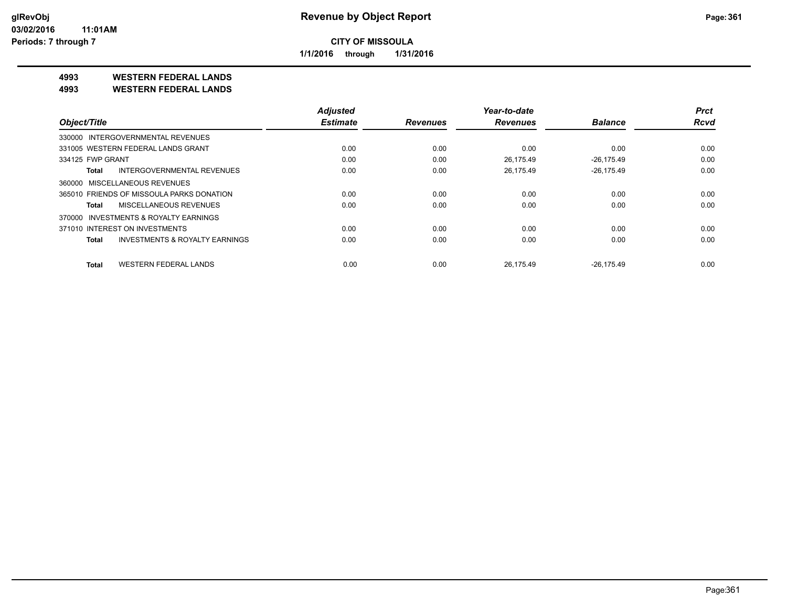**1/1/2016 through 1/31/2016**

# **4993 WESTERN FEDERAL LANDS**

**4993 WESTERN FEDERAL LANDS**

|                                                | <b>Adjusted</b> |                 | Year-to-date    |                | <b>Prct</b> |
|------------------------------------------------|-----------------|-----------------|-----------------|----------------|-------------|
| Object/Title                                   | <b>Estimate</b> | <b>Revenues</b> | <b>Revenues</b> | <b>Balance</b> | <b>Rcvd</b> |
| 330000 INTERGOVERNMENTAL REVENUES              |                 |                 |                 |                |             |
| 331005 WESTERN FEDERAL LANDS GRANT             | 0.00            | 0.00            | 0.00            | 0.00           | 0.00        |
| 334125 FWP GRANT                               | 0.00            | 0.00            | 26.175.49       | $-26.175.49$   | 0.00        |
| <b>INTERGOVERNMENTAL REVENUES</b><br>Total     | 0.00            | 0.00            | 26.175.49       | $-26,175.49$   | 0.00        |
| 360000 MISCELLANEOUS REVENUES                  |                 |                 |                 |                |             |
| 365010 FRIENDS OF MISSOULA PARKS DONATION      | 0.00            | 0.00            | 0.00            | 0.00           | 0.00        |
| MISCELLANEOUS REVENUES<br>Total                | 0.00            | 0.00            | 0.00            | 0.00           | 0.00        |
| INVESTMENTS & ROYALTY EARNINGS<br>370000       |                 |                 |                 |                |             |
| 371010 INTEREST ON INVESTMENTS                 | 0.00            | 0.00            | 0.00            | 0.00           | 0.00        |
| INVESTMENTS & ROYALTY EARNINGS<br><b>Total</b> | 0.00            | 0.00            | 0.00            | 0.00           | 0.00        |
| <b>WESTERN FEDERAL LANDS</b><br><b>Total</b>   | 0.00            | 0.00            | 26.175.49       | $-26.175.49$   | 0.00        |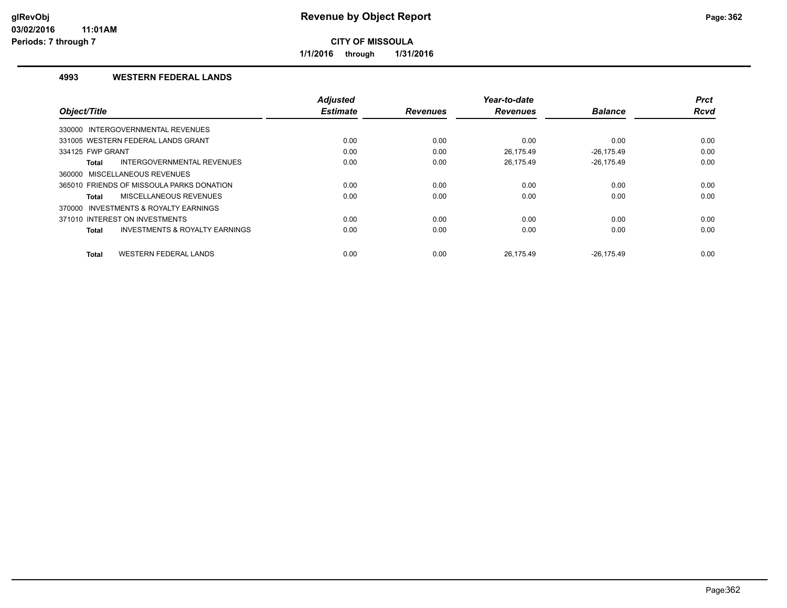**1/1/2016 through 1/31/2016**

### **4993 WESTERN FEDERAL LANDS**

|                                                           | <b>Adjusted</b> |                 | Year-to-date    |                | <b>Prct</b> |
|-----------------------------------------------------------|-----------------|-----------------|-----------------|----------------|-------------|
| Object/Title                                              | <b>Estimate</b> | <b>Revenues</b> | <b>Revenues</b> | <b>Balance</b> | <b>Rcvd</b> |
| <b>INTERGOVERNMENTAL REVENUES</b><br>330000               |                 |                 |                 |                |             |
| 331005 WESTERN FEDERAL LANDS GRANT                        | 0.00            | 0.00            | 0.00            | 0.00           | 0.00        |
| 334125 FWP GRANT                                          | 0.00            | 0.00            | 26.175.49       | $-26.175.49$   | 0.00        |
| INTERGOVERNMENTAL REVENUES<br>Total                       | 0.00            | 0.00            | 26.175.49       | $-26.175.49$   | 0.00        |
| 360000 MISCELLANEOUS REVENUES                             |                 |                 |                 |                |             |
| 365010 FRIENDS OF MISSOULA PARKS DONATION                 | 0.00            | 0.00            | 0.00            | 0.00           | 0.00        |
| MISCELLANEOUS REVENUES<br>Total                           | 0.00            | 0.00            | 0.00            | 0.00           | 0.00        |
| <b>INVESTMENTS &amp; ROYALTY EARNINGS</b><br>370000       |                 |                 |                 |                |             |
| 371010 INTEREST ON INVESTMENTS                            | 0.00            | 0.00            | 0.00            | 0.00           | 0.00        |
| <b>INVESTMENTS &amp; ROYALTY EARNINGS</b><br><b>Total</b> | 0.00            | 0.00            | 0.00            | 0.00           | 0.00        |
| <b>WESTERN FEDERAL LANDS</b><br><b>Total</b>              | 0.00            | 0.00            | 26.175.49       | $-26.175.49$   | 0.00        |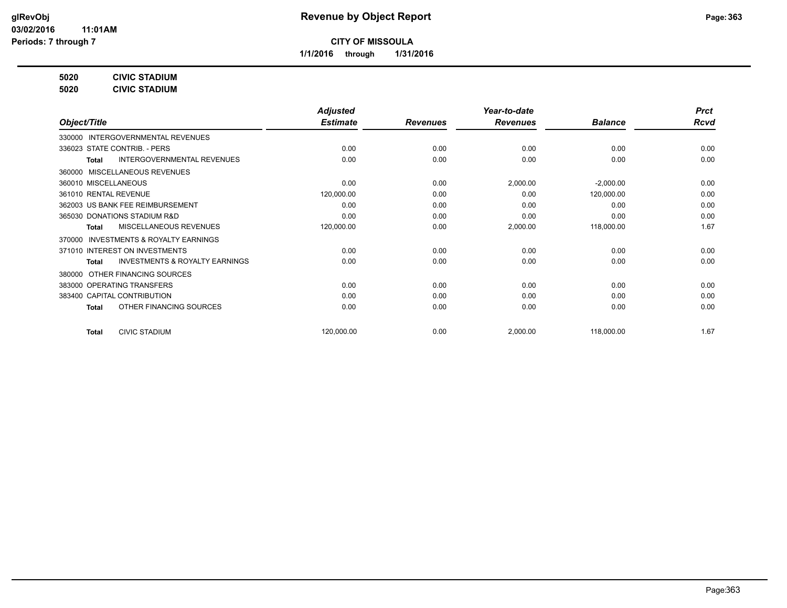**1/1/2016 through 1/31/2016**

**5020 CIVIC STADIUM**

**5020 CIVIC STADIUM**

|                                                           | <b>Adjusted</b> |                 | Year-to-date    |                |             |  |
|-----------------------------------------------------------|-----------------|-----------------|-----------------|----------------|-------------|--|
| Object/Title                                              | <b>Estimate</b> | <b>Revenues</b> | <b>Revenues</b> | <b>Balance</b> | <b>Rcvd</b> |  |
| 330000 INTERGOVERNMENTAL REVENUES                         |                 |                 |                 |                |             |  |
| 336023 STATE CONTRIB. - PERS                              | 0.00            | 0.00            | 0.00            | 0.00           | 0.00        |  |
| <b>INTERGOVERNMENTAL REVENUES</b><br><b>Total</b>         | 0.00            | 0.00            | 0.00            | 0.00           | 0.00        |  |
| 360000 MISCELLANEOUS REVENUES                             |                 |                 |                 |                |             |  |
| 360010 MISCELLANEOUS                                      | 0.00            | 0.00            | 2,000.00        | $-2,000.00$    | 0.00        |  |
| 361010 RENTAL REVENUE                                     | 120,000.00      | 0.00            | 0.00            | 120,000.00     | 0.00        |  |
| 362003 US BANK FEE REIMBURSEMENT                          | 0.00            | 0.00            | 0.00            | 0.00           | 0.00        |  |
| 365030 DONATIONS STADIUM R&D                              | 0.00            | 0.00            | 0.00            | 0.00           | 0.00        |  |
| <b>MISCELLANEOUS REVENUES</b><br><b>Total</b>             | 120,000.00      | 0.00            | 2,000.00        | 118,000.00     | 1.67        |  |
| INVESTMENTS & ROYALTY EARNINGS<br>370000                  |                 |                 |                 |                |             |  |
| 371010 INTEREST ON INVESTMENTS                            | 0.00            | 0.00            | 0.00            | 0.00           | 0.00        |  |
| <b>INVESTMENTS &amp; ROYALTY EARNINGS</b><br><b>Total</b> | 0.00            | 0.00            | 0.00            | 0.00           | 0.00        |  |
| OTHER FINANCING SOURCES<br>380000                         |                 |                 |                 |                |             |  |
| 383000 OPERATING TRANSFERS                                | 0.00            | 0.00            | 0.00            | 0.00           | 0.00        |  |
| 383400 CAPITAL CONTRIBUTION                               | 0.00            | 0.00            | 0.00            | 0.00           | 0.00        |  |
| OTHER FINANCING SOURCES<br><b>Total</b>                   | 0.00            | 0.00            | 0.00            | 0.00           | 0.00        |  |
| <b>CIVIC STADIUM</b><br><b>Total</b>                      | 120,000.00      | 0.00            | 2,000.00        | 118,000.00     | 1.67        |  |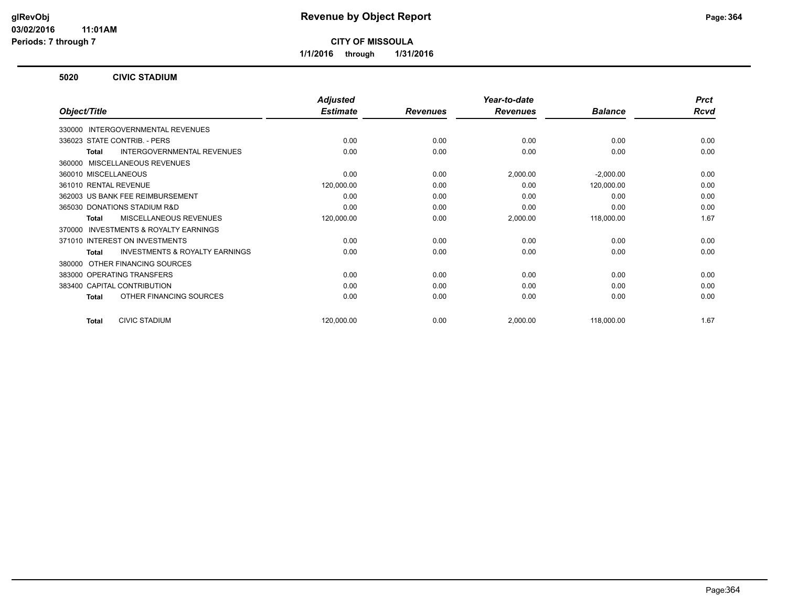**1/1/2016 through 1/31/2016**

#### **5020 CIVIC STADIUM**

|                                                     | <b>Adjusted</b> |                 | Year-to-date    |                | <b>Prct</b> |
|-----------------------------------------------------|-----------------|-----------------|-----------------|----------------|-------------|
| Object/Title                                        | <b>Estimate</b> | <b>Revenues</b> | <b>Revenues</b> | <b>Balance</b> | <b>Rcvd</b> |
| 330000 INTERGOVERNMENTAL REVENUES                   |                 |                 |                 |                |             |
| 336023 STATE CONTRIB. - PERS                        | 0.00            | 0.00            | 0.00            | 0.00           | 0.00        |
| INTERGOVERNMENTAL REVENUES<br><b>Total</b>          | 0.00            | 0.00            | 0.00            | 0.00           | 0.00        |
| 360000 MISCELLANEOUS REVENUES                       |                 |                 |                 |                |             |
| 360010 MISCELLANEOUS                                | 0.00            | 0.00            | 2,000.00        | $-2,000.00$    | 0.00        |
| 361010 RENTAL REVENUE                               | 120,000.00      | 0.00            | 0.00            | 120,000.00     | 0.00        |
| 362003 US BANK FEE REIMBURSEMENT                    | 0.00            | 0.00            | 0.00            | 0.00           | 0.00        |
| 365030 DONATIONS STADIUM R&D                        | 0.00            | 0.00            | 0.00            | 0.00           | 0.00        |
| MISCELLANEOUS REVENUES<br><b>Total</b>              | 120,000.00      | 0.00            | 2,000.00        | 118,000.00     | 1.67        |
| <b>INVESTMENTS &amp; ROYALTY EARNINGS</b><br>370000 |                 |                 |                 |                |             |
| 371010 INTEREST ON INVESTMENTS                      | 0.00            | 0.00            | 0.00            | 0.00           | 0.00        |
| <b>INVESTMENTS &amp; ROYALTY EARNINGS</b><br>Total  | 0.00            | 0.00            | 0.00            | 0.00           | 0.00        |
| OTHER FINANCING SOURCES<br>380000                   |                 |                 |                 |                |             |
| 383000 OPERATING TRANSFERS                          | 0.00            | 0.00            | 0.00            | 0.00           | 0.00        |
| 383400 CAPITAL CONTRIBUTION                         | 0.00            | 0.00            | 0.00            | 0.00           | 0.00        |
| OTHER FINANCING SOURCES<br><b>Total</b>             | 0.00            | 0.00            | 0.00            | 0.00           | 0.00        |
| <b>CIVIC STADIUM</b><br><b>Total</b>                | 120,000.00      | 0.00            | 2,000.00        | 118,000.00     | 1.67        |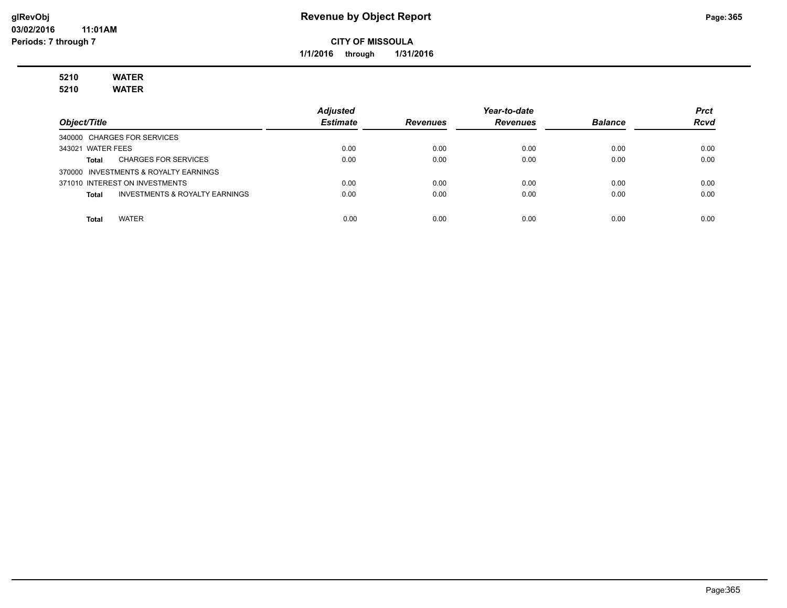**1/1/2016 through 1/31/2016**

# **5210 WATER**

**5210 WATER**

|                                                | <b>Adjusted</b> |                 | Year-to-date    |                | <b>Prct</b> |
|------------------------------------------------|-----------------|-----------------|-----------------|----------------|-------------|
| Object/Title                                   | <b>Estimate</b> | <b>Revenues</b> | <b>Revenues</b> | <b>Balance</b> | <b>Rcvd</b> |
| 340000 CHARGES FOR SERVICES                    |                 |                 |                 |                |             |
| 343021 WATER FEES                              | 0.00            | 0.00            | 0.00            | 0.00           | 0.00        |
| <b>CHARGES FOR SERVICES</b><br>Total           | 0.00            | 0.00            | 0.00            | 0.00           | 0.00        |
| 370000 INVESTMENTS & ROYALTY EARNINGS          |                 |                 |                 |                |             |
| 371010 INTEREST ON INVESTMENTS                 | 0.00            | 0.00            | 0.00            | 0.00           | 0.00        |
| INVESTMENTS & ROYALTY EARNINGS<br><b>Total</b> | 0.00            | 0.00            | 0.00            | 0.00           | 0.00        |
|                                                |                 |                 |                 |                |             |
| <b>WATER</b><br>Total                          | 0.00            | 0.00            | 0.00            | 0.00           | 0.00        |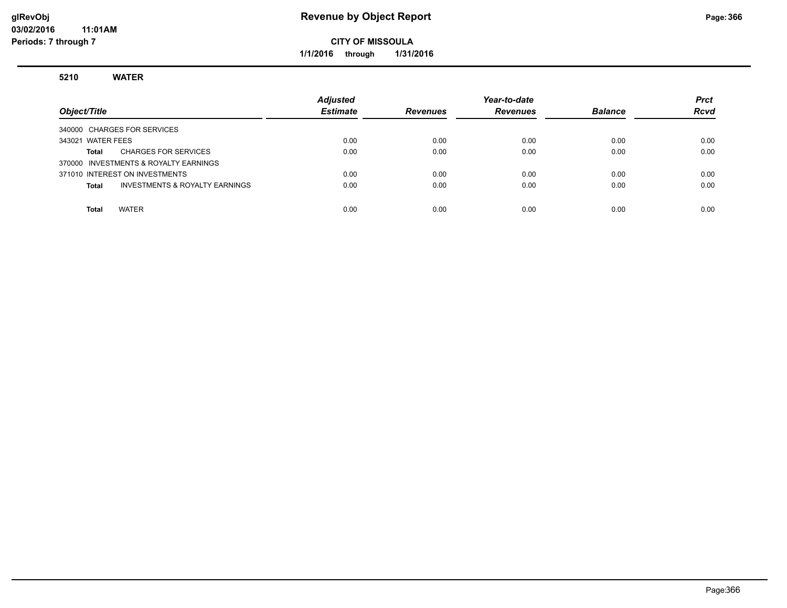# **glRevObj Revenue by Object Report Page:366**

**CITY OF MISSOULA**

**1/1/2016 through 1/31/2016**

#### **5210 WATER**

| Object/Title                                              | <b>Adjusted</b><br><b>Estimate</b> | <b>Revenues</b> | Year-to-date<br><b>Revenues</b> | <b>Balance</b> | <b>Prct</b><br><b>Rcvd</b> |
|-----------------------------------------------------------|------------------------------------|-----------------|---------------------------------|----------------|----------------------------|
| 340000 CHARGES FOR SERVICES                               |                                    |                 |                                 |                |                            |
| 343021 WATER FEES                                         | 0.00                               | 0.00            | 0.00                            | 0.00           | 0.00                       |
| <b>CHARGES FOR SERVICES</b><br>Total                      | 0.00                               | 0.00            | 0.00                            | 0.00           | 0.00                       |
| 370000 INVESTMENTS & ROYALTY EARNINGS                     |                                    |                 |                                 |                |                            |
| 371010 INTEREST ON INVESTMENTS                            | 0.00                               | 0.00            | 0.00                            | 0.00           | 0.00                       |
| <b>INVESTMENTS &amp; ROYALTY EARNINGS</b><br><b>Total</b> | 0.00                               | 0.00            | 0.00                            | 0.00           | 0.00                       |
|                                                           |                                    |                 |                                 |                |                            |
| <b>WATER</b><br><b>Total</b>                              | 0.00                               | 0.00            | 0.00                            | 0.00           | 0.00                       |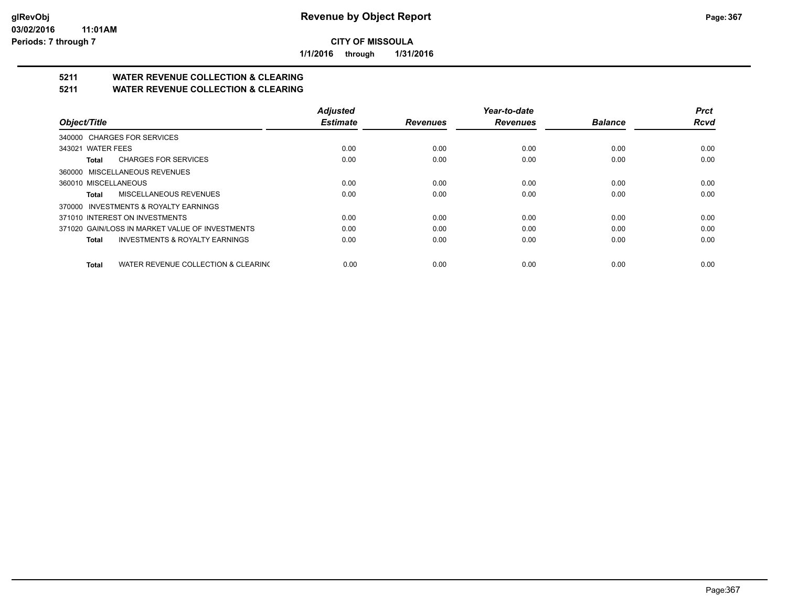**1/1/2016 through 1/31/2016**

# **5211 WATER REVENUE COLLECTION & CLEARING**

**5211 WATER REVENUE COLLECTION & CLEARING**

|                                                     | <b>Adjusted</b> |                 | Year-to-date    |                | <b>Prct</b> |
|-----------------------------------------------------|-----------------|-----------------|-----------------|----------------|-------------|
| Object/Title                                        | <b>Estimate</b> | <b>Revenues</b> | <b>Revenues</b> | <b>Balance</b> | Rcvd        |
| 340000 CHARGES FOR SERVICES                         |                 |                 |                 |                |             |
| 343021 WATER FEES                                   | 0.00            | 0.00            | 0.00            | 0.00           | 0.00        |
| <b>CHARGES FOR SERVICES</b><br>Total                | 0.00            | 0.00            | 0.00            | 0.00           | 0.00        |
| 360000 MISCELLANEOUS REVENUES                       |                 |                 |                 |                |             |
| 360010 MISCELLANEOUS                                | 0.00            | 0.00            | 0.00            | 0.00           | 0.00        |
| MISCELLANEOUS REVENUES<br>Total                     | 0.00            | 0.00            | 0.00            | 0.00           | 0.00        |
| 370000 INVESTMENTS & ROYALTY EARNINGS               |                 |                 |                 |                |             |
| 371010 INTEREST ON INVESTMENTS                      | 0.00            | 0.00            | 0.00            | 0.00           | 0.00        |
| 371020 GAIN/LOSS IN MARKET VALUE OF INVESTMENTS     | 0.00            | 0.00            | 0.00            | 0.00           | 0.00        |
| <b>INVESTMENTS &amp; ROYALTY EARNINGS</b><br>Total  | 0.00            | 0.00            | 0.00            | 0.00           | 0.00        |
| WATER REVENUE COLLECTION & CLEARING<br><b>Total</b> | 0.00            | 0.00            | 0.00            | 0.00           | 0.00        |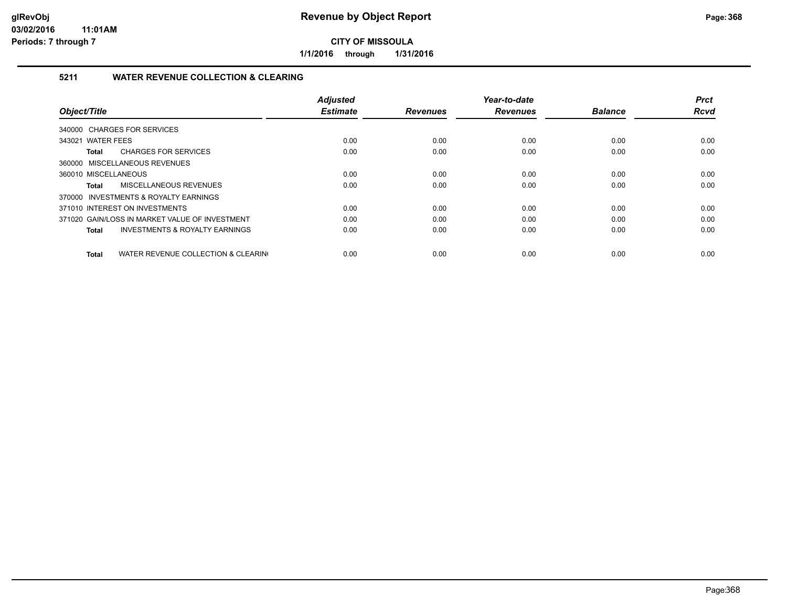**1/1/2016 through 1/31/2016**

### **5211 WATER REVENUE COLLECTION & CLEARING**

|                                                     | <b>Adjusted</b> |                 | Year-to-date    |                | <b>Prct</b> |
|-----------------------------------------------------|-----------------|-----------------|-----------------|----------------|-------------|
| Object/Title                                        | <b>Estimate</b> | <b>Revenues</b> | <b>Revenues</b> | <b>Balance</b> | <b>Rcvd</b> |
| 340000 CHARGES FOR SERVICES                         |                 |                 |                 |                |             |
| 343021 WATER FEES                                   | 0.00            | 0.00            | 0.00            | 0.00           | 0.00        |
| <b>CHARGES FOR SERVICES</b><br>Total                | 0.00            | 0.00            | 0.00            | 0.00           | 0.00        |
| 360000 MISCELLANEOUS REVENUES                       |                 |                 |                 |                |             |
| 360010 MISCELLANEOUS                                | 0.00            | 0.00            | 0.00            | 0.00           | 0.00        |
| MISCELLANEOUS REVENUES<br>Total                     | 0.00            | 0.00            | 0.00            | 0.00           | 0.00        |
| 370000 INVESTMENTS & ROYALTY EARNINGS               |                 |                 |                 |                |             |
| 371010 INTEREST ON INVESTMENTS                      | 0.00            | 0.00            | 0.00            | 0.00           | 0.00        |
| 371020 GAIN/LOSS IN MARKET VALUE OF INVESTMENT      | 0.00            | 0.00            | 0.00            | 0.00           | 0.00        |
| <b>INVESTMENTS &amp; ROYALTY EARNINGS</b><br>Total  | 0.00            | 0.00            | 0.00            | 0.00           | 0.00        |
|                                                     |                 |                 |                 |                |             |
| WATER REVENUE COLLECTION & CLEARING<br><b>Total</b> | 0.00            | 0.00            | 0.00            | 0.00           | 0.00        |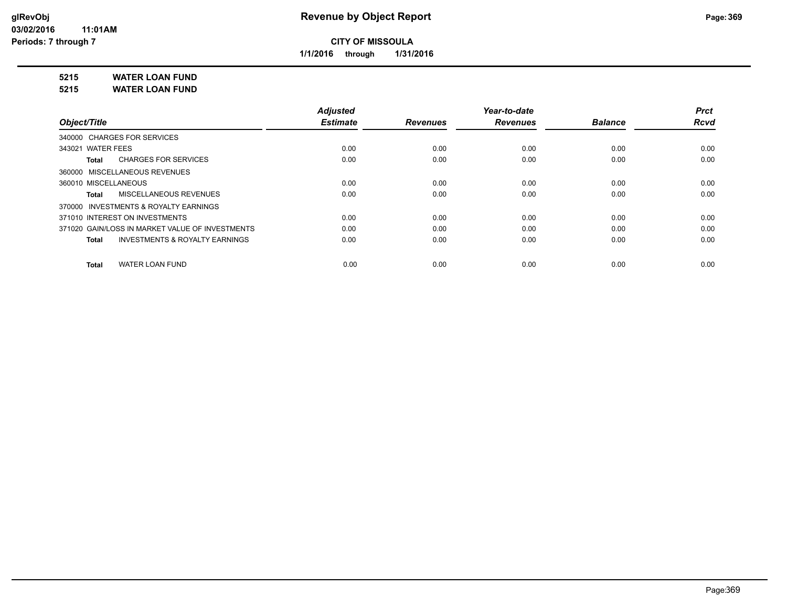**1/1/2016 through 1/31/2016**

**5215 WATER LOAN FUND**

**5215 WATER LOAN FUND**

|                                                           | <b>Adjusted</b> |                 | Year-to-date    |                | <b>Prct</b> |
|-----------------------------------------------------------|-----------------|-----------------|-----------------|----------------|-------------|
| Object/Title                                              | <b>Estimate</b> | <b>Revenues</b> | <b>Revenues</b> | <b>Balance</b> | <b>Rcvd</b> |
| 340000 CHARGES FOR SERVICES                               |                 |                 |                 |                |             |
| 343021 WATER FEES                                         | 0.00            | 0.00            | 0.00            | 0.00           | 0.00        |
| <b>CHARGES FOR SERVICES</b><br>Total                      | 0.00            | 0.00            | 0.00            | 0.00           | 0.00        |
| 360000 MISCELLANEOUS REVENUES                             |                 |                 |                 |                |             |
| 360010 MISCELLANEOUS                                      | 0.00            | 0.00            | 0.00            | 0.00           | 0.00        |
| <b>MISCELLANEOUS REVENUES</b><br>Total                    | 0.00            | 0.00            | 0.00            | 0.00           | 0.00        |
| 370000 INVESTMENTS & ROYALTY EARNINGS                     |                 |                 |                 |                |             |
| 371010 INTEREST ON INVESTMENTS                            | 0.00            | 0.00            | 0.00            | 0.00           | 0.00        |
| 371020 GAIN/LOSS IN MARKET VALUE OF INVESTMENTS           | 0.00            | 0.00            | 0.00            | 0.00           | 0.00        |
| <b>INVESTMENTS &amp; ROYALTY EARNINGS</b><br><b>Total</b> | 0.00            | 0.00            | 0.00            | 0.00           | 0.00        |
| <b>WATER LOAN FUND</b><br><b>Total</b>                    | 0.00            | 0.00            | 0.00            | 0.00           | 0.00        |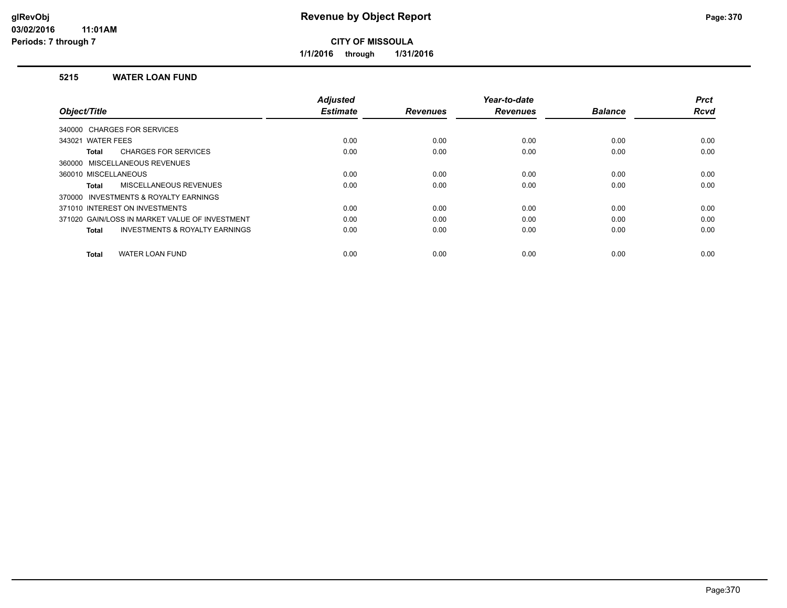**1/1/2016 through 1/31/2016**

#### **5215 WATER LOAN FUND**

|                                                           | <b>Adjusted</b> |                 | Year-to-date    |                | <b>Prct</b> |
|-----------------------------------------------------------|-----------------|-----------------|-----------------|----------------|-------------|
| Object/Title                                              | <b>Estimate</b> | <b>Revenues</b> | <b>Revenues</b> | <b>Balance</b> | Rcvd        |
| 340000 CHARGES FOR SERVICES                               |                 |                 |                 |                |             |
| 343021 WATER FEES                                         | 0.00            | 0.00            | 0.00            | 0.00           | 0.00        |
| <b>CHARGES FOR SERVICES</b><br>Total                      | 0.00            | 0.00            | 0.00            | 0.00           | 0.00        |
| 360000 MISCELLANEOUS REVENUES                             |                 |                 |                 |                |             |
| 360010 MISCELLANEOUS                                      | 0.00            | 0.00            | 0.00            | 0.00           | 0.00        |
| <b>MISCELLANEOUS REVENUES</b><br>Total                    | 0.00            | 0.00            | 0.00            | 0.00           | 0.00        |
| 370000 INVESTMENTS & ROYALTY EARNINGS                     |                 |                 |                 |                |             |
| 371010 INTEREST ON INVESTMENTS                            | 0.00            | 0.00            | 0.00            | 0.00           | 0.00        |
| 371020 GAIN/LOSS IN MARKET VALUE OF INVESTMENT            | 0.00            | 0.00            | 0.00            | 0.00           | 0.00        |
| <b>INVESTMENTS &amp; ROYALTY EARNINGS</b><br><b>Total</b> | 0.00            | 0.00            | 0.00            | 0.00           | 0.00        |
|                                                           |                 |                 |                 |                |             |
| <b>WATER LOAN FUND</b><br><b>Total</b>                    | 0.00            | 0.00            | 0.00            | 0.00           | 0.00        |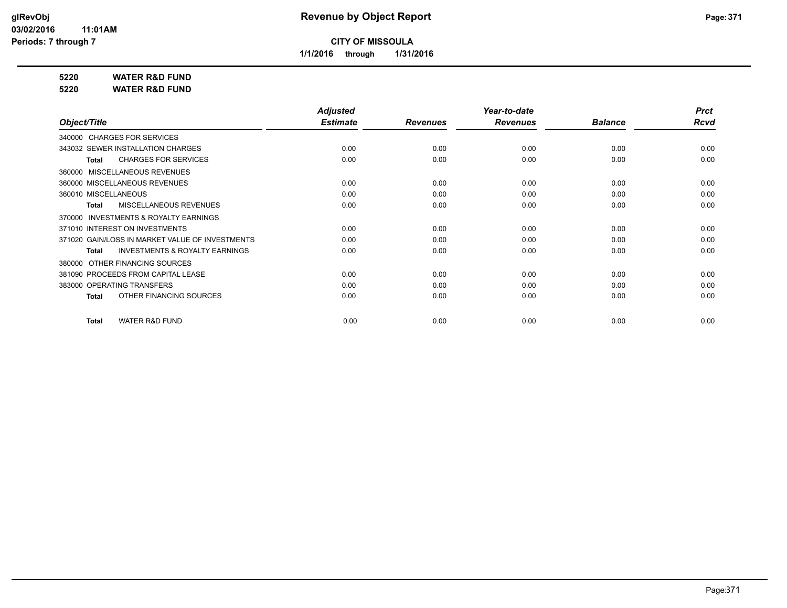**1/1/2016 through 1/31/2016**

**5220 WATER R&D FUND**

**5220 WATER R&D FUND**

|                                                           | <b>Adjusted</b> |                 | Year-to-date    |                | <b>Prct</b> |
|-----------------------------------------------------------|-----------------|-----------------|-----------------|----------------|-------------|
| Object/Title                                              | <b>Estimate</b> | <b>Revenues</b> | <b>Revenues</b> | <b>Balance</b> | Rcvd        |
| 340000 CHARGES FOR SERVICES                               |                 |                 |                 |                |             |
| 343032 SEWER INSTALLATION CHARGES                         | 0.00            | 0.00            | 0.00            | 0.00           | 0.00        |
| <b>CHARGES FOR SERVICES</b><br><b>Total</b>               | 0.00            | 0.00            | 0.00            | 0.00           | 0.00        |
| MISCELLANEOUS REVENUES<br>360000                          |                 |                 |                 |                |             |
| 360000 MISCELLANEOUS REVENUES                             | 0.00            | 0.00            | 0.00            | 0.00           | 0.00        |
| 360010 MISCELLANEOUS                                      | 0.00            | 0.00            | 0.00            | 0.00           | 0.00        |
| <b>MISCELLANEOUS REVENUES</b><br><b>Total</b>             | 0.00            | 0.00            | 0.00            | 0.00           | 0.00        |
| <b>INVESTMENTS &amp; ROYALTY EARNINGS</b><br>370000       |                 |                 |                 |                |             |
| 371010 INTEREST ON INVESTMENTS                            | 0.00            | 0.00            | 0.00            | 0.00           | 0.00        |
| 371020 GAIN/LOSS IN MARKET VALUE OF INVESTMENTS           | 0.00            | 0.00            | 0.00            | 0.00           | 0.00        |
| <b>INVESTMENTS &amp; ROYALTY EARNINGS</b><br><b>Total</b> | 0.00            | 0.00            | 0.00            | 0.00           | 0.00        |
| OTHER FINANCING SOURCES<br>380000                         |                 |                 |                 |                |             |
| 381090 PROCEEDS FROM CAPITAL LEASE                        | 0.00            | 0.00            | 0.00            | 0.00           | 0.00        |
| 383000 OPERATING TRANSFERS                                | 0.00            | 0.00            | 0.00            | 0.00           | 0.00        |
| OTHER FINANCING SOURCES<br><b>Total</b>                   | 0.00            | 0.00            | 0.00            | 0.00           | 0.00        |
| <b>WATER R&amp;D FUND</b><br><b>Total</b>                 | 0.00            | 0.00            | 0.00            | 0.00           | 0.00        |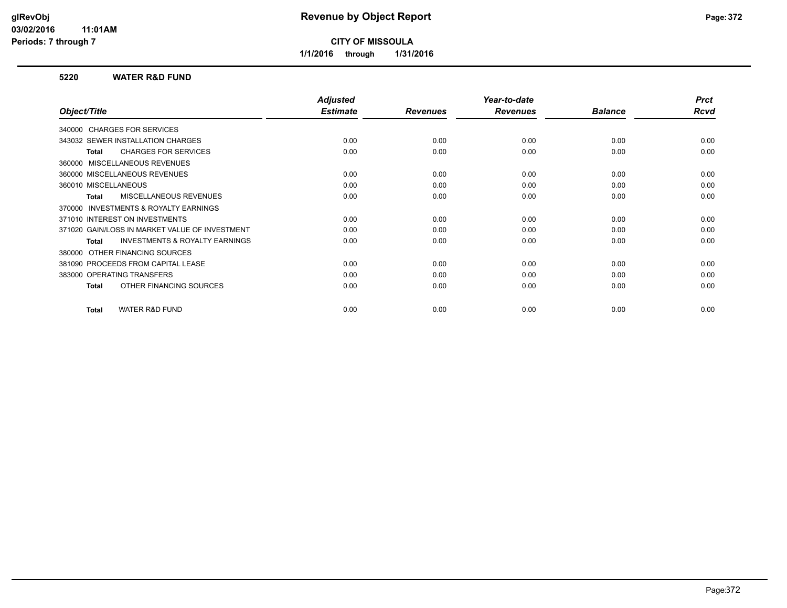**1/1/2016 through 1/31/2016**

#### **5220 WATER R&D FUND**

|                                                           | <b>Adjusted</b> |                 | Year-to-date    |                | <b>Prct</b> |
|-----------------------------------------------------------|-----------------|-----------------|-----------------|----------------|-------------|
| Object/Title                                              | <b>Estimate</b> | <b>Revenues</b> | <b>Revenues</b> | <b>Balance</b> | Rcvd        |
| 340000 CHARGES FOR SERVICES                               |                 |                 |                 |                |             |
| 343032 SEWER INSTALLATION CHARGES                         | 0.00            | 0.00            | 0.00            | 0.00           | 0.00        |
| <b>CHARGES FOR SERVICES</b><br><b>Total</b>               | 0.00            | 0.00            | 0.00            | 0.00           | 0.00        |
| 360000 MISCELLANEOUS REVENUES                             |                 |                 |                 |                |             |
| 360000 MISCELLANEOUS REVENUES                             | 0.00            | 0.00            | 0.00            | 0.00           | 0.00        |
| 360010 MISCELLANEOUS                                      | 0.00            | 0.00            | 0.00            | 0.00           | 0.00        |
| MISCELLANEOUS REVENUES<br><b>Total</b>                    | 0.00            | 0.00            | 0.00            | 0.00           | 0.00        |
| INVESTMENTS & ROYALTY EARNINGS<br>370000                  |                 |                 |                 |                |             |
| 371010 INTEREST ON INVESTMENTS                            | 0.00            | 0.00            | 0.00            | 0.00           | 0.00        |
| 371020 GAIN/LOSS IN MARKET VALUE OF INVESTMENT            | 0.00            | 0.00            | 0.00            | 0.00           | 0.00        |
| <b>INVESTMENTS &amp; ROYALTY EARNINGS</b><br><b>Total</b> | 0.00            | 0.00            | 0.00            | 0.00           | 0.00        |
| OTHER FINANCING SOURCES<br>380000                         |                 |                 |                 |                |             |
| 381090 PROCEEDS FROM CAPITAL LEASE                        | 0.00            | 0.00            | 0.00            | 0.00           | 0.00        |
| 383000 OPERATING TRANSFERS                                | 0.00            | 0.00            | 0.00            | 0.00           | 0.00        |
| OTHER FINANCING SOURCES<br><b>Total</b>                   | 0.00            | 0.00            | 0.00            | 0.00           | 0.00        |
| <b>WATER R&amp;D FUND</b><br><b>Total</b>                 | 0.00            | 0.00            | 0.00            | 0.00           | 0.00        |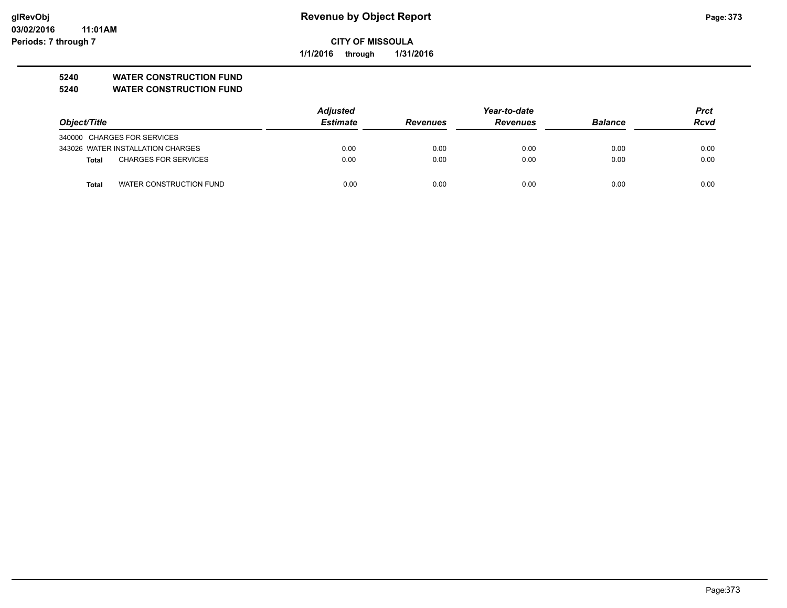**03/02/2016 11:01AM Periods: 7 through 7**

# **CITY OF MISSOULA**

**1/1/2016 through 1/31/2016**

# **5240 WATER CONSTRUCTION FUND**

**5240 WATER CONSTRUCTION FUND**

|                                         | <b>Adjusted</b> | Year-to-date    |                 |                | <b>Prct</b> |
|-----------------------------------------|-----------------|-----------------|-----------------|----------------|-------------|
| Object/Title                            | <b>Estimate</b> | <b>Revenues</b> | <b>Revenues</b> | <b>Balance</b> | <b>Rcvd</b> |
| 340000 CHARGES FOR SERVICES             |                 |                 |                 |                |             |
| 343026 WATER INSTALLATION CHARGES       | 0.00            | 0.00            | 0.00            | 0.00           | 0.00        |
| <b>CHARGES FOR SERVICES</b><br>Total    | 0.00            | 0.00            | 0.00            | 0.00           | 0.00        |
| WATER CONSTRUCTION FUND<br><b>Total</b> | 0.00            | 0.00            | 0.00            | 0.00           | 0.00        |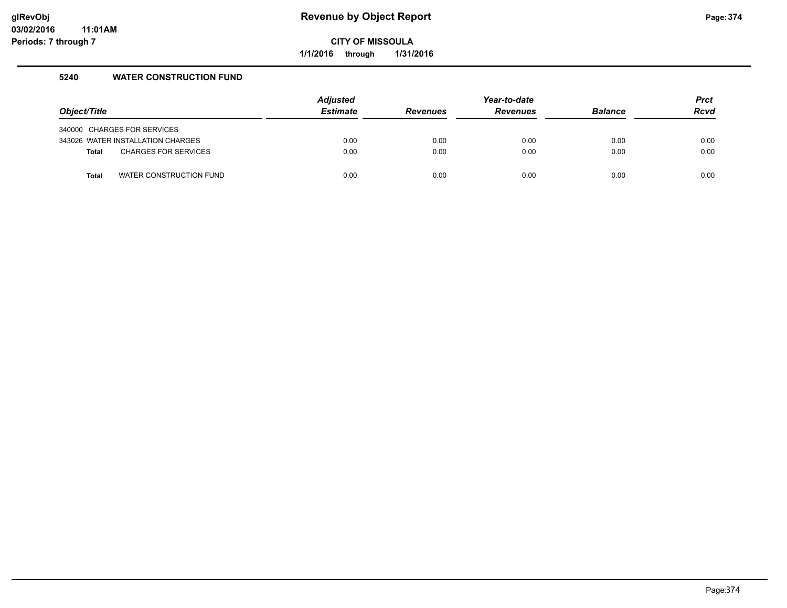**1/1/2016 through 1/31/2016**

## **5240 WATER CONSTRUCTION FUND**

| Object/Title |                                   | <b>Adjusted</b><br><b>Estimate</b> | <b>Revenues</b> | Year-to-date<br><b>Revenues</b> | <b>Balance</b> | <b>Prct</b><br><b>Rcvd</b> |
|--------------|-----------------------------------|------------------------------------|-----------------|---------------------------------|----------------|----------------------------|
|              | 340000 CHARGES FOR SERVICES       |                                    |                 |                                 |                |                            |
|              | 343026 WATER INSTALLATION CHARGES | 0.00                               | 0.00            | 0.00                            | 0.00           | 0.00                       |
| <b>Total</b> | <b>CHARGES FOR SERVICES</b>       | 0.00                               | 0.00            | 0.00                            | 0.00           | 0.00                       |
|              |                                   |                                    |                 |                                 |                |                            |
| Total        | WATER CONSTRUCTION FUND           | 0.00                               | 0.00            | 0.00                            | 0.00           | 0.00                       |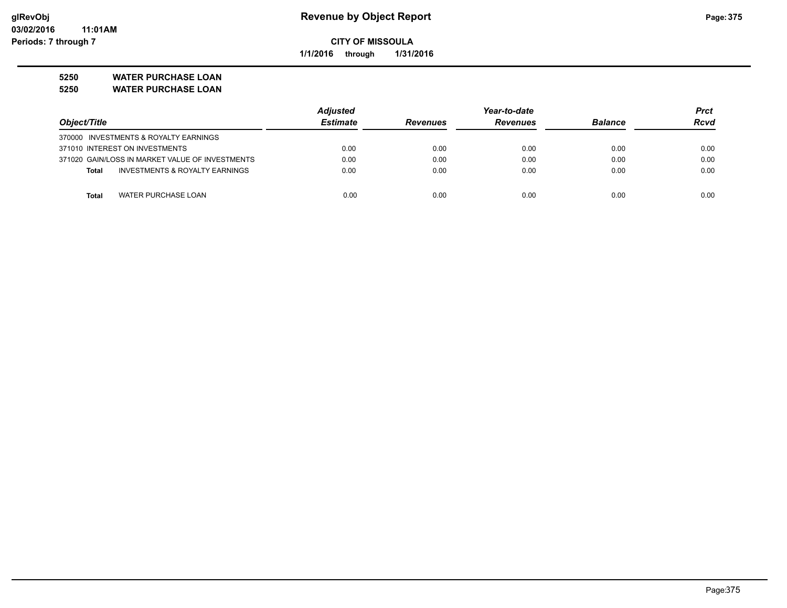**1/1/2016 through 1/31/2016**

**5250 WATER PURCHASE LOAN**

| 5250 | <b>WATER PURCHASE LOAN</b> |  |
|------|----------------------------|--|
|      |                            |  |

|                                                 | <b>Adjusted</b> | Year-to-date    |                 |                | <b>Prct</b> |
|-------------------------------------------------|-----------------|-----------------|-----------------|----------------|-------------|
| Object/Title                                    | <b>Estimate</b> | <b>Revenues</b> | <b>Revenues</b> | <b>Balance</b> | <b>Rcvd</b> |
| 370000 INVESTMENTS & ROYALTY EARNINGS           |                 |                 |                 |                |             |
| 371010 INTEREST ON INVESTMENTS                  | 0.00            | 0.00            | 0.00            | 0.00           | 0.00        |
| 371020 GAIN/LOSS IN MARKET VALUE OF INVESTMENTS | 0.00            | 0.00            | 0.00            | 0.00           | 0.00        |
| INVESTMENTS & ROYALTY EARNINGS<br><b>Total</b>  | 0.00            | 0.00            | 0.00            | 0.00           | 0.00        |
|                                                 |                 |                 |                 |                |             |
| WATER PURCHASE LOAN<br>Total                    | 0.00            | 0.00            | 0.00            | 0.00           | 0.00        |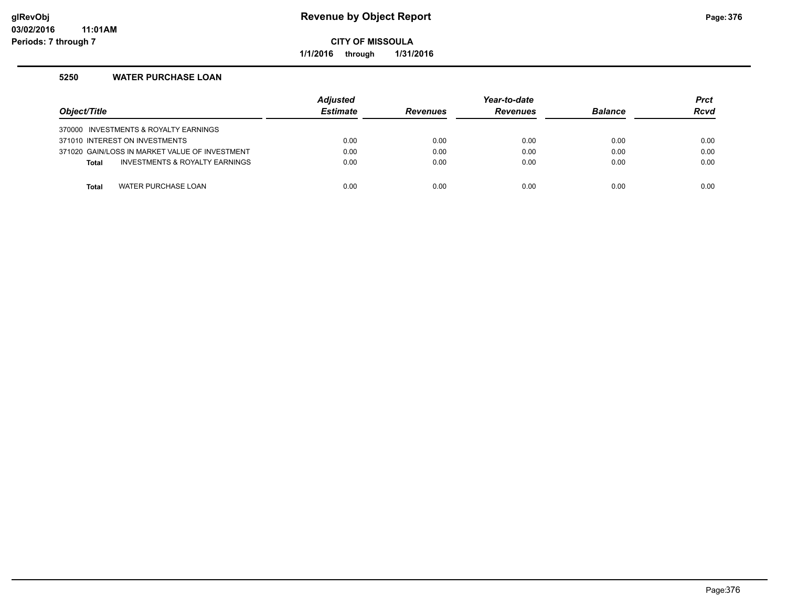# **glRevObj Revenue by Object Report Page:376**

**CITY OF MISSOULA**

**1/1/2016 through 1/31/2016**

#### **5250 WATER PURCHASE LOAN**

| Object/Title                   |                                                | <b>Adjusted</b><br><b>Estimate</b> | <b>Revenues</b> | Year-to-date<br><b>Revenues</b> | <b>Balance</b> | <b>Prct</b><br>Rcvd |
|--------------------------------|------------------------------------------------|------------------------------------|-----------------|---------------------------------|----------------|---------------------|
|                                | 370000 INVESTMENTS & ROYALTY EARNINGS          |                                    |                 |                                 |                |                     |
| 371010 INTEREST ON INVESTMENTS |                                                | 0.00                               | 0.00            | 0.00                            | 0.00           | 0.00                |
|                                | 371020 GAIN/LOSS IN MARKET VALUE OF INVESTMENT | 0.00                               | 0.00            | 0.00                            | 0.00           | 0.00                |
| <b>Total</b>                   | <b>INVESTMENTS &amp; ROYALTY EARNINGS</b>      | 0.00                               | 0.00            | 0.00                            | 0.00           | 0.00                |
|                                |                                                |                                    |                 |                                 |                |                     |
| Total                          | WATER PURCHASE LOAN                            | 0.00                               | 0.00            | 0.00                            | 0.00           | 0.00                |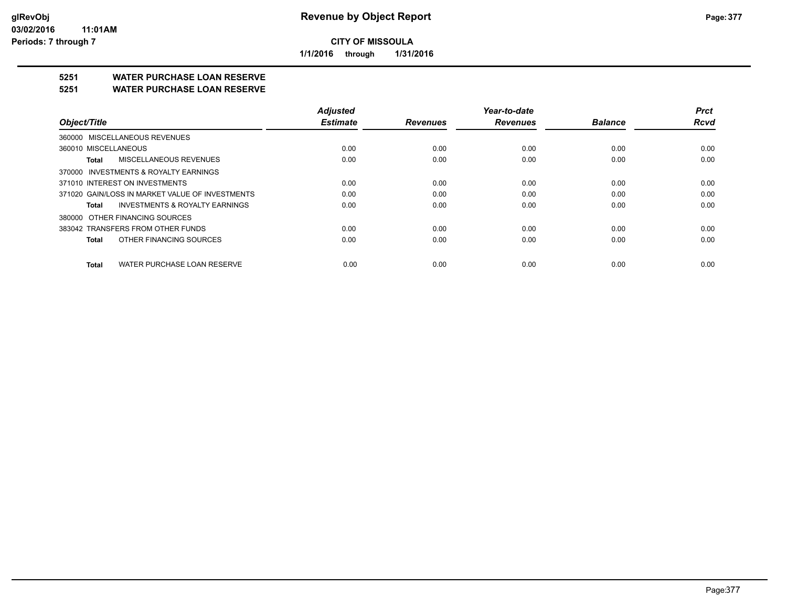**1/1/2016 through 1/31/2016**

# **5251 WATER PURCHASE LOAN RESERVE**

#### **5251 WATER PURCHASE LOAN RESERVE**

|                                                 | <b>Adjusted</b> |                 | Year-to-date    |                | <b>Prct</b> |
|-------------------------------------------------|-----------------|-----------------|-----------------|----------------|-------------|
| Object/Title                                    | <b>Estimate</b> | <b>Revenues</b> | <b>Revenues</b> | <b>Balance</b> | <b>Rcvd</b> |
| 360000 MISCELLANEOUS REVENUES                   |                 |                 |                 |                |             |
| 360010 MISCELLANEOUS                            | 0.00            | 0.00            | 0.00            | 0.00           | 0.00        |
| MISCELLANEOUS REVENUES<br>Total                 | 0.00            | 0.00            | 0.00            | 0.00           | 0.00        |
| 370000 INVESTMENTS & ROYALTY EARNINGS           |                 |                 |                 |                |             |
| 371010 INTEREST ON INVESTMENTS                  | 0.00            | 0.00            | 0.00            | 0.00           | 0.00        |
| 371020 GAIN/LOSS IN MARKET VALUE OF INVESTMENTS | 0.00            | 0.00            | 0.00            | 0.00           | 0.00        |
| INVESTMENTS & ROYALTY EARNINGS<br>Total         | 0.00            | 0.00            | 0.00            | 0.00           | 0.00        |
| 380000 OTHER FINANCING SOURCES                  |                 |                 |                 |                |             |
| 383042 TRANSFERS FROM OTHER FUNDS               | 0.00            | 0.00            | 0.00            | 0.00           | 0.00        |
| OTHER FINANCING SOURCES<br>Total                | 0.00            | 0.00            | 0.00            | 0.00           | 0.00        |
| WATER PURCHASE LOAN RESERVE<br>Total            | 0.00            | 0.00            | 0.00            | 0.00           | 0.00        |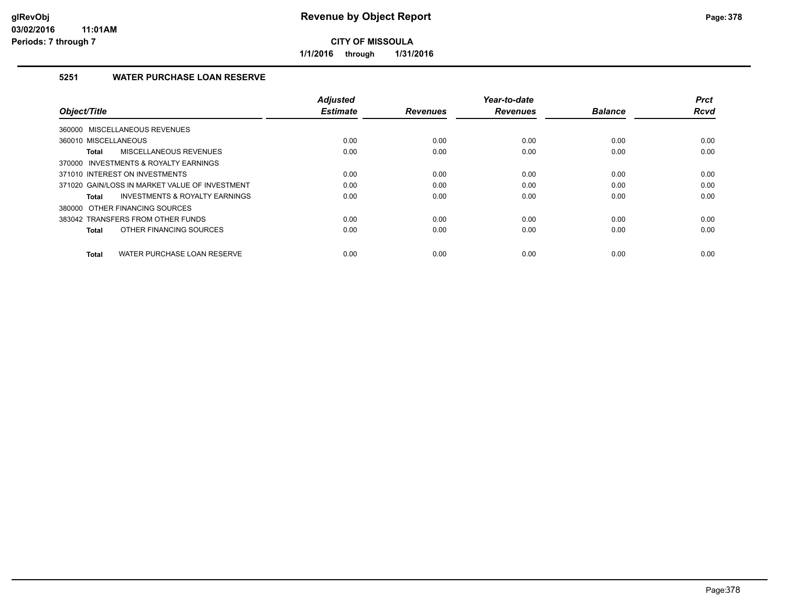**1/1/2016 through 1/31/2016**

# **5251 WATER PURCHASE LOAN RESERVE**

| <b>Adjusted</b> | <b>Revenues</b>         | Year-to-date |                         | <b>Prct</b><br><b>Rcvd</b> |
|-----------------|-------------------------|--------------|-------------------------|----------------------------|
|                 |                         |              |                         |                            |
|                 |                         |              |                         |                            |
| 0.00            | 0.00                    | 0.00         | 0.00                    | 0.00                       |
| 0.00            | 0.00                    | 0.00         | 0.00                    | 0.00                       |
|                 |                         |              |                         |                            |
| 0.00            | 0.00                    | 0.00         | 0.00                    | 0.00                       |
| 0.00            | 0.00                    | 0.00         | 0.00                    | 0.00                       |
| 0.00            | 0.00                    | 0.00         | 0.00                    | 0.00                       |
|                 |                         |              |                         |                            |
| 0.00            | 0.00                    | 0.00         | 0.00                    | 0.00                       |
| 0.00            | 0.00                    | 0.00         | 0.00                    | 0.00                       |
|                 |                         |              |                         | 0.00                       |
|                 | <b>Estimate</b><br>0.00 | 0.00         | <b>Revenues</b><br>0.00 | <b>Balance</b><br>0.00     |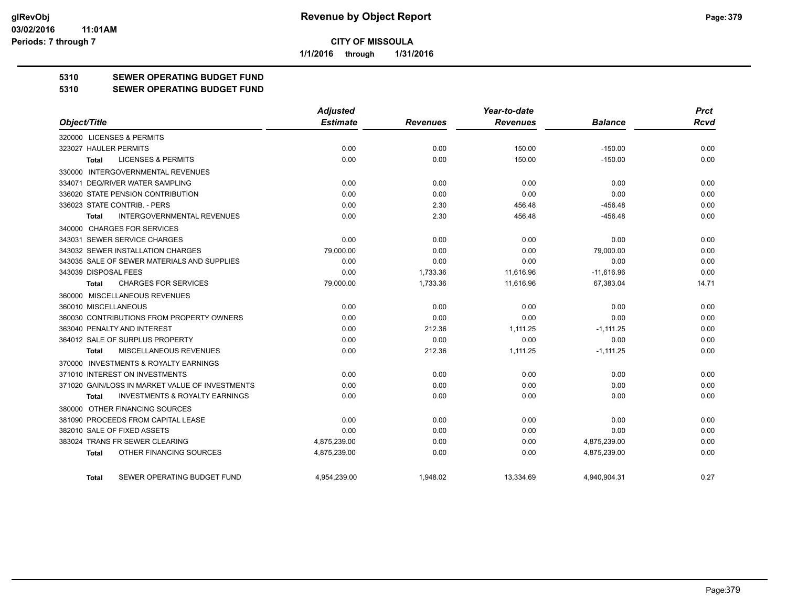**1/1/2016 through 1/31/2016**

# **5310 SEWER OPERATING BUDGET FUND**

#### **5310 SEWER OPERATING BUDGET FUND**

|                                                    | <b>Adjusted</b> |                 | Year-to-date    |                | <b>Prct</b> |
|----------------------------------------------------|-----------------|-----------------|-----------------|----------------|-------------|
| Object/Title                                       | <b>Estimate</b> | <b>Revenues</b> | <b>Revenues</b> | <b>Balance</b> | Rcvd        |
| 320000 LICENSES & PERMITS                          |                 |                 |                 |                |             |
| 323027 HAULER PERMITS                              | 0.00            | 0.00            | 150.00          | $-150.00$      | 0.00        |
| <b>LICENSES &amp; PERMITS</b><br><b>Total</b>      | 0.00            | 0.00            | 150.00          | $-150.00$      | 0.00        |
| 330000 INTERGOVERNMENTAL REVENUES                  |                 |                 |                 |                |             |
| 334071 DEQ/RIVER WATER SAMPLING                    | 0.00            | 0.00            | 0.00            | 0.00           | 0.00        |
| 336020 STATE PENSION CONTRIBUTION                  | 0.00            | 0.00            | 0.00            | 0.00           | 0.00        |
| 336023 STATE CONTRIB. - PERS                       | 0.00            | 2.30            | 456.48          | $-456.48$      | 0.00        |
| <b>INTERGOVERNMENTAL REVENUES</b><br>Total         | 0.00            | 2.30            | 456.48          | $-456.48$      | 0.00        |
| 340000 CHARGES FOR SERVICES                        |                 |                 |                 |                |             |
| 343031 SEWER SERVICE CHARGES                       | 0.00            | 0.00            | 0.00            | 0.00           | 0.00        |
| 343032 SEWER INSTALLATION CHARGES                  | 79,000.00       | 0.00            | 0.00            | 79,000.00      | 0.00        |
| 343035 SALE OF SEWER MATERIALS AND SUPPLIES        | 0.00            | 0.00            | 0.00            | 0.00           | 0.00        |
| 343039 DISPOSAL FEES                               | 0.00            | 1,733.36        | 11,616.96       | $-11,616.96$   | 0.00        |
| <b>CHARGES FOR SERVICES</b><br>Total               | 79,000.00       | 1,733.36        | 11,616.96       | 67,383.04      | 14.71       |
| 360000 MISCELLANEOUS REVENUES                      |                 |                 |                 |                |             |
| 360010 MISCELLANEOUS                               | 0.00            | 0.00            | 0.00            | 0.00           | 0.00        |
| 360030 CONTRIBUTIONS FROM PROPERTY OWNERS          | 0.00            | 0.00            | 0.00            | 0.00           | 0.00        |
| 363040 PENALTY AND INTEREST                        | 0.00            | 212.36          | 1,111.25        | $-1,111.25$    | 0.00        |
| 364012 SALE OF SURPLUS PROPERTY                    | 0.00            | 0.00            | 0.00            | 0.00           | 0.00        |
| MISCELLANEOUS REVENUES<br>Total                    | 0.00            | 212.36          | 1,111.25        | $-1,111.25$    | 0.00        |
| 370000 INVESTMENTS & ROYALTY EARNINGS              |                 |                 |                 |                |             |
| 371010 INTEREST ON INVESTMENTS                     | 0.00            | 0.00            | 0.00            | 0.00           | 0.00        |
| 371020 GAIN/LOSS IN MARKET VALUE OF INVESTMENTS    | 0.00            | 0.00            | 0.00            | 0.00           | 0.00        |
| <b>INVESTMENTS &amp; ROYALTY EARNINGS</b><br>Total | 0.00            | 0.00            | 0.00            | 0.00           | 0.00        |
| 380000 OTHER FINANCING SOURCES                     |                 |                 |                 |                |             |
| 381090 PROCEEDS FROM CAPITAL LEASE                 | 0.00            | 0.00            | 0.00            | 0.00           | 0.00        |
| 382010 SALE OF FIXED ASSETS                        | 0.00            | 0.00            | 0.00            | 0.00           | 0.00        |
| 383024 TRANS FR SEWER CLEARING                     | 4,875,239.00    | 0.00            | 0.00            | 4,875,239.00   | 0.00        |
| OTHER FINANCING SOURCES<br>Total                   | 4,875,239.00    | 0.00            | 0.00            | 4,875,239.00   | 0.00        |
| SEWER OPERATING BUDGET FUND<br>Total               | 4.954.239.00    | 1.948.02        | 13,334.69       | 4.940.904.31   | 0.27        |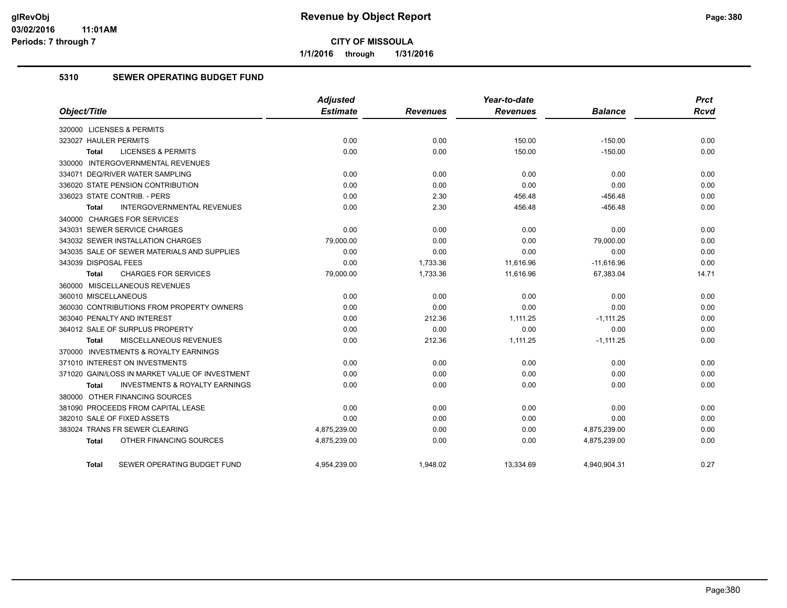**1/1/2016 through 1/31/2016**

## **5310 SEWER OPERATING BUDGET FUND**

|                                                           | <b>Adjusted</b> |                 | Year-to-date    |                | <b>Prct</b> |
|-----------------------------------------------------------|-----------------|-----------------|-----------------|----------------|-------------|
| Object/Title                                              | <b>Estimate</b> | <b>Revenues</b> | <b>Revenues</b> | <b>Balance</b> | <b>Rcvd</b> |
| 320000 LICENSES & PERMITS                                 |                 |                 |                 |                |             |
| 323027 HAULER PERMITS                                     | 0.00            | 0.00            | 150.00          | $-150.00$      | 0.00        |
| <b>LICENSES &amp; PERMITS</b><br><b>Total</b>             | 0.00            | 0.00            | 150.00          | $-150.00$      | 0.00        |
| 330000 INTERGOVERNMENTAL REVENUES                         |                 |                 |                 |                |             |
| 334071 DEQ/RIVER WATER SAMPLING                           | 0.00            | 0.00            | 0.00            | 0.00           | 0.00        |
| 336020 STATE PENSION CONTRIBUTION                         | 0.00            | 0.00            | 0.00            | 0.00           | 0.00        |
| 336023 STATE CONTRIB. - PERS                              | 0.00            | 2.30            | 456.48          | $-456.48$      | 0.00        |
| <b>INTERGOVERNMENTAL REVENUES</b><br><b>Total</b>         | 0.00            | 2.30            | 456.48          | $-456.48$      | 0.00        |
| 340000 CHARGES FOR SERVICES                               |                 |                 |                 |                |             |
| 343031 SEWER SERVICE CHARGES                              | 0.00            | 0.00            | 0.00            | 0.00           | 0.00        |
| 343032 SEWER INSTALLATION CHARGES                         | 79,000.00       | 0.00            | 0.00            | 79,000.00      | 0.00        |
| 343035 SALE OF SEWER MATERIALS AND SUPPLIES               | 0.00            | 0.00            | 0.00            | 0.00           | 0.00        |
| 343039 DISPOSAL FEES                                      | 0.00            | 1,733.36        | 11,616.96       | $-11,616.96$   | 0.00        |
| <b>CHARGES FOR SERVICES</b><br><b>Total</b>               | 79,000.00       | 1,733.36        | 11,616.96       | 67,383.04      | 14.71       |
| 360000 MISCELLANEOUS REVENUES                             |                 |                 |                 |                |             |
| 360010 MISCELLANEOUS                                      | 0.00            | 0.00            | 0.00            | 0.00           | 0.00        |
| 360030 CONTRIBUTIONS FROM PROPERTY OWNERS                 | 0.00            | 0.00            | 0.00            | 0.00           | 0.00        |
| 363040 PENALTY AND INTEREST                               | 0.00            | 212.36          | 1.111.25        | $-1.111.25$    | 0.00        |
| 364012 SALE OF SURPLUS PROPERTY                           | 0.00            | 0.00            | 0.00            | 0.00           | 0.00        |
| MISCELLANEOUS REVENUES<br>Total                           | 0.00            | 212.36          | 1,111.25        | $-1,111.25$    | 0.00        |
| 370000 INVESTMENTS & ROYALTY EARNINGS                     |                 |                 |                 |                |             |
| 371010 INTEREST ON INVESTMENTS                            | 0.00            | 0.00            | 0.00            | 0.00           | 0.00        |
| 371020 GAIN/LOSS IN MARKET VALUE OF INVESTMENT            | 0.00            | 0.00            | 0.00            | 0.00           | 0.00        |
| <b>INVESTMENTS &amp; ROYALTY EARNINGS</b><br><b>Total</b> | 0.00            | 0.00            | 0.00            | 0.00           | 0.00        |
| 380000 OTHER FINANCING SOURCES                            |                 |                 |                 |                |             |
| 381090 PROCEEDS FROM CAPITAL LEASE                        | 0.00            | 0.00            | 0.00            | 0.00           | 0.00        |
| 382010 SALE OF FIXED ASSETS                               | 0.00            | 0.00            | 0.00            | 0.00           | 0.00        |
| 383024 TRANS FR SEWER CLEARING                            | 4,875,239.00    | 0.00            | 0.00            | 4,875,239.00   | 0.00        |
| OTHER FINANCING SOURCES<br>Total                          | 4,875,239.00    | 0.00            | 0.00            | 4,875,239.00   | 0.00        |
| SEWER OPERATING BUDGET FUND<br>Total                      | 4,954,239.00    | 1,948.02        | 13,334.69       | 4,940,904.31   | 0.27        |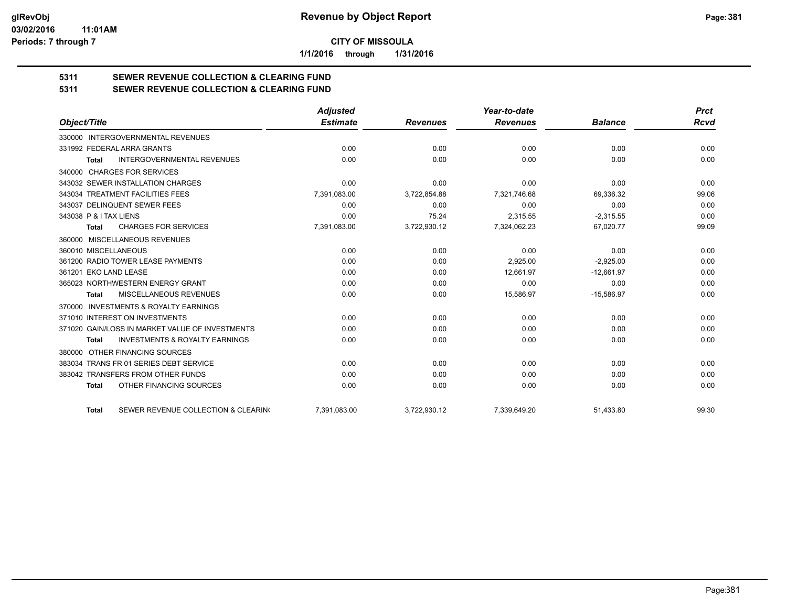**1/1/2016 through 1/31/2016**

# **5311 SEWER REVENUE COLLECTION & CLEARING FUND**

| 5311 | SEWER REVENUE COLLECTION & CLEARING FUND |
|------|------------------------------------------|
|      |                                          |

|                                                           | <b>Adjusted</b> |                 | Year-to-date    |                | <b>Prct</b> |
|-----------------------------------------------------------|-----------------|-----------------|-----------------|----------------|-------------|
| Object/Title                                              | <b>Estimate</b> | <b>Revenues</b> | <b>Revenues</b> | <b>Balance</b> | <b>Rcvd</b> |
| 330000 INTERGOVERNMENTAL REVENUES                         |                 |                 |                 |                |             |
| 331992 FEDERAL ARRA GRANTS                                | 0.00            | 0.00            | 0.00            | 0.00           | 0.00        |
| <b>INTERGOVERNMENTAL REVENUES</b><br><b>Total</b>         | 0.00            | 0.00            | 0.00            | 0.00           | 0.00        |
| 340000 CHARGES FOR SERVICES                               |                 |                 |                 |                |             |
| 343032 SEWER INSTALLATION CHARGES                         | 0.00            | 0.00            | 0.00            | 0.00           | 0.00        |
| 343034 TREATMENT FACILITIES FEES                          | 7,391,083.00    | 3,722,854.88    | 7,321,746.68    | 69.336.32      | 99.06       |
| 343037 DELINQUENT SEWER FEES                              | 0.00            | 0.00            | 0.00            | 0.00           | 0.00        |
| 343038 P & I TAX LIENS                                    | 0.00            | 75.24           | 2,315.55        | $-2,315.55$    | 0.00        |
| <b>CHARGES FOR SERVICES</b><br><b>Total</b>               | 7,391,083.00    | 3,722,930.12    | 7,324,062.23    | 67,020.77      | 99.09       |
| MISCELLANEOUS REVENUES<br>360000                          |                 |                 |                 |                |             |
| 360010 MISCELLANEOUS                                      | 0.00            | 0.00            | 0.00            | 0.00           | 0.00        |
| 361200 RADIO TOWER LEASE PAYMENTS                         | 0.00            | 0.00            | 2,925.00        | $-2,925.00$    | 0.00        |
| 361201 EKO LAND LEASE                                     | 0.00            | 0.00            | 12,661.97       | $-12,661.97$   | 0.00        |
| 365023 NORTHWESTERN ENERGY GRANT                          | 0.00            | 0.00            | 0.00            | 0.00           | 0.00        |
| MISCELLANEOUS REVENUES<br><b>Total</b>                    | 0.00            | 0.00            | 15,586.97       | $-15,586.97$   | 0.00        |
| 370000 INVESTMENTS & ROYALTY EARNINGS                     |                 |                 |                 |                |             |
| 371010 INTEREST ON INVESTMENTS                            | 0.00            | 0.00            | 0.00            | 0.00           | 0.00        |
| 371020 GAIN/LOSS IN MARKET VALUE OF INVESTMENTS           | 0.00            | 0.00            | 0.00            | 0.00           | 0.00        |
| <b>INVESTMENTS &amp; ROYALTY EARNINGS</b><br><b>Total</b> | 0.00            | 0.00            | 0.00            | 0.00           | 0.00        |
| OTHER FINANCING SOURCES<br>380000                         |                 |                 |                 |                |             |
| 383034 TRANS FR 01 SERIES DEBT SERVICE                    | 0.00            | 0.00            | 0.00            | 0.00           | 0.00        |
| 383042 TRANSFERS FROM OTHER FUNDS                         | 0.00            | 0.00            | 0.00            | 0.00           | 0.00        |
| OTHER FINANCING SOURCES<br><b>Total</b>                   | 0.00            | 0.00            | 0.00            | 0.00           | 0.00        |
| SEWER REVENUE COLLECTION & CLEARING<br><b>Total</b>       | 7,391,083.00    | 3,722,930.12    | 7,339,649.20    | 51,433.80      | 99.30       |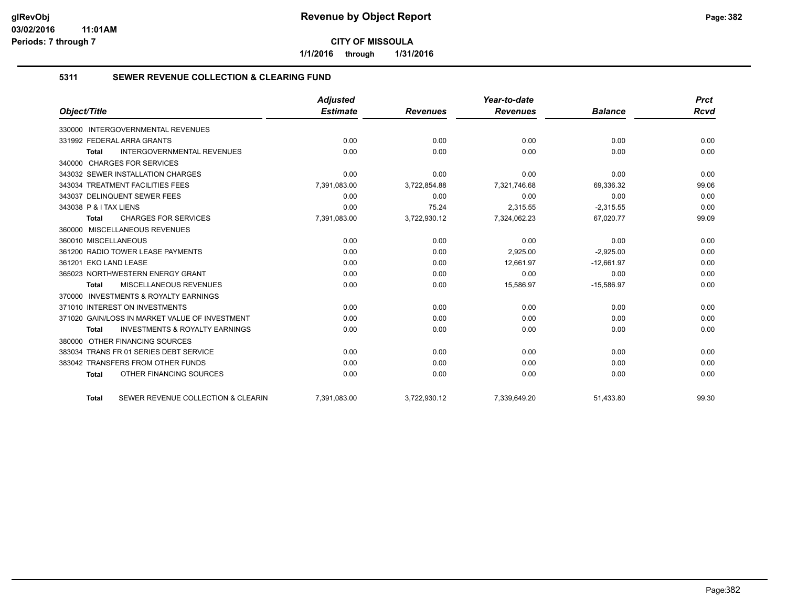**1/1/2016 through 1/31/2016**

# **5311 SEWER REVENUE COLLECTION & CLEARING FUND**

|                                                           | <b>Adjusted</b> |                 | Year-to-date    |                | <b>Prct</b> |
|-----------------------------------------------------------|-----------------|-----------------|-----------------|----------------|-------------|
| Object/Title                                              | <b>Estimate</b> | <b>Revenues</b> | <b>Revenues</b> | <b>Balance</b> | Rcvd        |
| 330000 INTERGOVERNMENTAL REVENUES                         |                 |                 |                 |                |             |
| 331992 FEDERAL ARRA GRANTS                                | 0.00            | 0.00            | 0.00            | 0.00           | 0.00        |
| <b>INTERGOVERNMENTAL REVENUES</b><br><b>Total</b>         | 0.00            | 0.00            | 0.00            | 0.00           | 0.00        |
| 340000 CHARGES FOR SERVICES                               |                 |                 |                 |                |             |
| 343032 SEWER INSTALLATION CHARGES                         | 0.00            | 0.00            | 0.00            | 0.00           | 0.00        |
| 343034 TREATMENT FACILITIES FEES                          | 7,391,083.00    | 3,722,854.88    | 7,321,746.68    | 69,336.32      | 99.06       |
| 343037 DELINQUENT SEWER FEES                              | 0.00            | 0.00            | 0.00            | 0.00           | 0.00        |
| 343038 P & I TAX LIENS                                    | 0.00            | 75.24           | 2.315.55        | $-2,315.55$    | 0.00        |
| <b>CHARGES FOR SERVICES</b><br><b>Total</b>               | 7,391,083.00    | 3,722,930.12    | 7,324,062.23    | 67,020.77      | 99.09       |
| 360000 MISCELLANEOUS REVENUES                             |                 |                 |                 |                |             |
| 360010 MISCELLANEOUS                                      | 0.00            | 0.00            | 0.00            | 0.00           | 0.00        |
| 361200 RADIO TOWER LEASE PAYMENTS                         | 0.00            | 0.00            | 2,925.00        | $-2,925.00$    | 0.00        |
| 361201 EKO LAND LEASE                                     | 0.00            | 0.00            | 12,661.97       | $-12,661.97$   | 0.00        |
| 365023 NORTHWESTERN ENERGY GRANT                          | 0.00            | 0.00            | 0.00            | 0.00           | 0.00        |
| MISCELLANEOUS REVENUES<br><b>Total</b>                    | 0.00            | 0.00            | 15,586.97       | $-15,586.97$   | 0.00        |
| <b>INVESTMENTS &amp; ROYALTY EARNINGS</b><br>370000       |                 |                 |                 |                |             |
| 371010 INTEREST ON INVESTMENTS                            | 0.00            | 0.00            | 0.00            | 0.00           | 0.00        |
| 371020 GAIN/LOSS IN MARKET VALUE OF INVESTMENT            | 0.00            | 0.00            | 0.00            | 0.00           | 0.00        |
| <b>INVESTMENTS &amp; ROYALTY EARNINGS</b><br><b>Total</b> | 0.00            | 0.00            | 0.00            | 0.00           | 0.00        |
| OTHER FINANCING SOURCES<br>380000                         |                 |                 |                 |                |             |
| 383034 TRANS FR 01 SERIES DEBT SERVICE                    | 0.00            | 0.00            | 0.00            | 0.00           | 0.00        |
| 383042 TRANSFERS FROM OTHER FUNDS                         | 0.00            | 0.00            | 0.00            | 0.00           | 0.00        |
| OTHER FINANCING SOURCES<br><b>Total</b>                   | 0.00            | 0.00            | 0.00            | 0.00           | 0.00        |
| SEWER REVENUE COLLECTION & CLEARIN<br><b>Total</b>        | 7,391,083.00    | 3,722,930.12    | 7,339,649.20    | 51,433.80      | 99.30       |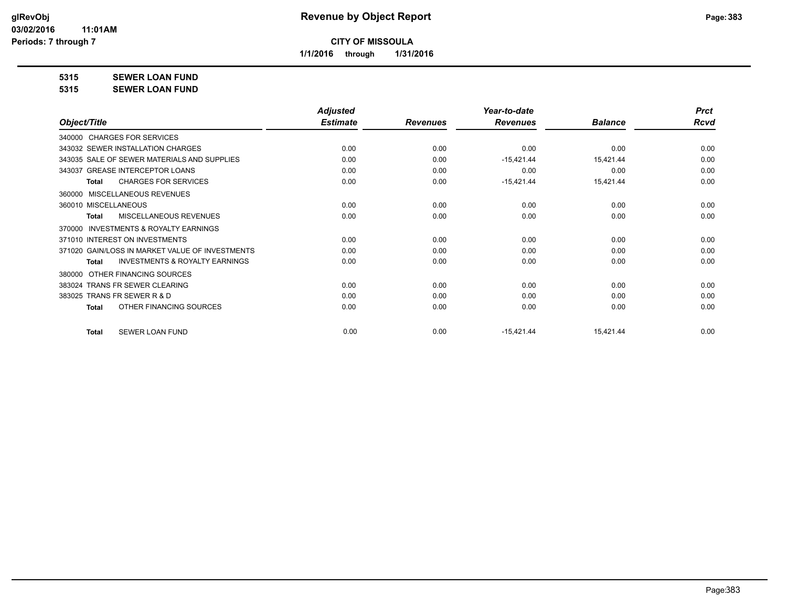**1/1/2016 through 1/31/2016**

**5315 SEWER LOAN FUND**

**5315 SEWER LOAN FUND**

|                                                           | <b>Adjusted</b> |                 | Year-to-date    |                | <b>Prct</b> |
|-----------------------------------------------------------|-----------------|-----------------|-----------------|----------------|-------------|
| Object/Title                                              | <b>Estimate</b> | <b>Revenues</b> | <b>Revenues</b> | <b>Balance</b> | Rcvd        |
| 340000 CHARGES FOR SERVICES                               |                 |                 |                 |                |             |
| 343032 SEWER INSTALLATION CHARGES                         | 0.00            | 0.00            | 0.00            | 0.00           | 0.00        |
| 343035 SALE OF SEWER MATERIALS AND SUPPLIES               | 0.00            | 0.00            | $-15,421.44$    | 15,421.44      | 0.00        |
| 343037 GREASE INTERCEPTOR LOANS                           | 0.00            | 0.00            | 0.00            | 0.00           | 0.00        |
| <b>CHARGES FOR SERVICES</b><br><b>Total</b>               | 0.00            | 0.00            | $-15,421.44$    | 15,421.44      | 0.00        |
| MISCELLANEOUS REVENUES<br>360000                          |                 |                 |                 |                |             |
| 360010 MISCELLANEOUS                                      | 0.00            | 0.00            | 0.00            | 0.00           | 0.00        |
| <b>MISCELLANEOUS REVENUES</b><br><b>Total</b>             | 0.00            | 0.00            | 0.00            | 0.00           | 0.00        |
| <b>INVESTMENTS &amp; ROYALTY EARNINGS</b><br>370000       |                 |                 |                 |                |             |
| 371010 INTEREST ON INVESTMENTS                            | 0.00            | 0.00            | 0.00            | 0.00           | 0.00        |
| 371020 GAIN/LOSS IN MARKET VALUE OF INVESTMENTS           | 0.00            | 0.00            | 0.00            | 0.00           | 0.00        |
| <b>INVESTMENTS &amp; ROYALTY EARNINGS</b><br><b>Total</b> | 0.00            | 0.00            | 0.00            | 0.00           | 0.00        |
| OTHER FINANCING SOURCES<br>380000                         |                 |                 |                 |                |             |
| 383024 TRANS FR SEWER CLEARING                            | 0.00            | 0.00            | 0.00            | 0.00           | 0.00        |
| 383025 TRANS FR SEWER R & D                               | 0.00            | 0.00            | 0.00            | 0.00           | 0.00        |
| OTHER FINANCING SOURCES<br><b>Total</b>                   | 0.00            | 0.00            | 0.00            | 0.00           | 0.00        |
| <b>SEWER LOAN FUND</b><br><b>Total</b>                    | 0.00            | 0.00            | $-15,421.44$    | 15,421.44      | 0.00        |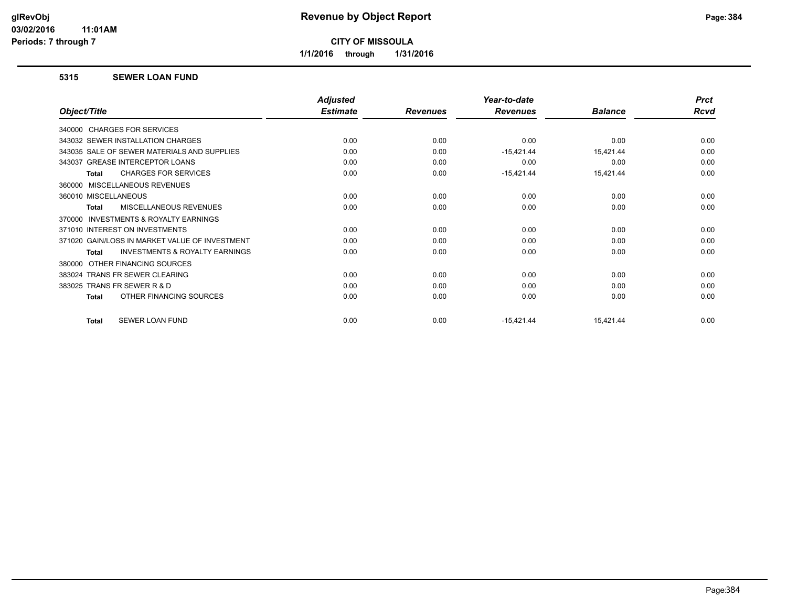**1/1/2016 through 1/31/2016**

#### **5315 SEWER LOAN FUND**

|                                                           | <b>Adjusted</b> |                 | Year-to-date    |                | <b>Prct</b> |
|-----------------------------------------------------------|-----------------|-----------------|-----------------|----------------|-------------|
| Object/Title                                              | <b>Estimate</b> | <b>Revenues</b> | <b>Revenues</b> | <b>Balance</b> | <b>Rcvd</b> |
| 340000 CHARGES FOR SERVICES                               |                 |                 |                 |                |             |
| 343032 SEWER INSTALLATION CHARGES                         | 0.00            | 0.00            | 0.00            | 0.00           | 0.00        |
| 343035 SALE OF SEWER MATERIALS AND SUPPLIES               | 0.00            | 0.00            | $-15,421.44$    | 15,421.44      | 0.00        |
| 343037 GREASE INTERCEPTOR LOANS                           | 0.00            | 0.00            | 0.00            | 0.00           | 0.00        |
| <b>CHARGES FOR SERVICES</b><br>Total                      | 0.00            | 0.00            | $-15,421.44$    | 15,421.44      | 0.00        |
| 360000 MISCELLANEOUS REVENUES                             |                 |                 |                 |                |             |
| 360010 MISCELLANEOUS                                      | 0.00            | 0.00            | 0.00            | 0.00           | 0.00        |
| <b>MISCELLANEOUS REVENUES</b><br><b>Total</b>             | 0.00            | 0.00            | 0.00            | 0.00           | 0.00        |
| INVESTMENTS & ROYALTY EARNINGS<br>370000                  |                 |                 |                 |                |             |
| 371010 INTEREST ON INVESTMENTS                            | 0.00            | 0.00            | 0.00            | 0.00           | 0.00        |
| 371020 GAIN/LOSS IN MARKET VALUE OF INVESTMENT            | 0.00            | 0.00            | 0.00            | 0.00           | 0.00        |
| <b>INVESTMENTS &amp; ROYALTY EARNINGS</b><br><b>Total</b> | 0.00            | 0.00            | 0.00            | 0.00           | 0.00        |
| OTHER FINANCING SOURCES<br>380000                         |                 |                 |                 |                |             |
| 383024 TRANS FR SEWER CLEARING                            | 0.00            | 0.00            | 0.00            | 0.00           | 0.00        |
| 383025 TRANS FR SEWER R & D                               | 0.00            | 0.00            | 0.00            | 0.00           | 0.00        |
| OTHER FINANCING SOURCES<br><b>Total</b>                   | 0.00            | 0.00            | 0.00            | 0.00           | 0.00        |
| SEWER LOAN FUND<br><b>Total</b>                           | 0.00            | 0.00            | $-15,421.44$    | 15,421.44      | 0.00        |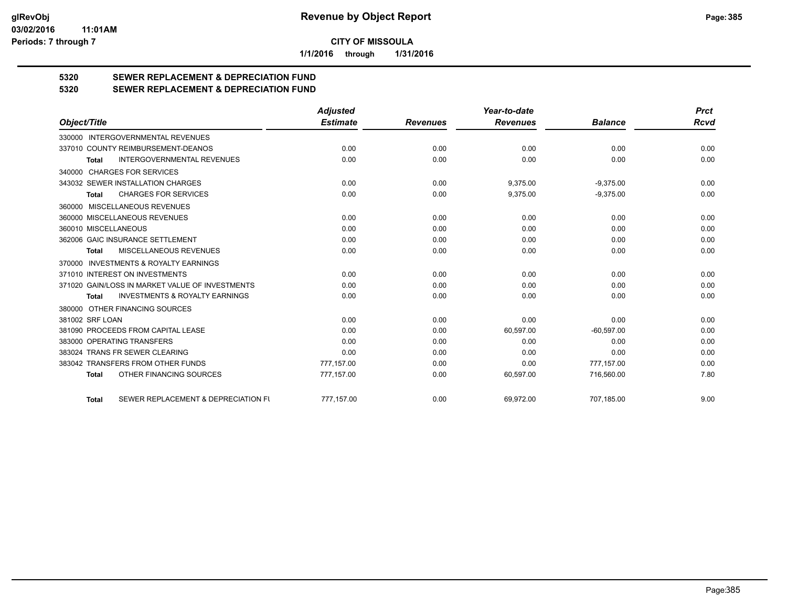**1/1/2016 through 1/31/2016**

# **5320 SEWER REPLACEMENT & DEPRECIATION FUND**

# **5320 SEWER REPLACEMENT & DEPRECIATION FUND**

|                                                           | <b>Adjusted</b> |                 | Year-to-date    |                | <b>Prct</b> |
|-----------------------------------------------------------|-----------------|-----------------|-----------------|----------------|-------------|
| Object/Title                                              | <b>Estimate</b> | <b>Revenues</b> | <b>Revenues</b> | <b>Balance</b> | Rcvd        |
| 330000 INTERGOVERNMENTAL REVENUES                         |                 |                 |                 |                |             |
| 337010 COUNTY REIMBURSEMENT-DEANOS                        | 0.00            | 0.00            | 0.00            | 0.00           | 0.00        |
| <b>INTERGOVERNMENTAL REVENUES</b><br><b>Total</b>         | 0.00            | 0.00            | 0.00            | 0.00           | 0.00        |
| 340000 CHARGES FOR SERVICES                               |                 |                 |                 |                |             |
| 343032 SEWER INSTALLATION CHARGES                         | 0.00            | 0.00            | 9,375.00        | $-9,375.00$    | 0.00        |
| <b>CHARGES FOR SERVICES</b><br><b>Total</b>               | 0.00            | 0.00            | 9,375.00        | $-9,375.00$    | 0.00        |
| 360000 MISCELLANEOUS REVENUES                             |                 |                 |                 |                |             |
| 360000 MISCELLANEOUS REVENUES                             | 0.00            | 0.00            | 0.00            | 0.00           | 0.00        |
| 360010 MISCELLANEOUS                                      | 0.00            | 0.00            | 0.00            | 0.00           | 0.00        |
| 362006 GAIC INSURANCE SETTLEMENT                          | 0.00            | 0.00            | 0.00            | 0.00           | 0.00        |
| MISCELLANEOUS REVENUES<br><b>Total</b>                    | 0.00            | 0.00            | 0.00            | 0.00           | 0.00        |
| 370000 INVESTMENTS & ROYALTY EARNINGS                     |                 |                 |                 |                |             |
| 371010 INTEREST ON INVESTMENTS                            | 0.00            | 0.00            | 0.00            | 0.00           | 0.00        |
| 371020 GAIN/LOSS IN MARKET VALUE OF INVESTMENTS           | 0.00            | 0.00            | 0.00            | 0.00           | 0.00        |
| <b>INVESTMENTS &amp; ROYALTY EARNINGS</b><br><b>Total</b> | 0.00            | 0.00            | 0.00            | 0.00           | 0.00        |
| 380000 OTHER FINANCING SOURCES                            |                 |                 |                 |                |             |
| 381002 SRF LOAN                                           | 0.00            | 0.00            | 0.00            | 0.00           | 0.00        |
| 381090 PROCEEDS FROM CAPITAL LEASE                        | 0.00            | 0.00            | 60,597.00       | $-60.597.00$   | 0.00        |
| 383000 OPERATING TRANSFERS                                | 0.00            | 0.00            | 0.00            | 0.00           | 0.00        |
| 383024 TRANS FR SEWER CLEARING                            | 0.00            | 0.00            | 0.00            | 0.00           | 0.00        |
| 383042 TRANSFERS FROM OTHER FUNDS                         | 777.157.00      | 0.00            | 0.00            | 777,157.00     | 0.00        |
| OTHER FINANCING SOURCES<br><b>Total</b>                   | 777,157.00      | 0.00            | 60,597.00       | 716,560.00     | 7.80        |
| SEWER REPLACEMENT & DEPRECIATION FU<br><b>Total</b>       | 777,157.00      | 0.00            | 69,972.00       | 707,185.00     | 9.00        |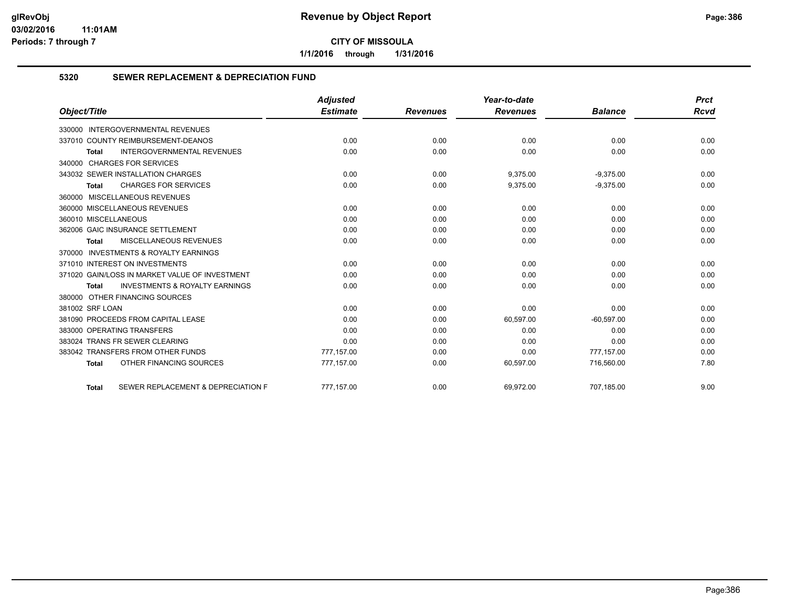**1/1/2016 through 1/31/2016**

## **5320 SEWER REPLACEMENT & DEPRECIATION FUND**

|                                                           | <b>Adjusted</b> |                 | Year-to-date    |                | <b>Prct</b> |
|-----------------------------------------------------------|-----------------|-----------------|-----------------|----------------|-------------|
| Object/Title                                              | <b>Estimate</b> | <b>Revenues</b> | <b>Revenues</b> | <b>Balance</b> | Rcvd        |
| 330000 INTERGOVERNMENTAL REVENUES                         |                 |                 |                 |                |             |
| 337010 COUNTY REIMBURSEMENT-DEANOS                        | 0.00            | 0.00            | 0.00            | 0.00           | 0.00        |
| <b>INTERGOVERNMENTAL REVENUES</b><br><b>Total</b>         | 0.00            | 0.00            | 0.00            | 0.00           | 0.00        |
| 340000 CHARGES FOR SERVICES                               |                 |                 |                 |                |             |
| 343032 SEWER INSTALLATION CHARGES                         | 0.00            | 0.00            | 9,375.00        | $-9,375.00$    | 0.00        |
| <b>CHARGES FOR SERVICES</b><br><b>Total</b>               | 0.00            | 0.00            | 9,375.00        | $-9,375.00$    | 0.00        |
| 360000 MISCELLANEOUS REVENUES                             |                 |                 |                 |                |             |
| 360000 MISCELLANEOUS REVENUES                             | 0.00            | 0.00            | 0.00            | 0.00           | 0.00        |
| 360010 MISCELLANEOUS                                      | 0.00            | 0.00            | 0.00            | 0.00           | 0.00        |
| 362006 GAIC INSURANCE SETTLEMENT                          | 0.00            | 0.00            | 0.00            | 0.00           | 0.00        |
| <b>MISCELLANEOUS REVENUES</b><br><b>Total</b>             | 0.00            | 0.00            | 0.00            | 0.00           | 0.00        |
| 370000 INVESTMENTS & ROYALTY EARNINGS                     |                 |                 |                 |                |             |
| 371010 INTEREST ON INVESTMENTS                            | 0.00            | 0.00            | 0.00            | 0.00           | 0.00        |
| 371020 GAIN/LOSS IN MARKET VALUE OF INVESTMENT            | 0.00            | 0.00            | 0.00            | 0.00           | 0.00        |
| <b>INVESTMENTS &amp; ROYALTY EARNINGS</b><br><b>Total</b> | 0.00            | 0.00            | 0.00            | 0.00           | 0.00        |
| 380000 OTHER FINANCING SOURCES                            |                 |                 |                 |                |             |
| 381002 SRF LOAN                                           | 0.00            | 0.00            | 0.00            | 0.00           | 0.00        |
| 381090 PROCEEDS FROM CAPITAL LEASE                        | 0.00            | 0.00            | 60,597.00       | $-60,597.00$   | 0.00        |
| 383000 OPERATING TRANSFERS                                | 0.00            | 0.00            | 0.00            | 0.00           | 0.00        |
| 383024 TRANS FR SEWER CLEARING                            | 0.00            | 0.00            | 0.00            | 0.00           | 0.00        |
| 383042 TRANSFERS FROM OTHER FUNDS                         | 777,157.00      | 0.00            | 0.00            | 777,157.00     | 0.00        |
| OTHER FINANCING SOURCES<br><b>Total</b>                   | 777,157.00      | 0.00            | 60,597.00       | 716,560.00     | 7.80        |
| SEWER REPLACEMENT & DEPRECIATION F<br><b>Total</b>        | 777.157.00      | 0.00            | 69.972.00       | 707.185.00     | 9.00        |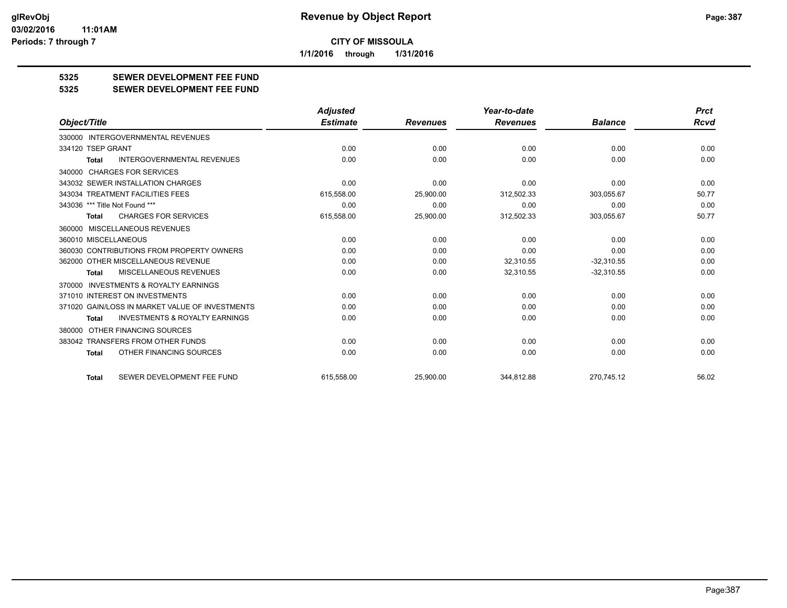**1/1/2016 through 1/31/2016**

**5325 SEWER DEVELOPMENT FEE FUND**

**5325 SEWER DEVELOPMENT FEE FUND**

|                                                           | <b>Adjusted</b> |                 | Year-to-date    |                | <b>Prct</b> |
|-----------------------------------------------------------|-----------------|-----------------|-----------------|----------------|-------------|
| Object/Title                                              | <b>Estimate</b> | <b>Revenues</b> | <b>Revenues</b> | <b>Balance</b> | <b>Rcvd</b> |
| 330000 INTERGOVERNMENTAL REVENUES                         |                 |                 |                 |                |             |
| 334120 TSEP GRANT                                         | 0.00            | 0.00            | 0.00            | 0.00           | 0.00        |
| <b>INTERGOVERNMENTAL REVENUES</b><br><b>Total</b>         | 0.00            | 0.00            | 0.00            | 0.00           | 0.00        |
| 340000 CHARGES FOR SERVICES                               |                 |                 |                 |                |             |
| 343032 SEWER INSTALLATION CHARGES                         | 0.00            | 0.00            | 0.00            | 0.00           | 0.00        |
| 343034 TREATMENT FACILITIES FEES                          | 615,558.00      | 25,900.00       | 312,502.33      | 303,055.67     | 50.77       |
| 343036 *** Title Not Found ***                            | 0.00            | 0.00            | 0.00            | 0.00           | 0.00        |
| <b>CHARGES FOR SERVICES</b><br><b>Total</b>               | 615,558.00      | 25,900.00       | 312,502.33      | 303,055.67     | 50.77       |
| 360000 MISCELLANEOUS REVENUES                             |                 |                 |                 |                |             |
| 360010 MISCELLANEOUS                                      | 0.00            | 0.00            | 0.00            | 0.00           | 0.00        |
| 360030 CONTRIBUTIONS FROM PROPERTY OWNERS                 | 0.00            | 0.00            | 0.00            | 0.00           | 0.00        |
| 362000 OTHER MISCELLANEOUS REVENUE                        | 0.00            | 0.00            | 32,310.55       | $-32,310.55$   | 0.00        |
| MISCELLANEOUS REVENUES<br><b>Total</b>                    | 0.00            | 0.00            | 32,310.55       | $-32,310.55$   | 0.00        |
| <b>INVESTMENTS &amp; ROYALTY EARNINGS</b><br>370000       |                 |                 |                 |                |             |
| 371010 INTEREST ON INVESTMENTS                            | 0.00            | 0.00            | 0.00            | 0.00           | 0.00        |
| 371020 GAIN/LOSS IN MARKET VALUE OF INVESTMENTS           | 0.00            | 0.00            | 0.00            | 0.00           | 0.00        |
| <b>INVESTMENTS &amp; ROYALTY EARNINGS</b><br><b>Total</b> | 0.00            | 0.00            | 0.00            | 0.00           | 0.00        |
| 380000 OTHER FINANCING SOURCES                            |                 |                 |                 |                |             |
| 383042 TRANSFERS FROM OTHER FUNDS                         | 0.00            | 0.00            | 0.00            | 0.00           | 0.00        |
| OTHER FINANCING SOURCES<br><b>Total</b>                   | 0.00            | 0.00            | 0.00            | 0.00           | 0.00        |
| SEWER DEVELOPMENT FEE FUND<br><b>Total</b>                | 615.558.00      | 25,900.00       | 344.812.88      | 270.745.12     | 56.02       |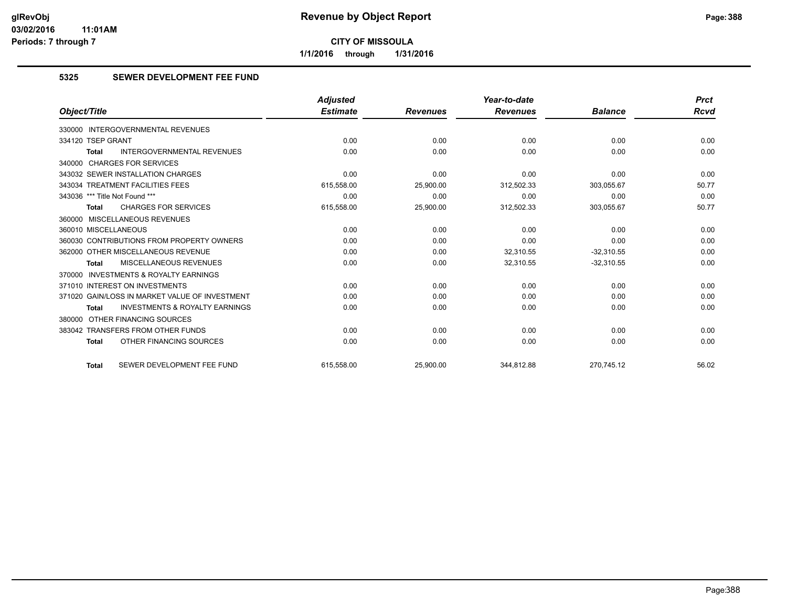**1/1/2016 through 1/31/2016**

# **5325 SEWER DEVELOPMENT FEE FUND**

|                                                    | <b>Adjusted</b> |                 | Year-to-date    |                | <b>Prct</b> |
|----------------------------------------------------|-----------------|-----------------|-----------------|----------------|-------------|
| Object/Title                                       | <b>Estimate</b> | <b>Revenues</b> | <b>Revenues</b> | <b>Balance</b> | Rcvd        |
| 330000 INTERGOVERNMENTAL REVENUES                  |                 |                 |                 |                |             |
| 334120 TSEP GRANT                                  | 0.00            | 0.00            | 0.00            | 0.00           | 0.00        |
| <b>INTERGOVERNMENTAL REVENUES</b><br><b>Total</b>  | 0.00            | 0.00            | 0.00            | 0.00           | 0.00        |
| 340000 CHARGES FOR SERVICES                        |                 |                 |                 |                |             |
| 343032 SEWER INSTALLATION CHARGES                  | 0.00            | 0.00            | 0.00            | 0.00           | 0.00        |
| 343034 TREATMENT FACILITIES FEES                   | 615,558.00      | 25,900.00       | 312,502.33      | 303,055.67     | 50.77       |
| 343036 *** Title Not Found ***                     | 0.00            | 0.00            | 0.00            | 0.00           | 0.00        |
| <b>CHARGES FOR SERVICES</b><br><b>Total</b>        | 615,558.00      | 25,900.00       | 312,502.33      | 303,055.67     | 50.77       |
| 360000 MISCELLANEOUS REVENUES                      |                 |                 |                 |                |             |
| 360010 MISCELLANEOUS                               | 0.00            | 0.00            | 0.00            | 0.00           | 0.00        |
| 360030 CONTRIBUTIONS FROM PROPERTY OWNERS          | 0.00            | 0.00            | 0.00            | 0.00           | 0.00        |
| 362000 OTHER MISCELLANEOUS REVENUE                 | 0.00            | 0.00            | 32,310.55       | $-32,310.55$   | 0.00        |
| MISCELLANEOUS REVENUES<br><b>Total</b>             | 0.00            | 0.00            | 32,310.55       | $-32,310.55$   | 0.00        |
| 370000 INVESTMENTS & ROYALTY EARNINGS              |                 |                 |                 |                |             |
| 371010 INTEREST ON INVESTMENTS                     | 0.00            | 0.00            | 0.00            | 0.00           | 0.00        |
| 371020 GAIN/LOSS IN MARKET VALUE OF INVESTMENT     | 0.00            | 0.00            | 0.00            | 0.00           | 0.00        |
| <b>INVESTMENTS &amp; ROYALTY EARNINGS</b><br>Total | 0.00            | 0.00            | 0.00            | 0.00           | 0.00        |
| 380000 OTHER FINANCING SOURCES                     |                 |                 |                 |                |             |
| 383042 TRANSFERS FROM OTHER FUNDS                  | 0.00            | 0.00            | 0.00            | 0.00           | 0.00        |
| OTHER FINANCING SOURCES<br><b>Total</b>            | 0.00            | 0.00            | 0.00            | 0.00           | 0.00        |
| SEWER DEVELOPMENT FEE FUND<br><b>Total</b>         | 615.558.00      | 25,900.00       | 344.812.88      | 270.745.12     | 56.02       |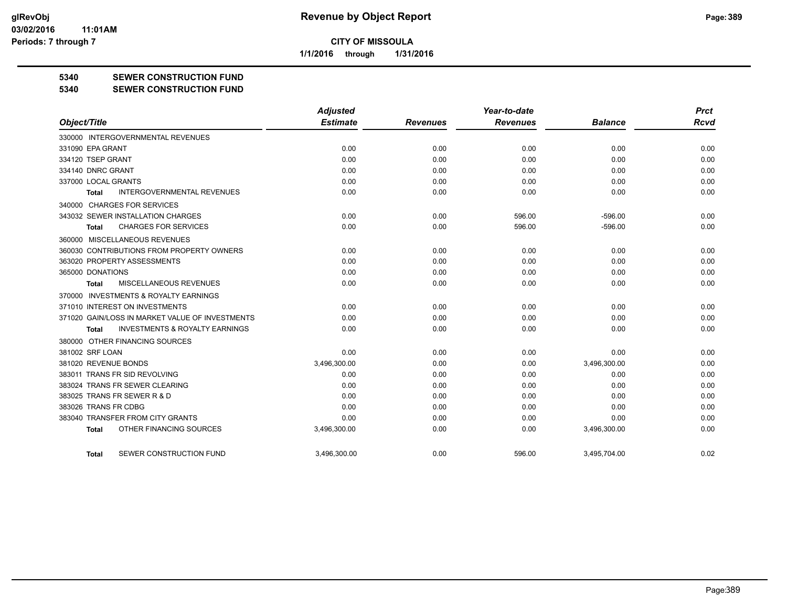**1/1/2016 through 1/31/2016**

### **5340 SEWER CONSTRUCTION FUND**

#### **5340 SEWER CONSTRUCTION FUND**

|                                                    | <b>Adjusted</b> |                 | Year-to-date    |                | <b>Prct</b> |
|----------------------------------------------------|-----------------|-----------------|-----------------|----------------|-------------|
| Object/Title                                       | <b>Estimate</b> | <b>Revenues</b> | <b>Revenues</b> | <b>Balance</b> | <b>Rcvd</b> |
| 330000 INTERGOVERNMENTAL REVENUES                  |                 |                 |                 |                |             |
| 331090 EPA GRANT                                   | 0.00            | 0.00            | 0.00            | 0.00           | 0.00        |
| 334120 TSEP GRANT                                  | 0.00            | 0.00            | 0.00            | 0.00           | 0.00        |
| 334140 DNRC GRANT                                  | 0.00            | 0.00            | 0.00            | 0.00           | 0.00        |
| 337000 LOCAL GRANTS                                | 0.00            | 0.00            | 0.00            | 0.00           | 0.00        |
| <b>INTERGOVERNMENTAL REVENUES</b><br>Total         | 0.00            | 0.00            | 0.00            | 0.00           | 0.00        |
| 340000 CHARGES FOR SERVICES                        |                 |                 |                 |                |             |
| 343032 SEWER INSTALLATION CHARGES                  | 0.00            | 0.00            | 596.00          | $-596.00$      | 0.00        |
| <b>CHARGES FOR SERVICES</b><br>Total               | 0.00            | 0.00            | 596.00          | $-596.00$      | 0.00        |
| 360000 MISCELLANEOUS REVENUES                      |                 |                 |                 |                |             |
| 360030 CONTRIBUTIONS FROM PROPERTY OWNERS          | 0.00            | 0.00            | 0.00            | 0.00           | 0.00        |
| 363020 PROPERTY ASSESSMENTS                        | 0.00            | 0.00            | 0.00            | 0.00           | 0.00        |
| 365000 DONATIONS                                   | 0.00            | 0.00            | 0.00            | 0.00           | 0.00        |
| MISCELLANEOUS REVENUES<br>Total                    | 0.00            | 0.00            | 0.00            | 0.00           | 0.00        |
| 370000 INVESTMENTS & ROYALTY EARNINGS              |                 |                 |                 |                |             |
| 371010 INTEREST ON INVESTMENTS                     | 0.00            | 0.00            | 0.00            | 0.00           | 0.00        |
| 371020 GAIN/LOSS IN MARKET VALUE OF INVESTMENTS    | 0.00            | 0.00            | 0.00            | 0.00           | 0.00        |
| <b>INVESTMENTS &amp; ROYALTY EARNINGS</b><br>Total | 0.00            | 0.00            | 0.00            | 0.00           | 0.00        |
| 380000 OTHER FINANCING SOURCES                     |                 |                 |                 |                |             |
| 381002 SRF LOAN                                    | 0.00            | 0.00            | 0.00            | 0.00           | 0.00        |
| 381020 REVENUE BONDS                               | 3,496,300.00    | 0.00            | 0.00            | 3,496,300.00   | 0.00        |
| 383011 TRANS FR SID REVOLVING                      | 0.00            | 0.00            | 0.00            | 0.00           | 0.00        |
| 383024 TRANS FR SEWER CLEARING                     | 0.00            | 0.00            | 0.00            | 0.00           | 0.00        |
| 383025 TRANS FR SEWER R & D                        | 0.00            | 0.00            | 0.00            | 0.00           | 0.00        |
| 383026 TRANS FR CDBG                               | 0.00            | 0.00            | 0.00            | 0.00           | 0.00        |
| 383040 TRANSFER FROM CITY GRANTS                   | 0.00            | 0.00            | 0.00            | 0.00           | 0.00        |
| OTHER FINANCING SOURCES<br><b>Total</b>            | 3,496,300.00    | 0.00            | 0.00            | 3,496,300.00   | 0.00        |
| SEWER CONSTRUCTION FUND<br>Total                   | 3.496.300.00    | 0.00            | 596.00          | 3.495.704.00   | 0.02        |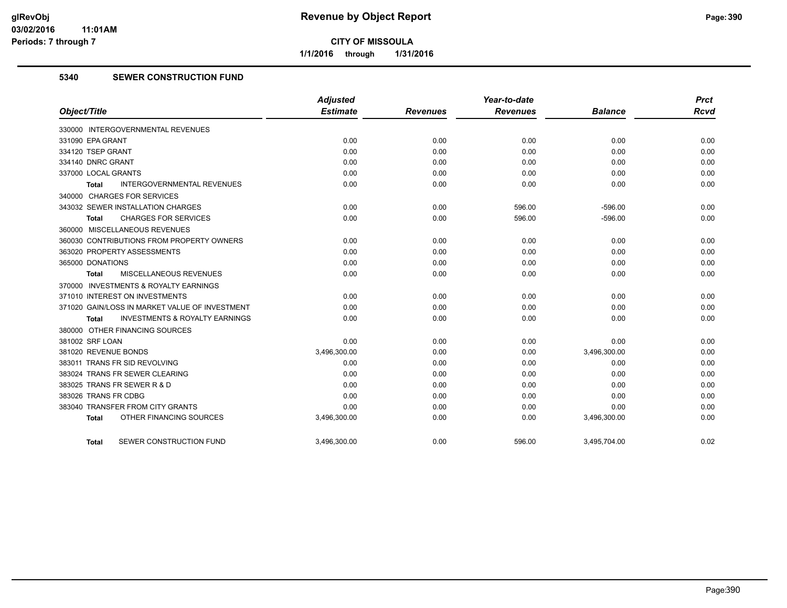**1/1/2016 through 1/31/2016**

## **5340 SEWER CONSTRUCTION FUND**

|                                                    | <b>Adjusted</b> |                 | Year-to-date    |                | <b>Prct</b> |
|----------------------------------------------------|-----------------|-----------------|-----------------|----------------|-------------|
| Object/Title                                       | <b>Estimate</b> | <b>Revenues</b> | <b>Revenues</b> | <b>Balance</b> | <b>Rcvd</b> |
| 330000 INTERGOVERNMENTAL REVENUES                  |                 |                 |                 |                |             |
| 331090 EPA GRANT                                   | 0.00            | 0.00            | 0.00            | 0.00           | 0.00        |
| 334120 TSEP GRANT                                  | 0.00            | 0.00            | 0.00            | 0.00           | 0.00        |
| 334140 DNRC GRANT                                  | 0.00            | 0.00            | 0.00            | 0.00           | 0.00        |
| 337000 LOCAL GRANTS                                | 0.00            | 0.00            | 0.00            | 0.00           | 0.00        |
| <b>INTERGOVERNMENTAL REVENUES</b><br>Total         | 0.00            | 0.00            | 0.00            | 0.00           | 0.00        |
| 340000 CHARGES FOR SERVICES                        |                 |                 |                 |                |             |
| 343032 SEWER INSTALLATION CHARGES                  | 0.00            | 0.00            | 596.00          | $-596.00$      | 0.00        |
| <b>CHARGES FOR SERVICES</b><br>Total               | 0.00            | 0.00            | 596.00          | $-596.00$      | 0.00        |
| 360000 MISCELLANEOUS REVENUES                      |                 |                 |                 |                |             |
| 360030 CONTRIBUTIONS FROM PROPERTY OWNERS          | 0.00            | 0.00            | 0.00            | 0.00           | 0.00        |
| 363020 PROPERTY ASSESSMENTS                        | 0.00            | 0.00            | 0.00            | 0.00           | 0.00        |
| 365000 DONATIONS                                   | 0.00            | 0.00            | 0.00            | 0.00           | 0.00        |
| MISCELLANEOUS REVENUES<br>Total                    | 0.00            | 0.00            | 0.00            | 0.00           | 0.00        |
| 370000 INVESTMENTS & ROYALTY EARNINGS              |                 |                 |                 |                |             |
| 371010 INTEREST ON INVESTMENTS                     | 0.00            | 0.00            | 0.00            | 0.00           | 0.00        |
| 371020 GAIN/LOSS IN MARKET VALUE OF INVESTMENT     | 0.00            | 0.00            | 0.00            | 0.00           | 0.00        |
| <b>INVESTMENTS &amp; ROYALTY EARNINGS</b><br>Total | 0.00            | 0.00            | 0.00            | 0.00           | 0.00        |
| 380000 OTHER FINANCING SOURCES                     |                 |                 |                 |                |             |
| 381002 SRF LOAN                                    | 0.00            | 0.00            | 0.00            | 0.00           | 0.00        |
| 381020 REVENUE BONDS                               | 3,496,300.00    | 0.00            | 0.00            | 3,496,300.00   | 0.00        |
| 383011 TRANS FR SID REVOLVING                      | 0.00            | 0.00            | 0.00            | 0.00           | 0.00        |
| 383024 TRANS FR SEWER CLEARING                     | 0.00            | 0.00            | 0.00            | 0.00           | 0.00        |
| 383025 TRANS FR SEWER R & D                        | 0.00            | 0.00            | 0.00            | 0.00           | 0.00        |
| 383026 TRANS FR CDBG                               | 0.00            | 0.00            | 0.00            | 0.00           | 0.00        |
| 383040 TRANSFER FROM CITY GRANTS                   | 0.00            | 0.00            | 0.00            | 0.00           | 0.00        |
| OTHER FINANCING SOURCES<br><b>Total</b>            | 3,496,300.00    | 0.00            | 0.00            | 3,496,300.00   | 0.00        |
| SEWER CONSTRUCTION FUND<br><b>Total</b>            | 3,496,300.00    | 0.00            | 596.00          | 3,495,704.00   | 0.02        |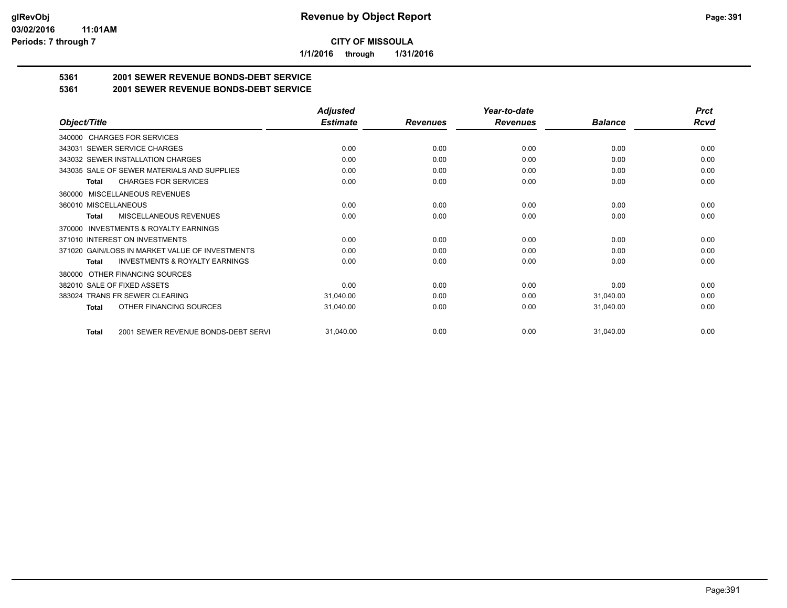**1/1/2016 through 1/31/2016**

# **5361 2001 SEWER REVENUE BONDS-DEBT SERVICE**

**5361 2001 SEWER REVENUE BONDS-DEBT SERVICE**

|                                                           | <b>Adjusted</b> |                 | Year-to-date    |                | <b>Prct</b> |
|-----------------------------------------------------------|-----------------|-----------------|-----------------|----------------|-------------|
| Object/Title                                              | <b>Estimate</b> | <b>Revenues</b> | <b>Revenues</b> | <b>Balance</b> | <b>Rcvd</b> |
| 340000 CHARGES FOR SERVICES                               |                 |                 |                 |                |             |
| SEWER SERVICE CHARGES<br>343031                           | 0.00            | 0.00            | 0.00            | 0.00           | 0.00        |
| 343032 SEWER INSTALLATION CHARGES                         | 0.00            | 0.00            | 0.00            | 0.00           | 0.00        |
| 343035 SALE OF SEWER MATERIALS AND SUPPLIES               | 0.00            | 0.00            | 0.00            | 0.00           | 0.00        |
| <b>CHARGES FOR SERVICES</b><br><b>Total</b>               | 0.00            | 0.00            | 0.00            | 0.00           | 0.00        |
| <b>MISCELLANEOUS REVENUES</b><br>360000                   |                 |                 |                 |                |             |
| 360010 MISCELLANEOUS                                      | 0.00            | 0.00            | 0.00            | 0.00           | 0.00        |
| <b>MISCELLANEOUS REVENUES</b><br>Total                    | 0.00            | 0.00            | 0.00            | 0.00           | 0.00        |
| <b>INVESTMENTS &amp; ROYALTY EARNINGS</b><br>370000       |                 |                 |                 |                |             |
| 371010 INTEREST ON INVESTMENTS                            | 0.00            | 0.00            | 0.00            | 0.00           | 0.00        |
| 371020 GAIN/LOSS IN MARKET VALUE OF INVESTMENTS           | 0.00            | 0.00            | 0.00            | 0.00           | 0.00        |
| <b>INVESTMENTS &amp; ROYALTY EARNINGS</b><br><b>Total</b> | 0.00            | 0.00            | 0.00            | 0.00           | 0.00        |
| OTHER FINANCING SOURCES<br>380000                         |                 |                 |                 |                |             |
| 382010 SALE OF FIXED ASSETS                               | 0.00            | 0.00            | 0.00            | 0.00           | 0.00        |
| 383024 TRANS FR SEWER CLEARING                            | 31,040.00       | 0.00            | 0.00            | 31,040.00      | 0.00        |
| OTHER FINANCING SOURCES<br>Total                          | 31,040.00       | 0.00            | 0.00            | 31,040.00      | 0.00        |
| 2001 SEWER REVENUE BONDS-DEBT SERVI<br><b>Total</b>       | 31,040.00       | 0.00            | 0.00            | 31,040.00      | 0.00        |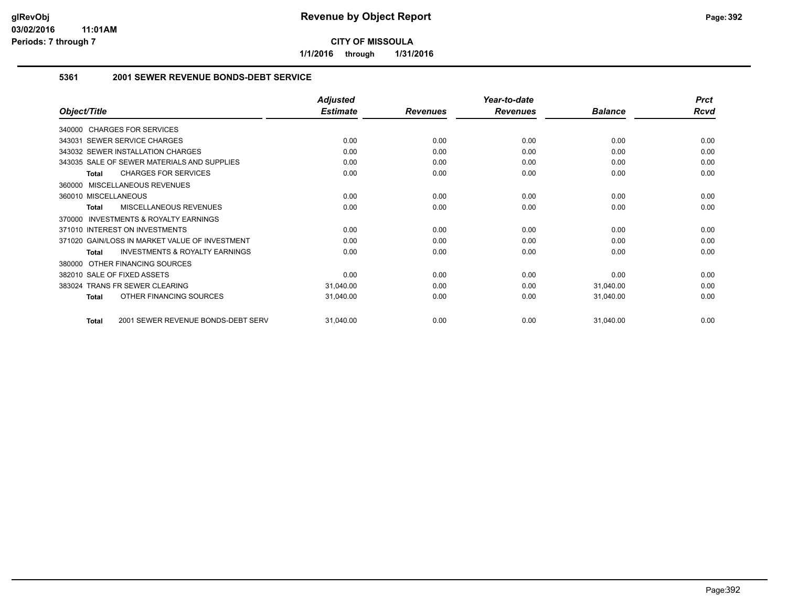**1/1/2016 through 1/31/2016**

#### **5361 2001 SEWER REVENUE BONDS-DEBT SERVICE**

|                                                           | <b>Adjusted</b> |                 | Year-to-date    |                | <b>Prct</b> |
|-----------------------------------------------------------|-----------------|-----------------|-----------------|----------------|-------------|
| Object/Title                                              | <b>Estimate</b> | <b>Revenues</b> | <b>Revenues</b> | <b>Balance</b> | Rcvd        |
| 340000 CHARGES FOR SERVICES                               |                 |                 |                 |                |             |
| 343031 SEWER SERVICE CHARGES                              | 0.00            | 0.00            | 0.00            | 0.00           | 0.00        |
| 343032 SEWER INSTALLATION CHARGES                         | 0.00            | 0.00            | 0.00            | 0.00           | 0.00        |
| 343035 SALE OF SEWER MATERIALS AND SUPPLIES               | 0.00            | 0.00            | 0.00            | 0.00           | 0.00        |
| <b>CHARGES FOR SERVICES</b><br><b>Total</b>               | 0.00            | 0.00            | 0.00            | 0.00           | 0.00        |
| 360000 MISCELLANEOUS REVENUES                             |                 |                 |                 |                |             |
| 360010 MISCELLANEOUS                                      | 0.00            | 0.00            | 0.00            | 0.00           | 0.00        |
| MISCELLANEOUS REVENUES<br><b>Total</b>                    | 0.00            | 0.00            | 0.00            | 0.00           | 0.00        |
| INVESTMENTS & ROYALTY EARNINGS<br>370000                  |                 |                 |                 |                |             |
| 371010 INTEREST ON INVESTMENTS                            | 0.00            | 0.00            | 0.00            | 0.00           | 0.00        |
| 371020 GAIN/LOSS IN MARKET VALUE OF INVESTMENT            | 0.00            | 0.00            | 0.00            | 0.00           | 0.00        |
| <b>INVESTMENTS &amp; ROYALTY EARNINGS</b><br><b>Total</b> | 0.00            | 0.00            | 0.00            | 0.00           | 0.00        |
| OTHER FINANCING SOURCES<br>380000                         |                 |                 |                 |                |             |
| 382010 SALE OF FIXED ASSETS                               | 0.00            | 0.00            | 0.00            | 0.00           | 0.00        |
| 383024 TRANS FR SEWER CLEARING                            | 31,040.00       | 0.00            | 0.00            | 31,040.00      | 0.00        |
| OTHER FINANCING SOURCES<br><b>Total</b>                   | 31,040.00       | 0.00            | 0.00            | 31,040.00      | 0.00        |
| 2001 SEWER REVENUE BONDS-DEBT SERV<br><b>Total</b>        | 31,040.00       | 0.00            | 0.00            | 31,040.00      | 0.00        |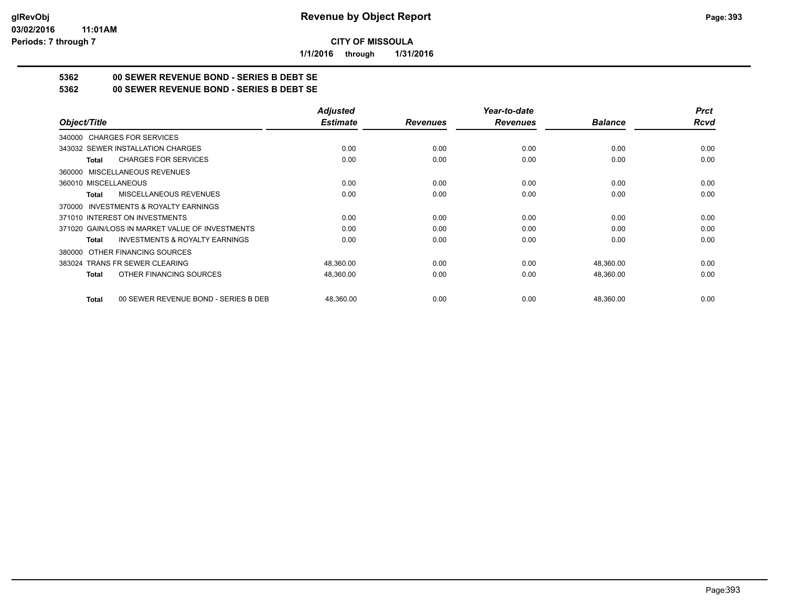**1/1/2016 through 1/31/2016**

# **5362 00 SEWER REVENUE BOND - SERIES B DEBT SE**

**5362 00 SEWER REVENUE BOND - SERIES B DEBT SE**

|                                                      | <b>Adjusted</b> |                 | Year-to-date    |                | <b>Prct</b> |
|------------------------------------------------------|-----------------|-----------------|-----------------|----------------|-------------|
| Object/Title                                         | <b>Estimate</b> | <b>Revenues</b> | <b>Revenues</b> | <b>Balance</b> | Rcvd        |
| 340000 CHARGES FOR SERVICES                          |                 |                 |                 |                |             |
| 343032 SEWER INSTALLATION CHARGES                    | 0.00            | 0.00            | 0.00            | 0.00           | 0.00        |
| <b>CHARGES FOR SERVICES</b><br>Total                 | 0.00            | 0.00            | 0.00            | 0.00           | 0.00        |
| MISCELLANEOUS REVENUES<br>360000                     |                 |                 |                 |                |             |
| 360010 MISCELLANEOUS                                 | 0.00            | 0.00            | 0.00            | 0.00           | 0.00        |
| MISCELLANEOUS REVENUES<br>Total                      | 0.00            | 0.00            | 0.00            | 0.00           | 0.00        |
| <b>INVESTMENTS &amp; ROYALTY EARNINGS</b><br>370000  |                 |                 |                 |                |             |
| 371010 INTEREST ON INVESTMENTS                       | 0.00            | 0.00            | 0.00            | 0.00           | 0.00        |
| 371020 GAIN/LOSS IN MARKET VALUE OF INVESTMENTS      | 0.00            | 0.00            | 0.00            | 0.00           | 0.00        |
| <b>INVESTMENTS &amp; ROYALTY EARNINGS</b><br>Total   | 0.00            | 0.00            | 0.00            | 0.00           | 0.00        |
| OTHER FINANCING SOURCES<br>380000                    |                 |                 |                 |                |             |
| 383024 TRANS FR SEWER CLEARING                       | 48,360.00       | 0.00            | 0.00            | 48,360.00      | 0.00        |
| OTHER FINANCING SOURCES<br><b>Total</b>              | 48,360.00       | 0.00            | 0.00            | 48,360.00      | 0.00        |
| 00 SEWER REVENUE BOND - SERIES B DEB<br><b>Total</b> | 48.360.00       | 0.00            | 0.00            | 48,360.00      | 0.00        |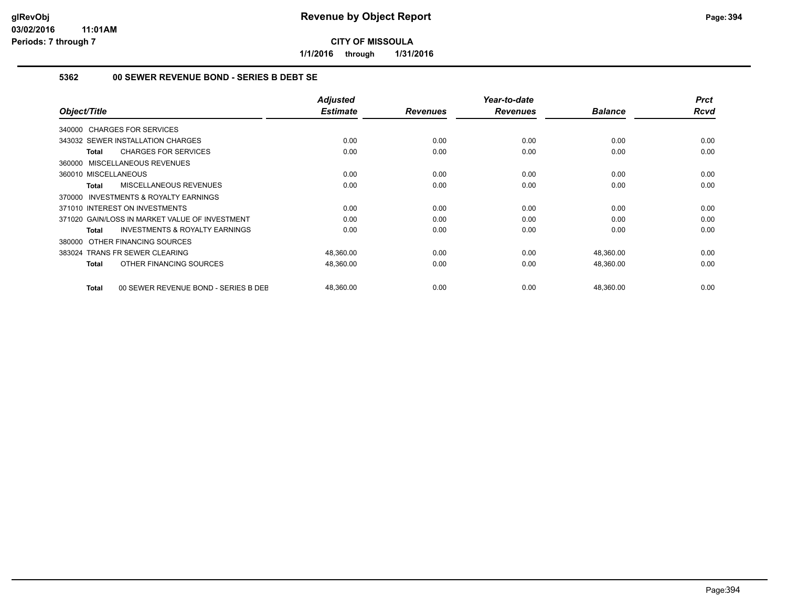**1/1/2016 through 1/31/2016**

## **5362 00 SEWER REVENUE BOND - SERIES B DEBT SE**

| Object/Title                                              | <b>Adjusted</b><br><b>Estimate</b> | <b>Revenues</b> | Year-to-date<br><b>Revenues</b> | <b>Balance</b> | <b>Prct</b><br><b>Rcvd</b> |
|-----------------------------------------------------------|------------------------------------|-----------------|---------------------------------|----------------|----------------------------|
|                                                           |                                    |                 |                                 |                |                            |
| 340000 CHARGES FOR SERVICES                               |                                    |                 |                                 |                |                            |
| 343032 SEWER INSTALLATION CHARGES                         | 0.00                               | 0.00            | 0.00                            | 0.00           | 0.00                       |
| <b>CHARGES FOR SERVICES</b><br>Total                      | 0.00                               | 0.00            | 0.00                            | 0.00           | 0.00                       |
| 360000 MISCELLANEOUS REVENUES                             |                                    |                 |                                 |                |                            |
| 360010 MISCELLANEOUS                                      | 0.00                               | 0.00            | 0.00                            | 0.00           | 0.00                       |
| MISCELLANEOUS REVENUES<br><b>Total</b>                    | 0.00                               | 0.00            | 0.00                            | 0.00           | 0.00                       |
| <b>INVESTMENTS &amp; ROYALTY EARNINGS</b><br>370000       |                                    |                 |                                 |                |                            |
| 371010 INTEREST ON INVESTMENTS                            | 0.00                               | 0.00            | 0.00                            | 0.00           | 0.00                       |
| 371020 GAIN/LOSS IN MARKET VALUE OF INVESTMENT            | 0.00                               | 0.00            | 0.00                            | 0.00           | 0.00                       |
| <b>INVESTMENTS &amp; ROYALTY EARNINGS</b><br><b>Total</b> | 0.00                               | 0.00            | 0.00                            | 0.00           | 0.00                       |
| OTHER FINANCING SOURCES<br>380000                         |                                    |                 |                                 |                |                            |
| 383024 TRANS FR SEWER CLEARING                            | 48,360.00                          | 0.00            | 0.00                            | 48,360.00      | 0.00                       |
| OTHER FINANCING SOURCES<br>Total                          | 48,360.00                          | 0.00            | 0.00                            | 48,360.00      | 0.00                       |
|                                                           |                                    |                 |                                 |                |                            |
| 00 SEWER REVENUE BOND - SERIES B DEE<br><b>Total</b>      | 48,360.00                          | 0.00            | 0.00                            | 48,360.00      | 0.00                       |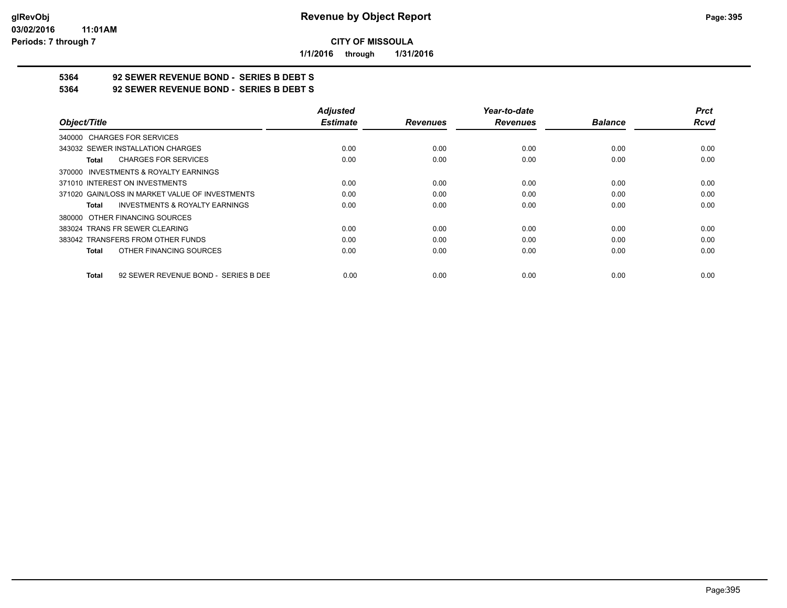**1/1/2016 through 1/31/2016**

# **5364 92 SEWER REVENUE BOND - SERIES B DEBT S**

**5364 92 SEWER REVENUE BOND - SERIES B DEBT S**

| Object/Title                                         | <b>Adjusted</b> |                 | Year-to-date    |                | <b>Prct</b> |
|------------------------------------------------------|-----------------|-----------------|-----------------|----------------|-------------|
|                                                      | <b>Estimate</b> | <b>Revenues</b> | <b>Revenues</b> | <b>Balance</b> | <b>Rcvd</b> |
| 340000 CHARGES FOR SERVICES                          |                 |                 |                 |                |             |
| 343032 SEWER INSTALLATION CHARGES                    | 0.00            | 0.00            | 0.00            | 0.00           | 0.00        |
| <b>CHARGES FOR SERVICES</b><br>Total                 | 0.00            | 0.00            | 0.00            | 0.00           | 0.00        |
| 370000 INVESTMENTS & ROYALTY EARNINGS                |                 |                 |                 |                |             |
| 371010 INTEREST ON INVESTMENTS                       | 0.00            | 0.00            | 0.00            | 0.00           | 0.00        |
| 371020 GAIN/LOSS IN MARKET VALUE OF INVESTMENTS      | 0.00            | 0.00            | 0.00            | 0.00           | 0.00        |
| <b>INVESTMENTS &amp; ROYALTY EARNINGS</b><br>Total   | 0.00            | 0.00            | 0.00            | 0.00           | 0.00        |
| 380000 OTHER FINANCING SOURCES                       |                 |                 |                 |                |             |
| 383024 TRANS FR SEWER CLEARING                       | 0.00            | 0.00            | 0.00            | 0.00           | 0.00        |
| 383042 TRANSFERS FROM OTHER FUNDS                    | 0.00            | 0.00            | 0.00            | 0.00           | 0.00        |
| OTHER FINANCING SOURCES<br><b>Total</b>              | 0.00            | 0.00            | 0.00            | 0.00           | 0.00        |
| 92 SEWER REVENUE BOND - SERIES B DEE<br><b>Total</b> | 0.00            | 0.00            | 0.00            | 0.00           | 0.00        |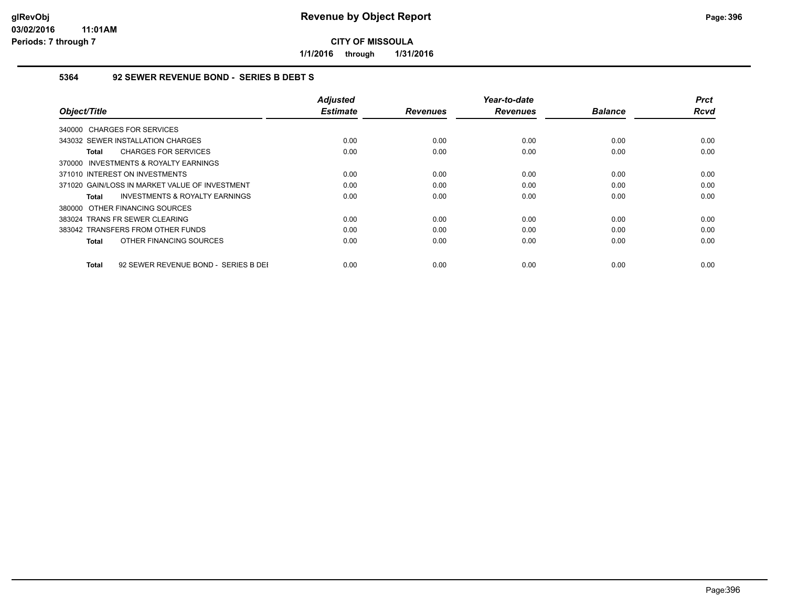**1/1/2016 through 1/31/2016**

#### **5364 92 SEWER REVENUE BOND - SERIES B DEBT S**

| Object/Title                                       | <b>Adjusted</b><br><b>Estimate</b> | <b>Revenues</b> | Year-to-date<br><b>Revenues</b> | <b>Balance</b> | <b>Prct</b><br>Rcvd |
|----------------------------------------------------|------------------------------------|-----------------|---------------------------------|----------------|---------------------|
| 340000 CHARGES FOR SERVICES                        |                                    |                 |                                 |                |                     |
| 343032 SEWER INSTALLATION CHARGES                  | 0.00                               | 0.00            | 0.00                            | 0.00           | 0.00                |
| <b>CHARGES FOR SERVICES</b><br>Total               | 0.00                               | 0.00            | 0.00                            | 0.00           | 0.00                |
| 370000 INVESTMENTS & ROYALTY EARNINGS              |                                    |                 |                                 |                |                     |
| 371010 INTEREST ON INVESTMENTS                     | 0.00                               | 0.00            | 0.00                            | 0.00           | 0.00                |
| 371020 GAIN/LOSS IN MARKET VALUE OF INVESTMENT     | 0.00                               | 0.00            | 0.00                            | 0.00           | 0.00                |
| <b>INVESTMENTS &amp; ROYALTY EARNINGS</b><br>Total | 0.00                               | 0.00            | 0.00                            | 0.00           | 0.00                |
| 380000 OTHER FINANCING SOURCES                     |                                    |                 |                                 |                |                     |
| 383024 TRANS FR SEWER CLEARING                     | 0.00                               | 0.00            | 0.00                            | 0.00           | 0.00                |
| 383042 TRANSFERS FROM OTHER FUNDS                  | 0.00                               | 0.00            | 0.00                            | 0.00           | 0.00                |
| OTHER FINANCING SOURCES<br>Total                   | 0.00                               | 0.00            | 0.00                            | 0.00           | 0.00                |
|                                                    |                                    |                 |                                 |                |                     |
| 92 SEWER REVENUE BOND - SERIES B DEI<br>Total      | 0.00                               | 0.00            | 0.00                            | 0.00           | 0.00                |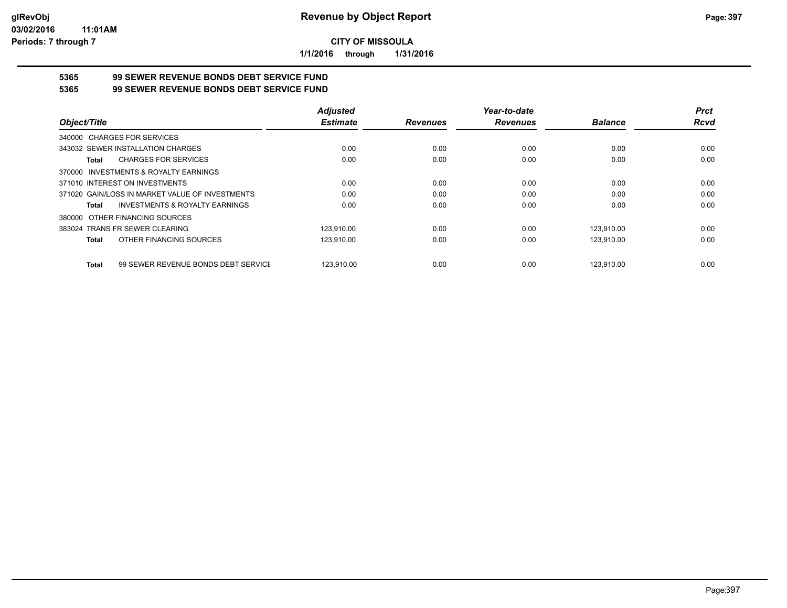**1/1/2016 through 1/31/2016**

# **5365 99 SEWER REVENUE BONDS DEBT SERVICE FUND**

**5365 99 SEWER REVENUE BONDS DEBT SERVICE FUND**

|                                                     | <b>Adjusted</b> |                 | Year-to-date    |                | <b>Prct</b> |
|-----------------------------------------------------|-----------------|-----------------|-----------------|----------------|-------------|
| Object/Title                                        | <b>Estimate</b> | <b>Revenues</b> | <b>Revenues</b> | <b>Balance</b> | <b>Rcvd</b> |
| 340000 CHARGES FOR SERVICES                         |                 |                 |                 |                |             |
| 343032 SEWER INSTALLATION CHARGES                   | 0.00            | 0.00            | 0.00            | 0.00           | 0.00        |
| <b>CHARGES FOR SERVICES</b><br>Total                | 0.00            | 0.00            | 0.00            | 0.00           | 0.00        |
| INVESTMENTS & ROYALTY EARNINGS<br>370000            |                 |                 |                 |                |             |
| 371010 INTEREST ON INVESTMENTS                      | 0.00            | 0.00            | 0.00            | 0.00           | 0.00        |
| 371020 GAIN/LOSS IN MARKET VALUE OF INVESTMENTS     | 0.00            | 0.00            | 0.00            | 0.00           | 0.00        |
| <b>INVESTMENTS &amp; ROYALTY EARNINGS</b><br>Total  | 0.00            | 0.00            | 0.00            | 0.00           | 0.00        |
| OTHER FINANCING SOURCES<br>380000                   |                 |                 |                 |                |             |
| 383024 TRANS FR SEWER CLEARING                      | 123.910.00      | 0.00            | 0.00            | 123.910.00     | 0.00        |
| OTHER FINANCING SOURCES<br><b>Total</b>             | 123.910.00      | 0.00            | 0.00            | 123.910.00     | 0.00        |
| 99 SEWER REVENUE BONDS DEBT SERVICE<br><b>Total</b> | 123.910.00      | 0.00            | 0.00            | 123.910.00     | 0.00        |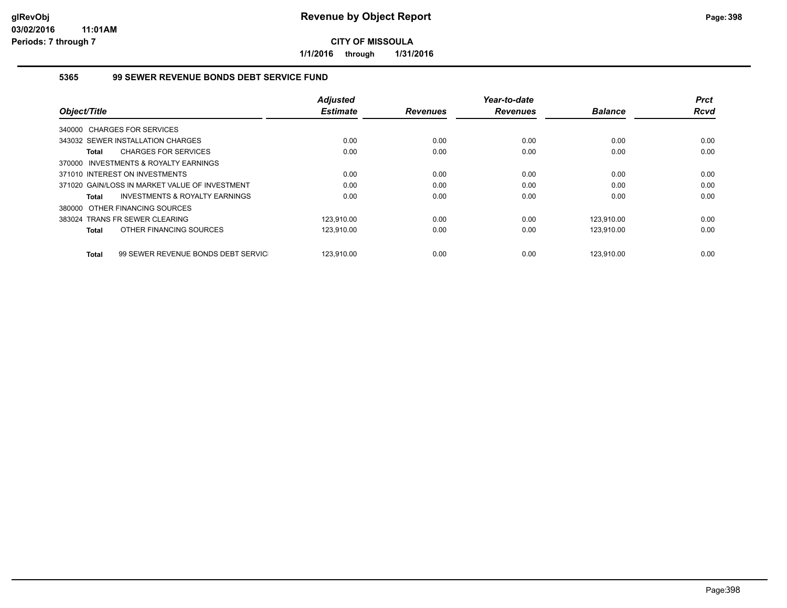**1/1/2016 through 1/31/2016**

#### **5365 99 SEWER REVENUE BONDS DEBT SERVICE FUND**

|                                                    | <b>Adjusted</b> |                 | Year-to-date    |                | <b>Prct</b> |
|----------------------------------------------------|-----------------|-----------------|-----------------|----------------|-------------|
| Object/Title                                       | <b>Estimate</b> | <b>Revenues</b> | <b>Revenues</b> | <b>Balance</b> | <b>Rcvd</b> |
| 340000 CHARGES FOR SERVICES                        |                 |                 |                 |                |             |
| 343032 SEWER INSTALLATION CHARGES                  | 0.00            | 0.00            | 0.00            | 0.00           | 0.00        |
| <b>CHARGES FOR SERVICES</b><br>Total               | 0.00            | 0.00            | 0.00            | 0.00           | 0.00        |
| 370000 INVESTMENTS & ROYALTY EARNINGS              |                 |                 |                 |                |             |
| 371010 INTEREST ON INVESTMENTS                     | 0.00            | 0.00            | 0.00            | 0.00           | 0.00        |
| 371020 GAIN/LOSS IN MARKET VALUE OF INVESTMENT     | 0.00            | 0.00            | 0.00            | 0.00           | 0.00        |
| <b>INVESTMENTS &amp; ROYALTY EARNINGS</b><br>Total | 0.00            | 0.00            | 0.00            | 0.00           | 0.00        |
| 380000 OTHER FINANCING SOURCES                     |                 |                 |                 |                |             |
| 383024 TRANS FR SEWER CLEARING                     | 123.910.00      | 0.00            | 0.00            | 123.910.00     | 0.00        |
| OTHER FINANCING SOURCES<br>Total                   | 123,910.00      | 0.00            | 0.00            | 123,910.00     | 0.00        |
|                                                    |                 |                 |                 |                |             |
| 99 SEWER REVENUE BONDS DEBT SERVIC<br><b>Total</b> | 123.910.00      | 0.00            | 0.00            | 123.910.00     | 0.00        |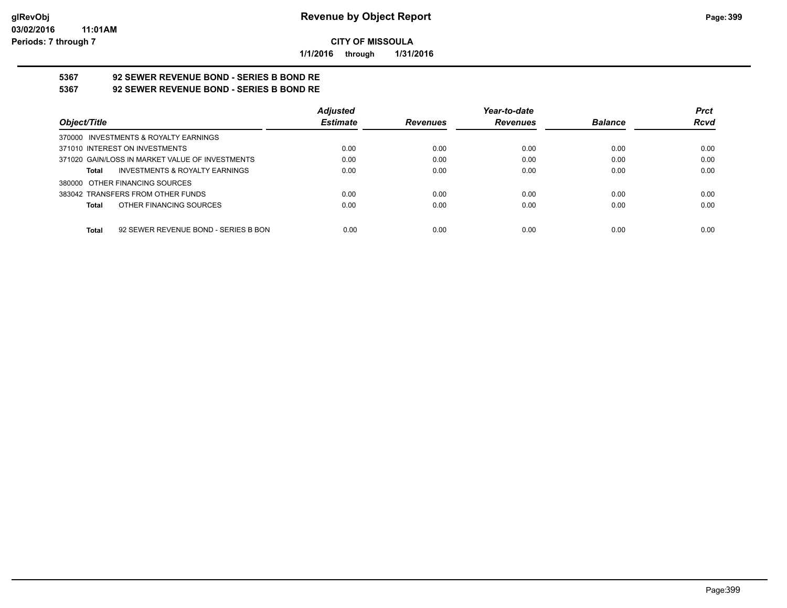**1/1/2016 through 1/31/2016**

# **5367 92 SEWER REVENUE BOND - SERIES B BOND RE**

**5367 92 SEWER REVENUE BOND - SERIES B BOND RE**

|                                                    | <b>Adjusted</b> |                 | Year-to-date    |                | <b>Prct</b> |
|----------------------------------------------------|-----------------|-----------------|-----------------|----------------|-------------|
| Object/Title                                       | <b>Estimate</b> | <b>Revenues</b> | <b>Revenues</b> | <b>Balance</b> | <b>Rcvd</b> |
| 370000 INVESTMENTS & ROYALTY EARNINGS              |                 |                 |                 |                |             |
| 371010 INTEREST ON INVESTMENTS                     | 0.00            | 0.00            | 0.00            | 0.00           | 0.00        |
| 371020 GAIN/LOSS IN MARKET VALUE OF INVESTMENTS    | 0.00            | 0.00            | 0.00            | 0.00           | 0.00        |
| <b>INVESTMENTS &amp; ROYALTY EARNINGS</b><br>Total | 0.00            | 0.00            | 0.00            | 0.00           | 0.00        |
| 380000 OTHER FINANCING SOURCES                     |                 |                 |                 |                |             |
| 383042 TRANSFERS FROM OTHER FUNDS                  | 0.00            | 0.00            | 0.00            | 0.00           | 0.00        |
| OTHER FINANCING SOURCES<br>Total                   | 0.00            | 0.00            | 0.00            | 0.00           | 0.00        |
|                                                    |                 |                 |                 |                |             |
| 92 SEWER REVENUE BOND - SERIES B BON<br>Total      | 0.00            | 0.00            | 0.00            | 0.00           | 0.00        |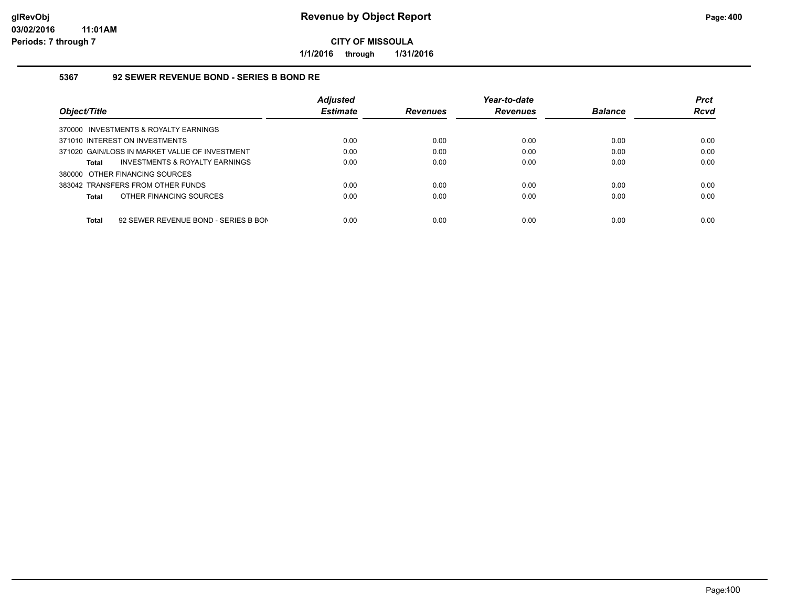**1/1/2016 through 1/31/2016**

#### **5367 92 SEWER REVENUE BOND - SERIES B BOND RE**

|                                                      | <b>Adjusted</b> |                 | Year-to-date    |                | <b>Prct</b> |
|------------------------------------------------------|-----------------|-----------------|-----------------|----------------|-------------|
| Object/Title                                         | <b>Estimate</b> | <b>Revenues</b> | <b>Revenues</b> | <b>Balance</b> | Rcvd        |
| 370000 INVESTMENTS & ROYALTY EARNINGS                |                 |                 |                 |                |             |
| 371010 INTEREST ON INVESTMENTS                       | 0.00            | 0.00            | 0.00            | 0.00           | 0.00        |
| 371020 GAIN/LOSS IN MARKET VALUE OF INVESTMENT       | 0.00            | 0.00            | 0.00            | 0.00           | 0.00        |
| INVESTMENTS & ROYALTY EARNINGS<br>Total              | 0.00            | 0.00            | 0.00            | 0.00           | 0.00        |
| 380000 OTHER FINANCING SOURCES                       |                 |                 |                 |                |             |
| 383042 TRANSFERS FROM OTHER FUNDS                    | 0.00            | 0.00            | 0.00            | 0.00           | 0.00        |
| OTHER FINANCING SOURCES<br>Total                     | 0.00            | 0.00            | 0.00            | 0.00           | 0.00        |
|                                                      |                 |                 |                 |                |             |
| 92 SEWER REVENUE BOND - SERIES B BON<br><b>Total</b> | 0.00            | 0.00            | 0.00            | 0.00           | 0.00        |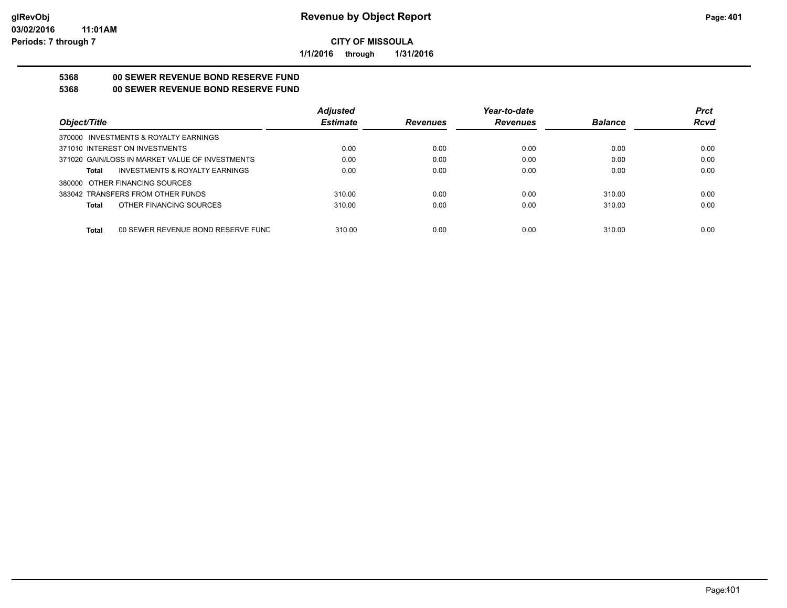**1/1/2016 through 1/31/2016**

## **5368 00 SEWER REVENUE BOND RESERVE FUND**

### **5368 00 SEWER REVENUE BOND RESERVE FUND**

|                                                    | <b>Adjusted</b> |                 | Year-to-date    |                | <b>Prct</b> |
|----------------------------------------------------|-----------------|-----------------|-----------------|----------------|-------------|
| Object/Title                                       | <b>Estimate</b> | <b>Revenues</b> | <b>Revenues</b> | <b>Balance</b> | <b>Rcvd</b> |
| 370000 INVESTMENTS & ROYALTY EARNINGS              |                 |                 |                 |                |             |
| 371010 INTEREST ON INVESTMENTS                     | 0.00            | 0.00            | 0.00            | 0.00           | 0.00        |
| 371020 GAIN/LOSS IN MARKET VALUE OF INVESTMENTS    | 0.00            | 0.00            | 0.00            | 0.00           | 0.00        |
| <b>INVESTMENTS &amp; ROYALTY EARNINGS</b><br>Total | 0.00            | 0.00            | 0.00            | 0.00           | 0.00        |
| 380000 OTHER FINANCING SOURCES                     |                 |                 |                 |                |             |
| 383042 TRANSFERS FROM OTHER FUNDS                  | 310.00          | 0.00            | 0.00            | 310.00         | 0.00        |
| OTHER FINANCING SOURCES<br>Total                   | 310.00          | 0.00            | 0.00            | 310.00         | 0.00        |
|                                                    |                 |                 |                 |                |             |
| <b>Total</b><br>00 SEWER REVENUE BOND RESERVE FUND | 310.00          | 0.00            | 0.00            | 310.00         | 0.00        |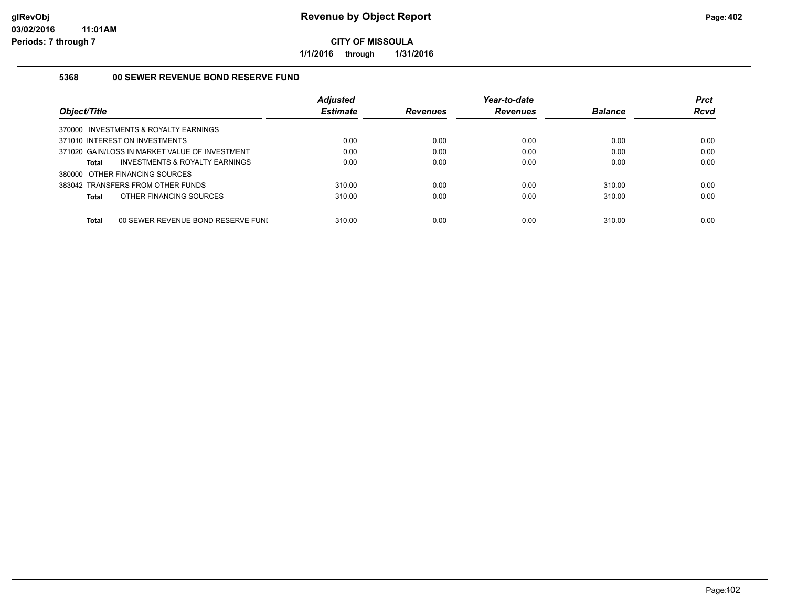**1/1/2016 through 1/31/2016**

### **5368 00 SEWER REVENUE BOND RESERVE FUND**

| Object/Title                                       | <b>Adjusted</b><br><b>Estimate</b> | <b>Revenues</b> | Year-to-date<br><b>Revenues</b> | <b>Balance</b> | <b>Prct</b><br><b>Rcvd</b> |
|----------------------------------------------------|------------------------------------|-----------------|---------------------------------|----------------|----------------------------|
| 370000 INVESTMENTS & ROYALTY EARNINGS              |                                    |                 |                                 |                |                            |
| 371010 INTEREST ON INVESTMENTS                     | 0.00                               | 0.00            | 0.00                            | 0.00           | 0.00                       |
| 371020 GAIN/LOSS IN MARKET VALUE OF INVESTMENT     | 0.00                               | 0.00            | 0.00                            | 0.00           | 0.00                       |
| INVESTMENTS & ROYALTY EARNINGS<br>Total            | 0.00                               | 0.00            | 0.00                            | 0.00           | 0.00                       |
| 380000 OTHER FINANCING SOURCES                     |                                    |                 |                                 |                |                            |
| 383042 TRANSFERS FROM OTHER FUNDS                  | 310.00                             | 0.00            | 0.00                            | 310.00         | 0.00                       |
| OTHER FINANCING SOURCES<br>Total                   | 310.00                             | 0.00            | 0.00                            | 310.00         | 0.00                       |
| <b>Total</b><br>00 SEWER REVENUE BOND RESERVE FUNI | 310.00                             | 0.00            | 0.00                            | 310.00         | 0.00                       |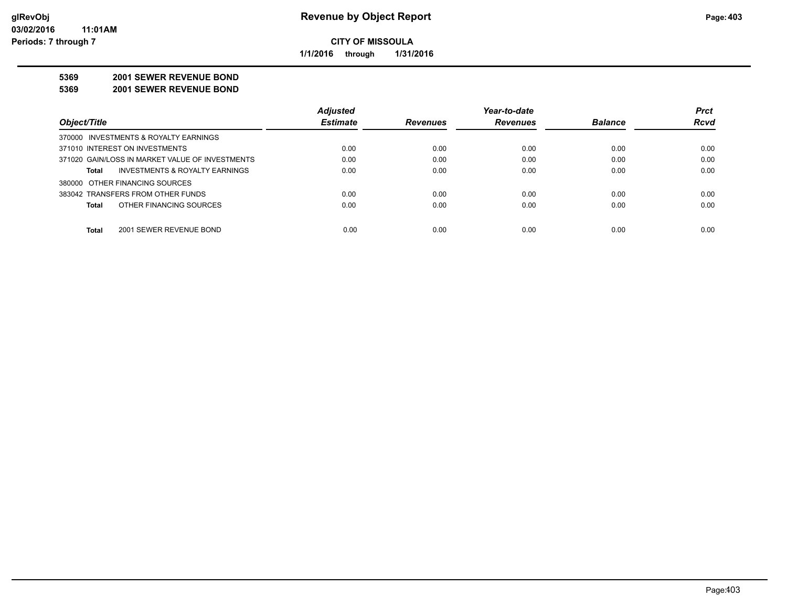**1/1/2016 through 1/31/2016**

### **5369 2001 SEWER REVENUE BOND**

**5369 2001 SEWER REVENUE BOND**

|                                                    | <b>Adjusted</b> |                 | Year-to-date    |                | <b>Prct</b> |
|----------------------------------------------------|-----------------|-----------------|-----------------|----------------|-------------|
| Object/Title                                       | <b>Estimate</b> | <b>Revenues</b> | <b>Revenues</b> | <b>Balance</b> | <b>Rcvd</b> |
| 370000 INVESTMENTS & ROYALTY EARNINGS              |                 |                 |                 |                |             |
| 371010 INTEREST ON INVESTMENTS                     | 0.00            | 0.00            | 0.00            | 0.00           | 0.00        |
| 371020 GAIN/LOSS IN MARKET VALUE OF INVESTMENTS    | 0.00            | 0.00            | 0.00            | 0.00           | 0.00        |
| <b>INVESTMENTS &amp; ROYALTY EARNINGS</b><br>Total | 0.00            | 0.00            | 0.00            | 0.00           | 0.00        |
| 380000 OTHER FINANCING SOURCES                     |                 |                 |                 |                |             |
| 383042 TRANSFERS FROM OTHER FUNDS                  | 0.00            | 0.00            | 0.00            | 0.00           | 0.00        |
| OTHER FINANCING SOURCES<br>Total                   | 0.00            | 0.00            | 0.00            | 0.00           | 0.00        |
|                                                    |                 |                 |                 |                |             |
| Total<br>2001 SEWER REVENUE BOND                   | 0.00            | 0.00            | 0.00            | 0.00           | 0.00        |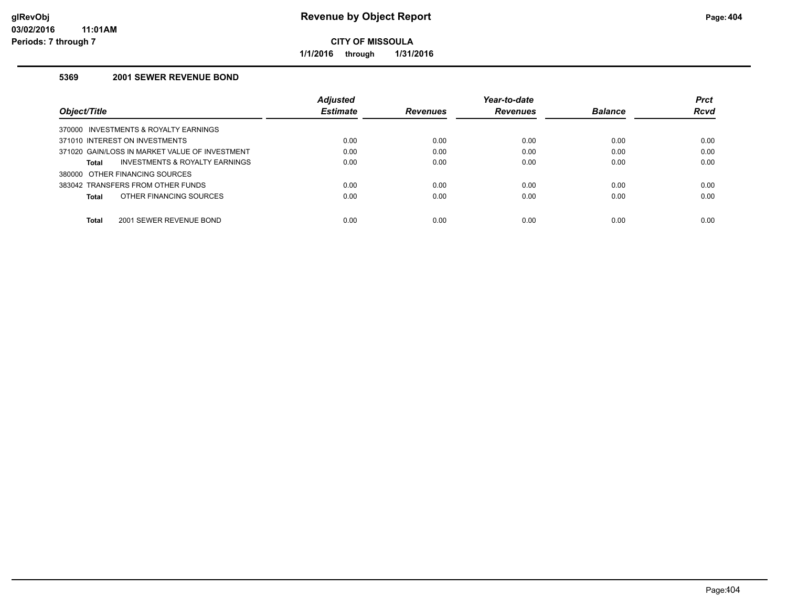**1/1/2016 through 1/31/2016**

### **5369 2001 SEWER REVENUE BOND**

|                                                    | Adjusted        |                 | Year-to-date    |                | <b>Prct</b> |
|----------------------------------------------------|-----------------|-----------------|-----------------|----------------|-------------|
| Object/Title                                       | <b>Estimate</b> | <b>Revenues</b> | <b>Revenues</b> | <b>Balance</b> | Rcvd        |
| 370000 INVESTMENTS & ROYALTY EARNINGS              |                 |                 |                 |                |             |
| 371010 INTEREST ON INVESTMENTS                     | 0.00            | 0.00            | 0.00            | 0.00           | 0.00        |
| 371020 GAIN/LOSS IN MARKET VALUE OF INVESTMENT     | 0.00            | 0.00            | 0.00            | 0.00           | 0.00        |
| <b>INVESTMENTS &amp; ROYALTY EARNINGS</b><br>Total | 0.00            | 0.00            | 0.00            | 0.00           | 0.00        |
| 380000 OTHER FINANCING SOURCES                     |                 |                 |                 |                |             |
| 383042 TRANSFERS FROM OTHER FUNDS                  | 0.00            | 0.00            | 0.00            | 0.00           | 0.00        |
| OTHER FINANCING SOURCES<br>Total                   | 0.00            | 0.00            | 0.00            | 0.00           | 0.00        |
| <b>Total</b><br>2001 SEWER REVENUE BOND            | 0.00            | 0.00            | 0.00            | 0.00           | 0.00        |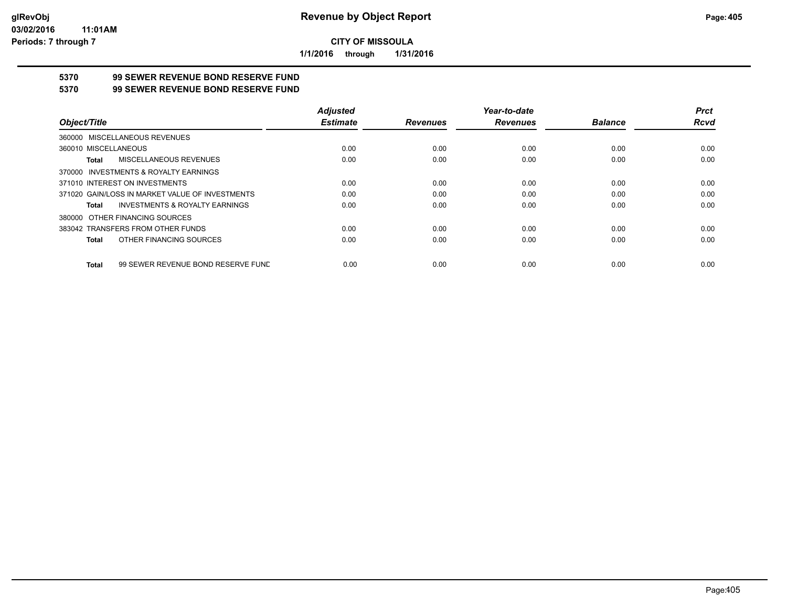**1/1/2016 through 1/31/2016**

### **5370 99 SEWER REVENUE BOND RESERVE FUND**

### **5370 99 SEWER REVENUE BOND RESERVE FUND**

|                                                    | <b>Adjusted</b> |                 | Year-to-date    |                | <b>Prct</b> |
|----------------------------------------------------|-----------------|-----------------|-----------------|----------------|-------------|
| Object/Title                                       | <b>Estimate</b> | <b>Revenues</b> | <b>Revenues</b> | <b>Balance</b> | <b>Rcvd</b> |
| 360000 MISCELLANEOUS REVENUES                      |                 |                 |                 |                |             |
| 360010 MISCELLANEOUS                               | 0.00            | 0.00            | 0.00            | 0.00           | 0.00        |
| MISCELLANEOUS REVENUES<br>Total                    | 0.00            | 0.00            | 0.00            | 0.00           | 0.00        |
| 370000 INVESTMENTS & ROYALTY EARNINGS              |                 |                 |                 |                |             |
| 371010 INTEREST ON INVESTMENTS                     | 0.00            | 0.00            | 0.00            | 0.00           | 0.00        |
| 371020 GAIN/LOSS IN MARKET VALUE OF INVESTMENTS    | 0.00            | 0.00            | 0.00            | 0.00           | 0.00        |
| <b>INVESTMENTS &amp; ROYALTY EARNINGS</b><br>Total | 0.00            | 0.00            | 0.00            | 0.00           | 0.00        |
| 380000 OTHER FINANCING SOURCES                     |                 |                 |                 |                |             |
| 383042 TRANSFERS FROM OTHER FUNDS                  | 0.00            | 0.00            | 0.00            | 0.00           | 0.00        |
| OTHER FINANCING SOURCES<br>Total                   | 0.00            | 0.00            | 0.00            | 0.00           | 0.00        |
| 99 SEWER REVENUE BOND RESERVE FUND<br><b>Total</b> | 0.00            | 0.00            | 0.00            | 0.00           | 0.00        |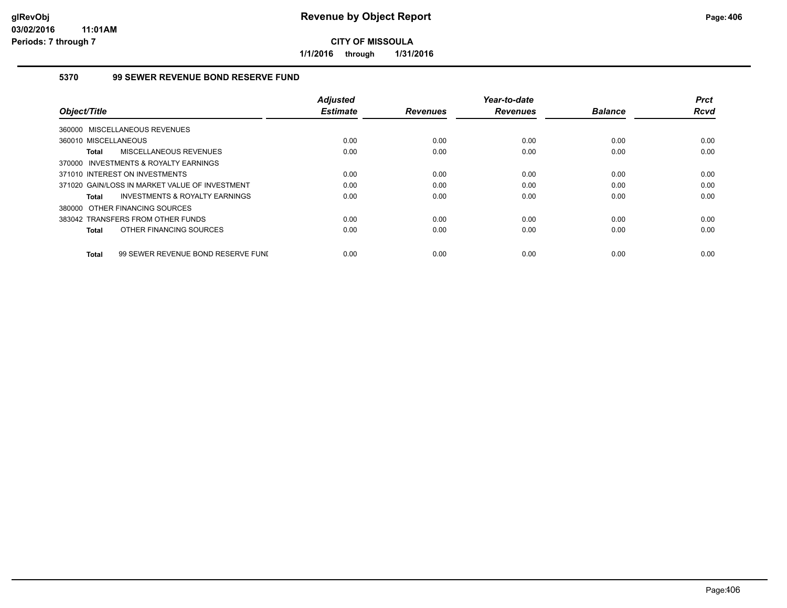**1/1/2016 through 1/31/2016**

### **5370 99 SEWER REVENUE BOND RESERVE FUND**

|                                                    | <b>Adjusted</b> |                 | Year-to-date    |                | <b>Prct</b> |
|----------------------------------------------------|-----------------|-----------------|-----------------|----------------|-------------|
| Object/Title                                       | <b>Estimate</b> | <b>Revenues</b> | <b>Revenues</b> | <b>Balance</b> | <b>Rcvd</b> |
| 360000 MISCELLANEOUS REVENUES                      |                 |                 |                 |                |             |
| 360010 MISCELLANEOUS                               | 0.00            | 0.00            | 0.00            | 0.00           | 0.00        |
| MISCELLANEOUS REVENUES<br>Total                    | 0.00            | 0.00            | 0.00            | 0.00           | 0.00        |
| 370000 INVESTMENTS & ROYALTY EARNINGS              |                 |                 |                 |                |             |
| 371010 INTEREST ON INVESTMENTS                     | 0.00            | 0.00            | 0.00            | 0.00           | 0.00        |
| 371020 GAIN/LOSS IN MARKET VALUE OF INVESTMENT     | 0.00            | 0.00            | 0.00            | 0.00           | 0.00        |
| <b>INVESTMENTS &amp; ROYALTY EARNINGS</b><br>Total | 0.00            | 0.00            | 0.00            | 0.00           | 0.00        |
| 380000 OTHER FINANCING SOURCES                     |                 |                 |                 |                |             |
| 383042 TRANSFERS FROM OTHER FUNDS                  | 0.00            | 0.00            | 0.00            | 0.00           | 0.00        |
| OTHER FINANCING SOURCES<br>Total                   | 0.00            | 0.00            | 0.00            | 0.00           | 0.00        |
|                                                    |                 |                 |                 |                |             |
| 99 SEWER REVENUE BOND RESERVE FUNI<br><b>Total</b> | 0.00            | 0.00            | 0.00            | 0.00           | 0.00        |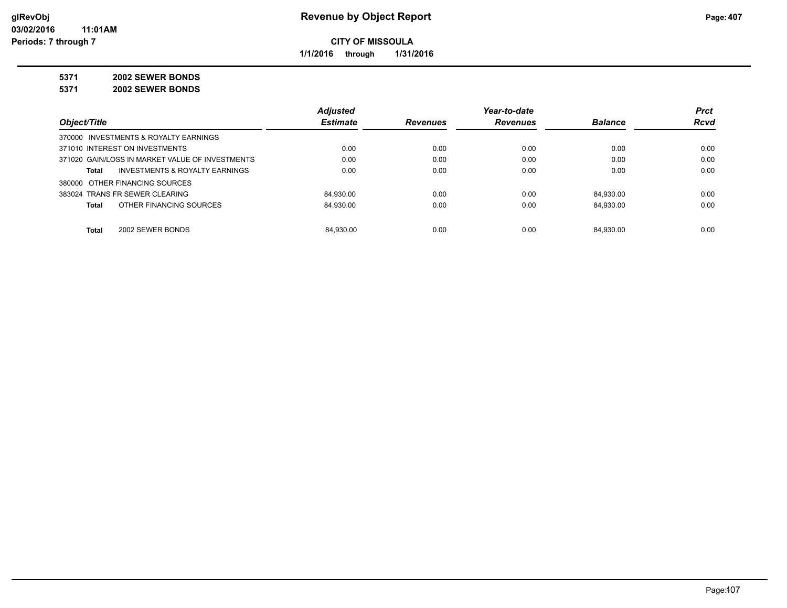**1/1/2016 through 1/31/2016**

**5371 2002 SEWER BONDS**

**5371 2002 SEWER BONDS**

|                                                    | <b>Adjusted</b> |                 | Year-to-date    |                | <b>Prct</b> |
|----------------------------------------------------|-----------------|-----------------|-----------------|----------------|-------------|
| Object/Title                                       | <b>Estimate</b> | <b>Revenues</b> | <b>Revenues</b> | <b>Balance</b> | <b>Rcvd</b> |
| 370000 INVESTMENTS & ROYALTY EARNINGS              |                 |                 |                 |                |             |
| 371010 INTEREST ON INVESTMENTS                     | 0.00            | 0.00            | 0.00            | 0.00           | 0.00        |
| 371020 GAIN/LOSS IN MARKET VALUE OF INVESTMENTS    | 0.00            | 0.00            | 0.00            | 0.00           | 0.00        |
| <b>INVESTMENTS &amp; ROYALTY EARNINGS</b><br>Total | 0.00            | 0.00            | 0.00            | 0.00           | 0.00        |
| 380000 OTHER FINANCING SOURCES                     |                 |                 |                 |                |             |
| 383024 TRANS FR SEWER CLEARING                     | 84.930.00       | 0.00            | 0.00            | 84.930.00      | 0.00        |
| OTHER FINANCING SOURCES<br>Total                   | 84.930.00       | 0.00            | 0.00            | 84.930.00      | 0.00        |
|                                                    |                 |                 |                 |                |             |
| 2002 SEWER BONDS<br>Total                          | 84.930.00       | 0.00            | 0.00            | 84.930.00      | 0.00        |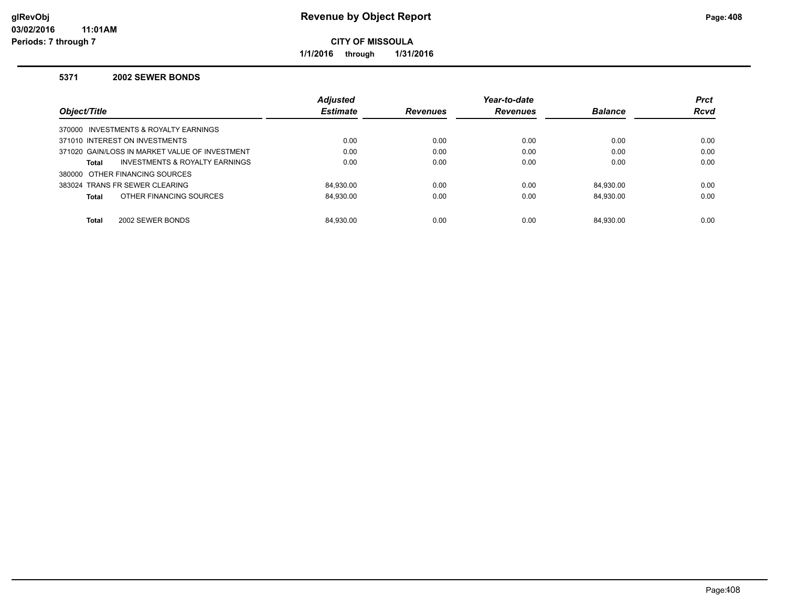**1/1/2016 through 1/31/2016**

### **5371 2002 SEWER BONDS**

|                                                | <b>Adjusted</b> |                 | Year-to-date    |                | <b>Prct</b> |
|------------------------------------------------|-----------------|-----------------|-----------------|----------------|-------------|
| Object/Title                                   | <b>Estimate</b> | <b>Revenues</b> | <b>Revenues</b> | <b>Balance</b> | <b>Rcvd</b> |
| 370000 INVESTMENTS & ROYALTY EARNINGS          |                 |                 |                 |                |             |
| 371010 INTEREST ON INVESTMENTS                 | 0.00            | 0.00            | 0.00            | 0.00           | 0.00        |
| 371020 GAIN/LOSS IN MARKET VALUE OF INVESTMENT | 0.00            | 0.00            | 0.00            | 0.00           | 0.00        |
| INVESTMENTS & ROYALTY EARNINGS<br>Total        | 0.00            | 0.00            | 0.00            | 0.00           | 0.00        |
| 380000 OTHER FINANCING SOURCES                 |                 |                 |                 |                |             |
| 383024 TRANS FR SEWER CLEARING                 | 84.930.00       | 0.00            | 0.00            | 84.930.00      | 0.00        |
| OTHER FINANCING SOURCES<br>Total               | 84.930.00       | 0.00            | 0.00            | 84.930.00      | 0.00        |
|                                                |                 |                 |                 |                |             |
| 2002 SEWER BONDS<br><b>Total</b>               | 84.930.00       | 0.00            | 0.00            | 84.930.00      | 0.00        |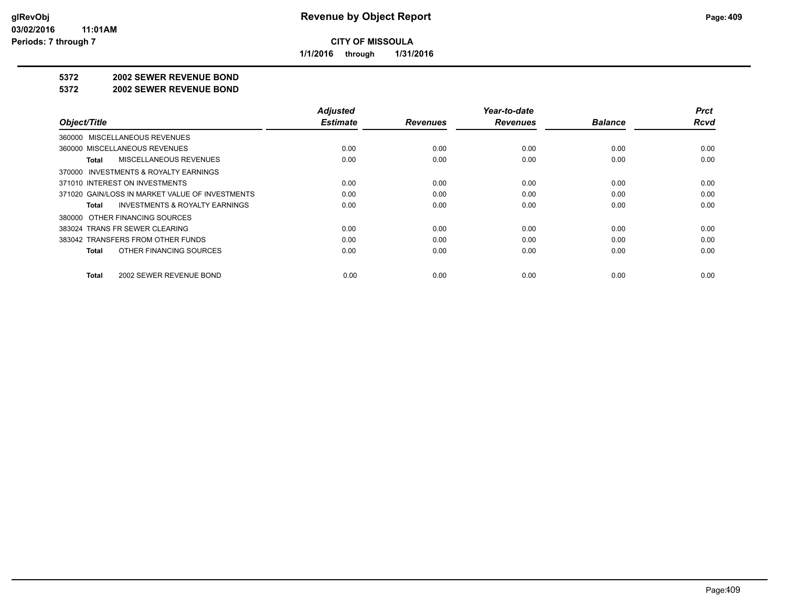**1/1/2016 through 1/31/2016**

#### **5372 2002 SEWER REVENUE BOND**

#### **5372 2002 SEWER REVENUE BOND**

|                                                    | <b>Adjusted</b> |                 | Year-to-date    |                | <b>Prct</b> |
|----------------------------------------------------|-----------------|-----------------|-----------------|----------------|-------------|
| Object/Title                                       | <b>Estimate</b> | <b>Revenues</b> | <b>Revenues</b> | <b>Balance</b> | <b>Rcvd</b> |
| 360000 MISCELLANEOUS REVENUES                      |                 |                 |                 |                |             |
| 360000 MISCELLANEOUS REVENUES                      | 0.00            | 0.00            | 0.00            | 0.00           | 0.00        |
| MISCELLANEOUS REVENUES<br>Total                    | 0.00            | 0.00            | 0.00            | 0.00           | 0.00        |
| 370000 INVESTMENTS & ROYALTY EARNINGS              |                 |                 |                 |                |             |
| 371010 INTEREST ON INVESTMENTS                     | 0.00            | 0.00            | 0.00            | 0.00           | 0.00        |
| 371020 GAIN/LOSS IN MARKET VALUE OF INVESTMENTS    | 0.00            | 0.00            | 0.00            | 0.00           | 0.00        |
| <b>INVESTMENTS &amp; ROYALTY EARNINGS</b><br>Total | 0.00            | 0.00            | 0.00            | 0.00           | 0.00        |
| 380000 OTHER FINANCING SOURCES                     |                 |                 |                 |                |             |
| 383024 TRANS FR SEWER CLEARING                     | 0.00            | 0.00            | 0.00            | 0.00           | 0.00        |
| 383042 TRANSFERS FROM OTHER FUNDS                  | 0.00            | 0.00            | 0.00            | 0.00           | 0.00        |
| OTHER FINANCING SOURCES<br>Total                   | 0.00            | 0.00            | 0.00            | 0.00           | 0.00        |
| 2002 SEWER REVENUE BOND<br>Total                   | 0.00            | 0.00            | 0.00            | 0.00           | 0.00        |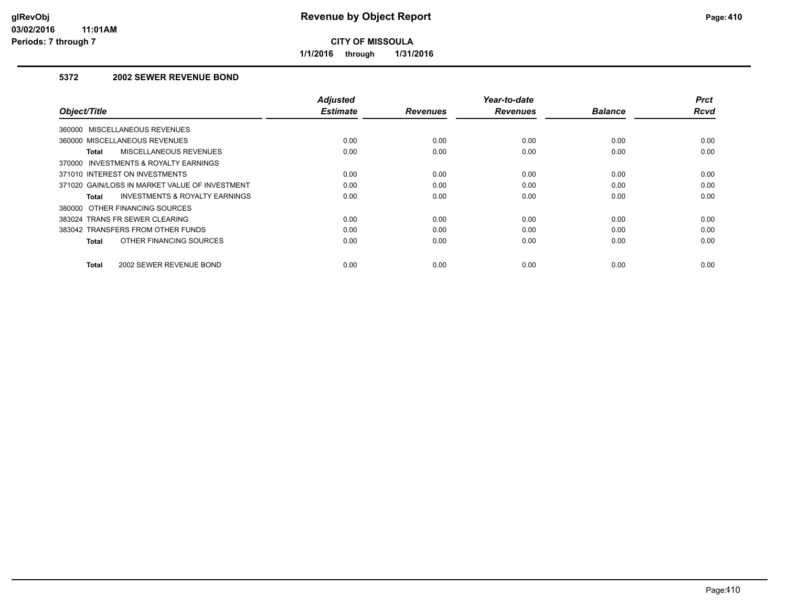**1/1/2016 through 1/31/2016**

### **5372 2002 SEWER REVENUE BOND**

| Object/Title                                   | <b>Adjusted</b><br><b>Estimate</b> | <b>Revenues</b> | Year-to-date<br><b>Revenues</b> | <b>Balance</b> | <b>Prct</b><br>Rcvd |
|------------------------------------------------|------------------------------------|-----------------|---------------------------------|----------------|---------------------|
| 360000 MISCELLANEOUS REVENUES                  |                                    |                 |                                 |                |                     |
| 360000 MISCELLANEOUS REVENUES                  | 0.00                               | 0.00            | 0.00                            | 0.00           | 0.00                |
| MISCELLANEOUS REVENUES<br>Total                | 0.00                               | 0.00            | 0.00                            | 0.00           | 0.00                |
| 370000 INVESTMENTS & ROYALTY EARNINGS          |                                    |                 |                                 |                |                     |
| 371010 INTEREST ON INVESTMENTS                 | 0.00                               | 0.00            | 0.00                            | 0.00           | 0.00                |
| 371020 GAIN/LOSS IN MARKET VALUE OF INVESTMENT | 0.00                               | 0.00            | 0.00                            | 0.00           | 0.00                |
| INVESTMENTS & ROYALTY EARNINGS<br>Total        | 0.00                               | 0.00            | 0.00                            | 0.00           | 0.00                |
| 380000 OTHER FINANCING SOURCES                 |                                    |                 |                                 |                |                     |
| 383024 TRANS FR SEWER CLEARING                 | 0.00                               | 0.00            | 0.00                            | 0.00           | 0.00                |
| 383042 TRANSFERS FROM OTHER FUNDS              | 0.00                               | 0.00            | 0.00                            | 0.00           | 0.00                |
| OTHER FINANCING SOURCES<br><b>Total</b>        | 0.00                               | 0.00            | 0.00                            | 0.00           | 0.00                |
| 2002 SEWER REVENUE BOND<br><b>Total</b>        | 0.00                               | 0.00            | 0.00                            | 0.00           | 0.00                |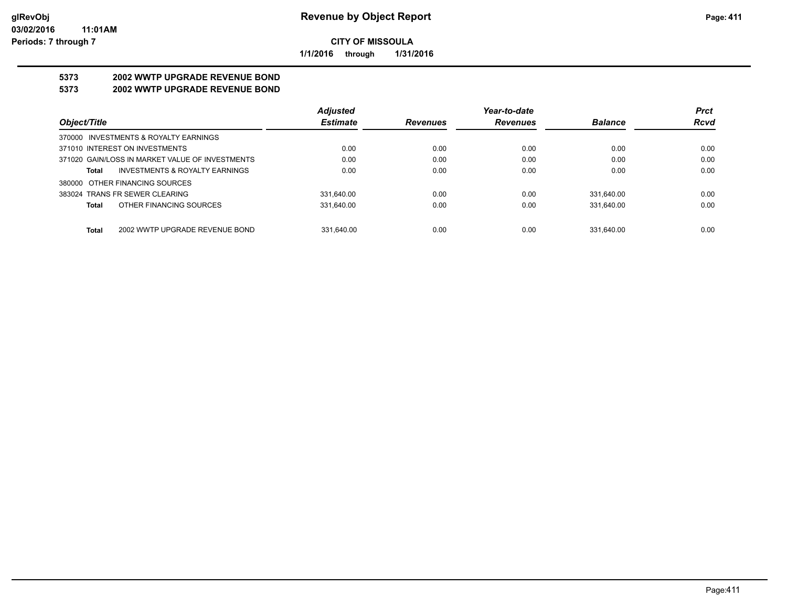**1/1/2016 through 1/31/2016**

## **5373 2002 WWTP UPGRADE REVENUE BOND**

### **5373 2002 WWTP UPGRADE REVENUE BOND**

|                                                 | <b>Adjusted</b> |                 | Year-to-date    |                | <b>Prct</b> |
|-------------------------------------------------|-----------------|-----------------|-----------------|----------------|-------------|
| Object/Title                                    | <b>Estimate</b> | <b>Revenues</b> | <b>Revenues</b> | <b>Balance</b> | <b>Rcvd</b> |
| 370000 INVESTMENTS & ROYALTY EARNINGS           |                 |                 |                 |                |             |
| 371010 INTEREST ON INVESTMENTS                  | 0.00            | 0.00            | 0.00            | 0.00           | 0.00        |
| 371020 GAIN/LOSS IN MARKET VALUE OF INVESTMENTS | 0.00            | 0.00            | 0.00            | 0.00           | 0.00        |
| INVESTMENTS & ROYALTY EARNINGS<br>Total         | 0.00            | 0.00            | 0.00            | 0.00           | 0.00        |
| 380000 OTHER FINANCING SOURCES                  |                 |                 |                 |                |             |
| 383024 TRANS FR SEWER CLEARING                  | 331.640.00      | 0.00            | 0.00            | 331.640.00     | 0.00        |
| OTHER FINANCING SOURCES<br>Total                | 331.640.00      | 0.00            | 0.00            | 331.640.00     | 0.00        |
|                                                 |                 |                 |                 |                |             |
| 2002 WWTP UPGRADE REVENUE BOND<br><b>Total</b>  | 331.640.00      | 0.00            | 0.00            | 331.640.00     | 0.00        |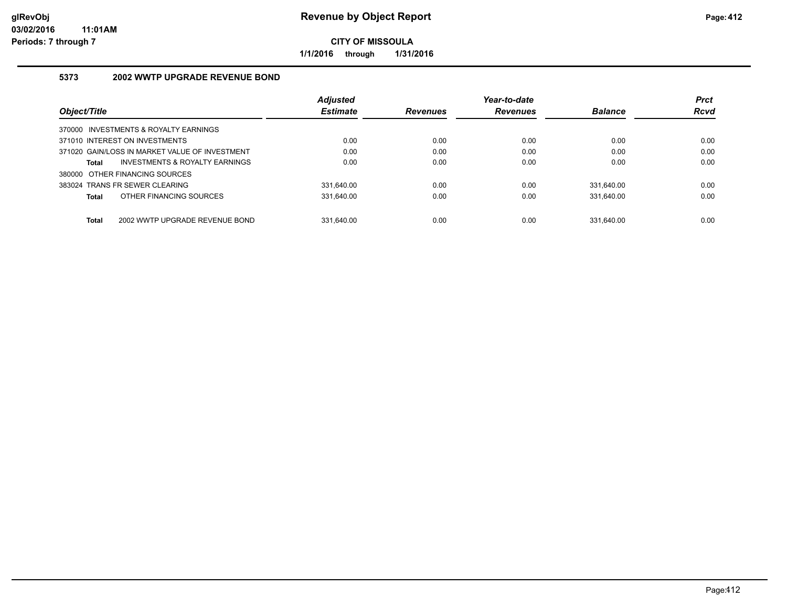**1/1/2016 through 1/31/2016**

### **5373 2002 WWTP UPGRADE REVENUE BOND**

|                                                | <b>Adjusted</b> |                 | Year-to-date    |                | <b>Prct</b> |
|------------------------------------------------|-----------------|-----------------|-----------------|----------------|-------------|
| Object/Title                                   | <b>Estimate</b> | <b>Revenues</b> | <b>Revenues</b> | <b>Balance</b> | <b>Rcvd</b> |
| 370000 INVESTMENTS & ROYALTY EARNINGS          |                 |                 |                 |                |             |
| 371010 INTEREST ON INVESTMENTS                 | 0.00            | 0.00            | 0.00            | 0.00           | 0.00        |
| 371020 GAIN/LOSS IN MARKET VALUE OF INVESTMENT | 0.00            | 0.00            | 0.00            | 0.00           | 0.00        |
| INVESTMENTS & ROYALTY EARNINGS<br>Total        | 0.00            | 0.00            | 0.00            | 0.00           | 0.00        |
| 380000 OTHER FINANCING SOURCES                 |                 |                 |                 |                |             |
| 383024 TRANS FR SEWER CLEARING                 | 331.640.00      | 0.00            | 0.00            | 331.640.00     | 0.00        |
| OTHER FINANCING SOURCES<br>Total               | 331.640.00      | 0.00            | 0.00            | 331.640.00     | 0.00        |
| <b>Total</b><br>2002 WWTP UPGRADE REVENUE BOND | 331.640.00      | 0.00            | 0.00            | 331.640.00     | 0.00        |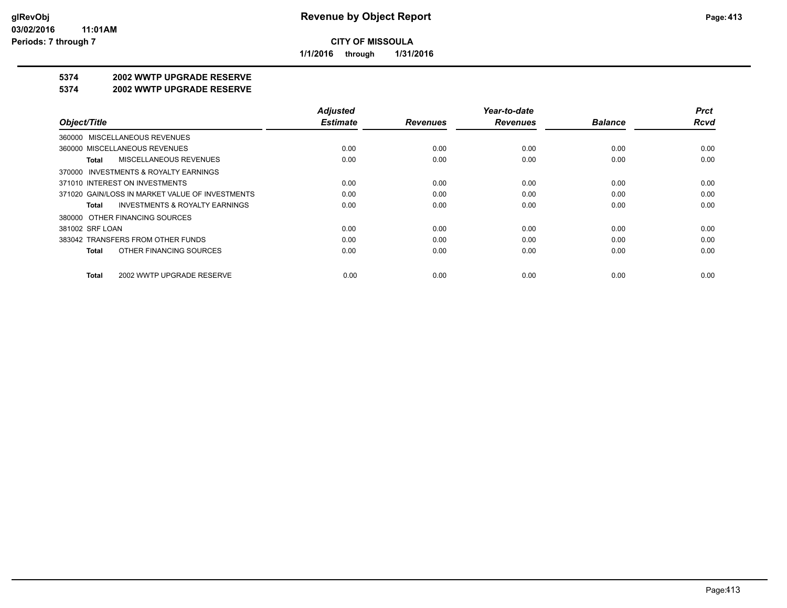**1/1/2016 through 1/31/2016**

### **5374 2002 WWTP UPGRADE RESERVE**

#### **5374 2002 WWTP UPGRADE RESERVE**

|                                                    | <b>Adjusted</b> |                 | Year-to-date    |                | <b>Prct</b> |
|----------------------------------------------------|-----------------|-----------------|-----------------|----------------|-------------|
| Object/Title                                       | <b>Estimate</b> | <b>Revenues</b> | <b>Revenues</b> | <b>Balance</b> | <b>Rcvd</b> |
| 360000 MISCELLANEOUS REVENUES                      |                 |                 |                 |                |             |
| 360000 MISCELLANEOUS REVENUES                      | 0.00            | 0.00            | 0.00            | 0.00           | 0.00        |
| <b>MISCELLANEOUS REVENUES</b><br>Total             | 0.00            | 0.00            | 0.00            | 0.00           | 0.00        |
| 370000 INVESTMENTS & ROYALTY EARNINGS              |                 |                 |                 |                |             |
| 371010 INTEREST ON INVESTMENTS                     | 0.00            | 0.00            | 0.00            | 0.00           | 0.00        |
| 371020 GAIN/LOSS IN MARKET VALUE OF INVESTMENTS    | 0.00            | 0.00            | 0.00            | 0.00           | 0.00        |
| <b>INVESTMENTS &amp; ROYALTY EARNINGS</b><br>Total | 0.00            | 0.00            | 0.00            | 0.00           | 0.00        |
| 380000 OTHER FINANCING SOURCES                     |                 |                 |                 |                |             |
| 381002 SRF LOAN                                    | 0.00            | 0.00            | 0.00            | 0.00           | 0.00        |
| 383042 TRANSFERS FROM OTHER FUNDS                  | 0.00            | 0.00            | 0.00            | 0.00           | 0.00        |
| OTHER FINANCING SOURCES<br>Total                   | 0.00            | 0.00            | 0.00            | 0.00           | 0.00        |
| 2002 WWTP UPGRADE RESERVE<br>Total                 | 0.00            | 0.00            | 0.00            | 0.00           | 0.00        |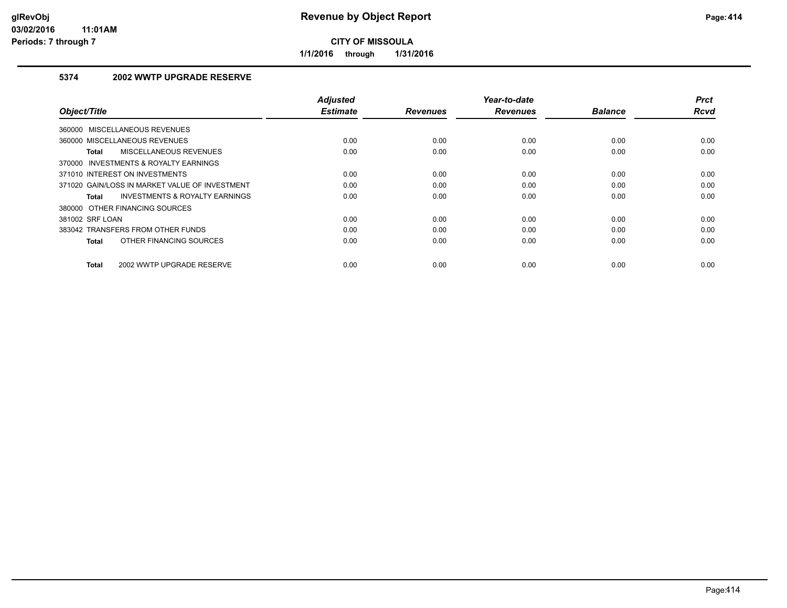**1/1/2016 through 1/31/2016**

### **5374 2002 WWTP UPGRADE RESERVE**

| Object/Title                                       | <b>Adjusted</b><br><b>Estimate</b> | <b>Revenues</b> | Year-to-date<br><b>Revenues</b> | <b>Balance</b> | <b>Prct</b><br>Rcvd |
|----------------------------------------------------|------------------------------------|-----------------|---------------------------------|----------------|---------------------|
| <b>MISCELLANEOUS REVENUES</b><br>360000            |                                    |                 |                                 |                |                     |
| 360000 MISCELLANEOUS REVENUES                      | 0.00                               | 0.00            | 0.00                            | 0.00           | 0.00                |
| MISCELLANEOUS REVENUES<br>Total                    | 0.00                               | 0.00            | 0.00                            | 0.00           | 0.00                |
| 370000 INVESTMENTS & ROYALTY EARNINGS              |                                    |                 |                                 |                |                     |
| 371010 INTEREST ON INVESTMENTS                     | 0.00                               | 0.00            | 0.00                            | 0.00           | 0.00                |
| 371020 GAIN/LOSS IN MARKET VALUE OF INVESTMENT     | 0.00                               | 0.00            | 0.00                            | 0.00           | 0.00                |
| <b>INVESTMENTS &amp; ROYALTY EARNINGS</b><br>Total | 0.00                               | 0.00            | 0.00                            | 0.00           | 0.00                |
| 380000 OTHER FINANCING SOURCES                     |                                    |                 |                                 |                |                     |
| 381002 SRF LOAN                                    | 0.00                               | 0.00            | 0.00                            | 0.00           | 0.00                |
| 383042 TRANSFERS FROM OTHER FUNDS                  | 0.00                               | 0.00            | 0.00                            | 0.00           | 0.00                |
| OTHER FINANCING SOURCES<br><b>Total</b>            | 0.00                               | 0.00            | 0.00                            | 0.00           | 0.00                |
| 2002 WWTP UPGRADE RESERVE<br><b>Total</b>          | 0.00                               | 0.00            | 0.00                            | 0.00           | 0.00                |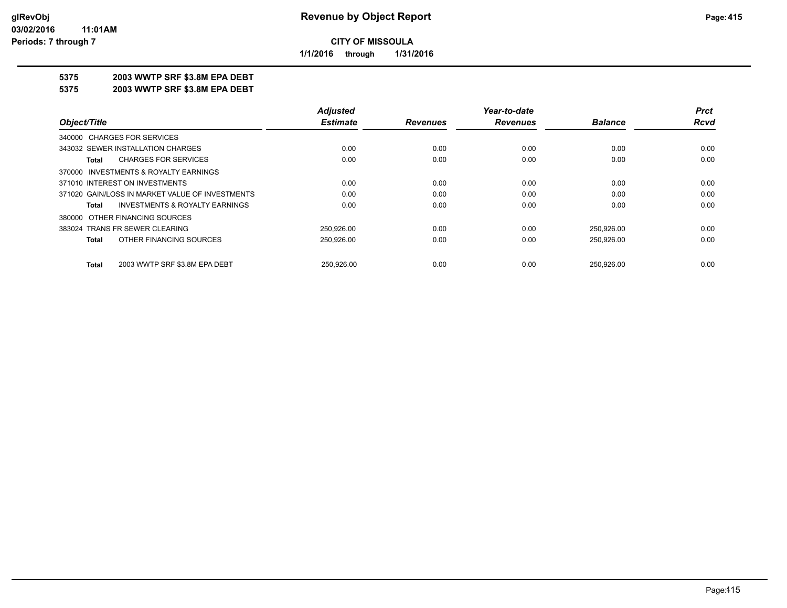**1/1/2016 through 1/31/2016**

### **5375 2003 WWTP SRF \$3.8M EPA DEBT**

**5375 2003 WWTP SRF \$3.8M EPA DEBT**

|                                                    | <b>Adjusted</b> |                 | Year-to-date    |                | <b>Prct</b> |
|----------------------------------------------------|-----------------|-----------------|-----------------|----------------|-------------|
| Object/Title                                       | <b>Estimate</b> | <b>Revenues</b> | <b>Revenues</b> | <b>Balance</b> | Rcvd        |
| 340000 CHARGES FOR SERVICES                        |                 |                 |                 |                |             |
| 343032 SEWER INSTALLATION CHARGES                  | 0.00            | 0.00            | 0.00            | 0.00           | 0.00        |
| <b>CHARGES FOR SERVICES</b><br>Total               | 0.00            | 0.00            | 0.00            | 0.00           | 0.00        |
| 370000 INVESTMENTS & ROYALTY EARNINGS              |                 |                 |                 |                |             |
| 371010 INTEREST ON INVESTMENTS                     | 0.00            | 0.00            | 0.00            | 0.00           | 0.00        |
| 371020 GAIN/LOSS IN MARKET VALUE OF INVESTMENTS    | 0.00            | 0.00            | 0.00            | 0.00           | 0.00        |
| <b>INVESTMENTS &amp; ROYALTY EARNINGS</b><br>Total | 0.00            | 0.00            | 0.00            | 0.00           | 0.00        |
| 380000 OTHER FINANCING SOURCES                     |                 |                 |                 |                |             |
| 383024 TRANS FR SEWER CLEARING                     | 250.926.00      | 0.00            | 0.00            | 250,926.00     | 0.00        |
| OTHER FINANCING SOURCES<br>Total                   | 250,926.00      | 0.00            | 0.00            | 250,926.00     | 0.00        |
| 2003 WWTP SRF \$3.8M EPA DEBT<br>Total             | 250.926.00      | 0.00            | 0.00            | 250.926.00     | 0.00        |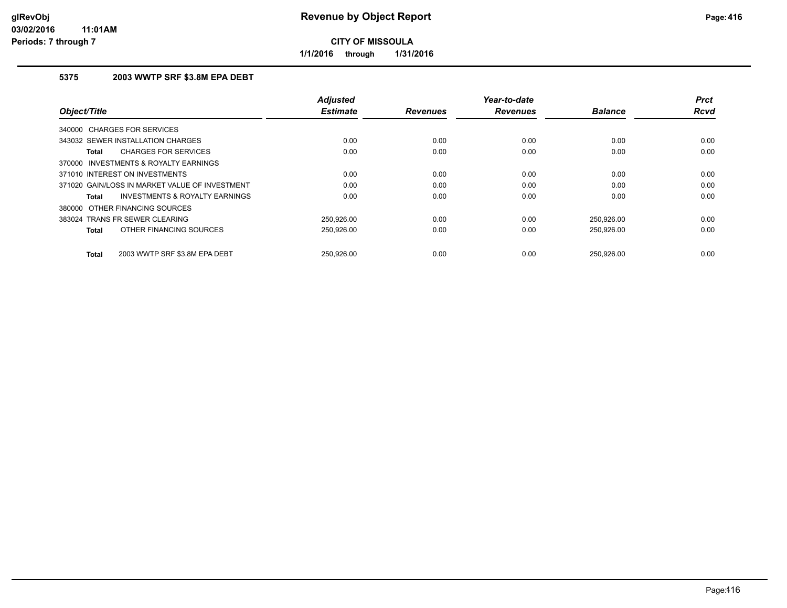**1/1/2016 through 1/31/2016**

### **5375 2003 WWTP SRF \$3.8M EPA DEBT**

| Object/Title                                       | <b>Adjusted</b><br><b>Estimate</b> | <b>Revenues</b> | Year-to-date<br><b>Revenues</b> | <b>Balance</b> | <b>Prct</b><br><b>Rcvd</b> |
|----------------------------------------------------|------------------------------------|-----------------|---------------------------------|----------------|----------------------------|
|                                                    |                                    |                 |                                 |                |                            |
| <b>CHARGES FOR SERVICES</b><br>340000              |                                    |                 |                                 |                |                            |
| 343032 SEWER INSTALLATION CHARGES                  | 0.00                               | 0.00            | 0.00                            | 0.00           | 0.00                       |
| <b>CHARGES FOR SERVICES</b><br>Total               | 0.00                               | 0.00            | 0.00                            | 0.00           | 0.00                       |
| 370000 INVESTMENTS & ROYALTY EARNINGS              |                                    |                 |                                 |                |                            |
| 371010 INTEREST ON INVESTMENTS                     | 0.00                               | 0.00            | 0.00                            | 0.00           | 0.00                       |
| 371020 GAIN/LOSS IN MARKET VALUE OF INVESTMENT     | 0.00                               | 0.00            | 0.00                            | 0.00           | 0.00                       |
| <b>INVESTMENTS &amp; ROYALTY EARNINGS</b><br>Total | 0.00                               | 0.00            | 0.00                            | 0.00           | 0.00                       |
| 380000 OTHER FINANCING SOURCES                     |                                    |                 |                                 |                |                            |
| 383024 TRANS FR SEWER CLEARING                     | 250,926.00                         | 0.00            | 0.00                            | 250,926.00     | 0.00                       |
| OTHER FINANCING SOURCES<br><b>Total</b>            | 250,926.00                         | 0.00            | 0.00                            | 250,926.00     | 0.00                       |
| 2003 WWTP SRF \$3.8M EPA DEBT<br><b>Total</b>      | 250.926.00                         | 0.00            | 0.00                            | 250.926.00     | 0.00                       |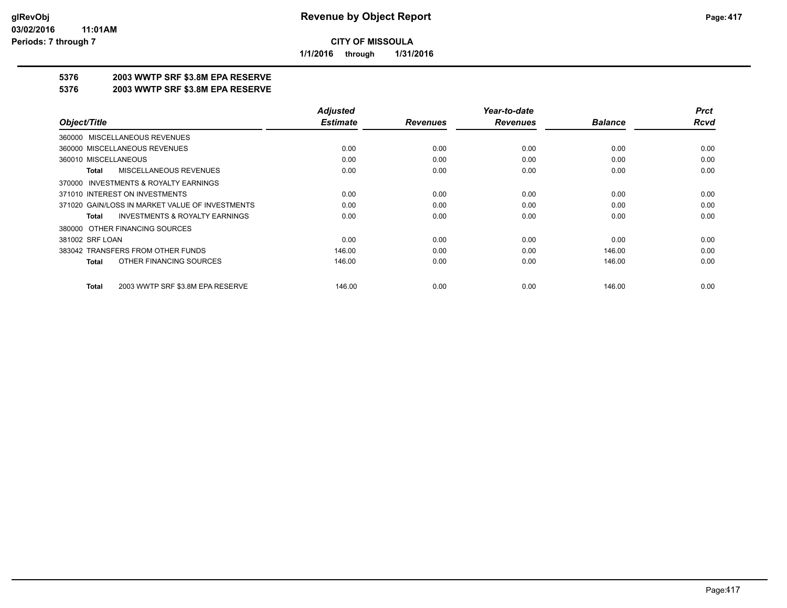**1/1/2016 through 1/31/2016**

### **5376 2003 WWTP SRF \$3.8M EPA RESERVE**

### **5376 2003 WWTP SRF \$3.8M EPA RESERVE**

|                                                    | <b>Adjusted</b> |                 | Year-to-date    |                | <b>Prct</b> |
|----------------------------------------------------|-----------------|-----------------|-----------------|----------------|-------------|
| Object/Title                                       | <b>Estimate</b> | <b>Revenues</b> | <b>Revenues</b> | <b>Balance</b> | <b>Rcvd</b> |
| 360000 MISCELLANEOUS REVENUES                      |                 |                 |                 |                |             |
| 360000 MISCELLANEOUS REVENUES                      | 0.00            | 0.00            | 0.00            | 0.00           | 0.00        |
| 360010 MISCELLANEOUS                               | 0.00            | 0.00            | 0.00            | 0.00           | 0.00        |
| MISCELLANEOUS REVENUES<br>Total                    | 0.00            | 0.00            | 0.00            | 0.00           | 0.00        |
| 370000 INVESTMENTS & ROYALTY EARNINGS              |                 |                 |                 |                |             |
| 371010 INTEREST ON INVESTMENTS                     | 0.00            | 0.00            | 0.00            | 0.00           | 0.00        |
| 371020 GAIN/LOSS IN MARKET VALUE OF INVESTMENTS    | 0.00            | 0.00            | 0.00            | 0.00           | 0.00        |
| <b>INVESTMENTS &amp; ROYALTY EARNINGS</b><br>Total | 0.00            | 0.00            | 0.00            | 0.00           | 0.00        |
| 380000 OTHER FINANCING SOURCES                     |                 |                 |                 |                |             |
| 381002 SRF LOAN                                    | 0.00            | 0.00            | 0.00            | 0.00           | 0.00        |
| 383042 TRANSFERS FROM OTHER FUNDS                  | 146.00          | 0.00            | 0.00            | 146.00         | 0.00        |
| OTHER FINANCING SOURCES<br><b>Total</b>            | 146.00          | 0.00            | 0.00            | 146.00         | 0.00        |
| 2003 WWTP SRF \$3.8M EPA RESERVE<br><b>Total</b>   | 146.00          | 0.00            | 0.00            | 146.00         | 0.00        |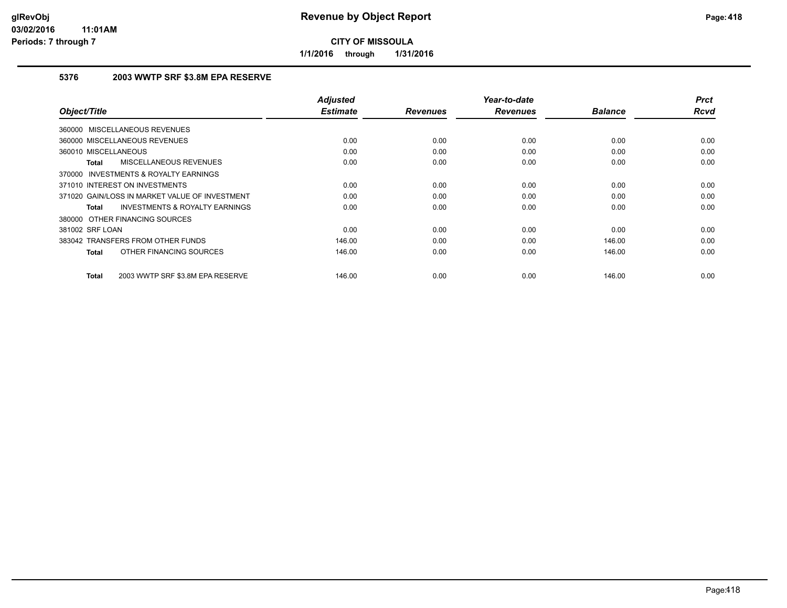**1/1/2016 through 1/31/2016**

### **5376 2003 WWTP SRF \$3.8M EPA RESERVE**

| Object/Title                                              | <b>Adjusted</b><br><b>Estimate</b> | <b>Revenues</b> | Year-to-date<br><b>Revenues</b> | <b>Balance</b> | <b>Prct</b><br><b>Rcvd</b> |
|-----------------------------------------------------------|------------------------------------|-----------------|---------------------------------|----------------|----------------------------|
| 360000 MISCELLANEOUS REVENUES                             |                                    |                 |                                 |                |                            |
|                                                           |                                    |                 |                                 |                |                            |
| 360000 MISCELLANEOUS REVENUES                             | 0.00                               | 0.00            | 0.00                            | 0.00           | 0.00                       |
| 360010 MISCELLANEOUS                                      | 0.00                               | 0.00            | 0.00                            | 0.00           | 0.00                       |
| <b>MISCELLANEOUS REVENUES</b><br><b>Total</b>             | 0.00                               | 0.00            | 0.00                            | 0.00           | 0.00                       |
| INVESTMENTS & ROYALTY EARNINGS<br>370000                  |                                    |                 |                                 |                |                            |
| 371010 INTEREST ON INVESTMENTS                            | 0.00                               | 0.00            | 0.00                            | 0.00           | 0.00                       |
| 371020 GAIN/LOSS IN MARKET VALUE OF INVESTMENT            | 0.00                               | 0.00            | 0.00                            | 0.00           | 0.00                       |
| <b>INVESTMENTS &amp; ROYALTY EARNINGS</b><br><b>Total</b> | 0.00                               | 0.00            | 0.00                            | 0.00           | 0.00                       |
| 380000 OTHER FINANCING SOURCES                            |                                    |                 |                                 |                |                            |
| 381002 SRF LOAN                                           | 0.00                               | 0.00            | 0.00                            | 0.00           | 0.00                       |
| 383042 TRANSFERS FROM OTHER FUNDS                         | 146.00                             | 0.00            | 0.00                            | 146.00         | 0.00                       |
| OTHER FINANCING SOURCES<br><b>Total</b>                   | 146.00                             | 0.00            | 0.00                            | 146.00         | 0.00                       |
| 2003 WWTP SRF \$3.8M EPA RESERVE<br><b>Total</b>          | 146.00                             | 0.00            | 0.00                            | 146.00         | 0.00                       |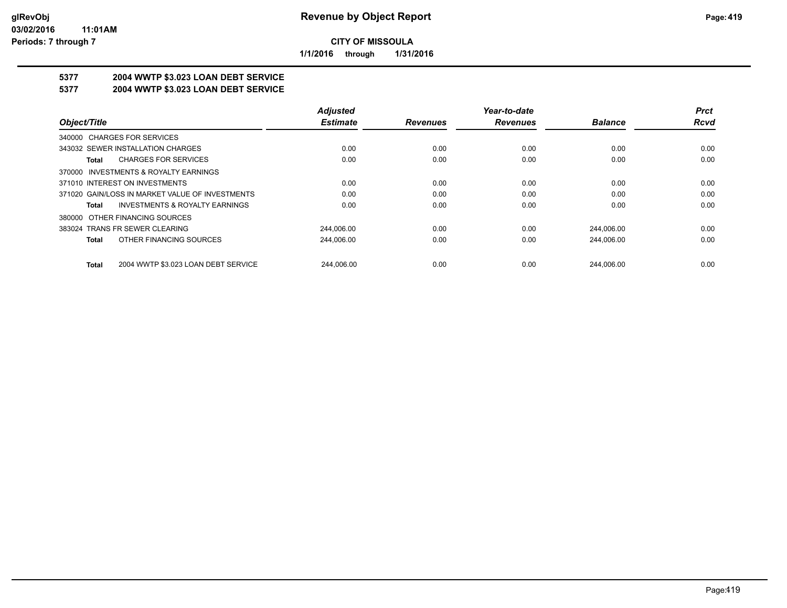**1/1/2016 through 1/31/2016**

## **5377 2004 WWTP \$3.023 LOAN DEBT SERVICE**

### **5377 2004 WWTP \$3.023 LOAN DEBT SERVICE**

|                                                     | <b>Adjusted</b> |                 | Year-to-date    |                | <b>Prct</b> |
|-----------------------------------------------------|-----------------|-----------------|-----------------|----------------|-------------|
| Object/Title                                        | <b>Estimate</b> | <b>Revenues</b> | <b>Revenues</b> | <b>Balance</b> | Rcvd        |
| 340000 CHARGES FOR SERVICES                         |                 |                 |                 |                |             |
| 343032 SEWER INSTALLATION CHARGES                   | 0.00            | 0.00            | 0.00            | 0.00           | 0.00        |
| <b>CHARGES FOR SERVICES</b><br>Total                | 0.00            | 0.00            | 0.00            | 0.00           | 0.00        |
| INVESTMENTS & ROYALTY EARNINGS<br>370000            |                 |                 |                 |                |             |
| 371010 INTEREST ON INVESTMENTS                      | 0.00            | 0.00            | 0.00            | 0.00           | 0.00        |
| 371020 GAIN/LOSS IN MARKET VALUE OF INVESTMENTS     | 0.00            | 0.00            | 0.00            | 0.00           | 0.00        |
| <b>INVESTMENTS &amp; ROYALTY EARNINGS</b><br>Total  | 0.00            | 0.00            | 0.00            | 0.00           | 0.00        |
| OTHER FINANCING SOURCES<br>380000                   |                 |                 |                 |                |             |
| 383024 TRANS FR SEWER CLEARING                      | 244.006.00      | 0.00            | 0.00            | 244.006.00     | 0.00        |
| OTHER FINANCING SOURCES<br><b>Total</b>             | 244,006.00      | 0.00            | 0.00            | 244,006.00     | 0.00        |
| 2004 WWTP \$3.023 LOAN DEBT SERVICE<br><b>Total</b> | 244.006.00      | 0.00            | 0.00            | 244.006.00     | 0.00        |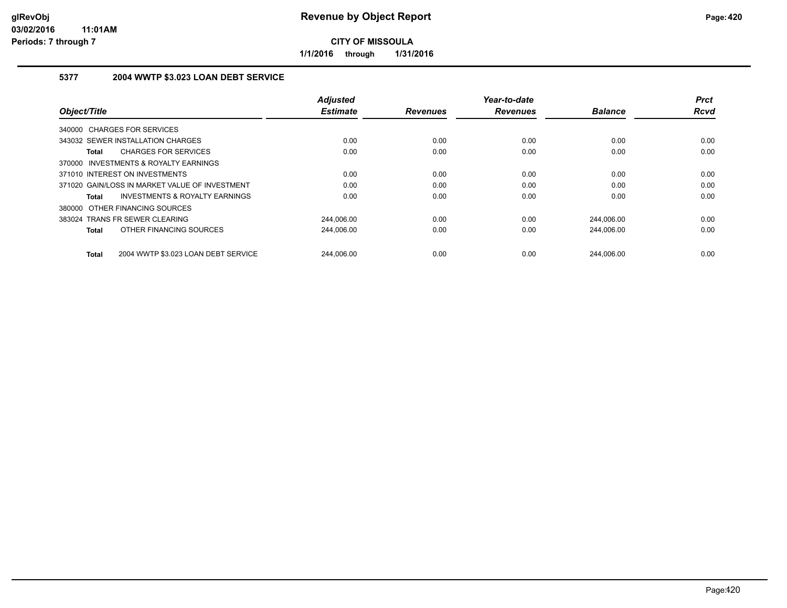**1/1/2016 through 1/31/2016**

### **5377 2004 WWTP \$3.023 LOAN DEBT SERVICE**

| Object/Title                                        | <b>Adjusted</b><br><b>Estimate</b> | <b>Revenues</b> | Year-to-date<br><b>Revenues</b> | <b>Balance</b> | <b>Prct</b><br><b>Rcvd</b> |
|-----------------------------------------------------|------------------------------------|-----------------|---------------------------------|----------------|----------------------------|
| 340000 CHARGES FOR SERVICES                         |                                    |                 |                                 |                |                            |
| 343032 SEWER INSTALLATION CHARGES                   | 0.00                               | 0.00            | 0.00                            | 0.00           | 0.00                       |
| <b>CHARGES FOR SERVICES</b><br><b>Total</b>         | 0.00                               | 0.00            | 0.00                            | 0.00           | 0.00                       |
| 370000 INVESTMENTS & ROYALTY EARNINGS               |                                    |                 |                                 |                |                            |
| 371010 INTEREST ON INVESTMENTS                      | 0.00                               | 0.00            | 0.00                            | 0.00           | 0.00                       |
| 371020 GAIN/LOSS IN MARKET VALUE OF INVESTMENT      | 0.00                               | 0.00            | 0.00                            | 0.00           | 0.00                       |
| INVESTMENTS & ROYALTY EARNINGS<br>Total             | 0.00                               | 0.00            | 0.00                            | 0.00           | 0.00                       |
| 380000 OTHER FINANCING SOURCES                      |                                    |                 |                                 |                |                            |
| 383024 TRANS FR SEWER CLEARING                      | 244.006.00                         | 0.00            | 0.00                            | 244.006.00     | 0.00                       |
| OTHER FINANCING SOURCES<br><b>Total</b>             | 244,006.00                         | 0.00            | 0.00                            | 244,006.00     | 0.00                       |
| 2004 WWTP \$3.023 LOAN DEBT SERVICE<br><b>Total</b> | 244.006.00                         | 0.00            | 0.00                            | 244.006.00     | 0.00                       |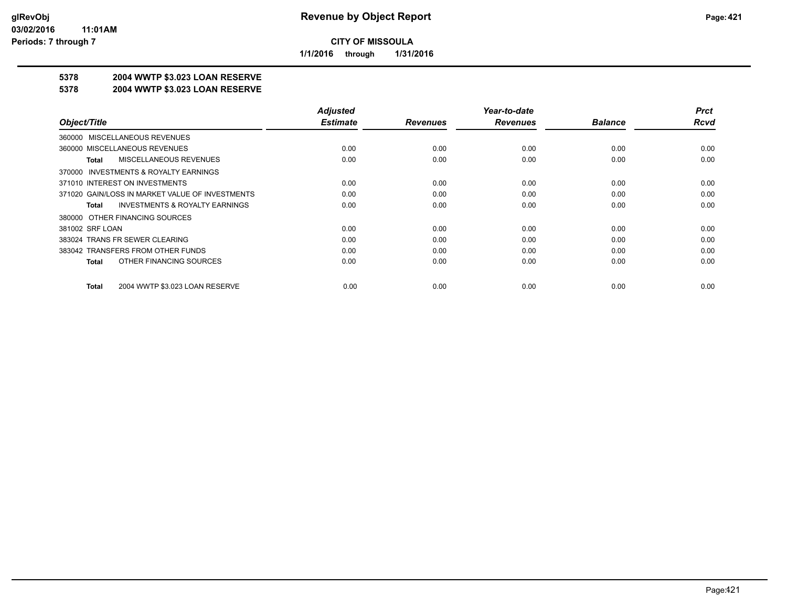**1/1/2016 through 1/31/2016**

### **5378 2004 WWTP \$3.023 LOAN RESERVE**

#### **5378 2004 WWTP \$3.023 LOAN RESERVE**

|                                                    | <b>Adjusted</b> |                 | Year-to-date    |                | <b>Prct</b> |
|----------------------------------------------------|-----------------|-----------------|-----------------|----------------|-------------|
| Object/Title                                       | <b>Estimate</b> | <b>Revenues</b> | <b>Revenues</b> | <b>Balance</b> | <b>Rcvd</b> |
| 360000 MISCELLANEOUS REVENUES                      |                 |                 |                 |                |             |
| 360000 MISCELLANEOUS REVENUES                      | 0.00            | 0.00            | 0.00            | 0.00           | 0.00        |
| MISCELLANEOUS REVENUES<br>Total                    | 0.00            | 0.00            | 0.00            | 0.00           | 0.00        |
| 370000 INVESTMENTS & ROYALTY EARNINGS              |                 |                 |                 |                |             |
| 371010 INTEREST ON INVESTMENTS                     | 0.00            | 0.00            | 0.00            | 0.00           | 0.00        |
| 371020 GAIN/LOSS IN MARKET VALUE OF INVESTMENTS    | 0.00            | 0.00            | 0.00            | 0.00           | 0.00        |
| <b>INVESTMENTS &amp; ROYALTY EARNINGS</b><br>Total | 0.00            | 0.00            | 0.00            | 0.00           | 0.00        |
| 380000 OTHER FINANCING SOURCES                     |                 |                 |                 |                |             |
| 381002 SRF LOAN                                    | 0.00            | 0.00            | 0.00            | 0.00           | 0.00        |
| 383024 TRANS FR SEWER CLEARING                     | 0.00            | 0.00            | 0.00            | 0.00           | 0.00        |
| 383042 TRANSFERS FROM OTHER FUNDS                  | 0.00            | 0.00            | 0.00            | 0.00           | 0.00        |
| OTHER FINANCING SOURCES<br>Total                   | 0.00            | 0.00            | 0.00            | 0.00           | 0.00        |
| 2004 WWTP \$3.023 LOAN RESERVE<br>Total            | 0.00            | 0.00            | 0.00            | 0.00           | 0.00        |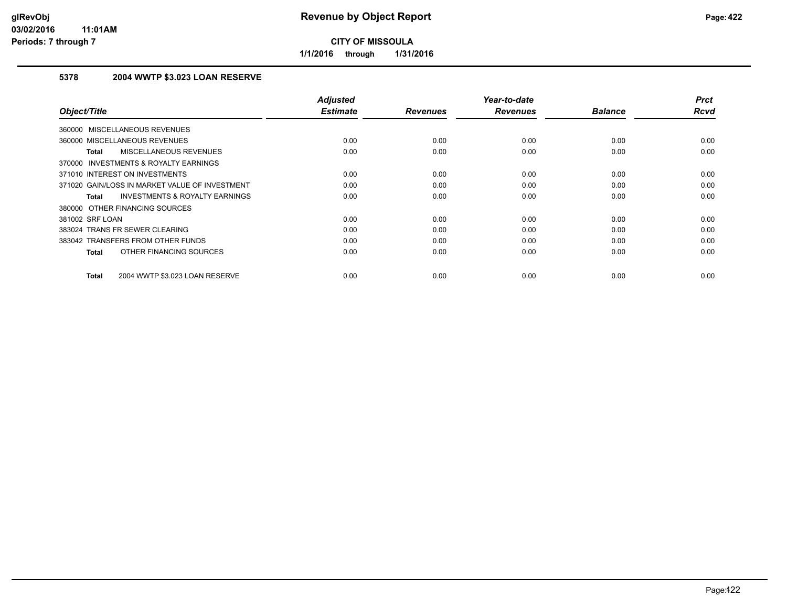**1/1/2016 through 1/31/2016**

### **5378 2004 WWTP \$3.023 LOAN RESERVE**

| Object/Title                                       | <b>Adjusted</b><br><b>Estimate</b> | <b>Revenues</b> | Year-to-date<br><b>Revenues</b> | <b>Balance</b> | <b>Prct</b><br><b>Rcvd</b> |
|----------------------------------------------------|------------------------------------|-----------------|---------------------------------|----------------|----------------------------|
|                                                    |                                    |                 |                                 |                |                            |
| <b>MISCELLANEOUS REVENUES</b><br>360000            |                                    |                 |                                 |                |                            |
| 360000 MISCELLANEOUS REVENUES                      | 0.00                               | 0.00            | 0.00                            | 0.00           | 0.00                       |
| MISCELLANEOUS REVENUES<br><b>Total</b>             | 0.00                               | 0.00            | 0.00                            | 0.00           | 0.00                       |
| INVESTMENTS & ROYALTY EARNINGS<br>370000           |                                    |                 |                                 |                |                            |
| 371010 INTEREST ON INVESTMENTS                     | 0.00                               | 0.00            | 0.00                            | 0.00           | 0.00                       |
| 371020 GAIN/LOSS IN MARKET VALUE OF INVESTMENT     | 0.00                               | 0.00            | 0.00                            | 0.00           | 0.00                       |
| <b>INVESTMENTS &amp; ROYALTY EARNINGS</b><br>Total | 0.00                               | 0.00            | 0.00                            | 0.00           | 0.00                       |
| 380000 OTHER FINANCING SOURCES                     |                                    |                 |                                 |                |                            |
| 381002 SRF LOAN                                    | 0.00                               | 0.00            | 0.00                            | 0.00           | 0.00                       |
| 383024 TRANS FR SEWER CLEARING                     | 0.00                               | 0.00            | 0.00                            | 0.00           | 0.00                       |
| 383042 TRANSFERS FROM OTHER FUNDS                  | 0.00                               | 0.00            | 0.00                            | 0.00           | 0.00                       |
| OTHER FINANCING SOURCES<br><b>Total</b>            | 0.00                               | 0.00            | 0.00                            | 0.00           | 0.00                       |
| 2004 WWTP \$3.023 LOAN RESERVE<br><b>Total</b>     | 0.00                               | 0.00            | 0.00                            | 0.00           | 0.00                       |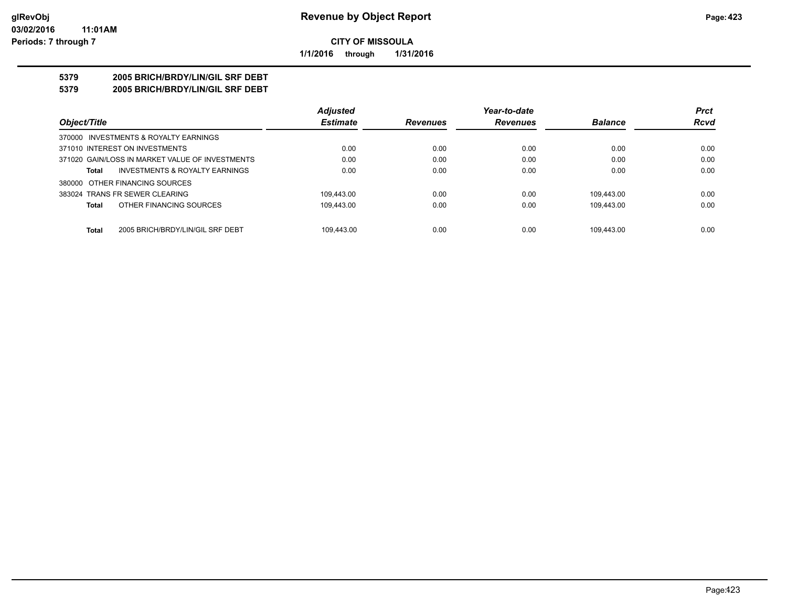**1/1/2016 through 1/31/2016**

### **5379 2005 BRICH/BRDY/LIN/GIL SRF DEBT**

**5379 2005 BRICH/BRDY/LIN/GIL SRF DEBT**

|                                                  | <b>Adjusted</b> |                 | Year-to-date    |                | <b>Prct</b> |
|--------------------------------------------------|-----------------|-----------------|-----------------|----------------|-------------|
| Object/Title                                     | <b>Estimate</b> | <b>Revenues</b> | <b>Revenues</b> | <b>Balance</b> | <b>Rcvd</b> |
| 370000 INVESTMENTS & ROYALTY EARNINGS            |                 |                 |                 |                |             |
| 371010 INTEREST ON INVESTMENTS                   | 0.00            | 0.00            | 0.00            | 0.00           | 0.00        |
| 371020 GAIN/LOSS IN MARKET VALUE OF INVESTMENTS  | 0.00            | 0.00            | 0.00            | 0.00           | 0.00        |
| INVESTMENTS & ROYALTY EARNINGS<br><b>Total</b>   | 0.00            | 0.00            | 0.00            | 0.00           | 0.00        |
| 380000 OTHER FINANCING SOURCES                   |                 |                 |                 |                |             |
| 383024 TRANS FR SEWER CLEARING                   | 109.443.00      | 0.00            | 0.00            | 109.443.00     | 0.00        |
| OTHER FINANCING SOURCES<br><b>Total</b>          | 109.443.00      | 0.00            | 0.00            | 109.443.00     | 0.00        |
| <b>Total</b><br>2005 BRICH/BRDY/LIN/GIL SRF DEBT | 109.443.00      | 0.00            | 0.00            | 109.443.00     | 0.00        |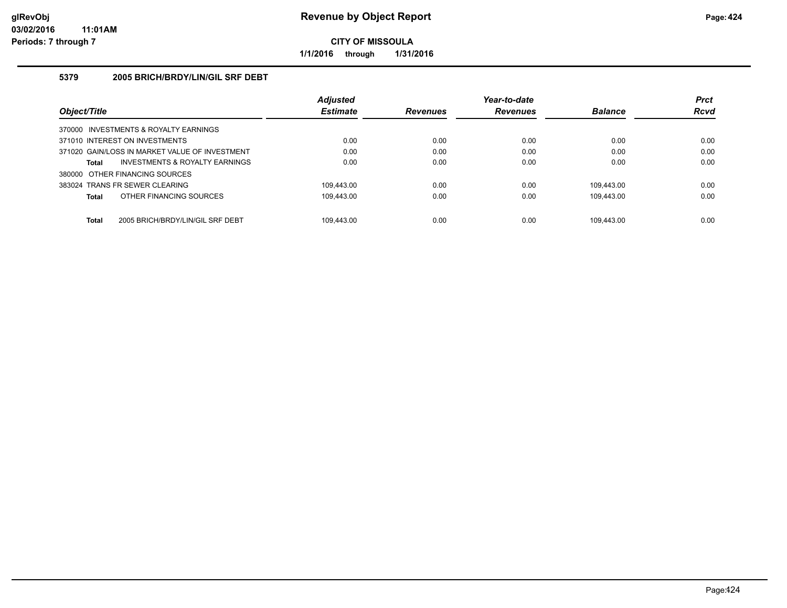**1/1/2016 through 1/31/2016**

### **5379 2005 BRICH/BRDY/LIN/GIL SRF DEBT**

|                                                  | <b>Adjusted</b> |                 | Year-to-date    |                | <b>Prct</b> |
|--------------------------------------------------|-----------------|-----------------|-----------------|----------------|-------------|
| Object/Title                                     | <b>Estimate</b> | <b>Revenues</b> | <b>Revenues</b> | <b>Balance</b> | <b>Rcvd</b> |
| 370000 INVESTMENTS & ROYALTY EARNINGS            |                 |                 |                 |                |             |
| 371010 INTEREST ON INVESTMENTS                   | 0.00            | 0.00            | 0.00            | 0.00           | 0.00        |
| 371020 GAIN/LOSS IN MARKET VALUE OF INVESTMENT   | 0.00            | 0.00            | 0.00            | 0.00           | 0.00        |
| INVESTMENTS & ROYALTY EARNINGS<br>Total          | 0.00            | 0.00            | 0.00            | 0.00           | 0.00        |
| 380000 OTHER FINANCING SOURCES                   |                 |                 |                 |                |             |
| 383024 TRANS FR SEWER CLEARING                   | 109.443.00      | 0.00            | 0.00            | 109.443.00     | 0.00        |
| OTHER FINANCING SOURCES<br>Total                 | 109.443.00      | 0.00            | 0.00            | 109.443.00     | 0.00        |
|                                                  |                 |                 |                 |                |             |
| <b>Total</b><br>2005 BRICH/BRDY/LIN/GIL SRF DEBT | 109.443.00      | 0.00            | 0.00            | 109.443.00     | 0.00        |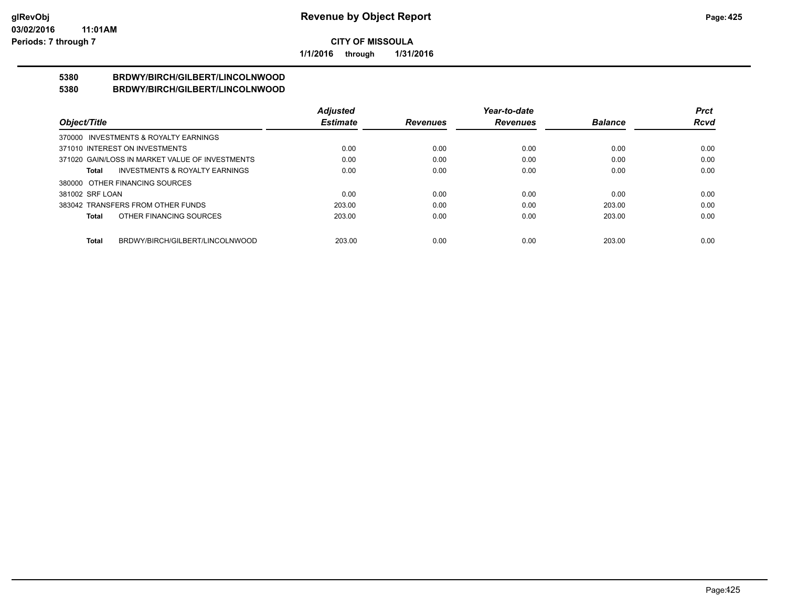**1/1/2016 through 1/31/2016**

#### **5380 BRDWY/BIRCH/GILBERT/LINCOLNWOOD 5380 BRDWY/BIRCH/GILBERT/LINCOLNWOOD**

|                                |                                                 | <b>Adjusted</b> |                 | Year-to-date    |                | Prct        |
|--------------------------------|-------------------------------------------------|-----------------|-----------------|-----------------|----------------|-------------|
| Object/Title                   |                                                 | <b>Estimate</b> | <b>Revenues</b> | <b>Revenues</b> | <b>Balance</b> | <b>Rcvd</b> |
|                                | 370000 INVESTMENTS & ROYALTY EARNINGS           |                 |                 |                 |                |             |
| 371010 INTEREST ON INVESTMENTS |                                                 | 0.00            | 0.00            | 0.00            | 0.00           | 0.00        |
|                                | 371020 GAIN/LOSS IN MARKET VALUE OF INVESTMENTS | 0.00            | 0.00            | 0.00            | 0.00           | 0.00        |
| Total                          | <b>INVESTMENTS &amp; ROYALTY EARNINGS</b>       | 0.00            | 0.00            | 0.00            | 0.00           | 0.00        |
| 380000 OTHER FINANCING SOURCES |                                                 |                 |                 |                 |                |             |
| 381002 SRF LOAN                |                                                 | 0.00            | 0.00            | 0.00            | 0.00           | 0.00        |
|                                | 383042 TRANSFERS FROM OTHER FUNDS               | 203.00          | 0.00            | 0.00            | 203.00         | 0.00        |
| Total                          | OTHER FINANCING SOURCES                         | 203.00          | 0.00            | 0.00            | 203.00         | 0.00        |
|                                |                                                 |                 |                 |                 |                |             |
| Total                          | BRDWY/BIRCH/GILBERT/LINCOLNWOOD                 | 203.00          | 0.00            | 0.00            | 203.00         | 0.00        |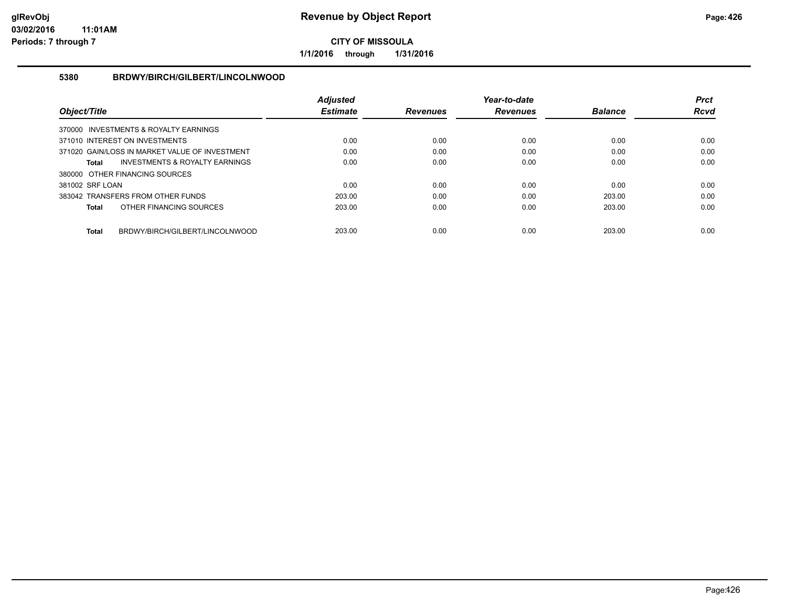**1/1/2016 through 1/31/2016**

### **5380 BRDWY/BIRCH/GILBERT/LINCOLNWOOD**

|                 |                                                | <b>Adjusted</b> |                 | Year-to-date    |                | <b>Prct</b> |
|-----------------|------------------------------------------------|-----------------|-----------------|-----------------|----------------|-------------|
| Object/Title    |                                                | <b>Estimate</b> | <b>Revenues</b> | <b>Revenues</b> | <b>Balance</b> | <b>Rcvd</b> |
|                 | 370000 INVESTMENTS & ROYALTY EARNINGS          |                 |                 |                 |                |             |
|                 | 371010 INTEREST ON INVESTMENTS                 | 0.00            | 0.00            | 0.00            | 0.00           | 0.00        |
|                 | 371020 GAIN/LOSS IN MARKET VALUE OF INVESTMENT | 0.00            | 0.00            | 0.00            | 0.00           | 0.00        |
| Total           | <b>INVESTMENTS &amp; ROYALTY EARNINGS</b>      | 0.00            | 0.00            | 0.00            | 0.00           | 0.00        |
|                 | 380000 OTHER FINANCING SOURCES                 |                 |                 |                 |                |             |
| 381002 SRF LOAN |                                                | 0.00            | 0.00            | 0.00            | 0.00           | 0.00        |
|                 | 383042 TRANSFERS FROM OTHER FUNDS              | 203.00          | 0.00            | 0.00            | 203.00         | 0.00        |
| <b>Total</b>    | OTHER FINANCING SOURCES                        | 203.00          | 0.00            | 0.00            | 203.00         | 0.00        |
| <b>Total</b>    | BRDWY/BIRCH/GILBERT/LINCOLNWOOD                | 203.00          | 0.00            | 0.00            | 203.00         | 0.00        |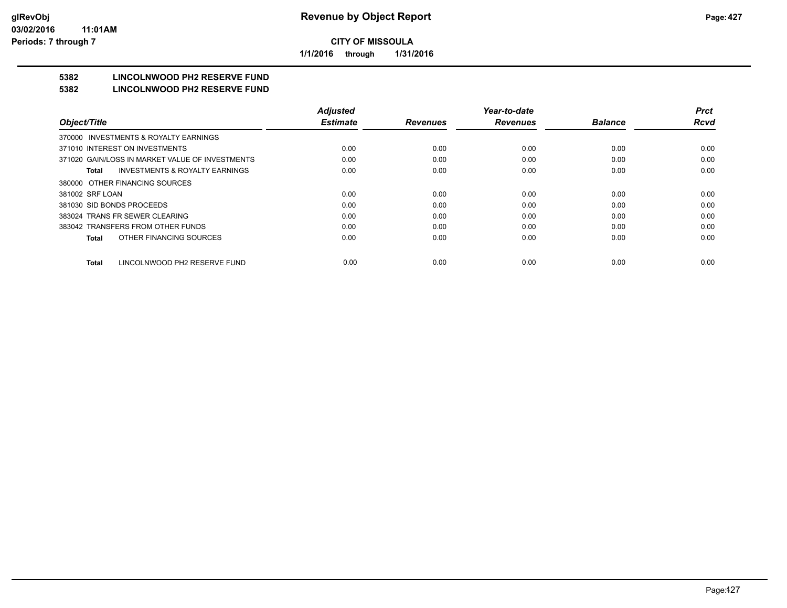**1/1/2016 through 1/31/2016**

### **5382 LINCOLNWOOD PH2 RESERVE FUND**

### **5382 LINCOLNWOOD PH2 RESERVE FUND**

|                                                    | <b>Adjusted</b> |                 | Year-to-date    |                | <b>Prct</b> |
|----------------------------------------------------|-----------------|-----------------|-----------------|----------------|-------------|
| Object/Title                                       | <b>Estimate</b> | <b>Revenues</b> | <b>Revenues</b> | <b>Balance</b> | <b>Rcvd</b> |
| INVESTMENTS & ROYALTY EARNINGS<br>370000           |                 |                 |                 |                |             |
| 371010 INTEREST ON INVESTMENTS                     | 0.00            | 0.00            | 0.00            | 0.00           | 0.00        |
| 371020 GAIN/LOSS IN MARKET VALUE OF INVESTMENTS    | 0.00            | 0.00            | 0.00            | 0.00           | 0.00        |
| <b>INVESTMENTS &amp; ROYALTY EARNINGS</b><br>Total | 0.00            | 0.00            | 0.00            | 0.00           | 0.00        |
| 380000 OTHER FINANCING SOURCES                     |                 |                 |                 |                |             |
| 381002 SRF LOAN                                    | 0.00            | 0.00            | 0.00            | 0.00           | 0.00        |
| 381030 SID BONDS PROCEEDS                          | 0.00            | 0.00            | 0.00            | 0.00           | 0.00        |
| 383024 TRANS FR SEWER CLEARING                     | 0.00            | 0.00            | 0.00            | 0.00           | 0.00        |
| 383042 TRANSFERS FROM OTHER FUNDS                  | 0.00            | 0.00            | 0.00            | 0.00           | 0.00        |
| OTHER FINANCING SOURCES<br>Total                   | 0.00            | 0.00            | 0.00            | 0.00           | 0.00        |
| LINCOLNWOOD PH2 RESERVE FUND<br><b>Total</b>       | 0.00            | 0.00            | 0.00            | 0.00           | 0.00        |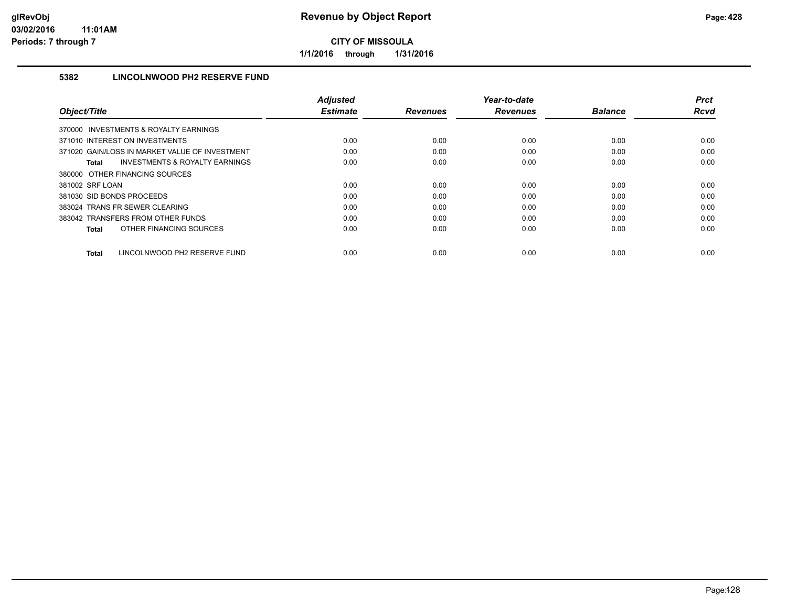**1/1/2016 through 1/31/2016**

### **5382 LINCOLNWOOD PH2 RESERVE FUND**

|                                                           | <b>Adjusted</b> |                 | Year-to-date    |                | Prct        |
|-----------------------------------------------------------|-----------------|-----------------|-----------------|----------------|-------------|
| Object/Title                                              | <b>Estimate</b> | <b>Revenues</b> | <b>Revenues</b> | <b>Balance</b> | <b>Rcvd</b> |
| 370000 INVESTMENTS & ROYALTY EARNINGS                     |                 |                 |                 |                |             |
| 371010 INTEREST ON INVESTMENTS                            | 0.00            | 0.00            | 0.00            | 0.00           | 0.00        |
| 371020 GAIN/LOSS IN MARKET VALUE OF INVESTMENT            | 0.00            | 0.00            | 0.00            | 0.00           | 0.00        |
| <b>INVESTMENTS &amp; ROYALTY EARNINGS</b><br><b>Total</b> | 0.00            | 0.00            | 0.00            | 0.00           | 0.00        |
| 380000 OTHER FINANCING SOURCES                            |                 |                 |                 |                |             |
| 381002 SRF LOAN                                           | 0.00            | 0.00            | 0.00            | 0.00           | 0.00        |
| 381030 SID BONDS PROCEEDS                                 | 0.00            | 0.00            | 0.00            | 0.00           | 0.00        |
| 383024 TRANS FR SEWER CLEARING                            | 0.00            | 0.00            | 0.00            | 0.00           | 0.00        |
| 383042 TRANSFERS FROM OTHER FUNDS                         | 0.00            | 0.00            | 0.00            | 0.00           | 0.00        |
| OTHER FINANCING SOURCES<br><b>Total</b>                   | 0.00            | 0.00            | 0.00            | 0.00           | 0.00        |
| LINCOLNWOOD PH2 RESERVE FUND<br><b>Total</b>              | 0.00            | 0.00            | 0.00            | 0.00           | 0.00        |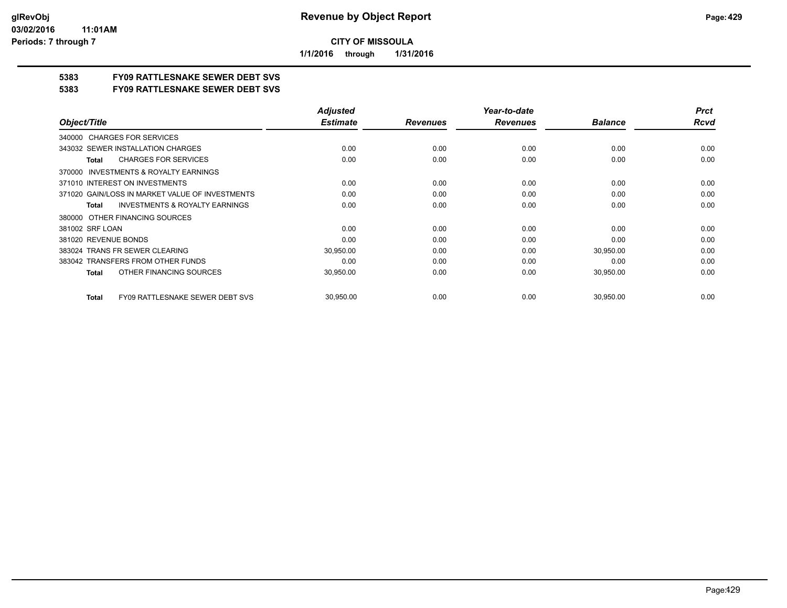**1/1/2016 through 1/31/2016**

### **5383 FY09 RATTLESNAKE SEWER DEBT SVS**

**5383 FY09 RATTLESNAKE SEWER DEBT SVS**

|                                                        | <b>Adjusted</b> |                 | Year-to-date    |                | <b>Prct</b> |
|--------------------------------------------------------|-----------------|-----------------|-----------------|----------------|-------------|
| Object/Title                                           | <b>Estimate</b> | <b>Revenues</b> | <b>Revenues</b> | <b>Balance</b> | <b>Rcvd</b> |
| 340000 CHARGES FOR SERVICES                            |                 |                 |                 |                |             |
| 343032 SEWER INSTALLATION CHARGES                      | 0.00            | 0.00            | 0.00            | 0.00           | 0.00        |
| <b>CHARGES FOR SERVICES</b><br>Total                   | 0.00            | 0.00            | 0.00            | 0.00           | 0.00        |
| <b>INVESTMENTS &amp; ROYALTY EARNINGS</b><br>370000    |                 |                 |                 |                |             |
| 371010 INTEREST ON INVESTMENTS                         | 0.00            | 0.00            | 0.00            | 0.00           | 0.00        |
| 371020 GAIN/LOSS IN MARKET VALUE OF INVESTMENTS        | 0.00            | 0.00            | 0.00            | 0.00           | 0.00        |
| <b>INVESTMENTS &amp; ROYALTY EARNINGS</b><br>Total     | 0.00            | 0.00            | 0.00            | 0.00           | 0.00        |
| OTHER FINANCING SOURCES<br>380000                      |                 |                 |                 |                |             |
| 381002 SRF LOAN                                        | 0.00            | 0.00            | 0.00            | 0.00           | 0.00        |
| 381020 REVENUE BONDS                                   | 0.00            | 0.00            | 0.00            | 0.00           | 0.00        |
| 383024 TRANS FR SEWER CLEARING                         | 30,950.00       | 0.00            | 0.00            | 30,950.00      | 0.00        |
| 383042 TRANSFERS FROM OTHER FUNDS                      | 0.00            | 0.00            | 0.00            | 0.00           | 0.00        |
| OTHER FINANCING SOURCES<br>Total                       | 30,950.00       | 0.00            | 0.00            | 30,950.00      | 0.00        |
| <b>FY09 RATTLESNAKE SEWER DEBT SVS</b><br><b>Total</b> | 30,950.00       | 0.00            | 0.00            | 30,950.00      | 0.00        |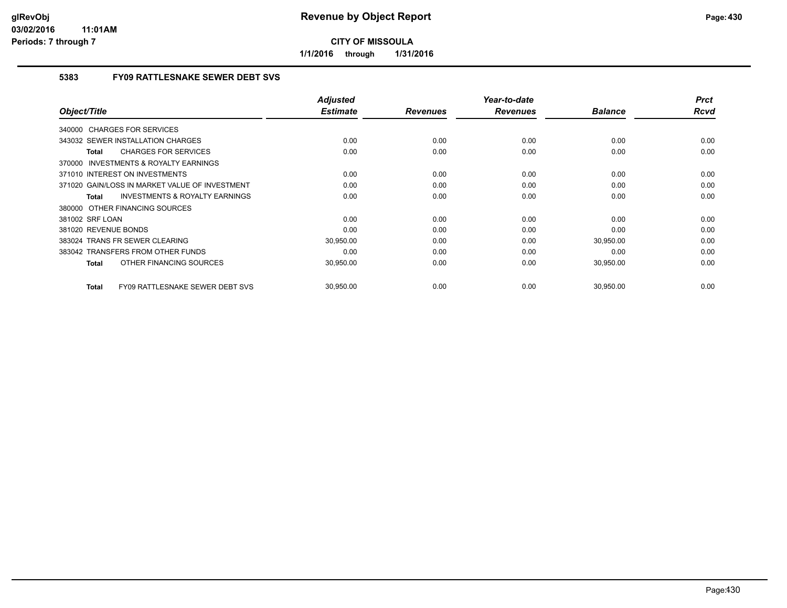**1/1/2016 through 1/31/2016**

### **5383 FY09 RATTLESNAKE SEWER DEBT SVS**

| Object/Title                                              | <b>Adjusted</b><br><b>Estimate</b> | <b>Revenues</b> | Year-to-date<br><b>Revenues</b> | <b>Balance</b> | <b>Prct</b><br>Rcvd |
|-----------------------------------------------------------|------------------------------------|-----------------|---------------------------------|----------------|---------------------|
|                                                           |                                    |                 |                                 |                |                     |
| 340000 CHARGES FOR SERVICES                               |                                    |                 |                                 |                |                     |
| 343032 SEWER INSTALLATION CHARGES                         | 0.00                               | 0.00            | 0.00                            | 0.00           | 0.00                |
| <b>CHARGES FOR SERVICES</b><br>Total                      | 0.00                               | 0.00            | 0.00                            | 0.00           | 0.00                |
| INVESTMENTS & ROYALTY EARNINGS<br>370000                  |                                    |                 |                                 |                |                     |
| 371010 INTEREST ON INVESTMENTS                            | 0.00                               | 0.00            | 0.00                            | 0.00           | 0.00                |
| 371020 GAIN/LOSS IN MARKET VALUE OF INVESTMENT            | 0.00                               | 0.00            | 0.00                            | 0.00           | 0.00                |
| <b>INVESTMENTS &amp; ROYALTY EARNINGS</b><br><b>Total</b> | 0.00                               | 0.00            | 0.00                            | 0.00           | 0.00                |
| 380000 OTHER FINANCING SOURCES                            |                                    |                 |                                 |                |                     |
| 381002 SRF LOAN                                           | 0.00                               | 0.00            | 0.00                            | 0.00           | 0.00                |
| 381020 REVENUE BONDS                                      | 0.00                               | 0.00            | 0.00                            | 0.00           | 0.00                |
| 383024 TRANS FR SEWER CLEARING                            | 30,950.00                          | 0.00            | 0.00                            | 30,950.00      | 0.00                |
| 383042 TRANSFERS FROM OTHER FUNDS                         | 0.00                               | 0.00            | 0.00                            | 0.00           | 0.00                |
| OTHER FINANCING SOURCES<br><b>Total</b>                   | 30,950.00                          | 0.00            | 0.00                            | 30,950.00      | 0.00                |
| <b>FY09 RATTLESNAKE SEWER DEBT SVS</b><br><b>Total</b>    | 30,950.00                          | 0.00            | 0.00                            | 30,950.00      | 0.00                |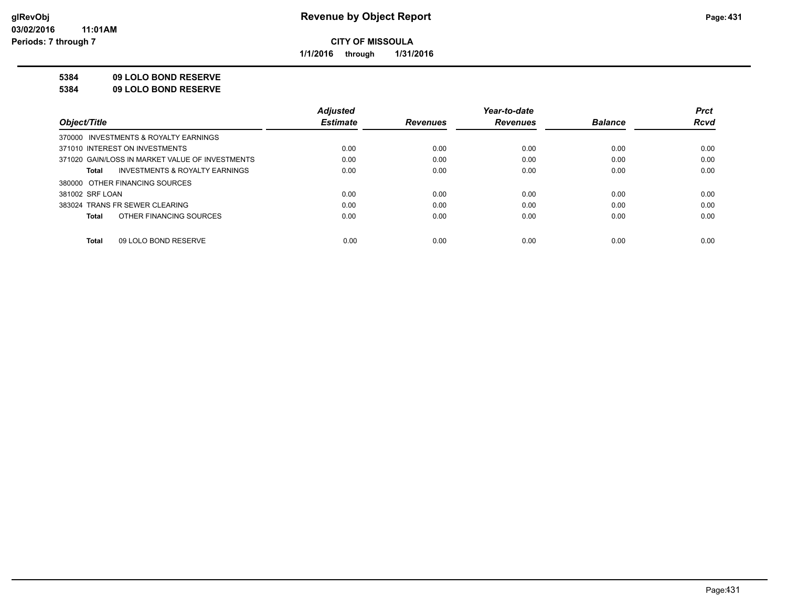**1/1/2016 through 1/31/2016**

#### **5384 09 LOLO BOND RESERVE**

**5384 09 LOLO BOND RESERVE**

|                                                    | <b>Adjusted</b> |                 | Year-to-date    |                | <b>Prct</b> |
|----------------------------------------------------|-----------------|-----------------|-----------------|----------------|-------------|
| Object/Title                                       | <b>Estimate</b> | <b>Revenues</b> | <b>Revenues</b> | <b>Balance</b> | <b>Rcvd</b> |
| 370000 INVESTMENTS & ROYALTY EARNINGS              |                 |                 |                 |                |             |
| 371010 INTEREST ON INVESTMENTS                     | 0.00            | 0.00            | 0.00            | 0.00           | 0.00        |
| 371020 GAIN/LOSS IN MARKET VALUE OF INVESTMENTS    | 0.00            | 0.00            | 0.00            | 0.00           | 0.00        |
| <b>INVESTMENTS &amp; ROYALTY EARNINGS</b><br>Total | 0.00            | 0.00            | 0.00            | 0.00           | 0.00        |
| 380000 OTHER FINANCING SOURCES                     |                 |                 |                 |                |             |
| 381002 SRF LOAN                                    | 0.00            | 0.00            | 0.00            | 0.00           | 0.00        |
| 383024 TRANS FR SEWER CLEARING                     | 0.00            | 0.00            | 0.00            | 0.00           | 0.00        |
| OTHER FINANCING SOURCES<br>Total                   | 0.00            | 0.00            | 0.00            | 0.00           | 0.00        |
|                                                    |                 |                 |                 |                |             |
| 09 LOLO BOND RESERVE<br>Total                      | 0.00            | 0.00            | 0.00            | 0.00           | 0.00        |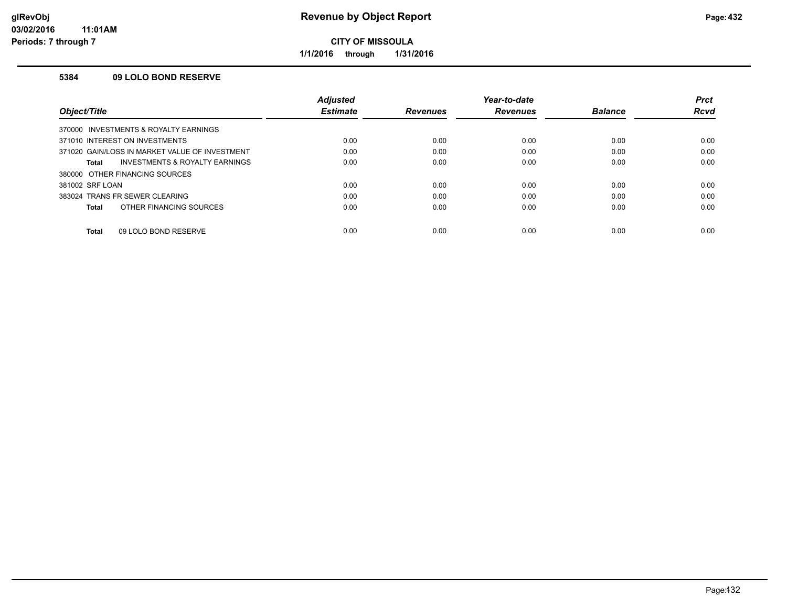**1/1/2016 through 1/31/2016**

### **5384 09 LOLO BOND RESERVE**

|                                                    | <b>Adjusted</b> |                 | Year-to-date    |                | <b>Prct</b> |
|----------------------------------------------------|-----------------|-----------------|-----------------|----------------|-------------|
| Object/Title                                       | <b>Estimate</b> | <b>Revenues</b> | <b>Revenues</b> | <b>Balance</b> | Rcvd        |
| 370000 INVESTMENTS & ROYALTY EARNINGS              |                 |                 |                 |                |             |
| 371010 INTEREST ON INVESTMENTS                     | 0.00            | 0.00            | 0.00            | 0.00           | 0.00        |
| 371020 GAIN/LOSS IN MARKET VALUE OF INVESTMENT     | 0.00            | 0.00            | 0.00            | 0.00           | 0.00        |
| <b>INVESTMENTS &amp; ROYALTY EARNINGS</b><br>Total | 0.00            | 0.00            | 0.00            | 0.00           | 0.00        |
| 380000 OTHER FINANCING SOURCES                     |                 |                 |                 |                |             |
| 381002 SRF LOAN                                    | 0.00            | 0.00            | 0.00            | 0.00           | 0.00        |
| 383024 TRANS FR SEWER CLEARING                     | 0.00            | 0.00            | 0.00            | 0.00           | 0.00        |
| OTHER FINANCING SOURCES<br>Total                   | 0.00            | 0.00            | 0.00            | 0.00           | 0.00        |
| 09 LOLO BOND RESERVE<br>Total                      | 0.00            | 0.00            | 0.00            | 0.00           | 0.00        |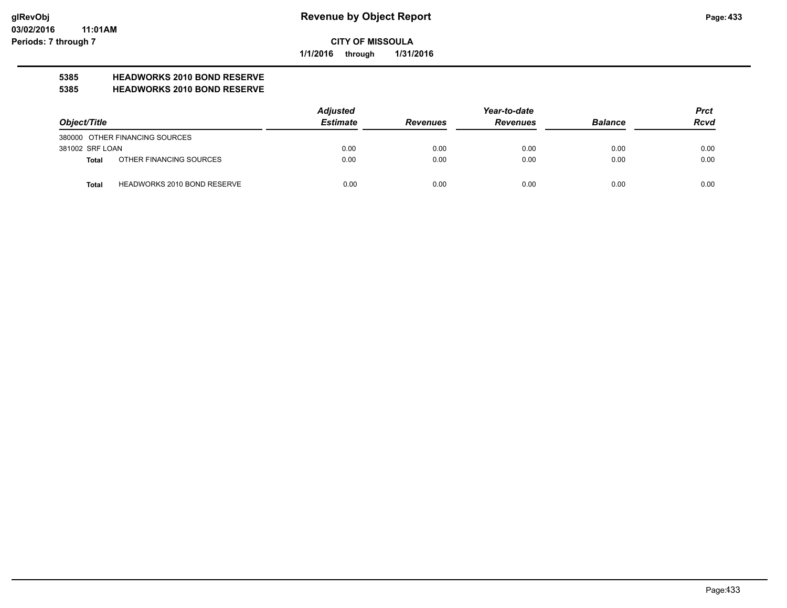**1/1/2016 through 1/31/2016**

# **5385 HEADWORKS 2010 BOND RESERVE**

#### **5385 HEADWORKS 2010 BOND RESERVE**

|                 |                                    | <b>Adjusted</b> |                 | Year-to-date    |                | <b>Prct</b> |
|-----------------|------------------------------------|-----------------|-----------------|-----------------|----------------|-------------|
| Object/Title    |                                    | <b>Estimate</b> | <b>Revenues</b> | <b>Revenues</b> | <b>Balance</b> | <b>Rcvd</b> |
|                 | 380000 OTHER FINANCING SOURCES     |                 |                 |                 |                |             |
| 381002 SRF LOAN |                                    | 0.00            | 0.00            | 0.00            | 0.00           | 0.00        |
| Total           | OTHER FINANCING SOURCES            | 0.00            | 0.00            | 0.00            | 0.00           | 0.00        |
| Total           | <b>HEADWORKS 2010 BOND RESERVE</b> | 0.00            | 0.00            | 0.00            | 0.00           | 0.00        |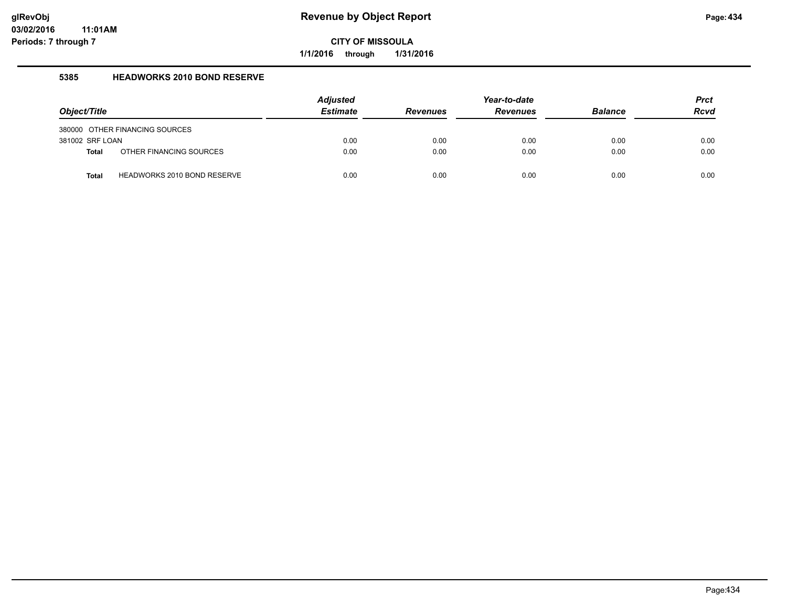**1/1/2016 through 1/31/2016**

#### **5385 HEADWORKS 2010 BOND RESERVE**

| Object/Title    |                                | <b>Adjusted</b><br><b>Estimate</b> | <b>Revenues</b> | Year-to-date<br><b>Revenues</b> | <b>Balance</b> | <b>Prct</b><br><b>Rcvd</b> |
|-----------------|--------------------------------|------------------------------------|-----------------|---------------------------------|----------------|----------------------------|
|                 | 380000 OTHER FINANCING SOURCES |                                    |                 |                                 |                |                            |
| 381002 SRF LOAN |                                | 0.00                               | 0.00            | 0.00                            | 0.00           | 0.00                       |
| <b>Total</b>    | OTHER FINANCING SOURCES        | 0.00                               | 0.00            | 0.00                            | 0.00           | 0.00                       |
| <b>Total</b>    | HEADWORKS 2010 BOND RESERVE    | 0.00                               | 0.00            | 0.00                            | 0.00           | 0.00                       |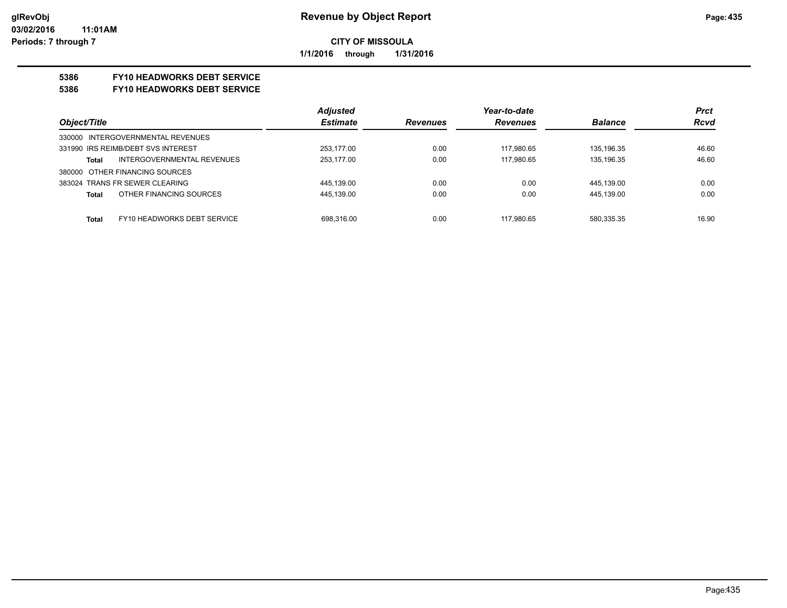**1/1/2016 through 1/31/2016**

## **5386 FY10 HEADWORKS DEBT SERVICE**

#### **5386 FY10 HEADWORKS DEBT SERVICE**

|                                      | <b>Adjusted</b> |                 | Year-to-date    |                | <b>Prct</b> |
|--------------------------------------|-----------------|-----------------|-----------------|----------------|-------------|
| Object/Title                         | <b>Estimate</b> | <b>Revenues</b> | <b>Revenues</b> | <b>Balance</b> | <b>Rcvd</b> |
| 330000 INTERGOVERNMENTAL REVENUES    |                 |                 |                 |                |             |
| 331990 IRS REIMB/DEBT SVS INTEREST   | 253.177.00      | 0.00            | 117.980.65      | 135.196.35     | 46.60       |
| INTERGOVERNMENTAL REVENUES<br>Total  | 253,177.00      | 0.00            | 117,980.65      | 135,196.35     | 46.60       |
| 380000 OTHER FINANCING SOURCES       |                 |                 |                 |                |             |
| 383024 TRANS FR SEWER CLEARING       | 445.139.00      | 0.00            | 0.00            | 445.139.00     | 0.00        |
| OTHER FINANCING SOURCES<br>Total     | 445.139.00      | 0.00            | 0.00            | 445.139.00     | 0.00        |
|                                      |                 |                 |                 |                |             |
| FY10 HEADWORKS DEBT SERVICE<br>Total | 698.316.00      | 0.00            | 117.980.65      | 580.335.35     | 16.90       |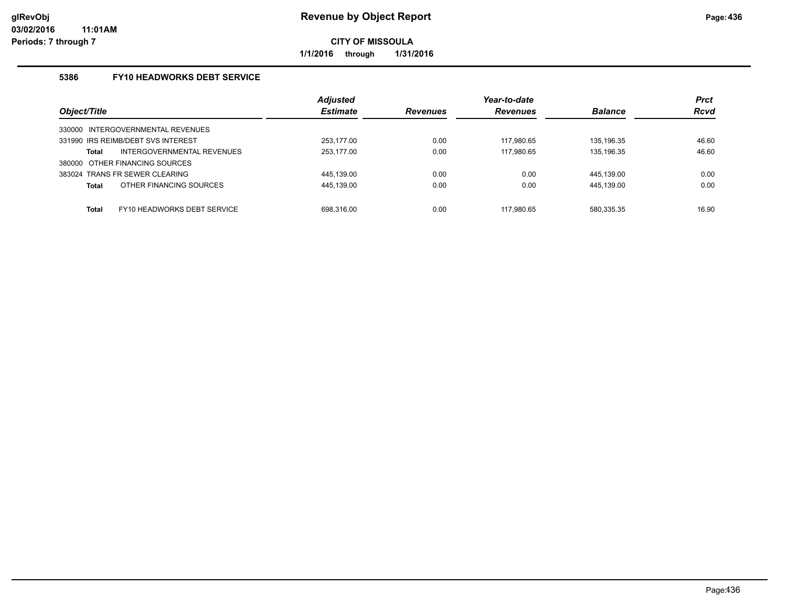**1/1/2016 through 1/31/2016**

## **5386 FY10 HEADWORKS DEBT SERVICE**

|                                                    | <b>Adjusted</b> |                 | Year-to-date    |                | <b>Prct</b> |
|----------------------------------------------------|-----------------|-----------------|-----------------|----------------|-------------|
| Object/Title                                       | <b>Estimate</b> | <b>Revenues</b> | <b>Revenues</b> | <b>Balance</b> | <b>Rcvd</b> |
| 330000 INTERGOVERNMENTAL REVENUES                  |                 |                 |                 |                |             |
| 331990 IRS REIMB/DEBT SVS INTEREST                 | 253.177.00      | 0.00            | 117.980.65      | 135.196.35     | 46.60       |
| INTERGOVERNMENTAL REVENUES<br>Total                | 253,177.00      | 0.00            | 117,980.65      | 135,196.35     | 46.60       |
| 380000 OTHER FINANCING SOURCES                     |                 |                 |                 |                |             |
| 383024 TRANS FR SEWER CLEARING                     | 445,139.00      | 0.00            | 0.00            | 445.139.00     | 0.00        |
| OTHER FINANCING SOURCES<br>Total                   | 445,139.00      | 0.00            | 0.00            | 445,139.00     | 0.00        |
|                                                    |                 |                 |                 |                |             |
| <b>FY10 HEADWORKS DEBT SERVICE</b><br><b>Total</b> | 698.316.00      | 0.00            | 117.980.65      | 580.335.35     | 16.90       |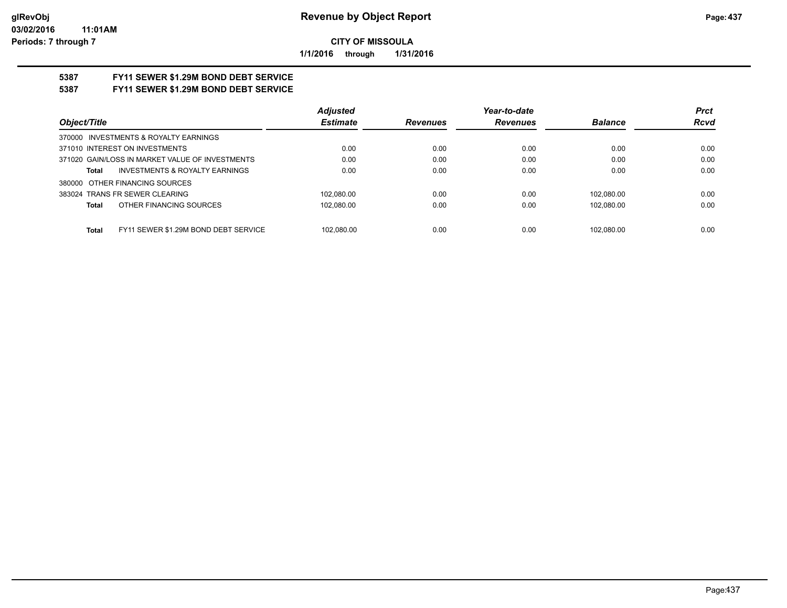**1/1/2016 through 1/31/2016**

# **5387 FY11 SEWER \$1.29M BOND DEBT SERVICE**

## **5387 FY11 SEWER \$1.29M BOND DEBT SERVICE**

|                                                      | <b>Adjusted</b> |                 | Year-to-date    |                | <b>Prct</b> |
|------------------------------------------------------|-----------------|-----------------|-----------------|----------------|-------------|
| Object/Title                                         | <b>Estimate</b> | <b>Revenues</b> | <b>Revenues</b> | <b>Balance</b> | <b>Rcvd</b> |
| 370000 INVESTMENTS & ROYALTY EARNINGS                |                 |                 |                 |                |             |
| 371010 INTEREST ON INVESTMENTS                       | 0.00            | 0.00            | 0.00            | 0.00           | 0.00        |
| 371020 GAIN/LOSS IN MARKET VALUE OF INVESTMENTS      | 0.00            | 0.00            | 0.00            | 0.00           | 0.00        |
| <b>INVESTMENTS &amp; ROYALTY EARNINGS</b><br>Total   | 0.00            | 0.00            | 0.00            | 0.00           | 0.00        |
| 380000 OTHER FINANCING SOURCES                       |                 |                 |                 |                |             |
| 383024 TRANS FR SEWER CLEARING                       | 102.080.00      | 0.00            | 0.00            | 102.080.00     | 0.00        |
| OTHER FINANCING SOURCES<br><b>Total</b>              | 102,080.00      | 0.00            | 0.00            | 102.080.00     | 0.00        |
|                                                      |                 |                 |                 |                |             |
| FY11 SEWER \$1.29M BOND DEBT SERVICE<br><b>Total</b> | 102.080.00      | 0.00            | 0.00            | 102.080.00     | 0.00        |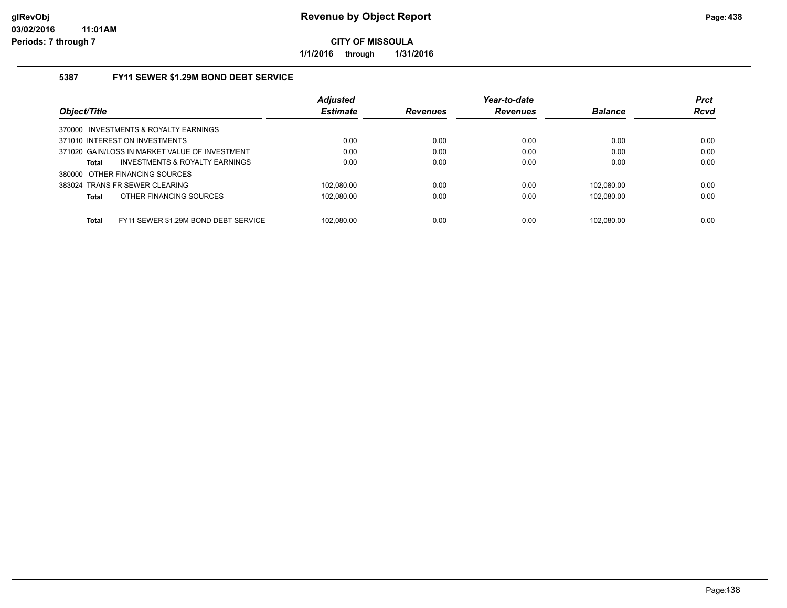**1/1/2016 through 1/31/2016**

#### **5387 FY11 SEWER \$1.29M BOND DEBT SERVICE**

|                                                      | <b>Adjusted</b> |                 | Year-to-date    |                | <b>Prct</b> |
|------------------------------------------------------|-----------------|-----------------|-----------------|----------------|-------------|
| Object/Title                                         | <b>Estimate</b> | <b>Revenues</b> | <b>Revenues</b> | <b>Balance</b> | <b>Rcvd</b> |
| 370000 INVESTMENTS & ROYALTY EARNINGS                |                 |                 |                 |                |             |
| 371010 INTEREST ON INVESTMENTS                       | 0.00            | 0.00            | 0.00            | 0.00           | 0.00        |
| 371020 GAIN/LOSS IN MARKET VALUE OF INVESTMENT       | 0.00            | 0.00            | 0.00            | 0.00           | 0.00        |
| INVESTMENTS & ROYALTY EARNINGS<br><b>Total</b>       | 0.00            | 0.00            | 0.00            | 0.00           | 0.00        |
| 380000 OTHER FINANCING SOURCES                       |                 |                 |                 |                |             |
| 383024 TRANS FR SEWER CLEARING                       | 102.080.00      | 0.00            | 0.00            | 102.080.00     | 0.00        |
| OTHER FINANCING SOURCES<br><b>Total</b>              | 102.080.00      | 0.00            | 0.00            | 102.080.00     | 0.00        |
|                                                      |                 |                 |                 |                |             |
| FY11 SEWER \$1.29M BOND DEBT SERVICE<br><b>Total</b> | 102.080.00      | 0.00            | 0.00            | 102.080.00     | 0.00        |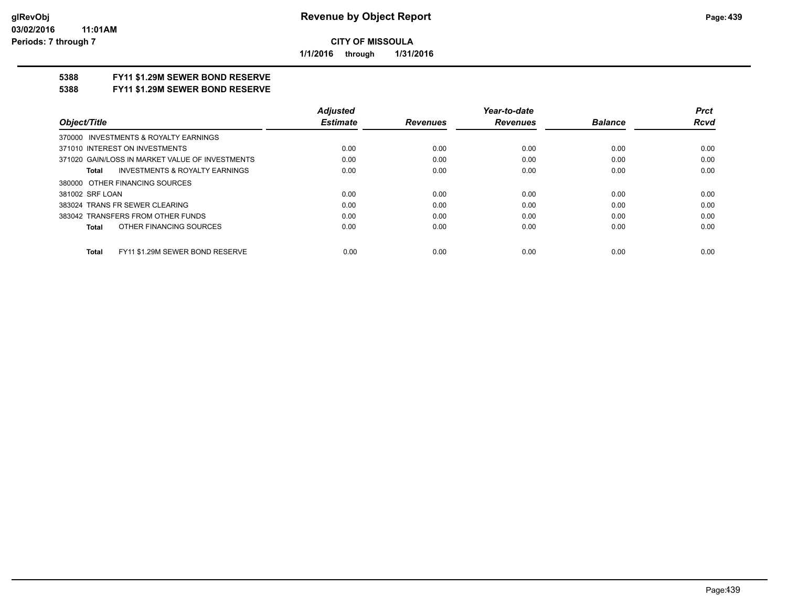**1/1/2016 through 1/31/2016**

## **5388 FY11 \$1.29M SEWER BOND RESERVE**

**5388 FY11 \$1.29M SEWER BOND RESERVE**

|                                                 | <b>Adiusted</b> |                 | Year-to-date    |                | <b>Prct</b> |
|-------------------------------------------------|-----------------|-----------------|-----------------|----------------|-------------|
| Object/Title                                    | <b>Estimate</b> | <b>Revenues</b> | <b>Revenues</b> | <b>Balance</b> | Rcvd        |
| 370000 INVESTMENTS & ROYALTY EARNINGS           |                 |                 |                 |                |             |
| 371010 INTEREST ON INVESTMENTS                  | 0.00            | 0.00            | 0.00            | 0.00           | 0.00        |
| 371020 GAIN/LOSS IN MARKET VALUE OF INVESTMENTS | 0.00            | 0.00            | 0.00            | 0.00           | 0.00        |
| INVESTMENTS & ROYALTY EARNINGS<br>Total         | 0.00            | 0.00            | 0.00            | 0.00           | 0.00        |
| 380000 OTHER FINANCING SOURCES                  |                 |                 |                 |                |             |
| 381002 SRF LOAN                                 | 0.00            | 0.00            | 0.00            | 0.00           | 0.00        |
| 383024 TRANS FR SEWER CLEARING                  | 0.00            | 0.00            | 0.00            | 0.00           | 0.00        |
| 383042 TRANSFERS FROM OTHER FUNDS               | 0.00            | 0.00            | 0.00            | 0.00           | 0.00        |
| OTHER FINANCING SOURCES<br>Total                | 0.00            | 0.00            | 0.00            | 0.00           | 0.00        |
| FY11 \$1.29M SEWER BOND RESERVE<br><b>Total</b> | 0.00            | 0.00            | 0.00            | 0.00           | 0.00        |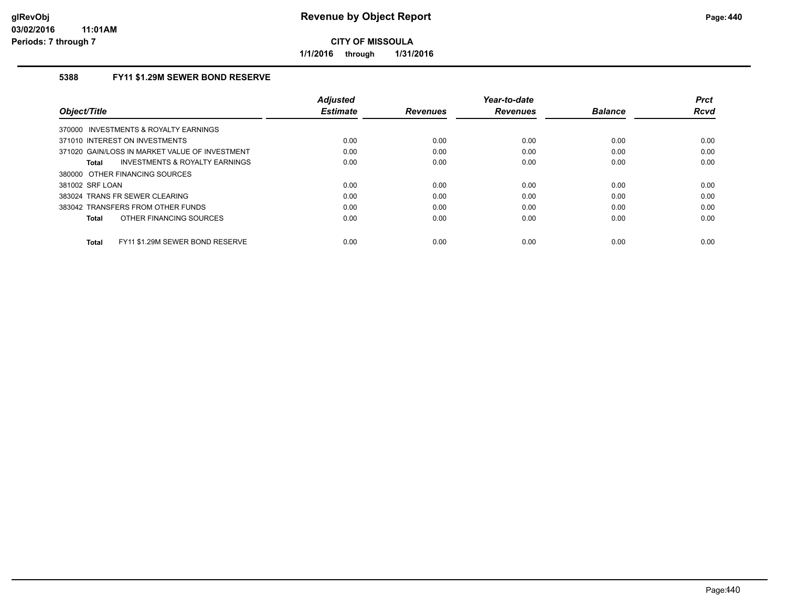**1/1/2016 through 1/31/2016**

## **5388 FY11 \$1.29M SEWER BOND RESERVE**

| Object/Title                                       | <b>Adjusted</b><br><b>Estimate</b> | <b>Revenues</b> | Year-to-date<br><b>Revenues</b> | <b>Balance</b> | <b>Prct</b><br><b>Rcvd</b> |
|----------------------------------------------------|------------------------------------|-----------------|---------------------------------|----------------|----------------------------|
| 370000 INVESTMENTS & ROYALTY EARNINGS              |                                    |                 |                                 |                |                            |
| 371010 INTEREST ON INVESTMENTS                     | 0.00                               | 0.00            | 0.00                            | 0.00           | 0.00                       |
| 371020 GAIN/LOSS IN MARKET VALUE OF INVESTMENT     | 0.00                               | 0.00            | 0.00                            | 0.00           | 0.00                       |
| <b>INVESTMENTS &amp; ROYALTY EARNINGS</b><br>Total | 0.00                               | 0.00            | 0.00                            | 0.00           | 0.00                       |
| 380000 OTHER FINANCING SOURCES                     |                                    |                 |                                 |                |                            |
| 381002 SRF LOAN                                    | 0.00                               | 0.00            | 0.00                            | 0.00           | 0.00                       |
| 383024 TRANS FR SEWER CLEARING                     | 0.00                               | 0.00            | 0.00                            | 0.00           | 0.00                       |
| 383042 TRANSFERS FROM OTHER FUNDS                  | 0.00                               | 0.00            | 0.00                            | 0.00           | 0.00                       |
| OTHER FINANCING SOURCES<br><b>Total</b>            | 0.00                               | 0.00            | 0.00                            | 0.00           | 0.00                       |
| FY11 \$1.29M SEWER BOND RESERVE<br><b>Total</b>    | 0.00                               | 0.00            | 0.00                            | 0.00           | 0.00                       |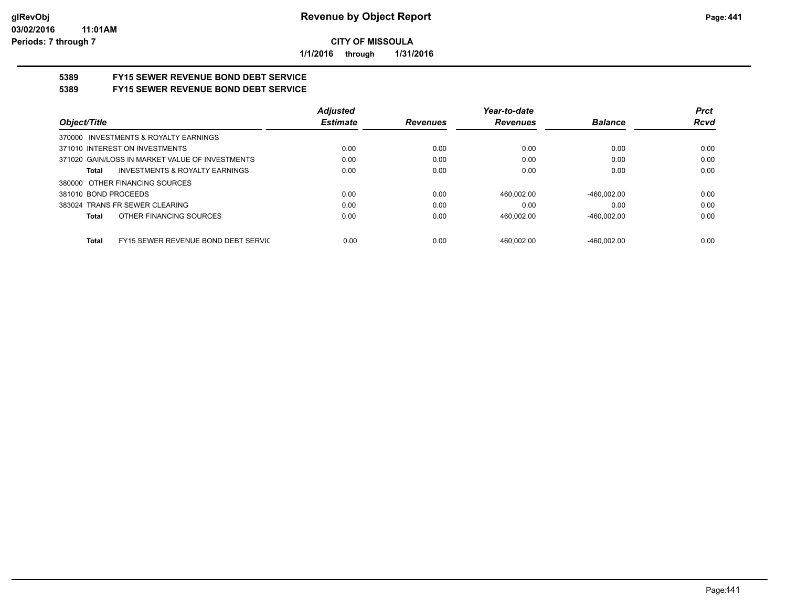**1/1/2016 through 1/31/2016**

# **5389 FY15 SEWER REVENUE BOND DEBT SERVICE**

## **5389 FY15 SEWER REVENUE BOND DEBT SERVICE**

|                                                     | <b>Adjusted</b> |          | Year-to-date    |                | <b>Prct</b> |
|-----------------------------------------------------|-----------------|----------|-----------------|----------------|-------------|
| Object/Title                                        | <b>Estimate</b> | Revenues | <b>Revenues</b> | <b>Balance</b> | <b>Rcvd</b> |
| 370000 INVESTMENTS & ROYALTY EARNINGS               |                 |          |                 |                |             |
| 371010 INTEREST ON INVESTMENTS                      | 0.00            | 0.00     | 0.00            | 0.00           | 0.00        |
| 371020 GAIN/LOSS IN MARKET VALUE OF INVESTMENTS     | 0.00            | 0.00     | 0.00            | 0.00           | 0.00        |
| <b>INVESTMENTS &amp; ROYALTY EARNINGS</b><br>Total  | 0.00            | 0.00     | 0.00            | 0.00           | 0.00        |
| 380000 OTHER FINANCING SOURCES                      |                 |          |                 |                |             |
| 381010 BOND PROCEEDS                                | 0.00            | 0.00     | 460.002.00      | $-460.002.00$  | 0.00        |
| 383024 TRANS FR SEWER CLEARING                      | 0.00            | 0.00     | 0.00            | 0.00           | 0.00        |
| OTHER FINANCING SOURCES<br>Total                    | 0.00            | 0.00     | 460.002.00      | $-460.002.00$  | 0.00        |
|                                                     |                 |          |                 |                |             |
| FY15 SEWER REVENUE BOND DEBT SERVIC<br><b>Total</b> | 0.00            | 0.00     | 460.002.00      | $-460.002.00$  | 0.00        |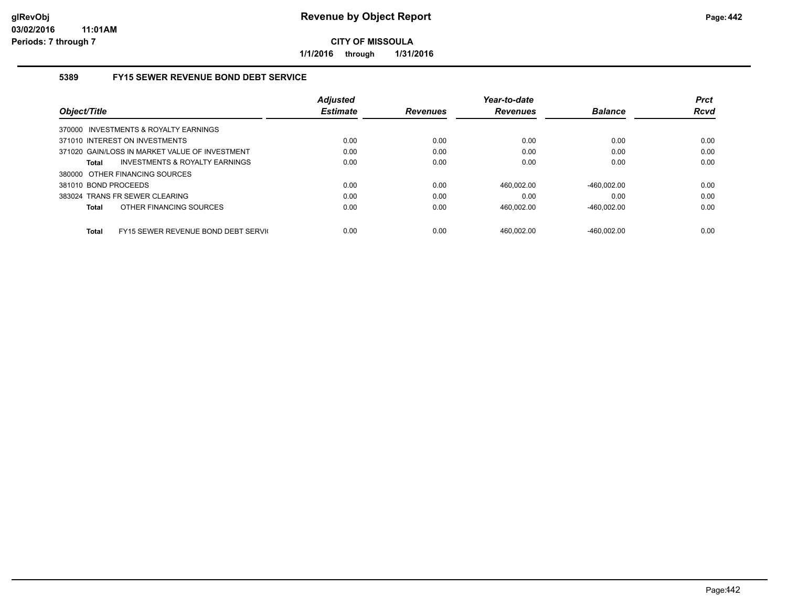**1/1/2016 through 1/31/2016**

#### **5389 FY15 SEWER REVENUE BOND DEBT SERVICE**

|                                                     | <b>Adiusted</b> |                 | Year-to-date    |                | <b>Prct</b> |
|-----------------------------------------------------|-----------------|-----------------|-----------------|----------------|-------------|
| Object/Title                                        | <b>Estimate</b> | <b>Revenues</b> | <b>Revenues</b> | <b>Balance</b> | <b>Rcvd</b> |
| 370000 INVESTMENTS & ROYALTY EARNINGS               |                 |                 |                 |                |             |
| 371010 INTEREST ON INVESTMENTS                      | 0.00            | 0.00            | 0.00            | 0.00           | 0.00        |
| 371020 GAIN/LOSS IN MARKET VALUE OF INVESTMENT      | 0.00            | 0.00            | 0.00            | 0.00           | 0.00        |
| INVESTMENTS & ROYALTY EARNINGS<br><b>Total</b>      | 0.00            | 0.00            | 0.00            | 0.00           | 0.00        |
| 380000 OTHER FINANCING SOURCES                      |                 |                 |                 |                |             |
| 381010 BOND PROCEEDS                                | 0.00            | 0.00            | 460.002.00      | $-460.002.00$  | 0.00        |
| 383024 TRANS FR SEWER CLEARING                      | 0.00            | 0.00            | 0.00            | 0.00           | 0.00        |
| OTHER FINANCING SOURCES<br><b>Total</b>             | 0.00            | 0.00            | 460,002.00      | $-460,002.00$  | 0.00        |
|                                                     |                 |                 |                 |                |             |
| FY15 SEWER REVENUE BOND DEBT SERVIC<br><b>Total</b> | 0.00            | 0.00            | 460.002.00      | $-460.002.00$  | 0.00        |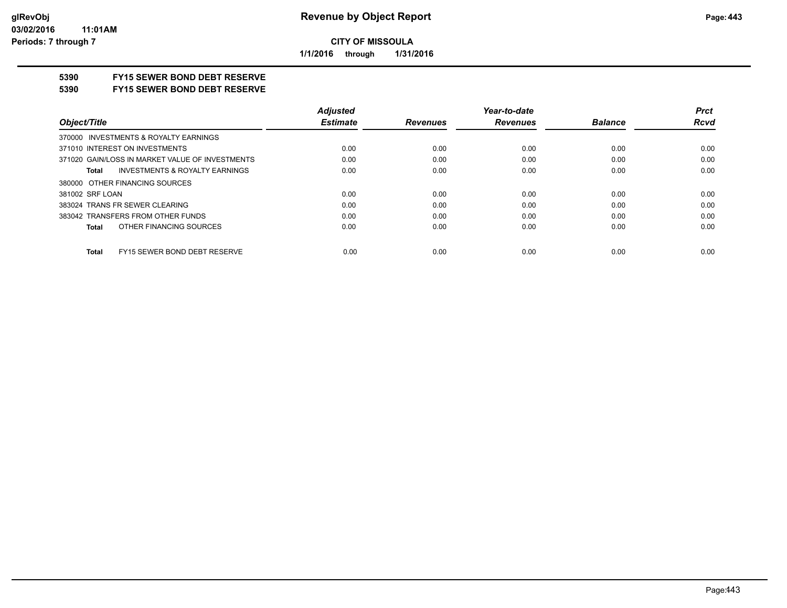**1/1/2016 through 1/31/2016**

## **5390 FY15 SEWER BOND DEBT RESERVE**

#### **5390 FY15 SEWER BOND DEBT RESERVE**

|                                                    | <b>Adjusted</b> |                 | Year-to-date    |                | <b>Prct</b> |
|----------------------------------------------------|-----------------|-----------------|-----------------|----------------|-------------|
| Object/Title                                       | <b>Estimate</b> | <b>Revenues</b> | <b>Revenues</b> | <b>Balance</b> | <b>Rcvd</b> |
| 370000 INVESTMENTS & ROYALTY EARNINGS              |                 |                 |                 |                |             |
| 371010 INTEREST ON INVESTMENTS                     | 0.00            | 0.00            | 0.00            | 0.00           | 0.00        |
| 371020 GAIN/LOSS IN MARKET VALUE OF INVESTMENTS    | 0.00            | 0.00            | 0.00            | 0.00           | 0.00        |
| <b>INVESTMENTS &amp; ROYALTY EARNINGS</b><br>Total | 0.00            | 0.00            | 0.00            | 0.00           | 0.00        |
| 380000 OTHER FINANCING SOURCES                     |                 |                 |                 |                |             |
| 381002 SRF LOAN                                    | 0.00            | 0.00            | 0.00            | 0.00           | 0.00        |
| 383024 TRANS FR SEWER CLEARING                     | 0.00            | 0.00            | 0.00            | 0.00           | 0.00        |
| 383042 TRANSFERS FROM OTHER FUNDS                  | 0.00            | 0.00            | 0.00            | 0.00           | 0.00        |
| OTHER FINANCING SOURCES<br>Total                   | 0.00            | 0.00            | 0.00            | 0.00           | 0.00        |
| FY15 SEWER BOND DEBT RESERVE<br><b>Total</b>       | 0.00            | 0.00            | 0.00            | 0.00           | 0.00        |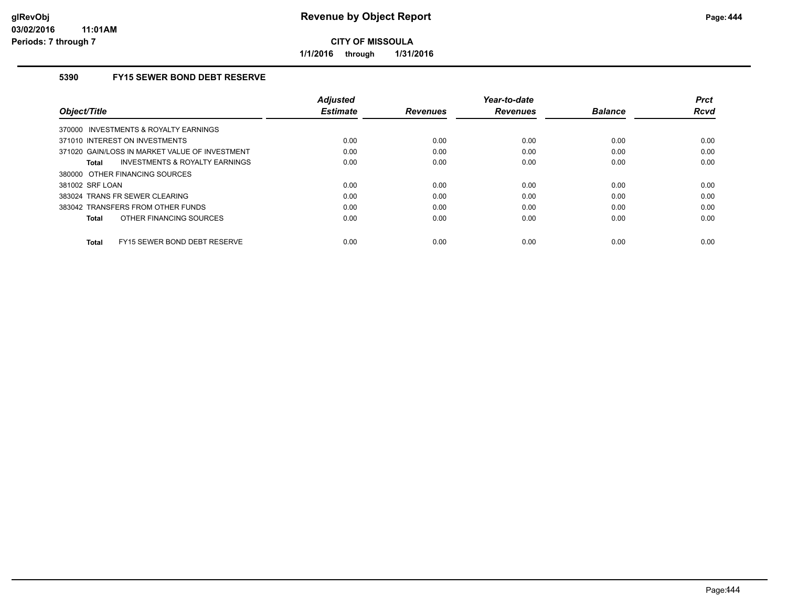**1/1/2016 through 1/31/2016**

## **5390 FY15 SEWER BOND DEBT RESERVE**

| Object/Title                                   | <b>Adjusted</b><br><b>Estimate</b> | <b>Revenues</b> | Year-to-date<br><b>Revenues</b> | <b>Balance</b> | <b>Prct</b><br>Rcvd |
|------------------------------------------------|------------------------------------|-----------------|---------------------------------|----------------|---------------------|
| 370000 INVESTMENTS & ROYALTY EARNINGS          |                                    |                 |                                 |                |                     |
| 371010 INTEREST ON INVESTMENTS                 | 0.00                               | 0.00            | 0.00                            | 0.00           | 0.00                |
| 371020 GAIN/LOSS IN MARKET VALUE OF INVESTMENT | 0.00                               | 0.00            | 0.00                            | 0.00           | 0.00                |
| INVESTMENTS & ROYALTY EARNINGS<br>Total        | 0.00                               | 0.00            | 0.00                            | 0.00           | 0.00                |
| 380000 OTHER FINANCING SOURCES                 |                                    |                 |                                 |                |                     |
| 381002 SRF LOAN                                | 0.00                               | 0.00            | 0.00                            | 0.00           | 0.00                |
| 383024 TRANS FR SEWER CLEARING                 | 0.00                               | 0.00            | 0.00                            | 0.00           | 0.00                |
| 383042 TRANSFERS FROM OTHER FUNDS              | 0.00                               | 0.00            | 0.00                            | 0.00           | 0.00                |
| OTHER FINANCING SOURCES<br>Total               | 0.00                               | 0.00            | 0.00                            | 0.00           | 0.00                |
| FY15 SEWER BOND DEBT RESERVE<br>Total          | 0.00                               | 0.00            | 0.00                            | 0.00           | 0.00                |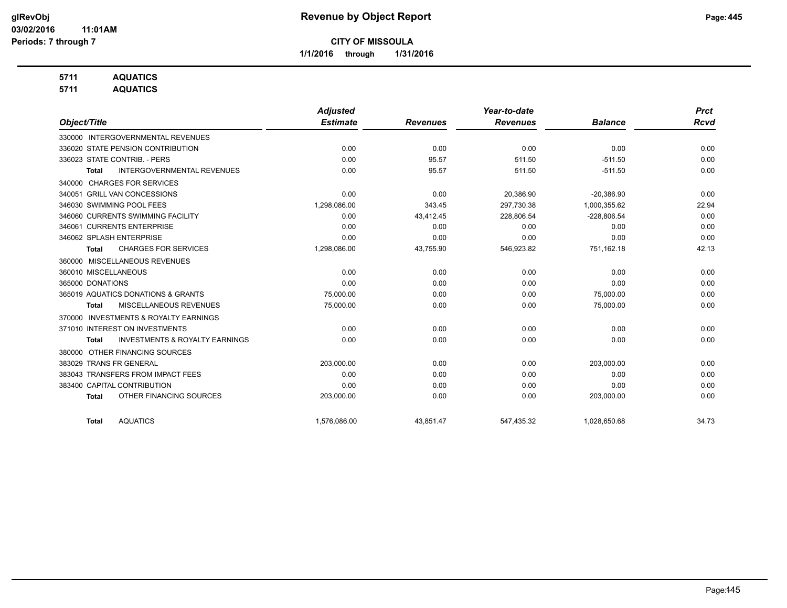**1/1/2016 through 1/31/2016**

## **5711 AQUATICS**

**5711 AQUATICS**

|                                                           | <b>Adjusted</b> |                 | Year-to-date    |                | <b>Prct</b> |
|-----------------------------------------------------------|-----------------|-----------------|-----------------|----------------|-------------|
| Object/Title                                              | <b>Estimate</b> | <b>Revenues</b> | <b>Revenues</b> | <b>Balance</b> | <b>Rcvd</b> |
| 330000 INTERGOVERNMENTAL REVENUES                         |                 |                 |                 |                |             |
| 336020 STATE PENSION CONTRIBUTION                         | 0.00            | 0.00            | 0.00            | 0.00           | 0.00        |
| 336023 STATE CONTRIB. - PERS                              | 0.00            | 95.57           | 511.50          | $-511.50$      | 0.00        |
| <b>INTERGOVERNMENTAL REVENUES</b><br>Total                | 0.00            | 95.57           | 511.50          | $-511.50$      | 0.00        |
| <b>CHARGES FOR SERVICES</b><br>340000                     |                 |                 |                 |                |             |
| 340051 GRILL VAN CONCESSIONS                              | 0.00            | 0.00            | 20,386.90       | $-20,386.90$   | 0.00        |
| 346030 SWIMMING POOL FEES                                 | 1,298,086.00    | 343.45          | 297,730.38      | 1,000,355.62   | 22.94       |
| 346060 CURRENTS SWIMMING FACILITY                         | 0.00            | 43,412.45       | 228,806.54      | $-228,806.54$  | 0.00        |
| 346061 CURRENTS ENTERPRISE                                | 0.00            | 0.00            | 0.00            | 0.00           | 0.00        |
| 346062 SPLASH ENTERPRISE                                  | 0.00            | 0.00            | 0.00            | 0.00           | 0.00        |
| <b>CHARGES FOR SERVICES</b><br><b>Total</b>               | 1,298,086.00    | 43,755.90       | 546,923.82      | 751,162.18     | 42.13       |
| 360000 MISCELLANEOUS REVENUES                             |                 |                 |                 |                |             |
| 360010 MISCELLANEOUS                                      | 0.00            | 0.00            | 0.00            | 0.00           | 0.00        |
| 365000 DONATIONS                                          | 0.00            | 0.00            | 0.00            | 0.00           | 0.00        |
| 365019 AQUATICS DONATIONS & GRANTS                        | 75,000.00       | 0.00            | 0.00            | 75,000.00      | 0.00        |
| MISCELLANEOUS REVENUES<br><b>Total</b>                    | 75,000.00       | 0.00            | 0.00            | 75,000.00      | 0.00        |
| <b>INVESTMENTS &amp; ROYALTY EARNINGS</b><br>370000       |                 |                 |                 |                |             |
| 371010 INTEREST ON INVESTMENTS                            | 0.00            | 0.00            | 0.00            | 0.00           | 0.00        |
| <b>INVESTMENTS &amp; ROYALTY EARNINGS</b><br><b>Total</b> | 0.00            | 0.00            | 0.00            | 0.00           | 0.00        |
| OTHER FINANCING SOURCES<br>380000                         |                 |                 |                 |                |             |
| 383029 TRANS FR GENERAL                                   | 203,000.00      | 0.00            | 0.00            | 203,000.00     | 0.00        |
| 383043 TRANSFERS FROM IMPACT FEES                         | 0.00            | 0.00            | 0.00            | 0.00           | 0.00        |
| 383400 CAPITAL CONTRIBUTION                               | 0.00            | 0.00            | 0.00            | 0.00           | 0.00        |
| OTHER FINANCING SOURCES<br><b>Total</b>                   | 203,000.00      | 0.00            | 0.00            | 203,000.00     | 0.00        |
| <b>AQUATICS</b><br><b>Total</b>                           | 1,576,086.00    | 43,851.47       | 547,435.32      | 1,028,650.68   | 34.73       |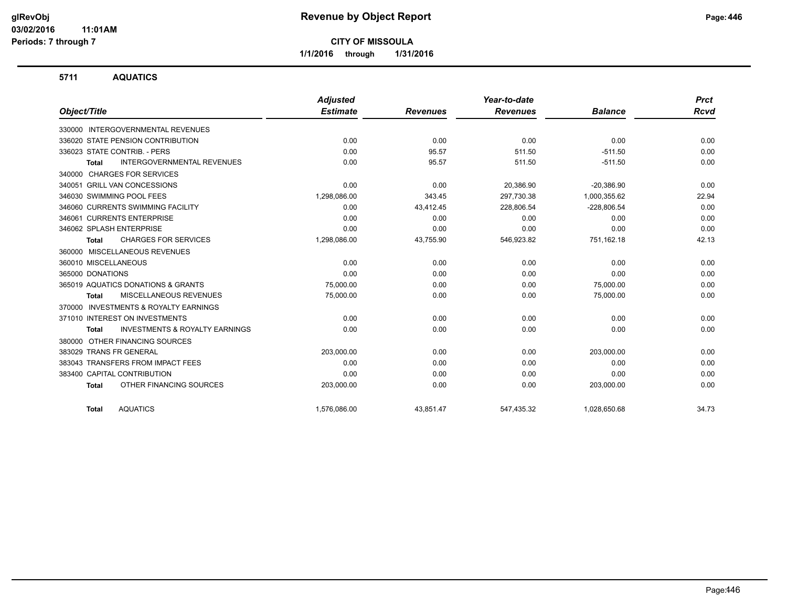**1/1/2016 through 1/31/2016**

#### **5711 AQUATICS**

|                                                     | <b>Adjusted</b> |                 | Year-to-date    |                | <b>Prct</b> |
|-----------------------------------------------------|-----------------|-----------------|-----------------|----------------|-------------|
| Object/Title                                        | <b>Estimate</b> | <b>Revenues</b> | <b>Revenues</b> | <b>Balance</b> | <b>Rcvd</b> |
| 330000 INTERGOVERNMENTAL REVENUES                   |                 |                 |                 |                |             |
| 336020 STATE PENSION CONTRIBUTION                   | 0.00            | 0.00            | 0.00            | 0.00           | 0.00        |
| 336023 STATE CONTRIB. - PERS                        | 0.00            | 95.57           | 511.50          | $-511.50$      | 0.00        |
| <b>INTERGOVERNMENTAL REVENUES</b><br><b>Total</b>   | 0.00            | 95.57           | 511.50          | $-511.50$      | 0.00        |
| <b>CHARGES FOR SERVICES</b><br>340000               |                 |                 |                 |                |             |
| 340051 GRILL VAN CONCESSIONS                        | 0.00            | 0.00            | 20,386.90       | $-20,386.90$   | 0.00        |
| 346030 SWIMMING POOL FEES                           | 1,298,086.00    | 343.45          | 297,730.38      | 1,000,355.62   | 22.94       |
| 346060 CURRENTS SWIMMING FACILITY                   | 0.00            | 43,412.45       | 228,806.54      | $-228,806.54$  | 0.00        |
| 346061 CURRENTS ENTERPRISE                          | 0.00            | 0.00            | 0.00            | 0.00           | 0.00        |
| 346062 SPLASH ENTERPRISE                            | 0.00            | 0.00            | 0.00            | 0.00           | 0.00        |
| <b>CHARGES FOR SERVICES</b><br><b>Total</b>         | 1,298,086.00    | 43,755.90       | 546,923.82      | 751,162.18     | 42.13       |
| 360000 MISCELLANEOUS REVENUES                       |                 |                 |                 |                |             |
| 360010 MISCELLANEOUS                                | 0.00            | 0.00            | 0.00            | 0.00           | 0.00        |
| 365000 DONATIONS                                    | 0.00            | 0.00            | 0.00            | 0.00           | 0.00        |
| 365019 AQUATICS DONATIONS & GRANTS                  | 75,000.00       | 0.00            | 0.00            | 75,000.00      | 0.00        |
| MISCELLANEOUS REVENUES<br><b>Total</b>              | 75,000.00       | 0.00            | 0.00            | 75,000.00      | 0.00        |
| <b>INVESTMENTS &amp; ROYALTY EARNINGS</b><br>370000 |                 |                 |                 |                |             |
| 371010 INTEREST ON INVESTMENTS                      | 0.00            | 0.00            | 0.00            | 0.00           | 0.00        |
| <b>INVESTMENTS &amp; ROYALTY EARNINGS</b><br>Total  | 0.00            | 0.00            | 0.00            | 0.00           | 0.00        |
| OTHER FINANCING SOURCES<br>380000                   |                 |                 |                 |                |             |
| 383029 TRANS FR GENERAL                             | 203,000.00      | 0.00            | 0.00            | 203,000.00     | 0.00        |
| 383043 TRANSFERS FROM IMPACT FEES                   | 0.00            | 0.00            | 0.00            | 0.00           | 0.00        |
| 383400 CAPITAL CONTRIBUTION                         | 0.00            | 0.00            | 0.00            | 0.00           | 0.00        |
| OTHER FINANCING SOURCES<br><b>Total</b>             | 203,000.00      | 0.00            | 0.00            | 203,000.00     | 0.00        |
| <b>AQUATICS</b><br><b>Total</b>                     | 1,576,086.00    | 43,851.47       | 547,435.32      | 1,028,650.68   | 34.73       |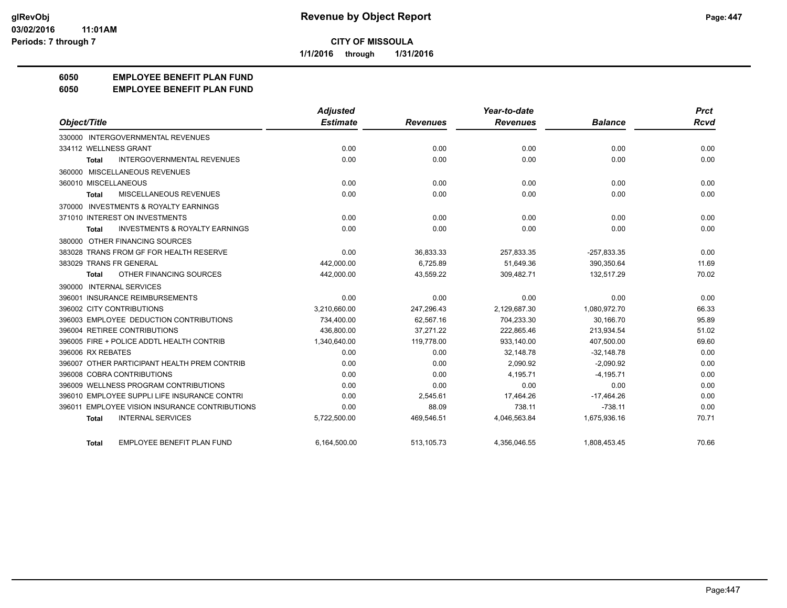**1/1/2016 through 1/31/2016**

# **6050 EMPLOYEE BENEFIT PLAN FUND**

**6050 EMPLOYEE BENEFIT PLAN FUND**

|                                                           | Adjusted        |                 | Year-to-date    |                | <b>Prct</b> |
|-----------------------------------------------------------|-----------------|-----------------|-----------------|----------------|-------------|
| Object/Title                                              | <b>Estimate</b> | <b>Revenues</b> | <b>Revenues</b> | <b>Balance</b> | <b>Rcvd</b> |
| 330000 INTERGOVERNMENTAL REVENUES                         |                 |                 |                 |                |             |
| 334112 WELLNESS GRANT                                     | 0.00            | 0.00            | 0.00            | 0.00           | 0.00        |
| <b>INTERGOVERNMENTAL REVENUES</b><br><b>Total</b>         | 0.00            | 0.00            | 0.00            | 0.00           | 0.00        |
| 360000 MISCELLANEOUS REVENUES                             |                 |                 |                 |                |             |
| 360010 MISCELLANEOUS                                      | 0.00            | 0.00            | 0.00            | 0.00           | 0.00        |
| MISCELLANEOUS REVENUES<br><b>Total</b>                    | 0.00            | 0.00            | 0.00            | 0.00           | 0.00        |
| 370000 INVESTMENTS & ROYALTY EARNINGS                     |                 |                 |                 |                |             |
| 371010 INTEREST ON INVESTMENTS                            | 0.00            | 0.00            | 0.00            | 0.00           | 0.00        |
| <b>INVESTMENTS &amp; ROYALTY EARNINGS</b><br><b>Total</b> | 0.00            | 0.00            | 0.00            | 0.00           | 0.00        |
| 380000 OTHER FINANCING SOURCES                            |                 |                 |                 |                |             |
| 383028 TRANS FROM GF FOR HEALTH RESERVE                   | 0.00            | 36,833.33       | 257,833.35      | $-257,833.35$  | 0.00        |
| 383029 TRANS FR GENERAL                                   | 442.000.00      | 6.725.89        | 51.649.36       | 390.350.64     | 11.69       |
| OTHER FINANCING SOURCES<br><b>Total</b>                   | 442,000.00      | 43,559.22       | 309,482.71      | 132,517.29     | 70.02       |
| 390000 INTERNAL SERVICES                                  |                 |                 |                 |                |             |
| 396001 INSURANCE REIMBURSEMENTS                           | 0.00            | 0.00            | 0.00            | 0.00           | 0.00        |
| 396002 CITY CONTRIBUTIONS                                 | 3,210,660.00    | 247,296.43      | 2,129,687.30    | 1,080,972.70   | 66.33       |
| 396003 EMPLOYEE DEDUCTION CONTRIBUTIONS                   | 734,400.00      | 62,567.16       | 704,233.30      | 30,166.70      | 95.89       |
| 396004 RETIREE CONTRIBUTIONS                              | 436,800.00      | 37,271.22       | 222,865.46      | 213,934.54     | 51.02       |
| 396005 FIRE + POLICE ADDTL HEALTH CONTRIB                 | 1,340,640.00    | 119,778.00      | 933.140.00      | 407.500.00     | 69.60       |
| 396006 RX REBATES                                         | 0.00            | 0.00            | 32,148.78       | $-32,148.78$   | 0.00        |
| 396007 OTHER PARTICIPANT HEALTH PREM CONTRIB              | 0.00            | 0.00            | 2,090.92        | $-2,090.92$    | 0.00        |
| 396008 COBRA CONTRIBUTIONS                                | 0.00            | 0.00            | 4,195.71        | $-4,195.71$    | 0.00        |
| 396009 WELLNESS PROGRAM CONTRIBUTIONS                     | 0.00            | 0.00            | 0.00            | 0.00           | 0.00        |
| 396010 EMPLOYEE SUPPLI LIFE INSURANCE CONTRI              | 0.00            | 2,545.61        | 17,464.26       | $-17,464.26$   | 0.00        |
| 396011 EMPLOYEE VISION INSURANCE CONTRIBUTIONS            | 0.00            | 88.09           | 738.11          | $-738.11$      | 0.00        |
| <b>INTERNAL SERVICES</b><br><b>Total</b>                  | 5,722,500.00    | 469,546.51      | 4,046,563.84    | 1,675,936.16   | 70.71       |
| <b>EMPLOYEE BENEFIT PLAN FUND</b><br><b>Total</b>         | 6,164,500.00    | 513.105.73      | 4.356.046.55    | 1,808,453.45   | 70.66       |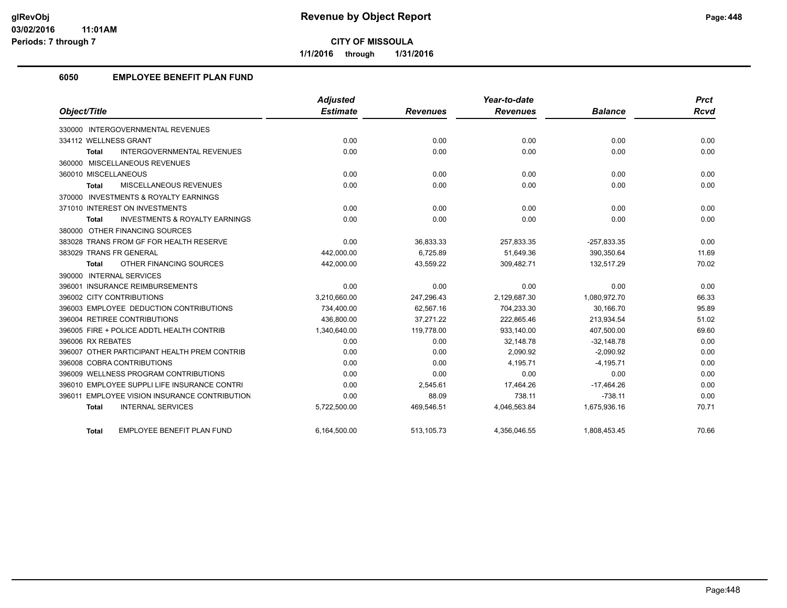**1/1/2016 through 1/31/2016**

## **6050 EMPLOYEE BENEFIT PLAN FUND**

|                                                           | Adjusted        |                 | Year-to-date    |                | <b>Prct</b> |
|-----------------------------------------------------------|-----------------|-----------------|-----------------|----------------|-------------|
| Object/Title                                              | <b>Estimate</b> | <b>Revenues</b> | <b>Revenues</b> | <b>Balance</b> | <b>Rcvd</b> |
| 330000 INTERGOVERNMENTAL REVENUES                         |                 |                 |                 |                |             |
| 334112 WELLNESS GRANT                                     | 0.00            | 0.00            | 0.00            | 0.00           | 0.00        |
| INTERGOVERNMENTAL REVENUES<br><b>Total</b>                | 0.00            | 0.00            | 0.00            | 0.00           | 0.00        |
| 360000 MISCELLANEOUS REVENUES                             |                 |                 |                 |                |             |
| 360010 MISCELLANEOUS                                      | 0.00            | 0.00            | 0.00            | 0.00           | 0.00        |
| MISCELLANEOUS REVENUES<br>Total                           | 0.00            | 0.00            | 0.00            | 0.00           | 0.00        |
| 370000 INVESTMENTS & ROYALTY EARNINGS                     |                 |                 |                 |                |             |
| 371010 INTEREST ON INVESTMENTS                            | 0.00            | 0.00            | 0.00            | 0.00           | 0.00        |
| <b>INVESTMENTS &amp; ROYALTY EARNINGS</b><br><b>Total</b> | 0.00            | 0.00            | 0.00            | 0.00           | 0.00        |
| 380000 OTHER FINANCING SOURCES                            |                 |                 |                 |                |             |
| 383028 TRANS FROM GF FOR HEALTH RESERVE                   | 0.00            | 36.833.33       | 257,833.35      | $-257,833.35$  | 0.00        |
| 383029 TRANS FR GENERAL                                   | 442,000.00      | 6,725.89        | 51,649.36       | 390,350.64     | 11.69       |
| OTHER FINANCING SOURCES<br><b>Total</b>                   | 442,000.00      | 43,559.22       | 309,482.71      | 132,517.29     | 70.02       |
| 390000 INTERNAL SERVICES                                  |                 |                 |                 |                |             |
| 396001 INSURANCE REIMBURSEMENTS                           | 0.00            | 0.00            | 0.00            | 0.00           | 0.00        |
| 396002 CITY CONTRIBUTIONS                                 | 3,210,660.00    | 247,296.43      | 2,129,687.30    | 1,080,972.70   | 66.33       |
| 396003 EMPLOYEE DEDUCTION CONTRIBUTIONS                   | 734,400.00      | 62,567.16       | 704,233.30      | 30,166.70      | 95.89       |
| 396004 RETIREE CONTRIBUTIONS                              | 436,800.00      | 37,271.22       | 222,865.46      | 213,934.54     | 51.02       |
| 396005 FIRE + POLICE ADDTL HEALTH CONTRIB                 | 1,340,640.00    | 119,778.00      | 933,140.00      | 407,500.00     | 69.60       |
| 396006 RX REBATES                                         | 0.00            | 0.00            | 32,148.78       | $-32,148.78$   | 0.00        |
| 396007 OTHER PARTICIPANT HEALTH PREM CONTRIB              | 0.00            | 0.00            | 2,090.92        | $-2,090.92$    | 0.00        |
| 396008 COBRA CONTRIBUTIONS                                | 0.00            | 0.00            | 4,195.71        | $-4, 195.71$   | 0.00        |
| 396009 WELLNESS PROGRAM CONTRIBUTIONS                     | 0.00            | 0.00            | 0.00            | 0.00           | 0.00        |
| 396010 EMPLOYEE SUPPLI LIFE INSURANCE CONTRI              | 0.00            | 2,545.61        | 17,464.26       | $-17,464.26$   | 0.00        |
| 396011 EMPLOYEE VISION INSURANCE CONTRIBUTION             | 0.00            | 88.09           | 738.11          | $-738.11$      | 0.00        |
| <b>INTERNAL SERVICES</b><br><b>Total</b>                  | 5,722,500.00    | 469,546.51      | 4,046,563.84    | 1,675,936.16   | 70.71       |
| EMPLOYEE BENEFIT PLAN FUND<br><b>Total</b>                | 6,164,500.00    | 513,105.73      | 4,356,046.55    | 1,808,453.45   | 70.66       |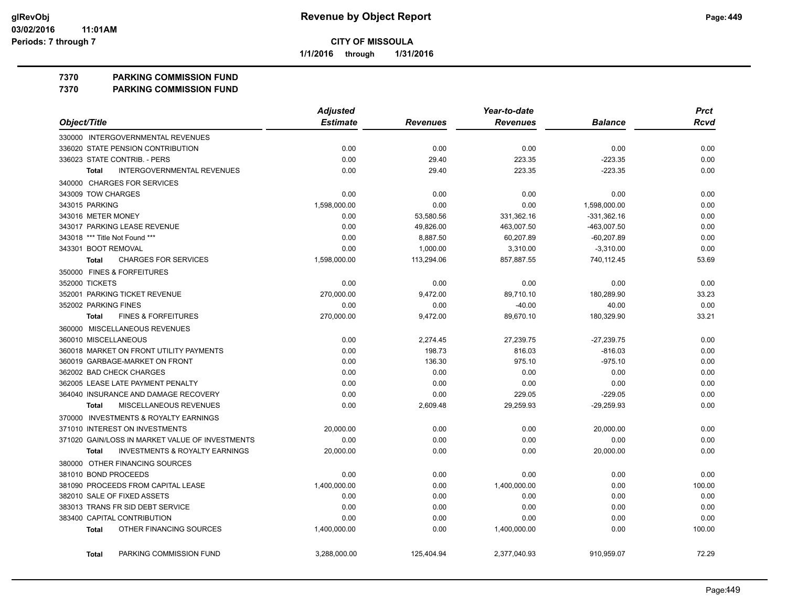**1/1/2016 through 1/31/2016**

#### **7370 PARKING COMMISSION FUND**

**7370 PARKING COMMISSION FUND**

|                                                    | <b>Adjusted</b> |                 | Year-to-date    |                | <b>Prct</b> |
|----------------------------------------------------|-----------------|-----------------|-----------------|----------------|-------------|
| Object/Title                                       | <b>Estimate</b> | <b>Revenues</b> | <b>Revenues</b> | <b>Balance</b> | <b>Rcvd</b> |
| 330000 INTERGOVERNMENTAL REVENUES                  |                 |                 |                 |                |             |
| 336020 STATE PENSION CONTRIBUTION                  | 0.00            | 0.00            | 0.00            | 0.00           | 0.00        |
| 336023 STATE CONTRIB. - PERS                       | 0.00            | 29.40           | 223.35          | $-223.35$      | 0.00        |
| <b>INTERGOVERNMENTAL REVENUES</b><br><b>Total</b>  | 0.00            | 29.40           | 223.35          | $-223.35$      | 0.00        |
| 340000 CHARGES FOR SERVICES                        |                 |                 |                 |                |             |
| 343009 TOW CHARGES                                 | 0.00            | 0.00            | 0.00            | 0.00           | 0.00        |
| 343015 PARKING                                     | 1,598,000.00    | 0.00            | 0.00            | 1,598,000.00   | 0.00        |
| 343016 METER MONEY                                 | 0.00            | 53,580.56       | 331,362.16      | $-331,362.16$  | 0.00        |
| 343017 PARKING LEASE REVENUE                       | 0.00            | 49,826.00       | 463,007.50      | -463,007.50    | 0.00        |
| 343018 *** Title Not Found ***                     | 0.00            | 8,887.50        | 60,207.89       | $-60,207.89$   | 0.00        |
| 343301 BOOT REMOVAL                                | 0.00            | 1,000.00        | 3,310.00        | $-3,310.00$    | 0.00        |
| <b>CHARGES FOR SERVICES</b><br>Total               | 1,598,000.00    | 113,294.06      | 857,887.55      | 740,112.45     | 53.69       |
| 350000 FINES & FORFEITURES                         |                 |                 |                 |                |             |
| 352000 TICKETS                                     | 0.00            | 0.00            | 0.00            | 0.00           | 0.00        |
| 352001 PARKING TICKET REVENUE                      | 270,000.00      | 9,472.00        | 89,710.10       | 180,289.90     | 33.23       |
| 352002 PARKING FINES                               | 0.00            | 0.00            | $-40.00$        | 40.00          | 0.00        |
| <b>FINES &amp; FORFEITURES</b><br><b>Total</b>     | 270,000.00      | 9,472.00        | 89,670.10       | 180,329.90     | 33.21       |
| 360000 MISCELLANEOUS REVENUES                      |                 |                 |                 |                |             |
| 360010 MISCELLANEOUS                               | 0.00            | 2,274.45        | 27,239.75       | $-27,239.75$   | 0.00        |
| 360018 MARKET ON FRONT UTILITY PAYMENTS            | 0.00            | 198.73          | 816.03          | $-816.03$      | 0.00        |
| 360019 GARBAGE-MARKET ON FRONT                     | 0.00            | 136.30          | 975.10          | $-975.10$      | 0.00        |
| 362002 BAD CHECK CHARGES                           | 0.00            | 0.00            | 0.00            | 0.00           | 0.00        |
| 362005 LEASE LATE PAYMENT PENALTY                  | 0.00            | 0.00            | 0.00            | 0.00           | 0.00        |
| 364040 INSURANCE AND DAMAGE RECOVERY               | 0.00            | 0.00            | 229.05          | $-229.05$      | 0.00        |
| MISCELLANEOUS REVENUES<br><b>Total</b>             | 0.00            | 2,609.48        | 29,259.93       | $-29,259.93$   | 0.00        |
| 370000 INVESTMENTS & ROYALTY EARNINGS              |                 |                 |                 |                |             |
| 371010 INTEREST ON INVESTMENTS                     | 20,000.00       | 0.00            | 0.00            | 20,000.00      | 0.00        |
| 371020 GAIN/LOSS IN MARKET VALUE OF INVESTMENTS    | 0.00            | 0.00            | 0.00            | 0.00           | 0.00        |
| <b>INVESTMENTS &amp; ROYALTY EARNINGS</b><br>Total | 20,000.00       | 0.00            | 0.00            | 20,000.00      | 0.00        |
| 380000 OTHER FINANCING SOURCES                     |                 |                 |                 |                |             |
| 381010 BOND PROCEEDS                               | 0.00            | 0.00            | 0.00            | 0.00           | 0.00        |
| 381090 PROCEEDS FROM CAPITAL LEASE                 | 1,400,000.00    | 0.00            | 1,400,000.00    | 0.00           | 100.00      |
| 382010 SALE OF FIXED ASSETS                        | 0.00            | 0.00            | 0.00            | 0.00           | 0.00        |
| 383013 TRANS FR SID DEBT SERVICE                   | 0.00            | 0.00            | 0.00            | 0.00           | 0.00        |
| 383400 CAPITAL CONTRIBUTION                        | 0.00            | 0.00            | 0.00            | 0.00           | 0.00        |
| OTHER FINANCING SOURCES<br><b>Total</b>            | 1,400,000.00    | 0.00            | 1,400,000.00    | 0.00           | 100.00      |
| PARKING COMMISSION FUND<br><b>Total</b>            | 3,288,000.00    | 125,404.94      | 2,377,040.93    | 910,959.07     | 72.29       |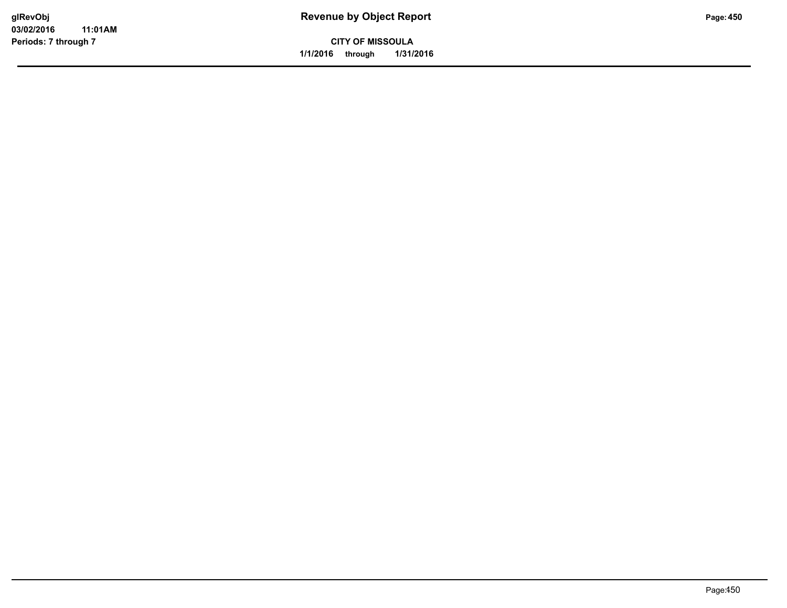**CITY OF MISSOULA 1/1/2016 through 1/31/2016**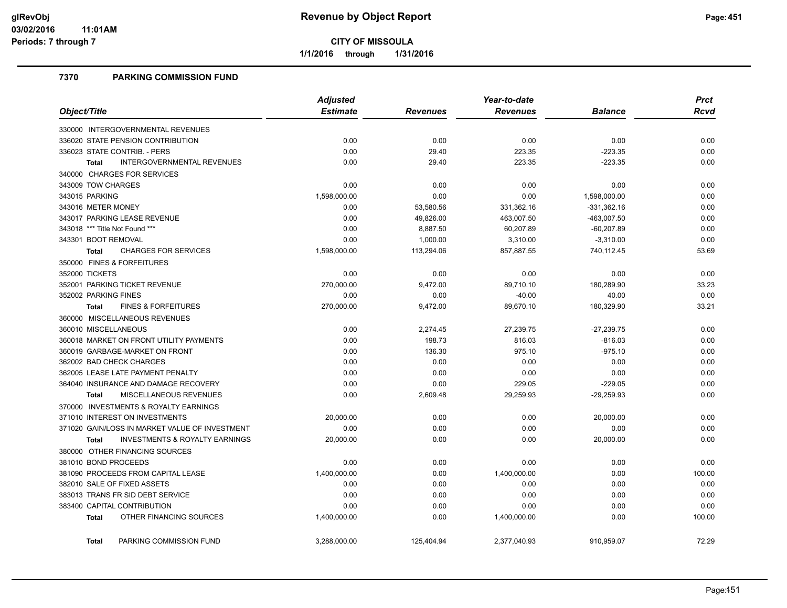**1/1/2016 through 1/31/2016**

#### **7370 PARKING COMMISSION FUND**

|                                                           | <b>Adjusted</b> |                 | Year-to-date    |                | <b>Prct</b> |
|-----------------------------------------------------------|-----------------|-----------------|-----------------|----------------|-------------|
| Object/Title                                              | <b>Estimate</b> | <b>Revenues</b> | <b>Revenues</b> | <b>Balance</b> | Rcvd        |
| 330000 INTERGOVERNMENTAL REVENUES                         |                 |                 |                 |                |             |
| 336020 STATE PENSION CONTRIBUTION                         | 0.00            | 0.00            | 0.00            | 0.00           | 0.00        |
| 336023 STATE CONTRIB. - PERS                              | 0.00            | 29.40           | 223.35          | $-223.35$      | 0.00        |
| INTERGOVERNMENTAL REVENUES<br><b>Total</b>                | 0.00            | 29.40           | 223.35          | $-223.35$      | 0.00        |
| 340000 CHARGES FOR SERVICES                               |                 |                 |                 |                |             |
| 343009 TOW CHARGES                                        | 0.00            | 0.00            | 0.00            | 0.00           | 0.00        |
| 343015 PARKING                                            | 1,598,000.00    | 0.00            | 0.00            | 1,598,000.00   | 0.00        |
| 343016 METER MONEY                                        | 0.00            | 53,580.56       | 331,362.16      | $-331,362.16$  | 0.00        |
| 343017 PARKING LEASE REVENUE                              | 0.00            | 49,826.00       | 463,007.50      | -463,007.50    | 0.00        |
| 343018 *** Title Not Found ***                            | 0.00            | 8,887.50        | 60,207.89       | $-60,207.89$   | 0.00        |
| 343301 BOOT REMOVAL                                       | 0.00            | 1,000.00        | 3,310.00        | $-3,310.00$    | 0.00        |
| <b>CHARGES FOR SERVICES</b><br><b>Total</b>               | 1,598,000.00    | 113,294.06      | 857,887.55      | 740,112.45     | 53.69       |
| 350000 FINES & FORFEITURES                                |                 |                 |                 |                |             |
| 352000 TICKETS                                            | 0.00            | 0.00            | 0.00            | 0.00           | 0.00        |
| 352001 PARKING TICKET REVENUE                             | 270,000.00      | 9,472.00        | 89,710.10       | 180,289.90     | 33.23       |
| 352002 PARKING FINES                                      | 0.00            | 0.00            | $-40.00$        | 40.00          | 0.00        |
| <b>FINES &amp; FORFEITURES</b><br><b>Total</b>            | 270,000.00      | 9,472.00        | 89,670.10       | 180,329.90     | 33.21       |
| 360000 MISCELLANEOUS REVENUES                             |                 |                 |                 |                |             |
| 360010 MISCELLANEOUS                                      | 0.00            | 2,274.45        | 27,239.75       | $-27,239.75$   | 0.00        |
| 360018 MARKET ON FRONT UTILITY PAYMENTS                   | 0.00            | 198.73          | 816.03          | $-816.03$      | 0.00        |
| 360019 GARBAGE-MARKET ON FRONT                            | 0.00            | 136.30          | 975.10          | $-975.10$      | 0.00        |
| 362002 BAD CHECK CHARGES                                  | 0.00            | 0.00            | 0.00            | 0.00           | 0.00        |
| 362005 LEASE LATE PAYMENT PENALTY                         | 0.00            | 0.00            | 0.00            | 0.00           | 0.00        |
| 364040 INSURANCE AND DAMAGE RECOVERY                      | 0.00            | 0.00            | 229.05          | $-229.05$      | 0.00        |
| <b>MISCELLANEOUS REVENUES</b><br><b>Total</b>             | 0.00            | 2,609.48        | 29,259.93       | $-29,259.93$   | 0.00        |
| 370000 INVESTMENTS & ROYALTY EARNINGS                     |                 |                 |                 |                |             |
| 371010 INTEREST ON INVESTMENTS                            | 20,000.00       | 0.00            | 0.00            | 20,000.00      | 0.00        |
| 371020 GAIN/LOSS IN MARKET VALUE OF INVESTMENT            | 0.00            | 0.00            | 0.00            | 0.00           | 0.00        |
| <b>INVESTMENTS &amp; ROYALTY EARNINGS</b><br><b>Total</b> | 20,000.00       | 0.00            | 0.00            | 20,000.00      | 0.00        |
| 380000 OTHER FINANCING SOURCES                            |                 |                 |                 |                |             |
| 381010 BOND PROCEEDS                                      | 0.00            | 0.00            | 0.00            | 0.00           | 0.00        |
| 381090 PROCEEDS FROM CAPITAL LEASE                        | 1,400,000.00    | 0.00            | 1,400,000.00    | 0.00           | 100.00      |
| 382010 SALE OF FIXED ASSETS                               | 0.00            | 0.00            | 0.00            | 0.00           | 0.00        |
| 383013 TRANS FR SID DEBT SERVICE                          | 0.00            | 0.00            | 0.00            | 0.00           | 0.00        |
| 383400 CAPITAL CONTRIBUTION                               | 0.00            | 0.00            | 0.00            | 0.00           | 0.00        |
| OTHER FINANCING SOURCES<br><b>Total</b>                   | 1,400,000.00    | 0.00            | 1,400,000.00    | 0.00           | 100.00      |
| PARKING COMMISSION FUND<br><b>Total</b>                   | 3,288,000.00    | 125,404.94      | 2,377,040.93    | 910,959.07     | 72.29       |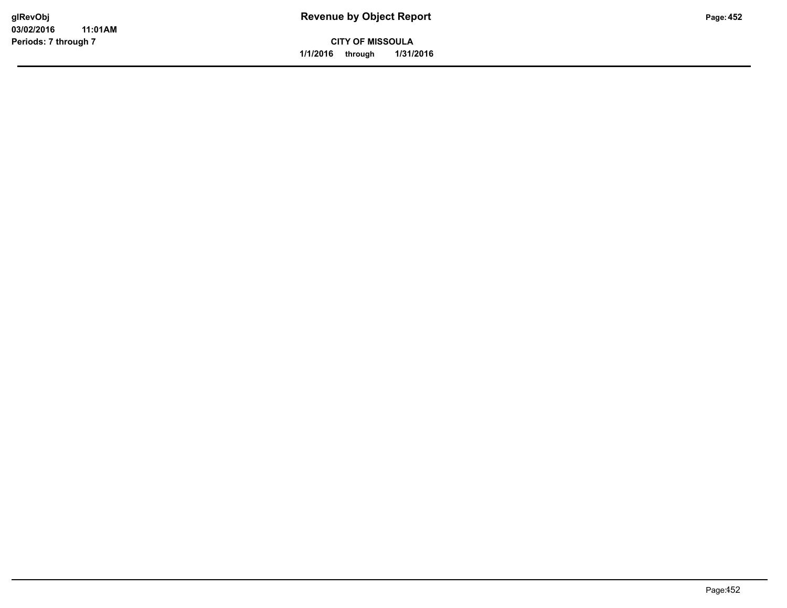**CITY OF MISSOULA 1/1/2016 through 1/31/2016**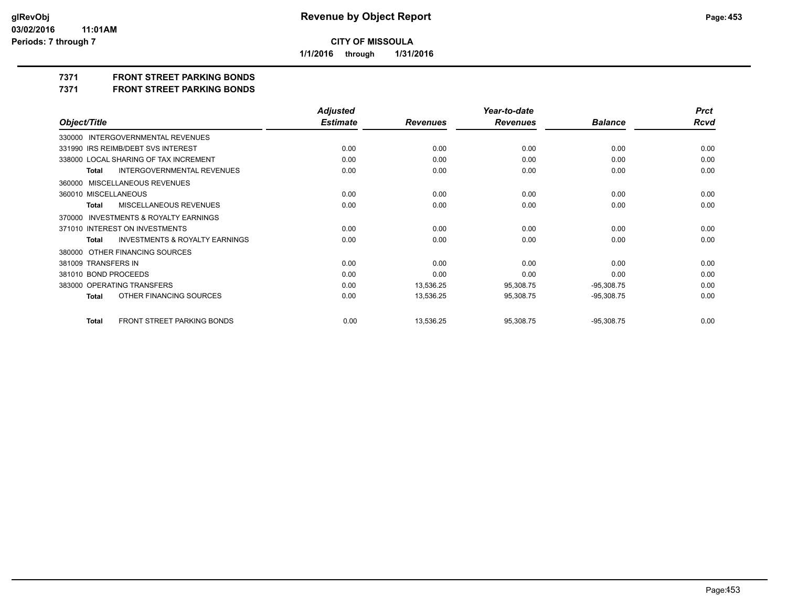**1/1/2016 through 1/31/2016**

## **7371 FRONT STREET PARKING BONDS**

**7371 FRONT STREET PARKING BONDS**

|                                                           | <b>Adjusted</b> |                 | Year-to-date    |                | <b>Prct</b> |
|-----------------------------------------------------------|-----------------|-----------------|-----------------|----------------|-------------|
| Object/Title                                              | <b>Estimate</b> | <b>Revenues</b> | <b>Revenues</b> | <b>Balance</b> | Rcvd        |
| 330000 INTERGOVERNMENTAL REVENUES                         |                 |                 |                 |                |             |
| 331990 IRS REIMB/DEBT SVS INTEREST                        | 0.00            | 0.00            | 0.00            | 0.00           | 0.00        |
| 338000 LOCAL SHARING OF TAX INCREMENT                     | 0.00            | 0.00            | 0.00            | 0.00           | 0.00        |
| <b>INTERGOVERNMENTAL REVENUES</b><br><b>Total</b>         | 0.00            | 0.00            | 0.00            | 0.00           | 0.00        |
| 360000 MISCELLANEOUS REVENUES                             |                 |                 |                 |                |             |
| 360010 MISCELLANEOUS                                      | 0.00            | 0.00            | 0.00            | 0.00           | 0.00        |
| MISCELLANEOUS REVENUES<br><b>Total</b>                    | 0.00            | 0.00            | 0.00            | 0.00           | 0.00        |
| 370000 INVESTMENTS & ROYALTY EARNINGS                     |                 |                 |                 |                |             |
| 371010 INTEREST ON INVESTMENTS                            | 0.00            | 0.00            | 0.00            | 0.00           | 0.00        |
| <b>INVESTMENTS &amp; ROYALTY EARNINGS</b><br><b>Total</b> | 0.00            | 0.00            | 0.00            | 0.00           | 0.00        |
| 380000 OTHER FINANCING SOURCES                            |                 |                 |                 |                |             |
| 381009 TRANSFERS IN                                       | 0.00            | 0.00            | 0.00            | 0.00           | 0.00        |
| 381010 BOND PROCEEDS                                      | 0.00            | 0.00            | 0.00            | 0.00           | 0.00        |
| 383000 OPERATING TRANSFERS                                | 0.00            | 13,536.25       | 95,308.75       | $-95,308.75$   | 0.00        |
| OTHER FINANCING SOURCES<br><b>Total</b>                   | 0.00            | 13,536.25       | 95,308.75       | $-95,308.75$   | 0.00        |
| FRONT STREET PARKING BONDS<br><b>Total</b>                | 0.00            | 13,536.25       | 95,308.75       | $-95,308.75$   | 0.00        |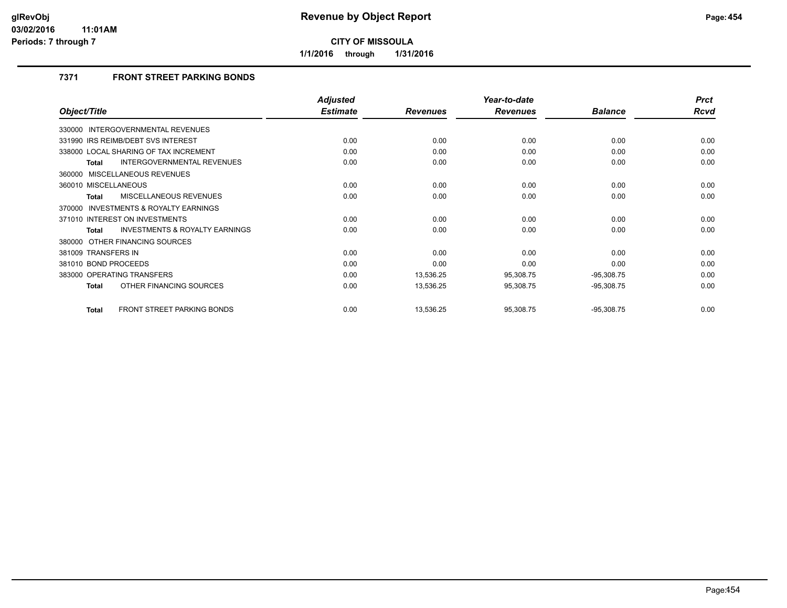**1/1/2016 through 1/31/2016**

## **7371 FRONT STREET PARKING BONDS**

|                                                           | Adjusted        |                 | Year-to-date    |                | <b>Prct</b> |
|-----------------------------------------------------------|-----------------|-----------------|-----------------|----------------|-------------|
| Object/Title                                              | <b>Estimate</b> | <b>Revenues</b> | <b>Revenues</b> | <b>Balance</b> | <b>Rcvd</b> |
| <b>INTERGOVERNMENTAL REVENUES</b><br>330000               |                 |                 |                 |                |             |
| 331990 IRS REIMB/DEBT SVS INTEREST                        | 0.00            | 0.00            | 0.00            | 0.00           | 0.00        |
| 338000 LOCAL SHARING OF TAX INCREMENT                     | 0.00            | 0.00            | 0.00            | 0.00           | 0.00        |
| INTERGOVERNMENTAL REVENUES<br><b>Total</b>                | 0.00            | 0.00            | 0.00            | 0.00           | 0.00        |
| 360000 MISCELLANEOUS REVENUES                             |                 |                 |                 |                |             |
| 360010 MISCELLANEOUS                                      | 0.00            | 0.00            | 0.00            | 0.00           | 0.00        |
| MISCELLANEOUS REVENUES<br><b>Total</b>                    | 0.00            | 0.00            | 0.00            | 0.00           | 0.00        |
| 370000 INVESTMENTS & ROYALTY EARNINGS                     |                 |                 |                 |                |             |
| 371010 INTEREST ON INVESTMENTS                            | 0.00            | 0.00            | 0.00            | 0.00           | 0.00        |
| <b>INVESTMENTS &amp; ROYALTY EARNINGS</b><br><b>Total</b> | 0.00            | 0.00            | 0.00            | 0.00           | 0.00        |
| 380000 OTHER FINANCING SOURCES                            |                 |                 |                 |                |             |
| 381009 TRANSFERS IN                                       | 0.00            | 0.00            | 0.00            | 0.00           | 0.00        |
| 381010 BOND PROCEEDS                                      | 0.00            | 0.00            | 0.00            | 0.00           | 0.00        |
| 383000 OPERATING TRANSFERS                                | 0.00            | 13,536.25       | 95,308.75       | $-95,308.75$   | 0.00        |
| OTHER FINANCING SOURCES<br><b>Total</b>                   | 0.00            | 13,536.25       | 95,308.75       | $-95,308.75$   | 0.00        |
| <b>FRONT STREET PARKING BONDS</b><br><b>Total</b>         | 0.00            | 13,536.25       | 95,308.75       | $-95,308.75$   | 0.00        |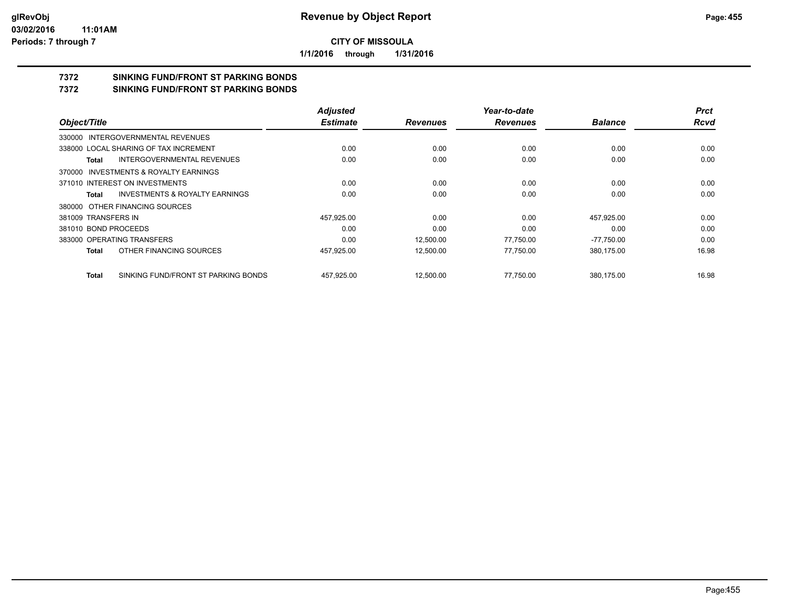**1/1/2016 through 1/31/2016**

# **7372 SINKING FUND/FRONT ST PARKING BONDS**

**7372 SINKING FUND/FRONT ST PARKING BONDS**

|                                              | <b>Adjusted</b> |                 | Year-to-date    |                | <b>Prct</b> |
|----------------------------------------------|-----------------|-----------------|-----------------|----------------|-------------|
| Object/Title                                 | <b>Estimate</b> | <b>Revenues</b> | <b>Revenues</b> | <b>Balance</b> | <b>Rcvd</b> |
| 330000 INTERGOVERNMENTAL REVENUES            |                 |                 |                 |                |             |
| 338000 LOCAL SHARING OF TAX INCREMENT        | 0.00            | 0.00            | 0.00            | 0.00           | 0.00        |
| INTERGOVERNMENTAL REVENUES<br>Total          | 0.00            | 0.00            | 0.00            | 0.00           | 0.00        |
| 370000 INVESTMENTS & ROYALTY EARNINGS        |                 |                 |                 |                |             |
| 371010 INTEREST ON INVESTMENTS               | 0.00            | 0.00            | 0.00            | 0.00           | 0.00        |
| INVESTMENTS & ROYALTY EARNINGS<br>Total      | 0.00            | 0.00            | 0.00            | 0.00           | 0.00        |
| 380000 OTHER FINANCING SOURCES               |                 |                 |                 |                |             |
| 381009 TRANSFERS IN                          | 457,925.00      | 0.00            | 0.00            | 457,925.00     | 0.00        |
| 381010 BOND PROCEEDS                         | 0.00            | 0.00            | 0.00            | 0.00           | 0.00        |
| 383000 OPERATING TRANSFERS                   | 0.00            | 12.500.00       | 77.750.00       | -77.750.00     | 0.00        |
| OTHER FINANCING SOURCES<br>Total             | 457,925.00      | 12,500.00       | 77,750.00       | 380,175.00     | 16.98       |
| SINKING FUND/FRONT ST PARKING BONDS<br>Total | 457.925.00      | 12.500.00       | 77.750.00       | 380.175.00     | 16.98       |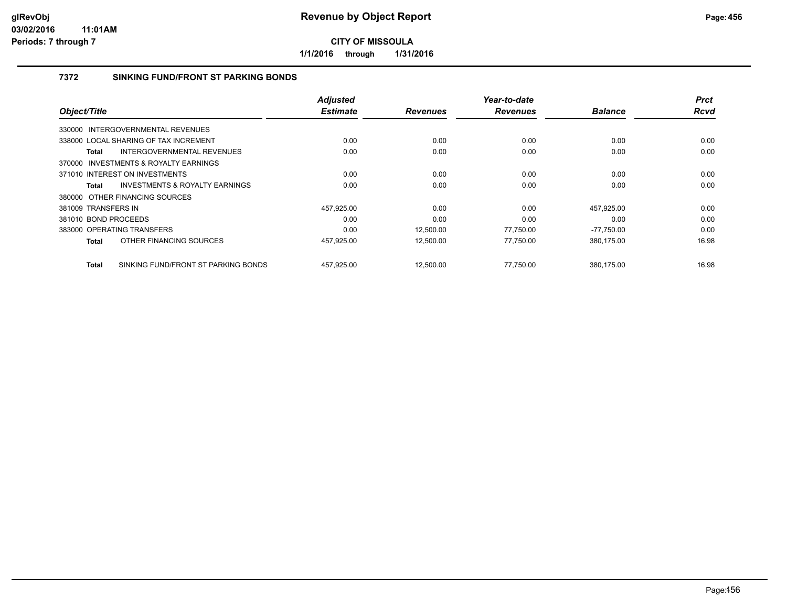**1/1/2016 through 1/31/2016**

#### **7372 SINKING FUND/FRONT ST PARKING BONDS**

| Object/Title         |                                       | <b>Adjusted</b><br><b>Estimate</b> | <b>Revenues</b> | Year-to-date<br><b>Revenues</b> | <b>Balance</b> | <b>Prct</b><br><b>Rcvd</b> |
|----------------------|---------------------------------------|------------------------------------|-----------------|---------------------------------|----------------|----------------------------|
|                      |                                       |                                    |                 |                                 |                |                            |
|                      | 330000 INTERGOVERNMENTAL REVENUES     |                                    |                 |                                 |                |                            |
|                      | 338000 LOCAL SHARING OF TAX INCREMENT | 0.00                               | 0.00            | 0.00                            | 0.00           | 0.00                       |
| Total                | INTERGOVERNMENTAL REVENUES            | 0.00                               | 0.00            | 0.00                            | 0.00           | 0.00                       |
|                      | 370000 INVESTMENTS & ROYALTY EARNINGS |                                    |                 |                                 |                |                            |
|                      | 371010 INTEREST ON INVESTMENTS        | 0.00                               | 0.00            | 0.00                            | 0.00           | 0.00                       |
| Total                | INVESTMENTS & ROYALTY EARNINGS        | 0.00                               | 0.00            | 0.00                            | 0.00           | 0.00                       |
|                      | 380000 OTHER FINANCING SOURCES        |                                    |                 |                                 |                |                            |
| 381009 TRANSFERS IN  |                                       | 457,925.00                         | 0.00            | 0.00                            | 457.925.00     | 0.00                       |
| 381010 BOND PROCEEDS |                                       | 0.00                               | 0.00            | 0.00                            | 0.00           | 0.00                       |
|                      | 383000 OPERATING TRANSFERS            | 0.00                               | 12,500.00       | 77,750.00                       | -77,750.00     | 0.00                       |
| Total                | OTHER FINANCING SOURCES               | 457,925.00                         | 12,500.00       | 77,750.00                       | 380,175.00     | 16.98                      |
| <b>Total</b>         | SINKING FUND/FRONT ST PARKING BONDS   | 457,925.00                         | 12.500.00       | 77.750.00                       | 380.175.00     | 16.98                      |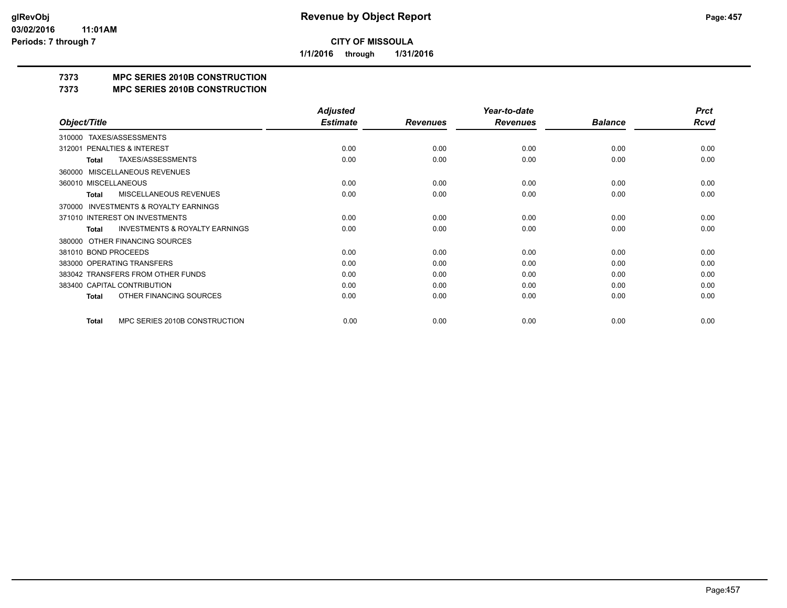**1/1/2016 through 1/31/2016**

## **7373 MPC SERIES 2010B CONSTRUCTION**

#### **7373 MPC SERIES 2010B CONSTRUCTION**

|                                                     | <b>Adjusted</b> |                 | Year-to-date    |                | <b>Prct</b> |
|-----------------------------------------------------|-----------------|-----------------|-----------------|----------------|-------------|
| Object/Title                                        | <b>Estimate</b> | <b>Revenues</b> | <b>Revenues</b> | <b>Balance</b> | <b>Rcvd</b> |
| TAXES/ASSESSMENTS<br>310000                         |                 |                 |                 |                |             |
| <b>PENALTIES &amp; INTEREST</b><br>312001           | 0.00            | 0.00            | 0.00            | 0.00           | 0.00        |
| <b>TAXES/ASSESSMENTS</b><br>Total                   | 0.00            | 0.00            | 0.00            | 0.00           | 0.00        |
| <b>MISCELLANEOUS REVENUES</b><br>360000             |                 |                 |                 |                |             |
| 360010 MISCELLANEOUS                                | 0.00            | 0.00            | 0.00            | 0.00           | 0.00        |
| MISCELLANEOUS REVENUES<br>Total                     | 0.00            | 0.00            | 0.00            | 0.00           | 0.00        |
| <b>INVESTMENTS &amp; ROYALTY EARNINGS</b><br>370000 |                 |                 |                 |                |             |
| 371010 INTEREST ON INVESTMENTS                      | 0.00            | 0.00            | 0.00            | 0.00           | 0.00        |
| <b>INVESTMENTS &amp; ROYALTY EARNINGS</b><br>Total  | 0.00            | 0.00            | 0.00            | 0.00           | 0.00        |
| OTHER FINANCING SOURCES<br>380000                   |                 |                 |                 |                |             |
| 381010 BOND PROCEEDS                                | 0.00            | 0.00            | 0.00            | 0.00           | 0.00        |
| 383000 OPERATING TRANSFERS                          | 0.00            | 0.00            | 0.00            | 0.00           | 0.00        |
| 383042 TRANSFERS FROM OTHER FUNDS                   | 0.00            | 0.00            | 0.00            | 0.00           | 0.00        |
| 383400 CAPITAL CONTRIBUTION                         | 0.00            | 0.00            | 0.00            | 0.00           | 0.00        |
| OTHER FINANCING SOURCES<br>Total                    | 0.00            | 0.00            | 0.00            | 0.00           | 0.00        |
| MPC SERIES 2010B CONSTRUCTION<br>Total              | 0.00            | 0.00            | 0.00            | 0.00           | 0.00        |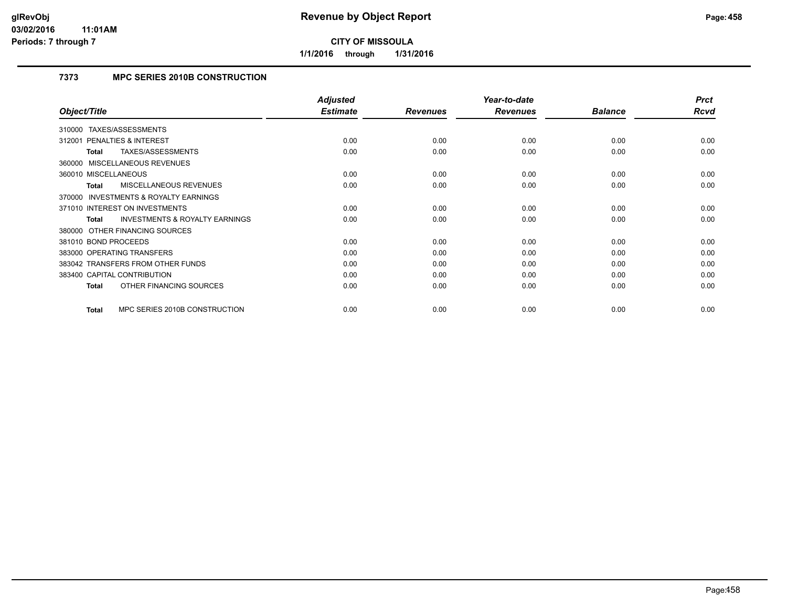**1/1/2016 through 1/31/2016**

## **7373 MPC SERIES 2010B CONSTRUCTION**

|                                                           | <b>Adjusted</b> |                 | Year-to-date    |                | <b>Prct</b> |
|-----------------------------------------------------------|-----------------|-----------------|-----------------|----------------|-------------|
| Object/Title                                              | <b>Estimate</b> | <b>Revenues</b> | <b>Revenues</b> | <b>Balance</b> | Rcvd        |
| TAXES/ASSESSMENTS<br>310000                               |                 |                 |                 |                |             |
| <b>PENALTIES &amp; INTEREST</b><br>312001                 | 0.00            | 0.00            | 0.00            | 0.00           | 0.00        |
| TAXES/ASSESSMENTS<br>Total                                | 0.00            | 0.00            | 0.00            | 0.00           | 0.00        |
| 360000 MISCELLANEOUS REVENUES                             |                 |                 |                 |                |             |
| 360010 MISCELLANEOUS                                      | 0.00            | 0.00            | 0.00            | 0.00           | 0.00        |
| <b>MISCELLANEOUS REVENUES</b><br><b>Total</b>             | 0.00            | 0.00            | 0.00            | 0.00           | 0.00        |
| <b>INVESTMENTS &amp; ROYALTY EARNINGS</b><br>370000       |                 |                 |                 |                |             |
| 371010 INTEREST ON INVESTMENTS                            | 0.00            | 0.00            | 0.00            | 0.00           | 0.00        |
| <b>INVESTMENTS &amp; ROYALTY EARNINGS</b><br><b>Total</b> | 0.00            | 0.00            | 0.00            | 0.00           | 0.00        |
| 380000 OTHER FINANCING SOURCES                            |                 |                 |                 |                |             |
| 381010 BOND PROCEEDS                                      | 0.00            | 0.00            | 0.00            | 0.00           | 0.00        |
| 383000 OPERATING TRANSFERS                                | 0.00            | 0.00            | 0.00            | 0.00           | 0.00        |
| 383042 TRANSFERS FROM OTHER FUNDS                         | 0.00            | 0.00            | 0.00            | 0.00           | 0.00        |
| 383400 CAPITAL CONTRIBUTION                               | 0.00            | 0.00            | 0.00            | 0.00           | 0.00        |
| OTHER FINANCING SOURCES<br><b>Total</b>                   | 0.00            | 0.00            | 0.00            | 0.00           | 0.00        |
| MPC SERIES 2010B CONSTRUCTION<br><b>Total</b>             | 0.00            | 0.00            | 0.00            | 0.00           | 0.00        |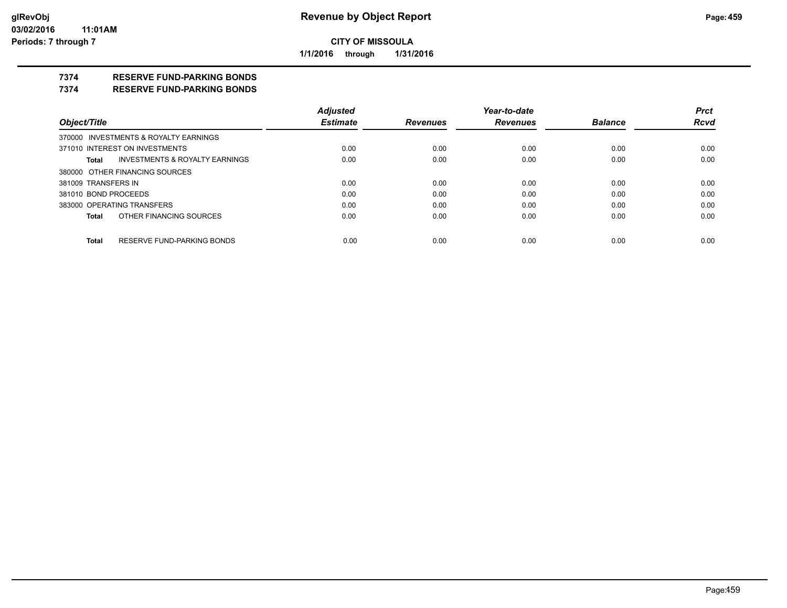**1/1/2016 through 1/31/2016**

## **7374 RESERVE FUND-PARKING BONDS**

#### **7374 RESERVE FUND-PARKING BONDS**

|                                                    | <b>Adjusted</b> |                 | Year-to-date    |                | <b>Prct</b> |
|----------------------------------------------------|-----------------|-----------------|-----------------|----------------|-------------|
| Object/Title                                       | <b>Estimate</b> | <b>Revenues</b> | <b>Revenues</b> | <b>Balance</b> | <b>Rcvd</b> |
| 370000 INVESTMENTS & ROYALTY EARNINGS              |                 |                 |                 |                |             |
| 371010 INTEREST ON INVESTMENTS                     | 0.00            | 0.00            | 0.00            | 0.00           | 0.00        |
| <b>INVESTMENTS &amp; ROYALTY EARNINGS</b><br>Total | 0.00            | 0.00            | 0.00            | 0.00           | 0.00        |
| 380000 OTHER FINANCING SOURCES                     |                 |                 |                 |                |             |
| 381009 TRANSFERS IN                                | 0.00            | 0.00            | 0.00            | 0.00           | 0.00        |
| 381010 BOND PROCEEDS                               | 0.00            | 0.00            | 0.00            | 0.00           | 0.00        |
| 383000 OPERATING TRANSFERS                         | 0.00            | 0.00            | 0.00            | 0.00           | 0.00        |
| OTHER FINANCING SOURCES<br>Total                   | 0.00            | 0.00            | 0.00            | 0.00           | 0.00        |
| RESERVE FUND-PARKING BONDS                         |                 |                 |                 |                |             |
| Total                                              | 0.00            | 0.00            | 0.00            | 0.00           | 0.00        |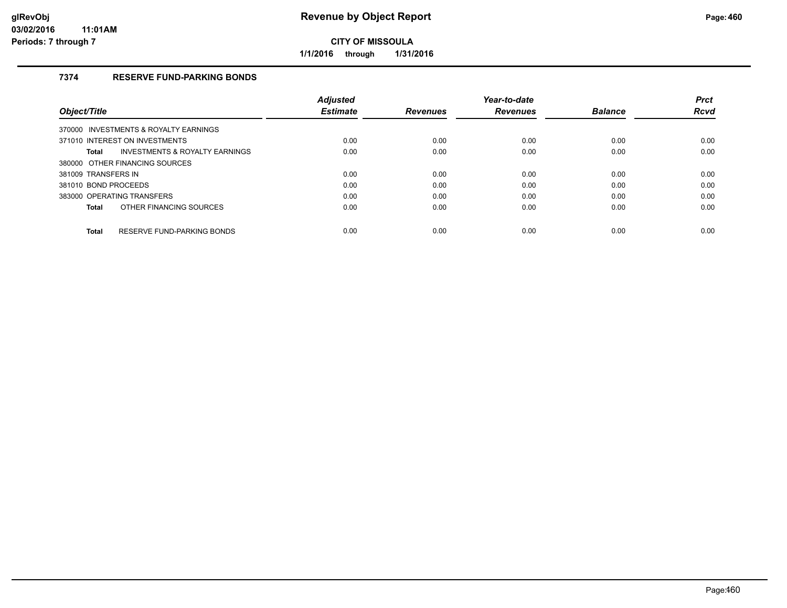**1/1/2016 through 1/31/2016**

## **7374 RESERVE FUND-PARKING BONDS**

|                                                    | <b>Adiusted</b> |                 | Year-to-date    |                | <b>Prct</b> |
|----------------------------------------------------|-----------------|-----------------|-----------------|----------------|-------------|
| Object/Title                                       | <b>Estimate</b> | <b>Revenues</b> | <b>Revenues</b> | <b>Balance</b> | <b>Rcvd</b> |
| 370000 INVESTMENTS & ROYALTY EARNINGS              |                 |                 |                 |                |             |
| 371010 INTEREST ON INVESTMENTS                     | 0.00            | 0.00            | 0.00            | 0.00           | 0.00        |
| <b>INVESTMENTS &amp; ROYALTY EARNINGS</b><br>Total | 0.00            | 0.00            | 0.00            | 0.00           | 0.00        |
| 380000 OTHER FINANCING SOURCES                     |                 |                 |                 |                |             |
| 381009 TRANSFERS IN                                | 0.00            | 0.00            | 0.00            | 0.00           | 0.00        |
| 381010 BOND PROCEEDS                               | 0.00            | 0.00            | 0.00            | 0.00           | 0.00        |
| 383000 OPERATING TRANSFERS                         | 0.00            | 0.00            | 0.00            | 0.00           | 0.00        |
| OTHER FINANCING SOURCES<br>Total                   | 0.00            | 0.00            | 0.00            | 0.00           | 0.00        |
| RESERVE FUND-PARKING BONDS<br>Total                | 0.00            | 0.00            | 0.00            | 0.00           | 0.00        |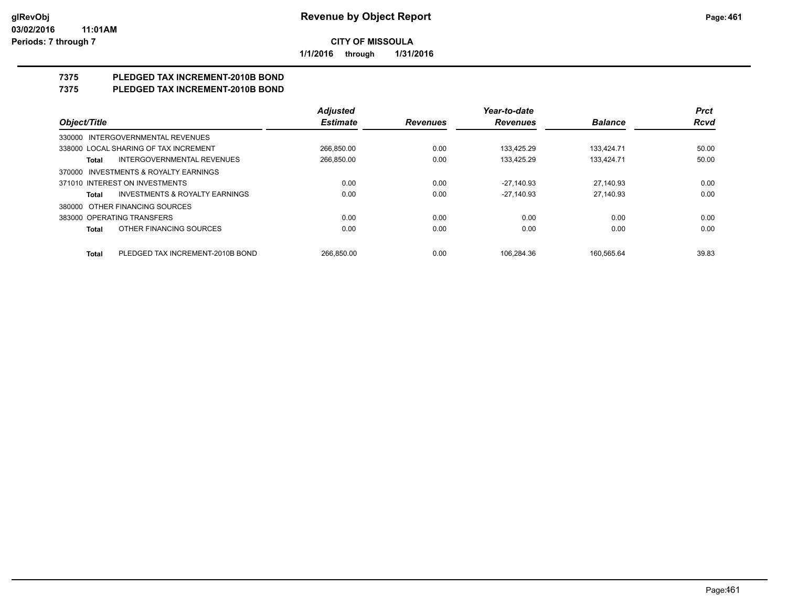**1/1/2016 through 1/31/2016**

# **7375 PLEDGED TAX INCREMENT-2010B BOND**

## **7375 PLEDGED TAX INCREMENT-2010B BOND**

|                                           | <b>Adjusted</b> |                 | Year-to-date    |                | <b>Prct</b> |
|-------------------------------------------|-----------------|-----------------|-----------------|----------------|-------------|
| Object/Title                              | <b>Estimate</b> | <b>Revenues</b> | <b>Revenues</b> | <b>Balance</b> | <b>Rcvd</b> |
| 330000 INTERGOVERNMENTAL REVENUES         |                 |                 |                 |                |             |
| 338000 LOCAL SHARING OF TAX INCREMENT     | 266,850.00      | 0.00            | 133.425.29      | 133.424.71     | 50.00       |
| INTERGOVERNMENTAL REVENUES<br>Total       | 266,850.00      | 0.00            | 133.425.29      | 133.424.71     | 50.00       |
| 370000 INVESTMENTS & ROYALTY EARNINGS     |                 |                 |                 |                |             |
| 371010 INTEREST ON INVESTMENTS            | 0.00            | 0.00            | $-27.140.93$    | 27.140.93      | 0.00        |
| INVESTMENTS & ROYALTY EARNINGS<br>Total   | 0.00            | 0.00            | $-27.140.93$    | 27.140.93      | 0.00        |
| 380000 OTHER FINANCING SOURCES            |                 |                 |                 |                |             |
| 383000 OPERATING TRANSFERS                | 0.00            | 0.00            | 0.00            | 0.00           | 0.00        |
| OTHER FINANCING SOURCES<br><b>Total</b>   | 0.00            | 0.00            | 0.00            | 0.00           | 0.00        |
| PLEDGED TAX INCREMENT-2010B BOND<br>Total | 266.850.00      | 0.00            | 106.284.36      | 160.565.64     | 39.83       |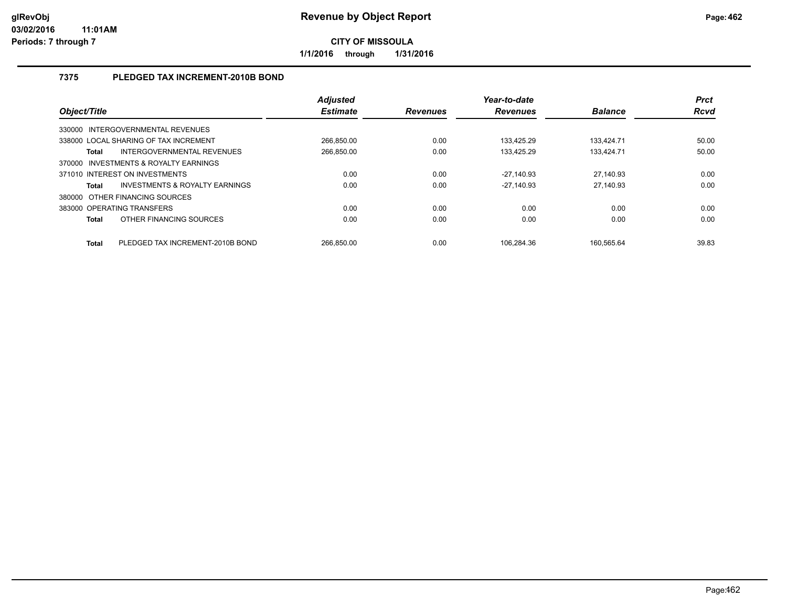**1/1/2016 through 1/31/2016**

## **7375 PLEDGED TAX INCREMENT-2010B BOND**

|                                                  | <b>Adjusted</b> |                 | Year-to-date    |                | <b>Prct</b> |
|--------------------------------------------------|-----------------|-----------------|-----------------|----------------|-------------|
| Object/Title                                     | <b>Estimate</b> | <b>Revenues</b> | <b>Revenues</b> | <b>Balance</b> | <b>Rcvd</b> |
| 330000 INTERGOVERNMENTAL REVENUES                |                 |                 |                 |                |             |
| 338000 LOCAL SHARING OF TAX INCREMENT            | 266.850.00      | 0.00            | 133.425.29      | 133.424.71     | 50.00       |
| INTERGOVERNMENTAL REVENUES<br>Total              | 266,850.00      | 0.00            | 133.425.29      | 133.424.71     | 50.00       |
| INVESTMENTS & ROYALTY EARNINGS<br>370000         |                 |                 |                 |                |             |
| 371010 INTEREST ON INVESTMENTS                   | 0.00            | 0.00            | $-27.140.93$    | 27.140.93      | 0.00        |
| INVESTMENTS & ROYALTY EARNINGS<br>Total          | 0.00            | 0.00            | $-27.140.93$    | 27.140.93      | 0.00        |
| OTHER FINANCING SOURCES<br>380000                |                 |                 |                 |                |             |
| 383000 OPERATING TRANSFERS                       | 0.00            | 0.00            | 0.00            | 0.00           | 0.00        |
| OTHER FINANCING SOURCES<br><b>Total</b>          | 0.00            | 0.00            | 0.00            | 0.00           | 0.00        |
| PLEDGED TAX INCREMENT-2010B BOND<br><b>Total</b> | 266.850.00      | 0.00            | 106.284.36      | 160.565.64     | 39.83       |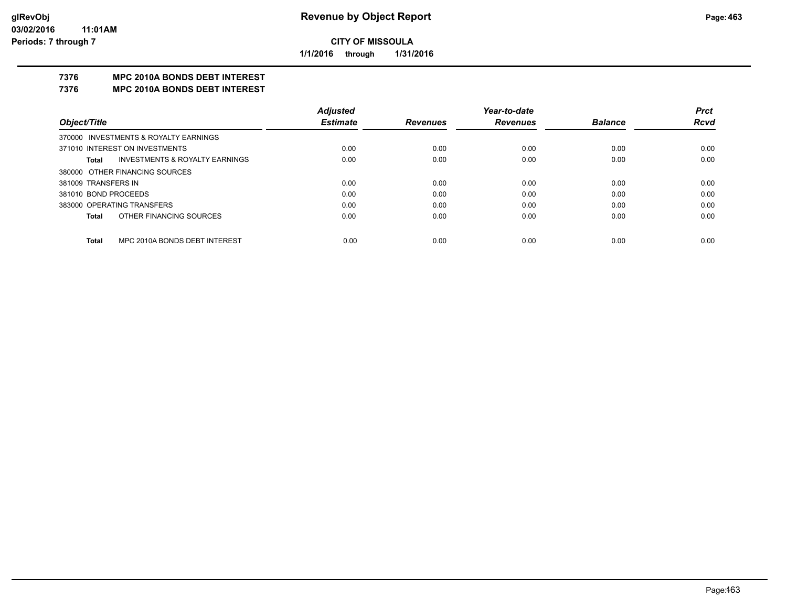**1/1/2016 through 1/31/2016**

## **7376 MPC 2010A BONDS DEBT INTEREST**

#### **7376 MPC 2010A BONDS DEBT INTEREST**

|                      |                                           | <b>Adjusted</b> |                 | Year-to-date    |                | <b>Prct</b> |
|----------------------|-------------------------------------------|-----------------|-----------------|-----------------|----------------|-------------|
| Object/Title         |                                           | <b>Estimate</b> | <b>Revenues</b> | <b>Revenues</b> | <b>Balance</b> | <b>Rcvd</b> |
|                      | 370000 INVESTMENTS & ROYALTY EARNINGS     |                 |                 |                 |                |             |
|                      | 371010 INTEREST ON INVESTMENTS            | 0.00            | 0.00            | 0.00            | 0.00           | 0.00        |
| Total                | <b>INVESTMENTS &amp; ROYALTY EARNINGS</b> | 0.00            | 0.00            | 0.00            | 0.00           | 0.00        |
|                      | 380000 OTHER FINANCING SOURCES            |                 |                 |                 |                |             |
| 381009 TRANSFERS IN  |                                           | 0.00            | 0.00            | 0.00            | 0.00           | 0.00        |
| 381010 BOND PROCEEDS |                                           | 0.00            | 0.00            | 0.00            | 0.00           | 0.00        |
|                      | 383000 OPERATING TRANSFERS                | 0.00            | 0.00            | 0.00            | 0.00           | 0.00        |
| Total                | OTHER FINANCING SOURCES                   | 0.00            | 0.00            | 0.00            | 0.00           | 0.00        |
|                      |                                           |                 |                 |                 |                |             |
| Total                | MPC 2010A BONDS DEBT INTEREST             | 0.00            | 0.00            | 0.00            | 0.00           | 0.00        |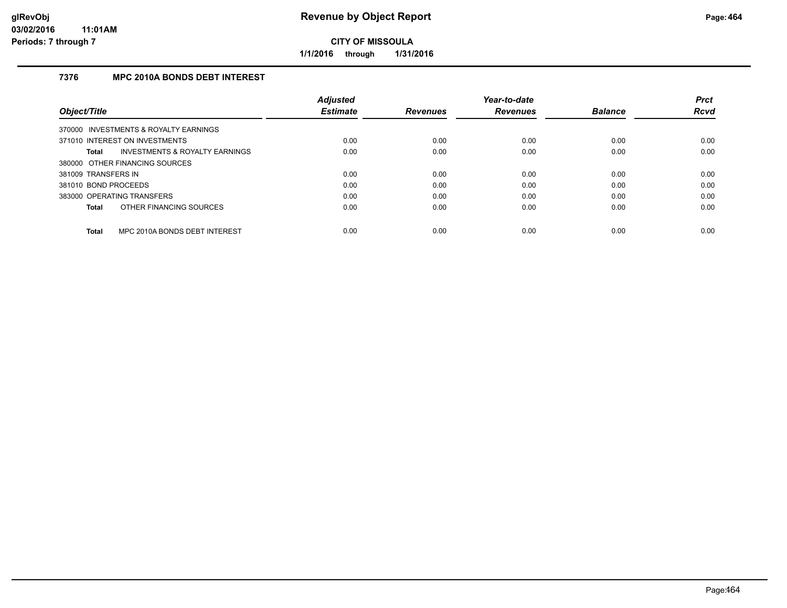**1/1/2016 through 1/31/2016**

## **7376 MPC 2010A BONDS DEBT INTEREST**

|                                                           | <b>Adjusted</b> |                 | Year-to-date    |                | <b>Prct</b> |
|-----------------------------------------------------------|-----------------|-----------------|-----------------|----------------|-------------|
| Object/Title                                              | <b>Estimate</b> | <b>Revenues</b> | <b>Revenues</b> | <b>Balance</b> | <b>Rcvd</b> |
| 370000 INVESTMENTS & ROYALTY EARNINGS                     |                 |                 |                 |                |             |
| 371010 INTEREST ON INVESTMENTS                            | 0.00            | 0.00            | 0.00            | 0.00           | 0.00        |
| <b>INVESTMENTS &amp; ROYALTY EARNINGS</b><br><b>Total</b> | 0.00            | 0.00            | 0.00            | 0.00           | 0.00        |
| 380000 OTHER FINANCING SOURCES                            |                 |                 |                 |                |             |
| 381009 TRANSFERS IN                                       | 0.00            | 0.00            | 0.00            | 0.00           | 0.00        |
| 381010 BOND PROCEEDS                                      | 0.00            | 0.00            | 0.00            | 0.00           | 0.00        |
| 383000 OPERATING TRANSFERS                                | 0.00            | 0.00            | 0.00            | 0.00           | 0.00        |
| OTHER FINANCING SOURCES<br>Total                          | 0.00            | 0.00            | 0.00            | 0.00           | 0.00        |
|                                                           |                 |                 |                 |                |             |
| MPC 2010A BONDS DEBT INTEREST<br><b>Total</b>             | 0.00            | 0.00            | 0.00            | 0.00           | 0.00        |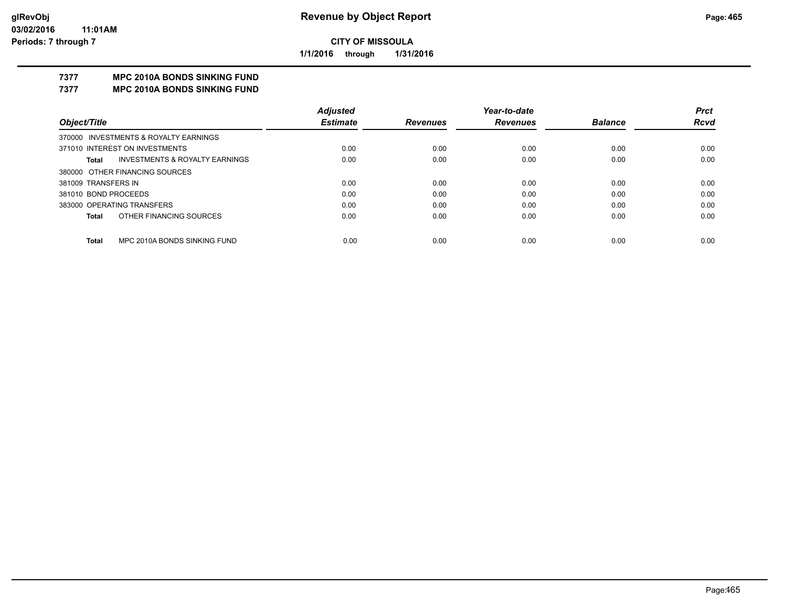**1/1/2016 through 1/31/2016**

## **7377 MPC 2010A BONDS SINKING FUND**

**7377 MPC 2010A BONDS SINKING FUND**

|                      |                                           | <b>Adjusted</b> |                 | Year-to-date    |                | <b>Prct</b> |
|----------------------|-------------------------------------------|-----------------|-----------------|-----------------|----------------|-------------|
| Object/Title         |                                           | <b>Estimate</b> | <b>Revenues</b> | <b>Revenues</b> | <b>Balance</b> | Rcvd        |
|                      | 370000 INVESTMENTS & ROYALTY EARNINGS     |                 |                 |                 |                |             |
|                      | 371010 INTEREST ON INVESTMENTS            | 0.00            | 0.00            | 0.00            | 0.00           | 0.00        |
| Total                | <b>INVESTMENTS &amp; ROYALTY EARNINGS</b> | 0.00            | 0.00            | 0.00            | 0.00           | 0.00        |
|                      | 380000 OTHER FINANCING SOURCES            |                 |                 |                 |                |             |
| 381009 TRANSFERS IN  |                                           | 0.00            | 0.00            | 0.00            | 0.00           | 0.00        |
| 381010 BOND PROCEEDS |                                           | 0.00            | 0.00            | 0.00            | 0.00           | 0.00        |
|                      | 383000 OPERATING TRANSFERS                | 0.00            | 0.00            | 0.00            | 0.00           | 0.00        |
| Total                | OTHER FINANCING SOURCES                   | 0.00            | 0.00            | 0.00            | 0.00           | 0.00        |
| <b>Total</b>         | MPC 2010A BONDS SINKING FUND              | 0.00            | 0.00            | 0.00            | 0.00           | 0.00        |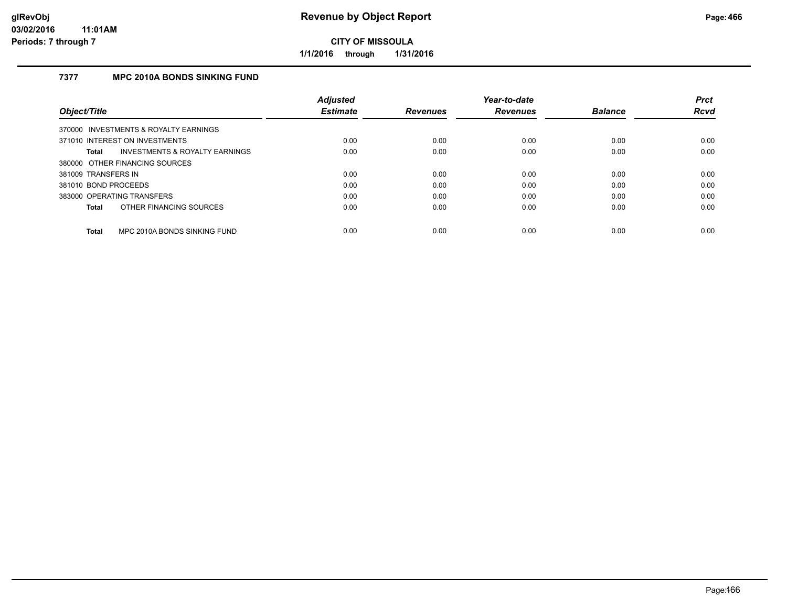**1/1/2016 through 1/31/2016**

## **7377 MPC 2010A BONDS SINKING FUND**

|                            |                                           | Adjusted        |                 | Year-to-date    |                | <b>Prct</b> |
|----------------------------|-------------------------------------------|-----------------|-----------------|-----------------|----------------|-------------|
| Object/Title               |                                           | <b>Estimate</b> | <b>Revenues</b> | <b>Revenues</b> | <b>Balance</b> | <b>Rcvd</b> |
|                            | 370000 INVESTMENTS & ROYALTY EARNINGS     |                 |                 |                 |                |             |
|                            | 371010 INTEREST ON INVESTMENTS            | 0.00            | 0.00            | 0.00            | 0.00           | 0.00        |
| Total                      | <b>INVESTMENTS &amp; ROYALTY EARNINGS</b> | 0.00            | 0.00            | 0.00            | 0.00           | 0.00        |
|                            | 380000 OTHER FINANCING SOURCES            |                 |                 |                 |                |             |
| 381009 TRANSFERS IN        |                                           | 0.00            | 0.00            | 0.00            | 0.00           | 0.00        |
| 381010 BOND PROCEEDS       |                                           | 0.00            | 0.00            | 0.00            | 0.00           | 0.00        |
| 383000 OPERATING TRANSFERS |                                           | 0.00            | 0.00            | 0.00            | 0.00           | 0.00        |
| Total                      | OTHER FINANCING SOURCES                   | 0.00            | 0.00            | 0.00            | 0.00           | 0.00        |
| <b>Total</b>               | MPC 2010A BONDS SINKING FUND              | 0.00            | 0.00            | 0.00            | 0.00           | 0.00        |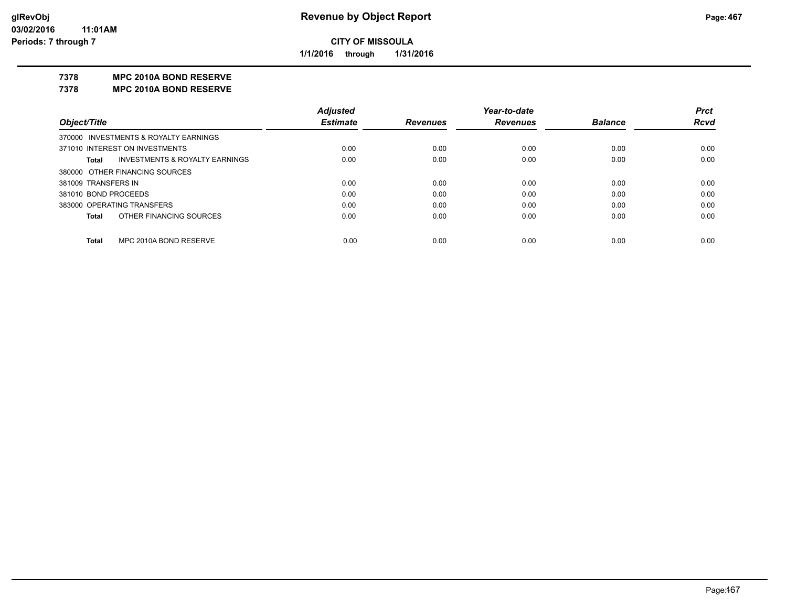**1/1/2016 through 1/31/2016**

#### **7378 MPC 2010A BOND RESERVE**

**7378 MPC 2010A BOND RESERVE**

|                                         | <b>Adjusted</b> |                 | Year-to-date    |                | <b>Prct</b> |
|-----------------------------------------|-----------------|-----------------|-----------------|----------------|-------------|
| Object/Title                            | <b>Estimate</b> | <b>Revenues</b> | <b>Revenues</b> | <b>Balance</b> | <b>Rcvd</b> |
| 370000 INVESTMENTS & ROYALTY EARNINGS   |                 |                 |                 |                |             |
| 371010 INTEREST ON INVESTMENTS          | 0.00            | 0.00            | 0.00            | 0.00           | 0.00        |
| INVESTMENTS & ROYALTY EARNINGS<br>Total | 0.00            | 0.00            | 0.00            | 0.00           | 0.00        |
| 380000 OTHER FINANCING SOURCES          |                 |                 |                 |                |             |
| 381009 TRANSFERS IN                     | 0.00            | 0.00            | 0.00            | 0.00           | 0.00        |
| 381010 BOND PROCEEDS                    | 0.00            | 0.00            | 0.00            | 0.00           | 0.00        |
| 383000 OPERATING TRANSFERS              | 0.00            | 0.00            | 0.00            | 0.00           | 0.00        |
| OTHER FINANCING SOURCES<br><b>Total</b> | 0.00            | 0.00            | 0.00            | 0.00           | 0.00        |
|                                         |                 |                 |                 |                |             |
| MPC 2010A BOND RESERVE<br><b>Total</b>  | 0.00            | 0.00            | 0.00            | 0.00           | 0.00        |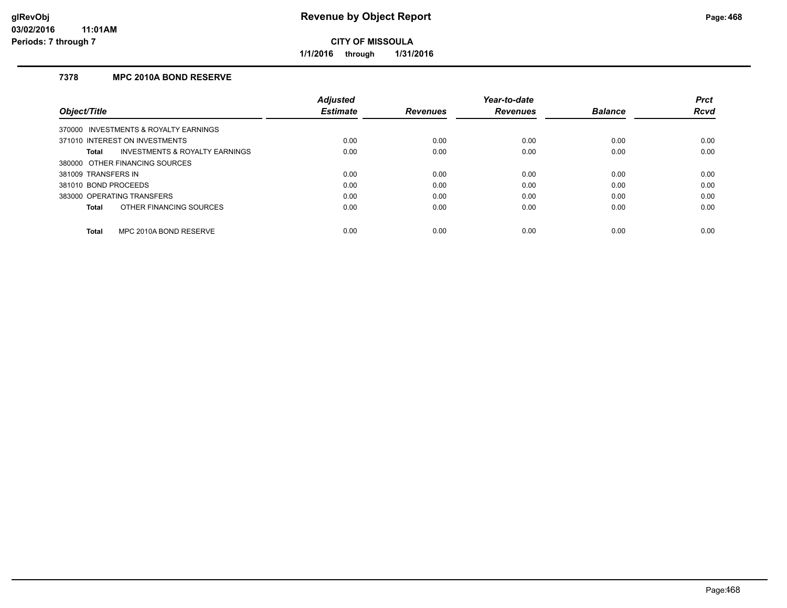**1/1/2016 through 1/31/2016**

## **7378 MPC 2010A BOND RESERVE**

|                                                | <b>Adjusted</b> |                 | Year-to-date    |                | <b>Prct</b> |
|------------------------------------------------|-----------------|-----------------|-----------------|----------------|-------------|
| Object/Title                                   | <b>Estimate</b> | <b>Revenues</b> | <b>Revenues</b> | <b>Balance</b> | <b>Rcvd</b> |
| 370000 INVESTMENTS & ROYALTY EARNINGS          |                 |                 |                 |                |             |
| 371010 INTEREST ON INVESTMENTS                 | 0.00            | 0.00            | 0.00            | 0.00           | 0.00        |
| INVESTMENTS & ROYALTY EARNINGS<br><b>Total</b> | 0.00            | 0.00            | 0.00            | 0.00           | 0.00        |
| 380000 OTHER FINANCING SOURCES                 |                 |                 |                 |                |             |
| 381009 TRANSFERS IN                            | 0.00            | 0.00            | 0.00            | 0.00           | 0.00        |
| 381010 BOND PROCEEDS                           | 0.00            | 0.00            | 0.00            | 0.00           | 0.00        |
| 383000 OPERATING TRANSFERS                     | 0.00            | 0.00            | 0.00            | 0.00           | 0.00        |
| OTHER FINANCING SOURCES<br><b>Total</b>        | 0.00            | 0.00            | 0.00            | 0.00           | 0.00        |
| MPC 2010A BOND RESERVE<br><b>Total</b>         | 0.00            | 0.00            | 0.00            | 0.00           | 0.00        |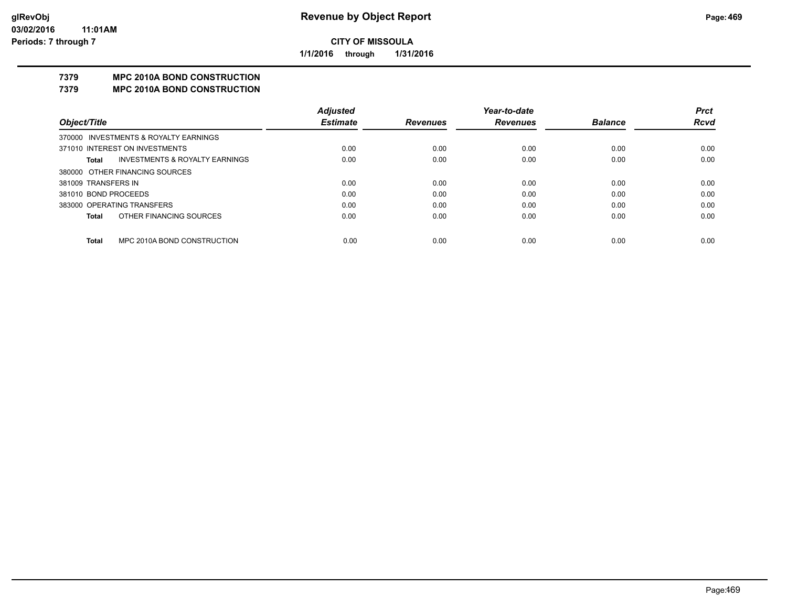**1/1/2016 through 1/31/2016**

## **7379 MPC 2010A BOND CONSTRUCTION**

#### **7379 MPC 2010A BOND CONSTRUCTION**

|                      |                                       | <b>Adjusted</b> |                 | Year-to-date    |                | <b>Prct</b> |
|----------------------|---------------------------------------|-----------------|-----------------|-----------------|----------------|-------------|
| Object/Title         |                                       | <b>Estimate</b> | <b>Revenues</b> | <b>Revenues</b> | <b>Balance</b> | <b>Rcvd</b> |
|                      | 370000 INVESTMENTS & ROYALTY EARNINGS |                 |                 |                 |                |             |
|                      | 371010 INTEREST ON INVESTMENTS        | 0.00            | 0.00            | 0.00            | 0.00           | 0.00        |
| Total                | INVESTMENTS & ROYALTY EARNINGS        | 0.00            | 0.00            | 0.00            | 0.00           | 0.00        |
|                      | 380000 OTHER FINANCING SOURCES        |                 |                 |                 |                |             |
| 381009 TRANSFERS IN  |                                       | 0.00            | 0.00            | 0.00            | 0.00           | 0.00        |
| 381010 BOND PROCEEDS |                                       | 0.00            | 0.00            | 0.00            | 0.00           | 0.00        |
|                      | 383000 OPERATING TRANSFERS            | 0.00            | 0.00            | 0.00            | 0.00           | 0.00        |
| Total                | OTHER FINANCING SOURCES               | 0.00            | 0.00            | 0.00            | 0.00           | 0.00        |
|                      |                                       |                 |                 |                 |                |             |
| Total                | MPC 2010A BOND CONSTRUCTION           | 0.00            | 0.00            | 0.00            | 0.00           | 0.00        |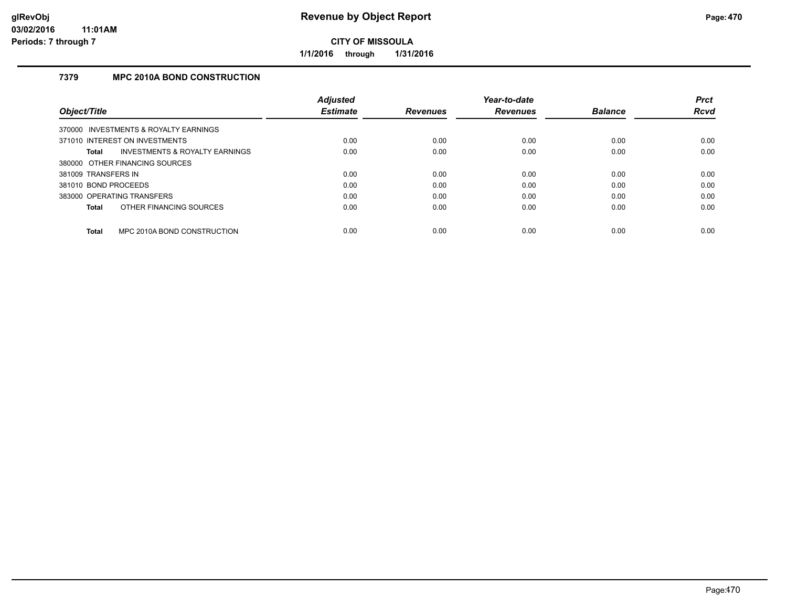**1/1/2016 through 1/31/2016**

## **7379 MPC 2010A BOND CONSTRUCTION**

|                                       |                                | <b>Adjusted</b> |                 | Year-to-date    |                | <b>Prct</b> |
|---------------------------------------|--------------------------------|-----------------|-----------------|-----------------|----------------|-------------|
| Object/Title                          |                                | <b>Estimate</b> | <b>Revenues</b> | <b>Revenues</b> | <b>Balance</b> | <b>Rcvd</b> |
| 370000 INVESTMENTS & ROYALTY EARNINGS |                                |                 |                 |                 |                |             |
| 371010 INTEREST ON INVESTMENTS        |                                | 0.00            | 0.00            | 0.00            | 0.00           | 0.00        |
| Total                                 | INVESTMENTS & ROYALTY EARNINGS | 0.00            | 0.00            | 0.00            | 0.00           | 0.00        |
| 380000 OTHER FINANCING SOURCES        |                                |                 |                 |                 |                |             |
| 381009 TRANSFERS IN                   |                                | 0.00            | 0.00            | 0.00            | 0.00           | 0.00        |
| 381010 BOND PROCEEDS                  |                                | 0.00            | 0.00            | 0.00            | 0.00           | 0.00        |
| 383000 OPERATING TRANSFERS            |                                | 0.00            | 0.00            | 0.00            | 0.00           | 0.00        |
| OTHER FINANCING SOURCES<br>Total      |                                | 0.00            | 0.00            | 0.00            | 0.00           | 0.00        |
| <b>Total</b>                          | MPC 2010A BOND CONSTRUCTION    | 0.00            | 0.00            | 0.00            | 0.00           | 0.00        |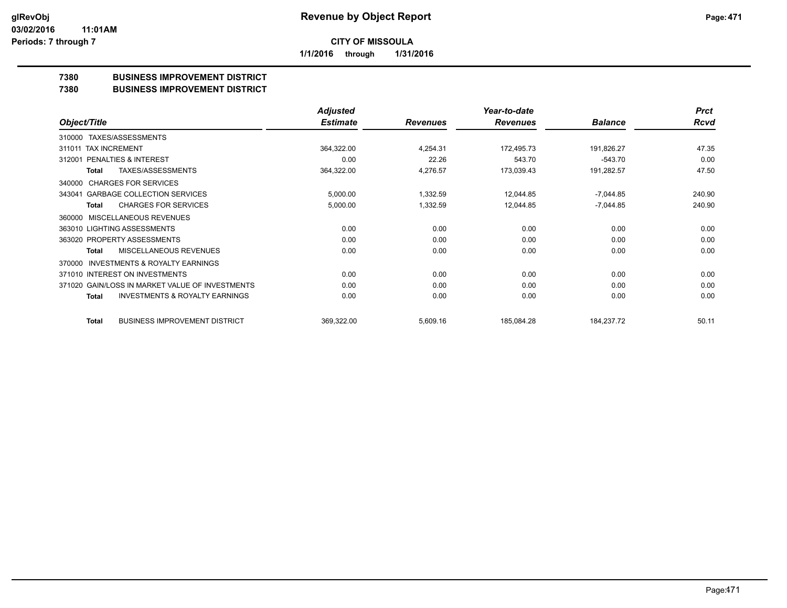**1/1/2016 through 1/31/2016**

## **7380 BUSINESS IMPROVEMENT DISTRICT**

#### **7380 BUSINESS IMPROVEMENT DISTRICT**

|                                                     | <b>Adjusted</b> |                 | Year-to-date    |                | <b>Prct</b> |
|-----------------------------------------------------|-----------------|-----------------|-----------------|----------------|-------------|
| Object/Title                                        | <b>Estimate</b> | <b>Revenues</b> | <b>Revenues</b> | <b>Balance</b> | <b>Rcvd</b> |
| TAXES/ASSESSMENTS<br>310000                         |                 |                 |                 |                |             |
| <b>TAX INCREMENT</b><br>311011                      | 364,322.00      | 4,254.31        | 172,495.73      | 191,826.27     | 47.35       |
| <b>PENALTIES &amp; INTEREST</b><br>312001           | 0.00            | 22.26           | 543.70          | $-543.70$      | 0.00        |
| TAXES/ASSESSMENTS<br>Total                          | 364,322.00      | 4,276.57        | 173,039.43      | 191,282.57     | 47.50       |
| <b>CHARGES FOR SERVICES</b><br>340000               |                 |                 |                 |                |             |
| <b>GARBAGE COLLECTION SERVICES</b><br>343041        | 5,000.00        | 1,332.59        | 12,044.85       | $-7,044.85$    | 240.90      |
| <b>CHARGES FOR SERVICES</b><br>Total                | 5,000.00        | 1,332.59        | 12,044.85       | $-7,044.85$    | 240.90      |
| <b>MISCELLANEOUS REVENUES</b><br>360000             |                 |                 |                 |                |             |
| 363010 LIGHTING ASSESSMENTS                         | 0.00            | 0.00            | 0.00            | 0.00           | 0.00        |
| 363020 PROPERTY ASSESSMENTS                         | 0.00            | 0.00            | 0.00            | 0.00           | 0.00        |
| MISCELLANEOUS REVENUES<br>Total                     | 0.00            | 0.00            | 0.00            | 0.00           | 0.00        |
| <b>INVESTMENTS &amp; ROYALTY EARNINGS</b><br>370000 |                 |                 |                 |                |             |
| 371010 INTEREST ON INVESTMENTS                      | 0.00            | 0.00            | 0.00            | 0.00           | 0.00        |
| 371020 GAIN/LOSS IN MARKET VALUE OF INVESTMENTS     | 0.00            | 0.00            | 0.00            | 0.00           | 0.00        |
| <b>INVESTMENTS &amp; ROYALTY EARNINGS</b><br>Total  | 0.00            | 0.00            | 0.00            | 0.00           | 0.00        |
| <b>BUSINESS IMPROVEMENT DISTRICT</b><br>Total       | 369,322.00      | 5,609.16        | 185,084.28      | 184,237.72     | 50.11       |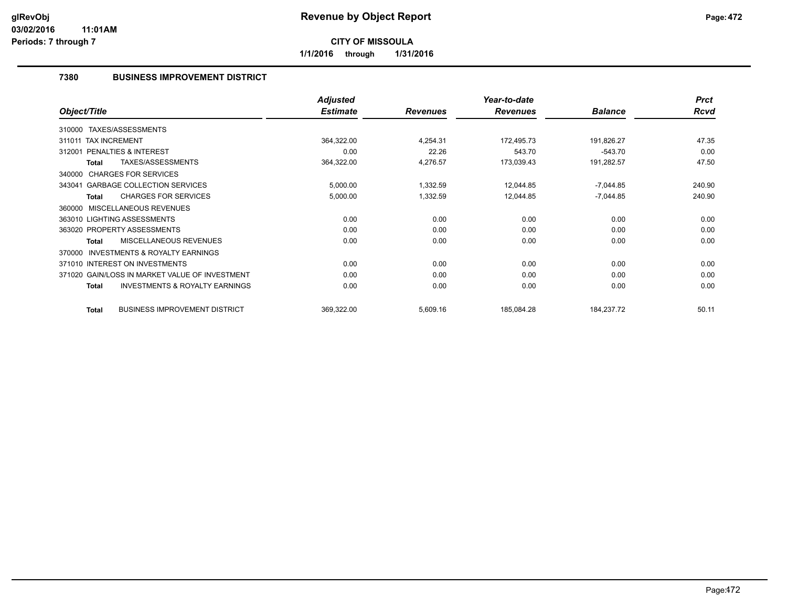**1/1/2016 through 1/31/2016**

## **7380 BUSINESS IMPROVEMENT DISTRICT**

|                                                           | <b>Adjusted</b> |                 | Year-to-date    |                | <b>Prct</b> |
|-----------------------------------------------------------|-----------------|-----------------|-----------------|----------------|-------------|
| Object/Title                                              | <b>Estimate</b> | <b>Revenues</b> | <b>Revenues</b> | <b>Balance</b> | <b>Rcvd</b> |
| 310000 TAXES/ASSESSMENTS                                  |                 |                 |                 |                |             |
| <b>TAX INCREMENT</b><br>311011                            | 364,322.00      | 4,254.31        | 172,495.73      | 191,826.27     | 47.35       |
| PENALTIES & INTEREST<br>312001                            | 0.00            | 22.26           | 543.70          | $-543.70$      | 0.00        |
| TAXES/ASSESSMENTS<br>Total                                | 364,322.00      | 4,276.57        | 173,039.43      | 191,282.57     | 47.50       |
| 340000 CHARGES FOR SERVICES                               |                 |                 |                 |                |             |
| <b>GARBAGE COLLECTION SERVICES</b><br>343041              | 5,000.00        | 1,332.59        | 12,044.85       | $-7,044.85$    | 240.90      |
| <b>CHARGES FOR SERVICES</b><br><b>Total</b>               | 5,000.00        | 1,332.59        | 12,044.85       | $-7,044.85$    | 240.90      |
| MISCELLANEOUS REVENUES<br>360000                          |                 |                 |                 |                |             |
| 363010 LIGHTING ASSESSMENTS                               | 0.00            | 0.00            | 0.00            | 0.00           | 0.00        |
| 363020 PROPERTY ASSESSMENTS                               | 0.00            | 0.00            | 0.00            | 0.00           | 0.00        |
| <b>MISCELLANEOUS REVENUES</b><br><b>Total</b>             | 0.00            | 0.00            | 0.00            | 0.00           | 0.00        |
| <b>INVESTMENTS &amp; ROYALTY EARNINGS</b><br>370000       |                 |                 |                 |                |             |
| 371010 INTEREST ON INVESTMENTS                            | 0.00            | 0.00            | 0.00            | 0.00           | 0.00        |
| 371020 GAIN/LOSS IN MARKET VALUE OF INVESTMENT            | 0.00            | 0.00            | 0.00            | 0.00           | 0.00        |
| <b>INVESTMENTS &amp; ROYALTY EARNINGS</b><br><b>Total</b> | 0.00            | 0.00            | 0.00            | 0.00           | 0.00        |
| <b>BUSINESS IMPROVEMENT DISTRICT</b><br><b>Total</b>      | 369,322.00      | 5,609.16        | 185,084.28      | 184,237.72     | 50.11       |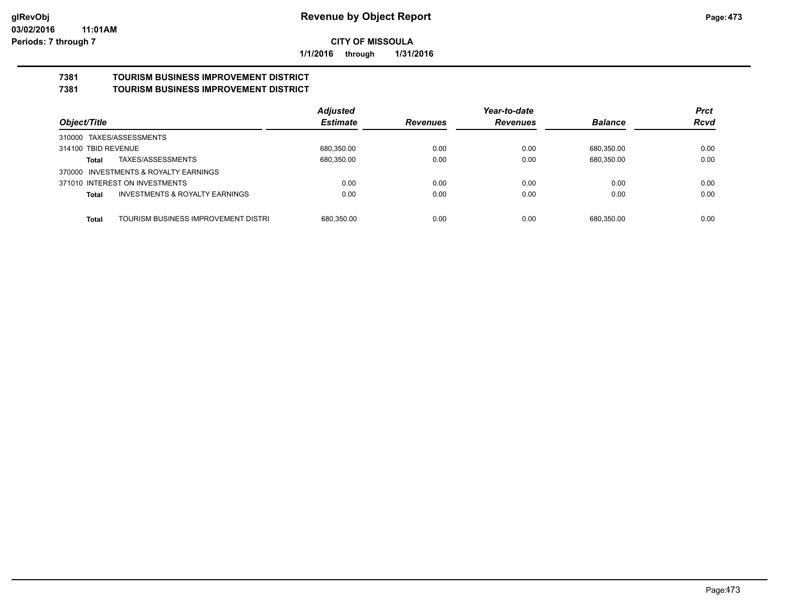**1/1/2016 through 1/31/2016**

#### **7381 TOURISM BUSINESS IMPROVEMENT DISTRICT 7381 TOURISM BUSINESS IMPROVEMENT DISTRICT**

|                                                    | <b>Adjusted</b> |                 | Year-to-date    |                | <b>Prct</b> |
|----------------------------------------------------|-----------------|-----------------|-----------------|----------------|-------------|
| Object/Title                                       | <b>Estimate</b> | <b>Revenues</b> | <b>Revenues</b> | <b>Balance</b> | <b>Rcvd</b> |
| 310000 TAXES/ASSESSMENTS                           |                 |                 |                 |                |             |
| 314100 TBID REVENUE                                | 680,350.00      | 0.00            | 0.00            | 680,350.00     | 0.00        |
| TAXES/ASSESSMENTS<br>Total                         | 680,350.00      | 0.00            | 0.00            | 680,350.00     | 0.00        |
| 370000 INVESTMENTS & ROYALTY EARNINGS              |                 |                 |                 |                |             |
| 371010 INTEREST ON INVESTMENTS                     | 0.00            | 0.00            | 0.00            | 0.00           | 0.00        |
| <b>INVESTMENTS &amp; ROYALTY EARNINGS</b><br>Total | 0.00            | 0.00            | 0.00            | 0.00           | 0.00        |
|                                                    |                 |                 |                 |                |             |
| TOURISM BUSINESS IMPROVEMENT DISTRI<br>Total       | 680.350.00      | 0.00            | 0.00            | 680.350.00     | 0.00        |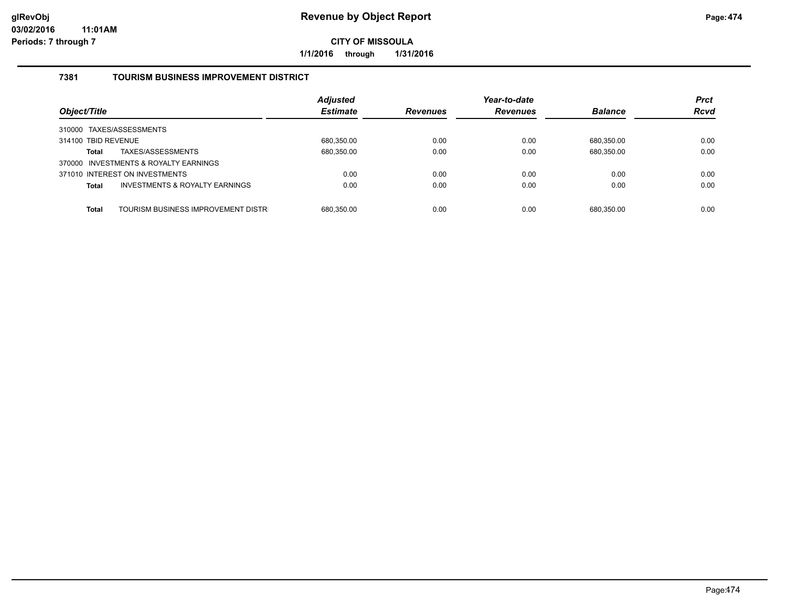**1/1/2016 through 1/31/2016**

## **7381 TOURISM BUSINESS IMPROVEMENT DISTRICT**

| Object/Title                                              | <b>Adjusted</b><br><b>Estimate</b> | <b>Revenues</b> | Year-to-date<br><b>Revenues</b> | <b>Balance</b> | <b>Prct</b><br><b>Rcvd</b> |
|-----------------------------------------------------------|------------------------------------|-----------------|---------------------------------|----------------|----------------------------|
| 310000 TAXES/ASSESSMENTS                                  |                                    |                 |                                 |                |                            |
| 314100 TBID REVENUE                                       | 680.350.00                         | 0.00            | 0.00                            | 680.350.00     | 0.00                       |
| TAXES/ASSESSMENTS<br><b>Total</b>                         | 680,350.00                         | 0.00            | 0.00                            | 680,350.00     | 0.00                       |
| 370000 INVESTMENTS & ROYALTY EARNINGS                     |                                    |                 |                                 |                |                            |
| 371010 INTEREST ON INVESTMENTS                            | 0.00                               | 0.00            | 0.00                            | 0.00           | 0.00                       |
| <b>INVESTMENTS &amp; ROYALTY EARNINGS</b><br><b>Total</b> | 0.00                               | 0.00            | 0.00                            | 0.00           | 0.00                       |
|                                                           |                                    |                 |                                 |                |                            |
| TOURISM BUSINESS IMPROVEMENT DISTR<br><b>Total</b>        | 680.350.00                         | 0.00            | 0.00                            | 680.350.00     | 0.00                       |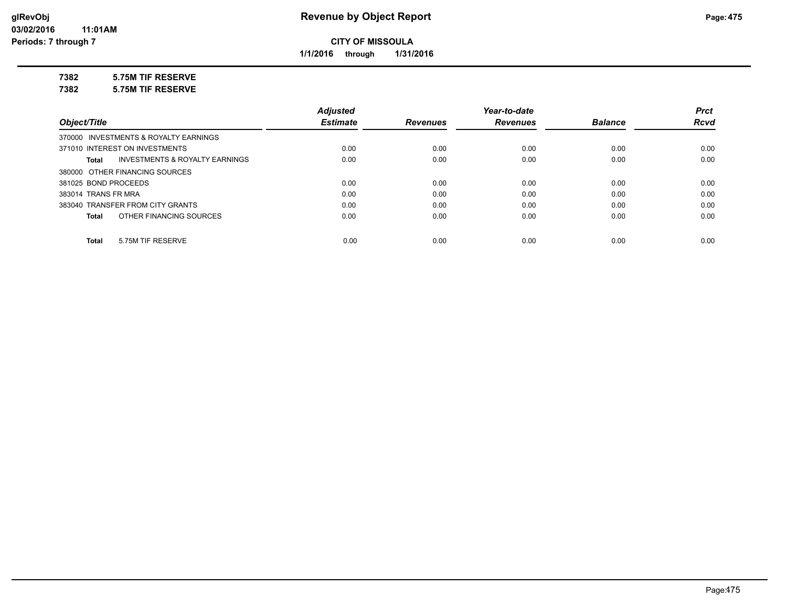**1/1/2016 through 1/31/2016**

**7382 5.75M TIF RESERVE**

**7382 5.75M TIF RESERVE**

|                                                    | <b>Adjusted</b> |                 | Year-to-date    |                | <b>Prct</b> |
|----------------------------------------------------|-----------------|-----------------|-----------------|----------------|-------------|
| Object/Title                                       | <b>Estimate</b> | <b>Revenues</b> | <b>Revenues</b> | <b>Balance</b> | <b>Rcvd</b> |
| 370000 INVESTMENTS & ROYALTY EARNINGS              |                 |                 |                 |                |             |
| 371010 INTEREST ON INVESTMENTS                     | 0.00            | 0.00            | 0.00            | 0.00           | 0.00        |
| <b>INVESTMENTS &amp; ROYALTY EARNINGS</b><br>Total | 0.00            | 0.00            | 0.00            | 0.00           | 0.00        |
| 380000 OTHER FINANCING SOURCES                     |                 |                 |                 |                |             |
| 381025 BOND PROCEEDS                               | 0.00            | 0.00            | 0.00            | 0.00           | 0.00        |
| 383014 TRANS FR MRA                                | 0.00            | 0.00            | 0.00            | 0.00           | 0.00        |
| 383040 TRANSFER FROM CITY GRANTS                   | 0.00            | 0.00            | 0.00            | 0.00           | 0.00        |
| OTHER FINANCING SOURCES<br>Total                   | 0.00            | 0.00            | 0.00            | 0.00           | 0.00        |
| 5.75M TIF RESERVE                                  | 0.00            | 0.00            | 0.00            | 0.00           | 0.00        |
| <b>Total</b>                                       |                 |                 |                 |                |             |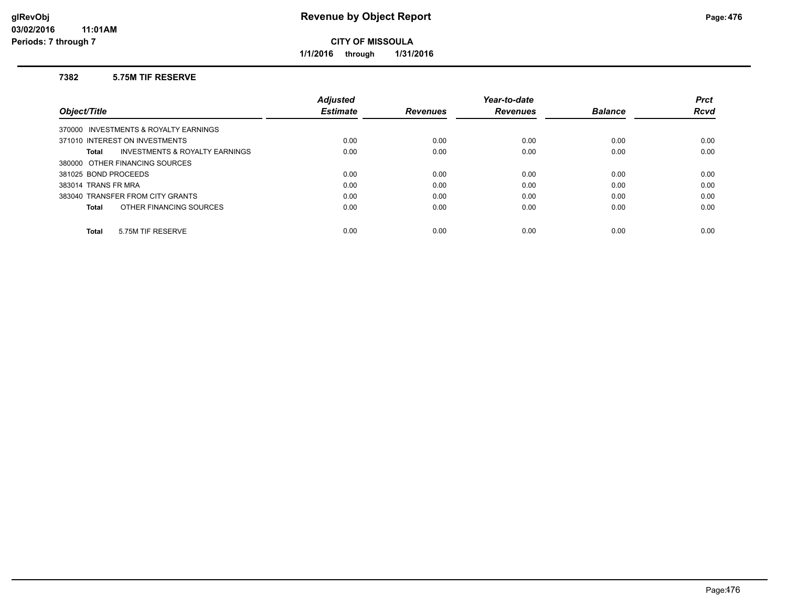**1/1/2016 through 1/31/2016**

#### **7382 5.75M TIF RESERVE**

|                                         | <b>Adjusted</b> |                 | Year-to-date    |                | <b>Prct</b> |
|-----------------------------------------|-----------------|-----------------|-----------------|----------------|-------------|
| Object/Title                            | <b>Estimate</b> | <b>Revenues</b> | <b>Revenues</b> | <b>Balance</b> | <b>Rcvd</b> |
| 370000 INVESTMENTS & ROYALTY EARNINGS   |                 |                 |                 |                |             |
| 371010 INTEREST ON INVESTMENTS          | 0.00            | 0.00            | 0.00            | 0.00           | 0.00        |
| INVESTMENTS & ROYALTY EARNINGS<br>Total | 0.00            | 0.00            | 0.00            | 0.00           | 0.00        |
| 380000 OTHER FINANCING SOURCES          |                 |                 |                 |                |             |
| 381025 BOND PROCEEDS                    | 0.00            | 0.00            | 0.00            | 0.00           | 0.00        |
| 383014 TRANS FR MRA                     | 0.00            | 0.00            | 0.00            | 0.00           | 0.00        |
| 383040 TRANSFER FROM CITY GRANTS        | 0.00            | 0.00            | 0.00            | 0.00           | 0.00        |
| OTHER FINANCING SOURCES<br>Total        | 0.00            | 0.00            | 0.00            | 0.00           | 0.00        |
|                                         |                 |                 |                 |                |             |
| 5.75M TIF RESERVE<br><b>Total</b>       | 0.00            | 0.00            | 0.00            | 0.00           | 0.00        |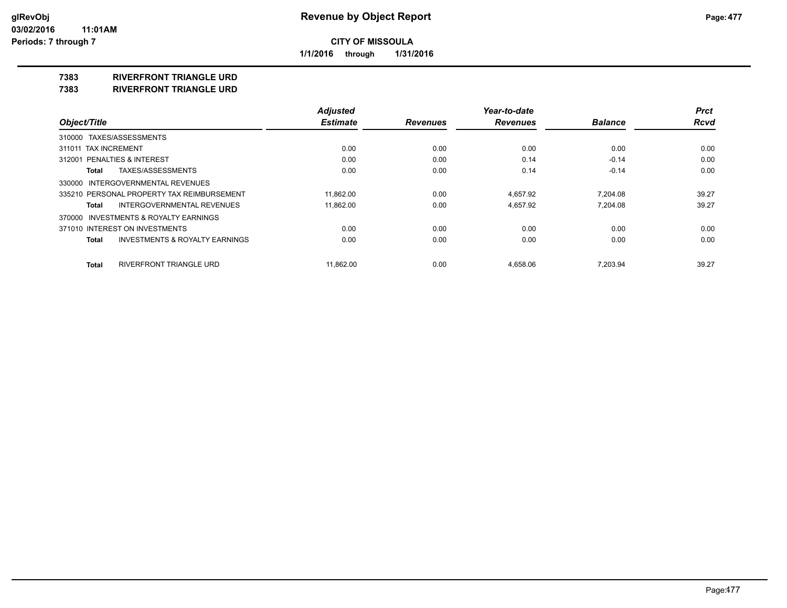**1/1/2016 through 1/31/2016**

#### **7383 RIVERFRONT TRIANGLE URD**

**7383 RIVERFRONT TRIANGLE URD**

|                                                    | <b>Adjusted</b> |                 | Year-to-date    |                | <b>Prct</b> |
|----------------------------------------------------|-----------------|-----------------|-----------------|----------------|-------------|
| Object/Title                                       | <b>Estimate</b> | <b>Revenues</b> | <b>Revenues</b> | <b>Balance</b> | <b>Rcvd</b> |
| 310000 TAXES/ASSESSMENTS                           |                 |                 |                 |                |             |
| 311011 TAX INCREMENT                               | 0.00            | 0.00            | 0.00            | 0.00           | 0.00        |
| 312001 PENALTIES & INTEREST                        | 0.00            | 0.00            | 0.14            | $-0.14$        | 0.00        |
| TAXES/ASSESSMENTS<br>Total                         | 0.00            | 0.00            | 0.14            | $-0.14$        | 0.00        |
| 330000 INTERGOVERNMENTAL REVENUES                  |                 |                 |                 |                |             |
| 335210 PERSONAL PROPERTY TAX REIMBURSEMENT         | 11.862.00       | 0.00            | 4.657.92        | 7.204.08       | 39.27       |
| <b>INTERGOVERNMENTAL REVENUES</b><br>Total         | 11,862.00       | 0.00            | 4,657.92        | 7,204.08       | 39.27       |
| 370000 INVESTMENTS & ROYALTY EARNINGS              |                 |                 |                 |                |             |
| 371010 INTEREST ON INVESTMENTS                     | 0.00            | 0.00            | 0.00            | 0.00           | 0.00        |
| <b>INVESTMENTS &amp; ROYALTY EARNINGS</b><br>Total | 0.00            | 0.00            | 0.00            | 0.00           | 0.00        |
| RIVERFRONT TRIANGLE URD<br>Total                   | 11.862.00       | 0.00            | 4.658.06        | 7.203.94       | 39.27       |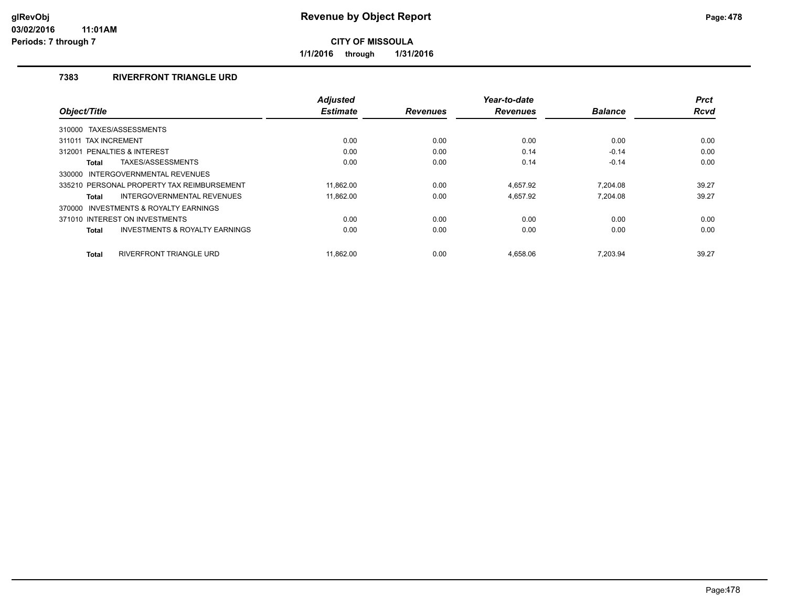**1/1/2016 through 1/31/2016**

## **7383 RIVERFRONT TRIANGLE URD**

|                                                           | <b>Adjusted</b> |                 | Year-to-date    |                | <b>Prct</b> |
|-----------------------------------------------------------|-----------------|-----------------|-----------------|----------------|-------------|
| Object/Title                                              | <b>Estimate</b> | <b>Revenues</b> | <b>Revenues</b> | <b>Balance</b> | <b>Rcvd</b> |
| TAXES/ASSESSMENTS<br>310000                               |                 |                 |                 |                |             |
| 311011 TAX INCREMENT                                      | 0.00            | 0.00            | 0.00            | 0.00           | 0.00        |
| PENALTIES & INTEREST<br>312001                            | 0.00            | 0.00            | 0.14            | $-0.14$        | 0.00        |
| <b>TAXES/ASSESSMENTS</b><br><b>Total</b>                  | 0.00            | 0.00            | 0.14            | $-0.14$        | 0.00        |
| 330000 INTERGOVERNMENTAL REVENUES                         |                 |                 |                 |                |             |
| 335210 PERSONAL PROPERTY TAX REIMBURSEMENT                | 11.862.00       | 0.00            | 4.657.92        | 7.204.08       | 39.27       |
| INTERGOVERNMENTAL REVENUES<br>Total                       | 11,862.00       | 0.00            | 4,657.92        | 7.204.08       | 39.27       |
| 370000 INVESTMENTS & ROYALTY EARNINGS                     |                 |                 |                 |                |             |
| 371010 INTEREST ON INVESTMENTS                            | 0.00            | 0.00            | 0.00            | 0.00           | 0.00        |
| <b>INVESTMENTS &amp; ROYALTY EARNINGS</b><br><b>Total</b> | 0.00            | 0.00            | 0.00            | 0.00           | 0.00        |
| <b>RIVERFRONT TRIANGLE URD</b><br><b>Total</b>            | 11.862.00       | 0.00            | 4.658.06        | 7.203.94       | 39.27       |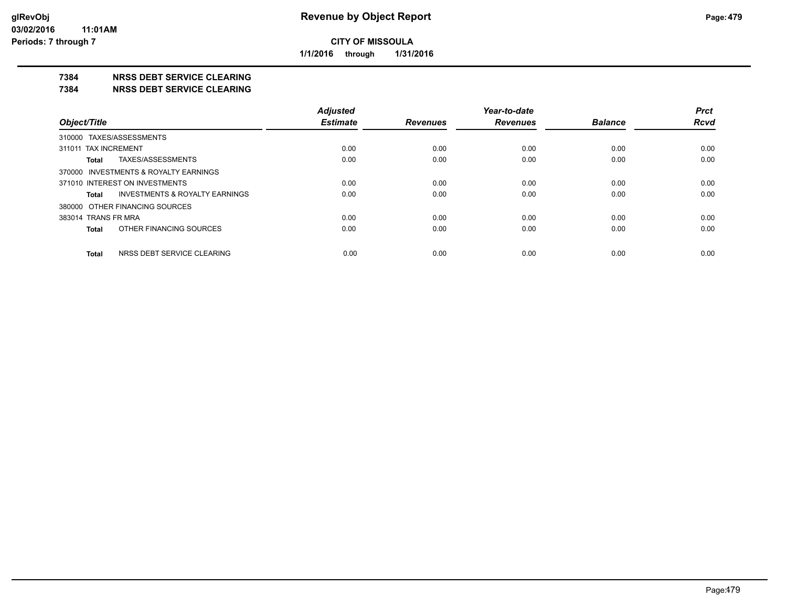**1/1/2016 through 1/31/2016**

### **7384 NRSS DEBT SERVICE CLEARING**

**7384 NRSS DEBT SERVICE CLEARING**

|                                                    | <b>Adjusted</b> |                 | Year-to-date    |                | <b>Prct</b> |
|----------------------------------------------------|-----------------|-----------------|-----------------|----------------|-------------|
| Object/Title                                       | <b>Estimate</b> | <b>Revenues</b> | <b>Revenues</b> | <b>Balance</b> | <b>Rcvd</b> |
| 310000 TAXES/ASSESSMENTS                           |                 |                 |                 |                |             |
| 311011 TAX INCREMENT                               | 0.00            | 0.00            | 0.00            | 0.00           | 0.00        |
| TAXES/ASSESSMENTS<br>Total                         | 0.00            | 0.00            | 0.00            | 0.00           | 0.00        |
| 370000 INVESTMENTS & ROYALTY EARNINGS              |                 |                 |                 |                |             |
| 371010 INTEREST ON INVESTMENTS                     | 0.00            | 0.00            | 0.00            | 0.00           | 0.00        |
| <b>INVESTMENTS &amp; ROYALTY EARNINGS</b><br>Total | 0.00            | 0.00            | 0.00            | 0.00           | 0.00        |
| 380000 OTHER FINANCING SOURCES                     |                 |                 |                 |                |             |
| 383014 TRANS FR MRA                                | 0.00            | 0.00            | 0.00            | 0.00           | 0.00        |
| OTHER FINANCING SOURCES<br>Total                   | 0.00            | 0.00            | 0.00            | 0.00           | 0.00        |
| NRSS DEBT SERVICE CLEARING<br>Total                | 0.00            | 0.00            | 0.00            | 0.00           | 0.00        |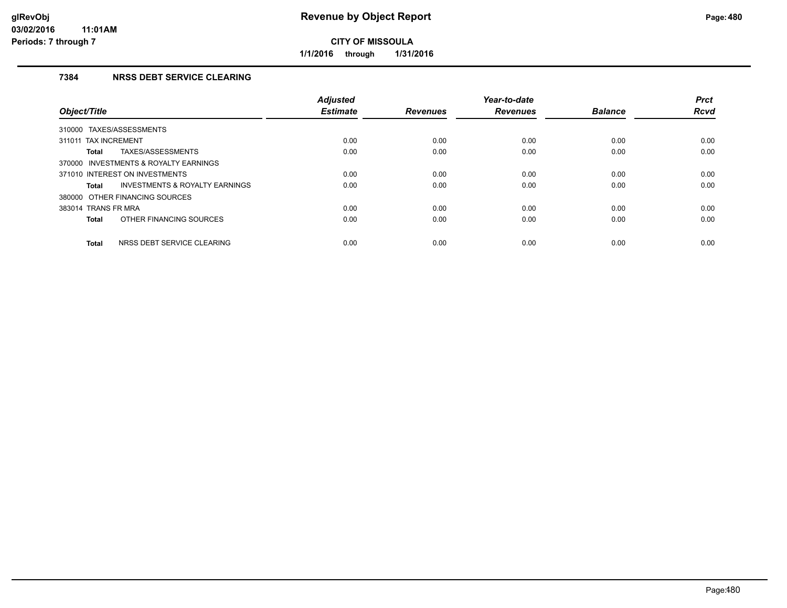**1/1/2016 through 1/31/2016**

## **7384 NRSS DEBT SERVICE CLEARING**

| Object/Title                                       | <b>Adjusted</b><br><b>Estimate</b> | <b>Revenues</b> | Year-to-date<br><b>Revenues</b> | <b>Balance</b> | <b>Prct</b><br><b>Rcvd</b> |
|----------------------------------------------------|------------------------------------|-----------------|---------------------------------|----------------|----------------------------|
| TAXES/ASSESSMENTS<br>310000                        |                                    |                 |                                 |                |                            |
| 311011 TAX INCREMENT                               | 0.00                               | 0.00            | 0.00                            | 0.00           | 0.00                       |
| TAXES/ASSESSMENTS<br>Total                         | 0.00                               | 0.00            | 0.00                            | 0.00           | 0.00                       |
| 370000 INVESTMENTS & ROYALTY EARNINGS              |                                    |                 |                                 |                |                            |
| 371010 INTEREST ON INVESTMENTS                     | 0.00                               | 0.00            | 0.00                            | 0.00           | 0.00                       |
| <b>INVESTMENTS &amp; ROYALTY EARNINGS</b><br>Total | 0.00                               | 0.00            | 0.00                            | 0.00           | 0.00                       |
| 380000 OTHER FINANCING SOURCES                     |                                    |                 |                                 |                |                            |
| 383014 TRANS FR MRA                                | 0.00                               | 0.00            | 0.00                            | 0.00           | 0.00                       |
| OTHER FINANCING SOURCES<br><b>Total</b>            | 0.00                               | 0.00            | 0.00                            | 0.00           | 0.00                       |
| NRSS DEBT SERVICE CLEARING<br><b>Total</b>         | 0.00                               | 0.00            | 0.00                            | 0.00           | 0.00                       |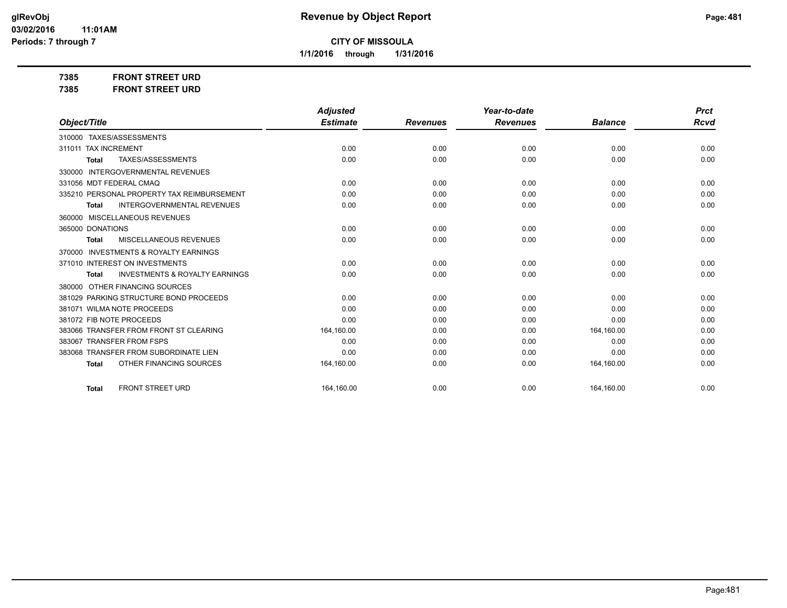**1/1/2016 through 1/31/2016**

**7385 FRONT STREET URD**

| 7385 | <b>FRONT STREET URD</b> |
|------|-------------------------|
|------|-------------------------|

| <b>Adjusted</b> |                 | Year-to-date    |                | <b>Prct</b> |
|-----------------|-----------------|-----------------|----------------|-------------|
| <b>Estimate</b> | <b>Revenues</b> | <b>Revenues</b> | <b>Balance</b> | <b>Rcvd</b> |
|                 |                 |                 |                |             |
| 0.00            | 0.00            | 0.00            | 0.00           | 0.00        |
| 0.00            | 0.00            | 0.00            | 0.00           | 0.00        |
|                 |                 |                 |                |             |
| 0.00            | 0.00            | 0.00            | 0.00           | 0.00        |
| 0.00            | 0.00            | 0.00            | 0.00           | 0.00        |
| 0.00            | 0.00            | 0.00            | 0.00           | 0.00        |
|                 |                 |                 |                |             |
| 0.00            | 0.00            | 0.00            | 0.00           | 0.00        |
| 0.00            | 0.00            | 0.00            | 0.00           | 0.00        |
|                 |                 |                 |                |             |
| 0.00            | 0.00            | 0.00            | 0.00           | 0.00        |
| 0.00            | 0.00            | 0.00            | 0.00           | 0.00        |
|                 |                 |                 |                |             |
| 0.00            | 0.00            | 0.00            | 0.00           | 0.00        |
| 0.00            | 0.00            | 0.00            | 0.00           | 0.00        |
| 0.00            | 0.00            | 0.00            | 0.00           | 0.00        |
| 164,160.00      | 0.00            | 0.00            | 164,160.00     | 0.00        |
| 0.00            | 0.00            | 0.00            | 0.00           | 0.00        |
| 0.00            | 0.00            | 0.00            | 0.00           | 0.00        |
| 164,160.00      | 0.00            | 0.00            | 164,160.00     | 0.00        |
|                 |                 |                 |                | 0.00        |
|                 | 164.160.00      | 0.00            | 0.00           | 164,160.00  |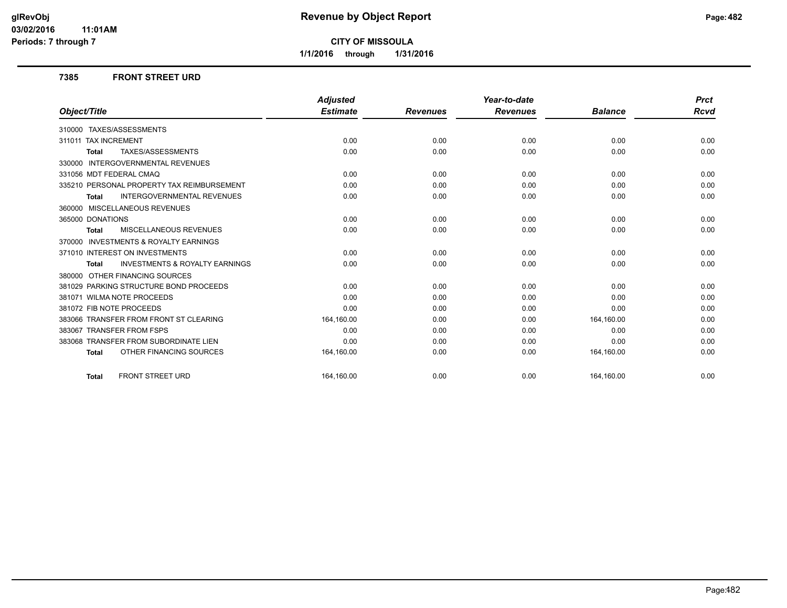**1/1/2016 through 1/31/2016**

#### **7385 FRONT STREET URD**

|                                                           | <b>Adjusted</b> |                 | Year-to-date    |                | <b>Prct</b> |
|-----------------------------------------------------------|-----------------|-----------------|-----------------|----------------|-------------|
| Object/Title                                              | <b>Estimate</b> | <b>Revenues</b> | <b>Revenues</b> | <b>Balance</b> | <b>Rcvd</b> |
| 310000 TAXES/ASSESSMENTS                                  |                 |                 |                 |                |             |
| 311011 TAX INCREMENT                                      | 0.00            | 0.00            | 0.00            | 0.00           | 0.00        |
| TAXES/ASSESSMENTS<br><b>Total</b>                         | 0.00            | 0.00            | 0.00            | 0.00           | 0.00        |
| 330000 INTERGOVERNMENTAL REVENUES                         |                 |                 |                 |                |             |
| 331056 MDT FEDERAL CMAQ                                   | 0.00            | 0.00            | 0.00            | 0.00           | 0.00        |
| 335210 PERSONAL PROPERTY TAX REIMBURSEMENT                | 0.00            | 0.00            | 0.00            | 0.00           | 0.00        |
| <b>INTERGOVERNMENTAL REVENUES</b><br><b>Total</b>         | 0.00            | 0.00            | 0.00            | 0.00           | 0.00        |
| 360000 MISCELLANEOUS REVENUES                             |                 |                 |                 |                |             |
| 365000 DONATIONS                                          | 0.00            | 0.00            | 0.00            | 0.00           | 0.00        |
| MISCELLANEOUS REVENUES<br><b>Total</b>                    | 0.00            | 0.00            | 0.00            | 0.00           | 0.00        |
| 370000 INVESTMENTS & ROYALTY EARNINGS                     |                 |                 |                 |                |             |
| 371010 INTEREST ON INVESTMENTS                            | 0.00            | 0.00            | 0.00            | 0.00           | 0.00        |
| <b>INVESTMENTS &amp; ROYALTY EARNINGS</b><br><b>Total</b> | 0.00            | 0.00            | 0.00            | 0.00           | 0.00        |
| 380000 OTHER FINANCING SOURCES                            |                 |                 |                 |                |             |
| 381029 PARKING STRUCTURE BOND PROCEEDS                    | 0.00            | 0.00            | 0.00            | 0.00           | 0.00        |
| 381071 WILMA NOTE PROCEEDS                                | 0.00            | 0.00            | 0.00            | 0.00           | 0.00        |
| 381072 FIB NOTE PROCEEDS                                  | 0.00            | 0.00            | 0.00            | 0.00           | 0.00        |
| 383066 TRANSFER FROM FRONT ST CLEARING                    | 164,160.00      | 0.00            | 0.00            | 164,160.00     | 0.00        |
| 383067 TRANSFER FROM FSPS                                 | 0.00            | 0.00            | 0.00            | 0.00           | 0.00        |
| 383068 TRANSFER FROM SUBORDINATE LIEN                     | 0.00            | 0.00            | 0.00            | 0.00           | 0.00        |
| OTHER FINANCING SOURCES<br><b>Total</b>                   | 164,160.00      | 0.00            | 0.00            | 164,160.00     | 0.00        |
| <b>FRONT STREET URD</b><br><b>Total</b>                   | 164.160.00      | 0.00            | 0.00            | 164,160.00     | 0.00        |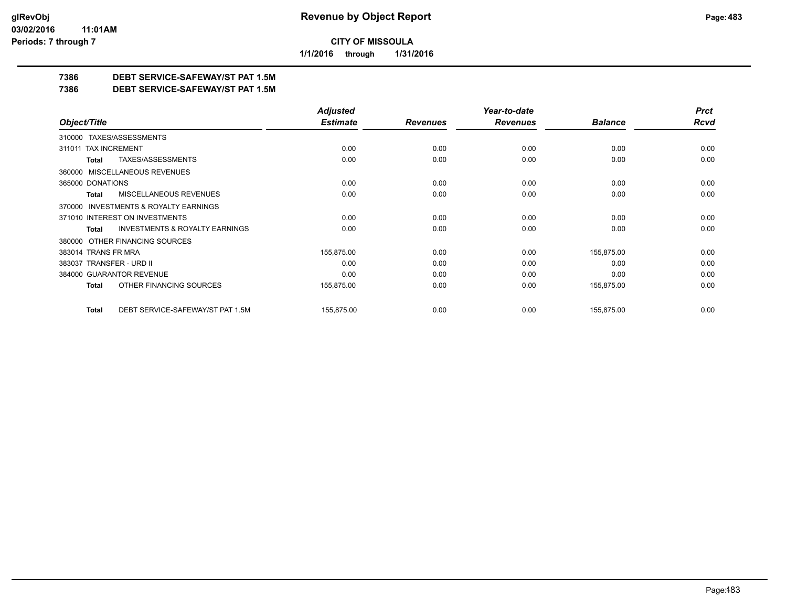**1/1/2016 through 1/31/2016**

## **7386 DEBT SERVICE-SAFEWAY/ST PAT 1.5M**

**7386 DEBT SERVICE-SAFEWAY/ST PAT 1.5M**

|                                                    | <b>Adjusted</b> |                 | Year-to-date    |                | <b>Prct</b> |
|----------------------------------------------------|-----------------|-----------------|-----------------|----------------|-------------|
| Object/Title                                       | <b>Estimate</b> | <b>Revenues</b> | <b>Revenues</b> | <b>Balance</b> | <b>Rcvd</b> |
| 310000 TAXES/ASSESSMENTS                           |                 |                 |                 |                |             |
| <b>TAX INCREMENT</b><br>311011                     | 0.00            | 0.00            | 0.00            | 0.00           | 0.00        |
| TAXES/ASSESSMENTS<br>Total                         | 0.00            | 0.00            | 0.00            | 0.00           | 0.00        |
| 360000 MISCELLANEOUS REVENUES                      |                 |                 |                 |                |             |
| 365000 DONATIONS                                   | 0.00            | 0.00            | 0.00            | 0.00           | 0.00        |
| <b>MISCELLANEOUS REVENUES</b><br>Total             | 0.00            | 0.00            | 0.00            | 0.00           | 0.00        |
| 370000 INVESTMENTS & ROYALTY EARNINGS              |                 |                 |                 |                |             |
| 371010 INTEREST ON INVESTMENTS                     | 0.00            | 0.00            | 0.00            | 0.00           | 0.00        |
| <b>INVESTMENTS &amp; ROYALTY EARNINGS</b><br>Total | 0.00            | 0.00            | 0.00            | 0.00           | 0.00        |
| OTHER FINANCING SOURCES<br>380000                  |                 |                 |                 |                |             |
| 383014 TRANS FR MRA                                | 155,875.00      | 0.00            | 0.00            | 155,875.00     | 0.00        |
| 383037 TRANSFER - URD II                           | 0.00            | 0.00            | 0.00            | 0.00           | 0.00        |
| 384000 GUARANTOR REVENUE                           | 0.00            | 0.00            | 0.00            | 0.00           | 0.00        |
| OTHER FINANCING SOURCES<br>Total                   | 155,875.00      | 0.00            | 0.00            | 155,875.00     | 0.00        |
| DEBT SERVICE-SAFEWAY/ST PAT 1.5M<br><b>Total</b>   | 155,875.00      | 0.00            | 0.00            | 155,875.00     | 0.00        |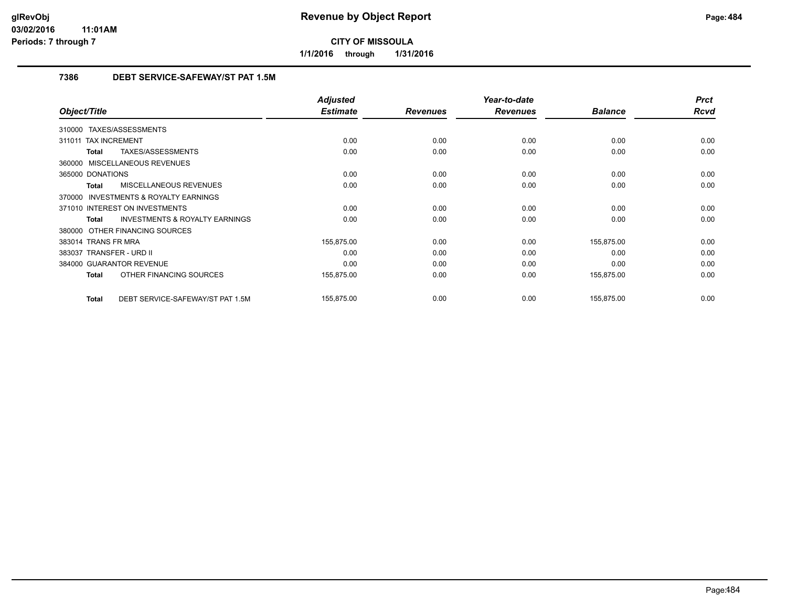**1/1/2016 through 1/31/2016**

## **7386 DEBT SERVICE-SAFEWAY/ST PAT 1.5M**

|                                                           | <b>Adjusted</b> |                 | Year-to-date    |                | <b>Prct</b> |
|-----------------------------------------------------------|-----------------|-----------------|-----------------|----------------|-------------|
| Object/Title                                              | <b>Estimate</b> | <b>Revenues</b> | <b>Revenues</b> | <b>Balance</b> | <b>Rcvd</b> |
| 310000 TAXES/ASSESSMENTS                                  |                 |                 |                 |                |             |
| 311011 TAX INCREMENT                                      | 0.00            | 0.00            | 0.00            | 0.00           | 0.00        |
| TAXES/ASSESSMENTS<br><b>Total</b>                         | 0.00            | 0.00            | 0.00            | 0.00           | 0.00        |
| 360000 MISCELLANEOUS REVENUES                             |                 |                 |                 |                |             |
| 365000 DONATIONS                                          | 0.00            | 0.00            | 0.00            | 0.00           | 0.00        |
| MISCELLANEOUS REVENUES<br><b>Total</b>                    | 0.00            | 0.00            | 0.00            | 0.00           | 0.00        |
| <b>INVESTMENTS &amp; ROYALTY EARNINGS</b><br>370000       |                 |                 |                 |                |             |
| 371010 INTEREST ON INVESTMENTS                            | 0.00            | 0.00            | 0.00            | 0.00           | 0.00        |
| <b>INVESTMENTS &amp; ROYALTY EARNINGS</b><br><b>Total</b> | 0.00            | 0.00            | 0.00            | 0.00           | 0.00        |
| 380000 OTHER FINANCING SOURCES                            |                 |                 |                 |                |             |
| 383014 TRANS FR MRA                                       | 155,875.00      | 0.00            | 0.00            | 155,875.00     | 0.00        |
| 383037 TRANSFER - URD II                                  | 0.00            | 0.00            | 0.00            | 0.00           | 0.00        |
| 384000 GUARANTOR REVENUE                                  | 0.00            | 0.00            | 0.00            | 0.00           | 0.00        |
| OTHER FINANCING SOURCES<br><b>Total</b>                   | 155,875.00      | 0.00            | 0.00            | 155,875.00     | 0.00        |
| DEBT SERVICE-SAFEWAY/ST PAT 1.5M<br><b>Total</b>          | 155,875.00      | 0.00            | 0.00            | 155,875.00     | 0.00        |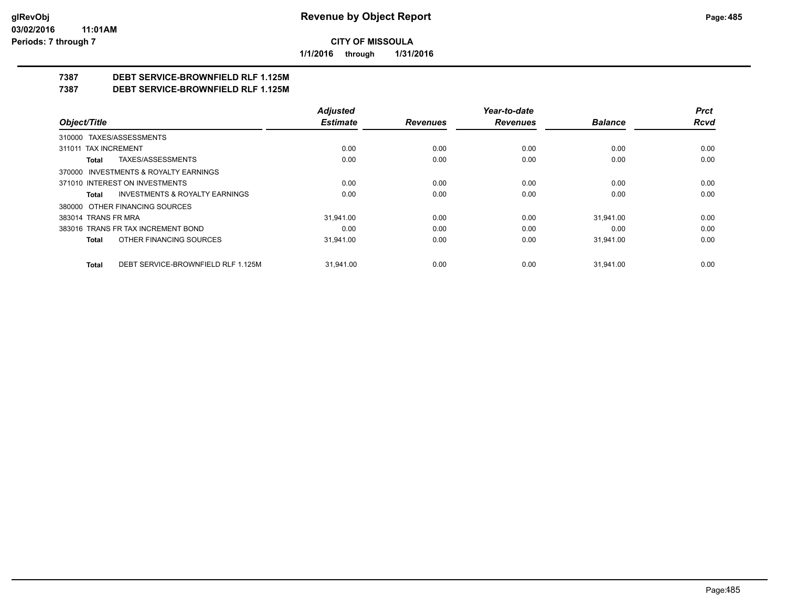**1/1/2016 through 1/31/2016**

# **7387 DEBT SERVICE-BROWNFIELD RLF 1.125M**

**7387 DEBT SERVICE-BROWNFIELD RLF 1.125M**

|                                                    | <b>Adiusted</b> |                 | Year-to-date    |                | <b>Prct</b> |
|----------------------------------------------------|-----------------|-----------------|-----------------|----------------|-------------|
| Object/Title                                       | <b>Estimate</b> | <b>Revenues</b> | <b>Revenues</b> | <b>Balance</b> | <b>Rcvd</b> |
| 310000 TAXES/ASSESSMENTS                           |                 |                 |                 |                |             |
| 311011 TAX INCREMENT                               | 0.00            | 0.00            | 0.00            | 0.00           | 0.00        |
| TAXES/ASSESSMENTS<br>Total                         | 0.00            | 0.00            | 0.00            | 0.00           | 0.00        |
| 370000 INVESTMENTS & ROYALTY EARNINGS              |                 |                 |                 |                |             |
| 371010 INTEREST ON INVESTMENTS                     | 0.00            | 0.00            | 0.00            | 0.00           | 0.00        |
| <b>INVESTMENTS &amp; ROYALTY EARNINGS</b><br>Total | 0.00            | 0.00            | 0.00            | 0.00           | 0.00        |
| 380000 OTHER FINANCING SOURCES                     |                 |                 |                 |                |             |
| 383014 TRANS FR MRA                                | 31.941.00       | 0.00            | 0.00            | 31.941.00      | 0.00        |
| 383016 TRANS FR TAX INCREMENT BOND                 | 0.00            | 0.00            | 0.00            | 0.00           | 0.00        |
| OTHER FINANCING SOURCES<br>Total                   | 31,941.00       | 0.00            | 0.00            | 31,941.00      | 0.00        |
| DEBT SERVICE-BROWNFIELD RLF 1.125M<br><b>Total</b> | 31.941.00       | 0.00            | 0.00            | 31.941.00      | 0.00        |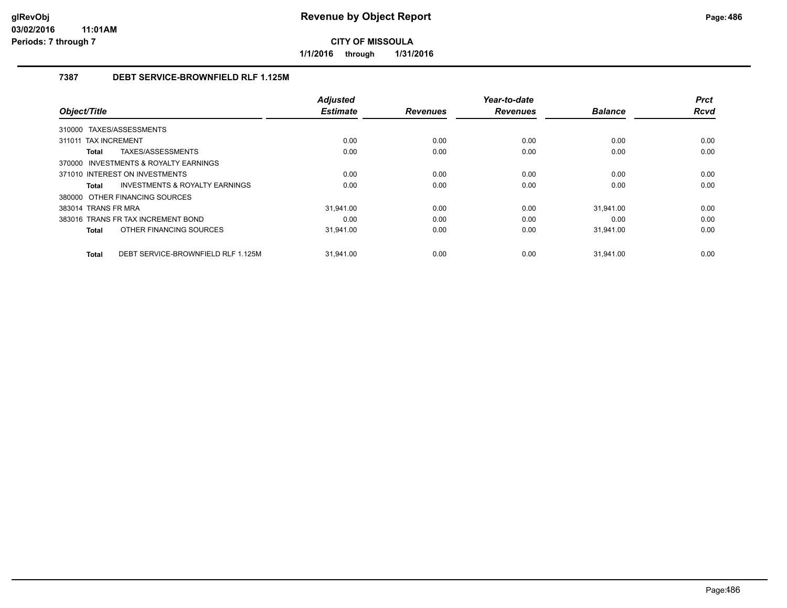**1/1/2016 through 1/31/2016**

## **7387 DEBT SERVICE-BROWNFIELD RLF 1.125M**

|                                             | <b>Adjusted</b> |                 | Year-to-date    |                | <b>Prct</b> |
|---------------------------------------------|-----------------|-----------------|-----------------|----------------|-------------|
| Object/Title                                | <b>Estimate</b> | <b>Revenues</b> | <b>Revenues</b> | <b>Balance</b> | <b>Rcvd</b> |
| 310000 TAXES/ASSESSMENTS                    |                 |                 |                 |                |             |
| 311011 TAX INCREMENT                        | 0.00            | 0.00            | 0.00            | 0.00           | 0.00        |
| TAXES/ASSESSMENTS<br>Total                  | 0.00            | 0.00            | 0.00            | 0.00           | 0.00        |
| 370000 INVESTMENTS & ROYALTY EARNINGS       |                 |                 |                 |                |             |
| 371010 INTEREST ON INVESTMENTS              | 0.00            | 0.00            | 0.00            | 0.00           | 0.00        |
| INVESTMENTS & ROYALTY EARNINGS<br>Total     | 0.00            | 0.00            | 0.00            | 0.00           | 0.00        |
| 380000 OTHER FINANCING SOURCES              |                 |                 |                 |                |             |
| 383014 TRANS FR MRA                         | 31.941.00       | 0.00            | 0.00            | 31.941.00      | 0.00        |
| 383016 TRANS FR TAX INCREMENT BOND          | 0.00            | 0.00            | 0.00            | 0.00           | 0.00        |
| OTHER FINANCING SOURCES<br>Total            | 31,941.00       | 0.00            | 0.00            | 31,941.00      | 0.00        |
|                                             |                 |                 |                 |                |             |
| DEBT SERVICE-BROWNFIELD RLF 1.125M<br>Total | 31.941.00       | 0.00            | 0.00            | 31.941.00      | 0.00        |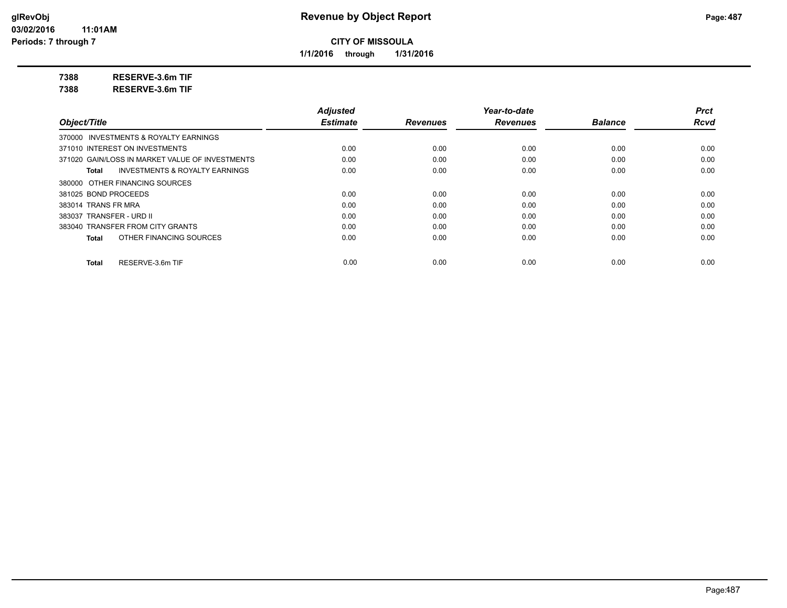**1/1/2016 through 1/31/2016**

**7388 RESERVE-3.6m TIF**

**7388 RESERVE-3.6m TIF**

|                                                    | <b>Adjusted</b> |                 | Year-to-date    |                | <b>Prct</b> |
|----------------------------------------------------|-----------------|-----------------|-----------------|----------------|-------------|
| Object/Title                                       | <b>Estimate</b> | <b>Revenues</b> | <b>Revenues</b> | <b>Balance</b> | <b>Rcvd</b> |
| 370000 INVESTMENTS & ROYALTY EARNINGS              |                 |                 |                 |                |             |
| 371010 INTEREST ON INVESTMENTS                     | 0.00            | 0.00            | 0.00            | 0.00           | 0.00        |
| 371020 GAIN/LOSS IN MARKET VALUE OF INVESTMENTS    | 0.00            | 0.00            | 0.00            | 0.00           | 0.00        |
| <b>INVESTMENTS &amp; ROYALTY EARNINGS</b><br>Total | 0.00            | 0.00            | 0.00            | 0.00           | 0.00        |
| 380000 OTHER FINANCING SOURCES                     |                 |                 |                 |                |             |
| 381025 BOND PROCEEDS                               | 0.00            | 0.00            | 0.00            | 0.00           | 0.00        |
| 383014 TRANS FR MRA                                | 0.00            | 0.00            | 0.00            | 0.00           | 0.00        |
| 383037 TRANSFER - URD II                           | 0.00            | 0.00            | 0.00            | 0.00           | 0.00        |
| 383040 TRANSFER FROM CITY GRANTS                   | 0.00            | 0.00            | 0.00            | 0.00           | 0.00        |
| OTHER FINANCING SOURCES<br>Total                   | 0.00            | 0.00            | 0.00            | 0.00           | 0.00        |
| RESERVE-3.6m TIF<br><b>Total</b>                   | 0.00            | 0.00            | 0.00            | 0.00           | 0.00        |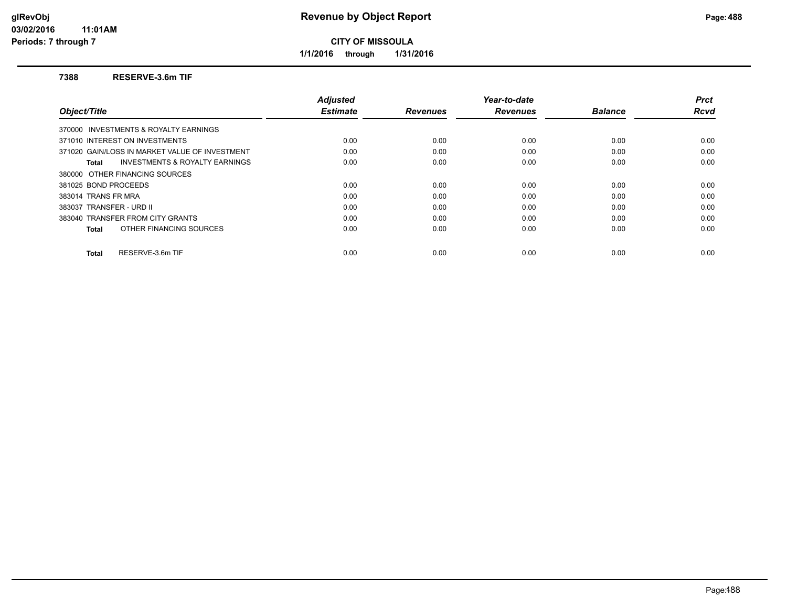**1/1/2016 through 1/31/2016**

#### **7388 RESERVE-3.6m TIF**

|                                                    | <b>Adjusted</b> |                 | Year-to-date    |                | <b>Prct</b> |
|----------------------------------------------------|-----------------|-----------------|-----------------|----------------|-------------|
| Object/Title                                       | <b>Estimate</b> | <b>Revenues</b> | <b>Revenues</b> | <b>Balance</b> | Rcvd        |
| 370000 INVESTMENTS & ROYALTY EARNINGS              |                 |                 |                 |                |             |
| 371010 INTEREST ON INVESTMENTS                     | 0.00            | 0.00            | 0.00            | 0.00           | 0.00        |
| 371020 GAIN/LOSS IN MARKET VALUE OF INVESTMENT     | 0.00            | 0.00            | 0.00            | 0.00           | 0.00        |
| <b>INVESTMENTS &amp; ROYALTY EARNINGS</b><br>Total | 0.00            | 0.00            | 0.00            | 0.00           | 0.00        |
| 380000 OTHER FINANCING SOURCES                     |                 |                 |                 |                |             |
| 381025 BOND PROCEEDS                               | 0.00            | 0.00            | 0.00            | 0.00           | 0.00        |
| 383014 TRANS FR MRA                                | 0.00            | 0.00            | 0.00            | 0.00           | 0.00        |
| 383037 TRANSFER - URD II                           | 0.00            | 0.00            | 0.00            | 0.00           | 0.00        |
| 383040 TRANSFER FROM CITY GRANTS                   | 0.00            | 0.00            | 0.00            | 0.00           | 0.00        |
| OTHER FINANCING SOURCES<br>Total                   | 0.00            | 0.00            | 0.00            | 0.00           | 0.00        |
| RESERVE-3.6m TIF<br><b>Total</b>                   | 0.00            | 0.00            | 0.00            | 0.00           | 0.00        |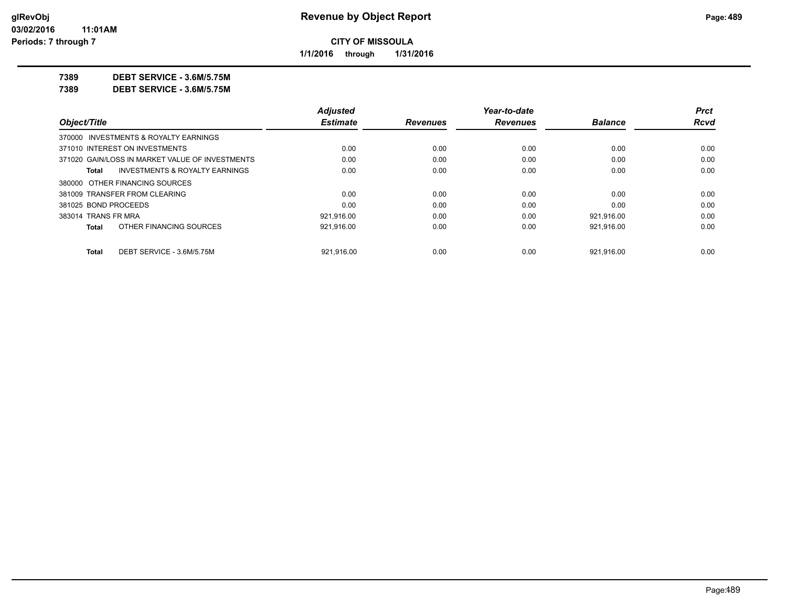**1/1/2016 through 1/31/2016**

**7389 DEBT SERVICE - 3.6M/5.75M**

**7389 DEBT SERVICE - 3.6M/5.75M**

|                      |                                                 | <b>Adjusted</b> |                 | Year-to-date    |                | <b>Prct</b> |
|----------------------|-------------------------------------------------|-----------------|-----------------|-----------------|----------------|-------------|
| Object/Title         |                                                 | <b>Estimate</b> | <b>Revenues</b> | <b>Revenues</b> | <b>Balance</b> | Rcvd        |
|                      | 370000 INVESTMENTS & ROYALTY EARNINGS           |                 |                 |                 |                |             |
|                      | 371010 INTEREST ON INVESTMENTS                  | 0.00            | 0.00            | 0.00            | 0.00           | 0.00        |
|                      | 371020 GAIN/LOSS IN MARKET VALUE OF INVESTMENTS | 0.00            | 0.00            | 0.00            | 0.00           | 0.00        |
| Total                | <b>INVESTMENTS &amp; ROYALTY EARNINGS</b>       | 0.00            | 0.00            | 0.00            | 0.00           | 0.00        |
|                      | 380000 OTHER FINANCING SOURCES                  |                 |                 |                 |                |             |
|                      | 381009 TRANSFER FROM CLEARING                   | 0.00            | 0.00            | 0.00            | 0.00           | 0.00        |
| 381025 BOND PROCEEDS |                                                 | 0.00            | 0.00            | 0.00            | 0.00           | 0.00        |
| 383014 TRANS FR MRA  |                                                 | 921.916.00      | 0.00            | 0.00            | 921.916.00     | 0.00        |
| <b>Total</b>         | OTHER FINANCING SOURCES                         | 921,916.00      | 0.00            | 0.00            | 921,916.00     | 0.00        |
| <b>Total</b>         | DEBT SERVICE - 3.6M/5.75M                       | 921.916.00      | 0.00            | 0.00            | 921.916.00     | 0.00        |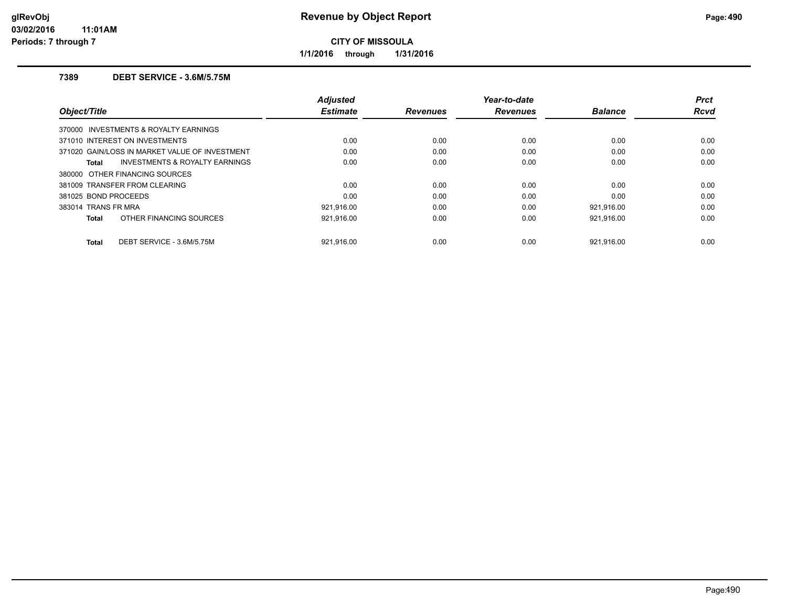**1/1/2016 through 1/31/2016**

## **7389 DEBT SERVICE - 3.6M/5.75M**

| Object/Title                                       | <b>Adjusted</b><br><b>Estimate</b> | <b>Revenues</b> | Year-to-date<br><b>Revenues</b> | <b>Balance</b> | <b>Prct</b><br><b>Rcvd</b> |
|----------------------------------------------------|------------------------------------|-----------------|---------------------------------|----------------|----------------------------|
| 370000 INVESTMENTS & ROYALTY EARNINGS              |                                    |                 |                                 |                |                            |
| 371010 INTEREST ON INVESTMENTS                     | 0.00                               | 0.00            | 0.00                            | 0.00           | 0.00                       |
| 371020 GAIN/LOSS IN MARKET VALUE OF INVESTMENT     | 0.00                               | 0.00            | 0.00                            | 0.00           | 0.00                       |
| <b>INVESTMENTS &amp; ROYALTY EARNINGS</b><br>Total | 0.00                               | 0.00            | 0.00                            | 0.00           | 0.00                       |
| 380000 OTHER FINANCING SOURCES                     |                                    |                 |                                 |                |                            |
| 381009 TRANSFER FROM CLEARING                      | 0.00                               | 0.00            | 0.00                            | 0.00           | 0.00                       |
| 381025 BOND PROCEEDS                               | 0.00                               | 0.00            | 0.00                            | 0.00           | 0.00                       |
| 383014 TRANS FR MRA                                | 921,916.00                         | 0.00            | 0.00                            | 921,916.00     | 0.00                       |
| OTHER FINANCING SOURCES<br>Total                   | 921,916.00                         | 0.00            | 0.00                            | 921,916.00     | 0.00                       |
| DEBT SERVICE - 3.6M/5.75M<br>Total                 | 921.916.00                         | 0.00            | 0.00                            | 921.916.00     | 0.00                       |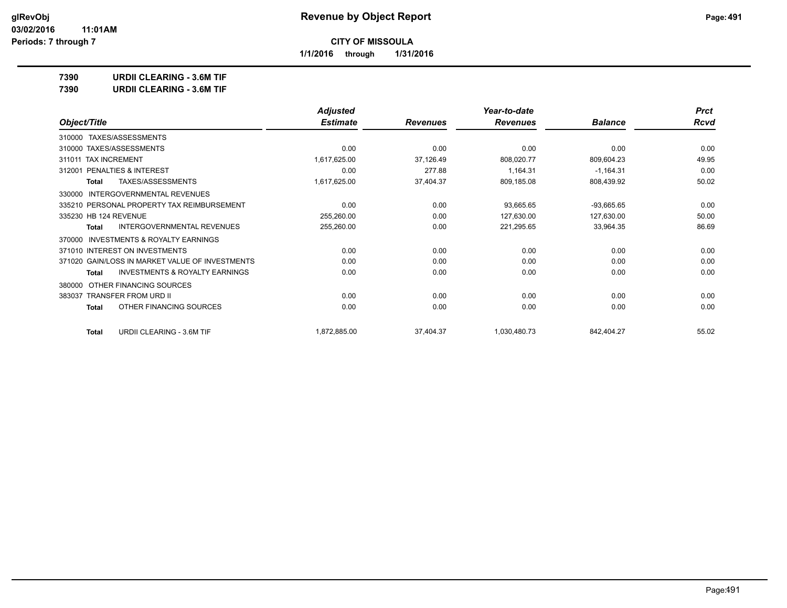**1/1/2016 through 1/31/2016**

**7390 URDII CLEARING - 3.6M TIF**

**7390 URDII CLEARING - 3.6M TIF**

|                                                           | <b>Adjusted</b> |                 | Year-to-date    |                | <b>Prct</b> |
|-----------------------------------------------------------|-----------------|-----------------|-----------------|----------------|-------------|
| Object/Title                                              | <b>Estimate</b> | <b>Revenues</b> | <b>Revenues</b> | <b>Balance</b> | <b>Rcvd</b> |
| TAXES/ASSESSMENTS<br>310000                               |                 |                 |                 |                |             |
| 310000 TAXES/ASSESSMENTS                                  | 0.00            | 0.00            | 0.00            | 0.00           | 0.00        |
| 311011 TAX INCREMENT                                      | 1,617,625.00    | 37,126.49       | 808,020.77      | 809,604.23     | 49.95       |
| PENALTIES & INTEREST<br>312001                            | 0.00            | 277.88          | 1,164.31        | $-1,164.31$    | 0.00        |
| <b>TAXES/ASSESSMENTS</b><br><b>Total</b>                  | 1,617,625.00    | 37,404.37       | 809,185.08      | 808,439.92     | 50.02       |
| <b>INTERGOVERNMENTAL REVENUES</b><br>330000               |                 |                 |                 |                |             |
| 335210 PERSONAL PROPERTY TAX REIMBURSEMENT                | 0.00            | 0.00            | 93,665.65       | $-93,665.65$   | 0.00        |
| 335230 HB 124 REVENUE                                     | 255,260.00      | 0.00            | 127,630.00      | 127,630.00     | 50.00       |
| <b>INTERGOVERNMENTAL REVENUES</b><br><b>Total</b>         | 255,260.00      | 0.00            | 221,295.65      | 33,964.35      | 86.69       |
| <b>INVESTMENTS &amp; ROYALTY EARNINGS</b><br>370000       |                 |                 |                 |                |             |
| 371010 INTEREST ON INVESTMENTS                            | 0.00            | 0.00            | 0.00            | 0.00           | 0.00        |
| 371020 GAIN/LOSS IN MARKET VALUE OF INVESTMENTS           | 0.00            | 0.00            | 0.00            | 0.00           | 0.00        |
| <b>INVESTMENTS &amp; ROYALTY EARNINGS</b><br><b>Total</b> | 0.00            | 0.00            | 0.00            | 0.00           | 0.00        |
| OTHER FINANCING SOURCES<br>380000                         |                 |                 |                 |                |             |
| <b>TRANSFER FROM URD II</b><br>383037                     | 0.00            | 0.00            | 0.00            | 0.00           | 0.00        |
| OTHER FINANCING SOURCES<br><b>Total</b>                   | 0.00            | 0.00            | 0.00            | 0.00           | 0.00        |
| URDII CLEARING - 3.6M TIF<br><b>Total</b>                 | 1,872,885.00    | 37,404.37       | 1,030,480.73    | 842,404.27     | 55.02       |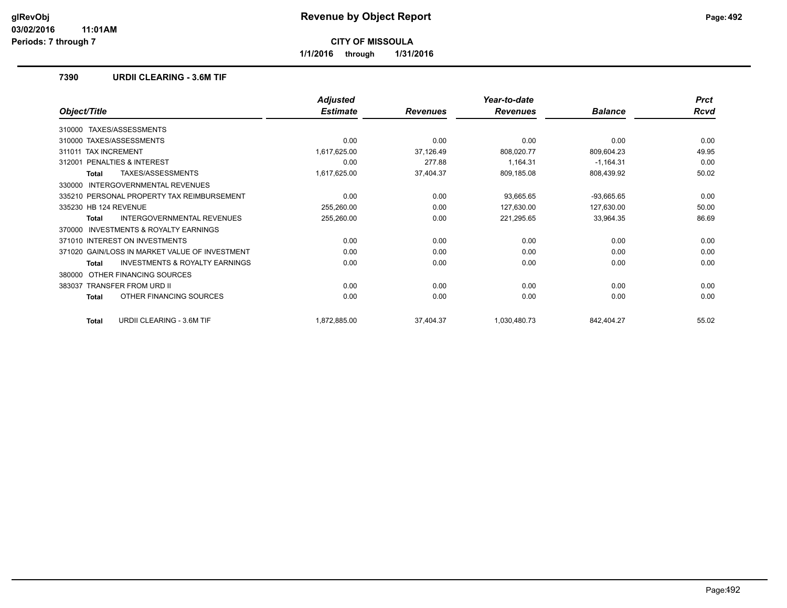**1/1/2016 through 1/31/2016**

## **7390 URDII CLEARING - 3.6M TIF**

|                                                           | <b>Adjusted</b> |                 | Year-to-date    |                | <b>Prct</b> |
|-----------------------------------------------------------|-----------------|-----------------|-----------------|----------------|-------------|
| Object/Title                                              | <b>Estimate</b> | <b>Revenues</b> | <b>Revenues</b> | <b>Balance</b> | <b>Rcvd</b> |
| TAXES/ASSESSMENTS<br>310000                               |                 |                 |                 |                |             |
| 310000 TAXES/ASSESSMENTS                                  | 0.00            | 0.00            | 0.00            | 0.00           | 0.00        |
| <b>TAX INCREMENT</b><br>311011                            | 1,617,625.00    | 37,126.49       | 808,020.77      | 809,604.23     | 49.95       |
| <b>PENALTIES &amp; INTEREST</b><br>312001                 | 0.00            | 277.88          | 1,164.31        | $-1,164.31$    | 0.00        |
| TAXES/ASSESSMENTS<br><b>Total</b>                         | 1,617,625.00    | 37,404.37       | 809,185.08      | 808,439.92     | 50.02       |
| INTERGOVERNMENTAL REVENUES<br>330000                      |                 |                 |                 |                |             |
| 335210 PERSONAL PROPERTY TAX REIMBURSEMENT                | 0.00            | 0.00            | 93,665.65       | $-93,665.65$   | 0.00        |
| 335230 HB 124 REVENUE                                     | 255,260.00      | 0.00            | 127,630.00      | 127,630.00     | 50.00       |
| <b>INTERGOVERNMENTAL REVENUES</b><br><b>Total</b>         | 255,260.00      | 0.00            | 221,295.65      | 33,964.35      | 86.69       |
| <b>INVESTMENTS &amp; ROYALTY EARNINGS</b><br>370000       |                 |                 |                 |                |             |
| 371010 INTEREST ON INVESTMENTS                            | 0.00            | 0.00            | 0.00            | 0.00           | 0.00        |
| 371020 GAIN/LOSS IN MARKET VALUE OF INVESTMENT            | 0.00            | 0.00            | 0.00            | 0.00           | 0.00        |
| <b>INVESTMENTS &amp; ROYALTY EARNINGS</b><br><b>Total</b> | 0.00            | 0.00            | 0.00            | 0.00           | 0.00        |
| OTHER FINANCING SOURCES<br>380000                         |                 |                 |                 |                |             |
| <b>TRANSFER FROM URD II</b><br>383037                     | 0.00            | 0.00            | 0.00            | 0.00           | 0.00        |
| OTHER FINANCING SOURCES<br><b>Total</b>                   | 0.00            | 0.00            | 0.00            | 0.00           | 0.00        |
| URDII CLEARING - 3.6M TIF<br><b>Total</b>                 | 1,872,885.00    | 37,404.37       | 1,030,480.73    | 842,404.27     | 55.02       |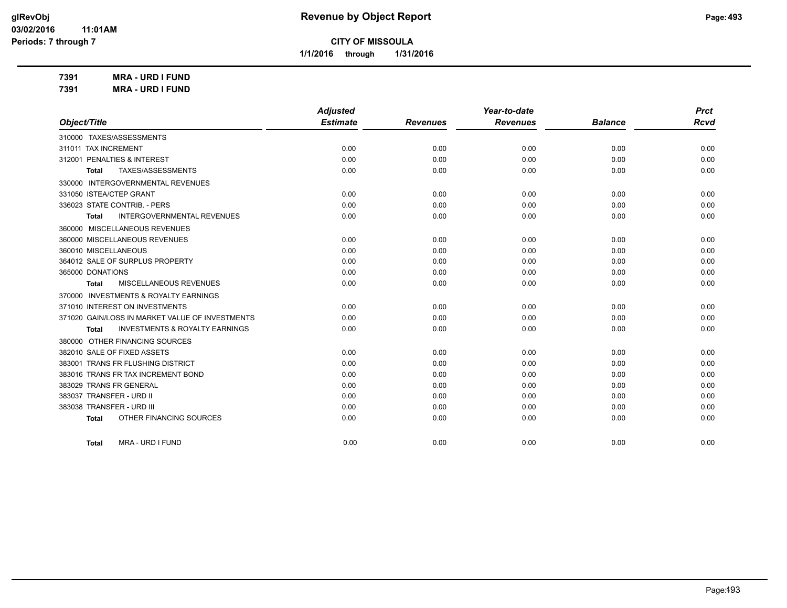*Prct* 

**CITY OF MISSOULA**

**1/1/2016 through 1/31/2016**

 *Adjusted* 

**7391 MRA - URD I FUND 7391 MRA - URD I FUND**

| 7391         | <b>MKA-UKDIFUND</b> |  |
|--------------|---------------------|--|
|              |                     |  |
|              |                     |  |
| Object/Title |                     |  |

| Object/Title                                              | <b>Estimate</b> | <b>Revenues</b> | <b>Revenues</b> | <b>Balance</b> | <b>Rcvd</b> |
|-----------------------------------------------------------|-----------------|-----------------|-----------------|----------------|-------------|
| 310000 TAXES/ASSESSMENTS                                  |                 |                 |                 |                |             |
| 311011 TAX INCREMENT                                      | 0.00            | 0.00            | 0.00            | 0.00           | 0.00        |
| 312001 PENALTIES & INTEREST                               | 0.00            | 0.00            | 0.00            | 0.00           | 0.00        |
| TAXES/ASSESSMENTS<br><b>Total</b>                         | 0.00            | 0.00            | 0.00            | 0.00           | 0.00        |
| 330000 INTERGOVERNMENTAL REVENUES                         |                 |                 |                 |                |             |
| 331050 ISTEA/CTEP GRANT                                   | 0.00            | 0.00            | 0.00            | 0.00           | 0.00        |
| 336023 STATE CONTRIB. - PERS                              | 0.00            | 0.00            | 0.00            | 0.00           | 0.00        |
| <b>INTERGOVERNMENTAL REVENUES</b><br><b>Total</b>         | 0.00            | 0.00            | 0.00            | 0.00           | 0.00        |
| 360000 MISCELLANEOUS REVENUES                             |                 |                 |                 |                |             |
| 360000 MISCELLANEOUS REVENUES                             | 0.00            | 0.00            | 0.00            | 0.00           | 0.00        |
| 360010 MISCELLANEOUS                                      | 0.00            | 0.00            | 0.00            | 0.00           | 0.00        |
| 364012 SALE OF SURPLUS PROPERTY                           | 0.00            | 0.00            | 0.00            | 0.00           | 0.00        |
| 365000 DONATIONS                                          | 0.00            | 0.00            | 0.00            | 0.00           | 0.00        |
| <b>MISCELLANEOUS REVENUES</b><br>Total                    | 0.00            | 0.00            | 0.00            | 0.00           | 0.00        |
| 370000 INVESTMENTS & ROYALTY EARNINGS                     |                 |                 |                 |                |             |
| 371010 INTEREST ON INVESTMENTS                            | 0.00            | 0.00            | 0.00            | 0.00           | 0.00        |
| 371020 GAIN/LOSS IN MARKET VALUE OF INVESTMENTS           | 0.00            | 0.00            | 0.00            | 0.00           | 0.00        |
| <b>INVESTMENTS &amp; ROYALTY EARNINGS</b><br><b>Total</b> | 0.00            | 0.00            | 0.00            | 0.00           | 0.00        |
| 380000 OTHER FINANCING SOURCES                            |                 |                 |                 |                |             |
| 382010 SALE OF FIXED ASSETS                               | 0.00            | 0.00            | 0.00            | 0.00           | 0.00        |
| 383001 TRANS FR FLUSHING DISTRICT                         | 0.00            | 0.00            | 0.00            | 0.00           | 0.00        |
| 383016 TRANS FR TAX INCREMENT BOND                        | 0.00            | 0.00            | 0.00            | 0.00           | 0.00        |
| 383029 TRANS FR GENERAL                                   | 0.00            | 0.00            | 0.00            | 0.00           | 0.00        |
| 383037 TRANSFER - URD II                                  | 0.00            | 0.00            | 0.00            | 0.00           | 0.00        |
| 383038 TRANSFER - URD III                                 | 0.00            | 0.00            | 0.00            | 0.00           | 0.00        |
| OTHER FINANCING SOURCES<br><b>Total</b>                   | 0.00            | 0.00            | 0.00            | 0.00           | 0.00        |
| MRA - URD I FUND<br>Total                                 | 0.00            | 0.00            | 0.00            | 0.00           | 0.00        |

*Year-to-date*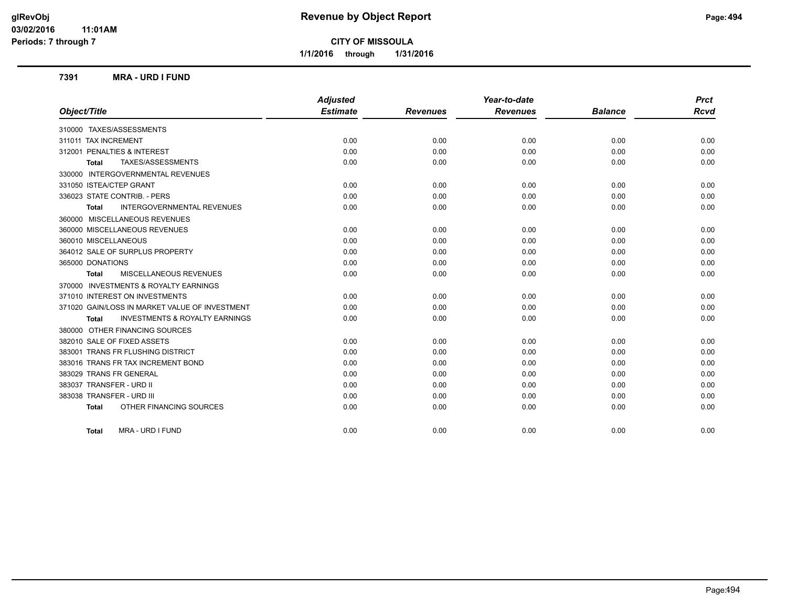**1/1/2016 through 1/31/2016**

#### **7391 MRA - URD I FUND**

|                                                    | <b>Adjusted</b> |                 | Year-to-date    |                | <b>Prct</b> |
|----------------------------------------------------|-----------------|-----------------|-----------------|----------------|-------------|
| Object/Title                                       | <b>Estimate</b> | <b>Revenues</b> | <b>Revenues</b> | <b>Balance</b> | <b>Rcvd</b> |
| 310000 TAXES/ASSESSMENTS                           |                 |                 |                 |                |             |
| 311011 TAX INCREMENT                               | 0.00            | 0.00            | 0.00            | 0.00           | 0.00        |
| 312001 PENALTIES & INTEREST                        | 0.00            | 0.00            | 0.00            | 0.00           | 0.00        |
| TAXES/ASSESSMENTS<br><b>Total</b>                  | 0.00            | 0.00            | 0.00            | 0.00           | 0.00        |
| 330000 INTERGOVERNMENTAL REVENUES                  |                 |                 |                 |                |             |
| 331050 ISTEA/CTEP GRANT                            | 0.00            | 0.00            | 0.00            | 0.00           | 0.00        |
| 336023 STATE CONTRIB. - PERS                       | 0.00            | 0.00            | 0.00            | 0.00           | 0.00        |
| <b>INTERGOVERNMENTAL REVENUES</b><br>Total         | 0.00            | 0.00            | 0.00            | 0.00           | 0.00        |
| 360000 MISCELLANEOUS REVENUES                      |                 |                 |                 |                |             |
| 360000 MISCELLANEOUS REVENUES                      | 0.00            | 0.00            | 0.00            | 0.00           | 0.00        |
| 360010 MISCELLANEOUS                               | 0.00            | 0.00            | 0.00            | 0.00           | 0.00        |
| 364012 SALE OF SURPLUS PROPERTY                    | 0.00            | 0.00            | 0.00            | 0.00           | 0.00        |
| 365000 DONATIONS                                   | 0.00            | 0.00            | 0.00            | 0.00           | 0.00        |
| <b>MISCELLANEOUS REVENUES</b><br><b>Total</b>      | 0.00            | 0.00            | 0.00            | 0.00           | 0.00        |
| 370000 INVESTMENTS & ROYALTY EARNINGS              |                 |                 |                 |                |             |
| 371010 INTEREST ON INVESTMENTS                     | 0.00            | 0.00            | 0.00            | 0.00           | 0.00        |
| 371020 GAIN/LOSS IN MARKET VALUE OF INVESTMENT     | 0.00            | 0.00            | 0.00            | 0.00           | 0.00        |
| <b>INVESTMENTS &amp; ROYALTY EARNINGS</b><br>Total | 0.00            | 0.00            | 0.00            | 0.00           | 0.00        |
| 380000 OTHER FINANCING SOURCES                     |                 |                 |                 |                |             |
| 382010 SALE OF FIXED ASSETS                        | 0.00            | 0.00            | 0.00            | 0.00           | 0.00        |
| 383001 TRANS FR FLUSHING DISTRICT                  | 0.00            | 0.00            | 0.00            | 0.00           | 0.00        |
| 383016 TRANS FR TAX INCREMENT BOND                 | 0.00            | 0.00            | 0.00            | 0.00           | 0.00        |
| 383029 TRANS FR GENERAL                            | 0.00            | 0.00            | 0.00            | 0.00           | 0.00        |
| 383037 TRANSFER - URD II                           | 0.00            | 0.00            | 0.00            | 0.00           | 0.00        |
| 383038 TRANSFER - URD III                          | 0.00            | 0.00            | 0.00            | 0.00           | 0.00        |
| OTHER FINANCING SOURCES<br><b>Total</b>            | 0.00            | 0.00            | 0.00            | 0.00           | 0.00        |
| MRA - URD I FUND<br><b>Total</b>                   | 0.00            | 0.00            | 0.00            | 0.00           | 0.00        |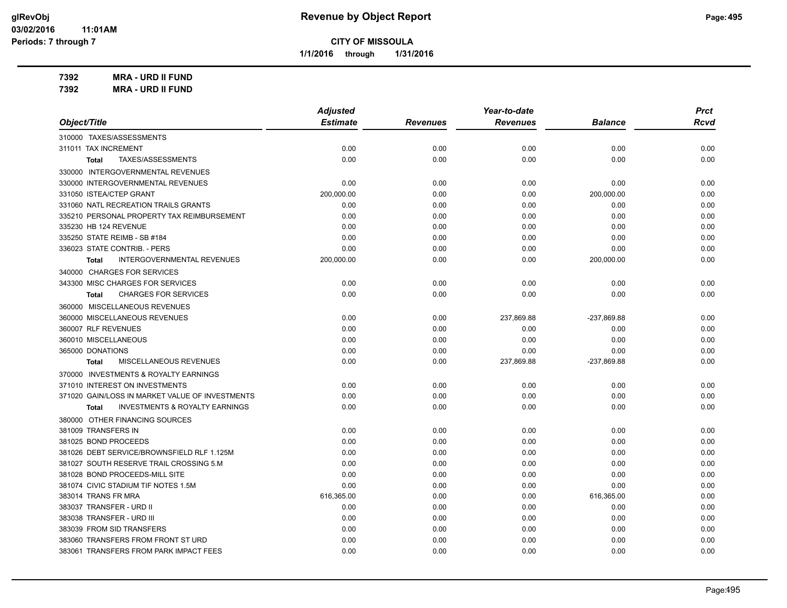**1/1/2016 through 1/31/2016**

**7392 MRA - URD II FUND 7392 MRA - URD II FUND**

| 7392 |  | MRA - URD II FUNI |
|------|--|-------------------|
|      |  |                   |

|                                                           | <b>Adjusted</b> |                 | Year-to-date    |                | <b>Prct</b> |
|-----------------------------------------------------------|-----------------|-----------------|-----------------|----------------|-------------|
| Object/Title                                              | <b>Estimate</b> | <b>Revenues</b> | <b>Revenues</b> | <b>Balance</b> | <b>Rcvd</b> |
| 310000 TAXES/ASSESSMENTS                                  |                 |                 |                 |                |             |
| 311011 TAX INCREMENT                                      | 0.00            | 0.00            | 0.00            | 0.00           | 0.00        |
| TAXES/ASSESSMENTS<br><b>Total</b>                         | 0.00            | 0.00            | 0.00            | 0.00           | 0.00        |
| 330000 INTERGOVERNMENTAL REVENUES                         |                 |                 |                 |                |             |
| 330000 INTERGOVERNMENTAL REVENUES                         | 0.00            | 0.00            | 0.00            | 0.00           | 0.00        |
| 331050 ISTEA/CTEP GRANT                                   | 200,000.00      | 0.00            | 0.00            | 200,000.00     | 0.00        |
| 331060 NATL RECREATION TRAILS GRANTS                      | 0.00            | 0.00            | 0.00            | 0.00           | 0.00        |
| 335210 PERSONAL PROPERTY TAX REIMBURSEMENT                | 0.00            | 0.00            | 0.00            | 0.00           | 0.00        |
| 335230 HB 124 REVENUE                                     | 0.00            | 0.00            | 0.00            | 0.00           | 0.00        |
| 335250 STATE REIMB - SB #184                              | 0.00            | 0.00            | 0.00            | 0.00           | 0.00        |
| 336023 STATE CONTRIB. - PERS                              | 0.00            | 0.00            | 0.00            | 0.00           | 0.00        |
| INTERGOVERNMENTAL REVENUES<br><b>Total</b>                | 200,000.00      | 0.00            | 0.00            | 200,000.00     | 0.00        |
| 340000 CHARGES FOR SERVICES                               |                 |                 |                 |                |             |
| 343300 MISC CHARGES FOR SERVICES                          | 0.00            | 0.00            | 0.00            | 0.00           | 0.00        |
| <b>CHARGES FOR SERVICES</b><br><b>Total</b>               | 0.00            | 0.00            | 0.00            | 0.00           | 0.00        |
| 360000 MISCELLANEOUS REVENUES                             |                 |                 |                 |                |             |
| 360000 MISCELLANEOUS REVENUES                             | 0.00            | 0.00            | 237,869.88      | -237,869.88    | 0.00        |
| 360007 RLF REVENUES                                       | 0.00            | 0.00            | 0.00            | 0.00           | 0.00        |
| 360010 MISCELLANEOUS                                      | 0.00            | 0.00            | 0.00            | 0.00           | 0.00        |
| 365000 DONATIONS                                          | 0.00            | 0.00            | 0.00            | 0.00           | 0.00        |
| MISCELLANEOUS REVENUES<br><b>Total</b>                    | 0.00            | 0.00            | 237,869.88      | -237,869.88    | 0.00        |
| 370000 INVESTMENTS & ROYALTY EARNINGS                     |                 |                 |                 |                |             |
| 371010 INTEREST ON INVESTMENTS                            | 0.00            | 0.00            | 0.00            | 0.00           | 0.00        |
| 371020 GAIN/LOSS IN MARKET VALUE OF INVESTMENTS           | 0.00            | 0.00            | 0.00            | 0.00           | 0.00        |
| <b>INVESTMENTS &amp; ROYALTY EARNINGS</b><br><b>Total</b> | 0.00            | 0.00            | 0.00            | 0.00           | 0.00        |
| 380000 OTHER FINANCING SOURCES                            |                 |                 |                 |                |             |
| 381009 TRANSFERS IN                                       | 0.00            | 0.00            | 0.00            | 0.00           | 0.00        |
| 381025 BOND PROCEEDS                                      | 0.00            | 0.00            | 0.00            | 0.00           | 0.00        |
| 381026 DEBT SERVICE/BROWNSFIELD RLF 1.125M                | 0.00            | 0.00            | 0.00            | 0.00           | 0.00        |
| 381027 SOUTH RESERVE TRAIL CROSSING 5.M                   | 0.00            | 0.00            | 0.00            | 0.00           | 0.00        |
| 381028 BOND PROCEEDS-MILL SITE                            | 0.00            | 0.00            | 0.00            | 0.00           | 0.00        |
| 381074 CIVIC STADIUM TIF NOTES 1.5M                       | 0.00            | 0.00            | 0.00            | 0.00           | 0.00        |
| 383014 TRANS FR MRA                                       | 616,365.00      | 0.00            | 0.00            | 616,365.00     | 0.00        |
| 383037 TRANSFER - URD II                                  | 0.00            | 0.00            | 0.00            | 0.00           | 0.00        |
| 383038 TRANSFER - URD III                                 | 0.00            | 0.00            | 0.00            | 0.00           | 0.00        |
| 383039 FROM SID TRANSFERS                                 | 0.00            | 0.00            | 0.00            | 0.00           | 0.00        |
| 383060 TRANSFERS FROM FRONT ST URD                        | 0.00            | 0.00            | 0.00            | 0.00           | 0.00        |
| 383061 TRANSFERS FROM PARK IMPACT FEES                    | 0.00            | 0.00            | 0.00            | 0.00           | 0.00        |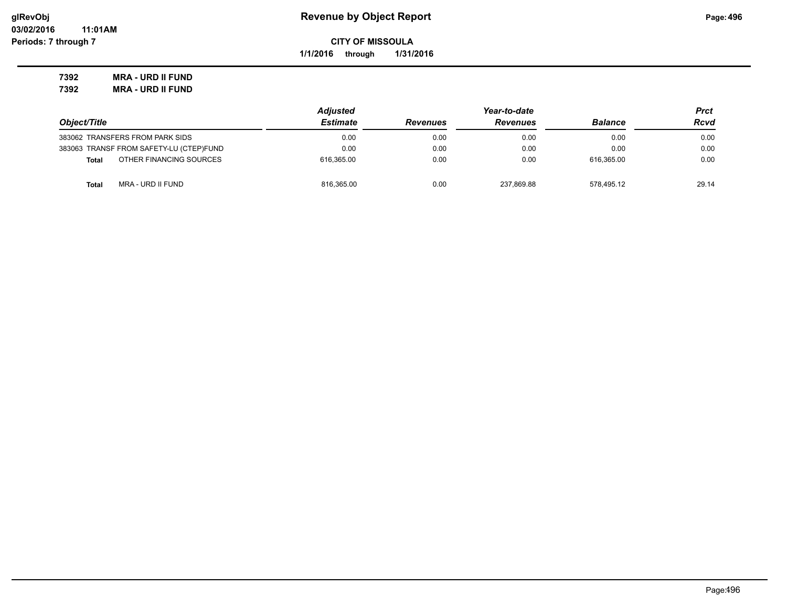## **glRevObj Revenue by Object Report Page:496**

**CITY OF MISSOULA**

**1/1/2016 through 1/31/2016**

**7392 MRA - URD II FUND 7392 MRA - URD II FUND**

|                                         | <b>Adjusted</b> |                 | Year-to-date    |                | Prct  |
|-----------------------------------------|-----------------|-----------------|-----------------|----------------|-------|
| Object/Title                            | <b>Estimate</b> | <b>Revenues</b> | <b>Revenues</b> | <b>Balance</b> | Rcvd  |
| 383062 TRANSFERS FROM PARK SIDS         | 0.00            | 0.00            | 0.00            | 0.00           | 0.00  |
| 383063 TRANSF FROM SAFETY-LU (CTEP)FUND | 0.00            | 0.00            | 0.00            | 0.00           | 0.00  |
| OTHER FINANCING SOURCES<br><b>Total</b> | 616.365.00      | 0.00            | 0.00            | 616.365.00     | 0.00  |
| MRA - URD II FUND<br><b>Total</b>       | 816.365.00      | 0.00            | 237.869.88      | 578.495.12     | 29.14 |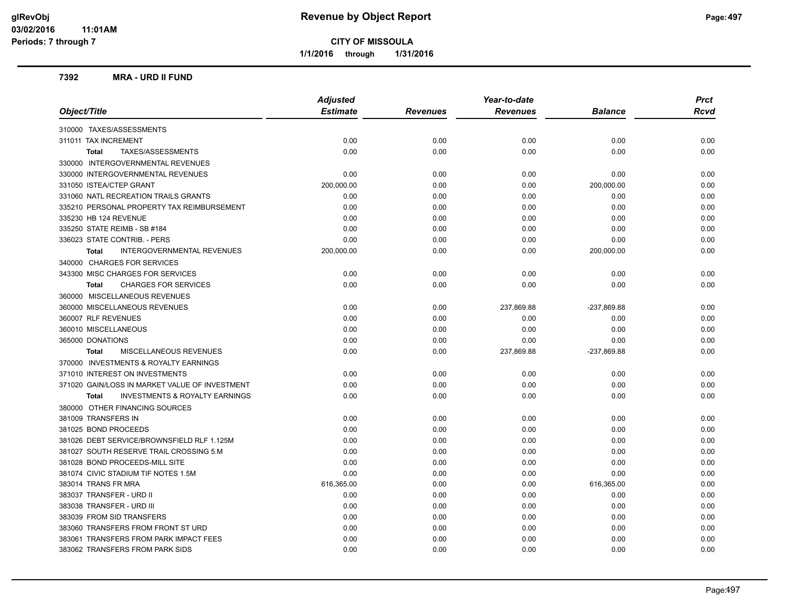**1/1/2016 through 1/31/2016**

#### **7392 MRA - URD II FUND**

| <b>Adjusted</b><br><b>Estimate</b><br>Object/Title<br><b>Rcvd</b><br><b>Revenues</b><br><b>Balance</b><br><b>Revenues</b><br>310000 TAXES/ASSESSMENTS<br>311011 TAX INCREMENT<br>0.00<br>0.00<br>0.00<br>0.00<br>0.00<br>0.00<br>0.00<br>0.00<br>0.00<br>0.00<br>TAXES/ASSESSMENTS<br><b>Total</b><br>330000 INTERGOVERNMENTAL REVENUES<br>330000 INTERGOVERNMENTAL REVENUES<br>0.00<br>0.00<br>0.00<br>0.00<br>0.00<br>331050 ISTEA/CTEP GRANT<br>200,000.00<br>0.00<br>0.00<br>200,000.00<br>0.00 |
|-----------------------------------------------------------------------------------------------------------------------------------------------------------------------------------------------------------------------------------------------------------------------------------------------------------------------------------------------------------------------------------------------------------------------------------------------------------------------------------------------------|
|                                                                                                                                                                                                                                                                                                                                                                                                                                                                                                     |
|                                                                                                                                                                                                                                                                                                                                                                                                                                                                                                     |
|                                                                                                                                                                                                                                                                                                                                                                                                                                                                                                     |
|                                                                                                                                                                                                                                                                                                                                                                                                                                                                                                     |
|                                                                                                                                                                                                                                                                                                                                                                                                                                                                                                     |
|                                                                                                                                                                                                                                                                                                                                                                                                                                                                                                     |
|                                                                                                                                                                                                                                                                                                                                                                                                                                                                                                     |
| 331060 NATL RECREATION TRAILS GRANTS<br>0.00<br>0.00<br>0.00<br>0.00<br>0.00                                                                                                                                                                                                                                                                                                                                                                                                                        |
| 335210 PERSONAL PROPERTY TAX REIMBURSEMENT<br>0.00<br>0.00<br>0.00<br>0.00<br>0.00                                                                                                                                                                                                                                                                                                                                                                                                                  |
| 335230 HB 124 REVENUE<br>0.00<br>0.00<br>0.00<br>0.00<br>0.00                                                                                                                                                                                                                                                                                                                                                                                                                                       |
| 335250 STATE REIMB - SB #184<br>0.00<br>0.00<br>0.00<br>0.00<br>0.00                                                                                                                                                                                                                                                                                                                                                                                                                                |
| 336023 STATE CONTRIB. - PERS<br>0.00<br>0.00<br>0.00<br>0.00<br>0.00                                                                                                                                                                                                                                                                                                                                                                                                                                |
| <b>INTERGOVERNMENTAL REVENUES</b><br>200,000.00<br>0.00<br>0.00<br>200,000.00<br>0.00<br><b>Total</b>                                                                                                                                                                                                                                                                                                                                                                                               |
| 340000 CHARGES FOR SERVICES                                                                                                                                                                                                                                                                                                                                                                                                                                                                         |
| 343300 MISC CHARGES FOR SERVICES<br>0.00<br>0.00<br>0.00<br>0.00<br>0.00                                                                                                                                                                                                                                                                                                                                                                                                                            |
| <b>CHARGES FOR SERVICES</b><br>0.00<br>0.00<br>0.00<br>0.00<br>0.00<br><b>Total</b>                                                                                                                                                                                                                                                                                                                                                                                                                 |
| 360000 MISCELLANEOUS REVENUES                                                                                                                                                                                                                                                                                                                                                                                                                                                                       |
| 360000 MISCELLANEOUS REVENUES<br>0.00<br>0.00<br>237,869.88<br>-237,869.88<br>0.00                                                                                                                                                                                                                                                                                                                                                                                                                  |
| 360007 RLF REVENUES<br>0.00<br>0.00<br>0.00<br>0.00<br>0.00                                                                                                                                                                                                                                                                                                                                                                                                                                         |
| 360010 MISCELLANEOUS<br>0.00<br>0.00<br>0.00<br>0.00<br>0.00                                                                                                                                                                                                                                                                                                                                                                                                                                        |
| 365000 DONATIONS<br>0.00<br>0.00<br>0.00<br>0.00<br>0.00                                                                                                                                                                                                                                                                                                                                                                                                                                            |
| MISCELLANEOUS REVENUES<br>0.00<br>0.00<br>237,869.88<br>-237,869.88<br>0.00<br><b>Total</b>                                                                                                                                                                                                                                                                                                                                                                                                         |
| 370000 INVESTMENTS & ROYALTY EARNINGS                                                                                                                                                                                                                                                                                                                                                                                                                                                               |
| 371010 INTEREST ON INVESTMENTS<br>0.00<br>0.00<br>0.00<br>0.00<br>0.00                                                                                                                                                                                                                                                                                                                                                                                                                              |
| 0.00<br>0.00<br>0.00<br>0.00<br>371020 GAIN/LOSS IN MARKET VALUE OF INVESTMENT<br>0.00                                                                                                                                                                                                                                                                                                                                                                                                              |
| <b>INVESTMENTS &amp; ROYALTY EARNINGS</b><br>0.00<br>0.00<br>0.00<br>0.00<br>0.00<br><b>Total</b>                                                                                                                                                                                                                                                                                                                                                                                                   |
| 380000 OTHER FINANCING SOURCES                                                                                                                                                                                                                                                                                                                                                                                                                                                                      |
| 381009 TRANSFERS IN<br>0.00<br>0.00<br>0.00<br>0.00<br>0.00                                                                                                                                                                                                                                                                                                                                                                                                                                         |
| 381025 BOND PROCEEDS<br>0.00<br>0.00<br>0.00<br>0.00<br>0.00                                                                                                                                                                                                                                                                                                                                                                                                                                        |
| 381026 DEBT SERVICE/BROWNSFIELD RLF 1.125M<br>0.00<br>0.00<br>0.00<br>0.00<br>0.00                                                                                                                                                                                                                                                                                                                                                                                                                  |
| 381027 SOUTH RESERVE TRAIL CROSSING 5.M<br>0.00<br>0.00<br>0.00<br>0.00<br>0.00                                                                                                                                                                                                                                                                                                                                                                                                                     |
| 381028 BOND PROCEEDS-MILL SITE<br>0.00<br>0.00<br>0.00<br>0.00<br>0.00                                                                                                                                                                                                                                                                                                                                                                                                                              |
| 381074 CIVIC STADIUM TIF NOTES 1.5M<br>0.00<br>0.00<br>0.00<br>0.00<br>0.00                                                                                                                                                                                                                                                                                                                                                                                                                         |
| 383014 TRANS FR MRA<br>616,365.00<br>616,365.00<br>0.00<br>0.00<br>0.00                                                                                                                                                                                                                                                                                                                                                                                                                             |
| 383037 TRANSFER - URD II<br>0.00<br>0.00<br>0.00<br>0.00<br>0.00                                                                                                                                                                                                                                                                                                                                                                                                                                    |
| 383038 TRANSFER - URD III<br>0.00<br>0.00<br>0.00<br>0.00<br>0.00                                                                                                                                                                                                                                                                                                                                                                                                                                   |
| 383039 FROM SID TRANSFERS<br>0.00<br>0.00<br>0.00<br>0.00<br>0.00                                                                                                                                                                                                                                                                                                                                                                                                                                   |
| 383060 TRANSFERS FROM FRONT ST URD<br>0.00<br>0.00<br>0.00<br>0.00<br>0.00                                                                                                                                                                                                                                                                                                                                                                                                                          |
| 383061 TRANSFERS FROM PARK IMPACT FEES<br>0.00<br>0.00<br>0.00<br>0.00<br>0.00                                                                                                                                                                                                                                                                                                                                                                                                                      |
| 383062 TRANSFERS FROM PARK SIDS<br>0.00<br>0.00<br>0.00<br>0.00<br>0.00                                                                                                                                                                                                                                                                                                                                                                                                                             |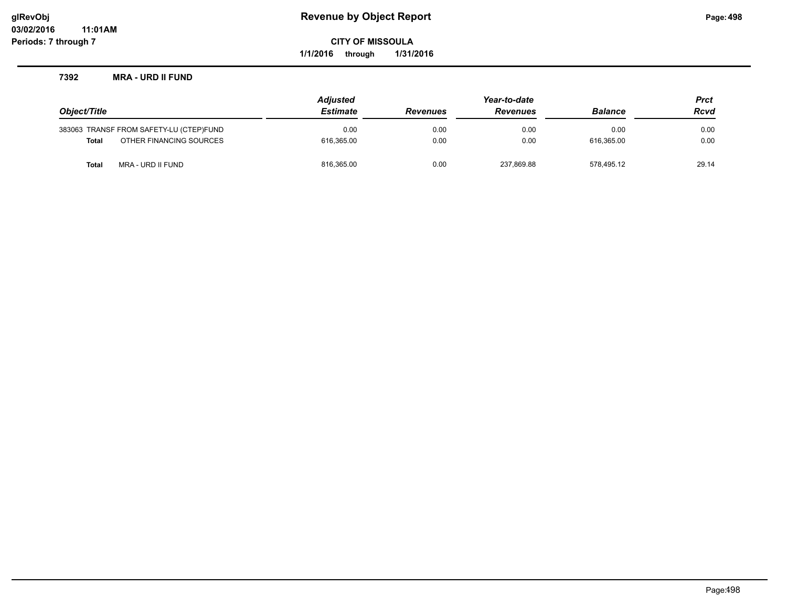## **glRevObj Revenue by Object Report Page:498**

**CITY OF MISSOULA**

**1/1/2016 through 1/31/2016**

#### **7392 MRA - URD II FUND**

|                                         | <b>Adjusted</b> | Year-to-date    |                 |                | <b>Prct</b> |
|-----------------------------------------|-----------------|-----------------|-----------------|----------------|-------------|
| Object/Title                            | <b>Estimate</b> | <b>Revenues</b> | <b>Revenues</b> | <b>Balance</b> | <b>Rcvd</b> |
| 383063 TRANSF FROM SAFETY-LU (CTEP)FUND | 0.00            | 0.00            | 0.00            | 0.00           | 0.00        |
| OTHER FINANCING SOURCES<br><b>Total</b> | 616.365.00      | 0.00            | 0.00            | 616.365.00     | 0.00        |
| MRA - URD II FUND<br><b>Total</b>       | 816,365.00      | 0.00            | 237.869.88      | 578.495.12     | 29.14       |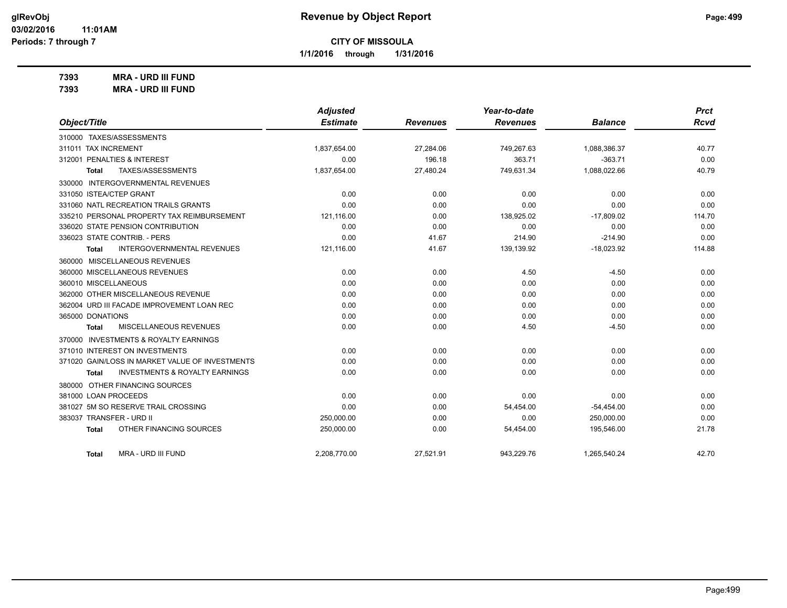**1/1/2016 through 1/31/2016**

**7393 MRA - URD III FUND**

|                                                    | <b>Adjusted</b> |                 | Year-to-date    |                | <b>Prct</b> |
|----------------------------------------------------|-----------------|-----------------|-----------------|----------------|-------------|
| Object/Title                                       | <b>Estimate</b> | <b>Revenues</b> | <b>Revenues</b> | <b>Balance</b> | <b>Rcvd</b> |
| 310000 TAXES/ASSESSMENTS                           |                 |                 |                 |                |             |
| 311011 TAX INCREMENT                               | 1,837,654.00    | 27,284.06       | 749,267.63      | 1,088,386.37   | 40.77       |
| 312001 PENALTIES & INTEREST                        | 0.00            | 196.18          | 363.71          | $-363.71$      | 0.00        |
| TAXES/ASSESSMENTS<br>Total                         | 1,837,654.00    | 27,480.24       | 749,631.34      | 1,088,022.66   | 40.79       |
| 330000 INTERGOVERNMENTAL REVENUES                  |                 |                 |                 |                |             |
| 331050 ISTEA/CTEP GRANT                            | 0.00            | 0.00            | 0.00            | 0.00           | 0.00        |
| 331060 NATL RECREATION TRAILS GRANTS               | 0.00            | 0.00            | 0.00            | 0.00           | 0.00        |
| 335210 PERSONAL PROPERTY TAX REIMBURSEMENT         | 121,116.00      | 0.00            | 138,925.02      | $-17,809.02$   | 114.70      |
| 336020 STATE PENSION CONTRIBUTION                  | 0.00            | 0.00            | 0.00            | 0.00           | 0.00        |
| 336023 STATE CONTRIB. - PERS                       | 0.00            | 41.67           | 214.90          | $-214.90$      | 0.00        |
| <b>INTERGOVERNMENTAL REVENUES</b><br>Total         | 121,116.00      | 41.67           | 139,139.92      | $-18,023.92$   | 114.88      |
| 360000 MISCELLANEOUS REVENUES                      |                 |                 |                 |                |             |
| 360000 MISCELLANEOUS REVENUES                      | 0.00            | 0.00            | 4.50            | $-4.50$        | 0.00        |
| 360010 MISCELLANEOUS                               | 0.00            | 0.00            | 0.00            | 0.00           | 0.00        |
| 362000 OTHER MISCELLANEOUS REVENUE                 | 0.00            | 0.00            | 0.00            | 0.00           | 0.00        |
| 362004 URD III FACADE IMPROVEMENT LOAN REC         | 0.00            | 0.00            | 0.00            | 0.00           | 0.00        |
| 365000 DONATIONS                                   | 0.00            | 0.00            | 0.00            | 0.00           | 0.00        |
| MISCELLANEOUS REVENUES<br>Total                    | 0.00            | 0.00            | 4.50            | $-4.50$        | 0.00        |
| 370000 INVESTMENTS & ROYALTY EARNINGS              |                 |                 |                 |                |             |
| 371010 INTEREST ON INVESTMENTS                     | 0.00            | 0.00            | 0.00            | 0.00           | 0.00        |
| 371020 GAIN/LOSS IN MARKET VALUE OF INVESTMENTS    | 0.00            | 0.00            | 0.00            | 0.00           | 0.00        |
| <b>INVESTMENTS &amp; ROYALTY EARNINGS</b><br>Total | 0.00            | 0.00            | 0.00            | 0.00           | 0.00        |
| 380000 OTHER FINANCING SOURCES                     |                 |                 |                 |                |             |
| 381000 LOAN PROCEEDS                               | 0.00            | 0.00            | 0.00            | 0.00           | 0.00        |
| 381027 5M SO RESERVE TRAIL CROSSING                | 0.00            | 0.00            | 54,454.00       | $-54,454.00$   | 0.00        |
| 383037 TRANSFER - URD II                           | 250,000.00      | 0.00            | 0.00            | 250,000.00     | 0.00        |
| OTHER FINANCING SOURCES<br>Total                   | 250,000.00      | 0.00            | 54,454.00       | 195,546.00     | 21.78       |
| MRA - URD III FUND<br>Total                        | 2.208.770.00    | 27,521.91       | 943,229.76      | 1,265,540.24   | 42.70       |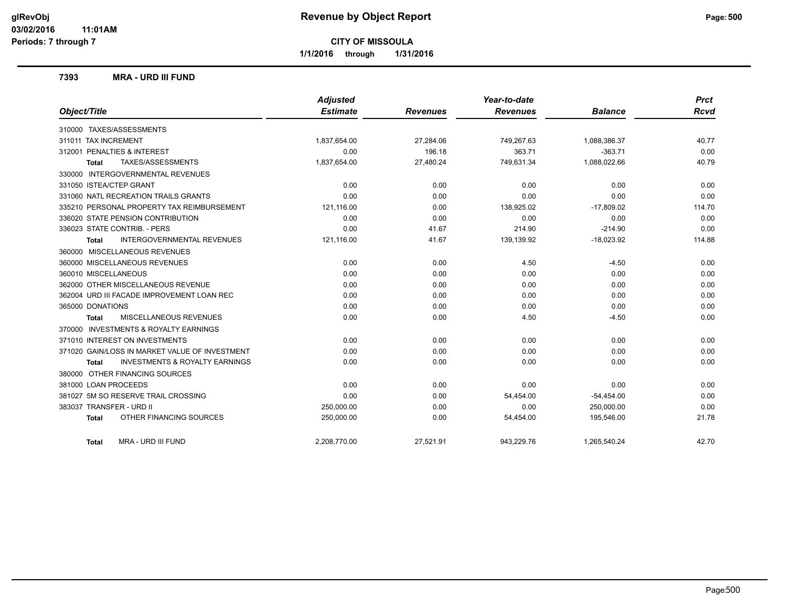**1/1/2016 through 1/31/2016**

#### **7393 MRA - URD III FUND**

|                                                           | <b>Adjusted</b> |                 | Year-to-date    |                | <b>Prct</b> |
|-----------------------------------------------------------|-----------------|-----------------|-----------------|----------------|-------------|
| Object/Title                                              | <b>Estimate</b> | <b>Revenues</b> | <b>Revenues</b> | <b>Balance</b> | <b>Rcvd</b> |
| 310000 TAXES/ASSESSMENTS                                  |                 |                 |                 |                |             |
| 311011 TAX INCREMENT                                      | 1,837,654.00    | 27,284.06       | 749,267.63      | 1,088,386.37   | 40.77       |
| 312001 PENALTIES & INTEREST                               | 0.00            | 196.18          | 363.71          | $-363.71$      | 0.00        |
| TAXES/ASSESSMENTS<br><b>Total</b>                         | 1,837,654.00    | 27,480.24       | 749,631.34      | 1,088,022.66   | 40.79       |
| 330000 INTERGOVERNMENTAL REVENUES                         |                 |                 |                 |                |             |
| 331050 ISTEA/CTEP GRANT                                   | 0.00            | 0.00            | 0.00            | 0.00           | 0.00        |
| 331060 NATL RECREATION TRAILS GRANTS                      | 0.00            | 0.00            | 0.00            | 0.00           | 0.00        |
| 335210 PERSONAL PROPERTY TAX REIMBURSEMENT                | 121,116.00      | 0.00            | 138,925.02      | $-17,809.02$   | 114.70      |
| 336020 STATE PENSION CONTRIBUTION                         | 0.00            | 0.00            | 0.00            | 0.00           | 0.00        |
| 336023 STATE CONTRIB. - PERS                              | 0.00            | 41.67           | 214.90          | $-214.90$      | 0.00        |
| <b>INTERGOVERNMENTAL REVENUES</b><br><b>Total</b>         | 121,116.00      | 41.67           | 139,139.92      | $-18,023.92$   | 114.88      |
| 360000 MISCELLANEOUS REVENUES                             |                 |                 |                 |                |             |
| 360000 MISCELLANEOUS REVENUES                             | 0.00            | 0.00            | 4.50            | $-4.50$        | 0.00        |
| 360010 MISCELLANEOUS                                      | 0.00            | 0.00            | 0.00            | 0.00           | 0.00        |
| 362000 OTHER MISCELLANEOUS REVENUE                        | 0.00            | 0.00            | 0.00            | 0.00           | 0.00        |
| 362004 URD III FACADE IMPROVEMENT LOAN REC                | 0.00            | 0.00            | 0.00            | 0.00           | 0.00        |
| 365000 DONATIONS                                          | 0.00            | 0.00            | 0.00            | 0.00           | 0.00        |
| <b>MISCELLANEOUS REVENUES</b><br>Total                    | 0.00            | 0.00            | 4.50            | $-4.50$        | 0.00        |
| 370000 INVESTMENTS & ROYALTY EARNINGS                     |                 |                 |                 |                |             |
| 371010 INTEREST ON INVESTMENTS                            | 0.00            | 0.00            | 0.00            | 0.00           | 0.00        |
| 371020 GAIN/LOSS IN MARKET VALUE OF INVESTMENT            | 0.00            | 0.00            | 0.00            | 0.00           | 0.00        |
| <b>INVESTMENTS &amp; ROYALTY EARNINGS</b><br><b>Total</b> | 0.00            | 0.00            | 0.00            | 0.00           | 0.00        |
| 380000 OTHER FINANCING SOURCES                            |                 |                 |                 |                |             |
| 381000 LOAN PROCEEDS                                      | 0.00            | 0.00            | 0.00            | 0.00           | 0.00        |
| 381027 5M SO RESERVE TRAIL CROSSING                       | 0.00            | 0.00            | 54,454.00       | $-54,454.00$   | 0.00        |
| 383037 TRANSFER - URD II                                  | 250,000.00      | 0.00            | 0.00            | 250,000.00     | 0.00        |
| OTHER FINANCING SOURCES<br>Total                          | 250,000.00      | 0.00            | 54,454.00       | 195,546.00     | 21.78       |
| MRA - URD III FUND<br>Total                               | 2,208,770.00    | 27,521.91       | 943,229.76      | 1,265,540.24   | 42.70       |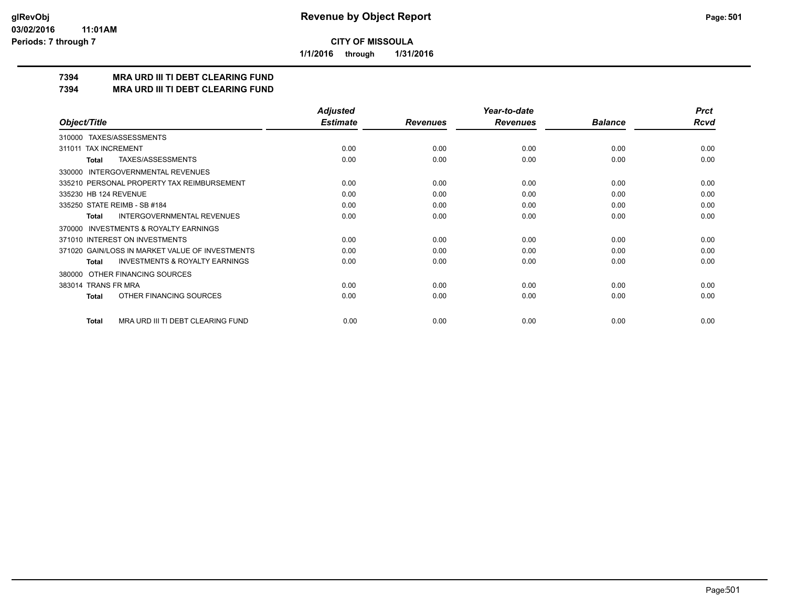**1/1/2016 through 1/31/2016**

## **7394 MRA URD III TI DEBT CLEARING FUND**

**7394 MRA URD III TI DEBT CLEARING FUND**

| Object/Title                                              | <b>Adjusted</b> |                 | Year-to-date    |                | <b>Prct</b> |
|-----------------------------------------------------------|-----------------|-----------------|-----------------|----------------|-------------|
|                                                           | <b>Estimate</b> | <b>Revenues</b> | <b>Revenues</b> | <b>Balance</b> | <b>Rcvd</b> |
| 310000 TAXES/ASSESSMENTS                                  |                 |                 |                 |                |             |
| <b>TAX INCREMENT</b><br>311011                            | 0.00            | 0.00            | 0.00            | 0.00           | 0.00        |
| TAXES/ASSESSMENTS<br><b>Total</b>                         | 0.00            | 0.00            | 0.00            | 0.00           | 0.00        |
| INTERGOVERNMENTAL REVENUES<br>330000                      |                 |                 |                 |                |             |
| 335210 PERSONAL PROPERTY TAX REIMBURSEMENT                | 0.00            | 0.00            | 0.00            | 0.00           | 0.00        |
| 335230 HB 124 REVENUE                                     | 0.00            | 0.00            | 0.00            | 0.00           | 0.00        |
| 335250 STATE REIMB - SB #184                              | 0.00            | 0.00            | 0.00            | 0.00           | 0.00        |
| INTERGOVERNMENTAL REVENUES<br><b>Total</b>                | 0.00            | 0.00            | 0.00            | 0.00           | 0.00        |
| <b>INVESTMENTS &amp; ROYALTY EARNINGS</b><br>370000       |                 |                 |                 |                |             |
| 371010 INTEREST ON INVESTMENTS                            | 0.00            | 0.00            | 0.00            | 0.00           | 0.00        |
| 371020 GAIN/LOSS IN MARKET VALUE OF INVESTMENTS           | 0.00            | 0.00            | 0.00            | 0.00           | 0.00        |
| <b>INVESTMENTS &amp; ROYALTY EARNINGS</b><br><b>Total</b> | 0.00            | 0.00            | 0.00            | 0.00           | 0.00        |
| OTHER FINANCING SOURCES<br>380000                         |                 |                 |                 |                |             |
| 383014 TRANS FR MRA                                       | 0.00            | 0.00            | 0.00            | 0.00           | 0.00        |
| OTHER FINANCING SOURCES<br><b>Total</b>                   | 0.00            | 0.00            | 0.00            | 0.00           | 0.00        |
| MRA URD III TI DEBT CLEARING FUND<br><b>Total</b>         | 0.00            | 0.00            | 0.00            | 0.00           | 0.00        |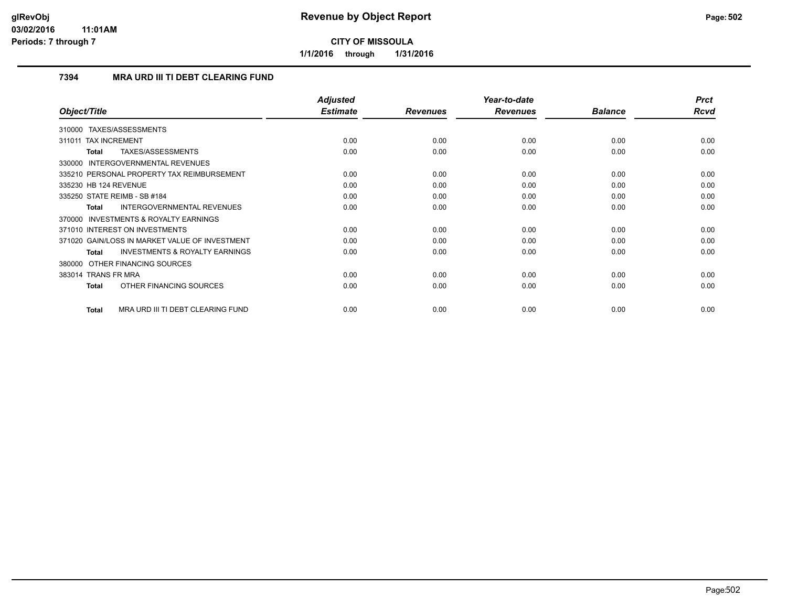**1/1/2016 through 1/31/2016**

## **7394 MRA URD III TI DEBT CLEARING FUND**

|                                                    | <b>Adjusted</b> |                 | Year-to-date    |                | <b>Prct</b> |
|----------------------------------------------------|-----------------|-----------------|-----------------|----------------|-------------|
| Object/Title                                       | <b>Estimate</b> | <b>Revenues</b> | <b>Revenues</b> | <b>Balance</b> | Rcvd        |
| TAXES/ASSESSMENTS<br>310000                        |                 |                 |                 |                |             |
| 311011 TAX INCREMENT                               | 0.00            | 0.00            | 0.00            | 0.00           | 0.00        |
| TAXES/ASSESSMENTS<br>Total                         | 0.00            | 0.00            | 0.00            | 0.00           | 0.00        |
| 330000 INTERGOVERNMENTAL REVENUES                  |                 |                 |                 |                |             |
| 335210 PERSONAL PROPERTY TAX REIMBURSEMENT         | 0.00            | 0.00            | 0.00            | 0.00           | 0.00        |
| 335230 HB 124 REVENUE                              | 0.00            | 0.00            | 0.00            | 0.00           | 0.00        |
| 335250 STATE REIMB - SB #184                       | 0.00            | 0.00            | 0.00            | 0.00           | 0.00        |
| <b>INTERGOVERNMENTAL REVENUES</b><br>Total         | 0.00            | 0.00            | 0.00            | 0.00           | 0.00        |
| 370000 INVESTMENTS & ROYALTY EARNINGS              |                 |                 |                 |                |             |
| 371010 INTEREST ON INVESTMENTS                     | 0.00            | 0.00            | 0.00            | 0.00           | 0.00        |
| 371020 GAIN/LOSS IN MARKET VALUE OF INVESTMENT     | 0.00            | 0.00            | 0.00            | 0.00           | 0.00        |
| <b>INVESTMENTS &amp; ROYALTY EARNINGS</b><br>Total | 0.00            | 0.00            | 0.00            | 0.00           | 0.00        |
| 380000 OTHER FINANCING SOURCES                     |                 |                 |                 |                |             |
| 383014 TRANS FR MRA                                | 0.00            | 0.00            | 0.00            | 0.00           | 0.00        |
| OTHER FINANCING SOURCES<br>Total                   | 0.00            | 0.00            | 0.00            | 0.00           | 0.00        |
| MRA URD III TI DEBT CLEARING FUND<br><b>Total</b>  | 0.00            | 0.00            | 0.00            | 0.00           | 0.00        |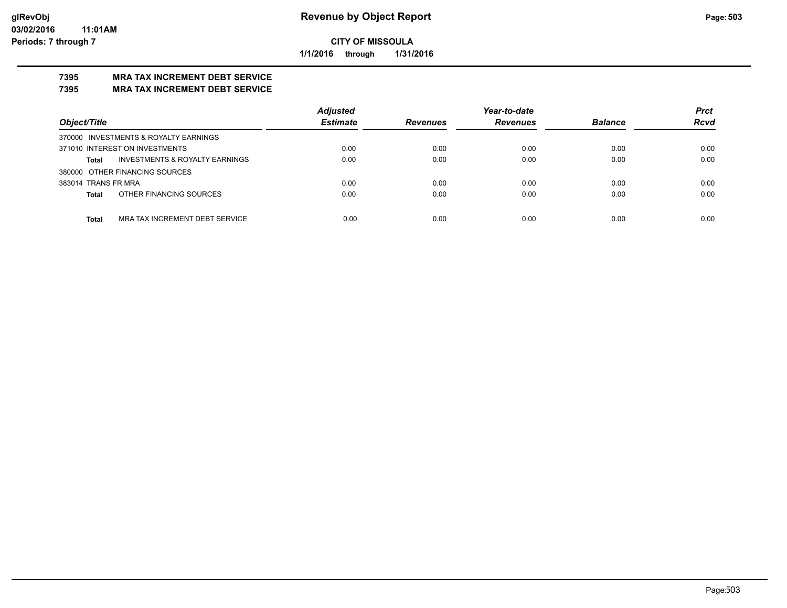**1/1/2016 through 1/31/2016**

# **7395 MRA TAX INCREMENT DEBT SERVICE**

### **7395 MRA TAX INCREMENT DEBT SERVICE**

|                                                | <b>Adjusted</b> | Year-to-date    |                 |                | <b>Prct</b> |
|------------------------------------------------|-----------------|-----------------|-----------------|----------------|-------------|
| Object/Title                                   | <b>Estimate</b> | <b>Revenues</b> | <b>Revenues</b> | <b>Balance</b> | <b>Rcvd</b> |
| 370000 INVESTMENTS & ROYALTY EARNINGS          |                 |                 |                 |                |             |
| 371010 INTEREST ON INVESTMENTS                 | 0.00            | 0.00            | 0.00            | 0.00           | 0.00        |
| INVESTMENTS & ROYALTY EARNINGS<br><b>Total</b> | 0.00            | 0.00            | 0.00            | 0.00           | 0.00        |
| 380000 OTHER FINANCING SOURCES                 |                 |                 |                 |                |             |
| 383014 TRANS FR MRA                            | 0.00            | 0.00            | 0.00            | 0.00           | 0.00        |
| OTHER FINANCING SOURCES<br><b>Total</b>        | 0.00            | 0.00            | 0.00            | 0.00           | 0.00        |
|                                                |                 |                 |                 |                |             |
| MRA TAX INCREMENT DEBT SERVICE<br><b>Total</b> | 0.00            | 0.00            | 0.00            | 0.00           | 0.00        |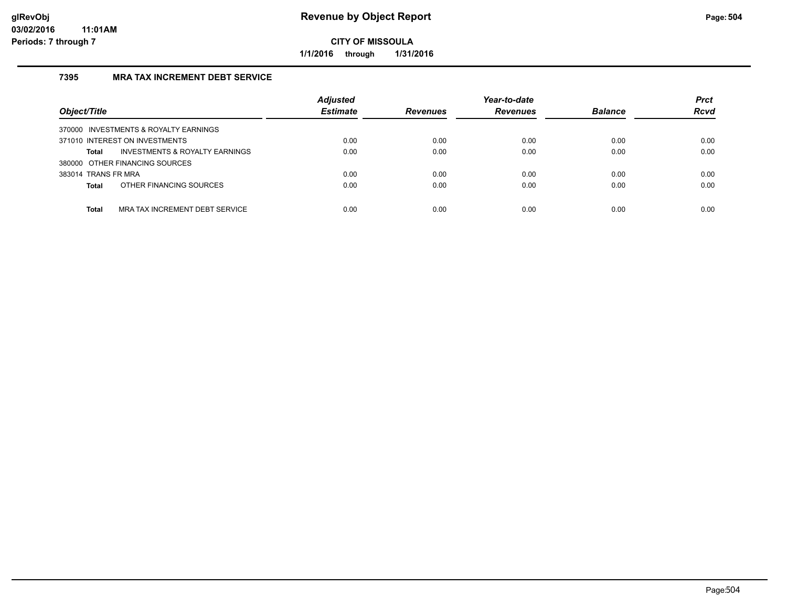**1/1/2016 through 1/31/2016**

## **7395 MRA TAX INCREMENT DEBT SERVICE**

| Object/Title                                   | <b>Adjusted</b><br><b>Estimate</b> | <b>Revenues</b> | Year-to-date<br><b>Revenues</b> | <b>Balance</b> | <b>Prct</b><br><b>Rcvd</b> |
|------------------------------------------------|------------------------------------|-----------------|---------------------------------|----------------|----------------------------|
| 370000 INVESTMENTS & ROYALTY EARNINGS          |                                    |                 |                                 |                |                            |
| 371010 INTEREST ON INVESTMENTS                 | 0.00                               | 0.00            | 0.00                            | 0.00           | 0.00                       |
| INVESTMENTS & ROYALTY EARNINGS<br>Total        | 0.00                               | 0.00            | 0.00                            | 0.00           | 0.00                       |
| 380000 OTHER FINANCING SOURCES                 |                                    |                 |                                 |                |                            |
| 383014 TRANS FR MRA                            | 0.00                               | 0.00            | 0.00                            | 0.00           | 0.00                       |
| OTHER FINANCING SOURCES<br><b>Total</b>        | 0.00                               | 0.00            | 0.00                            | 0.00           | 0.00                       |
|                                                |                                    |                 |                                 |                |                            |
| MRA TAX INCREMENT DEBT SERVICE<br><b>Total</b> | 0.00                               | 0.00            | 0.00                            | 0.00           | 0.00                       |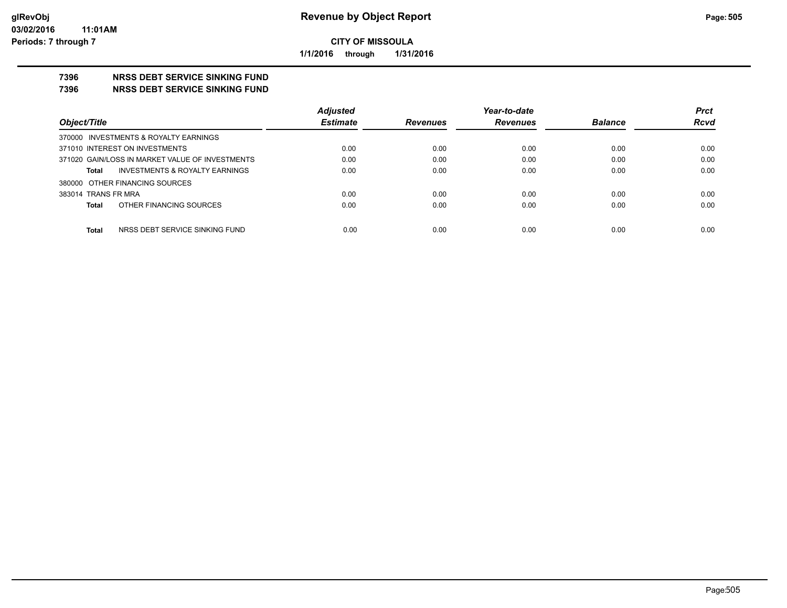**1/1/2016 through 1/31/2016**

#### **7396 NRSS DEBT SERVICE SINKING FUND**

**7396 NRSS DEBT SERVICE SINKING FUND**

|                                                 | <b>Adjusted</b> |                 | Year-to-date    |                | <b>Prct</b> |
|-------------------------------------------------|-----------------|-----------------|-----------------|----------------|-------------|
| Object/Title                                    | <b>Estimate</b> | <b>Revenues</b> | <b>Revenues</b> | <b>Balance</b> | <b>Rcvd</b> |
| 370000 INVESTMENTS & ROYALTY EARNINGS           |                 |                 |                 |                |             |
| 371010 INTEREST ON INVESTMENTS                  | 0.00            | 0.00            | 0.00            | 0.00           | 0.00        |
| 371020 GAIN/LOSS IN MARKET VALUE OF INVESTMENTS | 0.00            | 0.00            | 0.00            | 0.00           | 0.00        |
| INVESTMENTS & ROYALTY EARNINGS<br><b>Total</b>  | 0.00            | 0.00            | 0.00            | 0.00           | 0.00        |
| 380000 OTHER FINANCING SOURCES                  |                 |                 |                 |                |             |
| 383014 TRANS FR MRA                             | 0.00            | 0.00            | 0.00            | 0.00           | 0.00        |
| OTHER FINANCING SOURCES<br><b>Total</b>         | 0.00            | 0.00            | 0.00            | 0.00           | 0.00        |
|                                                 |                 |                 |                 |                |             |
| <b>Total</b><br>NRSS DEBT SERVICE SINKING FUND  | 0.00            | 0.00            | 0.00            | 0.00           | 0.00        |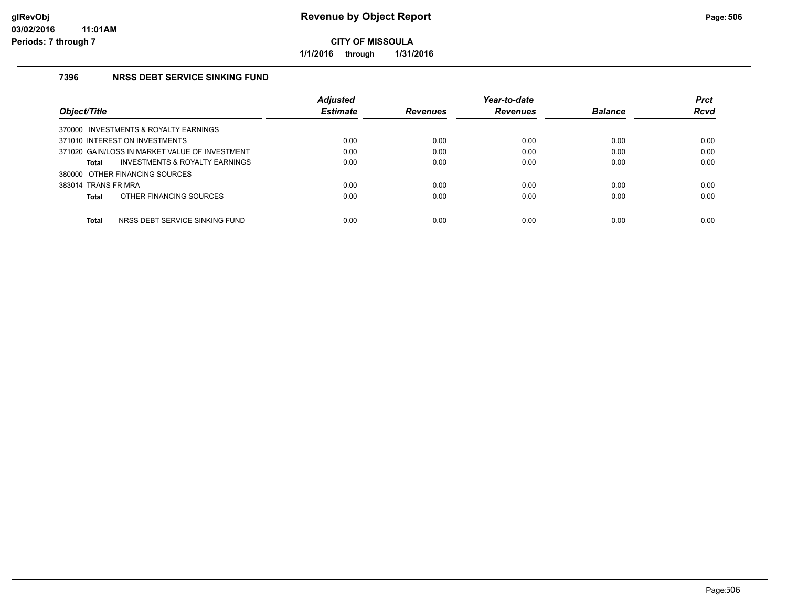**1/1/2016 through 1/31/2016**

#### **7396 NRSS DEBT SERVICE SINKING FUND**

|                                                | <b>Adjusted</b> |                 | Year-to-date    |                | <b>Prct</b> |
|------------------------------------------------|-----------------|-----------------|-----------------|----------------|-------------|
| Object/Title                                   | <b>Estimate</b> | <b>Revenues</b> | <b>Revenues</b> | <b>Balance</b> | <b>Rcvd</b> |
| 370000 INVESTMENTS & ROYALTY EARNINGS          |                 |                 |                 |                |             |
| 371010 INTEREST ON INVESTMENTS                 | 0.00            | 0.00            | 0.00            | 0.00           | 0.00        |
| 371020 GAIN/LOSS IN MARKET VALUE OF INVESTMENT | 0.00            | 0.00            | 0.00            | 0.00           | 0.00        |
| INVESTMENTS & ROYALTY EARNINGS<br>Total        | 0.00            | 0.00            | 0.00            | 0.00           | 0.00        |
| 380000 OTHER FINANCING SOURCES                 |                 |                 |                 |                |             |
| 383014 TRANS FR MRA                            | 0.00            | 0.00            | 0.00            | 0.00           | 0.00        |
| OTHER FINANCING SOURCES<br>Total               | 0.00            | 0.00            | 0.00            | 0.00           | 0.00        |
|                                                |                 |                 |                 |                |             |
| NRSS DEBT SERVICE SINKING FUND<br><b>Total</b> | 0.00            | 0.00            | 0.00            | 0.00           | 0.00        |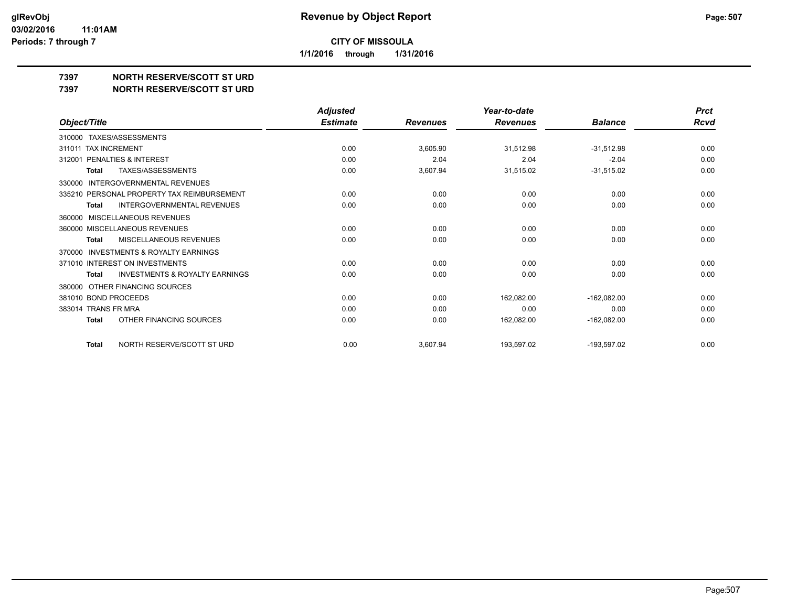**1/1/2016 through 1/31/2016**

## **7397 NORTH RESERVE/SCOTT ST URD**

**7397 NORTH RESERVE/SCOTT ST URD**

|                                                     | <b>Adjusted</b> |                 | Year-to-date    |                | <b>Prct</b> |
|-----------------------------------------------------|-----------------|-----------------|-----------------|----------------|-------------|
| Object/Title                                        | <b>Estimate</b> | <b>Revenues</b> | <b>Revenues</b> | <b>Balance</b> | <b>Rcvd</b> |
| TAXES/ASSESSMENTS<br>310000                         |                 |                 |                 |                |             |
| 311011 TAX INCREMENT                                | 0.00            | 3,605.90        | 31,512.98       | $-31,512.98$   | 0.00        |
| PENALTIES & INTEREST<br>312001                      | 0.00            | 2.04            | 2.04            | $-2.04$        | 0.00        |
| TAXES/ASSESSMENTS<br><b>Total</b>                   | 0.00            | 3,607.94        | 31,515.02       | $-31,515.02$   | 0.00        |
| INTERGOVERNMENTAL REVENUES<br>330000                |                 |                 |                 |                |             |
| 335210 PERSONAL PROPERTY TAX REIMBURSEMENT          | 0.00            | 0.00            | 0.00            | 0.00           | 0.00        |
| <b>INTERGOVERNMENTAL REVENUES</b><br>Total          | 0.00            | 0.00            | 0.00            | 0.00           | 0.00        |
| <b>MISCELLANEOUS REVENUES</b><br>360000             |                 |                 |                 |                |             |
| 360000 MISCELLANEOUS REVENUES                       | 0.00            | 0.00            | 0.00            | 0.00           | 0.00        |
| MISCELLANEOUS REVENUES<br><b>Total</b>              | 0.00            | 0.00            | 0.00            | 0.00           | 0.00        |
| <b>INVESTMENTS &amp; ROYALTY EARNINGS</b><br>370000 |                 |                 |                 |                |             |
| 371010 INTEREST ON INVESTMENTS                      | 0.00            | 0.00            | 0.00            | 0.00           | 0.00        |
| <b>INVESTMENTS &amp; ROYALTY EARNINGS</b><br>Total  | 0.00            | 0.00            | 0.00            | 0.00           | 0.00        |
| OTHER FINANCING SOURCES<br>380000                   |                 |                 |                 |                |             |
| 381010 BOND PROCEEDS                                | 0.00            | 0.00            | 162,082.00      | $-162,082.00$  | 0.00        |
| 383014 TRANS FR MRA                                 | 0.00            | 0.00            | 0.00            | 0.00           | 0.00        |
| OTHER FINANCING SOURCES<br>Total                    | 0.00            | 0.00            | 162,082.00      | $-162,082.00$  | 0.00        |
| NORTH RESERVE/SCOTT ST URD<br><b>Total</b>          | 0.00            | 3,607.94        | 193,597.02      | $-193,597.02$  | 0.00        |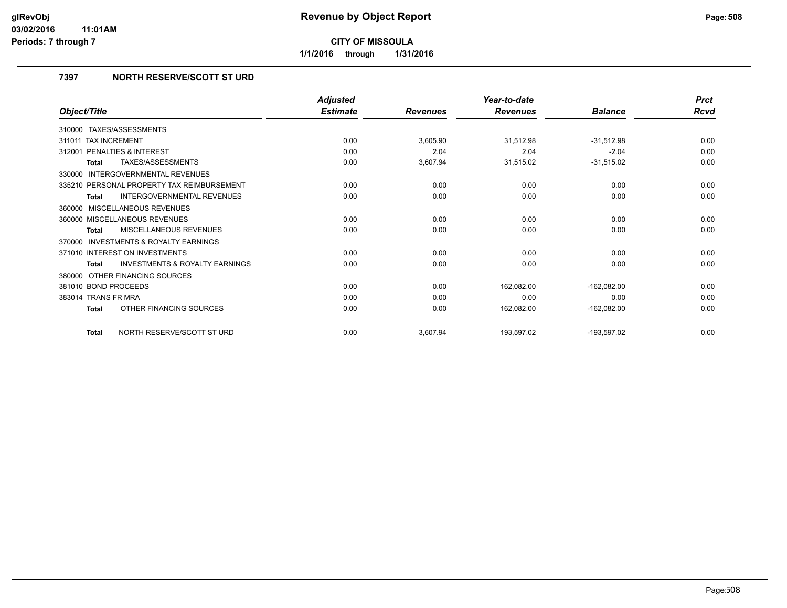**1/1/2016 through 1/31/2016**

#### **7397 NORTH RESERVE/SCOTT ST URD**

|                                                    | <b>Adjusted</b> |                 | Year-to-date    |                | <b>Prct</b> |
|----------------------------------------------------|-----------------|-----------------|-----------------|----------------|-------------|
| Object/Title                                       | <b>Estimate</b> | <b>Revenues</b> | <b>Revenues</b> | <b>Balance</b> | <b>Rcvd</b> |
| 310000 TAXES/ASSESSMENTS                           |                 |                 |                 |                |             |
| 311011 TAX INCREMENT                               | 0.00            | 3,605.90        | 31,512.98       | $-31,512.98$   | 0.00        |
| PENALTIES & INTEREST<br>312001                     | 0.00            | 2.04            | 2.04            | $-2.04$        | 0.00        |
| TAXES/ASSESSMENTS<br><b>Total</b>                  | 0.00            | 3,607.94        | 31,515.02       | $-31,515.02$   | 0.00        |
| INTERGOVERNMENTAL REVENUES<br>330000               |                 |                 |                 |                |             |
| 335210 PERSONAL PROPERTY TAX REIMBURSEMENT         | 0.00            | 0.00            | 0.00            | 0.00           | 0.00        |
| <b>INTERGOVERNMENTAL REVENUES</b><br><b>Total</b>  | 0.00            | 0.00            | 0.00            | 0.00           | 0.00        |
| 360000 MISCELLANEOUS REVENUES                      |                 |                 |                 |                |             |
| 360000 MISCELLANEOUS REVENUES                      | 0.00            | 0.00            | 0.00            | 0.00           | 0.00        |
| MISCELLANEOUS REVENUES<br><b>Total</b>             | 0.00            | 0.00            | 0.00            | 0.00           | 0.00        |
| 370000 INVESTMENTS & ROYALTY EARNINGS              |                 |                 |                 |                |             |
| 371010 INTEREST ON INVESTMENTS                     | 0.00            | 0.00            | 0.00            | 0.00           | 0.00        |
| <b>INVESTMENTS &amp; ROYALTY EARNINGS</b><br>Total | 0.00            | 0.00            | 0.00            | 0.00           | 0.00        |
| 380000 OTHER FINANCING SOURCES                     |                 |                 |                 |                |             |
| 381010 BOND PROCEEDS                               | 0.00            | 0.00            | 162,082.00      | $-162,082.00$  | 0.00        |
| 383014 TRANS FR MRA                                | 0.00            | 0.00            | 0.00            | 0.00           | 0.00        |
| OTHER FINANCING SOURCES<br>Total                   | 0.00            | 0.00            | 162,082.00      | $-162,082.00$  | 0.00        |
| NORTH RESERVE/SCOTT ST URD<br><b>Total</b>         | 0.00            | 3,607.94        | 193,597.02      | $-193,597.02$  | 0.00        |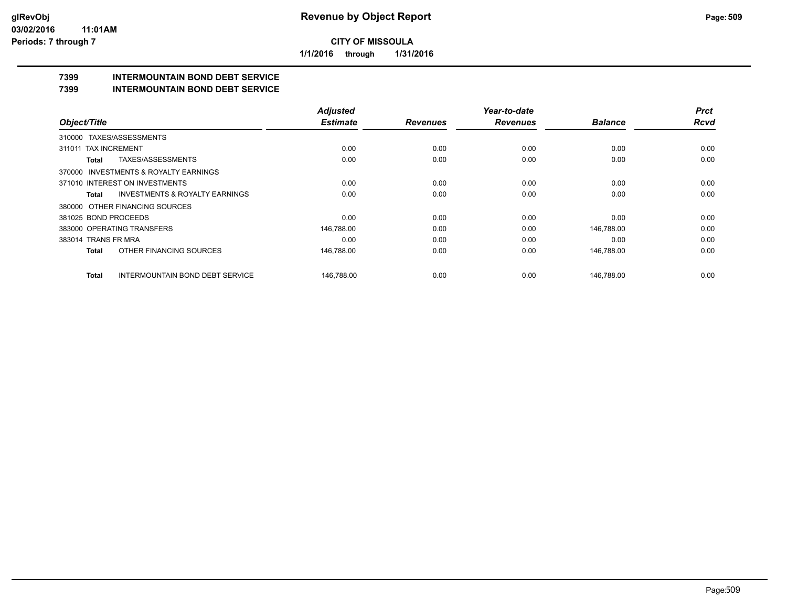**1/1/2016 through 1/31/2016**

## **7399 INTERMOUNTAIN BOND DEBT SERVICE**

**7399 INTERMOUNTAIN BOND DEBT SERVICE**

|                      |                                           | <b>Adjusted</b> |                 | Year-to-date    |                | <b>Prct</b> |
|----------------------|-------------------------------------------|-----------------|-----------------|-----------------|----------------|-------------|
| Object/Title         |                                           | <b>Estimate</b> | <b>Revenues</b> | <b>Revenues</b> | <b>Balance</b> | <b>Rcvd</b> |
|                      | 310000 TAXES/ASSESSMENTS                  |                 |                 |                 |                |             |
| 311011               | <b>TAX INCREMENT</b>                      | 0.00            | 0.00            | 0.00            | 0.00           | 0.00        |
| Total                | TAXES/ASSESSMENTS                         | 0.00            | 0.00            | 0.00            | 0.00           | 0.00        |
|                      | 370000 INVESTMENTS & ROYALTY EARNINGS     |                 |                 |                 |                |             |
|                      | 371010 INTEREST ON INVESTMENTS            | 0.00            | 0.00            | 0.00            | 0.00           | 0.00        |
| Total                | <b>INVESTMENTS &amp; ROYALTY EARNINGS</b> | 0.00            | 0.00            | 0.00            | 0.00           | 0.00        |
|                      | 380000 OTHER FINANCING SOURCES            |                 |                 |                 |                |             |
| 381025 BOND PROCEEDS |                                           | 0.00            | 0.00            | 0.00            | 0.00           | 0.00        |
|                      | 383000 OPERATING TRANSFERS                | 146,788.00      | 0.00            | 0.00            | 146,788.00     | 0.00        |
| 383014 TRANS FR MRA  |                                           | 0.00            | 0.00            | 0.00            | 0.00           | 0.00        |
| <b>Total</b>         | OTHER FINANCING SOURCES                   | 146,788.00      | 0.00            | 0.00            | 146,788.00     | 0.00        |
| Total                | <b>INTERMOUNTAIN BOND DEBT SERVICE</b>    | 146.788.00      | 0.00            | 0.00            | 146.788.00     | 0.00        |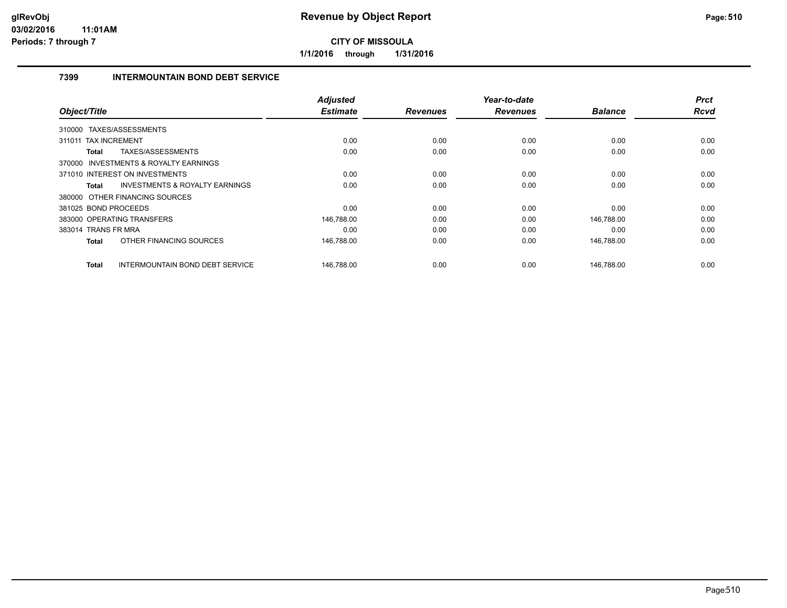**1/1/2016 through 1/31/2016**

#### **7399 INTERMOUNTAIN BOND DEBT SERVICE**

|                                                        | <b>Adjusted</b><br><b>Estimate</b> |                 | Year-to-date    |                | <b>Prct</b> |
|--------------------------------------------------------|------------------------------------|-----------------|-----------------|----------------|-------------|
| Object/Title                                           |                                    | <b>Revenues</b> | <b>Revenues</b> | <b>Balance</b> | Rcvd        |
| 310000 TAXES/ASSESSMENTS                               |                                    |                 |                 |                |             |
| 311011 TAX INCREMENT                                   | 0.00                               | 0.00            | 0.00            | 0.00           | 0.00        |
| TAXES/ASSESSMENTS<br>Total                             | 0.00                               | 0.00            | 0.00            | 0.00           | 0.00        |
| 370000 INVESTMENTS & ROYALTY EARNINGS                  |                                    |                 |                 |                |             |
| 371010 INTEREST ON INVESTMENTS                         | 0.00                               | 0.00            | 0.00            | 0.00           | 0.00        |
| <b>INVESTMENTS &amp; ROYALTY EARNINGS</b><br>Total     | 0.00                               | 0.00            | 0.00            | 0.00           | 0.00        |
| 380000 OTHER FINANCING SOURCES                         |                                    |                 |                 |                |             |
| 381025 BOND PROCEEDS                                   | 0.00                               | 0.00            | 0.00            | 0.00           | 0.00        |
| 383000 OPERATING TRANSFERS                             | 146,788.00                         | 0.00            | 0.00            | 146,788.00     | 0.00        |
| 383014 TRANS FR MRA                                    | 0.00                               | 0.00            | 0.00            | 0.00           | 0.00        |
| OTHER FINANCING SOURCES<br><b>Total</b>                | 146,788.00                         | 0.00            | 0.00            | 146,788.00     | 0.00        |
| <b>Total</b><br><b>INTERMOUNTAIN BOND DEBT SERVICE</b> | 146,788.00                         | 0.00            | 0.00            | 146,788.00     | 0.00        |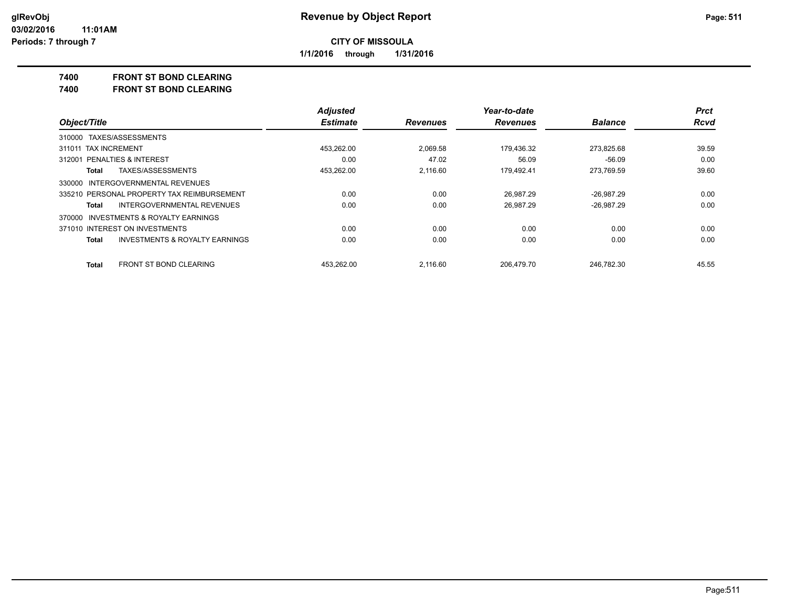**1/1/2016 through 1/31/2016**

**7400 FRONT ST BOND CLEARING**

**7400 FRONT ST BOND CLEARING**

|                                                    | <b>Adjusted</b> |                 | Year-to-date    |                | <b>Prct</b> |
|----------------------------------------------------|-----------------|-----------------|-----------------|----------------|-------------|
| Object/Title                                       | <b>Estimate</b> | <b>Revenues</b> | <b>Revenues</b> | <b>Balance</b> | <b>Rcvd</b> |
| 310000 TAXES/ASSESSMENTS                           |                 |                 |                 |                |             |
| 311011 TAX INCREMENT                               | 453.262.00      | 2.069.58        | 179.436.32      | 273.825.68     | 39.59       |
| 312001 PENALTIES & INTEREST                        | 0.00            | 47.02           | 56.09           | $-56.09$       | 0.00        |
| TAXES/ASSESSMENTS<br>Total                         | 453.262.00      | 2.116.60        | 179.492.41      | 273.769.59     | 39.60       |
| 330000 INTERGOVERNMENTAL REVENUES                  |                 |                 |                 |                |             |
| 335210 PERSONAL PROPERTY TAX REIMBURSEMENT         | 0.00            | 0.00            | 26.987.29       | $-26.987.29$   | 0.00        |
| INTERGOVERNMENTAL REVENUES<br>Total                | 0.00            | 0.00            | 26,987.29       | $-26,987.29$   | 0.00        |
| 370000 INVESTMENTS & ROYALTY EARNINGS              |                 |                 |                 |                |             |
| 371010 INTEREST ON INVESTMENTS                     | 0.00            | 0.00            | 0.00            | 0.00           | 0.00        |
| <b>INVESTMENTS &amp; ROYALTY EARNINGS</b><br>Total | 0.00            | 0.00            | 0.00            | 0.00           | 0.00        |
| FRONT ST BOND CLEARING<br><b>Total</b>             | 453.262.00      | 2.116.60        | 206.479.70      | 246.782.30     | 45.55       |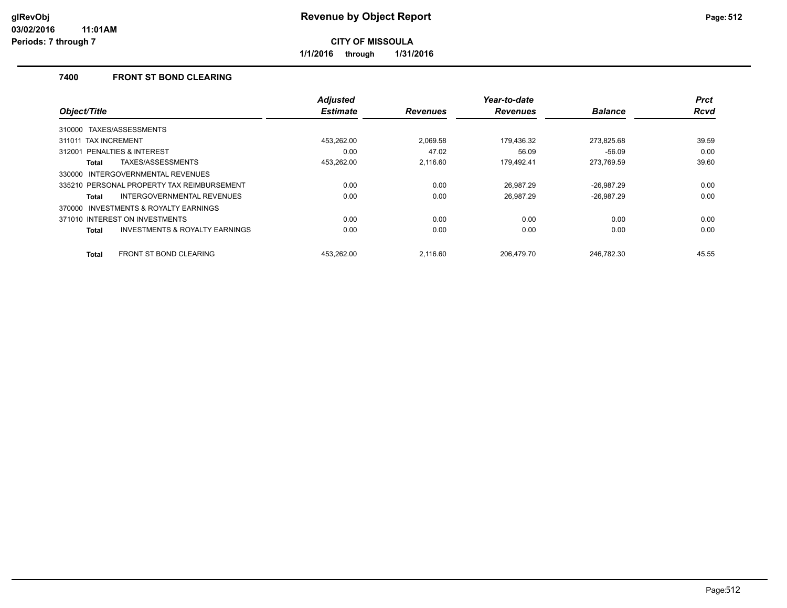**1/1/2016 through 1/31/2016**

#### **7400 FRONT ST BOND CLEARING**

|                                                     | <b>Adjusted</b> |                 | Year-to-date    |                | <b>Prct</b> |
|-----------------------------------------------------|-----------------|-----------------|-----------------|----------------|-------------|
| Object/Title                                        | <b>Estimate</b> | <b>Revenues</b> | <b>Revenues</b> | <b>Balance</b> | <b>Rcvd</b> |
| TAXES/ASSESSMENTS<br>310000                         |                 |                 |                 |                |             |
| 311011 TAX INCREMENT                                | 453.262.00      | 2.069.58        | 179.436.32      | 273.825.68     | 39.59       |
| PENALTIES & INTEREST<br>312001                      | 0.00            | 47.02           | 56.09           | $-56.09$       | 0.00        |
| TAXES/ASSESSMENTS<br>Total                          | 453.262.00      | 2.116.60        | 179.492.41      | 273.769.59     | 39.60       |
| INTERGOVERNMENTAL REVENUES<br>330000                |                 |                 |                 |                |             |
| 335210 PERSONAL PROPERTY TAX REIMBURSEMENT          | 0.00            | 0.00            | 26.987.29       | $-26,987.29$   | 0.00        |
| <b>INTERGOVERNMENTAL REVENUES</b><br>Total          | 0.00            | 0.00            | 26.987.29       | $-26,987.29$   | 0.00        |
| <b>INVESTMENTS &amp; ROYALTY EARNINGS</b><br>370000 |                 |                 |                 |                |             |
| 371010 INTEREST ON INVESTMENTS                      | 0.00            | 0.00            | 0.00            | 0.00           | 0.00        |
| <b>INVESTMENTS &amp; ROYALTY EARNINGS</b><br>Total  | 0.00            | 0.00            | 0.00            | 0.00           | 0.00        |
| <b>FRONT ST BOND CLEARING</b><br>Total              | 453.262.00      | 2.116.60        | 206.479.70      | 246.782.30     | 45.55       |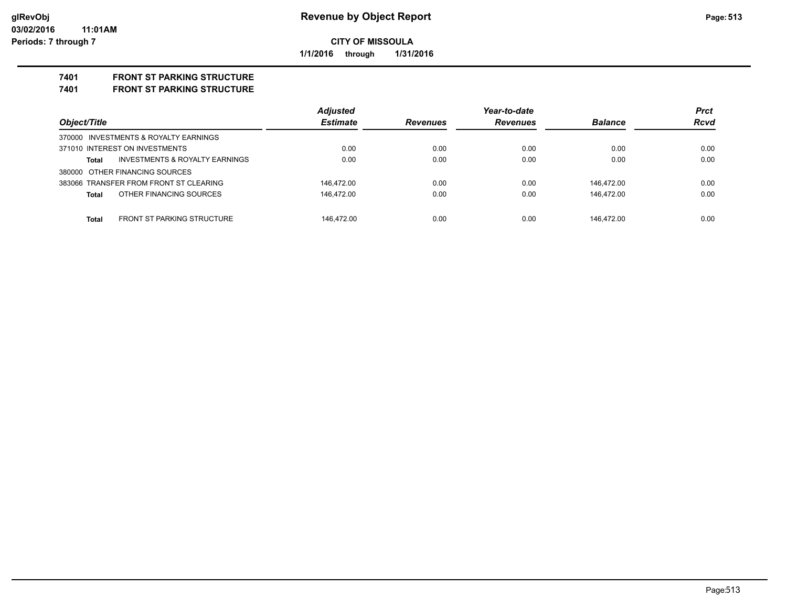**1/1/2016 through 1/31/2016**

# **7401 FRONT ST PARKING STRUCTURE**

**7401 FRONT ST PARKING STRUCTURE**

|                                                           | <b>Adjusted</b> |                 | Year-to-date    |                | <b>Prct</b> |
|-----------------------------------------------------------|-----------------|-----------------|-----------------|----------------|-------------|
| Object/Title                                              | <b>Estimate</b> | <b>Revenues</b> | <b>Revenues</b> | <b>Balance</b> | <b>Rcvd</b> |
| 370000 INVESTMENTS & ROYALTY EARNINGS                     |                 |                 |                 |                |             |
| 371010 INTEREST ON INVESTMENTS                            | 0.00            | 0.00            | 0.00            | 0.00           | 0.00        |
| <b>INVESTMENTS &amp; ROYALTY EARNINGS</b><br><b>Total</b> | 0.00            | 0.00            | 0.00            | 0.00           | 0.00        |
| 380000 OTHER FINANCING SOURCES                            |                 |                 |                 |                |             |
| 383066 TRANSFER FROM FRONT ST CLEARING                    | 146.472.00      | 0.00            | 0.00            | 146.472.00     | 0.00        |
| OTHER FINANCING SOURCES<br><b>Total</b>                   | 146.472.00      | 0.00            | 0.00            | 146.472.00     | 0.00        |
|                                                           |                 |                 |                 |                |             |
| <b>FRONT ST PARKING STRUCTURE</b><br><b>Total</b>         | 146.472.00      | 0.00            | 0.00            | 146.472.00     | 0.00        |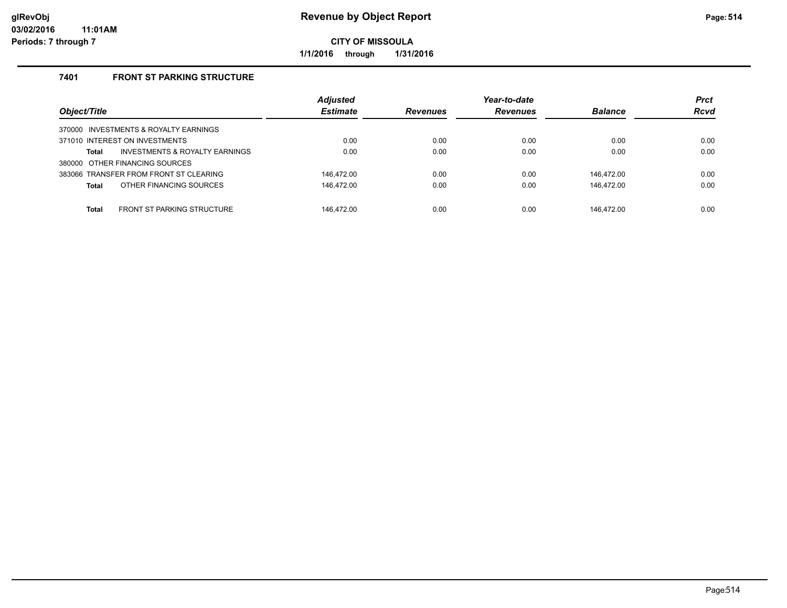**1/1/2016 through 1/31/2016**

#### **7401 FRONT ST PARKING STRUCTURE**

| Object/Title                                       | <b>Adjusted</b><br><b>Estimate</b> | <b>Revenues</b> | Year-to-date<br><b>Revenues</b> | <b>Balance</b> | <b>Prct</b><br>Rcvd |
|----------------------------------------------------|------------------------------------|-----------------|---------------------------------|----------------|---------------------|
| 370000 INVESTMENTS & ROYALTY EARNINGS              |                                    |                 |                                 |                |                     |
| 371010 INTEREST ON INVESTMENTS                     | 0.00                               | 0.00            | 0.00                            | 0.00           | 0.00                |
| <b>INVESTMENTS &amp; ROYALTY EARNINGS</b><br>Total | 0.00                               | 0.00            | 0.00                            | 0.00           | 0.00                |
| 380000 OTHER FINANCING SOURCES                     |                                    |                 |                                 |                |                     |
| 383066 TRANSFER FROM FRONT ST CLEARING             | 146.472.00                         | 0.00            | 0.00                            | 146.472.00     | 0.00                |
| OTHER FINANCING SOURCES<br>Total                   | 146.472.00                         | 0.00            | 0.00                            | 146.472.00     | 0.00                |
|                                                    |                                    |                 |                                 |                |                     |
| <b>FRONT ST PARKING STRUCTURE</b><br>Total         | 146.472.00                         | 0.00            | 0.00                            | 146.472.00     | 0.00                |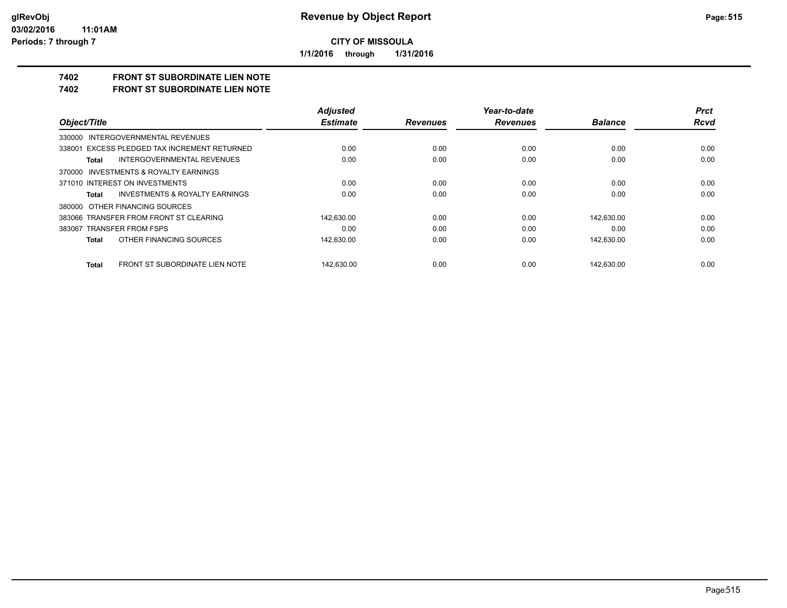**1/1/2016 through 1/31/2016**

## **7402 FRONT ST SUBORDINATE LIEN NOTE**

**7402 FRONT ST SUBORDINATE LIEN NOTE**

|                                                    | <b>Adjusted</b> |                 | Year-to-date    |                | <b>Prct</b> |
|----------------------------------------------------|-----------------|-----------------|-----------------|----------------|-------------|
| Object/Title                                       | <b>Estimate</b> | <b>Revenues</b> | <b>Revenues</b> | <b>Balance</b> | Rcvd        |
| 330000 INTERGOVERNMENTAL REVENUES                  |                 |                 |                 |                |             |
| 338001 EXCESS PLEDGED TAX INCREMENT RETURNED       | 0.00            | 0.00            | 0.00            | 0.00           | 0.00        |
| <b>INTERGOVERNMENTAL REVENUES</b><br>Total         | 0.00            | 0.00            | 0.00            | 0.00           | 0.00        |
| 370000 INVESTMENTS & ROYALTY EARNINGS              |                 |                 |                 |                |             |
| 371010 INTEREST ON INVESTMENTS                     | 0.00            | 0.00            | 0.00            | 0.00           | 0.00        |
| <b>INVESTMENTS &amp; ROYALTY EARNINGS</b><br>Total | 0.00            | 0.00            | 0.00            | 0.00           | 0.00        |
| 380000 OTHER FINANCING SOURCES                     |                 |                 |                 |                |             |
| 383066 TRANSFER FROM FRONT ST CLEARING             | 142.630.00      | 0.00            | 0.00            | 142.630.00     | 0.00        |
| 383067 TRANSFER FROM FSPS                          | 0.00            | 0.00            | 0.00            | 0.00           | 0.00        |
| OTHER FINANCING SOURCES<br>Total                   | 142,630.00      | 0.00            | 0.00            | 142,630.00     | 0.00        |
| FRONT ST SUBORDINATE LIEN NOTE<br>Total            | 142.630.00      | 0.00            | 0.00            | 142.630.00     | 0.00        |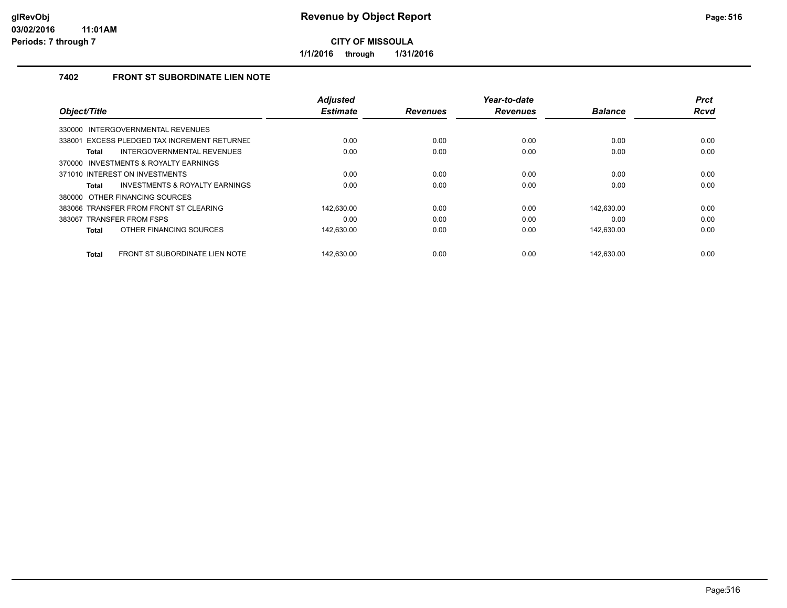**1/1/2016 through 1/31/2016**

#### **7402 FRONT ST SUBORDINATE LIEN NOTE**

|                                                   | <b>Adjusted</b> |                 | Year-to-date    |                | <b>Prct</b> |
|---------------------------------------------------|-----------------|-----------------|-----------------|----------------|-------------|
| Object/Title                                      | <b>Estimate</b> | <b>Revenues</b> | <b>Revenues</b> | <b>Balance</b> | Rcvd        |
| INTERGOVERNMENTAL REVENUES<br>330000              |                 |                 |                 |                |             |
| EXCESS PLEDGED TAX INCREMENT RETURNED<br>338001   | 0.00            | 0.00            | 0.00            | 0.00           | 0.00        |
| <b>INTERGOVERNMENTAL REVENUES</b><br><b>Total</b> | 0.00            | 0.00            | 0.00            | 0.00           | 0.00        |
| 370000 INVESTMENTS & ROYALTY EARNINGS             |                 |                 |                 |                |             |
| 371010 INTEREST ON INVESTMENTS                    | 0.00            | 0.00            | 0.00            | 0.00           | 0.00        |
| INVESTMENTS & ROYALTY EARNINGS<br>Total           | 0.00            | 0.00            | 0.00            | 0.00           | 0.00        |
| 380000 OTHER FINANCING SOURCES                    |                 |                 |                 |                |             |
| 383066 TRANSFER FROM FRONT ST CLEARING            | 142.630.00      | 0.00            | 0.00            | 142.630.00     | 0.00        |
| 383067 TRANSFER FROM FSPS                         | 0.00            | 0.00            | 0.00            | 0.00           | 0.00        |
| OTHER FINANCING SOURCES<br><b>Total</b>           | 142,630.00      | 0.00            | 0.00            | 142,630.00     | 0.00        |
|                                                   |                 |                 |                 |                |             |
| FRONT ST SUBORDINATE LIEN NOTE<br><b>Total</b>    | 142.630.00      | 0.00            | 0.00            | 142.630.00     | 0.00        |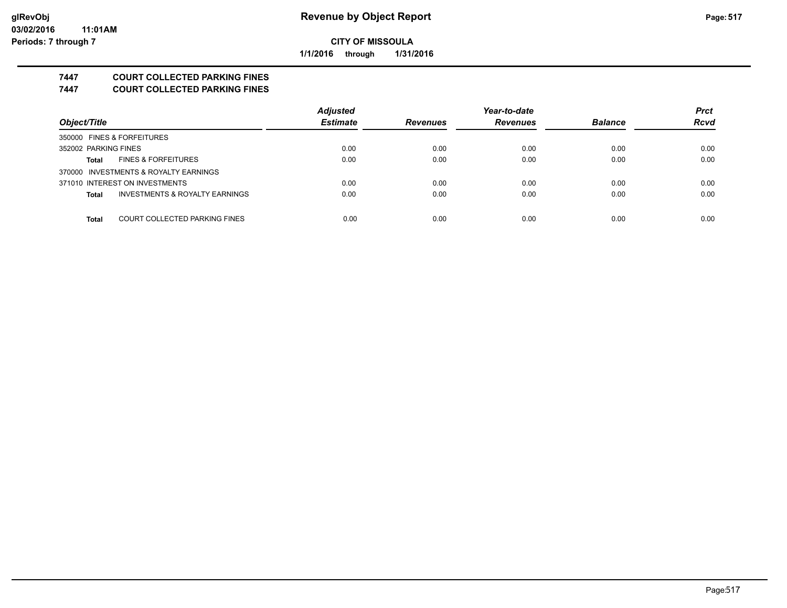**1/1/2016 through 1/31/2016**

## **7447 COURT COLLECTED PARKING FINES**

**7447 COURT COLLECTED PARKING FINES**

|                                         | <b>Adjusted</b> |                 | Year-to-date    |                | <b>Prct</b> |
|-----------------------------------------|-----------------|-----------------|-----------------|----------------|-------------|
| Object/Title                            | <b>Estimate</b> | <b>Revenues</b> | <b>Revenues</b> | <b>Balance</b> | <b>Rcvd</b> |
| 350000 FINES & FORFEITURES              |                 |                 |                 |                |             |
| 352002 PARKING FINES                    | 0.00            | 0.00            | 0.00            | 0.00           | 0.00        |
| <b>FINES &amp; FORFEITURES</b><br>Total | 0.00            | 0.00            | 0.00            | 0.00           | 0.00        |
| 370000 INVESTMENTS & ROYALTY EARNINGS   |                 |                 |                 |                |             |
| 371010 INTEREST ON INVESTMENTS          | 0.00            | 0.00            | 0.00            | 0.00           | 0.00        |
| INVESTMENTS & ROYALTY EARNINGS<br>Total | 0.00            | 0.00            | 0.00            | 0.00           | 0.00        |
|                                         |                 |                 |                 |                |             |
| COURT COLLECTED PARKING FINES<br>Total  | 0.00            | 0.00            | 0.00            | 0.00           | 0.00        |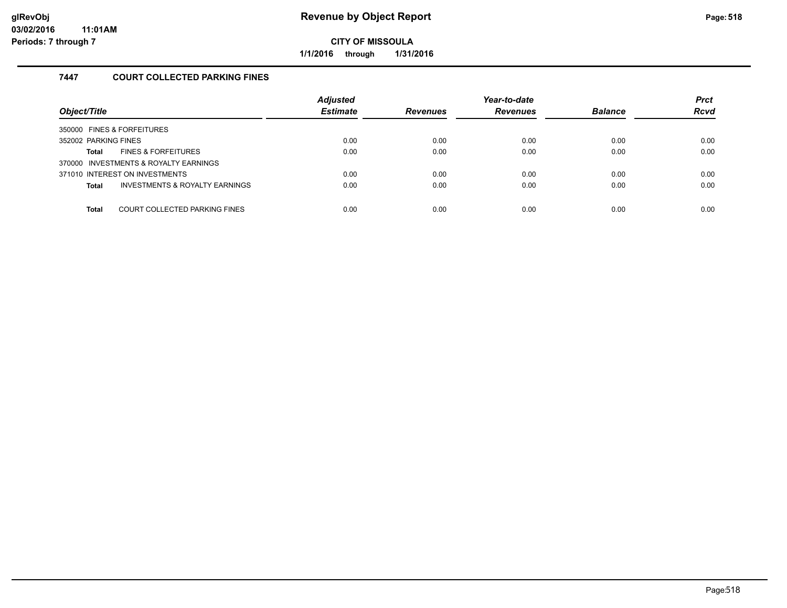**1/1/2016 through 1/31/2016**

#### **7447 COURT COLLECTED PARKING FINES**

| Object/Title                                              | <b>Adjusted</b><br><b>Estimate</b> | <b>Revenues</b> | Year-to-date<br><b>Revenues</b> | <b>Balance</b> | <b>Prct</b><br><b>Rcvd</b> |
|-----------------------------------------------------------|------------------------------------|-----------------|---------------------------------|----------------|----------------------------|
| 350000 FINES & FORFEITURES                                |                                    |                 |                                 |                |                            |
| 352002 PARKING FINES                                      | 0.00                               | 0.00            | 0.00                            | 0.00           | 0.00                       |
| <b>FINES &amp; FORFEITURES</b><br>Total                   | 0.00                               | 0.00            | 0.00                            | 0.00           | 0.00                       |
| 370000 INVESTMENTS & ROYALTY EARNINGS                     |                                    |                 |                                 |                |                            |
| 371010 INTEREST ON INVESTMENTS                            | 0.00                               | 0.00            | 0.00                            | 0.00           | 0.00                       |
| <b>INVESTMENTS &amp; ROYALTY EARNINGS</b><br><b>Total</b> | 0.00                               | 0.00            | 0.00                            | 0.00           | 0.00                       |
|                                                           |                                    |                 |                                 |                |                            |
| COURT COLLECTED PARKING FINES<br><b>Total</b>             | 0.00                               | 0.00            | 0.00                            | 0.00           | 0.00                       |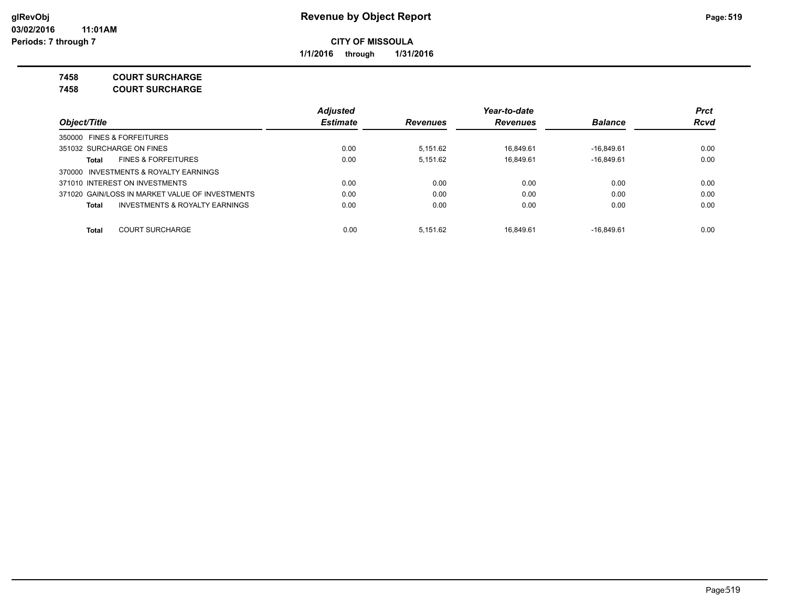**1/1/2016 through 1/31/2016**

**7458 COURT SURCHARGE**

**7458 COURT SURCHARGE**

|                                                 | Adjusted        |                 | Year-to-date    |                | <b>Prct</b> |
|-------------------------------------------------|-----------------|-----------------|-----------------|----------------|-------------|
| Object/Title                                    | <b>Estimate</b> | <b>Revenues</b> | <b>Revenues</b> | <b>Balance</b> | <b>Rcvd</b> |
| 350000 FINES & FORFEITURES                      |                 |                 |                 |                |             |
| 351032 SURCHARGE ON FINES                       | 0.00            | 5.151.62        | 16.849.61       | $-16.849.61$   | 0.00        |
| <b>FINES &amp; FORFEITURES</b><br>Total         | 0.00            | 5.151.62        | 16.849.61       | $-16.849.61$   | 0.00        |
| 370000 INVESTMENTS & ROYALTY EARNINGS           |                 |                 |                 |                |             |
| 371010 INTEREST ON INVESTMENTS                  | 0.00            | 0.00            | 0.00            | 0.00           | 0.00        |
| 371020 GAIN/LOSS IN MARKET VALUE OF INVESTMENTS | 0.00            | 0.00            | 0.00            | 0.00           | 0.00        |
| INVESTMENTS & ROYALTY EARNINGS<br>Total         | 0.00            | 0.00            | 0.00            | 0.00           | 0.00        |
| <b>COURT SURCHARGE</b><br><b>Total</b>          | 0.00            | 5.151.62        | 16.849.61       | $-16.849.61$   | 0.00        |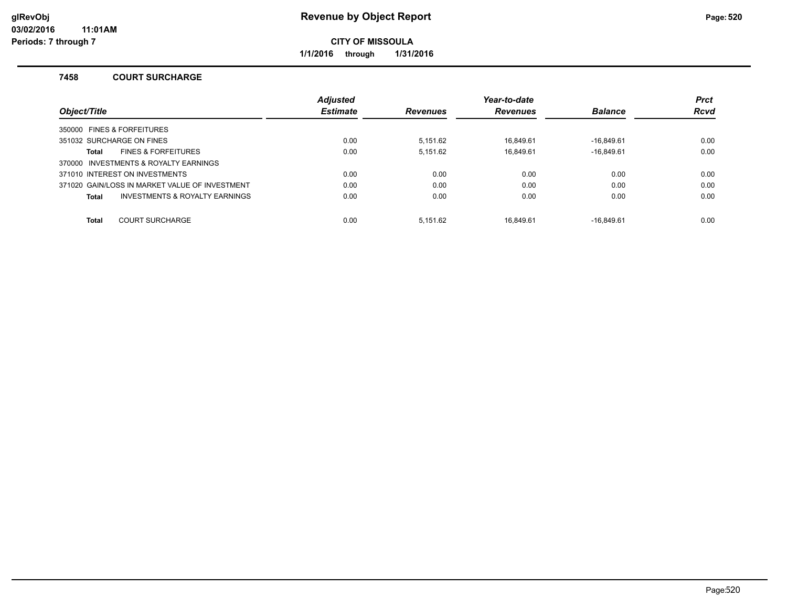**1/1/2016 through 1/31/2016**

#### **7458 COURT SURCHARGE**

|                                                | <b>Adjusted</b> |                 | Year-to-date    |                | <b>Prct</b> |
|------------------------------------------------|-----------------|-----------------|-----------------|----------------|-------------|
| Object/Title                                   | <b>Estimate</b> | <b>Revenues</b> | <b>Revenues</b> | <b>Balance</b> | <b>Rcvd</b> |
| 350000 FINES & FORFEITURES                     |                 |                 |                 |                |             |
| 351032 SURCHARGE ON FINES                      | 0.00            | 5.151.62        | 16.849.61       | $-16.849.61$   | 0.00        |
| <b>FINES &amp; FORFEITURES</b><br><b>Total</b> | 0.00            | 5.151.62        | 16.849.61       | $-16.849.61$   | 0.00        |
| 370000 INVESTMENTS & ROYALTY EARNINGS          |                 |                 |                 |                |             |
| 371010 INTEREST ON INVESTMENTS                 | 0.00            | 0.00            | 0.00            | 0.00           | 0.00        |
| 371020 GAIN/LOSS IN MARKET VALUE OF INVESTMENT | 0.00            | 0.00            | 0.00            | 0.00           | 0.00        |
| INVESTMENTS & ROYALTY EARNINGS<br><b>Total</b> | 0.00            | 0.00            | 0.00            | 0.00           | 0.00        |
|                                                |                 |                 |                 |                |             |
| <b>COURT SURCHARGE</b><br><b>Total</b>         | 0.00            | 5.151.62        | 16.849.61       | $-16.849.61$   | 0.00        |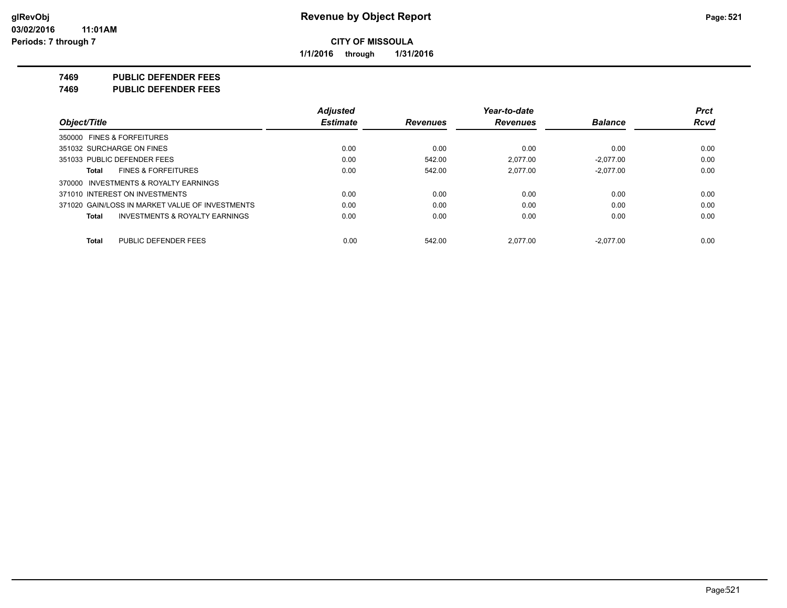**1/1/2016 through 1/31/2016**

**7469 PUBLIC DEFENDER FEES**

**7469 PUBLIC DEFENDER FEES**

|                                                    | <b>Adjusted</b> |                 | Year-to-date    |                | <b>Prct</b> |
|----------------------------------------------------|-----------------|-----------------|-----------------|----------------|-------------|
| Object/Title                                       | <b>Estimate</b> | <b>Revenues</b> | <b>Revenues</b> | <b>Balance</b> | <b>Rcvd</b> |
| 350000 FINES & FORFEITURES                         |                 |                 |                 |                |             |
| 351032 SURCHARGE ON FINES                          | 0.00            | 0.00            | 0.00            | 0.00           | 0.00        |
| 351033 PUBLIC DEFENDER FEES                        | 0.00            | 542.00          | 2.077.00        | $-2.077.00$    | 0.00        |
| <b>FINES &amp; FORFEITURES</b><br>Total            | 0.00            | 542.00          | 2.077.00        | $-2,077.00$    | 0.00        |
| 370000 INVESTMENTS & ROYALTY EARNINGS              |                 |                 |                 |                |             |
| 371010 INTEREST ON INVESTMENTS                     | 0.00            | 0.00            | 0.00            | 0.00           | 0.00        |
| 371020 GAIN/LOSS IN MARKET VALUE OF INVESTMENTS    | 0.00            | 0.00            | 0.00            | 0.00           | 0.00        |
| <b>INVESTMENTS &amp; ROYALTY EARNINGS</b><br>Total | 0.00            | 0.00            | 0.00            | 0.00           | 0.00        |
| PUBLIC DEFENDER FEES<br>Total                      | 0.00            | 542.00          | 2.077.00        | $-2.077.00$    | 0.00        |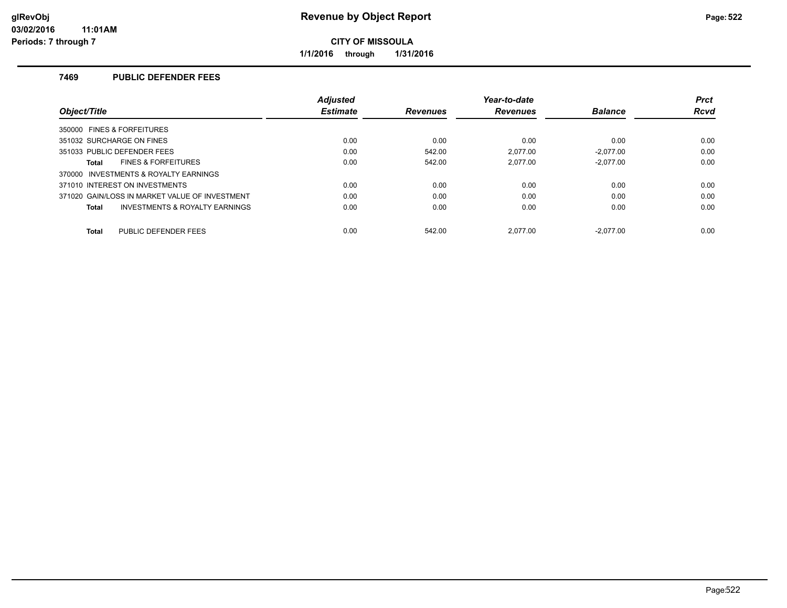**1/1/2016 through 1/31/2016**

#### **7469 PUBLIC DEFENDER FEES**

|                                                           | <b>Adjusted</b> |                 | Year-to-date    |                | <b>Prct</b> |
|-----------------------------------------------------------|-----------------|-----------------|-----------------|----------------|-------------|
| Object/Title                                              | <b>Estimate</b> | <b>Revenues</b> | <b>Revenues</b> | <b>Balance</b> | <b>Rcvd</b> |
| 350000 FINES & FORFEITURES                                |                 |                 |                 |                |             |
| 351032 SURCHARGE ON FINES                                 | 0.00            | 0.00            | 0.00            | 0.00           | 0.00        |
| 351033 PUBLIC DEFENDER FEES                               | 0.00            | 542.00          | 2.077.00        | $-2.077.00$    | 0.00        |
| <b>FINES &amp; FORFEITURES</b><br><b>Total</b>            | 0.00            | 542.00          | 2.077.00        | $-2.077.00$    | 0.00        |
| 370000 INVESTMENTS & ROYALTY EARNINGS                     |                 |                 |                 |                |             |
| 371010 INTEREST ON INVESTMENTS                            | 0.00            | 0.00            | 0.00            | 0.00           | 0.00        |
| 371020 GAIN/LOSS IN MARKET VALUE OF INVESTMENT            | 0.00            | 0.00            | 0.00            | 0.00           | 0.00        |
| <b>INVESTMENTS &amp; ROYALTY EARNINGS</b><br><b>Total</b> | 0.00            | 0.00            | 0.00            | 0.00           | 0.00        |
| PUBLIC DEFENDER FEES<br><b>Total</b>                      | 0.00            | 542.00          | 2.077.00        | $-2.077.00$    | 0.00        |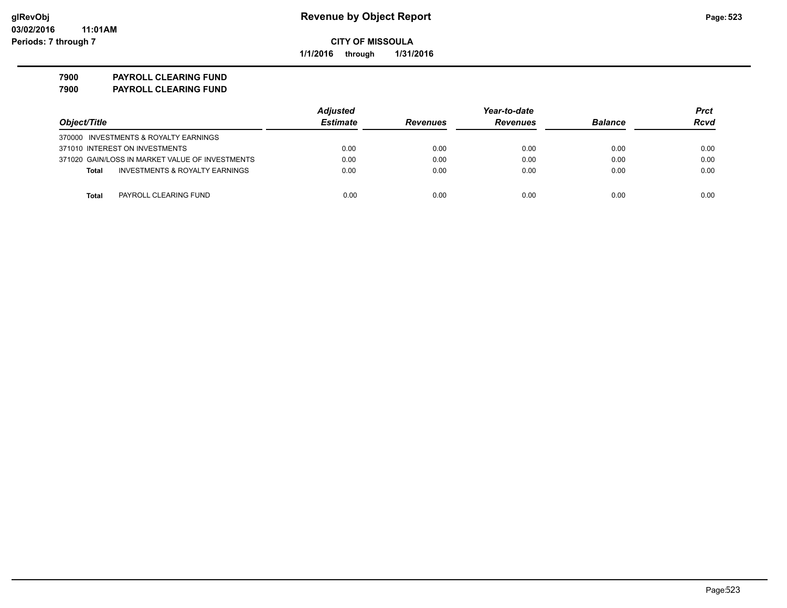**1/1/2016 through 1/31/2016**

**7900 PAYROLL CLEARING FUND**

| 7900 | <b>PAYROLL CLEARING FUND</b> |  |
|------|------------------------------|--|
|      |                              |  |

|                                                           | <b>Adjusted</b> |                 | Year-to-date    |                | <b>Prct</b> |
|-----------------------------------------------------------|-----------------|-----------------|-----------------|----------------|-------------|
| Object/Title                                              | <b>Estimate</b> | <b>Revenues</b> | <b>Revenues</b> | <b>Balance</b> | <b>Rcvd</b> |
| 370000 INVESTMENTS & ROYALTY EARNINGS                     |                 |                 |                 |                |             |
| 371010 INTEREST ON INVESTMENTS                            | 0.00            | 0.00            | 0.00            | 0.00           | 0.00        |
| 371020 GAIN/LOSS IN MARKET VALUE OF INVESTMENTS           | 0.00            | 0.00            | 0.00            | 0.00           | 0.00        |
| <b>INVESTMENTS &amp; ROYALTY EARNINGS</b><br><b>Total</b> | 0.00            | 0.00            | 0.00            | 0.00           | 0.00        |
|                                                           |                 |                 |                 |                |             |
| Total<br>PAYROLL CLEARING FUND                            | 0.00            | 0.00            | 0.00            | 0.00           | 0.00        |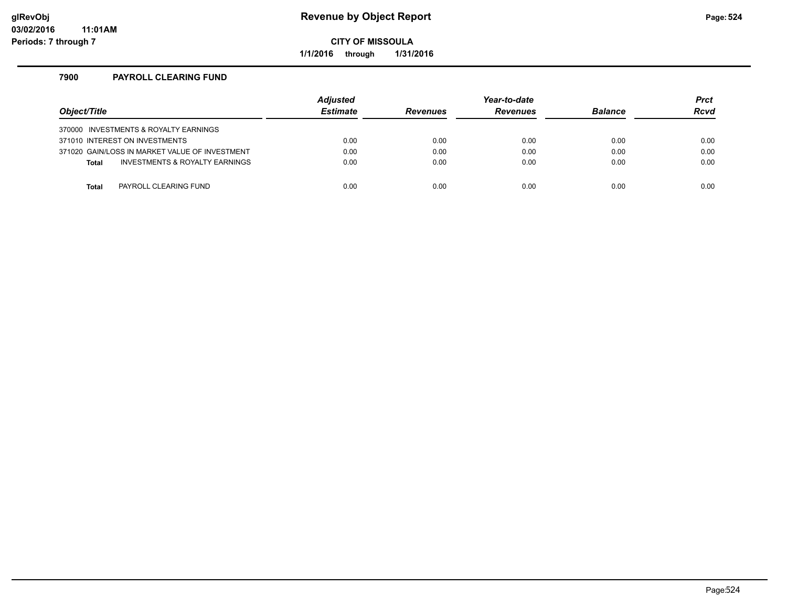#### **glRevObj Revenue by Object Report Page:524**

**CITY OF MISSOULA**

**1/1/2016 through 1/31/2016**

#### **7900 PAYROLL CLEARING FUND**

| Object/Title                                   | <b>Adjusted</b><br><b>Estimate</b> | <b>Revenues</b> | Year-to-date<br><b>Revenues</b> | <b>Balance</b> | <b>Prct</b><br>Rcvd |
|------------------------------------------------|------------------------------------|-----------------|---------------------------------|----------------|---------------------|
| 370000 INVESTMENTS & ROYALTY EARNINGS          |                                    |                 |                                 |                |                     |
| 371010 INTEREST ON INVESTMENTS                 | 0.00                               | 0.00            | 0.00                            | 0.00           | 0.00                |
| 371020 GAIN/LOSS IN MARKET VALUE OF INVESTMENT | 0.00                               | 0.00            | 0.00                            | 0.00           | 0.00                |
| INVESTMENTS & ROYALTY EARNINGS<br><b>Total</b> | 0.00                               | 0.00            | 0.00                            | 0.00           | 0.00                |
|                                                |                                    |                 |                                 |                |                     |
| PAYROLL CLEARING FUND<br>Total                 | 0.00                               | 0.00            | 0.00                            | 0.00           | 0.00                |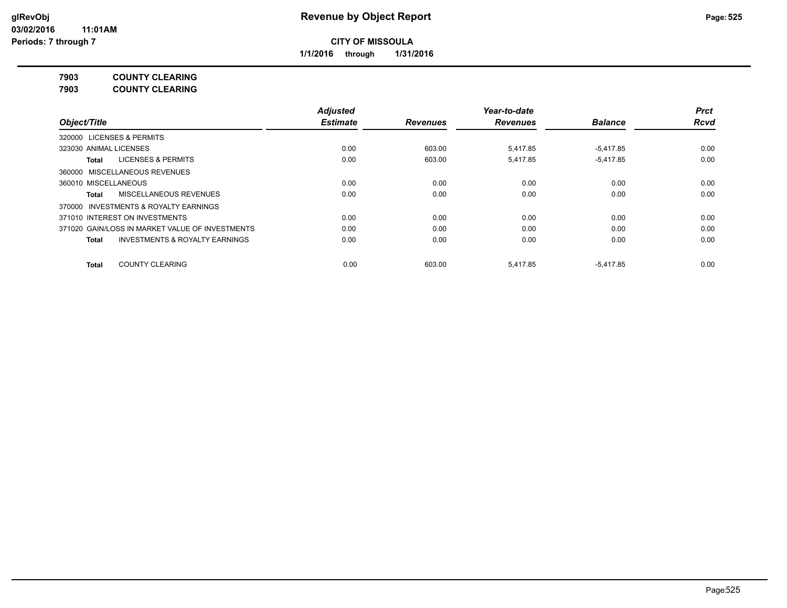**1/1/2016 through 1/31/2016**

**7903 COUNTY CLEARING**

**7903 COUNTY CLEARING**

|                                                    | <b>Adjusted</b> |                 | Year-to-date    |                | <b>Prct</b> |
|----------------------------------------------------|-----------------|-----------------|-----------------|----------------|-------------|
| Object/Title                                       | <b>Estimate</b> | <b>Revenues</b> | <b>Revenues</b> | <b>Balance</b> | <b>Rcvd</b> |
| 320000 LICENSES & PERMITS                          |                 |                 |                 |                |             |
| 323030 ANIMAL LICENSES                             | 0.00            | 603.00          | 5.417.85        | $-5.417.85$    | 0.00        |
| <b>LICENSES &amp; PERMITS</b><br>Total             | 0.00            | 603.00          | 5,417.85        | $-5,417.85$    | 0.00        |
| 360000 MISCELLANEOUS REVENUES                      |                 |                 |                 |                |             |
| 360010 MISCELLANEOUS                               | 0.00            | 0.00            | 0.00            | 0.00           | 0.00        |
| MISCELLANEOUS REVENUES<br>Total                    | 0.00            | 0.00            | 0.00            | 0.00           | 0.00        |
| 370000 INVESTMENTS & ROYALTY EARNINGS              |                 |                 |                 |                |             |
| 371010 INTEREST ON INVESTMENTS                     | 0.00            | 0.00            | 0.00            | 0.00           | 0.00        |
| 371020 GAIN/LOSS IN MARKET VALUE OF INVESTMENTS    | 0.00            | 0.00            | 0.00            | 0.00           | 0.00        |
| <b>INVESTMENTS &amp; ROYALTY EARNINGS</b><br>Total | 0.00            | 0.00            | 0.00            | 0.00           | 0.00        |
| <b>COUNTY CLEARING</b><br><b>Total</b>             | 0.00            | 603.00          | 5.417.85        | $-5.417.85$    | 0.00        |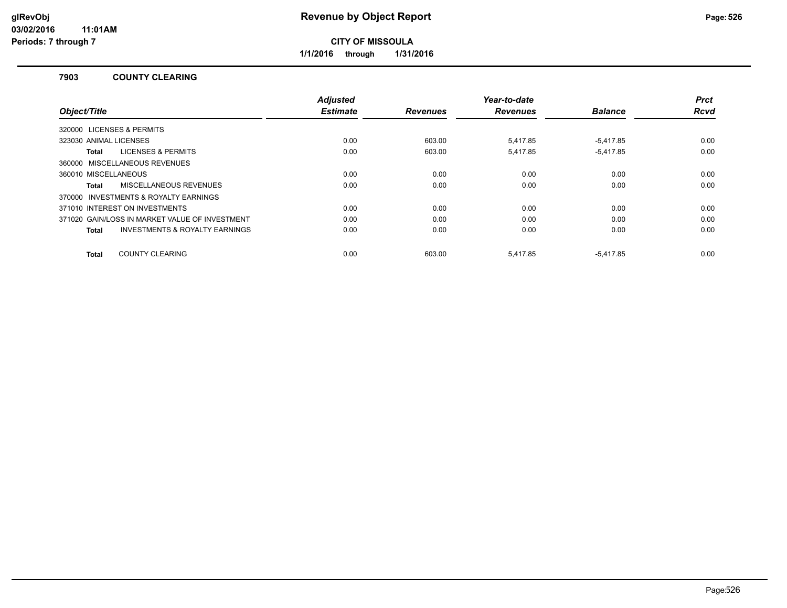**1/1/2016 through 1/31/2016**

#### **7903 COUNTY CLEARING**

|                                                    | <b>Adjusted</b> |                 | Year-to-date    |                | <b>Prct</b> |
|----------------------------------------------------|-----------------|-----------------|-----------------|----------------|-------------|
| Object/Title                                       | <b>Estimate</b> | <b>Revenues</b> | <b>Revenues</b> | <b>Balance</b> | <b>Rcvd</b> |
| 320000 LICENSES & PERMITS                          |                 |                 |                 |                |             |
| 323030 ANIMAL LICENSES                             | 0.00            | 603.00          | 5.417.85        | $-5.417.85$    | 0.00        |
| <b>LICENSES &amp; PERMITS</b><br>Total             | 0.00            | 603.00          | 5.417.85        | $-5.417.85$    | 0.00        |
| 360000 MISCELLANEOUS REVENUES                      |                 |                 |                 |                |             |
| 360010 MISCELLANEOUS                               | 0.00            | 0.00            | 0.00            | 0.00           | 0.00        |
| MISCELLANEOUS REVENUES<br>Total                    | 0.00            | 0.00            | 0.00            | 0.00           | 0.00        |
| 370000 INVESTMENTS & ROYALTY EARNINGS              |                 |                 |                 |                |             |
| 371010 INTEREST ON INVESTMENTS                     | 0.00            | 0.00            | 0.00            | 0.00           | 0.00        |
| 371020 GAIN/LOSS IN MARKET VALUE OF INVESTMENT     | 0.00            | 0.00            | 0.00            | 0.00           | 0.00        |
| <b>INVESTMENTS &amp; ROYALTY EARNINGS</b><br>Total | 0.00            | 0.00            | 0.00            | 0.00           | 0.00        |
|                                                    |                 |                 |                 |                |             |
| <b>COUNTY CLEARING</b><br>Total                    | 0.00            | 603.00          | 5.417.85        | $-5.417.85$    | 0.00        |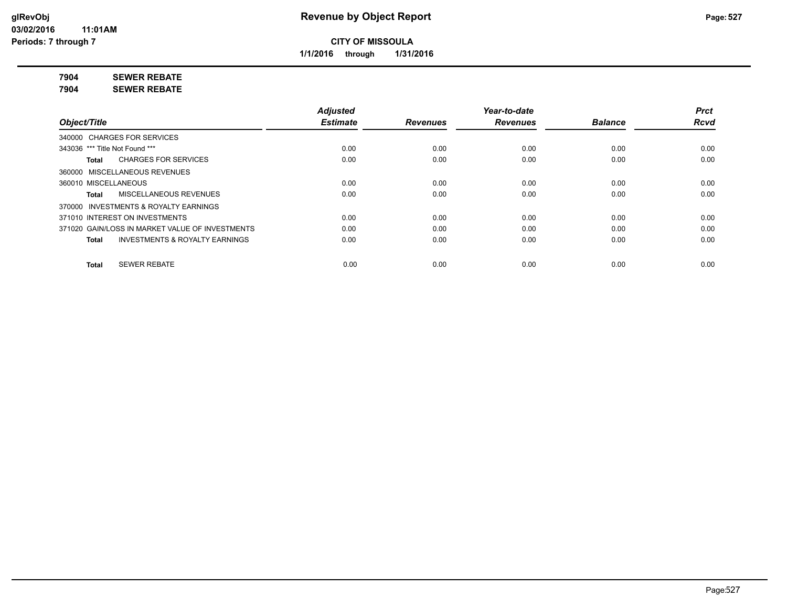**1/1/2016 through 1/31/2016**

**7904 SEWER REBATE**

**7904 SEWER REBATE**

|                                                           | <b>Adjusted</b> |                 | Year-to-date    |                | <b>Prct</b> |
|-----------------------------------------------------------|-----------------|-----------------|-----------------|----------------|-------------|
| Object/Title                                              | <b>Estimate</b> | <b>Revenues</b> | <b>Revenues</b> | <b>Balance</b> | <b>Rcvd</b> |
| 340000 CHARGES FOR SERVICES                               |                 |                 |                 |                |             |
| 343036 *** Title Not Found ***                            | 0.00            | 0.00            | 0.00            | 0.00           | 0.00        |
| <b>CHARGES FOR SERVICES</b><br>Total                      | 0.00            | 0.00            | 0.00            | 0.00           | 0.00        |
| 360000 MISCELLANEOUS REVENUES                             |                 |                 |                 |                |             |
| 360010 MISCELLANEOUS                                      | 0.00            | 0.00            | 0.00            | 0.00           | 0.00        |
| MISCELLANEOUS REVENUES<br>Total                           | 0.00            | 0.00            | 0.00            | 0.00           | 0.00        |
| 370000 INVESTMENTS & ROYALTY EARNINGS                     |                 |                 |                 |                |             |
| 371010 INTEREST ON INVESTMENTS                            | 0.00            | 0.00            | 0.00            | 0.00           | 0.00        |
| 371020 GAIN/LOSS IN MARKET VALUE OF INVESTMENTS           | 0.00            | 0.00            | 0.00            | 0.00           | 0.00        |
| <b>INVESTMENTS &amp; ROYALTY EARNINGS</b><br><b>Total</b> | 0.00            | 0.00            | 0.00            | 0.00           | 0.00        |
| <b>SEWER REBATE</b><br><b>Total</b>                       | 0.00            | 0.00            | 0.00            | 0.00           | 0.00        |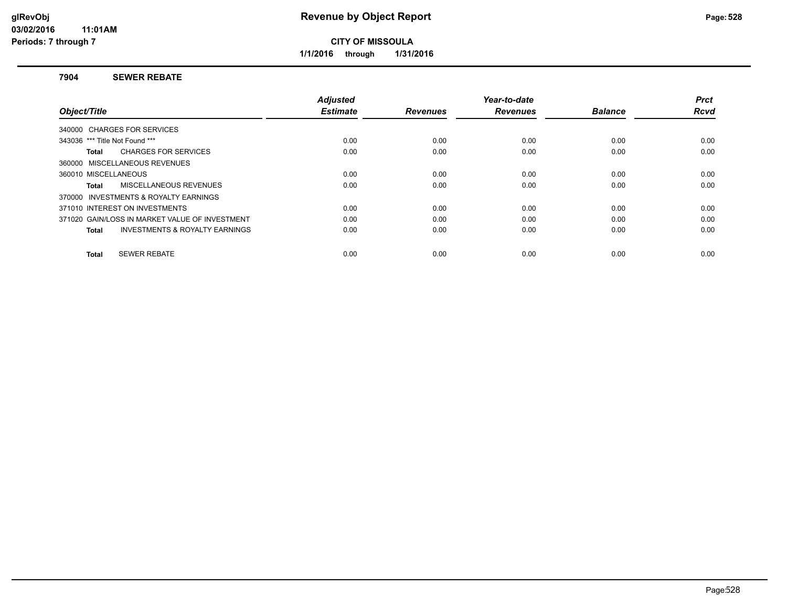**1/1/2016 through 1/31/2016**

#### **7904 SEWER REBATE**

| Object/Title                                              | <b>Adjusted</b><br><b>Estimate</b> | <b>Revenues</b> | Year-to-date<br><b>Revenues</b> | <b>Balance</b> | <b>Prct</b><br><b>Rcvd</b> |
|-----------------------------------------------------------|------------------------------------|-----------------|---------------------------------|----------------|----------------------------|
| 340000 CHARGES FOR SERVICES                               |                                    |                 |                                 |                |                            |
| 343036 *** Title Not Found ***                            | 0.00                               | 0.00            | 0.00                            | 0.00           | 0.00                       |
|                                                           |                                    |                 |                                 |                |                            |
| <b>CHARGES FOR SERVICES</b><br>Total                      | 0.00                               | 0.00            | 0.00                            | 0.00           | 0.00                       |
| 360000 MISCELLANEOUS REVENUES                             |                                    |                 |                                 |                |                            |
| 360010 MISCELLANEOUS                                      | 0.00                               | 0.00            | 0.00                            | 0.00           | 0.00                       |
| MISCELLANEOUS REVENUES<br>Total                           | 0.00                               | 0.00            | 0.00                            | 0.00           | 0.00                       |
| 370000 INVESTMENTS & ROYALTY EARNINGS                     |                                    |                 |                                 |                |                            |
| 371010 INTEREST ON INVESTMENTS                            | 0.00                               | 0.00            | 0.00                            | 0.00           | 0.00                       |
| 371020 GAIN/LOSS IN MARKET VALUE OF INVESTMENT            | 0.00                               | 0.00            | 0.00                            | 0.00           | 0.00                       |
| <b>INVESTMENTS &amp; ROYALTY EARNINGS</b><br><b>Total</b> | 0.00                               | 0.00            | 0.00                            | 0.00           | 0.00                       |
| <b>SEWER REBATE</b><br>Total                              | 0.00                               | 0.00            | 0.00                            | 0.00           | 0.00                       |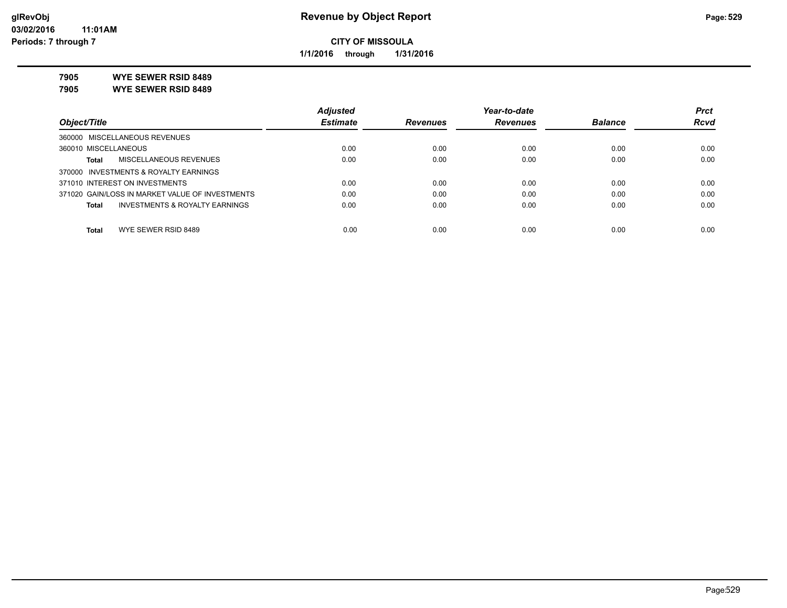**1/1/2016 through 1/31/2016**

**7905 WYE SEWER RSID 8489**

**7905 WYE SEWER RSID 8489**

|                                                 | <b>Adjusted</b> |                 | Year-to-date    |                | <b>Prct</b> |
|-------------------------------------------------|-----------------|-----------------|-----------------|----------------|-------------|
| Object/Title                                    | <b>Estimate</b> | <b>Revenues</b> | <b>Revenues</b> | <b>Balance</b> | <b>Rcvd</b> |
| 360000 MISCELLANEOUS REVENUES                   |                 |                 |                 |                |             |
| 360010 MISCELLANEOUS                            | 0.00            | 0.00            | 0.00            | 0.00           | 0.00        |
| MISCELLANEOUS REVENUES<br>Total                 | 0.00            | 0.00            | 0.00            | 0.00           | 0.00        |
| 370000 INVESTMENTS & ROYALTY EARNINGS           |                 |                 |                 |                |             |
| 371010 INTEREST ON INVESTMENTS                  | 0.00            | 0.00            | 0.00            | 0.00           | 0.00        |
| 371020 GAIN/LOSS IN MARKET VALUE OF INVESTMENTS | 0.00            | 0.00            | 0.00            | 0.00           | 0.00        |
| INVESTMENTS & ROYALTY EARNINGS<br>Total         | 0.00            | 0.00            | 0.00            | 0.00           | 0.00        |
|                                                 |                 |                 |                 |                |             |
| WYE SEWER RSID 8489<br>Total                    | 0.00            | 0.00            | 0.00            | 0.00           | 0.00        |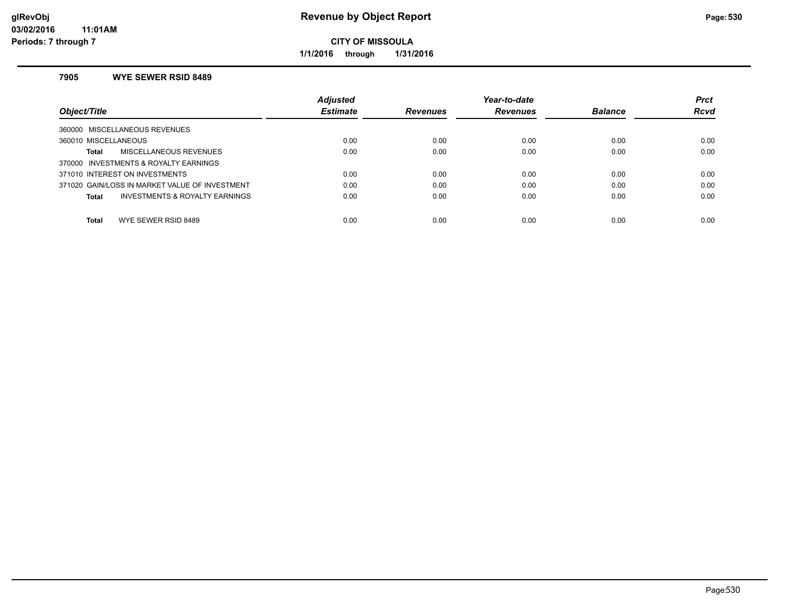**1/1/2016 through 1/31/2016**

#### **7905 WYE SEWER RSID 8489**

|                                                | <b>Adjusted</b> |                 | Year-to-date    |                | <b>Prct</b> |
|------------------------------------------------|-----------------|-----------------|-----------------|----------------|-------------|
| Object/Title                                   | <b>Estimate</b> | <b>Revenues</b> | <b>Revenues</b> | <b>Balance</b> | <b>Rcvd</b> |
| 360000 MISCELLANEOUS REVENUES                  |                 |                 |                 |                |             |
| 360010 MISCELLANEOUS                           | 0.00            | 0.00            | 0.00            | 0.00           | 0.00        |
| <b>MISCELLANEOUS REVENUES</b><br>Total         | 0.00            | 0.00            | 0.00            | 0.00           | 0.00        |
| 370000 INVESTMENTS & ROYALTY EARNINGS          |                 |                 |                 |                |             |
| 371010 INTEREST ON INVESTMENTS                 | 0.00            | 0.00            | 0.00            | 0.00           | 0.00        |
| 371020 GAIN/LOSS IN MARKET VALUE OF INVESTMENT | 0.00            | 0.00            | 0.00            | 0.00           | 0.00        |
| INVESTMENTS & ROYALTY EARNINGS<br>Total        | 0.00            | 0.00            | 0.00            | 0.00           | 0.00        |
|                                                |                 |                 |                 |                |             |
| WYE SEWER RSID 8489<br><b>Total</b>            | 0.00            | 0.00            | 0.00            | 0.00           | 0.00        |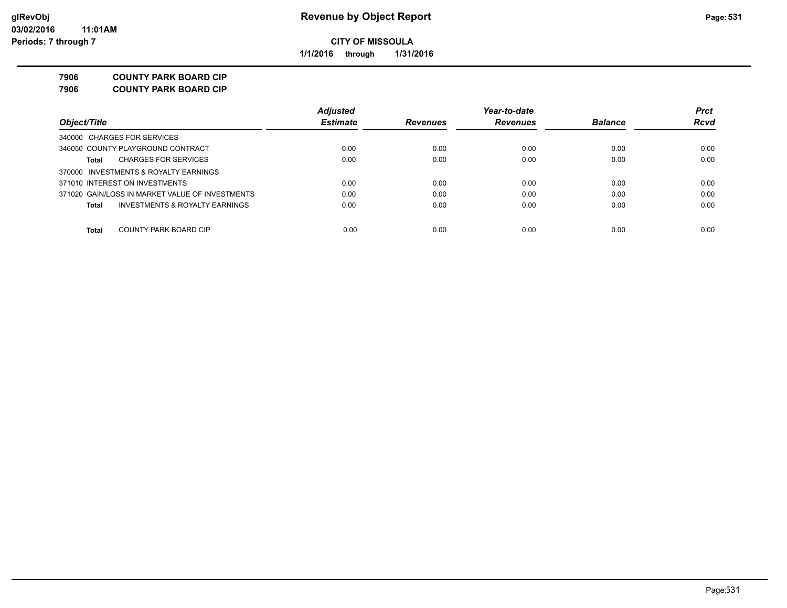**1/1/2016 through 1/31/2016**

**7906 COUNTY PARK BOARD CIP**

**7906 COUNTY PARK BOARD CIP**

|                                                 | <b>Adjusted</b> |                 | Year-to-date    |                | <b>Prct</b> |
|-------------------------------------------------|-----------------|-----------------|-----------------|----------------|-------------|
| Object/Title                                    | <b>Estimate</b> | <b>Revenues</b> | <b>Revenues</b> | <b>Balance</b> | <b>Rcvd</b> |
| 340000 CHARGES FOR SERVICES                     |                 |                 |                 |                |             |
| 346050 COUNTY PLAYGROUND CONTRACT               | 0.00            | 0.00            | 0.00            | 0.00           | 0.00        |
| <b>CHARGES FOR SERVICES</b><br>Total            | 0.00            | 0.00            | 0.00            | 0.00           | 0.00        |
| 370000 INVESTMENTS & ROYALTY EARNINGS           |                 |                 |                 |                |             |
| 371010 INTEREST ON INVESTMENTS                  | 0.00            | 0.00            | 0.00            | 0.00           | 0.00        |
| 371020 GAIN/LOSS IN MARKET VALUE OF INVESTMENTS | 0.00            | 0.00            | 0.00            | 0.00           | 0.00        |
| INVESTMENTS & ROYALTY EARNINGS<br>Total         | 0.00            | 0.00            | 0.00            | 0.00           | 0.00        |
|                                                 |                 |                 |                 |                |             |
| COUNTY PARK BOARD CIP<br><b>Total</b>           | 0.00            | 0.00            | 0.00            | 0.00           | 0.00        |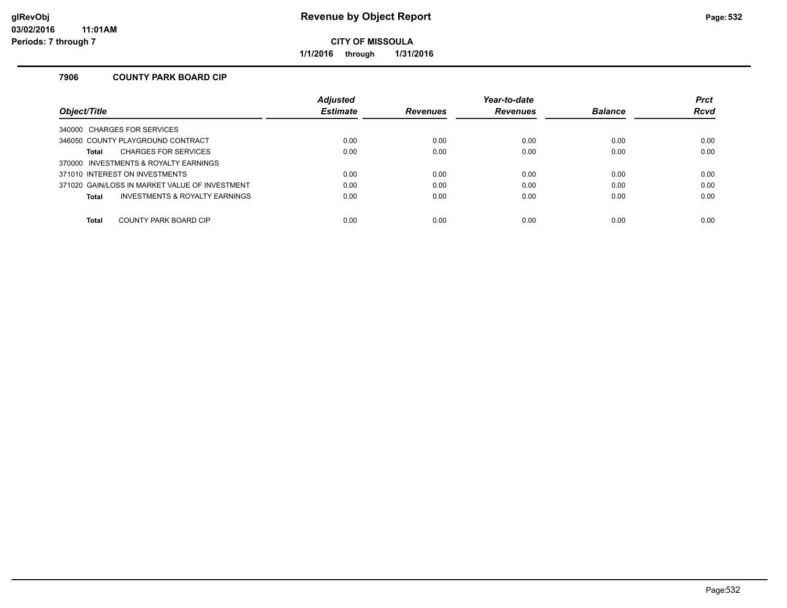**1/1/2016 through 1/31/2016**

#### **7906 COUNTY PARK BOARD CIP**

|                                                | <b>Adjusted</b> |                 | Year-to-date    |                | <b>Prct</b> |
|------------------------------------------------|-----------------|-----------------|-----------------|----------------|-------------|
| Object/Title                                   | <b>Estimate</b> | <b>Revenues</b> | <b>Revenues</b> | <b>Balance</b> | <b>Rcvd</b> |
| 340000 CHARGES FOR SERVICES                    |                 |                 |                 |                |             |
| 346050 COUNTY PLAYGROUND CONTRACT              | 0.00            | 0.00            | 0.00            | 0.00           | 0.00        |
| <b>CHARGES FOR SERVICES</b><br>Total           | 0.00            | 0.00            | 0.00            | 0.00           | 0.00        |
| 370000 INVESTMENTS & ROYALTY EARNINGS          |                 |                 |                 |                |             |
| 371010 INTEREST ON INVESTMENTS                 | 0.00            | 0.00            | 0.00            | 0.00           | 0.00        |
| 371020 GAIN/LOSS IN MARKET VALUE OF INVESTMENT | 0.00            | 0.00            | 0.00            | 0.00           | 0.00        |
| INVESTMENTS & ROYALTY EARNINGS<br>Total        | 0.00            | 0.00            | 0.00            | 0.00           | 0.00        |
| <b>Total</b><br>COUNTY PARK BOARD CIP          | 0.00            | 0.00            | 0.00            | 0.00           | 0.00        |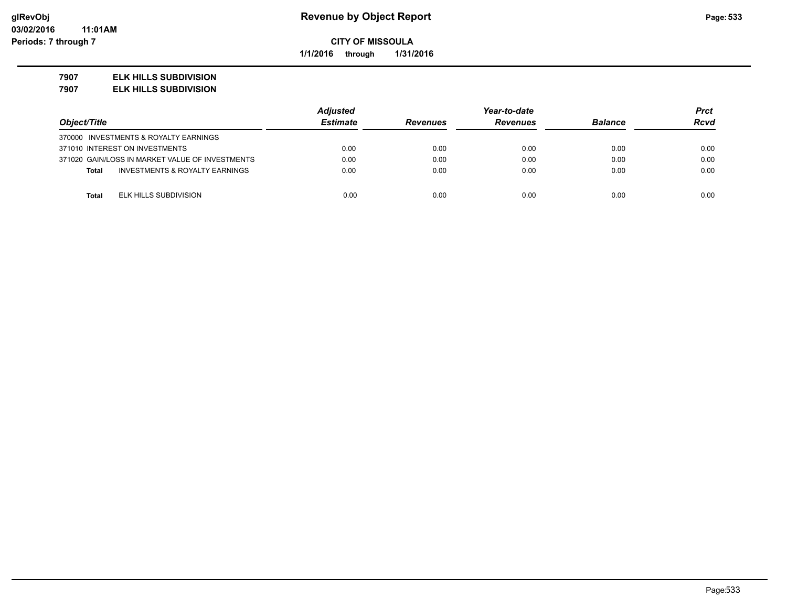**1/1/2016 through 1/31/2016**

#### **7907 ELK HILLS SUBDIVISION**

**7907 ELK HILLS SUBDIVISION**

|                                                 | <b>Adjusted</b> |                 | Year-to-date    |                | Prct        |
|-------------------------------------------------|-----------------|-----------------|-----------------|----------------|-------------|
| Object/Title                                    | <b>Estimate</b> | <b>Revenues</b> | <b>Revenues</b> | <b>Balance</b> | <b>Rcvd</b> |
| 370000 INVESTMENTS & ROYALTY EARNINGS           |                 |                 |                 |                |             |
| 371010 INTEREST ON INVESTMENTS                  | 0.00            | 0.00            | 0.00            | 0.00           | 0.00        |
| 371020 GAIN/LOSS IN MARKET VALUE OF INVESTMENTS | 0.00            | 0.00            | 0.00            | 0.00           | 0.00        |
| INVESTMENTS & ROYALTY EARNINGS<br><b>Total</b>  | 0.00            | 0.00            | 0.00            | 0.00           | 0.00        |
|                                                 |                 |                 |                 |                |             |
| ELK HILLS SUBDIVISION<br><b>Total</b>           | 0.00            | 0.00            | 0.00            | 0.00           | 0.00        |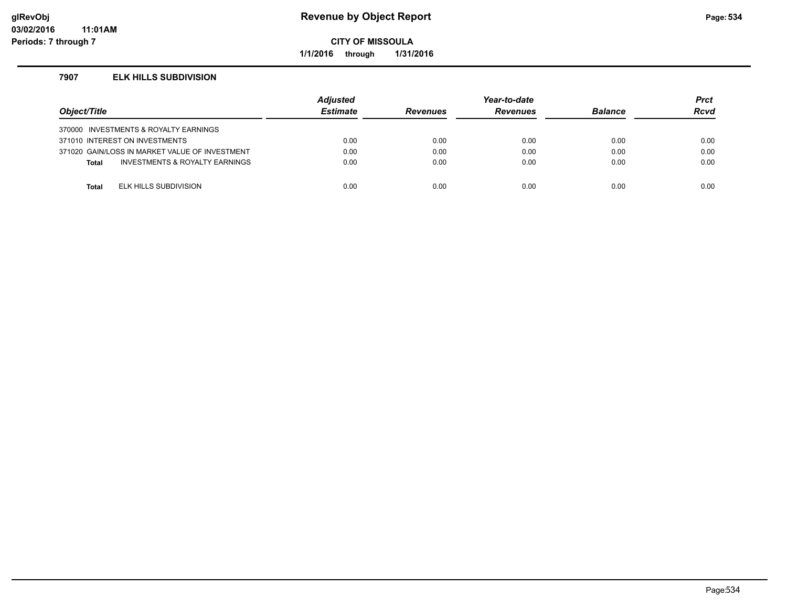#### **glRevObj Revenue by Object Report Page:534**

**CITY OF MISSOULA**

**1/1/2016 through 1/31/2016**

#### **7907 ELK HILLS SUBDIVISION**

| Object/Title |                                                | <b>Adjusted</b><br><b>Estimate</b> | <b>Revenues</b> | Year-to-date<br><b>Revenues</b> | <b>Balance</b> | <b>Prct</b><br><b>Rcvd</b> |
|--------------|------------------------------------------------|------------------------------------|-----------------|---------------------------------|----------------|----------------------------|
|              | 370000 INVESTMENTS & ROYALTY EARNINGS          |                                    |                 |                                 |                |                            |
|              | 371010 INTEREST ON INVESTMENTS                 | 0.00                               | 0.00            | 0.00                            | 0.00           | 0.00                       |
|              | 371020 GAIN/LOSS IN MARKET VALUE OF INVESTMENT | 0.00                               | 0.00            | 0.00                            | 0.00           | 0.00                       |
| <b>Total</b> | <b>INVESTMENTS &amp; ROYALTY EARNINGS</b>      | 0.00                               | 0.00            | 0.00                            | 0.00           | 0.00                       |
|              |                                                |                                    |                 |                                 |                |                            |
| <b>Total</b> | ELK HILLS SUBDIVISION                          | 0.00                               | 0.00            | 0.00                            | 0.00           | 0.00                       |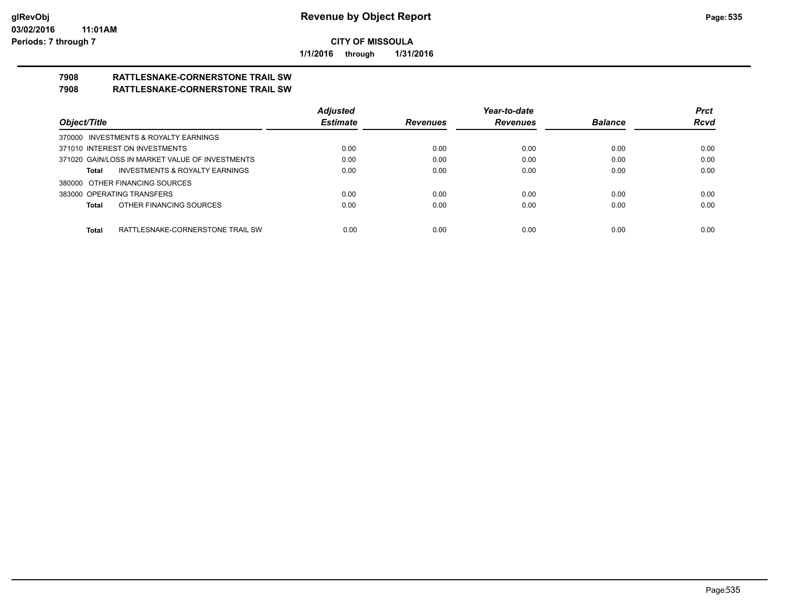**1/1/2016 through 1/31/2016**

# **7908 RATTLESNAKE-CORNERSTONE TRAIL SW**

## **7908 RATTLESNAKE-CORNERSTONE TRAIL SW**

|                                                 | <b>Adjusted</b> |                 | Year-to-date    |                | <b>Prct</b> |
|-------------------------------------------------|-----------------|-----------------|-----------------|----------------|-------------|
| Object/Title                                    | <b>Estimate</b> | <b>Revenues</b> | <b>Revenues</b> | <b>Balance</b> | <b>Rcvd</b> |
| 370000 INVESTMENTS & ROYALTY EARNINGS           |                 |                 |                 |                |             |
| 371010 INTEREST ON INVESTMENTS                  | 0.00            | 0.00            | 0.00            | 0.00           | 0.00        |
| 371020 GAIN/LOSS IN MARKET VALUE OF INVESTMENTS | 0.00            | 0.00            | 0.00            | 0.00           | 0.00        |
| INVESTMENTS & ROYALTY EARNINGS<br>Total         | 0.00            | 0.00            | 0.00            | 0.00           | 0.00        |
| 380000 OTHER FINANCING SOURCES                  |                 |                 |                 |                |             |
| 383000 OPERATING TRANSFERS                      | 0.00            | 0.00            | 0.00            | 0.00           | 0.00        |
| OTHER FINANCING SOURCES<br>Total                | 0.00            | 0.00            | 0.00            | 0.00           | 0.00        |
|                                                 |                 |                 |                 |                |             |
| RATTLESNAKE-CORNERSTONE TRAIL SW<br>Total       | 0.00            | 0.00            | 0.00            | 0.00           | 0.00        |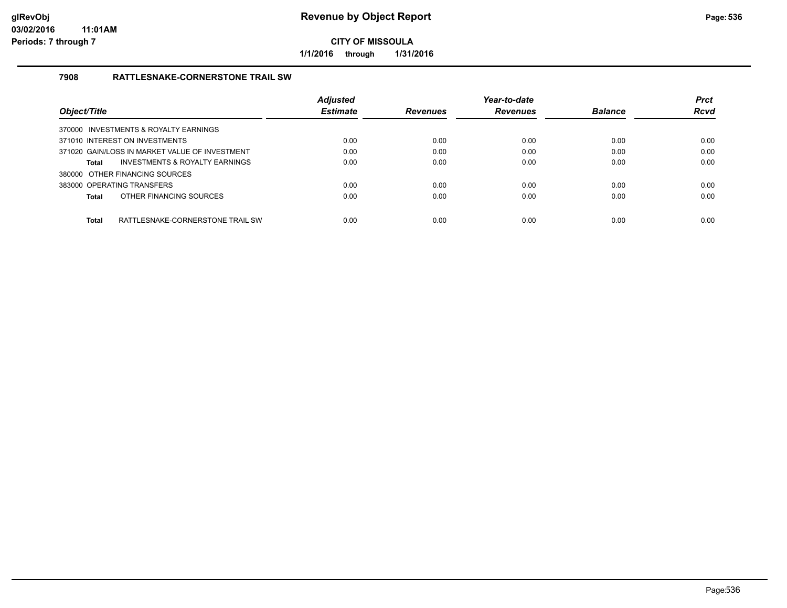**1/1/2016 through 1/31/2016**

#### **7908 RATTLESNAKE-CORNERSTONE TRAIL SW**

|                                                    | <b>Adjusted</b> |                 | Year-to-date    |                | <b>Prct</b> |
|----------------------------------------------------|-----------------|-----------------|-----------------|----------------|-------------|
| Object/Title                                       | <b>Estimate</b> | <b>Revenues</b> | <b>Revenues</b> | <b>Balance</b> | Rcvd        |
| 370000 INVESTMENTS & ROYALTY EARNINGS              |                 |                 |                 |                |             |
| 371010 INTEREST ON INVESTMENTS                     | 0.00            | 0.00            | 0.00            | 0.00           | 0.00        |
| 371020 GAIN/LOSS IN MARKET VALUE OF INVESTMENT     | 0.00            | 0.00            | 0.00            | 0.00           | 0.00        |
| <b>INVESTMENTS &amp; ROYALTY EARNINGS</b><br>Total | 0.00            | 0.00            | 0.00            | 0.00           | 0.00        |
| 380000 OTHER FINANCING SOURCES                     |                 |                 |                 |                |             |
| 383000 OPERATING TRANSFERS                         | 0.00            | 0.00            | 0.00            | 0.00           | 0.00        |
| OTHER FINANCING SOURCES<br>Total                   | 0.00            | 0.00            | 0.00            | 0.00           | 0.00        |
|                                                    |                 |                 |                 |                |             |
| <b>Total</b><br>RATTLESNAKE-CORNERSTONE TRAIL SW   | 0.00            | 0.00            | 0.00            | 0.00           | 0.00        |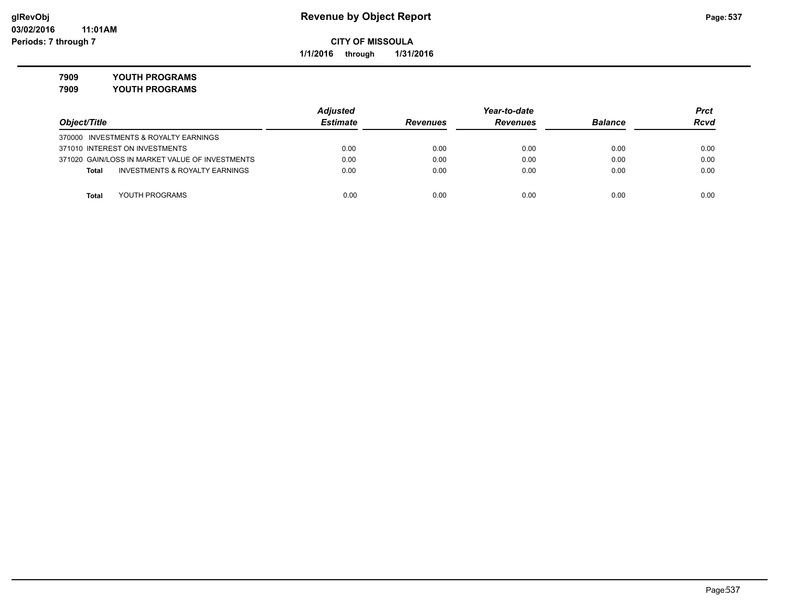**1/1/2016 through 1/31/2016**

**7909 YOUTH PROGRAMS**

**7909 YOUTH PROGRAMS**

|                                                 | <b>Adjusted</b> |                 | Year-to-date    |                | <b>Prct</b> |
|-------------------------------------------------|-----------------|-----------------|-----------------|----------------|-------------|
| Object/Title                                    | <b>Estimate</b> | <b>Revenues</b> | <b>Revenues</b> | <b>Balance</b> | <b>Rcvd</b> |
| 370000 INVESTMENTS & ROYALTY EARNINGS           |                 |                 |                 |                |             |
| 371010 INTEREST ON INVESTMENTS                  | 0.00            | 0.00            | 0.00            | 0.00           | 0.00        |
| 371020 GAIN/LOSS IN MARKET VALUE OF INVESTMENTS | 0.00            | 0.00            | 0.00            | 0.00           | 0.00        |
| INVESTMENTS & ROYALTY EARNINGS<br>Total         | 0.00            | 0.00            | 0.00            | 0.00           | 0.00        |
|                                                 |                 |                 |                 |                |             |
| YOUTH PROGRAMS<br>Total                         | 0.00            | 0.00            | 0.00            | 0.00           | 0.00        |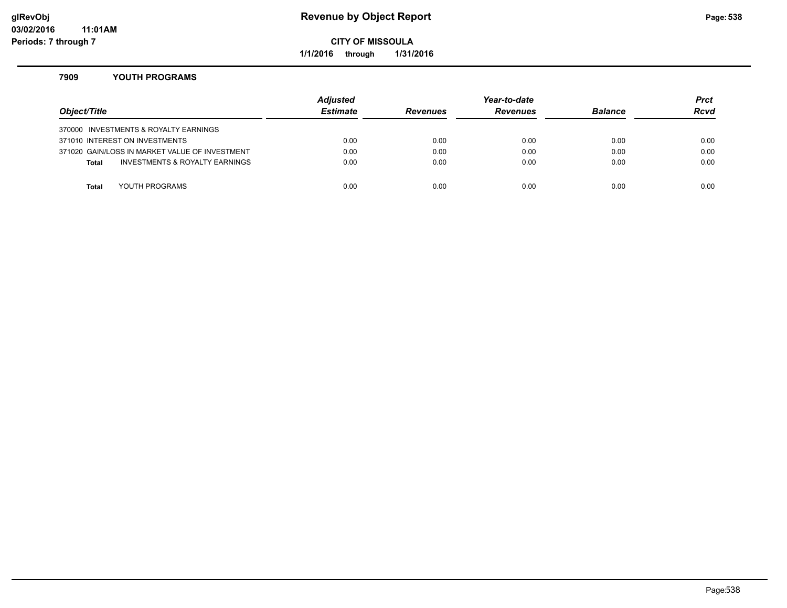#### **glRevObj Revenue by Object Report Page:538**

**CITY OF MISSOULA**

**1/1/2016 through 1/31/2016**

#### **7909 YOUTH PROGRAMS**

| Object/Title |                                                | <b>Adjusted</b><br><b>Estimate</b> | <b>Revenues</b> | Year-to-date<br><b>Revenues</b> | <b>Balance</b> | <b>Prct</b><br><b>Rcvd</b> |
|--------------|------------------------------------------------|------------------------------------|-----------------|---------------------------------|----------------|----------------------------|
|              | 370000 INVESTMENTS & ROYALTY EARNINGS          |                                    |                 |                                 |                |                            |
|              | 371010 INTEREST ON INVESTMENTS                 | 0.00                               | 0.00            | 0.00                            | 0.00           | 0.00                       |
|              | 371020 GAIN/LOSS IN MARKET VALUE OF INVESTMENT | 0.00                               | 0.00            | 0.00                            | 0.00           | 0.00                       |
| <b>Total</b> | INVESTMENTS & ROYALTY EARNINGS                 | 0.00                               | 0.00            | 0.00                            | 0.00           | 0.00                       |
|              |                                                |                                    |                 |                                 |                |                            |
| <b>Total</b> | YOUTH PROGRAMS                                 | 0.00                               | 0.00            | 0.00                            | 0.00           | 0.00                       |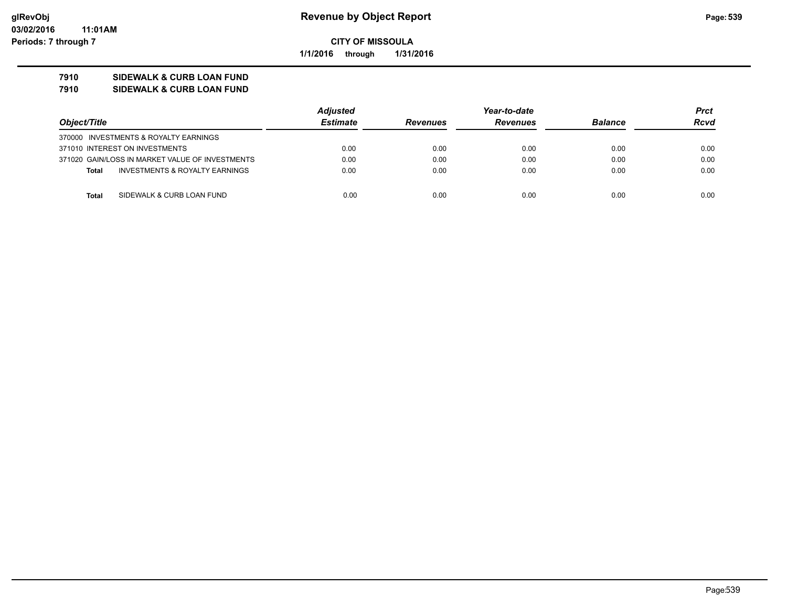**1/1/2016 through 1/31/2016**

### **7910 SIDEWALK & CURB LOAN FUND**

**7910 SIDEWALK & CURB LOAN FUND**

|                                                 | <b>Adjusted</b> |                 | Year-to-date    |                | Prct        |
|-------------------------------------------------|-----------------|-----------------|-----------------|----------------|-------------|
| Object/Title                                    | <b>Estimate</b> | <b>Revenues</b> | <b>Revenues</b> | <b>Balance</b> | <b>Rcvd</b> |
| 370000 INVESTMENTS & ROYALTY EARNINGS           |                 |                 |                 |                |             |
| 371010 INTEREST ON INVESTMENTS                  | 0.00            | 0.00            | 0.00            | 0.00           | 0.00        |
| 371020 GAIN/LOSS IN MARKET VALUE OF INVESTMENTS | 0.00            | 0.00            | 0.00            | 0.00           | 0.00        |
| INVESTMENTS & ROYALTY EARNINGS<br><b>Total</b>  | 0.00            | 0.00            | 0.00            | 0.00           | 0.00        |
|                                                 |                 |                 |                 |                |             |
| SIDEWALK & CURB LOAN FUND<br><b>Total</b>       | 0.00            | 0.00            | 0.00            | 0.00           | 0.00        |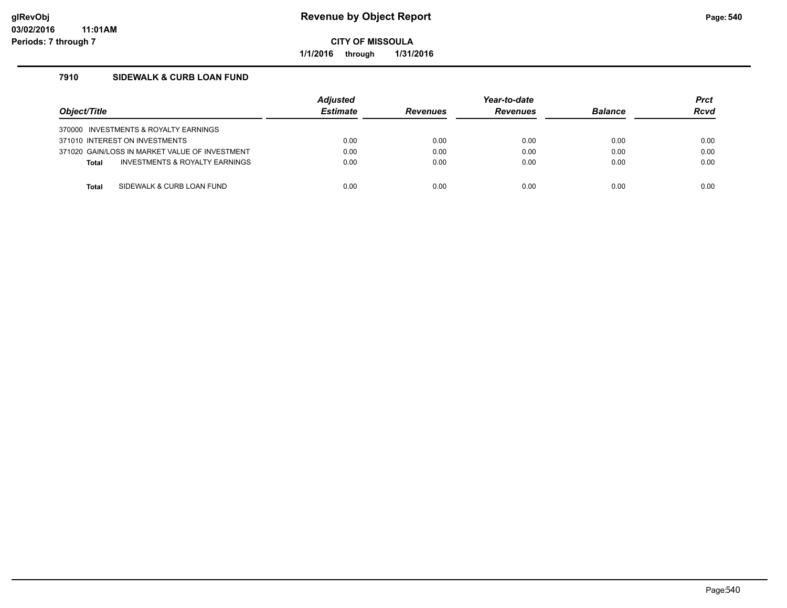**1/1/2016 through 1/31/2016**

#### **7910 SIDEWALK & CURB LOAN FUND**

| Object/Title                                   |                                       | <b>Adjusted</b><br><b>Estimate</b> | <b>Revenues</b> | Year-to-date<br><b>Revenues</b> | <b>Balance</b> | <b>Prct</b><br><b>Rcvd</b> |
|------------------------------------------------|---------------------------------------|------------------------------------|-----------------|---------------------------------|----------------|----------------------------|
|                                                | 370000 INVESTMENTS & ROYALTY EARNINGS |                                    |                 |                                 |                |                            |
| 371010 INTEREST ON INVESTMENTS                 |                                       | 0.00                               | 0.00            | 0.00                            | 0.00           | 0.00                       |
| 371020 GAIN/LOSS IN MARKET VALUE OF INVESTMENT |                                       | 0.00                               | 0.00            | 0.00                            | 0.00           | 0.00                       |
| <b>Total</b>                                   | INVESTMENTS & ROYALTY EARNINGS        | 0.00                               | 0.00            | 0.00                            | 0.00           | 0.00                       |
|                                                |                                       |                                    |                 |                                 |                |                            |
| <b>Total</b>                                   | SIDEWALK & CURB LOAN FUND             | 0.00                               | 0.00            | 0.00                            | 0.00           | 0.00                       |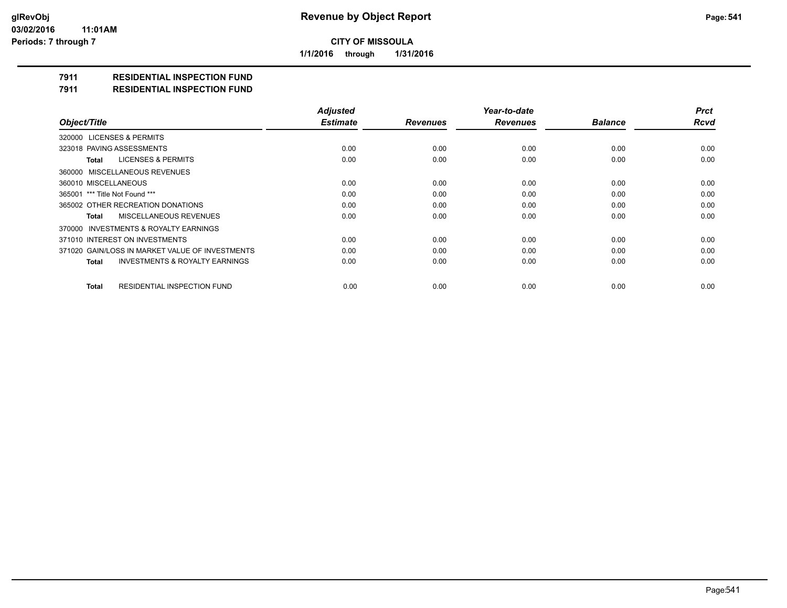**1/1/2016 through 1/31/2016**

### **7911 RESIDENTIAL INSPECTION FUND**

#### **7911 RESIDENTIAL INSPECTION FUND**

|                                                    | <b>Adjusted</b> |                 | Year-to-date    |                | <b>Prct</b> |
|----------------------------------------------------|-----------------|-----------------|-----------------|----------------|-------------|
| Object/Title                                       | <b>Estimate</b> | <b>Revenues</b> | <b>Revenues</b> | <b>Balance</b> | <b>Rcvd</b> |
| 320000 LICENSES & PERMITS                          |                 |                 |                 |                |             |
| 323018 PAVING ASSESSMENTS                          | 0.00            | 0.00            | 0.00            | 0.00           | 0.00        |
| <b>LICENSES &amp; PERMITS</b><br>Total             | 0.00            | 0.00            | 0.00            | 0.00           | 0.00        |
| 360000 MISCELLANEOUS REVENUES                      |                 |                 |                 |                |             |
| 360010 MISCELLANEOUS                               | 0.00            | 0.00            | 0.00            | 0.00           | 0.00        |
| 365001 *** Title Not Found ***                     | 0.00            | 0.00            | 0.00            | 0.00           | 0.00        |
| 365002 OTHER RECREATION DONATIONS                  | 0.00            | 0.00            | 0.00            | 0.00           | 0.00        |
| <b>MISCELLANEOUS REVENUES</b><br>Total             | 0.00            | 0.00            | 0.00            | 0.00           | 0.00        |
| 370000 INVESTMENTS & ROYALTY EARNINGS              |                 |                 |                 |                |             |
| 371010 INTEREST ON INVESTMENTS                     | 0.00            | 0.00            | 0.00            | 0.00           | 0.00        |
| 371020 GAIN/LOSS IN MARKET VALUE OF INVESTMENTS    | 0.00            | 0.00            | 0.00            | 0.00           | 0.00        |
| <b>INVESTMENTS &amp; ROYALTY EARNINGS</b><br>Total | 0.00            | 0.00            | 0.00            | 0.00           | 0.00        |
| <b>RESIDENTIAL INSPECTION FUND</b><br><b>Total</b> | 0.00            | 0.00            | 0.00            | 0.00           | 0.00        |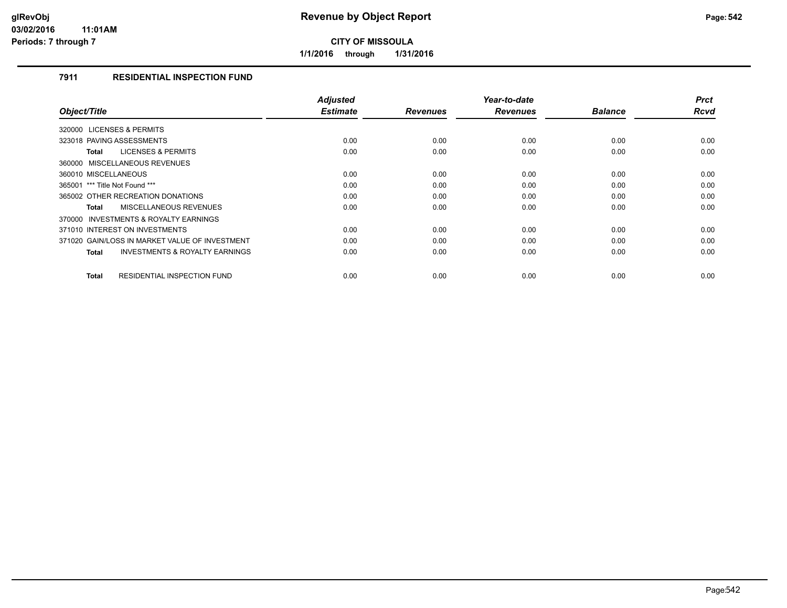**1/1/2016 through 1/31/2016**

### **7911 RESIDENTIAL INSPECTION FUND**

| Object/Title                                       | <b>Adjusted</b><br><b>Estimate</b> | <b>Revenues</b> | Year-to-date<br><b>Revenues</b> | <b>Balance</b> | <b>Prct</b><br><b>Rcvd</b> |
|----------------------------------------------------|------------------------------------|-----------------|---------------------------------|----------------|----------------------------|
|                                                    |                                    |                 |                                 |                |                            |
| 320000 LICENSES & PERMITS                          |                                    |                 |                                 |                |                            |
| 323018 PAVING ASSESSMENTS                          | 0.00                               | 0.00            | 0.00                            | 0.00           | 0.00                       |
| <b>LICENSES &amp; PERMITS</b><br>Total             | 0.00                               | 0.00            | 0.00                            | 0.00           | 0.00                       |
| 360000 MISCELLANEOUS REVENUES                      |                                    |                 |                                 |                |                            |
| 360010 MISCELLANEOUS                               | 0.00                               | 0.00            | 0.00                            | 0.00           | 0.00                       |
| 365001 *** Title Not Found ***                     | 0.00                               | 0.00            | 0.00                            | 0.00           | 0.00                       |
| 365002 OTHER RECREATION DONATIONS                  | 0.00                               | 0.00            | 0.00                            | 0.00           | 0.00                       |
| MISCELLANEOUS REVENUES<br>Total                    | 0.00                               | 0.00            | 0.00                            | 0.00           | 0.00                       |
| INVESTMENTS & ROYALTY EARNINGS<br>370000           |                                    |                 |                                 |                |                            |
| 371010 INTEREST ON INVESTMENTS                     | 0.00                               | 0.00            | 0.00                            | 0.00           | 0.00                       |
| 371020 GAIN/LOSS IN MARKET VALUE OF INVESTMENT     | 0.00                               | 0.00            | 0.00                            | 0.00           | 0.00                       |
| <b>INVESTMENTS &amp; ROYALTY EARNINGS</b><br>Total | 0.00                               | 0.00            | 0.00                            | 0.00           | 0.00                       |
|                                                    |                                    |                 |                                 |                |                            |
| <b>RESIDENTIAL INSPECTION FUND</b><br><b>Total</b> | 0.00                               | 0.00            | 0.00                            | 0.00           | 0.00                       |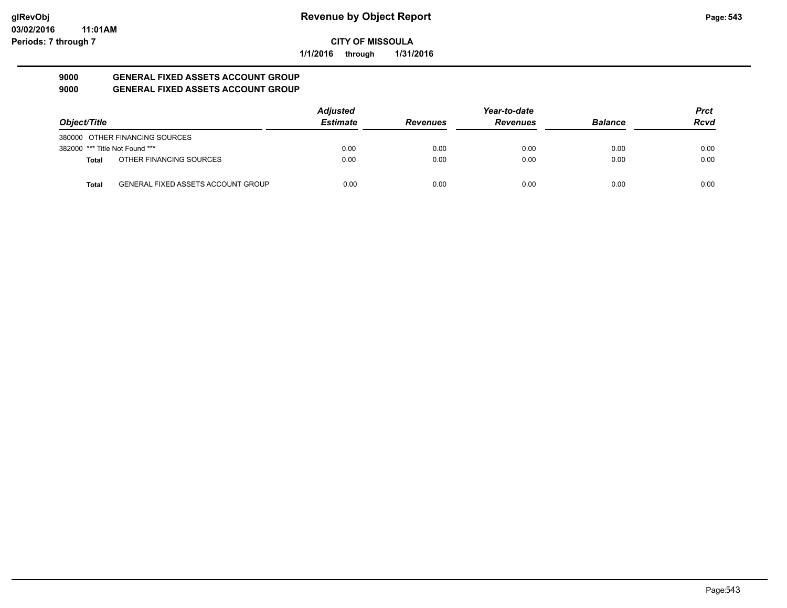**1/1/2016 through 1/31/2016**

#### **9000 GENERAL FIXED ASSETS ACCOUNT GROUP 9000 GENERAL FIXED ASSETS ACCOUNT GROUP**

| Object/Title                   |                                           | <b>Adjusted</b> |                 | Year-to-date    |                | <b>Prct</b> |
|--------------------------------|-------------------------------------------|-----------------|-----------------|-----------------|----------------|-------------|
|                                |                                           | <b>Estimate</b> | <b>Revenues</b> | <b>Revenues</b> | <b>Balance</b> | <b>Rcvd</b> |
|                                | 380000 OTHER FINANCING SOURCES            |                 |                 |                 |                |             |
| 382000 *** Title Not Found *** |                                           | 0.00            | 0.00            | 0.00            | 0.00           | 0.00        |
| <b>Total</b>                   | OTHER FINANCING SOURCES                   | 0.00            | 0.00            | 0.00            | 0.00           | 0.00        |
| <b>Total</b>                   | <b>GENERAL FIXED ASSETS ACCOUNT GROUP</b> | 0.00            | 0.00            | 0.00            | 0.00           | 0.00        |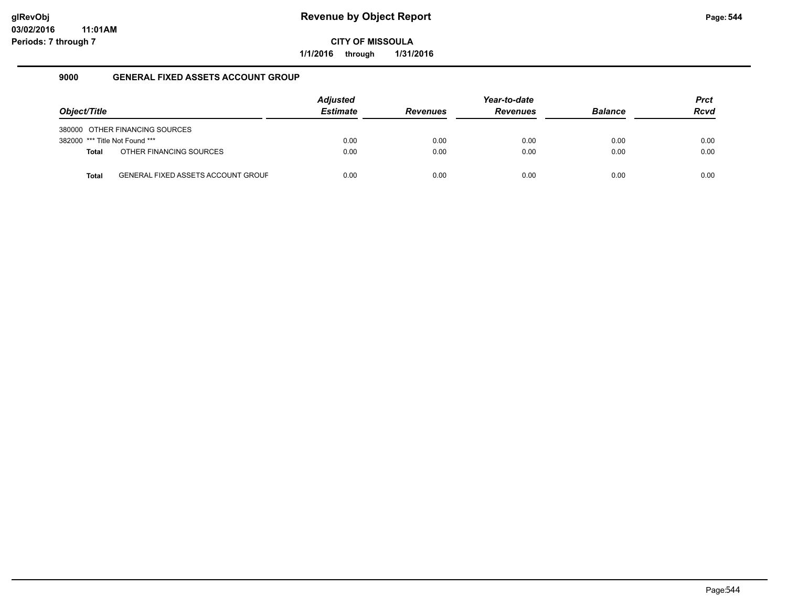**1/1/2016 through 1/31/2016**

#### **9000 GENERAL FIXED ASSETS ACCOUNT GROUP**

|                                |                                           | <b>Adjusted</b> |                 | Year-to-date    |                | <b>Prct</b> |
|--------------------------------|-------------------------------------------|-----------------|-----------------|-----------------|----------------|-------------|
| Object/Title                   |                                           | <b>Estimate</b> | <b>Revenues</b> | <b>Revenues</b> | <b>Balance</b> | <b>Rcvd</b> |
|                                | 380000 OTHER FINANCING SOURCES            |                 |                 |                 |                |             |
| 382000 *** Title Not Found *** |                                           | 0.00            | 0.00            | 0.00            | 0.00           | 0.00        |
| <b>Total</b>                   | OTHER FINANCING SOURCES                   | 0.00            | 0.00            | 0.00            | 0.00           | 0.00        |
| <b>Total</b>                   | <b>GENERAL FIXED ASSETS ACCOUNT GROUF</b> | 0.00            | 0.00            | 0.00            | 0.00           | 0.00        |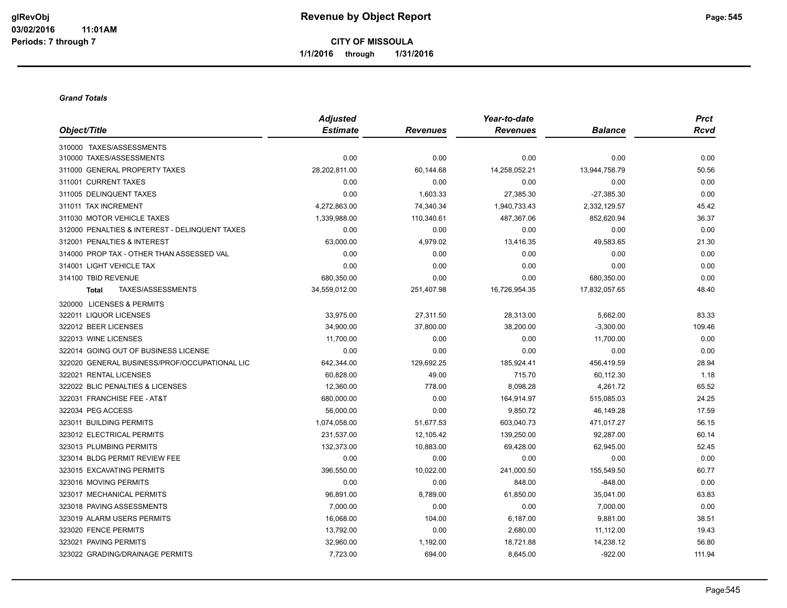**CITY OF MISSOULA 1/1/2016 through 1/31/2016**

#### *Grand Totals*

|                                                | <b>Adjusted</b> |                 | Year-to-date    |                | <b>Prct</b> |
|------------------------------------------------|-----------------|-----------------|-----------------|----------------|-------------|
| Object/Title                                   | <b>Estimate</b> | <b>Revenues</b> | <b>Revenues</b> | <b>Balance</b> | <b>Rcvd</b> |
| 310000 TAXES/ASSESSMENTS                       |                 |                 |                 |                |             |
| 310000 TAXES/ASSESSMENTS                       | 0.00            | 0.00            | 0.00            | 0.00           | 0.00        |
| 311000 GENERAL PROPERTY TAXES                  | 28,202,811.00   | 60,144.68       | 14,258,052.21   | 13,944,758.79  | 50.56       |
| 311001 CURRENT TAXES                           | 0.00            | 0.00            | 0.00            | 0.00           | 0.00        |
| 311005 DELINQUENT TAXES                        | 0.00            | 1,603.33        | 27,385.30       | $-27,385.30$   | 0.00        |
| 311011 TAX INCREMENT                           | 4,272,863.00    | 74,340.34       | 1,940,733.43    | 2,332,129.57   | 45.42       |
| 311030 MOTOR VEHICLE TAXES                     | 1,339,988.00    | 110,340.61      | 487,367.06      | 852,620.94     | 36.37       |
| 312000 PENALTIES & INTEREST - DELINQUENT TAXES | 0.00            | 0.00            | 0.00            | 0.00           | 0.00        |
| 312001 PENALTIES & INTEREST                    | 63,000.00       | 4,979.02        | 13,416.35       | 49,583.65      | 21.30       |
| 314000 PROP TAX - OTHER THAN ASSESSED VAL      | 0.00            | 0.00            | 0.00            | 0.00           | 0.00        |
| 314001 LIGHT VEHICLE TAX                       | 0.00            | 0.00            | 0.00            | 0.00           | 0.00        |
| 314100 TBID REVENUE                            | 680,350.00      | 0.00            | 0.00            | 680,350.00     | 0.00        |
| TAXES/ASSESSMENTS<br><b>Total</b>              | 34,559,012.00   | 251,407.98      | 16,726,954.35   | 17,832,057.65  | 48.40       |
| 320000 LICENSES & PERMITS                      |                 |                 |                 |                |             |
| 322011 LIQUOR LICENSES                         | 33,975.00       | 27,311.50       | 28,313.00       | 5,662.00       | 83.33       |
| 322012 BEER LICENSES                           | 34,900.00       | 37,800.00       | 38,200.00       | $-3,300.00$    | 109.46      |
| 322013 WINE LICENSES                           | 11,700.00       | 0.00            | 0.00            | 11,700.00      | 0.00        |
| 322014 GOING OUT OF BUSINESS LICENSE           | 0.00            | 0.00            | 0.00            | 0.00           | 0.00        |
| 322020 GENERAL BUSINESS/PROF/OCCUPATIONAL LIC  | 642,344.00      | 129,692.25      | 185,924.41      | 456,419.59     | 28.94       |
| 322021 RENTAL LICENSES                         | 60.828.00       | 49.00           | 715.70          | 60,112.30      | 1.18        |
| 322022 BLIC PENALTIES & LICENSES               | 12,360.00       | 778.00          | 8,098.28        | 4,261.72       | 65.52       |
| 322031 FRANCHISE FEE - AT&T                    | 680,000.00      | 0.00            | 164,914.97      | 515,085.03     | 24.25       |
| 322034 PEG ACCESS                              | 56,000.00       | 0.00            | 9,850.72        | 46,149.28      | 17.59       |
| 323011 BUILDING PERMITS                        | 1,074,058.00    | 51,677.53       | 603,040.73      | 471,017.27     | 56.15       |
| 323012 ELECTRICAL PERMITS                      | 231,537.00      | 12,105.42       | 139,250.00      | 92,287.00      | 60.14       |
| 323013 PLUMBING PERMITS                        | 132,373.00      | 10,883.00       | 69,428.00       | 62,945.00      | 52.45       |
| 323014 BLDG PERMIT REVIEW FEE                  | 0.00            | 0.00            | 0.00            | 0.00           | 0.00        |
| 323015 EXCAVATING PERMITS                      | 396,550.00      | 10,022.00       | 241,000.50      | 155,549.50     | 60.77       |
| 323016 MOVING PERMITS                          | 0.00            | 0.00            | 848.00          | $-848.00$      | 0.00        |
| 323017 MECHANICAL PERMITS                      | 96,891.00       | 8,789.00        | 61,850.00       | 35,041.00      | 63.83       |
| 323018 PAVING ASSESSMENTS                      | 7,000.00        | 0.00            | 0.00            | 7,000.00       | 0.00        |
| 323019 ALARM USERS PERMITS                     | 16,068.00       | 104.00          | 6,187.00        | 9,881.00       | 38.51       |
| 323020 FENCE PERMITS                           | 13,792.00       | 0.00            | 2,680.00        | 11,112.00      | 19.43       |
| 323021 PAVING PERMITS                          | 32,960.00       | 1,192.00        | 18,721.88       | 14,238.12      | 56.80       |
| 323022 GRADING/DRAINAGE PERMITS                | 7,723.00        | 694.00          | 8,645.00        | $-922.00$      | 111.94      |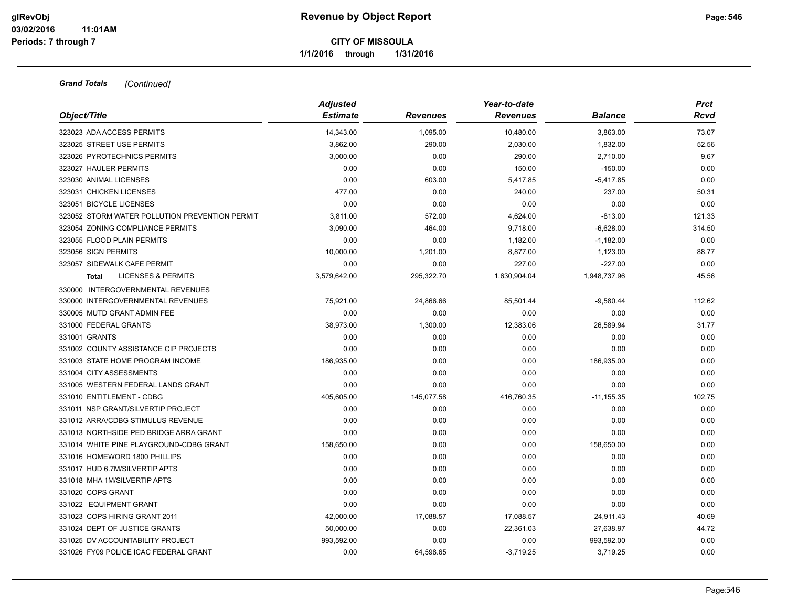**1/1/2016 through 1/31/2016**

| Object/Title                                   | <b>Adjusted</b><br><b>Estimate</b> | Revenues   | Year-to-date<br><b>Revenues</b> | <b>Balance</b> | <b>Prct</b><br>Rcvd |
|------------------------------------------------|------------------------------------|------------|---------------------------------|----------------|---------------------|
| 323023 ADA ACCESS PERMITS                      | 14,343.00                          | 1,095.00   | 10,480.00                       | 3,863.00       | 73.07               |
| 323025 STREET USE PERMITS                      | 3,862.00                           | 290.00     | 2,030.00                        | 1,832.00       | 52.56               |
| 323026 PYROTECHNICS PERMITS                    | 3,000.00                           | 0.00       | 290.00                          | 2,710.00       | 9.67                |
| 323027 HAULER PERMITS                          | 0.00                               | 0.00       | 150.00                          | $-150.00$      | 0.00                |
| 323030 ANIMAL LICENSES                         | 0.00                               | 603.00     | 5,417.85                        | $-5,417.85$    | 0.00                |
| 323031 CHICKEN LICENSES                        | 477.00                             | 0.00       | 240.00                          | 237.00         | 50.31               |
| 323051 BICYCLE LICENSES                        | 0.00                               | 0.00       | 0.00                            | 0.00           | 0.00                |
| 323052 STORM WATER POLLUTION PREVENTION PERMIT | 3,811.00                           | 572.00     | 4,624.00                        | $-813.00$      | 121.33              |
| 323054 ZONING COMPLIANCE PERMITS               | 3,090.00                           | 464.00     | 9,718.00                        | $-6,628.00$    | 314.50              |
| 323055 FLOOD PLAIN PERMITS                     | 0.00                               | 0.00       | 1,182.00                        | $-1,182.00$    | 0.00                |
| 323056 SIGN PERMITS                            | 10,000.00                          | 1,201.00   | 8,877.00                        | 1,123.00       | 88.77               |
| 323057 SIDEWALK CAFE PERMIT                    | 0.00                               | 0.00       | 227.00                          | $-227.00$      | 0.00                |
| <b>LICENSES &amp; PERMITS</b><br>Total         | 3,579,642.00                       | 295,322.70 | 1,630,904.04                    | 1,948,737.96   | 45.56               |
| 330000 INTERGOVERNMENTAL REVENUES              |                                    |            |                                 |                |                     |
| 330000 INTERGOVERNMENTAL REVENUES              | 75,921.00                          | 24,866.66  | 85,501.44                       | $-9,580.44$    | 112.62              |
| 330005 MUTD GRANT ADMIN FEE                    | 0.00                               | 0.00       | 0.00                            | 0.00           | 0.00                |
| 331000 FEDERAL GRANTS                          | 38,973.00                          | 1,300.00   | 12,383.06                       | 26,589.94      | 31.77               |
| 331001 GRANTS                                  | 0.00                               | 0.00       | 0.00                            | 0.00           | 0.00                |
| 331002 COUNTY ASSISTANCE CIP PROJECTS          | 0.00                               | 0.00       | 0.00                            | 0.00           | 0.00                |
| 331003 STATE HOME PROGRAM INCOME               | 186,935.00                         | 0.00       | 0.00                            | 186,935.00     | 0.00                |
| 331004 CITY ASSESSMENTS                        | 0.00                               | 0.00       | 0.00                            | 0.00           | 0.00                |
| 331005 WESTERN FEDERAL LANDS GRANT             | 0.00                               | 0.00       | 0.00                            | 0.00           | 0.00                |
| 331010 ENTITLEMENT - CDBG                      | 405,605.00                         | 145,077.58 | 416,760.35                      | $-11, 155.35$  | 102.75              |
| 331011 NSP GRANT/SILVERTIP PROJECT             | 0.00                               | 0.00       | 0.00                            | 0.00           | 0.00                |
| 331012 ARRA/CDBG STIMULUS REVENUE              | 0.00                               | 0.00       | 0.00                            | 0.00           | 0.00                |
| 331013 NORTHSIDE PED BRIDGE ARRA GRANT         | 0.00                               | 0.00       | 0.00                            | 0.00           | 0.00                |
| 331014 WHITE PINE PLAYGROUND-CDBG GRANT        | 158,650.00                         | 0.00       | 0.00                            | 158,650.00     | 0.00                |
| 331016 HOMEWORD 1800 PHILLIPS                  | 0.00                               | 0.00       | 0.00                            | 0.00           | 0.00                |
| 331017 HUD 6.7M/SILVERTIP APTS                 | 0.00                               | 0.00       | 0.00                            | 0.00           | 0.00                |
| 331018 MHA 1M/SILVERTIP APTS                   | 0.00                               | 0.00       | 0.00                            | 0.00           | 0.00                |
| 331020 COPS GRANT                              | 0.00                               | 0.00       | 0.00                            | 0.00           | 0.00                |
| 331022 EQUIPMENT GRANT                         | 0.00                               | 0.00       | 0.00                            | 0.00           | 0.00                |
| 331023 COPS HIRING GRANT 2011                  | 42,000.00                          | 17,088.57  | 17,088.57                       | 24,911.43      | 40.69               |
| 331024 DEPT OF JUSTICE GRANTS                  | 50,000.00                          | 0.00       | 22,361.03                       | 27,638.97      | 44.72               |
| 331025 DV ACCOUNTABILITY PROJECT               | 993,592.00                         | 0.00       | 0.00                            | 993,592.00     | 0.00                |
| 331026 FY09 POLICE ICAC FEDERAL GRANT          | 0.00                               | 64.598.65  | $-3.719.25$                     | 3.719.25       | 0.00                |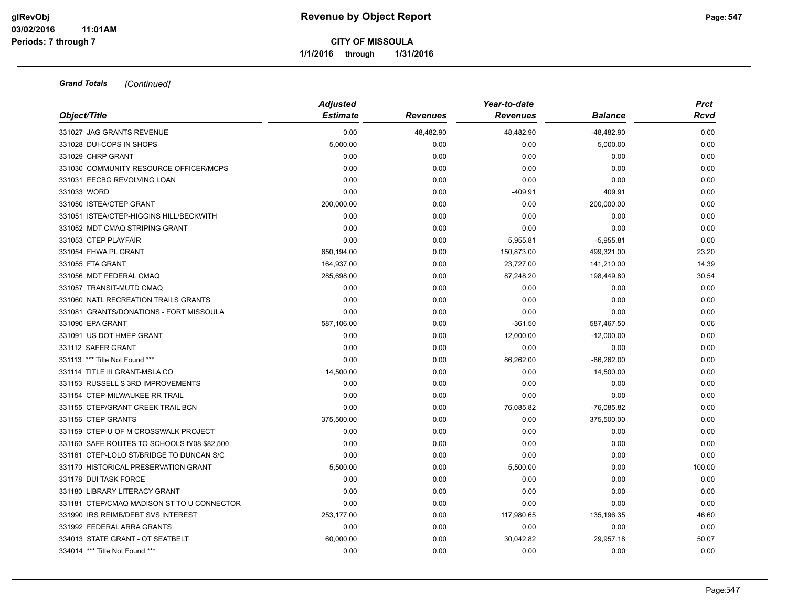**1/1/2016 through 1/31/2016**

| Object/Title                                | <b>Adjusted</b><br><b>Estimate</b> | <b>Revenues</b> | Year-to-date<br><b>Revenues</b> | <b>Balance</b> | <b>Prct</b><br>Rcvd |
|---------------------------------------------|------------------------------------|-----------------|---------------------------------|----------------|---------------------|
|                                             |                                    |                 |                                 |                |                     |
| 331027 JAG GRANTS REVENUE                   | 0.00                               | 48,482.90       | 48,482.90                       | $-48,482.90$   | 0.00                |
| 331028 DUI-COPS IN SHOPS                    | 5,000.00                           | 0.00            | 0.00                            | 5,000.00       | 0.00                |
| 331029 CHRP GRANT                           | 0.00                               | 0.00            | 0.00                            | 0.00           | 0.00                |
| 331030 COMMUNITY RESOURCE OFFICER/MCPS      | 0.00                               | 0.00            | 0.00                            | 0.00           | 0.00                |
| 331031 EECBG REVOLVING LOAN                 | 0.00                               | 0.00            | 0.00                            | 0.00           | 0.00                |
| 331033 WORD                                 | 0.00                               | 0.00            | $-409.91$                       | 409.91         | 0.00                |
| 331050 ISTEA/CTEP GRANT                     | 200,000.00                         | 0.00            | 0.00                            | 200,000.00     | 0.00                |
| 331051 ISTEA/CTEP-HIGGINS HILL/BECKWITH     | 0.00                               | 0.00            | 0.00                            | 0.00           | 0.00                |
| 331052 MDT CMAQ STRIPING GRANT              | 0.00                               | 0.00            | 0.00                            | 0.00           | 0.00                |
| 331053 CTEP PLAYFAIR                        | 0.00                               | 0.00            | 5,955.81                        | $-5,955.81$    | 0.00                |
| 331054 FHWA PL GRANT                        | 650,194.00                         | 0.00            | 150,873.00                      | 499,321.00     | 23.20               |
| 331055 FTA GRANT                            | 164,937.00                         | 0.00            | 23,727.00                       | 141,210.00     | 14.39               |
| 331056 MDT FEDERAL CMAQ                     | 285,698.00                         | 0.00            | 87,248.20                       | 198,449.80     | 30.54               |
| 331057 TRANSIT-MUTD CMAQ                    | 0.00                               | 0.00            | 0.00                            | 0.00           | 0.00                |
| 331060 NATL RECREATION TRAILS GRANTS        | 0.00                               | 0.00            | 0.00                            | 0.00           | 0.00                |
| 331081 GRANTS/DONATIONS - FORT MISSOULA     | 0.00                               | 0.00            | 0.00                            | 0.00           | 0.00                |
| 331090 EPA GRANT                            | 587,106.00                         | 0.00            | $-361.50$                       | 587,467.50     | $-0.06$             |
| 331091 US DOT HMEP GRANT                    | 0.00                               | 0.00            | 12,000.00                       | $-12,000.00$   | 0.00                |
| 331112 SAFER GRANT                          | 0.00                               | 0.00            | 0.00                            | 0.00           | 0.00                |
| 331113 *** Title Not Found ***              | 0.00                               | 0.00            | 86,262.00                       | $-86,262.00$   | 0.00                |
| 331114 TITLE III GRANT-MSLA CO              | 14,500.00                          | 0.00            | 0.00                            | 14,500.00      | 0.00                |
| 331153 RUSSELL S 3RD IMPROVEMENTS           | 0.00                               | 0.00            | 0.00                            | 0.00           | 0.00                |
| 331154 CTEP-MILWAUKEE RR TRAIL              | 0.00                               | 0.00            | 0.00                            | 0.00           | 0.00                |
| 331155 CTEP/GRANT CREEK TRAIL BCN           | 0.00                               | 0.00            | 76,085.82                       | $-76,085.82$   | 0.00                |
| 331156 CTEP GRANTS                          | 375,500.00                         | 0.00            | 0.00                            | 375,500.00     | 0.00                |
| 331159 CTEP-U OF M CROSSWALK PROJECT        | 0.00                               | 0.00            | 0.00                            | 0.00           | 0.00                |
| 331160 SAFE ROUTES TO SCHOOLS fY08 \$82,500 | 0.00                               | 0.00            | 0.00                            | 0.00           | 0.00                |
| 331161 CTEP-LOLO ST/BRIDGE TO DUNCAN S/C    | 0.00                               | 0.00            | 0.00                            | 0.00           | 0.00                |
| 331170 HISTORICAL PRESERVATION GRANT        | 5,500.00                           | 0.00            | 5,500.00                        | 0.00           | 100.00              |
| 331178 DUI TASK FORCE                       | 0.00                               | 0.00            | 0.00                            | 0.00           | 0.00                |
| 331180 LIBRARY LITERACY GRANT               | 0.00                               | 0.00            | 0.00                            | 0.00           | 0.00                |
| 331181 CTEP/CMAQ MADISON ST TO U CONNECTOR  | 0.00                               | 0.00            | 0.00                            | 0.00           | 0.00                |
| 331990 IRS REIMB/DEBT SVS INTEREST          | 253,177.00                         | 0.00            | 117,980.65                      | 135,196.35     | 46.60               |
| 331992 FEDERAL ARRA GRANTS                  | 0.00                               | 0.00            | 0.00                            | 0.00           | 0.00                |
| 334013 STATE GRANT - OT SEATBELT            | 60,000.00                          | 0.00            | 30,042.82                       | 29,957.18      | 50.07               |
| 334014 *** Title Not Found ***              | 0.00                               | 0.00            | 0.00                            | 0.00           | 0.00                |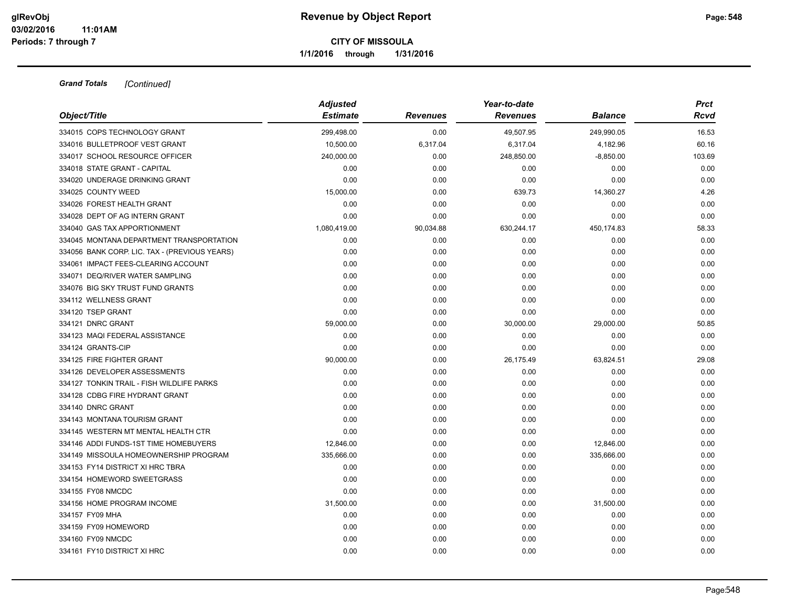**1/1/2016 through 1/31/2016**

|                                               | <b>Adjusted</b> |                 | Year-to-date    |                | <b>Prct</b> |  |
|-----------------------------------------------|-----------------|-----------------|-----------------|----------------|-------------|--|
| Object/Title                                  | <b>Estimate</b> | <b>Revenues</b> | <b>Revenues</b> | <b>Balance</b> | Rcvd        |  |
| 334015 COPS TECHNOLOGY GRANT                  | 299,498.00      | 0.00            | 49,507.95       | 249,990.05     | 16.53       |  |
| 334016 BULLETPROOF VEST GRANT                 | 10,500.00       | 6,317.04        | 6,317.04        | 4,182.96       | 60.16       |  |
| 334017 SCHOOL RESOURCE OFFICER                | 240,000.00      | 0.00            | 248,850.00      | $-8,850.00$    | 103.69      |  |
| 334018 STATE GRANT - CAPITAL                  | 0.00            | 0.00            | 0.00            | 0.00           | 0.00        |  |
| 334020 UNDERAGE DRINKING GRANT                | 0.00            | 0.00            | 0.00            | 0.00           | 0.00        |  |
| 334025 COUNTY WEED                            | 15,000.00       | 0.00            | 639.73          | 14,360.27      | 4.26        |  |
| 334026 FOREST HEALTH GRANT                    | 0.00            | 0.00            | 0.00            | 0.00           | 0.00        |  |
| 334028 DEPT OF AG INTERN GRANT                | 0.00            | 0.00            | 0.00            | 0.00           | 0.00        |  |
| 334040 GAS TAX APPORTIONMENT                  | 1,080,419.00    | 90,034.88       | 630,244.17      | 450,174.83     | 58.33       |  |
| 334045 MONTANA DEPARTMENT TRANSPORTATION      | 0.00            | 0.00            | 0.00            | 0.00           | 0.00        |  |
| 334056 BANK CORP. LIC. TAX - (PREVIOUS YEARS) | 0.00            | 0.00            | 0.00            | 0.00           | 0.00        |  |
| 334061 IMPACT FEES-CLEARING ACCOUNT           | 0.00            | 0.00            | 0.00            | 0.00           | 0.00        |  |
| 334071 DEQ/RIVER WATER SAMPLING               | 0.00            | 0.00            | 0.00            | 0.00           | 0.00        |  |
| 334076 BIG SKY TRUST FUND GRANTS              | 0.00            | 0.00            | 0.00            | 0.00           | 0.00        |  |
| 334112 WELLNESS GRANT                         | 0.00            | 0.00            | 0.00            | 0.00           | 0.00        |  |
| 334120 TSEP GRANT                             | 0.00            | 0.00            | 0.00            | 0.00           | 0.00        |  |
| 334121 DNRC GRANT                             | 59,000.00       | 0.00            | 30,000.00       | 29,000.00      | 50.85       |  |
| 334123 MAQI FEDERAL ASSISTANCE                | 0.00            | 0.00            | 0.00            | 0.00           | 0.00        |  |
| 334124 GRANTS-CIP                             | 0.00            | 0.00            | 0.00            | 0.00           | 0.00        |  |
| 334125 FIRE FIGHTER GRANT                     | 90,000.00       | 0.00            | 26,175.49       | 63,824.51      | 29.08       |  |
| 334126 DEVELOPER ASSESSMENTS                  | 0.00            | 0.00            | 0.00            | 0.00           | 0.00        |  |
| 334127 TONKIN TRAIL - FISH WILDLIFE PARKS     | 0.00            | 0.00            | 0.00            | 0.00           | 0.00        |  |
| 334128 CDBG FIRE HYDRANT GRANT                | 0.00            | 0.00            | 0.00            | 0.00           | 0.00        |  |
| 334140 DNRC GRANT                             | 0.00            | 0.00            | 0.00            | 0.00           | 0.00        |  |
| 334143 MONTANA TOURISM GRANT                  | 0.00            | 0.00            | 0.00            | 0.00           | 0.00        |  |
| 334145 WESTERN MT MENTAL HEALTH CTR           | 0.00            | 0.00            | 0.00            | 0.00           | 0.00        |  |
| 334146 ADDI FUNDS-1ST TIME HOMEBUYERS         | 12,846.00       | 0.00            | 0.00            | 12,846.00      | 0.00        |  |
| 334149 MISSOULA HOMEOWNERSHIP PROGRAM         | 335,666.00      | 0.00            | 0.00            | 335,666.00     | 0.00        |  |
| 334153 FY14 DISTRICT XI HRC TBRA              | 0.00            | 0.00            | 0.00            | 0.00           | 0.00        |  |
| 334154 HOMEWORD SWEETGRASS                    | 0.00            | 0.00            | 0.00            | 0.00           | 0.00        |  |
| 334155 FY08 NMCDC                             | 0.00            | 0.00            | 0.00            | 0.00           | 0.00        |  |
| 334156 HOME PROGRAM INCOME                    | 31,500.00       | 0.00            | 0.00            | 31,500.00      | 0.00        |  |
| 334157 FY09 MHA                               | 0.00            | 0.00            | 0.00            | 0.00           | 0.00        |  |
| 334159 FY09 HOMEWORD                          | 0.00            | 0.00            | 0.00            | 0.00           | 0.00        |  |
| 334160 FY09 NMCDC                             | 0.00            | 0.00            | 0.00            | 0.00           | 0.00        |  |
| 334161 FY10 DISTRICT XI HRC                   | 0.00            | 0.00            | 0.00            | 0.00           | 0.00        |  |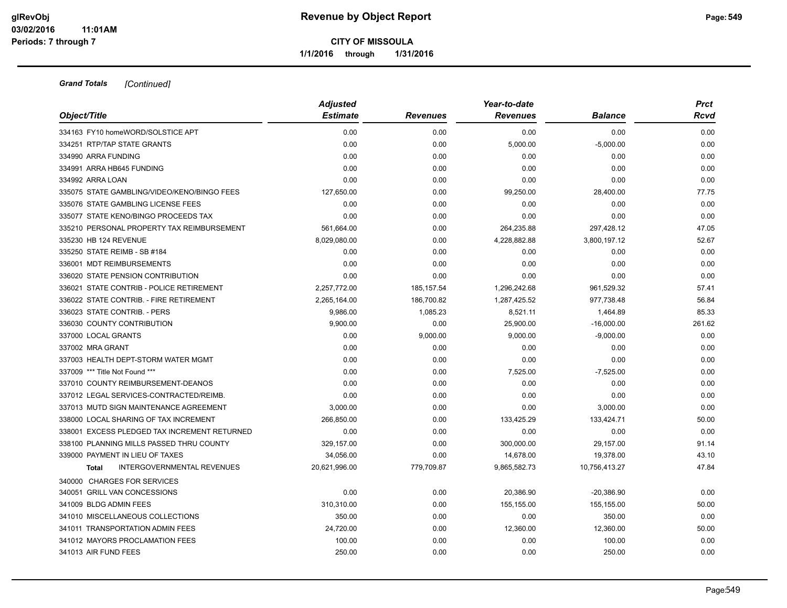**1/1/2016 through 1/31/2016**

|                                                   | <b>Adjusted</b> |                 | Year-to-date    |                | <b>Prct</b> |
|---------------------------------------------------|-----------------|-----------------|-----------------|----------------|-------------|
| Object/Title                                      | <b>Estimate</b> | <b>Revenues</b> | <b>Revenues</b> | <b>Balance</b> | Rcvd        |
| 334163 FY10 homeWORD/SOLSTICE APT                 | 0.00            | 0.00            | 0.00            | 0.00           | 0.00        |
| 334251 RTP/TAP STATE GRANTS                       | 0.00            | 0.00            | 5,000.00        | $-5,000.00$    | 0.00        |
| 334990 ARRA FUNDING                               | 0.00            | 0.00            | 0.00            | 0.00           | 0.00        |
| 334991 ARRA HB645 FUNDING                         | 0.00            | 0.00            | 0.00            | 0.00           | 0.00        |
| 334992 ARRA LOAN                                  | 0.00            | 0.00            | 0.00            | 0.00           | 0.00        |
| 335075 STATE GAMBLING/VIDEO/KENO/BINGO FEES       | 127,650.00      | 0.00            | 99,250.00       | 28,400.00      | 77.75       |
| 335076 STATE GAMBLING LICENSE FEES                | 0.00            | 0.00            | 0.00            | 0.00           | 0.00        |
| 335077 STATE KENO/BINGO PROCEEDS TAX              | 0.00            | 0.00            | 0.00            | 0.00           | 0.00        |
| 335210 PERSONAL PROPERTY TAX REIMBURSEMENT        | 561,664.00      | 0.00            | 264,235.88      | 297,428.12     | 47.05       |
| 335230 HB 124 REVENUE                             | 8,029,080.00    | 0.00            | 4,228,882.88    | 3,800,197.12   | 52.67       |
| 335250 STATE REIMB - SB #184                      | 0.00            | 0.00            | 0.00            | 0.00           | 0.00        |
| 336001 MDT REIMBURSEMENTS                         | 0.00            | 0.00            | 0.00            | 0.00           | 0.00        |
| 336020 STATE PENSION CONTRIBUTION                 | 0.00            | 0.00            | 0.00            | 0.00           | 0.00        |
| 336021 STATE CONTRIB - POLICE RETIREMENT          | 2,257,772.00    | 185, 157.54     | 1,296,242.68    | 961,529.32     | 57.41       |
| 336022 STATE CONTRIB. - FIRE RETIREMENT           | 2,265,164.00    | 186,700.82      | 1,287,425.52    | 977,738.48     | 56.84       |
| 336023 STATE CONTRIB. - PERS                      | 9,986.00        | 1,085.23        | 8,521.11        | 1,464.89       | 85.33       |
| 336030 COUNTY CONTRIBUTION                        | 9,900.00        | 0.00            | 25,900.00       | $-16,000.00$   | 261.62      |
| 337000 LOCAL GRANTS                               | 0.00            | 9,000.00        | 9,000.00        | $-9,000.00$    | 0.00        |
| 337002 MRA GRANT                                  | 0.00            | 0.00            | 0.00            | 0.00           | 0.00        |
| 337003 HEALTH DEPT-STORM WATER MGMT               | 0.00            | 0.00            | 0.00            | 0.00           | 0.00        |
| 337009 *** Title Not Found ***                    | 0.00            | 0.00            | 7,525.00        | $-7,525.00$    | 0.00        |
| 337010 COUNTY REIMBURSEMENT-DEANOS                | 0.00            | 0.00            | 0.00            | 0.00           | 0.00        |
| 337012 LEGAL SERVICES-CONTRACTED/REIMB.           | 0.00            | 0.00            | 0.00            | 0.00           | 0.00        |
| 337013 MUTD SIGN MAINTENANCE AGREEMENT            | 3,000.00        | 0.00            | 0.00            | 3,000.00       | 0.00        |
| 338000 LOCAL SHARING OF TAX INCREMENT             | 266,850.00      | 0.00            | 133,425.29      | 133,424.71     | 50.00       |
| 338001 EXCESS PLEDGED TAX INCREMENT RETURNED      | 0.00            | 0.00            | 0.00            | 0.00           | 0.00        |
| 338100 PLANNING MILLS PASSED THRU COUNTY          | 329,157.00      | 0.00            | 300,000.00      | 29,157.00      | 91.14       |
| 339000 PAYMENT IN LIEU OF TAXES                   | 34.056.00       | 0.00            | 14,678.00       | 19,378.00      | 43.10       |
| <b>INTERGOVERNMENTAL REVENUES</b><br><b>Total</b> | 20,621,996.00   | 779,709.87      | 9,865,582.73    | 10,756,413.27  | 47.84       |
| 340000 CHARGES FOR SERVICES                       |                 |                 |                 |                |             |
| 340051 GRILL VAN CONCESSIONS                      | 0.00            | 0.00            | 20,386.90       | $-20,386.90$   | 0.00        |
| 341009 BLDG ADMIN FEES                            | 310,310.00      | 0.00            | 155,155.00      | 155,155.00     | 50.00       |
| 341010 MISCELLANEOUS COLLECTIONS                  | 350.00          | 0.00            | 0.00            | 350.00         | 0.00        |
| 341011 TRANSPORTATION ADMIN FEES                  | 24,720.00       | 0.00            | 12,360.00       | 12,360.00      | 50.00       |
| 341012 MAYORS PROCLAMATION FEES                   | 100.00          | 0.00            | 0.00            | 100.00         | 0.00        |
| 341013 AIR FUND FEES                              | 250.00          | 0.00            | 0.00            | 250.00         | 0.00        |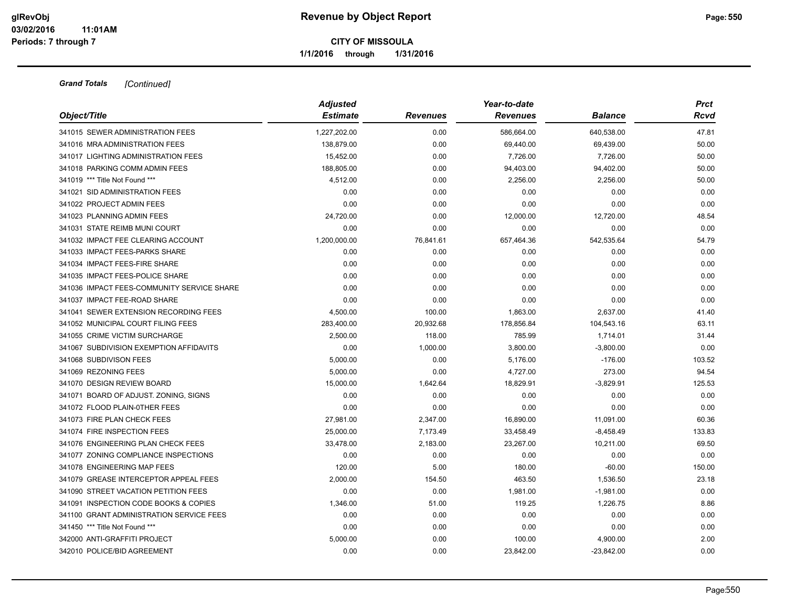**1/1/2016 through 1/31/2016**

|                                            | <b>Adjusted</b> |                 | Year-to-date    |                | <b>Prct</b> |
|--------------------------------------------|-----------------|-----------------|-----------------|----------------|-------------|
| Object/Title                               | <b>Estimate</b> | <b>Revenues</b> | <b>Revenues</b> | <b>Balance</b> | Rcvd        |
| 341015 SEWER ADMINISTRATION FEES           | 1,227,202.00    | 0.00            | 586,664.00      | 640,538.00     | 47.81       |
| 341016 MRA ADMINISTRATION FEES             | 138,879.00      | 0.00            | 69,440.00       | 69,439.00      | 50.00       |
| 341017 LIGHTING ADMINISTRATION FEES        | 15,452.00       | 0.00            | 7,726.00        | 7,726.00       | 50.00       |
| 341018 PARKING COMM ADMIN FEES             | 188,805.00      | 0.00            | 94,403.00       | 94,402.00      | 50.00       |
| 341019 *** Title Not Found ***             | 4,512.00        | 0.00            | 2,256.00        | 2,256.00       | 50.00       |
| 341021 SID ADMINISTRATION FEES             | 0.00            | 0.00            | 0.00            | 0.00           | 0.00        |
| 341022 PROJECT ADMIN FEES                  | 0.00            | 0.00            | 0.00            | 0.00           | 0.00        |
| 341023 PLANNING ADMIN FEES                 | 24,720.00       | 0.00            | 12,000.00       | 12,720.00      | 48.54       |
| 341031 STATE REIMB MUNI COURT              | 0.00            | 0.00            | 0.00            | 0.00           | 0.00        |
| 341032 IMPACT FEE CLEARING ACCOUNT         | 1,200,000.00    | 76,841.61       | 657,464.36      | 542,535.64     | 54.79       |
| 341033 IMPACT FEES-PARKS SHARE             | 0.00            | 0.00            | 0.00            | 0.00           | 0.00        |
| 341034 IMPACT FEES-FIRE SHARE              | 0.00            | 0.00            | 0.00            | 0.00           | 0.00        |
| 341035 IMPACT FEES-POLICE SHARE            | 0.00            | 0.00            | 0.00            | 0.00           | 0.00        |
| 341036 IMPACT FEES-COMMUNITY SERVICE SHARE | 0.00            | 0.00            | 0.00            | 0.00           | 0.00        |
| 341037 IMPACT FEE-ROAD SHARE               | 0.00            | 0.00            | 0.00            | 0.00           | 0.00        |
| 341041 SEWER EXTENSION RECORDING FEES      | 4,500.00        | 100.00          | 1,863.00        | 2,637.00       | 41.40       |
| 341052 MUNICIPAL COURT FILING FEES         | 283,400.00      | 20,932.68       | 178,856.84      | 104,543.16     | 63.11       |
| 341055 CRIME VICTIM SURCHARGE              | 2,500.00        | 118.00          | 785.99          | 1,714.01       | 31.44       |
| 341067 SUBDIVISION EXEMPTION AFFIDAVITS    | 0.00            | 1,000.00        | 3,800.00        | $-3,800.00$    | 0.00        |
| 341068 SUBDIVISON FEES                     | 5,000.00        | 0.00            | 5,176.00        | $-176.00$      | 103.52      |
| 341069 REZONING FEES                       | 5,000.00        | 0.00            | 4,727.00        | 273.00         | 94.54       |
| 341070 DESIGN REVIEW BOARD                 | 15,000.00       | 1,642.64        | 18,829.91       | $-3,829.91$    | 125.53      |
| 341071 BOARD OF ADJUST. ZONING, SIGNS      | 0.00            | 0.00            | 0.00            | 0.00           | 0.00        |
| 341072 FLOOD PLAIN-0THER FEES              | 0.00            | 0.00            | 0.00            | 0.00           | 0.00        |
| 341073 FIRE PLAN CHECK FEES                | 27,981.00       | 2,347.00        | 16,890.00       | 11,091.00      | 60.36       |
| 341074 FIRE INSPECTION FEES                | 25,000.00       | 7,173.49        | 33,458.49       | $-8,458.49$    | 133.83      |
| 341076 ENGINEERING PLAN CHECK FEES         | 33,478.00       | 2,183.00        | 23,267.00       | 10,211.00      | 69.50       |
| 341077 ZONING COMPLIANCE INSPECTIONS       | 0.00            | 0.00            | 0.00            | 0.00           | 0.00        |
| 341078 ENGINEERING MAP FEES                | 120.00          | 5.00            | 180.00          | $-60.00$       | 150.00      |
| 341079 GREASE INTERCEPTOR APPEAL FEES      | 2,000.00        | 154.50          | 463.50          | 1,536.50       | 23.18       |
| 341090 STREET VACATION PETITION FEES       | 0.00            | 0.00            | 1,981.00        | $-1,981.00$    | 0.00        |
| 341091 INSPECTION CODE BOOKS & COPIES      | 1,346.00        | 51.00           | 119.25          | 1,226.75       | 8.86        |
| 341100 GRANT ADMINISTRATION SERVICE FEES   | 0.00            | 0.00            | 0.00            | 0.00           | 0.00        |
| 341450 *** Title Not Found ***             | 0.00            | 0.00            | 0.00            | 0.00           | 0.00        |
| 342000 ANTI-GRAFFITI PROJECT               | 5,000.00        | 0.00            | 100.00          | 4,900.00       | 2.00        |
| 342010 POLICE/BID AGREEMENT                | 0.00            | 0.00            | 23,842.00       | $-23,842.00$   | 0.00        |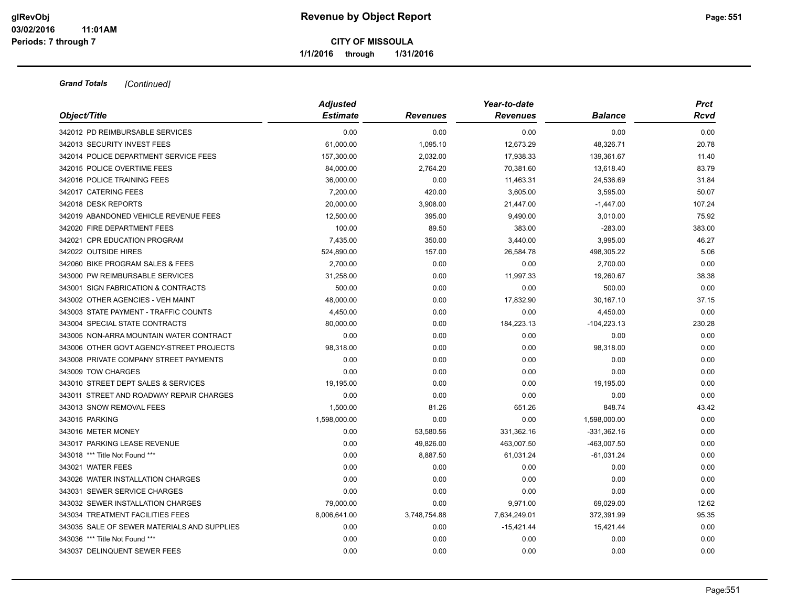**1/1/2016 through 1/31/2016**

|                                             | <b>Adjusted</b> |                 | Year-to-date    | <b>Prct</b>    |        |  |
|---------------------------------------------|-----------------|-----------------|-----------------|----------------|--------|--|
| Object/Title                                | <b>Estimate</b> | <b>Revenues</b> | <b>Revenues</b> | <b>Balance</b> | Rcvd   |  |
| 342012 PD REIMBURSABLE SERVICES             | 0.00            | 0.00            | 0.00            | 0.00           | 0.00   |  |
| 342013 SECURITY INVEST FEES                 | 61,000.00       | 1,095.10        | 12,673.29       | 48,326.71      | 20.78  |  |
| 342014 POLICE DEPARTMENT SERVICE FEES       | 157,300.00      | 2,032.00        | 17,938.33       | 139,361.67     | 11.40  |  |
| 342015 POLICE OVERTIME FEES                 | 84,000.00       | 2,764.20        | 70,381.60       | 13,618.40      | 83.79  |  |
| 342016 POLICE TRAINING FEES                 | 36,000.00       | 0.00            | 11,463.31       | 24,536.69      | 31.84  |  |
| 342017 CATERING FEES                        | 7,200.00        | 420.00          | 3,605.00        | 3,595.00       | 50.07  |  |
| 342018 DESK REPORTS                         | 20,000.00       | 3,908.00        | 21,447.00       | $-1,447.00$    | 107.24 |  |
| 342019 ABANDONED VEHICLE REVENUE FEES       | 12,500.00       | 395.00          | 9,490.00        | 3,010.00       | 75.92  |  |
| 342020 FIRE DEPARTMENT FEES                 | 100.00          | 89.50           | 383.00          | $-283.00$      | 383.00 |  |
| 342021 CPR EDUCATION PROGRAM                | 7,435.00        | 350.00          | 3,440.00        | 3,995.00       | 46.27  |  |
| 342022 OUTSIDE HIRES                        | 524,890.00      | 157.00          | 26,584.78       | 498,305.22     | 5.06   |  |
| 342060 BIKE PROGRAM SALES & FEES            | 2,700.00        | 0.00            | 0.00            | 2,700.00       | 0.00   |  |
| 343000 PW REIMBURSABLE SERVICES             | 31,258.00       | 0.00            | 11,997.33       | 19,260.67      | 38.38  |  |
| 343001 SIGN FABRICATION & CONTRACTS         | 500.00          | 0.00            | 0.00            | 500.00         | 0.00   |  |
| 343002 OTHER AGENCIES - VEH MAINT           | 48,000.00       | 0.00            | 17,832.90       | 30,167.10      | 37.15  |  |
| 343003 STATE PAYMENT - TRAFFIC COUNTS       | 4,450.00        | 0.00            | 0.00            | 4,450.00       | 0.00   |  |
| 343004 SPECIAL STATE CONTRACTS              | 80,000.00       | 0.00            | 184,223.13      | $-104,223.13$  | 230.28 |  |
| 343005 NON-ARRA MOUNTAIN WATER CONTRACT     | 0.00            | 0.00            | 0.00            | 0.00           | 0.00   |  |
| 343006 OTHER GOVT AGENCY-STREET PROJECTS    | 98,318.00       | 0.00            | 0.00            | 98,318.00      | 0.00   |  |
| 343008 PRIVATE COMPANY STREET PAYMENTS      | 0.00            | 0.00            | 0.00            | 0.00           | 0.00   |  |
| 343009 TOW CHARGES                          | 0.00            | 0.00            | 0.00            | 0.00           | 0.00   |  |
| 343010 STREET DEPT SALES & SERVICES         | 19,195.00       | 0.00            | 0.00            | 19,195.00      | 0.00   |  |
| 343011 STREET AND ROADWAY REPAIR CHARGES    | 0.00            | 0.00            | 0.00            | 0.00           | 0.00   |  |
| 343013 SNOW REMOVAL FEES                    | 1,500.00        | 81.26           | 651.26          | 848.74         | 43.42  |  |
| 343015 PARKING                              | 1,598,000.00    | 0.00            | 0.00            | 1,598,000.00   | 0.00   |  |
| 343016 METER MONEY                          | 0.00            | 53,580.56       | 331,362.16      | $-331,362.16$  | 0.00   |  |
| 343017 PARKING LEASE REVENUE                | 0.00            | 49,826.00       | 463,007.50      | $-463,007.50$  | 0.00   |  |
| 343018 *** Title Not Found ***              | 0.00            | 8,887.50        | 61,031.24       | $-61,031.24$   | 0.00   |  |
| 343021 WATER FEES                           | 0.00            | 0.00            | 0.00            | 0.00           | 0.00   |  |
| 343026 WATER INSTALLATION CHARGES           | 0.00            | 0.00            | 0.00            | 0.00           | 0.00   |  |
| 343031 SEWER SERVICE CHARGES                | 0.00            | 0.00            | 0.00            | 0.00           | 0.00   |  |
| 343032 SEWER INSTALLATION CHARGES           | 79,000.00       | 0.00            | 9,971.00        | 69,029.00      | 12.62  |  |
| 343034 TREATMENT FACILITIES FEES            | 8,006,641.00    | 3,748,754.88    | 7,634,249.01    | 372,391.99     | 95.35  |  |
| 343035 SALE OF SEWER MATERIALS AND SUPPLIES | 0.00            | 0.00            | $-15,421.44$    | 15,421.44      | 0.00   |  |
| 343036 *** Title Not Found ***              | 0.00            | 0.00            | 0.00            | 0.00           | 0.00   |  |
| 343037 DELINQUENT SEWER FEES                | 0.00            | 0.00            | 0.00            | 0.00           | 0.00   |  |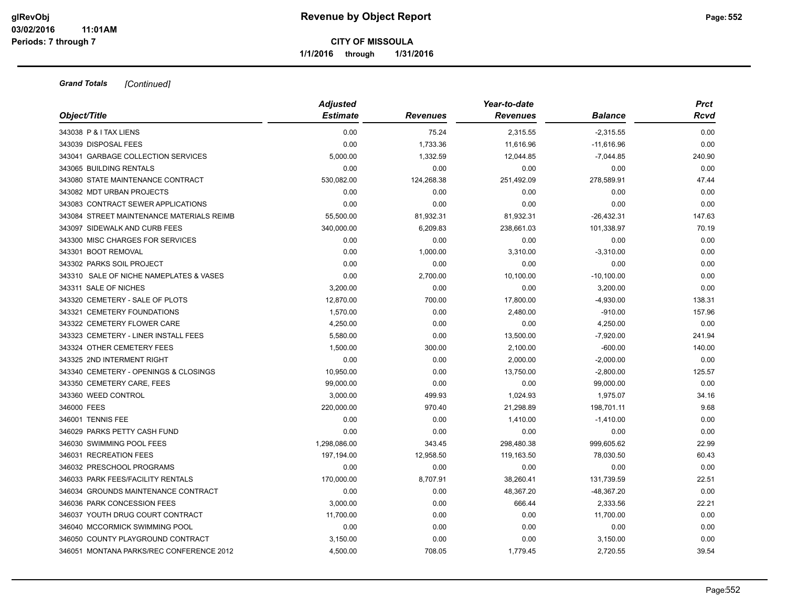**1/1/2016 through 1/31/2016**

|                                           | <b>Adjusted</b> |                 | Year-to-date    |                | <b>Prct</b> |  |
|-------------------------------------------|-----------------|-----------------|-----------------|----------------|-------------|--|
| Object/Title                              | <b>Estimate</b> | <b>Revenues</b> | <b>Revenues</b> | <b>Balance</b> | Rcvd        |  |
| 343038 P & I TAX LIENS                    | 0.00            | 75.24           | 2,315.55        | $-2,315.55$    | 0.00        |  |
| 343039 DISPOSAL FEES                      | 0.00            | 1,733.36        | 11,616.96       | $-11,616.96$   | 0.00        |  |
| 343041 GARBAGE COLLECTION SERVICES        | 5,000.00        | 1,332.59        | 12,044.85       | $-7,044.85$    | 240.90      |  |
| 343065 BUILDING RENTALS                   | 0.00            | 0.00            | 0.00            | 0.00           | 0.00        |  |
| 343080 STATE MAINTENANCE CONTRACT         | 530,082.00      | 124,268.38      | 251,492.09      | 278,589.91     | 47.44       |  |
| 343082 MDT URBAN PROJECTS                 | 0.00            | 0.00            | 0.00            | 0.00           | 0.00        |  |
| 343083 CONTRACT SEWER APPLICATIONS        | 0.00            | 0.00            | 0.00            | 0.00           | 0.00        |  |
| 343084 STREET MAINTENANCE MATERIALS REIMB | 55,500.00       | 81,932.31       | 81,932.31       | $-26,432.31$   | 147.63      |  |
| 343097 SIDEWALK AND CURB FEES             | 340,000.00      | 6,209.83        | 238,661.03      | 101,338.97     | 70.19       |  |
| 343300 MISC CHARGES FOR SERVICES          | 0.00            | 0.00            | 0.00            | 0.00           | 0.00        |  |
| 343301 BOOT REMOVAL                       | 0.00            | 1,000.00        | 3,310.00        | $-3,310.00$    | 0.00        |  |
| 343302 PARKS SOIL PROJECT                 | 0.00            | 0.00            | 0.00            | 0.00           | 0.00        |  |
| 343310 SALE OF NICHE NAMEPLATES & VASES   | 0.00            | 2,700.00        | 10,100.00       | $-10,100.00$   | 0.00        |  |
| 343311 SALE OF NICHES                     | 3,200.00        | 0.00            | 0.00            | 3,200.00       | 0.00        |  |
| 343320 CEMETERY - SALE OF PLOTS           | 12,870.00       | 700.00          | 17,800.00       | $-4,930.00$    | 138.31      |  |
| 343321 CEMETERY FOUNDATIONS               | 1,570.00        | 0.00            | 2,480.00        | $-910.00$      | 157.96      |  |
| 343322 CEMETERY FLOWER CARE               | 4,250.00        | 0.00            | 0.00            | 4,250.00       | 0.00        |  |
| 343323 CEMETERY - LINER INSTALL FEES      | 5,580.00        | 0.00            | 13,500.00       | $-7,920.00$    | 241.94      |  |
| 343324 OTHER CEMETERY FEES                | 1,500.00        | 300.00          | 2,100.00        | $-600.00$      | 140.00      |  |
| 343325 2ND INTERMENT RIGHT                | 0.00            | 0.00            | 2,000.00        | $-2,000.00$    | 0.00        |  |
| 343340 CEMETERY - OPENINGS & CLOSINGS     | 10,950.00       | 0.00            | 13,750.00       | $-2,800.00$    | 125.57      |  |
| 343350 CEMETERY CARE, FEES                | 99,000.00       | 0.00            | 0.00            | 99,000.00      | 0.00        |  |
| 343360 WEED CONTROL                       | 3,000.00        | 499.93          | 1,024.93        | 1,975.07       | 34.16       |  |
| 346000 FEES                               | 220,000.00      | 970.40          | 21,298.89       | 198,701.11     | 9.68        |  |
| 346001 TENNIS FEE                         | 0.00            | 0.00            | 1,410.00        | $-1,410.00$    | 0.00        |  |
| 346029 PARKS PETTY CASH FUND              | 0.00            | 0.00            | 0.00            | 0.00           | 0.00        |  |
| 346030 SWIMMING POOL FEES                 | 1,298,086.00    | 343.45          | 298,480.38      | 999,605.62     | 22.99       |  |
| 346031 RECREATION FEES                    | 197,194.00      | 12,958.50       | 119,163.50      | 78,030.50      | 60.43       |  |
| 346032 PRESCHOOL PROGRAMS                 | 0.00            | 0.00            | 0.00            | 0.00           | 0.00        |  |
| 346033 PARK FEES/FACILITY RENTALS         | 170,000.00      | 8,707.91        | 38,260.41       | 131,739.59     | 22.51       |  |
| 346034 GROUNDS MAINTENANCE CONTRACT       | 0.00            | 0.00            | 48,367.20       | -48,367.20     | 0.00        |  |
| 346036 PARK CONCESSION FEES               | 3,000.00        | 0.00            | 666.44          | 2,333.56       | 22.21       |  |
| 346037 YOUTH DRUG COURT CONTRACT          | 11,700.00       | 0.00            | 0.00            | 11,700.00      | 0.00        |  |
| 346040 MCCORMICK SWIMMING POOL            | 0.00            | 0.00            | 0.00            | 0.00           | 0.00        |  |
| 346050 COUNTY PLAYGROUND CONTRACT         | 3,150.00        | 0.00            | 0.00            | 3,150.00       | 0.00        |  |
| 346051 MONTANA PARKS/REC CONFERENCE 2012  | 4,500.00        | 708.05          | 1,779.45        | 2,720.55       | 39.54       |  |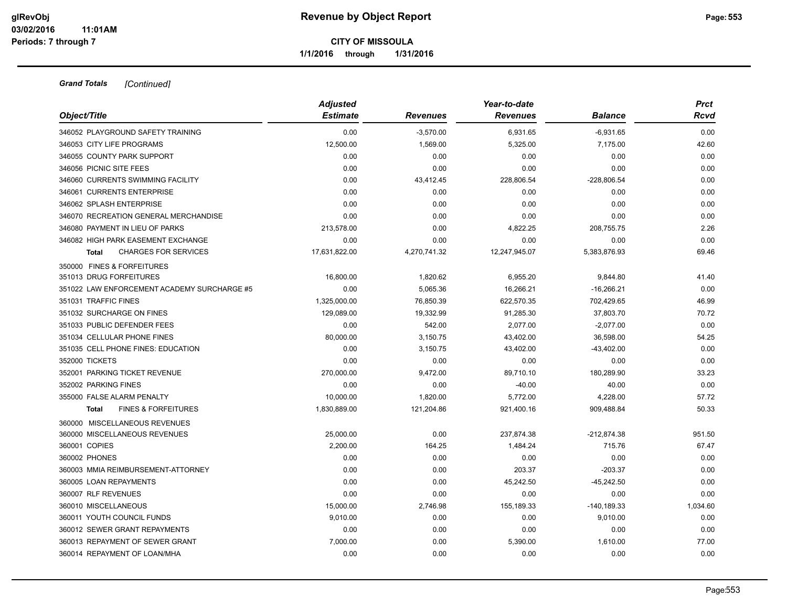**1/1/2016 through 1/31/2016**

| Object/Title                                   | <b>Adjusted</b><br><b>Estimate</b> | <b>Revenues</b> | Year-to-date<br><b>Revenues</b> | Balance      | <b>Prct</b><br>Rcvd |
|------------------------------------------------|------------------------------------|-----------------|---------------------------------|--------------|---------------------|
|                                                |                                    |                 |                                 |              |                     |
| 346052 PLAYGROUND SAFETY TRAINING              | 0.00                               | $-3,570.00$     | 6,931.65                        | $-6,931.65$  | 0.00                |
| 346053 CITY LIFE PROGRAMS                      | 12,500.00                          | 1,569.00        | 5,325.00                        | 7,175.00     | 42.60               |
| 346055 COUNTY PARK SUPPORT                     | 0.00                               | 0.00            | 0.00                            | 0.00         | 0.00                |
| 346056 PICNIC SITE FEES                        | 0.00                               | 0.00            | 0.00                            | 0.00         | 0.00                |
| 346060 CURRENTS SWIMMING FACILITY              | 0.00                               | 43,412.45       | 228,806.54                      | -228,806.54  | 0.00                |
| 346061 CURRENTS ENTERPRISE                     | 0.00                               | 0.00            | 0.00                            | 0.00         | 0.00                |
| 346062 SPLASH ENTERPRISE                       | 0.00                               | 0.00            | 0.00                            | 0.00         | 0.00                |
| 346070 RECREATION GENERAL MERCHANDISE          | 0.00                               | 0.00            | 0.00                            | 0.00         | 0.00                |
| 346080 PAYMENT IN LIEU OF PARKS                | 213,578.00                         | 0.00            | 4,822.25                        | 208,755.75   | 2.26                |
| 346082 HIGH PARK EASEMENT EXCHANGE             | 0.00                               | 0.00            | 0.00                            | 0.00         | 0.00                |
| <b>CHARGES FOR SERVICES</b><br>Total           | 17,631,822.00                      | 4,270,741.32    | 12,247,945.07                   | 5,383,876.93 | 69.46               |
| 350000 FINES & FORFEITURES                     |                                    |                 |                                 |              |                     |
| 351013 DRUG FORFEITURES                        | 16,800.00                          | 1,820.62        | 6,955.20                        | 9,844.80     | 41.40               |
| 351022 LAW ENFORCEMENT ACADEMY SURCHARGE #5    | 0.00                               | 5,065.36        | 16,266.21                       | $-16,266.21$ | 0.00                |
| 351031 TRAFFIC FINES                           | 1,325,000.00                       | 76,850.39       | 622,570.35                      | 702,429.65   | 46.99               |
| 351032 SURCHARGE ON FINES                      | 129,089.00                         | 19,332.99       | 91,285.30                       | 37,803.70    | 70.72               |
| 351033 PUBLIC DEFENDER FEES                    | 0.00                               | 542.00          | 2.077.00                        | $-2,077.00$  | 0.00                |
| 351034 CELLULAR PHONE FINES                    | 80,000.00                          | 3,150.75        | 43,402.00                       | 36,598.00    | 54.25               |
| 351035 CELL PHONE FINES: EDUCATION             | 0.00                               | 3,150.75        | 43,402.00                       | $-43,402.00$ | 0.00                |
| 352000 TICKETS                                 | 0.00                               | 0.00            | 0.00                            | 0.00         | 0.00                |
| 352001 PARKING TICKET REVENUE                  | 270,000.00                         | 9,472.00        | 89,710.10                       | 180,289.90   | 33.23               |
| 352002 PARKING FINES                           | 0.00                               | 0.00            | $-40.00$                        | 40.00        | 0.00                |
| 355000 FALSE ALARM PENALTY                     | 10,000.00                          | 1,820.00        | 5,772.00                        | 4,228.00     | 57.72               |
| <b>FINES &amp; FORFEITURES</b><br><b>Total</b> | 1,830,889.00                       | 121,204.86      | 921,400.16                      | 909,488.84   | 50.33               |
| 360000 MISCELLANEOUS REVENUES                  |                                    |                 |                                 |              |                     |
| 360000 MISCELLANEOUS REVENUES                  | 25,000.00                          | 0.00            | 237,874.38                      | -212,874.38  | 951.50              |
| 360001 COPIES                                  | 2,200.00                           | 164.25          | 1,484.24                        | 715.76       | 67.47               |
| 360002 PHONES                                  | 0.00                               | 0.00            | 0.00                            | 0.00         | 0.00                |
| 360003 MMIA REIMBURSEMENT-ATTORNEY             | 0.00                               | 0.00            | 203.37                          | $-203.37$    | 0.00                |
| 360005 LOAN REPAYMENTS                         | 0.00                               | 0.00            | 45,242.50                       | $-45,242.50$ | 0.00                |
| 360007 RLF REVENUES                            | 0.00                               | 0.00            | 0.00                            | 0.00         | 0.00                |
| 360010 MISCELLANEOUS                           | 15,000.00                          | 2,746.98        | 155,189.33                      | -140,189.33  | 1,034.60            |
| 360011 YOUTH COUNCIL FUNDS                     | 9,010.00                           | 0.00            | 0.00                            | 9,010.00     | 0.00                |
| 360012 SEWER GRANT REPAYMENTS                  | 0.00                               | 0.00            | 0.00                            | 0.00         | 0.00                |
| 360013 REPAYMENT OF SEWER GRANT                | 7,000.00                           | 0.00            | 5,390.00                        | 1,610.00     | 77.00               |
| 360014 REPAYMENT OF LOAN/MHA                   | 0.00                               | 0.00            | 0.00                            | 0.00         | 0.00                |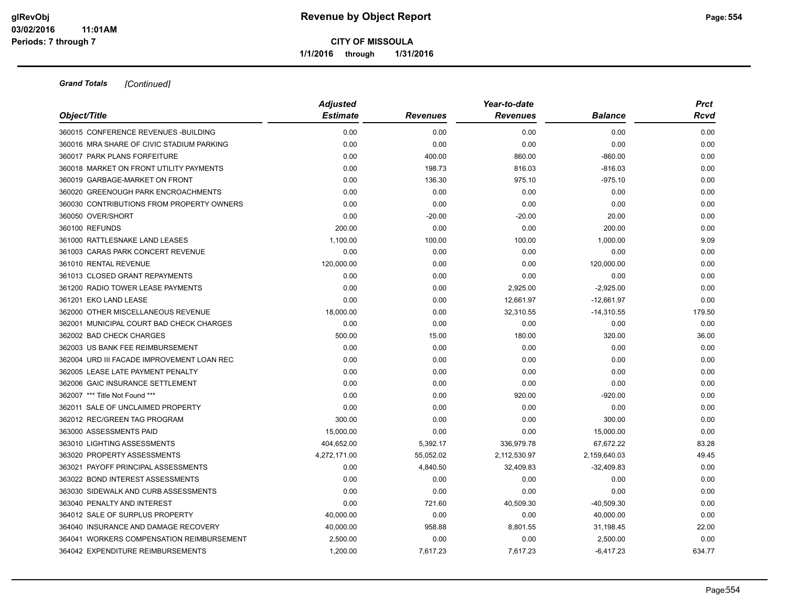**1/1/2016 through 1/31/2016**

| Object/Title                               | <b>Adjusted</b> |                 | Year-to-date    |                | <b>Prct</b> |
|--------------------------------------------|-----------------|-----------------|-----------------|----------------|-------------|
|                                            | <b>Estimate</b> | <b>Revenues</b> | <b>Revenues</b> | <b>Balance</b> | Rcvd        |
| 360015 CONFERENCE REVENUES - BUILDING      | 0.00            | 0.00            | 0.00            | 0.00           | 0.00        |
| 360016 MRA SHARE OF CIVIC STADIUM PARKING  | 0.00            | 0.00            | 0.00            | 0.00           | 0.00        |
| 360017 PARK PLANS FORFEITURE               | 0.00            | 400.00          | 860.00          | $-860.00$      | 0.00        |
| 360018 MARKET ON FRONT UTILITY PAYMENTS    | 0.00            | 198.73          | 816.03          | $-816.03$      | 0.00        |
| 360019 GARBAGE-MARKET ON FRONT             | 0.00            | 136.30          | 975.10          | $-975.10$      | 0.00        |
| 360020 GREENOUGH PARK ENCROACHMENTS        | 0.00            | 0.00            | 0.00            | 0.00           | 0.00        |
| 360030 CONTRIBUTIONS FROM PROPERTY OWNERS  | 0.00            | 0.00            | 0.00            | 0.00           | 0.00        |
| 360050 OVER/SHORT                          | 0.00            | $-20.00$        | -20.00          | 20.00          | 0.00        |
| 360100 REFUNDS                             | 200.00          | 0.00            | 0.00            | 200.00         | 0.00        |
| 361000 RATTLESNAKE LAND LEASES             | 1,100.00        | 100.00          | 100.00          | 1,000.00       | 9.09        |
| 361003 CARAS PARK CONCERT REVENUE          | 0.00            | 0.00            | 0.00            | 0.00           | 0.00        |
| 361010 RENTAL REVENUE                      | 120,000.00      | 0.00            | 0.00            | 120,000.00     | 0.00        |
| 361013 CLOSED GRANT REPAYMENTS             | 0.00            | 0.00            | 0.00            | 0.00           | 0.00        |
| 361200 RADIO TOWER LEASE PAYMENTS          | 0.00            | 0.00            | 2,925.00        | $-2,925.00$    | 0.00        |
| 361201 EKO LAND LEASE                      | 0.00            | 0.00            | 12,661.97       | $-12,661.97$   | 0.00        |
| 362000 OTHER MISCELLANEOUS REVENUE         | 18,000.00       | 0.00            | 32,310.55       | $-14,310.55$   | 179.50      |
| 362001 MUNICIPAL COURT BAD CHECK CHARGES   | 0.00            | 0.00            | 0.00            | 0.00           | 0.00        |
| 362002 BAD CHECK CHARGES                   | 500.00          | 15.00           | 180.00          | 320.00         | 36.00       |
| 362003 US BANK FEE REIMBURSEMENT           | 0.00            | 0.00            | 0.00            | 0.00           | 0.00        |
| 362004 URD III FACADE IMPROVEMENT LOAN REC | 0.00            | 0.00            | 0.00            | 0.00           | 0.00        |
| 362005 LEASE LATE PAYMENT PENALTY          | 0.00            | 0.00            | 0.00            | 0.00           | 0.00        |
| 362006 GAIC INSURANCE SETTLEMENT           | 0.00            | 0.00            | 0.00            | 0.00           | 0.00        |
| 362007 *** Title Not Found ***             | 0.00            | 0.00            | 920.00          | $-920.00$      | 0.00        |
| 362011 SALE OF UNCLAIMED PROPERTY          | 0.00            | 0.00            | 0.00            | 0.00           | 0.00        |
| 362012 REC/GREEN TAG PROGRAM               | 300.00          | 0.00            | 0.00            | 300.00         | 0.00        |
| 363000 ASSESSMENTS PAID                    | 15,000.00       | 0.00            | 0.00            | 15,000.00      | 0.00        |
| 363010 LIGHTING ASSESSMENTS                | 404,652.00      | 5,392.17        | 336,979.78      | 67,672.22      | 83.28       |
| 363020 PROPERTY ASSESSMENTS                | 4,272,171.00    | 55,052.02       | 2,112,530.97    | 2,159,640.03   | 49.45       |
| 363021 PAYOFF PRINCIPAL ASSESSMENTS        | 0.00            | 4,840.50        | 32,409.83       | $-32,409.83$   | 0.00        |
| 363022 BOND INTEREST ASSESSMENTS           | 0.00            | 0.00            | 0.00            | 0.00           | 0.00        |
| 363030 SIDEWALK AND CURB ASSESSMENTS       | 0.00            | 0.00            | 0.00            | 0.00           | 0.00        |
| 363040 PENALTY AND INTEREST                | 0.00            | 721.60          | 40,509.30       | $-40,509.30$   | 0.00        |
| 364012 SALE OF SURPLUS PROPERTY            | 40,000.00       | 0.00            | 0.00            | 40,000.00      | 0.00        |
| 364040 INSURANCE AND DAMAGE RECOVERY       | 40,000.00       | 958.88          | 8,801.55        | 31,198.45      | 22.00       |
| 364041 WORKERS COMPENSATION REIMBURSEMENT  | 2,500.00        | 0.00            | 0.00            | 2,500.00       | 0.00        |
| 364042 EXPENDITURE REIMBURSEMENTS          | 1,200.00        | 7,617.23        | 7,617.23        | $-6,417.23$    | 634.77      |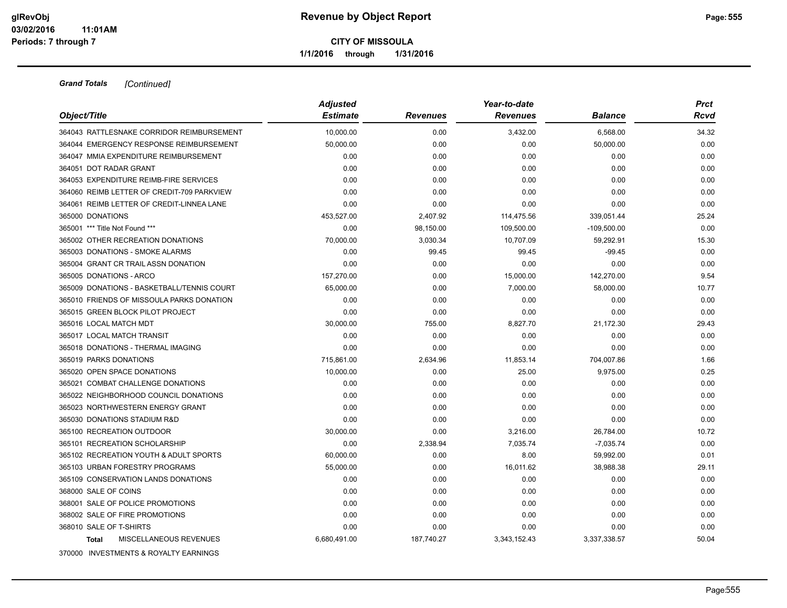**1/1/2016 through 1/31/2016**

| Object/Title                               | <b>Adjusted</b><br><b>Estimate</b> | <b>Revenues</b> | Year-to-date<br><b>Revenues</b> | Balance       | <b>Prct</b><br>Rcvd |
|--------------------------------------------|------------------------------------|-----------------|---------------------------------|---------------|---------------------|
| 364043 RATTLESNAKE CORRIDOR REIMBURSEMENT  | 10,000.00                          | 0.00            | 3,432.00                        | 6,568.00      | 34.32               |
| 364044 EMERGENCY RESPONSE REIMBURSEMENT    | 50,000.00                          | 0.00            | 0.00                            | 50,000.00     | 0.00                |
| 364047 MMIA EXPENDITURE REIMBURSEMENT      | 0.00                               | 0.00            | 0.00                            | 0.00          | 0.00                |
| 364051 DOT RADAR GRANT                     | 0.00                               | 0.00            | 0.00                            | 0.00          | 0.00                |
| 364053 EXPENDITURE REIMB-FIRE SERVICES     | 0.00                               | 0.00            | 0.00                            | 0.00          | 0.00                |
| 364060 REIMB LETTER OF CREDIT-709 PARKVIEW | 0.00                               | 0.00            | 0.00                            | 0.00          | 0.00                |
| 364061 REIMB LETTER OF CREDIT-LINNEA LANE  | 0.00                               | 0.00            | 0.00                            | 0.00          | 0.00                |
| 365000 DONATIONS                           | 453,527.00                         | 2,407.92        | 114,475.56                      | 339,051.44    | 25.24               |
| 365001 *** Title Not Found ***             | 0.00                               | 98,150.00       | 109,500.00                      | $-109,500.00$ | 0.00                |
| 365002 OTHER RECREATION DONATIONS          | 70,000.00                          | 3,030.34        | 10,707.09                       | 59,292.91     | 15.30               |
| 365003 DONATIONS - SMOKE ALARMS            | 0.00                               | 99.45           | 99.45                           | $-99.45$      | 0.00                |
| 365004 GRANT CR TRAIL ASSN DONATION        | 0.00                               | 0.00            | 0.00                            | 0.00          | 0.00                |
| 365005 DONATIONS - ARCO                    | 157,270.00                         | 0.00            | 15,000.00                       | 142,270.00    | 9.54                |
| 365009 DONATIONS - BASKETBALL/TENNIS COURT | 65,000.00                          | 0.00            | 7,000.00                        | 58,000.00     | 10.77               |
| 365010 FRIENDS OF MISSOULA PARKS DONATION  | 0.00                               | 0.00            | 0.00                            | 0.00          | 0.00                |
| 365015 GREEN BLOCK PILOT PROJECT           | 0.00                               | 0.00            | 0.00                            | 0.00          | 0.00                |
| 365016 LOCAL MATCH MDT                     | 30,000.00                          | 755.00          | 8,827.70                        | 21,172.30     | 29.43               |
| 365017 LOCAL MATCH TRANSIT                 | 0.00                               | 0.00            | 0.00                            | 0.00          | 0.00                |
| 365018 DONATIONS - THERMAL IMAGING         | 0.00                               | 0.00            | 0.00                            | 0.00          | 0.00                |
| 365019 PARKS DONATIONS                     | 715,861.00                         | 2,634.96        | 11,853.14                       | 704,007.86    | 1.66                |
| 365020 OPEN SPACE DONATIONS                | 10,000.00                          | 0.00            | 25.00                           | 9,975.00      | 0.25                |
| 365021 COMBAT CHALLENGE DONATIONS          | 0.00                               | 0.00            | 0.00                            | 0.00          | 0.00                |
| 365022 NEIGHBORHOOD COUNCIL DONATIONS      | 0.00                               | 0.00            | 0.00                            | 0.00          | 0.00                |
| 365023 NORTHWESTERN ENERGY GRANT           | 0.00                               | 0.00            | 0.00                            | 0.00          | 0.00                |
| 365030 DONATIONS STADIUM R&D               | 0.00                               | 0.00            | 0.00                            | 0.00          | 0.00                |
| 365100 RECREATION OUTDOOR                  | 30,000.00                          | 0.00            | 3,216.00                        | 26,784.00     | 10.72               |
| 365101 RECREATION SCHOLARSHIP              | 0.00                               | 2,338.94        | 7,035.74                        | $-7,035.74$   | 0.00                |
| 365102 RECREATION YOUTH & ADULT SPORTS     | 60,000.00                          | 0.00            | 8.00                            | 59,992.00     | 0.01                |
| 365103 URBAN FORESTRY PROGRAMS             | 55,000.00                          | 0.00            | 16,011.62                       | 38,988.38     | 29.11               |
| 365109 CONSERVATION LANDS DONATIONS        | 0.00                               | 0.00            | 0.00                            | 0.00          | 0.00                |
| 368000 SALE OF COINS                       | 0.00                               | 0.00            | 0.00                            | 0.00          | 0.00                |
| 368001 SALE OF POLICE PROMOTIONS           | 0.00                               | 0.00            | 0.00                            | 0.00          | 0.00                |
| 368002 SALE OF FIRE PROMOTIONS             | 0.00                               | 0.00            | 0.00                            | 0.00          | 0.00                |
| 368010 SALE OF T-SHIRTS                    | 0.00                               | 0.00            | 0.00                            | 0.00          | 0.00                |
| MISCELLANEOUS REVENUES<br><b>Total</b>     | 6,680,491.00                       | 187,740.27      | 3,343,152.43                    | 3,337,338.57  | 50.04               |
| 370000 INVESTMENTS & ROYALTY EARNINGS      |                                    |                 |                                 |               |                     |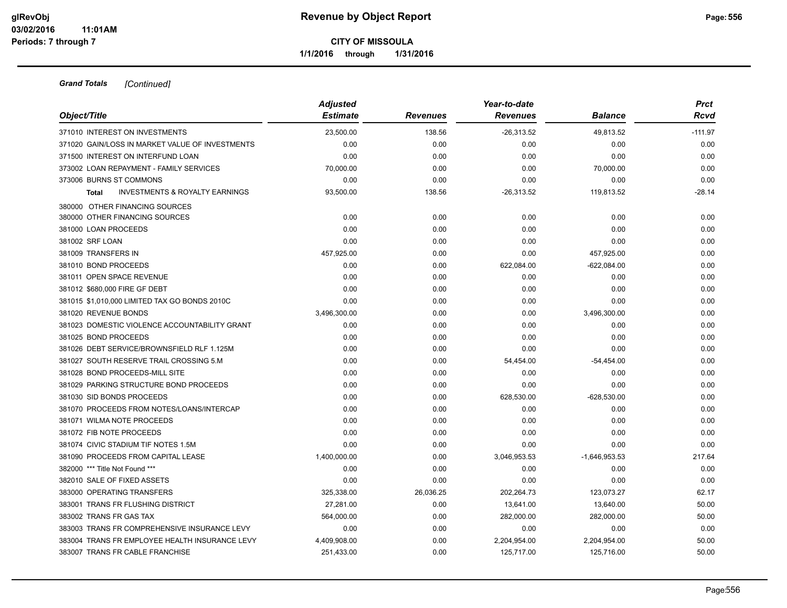**1/1/2016 through 1/31/2016**

| Object/Title                                              | <b>Adjusted</b> |           | Year-to-date    |                 | <b>Prct</b> |
|-----------------------------------------------------------|-----------------|-----------|-----------------|-----------------|-------------|
|                                                           | <b>Estimate</b> | Revenues  | <b>Revenues</b> | <b>Balance</b>  | Rcvd        |
| 371010 INTEREST ON INVESTMENTS                            | 23.500.00       | 138.56    | $-26,313.52$    | 49,813.52       | $-111.97$   |
| 371020 GAIN/LOSS IN MARKET VALUE OF INVESTMENTS           | 0.00            | 0.00      | 0.00            | 0.00            | 0.00        |
| 371500 INTEREST ON INTERFUND LOAN                         | 0.00            | 0.00      | 0.00            | 0.00            | 0.00        |
| 373002 LOAN REPAYMENT - FAMILY SERVICES                   | 70,000.00       | 0.00      | 0.00            | 70,000.00       | 0.00        |
| 373006 BURNS ST COMMONS                                   | 0.00            | 0.00      | 0.00            | 0.00            | 0.00        |
| <b>INVESTMENTS &amp; ROYALTY EARNINGS</b><br><b>Total</b> | 93,500.00       | 138.56    | $-26,313.52$    | 119,813.52      | $-28.14$    |
| 380000 OTHER FINANCING SOURCES                            |                 |           |                 |                 |             |
| 380000 OTHER FINANCING SOURCES                            | 0.00            | 0.00      | 0.00            | 0.00            | 0.00        |
| 381000 LOAN PROCEEDS                                      | 0.00            | 0.00      | 0.00            | 0.00            | 0.00        |
| 381002 SRF LOAN                                           | 0.00            | 0.00      | 0.00            | 0.00            | 0.00        |
| 381009 TRANSFERS IN                                       | 457,925.00      | 0.00      | 0.00            | 457,925.00      | 0.00        |
| 381010 BOND PROCEEDS                                      | 0.00            | 0.00      | 622,084.00      | $-622,084.00$   | 0.00        |
| 381011 OPEN SPACE REVENUE                                 | 0.00            | 0.00      | 0.00            | 0.00            | 0.00        |
| 381012 \$680,000 FIRE GF DEBT                             | 0.00            | 0.00      | 0.00            | 0.00            | 0.00        |
| 381015 \$1,010,000 LIMITED TAX GO BONDS 2010C             | 0.00            | 0.00      | 0.00            | 0.00            | 0.00        |
| 381020 REVENUE BONDS                                      | 3,496,300.00    | 0.00      | 0.00            | 3,496,300.00    | 0.00        |
| 381023 DOMESTIC VIOLENCE ACCOUNTABILITY GRANT             | 0.00            | 0.00      | 0.00            | 0.00            | 0.00        |
| 381025 BOND PROCEEDS                                      | 0.00            | 0.00      | 0.00            | 0.00            | 0.00        |
| 381026 DEBT SERVICE/BROWNSFIELD RLF 1.125M                | 0.00            | 0.00      | 0.00            | 0.00            | 0.00        |
| 381027 SOUTH RESERVE TRAIL CROSSING 5.M                   | 0.00            | 0.00      | 54,454.00       | $-54,454.00$    | 0.00        |
| 381028 BOND PROCEEDS-MILL SITE                            | 0.00            | 0.00      | 0.00            | 0.00            | 0.00        |
| 381029 PARKING STRUCTURE BOND PROCEEDS                    | 0.00            | 0.00      | 0.00            | 0.00            | 0.00        |
| 381030 SID BONDS PROCEEDS                                 | 0.00            | 0.00      | 628,530.00      | $-628,530.00$   | 0.00        |
| 381070 PROCEEDS FROM NOTES/LOANS/INTERCAP                 | 0.00            | 0.00      | 0.00            | 0.00            | 0.00        |
| 381071 WILMA NOTE PROCEEDS                                | 0.00            | 0.00      | 0.00            | 0.00            | 0.00        |
| 381072 FIB NOTE PROCEEDS                                  | 0.00            | 0.00      | 0.00            | 0.00            | 0.00        |
| 381074 CIVIC STADIUM TIF NOTES 1.5M                       | 0.00            | 0.00      | 0.00            | 0.00            | 0.00        |
| 381090 PROCEEDS FROM CAPITAL LEASE                        | 1,400,000.00    | 0.00      | 3,046,953.53    | $-1,646,953.53$ | 217.64      |
| 382000 *** Title Not Found ***                            | 0.00            | 0.00      | 0.00            | 0.00            | 0.00        |
| 382010 SALE OF FIXED ASSETS                               | 0.00            | 0.00      | 0.00            | 0.00            | 0.00        |
| 383000 OPERATING TRANSFERS                                | 325,338.00      | 26,036.25 | 202,264.73      | 123,073.27      | 62.17       |
| 383001 TRANS FR FLUSHING DISTRICT                         | 27,281.00       | 0.00      | 13,641.00       | 13,640.00       | 50.00       |
| 383002 TRANS FR GAS TAX                                   | 564,000.00      | 0.00      | 282,000.00      | 282,000.00      | 50.00       |
| 383003 TRANS FR COMPREHENSIVE INSURANCE LEVY              | 0.00            | 0.00      | 0.00            | 0.00            | 0.00        |
| 383004 TRANS FR EMPLOYEE HEALTH INSURANCE LEVY            | 4,409,908.00    | 0.00      | 2,204,954.00    | 2,204,954.00    | 50.00       |
| 383007 TRANS FR CABLE FRANCHISE                           | 251,433.00      | 0.00      | 125.717.00      | 125.716.00      | 50.00       |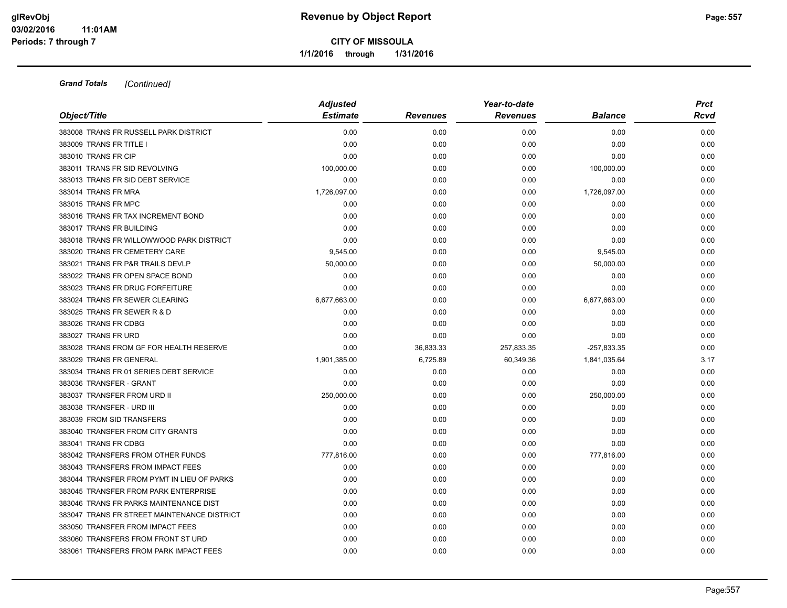**1/1/2016 through 1/31/2016**

| Object/Title                                | <b>Adjusted</b> | Year-to-date    |                 |                | <b>Prct</b> |
|---------------------------------------------|-----------------|-----------------|-----------------|----------------|-------------|
|                                             | <b>Estimate</b> | <b>Revenues</b> | <b>Revenues</b> | <b>Balance</b> | <b>Rcvd</b> |
| 383008 TRANS FR RUSSELL PARK DISTRICT       | 0.00            | 0.00            | 0.00            | 0.00           | 0.00        |
| 383009 TRANS FR TITLE I                     | 0.00            | 0.00            | 0.00            | 0.00           | 0.00        |
| 383010 TRANS FR CIP                         | 0.00            | 0.00            | 0.00            | 0.00           | 0.00        |
| 383011 TRANS FR SID REVOLVING               | 100,000.00      | 0.00            | 0.00            | 100,000.00     | 0.00        |
| 383013 TRANS FR SID DEBT SERVICE            | 0.00            | 0.00            | 0.00            | 0.00           | 0.00        |
| 383014 TRANS FR MRA                         | 1,726,097.00    | 0.00            | 0.00            | 1,726,097.00   | 0.00        |
| 383015 TRANS FR MPC                         | 0.00            | 0.00            | 0.00            | 0.00           | 0.00        |
| 383016 TRANS FR TAX INCREMENT BOND          | 0.00            | 0.00            | 0.00            | 0.00           | 0.00        |
| 383017 TRANS FR BUILDING                    | 0.00            | 0.00            | 0.00            | 0.00           | 0.00        |
| 383018 TRANS FR WILLOWWOOD PARK DISTRICT    | 0.00            | 0.00            | 0.00            | 0.00           | 0.00        |
| 383020 TRANS FR CEMETERY CARE               | 9,545.00        | 0.00            | 0.00            | 9,545.00       | 0.00        |
| 383021 TRANS FR P&R TRAILS DEVLP            | 50,000.00       | 0.00            | 0.00            | 50,000.00      | 0.00        |
| 383022 TRANS FR OPEN SPACE BOND             | 0.00            | 0.00            | 0.00            | 0.00           | 0.00        |
| 383023 TRANS FR DRUG FORFEITURE             | 0.00            | 0.00            | 0.00            | 0.00           | 0.00        |
| 383024 TRANS FR SEWER CLEARING              | 6,677,663.00    | 0.00            | 0.00            | 6,677,663.00   | 0.00        |
| 383025 TRANS FR SEWER R & D                 | 0.00            | 0.00            | 0.00            | 0.00           | 0.00        |
| 383026 TRANS FR CDBG                        | 0.00            | 0.00            | 0.00            | 0.00           | 0.00        |
| 383027 TRANS FR URD                         | 0.00            | 0.00            | 0.00            | 0.00           | 0.00        |
| 383028 TRANS FROM GF FOR HEALTH RESERVE     | 0.00            | 36,833.33       | 257,833.35      | -257,833.35    | 0.00        |
| 383029 TRANS FR GENERAL                     | 1,901,385.00    | 6,725.89        | 60,349.36       | 1,841,035.64   | 3.17        |
| 383034 TRANS FR 01 SERIES DEBT SERVICE      | 0.00            | 0.00            | 0.00            | 0.00           | 0.00        |
| 383036 TRANSFER - GRANT                     | 0.00            | 0.00            | 0.00            | 0.00           | 0.00        |
| 383037 TRANSFER FROM URD II                 | 250,000.00      | 0.00            | 0.00            | 250,000.00     | 0.00        |
| 383038 TRANSFER - URD III                   | 0.00            | 0.00            | 0.00            | 0.00           | 0.00        |
| 383039 FROM SID TRANSFERS                   | 0.00            | 0.00            | 0.00            | 0.00           | 0.00        |
| 383040 TRANSFER FROM CITY GRANTS            | 0.00            | 0.00            | 0.00            | 0.00           | 0.00        |
| 383041 TRANS FR CDBG                        | 0.00            | 0.00            | 0.00            | 0.00           | 0.00        |
| 383042 TRANSFERS FROM OTHER FUNDS           | 777,816.00      | 0.00            | 0.00            | 777,816.00     | 0.00        |
| 383043 TRANSFERS FROM IMPACT FEES           | 0.00            | 0.00            | 0.00            | 0.00           | 0.00        |
| 383044 TRANSFER FROM PYMT IN LIEU OF PARKS  | 0.00            | 0.00            | 0.00            | 0.00           | 0.00        |
| 383045 TRANSFER FROM PARK ENTERPRISE        | 0.00            | 0.00            | 0.00            | 0.00           | 0.00        |
| 383046 TRANS FR PARKS MAINTENANCE DIST      | 0.00            | 0.00            | 0.00            | 0.00           | 0.00        |
| 383047 TRANS FR STREET MAINTENANCE DISTRICT | 0.00            | 0.00            | 0.00            | 0.00           | 0.00        |
| 383050 TRANSFER FROM IMPACT FEES            | 0.00            | 0.00            | 0.00            | 0.00           | 0.00        |
| 383060 TRANSFERS FROM FRONT ST URD          | 0.00            | 0.00            | 0.00            | 0.00           | 0.00        |
| 383061 TRANSFERS FROM PARK IMPACT FEES      | 0.00            | 0.00            | 0.00            | 0.00           | 0.00        |